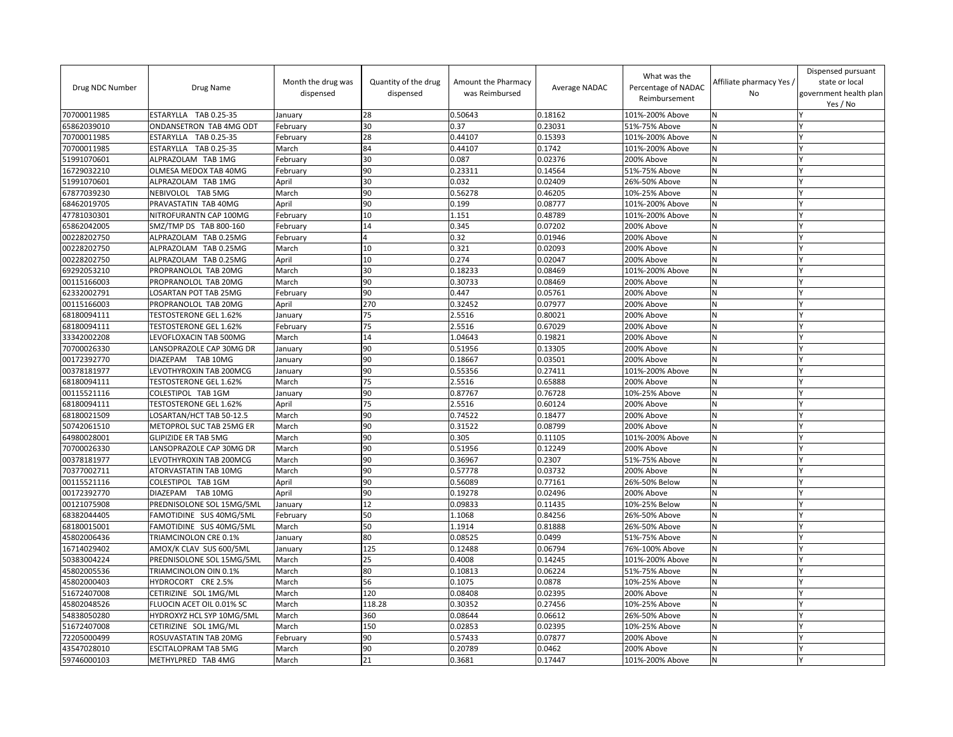| Drug NDC Number | Drug Name                     | Month the drug was<br>dispensed | Quantity of the drug<br>dispensed | Amount the Pharmacy<br>was Reimbursed | Average NADAC | What was the<br>Percentage of NADAC<br>Reimbursement | Affiliate pharmacy Yes /<br>No | Dispensed pursuant<br>state or local<br>government health plan<br>Yes / No |
|-----------------|-------------------------------|---------------------------------|-----------------------------------|---------------------------------------|---------------|------------------------------------------------------|--------------------------------|----------------------------------------------------------------------------|
| 70700011985     | ESTARYLLA TAB 0.25-35         | January                         | 28                                | 0.50643                               | 0.18162       | 101%-200% Above                                      | N                              |                                                                            |
| 65862039010     | ONDANSETRON TAB 4MG ODT       | February                        | 30                                | 0.37                                  | 0.23031       | 51%-75% Above                                        | IN.                            |                                                                            |
| 70700011985     | TAB 0.25-35<br>ESTARYLLA      | February                        | 28                                | 0.44107                               | 0.15393       | 101%-200% Above                                      | IN.                            |                                                                            |
| 70700011985     | ESTARYLLA TAB 0.25-35         | March                           | 84                                | 0.44107                               | 0.1742        | 101%-200% Above                                      | N                              |                                                                            |
| 51991070601     | ALPRAZOLAM TAB 1MG            | February                        | 30                                | 0.087                                 | 0.02376       | 200% Above                                           | N                              |                                                                            |
| 16729032210     | OLMESA MEDOX TAB 40MG         | February                        | 90                                | 0.23311                               | 0.14564       | 51%-75% Above                                        | <b>N</b>                       |                                                                            |
| 51991070601     | ALPRAZOLAM TAB 1MG            | April                           | 30                                | 0.032                                 | 0.02409       | 26%-50% Above                                        | N                              |                                                                            |
| 67877039230     | NEBIVOLOL TAB 5MG             | March                           | 90                                | 0.56278                               | 0.46205       | 10%-25% Above                                        | N                              |                                                                            |
| 68462019705     | PRAVASTATIN TAB 40MG          | April                           | 90                                | 0.199                                 | 0.08777       | 101%-200% Above                                      | N                              |                                                                            |
| 47781030301     | NITROFURANTN CAP 100MG        | February                        | 10                                | 1.151                                 | 0.48789       | 101%-200% Above                                      | N                              |                                                                            |
| 65862042005     | SMZ/TMP DS TAB 800-160        | February                        | 14                                | 0.345                                 | 0.07202       | 200% Above                                           | IN.                            |                                                                            |
| 00228202750     | ALPRAZOLAM TAB 0.25MG         | February                        | 4                                 | 0.32                                  | 0.01946       | 200% Above                                           | N                              |                                                                            |
| 00228202750     | ALPRAZOLAM TAB 0.25MG         | March                           | 10                                | 0.321                                 | 0.02093       | 200% Above                                           | N                              |                                                                            |
| 00228202750     | ALPRAZOLAM TAB 0.25MG         | April                           | 10                                | 0.274                                 | 0.02047       | 200% Above                                           | N                              |                                                                            |
| 69292053210     | PROPRANOLOL TAB 20MG          | March                           | 30                                | 0.18233                               | 0.08469       | 101%-200% Above                                      | N                              |                                                                            |
| 00115166003     | PROPRANOLOL TAB 20MG          | March                           | 90                                | 0.30733                               | 0.08469       | 200% Above                                           | N                              |                                                                            |
| 62332002791     | LOSARTAN POT TAB 25MG         | February                        | 90                                | 0.447                                 | 0.05761       | 200% Above                                           | N                              |                                                                            |
| 00115166003     | PROPRANOLOL TAB 20MG          | April                           | 270                               | 0.32452                               | 0.07977       | 200% Above                                           | N                              |                                                                            |
| 68180094111     | TESTOSTERONE GEL 1.62%        | January                         | 75                                | 2.5516                                | 0.80021       | 200% Above                                           | <b>N</b>                       |                                                                            |
| 68180094111     | <b>TESTOSTERONE GEL 1.62%</b> | February                        | 75                                | 2.5516                                | 0.67029       | 200% Above                                           | N                              |                                                                            |
| 33342002208     | LEVOFLOXACIN TAB 500MG        | March                           | 14                                | 1.04643                               | 0.19821       | 200% Above                                           | N                              |                                                                            |
| 70700026330     | LANSOPRAZOLE CAP 30MG DR      | January                         | 90                                | 0.51956                               | 0.13305       | 200% Above                                           | N                              |                                                                            |
| 00172392770     | <b>DIAZEPAM</b><br>TAB 10MG   | January                         | 90                                | 0.18667                               | 0.03501       | 200% Above                                           | <b>N</b>                       |                                                                            |
| 00378181977     | LEVOTHYROXIN TAB 200MCG       | January                         | 90                                | 0.55356                               | 0.27411       | 101%-200% Above                                      | N                              |                                                                            |
| 68180094111     | TESTOSTERONE GEL 1.62%        | March                           | 75                                | 2.5516                                | 0.65888       | 200% Above                                           | N                              |                                                                            |
| 00115521116     | COLESTIPOL TAB 1GM            | anuary                          | 90                                | 0.87767                               | 0.76728       | 10%-25% Above                                        | N                              |                                                                            |
| 68180094111     | TESTOSTERONE GEL 1.62%        | April                           | 75                                | 2.5516                                | 0.60124       | 200% Above                                           | IN.                            |                                                                            |
| 68180021509     | LOSARTAN/HCT TAB 50-12.5      | March                           | 90                                | 0.74522                               | 0.18477       | 200% Above                                           | <b>N</b>                       |                                                                            |
| 50742061510     | METOPROL SUC TAB 25MG ER      | March                           | 90                                | 0.31522                               | 0.08799       | 200% Above                                           | N                              |                                                                            |
| 64980028001     | <b>GLIPIZIDE ER TAB 5MG</b>   | March                           | 90                                | 0.305                                 | 0.11105       | 101%-200% Above                                      | N                              |                                                                            |
| 70700026330     | LANSOPRAZOLE CAP 30MG DR      | March                           | 90                                | 0.51956                               | 0.12249       | 200% Above                                           | IN.                            |                                                                            |
| 00378181977     | LEVOTHYROXIN TAB 200MCG       | March                           | 90                                | 0.36967                               | 0.2307        | 51%-75% Above                                        | <b>N</b>                       |                                                                            |
| 70377002711     | ATORVASTATIN TAB 10MG         | March                           | 90                                | 0.57778                               | 0.03732       | 200% Above                                           | N                              |                                                                            |
| 00115521116     | COLESTIPOL TAB 1GM            | April                           | 90                                | 0.56089                               | 0.77161       | 26%-50% Below                                        | N                              |                                                                            |
| 00172392770     | DIAZEPAM<br>TAB 10MG          | April                           | 90                                | 0.19278                               | 0.02496       | 200% Above                                           | <b>N</b>                       |                                                                            |
| 00121075908     | PREDNISOLONE SOL 15MG/5ML     | January                         | 12                                | 0.09833                               | 0.11435       | 10%-25% Below                                        | N                              |                                                                            |
| 68382044405     | FAMOTIDINE SUS 40MG/5ML       | February                        | 50                                | 1.1068                                | 0.84256       | 26%-50% Above                                        | N                              |                                                                            |
| 68180015001     | FAMOTIDINE SUS 40MG/5ML       | March                           | 50                                | 1.1914                                | 0.81888       | 26%-50% Above                                        | N                              |                                                                            |
| 45802006436     | TRIAMCINOLON CRE 0.1%         | January                         | 80                                | 0.08525                               | 0.0499        | 51%-75% Above                                        | N                              |                                                                            |
| 16714029402     | AMOX/K CLAV SUS 600/5MI       | January                         | 125                               | 0.12488                               | 0.06794       | 76%-100% Above                                       | IN.                            |                                                                            |
| 50383004224     | PREDNISOLONE SOL 15MG/5ML     | March                           | 25                                | 0.4008                                | 0.14245       | 101%-200% Above                                      | N                              |                                                                            |
| 45802005536     | TRIAMCINOLON OIN 0.1%         | March                           | 80                                | 0.10813                               | 0.06224       | 51%-75% Above                                        | N                              |                                                                            |
| 45802000403     | HYDROCORT CRE 2.5%            | March                           | 56                                | 0.1075                                | 0.0878        | 10%-25% Above                                        | N                              |                                                                            |
| 51672407008     | CETIRIZINE SOL 1MG/ML         | March                           | 120                               | 0.08408                               | 0.02395       | 200% Above                                           | IN.                            |                                                                            |
| 45802048526     | FLUOCIN ACET OIL 0.01% SC     | March                           | 118.28                            | 0.30352                               | 0.27456       | 10%-25% Above                                        | <b>N</b>                       |                                                                            |
| 54838050280     | HYDROXYZ HCL SYP 10MG/5ML     | March                           | 360<br>150                        | 0.08644                               | 0.06612       | 26%-50% Above                                        | N<br>N                         |                                                                            |
| 51672407008     | CETIRIZINE SOL 1MG/ML         | March                           |                                   | 0.02853                               | 0.02395       | 10%-25% Above                                        |                                |                                                                            |
| 72205000499     | ROSUVASTATIN TAB 20MG         | February                        | 90<br>90                          | 0.57433                               | 0.07877       | 200% Above                                           | IN.                            |                                                                            |
| 43547028010     | ESCITALOPRAM TAB 5MG          | March                           |                                   | 0.20789                               | 0.0462        | 200% Above                                           | IN.                            |                                                                            |
| 59746000103     | METHYLPRED TAB 4MG            | March                           | 21                                | 0.3681                                | 0.17447       | 101%-200% Above                                      | N                              |                                                                            |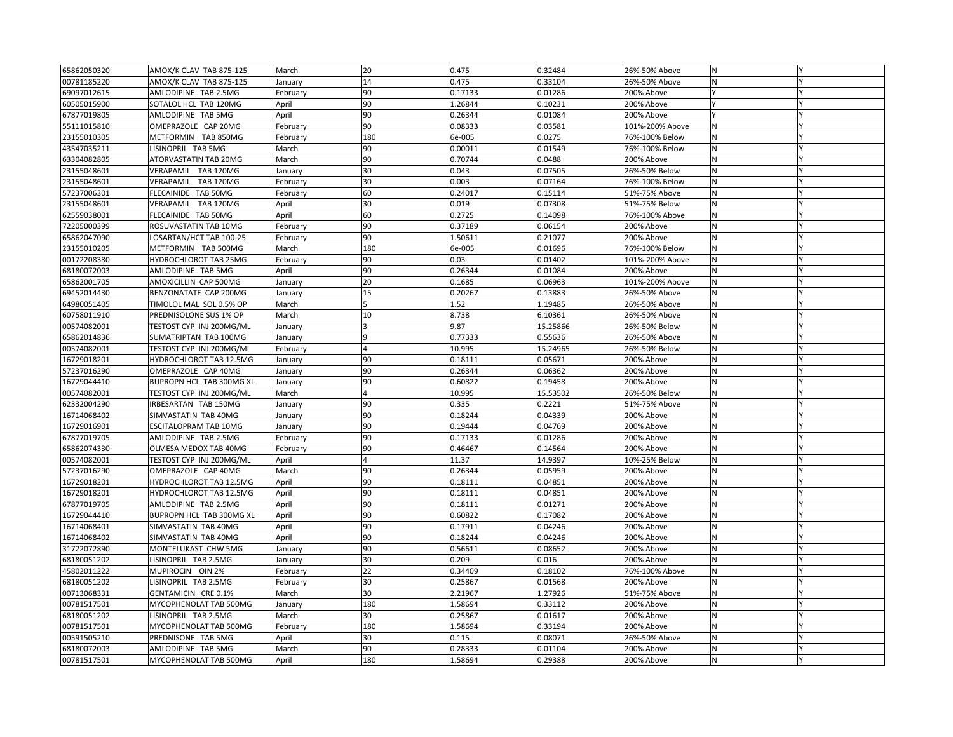| 65862050320                | AMOX/K CLAV TAB 875-125                        | March            | 20        | 0.475              | 0.32484            | 26%-50% Above            | İΝ     |  |
|----------------------------|------------------------------------------------|------------------|-----------|--------------------|--------------------|--------------------------|--------|--|
| 00781185220                | AMOX/K CLAV TAB 875-125                        | January          | 14        | 0.475              | 0.33104            | 26%-50% Above            | N      |  |
| 69097012615                | AMLODIPINE TAB 2.5MG                           | February         | 90        | 0.17133            | 0.01286            | 200% Above               |        |  |
| 60505015900                | SOTALOL HCL TAB 120MG                          | April            | 90        | 1.26844            | 0.10231            | 200% Above               |        |  |
| 67877019805                | AMLODIPINE TAB 5MG                             | April            | 90        | 0.26344            | 0.01084            | 200% Above               |        |  |
| 55111015810                | OMEPRAZOLE CAP 20MG                            | February         | 90        | 0.08333            | 0.03581            | 101%-200% Above          | N      |  |
| 23155010305                | METFORMIN TAB 850MG                            | February         | 180       | 6e-005             | 0.0275             | 76%-100% Below           | Ν      |  |
| 43547035211                | LISINOPRIL TAB 5MG                             | March            | 90        | 0.00011            | 0.01549            | 76%-100% Below           | N      |  |
| 63304082805                | ATORVASTATIN TAB 20MG                          | March            | 90        | 0.70744            | 0.0488             | 200% Above               | N      |  |
| 23155048601                | <b>TAB 120MG</b><br>VERAPAMIL                  | January          | 30        | 0.043              | 0.07505            | 26%-50% Below            | N      |  |
| 23155048601                | VERAPAMIL<br><b>TAB 120MG</b>                  | February         | 30        | 0.003              | 0.07164            | 76%-100% Below           | N      |  |
| 57237006301                | FLECAINIDE TAB 50MG                            | February         | 60        | 0.24017            | 0.15114            | 51%-75% Above            | N      |  |
| 23155048601                | VERAPAMIL<br><b>TAB 120MG</b>                  | April            | 30        | 0.019              | 0.07308            | 51%-75% Below            | N      |  |
| 62559038001                | FLECAINIDE TAB 50MG                            | April            | 60        | 0.2725             | 0.14098            | 76%-100% Above           | N      |  |
| 72205000399                | ROSUVASTATIN TAB 10MG                          | February         | 90        | 0.37189            | 0.06154            | 200% Above               | N      |  |
| 65862047090                | LOSARTAN/HCT TAB 100-25                        | February         | 90        | 1.50611            | 0.21077            | 200% Above               | N      |  |
| 23155010205                | METFORMIN TAB 500MG                            | March            | 180       | 6e-005             | 0.01696            | 76%-100% Below           |        |  |
| 00172208380                | HYDROCHLOROT TAB 25MG                          | February         | 90        | 0.03               | 0.01402            | 101%-200% Above          | N      |  |
| 68180072003                | AMLODIPINE TAB 5MG                             | April            | 90        | 0.26344            | 0.01084            | 200% Above               | Ν      |  |
| 65862001705                | AMOXICILLIN CAP 500MG                          | January          | 20        | 0.1685             | 0.06963            | 101%-200% Above          | N      |  |
| 69452014430                | BENZONATATE CAP 200MG                          | January          | 15        | 0.20267            | 0.13883            | 26%-50% Above            |        |  |
| 64980051405                | TIMOLOL MAL SOL 0.5% OP                        | March            |           | 1.52               | 1.19485            | 26%-50% Above            | N      |  |
| 60758011910                | PREDNISOLONE SUS 1% OP                         | March            | 10        | 8.738              | 6.10361            | 26%-50% Above            | N      |  |
| 00574082001                | TESTOST CYP INJ 200MG/ML                       | January          |           | 9.87               | 15.25866           | 26%-50% Below            | N      |  |
| 65862014836                | SUMATRIPTAN TAB 100MG                          | January          |           | 0.77333            | 0.55636            | 26%-50% Above            |        |  |
| 00574082001                | TESTOST CYP INJ 200MG/ML                       | February         |           | 10.995             | 15.24965           | 26%-50% Below            | N      |  |
| 16729018201                | HYDROCHLOROT TAB 12.5MG                        | January          | 90        | 0.18111            | 0.05671            | 200% Above               | N      |  |
| 57237016290                | OMEPRAZOLE CAP 40MG                            | January          | 90        | 0.26344            | 0.06362            | 200% Above               | N      |  |
| 16729044410                | BUPROPN HCL TAB 300MG XL                       | January          | 90        | 0.60822            | 0.19458            | 200% Above               |        |  |
| 00574082001                | TESTOST CYP INJ 200MG/ML                       | March            |           | 10.995             | 15.53502           | 26%-50% Below            | N      |  |
| 62332004290                | <b>IRBESARTAN TAB 150MG</b>                    | January          | 90        | 0.335              | 0.2221             | 51%-75% Above            | N      |  |
| 16714068402                | SIMVASTATIN TAB 40MG                           | January          | 90        | 0.18244            | 0.04339            | 200% Above               | N      |  |
| 16729016901                | ESCITALOPRAM TAB 10MG                          | January          | 90        | 0.19444            | 0.04769            | 200% Above               |        |  |
| 67877019705                | AMLODIPINE TAB 2.5MG                           | February         | 90        | 0.17133            | 0.01286            | 200% Above               | N      |  |
| 65862074330                | OLMESA MEDOX TAB 40MG                          | February         | 90        | 0.46467            | 0.14564            | 200% Above               | N      |  |
| 00574082001                | TESTOST CYP INJ 200MG/ML                       | April            |           | 11.37              | 14.9397            | 10%-25% Below            | N      |  |
| 57237016290                | OMEPRAZOLE CAP 40MG                            | March            | 90        | 0.26344            | 0.05959            | 200% Above               | N      |  |
| 16729018201                | HYDROCHLOROT TAB 12.5MG                        | April            | 90        | 0.18111            | 0.04851            | 200% Above               | N      |  |
| 16729018201                | HYDROCHLOROT TAB 12.5MG                        | April            | 90        | 0.18111            | 0.04851            | 200% Above               | N      |  |
| 67877019705                | AMLODIPINE TAB 2.5MG                           | April            | 90        | 0.18111            | 0.01271            | 200% Above               | N      |  |
| 16729044410                | BUPROPN HCL TAB 300MG XL                       | April            | 90        | 0.60822            | 0.17082            | 200% Above               | N      |  |
| 16714068401                | SIMVASTATIN TAB 40MG                           | April            | 90        | 0.17911            | 0.04246            | 200% Above               | N      |  |
| 16714068402                | SIMVASTATIN TAB 40MG                           | April            | 90        | 0.18244            | 0.04246            | 200% Above               | N      |  |
| 31722072890                | MONTELUKAST CHW 5MG                            | January          | 90        | 0.56611            | 0.08652            | 200% Above               | N      |  |
| 68180051202                | LISINOPRIL TAB 2.5MG                           | January          | 30        | 0.209              | 0.016              | 200% Above               | N      |  |
| 45802011222                | MUPIROCIN OIN 2%                               | February         | 22        | 0.34409            | 0.18102            | 76%-100% Above           |        |  |
| 68180051202                | LISINOPRIL TAB 2.5MG                           | February         | 30<br>30  | 0.25867            | 0.01568            | 200% Above               | N      |  |
| 00713068331                | GENTAMICIN CRE 0.1%                            | March            |           | 2.21967            | 1.27926            | 51%-75% Above            | N<br>N |  |
| 00781517501<br>68180051202 | MYCOPHENOLAT TAB 500MG<br>LISINOPRIL TAB 2.5MG | January<br>March | 180<br>30 | 1.58694<br>0.25867 | 0.33112<br>0.01617 | 200% Above<br>200% Above |        |  |
| 00781517501                | MYCOPHENOLAT TAB 500MG                         | February         | 180       | 1.58694            | 0.33194            | 200% Above               | N      |  |
| 00591505210                | PREDNISONE TAB 5MG                             | April            | 30        | 0.115              | 0.08071            | 26%-50% Above            | N      |  |
| 68180072003                | AMLODIPINE TAB 5MG                             | March            | 90        | 0.28333            | 0.01104            | 200% Above               | N      |  |
| 00781517501                | MYCOPHENOLAT TAB 500MG                         |                  | 180       | 1.58694            | 0.29388            | 200% Above               | N      |  |
|                            |                                                | April            |           |                    |                    |                          |        |  |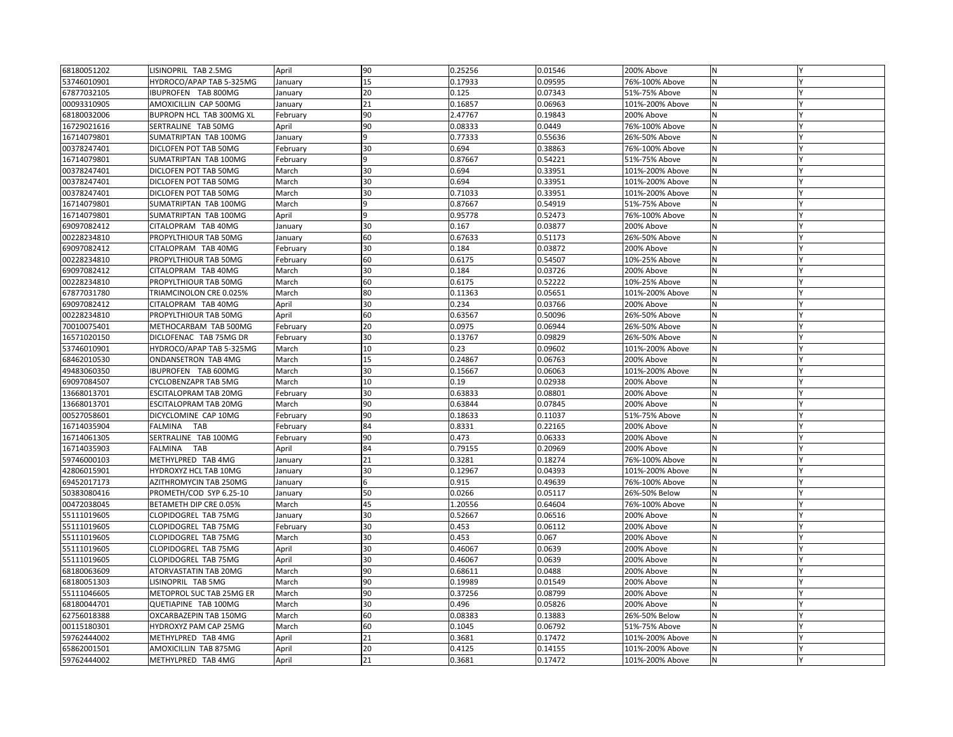| 68180051202 | LISINOPRIL TAB 2.5MG            | April                | 90       | 0.25256         | 0.01546 | 200% Above               | N      |  |
|-------------|---------------------------------|----------------------|----------|-----------------|---------|--------------------------|--------|--|
| 53746010901 | HYDROCO/APAP TAB 5-325MG        | January              | 15       | 0.17933         | 0.09595 | 76%-100% Above           | N      |  |
| 67877032105 | IBUPROFEN TAB 800MG             | January              | 20       | 0.125           | 0.07343 | 51%-75% Above            | N      |  |
| 00093310905 | AMOXICILLIN CAP 500MG           | January              | 21       | 0.16857         | 0.06963 | 101%-200% Above          | N      |  |
| 68180032006 | <b>BUPROPN HCL TAB 300MG XL</b> | February             | 90       | 2.47767         | 0.19843 | 200% Above               | N      |  |
| 16729021616 | SERTRALINE TAB 50MG             | April                | 90       | 0.08333         | 0.0449  | 76%-100% Above           | N      |  |
| 16714079801 | SUMATRIPTAN TAB 100MG           | January              |          | 0.77333         | 0.55636 | 26%-50% Above            | N      |  |
| 00378247401 | DICLOFEN POT TAB 50MG           | February             | 30       | 0.694           | 0.38863 | 76%-100% Above           | N      |  |
| 16714079801 | SUMATRIPTAN TAB 100MG           | February             | o.       | 0.87667         | 0.54221 | 51%-75% Above            | N      |  |
| 00378247401 | DICLOFEN POT TAB 50MG           | March                | 30       | 0.694           | 0.33951 | 101%-200% Above          | N      |  |
| 00378247401 | <b>DICLOFEN POT TAB 50MG</b>    | March                | 30       | 0.694           | 0.33951 | 101%-200% Above          | N      |  |
| 00378247401 | DICLOFEN POT TAB 50MG           | March                | 30       | 0.71033         | 0.33951 | 101%-200% Above          | N      |  |
| 16714079801 | SUMATRIPTAN TAB 100MG           | March                | q        | 0.87667         | 0.54919 | 51%-75% Above            | Ń      |  |
| 16714079801 | SUMATRIPTAN TAB 100MG           | April                | Q        | 0.95778         | 0.52473 | 76%-100% Above           | N      |  |
| 69097082412 | CITALOPRAM TAB 40MG             | January              | 30       | 0.167           | 0.03877 | 200% Above               | N      |  |
| 00228234810 | PROPYLTHIOUR TAB 50MG           | January              | 60       | 0.67633         | 0.51173 | 26%-50% Above            | N      |  |
| 69097082412 | CITALOPRAM TAB 40MG             | February             | 30       | 0.184           | 0.03872 | 200% Above               |        |  |
| 00228234810 | PROPYLTHIOUR TAB 50MG           | February             | 60       | 0.6175          | 0.54507 | 10%-25% Above            | N      |  |
| 69097082412 | CITALOPRAM TAB 40MG             | March                | 30       | 0.184           | 0.03726 | 200% Above               | N      |  |
| 00228234810 | PROPYLTHIOUR TAB 50MG           | March                | 60       | 0.6175          | 0.52222 | 10%-25% Above            | N      |  |
| 67877031780 | TRIAMCINOLON CRE 0.025%         | March                | 80       | 0.11363         | 0.05651 | 101%-200% Above          | N      |  |
| 69097082412 | CITALOPRAM TAB 40MG             | April                | 30       | 0.234           | 0.03766 | 200% Above               | N      |  |
| 00228234810 | PROPYLTHIOUR TAB 50MG           | April                | 60       | 0.63567         | 0.50096 | 26%-50% Above            | N      |  |
| 70010075401 | METHOCARBAM TAB 500MG           | February             | 20       | 0.0975          | 0.06944 | 26%-50% Above            |        |  |
| 16571020150 | DICLOFENAC TAB 75MG DR          | February             | 30       | 0.13767         | 0.09829 | 26%-50% Above            | N      |  |
| 53746010901 | HYDROCO/APAP TAB 5-325MG        | March                | 10       | 0.23            | 0.09602 | 101%-200% Above          | N      |  |
| 68462010530 | <b>ONDANSETRON TAB 4MG</b>      | March                | 15       | 0.24867         | 0.06763 | 200% Above               | N      |  |
| 49483060350 | IBUPROFEN TAB 600MG             | March                | 30       | 0.15667         | 0.06063 | 101%-200% Above          | N      |  |
| 69097084507 | CYCLOBENZAPR TAB 5MG            | March                | 10       | 0.19            | 0.02938 | 200% Above               | N      |  |
| 13668013701 | <b>ESCITALOPRAM TAB 20MG</b>    | February             | 30       | 0.63833         | 0.08801 | 200% Above               | N      |  |
| 13668013701 | ESCITALOPRAM TAB 20MG           | March                | 90       | 0.63844         | 0.07845 | 200% Above               | N      |  |
| 00527058601 | DICYCLOMINE CAP 10MG            |                      | 90       | 0.18633         | 0.11037 | 51%-75% Above            | N      |  |
| 16714035904 | FALMINA<br>TAB                  | February             | 84       |                 | 0.22165 |                          | N      |  |
| 16714061305 | SERTRALINE TAB 100MG            | February<br>February | 90       | 0.8331<br>0.473 | 0.06333 | 200% Above<br>200% Above | N      |  |
| 16714035903 | FALMINA<br><b>TAB</b>           |                      | 84       | 0.79155         | 0.20969 |                          | N      |  |
|             |                                 | April                | 21       |                 |         | 200% Above               |        |  |
| 59746000103 | METHYLPRED TAB 4MG              | January              | 30       | 0.3281          | 0.18274 | 76%-100% Above           | N<br>N |  |
| 42806015901 | HYDROXYZ HCL TAB 10MG           | January              |          | 0.12967         | 0.04393 | 101%-200% Above          | N      |  |
| 69452017173 | AZITHROMYCIN TAB 250MG          | January              |          | 0.915           | 0.49639 | 76%-100% Above           | N      |  |
| 50383080416 | PROMETH/COD SYP 6.25-10         | January              | 50       | 0.0266          | 0.05117 | 26%-50% Below            | N      |  |
| 00472038045 | BETAMETH DIP CRE 0.05%          | March                | 45<br>30 | 1.20556         | 0.64604 | 76%-100% Above           | N      |  |
| 55111019605 | CLOPIDOGREL TAB 75MG            | January              | 30       | 0.52667         | 0.06516 | 200% Above               | N      |  |
| 55111019605 | CLOPIDOGREL TAB 75MG            | February             |          | 0.453           | 0.06112 | 200% Above               | N      |  |
| 55111019605 | CLOPIDOGREL TAB 75MG            | March                | 30       | 0.453           | 0.067   | 200% Above               |        |  |
| 55111019605 | CLOPIDOGREL TAB 75MG            | April                | 30       | 0.46067         | 0.0639  | 200% Above               | N      |  |
| 55111019605 | CLOPIDOGREL TAB 75MG            | April                | 30       | 0.46067         | 0.0639  | 200% Above               | N      |  |
| 68180063609 | ATORVASTATIN TAB 20MG           | March                | 90       | 0.68611         | 0.0488  | 200% Above               | N      |  |
| 68180051303 | LISINOPRIL TAB 5MG              | March                | 90       | 0.19989         | 0.01549 | 200% Above               | N      |  |
| 55111046605 | METOPROL SUC TAB 25MG ER        | March                | 90       | 0.37256         | 0.08799 | 200% Above               | N      |  |
| 68180044701 | QUETIAPINE TAB 100MG            | March                | 30       | 0.496           | 0.05826 | 200% Above               | N      |  |
| 62756018388 | OXCARBAZEPIN TAB 150MG          | March                | 60       | 0.08383         | 0.13883 | 26%-50% Below            | N      |  |
| 00115180301 | HYDROXYZ PAM CAP 25MG           | March                | 60       | 0.1045          | 0.06792 | 51%-75% Above            |        |  |
| 59762444002 | METHYLPRED TAB 4MG              | April                | 21       | 0.3681          | 0.17472 | 101%-200% Above          | N      |  |
| 65862001501 | AMOXICILLIN TAB 875MG           | April                | 20       | 0.4125          | 0.14155 | 101%-200% Above          | N      |  |
| 59762444002 | METHYLPRED TAB 4MG              | April                | 21       | 0.3681          | 0.17472 | 101%-200% Above          | Ν      |  |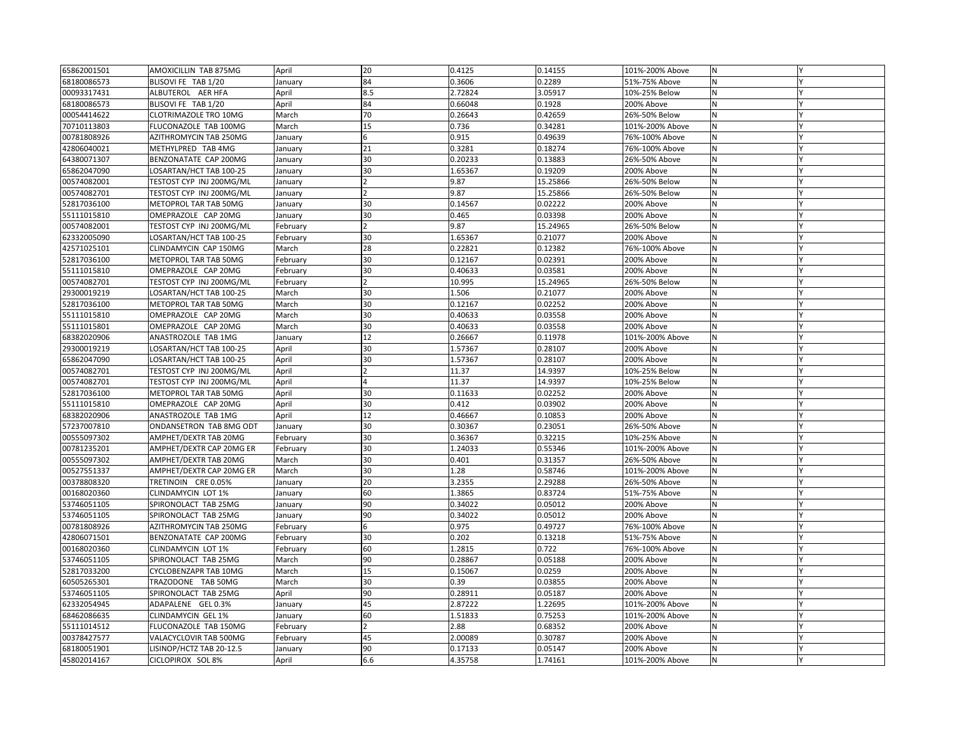| 65862001501 | AMOXICILLIN TAB 875MG         | April    | 20  | 0.4125  | 0.14155  | 101%-200% Above | IN. |  |
|-------------|-------------------------------|----------|-----|---------|----------|-----------------|-----|--|
| 68180086573 | BLISOVI FE TAB 1/20           | January  | 84  | 0.3606  | 0.2289   | 51%-75% Above   | N   |  |
| 00093317431 | ALBUTEROL AER HFA             | April    | 8.5 | 2.72824 | 3.05917  | 10%-25% Below   | N   |  |
| 68180086573 | BLISOVI FE TAB 1/20           | April    | 84  | 0.66048 | 0.1928   | 200% Above      |     |  |
| 00054414622 | CLOTRIMAZOLE TRO 10MG         | March    | 70  | 0.26643 | 0.42659  | 26%-50% Below   | N   |  |
| 70710113803 | FLUCONAZOLE TAB 100MG         | March    | 15  | 0.736   | 0.34281  | 101%-200% Above |     |  |
| 00781808926 | AZITHROMYCIN TAB 250MG        | January  |     | 0.915   | 0.49639  | 76%-100% Above  | N   |  |
| 42806040021 | METHYLPRED TAB 4MG            | January  | 21  | 0.3281  | 0.18274  | 76%-100% Above  | N   |  |
| 64380071307 | BENZONATATE CAP 200MG         | January  | 30  | 0.20233 | 0.13883  | 26%-50% Above   | N   |  |
| 65862047090 | LOSARTAN/HCT TAB 100-25       | January  | 30  | 1.65367 | 0.19209  | 200% Above      | N   |  |
| 00574082001 | TESTOST CYP INJ 200MG/ML      | January  |     | 9.87    | 15.25866 | 26%-50% Below   | N   |  |
| 00574082701 | TESTOST CYP INJ 200MG/ML      | January  |     | 9.87    | 15.25866 | 26%-50% Below   | N   |  |
| 52817036100 | METOPROL TAR TAB 50MG         | January  | 30  | 0.14567 | 0.02222  | 200% Above      | N   |  |
| 55111015810 | OMEPRAZOLE CAP 20MG           | January  | 30  | 0.465   | 0.03398  | 200% Above      | N   |  |
| 00574082001 | TESTOST CYP INJ 200MG/MI      | February |     | 9.87    | 15.24965 | 26%-50% Below   | N   |  |
| 62332005090 | LOSARTAN/HCT TAB 100-25       | February | 30  | 1.65367 | 0.21077  | 200% Above      | N   |  |
| 42571025101 | CLINDAMYCIN CAP 150MG         | March    | 28  | 0.22821 | 0.12382  | 76%-100% Above  | N   |  |
| 52817036100 | METOPROL TAR TAB 50MG         | February | 30  | 0.12167 | 0.02391  | 200% Above      | N   |  |
| 55111015810 | OMEPRAZOLE CAP 20MG           | February | 30  | 0.40633 | 0.03581  | 200% Above      | N   |  |
| 00574082701 | TESTOST CYP INJ 200MG/ML      | February |     | 10.995  | 15.24965 | 26%-50% Below   | N   |  |
| 29300019219 | LOSARTAN/HCT TAB 100-25       | March    | 30  | 1.506   | 0.21077  | 200% Above      | N   |  |
| 52817036100 | METOPROL TAR TAB 50MG         | March    | 30  | 0.12167 | 0.02252  | 200% Above      | N   |  |
| 55111015810 | OMEPRAZOLE CAP 20MG           | March    | 30  | 0.40633 | 0.03558  | 200% Above      | N   |  |
| 55111015801 | OMEPRAZOLE CAP 20MG           | March    | 30  | 0.40633 | 0.03558  | 200% Above      | N   |  |
| 68382020906 | ANASTROZOLE TAB 1MG           | January  | 12  | 0.26667 | 0.11978  | 101%-200% Above | N   |  |
| 29300019219 | LOSARTAN/HCT TAB 100-25       | April    | 30  | 1.57367 | 0.28107  | 200% Above      | N   |  |
| 65862047090 | LOSARTAN/HCT TAB 100-25       | April    | 30  | 1.57367 | 0.28107  | 200% Above      | N   |  |
| 00574082701 | TESTOST CYP INJ 200MG/ML      | April    |     | 11.37   | 14.9397  | 10%-25% Below   | N   |  |
| 00574082701 | TESTOST CYP INJ 200MG/ML      | April    |     | 11.37   | 14.9397  | 10%-25% Below   | N   |  |
| 52817036100 | METOPROL TAR TAB 50MG         | April    | 30  | 0.11633 | 0.02252  | 200% Above      | N   |  |
| 55111015810 | OMEPRAZOLE CAP 20MG           | April    | 30  | 0.412   | 0.03902  | 200% Above      | N   |  |
| 68382020906 | ANASTROZOLE TAB 1MG           | April    | 12  | 0.46667 | 0.10853  | 200% Above      | N   |  |
| 57237007810 | ONDANSETRON TAB 8MG ODT       | January  | 30  | 0.30367 | 0.23051  | 26%-50% Above   |     |  |
| 00555097302 | AMPHET/DEXTR TAB 20MG         | February | 30  | 0.36367 | 0.32215  | 10%-25% Above   | N   |  |
| 00781235201 | AMPHET/DEXTR CAP 20MG ER      | February | 30  | 1.24033 | 0.55346  | 101%-200% Above | N   |  |
| 00555097302 | AMPHET/DEXTR TAB 20MG         | March    | 30  | 0.401   | 0.31357  | 26%-50% Above   | N   |  |
| 00527551337 | AMPHET/DEXTR CAP 20MG ER      | March    | 30  | 1.28    | 0.58746  | 101%-200% Above | N   |  |
| 00378808320 | TRETINOIN CRE 0.05%           | January  | 20  | 3.2355  | 2.29288  | 26%-50% Above   | N   |  |
| 00168020360 | <b>CLINDAMYCIN LOT 1%</b>     | January  | 60  | 1.3865  | 0.83724  | 51%-75% Above   | N   |  |
| 53746051105 | SPIRONOLACT TAB 25MG          | January  | 90  | 0.34022 | 0.05012  | 200% Above      | N   |  |
| 53746051105 | SPIRONOLACT TAB 25MG          | January  | 90  | 0.34022 | 0.05012  | 200% Above      | N   |  |
| 00781808926 | <b>AZITHROMYCIN TAB 250MG</b> | February |     | 0.975   | 0.49727  | 76%-100% Above  | N   |  |
| 42806071501 | BENZONATATE CAP 200MG         | February | 30  | 0.202   | 0.13218  | 51%-75% Above   | N   |  |
| 00168020360 | <b>CLINDAMYCIN LOT 1%</b>     | February | 60  | 1.2815  | 0.722    | 76%-100% Above  | N   |  |
| 53746051105 | SPIRONOLACT TAB 25MG          | March    | 90  | 0.28867 | 0.05188  | 200% Above      | N   |  |
| 52817033200 | <b>CYCLOBENZAPR TAB 10MG</b>  | March    | 15  | 0.15067 | 0.0259   | 200% Above      |     |  |
| 60505265301 | TRAZODONE TAB 50MG            | March    | 30  | 0.39    | 0.03855  | 200% Above      | N   |  |
| 53746051105 | SPIRONOLACT TAB 25MG          | April    | 90  | 0.28911 | 0.05187  | 200% Above      | N   |  |
| 62332054945 | ADAPALENE GEL 0.3%            | January  | 45  | 2.87222 | 1.22695  | 101%-200% Above | N   |  |
| 68462086635 | <b>CLINDAMYCIN GEL 1%</b>     | January  | 60  | 1.51833 | 0.75253  | 101%-200% Above | N   |  |
| 55111014512 | FLUCONAZOLE TAB 150MG         | February |     | 2.88    | 0.68352  | 200% Above      | N   |  |
| 00378427577 | VALACYCLOVIR TAB 500MG        | February | 45  | 2.00089 | 0.30787  | 200% Above      | N   |  |
| 68180051901 | LISINOP/HCTZ TAB 20-12.5      | January  | 90  | 0.17133 | 0.05147  | 200% Above      | N   |  |
| 45802014167 | CICLOPIROX SOL 8%             | April    | 6.6 | 4.35758 | 1.74161  | 101%-200% Above | N   |  |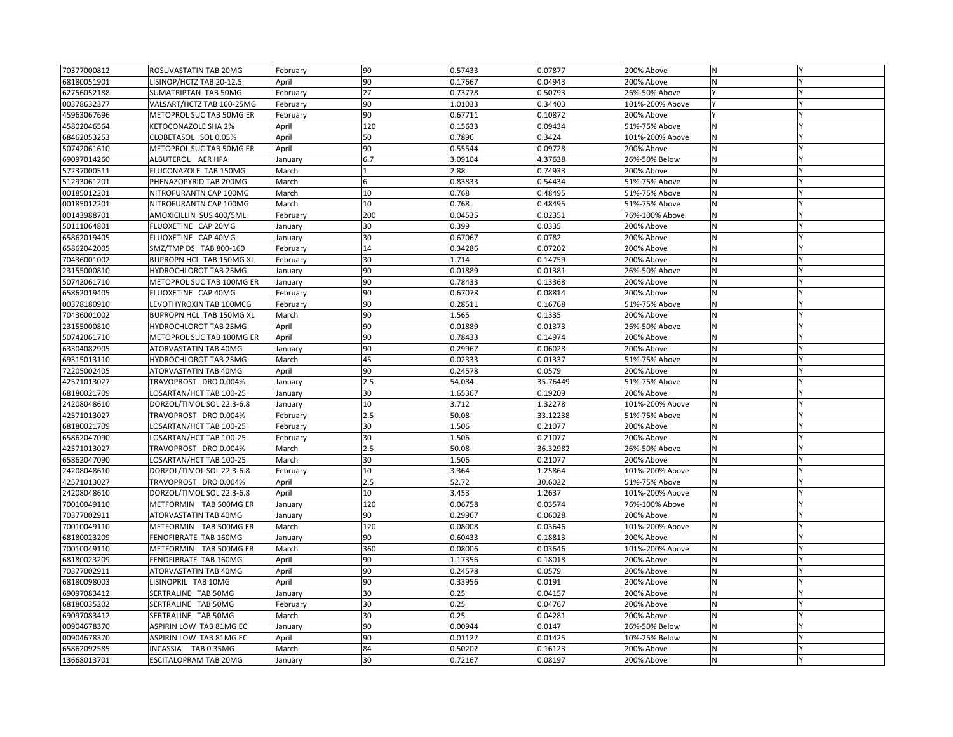| 70377000812 | ROSUVASTATIN TAB 20MG          | February | 90  | 0.57433 | 0.07877  | 200% Above      | IN. |  |
|-------------|--------------------------------|----------|-----|---------|----------|-----------------|-----|--|
| 68180051901 | LISINOP/HCTZ TAB 20-12.5       | April    | 90  | 0.17667 | 0.04943  | 200% Above      | N   |  |
| 62756052188 | SUMATRIPTAN TAB 50MG           | February | 27  | 0.73778 | 0.50793  | 26%-50% Above   |     |  |
| 00378632377 | VALSART/HCTZ TAB 160-25MG      | February | 90  | 1.01033 | 0.34403  | 101%-200% Above |     |  |
| 45963067696 | METOPROL SUC TAB 50MG ER       | February | 90  | 0.67711 | 0.10872  | 200% Above      |     |  |
| 45802046564 | KETOCONAZOLE SHA 2%            | April    | 120 | 0.15633 | 0.09434  | 51%-75% Above   | N   |  |
| 68462053253 | CLOBETASOL SOL 0.05%           | April    | 50  | 0.7896  | 0.3424   | 101%-200% Above | N   |  |
| 50742061610 | METOPROL SUC TAB 50MG ER       | April    | 90  | 0.55544 | 0.09728  | 200% Above      |     |  |
| 69097014260 | ALBUTEROL AER HFA              | January  | 6.7 | 3.09104 | 4.37638  | 26%-50% Below   | N   |  |
| 57237000511 | FLUCONAZOLE TAB 150MG          | March    |     | 2.88    | 0.74933  | 200% Above      | N   |  |
| 51293061201 | PHENAZOPYRID TAB 200MG         | March    |     | 0.83833 | 0.54434  | 51%-75% Above   | N   |  |
| 00185012201 | NITROFURANTN CAP 100MG         | March    | 10  | 0.768   | 0.48495  | 51%-75% Above   |     |  |
| 00185012201 | NITROFURANTN CAP 100MG         | March    | 10  | 0.768   | 0.48495  | 51%-75% Above   | N   |  |
| 00143988701 | AMOXICILLIN SUS 400/5ML        | February | 200 | 0.04535 | 0.02351  | 76%-100% Above  | N   |  |
| 50111064801 | FLUOXETINE CAP 20MG            | January  | 30  | 0.399   | 0.0335   | 200% Above      | N   |  |
| 65862019405 | FLUOXETINE CAP 40MG            | January  | 30  | 0.67067 | 0.0782   | 200% Above      | N   |  |
| 65862042005 | SMZ/TMP DS TAB 800-160         | February | 14  | 0.34286 | 0.07202  | 200% Above      | N   |  |
| 70436001002 | BUPROPN HCL TAB 150MG XL       | February | 30  | 1.714   | 0.14759  | 200% Above      | N   |  |
| 23155000810 | HYDROCHLOROT TAB 25MG          | January  | 90  | 0.01889 | 0.01381  | 26%-50% Above   | N   |  |
| 50742061710 | METOPROL SUC TAB 100MG ER      | January  | 90  | 0.78433 | 0.13368  | 200% Above      |     |  |
| 65862019405 | FLUOXETINE CAP 40MG            | February | 90  | 0.67078 | 0.08814  | 200% Above      | N   |  |
| 00378180910 | LEVOTHYROXIN TAB 100MCG        | February | 90  | 0.28511 | 0.16768  | 51%-75% Above   | N   |  |
| 70436001002 | BUPROPN HCL TAB 150MG XL       | March    | 90  | 1.565   | 0.1335   | 200% Above      | N   |  |
| 23155000810 | HYDROCHLOROT TAB 25MG          | April    | 90  | 0.01889 | 0.01373  | 26%-50% Above   | N   |  |
| 50742061710 | METOPROL SUC TAB 100MG ER      | April    | 90  | 0.78433 | 0.14974  | 200% Above      |     |  |
| 63304082905 | ATORVASTATIN TAB 40MG          | January  | 90  | 0.29967 | 0.06028  | 200% Above      | N   |  |
| 69315013110 | HYDROCHLOROT TAB 25MG          | March    | 45  | 0.02333 | 0.01337  | 51%-75% Above   | N   |  |
| 72205002405 | ATORVASTATIN TAB 40MG          | April    | 90  | 0.24578 | 0.0579   | 200% Above      | N   |  |
| 42571013027 | TRAVOPROST DRO 0.004%          | January  | 2.5 | 54.084  | 35.76449 | 51%-75% Above   | N   |  |
| 68180021709 | LOSARTAN/HCT TAB 100-25        | January  | 30  | 1.65367 | 0.19209  | 200% Above      | N   |  |
| 24208048610 | DORZOL/TIMOL SOL 22.3-6.8      | January  | 10  | 3.712   | 1.32278  | 101%-200% Above | N   |  |
| 42571013027 | TRAVOPROST DRO 0.004%          | February | 2.5 | 50.08   | 33.12238 | 51%-75% Above   | N   |  |
| 68180021709 | OSARTAN/HCT TAB 100-25         | February | 30  | 1.506   | 0.21077  | 200% Above      | N   |  |
| 65862047090 | LOSARTAN/HCT TAB 100-25        | February | 30  | 1.506   | 0.21077  | 200% Above      | N   |  |
| 42571013027 | TRAVOPROST DRO 0.004%          | March    | 2.5 | 50.08   | 36.32982 | 26%-50% Above   | N   |  |
| 65862047090 | LOSARTAN/HCT TAB 100-25        | March    | 30  | 1.506   | 0.21077  | 200% Above      | N   |  |
| 24208048610 | DORZOL/TIMOL SOL 22.3-6.8      | February | 10  | 3.364   | 1.25864  | 101%-200% Above | N   |  |
| 42571013027 | TRAVOPROST DRO 0.004%          | April    | 2.5 | 52.72   | 30.6022  | 51%-75% Above   | N   |  |
| 24208048610 | DORZOL/TIMOL SOL 22.3-6.8      | April    | 10  | 3.453   | 1.2637   | 101%-200% Above | N   |  |
| 70010049110 | METFORMIN TAB 500MG ER         | January  | 120 | 0.06758 | 0.03574  | 76%-100% Above  | N   |  |
| 70377002911 | ATORVASTATIN TAB 40MG          | January  | 90  | 0.29967 | 0.06028  | 200% Above      | N   |  |
| 70010049110 | METFORMIN TAB 500MG ER         | March    | 120 | 0.08008 | 0.03646  | 101%-200% Above | N   |  |
| 68180023209 | FENOFIBRATE TAB 160MG          | January  | 90  | 0.60433 | 0.18813  | 200% Above      | N   |  |
| 70010049110 | METFORMIN TAB 500MG ER         | March    | 360 | 0.08006 | 0.03646  | 101%-200% Above | N   |  |
| 68180023209 | FENOFIBRATE TAB 160MG          | April    | 90  | 1.17356 | 0.18018  | 200% Above      | N   |  |
| 70377002911 | ATORVASTATIN TAB 40MG          | April    | 90  | 0.24578 | 0.0579   | 200% Above      |     |  |
| 68180098003 | LISINOPRIL TAB 10MG            | April    | 90  | 0.33956 | 0.0191   | 200% Above      | N   |  |
| 69097083412 | SERTRALINE TAB 50MG            | January  | 30  | 0.25    | 0.04157  | 200% Above      | N   |  |
| 68180035202 | SERTRALINE TAB 50MG            | February | 30  | 0.25    | 0.04767  | 200% Above      | N   |  |
| 69097083412 | SERTRALINE TAB 50MG            | March    | 30  | 0.25    | 0.04281  | 200% Above      | N   |  |
| 00904678370 | ASPIRIN LOW TAB 81MG EC        | January  | 90  | 0.00944 | 0.0147   | 26%-50% Below   | N   |  |
| 00904678370 | <b>ASPIRIN LOW TAB 81MG EC</b> | April    | 90  | 0.01122 | 0.01425  | 10%-25% Below   | N   |  |
| 65862092585 | INCASSIA TAB 0.35MG            | March    | 84  | 0.50202 | 0.16123  | 200% Above      | N   |  |
| 13668013701 | <b>ESCITALOPRAM TAB 20MG</b>   | January  | 30  | 0.72167 | 0.08197  | 200% Above      | N   |  |
|             |                                |          |     |         |          |                 |     |  |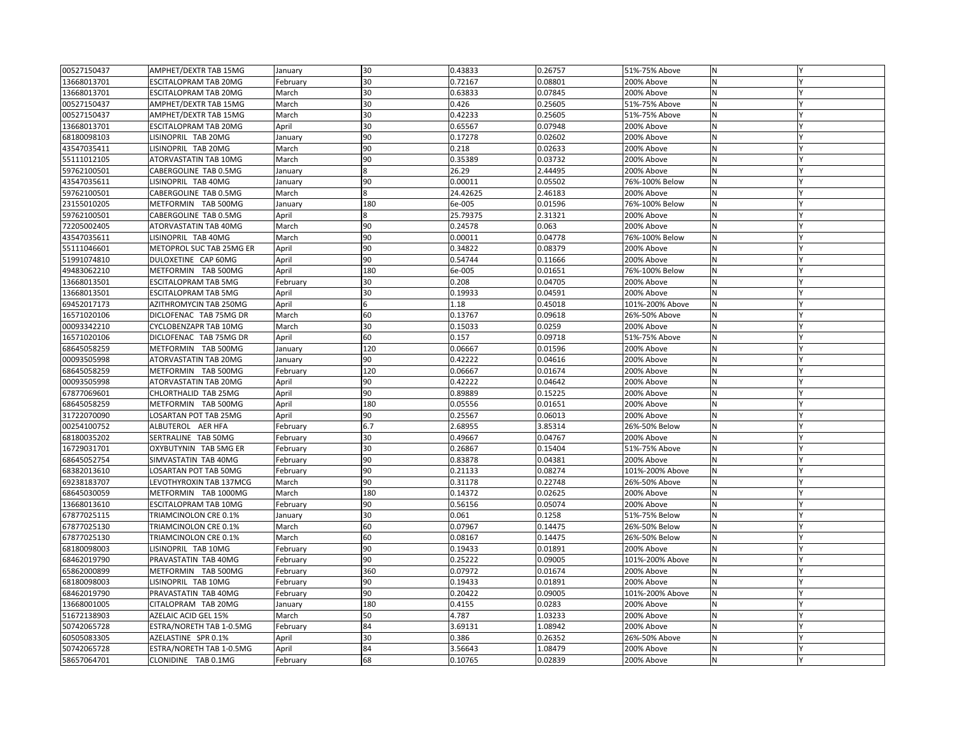| 00527150437 | AMPHET/DEXTR TAB 15MG       | January  | 30  | 0.43833  | 0.26757 | 51%-75% Above   | IN. |  |
|-------------|-----------------------------|----------|-----|----------|---------|-----------------|-----|--|
| 13668013701 | ESCITALOPRAM TAB 20MG       | February | 30  | 0.72167  | 0.08801 | 200% Above      | N   |  |
| 13668013701 | ESCITALOPRAM TAB 20MG       | March    | 30  | 0.63833  | 0.07845 | 200% Above      | N   |  |
| 00527150437 | AMPHET/DEXTR TAB 15MG       | March    | 30  | 0.426    | 0.25605 | 51%-75% Above   |     |  |
| 00527150437 | AMPHET/DEXTR TAB 15MG       | March    | 30  | 0.42233  | 0.25605 | 51%-75% Above   | N   |  |
| 13668013701 | ESCITALOPRAM TAB 20MG       | April    | 30  | 0.65567  | 0.07948 | 200% Above      | N   |  |
| 68180098103 | LISINOPRIL TAB 20MG         | January  | 90  | 0.17278  | 0.02602 | 200% Above      | N   |  |
| 43547035411 | LISINOPRIL TAB 20MG         | March    | 90  | 0.218    | 0.02633 | 200% Above      |     |  |
| 55111012105 | ATORVASTATIN TAB 10MG       | March    | 90  | 0.35389  | 0.03732 | 200% Above      | N   |  |
| 59762100501 | CABERGOLINE TAB 0.5MG       | January  |     | 26.29    | 2.44495 | 200% Above      | N   |  |
| 43547035611 | LISINOPRIL TAB 40MG         | January  | 90  | 0.00011  | 0.05502 | 76%-100% Below  | N   |  |
| 59762100501 | CABERGOLINE TAB 0.5MG       | March    |     | 24.42625 | 2.46183 | 200% Above      |     |  |
| 23155010205 | METFORMIN TAB 500MG         | January  | 180 | 6e-005   | 0.01596 | 76%-100% Below  | N   |  |
| 59762100501 | CABERGOLINE TAB 0.5MG       | April    |     | 25.79375 | 2.31321 | 200% Above      | N   |  |
| 72205002405 | ATORVASTATIN TAB 40MG       | March    | 90  | 0.24578  | 0.063   | 200% Above      | N   |  |
| 43547035611 | LISINOPRIL TAB 40MG         | March    | 90  | 0.00011  | 0.04778 | 76%-100% Below  | N   |  |
| 55111046601 | METOPROL SUC TAB 25MG ER    | April    | 90  | 0.34822  | 0.08379 | 200% Above      | N   |  |
| 51991074810 | DULOXETINE CAP 60MG         | April    | 90  | 0.54744  | 0.11666 | 200% Above      | N   |  |
| 49483062210 | METFORMIN TAB 500MG         | April    | 180 | 6e-005   | 0.01651 | 76%-100% Below  | N   |  |
| 13668013501 | <b>ESCITALOPRAM TAB 5MG</b> | February | 30  | 0.208    | 0.04705 | 200% Above      |     |  |
| 13668013501 | ESCITALOPRAM TAB 5MG        | April    | 30  | 0.19933  | 0.04591 | 200% Above      | N   |  |
| 69452017173 | AZITHROMYCIN TAB 250MG      | April    | 6   | 1.18     | 0.45018 | 101%-200% Above | N   |  |
| 16571020106 | DICLOFENAC TAB 75MG DR      | March    | 60  | 0.13767  | 0.09618 | 26%-50% Above   | N   |  |
| 00093342210 | CYCLOBENZAPR TAB 10MG       | March    | 30  | 0.15033  | 0.0259  | 200% Above      | N   |  |
| 16571020106 | DICLOFENAC TAB 75MG DR      | April    | 60  | 0.157    | 0.09718 | 51%-75% Above   | N   |  |
| 68645058259 | METFORMIN TAB 500MG         | January  | 120 | 0.06667  | 0.01596 | 200% Above      | N   |  |
| 00093505998 | ATORVASTATIN TAB 20MG       | January  | 90  | 0.42222  | 0.04616 | 200% Above      | N   |  |
| 68645058259 | METFORMIN TAB 500MG         | February | 120 | 0.06667  | 0.01674 | 200% Above      | N   |  |
| 00093505998 | ATORVASTATIN TAB 20MG       | April    | 90  | 0.42222  | 0.04642 | 200% Above      | N   |  |
| 67877069601 | CHLORTHALID TAB 25MG        | April    | 90  | 0.89889  | 0.15225 | 200% Above      | N   |  |
| 68645058259 | METFORMIN TAB 500MG         | April    | 180 | 0.05556  | 0.01651 | 200% Above      | N   |  |
| 31722070090 | LOSARTAN POT TAB 25MG       | April    | 90  | 0.25567  | 0.06013 | 200% Above      | N   |  |
| 00254100752 | ALBUTEROL AER HFA           | February | 6.7 | 2.68955  | 3.85314 | 26%-50% Below   |     |  |
| 68180035202 | SERTRALINE TAB 50MG         | February | 30  | 0.49667  | 0.04767 | 200% Above      | N   |  |
| 16729031701 | OXYBUTYNIN TAB 5MG ER       | February | 30  | 0.26867  | 0.15404 | 51%-75% Above   | N   |  |
| 68645052754 | SIMVASTATIN TAB 40MG        | February | 90  | 0.83878  | 0.04381 | 200% Above      | N   |  |
| 68382013610 | LOSARTAN POT TAB 50MG       | February | 90  | 0.21133  | 0.08274 | 101%-200% Above | N   |  |
| 69238183707 | LEVOTHYROXIN TAB 137MCG     | March    | 90  | 0.31178  | 0.22748 | 26%-50% Above   | N   |  |
| 68645030059 | METFORMIN TAB 1000MG        | March    | 180 | 0.14372  | 0.02625 | 200% Above      | N   |  |
| 13668013610 | ESCITALOPRAM TAB 10MG       | February | 90  | 0.56156  | 0.05074 | 200% Above      | N   |  |
| 67877025115 | TRIAMCINOLON CRE 0.1%       | January  | 30  | 0.061    | 0.1258  | 51%-75% Below   | N   |  |
| 67877025130 | TRIAMCINOLON CRE 0.1%       | March    | 60  | 0.07967  | 0.14475 | 26%-50% Below   | N   |  |
| 67877025130 | TRIAMCINOLON CRE 0.1%       | March    | 60  | 0.08167  | 0.14475 | 26%-50% Below   | N   |  |
| 68180098003 | LISINOPRIL TAB 10MG         | February | 90  | 0.19433  | 0.01891 | 200% Above      | N   |  |
| 68462019790 | PRAVASTATIN TAB 40MG        | February | 90  | 0.25222  | 0.09005 | 101%-200% Above | N   |  |
| 65862000899 | METFORMIN TAB 500MG         | February | 360 | 0.07972  | 0.01674 | 200% Above      |     |  |
| 68180098003 | LISINOPRIL TAB 10MG         | February | 90  | 0.19433  | 0.01891 | 200% Above      | N   |  |
| 68462019790 | PRAVASTATIN TAB 40MG        | February | 90  | 0.20422  | 0.09005 | 101%-200% Above | N   |  |
| 13668001005 | CITALOPRAM TAB 20MG         | January  | 180 | 0.4155   | 0.0283  | 200% Above      | N   |  |
| 51672138903 | <b>AZELAIC ACID GEL 15%</b> | March    | 50  | 4.787    | 1.03233 | 200% Above      |     |  |
| 50742065728 | ESTRA/NORETH TAB 1-0.5MG    | February | 84  | 3.69131  | 1.08942 | 200% Above      | N   |  |
| 60505083305 | AZELASTINE SPR 0.1%         | April    | 30  | 0.386    | 0.26352 | 26%-50% Above   | N   |  |
| 50742065728 | ESTRA/NORETH TAB 1-0.5MG    | April    | 84  | 3.56643  | 1.08479 | 200% Above      | N   |  |
| 58657064701 | CLONIDINE TAB 0.1MG         | February | 68  | 0.10765  | 0.02839 | 200% Above      | N   |  |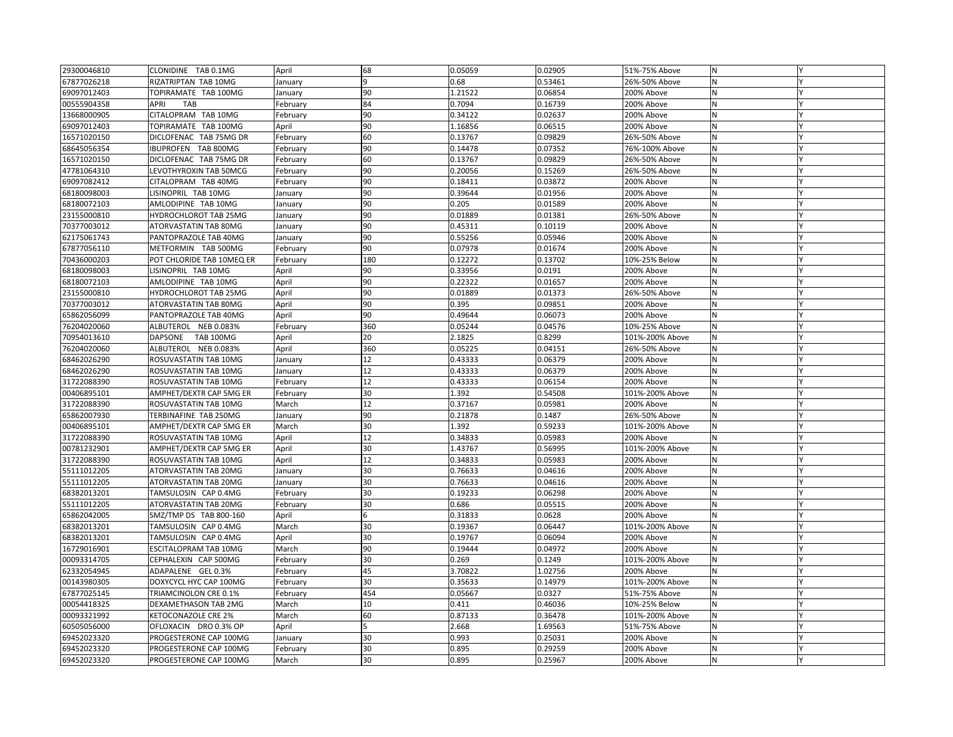| 29300046810 | CLONIDINE TAB 0.1MG                | April    | 68  | 0.05059 | 0.02905 | 51%-75% Above   | N |  |
|-------------|------------------------------------|----------|-----|---------|---------|-----------------|---|--|
| 67877026218 | RIZATRIPTAN TAB 10MG               | January  | ٩   | 0.68    | 0.53461 | 26%-50% Above   | N |  |
| 69097012403 | TOPIRAMATE TAB 100MG               | January  | 90  | 1.21522 | 0.06854 | 200% Above      | N |  |
| 00555904358 | <b>APRI</b><br><b>TAB</b>          | February | 84  | 0.7094  | 0.16739 | 200% Above      | N |  |
| 13668000905 | CITALOPRAM TAB 10MG                | February | 90  | 0.34122 | 0.02637 | 200% Above      | N |  |
| 69097012403 | TOPIRAMATE TAB 100MG               | April    | 90  | 1.16856 | 0.06515 | 200% Above      | N |  |
| 16571020150 | DICLOFENAC TAB 75MG DR             | February | 60  | 0.13767 | 0.09829 | 26%-50% Above   | N |  |
| 68645056354 | IBUPROFEN TAB 800MG                | February | 90  | 0.14478 | 0.07352 | 76%-100% Above  | N |  |
| 16571020150 | DICLOFENAC TAB 75MG DR             | February | 60  | 0.13767 | 0.09829 | 26%-50% Above   | N |  |
| 47781064310 | LEVOTHYROXIN TAB 50MCG             | February | 90  | 0.20056 | 0.15269 | 26%-50% Above   | N |  |
| 69097082412 | CITALOPRAM TAB 40MG                | February | 90  | 0.18411 | 0.03872 | 200% Above      | N |  |
| 68180098003 | LISINOPRIL TAB 10MG                | January  | 90  | 0.39644 | 0.01956 | 200% Above      | N |  |
| 68180072103 | AMLODIPINE TAB 10MG                | January  | 90  | 0.205   | 0.01589 | 200% Above      | Ń |  |
| 23155000810 | <b>HYDROCHLOROT TAB 25MG</b>       | January  | 90  | 0.01889 | 0.01381 | 26%-50% Above   | N |  |
| 70377003012 | ATORVASTATIN TAB 80MG              | January  | 90  | 0.45311 | 0.10119 | 200% Above      | N |  |
| 62175061743 | PANTOPRAZOLE TAB 40MG              | January  | 90  | 0.55256 | 0.05946 | 200% Above      | N |  |
| 67877056110 | METFORMIN TAB 500MG                | February | 90  | 0.07978 | 0.01674 | 200% Above      |   |  |
| 70436000203 | POT CHLORIDE TAB 10MEQ ER          | February | 180 | 0.12272 | 0.13702 | 10%-25% Below   | N |  |
| 68180098003 | LISINOPRIL TAB 10MG                | April    | 90  | 0.33956 | 0.0191  | 200% Above      | N |  |
| 68180072103 | AMLODIPINE TAB 10MG                | April    | 90  | 0.22322 | 0.01657 | 200% Above      | N |  |
| 23155000810 | <b>HYDROCHLOROT TAB 25MG</b>       | April    | 90  | 0.01889 | 0.01373 | 26%-50% Above   | N |  |
| 70377003012 | ATORVASTATIN TAB 80MG              | April    | 90  | 0.395   | 0.09851 | 200% Above      | N |  |
| 65862056099 | PANTOPRAZOLE TAB 40MG              | April    | 90  | 0.49644 | 0.06073 | 200% Above      | N |  |
| 76204020060 | ALBUTEROL NEB 0.083%               | February | 360 | 0.05244 | 0.04576 | 10%-25% Above   |   |  |
| 70954013610 | <b>DAPSONE</b><br><b>TAB 100MG</b> | April    | 20  | 2.1825  | 0.8299  | 101%-200% Above | N |  |
| 76204020060 | ALBUTEROL NEB 0.083%               | April    | 360 | 0.05225 | 0.04151 | 26%-50% Above   | N |  |
| 68462026290 | ROSUVASTATIN TAB 10MG              | January  | 12  | 0.43333 | 0.06379 | 200% Above      | N |  |
| 68462026290 | ROSUVASTATIN TAB 10MG              | January  | 12  | 0.43333 | 0.06379 | 200% Above      | N |  |
| 31722088390 | ROSUVASTATIN TAB 10MG              | February | 12  | 0.43333 | 0.06154 | 200% Above      | N |  |
| 00406895101 | AMPHET/DEXTR CAP 5MG ER            | February | 30  | 1.392   | 0.54508 | 101%-200% Above | N |  |
| 31722088390 | ROSUVASTATIN TAB 10MG              | March    | 12  | 0.37167 | 0.05981 | 200% Above      | N |  |
| 65862007930 | TERBINAFINE TAB 250MG              | January  | 90  | 0.21878 | 0.1487  | 26%-50% Above   | N |  |
| 00406895101 | AMPHET/DEXTR CAP 5MG ER            | March    | 30  | 1.392   | 0.59233 | 101%-200% Above | N |  |
| 31722088390 | ROSUVASTATIN TAB 10MG              | April    | 12  | 0.34833 | 0.05983 | 200% Above      |   |  |
| 00781232901 | AMPHET/DEXTR CAP 5MG ER            | April    | 30  | 1.43767 | 0.56995 | 101%-200% Above | N |  |
| 31722088390 | ROSUVASTATIN TAB 10MG              | April    | 12  | 0.34833 | 0.05983 | 200% Above      | N |  |
| 55111012205 | ATORVASTATIN TAB 20MG              | January  | 30  | 0.76633 | 0.04616 | 200% Above      | N |  |
| 55111012205 | ATORVASTATIN TAB 20MG              | January  | 30  | 0.76633 | 0.04616 | 200% Above      | N |  |
| 68382013201 | TAMSULOSIN CAP 0.4MG               | February | 30  | 0.19233 | 0.06298 | 200% Above      | N |  |
| 55111012205 | ATORVASTATIN TAB 20MG              | February | 30  | 0.686   | 0.05515 | 200% Above      | N |  |
| 65862042005 | SMZ/TMP DS TAB 800-160             | April    |     | 0.31833 | 0.0628  | 200% Above      | N |  |
| 68382013201 | TAMSULOSIN CAP 0.4MG               | March    | 30  | 0.19367 | 0.06447 | 101%-200% Above | N |  |
| 68382013201 | TAMSULOSIN CAP 0.4MG               | April    | 30  | 0.19767 | 0.06094 | 200% Above      | N |  |
| 16729016901 | <b>ESCITALOPRAM TAB 10MG</b>       | March    | 90  | 0.19444 | 0.04972 | 200% Above      | N |  |
| 00093314705 | CEPHALEXIN CAP 500MG               | February | 30  | 0.269   | 0.1249  | 101%-200% Above | N |  |
| 62332054945 | ADAPALENE GEL 0.3%                 | February | 45  | 3.70822 | 1.02756 | 200% Above      | N |  |
| 00143980305 | DOXYCYCL HYC CAP 100MG             | February | 30  | 0.35633 | 0.14979 | 101%-200% Above | Ń |  |
| 67877025145 | TRIAMCINOLON CRE 0.1%              | February | 454 | 0.05667 | 0.0327  | 51%-75% Above   | N |  |
| 00054418325 | DEXAMETHASON TAB 2MG               | March    | 10  | 0.411   | 0.46036 | 10%-25% Below   | N |  |
| 00093321992 | KETOCONAZOLE CRE 2%                | March    | 60  | 0.87133 | 0.36478 | 101%-200% Above | N |  |
| 60505056000 | OFLOXACIN DRO 0.3% OP              | April    |     | 2.668   | 1.69563 | 51%-75% Above   |   |  |
| 69452023320 | PROGESTERONE CAP 100MG             | January  | 30  | 0.993   | 0.25031 | 200% Above      | N |  |
| 69452023320 | PROGESTERONE CAP 100MG             | February | 30  | 0.895   | 0.29259 | 200% Above      | N |  |
| 69452023320 | PROGESTERONE CAP 100MG             | March    | 30  | 0.895   | 0.25967 | 200% Above      | N |  |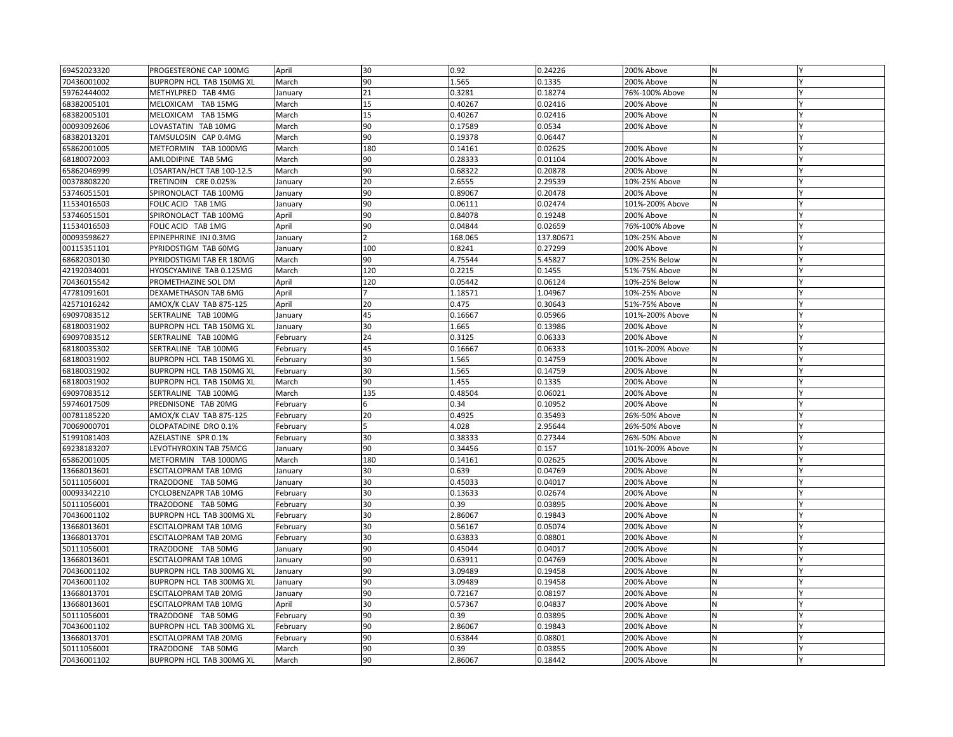| 69452023320 | PROGESTERONE CAP 100MG    | April    | 30  | 0.92    | 0.24226   | 200% Above      | N |  |
|-------------|---------------------------|----------|-----|---------|-----------|-----------------|---|--|
| 70436001002 | BUPROPN HCL TAB 150MG XL  | March    | 90  | 1.565   | 0.1335    | 200% Above      | N |  |
| 59762444002 | METHYLPRED TAB 4MG        | January  | 21  | 0.3281  | 0.18274   | 76%-100% Above  | N |  |
| 68382005101 | MELOXICAM<br>TAB 15MG     | March    | 15  | 0.40267 | 0.02416   | 200% Above      |   |  |
| 68382005101 | MELOXICAM<br>TAB 15MG     | March    | 15  | 0.40267 | 0.02416   | 200% Above      | N |  |
| 00093092606 | LOVASTATIN TAB 10MG       | March    | 90  | 0.17589 | 0.0534    | 200% Above      | N |  |
| 68382013201 | TAMSULOSIN CAP 0.4MG      | March    | 90  | 0.19378 | 0.06447   |                 | N |  |
| 65862001005 | METFORMIN TAB 1000MG      | March    | 180 | 0.14161 | 0.02625   | 200% Above      | N |  |
| 68180072003 | AMLODIPINE TAB 5MG        | March    | 90  | 0.28333 | 0.01104   | 200% Above      | N |  |
| 65862046999 | LOSARTAN/HCT TAB 100-12.5 | March    | 90  | 0.68322 | 0.20878   | 200% Above      | N |  |
| 00378808220 | TRETINOIN CRE 0.025%      | January  | 20  | 2.6555  | 2.29539   | 10%-25% Above   | N |  |
| 53746051501 | SPIRONOLACT TAB 100MG     | January  | 90  | 0.89067 | 0.20478   | 200% Above      | N |  |
| 11534016503 | FOLIC ACID TAB 1MG        | January  | 90  | 0.06111 | 0.02474   | 101%-200% Above | N |  |
| 53746051501 | SPIRONOLACT TAB 100MG     | April    | 90  | 0.84078 | 0.19248   | 200% Above      | N |  |
| 11534016503 | FOLIC ACID TAB 1MG        | April    | 90  | 0.04844 | 0.02659   | 76%-100% Above  | N |  |
| 00093598627 | EPINEPHRINE INJ 0.3MG     | January  |     | 168.065 | 137.80671 | 10%-25% Above   |   |  |
| 00115351101 | PYRIDOSTIGM TAB 60MG      | January  | 100 | 0.8241  | 0.27299   | 200% Above      |   |  |
| 68682030130 | PYRIDOSTIGMI TAB ER 180MG | March    | 90  | 4.75544 | 5.45827   | 10%-25% Below   | N |  |
| 42192034001 | HYOSCYAMINE TAB 0.125MG   | March    | 120 | 0.2215  | 0.1455    | 51%-75% Above   | N |  |
| 70436015542 | PROMETHAZINE SOL DM       | April    | 120 | 0.05442 | 0.06124   | 10%-25% Below   | N |  |
| 47781091601 | DEXAMETHASON TAB 6MG      | April    |     | 1.18571 | L.04967   | 10%-25% Above   |   |  |
| 42571016242 | AMOX/K CLAV TAB 875-125   | April    | 20  | 0.475   | 0.30643   | 51%-75% Above   | N |  |
| 69097083512 | SERTRALINE TAB 100MG      | January  | 45  | 0.16667 | 0.05966   | 101%-200% Above | N |  |
| 68180031902 | BUPROPN HCL TAB 150MG XL  | January  | 30  | 1.665   | 0.13986   | 200% Above      | N |  |
| 69097083512 | SERTRALINE TAB 100MG      | February | 24  | 0.3125  | 0.06333   | 200% Above      |   |  |
| 68180035302 | SERTRALINE TAB 100MG      | February | 45  | 0.16667 | 0.06333   | 101%-200% Above | N |  |
| 68180031902 | BUPROPN HCL TAB 150MG XL  | February | 30  | 1.565   | 0.14759   | 200% Above      | N |  |
| 68180031902 | BUPROPN HCL TAB 150MG XL  | February | 30  | 1.565   | 0.14759   | 200% Above      | N |  |
| 68180031902 | BUPROPN HCL TAB 150MG XL  | March    | 90  | 1.455   | 0.1335    | 200% Above      | N |  |
| 69097083512 | SERTRALINE TAB 100MG      | March    | 135 | 0.48504 | 0.06021   | 200% Above      | N |  |
| 59746017509 | PREDNISONE TAB 20MG       | February |     | 0.34    | 0.10952   | 200% Above      | N |  |
| 00781185220 | AMOX/K CLAV TAB 875-125   | February | 20  | 0.4925  | 0.35493   | 26%-50% Above   | N |  |
| 70069000701 | OLOPATADINE DRO 0.1%      | February |     | 4.028   | 2.95644   | 26%-50% Above   |   |  |
| 51991081403 | AZELASTINE SPR 0.1%       | February | 30  | 0.38333 | 0.27344   | 26%-50% Above   | N |  |
| 69238183207 | LEVOTHYROXIN TAB 75MCG    | January  | 90  | 0.34456 | 0.157     | 101%-200% Above | N |  |
| 65862001005 | METFORMIN TAB 1000MG      | March    | 180 | 0.14161 | 0.02625   | 200% Above      | N |  |
| 13668013601 | ESCITALOPRAM TAB 10MG     | January  | 30  | 0.639   | 0.04769   | 200% Above      | N |  |
| 50111056001 | TRAZODONE TAB 50MG        | January  | 30  | 0.45033 | 0.04017   | 200% Above      | N |  |
| 00093342210 | CYCLOBENZAPR TAB 10MG     | February | 30  | 0.13633 | 0.02674   | 200% Above      | N |  |
| 50111056001 | TRAZODONE TAB 50MG        | February | 30  | 0.39    | 0.03895   | 200% Above      | N |  |
| 70436001102 | BUPROPN HCL TAB 300MG XL  | February | 30  | 2.86067 | 0.19843   | 200% Above      | N |  |
| 13668013601 | ESCITALOPRAM TAB 10MG     | February | 30  | 0.56167 | 0.05074   | 200% Above      | N |  |
| 13668013701 | ESCITALOPRAM TAB 20MG     | February | 30  | 0.63833 | 0.08801   | 200% Above      | N |  |
| 50111056001 | TRAZODONE TAB 50MG        | January  | 90  | 0.45044 | 0.04017   | 200% Above      | N |  |
| 13668013601 | ESCITALOPRAM TAB 10MG     | January  | 90  | 0.63911 | 0.04769   | 200% Above      | N |  |
| 70436001102 | BUPROPN HCL TAB 300MG XL  | January  | 90  | 3.09489 | 0.19458   | 200% Above      |   |  |
| 70436001102 | BUPROPN HCL TAB 300MG XL  | January  | 90  | 3.09489 | 0.19458   | 200% Above      | N |  |
| 13668013701 | ESCITALOPRAM TAB 20MG     | January  | 90  | 0.72167 | 0.08197   | 200% Above      | N |  |
| 13668013601 | ESCITALOPRAM TAB 10MG     | April    | 30  | 0.57367 | 0.04837   | 200% Above      | N |  |
| 50111056001 | TRAZODONE TAB 50MG        | February | 90  | 0.39    | 0.03895   | 200% Above      |   |  |
| 70436001102 | BUPROPN HCL TAB 300MG XL  | February | 90  | 2.86067 | 0.19843   | 200% Above      | N |  |
| 13668013701 | ESCITALOPRAM TAB 20MG     | February | 90  | 0.63844 | 0.08801   | 200% Above      | N |  |
| 50111056001 | TRAZODONE TAB 50MG        | March    | 90  | 0.39    | 0.03855   | 200% Above      | N |  |
| 70436001102 | BUPROPN HCL TAB 300MG XL  | March    | 90  | 2.86067 | 0.18442   | 200% Above      | N |  |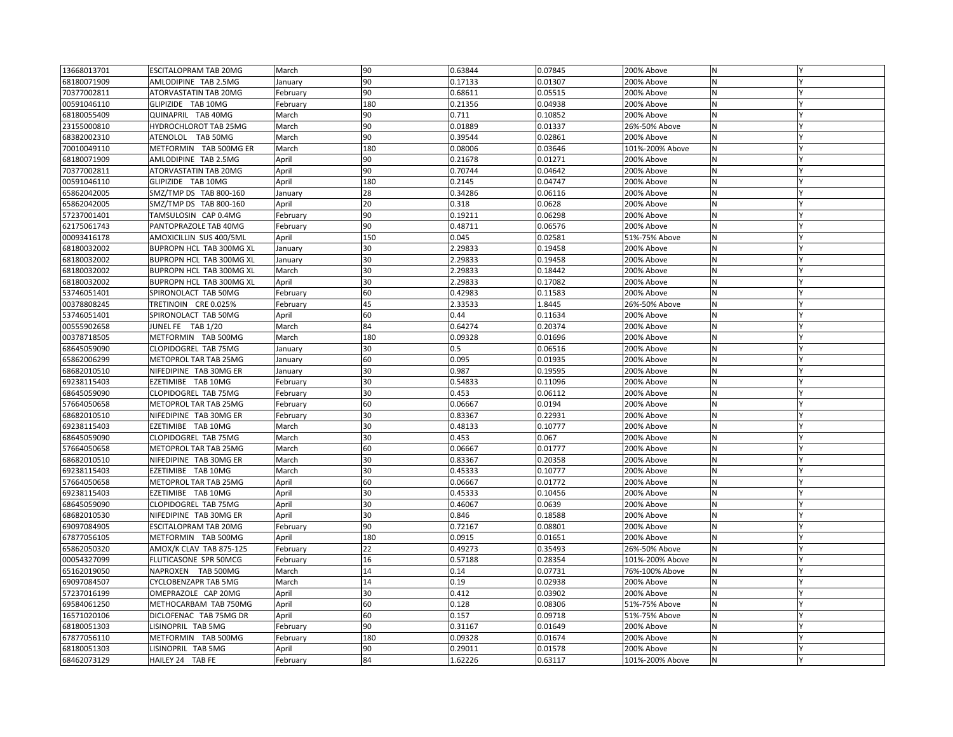| 13668013701 | <b>ESCITALOPRAM TAB 20MG</b> | March    | 90  | 0.63844 | 0.07845 | 200% Above      | N |  |
|-------------|------------------------------|----------|-----|---------|---------|-----------------|---|--|
| 68180071909 | AMLODIPINE TAB 2.5MG         | January  | 90  | 0.17133 | 0.01307 | 200% Above      | N |  |
| 70377002811 | ATORVASTATIN TAB 20MG        | February | 90  | 0.68611 | 0.05515 | 200% Above      | N |  |
| 00591046110 | GLIPIZIDE TAB 10MG           | February | 180 | 0.21356 | 0.04938 | 200% Above      | N |  |
| 68180055409 | QUINAPRIL TAB 40MG           | March    | 90  | 0.711   | 0.10852 | 200% Above      | N |  |
| 23155000810 | HYDROCHLOROT TAB 25MG        | March    | 90  | 0.01889 | 0.01337 | 26%-50% Above   | N |  |
| 68382002310 | ATENOLOL<br>TAB 50MG         | March    | 90  | 0.39544 | 0.02861 | 200% Above      | N |  |
| 70010049110 | METFORMIN TAB 500MG ER       | March    | 180 | 0.08006 | 0.03646 | 101%-200% Above | N |  |
| 68180071909 | AMLODIPINE TAB 2.5MG         | April    | 90  | 0.21678 | 0.01271 | 200% Above      | N |  |
| 70377002811 | ATORVASTATIN TAB 20MG        | April    | 90  | 0.70744 | 0.04642 | 200% Above      | N |  |
| 00591046110 | GLIPIZIDE TAB 10MG           | April    | 180 | 0.2145  | 0.04747 | 200% Above      | N |  |
| 65862042005 | SMZ/TMP DS TAB 800-160       | January  | 28  | 0.34286 | 0.06116 | 200% Above      | N |  |
| 65862042005 | SMZ/TMP DS TAB 800-160       | April    | 20  | 0.318   | 0.0628  | 200% Above      | N |  |
| 57237001401 | TAMSULOSIN CAP 0.4MG         | February | 90  | 0.19211 | 0.06298 | 200% Above      | N |  |
| 62175061743 | PANTOPRAZOLE TAB 40MG        | February | 90  | 0.48711 | 0.06576 | 200% Above      | N |  |
| 00093416178 | AMOXICILLIN SUS 400/5ML      | April    | 150 | 0.045   | 0.02581 | 51%-75% Above   | N |  |
| 68180032002 | BUPROPN HCL TAB 300MG XL     | January  | 30  | 2.29833 | 0.19458 | 200% Above      | N |  |
| 68180032002 | BUPROPN HCL TAB 300MG XL     | January  | 30  | 2.29833 | 0.19458 | 200% Above      | N |  |
| 68180032002 | BUPROPN HCL TAB 300MG XL     | March    | 30  | 2.29833 | 0.18442 | 200% Above      |   |  |
| 68180032002 | BUPROPN HCL TAB 300MG XL     | April    | 30  | 2.29833 | 0.17082 | 200% Above      |   |  |
| 53746051401 | SPIRONOLACT TAB 50MG         | February | 60  | 0.42983 | 0.11583 | 200% Above      |   |  |
| 00378808245 | TRETINOIN CRE 0.025%         | February | 45  | 2.33533 | 1.8445  | 26%-50% Above   | N |  |
| 53746051401 | SPIRONOLACT TAB 50MG         | April    | 60  | 0.44    | 0.11634 | 200% Above      | N |  |
| 00555902658 | JUNEL FE TAB 1/20            | March    | 84  | 0.64274 | 0.20374 | 200% Above      | N |  |
| 00378718505 | METFORMIN TAB 500MG          | March    | 180 | 0.09328 | 0.01696 | 200% Above      |   |  |
| 68645059090 | CLOPIDOGREL TAB 75MG         | January  | 30  | 0.5     | 0.06516 | 200% Above      | N |  |
| 65862006299 | METOPROL TAR TAB 25MG        | January  | 60  | 0.095   | 0.01935 | 200% Above      | N |  |
| 68682010510 | NIFEDIPINE TAB 30MG ER       | January  | 30  | 0.987   | 0.19595 | 200% Above      | N |  |
| 69238115403 | EZETIMIBE TAB 10MG           | February | 30  | 0.54833 | 0.11096 | 200% Above      | N |  |
| 68645059090 | CLOPIDOGREL TAB 75MG         | February | 30  | 0.453   | 0.06112 | 200% Above      | N |  |
| 57664050658 | METOPROL TAR TAB 25MG        | February | 60  | 0.06667 | 0.0194  | 200% Above      | N |  |
| 68682010510 | NIFEDIPINE TAB 30MG ER       | February | 30  | 0.83367 | 0.22931 | 200% Above      |   |  |
| 69238115403 | EZETIMIBE TAB 10MG           | March    | 30  | 0.48133 | 0.10777 | 200% Above      | N |  |
| 68645059090 | CLOPIDOGREL TAB 75MG         | March    | 30  | 0.453   | 0.067   | 200% Above      | N |  |
| 57664050658 | METOPROL TAR TAB 25MG        | March    | 60  | 0.06667 | 0.01777 | 200% Above      | N |  |
| 68682010510 | NIFEDIPINE TAB 30MG ER       | March    | 30  | 0.83367 | 0.20358 | 200% Above      | N |  |
| 69238115403 | EZETIMIBE TAB 10MG           | March    | 30  | 0.45333 | 0.10777 | 200% Above      | N |  |
| 57664050658 | METOPROL TAR TAB 25MG        | April    | 60  | 0.06667 | 0.01772 | 200% Above      | N |  |
| 69238115403 | EZETIMIBE TAB 10MG           | April    | 30  | 0.45333 | 0.10456 | 200% Above      | N |  |
| 68645059090 | CLOPIDOGREL TAB 75MG         | April    | 30  | 0.46067 | 0.0639  | 200% Above      |   |  |
| 68682010530 | NIFEDIPINE TAB 30MG ER       | April    | 30  | 0.846   | 0.18588 | 200% Above      | N |  |
| 69097084905 | <b>ESCITALOPRAM TAB 20MG</b> | February | 90  | 0.72167 | 0.08801 | 200% Above      | N |  |
| 67877056105 | METFORMIN TAB 500MG          | April    | 180 | 0.0915  | 0.01651 | 200% Above      | N |  |
| 65862050320 | AMOX/K CLAV TAB 875-125      | February | 22  | 0.49273 | 0.35493 | 26%-50% Above   | N |  |
| 00054327099 | FLUTICASONE SPR 50MCG        | February | 16  | 0.57188 | 0.28354 | 101%-200% Above |   |  |
| 65162019050 | NAPROXEN<br>TAB 500MG        | March    | 14  | 0.14    | 0.07731 | 76%-100% Above  |   |  |
| 69097084507 | CYCLOBENZAPR TAB 5MG         | March    | 14  | 0.19    | 0.02938 | 200% Above      | N |  |
| 57237016199 | OMEPRAZOLE CAP 20MG          | April    | 30  | 0.412   | 0.03902 | 200% Above      | N |  |
| 69584061250 | METHOCARBAM TAB 750MG        | April    | 60  | 0.128   | 0.08306 | 51%-75% Above   | N |  |
| 16571020106 | DICLOFENAC TAB 75MG DR       | April    | 60  | 0.157   | 0.09718 | 51%-75% Above   |   |  |
| 68180051303 | LISINOPRIL TAB 5MG           | February | 90  | 0.31167 | 0.01649 | 200% Above      | N |  |
| 67877056110 | METFORMIN TAB 500MG          | February | 180 | 0.09328 | 0.01674 | 200% Above      | N |  |
| 68180051303 | LISINOPRIL TAB 5MG           | April    | 90  | 0.29011 | 0.01578 | 200% Above      | N |  |
| 68462073129 | HAILEY 24 TAB FE             | February | 84  | 1.62226 | 0.63117 | 101%-200% Above | N |  |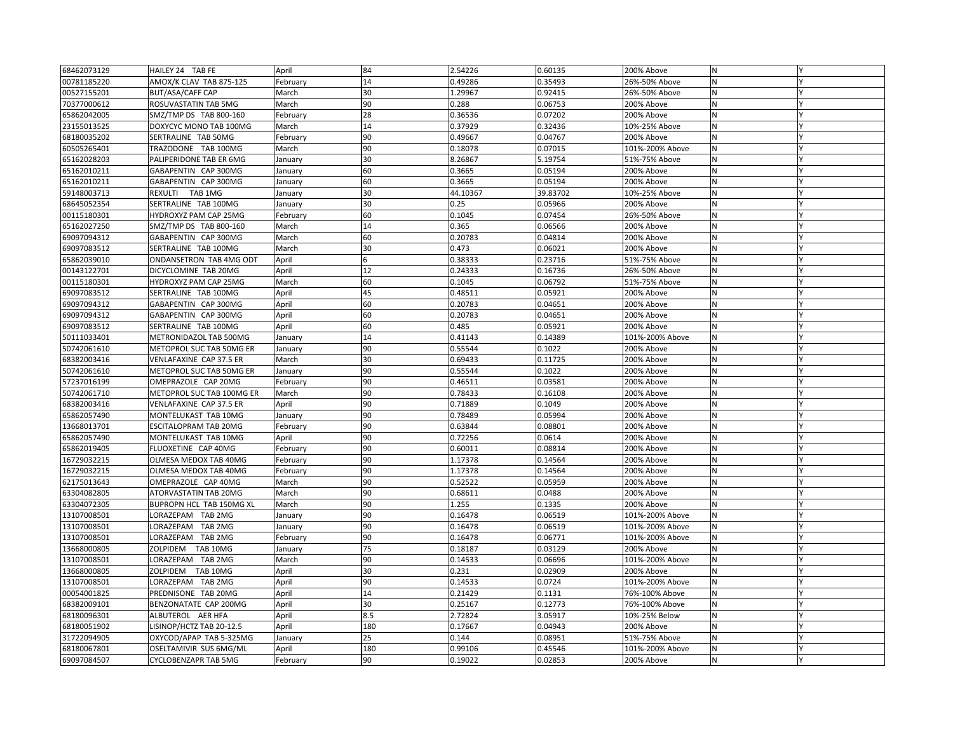| 68462073129 | HAILEY 24 TAB FE               | April    | 84  | 2.54226  | 0.60135  | 200% Above      | N |  |
|-------------|--------------------------------|----------|-----|----------|----------|-----------------|---|--|
| 00781185220 | AMOX/K CLAV TAB 875-125        | February | 14  | 0.49286  | 0.35493  | 26%-50% Above   | N |  |
| 00527155201 | <b>BUT/ASA/CAFF CAP</b>        | March    | 30  | 1.29967  | 0.92415  | 26%-50% Above   | N |  |
| 70377000612 | ROSUVASTATIN TAB 5MG           | March    | 90  | 0.288    | 0.06753  | 200% Above      |   |  |
| 65862042005 | SMZ/TMP DS TAB 800-160         | February | 28  | 0.36536  | 0.07202  | 200% Above      | N |  |
| 23155013525 | DOXYCYC MONO TAB 100MG         | March    | 14  | 0.37929  | 0.32436  | 10%-25% Above   |   |  |
| 68180035202 | SERTRALINE TAB 50MG            | February | 90  | 0.49667  | 0.04767  | 200% Above      | N |  |
| 60505265401 | TRAZODONE TAB 100MG            | March    | 90  | 0.18078  | 0.07015  | 101%-200% Above | N |  |
| 65162028203 | PALIPERIDONE TAB ER 6MG        | January  | 30  | 8.26867  | 5.19754  | 51%-75% Above   | N |  |
| 65162010211 | GABAPENTIN CAP 300MG           | January  | 60  | 0.3665   | 0.05194  | 200% Above      | N |  |
| 65162010211 | GABAPENTIN CAP 300MG           | January  | 60  | 0.3665   | 0.05194  | 200% Above      | N |  |
| 59148003713 | REXULTI<br>TAB 1MG             | January  | 30  | 44.10367 | 39.83702 | 10%-25% Above   | N |  |
| 68645052354 | SERTRALINE TAB 100MG           | January  | 30  | 0.25     | 0.05966  | 200% Above      | N |  |
| 00115180301 | HYDROXYZ PAM CAP 25MG          | February | 60  | 0.1045   | 0.07454  | 26%-50% Above   | N |  |
| 65162027250 | SMZ/TMP DS TAB 800-160         | March    | 14  | 0.365    | 0.06566  | 200% Above      | N |  |
| 69097094312 | GABAPENTIN CAP 300MG           | March    | 60  | 0.20783  | 0.04814  | 200% Above      | N |  |
| 69097083512 | SERTRALINE TAB 100MG           | March    | 30  | 0.473    | 0.06021  | 200% Above      | N |  |
| 65862039010 | ONDANSETRON TAB 4MG ODT        | April    |     | 0.38333  | 0.23716  | 51%-75% Above   | N |  |
| 00143122701 | DICYCLOMINE TAB 20MG           | April    | 12  | 0.24333  | 0.16736  | 26%-50% Above   | N |  |
| 00115180301 | HYDROXYZ PAM CAP 25MG          | March    | 60  | 0.1045   | 0.06792  | 51%-75% Above   | N |  |
| 69097083512 | SERTRALINE TAB 100MG           | April    | 45  | 0.48511  | 0.05921  | 200% Above      | N |  |
| 69097094312 | GABAPENTIN CAP 300MG           | April    | 60  | 0.20783  | 0.04651  | 200% Above      | N |  |
| 69097094312 | GABAPENTIN CAP 300MG           | April    | 60  | 0.20783  | 0.04651  | 200% Above      | N |  |
| 69097083512 | SERTRALINE TAB 100MG           | April    | 60  | 0.485    | 0.05921  | 200% Above      | N |  |
| 50111033401 | METRONIDAZOL TAB 500MG         | January  | 14  | 0.41143  | 0.14389  | 101%-200% Above | N |  |
| 50742061610 | METOPROL SUC TAB 50MG ER       | January  | 90  | 0.55544  | 0.1022   | 200% Above      | N |  |
| 68382003416 | <b>VENLAFAXINE CAP 37.5 ER</b> | March    | 30  | 0.69433  | 0.11725  | 200% Above      | N |  |
| 50742061610 | METOPROL SUC TAB 50MG ER       | January  | 90  | 0.55544  | 0.1022   | 200% Above      | N |  |
| 57237016199 | OMEPRAZOLE CAP 20MG            | February | 90  | 0.46511  | 0.03581  | 200% Above      | N |  |
| 50742061710 | METOPROL SUC TAB 100MG ER      | March    | 90  | 0.78433  | 0.16108  | 200% Above      | N |  |
| 68382003416 | VENLAFAXINE CAP 37.5 ER        | April    | 90  | 0.71889  | 0.1049   | 200% Above      | N |  |
| 65862057490 | MONTELUKAST TAB 10MG           | January  | 90  | 0.78489  | 0.05994  | 200% Above      | N |  |
| 13668013701 | <b>ESCITALOPRAM TAB 20MG</b>   | February | 90  | 0.63844  | 0.08801  | 200% Above      | N |  |
| 65862057490 | MONTELUKAST TAB 10MG           | April    | 90  | 0.72256  | 0.0614   | 200% Above      | N |  |
| 65862019405 | FLUOXETINE CAP 40MG            | February | 90  | 0.60011  | 0.08814  | 200% Above      | N |  |
| 16729032215 | OLMESA MEDOX TAB 40MG          | February | 90  | 1.17378  | 0.14564  | 200% Above      | N |  |
| 16729032215 | OLMESA MEDOX TAB 40MG          | February | 90  | 1.17378  | 0.14564  | 200% Above      | N |  |
| 62175013643 | OMEPRAZOLE CAP 40MG            | March    | 90  | 0.52522  | 0.05959  | 200% Above      | N |  |
| 63304082805 | ATORVASTATIN TAB 20MG          | March    | 90  | 0.68611  | 0.0488   | 200% Above      | N |  |
| 63304072305 | BUPROPN HCL TAB 150MG XL       | March    | 90  | 1.255    | 0.1335   | 200% Above      | N |  |
| 13107008501 | LORAZEPAM<br>TAB 2MG           | January  | 90  | 0.16478  | 0.06519  | 101%-200% Above | N |  |
| 13107008501 | LORAZEPAM<br>TAB 2MG           | January  | 90  | 0.16478  | 0.06519  | 101%-200% Above | N |  |
| 13107008501 | LORAZEPAM<br>TAB 2MG           | February | 90  | 0.16478  | 0.06771  | 101%-200% Above | N |  |
| 13668000805 | ZOLPIDEM<br>TAB 10MG           | January  | 75  | 0.18187  | 0.03129  | 200% Above      | N |  |
| 13107008501 | LORAZEPAM<br>TAB 2MG           | March    | 90  | 0.14533  | 0.06696  | 101%-200% Above | N |  |
| 13668000805 | ZOLPIDEM<br>TAB 10MG           | April    | 30  | 0.231    | 0.02909  | 200% Above      |   |  |
| 13107008501 | LORAZEPAM<br>TAB 2MG           | April    | 90  | 0.14533  | 0.0724   | 101%-200% Above | N |  |
| 00054001825 | PREDNISONE TAB 20MG            | April    | 14  | 0.21429  | 0.1131   | 76%-100% Above  | N |  |
| 68382009101 | BENZONATATE CAP 200MG          | April    | 30  | 0.25167  | 0.12773  | 76%-100% Above  | N |  |
| 68180096301 | ALBUTEROL AER HFA              | April    | 8.5 | 2.72824  | 3.05917  | 10%-25% Below   | N |  |
| 68180051902 | LISINOP/HCTZ TAB 20-12.5       | April    | 180 | 0.17667  | 0.04943  | 200% Above      | N |  |
| 31722094905 | OXYCOD/APAP TAB 5-325MG        | January  | 25  | 0.144    | 0.08951  | 51%-75% Above   | N |  |
| 68180067801 | OSELTAMIVIR SUS 6MG/ML         | April    | 180 | 0.99106  | 0.45546  | 101%-200% Above | N |  |
| 69097084507 | <b>CYCLOBENZAPR TAB 5MG</b>    | February | 90  | 0.19022  | 0.02853  | 200% Above      | N |  |
|             |                                |          |     |          |          |                 |   |  |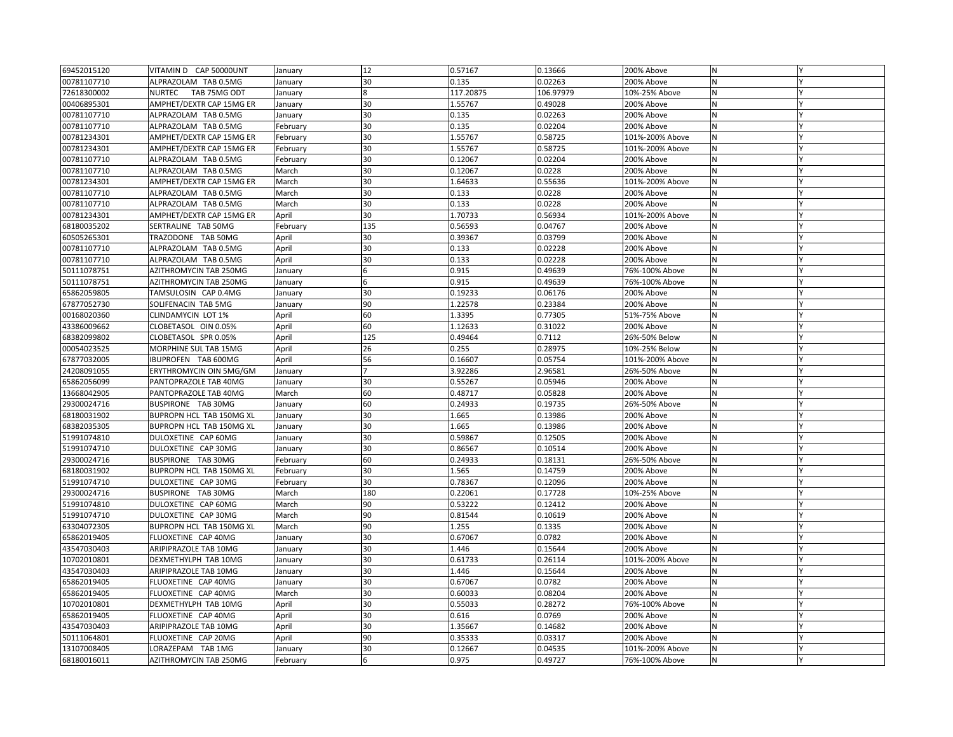| 69452015120 | VITAMIN D CAP 50000UNT   | January  | 12  | 0.57167   | 0.13666   | 200% Above      | IN. |  |
|-------------|--------------------------|----------|-----|-----------|-----------|-----------------|-----|--|
| 00781107710 | ALPRAZOLAM TAB 0.5MG     | January  | 30  | 0.135     | 0.02263   | 200% Above      | N   |  |
| 72618300002 | NURTEC<br>TAB 75MG ODT   | January  |     | 117.20875 | 106.97979 | 10%-25% Above   | N   |  |
| 00406895301 | AMPHET/DEXTR CAP 15MG ER | January  | 30  | 1.55767   | 0.49028   | 200% Above      |     |  |
| 00781107710 | ALPRAZOLAM TAB 0.5MG     | January  | 30  | 0.135     | 0.02263   | 200% Above      | N   |  |
| 00781107710 | ALPRAZOLAM TAB 0.5MG     | February | 30  | 0.135     | 0.02204   | 200% Above      |     |  |
| 00781234301 | AMPHET/DEXTR CAP 15MG ER | February | 30  | 1.55767   | 0.58725   | 101%-200% Above | N   |  |
| 00781234301 | AMPHET/DEXTR CAP 15MG ER | February | 30  | 1.55767   | 0.58725   | 101%-200% Above | N   |  |
| 00781107710 | ALPRAZOLAM TAB 0.5MG     | February | 30  | 0.12067   | 0.02204   | 200% Above      | N   |  |
| 00781107710 | ALPRAZOLAM TAB 0.5MG     | March    | 30  | 0.12067   | 0.0228    | 200% Above      | N   |  |
| 00781234301 | AMPHET/DEXTR CAP 15MG ER | March    | 30  | 1.64633   | 0.55636   | 101%-200% Above | N   |  |
| 00781107710 | ALPRAZOLAM TAB 0.5MG     | March    | 30  | 0.133     | 0.0228    | 200% Above      | N   |  |
| 00781107710 | ALPRAZOLAM TAB 0.5MG     | March    | 30  | 0.133     | 0.0228    | 200% Above      | N   |  |
| 00781234301 | AMPHET/DEXTR CAP 15MG ER | April    | 30  | 1.70733   | 0.56934   | 101%-200% Above | N   |  |
| 68180035202 | SERTRALINE TAB 50MG      | February | 135 | 0.56593   | 0.04767   | 200% Above      |     |  |
| 60505265301 | TRAZODONE TAB 50MG       | April    | 30  | 0.39367   | 0.03799   | 200% Above      | N   |  |
| 00781107710 | ALPRAZOLAM TAB 0.5MG     | April    | 30  | 0.133     | 0.02228   | 200% Above      | N   |  |
| 00781107710 | ALPRAZOLAM TAB 0.5MG     | April    | 30  | 0.133     | 0.02228   | 200% Above      | N   |  |
| 50111078751 | AZITHROMYCIN TAB 250MG   | January  |     | 0.915     | 0.49639   | 76%-100% Above  |     |  |
| 50111078751 | AZITHROMYCIN TAB 250MG   | January  |     | 0.915     | 0.49639   | 76%-100% Above  | N   |  |
| 65862059805 | TAMSULOSIN CAP 0.4MG     | January  | 30  | 0.19233   | 0.06176   | 200% Above      |     |  |
| 67877052730 | SOLIFENACIN TAB 5MG      | January  | 90  | 1.22578   | 0.23384   | 200% Above      | N   |  |
| 00168020360 | CLINDAMYCIN LOT 1%       | April    | 60  | 1.3395    | 0.77305   | 51%-75% Above   | N   |  |
| 43386009662 | CLOBETASOL OIN 0.05%     | April    | 60  | 1.12633   | 0.31022   | 200% Above      |     |  |
| 68382099802 | CLOBETASOL SPR 0.05%     | April    | 125 | 0.49464   | 0.7112    | 26%-50% Below   | N   |  |
| 00054023525 | MORPHINE SUL TAB 15MG    | April    | 26  | 0.255     | 0.28975   | 10%-25% Below   | N   |  |
| 67877032005 | IBUPROFEN TAB 600MG      | April    | 56  | 0.16607   | 0.05754   | 101%-200% Above | N   |  |
| 24208091055 | ERYTHROMYCIN OIN 5MG/GM  | January  |     | 3.92286   | 2.96581   | 26%-50% Above   | N   |  |
| 65862056099 | PANTOPRAZOLE TAB 40MG    | January  | 30  | 0.55267   | 0.05946   | 200% Above      | N   |  |
| 13668042905 | PANTOPRAZOLE TAB 40MG    | March    | 60  | 0.48717   | 0.05828   | 200% Above      | N   |  |
| 29300024716 | BUSPIRONE TAB 30MG       | January  | 60  | 0.24933   | 0.19735   | 26%-50% Above   | N   |  |
| 68180031902 | BUPROPN HCL TAB 150MG XL | January  | 30  | 1.665     | 0.13986   | 200% Above      |     |  |
| 68382035305 | BUPROPN HCL TAB 150MG XL | January  | 30  | 1.665     | 0.13986   | 200% Above      | N   |  |
| 51991074810 | DULOXETINE CAP 60MG      | January  | 30  | 0.59867   | 0.12505   | 200% Above      |     |  |
| 51991074710 | DULOXETINE CAP 30MG      | January  | 30  | 0.86567   | 0.10514   | 200% Above      | N   |  |
| 29300024716 | BUSPIRONE TAB 30MG       | February | 60  | 0.24933   | 0.18131   | 26%-50% Above   | N   |  |
| 68180031902 | BUPROPN HCL TAB 150MG XL | February | 30  | 1.565     | 0.14759   | 200% Above      |     |  |
| 51991074710 | DULOXETINE CAP 30MG      | February | 30  | 0.78367   | 0.12096   | 200% Above      |     |  |
| 29300024716 | BUSPIRONE TAB 30MG       | March    | 180 | 0.22061   | 0.17728   | 10%-25% Above   | N   |  |
| 51991074810 | DULOXETINE CAP 60MG      | March    | 90  | 0.53222   | 0.12412   | 200% Above      | N   |  |
| 51991074710 | DULOXETINE CAP 30MG      | March    | 90  | 0.81544   | 0.10619   | 200% Above      | N   |  |
| 63304072305 | BUPROPN HCL TAB 150MG XL | March    | 90  | 1.255     | 0.1335    | 200% Above      | N   |  |
| 65862019405 | FLUOXETINE CAP 40MG      | January  | 30  | 0.67067   | 0.0782    | 200% Above      | N   |  |
| 43547030403 | ARIPIPRAZOLE TAB 10MG    | January  | 30  | 1.446     | 0.15644   | 200% Above      | N   |  |
| 10702010801 | DEXMETHYLPH TAB 10MG     | January  | 30  | 0.61733   | 0.26114   | 101%-200% Above | N   |  |
| 43547030403 | ARIPIPRAZOLE TAB 10MG    | January  | 30  | 1.446     | 0.15644   | 200% Above      | N   |  |
| 65862019405 | FLUOXETINE CAP 40MG      | January  | 30  | 0.67067   | 0.0782    | 200% Above      | Ń   |  |
| 65862019405 | FLUOXETINE CAP 40MG      | March    | 30  | 0.60033   | 0.08204   | 200% Above      | N   |  |
| 10702010801 | DEXMETHYLPH TAB 10MG     | April    | 30  | 0.55033   | 0.28272   | 76%-100% Above  | Ν   |  |
| 65862019405 | FLUOXETINE CAP 40MG      | April    | 30  | 0.616     | 0.0769    | 200% Above      | N   |  |
| 43547030403 | ARIPIPRAZOLE TAB 10MG    | April    | 30  | 1.35667   | 0.14682   | 200% Above      |     |  |
| 50111064801 | FLUOXETINE CAP 20MG      | April    | 90  | 0.35333   | 0.03317   | 200% Above      | N   |  |
| 13107008405 | LORAZEPAM TAB 1MG        | January  | 30  | 0.12667   | 0.04535   | 101%-200% Above | N   |  |
| 68180016011 | AZITHROMYCIN TAB 250MG   | February | 6   | 0.975     | 0.49727   | 76%-100% Above  | N   |  |
|             |                          |          |     |           |           |                 |     |  |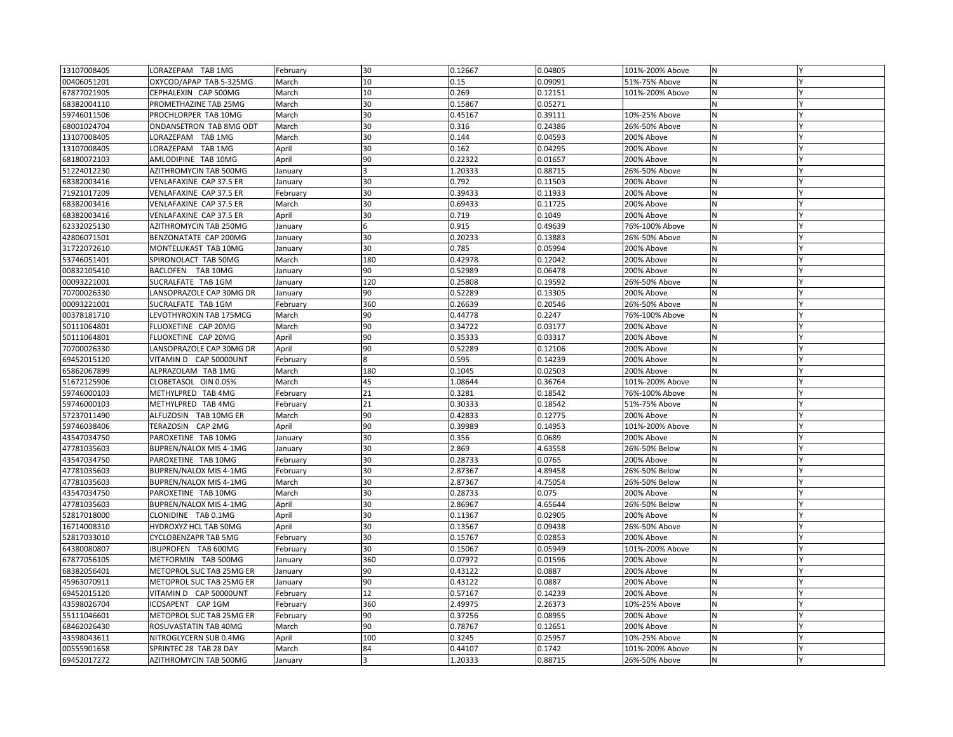| 13107008405 | LORAZEPAM TAB 1MG             | February | 30  | 0.12667 | 0.04805 | 101%-200% Above | <b>N</b> |  |
|-------------|-------------------------------|----------|-----|---------|---------|-----------------|----------|--|
| 00406051201 | OXYCOD/APAP TAB 5-325MG       | March    | 10  | 0.15    | 0.09091 | 51%-75% Above   | N        |  |
| 67877021905 | CEPHALEXIN CAP 500MG          | March    | 10  | 0.269   | 0.12151 | 101%-200% Above | N        |  |
| 68382004110 | PROMETHAZINE TAB 25MG         | March    | 30  | 0.15867 | 0.05271 |                 |          |  |
| 59746011506 | PROCHLORPER TAB 10MG          | March    | 30  | 0.45167 | 0.39111 | 10%-25% Above   | N        |  |
| 68001024704 | ONDANSETRON TAB 8MG ODT       | March    | 30  | 0.316   | 0.24386 | 26%-50% Above   | N        |  |
| 13107008405 | LORAZEPAM TAB 1MG             | March    | 30  | 0.144   | 0.04593 | 200% Above      | N        |  |
| 13107008405 | LORAZEPAM TAB 1MG             | April    | 30  | 0.162   | 0.04295 | 200% Above      | N        |  |
| 68180072103 | AMLODIPINE TAB 10MG           | April    | 90  | 0.22322 | 0.01657 | 200% Above      | N        |  |
| 51224012230 | AZITHROMYCIN TAB 500MG        | January  |     | 1.20333 | 0.88715 | 26%-50% Above   | N        |  |
| 68382003416 | VENLAFAXINE CAP 37.5 ER       | January  | 30  | 0.792   | 0.11503 | 200% Above      | N        |  |
| 71921017209 | VENLAFAXINE CAP 37.5 ER       | February | 30  | 0.39433 | 0.11933 | 200% Above      | N        |  |
| 68382003416 | VENLAFAXINE CAP 37.5 ER       | March    | 30  | 0.69433 | 0.11725 | 200% Above      | N        |  |
| 68382003416 | VENLAFAXINE CAP 37.5 ER       | April    | 30  | 0.719   | 0.1049  | 200% Above      | N        |  |
| 62332025130 | AZITHROMYCIN TAB 250MG        | January  |     | 0.915   | 0.49639 | 76%-100% Above  | N        |  |
| 42806071501 | BENZONATATE CAP 200MG         | January  | 30  | 0.20233 | 0.13883 | 26%-50% Above   | N        |  |
| 31722072610 | MONTELUKAST TAB 10MG          | January  | 30  | 0.785   | 0.05994 | 200% Above      |          |  |
| 53746051401 | SPIRONOLACT TAB 50MG          | March    | 180 | 0.42978 | 0.12042 | 200% Above      | N        |  |
| 00832105410 | BACLOFEN TAB 10MG             | January  | 90  | 0.52989 | 0.06478 | 200% Above      |          |  |
| 00093221001 | SUCRALFATE TAB 1GM            | January  | 120 | 0.25808 | 0.19592 | 26%-50% Above   |          |  |
| 70700026330 | LANSOPRAZOLE CAP 30MG DR      | January  | 90  | 0.52289 | 0.13305 | 200% Above      | N        |  |
| 00093221001 | SUCRALFATE TAB 1GM            | February | 360 | 0.26639 | 0.20546 | 26%-50% Above   | N        |  |
| 00378181710 | LEVOTHYROXIN TAB 175MCG       | March    | 90  | 0.44778 | 0.2247  | 76%-100% Above  | N        |  |
| 50111064801 | FLUOXETINE CAP 20MG           | March    | 90  | 0.34722 | 0.03177 | 200% Above      | N        |  |
| 50111064801 | FLUOXETINE CAP 20MG           | April    | 90  | 0.35333 | 0.03317 | 200% Above      | N        |  |
| 70700026330 | LANSOPRAZOLE CAP 30MG DR      | April    | 90  | 0.52289 | 0.12106 | 200% Above      | N        |  |
| 69452015120 | VITAMIN D CAP 50000UNT        | February |     | 0.595   | 0.14239 | 200% Above      | N        |  |
| 65862067899 | ALPRAZOLAM TAB 1MG            | March    | 180 | 0.1045  | 0.02503 | 200% Above      | N        |  |
| 51672125906 | CLOBETASOL OIN 0.05%          | March    | 45  | 1.08644 | 0.36764 | 101%-200% Above | N        |  |
| 59746000103 | METHYLPRED TAB 4MG            | February | 21  | 0.3281  | 0.18542 | 76%-100% Above  | N        |  |
| 59746000103 | METHYLPRED TAB 4MG            | February | 21  | 0.30333 | 0.18542 | 51%-75% Above   | N        |  |
| 57237011490 | ALFUZOSIN TAB 10MG ER         | March    | 90  | 0.42833 | 0.12775 | 200% Above      | N        |  |
| 59746038406 | TERAZOSIN CAP 2MG             | April    | 90  | 0.39989 | 0.14953 | 101%-200% Above | N        |  |
| 43547034750 | PAROXETINE TAB 10MG           | January  | 30  | 0.356   | 0.0689  | 200% Above      |          |  |
| 47781035603 | <b>BUPREN/NALOX MIS 4-1MG</b> | January  | 30  | 2.869   | 4.63558 | 26%-50% Below   | N        |  |
| 43547034750 | PAROXETINE TAB 10MG           | February | 30  | 0.28733 | 0.0765  | 200% Above      | N        |  |
| 47781035603 | <b>BUPREN/NALOX MIS 4-1MG</b> | February | 30  | 2.87367 | 4.89458 | 26%-50% Below   | N        |  |
| 47781035603 | <b>BUPREN/NALOX MIS 4-1MG</b> | March    | 30  | 2.87367 | 4.75054 | 26%-50% Below   | N        |  |
| 43547034750 | PAROXETINE TAB 10MG           | March    | 30  | 0.28733 | 0.075   | 200% Above      | N        |  |
| 47781035603 | <b>BUPREN/NALOX MIS 4-1MG</b> | April    | 30  | 2.86967 | 4.65644 | 26%-50% Below   | N        |  |
| 52817018000 | CLONIDINE TAB 0.1MG           | April    | 30  | 0.11367 | 0.02905 | 200% Above      | N        |  |
| 16714008310 | HYDROXYZ HCL TAB 50MG         | April    | 30  | 0.13567 | 0.09438 | 26%-50% Above   | N        |  |
| 52817033010 | CYCLOBENZAPR TAB 5MG          | February | 30  | 0.15767 | 0.02853 | 200% Above      | N        |  |
| 64380080807 | IBUPROFEN TAB 600MG           | February | 30  | 0.15067 | 0.05949 | 101%-200% Above | N        |  |
| 67877056105 | METFORMIN TAB 500MG           | January  | 360 | 0.07972 | 0.01596 | 200% Above      | N        |  |
| 68382056401 | METOPROL SUC TAB 25MG ER      | January  | 90  | 0.43122 | 0.0887  | 200% Above      | N        |  |
| 45963070911 | METOPROL SUC TAB 25MG ER      | January  | 90  | 0.43122 | 0.0887  | 200% Above      | N        |  |
| 69452015120 | VITAMIN D CAP 50000UNT        | February | 12  | 0.57167 | 0.14239 | 200% Above      | N        |  |
| 43598026704 | ICOSAPENT CAP 1GM             | February | 360 | 2.49975 | 2.26373 | 10%-25% Above   | N        |  |
| 55111046601 | METOPROL SUC TAB 25MG ER      | February | 90  | 0.37256 | 0.08955 | 200% Above      | N        |  |
| 68462026430 | ROSUVASTATIN TAB 40MG         | March    | 90  | 0.78767 | 0.12651 | 200% Above      |          |  |
| 43598043611 | NITROGLYCERN SUB 0.4MG        | April    | 100 | 0.3245  | 0.25957 | 10%-25% Above   | N        |  |
| 00555901658 | SPRINTEC 28 TAB 28 DAY        | March    | 84  | 0.44107 | 0.1742  | 101%-200% Above | N        |  |
| 69452017272 | AZITHROMYCIN TAB 500MG        | January  |     | 1.20333 | 0.88715 | 26%-50% Above   | N        |  |
|             |                               |          |     |         |         |                 |          |  |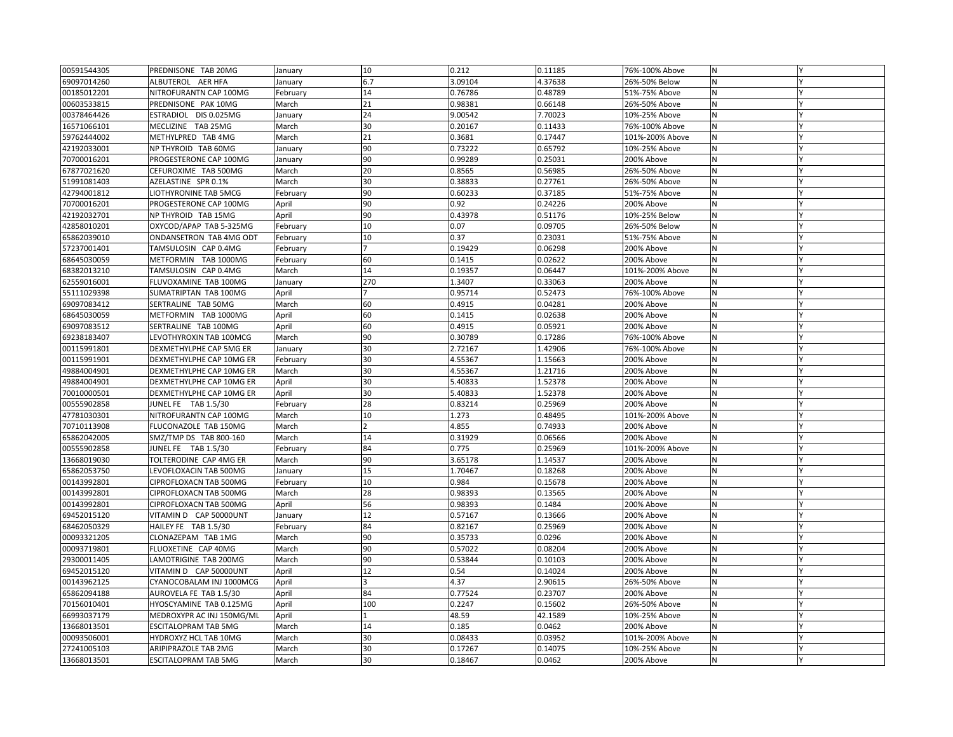| 00591544305 | PREDNISONE TAB 20MG            | January  | 10  | 0.212   | 0.11185 | 76%-100% Above  | IN. |  |
|-------------|--------------------------------|----------|-----|---------|---------|-----------------|-----|--|
| 69097014260 | ALBUTEROL AER HFA              | January  | 6.7 | 3.09104 | 4.37638 | 26%-50% Below   | N   |  |
| 00185012201 | NITROFURANTN CAP 100MG         | February | 14  | 0.76786 | 0.48789 | 51%-75% Above   | N   |  |
| 00603533815 | PREDNISONE PAK 10MG            | March    | 21  | 0.98381 | 0.66148 | 26%-50% Above   |     |  |
| 00378464426 | ESTRADIOL DIS 0.025MG          | January  | 24  | 9.00542 | 7.70023 | 10%-25% Above   | N   |  |
| 16571066101 | MECLIZINE TAB 25MG             | March    | 30  | 0.20167 | 0.11433 | 76%-100% Above  | N   |  |
| 59762444002 | METHYLPRED TAB 4MG             | March    | 21  | 0.3681  | 0.17447 | 101%-200% Above | N   |  |
| 42192033001 | NP THYROID TAB 60MG            | January  | 90  | 0.73222 | 0.65792 | 10%-25% Above   |     |  |
| 70700016201 | PROGESTERONE CAP 100MG         | January  | 90  | 0.99289 | 0.25031 | 200% Above      | N   |  |
| 67877021620 | CEFUROXIME TAB 500MG           | March    | 20  | 0.8565  | 0.56985 | 26%-50% Above   | N   |  |
| 51991081403 | AZELASTINE SPR 0.1%            | March    | 30  | 0.38833 | 0.27761 | 26%-50% Above   | N   |  |
| 42794001812 | <b>LIOTHYRONINE TAB 5MCG</b>   | February | 90  | 0.60233 | 0.37185 | 51%-75% Above   | N   |  |
| 70700016201 | PROGESTERONE CAP 100MG         | April    | 90  | 0.92    | 0.24226 | 200% Above      | N   |  |
| 42192032701 | NP THYROID TAB 15MG            | April    | 90  | 0.43978 | 0.51176 | 10%-25% Below   | N   |  |
| 42858010201 | OXYCOD/APAP TAB 5-325MG        | February | 10  | 0.07    | 0.09705 | 26%-50% Below   | N   |  |
| 65862039010 | <b>ONDANSETRON TAB 4MG ODT</b> | February | 10  | 0.37    | 0.23031 | 51%-75% Above   | N   |  |
| 57237001401 | TAMSULOSIN CAP 0.4MG           | February |     | 0.19429 | 0.06298 | 200% Above      |     |  |
| 68645030059 | METFORMIN TAB 1000MG           | February | 60  | 0.1415  | 0.02622 | 200% Above      | N   |  |
| 68382013210 | TAMSULOSIN CAP 0.4MG           | March    | 14  | 0.19357 | 0.06447 | 101%-200% Above | N   |  |
| 62559016001 | FLUVOXAMINE TAB 100MG          | January  | 270 | 1.3407  | 0.33063 | 200% Above      |     |  |
| 55111029398 | SUMATRIPTAN TAB 100MG          | April    |     | 0.95714 | 0.52473 | 76%-100% Above  | N   |  |
| 69097083412 | SERTRALINE TAB 50MG            | March    | 60  | 0.4915  | 0.04281 | 200% Above      | N   |  |
| 68645030059 | METFORMIN TAB 1000MG           | April    | 60  | 0.1415  | 0.02638 | 200% Above      | N   |  |
| 69097083512 | SERTRALINE TAB 100MG           | April    | 60  | 0.4915  | 0.05921 | 200% Above      | N   |  |
| 69238183407 | LEVOTHYROXIN TAB 100MCG        | March    | 90  | 0.30789 | 0.17286 | 76%-100% Above  | N   |  |
| 00115991801 | DEXMETHYLPHE CAP 5MG ER        | January  | 30  | 2.72167 | 1.42906 | 76%-100% Above  | N   |  |
| 00115991901 | DEXMETHYLPHE CAP 10MG ER       | February | 30  | 4.55367 | 1.15663 | 200% Above      | N   |  |
| 49884004901 | DEXMETHYLPHE CAP 10MG ER       | March    | 30  | 4.55367 | 1.21716 | 200% Above      | N   |  |
| 49884004901 | DEXMETHYLPHE CAP 10MG ER       | April    | 30  | 5.40833 | 1.52378 | 200% Above      | N   |  |
| 70010000501 | DEXMETHYLPHE CAP 10MG ER       | April    | 30  | 5.40833 | 1.52378 | 200% Above      | N   |  |
| 00555902858 | JUNEL FE TAB 1.5/30            | February | 28  | 0.83214 | 0.25969 | 200% Above      | N   |  |
| 47781030301 | NITROFURANTN CAP 100MG         | March    | 10  | 1.273   | 0.48495 | 101%-200% Above | N   |  |
| 70710113908 | FLUCONAZOLE TAB 150MG          | March    |     | 4.855   | 0.74933 | 200% Above      | N   |  |
| 65862042005 | SMZ/TMP DS TAB 800-160         | March    | 14  | 0.31929 | 0.06566 | 200% Above      | N   |  |
| 00555902858 | JUNEL FE TAB 1.5/30            | February | 84  | 0.775   | 0.25969 | 101%-200% Above | N   |  |
| 13668019030 | TOLTERODINE CAP 4MG ER         | March    | 90  | 3.65178 | 1.14537 | 200% Above      | N   |  |
| 65862053750 | LEVOFLOXACIN TAB 500MG         | January  | 15  | 1.70467 | 0.18268 | 200% Above      | N   |  |
| 00143992801 | CIPROFLOXACN TAB 500MG         | Februarv | 10  | 0.984   | 0.15678 | 200% Above      | N   |  |
| 00143992801 | CIPROFLOXACN TAB 500MG         | March    | 28  | 0.98393 | 0.13565 | 200% Above      | N   |  |
| 00143992801 | CIPROFLOXACN TAB 500MG         | April    | 56  | 0.98393 | 0.1484  | 200% Above      | N   |  |
| 69452015120 | VITAMIN D CAP 50000UNT         | January  | 12  | 0.57167 | 0.13666 | 200% Above      | N   |  |
| 68462050329 | HAILEY FE TAB 1.5/30           | February | 84  | 0.82167 | 0.25969 | 200% Above      | N   |  |
| 00093321205 | CLONAZEPAM TAB 1MG             | March    | 90  | 0.35733 | 0.0296  | 200% Above      | N   |  |
| 00093719801 | FLUOXETINE CAP 40MG            | March    | 90  | 0.57022 | 0.08204 | 200% Above      | N   |  |
| 29300011405 | LAMOTRIGINE TAB 200MG          | March    | 90  | 0.53844 | 0.10103 | 200% Above      | N   |  |
| 69452015120 | VITAMIN D CAP 50000UNT         | April    | 12  | 0.54    | 0.14024 | 200% Above      | N   |  |
| 00143962125 | CYANOCOBALAM INJ 1000MCG       | April    |     | 4.37    | 2.90615 | 26%-50% Above   | N   |  |
| 65862094188 | AUROVELA FE TAB 1.5/30         | April    | 84  | 0.77524 | 0.23707 | 200% Above      | N   |  |
| 70156010401 | HYOSCYAMINE TAB 0.125MG        | April    | 100 | 0.2247  | 0.15602 | 26%-50% Above   | N   |  |
| 66993037179 | MEDROXYPR AC INJ 150MG/ML      | April    |     | 48.59   | 42.1589 | 10%-25% Above   | N   |  |
| 13668013501 | <b>ESCITALOPRAM TAB 5MG</b>    | March    | 14  | 0.185   | 0.0462  | 200% Above      |     |  |
| 00093506001 | HYDROXYZ HCL TAB 10MG          | March    | 30  | 0.08433 | 0.03952 | 101%-200% Above | N   |  |
| 27241005103 | ARIPIPRAZOLE TAB 2MG           | March    | 30  | 0.17267 | 0.14075 | 10%-25% Above   | N   |  |
| 13668013501 | <b>ESCITALOPRAM TAB 5MG</b>    | March    | 30  | 0.18467 | 0.0462  | 200% Above      | N   |  |
|             |                                |          |     |         |         |                 |     |  |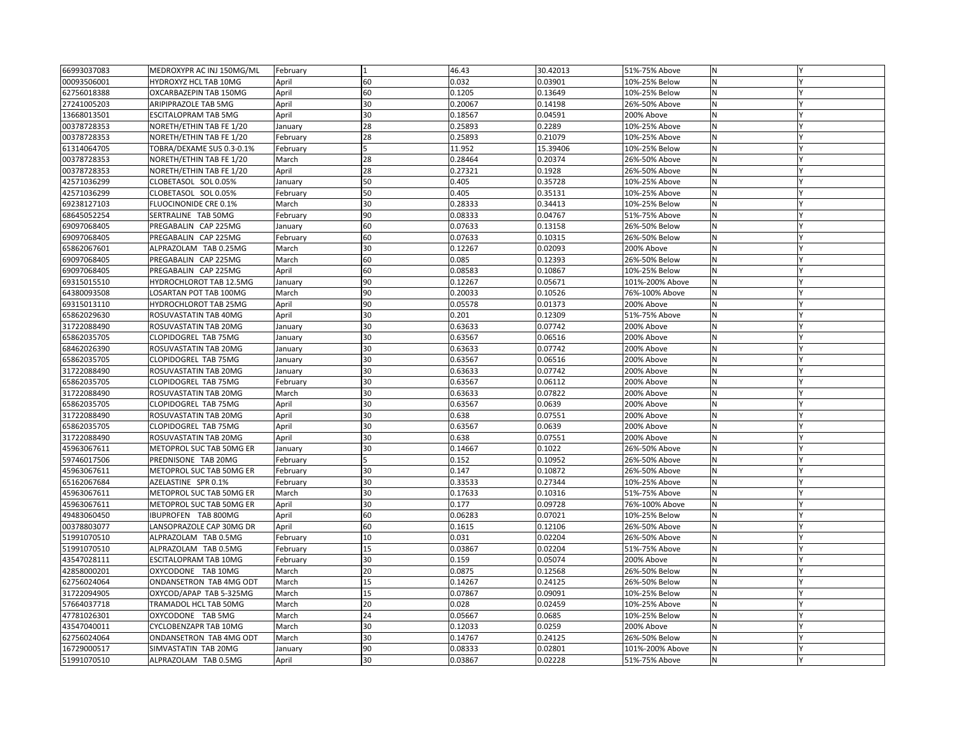| 66993037083 | MEDROXYPR AC INJ 150MG/ML | February |    | 46.43   | 30.42013 | 51%-75% Above   | N |  |
|-------------|---------------------------|----------|----|---------|----------|-----------------|---|--|
| 00093506001 | HYDROXYZ HCL TAB 10MG     | April    | 60 | 0.032   | 0.03901  | 10%-25% Below   | N |  |
| 62756018388 | OXCARBAZEPIN TAB 150MG    | April    | 60 | 0.1205  | 0.13649  | 10%-25% Below   | N |  |
| 27241005203 | ARIPIPRAZOLE TAB 5MG      | April    | 30 | 0.20067 | 0.14198  | 26%-50% Above   | N |  |
| 13668013501 | ESCITALOPRAM TAB 5MG      | April    | 30 | 0.18567 | 0.04591  | 200% Above      | N |  |
| 00378728353 | NORETH/ETHIN TAB FE 1/20  | January  | 28 | 0.25893 | 0.2289   | 10%-25% Above   | N |  |
| 00378728353 | NORETH/ETHIN TAB FE 1/20  | February | 28 | 0.25893 | 0.21079  | 10%-25% Above   | Ν |  |
| 61314064705 | TOBRA/DEXAME SUS 0.3-0.1% | February |    | 11.952  | 15.39406 | 10%-25% Below   | N |  |
| 00378728353 | NORETH/ETHIN TAB FE 1/20  | March    | 28 | 0.28464 | 0.20374  | 26%-50% Above   | N |  |
| 00378728353 | NORETH/ETHIN TAB FE 1/20  | April    | 28 | 0.27321 | 0.1928   | 26%-50% Above   | N |  |
| 42571036299 | CLOBETASOL SOL 0.05%      | January  | 50 | 0.405   | 0.35728  | 10%-25% Above   | N |  |
| 42571036299 | CLOBETASOL SOL 0.05%      | February | 50 | 0.405   | 0.35131  | 10%-25% Above   | N |  |
| 69238127103 | FLUOCINONIDE CRE 0.1%     | March    | 30 | 0.28333 | 0.34413  | 10%-25% Below   | N |  |
| 68645052254 | SERTRALINE TAB 50MG       | February | 90 | 0.08333 | 0.04767  | 51%-75% Above   | N |  |
| 69097068405 | PREGABALIN CAP 225MG      | January  | 60 | 0.07633 | 0.13158  | 26%-50% Below   | N |  |
| 69097068405 | PREGABALIN CAP 225MG      | February | 60 | 0.07633 | 0.10315  | 26%-50% Below   | N |  |
| 65862067601 | ALPRAZOLAM TAB 0.25MG     | March    | 30 | 0.12267 | 0.02093  | 200% Above      |   |  |
| 69097068405 | PREGABALIN CAP 225MG      | March    | 60 | 0.085   | 0.12393  | 26%-50% Below   | N |  |
| 69097068405 | PREGABALIN CAP 225MG      | April    | 60 | 0.08583 | 0.10867  | 10%-25% Below   | N |  |
| 69315015510 | HYDROCHLOROT TAB 12.5MG   | January  | 90 | 0.12267 | 0.05671  | 101%-200% Above | Ν |  |
| 64380093508 | OSARTAN POT TAB 100MG     | March    | 90 | 0.20033 | 0.10526  | 76%-100% Above  | N |  |
| 69315013110 | HYDROCHLOROT TAB 25MG     | April    | 90 | 0.05578 | 0.01373  | 200% Above      | N |  |
| 65862029630 | ROSUVASTATIN TAB 40MG     | April    | 30 | 0.201   | 0.12309  | 51%-75% Above   | N |  |
| 31722088490 | ROSUVASTATIN TAB 20MG     | January  | 30 | 0.63633 | 0.07742  | 200% Above      | N |  |
| 65862035705 | CLOPIDOGREL TAB 75MG      | January  | 30 | 0.63567 | 0.06516  | 200% Above      | N |  |
| 68462026390 | ROSUVASTATIN TAB 20MG     | January  | 30 | 0.63633 | 0.07742  | 200% Above      | N |  |
| 65862035705 | CLOPIDOGREL TAB 75MG      | January  | 30 | 0.63567 | 0.06516  | 200% Above      | N |  |
| 31722088490 | ROSUVASTATIN TAB 20MG     | January  | 30 | 0.63633 | 0.07742  | 200% Above      | N |  |
| 65862035705 | CLOPIDOGREL TAB 75MG      | February | 30 | 0.63567 | 0.06112  | 200% Above      | N |  |
| 31722088490 | ROSUVASTATIN TAB 20MG     | March    | 30 | 0.63633 | 0.07822  | 200% Above      | N |  |
| 65862035705 | CLOPIDOGREL TAB 75MG      | April    | 30 | 0.63567 | 0.0639   | 200% Above      | N |  |
| 31722088490 | ROSUVASTATIN TAB 20MG     | April    | 30 | 0.638   | 0.07551  | 200% Above      |   |  |
| 65862035705 | CLOPIDOGREL TAB 75MG      | April    | 30 | 0.63567 | 0.0639   | 200% Above      | N |  |
| 31722088490 | ROSUVASTATIN TAB 20MG     | April    | 30 | 0.638   | 0.07551  | 200% Above      | N |  |
| 45963067611 | METOPROL SUC TAB 50MG ER  | January  | 30 | 0.14667 | 0.1022   | 26%-50% Above   | N |  |
| 59746017506 | PREDNISONE TAB 20MG       | February |    | 0.152   | 0.10952  | 26%-50% Above   | Ν |  |
| 45963067611 | METOPROL SUC TAB 50MG ER  | February | 30 | 0.147   | 0.10872  | 26%-50% Above   |   |  |
| 65162067684 | AZELASTINE SPR 0.1%       | February | 30 | 0.33533 | 0.27344  | 10%-25% Above   |   |  |
| 45963067611 | METOPROL SUC TAB 50MG ER  | March    | 30 | 0.17633 | 0.10316  | 51%-75% Above   | N |  |
| 45963067611 | METOPROL SUC TAB 50MG ER  | April    | 30 | 0.177   | 0.09728  | 76%-100% Above  | Ν |  |
| 49483060450 | IBUPROFEN TAB 800MG       | April    | 60 | 0.06283 | 0.07021  | 10%-25% Below   | N |  |
| 00378803077 | LANSOPRAZOLE CAP 30MG DR  | April    | 60 | 0.1615  | 0.12106  | 26%-50% Above   | N |  |
| 51991070510 | ALPRAZOLAM TAB 0.5MG      | February | 10 | 0.031   | 0.02204  | 26%-50% Above   | N |  |
| 51991070510 | ALPRAZOLAM TAB 0.5MG      | February | 15 | 0.03867 | 0.02204  | 51%-75% Above   | N |  |
| 43547028111 | ESCITALOPRAM TAB 10MG     | February | 30 | 0.159   | 0.05074  | 200% Above      | N |  |
| 42858000201 | OXYCODONE TAB 10MG        | March    | 20 | 0.0875  | 0.12568  | 26%-50% Below   | N |  |
| 62756024064 | ONDANSETRON TAB 4MG ODT   | March    | 15 | 0.14267 | 0.24125  | 26%-50% Below   | N |  |
| 31722094905 | OXYCOD/APAP TAB 5-325MG   | March    | 15 | 0.07867 | 0.09091  | 10%-25% Below   | N |  |
| 57664037718 | TRAMADOL HCL TAB 50MG     | March    | 20 | 0.028   | 0.02459  | 10%-25% Above   | N |  |
| 47781026301 | OXYCODONE TAB 5MG         | March    | 24 | 0.05667 | 0.0685   | 10%-25% Below   | N |  |
| 43547040011 | CYCLOBENZAPR TAB 10MG     | March    | 30 | 0.12033 | 0.0259   | 200% Above      | N |  |
| 62756024064 | ONDANSETRON TAB 4MG ODT   | March    | 30 | 0.14767 | 0.24125  | 26%-50% Below   | N |  |
| 16729000517 | SIMVASTATIN TAB 20MG      | January  | 90 | 0.08333 | 0.02801  | 101%-200% Above | N |  |
| 51991070510 | ALPRAZOLAM TAB 0.5MG      | April    | 30 | 0.03867 | 0.02228  | 51%-75% Above   | N |  |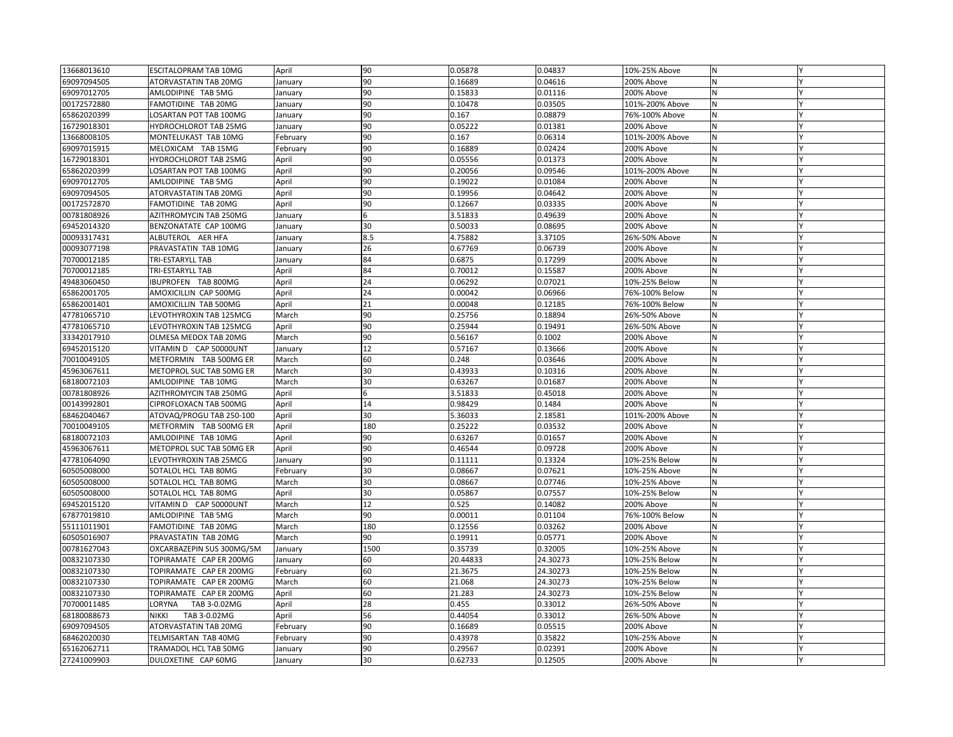| 13668013610 | ESCITALOPRAM TAB 10MG      | April    | 90   | 0.05878  | 0.04837  | 10%-25% Above   | N |  |
|-------------|----------------------------|----------|------|----------|----------|-----------------|---|--|
| 69097094505 | ATORVASTATIN TAB 20MG      | January  | 90   | 0.16689  | 0.04616  | 200% Above      | N |  |
| 69097012705 | AMLODIPINE TAB 5MG         | January  | 90   | 0.15833  | 0.01116  | 200% Above      | N |  |
| 00172572880 | FAMOTIDINE TAB 20MG        | January  | 90   | 0.10478  | 0.03505  | 101%-200% Above | N |  |
| 65862020399 | LOSARTAN POT TAB 100MG     | January  | 90   | 0.167    | 0.08879  | 76%-100% Above  | N |  |
| 16729018301 | HYDROCHLOROT TAB 25MG      | January  | 90   | 0.05222  | 0.01381  | 200% Above      | N |  |
| 13668008105 | MONTELUKAST TAB 10MG       | February | 90   | 0.167    | 0.06314  | 101%-200% Above | N |  |
| 69097015915 | MELOXICAM TAB 15MG         | February | 90   | 0.16889  | 0.02424  | 200% Above      | N |  |
| 16729018301 | HYDROCHLOROT TAB 25MG      | April    | 90   | 0.05556  | 0.01373  | 200% Above      | N |  |
| 65862020399 | LOSARTAN POT TAB 100MG     | April    | 90   | 0.20056  | 0.09546  | 101%-200% Above | N |  |
| 69097012705 | AMLODIPINE TAB 5MG         | April    | 90   | 0.19022  | 0.01084  | 200% Above      | N |  |
| 69097094505 | ATORVASTATIN TAB 20MG      | April    | 90   | 0.19956  | 0.04642  | 200% Above      | N |  |
| 00172572870 | FAMOTIDINE TAB 20MG        | April    | 90   | 0.12667  | 0.03335  | 200% Above      | N |  |
| 00781808926 | AZITHROMYCIN TAB 250MG     | January  | 6    | 3.51833  | 0.49639  | 200% Above      | N |  |
| 69452014320 | BENZONATATE CAP 100MG      | January  | 30   | 0.50033  | 0.08695  | 200% Above      | N |  |
| 00093317431 | ALBUTEROL AER HFA          | January  | 8.5  | 4.75882  | 3.37105  | 26%-50% Above   | N |  |
| 00093077198 | PRAVASTATIN TAB 10MG       | January  | 26   | 0.67769  | 0.06739  | 200% Above      |   |  |
| 70700012185 | TRI-ESTARYLL TAB           | January  | 84   | 0.6875   | 0.17299  | 200% Above      | N |  |
| 70700012185 | TRI-ESTARYLL TAB           | April    | 84   | 0.70012  | 0.15587  | 200% Above      | N |  |
| 49483060450 | <b>IBUPROFEN TAB 800MG</b> | April    | 24   | 0.06292  | 0.07021  | 10%-25% Below   | N |  |
| 65862001705 | AMOXICILLIN CAP 500MG      | April    | 24   | 0.00042  | 0.06966  | 76%-100% Below  |   |  |
| 65862001401 | AMOXICILLIN TAB 500MG      | April    | 21   | 0.00048  | 0.12185  | 76%-100% Below  | N |  |
| 47781065710 | LEVOTHYROXIN TAB 125MCG    | March    | 90   | 0.25756  | 0.18894  | 26%-50% Above   | N |  |
| 47781065710 | LEVOTHYROXIN TAB 125MCG    | April    | 90   | 0.25944  | 0.19491  | 26%-50% Above   | N |  |
| 33342017910 | OLMESA MEDOX TAB 20MG      | March    | 90   | 0.56167  | 0.1002   | 200% Above      | N |  |
| 69452015120 | VITAMIN D CAP 50000UNT     | January  | 12   | 0.57167  | 0.13666  | 200% Above      | N |  |
| 70010049105 | METFORMIN TAB 500MG ER     | March    | 60   | 0.248    | 0.03646  | 200% Above      | N |  |
| 45963067611 | METOPROL SUC TAB 50MG ER   | March    | 30   | 0.43933  | 0.10316  | 200% Above      | N |  |
| 68180072103 | AMLODIPINE TAB 10MG        | March    | 30   | 0.63267  | 0.01687  | 200% Above      | N |  |
| 00781808926 | AZITHROMYCIN TAB 250MG     | April    | 6    | 3.51833  | 0.45018  | 200% Above      | N |  |
| 00143992801 | CIPROFLOXACN TAB 500MG     | April    | 14   | 0.98429  | 0.1484   | 200% Above      | N |  |
| 68462040467 | ATOVAQ/PROGU TAB 250-100   | April    | 30   | 5.36033  | 2.18581  | 101%-200% Above |   |  |
| 70010049105 | METFORMIN TAB 500MG ER     | April    | 180  | 0.25222  | 0.03532  | 200% Above      | N |  |
| 68180072103 | AMLODIPINE TAB 10MG        | April    | 90   | 0.63267  | 0.01657  | 200% Above      |   |  |
| 45963067611 | METOPROL SUC TAB 50MG ER   | April    | 90   | 0.46544  | 0.09728  | 200% Above      | N |  |
| 47781064090 | LEVOTHYROXIN TAB 25MCG     | January  | 90   | 0.11111  | 0.13324  | 10%-25% Below   | N |  |
| 60505008000 | SOTALOL HCL TAB 80MG       | February | 30   | 0.08667  | 0.07621  | 10%-25% Above   |   |  |
| 60505008000 | SOTALOL HCL TAB 80MG       | March    | 30   | 0.08667  | 0.07746  | 10%-25% Above   |   |  |
| 60505008000 | SOTALOL HCL TAB 80MG       | April    | 30   | 0.05867  | 0.07557  | 10%-25% Below   | N |  |
| 69452015120 | VITAMIN D CAP 50000UNT     | March    | 12   | 0.525    | 0.14082  | 200% Above      |   |  |
| 67877019810 | AMLODIPINE TAB 5MG         | March    | 90   | 0.00011  | 0.01104  | 76%-100% Below  | N |  |
| 55111011901 | FAMOTIDINE TAB 20MG        | March    | 180  | 0.12556  | 0.03262  | 200% Above      | N |  |
| 60505016907 | PRAVASTATIN TAB 20MG       | March    | 90   | 0.19911  | 0.05771  | 200% Above      | N |  |
| 00781627043 | OXCARBAZEPIN SUS 300MG/5M  | January  | 1500 | 0.35739  | 0.32005  | 10%-25% Above   | N |  |
| 00832107330 | TOPIRAMATE CAP ER 200MG    | January  | 60   | 20.44833 | 24.30273 | 10%-25% Below   | N |  |
| 00832107330 | TOPIRAMATE CAP ER 200MG    | February | 60   | 21.3675  | 24.30273 | 10%-25% Below   |   |  |
| 00832107330 | TOPIRAMATE CAP ER 200MG    | March    | 60   | 21.068   | 24.30273 | 10%-25% Below   | N |  |
| 00832107330 | TOPIRAMATE CAP ER 200MG    | April    | 60   | 21.283   | 24.30273 | 10%-25% Below   | N |  |
| 70700011485 | LORYNA<br>TAB 3-0.02MG     | April    | 28   | 0.455    | 0.33012  | 26%-50% Above   | N |  |
| 68180088673 | NIKKI<br>TAB 3-0.02MG      | April    | 56   | 0.44054  | 0.33012  | 26%-50% Above   | N |  |
| 69097094505 | ATORVASTATIN TAB 20MG      | February | 90   | 0.16689  | 0.05515  | 200% Above      | N |  |
| 68462020030 | TELMISARTAN TAB 40MG       | February | 90   | 0.43978  | 0.35822  | 10%-25% Above   | N |  |
| 65162062711 | TRAMADOL HCL TAB 50MG      | January  | 90   | 0.29567  | 0.02391  | 200% Above      | N |  |
| 27241009903 | DULOXETINE CAP 60MG        | January  | 30   | 0.62733  | 0.12505  | 200% Above      | N |  |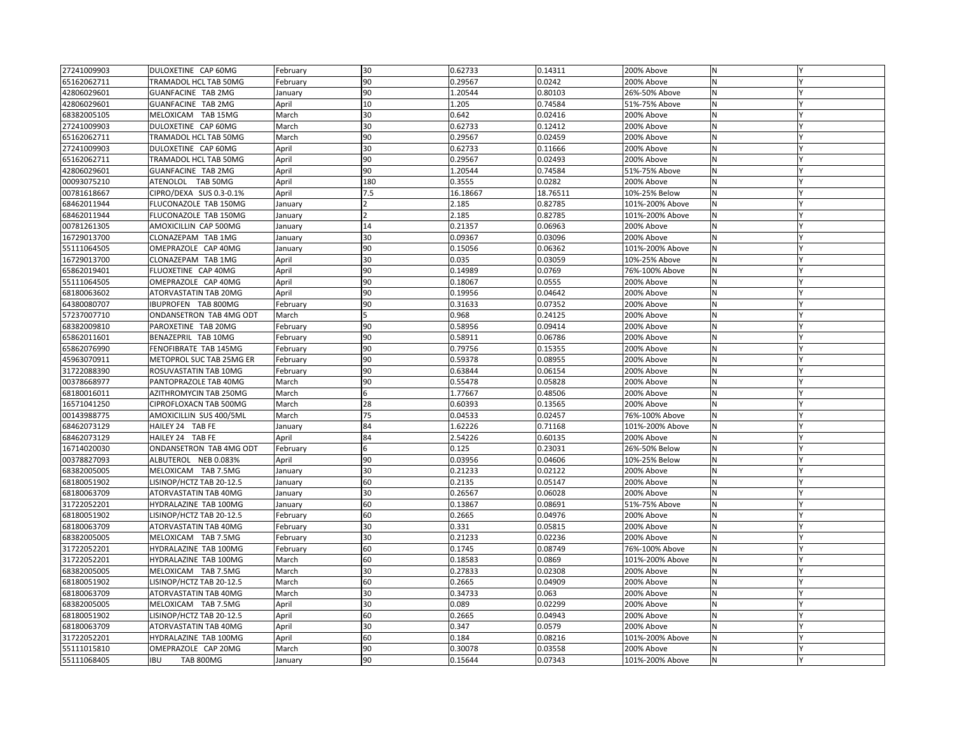| 27241009903 | DULOXETINE CAP 60MG            | February | 30  | 0.62733  | 0.14311  | 200% Above      | IN.          |  |
|-------------|--------------------------------|----------|-----|----------|----------|-----------------|--------------|--|
| 65162062711 | TRAMADOL HCL TAB 50MG          | February | 90  | 0.29567  | 0.0242   | 200% Above      | N            |  |
| 42806029601 | GUANFACINE TAB 2MG             | January  | 90  | 1.20544  | 0.80103  | 26%-50% Above   | N            |  |
| 42806029601 | GUANFACINE TAB 2MG             | April    | 10  | 1.205    | 0.74584  | 51%-75% Above   |              |  |
| 68382005105 | MELOXICAM TAB 15MG             | March    | 30  | 0.642    | 0.02416  | 200% Above      | N            |  |
| 27241009903 | DULOXETINE CAP 60MG            | March    | 30  | 0.62733  | 0.12412  | 200% Above      | N            |  |
| 55162062711 | TRAMADOL HCL TAB 50MG          | March    | 90  | 0.29567  | 0.02459  | 200% Above      | N            |  |
| 27241009903 | DULOXETINE CAP 60MG            | April    | 30  | 0.62733  | 0.11666  | 200% Above      | N            |  |
| 65162062711 | TRAMADOL HCL TAB 50MG          | April    | 90  | 0.29567  | 0.02493  | 200% Above      | N            |  |
| 42806029601 | GUANFACINE TAB 2MG             | April    | 90  | 1.20544  | 0.74584  | 51%-75% Above   | $\mathsf{N}$ |  |
| 00093075210 | ATENOLOL TAB 50MG              | April    | 180 | 0.3555   | 0.0282   | 200% Above      | N            |  |
| 00781618667 | CIPRO/DEXA SUS 0.3-0.1%        | April    | 7.5 | 16.18667 | 18.76511 | 10%-25% Below   |              |  |
| 68462011944 | FLUCONAZOLE TAB 150MG          | January  |     | 2.185    | 0.82785  | 101%-200% Above | N            |  |
| 68462011944 | FLUCONAZOLE TAB 150MG          | January  |     | 2.185    | 0.82785  | 101%-200% Above | N            |  |
| 00781261305 | AMOXICILLIN CAP 500MG          | January  | 14  | 0.21357  | 0.06963  | 200% Above      | N            |  |
| 16729013700 | CLONAZEPAM TAB 1MG             | January  | 30  | 0.09367  | 0.03096  | 200% Above      | N            |  |
| 55111064505 | OMEPRAZOLE CAP 40MG            | January  | 90  | 0.15056  | 0.06362  | 101%-200% Above | N            |  |
| 16729013700 | CLONAZEPAM TAB 1MG             | April    | 30  | 0.035    | 0.03059  | 10%-25% Above   | N            |  |
| 65862019401 | FLUOXETINE CAP 40MG            | April    | 90  | 0.14989  | 0.0769   | 76%-100% Above  | N            |  |
| 55111064505 | OMEPRAZOLE CAP 40MG            | April    | 90  | 0.18067  | 0.0555   | 200% Above      |              |  |
| 68180063602 | ATORVASTATIN TAB 20MG          | April    | 90  | 0.19956  | 0.04642  | 200% Above      | N            |  |
| 64380080707 | IBUPROFEN TAB 800MG            | February | 90  | 0.31633  | 0.07352  | 200% Above      | N            |  |
| 57237007710 | ONDANSETRON TAB 4MG ODT        | March    |     | 0.968    | 0.24125  | 200% Above      | ${\sf N}$    |  |
| 68382009810 | PAROXETINE TAB 20MG            | February | 90  | 0.58956  | 0.09414  | 200% Above      | N            |  |
| 65862011601 | BENAZEPRIL TAB 10MG            | February | 90  | 0.58911  | 0.06786  | 200% Above      | N            |  |
| 65862076990 | FENOFIBRATE TAB 145MG          | February | 90  | 0.79756  | 0.15355  | 200% Above      | N            |  |
| 45963070911 | METOPROL SUC TAB 25MG ER       | February | 90  | 0.59378  | 0.08955  | 200% Above      | N            |  |
| 31722088390 | ROSUVASTATIN TAB 10MG          | February | 90  | 0.63844  | 0.06154  | 200% Above      | N            |  |
| 00378668977 | PANTOPRAZOLE TAB 40MG          | March    | 90  | 0.55478  | 0.05828  | 200% Above      | N            |  |
| 68180016011 | AZITHROMYCIN TAB 250MG         | March    |     | 1.77667  | 0.48506  | 200% Above      | N            |  |
| 16571041250 | CIPROFLOXACN TAB 500MG         | March    | 28  | 0.60393  | 0.13565  | 200% Above      | N            |  |
| 00143988775 | AMOXICILLIN SUS 400/5ML        | March    | 75  | 0.04533  | 0.02457  | 76%-100% Above  | N            |  |
| 68462073129 | HAILEY 24 TAB FE               | January  | 84  | 1.62226  | 0.71168  | 101%-200% Above |              |  |
| 68462073129 | HAILEY 24 TAB FE               | April    | 84  | 2.54226  | 0.60135  | 200% Above      | N            |  |
| 16714020030 | ONDANSETRON TAB 4MG ODT        | February | 6   | 0.125    | 0.23031  | 26%-50% Below   | N            |  |
| 00378827093 | ALBUTEROL NEB 0.083%           | April    | 90  | 0.03956  | 0.04606  | 10%-25% Below   | ${\sf N}$    |  |
| 68382005005 | MELOXICAM TAB 7.5MG            | January  | 30  | 0.21233  | 0.02122  | 200% Above      | N            |  |
| 68180051902 | LISINOP/HCTZ TAB 20-12.5       | January  | 60  | 0.2135   | 0.05147  | 200% Above      | N            |  |
| 68180063709 | ATORVASTATIN TAB 40MG          | January  | 30  | 0.26567  | 0.06028  | 200% Above      | N            |  |
| 31722052201 | HYDRALAZINE TAB 100MG          | January  | 60  | 0.13867  | 0.08691  | 51%-75% Above   | N            |  |
| 68180051902 | LISINOP/HCTZ TAB 20-12.5       | February | 60  | 0.2665   | 0.04976  | 200% Above      | N            |  |
| 68180063709 | ATORVASTATIN TAB 40MG          | February | 30  | 0.331    | 0.05815  | 200% Above      | N            |  |
| 68382005005 | MELOXICAM TAB 7.5MG            | February | 30  | 0.21233  | 0.02236  | 200% Above      | N            |  |
| 31722052201 | HYDRALAZINE TAB 100MG          | February | 60  | 0.1745   | 0.08749  | 76%-100% Above  | N            |  |
| 31722052201 | HYDRALAZINE TAB 100MG          | March    | 60  | 0.18583  | 0.0869   | 101%-200% Above | N            |  |
| 68382005005 | MELOXICAM TAB 7.5MG            | March    | 30  | 0.27833  | 0.02308  | 200% Above      |              |  |
| 68180051902 | LISINOP/HCTZ TAB 20-12.5       | March    | 60  | 0.2665   | 0.04909  | 200% Above      | N            |  |
| 68180063709 | ATORVASTATIN TAB 40MG          | March    | 30  | 0.34733  | 0.063    | 200% Above      | N            |  |
| 68382005005 | MELOXICAM TAB 7.5MG            | April    | 30  | 0.089    | 0.02299  | 200% Above      | N            |  |
| 68180051902 | LISINOP/HCTZ TAB 20-12.5       | April    | 60  | 0.2665   | 0.04943  | 200% Above      |              |  |
| 68180063709 | ATORVASTATIN TAB 40MG          | April    | 30  | 0.347    | 0.0579   | 200% Above      | N            |  |
| 31722052201 | HYDRALAZINE TAB 100MG          | April    | 60  | 0.184    | 0.08216  | 101%-200% Above | N            |  |
| 55111015810 | OMEPRAZOLE CAP 20MG            | March    | 90  | 0.30078  | 0.03558  | 200% Above      | N            |  |
| 55111068405 | <b>IBU</b><br><b>TAB 800MG</b> | January  | 90  | 0.15644  | 0.07343  | 101%-200% Above | N            |  |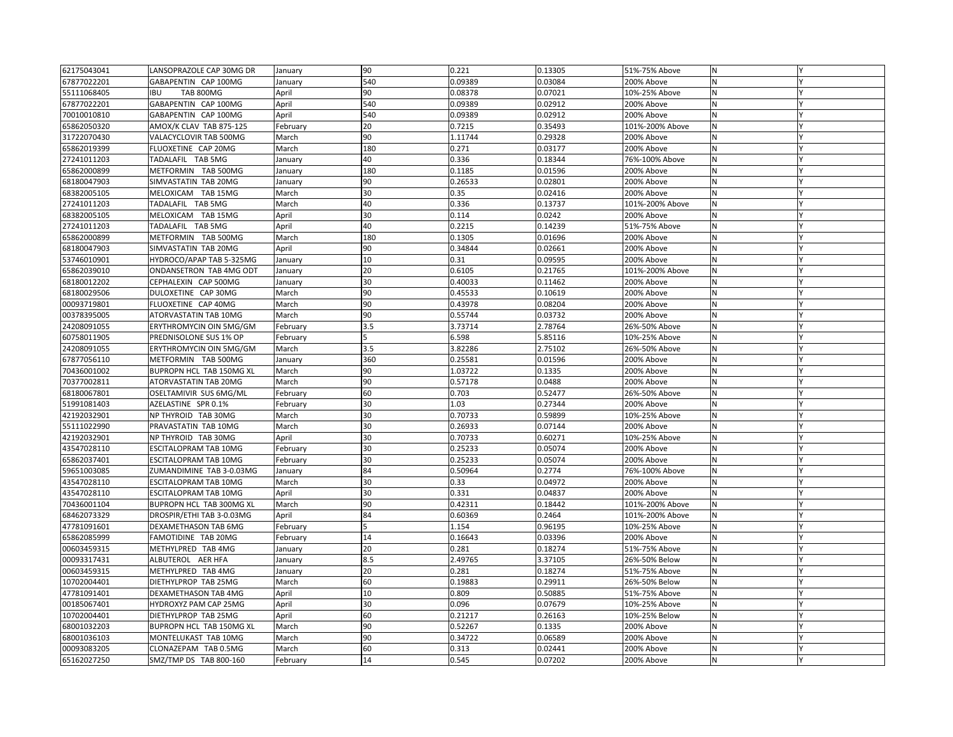| 62175043041 | LANSOPRAZOLE CAP 30MG DR       | January  | 90  | 0.221   | 0.13305 | 51%-75% Above   | İΝ |  |
|-------------|--------------------------------|----------|-----|---------|---------|-----------------|----|--|
| 67877022201 | GABAPENTIN CAP 100MG           | January  | 540 | 0.09389 | 0.03084 | 200% Above      | N  |  |
| 55111068405 | <b>TAB 800MG</b><br><b>IBU</b> | April    | 90  | 0.08378 | 0.07021 | 10%-25% Above   | N  |  |
| 67877022201 | GABAPENTIN CAP 100MG           | April    | 540 | 0.09389 | 0.02912 | 200% Above      |    |  |
| 70010010810 | GABAPENTIN CAP 100MG           | April    | 540 | 0.09389 | 0.02912 | 200% Above      | N  |  |
| 65862050320 | AMOX/K CLAV TAB 875-125        | February | 20  | 0.7215  | 0.35493 | 101%-200% Above | N  |  |
| 31722070430 | VALACYCLOVIR TAB 500MG         | March    | 90  | 1.11744 | 0.29328 | 200% Above      | Ν  |  |
| 65862019399 | FLUOXETINE CAP 20MG            | March    | 180 | 0.271   | 0.03177 | 200% Above      | N  |  |
| 27241011203 | TADALAFIL TAB 5MG              | January  | 40  | 0.336   | 0.18344 | 76%-100% Above  | N  |  |
| 65862000899 | METFORMIN TAB 500MG            | January  | 180 | 0.1185  | 0.01596 | 200% Above      | N  |  |
| 68180047903 | SIMVASTATIN TAB 20MG           | January  | 90  | 0.26533 | 0.02801 | 200% Above      | N  |  |
| 68382005105 | MELOXICAM TAB 15MG             | March    | 30  | 0.35    | 0.02416 | 200% Above      | N  |  |
| 27241011203 | TADALAFIL TAB 5MG              | March    | 40  | 0.336   | 0.13737 | 101%-200% Above | N  |  |
| 68382005105 | MELOXICAM TAB 15MG             | April    | 30  | 0.114   | 0.0242  | 200% Above      | N  |  |
| 27241011203 | TADALAFIL TAB 5MG              | April    | 40  | 0.2215  | 0.14239 | 51%-75% Above   | N  |  |
| 65862000899 | METFORMIN TAB 500MG            | March    | 180 | 0.1305  | 0.01696 | 200% Above      | N  |  |
| 68180047903 | SIMVASTATIN TAB 20MG           | April    | 90  | 0.34844 | 0.02661 | 200% Above      | N  |  |
| 53746010901 | HYDROCO/APAP TAB 5-325MG       | January  | 10  | 0.31    | 0.09595 | 200% Above      | N  |  |
| 65862039010 | ONDANSETRON TAB 4MG ODT        | January  | 20  | 0.6105  | 0.21765 | 101%-200% Above | N  |  |
| 68180012202 | CEPHALEXIN CAP 500MG           | January  | 30  | 0.40033 | 0.11462 | 200% Above      | N  |  |
| 68180029506 | DULOXETINE CAP 30MG            | March    | 90  | 0.45533 | 0.10619 | 200% Above      |    |  |
| 00093719801 | FLUOXETINE CAP 40MG            | March    | 90  | 0.43978 | 0.08204 | 200% Above      | N  |  |
| 00378395005 | ATORVASTATIN TAB 10MG          | March    | 90  | 0.55744 | 0.03732 | 200% Above      | N  |  |
| 24208091055 | ERYTHROMYCIN OIN 5MG/GM        | February | 3.5 | 3.73714 | 2.78764 | 26%-50% Above   | N  |  |
| 60758011905 | PREDNISOLONE SUS 1% OP         | February |     | 6.598   | 5.85116 | 10%-25% Above   |    |  |
| 24208091055 | ERYTHROMYCIN OIN 5MG/GM        | March    | 3.5 | 3.82286 | 2.75102 | 26%-50% Above   | N  |  |
| 67877056110 | METFORMIN TAB 500MG            | January  | 360 | 0.25581 | 0.01596 | 200% Above      | N  |  |
| 70436001002 | BUPROPN HCL TAB 150MG XL       | March    | 90  | 1.03722 | 0.1335  | 200% Above      | N  |  |
| 70377002811 | ATORVASTATIN TAB 20MG          | March    | 90  | 0.57178 | 0.0488  | 200% Above      | N  |  |
| 68180067801 | OSELTAMIVIR SUS 6MG/ML         | February | 60  | 0.703   | 0.52477 | 26%-50% Above   | N  |  |
| 51991081403 | AZELASTINE SPR 0.1%            | February | 30  | 1.03    | 0.27344 | 200% Above      | N  |  |
| 42192032901 | NP THYROID TAB 30MG            | March    | 30  | 0.70733 | 0.59899 | 10%-25% Above   | N  |  |
| 55111022990 | PRAVASTATIN TAB 10MG           | March    | 30  | 0.26933 | 0.07144 | 200% Above      |    |  |
| 42192032901 | NP THYROID TAB 30MG            | April    | 30  | 0.70733 | 0.60271 | 10%-25% Above   | N  |  |
| 43547028110 | ESCITALOPRAM TAB 10MG          | February | 30  | 0.25233 | 0.05074 | 200% Above      | N  |  |
| 65862037401 | ESCITALOPRAM TAB 10MG          | February | 30  | 0.25233 | 0.05074 | 200% Above      | N  |  |
| 59651003085 | ZUMANDIMINE TAB 3-0.03MG       | January  | 84  | 0.50964 | 0.2774  | 76%-100% Above  | N  |  |
| 43547028110 | ESCITALOPRAM TAB 10MG          | March    | 30  | 0.33    | 0.04972 | 200% Above      | N  |  |
| 43547028110 | ESCITALOPRAM TAB 10MG          | April    | 30  | 0.331   | 0.04837 | 200% Above      | N  |  |
| 70436001104 | BUPROPN HCL TAB 300MG XL       | March    | 90  | 0.42311 | 0.18442 | 101%-200% Above | N  |  |
| 68462073329 | DROSPIR/ETHI TAB 3-0.03MG      | April    | 84  | 0.60369 | 0.2464  | 101%-200% Above | N  |  |
| 47781091601 | DEXAMETHASON TAB 6MG           | February |     | 1.154   | 0.96195 | 10%-25% Above   | N  |  |
| 65862085999 | FAMOTIDINE TAB 20MG            | February | 14  | 0.16643 | 0.03396 | 200% Above      | N  |  |
| 00603459315 | METHYLPRED TAB 4MG             | January  | 20  | 0.281   | 0.18274 | 51%-75% Above   | N  |  |
| 00093317431 | ALBUTEROL AER HFA              | January  | 8.5 | 2.49765 | 3.37105 | 26%-50% Below   | N  |  |
| 00603459315 | METHYLPRED TAB 4MG             | January  | 20  | 0.281   | 0.18274 | 51%-75% Above   |    |  |
| 10702004401 | DIETHYLPROP TAB 25MG           | March    | 60  | 0.19883 | 0.29911 | 26%-50% Below   | N  |  |
| 47781091401 | DEXAMETHASON TAB 4MG           | April    | 10  | 0.809   | 0.50885 | 51%-75% Above   | N  |  |
| 00185067401 | HYDROXYZ PAM CAP 25MG          | April    | 30  | 0.096   | 0.07679 | 10%-25% Above   | N  |  |
| 10702004401 | DIETHYLPROP TAB 25MG           | April    | 60  | 0.21217 | 0.26163 | 10%-25% Below   |    |  |
| 68001032203 | BUPROPN HCL TAB 150MG XL       | March    | 90  | 0.52267 | 0.1335  | 200% Above      | N  |  |
| 68001036103 | MONTELUKAST TAB 10MG           | March    | 90  | 0.34722 | 0.06589 | 200% Above      | N  |  |
| 00093083205 | CLONAZEPAM TAB 0.5MG           | March    | 60  | 0.313   | 0.02441 | 200% Above      | N  |  |
| 65162027250 | SMZ/TMP DS TAB 800-160         | February | 14  | 0.545   | 0.07202 | 200% Above      | N  |  |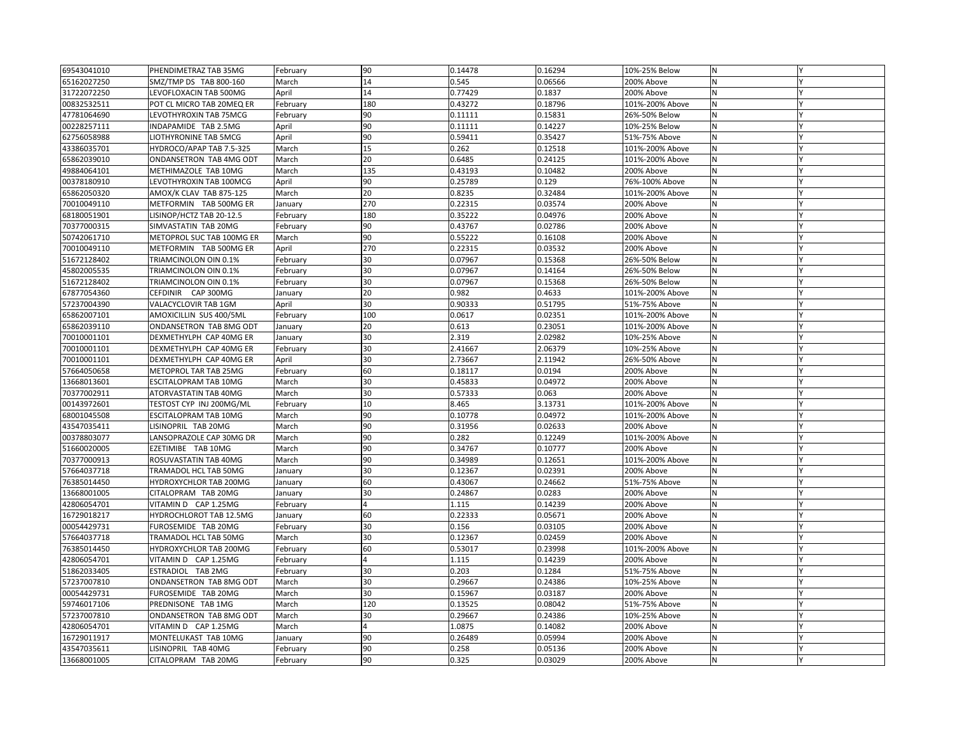| 69543041010 | PHENDIMETRAZ TAB 35MG        | February | 90  | 0.14478 | 0.16294 | 10%-25% Below   | N |  |
|-------------|------------------------------|----------|-----|---------|---------|-----------------|---|--|
| 65162027250 | SMZ/TMP DS TAB 800-160       | March    | 14  | 0.545   | 0.06566 | 200% Above      | N |  |
| 31722072250 | LEVOFLOXACIN TAB 500MG       | April    | 14  | 0.77429 | 0.1837  | 200% Above      | N |  |
| 00832532511 | POT CL MICRO TAB 20MEQ ER    | February | 180 | 0.43272 | 0.18796 | 101%-200% Above | N |  |
| 47781064690 | LEVOTHYROXIN TAB 75MCG       | February | 90  | 0.11111 | 0.15831 | 26%-50% Below   | N |  |
| 00228257111 | INDAPAMIDE TAB 2.5MG         | April    | 90  | 0.11111 | 0.14227 | 10%-25% Below   | N |  |
| 62756058988 | <b>LIOTHYRONINE TAB 5MCG</b> | April    | 90  | 0.59411 | 0.35427 | 51%-75% Above   | N |  |
| 43386035701 | HYDROCO/APAP TAB 7.5-325     | March    | 15  | 0.262   | 0.12518 | 101%-200% Above | N |  |
| 65862039010 | ONDANSETRON TAB 4MG ODT      | March    | 20  | 0.6485  | 0.24125 | 101%-200% Above | N |  |
| 49884064101 | METHIMAZOLE TAB 10MG         | March    | 135 | 0.43193 | 0.10482 | 200% Above      | N |  |
| 00378180910 | LEVOTHYROXIN TAB 100MCG      | April    | 90  | 0.25789 | 0.129   | 76%-100% Above  | N |  |
| 65862050320 | AMOX/K CLAV TAB 875-125      | March    | 20  | 0.8235  | 0.32484 | 101%-200% Above | N |  |
| 70010049110 | METFORMIN TAB 500MG ER       | January  | 270 | 0.22315 | 0.03574 | 200% Above      | N |  |
| 68180051901 | LISINOP/HCTZ TAB 20-12.5     | February | 180 | 0.35222 | 0.04976 | 200% Above      | N |  |
| 70377000315 | SIMVASTATIN TAB 20MG         | February | 90  | 0.43767 | 0.02786 | 200% Above      | N |  |
| 50742061710 | METOPROL SUC TAB 100MG ER    | March    | 90  | 0.55222 | 0.16108 | 200% Above      | N |  |
| 70010049110 | METFORMIN TAB 500MG ER       | April    | 270 | 0.22315 | 0.03532 | 200% Above      |   |  |
| 51672128402 | TRIAMCINOLON OIN 0.1%        | February | 30  | 0.07967 | 0.15368 | 26%-50% Below   | N |  |
| 45802005535 | TRIAMCINOLON OIN 0.1%        | February | 30  | 0.07967 | 0.14164 | 26%-50% Below   | N |  |
| 51672128402 | TRIAMCINOLON OIN 0.1%        | February | 30  | 0.07967 | 0.15368 | 26%-50% Below   |   |  |
| 67877054360 | CEFDINIR<br>CAP 300MG        | January  | 20  | 0.982   | 0.4633  | 101%-200% Above |   |  |
| 57237004390 | VALACYCLOVIR TAB 1GM         | April    | 30  | 0.90333 | 0.51795 | 51%-75% Above   | N |  |
| 65862007101 | AMOXICILLIN SUS 400/5ML      | February | 100 | 0.0617  | 0.02351 | 101%-200% Above | N |  |
| 65862039110 | ONDANSETRON TAB 8MG ODT      | January  | 20  | 0.613   | 0.23051 | 101%-200% Above | N |  |
| 70010001101 | DEXMETHYLPH CAP 40MG ER      | January  | 30  | 2.319   | 2.02982 | 10%-25% Above   | N |  |
| 70010001101 | DEXMETHYLPH CAP 40MG ER      | February | 30  | 2.41667 | 2.06379 | 10%-25% Above   | N |  |
| 70010001101 | DEXMETHYLPH CAP 40MG ER      | April    | 30  | 2.73667 | 2.11942 | 26%-50% Above   | N |  |
| 57664050658 | METOPROL TAR TAB 25MG        | February | 60  | 0.18117 | 0.0194  | 200% Above      | N |  |
| 13668013601 | <b>ESCITALOPRAM TAB 10MG</b> | March    | 30  | 0.45833 | 0.04972 | 200% Above      | N |  |
| 70377002911 | ATORVASTATIN TAB 40MG        | March    | 30  | 0.57333 | 0.063   | 200% Above      | N |  |
| 00143972601 | TESTOST CYP INJ 200MG/ML     | February | 10  | 8.465   | 3.13731 | 101%-200% Above | N |  |
| 68001045508 | <b>ESCITALOPRAM TAB 10MG</b> | March    | 90  | 0.10778 | 0.04972 | 101%-200% Above |   |  |
| 43547035411 | LISINOPRIL TAB 20MG          | March    | 90  | 0.31956 | 0.02633 | 200% Above      | N |  |
| 00378803077 | LANSOPRAZOLE CAP 30MG DR     | March    | 90  | 0.282   | 0.12249 | 101%-200% Above | N |  |
| 51660020005 | EZETIMIBE TAB 10MG           | March    | 90  | 0.34767 | 0.10777 | 200% Above      | N |  |
| 70377000913 | ROSUVASTATIN TAB 40MG        | March    | 90  | 0.34989 | 0.12651 | 101%-200% Above | N |  |
| 57664037718 | TRAMADOL HCL TAB 50MG        | January  | 30  | 0.12367 | 0.02391 | 200% Above      | N |  |
| 76385014450 | HYDROXYCHLOR TAB 200MG       | January  | 60  | 0.43067 | 0.24662 | 51%-75% Above   | N |  |
| 13668001005 | CITALOPRAM TAB 20MG          | January  | 30  | 0.24867 | 0.0283  | 200% Above      | N |  |
| 42806054701 | VITAMIN D CAP 1.25MG         | February |     | 1.115   | 0.14239 | 200% Above      |   |  |
| 16729018217 | HYDROCHLOROT TAB 12.5MG      | January  | 60  | 0.22333 | 0.05671 | 200% Above      | N |  |
| 00054429731 | FUROSEMIDE TAB 20MG          | February | 30  | 0.156   | 0.03105 | 200% Above      | N |  |
| 57664037718 | TRAMADOL HCL TAB 50MG        | March    | 30  | 0.12367 | 0.02459 | 200% Above      | N |  |
| 76385014450 | HYDROXYCHLOR TAB 200MG       | February | 60  | 0.53017 | 0.23998 | 101%-200% Above | N |  |
| 42806054701 | VITAMIN D CAP 1.25MG         | February |     | 1.115   | 0.14239 | 200% Above      |   |  |
| 51862033405 | ESTRADIOL TAB 2MG            | February | 30  | 0.203   | 0.1284  | 51%-75% Above   | N |  |
| 57237007810 | ONDANSETRON TAB 8MG ODT      | March    | 30  | 0.29667 | 0.24386 | 10%-25% Above   | N |  |
| 00054429731 | FUROSEMIDE TAB 20MG          | March    | 30  | 0.15967 | 0.03187 | 200% Above      | N |  |
| 59746017106 | PREDNISONE TAB 1MG           | March    | 120 | 0.13525 | 0.08042 | 51%-75% Above   | N |  |
| 57237007810 | ONDANSETRON TAB 8MG ODT      | March    | 30  | 0.29667 | 0.24386 | 10%-25% Above   | N |  |
| 42806054701 | VITAMIN D CAP 1.25MG         | March    |     | 1.0875  | 0.14082 | 200% Above      | N |  |
| 16729011917 | MONTELUKAST TAB 10MG         | January  | 90  | 0.26489 | 0.05994 | 200% Above      | N |  |
| 43547035611 | LISINOPRIL TAB 40MG          | February | 90  | 0.258   | 0.05136 | 200% Above      | N |  |
| 13668001005 | CITALOPRAM TAB 20MG          | February | 90  | 0.325   | 0.03029 | 200% Above      | N |  |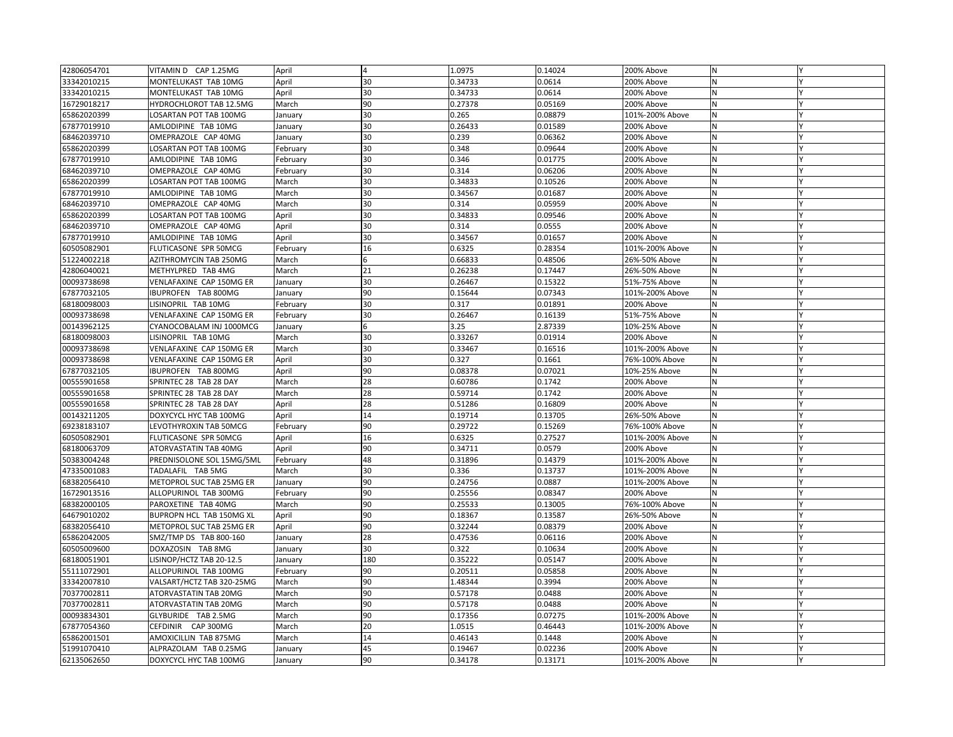| 42806054701 | VITAMIN D CAP 1.25MG          | April    |     | 1.0975  | 0.14024 | 200% Above      | N |  |
|-------------|-------------------------------|----------|-----|---------|---------|-----------------|---|--|
| 33342010215 | MONTELUKAST TAB 10MG          | April    | 30  | 0.34733 | 0.0614  | 200% Above      | N |  |
| 33342010215 | MONTELUKAST TAB 10MG          | April    | 30  | 0.34733 | 0.0614  | 200% Above      | N |  |
| 16729018217 | HYDROCHLOROT TAB 12.5MG       | March    | 90  | 0.27378 | 0.05169 | 200% Above      | N |  |
| 65862020399 | LOSARTAN POT TAB 100MG        | January  | 30  | 0.265   | 0.08879 | 101%-200% Above | N |  |
| 67877019910 | AMLODIPINE TAB 10MG           | January  | 30  | 0.26433 | 0.01589 | 200% Above      | N |  |
| 68462039710 | OMEPRAZOLE CAP 40MG           | January  | 30  | 0.239   | 0.06362 | 200% Above      | N |  |
| 65862020399 | LOSARTAN POT TAB 100MG        | February | 30  | 0.348   | 0.09644 | 200% Above      | N |  |
| 67877019910 | AMLODIPINE TAB 10MG           | February | 30  | 0.346   | 0.01775 | 200% Above      |   |  |
| 68462039710 | OMEPRAZOLE CAP 40MG           | February | 30  | 0.314   | 0.06206 | 200% Above      | N |  |
| 65862020399 | LOSARTAN POT TAB 100MG        | March    | 30  | 0.34833 | 0.10526 | 200% Above      | N |  |
| 67877019910 | AMLODIPINE TAB 10MG           | March    | 30  | 0.34567 | 0.01687 | 200% Above      | N |  |
| 68462039710 | OMEPRAZOLE CAP 40MG           | March    | 30  | 0.314   | 0.05959 | 200% Above      | N |  |
| 65862020399 | <b>LOSARTAN POT TAB 100MG</b> | April    | 30  | 0.34833 | 0.09546 | 200% Above      | N |  |
| 68462039710 | OMEPRAZOLE CAP 40MG           | April    | 30  | 0.314   | 0.0555  | 200% Above      | N |  |
| 67877019910 | AMLODIPINE TAB 10MG           | April    | 30  | 0.34567 | 0.01657 | 200% Above      | N |  |
| 60505082901 | FLUTICASONE SPR 50MCG         | February | 16  | 0.6325  | 0.28354 | 101%-200% Above | N |  |
| 51224002218 | <b>AZITHROMYCIN TAB 250MG</b> | March    |     | 0.66833 | 0.48506 | 26%-50% Above   | N |  |
| 42806040021 | METHYLPRED TAB 4MG            | March    | 21  | 0.26238 | 0.17447 | 26%-50% Above   | N |  |
| 00093738698 | VENLAFAXINE CAP 150MG ER      | January  | 30  | 0.26467 | 0.15322 | 51%-75% Above   | N |  |
| 67877032105 | IBUPROFEN TAB 800MG           | January  | 90  | 0.15644 | 0.07343 | 101%-200% Above | N |  |
| 68180098003 | LISINOPRIL TAB 10MG           | February | 30  | 0.317   | 0.01891 | 200% Above      | N |  |
| 00093738698 | VENLAFAXINE CAP 150MG ER      | February | 30  | 0.26467 | 0.16139 | 51%-75% Above   | N |  |
| 00143962125 | CYANOCOBALAM INJ 1000MCG      | January  |     | 3.25    | 2.87339 | 10%-25% Above   | N |  |
| 68180098003 | LISINOPRIL TAB 10MG           | March    | 30  | 0.33267 | 0.01914 | 200% Above      | N |  |
| 00093738698 | VENLAFAXINE CAP 150MG ER      | March    | 30  | 0.33467 | 0.16516 | 101%-200% Above | N |  |
| 00093738698 | VENLAFAXINE CAP 150MG ER      | April    | 30  | 0.327   | 0.1661  | 76%-100% Above  | N |  |
| 67877032105 | IBUPROFEN TAB 800MG           | April    | 90  | 0.08378 | 0.07021 | 10%-25% Above   | N |  |
| 00555901658 | SPRINTEC 28 TAB 28 DAY        | March    | 28  | 0.60786 | 0.1742  | 200% Above      | N |  |
| 00555901658 | SPRINTEC 28 TAB 28 DAY        | March    | 28  | 0.59714 | 0.1742  | 200% Above      |   |  |
| 00555901658 | SPRINTEC 28 TAB 28 DAY        | April    | 28  | 0.51286 | 0.16809 | 200% Above      | N |  |
| 00143211205 | DOXYCYCL HYC TAB 100MG        | April    | 14  | 0.19714 | 0.13705 | 26%-50% Above   | N |  |
| 69238183107 | LEVOTHYROXIN TAB 50MCG        | February | 90  | 0.29722 | 0.15269 | 76%-100% Above  | N |  |
| 60505082901 | FLUTICASONE SPR 50MCG         | April    | 16  | 0.6325  | 0.27527 | 101%-200% Above | N |  |
| 68180063709 | <b>ATORVASTATIN TAB 40MG</b>  | April    | 90  | 0.34711 | 0.0579  | 200% Above      | N |  |
| 50383004248 | PREDNISOLONE SOL 15MG/5ML     | February | 48  | 0.31896 | 0.14379 | 101%-200% Above | N |  |
| 47335001083 | TADALAFIL TAB 5MG             | March    | 30  | 0.336   | 0.13737 | 101%-200% Above | N |  |
| 68382056410 | METOPROL SUC TAB 25MG ER      | January  | 90  | 0.24756 | 0.0887  | 101%-200% Above | N |  |
| 16729013516 | ALLOPURINOL TAB 300MG         | February | 90  | 0.25556 | 0.08347 | 200% Above      | N |  |
| 68382000105 | PAROXETINE TAB 40MG           | March    | 90  | 0.25533 | 0.13005 | 76%-100% Above  | N |  |
| 64679010202 | BUPROPN HCL TAB 150MG XL      | April    | 90  | 0.18367 | 0.13587 | 26%-50% Above   | N |  |
| 68382056410 | METOPROL SUC TAB 25MG ER      | April    | 90  | 0.32244 | 0.08379 | 200% Above      | N |  |
| 65862042005 | SMZ/TMP DS TAB 800-160        | January  | 28  | 0.47536 | 0.06116 | 200% Above      | N |  |
| 60505009600 | DOXAZOSIN TAB 8MG             | January  | 30  | 0.322   | 0.10634 | 200% Above      | N |  |
| 68180051901 | LISINOP/HCTZ TAB 20-12.5      | January  | 180 | 0.35222 | 0.05147 | 200% Above      | N |  |
| 55111072901 | ALLOPURINOL TAB 100MG         | February | 90  | 0.20511 | 0.05858 | 200% Above      | N |  |
| 33342007810 | VALSART/HCTZ TAB 320-25MG     | March    | 90  | 1.48344 | 0.3994  | 200% Above      | N |  |
| 70377002811 | ATORVASTATIN TAB 20MG         | March    | 90  | 0.57178 | 0.0488  | 200% Above      | N |  |
| 70377002811 | ATORVASTATIN TAB 20MG         | March    | 90  | 0.57178 | 0.0488  | 200% Above      | N |  |
| 00093834301 | GLYBURIDE TAB 2.5MG           | March    | 90  | 0.17356 | 0.07275 | 101%-200% Above | N |  |
| 67877054360 | CEFDINIR<br>CAP 300MG         | March    | 20  | 1.0515  | 0.46443 | 101%-200% Above | N |  |
| 65862001501 | AMOXICILLIN TAB 875MG         | March    | 14  | 0.46143 | 0.1448  | 200% Above      | N |  |
| 51991070410 | ALPRAZOLAM TAB 0.25MG         | January  | 45  | 0.19467 | 0.02236 | 200% Above      | N |  |
| 62135062650 | DOXYCYCL HYC TAB 100MG        | January  | 90  | 0.34178 | 0.13171 | 101%-200% Above | N |  |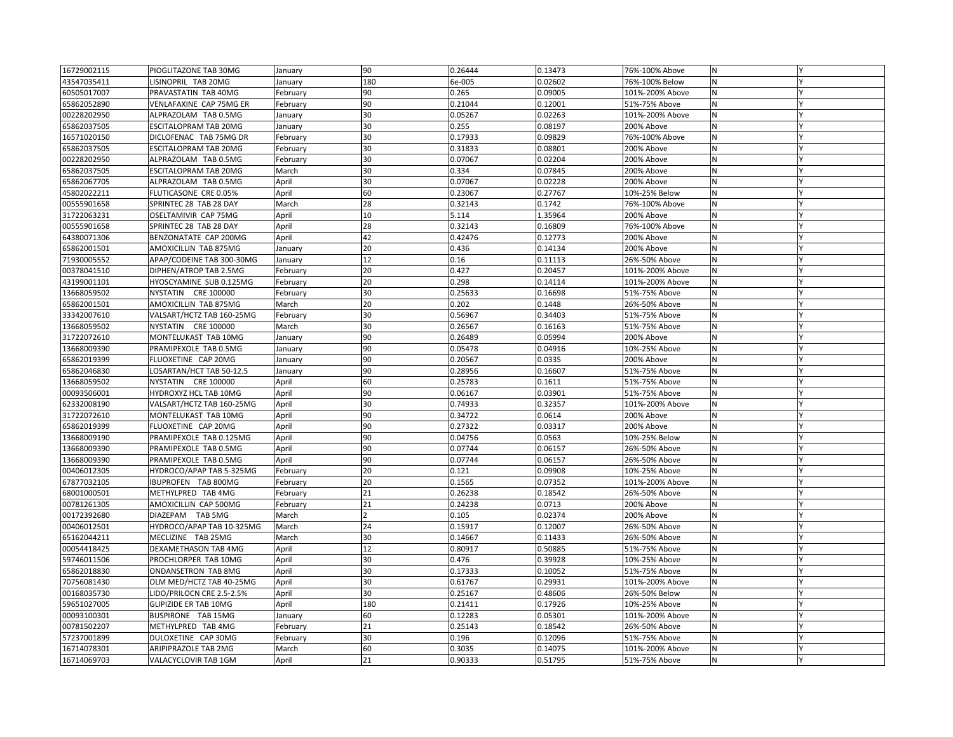| 16729002115 | PIOGLITAZONE TAB 30MG        | January  | 90  | 0.26444 | 0.13473 | 76%-100% Above  | IN. |  |
|-------------|------------------------------|----------|-----|---------|---------|-----------------|-----|--|
| 43547035411 | LISINOPRIL TAB 20MG          | January  | 180 | 6e-005  | 0.02602 | 76%-100% Below  | N   |  |
| 60505017007 | PRAVASTATIN TAB 40MG         | February | 90  | 0.265   | 0.09005 | 101%-200% Above | N   |  |
| 65862052890 | VENLAFAXINE CAP 75MG ER      | February | 90  | 0.21044 | 0.12001 | 51%-75% Above   |     |  |
| 00228202950 | ALPRAZOLAM TAB 0.5MG         | January  | 30  | 0.05267 | 0.02263 | 101%-200% Above | N   |  |
| 65862037505 | ESCITALOPRAM TAB 20MG        | January  | 30  | 0.255   | 0.08197 | 200% Above      | N   |  |
| 16571020150 | DICLOFENAC TAB 75MG DR       | February | 30  | 0.17933 | 0.09829 | 76%-100% Above  | N   |  |
| 65862037505 | <b>ESCITALOPRAM TAB 20MG</b> | February | 30  | 0.31833 | 0.08801 | 200% Above      |     |  |
| 00228202950 | ALPRAZOLAM TAB 0.5MG         | February | 30  | 0.07067 | 0.02204 | 200% Above      | N   |  |
| 65862037505 | ESCITALOPRAM TAB 20MG        | March    | 30  | 0.334   | 0.07845 | 200% Above      | N   |  |
| 65862067705 | ALPRAZOLAM TAB 0.5MG         | April    | 30  | 0.07067 | 0.02228 | 200% Above      | N   |  |
| 45802022211 | FLUTICASONE CRE 0.05%        | April    | 60  | 0.23067 | 0.27767 | 10%-25% Below   |     |  |
| 00555901658 | SPRINTEC 28 TAB 28 DAY       | March    | 28  | 0.32143 | 0.1742  | 76%-100% Above  | N   |  |
| 31722063231 | OSELTAMIVIR CAP 75MG         | April    | 10  | 5.114   | 1.35964 | 200% Above      | N   |  |
| 00555901658 | SPRINTEC 28 TAB 28 DAY       | April    | 28  | 0.32143 | 0.16809 | 76%-100% Above  | N   |  |
| 64380071306 | BENZONATATE CAP 200MG        | April    | 42  | 0.42476 | 0.12773 | 200% Above      | N   |  |
| 65862001501 | AMOXICILLIN TAB 875MG        | January  | 20  | 0.436   | 0.14134 | 200% Above      | N   |  |
| 71930005552 | APAP/CODEINE TAB 300-30MG    | January  | 12  | 0.16    | 0.11113 | 26%-50% Above   | N   |  |
| 00378041510 | DIPHEN/ATROP TAB 2.5MG       | February | 20  | 0.427   | 0.20457 | 101%-200% Above | Ν   |  |
| 43199001101 | HYOSCYAMINE SUB 0.125MG      | February | 20  | 0.298   | 0.14114 | 101%-200% Above |     |  |
| 13668059502 | NYSTATIN CRE 100000          | February | 30  | 0.25633 | 0.16698 | 51%-75% Above   |     |  |
| 65862001501 | AMOXICILLIN TAB 875MG        | March    | 20  | 0.202   | 0.1448  | 26%-50% Above   | N   |  |
| 33342007610 | VALSART/HCTZ TAB 160-25MG    | February | 30  | 0.56967 | 0.34403 | 51%-75% Above   | N   |  |
| 13668059502 | NYSTATIN CRE 100000          | March    | 30  | 0.26567 | 0.16163 | 51%-75% Above   | N   |  |
| 31722072610 | MONTELUKAST TAB 10MG         | January  | 90  | 0.26489 | 0.05994 | 200% Above      |     |  |
| 13668009390 | PRAMIPEXOLE TAB 0.5MG        | January  | 90  | 0.05478 | 0.04916 | 10%-25% Above   | N   |  |
| 65862019399 | FLUOXETINE CAP 20MG          | January  | 90  | 0.20567 | 0.0335  | 200% Above      | N   |  |
| 65862046830 | LOSARTAN/HCT TAB 50-12.5     | January  | 90  | 0.28956 | 0.16607 | 51%-75% Above   | N   |  |
| 13668059502 | NYSTATIN CRE 100000          | April    | 60  | 0.25783 | 0.1611  | 51%-75% Above   | N   |  |
| 00093506001 | HYDROXYZ HCL TAB 10MG        | April    | 90  | 0.06167 | 0.03901 | 51%-75% Above   | N   |  |
| 62332008190 | VALSART/HCTZ TAB 160-25MG    | April    | 30  | 0.74933 | 0.32357 | 101%-200% Above | N   |  |
| 31722072610 | MONTELUKAST TAB 10MG         | April    | 90  | 0.34722 | 0.0614  | 200% Above      | Ν   |  |
| 65862019399 | FLUOXETINE CAP 20MG          | April    | 90  | 0.27322 | 0.03317 | 200% Above      | N   |  |
| 13668009190 | PRAMIPEXOLE TAB 0.125MG      | April    | 90  | 0.04756 | 0.0563  | 10%-25% Below   | N   |  |
| 13668009390 | PRAMIPEXOLE TAB 0.5MG        | April    | 90  | 0.07744 | 0.06157 | 26%-50% Above   | N   |  |
| 13668009390 | PRAMIPEXOLE TAB 0.5MG        | April    | 90  | 0.07744 | 0.06157 | 26%-50% Above   | N   |  |
| 00406012305 | HYDROCO/APAP TAB 5-325MG     | February | 20  | 0.121   | 0.09908 | 10%-25% Above   | N   |  |
| 67877032105 | IBUPROFEN TAB 800MG          | February | 20  | 0.1565  | 0.07352 | 101%-200% Above | N   |  |
| 68001000501 | METHYLPRED TAB 4MG           | February | 21  | 0.26238 | 0.18542 | 26%-50% Above   | N   |  |
| 00781261305 | AMOXICILLIN CAP 500MG        | February | 21  | 0.24238 | 0.0713  | 200% Above      | N   |  |
| 00172392680 | DIAZEPAM<br>TAB 5MG          | March    |     | 0.105   | 0.02374 | 200% Above      | N   |  |
| 00406012501 | HYDROCO/APAP TAB 10-325MG    | March    | 24  | 0.15917 | 0.12007 | 26%-50% Above   |     |  |
| 65162044211 | MECLIZINE TAB 25MG           | March    | 30  | 0.14667 | 0.11433 | 26%-50% Above   | N   |  |
| 00054418425 | DEXAMETHASON TAB 4MG         | April    | 12  | 0.80917 | 0.50885 | 51%-75% Above   | N   |  |
| 59746011506 | PROCHLORPER TAB 10MG         | April    | 30  | 0.476   | 0.39928 | 10%-25% Above   | N   |  |
| 65862018830 | ONDANSETRON TAB 8MG          | April    | 30  | 0.17333 | 0.10052 | 51%-75% Above   |     |  |
| 70756081430 | OLM MED/HCTZ TAB 40-25MG     | April    | 30  | 0.61767 | 0.29931 | 101%-200% Above | N   |  |
| 00168035730 | LIDO/PRILOCN CRE 2.5-2.5%    | April    | 30  | 0.25167 | 0.48606 | 26%-50% Below   | N   |  |
| 59651027005 | GLIPIZIDE ER TAB 10MG        | April    | 180 | 0.21411 | 0.17926 | 10%-25% Above   | N   |  |
| 00093100301 | BUSPIRONE TAB 15MG           | January  | 60  | 0.12283 | 0.05301 | 101%-200% Above | N   |  |
| 00781502207 | METHYLPRED TAB 4MG           | February | 21  | 0.25143 | 0.18542 | 26%-50% Above   | N   |  |
| 57237001899 | DULOXETINE CAP 30MG          | February | 30  | 0.196   | 0.12096 | 51%-75% Above   | N   |  |
| 16714078301 | ARIPIPRAZOLE TAB 2MG         | March    | 60  | 0.3035  | 0.14075 | 101%-200% Above | N   |  |
| 16714069703 | VALACYCLOVIR TAB 1GM         | April    | 21  | 0.90333 | 0.51795 | 51%-75% Above   | N   |  |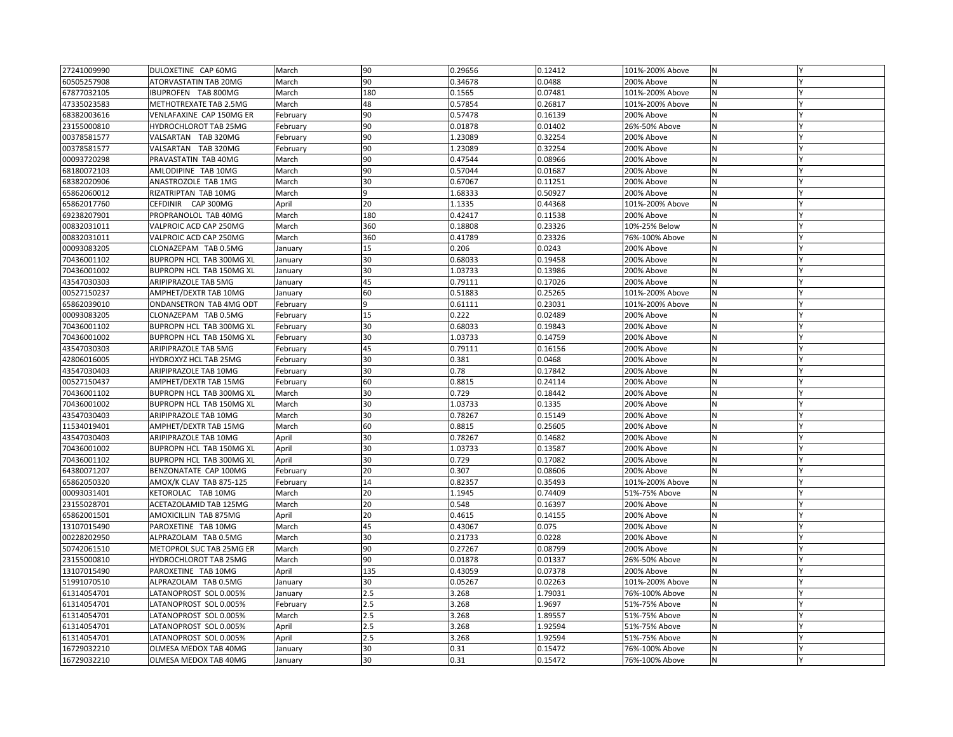| 27241009990 | DULOXETINE CAP 60MG             | March    | 90  | 0.29656 | 0.12412 | 101%-200% Above | N |  |
|-------------|---------------------------------|----------|-----|---------|---------|-----------------|---|--|
| 60505257908 | ATORVASTATIN TAB 20MG           | March    | 90  | 0.34678 | 0.0488  | 200% Above      | N |  |
| 67877032105 | IBUPROFEN TAB 800MG             | March    | 180 | 0.1565  | 0.07481 | 101%-200% Above | N |  |
| 47335023583 | METHOTREXATE TAB 2.5MG          | March    | 48  | 0.57854 | 0.26817 | 101%-200% Above | N |  |
| 68382003616 | <b>VENLAFAXINE CAP 150MG ER</b> | February | 90  | 0.57478 | 0.16139 | 200% Above      | N |  |
| 23155000810 | <b>HYDROCHLOROT TAB 25MG</b>    | February | 90  | 0.01878 | 0.01402 | 26%-50% Above   | N |  |
| 00378581577 | VALSARTAN TAB 320MG             | February | 90  | 1.23089 | 0.32254 | 200% Above      | N |  |
| 00378581577 | VALSARTAN TAB 320MG             | February | 90  | 1.23089 | 0.32254 | 200% Above      | N |  |
| 00093720298 | PRAVASTATIN TAB 40MG            | March    | 90  | 0.47544 | 0.08966 | 200% Above      | N |  |
| 68180072103 | AMLODIPINE TAB 10MG             | March    | 90  | 0.57044 | 0.01687 | 200% Above      | N |  |
| 68382020906 | ANASTROZOLE TAB 1MG             | March    | 30  | 0.67067 | 0.11251 | 200% Above      | N |  |
| 65862060012 | RIZATRIPTAN TAB 10MG            | March    |     | 1.68333 | 0.50927 | 200% Above      | N |  |
| 65862017760 | CEFDINIR CAP 300MG              | April    | 20  | 1.1335  | 0.44368 | 101%-200% Above | Ń |  |
| 69238207901 | PROPRANOLOL TAB 40MG            | March    | 180 | 0.42417 | 0.11538 | 200% Above      | N |  |
| 00832031011 | VALPROIC ACD CAP 250MG          | March    | 360 | 0.18808 | 0.23326 | 10%-25% Below   | N |  |
| 00832031011 | VALPROIC ACD CAP 250MG          | March    | 360 | 0.41789 | 0.23326 | 76%-100% Above  | N |  |
| 00093083205 | CLONAZEPAM TAB 0.5MG            | January  | 15  | 0.206   | 0.0243  | 200% Above      |   |  |
| 70436001102 | BUPROPN HCL TAB 300MG XL        | January  | 30  | 0.68033 | 0.19458 | 200% Above      | N |  |
| 70436001002 | <b>BUPROPN HCL TAB 150MG XL</b> | January  | 30  | 1.03733 | 0.13986 | 200% Above      | N |  |
| 43547030303 | ARIPIPRAZOLE TAB 5MG            | January  | 45  | 0.79111 | 0.17026 | 200% Above      | N |  |
| 00527150237 | AMPHET/DEXTR TAB 10MG           | January  | 60  | 0.51883 | 0.25265 | 101%-200% Above | N |  |
| 65862039010 | ONDANSETRON TAB 4MG ODT         | February | Q   | 0.61111 | 0.23031 | 101%-200% Above | N |  |
| 00093083205 | CLONAZEPAM TAB 0.5MG            | February | 15  | 0.222   | 0.02489 | 200% Above      | N |  |
| 70436001102 | BUPROPN HCL TAB 300MG XL        | February | 30  | 0.68033 | 0.19843 | 200% Above      | N |  |
| 70436001002 | BUPROPN HCL TAB 150MG XL        | February | 30  | 1.03733 | 0.14759 | 200% Above      | N |  |
| 43547030303 | ARIPIPRAZOLE TAB 5MG            | February | 45  | 0.79111 | 0.16156 | 200% Above      | N |  |
| 42806016005 | HYDROXYZ HCL TAB 25MG           | February | 30  | 0.381   | 0.0468  | 200% Above      | N |  |
| 43547030403 | ARIPIPRAZOLE TAB 10MG           | February | 30  | 0.78    | 0.17842 | 200% Above      | N |  |
| 00527150437 | AMPHET/DEXTR TAB 15MG           | February | 60  | 0.8815  | 0.24114 | 200% Above      | N |  |
| 70436001102 | <b>BUPROPN HCL TAB 300MG XL</b> | March    | 30  | 0.729   | 0.18442 | 200% Above      | N |  |
| 70436001002 | BUPROPN HCL TAB 150MG XL        | March    | 30  | 1.03733 | 0.1335  | 200% Above      | N |  |
| 43547030403 | ARIPIPRAZOLE TAB 10MG           | March    | 30  | 0.78267 | 0.15149 | 200% Above      | N |  |
| 11534019401 | AMPHET/DEXTR TAB 15MG           | March    | 60  | 0.8815  | 0.25605 | 200% Above      | N |  |
| 43547030403 | ARIPIPRAZOLE TAB 10MG           | April    | 30  | 0.78267 | 0.14682 | 200% Above      | N |  |
| 70436001002 | BUPROPN HCL TAB 150MG XL        | April    | 30  | 1.03733 | 0.13587 | 200% Above      | N |  |
| 70436001102 | BUPROPN HCL TAB 300MG XL        | April    | 30  | 0.729   | 0.17082 | 200% Above      | N |  |
| 64380071207 | BENZONATATE CAP 100MG           | February | 20  | 0.307   | 0.08606 | 200% Above      | N |  |
| 65862050320 | AMOX/K CLAV TAB 875-125         | February | 14  | 0.82357 | 0.35493 | 101%-200% Above | N |  |
| 00093031401 | KETOROLAC TAB 10MG              | March    | 20  | 1.1945  | 0.74409 | 51%-75% Above   | N |  |
| 23155028701 | ACETAZOLAMID TAB 125MG          | March    | 20  | 0.548   | 0.16397 | 200% Above      | N |  |
| 65862001501 | AMOXICILLIN TAB 875MG           | April    | 20  | 0.4615  | 0.14155 | 200% Above      | N |  |
| 13107015490 | PAROXETINE TAB 10MG             | March    | 45  | 0.43067 | 0.075   | 200% Above      | N |  |
| 00228202950 | ALPRAZOLAM TAB 0.5MG            | March    | 30  | 0.21733 | 0.0228  | 200% Above      | N |  |
| 50742061510 | METOPROL SUC TAB 25MG ER        | March    | 90  | 0.27267 | 0.08799 | 200% Above      | N |  |
| 23155000810 | HYDROCHLOROT TAB 25MG           | March    | 90  | 0.01878 | 0.01337 | 26%-50% Above   | N |  |
| 13107015490 | PAROXETINE TAB 10MG             | April    | 135 | 0.43059 | 0.07378 | 200% Above      | N |  |
| 51991070510 | ALPRAZOLAM TAB 0.5MG            | January  | 30  | 0.05267 | 0.02263 | 101%-200% Above | N |  |
| 61314054701 | LATANOPROST SOL 0.005%          | January  | 2.5 | 3.268   | 1.79031 | 76%-100% Above  | N |  |
| 61314054701 | LATANOPROST SOL 0.005%          | February | 2.5 | 3.268   | 1.9697  | 51%-75% Above   | N |  |
| 61314054701 | LATANOPROST SOL 0.005%          | March    | 2.5 | 3.268   | 1.89557 | 51%-75% Above   | N |  |
| 61314054701 | LATANOPROST SOL 0.005%          | April    | 2.5 | 3.268   | 1.92594 | 51%-75% Above   |   |  |
| 61314054701 | LATANOPROST SOL 0.005%          | April    | 2.5 | 3.268   | 1.92594 | 51%-75% Above   | N |  |
| 16729032210 | OLMESA MEDOX TAB 40MG           | January  | 30  | 0.31    | 0.15472 | 76%-100% Above  | N |  |
| 16729032210 | OLMESA MEDOX TAB 40MG           | January  | 30  | 0.31    | 0.15472 | 76%-100% Above  | Ν |  |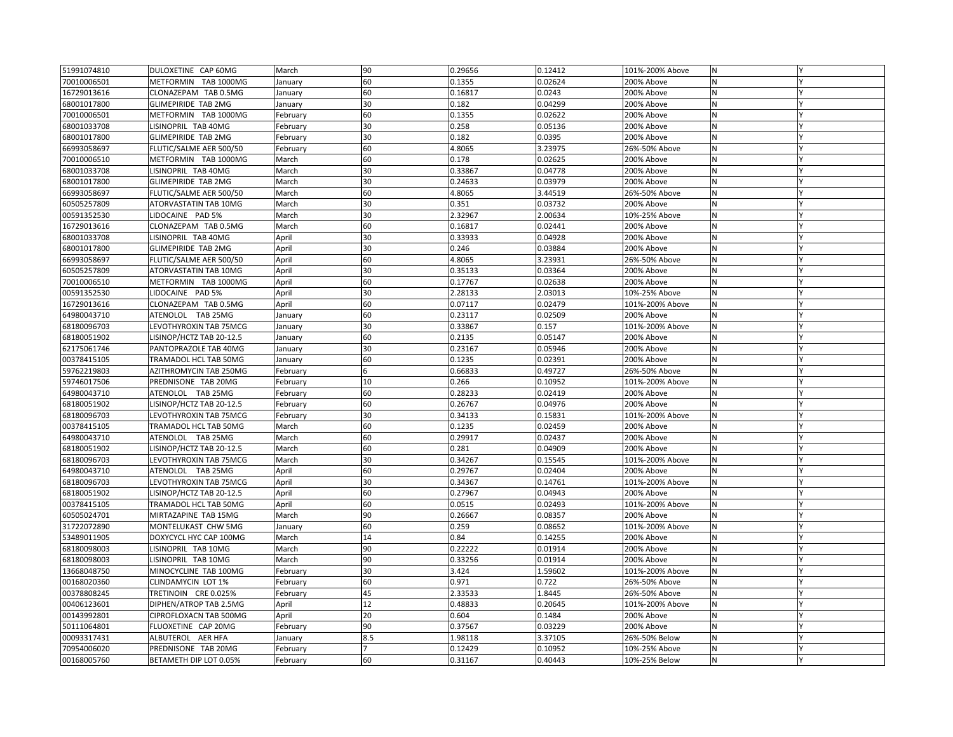| 51991074810 | DULOXETINE CAP 60MG        | March    | 90  | 0.29656 | 0.12412 | 101%-200% Above | N |  |
|-------------|----------------------------|----------|-----|---------|---------|-----------------|---|--|
| 70010006501 | METFORMIN TAB 1000MG       | January  | 60  | 0.1355  | 0.02624 | 200% Above      | N |  |
| 16729013616 | CLONAZEPAM TAB 0.5MG       | January  | 60  | 0.16817 | 0.0243  | 200% Above      | N |  |
| 68001017800 | <b>GLIMEPIRIDE TAB 2MG</b> | January  | 30  | 0.182   | 0.04299 | 200% Above      | N |  |
| 70010006501 | METFORMIN TAB 1000MG       | February | 60  | 0.1355  | 0.02622 | 200% Above      | N |  |
| 68001033708 | LISINOPRIL TAB 40MG        | February | 30  | 0.258   | 0.05136 | 200% Above      | N |  |
| 68001017800 | <b>GLIMEPIRIDE TAB 2MG</b> | February | 30  | 0.182   | 0.0395  | 200% Above      | N |  |
| 66993058697 | FLUTIC/SALME AER 500/50    | February | 60  | 4.8065  | 3.23975 | 26%-50% Above   | N |  |
| 70010006510 | METFORMIN TAB 1000MG       | March    | 60  | 0.178   | 0.02625 | 200% Above      | N |  |
| 68001033708 | LISINOPRIL TAB 40MG        | March    | 30  | 0.33867 | 0.04778 | 200% Above      | N |  |
| 68001017800 | <b>GLIMEPIRIDE TAB 2MG</b> | March    | 30  | 0.24633 | 0.03979 | 200% Above      | N |  |
| 66993058697 | FLUTIC/SALME AER 500/50    | March    | 60  | 4.8065  | 3.44519 | 26%-50% Above   | N |  |
| 60505257809 | ATORVASTATIN TAB 10MG      | March    | 30  | 0.351   | 0.03732 | 200% Above      | N |  |
| 00591352530 | LIDOCAINE PAD 5%           | March    | 30  | 2.32967 | 2.00634 | 10%-25% Above   | N |  |
| 16729013616 | CLONAZEPAM TAB 0.5MG       | March    | 60  | 0.16817 | 0.02441 | 200% Above      | N |  |
| 68001033708 | LISINOPRIL TAB 40MG        | April    | 30  | 0.33933 | 0.04928 | 200% Above      | N |  |
| 68001017800 | <b>GLIMEPIRIDE TAB 2MG</b> | April    | 30  | 0.246   | 0.03884 | 200% Above      |   |  |
| 66993058697 | FLUTIC/SALME AER 500/50    | April    | 60  | 4.8065  | 3.23931 | 26%-50% Above   | N |  |
| 60505257809 | ATORVASTATIN TAB 10MG      | April    | 30  | 0.35133 | 0.03364 | 200% Above      |   |  |
| 70010006510 | METFORMIN TAB 1000MG       | April    | 60  | 0.17767 | 0.02638 | 200% Above      |   |  |
| 00591352530 | LIDOCAINE PAD 5%           | April    | 30  | 2.28133 | 2.03013 | 10%-25% Above   |   |  |
| 16729013616 | CLONAZEPAM TAB 0.5MG       | April    | 60  | 0.07117 | 0.02479 | 101%-200% Above | N |  |
| 64980043710 | ATENOLOL<br>TAB 25MG       | January  | 60  | 0.23117 | 0.02509 | 200% Above      | N |  |
| 68180096703 | LEVOTHYROXIN TAB 75MCG     | January  | 30  | 0.33867 | 0.157   | 101%-200% Above | N |  |
| 68180051902 | LISINOP/HCTZ TAB 20-12.5   | January  | 60  | 0.2135  | 0.05147 | 200% Above      |   |  |
| 62175061746 | PANTOPRAZOLE TAB 40MG      | January  | 30  | 0.23167 | 0.05946 | 200% Above      | N |  |
| 00378415105 | TRAMADOL HCL TAB 50MG      | January  | 60  | 0.1235  | 0.02391 | 200% Above      | N |  |
| 59762219803 | AZITHROMYCIN TAB 250MG     | February | 6   | 0.66833 | 0.49727 | 26%-50% Above   | N |  |
| 59746017506 | PREDNISONE TAB 20MG        | February | 10  | 0.266   | 0.10952 | 101%-200% Above | N |  |
| 64980043710 | ATENOLOL TAB 25MG          | February | 60  | 0.28233 | 0.02419 | 200% Above      | N |  |
| 68180051902 | LISINOP/HCTZ TAB 20-12.5   | February | 60  | 0.26767 | 0.04976 | 200% Above      | N |  |
| 68180096703 | LEVOTHYROXIN TAB 75MCG     | February | 30  | 0.34133 | 0.15831 | 101%-200% Above |   |  |
| 00378415105 | TRAMADOL HCL TAB 50MG      | March    | 60  | 0.1235  | 0.02459 | 200% Above      | N |  |
| 64980043710 | ATENOLOL TAB 25MG          | March    | 60  | 0.29917 | 0.02437 | 200% Above      | N |  |
| 68180051902 | LISINOP/HCTZ TAB 20-12.5   | March    | 60  | 0.281   | 0.04909 | 200% Above      | N |  |
| 68180096703 | LEVOTHYROXIN TAB 75MCG     | March    | 30  | 0.34267 | 0.15545 | 101%-200% Above | N |  |
| 64980043710 | ATENOLOL TAB 25MG          | April    | 60  | 0.29767 | 0.02404 | 200% Above      | N |  |
| 68180096703 | LEVOTHYROXIN TAB 75MCG     | April    | 30  | 0.34367 | 0.14761 | 101%-200% Above | N |  |
| 68180051902 | LISINOP/HCTZ TAB 20-12.5   | April    | 60  | 0.27967 | 0.04943 | 200% Above      | N |  |
| 00378415105 | TRAMADOL HCL TAB 50MG      | April    | 60  | 0.0515  | 0.02493 | 101%-200% Above |   |  |
| 60505024701 | MIRTAZAPINE TAB 15MG       | March    | 90  | 0.26667 | 0.08357 | 200% Above      | N |  |
| 31722072890 | MONTELUKAST CHW 5MG        | January  | 60  | 0.259   | 0.08652 | 101%-200% Above | N |  |
| 53489011905 | DOXYCYCL HYC CAP 100MG     | March    | 14  | 0.84    | 0.14255 | 200% Above      | N |  |
| 68180098003 | LISINOPRIL TAB 10MG        | March    | 90  | 0.22222 | 0.01914 | 200% Above      | N |  |
| 68180098003 | LISINOPRIL TAB 10MG        | March    | 90  | 0.33256 | 0.01914 | 200% Above      |   |  |
| 13668048750 | MINOCYCLINE TAB 100MG      | February | 30  | 3.424   | 1.59602 | 101%-200% Above |   |  |
| 00168020360 | CLINDAMYCIN LOT 1%         | February | 60  | 0.971   | 0.722   | 26%-50% Above   | N |  |
| 00378808245 | TRETINOIN CRE 0.025%       | February | 45  | 2.33533 | 1.8445  | 26%-50% Above   | Ν |  |
| 00406123601 | DIPHEN/ATROP TAB 2.5MG     | April    | 12  | 0.48833 | 0.20645 | 101%-200% Above | N |  |
| 00143992801 | CIPROFLOXACN TAB 500MG     | April    | 20  | 0.604   | 0.1484  | 200% Above      | N |  |
| 50111064801 | FLUOXETINE CAP 20MG        | February | 90  | 0.37567 | 0.03229 | 200% Above      | N |  |
| 00093317431 | ALBUTEROL AER HFA          | January  | 8.5 | 1.98118 | 3.37105 | 26%-50% Below   | N |  |
| 70954006020 | PREDNISONE TAB 20MG        | February |     | 0.12429 | 0.10952 | 10%-25% Above   | N |  |
| 00168005760 | BETAMETH DIP LOT 0.05%     | February | 60  | 0.31167 | 0.40443 | 10%-25% Below   | N |  |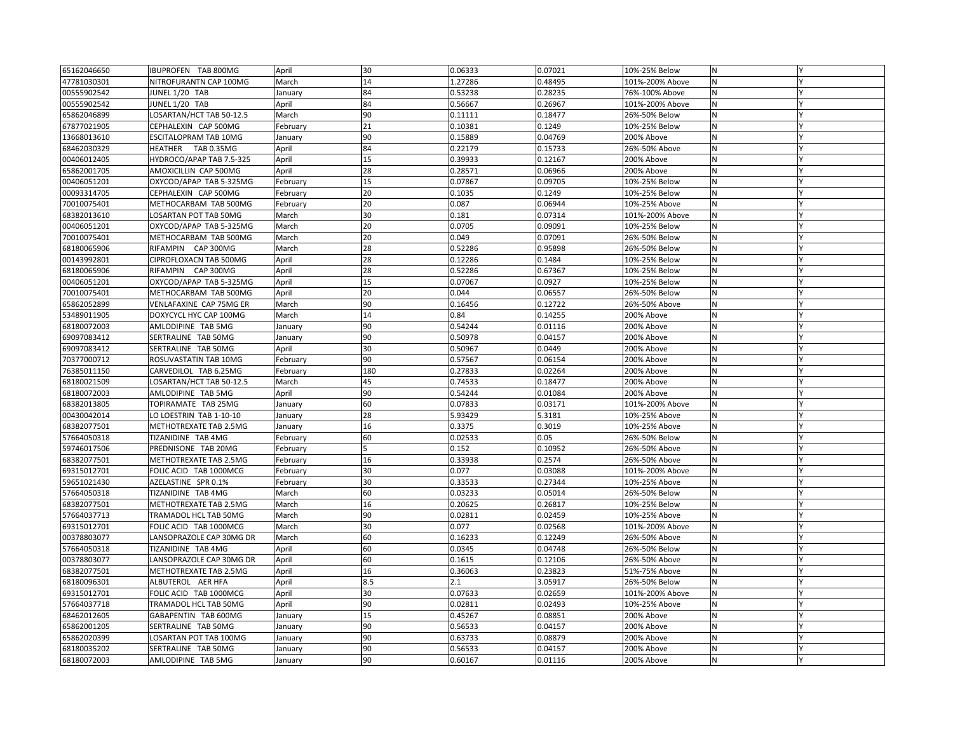| 65162046650 | IBUPROFEN TAB 800MG      | April    | 30  | 0.06333 | 0.07021 | 10%-25% Below   | N |  |
|-------------|--------------------------|----------|-----|---------|---------|-----------------|---|--|
| 47781030301 | NITROFURANTN CAP 100MG   | March    | 14  | 1.27286 | 0.48495 | 101%-200% Above | N |  |
| 00555902542 | JUNEL 1/20 TAB           | January  | 84  | 0.53238 | 0.28235 | 76%-100% Above  |   |  |
| 00555902542 | JUNEL 1/20 TAB           | April    | 84  | 0.56667 | 0.26967 | 101%-200% Above | И |  |
| 65862046899 | LOSARTAN/HCT TAB 50-12.5 | March    | 90  | 0.11111 | 0.18477 | 26%-50% Below   | N |  |
| 67877021905 | CEPHALEXIN CAP 500MG     | February | 21  | 0.10381 | 0.1249  | 10%-25% Below   | N |  |
| 13668013610 | ESCITALOPRAM TAB 10MG    | January  | 90  | 0.15889 | 0.04769 | 200% Above      | N |  |
| 68462030329 | HEATHER TAB 0.35MG       | April    | 84  | 0.22179 | 0.15733 | 26%-50% Above   | N |  |
| 00406012405 | HYDROCO/APAP TAB 7.5-325 | April    | 15  | 0.39933 | 0.12167 | 200% Above      | N |  |
| 65862001705 | AMOXICILLIN CAP 500MG    | April    | 28  | 0.28571 | 0.06966 | 200% Above      | N |  |
| 00406051201 | OXYCOD/APAP TAB 5-325MG  | February | 15  | 0.07867 | 0.09705 | 10%-25% Below   | N |  |
| 00093314705 | CEPHALEXIN CAP 500MG     | February | 20  | 0.1035  | 0.1249  | 10%-25% Below   | N |  |
| 70010075401 | METHOCARBAM TAB 500MG    | February | 20  | 0.087   | 0.06944 | 10%-25% Above   | N |  |
| 68382013610 | LOSARTAN POT TAB 50MG    | March    | 30  | 0.181   | 0.07314 | 101%-200% Above | N |  |
| 00406051201 | OXYCOD/APAP TAB 5-325MG  | March    | 20  | 0.0705  | 0.09091 | 10%-25% Below   | N |  |
| 70010075401 | METHOCARBAM TAB 500MG    | March    | 20  | 0.049   | 0.07091 | 26%-50% Below   | N |  |
| 68180065906 | RIFAMPIN CAP 300MG       | March    | 28  | 0.52286 | 0.95898 | 26%-50% Below   | N |  |
| 00143992801 | CIPROFLOXACN TAB 500MG   | April    | 28  | 0.12286 | 0.1484  | 10%-25% Below   | N |  |
| 68180065906 | RIFAMPIN CAP 300MG       | April    | 28  | 0.52286 | 0.67367 | 10%-25% Below   | N |  |
| 00406051201 | OXYCOD/APAP TAB 5-325MG  | April    | 15  | 0.07067 | 0.0927  | 10%-25% Below   | N |  |
| 70010075401 | METHOCARBAM TAB 500MG    | April    | 20  | 0.044   | 0.06557 | 26%-50% Below   | N |  |
| 65862052899 | VENLAFAXINE CAP 75MG ER  | March    | 90  | 0.16456 | 0.12722 | 26%-50% Above   | N |  |
| 53489011905 | DOXYCYCL HYC CAP 100MG   | March    | 14  | 0.84    | 0.14255 | 200% Above      | N |  |
| 68180072003 | AMLODIPINE TAB 5MG       | January  | 90  | 0.54244 | 0.01116 | 200% Above      |   |  |
| 69097083412 | SERTRALINE TAB 50MG      | January  | 90  | 0.50978 | 0.04157 | 200% Above      |   |  |
| 69097083412 | SERTRALINE TAB 50MG      | April    | 30  | 0.50967 | 0.0449  | 200% Above      | N |  |
| 70377000712 | ROSUVASTATIN TAB 10MG    | February | 90  | 0.57567 | 0.06154 | 200% Above      | N |  |
| 76385011150 | CARVEDILOL TAB 6.25MG    | February | 180 | 0.27833 | 0.02264 | 200% Above      | N |  |
| 68180021509 | LOSARTAN/HCT TAB 50-12.5 | March    | 45  | 0.74533 | 0.18477 | 200% Above      |   |  |
| 68180072003 | AMLODIPINE TAB 5MG       | April    | 90  | 0.54244 | 0.01084 | 200% Above      | N |  |
| 68382013805 | TOPIRAMATE TAB 25MG      | January  | 60  | 0.07833 | 0.03171 | 101%-200% Above | N |  |
| 00430042014 | LO LOESTRIN TAB 1-10-10  | January  | 28  | 5.93429 | 5.3181  | 10%-25% Above   |   |  |
| 68382077501 | METHOTREXATE TAB 2.5MG   | January  | 16  | 0.3375  | 0.3019  | 10%-25% Above   | N |  |
| 57664050318 | TIZANIDINE TAB 4MG       | February | 60  | 0.02533 | 0.05    | 26%-50% Below   | N |  |
| 59746017506 | PREDNISONE TAB 20MG      | February |     | 0.152   | 0.10952 | 26%-50% Above   | N |  |
| 68382077501 | METHOTREXATE TAB 2.5MG   | February | 16  | 0.33938 | 0.2574  | 26%-50% Above   | N |  |
| 69315012701 | FOLIC ACID TAB 1000MCG   | February | 30  | 0.077   | 0.03088 | 101%-200% Above | N |  |
| 59651021430 | AZELASTINE SPR 0.1%      | February | 30  | 0.33533 | 0.27344 | 10%-25% Above   | N |  |
| 57664050318 | TIZANIDINE TAB 4MG       | March    | 60  | 0.03233 | 0.05014 | 26%-50% Below   | N |  |
| 68382077501 | METHOTREXATE TAB 2.5MG   | March    | 16  | 0.20625 | 0.26817 | 10%-25% Below   | N |  |
| 57664037713 | TRAMADOL HCL TAB 50MG    | March    | 90  | 0.02811 | 0.02459 | 10%-25% Above   | N |  |
| 69315012701 | FOLIC ACID TAB 1000MCG   | March    | 30  | 0.077   | 0.02568 | 101%-200% Above | N |  |
| 00378803077 | LANSOPRAZOLE CAP 30MG DR | March    | 60  | 0.16233 | 0.12249 | 26%-50% Above   | N |  |
| 57664050318 | TIZANIDINE TAB 4MG       | April    | 60  | 0.0345  | 0.04748 | 26%-50% Below   | N |  |
| 00378803077 | LANSOPRAZOLE CAP 30MG DR | April    | 60  | 0.1615  | 0.12106 | 26%-50% Above   |   |  |
| 68382077501 | METHOTREXATE TAB 2.5MG   | April    | 16  | 0.36063 | 0.23823 | 51%-75% Above   |   |  |
| 68180096301 | ALBUTEROL AER HFA        | April    | 8.5 | 2.1     | 3.05917 | 26%-50% Below   | N |  |
| 69315012701 | FOLIC ACID TAB 1000MCG   | April    | 30  | 0.07633 | 0.02659 | 101%-200% Above | Ν |  |
| 57664037718 | TRAMADOL HCL TAB 50MG    | April    | 90  | 0.02811 | 0.02493 | 10%-25% Above   | N |  |
| 68462012605 | GABAPENTIN TAB 600MG     | January  | 15  | 0.45267 | 0.08851 | 200% Above      | И |  |
| 65862001205 | SERTRALINE TAB 50MG      | January  | 90  | 0.56533 | 0.04157 | 200% Above      | N |  |
| 65862020399 | OSARTAN POT TAB 100MG    | January  | 90  | 0.63733 | 0.08879 | 200% Above      | N |  |
| 68180035202 | SERTRALINE TAB 50MG      | January  | 90  | 0.56533 | 0.04157 | 200% Above      | N |  |
| 68180072003 | AMLODIPINE TAB 5MG       | January  | 90  | 0.60167 | 0.01116 | 200% Above      | N |  |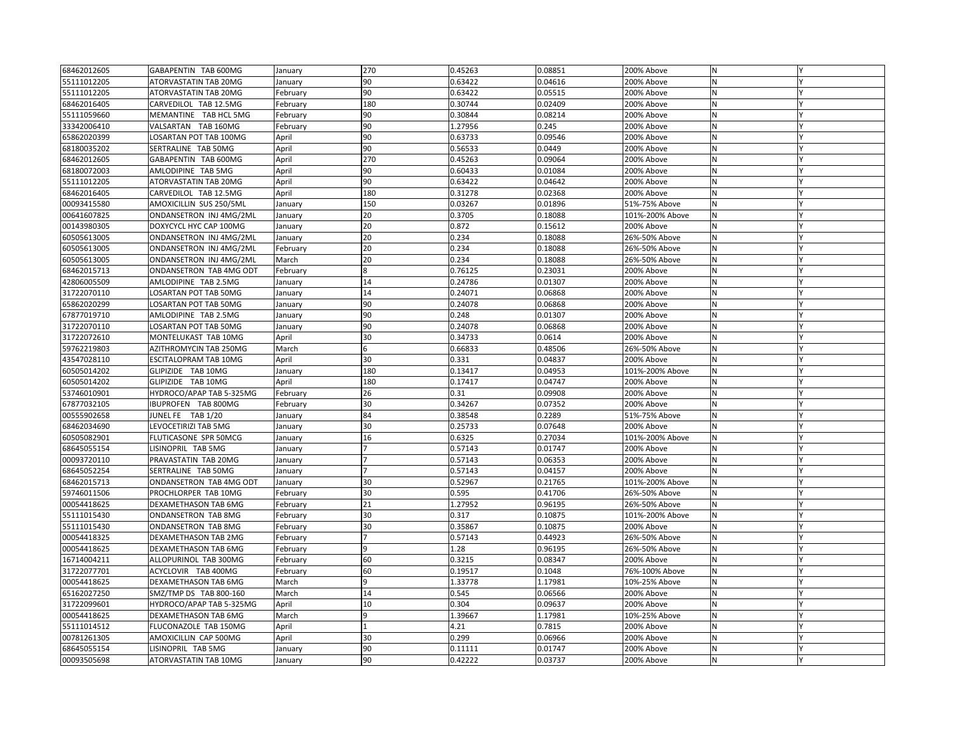| 68462012605 | GABAPENTIN TAB 600MG     | January  | 270 | 0.45263 | 0.08851 | 200% Above      | IN.    |  |
|-------------|--------------------------|----------|-----|---------|---------|-----------------|--------|--|
| 55111012205 | ATORVASTATIN TAB 20MG    | January  | 90  | 0.63422 | 0.04616 | 200% Above      | N      |  |
| 55111012205 | ATORVASTATIN TAB 20MG    | February | 90  | 0.63422 | 0.05515 | 200% Above      | N      |  |
| 68462016405 | CARVEDILOL TAB 12.5MG    | February | 180 | 0.30744 | 0.02409 | 200% Above      |        |  |
| 55111059660 | TAB HCL 5MG<br>MEMANTINE | February | 90  | 0.30844 | 0.08214 | 200% Above      | N      |  |
| 33342006410 | VALSARTAN TAB 160MG      | February | 90  | 1.27956 | 0.245   | 200% Above      |        |  |
| 65862020399 | LOSARTAN POT TAB 100MG   | April    | 90  | 0.63733 | 0.09546 | 200% Above      | N      |  |
| 68180035202 | SERTRALINE TAB 50MG      | April    | 90  | 0.56533 | 0.0449  | 200% Above      |        |  |
| 68462012605 | GABAPENTIN TAB 600MG     | April    | 270 | 0.45263 | 0.09064 | 200% Above      | N      |  |
| 68180072003 | AMLODIPINE TAB 5MG       | April    | 90  | 0.60433 | 0.01084 | 200% Above      | N      |  |
| 55111012205 | ATORVASTATIN TAB 20MG    | April    | 90  | 0.63422 | 0.04642 | 200% Above      | N      |  |
| 68462016405 | CARVEDILOL TAB 12.5MG    | April    | 180 | 0.31278 | 0.02368 | 200% Above      | N      |  |
| 00093415580 | AMOXICILLIN SUS 250/5ML  | January  | 150 | 0.03267 | 0.01896 | 51%-75% Above   | N      |  |
| 00641607825 | ONDANSETRON INJ 4MG/2ML  | January  | 20  | 0.3705  | 0.18088 | 101%-200% Above | N      |  |
| 00143980305 | DOXYCYCL HYC CAP 100MG   | January  | 20  | 0.872   | 0.15612 | 200% Above      | N      |  |
| 60505613005 | ONDANSETRON INJ 4MG/2ML  | January  | 20  | 0.234   | 0.18088 | 26%-50% Above   | N      |  |
| 60505613005 | ONDANSETRON INJ 4MG/2ML  | February | 20  | 0.234   | 0.18088 | 26%-50% Above   | N      |  |
| 60505613005 | ONDANSETRON INJ 4MG/2ML  | March    | 20  | 0.234   | 0.18088 | 26%-50% Above   | N      |  |
| 68462015713 | ONDANSETRON TAB 4MG ODT  | February |     | 0.76125 | 0.23031 | 200% Above      | N      |  |
| 42806005509 | AMLODIPINE TAB 2.5MG     | January  | 14  | 0.24786 | 0.01307 | 200% Above      |        |  |
| 31722070110 | LOSARTAN POT TAB 50MG    | January  | 14  | 0.24071 | 0.06868 | 200% Above      |        |  |
| 65862020299 | LOSARTAN POT TAB 50MG    | January  | 90  | 0.24078 | 0.06868 | 200% Above      | N      |  |
| 67877019710 | AMLODIPINE TAB 2.5MG     | January  | 90  | 0.248   | 0.01307 | 200% Above      | N      |  |
| 31722070110 | LOSARTAN POT TAB 50MG    | January  | 90  | 0.24078 | 0.06868 | 200% Above      | N      |  |
| 31722072610 | MONTELUKAST TAB 10MG     | April    | 30  | 0.34733 | 0.0614  | 200% Above      |        |  |
| 59762219803 | AZITHROMYCIN TAB 250MG   | March    | 6   | 0.66833 | 0.48506 | 26%-50% Above   | N      |  |
| 43547028110 | ESCITALOPRAM TAB 10MG    | April    | 30  | 0.331   | 0.04837 | 200% Above      | N      |  |
| 60505014202 | GLIPIZIDE TAB 10MG       | January  | 180 | 0.13417 | 0.04953 | 101%-200% Above | N      |  |
| 60505014202 | GLIPIZIDE TAB 10MG       | April    | 180 | 0.17417 | 0.04747 | 200% Above      | N      |  |
| 53746010901 | HYDROCO/APAP TAB 5-325MG | February | 26  | 0.31    | 0.09908 | 200% Above      | N      |  |
| 67877032105 | IBUPROFEN TAB 800MG      | February | 30  | 0.34267 | 0.07352 | 200% Above      | N      |  |
| 00555902658 | JUNEL FE TAB 1/20        | January  | 84  | 0.38548 | 0.2289  | 51%-75% Above   | N      |  |
| 68462034690 | LEVOCETIRIZI TAB 5MG     | January  | 30  | 0.25733 | 0.07648 | 200% Above      | N      |  |
| 60505082901 | FLUTICASONE SPR 50MCG    | January  | 16  | 0.6325  | 0.27034 | 101%-200% Above | N      |  |
| 68645055154 | LISINOPRIL TAB 5MG       | January  |     | 0.57143 | 0.01747 | 200% Above      | N      |  |
| 00093720110 | PRAVASTATIN TAB 20MG     | January  |     | 0.57143 | 0.06353 | 200% Above      | N      |  |
| 68645052254 | SERTRALINE TAB 50MG      | January  |     | 0.57143 | 0.04157 | 200% Above      | N      |  |
| 68462015713 | ONDANSETRON TAB 4MG ODT  | January  | 30  | 0.52967 | 0.21765 | 101%-200% Above | N      |  |
| 59746011506 | PROCHLORPER TAB 10MG     | February | 30  | 0.595   | 0.41706 | 26%-50% Above   | N      |  |
| 00054418625 | DEXAMETHASON TAB 6MG     | February | 21  | 1.27952 | 0.96195 | 26%-50% Above   | N      |  |
| 55111015430 | ONDANSETRON TAB 8MG      | February | 30  | 0.317   | 0.10875 | 101%-200% Above | N      |  |
| 55111015430 | ONDANSETRON TAB 8MG      | February | 30  | 0.35867 | 0.10875 | 200% Above      |        |  |
| 00054418325 | DEXAMETHASON TAB 2MG     | February |     | 0.57143 | 0.44923 | 26%-50% Above   | N      |  |
| 00054418625 | DEXAMETHASON TAB 6MG     | February |     | 1.28    | 0.96195 | 26%-50% Above   | N      |  |
| 16714004211 | ALLOPURINOL TAB 300MG    | February | 60  | 0.3215  | 0.08347 | 200% Above      | N      |  |
| 31722077701 | ACYCLOVIR TAB 400MG      | February | 60  | 0.19517 | 0.1048  | 76%-100% Above  |        |  |
| 00054418625 | DEXAMETHASON TAB 6MG     | March    | Q   | 1.33778 | 1.17981 | 10%-25% Above   | N      |  |
| 65162027250 | SMZ/TMP DS TAB 800-160   | March    | 14  | 0.545   | 0.06566 | 200% Above      | N      |  |
| 31722099601 | HYDROCO/APAP TAB 5-325MG | April    | 10  | 0.304   | 0.09637 | 200% Above      | N      |  |
| 00054418625 | DEXAMETHASON TAB 6MG     | March    | q   | 1.39667 | 1.17981 | 10%-25% Above   | N<br>N |  |
| 55111014512 | FLUCONAZOLE TAB 150MG    | April    |     | 4.21    | 0.7815  | 200% Above      |        |  |
| 00781261305 | AMOXICILLIN CAP 500MG    | April    | 30  | 0.299   | 0.06966 | 200% Above      | N      |  |
| 68645055154 | LISINOPRIL TAB 5MG       | January  | 90  | 0.11111 | 0.01747 | 200% Above      | N      |  |
| 00093505698 | ATORVASTATIN TAB 10MG    | January  | 90  | 0.42222 | 0.03737 | 200% Above      | N      |  |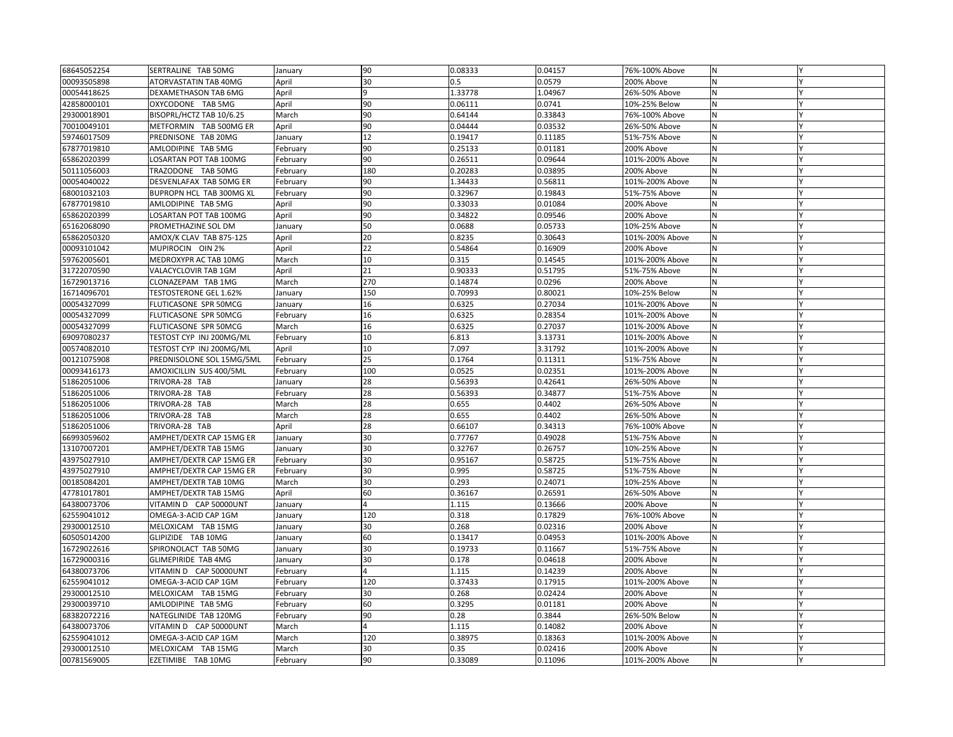| 68645052254 | SERTRALINE TAB 50MG       | January  | 90              | 0.08333 | 0.04157 | 76%-100% Above  | N |  |
|-------------|---------------------------|----------|-----------------|---------|---------|-----------------|---|--|
| 00093505898 | ATORVASTATIN TAB 40MG     | April    | 30              | 0.5     | 0.0579  | 200% Above      | N |  |
| 00054418625 | DEXAMETHASON TAB 6MG      | April    | q               | 1.33778 | 1.04967 | 26%-50% Above   | N |  |
| 42858000101 | OXYCODONE TAB 5MG         | April    | 90              | 0.06111 | 0.0741  | 10%-25% Below   | N |  |
| 29300018901 | BISOPRL/HCTZ TAB 10/6.25  | March    | 90              | 0.64144 | 0.33843 | 76%-100% Above  | N |  |
| 70010049101 | METFORMIN TAB 500MG ER    | April    | 90              | 0.04444 | 0.03532 | 26%-50% Above   | N |  |
| 59746017509 | PREDNISONE TAB 20MG       | January  | 12              | 0.19417 | 0.11185 | 51%-75% Above   | N |  |
| 67877019810 | AMLODIPINE TAB 5MG        | February | 90              | 0.25133 | 0.01181 | 200% Above      | N |  |
| 65862020399 | LOSARTAN POT TAB 100MG    | February | 90              | 0.26511 | 0.09644 | 101%-200% Above | N |  |
| 50111056003 | TRAZODONE TAB 50MG        | February | 180             | 0.20283 | 0.03895 | 200% Above      | N |  |
| 00054040022 | DESVENLAFAX TAB 50MG ER   | February | 90              | 1.34433 | 0.56811 | 101%-200% Above | N |  |
| 68001032103 | BUPROPN HCL TAB 300MG XL  | February | 90              | 0.32967 | 0.19843 | 51%-75% Above   | N |  |
| 67877019810 | AMLODIPINE TAB 5MG        | April    | 90              | 0.33033 | 0.01084 | 200% Above      | N |  |
| 65862020399 | LOSARTAN POT TAB 100MG    | April    | 90              | 0.34822 | 0.09546 | 200% Above      | N |  |
| 65162068090 | PROMETHAZINE SOL DM       | January  | 50              | 0.0688  | 0.05733 | 10%-25% Above   | Ν |  |
| 65862050320 | AMOX/K CLAV TAB 875-125   | April    | 20              | 0.8235  | 0.30643 | 101%-200% Above | N |  |
| 00093101042 | MUPIROCIN OIN 2%          | April    | 22              | 0.54864 | 0.16909 | 200% Above      |   |  |
| 59762005601 | MEDROXYPR AC TAB 10MG     | March    | 10              | 0.315   | 0.14545 | 101%-200% Above | N |  |
| 31722070590 | VALACYCLOVIR TAB 1GM      | April    | 21              | 0.90333 | 0.51795 | 51%-75% Above   | N |  |
| 16729013716 | CLONAZEPAM TAB 1MG        | March    | 270             | 0.14874 | 0.0296  | 200% Above      | N |  |
| 16714096701 | TESTOSTERONE GEL 1.62%    | January  | 150             | 0.70993 | 0.80021 | 10%-25% Below   | N |  |
| 00054327099 | FLUTICASONE SPR 50MCG     | January  | 16              | 0.6325  | 0.27034 | 101%-200% Above | N |  |
| 00054327099 | FLUTICASONE SPR 50MCG     | February | 16              | 0.6325  | 0.28354 | 101%-200% Above | N |  |
| 00054327099 | FLUTICASONE SPR 50MCG     | March    | 16              | 0.6325  | 0.27037 | 101%-200% Above | N |  |
| 69097080237 | TESTOST CYP INJ 200MG/ML  | February | 10              | 6.813   | 3.13731 | 101%-200% Above | N |  |
| 00574082010 | TESTOST CYP INJ 200MG/ML  | April    | 10              | 7.097   | 3.31792 | 101%-200% Above | N |  |
| 00121075908 | PREDNISOLONE SOL 15MG/5ML | February | 25              | 0.1764  | 0.11311 | 51%-75% Above   | N |  |
| 00093416173 | AMOXICILLIN SUS 400/5ML   | February | 100             | 0.0525  | 0.02351 | 101%-200% Above | N |  |
| 51862051006 | TRIVORA-28 TAB            | January  | $\overline{28}$ | 0.56393 | 0.42641 | 26%-50% Above   | N |  |
| 51862051006 | TRIVORA-28 TAB            | February | 28              | 0.56393 | 0.34877 | 51%-75% Above   | N |  |
| 51862051006 | TRIVORA-28 TAB            | March    | 28              | 0.655   | 0.4402  | 26%-50% Above   | N |  |
| 51862051006 | TRIVORA-28 TAB            | March    | 28              | 0.655   | 0.4402  | 26%-50% Above   |   |  |
| 51862051006 | TRIVORA-28 TAB            | April    | 28              | 0.66107 | 0.34313 | 76%-100% Above  | N |  |
| 66993059602 | AMPHET/DEXTR CAP 15MG ER  | January  | 30              | 0.77767 | 0.49028 | 51%-75% Above   | N |  |
| 13107007201 | AMPHET/DEXTR TAB 15MG     | January  | 30              | 0.32767 | 0.26757 | 10%-25% Above   | N |  |
| 43975027910 | AMPHET/DEXTR CAP 15MG ER  | February | 30              | 0.95167 | 0.58725 | 51%-75% Above   | Ν |  |
| 43975027910 | AMPHET/DEXTR CAP 15MG ER  | February | 30              | 0.995   | 0.58725 | 51%-75% Above   |   |  |
| 00185084201 | AMPHET/DEXTR TAB 10MG     | March    | 30              | 0.293   | 0.24071 | 10%-25% Above   |   |  |
| 47781017801 | AMPHET/DEXTR TAB 15MG     | April    | 60              | 0.36167 | 0.26591 | 26%-50% Above   | N |  |
| 64380073706 | VITAMIN D CAP 50000UNT    | January  |                 | 1.115   | 0.13666 | 200% Above      | N |  |
| 62559041012 | OMEGA-3-ACID CAP 1GM      | January  | 120             | 0.318   | 0.17829 | 76%-100% Above  | Ν |  |
| 29300012510 | MELOXICAM TAB 15MG        | January  | 30              | 0.268   | 0.02316 | 200% Above      |   |  |
| 60505014200 | GLIPIZIDE TAB 10MG        | January  | 60              | 0.13417 | 0.04953 | 101%-200% Above | N |  |
| 16729022616 | SPIRONOLACT TAB 50MG      | January  | 30              | 0.19733 | 0.11667 | 51%-75% Above   | N |  |
| 16729000316 | GLIMEPIRIDE TAB 4MG       | January  | 30              | 0.178   | 0.04618 | 200% Above      | N |  |
| 64380073706 | VITAMIN D CAP 50000UNT    | February |                 | 1.115   | 0.14239 | 200% Above      | N |  |
| 62559041012 | OMEGA-3-ACID CAP 1GM      | February | 120             | 0.37433 | 0.17915 | 101%-200% Above | N |  |
| 29300012510 | MELOXICAM TAB 15MG        | February | 30              | 0.268   | 0.02424 | 200% Above      | N |  |
| 29300039710 | AMLODIPINE TAB 5MG        | February | 60              | 0.3295  | 0.01181 | 200% Above      | N |  |
| 68382072216 | NATEGLINIDE TAB 120MG     | February | 90              | 0.28    | 0.3844  | 26%-50% Below   | N |  |
| 64380073706 | VITAMIN D CAP 50000UNT    | March    | $\overline{A}$  | 1.115   | 0.14082 | 200% Above      | N |  |
| 62559041012 | OMEGA-3-ACID CAP 1GM      | March    | 120             | 0.38975 | 0.18363 | 101%-200% Above | N |  |
| 29300012510 | MELOXICAM TAB 15MG        | March    | 30              | 0.35    | 0.02416 | 200% Above      | N |  |
| 00781569005 | EZETIMIBE TAB 10MG        | February | 90              | 0.33089 | 0.11096 | 101%-200% Above | N |  |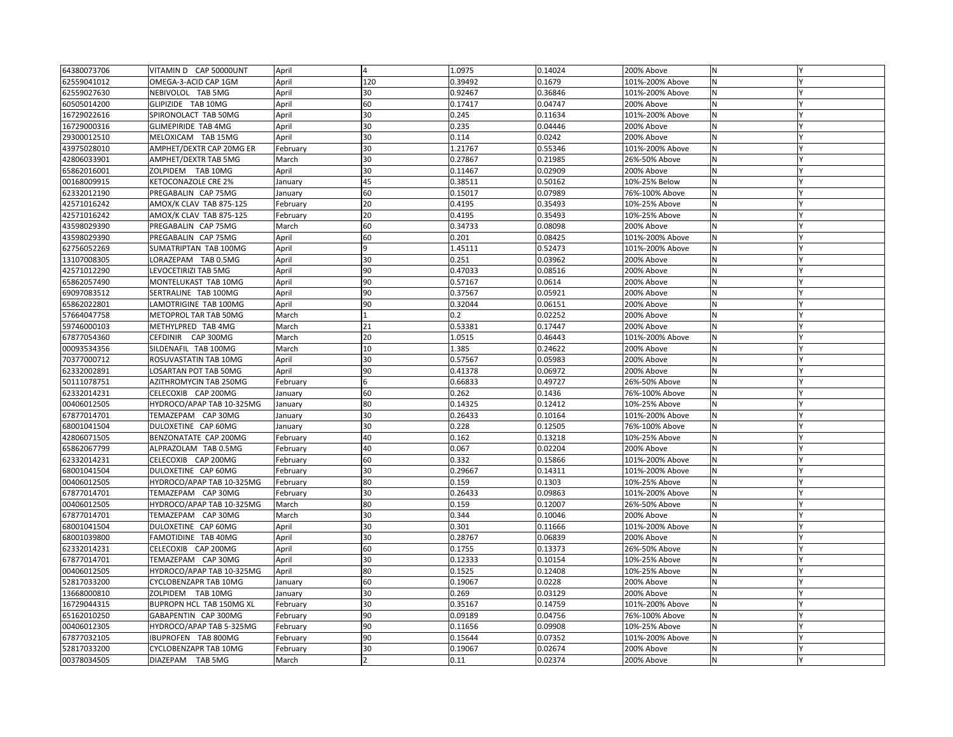| 64380073706 | VITAMIN D CAP 50000UNT        | April    |     | 1.0975  | 0.14024 | 200% Above      | N |  |
|-------------|-------------------------------|----------|-----|---------|---------|-----------------|---|--|
| 62559041012 | OMEGA-3-ACID CAP 1GM          | April    | 120 | 0.39492 | 0.1679  | 101%-200% Above | N |  |
| 62559027630 | NEBIVOLOL TAB 5MG             | April    | 30  | 0.92467 | 0.36846 | 101%-200% Above |   |  |
| 60505014200 | GLIPIZIDE TAB 10MG            | April    | 60  | 0.17417 | 0.04747 | 200% Above      |   |  |
| 16729022616 | SPIRONOLACT TAB 50MG          | April    | 30  | 0.245   | 0.11634 | 101%-200% Above | N |  |
| 16729000316 | GLIMEPIRIDE TAB 4MG           | April    | 30  | 0.235   | 0.04446 | 200% Above      | N |  |
| 29300012510 | MELOXICAM TAB 15MG            | April    | 30  | 0.114   | 0.0242  | 200% Above      | N |  |
| 43975028010 | AMPHET/DEXTR CAP 20MG ER      | February | 30  | 1.21767 | 0.55346 | 101%-200% Above | N |  |
| 42806033901 | AMPHET/DEXTR TAB 5MG          | March    | 30  | 0.27867 | 0.21985 | 26%-50% Above   | N |  |
| 65862016001 | ZOLPIDEM TAB 10MG             | April    | 30  | 0.11467 | 0.02909 | 200% Above      | N |  |
| 00168009915 | KETOCONAZOLE CRE 2%           | January  | 45  | 0.38511 | 0.50162 | 10%-25% Below   | N |  |
| 62332012190 | PREGABALIN CAP 75MG           | January  | 60  | 0.15017 | 0.07989 | 76%-100% Above  | N |  |
| 42571016242 | AMOX/K CLAV TAB 875-125       | February | 20  | 0.4195  | 0.35493 | 10%-25% Above   | N |  |
| 42571016242 | AMOX/K CLAV TAB 875-125       | February | 20  | 0.4195  | 0.35493 | 10%-25% Above   | N |  |
| 43598029390 | PREGABALIN CAP 75MG           | March    | 60  | 0.34733 | 0.08098 | 200% Above      | N |  |
| 43598029390 | PREGABALIN CAP 75MG           | April    | 60  | 0.201   | 0.08425 | 101%-200% Above | N |  |
| 62756052269 | SUMATRIPTAN TAB 100MG         | April    |     | 1.45111 | 0.52473 | 101%-200% Above |   |  |
| 13107008305 | LORAZEPAM TAB 0.5MG           | April    | 30  | 0.251   | 0.03962 | 200% Above      | N |  |
| 42571012290 | LEVOCETIRIZI TAB 5MG          | April    | 90  | 0.47033 | 0.08516 | 200% Above      | N |  |
| 65862057490 | MONTELUKAST TAB 10MG          | April    | 90  | 0.57167 | 0.0614  | 200% Above      | N |  |
| 69097083512 | SERTRALINE TAB 100MG          | April    | 90  | 0.37567 | 0.05921 | 200% Above      | N |  |
| 65862022801 | LAMOTRIGINE TAB 100MG         | April    | 90  | 0.32044 | 0.06151 | 200% Above      | N |  |
| 57664047758 | METOPROL TAR TAB 50MG         | March    |     | 0.2     | 0.02252 | 200% Above      | N |  |
| 59746000103 | METHYLPRED TAB 4MG            | March    | 21  | 0.53381 | 0.17447 | 200% Above      | N |  |
| 67877054360 | CEFDINIR<br>CAP 300MG         | March    | 20  | 1.0515  | 0.46443 | 101%-200% Above | N |  |
| 00093534356 | SILDENAFIL TAB 100MG          | March    | 10  | 1.385   | 0.24622 | 200% Above      | N |  |
| 70377000712 | ROSUVASTATIN TAB 10MG         | April    | 30  | 0.57567 | 0.05983 | 200% Above      | N |  |
| 62332002891 | LOSARTAN POT TAB 50MG         | April    | 90  | 0.41378 | 0.06972 | 200% Above      | N |  |
| 50111078751 | <b>AZITHROMYCIN TAB 250MG</b> | February |     | 0.66833 | 0.49727 | 26%-50% Above   | N |  |
| 62332014231 | CELECOXIB CAP 200MG           | January  | 60  | 0.262   | 0.1436  | 76%-100% Above  | И |  |
| 00406012505 | HYDROCO/APAP TAB 10-325MG     | January  | 80  | 0.14325 | 0.12412 | 10%-25% Above   | N |  |
| 67877014701 | TEMAZEPAM CAP 30MG            | January  | 30  | 0.26433 | 0.10164 | 101%-200% Above | Ν |  |
| 68001041504 | DULOXETINE CAP 60MG           | January  | 30  | 0.228   | 0.12505 | 76%-100% Above  | N |  |
| 42806071505 | BENZONATATE CAP 200MG         | February | 40  | 0.162   | 0.13218 | 10%-25% Above   |   |  |
| 65862067799 | ALPRAZOLAM TAB 0.5MG          | February | 40  | 0.067   | 0.02204 | 200% Above      | N |  |
| 62332014231 | CELECOXIB CAP 200MG           | February | 60  | 0.332   | 0.15866 | 101%-200% Above | N |  |
| 68001041504 | DULOXETINE CAP 60MG           | February | 30  | 0.29667 | 0.14311 | 101%-200% Above |   |  |
| 00406012505 | HYDROCO/APAP TAB 10-325MG     | February | 80  | 0.159   | 0.1303  | 10%-25% Above   |   |  |
| 67877014701 | TEMAZEPAM CAP 30MG            | February | 30  | 0.26433 | 0.09863 | 101%-200% Above | N |  |
| 00406012505 | HYDROCO/APAP TAB 10-325MG     | March    | 80  | 0.159   | 0.12007 | 26%-50% Above   | N |  |
| 67877014701 | TEMAZEPAM CAP 30MG            | March    | 30  | 0.344   | 0.10046 | 200% Above      | N |  |
| 68001041504 | DULOXETINE CAP 60MG           | April    | 30  | 0.301   | 0.11666 | 101%-200% Above | N |  |
| 68001039800 | FAMOTIDINE TAB 40MG           | April    | 30  | 0.28767 | 0.06839 | 200% Above      | N |  |
| 62332014231 | CELECOXIB CAP 200MG           | April    | 60  | 0.1755  | 0.13373 | 26%-50% Above   | N |  |
| 67877014701 | TEMAZEPAM CAP 30MG            | April    | 30  | 0.12333 | 0.10154 | 10%-25% Above   | N |  |
| 00406012505 | HYDROCO/APAP TAB 10-325MG     | April    | 80  | 0.1525  | 0.12408 | 10%-25% Above   | N |  |
| 52817033200 | CYCLOBENZAPR TAB 10MG         | January  | 60  | 0.19067 | 0.0228  | 200% Above      | N |  |
| 13668000810 | ZOLPIDEM TAB 10MG             | January  | 30  | 0.269   | 0.03129 | 200% Above      | N |  |
| 16729044315 | BUPROPN HCL TAB 150MG XL      | February | 30  | 0.35167 | 0.14759 | 101%-200% Above | Ν |  |
| 65162010250 | GABAPENTIN CAP 300MG          | February | 90  | 0.09189 | 0.04756 | 76%-100% Above  | N |  |
| 00406012305 | HYDROCO/APAP TAB 5-325MG      | February | 90  | 0.11656 | 0.09908 | 10%-25% Above   | И |  |
| 67877032105 | IBUPROFEN TAB 800MG           | February | 90  | 0.15644 | 0.07352 | 101%-200% Above | N |  |
| 52817033200 | CYCLOBENZAPR TAB 10MG         | February | 30  | 0.19067 | 0.02674 | 200% Above      | N |  |
| 00378034505 | DIAZEPAM TAB 5MG              | March    |     | 0.11    | 0.02374 | 200% Above      | N |  |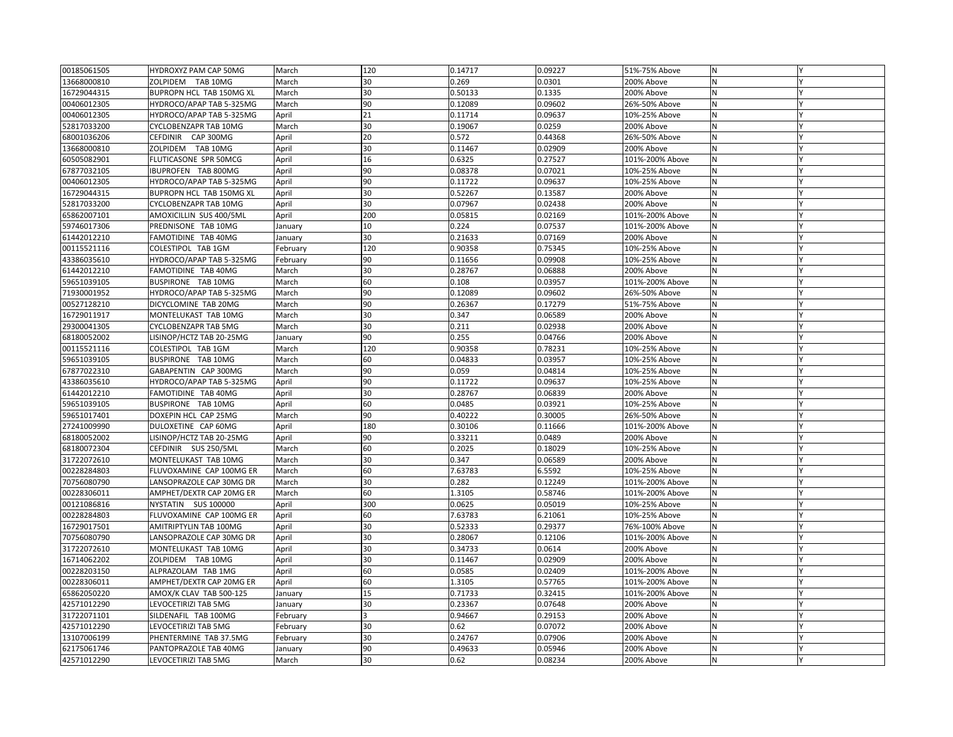| 00185061505 | HYDROXYZ PAM CAP 50MG         | March    | 120 | 0.14717 | 0.09227 | 51%-75% Above   | N |  |
|-------------|-------------------------------|----------|-----|---------|---------|-----------------|---|--|
| 13668000810 | ZOLPIDEM TAB 10MG             | March    | 30  | 0.269   | 0.0301  | 200% Above      | N |  |
| 16729044315 | BUPROPN HCL TAB 150MG XL      | March    | 30  | 0.50133 | 0.1335  | 200% Above      | N |  |
| 00406012305 | HYDROCO/APAP TAB 5-325MG      | March    | 90  | 0.12089 | 0.09602 | 26%-50% Above   |   |  |
| 00406012305 | HYDROCO/APAP TAB 5-325MG      | April    | 21  | 0.11714 | 0.09637 | 10%-25% Above   | N |  |
| 52817033200 | <b>CYCLOBENZAPR TAB 10MG</b>  | March    | 30  | 0.19067 | 0.0259  | 200% Above      |   |  |
| 68001036206 | CEFDINIR<br>CAP 300MG         | April    | 20  | 0.572   | 0.44368 | 26%-50% Above   | N |  |
| 13668000810 | ZOLPIDEM<br>TAB 10MG          | April    | 30  | 0.11467 | 0.02909 | 200% Above      |   |  |
| 60505082901 | FLUTICASONE SPR 50MCG         | April    | 16  | 0.6325  | 0.27527 | 101%-200% Above | N |  |
| 67877032105 | IBUPROFEN TAB 800MG           | April    | 90  | 0.08378 | 0.07021 | 10%-25% Above   | N |  |
| 00406012305 | HYDROCO/APAP TAB 5-325MG      | April    | 90  | 0.11722 | 0.09637 | 10%-25% Above   | N |  |
| 16729044315 | BUPROPN HCL TAB 150MG XL      | April    | 30  | 0.52267 | 0.13587 | 200% Above      | N |  |
| 52817033200 | <b>CYCLOBENZAPR TAB 10MG</b>  | April    | 30  | 0.07967 | 0.02438 | 200% Above      | N |  |
| 65862007101 | AMOXICILLIN SUS 400/5ML       | April    | 200 | 0.05815 | 0.02169 | 101%-200% Above | N |  |
| 59746017306 | PREDNISONE TAB 10MG           | January  | 10  | 0.224   | 0.07537 | 101%-200% Above | N |  |
| 61442012210 | FAMOTIDINE TAB 40MG           | January  | 30  | 0.21633 | 0.07169 | 200% Above      | N |  |
| 00115521116 | COLESTIPOL TAB 1GM            | February | 120 | 0.90358 | 0.75345 | 10%-25% Above   | N |  |
| 43386035610 | HYDROCO/APAP TAB 5-325MG      | February | 90  | 0.11656 | 0.09908 | 10%-25% Above   | N |  |
| 61442012210 | FAMOTIDINE TAB 40MG           | March    | 30  | 0.28767 | 0.06888 | 200% Above      | N |  |
| 59651039105 | BUSPIRONE TAB 10MG            | March    | 60  | 0.108   | 0.03957 | 101%-200% Above | N |  |
| 71930001952 | HYDROCO/APAP TAB 5-325MG      | March    | 90  | 0.12089 | 0.09602 | 26%-50% Above   | N |  |
| 00527128210 | DICYCLOMINE TAB 20MG          | March    | 90  | 0.26367 | 0.17279 | 51%-75% Above   | N |  |
| 16729011917 | MONTELUKAST TAB 10MG          | March    | 30  | 0.347   | 0.06589 | 200% Above      | N |  |
| 29300041305 | <b>CYCLOBENZAPR TAB 5MG</b>   | March    | 30  | 0.211   | 0.02938 | 200% Above      | N |  |
| 68180052002 | LISINOP/HCTZ TAB 20-25MG      | January  | 90  | 0.255   | 0.04766 | 200% Above      | N |  |
| 00115521116 | COLESTIPOL TAB 1GM            | March    | 120 | 0.90358 | 0.78231 | 10%-25% Above   | N |  |
| 59651039105 | BUSPIRONE TAB 10MG            | March    | 60  | 0.04833 | 0.03957 | 10%-25% Above   | N |  |
| 67877022310 | GABAPENTIN CAP 300MG          | March    | 90  | 0.059   | 0.04814 | 10%-25% Above   | N |  |
| 43386035610 | HYDROCO/APAP TAB 5-325MG      | April    | 90  | 0.11722 | 0.09637 | 10%-25% Above   | N |  |
| 61442012210 | FAMOTIDINE TAB 40MG           | April    | 30  | 0.28767 | 0.06839 | 200% Above      | N |  |
| 59651039105 | <b>BUSPIRONE TAB 10MG</b>     | April    | 60  | 0.0485  | 0.03921 | 10%-25% Above   | N |  |
| 59651017401 | DOXEPIN HCL CAP 25MG          | March    | 90  | 0.40222 | 0.30005 | 26%-50% Above   | N |  |
| 27241009990 | DULOXETINE CAP 60MG           | April    | 180 | 0.30106 | 0.11666 | 101%-200% Above | N |  |
| 68180052002 | LISINOP/HCTZ TAB 20-25MG      | April    | 90  | 0.33211 | 0.0489  | 200% Above      | N |  |
| 68180072304 | CEFDINIR SUS 250/5ML          | March    | 60  | 0.2025  | 0.18029 | 10%-25% Above   | N |  |
| 31722072610 | MONTELUKAST TAB 10MG          | March    | 30  | 0.347   | 0.06589 | 200% Above      | N |  |
| 00228284803 | FLUVOXAMINE CAP 100MG ER      | March    | 60  | 7.63783 | 6.5592  | 10%-25% Above   | N |  |
| 70756080790 | LANSOPRAZOLE CAP 30MG DR      | March    | 30  | 0.282   | 0.12249 | 101%-200% Above | N |  |
| 00228306011 | AMPHET/DEXTR CAP 20MG ER      | March    | 60  | 1.3105  | 0.58746 | 101%-200% Above | N |  |
| 00121086816 | NYSTATIN SUS 100000           | April    | 300 | 0.0625  | 0.05019 | 10%-25% Above   | N |  |
| 00228284803 | FLUVOXAMINE CAP 100MG ER      | April    | 60  | 7.63783 | 6.21061 | 10%-25% Above   | N |  |
| 16729017501 | <b>AMITRIPTYLIN TAB 100MG</b> | April    | 30  | 0.52333 | 0.29377 | 76%-100% Above  | N |  |
| 70756080790 | LANSOPRAZOLE CAP 30MG DR      | April    | 30  | 0.28067 | 0.12106 | 101%-200% Above | N |  |
| 31722072610 | MONTELUKAST TAB 10MG          | April    | 30  | 0.34733 | 0.0614  | 200% Above      | N |  |
| 16714062202 | ZOLPIDEM TAB 10MG             | April    | 30  | 0.11467 | 0.02909 | 200% Above      | N |  |
| 00228203150 | ALPRAZOLAM TAB 1MG            | April    | 60  | 0.0585  | 0.02409 | 101%-200% Above |   |  |
| 00228306011 | AMPHET/DEXTR CAP 20MG ER      | April    | 60  | 1.3105  | 0.57765 | 101%-200% Above | N |  |
| 65862050220 | AMOX/K CLAV TAB 500-125       | January  | 15  | 0.71733 | 0.32415 | 101%-200% Above | N |  |
| 42571012290 | LEVOCETIRIZI TAB 5MG          | January  | 30  | 0.23367 | 0.07648 | 200% Above      | N |  |
| 31722071101 | SILDENAFIL TAB 100MG          | February |     | 0.94667 | 0.29153 | 200% Above      | N |  |
| 42571012290 | LEVOCETIRIZI TAB 5MG          | February | 30  | 0.62    | 0.07072 | 200% Above      | N |  |
| 13107006199 | PHENTERMINE TAB 37.5MG        | February | 30  | 0.24767 | 0.07906 | 200% Above      | N |  |
| 62175061746 | PANTOPRAZOLE TAB 40MG         | January  | 90  | 0.49633 | 0.05946 | 200% Above      | N |  |
| 42571012290 | LEVOCETIRIZI TAB 5MG          | March    | 30  | 0.62    | 0.08234 | 200% Above      | N |  |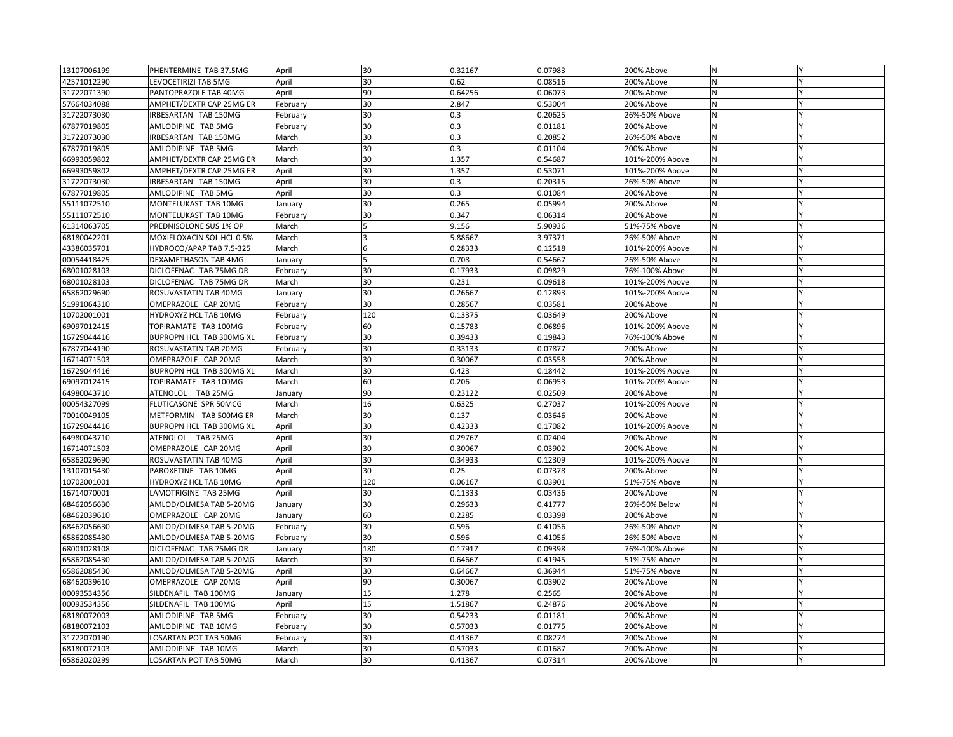| 13107006199 | PHENTERMINE TAB 37.5MG       | April    | 30  | 0.32167 | 0.07983 | 200% Above      | N |  |
|-------------|------------------------------|----------|-----|---------|---------|-----------------|---|--|
| 42571012290 | LEVOCETIRIZI TAB 5MG         | April    | 30  | 0.62    | 0.08516 | 200% Above      | N |  |
| 31722071390 | PANTOPRAZOLE TAB 40MG        | April    | 90  | 0.64256 | 0.06073 | 200% Above      | N |  |
| 57664034088 | AMPHET/DEXTR CAP 25MG ER     | February | 30  | 2.847   | 0.53004 | 200% Above      | N |  |
| 31722073030 | IRBESARTAN TAB 150MG         | February | 30  | 0.3     | 0.20625 | 26%-50% Above   | N |  |
| 67877019805 | AMLODIPINE TAB 5MG           | February | 30  | 0.3     | 0.01181 | 200% Above      | N |  |
| 31722073030 | IRBESARTAN TAB 150MG         | March    | 30  | 0.3     | 0.20852 | 26%-50% Above   | N |  |
| 67877019805 | AMLODIPINE TAB 5MG           | March    | 30  | 0.3     | 0.01104 | 200% Above      | N |  |
| 66993059802 | AMPHET/DEXTR CAP 25MG ER     | March    | 30  | 1.357   | 0.54687 | 101%-200% Above | N |  |
| 66993059802 | AMPHET/DEXTR CAP 25MG ER     | April    | 30  | 1.357   | 0.53071 | 101%-200% Above | N |  |
| 31722073030 | IRBESARTAN TAB 150MG         | April    | 30  | 0.3     | 0.20315 | 26%-50% Above   | N |  |
| 67877019805 | AMLODIPINE TAB 5MG           | April    | 30  | 0.3     | 0.01084 | 200% Above      | N |  |
| 55111072510 | MONTELUKAST TAB 10MG         | January  | 30  | 0.265   | 0.05994 | 200% Above      | N |  |
| 55111072510 | MONTELUKAST TAB 10MG         | February | 30  | 0.347   | 0.06314 | 200% Above      | N |  |
| 61314063705 | PREDNISOLONE SUS 1% OP       | March    |     | 9.156   | 5.90936 | 51%-75% Above   | N |  |
| 68180042201 | MOXIFLOXACIN SOL HCL 0.5%    | March    |     | 5.88667 | 3.97371 | 26%-50% Above   | N |  |
| 43386035701 | HYDROCO/APAP TAB 7.5-325     | March    |     | 0.28333 | 0.12518 | 101%-200% Above |   |  |
| 00054418425 | <b>DEXAMETHASON TAB 4MG</b>  | January  |     | 0.708   | 0.54667 | 26%-50% Above   | N |  |
| 68001028103 | DICLOFENAC TAB 75MG DR       | February | 30  | 0.17933 | 0.09829 | 76%-100% Above  | N |  |
| 68001028103 | DICLOFENAC TAB 75MG DR       | March    | 30  | 0.231   | 0.09618 | 101%-200% Above | N |  |
| 65862029690 | ROSUVASTATIN TAB 40MG        | January  | 30  | 0.26667 | 0.12893 | 101%-200% Above | N |  |
| 51991064310 | OMEPRAZOLE CAP 20MG          | February | 30  | 0.28567 | 0.03581 | 200% Above      | N |  |
| 10702001001 | HYDROXYZ HCL TAB 10MG        | February | 120 | 0.13375 | 0.03649 | 200% Above      | N |  |
| 69097012415 | TOPIRAMATE TAB 100MG         | February | 60  | 0.15783 | 0.06896 | 101%-200% Above |   |  |
| 16729044416 | BUPROPN HCL TAB 300MG XL     | February | 30  | 0.39433 | 0.19843 | 76%-100% Above  | N |  |
| 67877044190 | ROSUVASTATIN TAB 20MG        | February | 30  | 0.33133 | 0.07877 | 200% Above      | N |  |
| 16714071503 | OMEPRAZOLE CAP 20MG          | March    | 30  | 0.30067 | 0.03558 | 200% Above      | N |  |
| 16729044416 | BUPROPN HCL TAB 300MG XL     | March    | 30  | 0.423   | 0.18442 | 101%-200% Above | N |  |
| 69097012415 | TOPIRAMATE TAB 100MG         | March    | 60  | 0.206   | 0.06953 | 101%-200% Above | N |  |
| 64980043710 | ATENOLOL TAB 25MG            | January  | 90  | 0.23122 | 0.02509 | 200% Above      | N |  |
| 00054327099 | FLUTICASONE SPR 50MCG        | March    | 16  | 0.6325  | 0.27037 | 101%-200% Above | N |  |
| 70010049105 | METFORMIN TAB 500MG ER       | March    | 30  | 0.137   | 0.03646 | 200% Above      |   |  |
| 16729044416 | BUPROPN HCL TAB 300MG XL     | April    | 30  | 0.42333 | 0.17082 | 101%-200% Above | N |  |
| 64980043710 | <b>ATENOLOL</b><br>TAB 25MG  | April    | 30  | 0.29767 | 0.02404 | 200% Above      | N |  |
| 16714071503 | OMEPRAZOLE CAP 20MG          | April    | 30  | 0.30067 | 0.03902 | 200% Above      | N |  |
| 65862029690 | ROSUVASTATIN TAB 40MG        | April    | 30  | 0.34933 | 0.12309 | 101%-200% Above | N |  |
| 13107015430 | PAROXETINE TAB 10MG          | April    | 30  | 0.25    | 0.07378 | 200% Above      |   |  |
| 10702001001 | HYDROXYZ HCL TAB 10MG        | April    | 120 | 0.06167 | 0.03901 | 51%-75% Above   | N |  |
| 16714070001 | LAMOTRIGINE TAB 25MG         | April    | 30  | 0.11333 | 0.03436 | 200% Above      | N |  |
| 68462056630 | AMLOD/OLMESA TAB 5-20MG      | January  | 30  | 0.29633 | 0.41777 | 26%-50% Below   | N |  |
| 68462039610 | OMEPRAZOLE CAP 20MG          | January  | 60  | 0.2285  | 0.03398 | 200% Above      | N |  |
| 68462056630 | AMLOD/OLMESA TAB 5-20MG      | February | 30  | 0.596   | 0.41056 | 26%-50% Above   |   |  |
| 65862085430 | AMLOD/OLMESA TAB 5-20MG      | February | 30  | 0.596   | 0.41056 | 26%-50% Above   | N |  |
| 68001028108 | DICLOFENAC TAB 75MG DR       | January  | 180 | 0.17917 | 0.09398 | 76%-100% Above  | N |  |
| 65862085430 | AMLOD/OLMESA TAB 5-20MG      | March    | 30  | 0.64667 | 0.41945 | 51%-75% Above   | N |  |
| 65862085430 | AMLOD/OLMESA TAB 5-20MG      | April    | 30  | 0.64667 | 0.36944 | 51%-75% Above   | N |  |
| 68462039610 | OMEPRAZOLE CAP 20MG          | April    | 90  | 0.30067 | 0.03902 | 200% Above      | N |  |
| 00093534356 | SILDENAFIL TAB 100MG         | January  | 15  | 1.278   | 0.2565  | 200% Above      | N |  |
| 00093534356 | SILDENAFIL TAB 100MG         | April    | 15  | 1.51867 | 0.24876 | 200% Above      | N |  |
| 68180072003 | AMLODIPINE TAB 5MG           | February | 30  | 0.54233 | 0.01181 | 200% Above      | N |  |
| 68180072103 | AMLODIPINE TAB 10MG          | February | 30  | 0.57033 | 0.01775 | 200% Above      | N |  |
| 31722070190 | LOSARTAN POT TAB 50MG        | February | 30  | 0.41367 | 0.08274 | 200% Above      | N |  |
| 68180072103 | AMLODIPINE TAB 10MG          | March    | 30  | 0.57033 | 0.01687 | 200% Above      | N |  |
| 65862020299 | <b>LOSARTAN POT TAB 50MG</b> | March    | 30  | 0.41367 | 0.07314 | 200% Above      | N |  |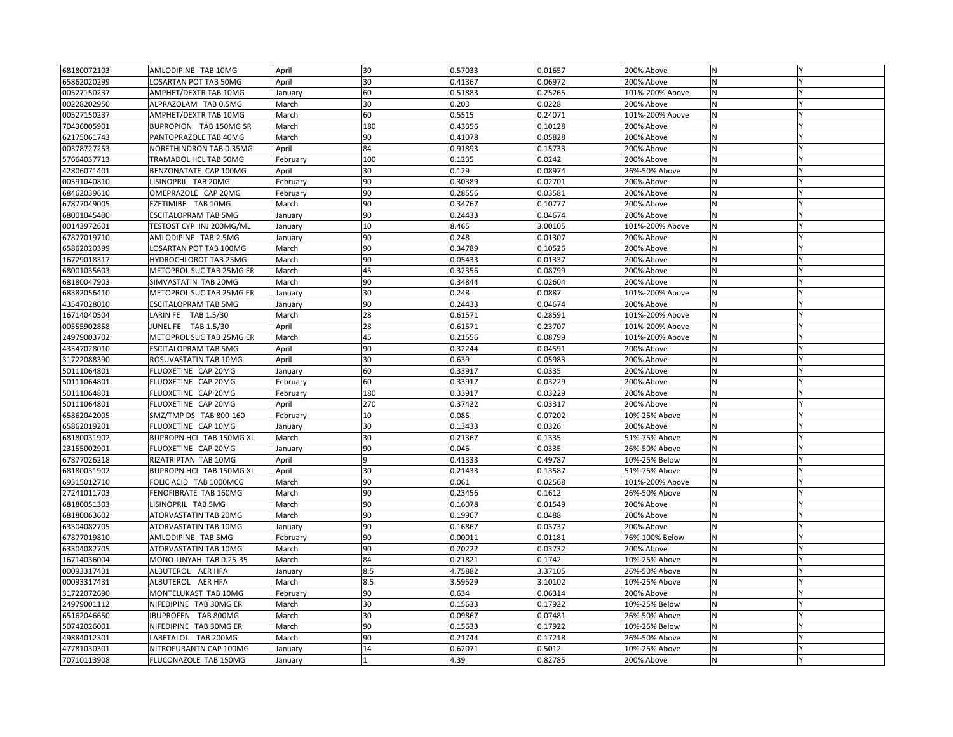| 68180072103                | AMLODIPINE TAB 10MG                           | April          | 30       | 0.57033            | 0.01657            | 200% Above                     | N |  |
|----------------------------|-----------------------------------------------|----------------|----------|--------------------|--------------------|--------------------------------|---|--|
| 65862020299                | <b>LOSARTAN POT TAB 50MG</b>                  | April          | 30       | 0.41367            | 0.06972            | 200% Above                     | N |  |
| 00527150237                | AMPHET/DEXTR TAB 10MG                         | January        | 60       | 0.51883            | 0.25265            | 101%-200% Above                | N |  |
| 00228202950                | ALPRAZOLAM TAB 0.5MG                          | March          | 30       | 0.203              | 0.0228             | 200% Above                     |   |  |
| 00527150237                | AMPHET/DEXTR TAB 10MG                         | March          | 60       | 0.5515             | 0.24071            | 101%-200% Above                | N |  |
| 70436005901                | BUPROPION TAB 150MG SR                        | March          | 180      | 0.43356            | 0.10128            | 200% Above                     | N |  |
| 62175061743                | PANTOPRAZOLE TAB 40MG                         | March          | 90       | 0.41078            | 0.05828            | 200% Above                     | N |  |
| 00378727253                | NORETHINDRON TAB 0.35MG                       | April          | 84       | 0.91893            | 0.15733            | 200% Above                     | N |  |
| 57664037713                | TRAMADOL HCL TAB 50MG                         | February       | 100      | 0.1235             | 0.0242             | 200% Above                     | N |  |
| 42806071401                | BENZONATATE CAP 100MG                         | April          | 30       | 0.129              | 0.08974            | 26%-50% Above                  | N |  |
| 00591040810                | LISINOPRIL TAB 20MG                           | February       | 90       | 0.30389            | 0.02701            | 200% Above                     | N |  |
| 68462039610                | OMEPRAZOLE CAP 20MG                           | February       | 90       | 0.28556            | 0.03581            | 200% Above                     | N |  |
| 67877049005                | EZETIMIBE TAB 10MG                            | March          | 90       | 0.34767            | 0.10777            | 200% Above                     | N |  |
| 68001045400                | <b>ESCITALOPRAM TAB 5MG</b>                   | January        | 90       | 0.24433            | 0.04674            | 200% Above                     | N |  |
| 00143972601                | TESTOST CYP INJ 200MG/ML                      | January        | 10       | 8.465              | 3.00105            | 101%-200% Above                | N |  |
| 67877019710                | AMLODIPINE TAB 2.5MG                          | January        | 90       | 0.248              | 0.01307            | 200% Above                     | N |  |
| 65862020399                | LOSARTAN POT TAB 100MG                        | March          | 90       | 0.34789            | 0.10526            | 200% Above                     | N |  |
| 16729018317                | HYDROCHLOROT TAB 25MG                         | March          | 90       | 0.05433            | 0.01337            | 200% Above                     | N |  |
| 68001035603                | METOPROL SUC TAB 25MG ER                      | March          | 45       | 0.32356            | 0.08799            | 200% Above                     | N |  |
| 68180047903                | SIMVASTATIN TAB 20MG                          | March          | 90       | 0.34844            | 0.02604            | 200% Above                     |   |  |
| 68382056410                | METOPROL SUC TAB 25MG ER                      | January        | 30       | 0.248              | 0.0887             | 101%-200% Above                |   |  |
| 43547028010                | <b>ESCITALOPRAM TAB 5MG</b>                   | January        | 90       | 0.24433            | 0.04674            | 200% Above                     | N |  |
| 16714040504                | LARIN FE TAB 1.5/30                           | March          | 28       | 0.61571            | 0.28591            | 101%-200% Above                | Ν |  |
| 00555902858                | JUNEL FE TAB 1.5/30                           | April          | 28       | 0.61571            | 0.23707            | 101%-200% Above                | N |  |
| 24979003702                | METOPROL SUC TAB 25MG ER                      | March          | 45       | 0.21556            | 0.08799            | 101%-200% Above                | N |  |
| 43547028010                | <b>ESCITALOPRAM TAB 5MG</b>                   | April          | 90       | 0.32244            | 0.04591            | 200% Above                     | N |  |
| 31722088390                | ROSUVASTATIN TAB 10MG                         | April          | 30       | 0.639              | 0.05983            | 200% Above                     | N |  |
| 50111064801                | FLUOXETINE CAP 20MG                           | January        | 60       | 0.33917            | 0.0335             | 200% Above                     | N |  |
| 50111064801                | FLUOXETINE CAP 20MG                           | February       | 60       | 0.33917            | 0.03229            | 200% Above                     | N |  |
| 50111064801                | FLUOXETINE CAP 20MG                           | February       | 180      | 0.33917            | 0.03229            | 200% Above                     | N |  |
| 50111064801                | FLUOXETINE CAP 20MG                           | April          | 270      | 0.37422            | 0.03317            | 200% Above                     | N |  |
| 65862042005                | SMZ/TMP DS TAB 800-160                        | February       | 10       | 0.085              | 0.07202            | 10%-25% Above                  |   |  |
| 65862019201                | FLUOXETINE CAP 10MG                           | January        | 30       | 0.13433            | 0.0326             | 200% Above                     | N |  |
| 68180031902                | BUPROPN HCL TAB 150MG XL                      | March          | 30       | 0.21367            | 0.1335             | 51%-75% Above                  | N |  |
| 23155002901                | FLUOXETINE CAP 20MG                           | January        | 90       | 0.046              | 0.0335             | 26%-50% Above                  | N |  |
| 67877026218                | RIZATRIPTAN TAB 10MG                          | April          | q        | 0.41333            | 0.49787            | 10%-25% Below                  | N |  |
| 68180031902                | BUPROPN HCL TAB 150MG XL                      | April          | 30       | 0.21433            | 0.13587            | 51%-75% Above                  | N |  |
| 69315012710                | FOLIC ACID TAB 1000MCG                        | March          | 90       | 0.061              | 0.02568            | 101%-200% Above                | N |  |
| 27241011703                | FENOFIBRATE TAB 160MG                         | March          | 90       | 0.23456            | 0.1612             | 26%-50% Above                  | N |  |
| 68180051303                | LISINOPRIL TAB 5MG                            | March          | 90       | 0.16078            | 0.01549            | 200% Above                     |   |  |
| 68180063602                | ATORVASTATIN TAB 20MG                         | March          | 90       | 0.19967            | 0.0488             | 200% Above                     | N |  |
| 63304082705                | ATORVASTATIN TAB 10MG                         | January        | 90       | 0.16867            | 0.03737            | 200% Above                     | N |  |
| 67877019810                | AMLODIPINE TAB 5MG                            | February       | 90       | 0.00011            | 0.01181            | 76%-100% Below                 | N |  |
| 63304082705                | ATORVASTATIN TAB 10MG                         | March          | 90       | 0.20222            | 0.03732            | 200% Above                     | N |  |
| 16714036004                | MONO-LINYAH TAB 0.25-35                       | March          | 84       | 0.21821            | 0.1742             | 10%-25% Above                  |   |  |
| 00093317431                | <b>ALBUTEROL</b><br><b>AER HFA</b>            | January        | 8.5      | 4.75882            | 3.37105            | 26%-50% Above                  |   |  |
| 00093317431                | <b>ALBUTEROL</b><br><b>AER HFA</b>            | March          | 8.5      | 3.59529            | 3.10102            | 10%-25% Above                  | N |  |
| 31722072690                | MONTELUKAST TAB 10MG                          | February       | 90       | 0.634              | 0.06314            | 200% Above                     | Ν |  |
| 24979001112                | NIFEDIPINE TAB 30MG ER                        | March<br>March | 30<br>30 | 0.15633            | 0.17922            | 10%-25% Below                  | N |  |
| 65162046650<br>50742026001 | IBUPROFEN TAB 800MG<br>NIFEDIPINE TAB 30MG ER | March          | 90       | 0.09867<br>0.15633 | 0.07481<br>0.17922 | 26%-50% Above<br>10%-25% Below | N |  |
| 49884012301                | LABETALOL TAB 200MG                           | March          | 90       | 0.21744            | 0.17218            | 26%-50% Above                  | N |  |
| 47781030301                | NITROFURANTN CAP 100MG                        | January        | 14       | 0.62071            | 0.5012             | 10%-25% Above                  | N |  |
| 70710113908                | FLUCONAZOLE TAB 150MG                         |                |          | 4.39               | 0.82785            | 200% Above                     | N |  |
|                            |                                               | January        |          |                    |                    |                                |   |  |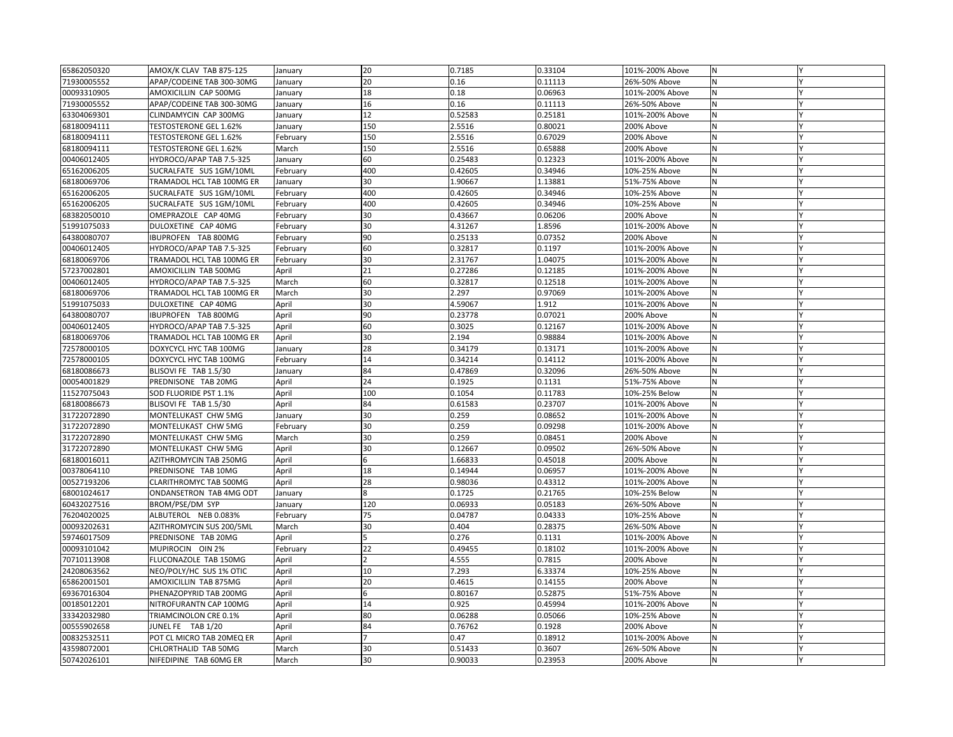| 65862050320 | AMOX/K CLAV TAB 875-125       | January  | 20  | 0.7185  | 0.33104 | 101%-200% Above | IN. |  |
|-------------|-------------------------------|----------|-----|---------|---------|-----------------|-----|--|
| 71930005552 | APAP/CODEINE TAB 300-30MG     | January  | 20  | 0.16    | 0.11113 | 26%-50% Above   | N   |  |
| 00093310905 | AMOXICILLIN CAP 500MG         | January  | 18  | 0.18    | 0.06963 | 101%-200% Above | N   |  |
| 71930005552 | APAP/CODEINE TAB 300-30MG     | January  | 16  | 0.16    | 0.11113 | 26%-50% Above   |     |  |
| 63304069301 | CLINDAMYCIN CAP 300MG         | January  | 12  | 0.52583 | 0.25181 | 101%-200% Above | N   |  |
| 68180094111 | <b>TESTOSTERONE GEL 1.62%</b> | January  | 150 | 2.5516  | 0.80021 | 200% Above      | N   |  |
| 68180094111 | <b>TESTOSTERONE GEL 1.62%</b> | February | 150 | 2.5516  | 0.67029 | 200% Above      | N   |  |
| 68180094111 | <b>TESTOSTERONE GEL 1.62%</b> | March    | 150 | 2.5516  | 0.65888 | 200% Above      |     |  |
| 00406012405 | HYDROCO/APAP TAB 7.5-325      | January  | 60  | 0.25483 | 0.12323 | 101%-200% Above | N   |  |
| 65162006205 | SUCRALFATE SUS 1GM/10ML       | February | 400 | 0.42605 | 0.34946 | 10%-25% Above   | N   |  |
| 68180069706 | TRAMADOL HCL TAB 100MG ER     | January  | 30  | 1.90667 | 1.13881 | 51%-75% Above   | N   |  |
| 65162006205 | SUCRALFATE SUS 1GM/10ML       | February | 400 | 0.42605 | 0.34946 | 10%-25% Above   |     |  |
| 65162006205 | SUCRALFATE SUS 1GM/10ML       | February | 400 | 0.42605 | 0.34946 | 10%-25% Above   | N   |  |
| 68382050010 | OMEPRAZOLE CAP 40MG           | February | 30  | 0.43667 | 0.06206 | 200% Above      | N   |  |
| 51991075033 | DULOXETINE CAP 40MG           | February | 30  | 4.31267 | 1.8596  | 101%-200% Above | N   |  |
| 64380080707 | IBUPROFEN TAB 800MG           | February | 90  | 0.25133 | 0.07352 | 200% Above      | N   |  |
| 00406012405 | HYDROCO/APAP TAB 7.5-325      | February | 60  | 0.32817 | 0.1197  | 101%-200% Above | N   |  |
| 68180069706 | TRAMADOL HCL TAB 100MG ER     | February | 30  | 2.31767 | 1.04075 | 101%-200% Above | N   |  |
| 57237002801 | AMOXICILLIN TAB 500MG         | April    | 21  | 0.27286 | 0.12185 | 101%-200% Above | N   |  |
| 00406012405 | HYDROCO/APAP TAB 7.5-325      | March    | 60  | 0.32817 | 0.12518 | 101%-200% Above | N   |  |
| 68180069706 | TRAMADOL HCL TAB 100MG ER     | March    | 30  | 2.297   | 0.97069 | 101%-200% Above | N   |  |
| 51991075033 | DULOXETINE CAP 40MG           | April    | 30  | 4.59067 | 1.912   | 101%-200% Above | N   |  |
| 64380080707 | IBUPROFEN TAB 800MG           | April    | 90  | 0.23778 | 0.07021 | 200% Above      | N   |  |
| 00406012405 | HYDROCO/APAP TAB 7.5-325      | April    | 60  | 0.3025  | 0.12167 | 101%-200% Above | N   |  |
| 68180069706 | TRAMADOL HCL TAB 100MG ER     | April    | 30  | 2.194   | 0.98884 | 101%-200% Above | N   |  |
| 72578000105 | DOXYCYCL HYC TAB 100MG        | January  | 28  | 0.34179 | 0.13171 | 101%-200% Above | N   |  |
| 72578000105 | DOXYCYCL HYC TAB 100MG        | February | 14  | 0.34214 | 0.14112 | 101%-200% Above | N   |  |
| 68180086673 | BLISOVI FE TAB 1.5/30         | January  | 84  | 0.47869 | 0.32096 | 26%-50% Above   | N   |  |
| 00054001829 | PREDNISONE TAB 20MG           | April    | 24  | 0.1925  | 0.1131  | 51%-75% Above   | N   |  |
| 11527075043 | SOD FLUORIDE PST 1.1%         | April    | 100 | 0.1054  | 0.11783 | 10%-25% Below   | N   |  |
| 68180086673 | BLISOVI FE TAB 1.5/30         | April    | 84  | 0.61583 | 0.23707 | 101%-200% Above | N   |  |
| 31722072890 | MONTELUKAST CHW 5MG           | January  | 30  | 0.259   | 0.08652 | 101%-200% Above | N   |  |
| 31722072890 | MONTELUKAST CHW 5MG           | February | 30  | 0.259   | 0.09298 | 101%-200% Above | Ν   |  |
| 31722072890 | MONTELUKAST CHW 5MG           | March    | 30  | 0.259   | 0.08451 | 200% Above      | N   |  |
| 31722072890 | MONTELUKAST CHW 5MG           | April    | 30  | 0.12667 | 0.09502 | 26%-50% Above   | N   |  |
| 68180016011 | AZITHROMYCIN TAB 250MG        | April    |     | 1.66833 | 0.45018 | 200% Above      | N   |  |
| 00378064110 | PREDNISONE TAB 10MG           | April    | 18  | 0.14944 | 0.06957 | 101%-200% Above | N   |  |
| 00527193206 | CLARITHROMYC TAB 500MG        | April    | 28  | 0.98036 | 0.43312 | 101%-200% Above |     |  |
| 68001024617 | ONDANSETRON TAB 4MG ODT       | January  |     | 0.1725  | 0.21765 | 10%-25% Below   | N   |  |
| 60432027516 | BROM/PSE/DM SYP               | January  | 120 | 0.06933 | 0.05183 | 26%-50% Above   | N   |  |
| 76204020025 | ALBUTEROL NEB 0.083%          | February | 75  | 0.04787 | 0.04333 | 10%-25% Above   | N   |  |
| 00093202631 | AZITHROMYCIN SUS 200/5ML      | March    | 30  | 0.404   | 0.28375 | 26%-50% Above   | N   |  |
| 59746017509 | PREDNISONE TAB 20MG           | April    |     | 0.276   | 0.1131  | 101%-200% Above | N   |  |
| 00093101042 | MUPIROCIN OIN 2%              | February | 22  | 0.49455 | 0.18102 | 101%-200% Above | N   |  |
| 70710113908 | FLUCONAZOLE TAB 150MG         | April    |     | 4.555   | 0.7815  | 200% Above      | N   |  |
| 24208063562 | NEO/POLY/HC SUS 1% OTIC       | April    | 10  | 7.293   | 6.33374 | 10%-25% Above   | N   |  |
| 65862001501 | AMOXICILLIN TAB 875MG         | April    | 20  | 0.4615  | 0.14155 | 200% Above      | N   |  |
| 69367016304 | PHENAZOPYRID TAB 200MG        | April    | 6   | 0.80167 | 0.52875 | 51%-75% Above   | N   |  |
| 00185012201 | NITROFURANTN CAP 100MG        | April    | 14  | 0.925   | 0.45994 | 101%-200% Above | N   |  |
| 33342032980 | TRIAMCINOLON CRE 0.1%         | April    | 80  | 0.06288 | 0.05066 | 10%-25% Above   | N   |  |
| 00555902658 | JUNEL FE TAB 1/20             | April    | 84  | 0.76762 | 0.1928  | 200% Above      |     |  |
| 00832532511 | POT CL MICRO TAB 20MEQ ER     | April    |     | 0.47    | 0.18912 | 101%-200% Above | N   |  |
| 43598072001 | CHLORTHALID TAB 50MG          | March    | 30  | 0.51433 | 0.3607  | 26%-50% Above   | N   |  |
| 50742026101 | NIFEDIPINE TAB 60MG ER        | March    | 30  | 0.90033 | 0.23953 | 200% Above      | N   |  |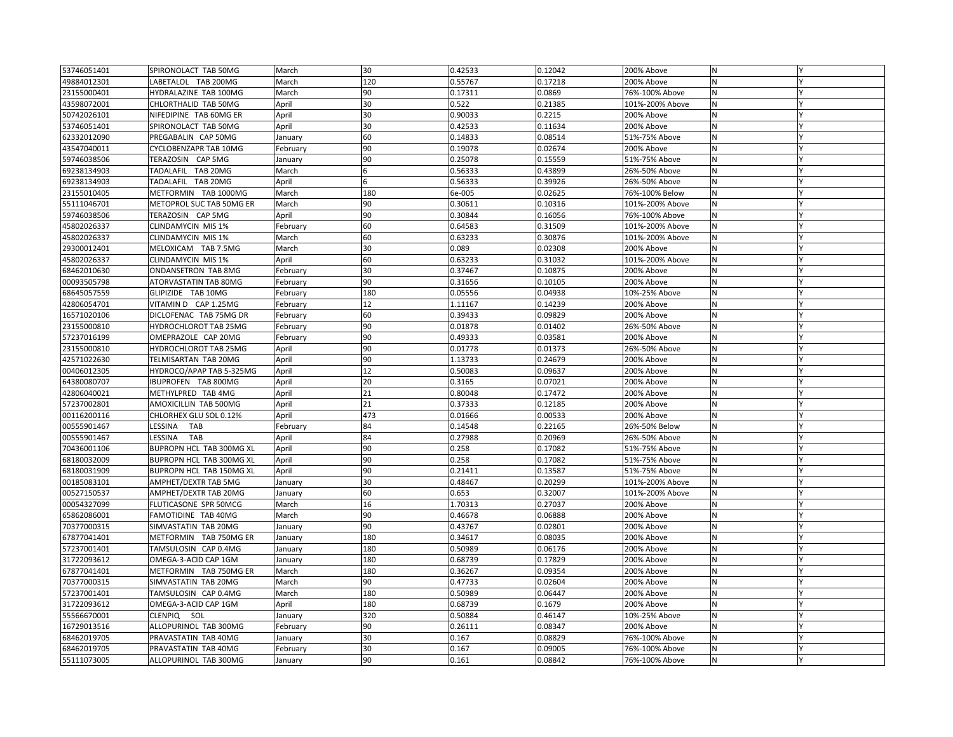| 53746051401 | SPIRONOLACT TAB 50MG         | March    | 30  | 0.42533 | 0.12042 | 200% Above      | N |  |
|-------------|------------------------------|----------|-----|---------|---------|-----------------|---|--|
| 49884012301 | LABETALOL TAB 200MG          | March    | 120 | 0.55767 | 0.17218 | 200% Above      | N |  |
| 23155000401 | HYDRALAZINE TAB 100MG        | March    | 90  | 0.17311 | 0.0869  | 76%-100% Above  |   |  |
| 43598072001 | CHLORTHALID TAB 50MG         | April    | 30  | 0.522   | 0.21385 | 101%-200% Above | N |  |
| 50742026101 | NIFEDIPINE TAB 60MG ER       | April    | 30  | 0.90033 | 0.2215  | 200% Above      | N |  |
| 53746051401 | SPIRONOLACT TAB 50MG         | April    | 30  | 0.42533 | 0.11634 | 200% Above      | N |  |
| 62332012090 | PREGABALIN CAP 50MG          | January  | 60  | 0.14833 | 0.08514 | 51%-75% Above   | N |  |
| 43547040011 | CYCLOBENZAPR TAB 10MG        | February | 90  | 0.19078 | 0.02674 | 200% Above      | N |  |
| 59746038506 | TERAZOSIN CAP 5MG            | January  | 90  | 0.25078 | 0.15559 | 51%-75% Above   | N |  |
| 69238134903 | TADALAFIL<br>TAB 20MG        | March    | 6   | 0.56333 | 0.43899 | 26%-50% Above   | N |  |
| 69238134903 | TADALAFIL TAB 20MG           | April    | 6   | 0.56333 | 0.39926 | 26%-50% Above   | N |  |
| 23155010405 | METFORMIN TAB 1000MG         | March    | 180 | 6e-005  | 0.02625 | 76%-100% Below  | N |  |
| 55111046701 | METOPROL SUC TAB 50MG ER     | March    | 90  | 0.30611 | 0.10316 | 101%-200% Above | N |  |
| 59746038506 | TERAZOSIN CAP 5MG            | April    | 90  | 0.30844 | 0.16056 | 76%-100% Above  | N |  |
| 45802026337 | CLINDAMYCIN MIS 1%           | February | 60  | 0.64583 | 0.31509 | 101%-200% Above | N |  |
| 45802026337 | <b>CLINDAMYCIN MIS 1%</b>    | March    | 60  | 0.63233 | 0.30876 | 101%-200% Above | N |  |
| 29300012401 | MELOXICAM TAB 7.5MG          | March    | 30  | 0.089   | 0.02308 | 200% Above      | N |  |
| 45802026337 | <b>CLINDAMYCIN MIS 1%</b>    | April    | 60  | 0.63233 | 0.31032 | 101%-200% Above | N |  |
| 68462010630 | <b>ONDANSETRON TAB 8MG</b>   | February | 30  | 0.37467 | 0.10875 | 200% Above      |   |  |
| 00093505798 | ATORVASTATIN TAB 80MG        | February | 90  | 0.31656 | 0.10105 | 200% Above      |   |  |
| 68645057559 | GLIPIZIDE TAB 10MG           | February | 180 | 0.05556 | 0.04938 | 10%-25% Above   |   |  |
| 42806054701 | VITAMIN D CAP 1.25MG         | February | 12  | 1.11167 | 0.14239 | 200% Above      | N |  |
| 16571020106 | DICLOFENAC TAB 75MG DR       | February | 60  | 0.39433 | 0.09829 | 200% Above      | N |  |
| 23155000810 | HYDROCHLOROT TAB 25MG        | February | 90  | 0.01878 | 0.01402 | 26%-50% Above   | N |  |
| 57237016199 | OMEPRAZOLE CAP 20MG          | February | 90  | 0.49333 | 0.03581 | 200% Above      |   |  |
| 23155000810 | <b>HYDROCHLOROT TAB 25MG</b> | April    | 90  | 0.01778 | 0.01373 | 26%-50% Above   | N |  |
| 42571022630 | TELMISARTAN TAB 20MG         | April    | 90  | 1.13733 | 0.24679 | 200% Above      | N |  |
| 00406012305 | HYDROCO/APAP TAB 5-325MG     | April    | 12  | 0.50083 | 0.09637 | 200% Above      | N |  |
| 64380080707 | IBUPROFEN TAB 800MG          | April    | 20  | 0.3165  | 0.07021 | 200% Above      | N |  |
| 42806040021 | METHYLPRED TAB 4MG           | April    | 21  | 0.80048 | 0.17472 | 200% Above      | N |  |
| 57237002801 | AMOXICILLIN TAB 500MG        | April    | 21  | 0.37333 | 0.12185 | 200% Above      | N |  |
| 00116200116 | CHLORHEX GLU SOL 0.12%       | April    | 473 | 0.01666 | 0.00533 | 200% Above      |   |  |
| 00555901467 | LESSINA<br>TAB               | February | 84  | 0.14548 | 0.22165 | 26%-50% Below   | N |  |
| 00555901467 | LESSINA<br>TAB               | April    | 84  | 0.27988 | 0.20969 | 26%-50% Above   | N |  |
| 70436001106 | BUPROPN HCL TAB 300MG XL     | April    | 90  | 0.258   | 0.17082 | 51%-75% Above   | N |  |
| 68180032009 | BUPROPN HCL TAB 300MG XL     | April    | 90  | 0.258   | 0.17082 | 51%-75% Above   | N |  |
| 68180031909 | BUPROPN HCL TAB 150MG XL     | April    | 90  | 0.21411 | 0.13587 | 51%-75% Above   | N |  |
| 00185083101 | AMPHET/DEXTR TAB 5MG         | January  | 30  | 0.48467 | 0.20299 | 101%-200% Above | N |  |
| 00527150537 | AMPHET/DEXTR TAB 20MG        | January  | 60  | 0.653   | 0.32007 | 101%-200% Above | N |  |
| 00054327099 | FLUTICASONE SPR 50MCG        | March    | 16  | 1.70313 | 0.27037 | 200% Above      |   |  |
| 65862086001 | FAMOTIDINE TAB 40MG          | March    | 90  | 0.46678 | 0.06888 | 200% Above      | N |  |
| 70377000315 | SIMVASTATIN TAB 20MG         | January  | 90  | 0.43767 | 0.02801 | 200% Above      | N |  |
| 67877041401 | METFORMIN TAB 750MG ER       | January  | 180 | 0.34617 | 0.08035 | 200% Above      | N |  |
| 57237001401 | TAMSULOSIN CAP 0.4MG         | January  | 180 | 0.50989 | 0.06176 | 200% Above      | N |  |
| 31722093612 | OMEGA-3-ACID CAP 1GM         | January  | 180 | 0.68739 | 0.17829 | 200% Above      |   |  |
| 67877041401 | METFORMIN TAB 750MG ER       | March    | 180 | 0.36267 | 0.09354 | 200% Above      |   |  |
| 70377000315 | SIMVASTATIN TAB 20MG         | March    | 90  | 0.47733 | 0.02604 | 200% Above      | N |  |
| 57237001401 | TAMSULOSIN CAP 0.4MG         | March    | 180 | 0.50989 | 0.06447 | 200% Above      | N |  |
| 31722093612 | OMEGA-3-ACID CAP 1GM         | April    | 180 | 0.68739 | 0.1679  | 200% Above      | N |  |
| 55566670001 | <b>CLENPIO</b><br>SOL        | January  | 320 | 0.50884 | 0.46147 | 10%-25% Above   |   |  |
| 16729013516 | ALLOPURINOL TAB 300MG        | February | 90  | 0.26111 | 0.08347 | 200% Above      | N |  |
| 68462019705 | PRAVASTATIN TAB 40MG         | January  | 30  | 0.167   | 0.08829 | 76%-100% Above  | N |  |
| 68462019705 | PRAVASTATIN TAB 40MG         | February | 30  | 0.167   | 0.09005 | 76%-100% Above  | N |  |
| 55111073005 | ALLOPURINOL TAB 300MG        | January  | 90  | 0.161   | 0.08842 | 76%-100% Above  | N |  |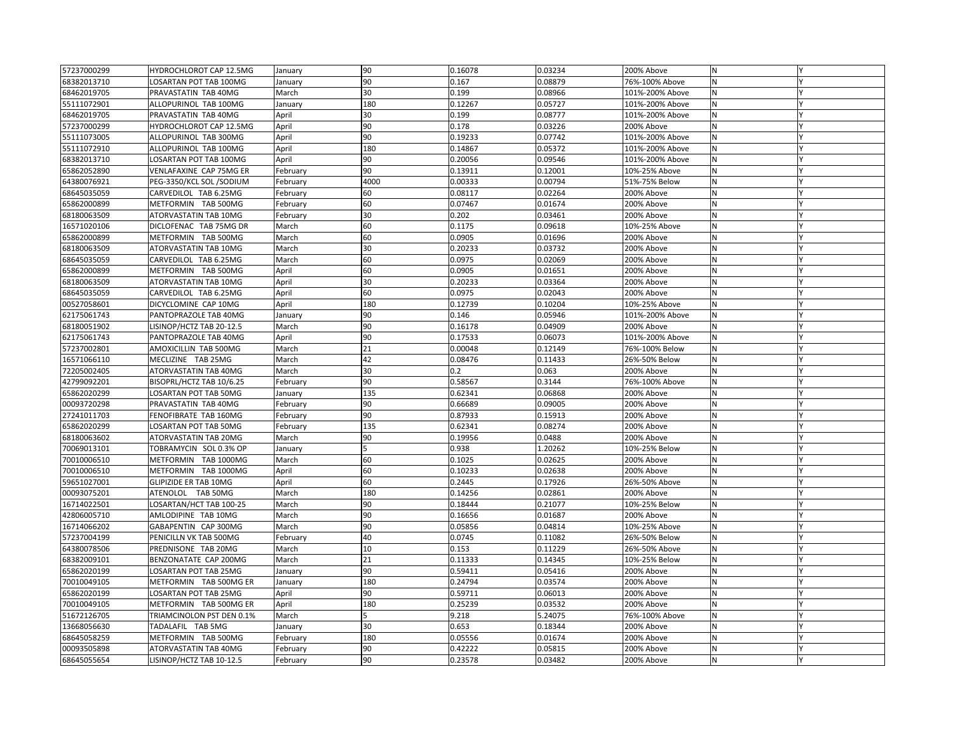| 57237000299 | HYDROCHLOROT CAP 12.5MG      | January  | 90   | 0.16078 | 0.03234 | 200% Above      | IN. |  |
|-------------|------------------------------|----------|------|---------|---------|-----------------|-----|--|
| 68382013710 | LOSARTAN POT TAB 100MG       | January  | 90   | 0.167   | 0.08879 | 76%-100% Above  | N   |  |
| 68462019705 | PRAVASTATIN TAB 40MG         | March    | 30   | 0.199   | 0.08966 | 101%-200% Above | N   |  |
| 55111072901 | ALLOPURINOL TAB 100MG        | January  | 180  | 0.12267 | 0.05727 | 101%-200% Above |     |  |
| 68462019705 | PRAVASTATIN TAB 40MG         | April    | 30   | 0.199   | 0.08777 | 101%-200% Above | N   |  |
| 57237000299 | HYDROCHLOROT CAP 12.5MG      | April    | 90   | 0.178   | 0.03226 | 200% Above      |     |  |
| 55111073005 | ALLOPURINOL TAB 300MG        | April    | 90   | 0.19233 | 0.07742 | 101%-200% Above | N   |  |
| 55111072910 | ALLOPURINOL TAB 100MG        | April    | 180  | 0.14867 | 0.05372 | 101%-200% Above |     |  |
| 68382013710 | LOSARTAN POT TAB 100MG       | April    | 90   | 0.20056 | 0.09546 | 101%-200% Above | N   |  |
| 65862052890 | VENLAFAXINE CAP 75MG ER      | February | 90   | 0.13911 | 0.12001 | 10%-25% Above   | N   |  |
| 64380076921 | PEG-3350/KCL SOL /SODIUM     | February | 4000 | 0.00333 | 0.00794 | 51%-75% Below   | N   |  |
| 68645035059 | CARVEDILOL TAB 6.25MG        | February | 60   | 0.08117 | 0.02264 | 200% Above      | N   |  |
| 65862000899 | METFORMIN TAB 500MG          | February | 60   | 0.07467 | 0.01674 | 200% Above      | N   |  |
| 68180063509 | ATORVASTATIN TAB 10MG        | February | 30   | 0.202   | 0.03461 | 200% Above      | N   |  |
| 16571020106 | DICLOFENAC TAB 75MG DR       | March    | 60   | 0.1175  | 0.09618 | 10%-25% Above   | N   |  |
| 65862000899 | METFORMIN TAB 500MG          | March    | 60   | 0.0905  | 0.01696 | 200% Above      | N   |  |
| 68180063509 | ATORVASTATIN TAB 10MG        | March    | 30   | 0.20233 | 0.03732 | 200% Above      | N   |  |
| 68645035059 | CARVEDILOL TAB 6.25MG        | March    | 60   | 0.0975  | 0.02069 | 200% Above      | N   |  |
| 65862000899 | METFORMIN TAB 500MG          | April    | 60   | 0.0905  | 0.01651 | 200% Above      | N   |  |
| 68180063509 | ATORVASTATIN TAB 10MG        | April    | 30   | 0.20233 | 0.03364 | 200% Above      | N   |  |
| 68645035059 | CARVEDILOL TAB 6.25MG        | April    | 60   | 0.0975  | 0.02043 | 200% Above      | N   |  |
| 00527058601 | DICYCLOMINE CAP 10MG         | April    | 180  | 0.12739 | 0.10204 | 10%-25% Above   | N   |  |
| 62175061743 | PANTOPRAZOLE TAB 40MG        | January  | 90   | 0.146   | 0.05946 | 101%-200% Above | N   |  |
| 68180051902 | LISINOP/HCTZ TAB 20-12.5     | March    | 90   | 0.16178 | 0.04909 | 200% Above      | N   |  |
| 62175061743 | PANTOPRAZOLE TAB 40MG        | April    | 90   | 0.17533 | 0.06073 | 101%-200% Above | N   |  |
| 57237002801 | AMOXICILLIN TAB 500MG        | March    | 21   | 0.00048 | 0.12149 | 76%-100% Below  | N   |  |
| 16571066110 | MECLIZINE TAB 25MG           | March    | 42   | 0.08476 | 0.11433 | 26%-50% Below   | N   |  |
| 72205002405 | ATORVASTATIN TAB 40MG        | March    | 30   | 0.2     | 0.063   | 200% Above      |     |  |
| 42799092201 | BISOPRL/HCTZ TAB 10/6.25     | February | 90   | 0.58567 | 0.3144  | 76%-100% Above  | N   |  |
| 65862020299 | LOSARTAN POT TAB 50MG        | January  | 135  | 0.62341 | 0.06868 | 200% Above      | N   |  |
| 00093720298 | PRAVASTATIN TAB 40MG         | February | 90   | 0.66689 | 0.09005 | 200% Above      | N   |  |
| 27241011703 | FENOFIBRATE TAB 160MG        | February | 90   | 0.87933 | 0.15913 | 200% Above      | N   |  |
| 65862020299 | OSARTAN POT TAB 50MG         | February | 135  | 0.62341 | 0.08274 | 200% Above      | N   |  |
| 68180063602 | ATORVASTATIN TAB 20MG        | March    | 90   | 0.19956 | 0.0488  | 200% Above      | N   |  |
| 70069013101 | TOBRAMYCIN SOL 0.3% OP       | January  |      | 0.938   | 1.20262 | 10%-25% Below   | N   |  |
| 70010006510 | METFORMIN TAB 1000MG         | March    | 60   | 0.1025  | 0.02625 | 200% Above      | N   |  |
| 70010006510 | METFORMIN TAB 1000MG         | April    | 60   | 0.10233 | 0.02638 | 200% Above      | N   |  |
| 59651027001 | <b>GLIPIZIDE ER TAB 10MG</b> | April    | 60   | 0.2445  | 0.17926 | 26%-50% Above   | N   |  |
| 00093075201 | ATENOLOL TAB 50MG            | March    | 180  | 0.14256 | 0.02861 | 200% Above      | N   |  |
| 16714022501 | LOSARTAN/HCT TAB 100-25      | March    | 90   | 0.18444 | 0.21077 | 10%-25% Below   | N   |  |
| 42806005710 | AMLODIPINE TAB 10MG          | March    | 90   | 0.16656 | 0.01687 | 200% Above      | N   |  |
| 16714066202 | GABAPENTIN CAP 300MG         | March    | 90   | 0.05856 | 0.04814 | 10%-25% Above   | N   |  |
| 57237004199 | PENICILLN VK TAB 500MG       | February | 40   | 0.0745  | 0.11082 | 26%-50% Below   | N   |  |
| 64380078506 | PREDNISONE TAB 20MG          | March    | 10   | 0.153   | 0.11229 | 26%-50% Above   | N   |  |
| 68382009101 | BENZONATATE CAP 200MG        | March    | 21   | 0.11333 | 0.14345 | 10%-25% Below   |     |  |
| 65862020199 | LOSARTAN POT TAB 25MG        | January  | 90   | 0.59411 | 0.05416 | 200% Above      |     |  |
| 70010049105 | METFORMIN TAB 500MG ER       | January  | 180  | 0.24794 | 0.03574 | 200% Above      | N   |  |
| 65862020199 | LOSARTAN POT TAB 25MG        | April    | 90   | 0.59711 | 0.06013 | 200% Above      | N   |  |
| 70010049105 | METFORMIN TAB 500MG ER       | April    | 180  | 0.25239 | 0.03532 | 200% Above      | N   |  |
| 51672126705 | TRIAMCINOLON PST DEN 0.1%    | March    |      | 9.218   | 5.24075 | 76%-100% Above  | N   |  |
| 13668056630 | TADALAFIL TAB 5MG            | January  | 30   | 0.653   | 0.18344 | 200% Above      | N   |  |
| 68645058259 | METFORMIN TAB 500MG          | February | 180  | 0.05556 | 0.01674 | 200% Above      | N   |  |
| 00093505898 | ATORVASTATIN TAB 40MG        | February | 90   | 0.42222 | 0.05815 | 200% Above      | N   |  |
| 68645055654 | LISINOP/HCTZ TAB 10-12.5     | February | 90   | 0.23578 | 0.03482 | 200% Above      | N   |  |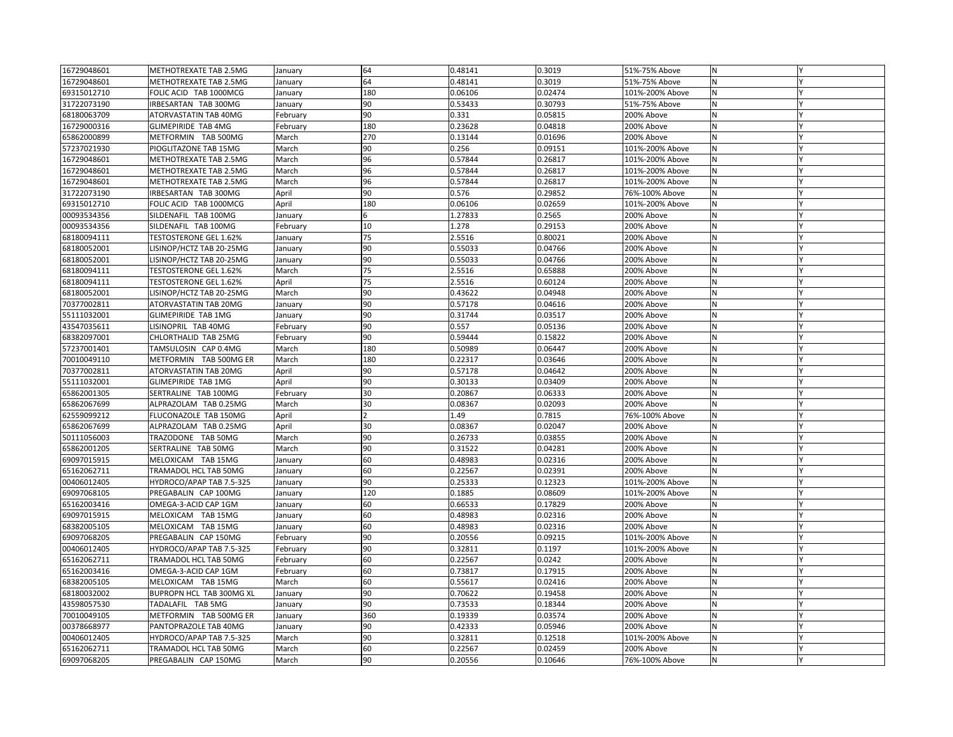| 16729048601 | METHOTREXATE TAB 2.5MG        | January  | 64  | 0.48141 | 0.3019  | 51%-75% Above   | IN. |  |
|-------------|-------------------------------|----------|-----|---------|---------|-----------------|-----|--|
| 16729048601 | METHOTREXATE TAB 2.5MG        | January  | 64  | 0.48141 | 0.3019  | 51%-75% Above   | N   |  |
| 69315012710 | FOLIC ACID TAB 1000MCG        | January  | 180 | 0.06106 | 0.02474 | 101%-200% Above | N   |  |
| 31722073190 | IRBESARTAN TAB 300MG          | January  | 90  | 0.53433 | 0.30793 | 51%-75% Above   |     |  |
| 68180063709 | ATORVASTATIN TAB 40MG         | February | 90  | 0.331   | 0.05815 | 200% Above      | N   |  |
| 16729000316 | GLIMEPIRIDE TAB 4MG           | February | 180 | 0.23628 | 0.04818 | 200% Above      | N   |  |
| 65862000899 | METFORMIN TAB 500MG           | March    | 270 | 0.13144 | 0.01696 | 200% Above      | N   |  |
| 57237021930 | PIOGLITAZONE TAB 15MG         | March    | 90  | 0.256   | 0.09151 | 101%-200% Above |     |  |
| 16729048601 | METHOTREXATE TAB 2.5MG        | March    | 96  | 0.57844 | 0.26817 | 101%-200% Above | N   |  |
| 16729048601 | METHOTREXATE TAB 2.5MG        | March    | 96  | 0.57844 | 0.26817 | 101%-200% Above | N   |  |
| 16729048601 | METHOTREXATE TAB 2.5MG        | March    | 96  | 0.57844 | 0.26817 | 101%-200% Above | N   |  |
| 31722073190 | RBESARTAN TAB 300MG           | April    | 90  | 0.576   | 0.29852 | 76%-100% Above  |     |  |
| 69315012710 | FOLIC ACID TAB 1000MCG        | April    | 180 | 0.06106 | 0.02659 | 101%-200% Above | N   |  |
| 00093534356 | SILDENAFIL TAB 100MG          | January  | 6   | 1.27833 | 0.2565  | 200% Above      | N   |  |
| 00093534356 | SILDENAFIL TAB 100MG          | February | 10  | 1.278   | 0.29153 | 200% Above      | N   |  |
| 68180094111 | <b>TESTOSTERONE GEL 1.62%</b> | January  | 75  | 2.5516  | 0.80021 | 200% Above      | N   |  |
| 68180052001 | LISINOP/HCTZ TAB 20-25MG      | January  | 90  | 0.55033 | 0.04766 | 200% Above      | N   |  |
| 68180052001 | LISINOP/HCTZ TAB 20-25MG      | January  | 90  | 0.55033 | 0.04766 | 200% Above      | N   |  |
| 68180094111 | <b>TESTOSTERONE GEL 1.62%</b> | March    | 75  | 2.5516  | 0.65888 | 200% Above      | N   |  |
| 68180094111 | <b>TESTOSTERONE GEL 1.62%</b> | April    | 75  | 2.5516  | 0.60124 | 200% Above      |     |  |
| 68180052001 | LISINOP/HCTZ TAB 20-25MG      | March    | 90  | 0.43622 | 0.04948 | 200% Above      |     |  |
| 70377002811 | ATORVASTATIN TAB 20MG         | January  | 90  | 0.57178 | 0.04616 | 200% Above      | N   |  |
| 55111032001 | GLIMEPIRIDE TAB 1MG           | January  | 90  | 0.31744 | 0.03517 | 200% Above      | N   |  |
| 43547035611 | LISINOPRIL TAB 40MG           | February | 90  | 0.557   | 0.05136 | 200% Above      | N   |  |
| 68382097001 | CHLORTHALID TAB 25MG          | February | 90  | 0.59444 | 0.15822 | 200% Above      |     |  |
| 57237001401 | TAMSULOSIN CAP 0.4MG          | March    | 180 | 0.50989 | 0.06447 | 200% Above      | N   |  |
| 70010049110 | METFORMIN TAB 500MG ER        | March    | 180 | 0.22317 | 0.03646 | 200% Above      | N   |  |
| 70377002811 | ATORVASTATIN TAB 20MG         | April    | 90  | 0.57178 | 0.04642 | 200% Above      | N   |  |
| 55111032001 | <b>GLIMEPIRIDE TAB 1MG</b>    | April    | 90  | 0.30133 | 0.03409 | 200% Above      | N   |  |
| 65862001305 | SERTRALINE TAB 100MG          | February | 30  | 0.20867 | 0.06333 | 200% Above      | N   |  |
| 65862067699 | ALPRAZOLAM TAB 0.25MG         | March    | 30  | 0.08367 | 0.02093 | 200% Above      | N   |  |
| 62559099212 | FLUCONAZOLE TAB 150MG         | April    |     | 1.49    | 0.7815  | 76%-100% Above  | N   |  |
| 65862067699 | ALPRAZOLAM TAB 0.25MG         | April    | 30  | 0.08367 | 0.02047 | 200% Above      | N   |  |
| 50111056003 | TRAZODONE TAB 50MG            | March    | 90  | 0.26733 | 0.03855 | 200% Above      | N   |  |
| 65862001205 | SERTRALINE TAB 50MG           | March    | 90  | 0.31522 | 0.04281 | 200% Above      | N   |  |
| 69097015915 | MELOXICAM TAB 15MG            | January  | 60  | 0.48983 | 0.02316 | 200% Above      | N   |  |
| 65162062711 | TRAMADOL HCL TAB 50MG         | January  | 60  | 0.22567 | 0.02391 | 200% Above      | N   |  |
| 00406012405 | HYDROCO/APAP TAB 7.5-325      | January  | 90  | 0.25333 | 0.12323 | 101%-200% Above | N   |  |
| 69097068105 | PREGABALIN CAP 100MG          | January  | 120 | 0.1885  | 0.08609 | 101%-200% Above | N   |  |
| 65162003416 | OMEGA-3-ACID CAP 1GM          | January  | 60  | 0.66533 | 0.17829 | 200% Above      | N   |  |
| 69097015915 | MELOXICAM TAB 15MG            | January  | 60  | 0.48983 | 0.02316 | 200% Above      | N   |  |
| 68382005105 | MELOXICAM<br>TAB 15MG         | January  | 60  | 0.48983 | 0.02316 | 200% Above      |     |  |
| 69097068205 | PREGABALIN CAP 150MG          | February | 90  | 0.20556 | 0.09215 | 101%-200% Above | N   |  |
| 00406012405 | HYDROCO/APAP TAB 7.5-325      | February | 90  | 0.32811 | 0.1197  | 101%-200% Above | N   |  |
| 65162062711 | TRAMADOL HCL TAB 50MG         | February | 60  | 0.22567 | 0.0242  | 200% Above      | N   |  |
| 65162003416 | OMEGA-3-ACID CAP 1GM          | February | 60  | 0.73817 | 0.17915 | 200% Above      |     |  |
| 68382005105 | MELOXICAM TAB 15MG            | March    | 60  | 0.55617 | 0.02416 | 200% Above      | N   |  |
| 68180032002 | BUPROPN HCL TAB 300MG XL      | January  | 90  | 0.70622 | 0.19458 | 200% Above      | N   |  |
| 43598057530 | TADALAFIL TAB 5MG             | January  | 90  | 0.73533 | 0.18344 | 200% Above      | N   |  |
| 70010049105 | METFORMIN TAB 500MG ER        | January  | 360 | 0.19339 | 0.03574 | 200% Above      | N   |  |
| 00378668977 | PANTOPRAZOLE TAB 40MG         | January  | 90  | 0.42333 | 0.05946 | 200% Above      | N   |  |
| 00406012405 | HYDROCO/APAP TAB 7.5-325      | March    | 90  | 0.32811 | 0.12518 | 101%-200% Above | N   |  |
| 65162062711 | TRAMADOL HCL TAB 50MG         | March    | 60  | 0.22567 | 0.02459 | 200% Above      | N   |  |
| 69097068205 | PREGABALIN CAP 150MG          | March    | 90  | 0.20556 | 0.10646 | 76%-100% Above  | N   |  |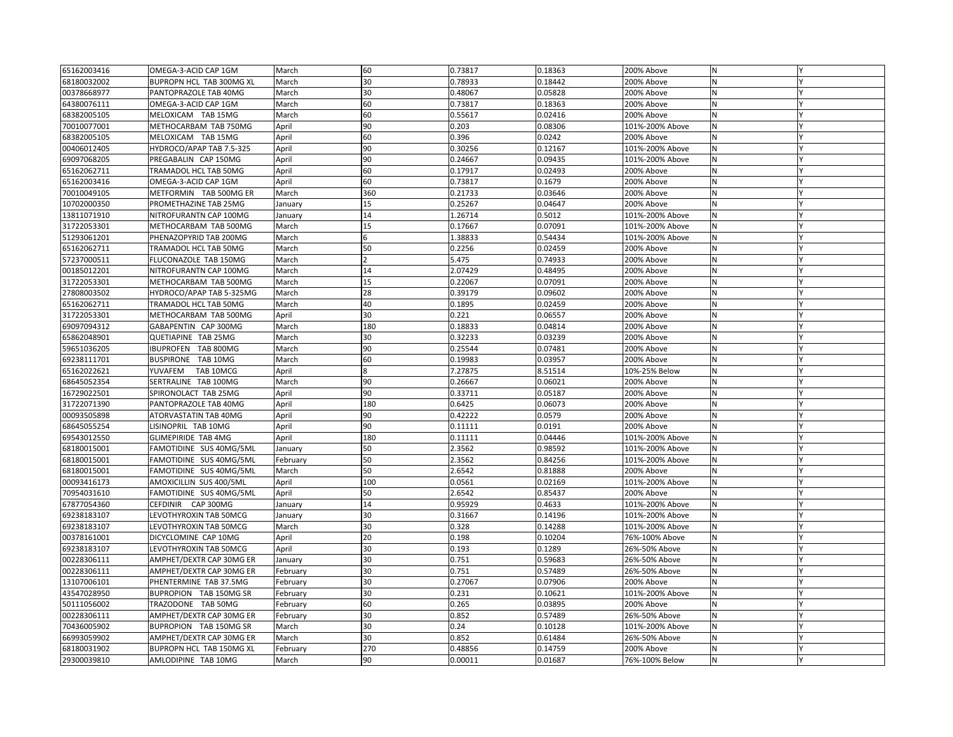| 65162003416 | OMEGA-3-ACID CAP 1GM            | March    | 60  | 0.73817 | 0.18363 | 200% Above      | N |  |
|-------------|---------------------------------|----------|-----|---------|---------|-----------------|---|--|
| 68180032002 | BUPROPN HCL TAB 300MG XL        | March    | 30  | 0.78933 | 0.18442 | 200% Above      | N |  |
| 00378668977 | PANTOPRAZOLE TAB 40MG           | March    | 30  | 0.48067 | 0.05828 | 200% Above      | N |  |
| 64380076111 | OMEGA-3-ACID CAP 1GM            | March    | 60  | 0.73817 | 0.18363 | 200% Above      | N |  |
| 68382005105 | MELOXICAM TAB 15MG              | March    | 60  | 0.55617 | 0.02416 | 200% Above      | N |  |
| 70010077001 | METHOCARBAM TAB 750MG           | April    | 90  | 0.203   | 0.08306 | 101%-200% Above | N |  |
| 68382005105 | MELOXICAM TAB 15MG              | April    | 60  | 0.396   | 0.0242  | 200% Above      | N |  |
| 00406012405 | HYDROCO/APAP TAB 7.5-325        | April    | 90  | 0.30256 | 0.12167 | 101%-200% Above | N |  |
| 69097068205 | PREGABALIN CAP 150MG            | April    | 90  | 0.24667 | 0.09435 | 101%-200% Above | N |  |
| 65162062711 | TRAMADOL HCL TAB 50MG           | April    | 60  | 0.17917 | 0.02493 | 200% Above      | N |  |
| 65162003416 | OMEGA-3-ACID CAP 1GM            | April    | 60  | 0.73817 | 0.1679  | 200% Above      | N |  |
| 70010049105 | METFORMIN TAB 500MG ER          | March    | 360 | 0.21733 | 0.03646 | 200% Above      | N |  |
| 10702000350 | PROMETHAZINE TAB 25MG           | January  | 15  | 0.25267 | 0.04647 | 200% Above      | Ń |  |
| 13811071910 | NITROFURANTN CAP 100MG          | January  | 14  | 1.26714 | 0.5012  | 101%-200% Above | N |  |
| 31722053301 | METHOCARBAM TAB 500MG           | March    | 15  | 0.17667 | 0.07091 | 101%-200% Above | N |  |
| 51293061201 | PHENAZOPYRID TAB 200MG          | March    | 6   | 1.38833 | 0.54434 | 101%-200% Above | N |  |
| 65162062711 | TRAMADOL HCL TAB 50MG           | March    | 50  | 0.2256  | 0.02459 | 200% Above      |   |  |
| 57237000511 | FLUCONAZOLE TAB 150MG           | March    |     | 5.475   | 0.74933 | 200% Above      | N |  |
| 00185012201 | NITROFURANTN CAP 100MG          | March    | 14  | 2.07429 | 0.48495 | 200% Above      | N |  |
| 31722053301 | METHOCARBAM TAB 500MG           | March    | 15  | 0.22067 | 0.07091 | 200% Above      | N |  |
| 27808003502 | HYDROCO/APAP TAB 5-325MG        | March    | 28  | 0.39179 | 0.09602 | 200% Above      | N |  |
| 65162062711 | TRAMADOL HCL TAB 50MG           | March    | 40  | 0.1895  | 0.02459 | 200% Above      | N |  |
| 31722053301 | METHOCARBAM TAB 500MG           | April    | 30  | 0.221   | 0.06557 | 200% Above      | N |  |
| 69097094312 | GABAPENTIN CAP 300MG            | March    | 180 | 0.18833 | 0.04814 | 200% Above      | N |  |
| 65862048901 | <b>QUETIAPINE TAB 25MG</b>      | March    | 30  | 0.32233 | 0.03239 | 200% Above      | N |  |
| 59651036205 | IBUPROFEN TAB 800MG             | March    | 90  | 0.25544 | 0.07481 | 200% Above      | N |  |
| 69238111701 | BUSPIRONE TAB 10MG              | March    | 60  | 0.19983 | 0.03957 | 200% Above      | N |  |
| 65162022621 | YUVAFEM<br>TAB 10MCG            | April    |     | 7.27875 | 8.51514 | 10%-25% Below   | N |  |
| 68645052354 | SERTRALINE TAB 100MG            | March    | 90  | 0.26667 | 0.06021 | 200% Above      | N |  |
| 16729022501 | SPIRONOLACT TAB 25MG            | April    | 90  | 0.33711 | 0.05187 | 200% Above      | N |  |
| 31722071390 | PANTOPRAZOLE TAB 40MG           | April    | 180 | 0.6425  | 0.06073 | 200% Above      | N |  |
| 00093505898 | ATORVASTATIN TAB 40MG           | April    | 90  | 0.42222 | 0.0579  | 200% Above      | N |  |
| 68645055254 | LISINOPRIL TAB 10MG             | April    | 90  | 0.11111 | 0.0191  | 200% Above      | N |  |
| 69543012550 | <b>GLIMEPIRIDE TAB 4MG</b>      | April    | 180 | 0.11111 | 0.04446 | 101%-200% Above | N |  |
| 68180015001 | FAMOTIDINE SUS 40MG/5ML         | January  | 50  | 2.3562  | 0.98592 | 101%-200% Above | N |  |
| 68180015001 | FAMOTIDINE SUS 40MG/5ML         | February | 50  | 2.3562  | 0.84256 | 101%-200% Above | N |  |
| 68180015001 | FAMOTIDINE SUS 40MG/5ML         | March    | 50  | 2.6542  | 0.81888 | 200% Above      | N |  |
| 00093416173 | AMOXICILLIN SUS 400/5ML         | April    | 100 | 0.0561  | 0.02169 | 101%-200% Above | N |  |
| 70954031610 | FAMOTIDINE SUS 40MG/5ML         | April    | 50  | 2.6542  | 0.85437 | 200% Above      | N |  |
| 67877054360 | <b>CEFDINIR</b><br>CAP 300MG    | January  | 14  | 0.95929 | 0.4633  | 101%-200% Above | N |  |
| 69238183107 | LEVOTHYROXIN TAB 50MCG          | January  | 30  | 0.31667 | 0.14196 | 101%-200% Above | N |  |
| 69238183107 | LEVOTHYROXIN TAB 50MCG          | March    | 30  | 0.328   | 0.14288 | 101%-200% Above | N |  |
| 00378161001 | DICYCLOMINE CAP 10MG            | April    | 20  | 0.198   | 0.10204 | 76%-100% Above  | N |  |
| 69238183107 | LEVOTHYROXIN TAB 50MCG          | April    | 30  | 0.193   | 0.1289  | 26%-50% Above   | N |  |
| 00228306111 | AMPHET/DEXTR CAP 30MG ER        | January  | 30  | 0.751   | 0.59683 | 26%-50% Above   | N |  |
| 00228306111 | AMPHET/DEXTR CAP 30MG ER        | February | 30  | 0.751   | 0.57489 | 26%-50% Above   | N |  |
| 13107006101 | PHENTERMINE TAB 37.5MG          | February | 30  | 0.27067 | 0.07906 | 200% Above      | Ń |  |
| 43547028950 | BUPROPION TAB 150MG SR          | February | 30  | 0.231   | 0.10621 | 101%-200% Above | N |  |
| 50111056002 | TRAZODONE TAB 50MG              | February | 60  | 0.265   | 0.03895 | 200% Above      | N |  |
| 00228306111 | AMPHET/DEXTR CAP 30MG ER        | February | 30  | 0.852   | 0.57489 | 26%-50% Above   | N |  |
| 70436005902 | BUPROPION TAB 150MG SR          | March    | 30  | 0.24    | 0.10128 | 101%-200% Above |   |  |
| 66993059902 | AMPHET/DEXTR CAP 30MG ER        | March    | 30  | 0.852   | 0.61484 | 26%-50% Above   | N |  |
| 68180031902 | <b>BUPROPN HCL TAB 150MG XL</b> | February | 270 | 0.48856 | 0.14759 | 200% Above      | N |  |
| 29300039810 | AMLODIPINE TAB 10MG             | March    | 90  | 0.00011 | 0.01687 | 76%-100% Below  | Ν |  |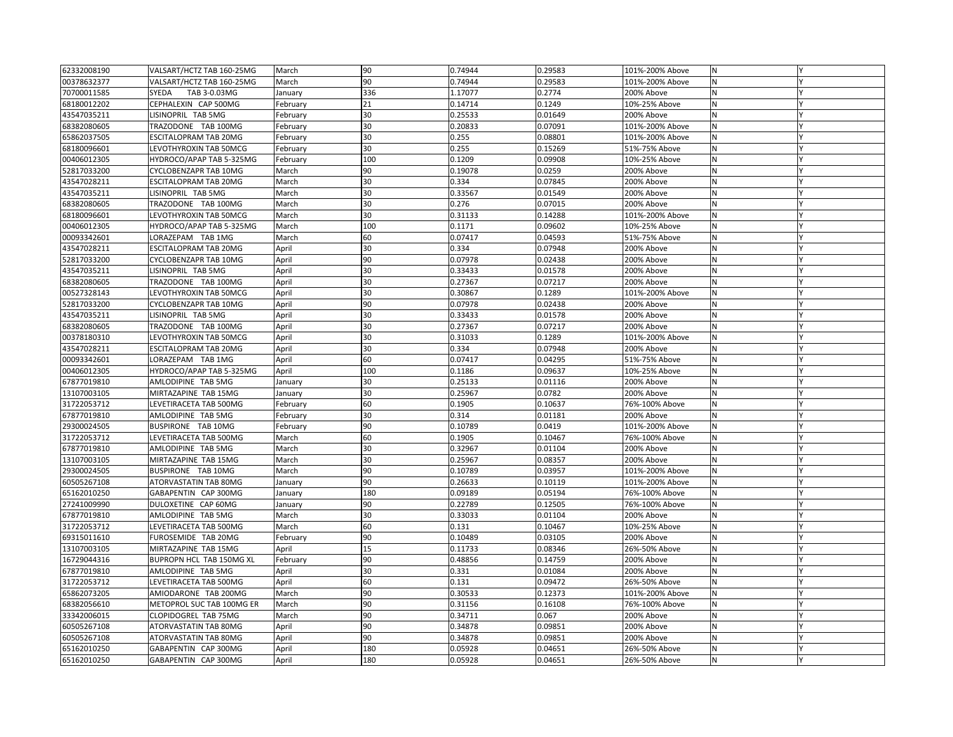| 62332008190 | VALSART/HCTZ TAB 160-25MG     | March    | 90  | 0.74944 | 0.29583 | 101%-200% Above | N |  |
|-------------|-------------------------------|----------|-----|---------|---------|-----------------|---|--|
| 00378632377 | VALSART/HCTZ TAB 160-25MG     | March    | 90  | 0.74944 | 0.29583 | 101%-200% Above | N |  |
| 70700011585 | SYEDA<br>TAB 3-0.03MG         | January  | 336 | 1.17077 | 0.2774  | 200% Above      | N |  |
| 68180012202 | CEPHALEXIN CAP 500MG          | February | 21  | 0.14714 | 0.1249  | 10%-25% Above   | N |  |
| 43547035211 | LISINOPRIL TAB 5MG            | February | 30  | 0.25533 | 0.01649 | 200% Above      | N |  |
| 68382080605 | TRAZODONE TAB 100MG           | February | 30  | 0.20833 | 0.07091 | 101%-200% Above | N |  |
| 65862037505 | ESCITALOPRAM TAB 20MG         | February | 30  | 0.255   | 0.08801 | 101%-200% Above | N |  |
| 68180096601 | <b>LEVOTHYROXIN TAB 50MCG</b> | February | 30  | 0.255   | 0.15269 | 51%-75% Above   | N |  |
| 00406012305 | HYDROCO/APAP TAB 5-325MG      | February | 100 | 0.1209  | 0.09908 | 10%-25% Above   | N |  |
| 52817033200 | CYCLOBENZAPR TAB 10MG         | March    | 90  | 0.19078 | 0.0259  | 200% Above      | N |  |
| 43547028211 | <b>ESCITALOPRAM TAB 20MG</b>  | March    | 30  | 0.334   | 0.07845 | 200% Above      | N |  |
| 43547035211 | LISINOPRIL TAB 5MG            | March    | 30  | 0.33567 | 0.01549 | 200% Above      | N |  |
| 68382080605 | TRAZODONE TAB 100MG           | March    | 30  | 0.276   | 0.07015 | 200% Above      | Ń |  |
| 68180096601 | LEVOTHYROXIN TAB 50MCG        | March    | 30  | 0.31133 | 0.14288 | 101%-200% Above | N |  |
| 00406012305 | HYDROCO/APAP TAB 5-325MG      | March    | 100 | 0.1171  | 0.09602 | 10%-25% Above   | N |  |
| 00093342601 | LORAZEPAM TAB 1MG             | March    | 60  | 0.07417 | 0.04593 | 51%-75% Above   | N |  |
| 43547028211 | ESCITALOPRAM TAB 20MG         | April    | 30  | 0.334   | 0.07948 | 200% Above      |   |  |
| 52817033200 | CYCLOBENZAPR TAB 10MG         | April    | 90  | 0.07978 | 0.02438 | 200% Above      | N |  |
| 43547035211 | LISINOPRIL TAB 5MG            | April    | 30  | 0.33433 | 0.01578 | 200% Above      | N |  |
| 68382080605 | TRAZODONE TAB 100MG           | April    | 30  | 0.27367 | 0.07217 | 200% Above      | N |  |
| 00527328143 | LEVOTHYROXIN TAB 50MCG        | April    | 30  | 0.30867 | 0.1289  | 101%-200% Above | N |  |
| 52817033200 | CYCLOBENZAPR TAB 10MG         | April    | 90  | 0.07978 | 0.02438 | 200% Above      | N |  |
| 43547035211 | LISINOPRIL TAB 5MG            | April    | 30  | 0.33433 | 0.01578 | 200% Above      | N |  |
| 68382080605 | TRAZODONE TAB 100MG           | April    | 30  | 0.27367 | 0.07217 | 200% Above      | N |  |
| 00378180310 | LEVOTHYROXIN TAB 50MCG        | April    | 30  | 0.31033 | 0.1289  | 101%-200% Above | N |  |
| 43547028211 | ESCITALOPRAM TAB 20MG         | April    | 30  | 0.334   | 0.07948 | 200% Above      | N |  |
| 00093342601 | LORAZEPAM TAB 1MG             | April    | 60  | 0.07417 | 0.04295 | 51%-75% Above   | N |  |
| 00406012305 | HYDROCO/APAP TAB 5-325MG      | April    | 100 | 0.1186  | 0.09637 | 10%-25% Above   | N |  |
| 67877019810 | AMLODIPINE TAB 5MG            | January  | 30  | 0.25133 | 0.01116 | 200% Above      | N |  |
| 13107003105 | MIRTAZAPINE TAB 15MG          | January  | 30  | 0.25967 | 0.0782  | 200% Above      | N |  |
| 31722053712 | LEVETIRACETA TAB 500MG        | February | 60  | 0.1905  | 0.10637 | 76%-100% Above  | N |  |
| 67877019810 | AMLODIPINE TAB 5MG            | February | 30  | 0.314   | 0.01181 | 200% Above      | N |  |
| 29300024505 | BUSPIRONE TAB 10MG            | February | 90  | 0.10789 | 0.0419  | 101%-200% Above | N |  |
| 31722053712 | LEVETIRACETA TAB 500MG        | March    | 60  | 0.1905  | 0.10467 | 76%-100% Above  | N |  |
| 67877019810 | AMLODIPINE TAB 5MG            | March    | 30  | 0.32967 | 0.01104 | 200% Above      | N |  |
| 13107003105 | MIRTAZAPINE TAB 15MG          | March    | 30  | 0.25967 | 0.08357 | 200% Above      | N |  |
| 29300024505 | BUSPIRONE TAB 10MG            | March    | 90  | 0.10789 | 0.03957 | 101%-200% Above | N |  |
| 60505267108 | ATORVASTATIN TAB 80MG         | January  | 90  | 0.26633 | 0.10119 | 101%-200% Above | N |  |
| 65162010250 | GABAPENTIN CAP 300MG          | January  | 180 | 0.09189 | 0.05194 | 76%-100% Above  | N |  |
| 27241009990 | DULOXETINE CAP 60MG           | January  | 90  | 0.22789 | 0.12505 | 76%-100% Above  | N |  |
| 67877019810 | AMLODIPINE TAB 5MG            | March    | 30  | 0.33033 | 0.01104 | 200% Above      | N |  |
| 31722053712 | LEVETIRACETA TAB 500MG        | March    | 60  | 0.131   | 0.10467 | 10%-25% Above   | N |  |
| 69315011610 | FUROSEMIDE TAB 20MG           | February | 90  | 0.10489 | 0.03105 | 200% Above      | N |  |
| 13107003105 | MIRTAZAPINE TAB 15MG          | April    | 15  | 0.11733 | 0.08346 | 26%-50% Above   | N |  |
| 16729044316 | BUPROPN HCL TAB 150MG XL      | February | 90  | 0.48856 | 0.14759 | 200% Above      | N |  |
| 67877019810 | AMLODIPINE TAB 5MG            | April    | 30  | 0.331   | 0.01084 | 200% Above      | N |  |
| 31722053712 | LEVETIRACETA TAB 500MG        | April    | 60  | 0.131   | 0.09472 | 26%-50% Above   | Ń |  |
| 65862073205 | AMIODARONE TAB 200MG          | March    | 90  | 0.30533 | 0.12373 | 101%-200% Above | N |  |
| 68382056610 | METOPROL SUC TAB 100MG ER     | March    | 90  | 0.31156 | 0.16108 | 76%-100% Above  | N |  |
| 33342006015 | CLOPIDOGREL TAB 75MG          | March    | 90  | 0.34711 | 0.067   | 200% Above      | N |  |
| 60505267108 | ATORVASTATIN TAB 80MG         | April    | 90  | 0.34878 | 0.09851 | 200% Above      |   |  |
| 60505267108 | ATORVASTATIN TAB 80MG         | April    | 90  | 0.34878 | 0.09851 | 200% Above      | N |  |
| 65162010250 | GABAPENTIN CAP 300MG          | April    | 180 | 0.05928 | 0.04651 | 26%-50% Above   | N |  |
| 65162010250 | GABAPENTIN CAP 300MG          | April    | 180 | 0.05928 | 0.04651 | 26%-50% Above   | N |  |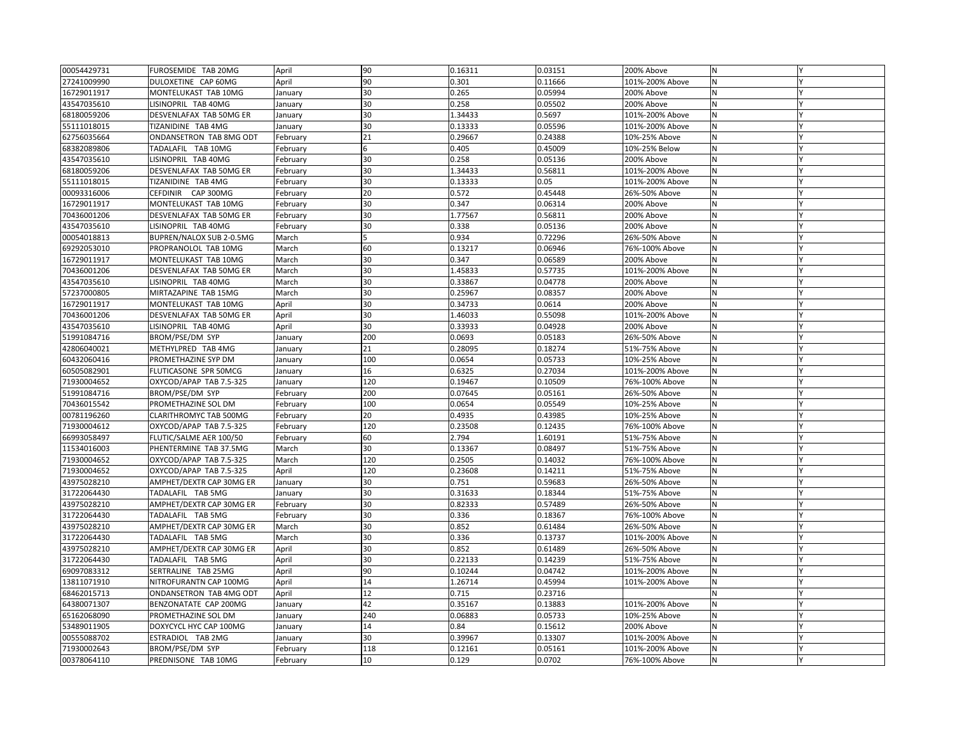| 00054429731 | FUROSEMIDE TAB 20MG            | April    | 90  | 0.16311 | 0.03151 | 200% Above      | N |  |
|-------------|--------------------------------|----------|-----|---------|---------|-----------------|---|--|
| 27241009990 | DULOXETINE CAP 60MG            | April    | 90  | 0.301   | 0.11666 | 101%-200% Above | N |  |
| 16729011917 | MONTELUKAST TAB 10MG           | January  | 30  | 0.265   | 0.05994 | 200% Above      | N |  |
| 43547035610 | LISINOPRIL TAB 40MG            | January  | 30  | 0.258   | 0.05502 | 200% Above      | N |  |
| 68180059206 | DESVENLAFAX TAB 50MG ER        | January  | 30  | 1.34433 | 0.5697  | 101%-200% Above | N |  |
| 55111018015 | TIZANIDINE TAB 4MG             | January  | 30  | 0.13333 | 0.05596 | 101%-200% Above | N |  |
| 62756035664 | ONDANSETRON TAB 8MG ODT        | February | 21  | 0.29667 | 0.24388 | 10%-25% Above   | N |  |
| 68382089806 | TADALAFIL TAB 10MG             | February |     | 0.405   | 0.45009 | 10%-25% Below   | N |  |
| 43547035610 | LISINOPRIL TAB 40MG            | February | 30  | 0.258   | 0.05136 | 200% Above      | N |  |
| 68180059206 | DESVENLAFAX TAB 50MG ER        | February | 30  | 1.34433 | 0.56811 | 101%-200% Above | N |  |
| 55111018015 | TIZANIDINE TAB 4MG             | February | 30  | 0.13333 | 0.05    | 101%-200% Above | N |  |
| 00093316006 | CEFDINIR CAP 300MG             | February | 20  | 0.572   | 0.45448 | 26%-50% Above   | N |  |
| 16729011917 | MONTELUKAST TAB 10MG           | February | 30  | 0.347   | 0.06314 | 200% Above      | Ń |  |
| 70436001206 | DESVENLAFAX TAB 50MG ER        | February | 30  | 1.77567 | 0.56811 | 200% Above      | N |  |
| 43547035610 | LISINOPRIL TAB 40MG            | February | 30  | 0.338   | 0.05136 | 200% Above      | N |  |
| 00054018813 | BUPREN/NALOX SUB 2-0.5MG       | March    |     | 0.934   | 0.72296 | 26%-50% Above   | N |  |
| 69292053010 | PROPRANOLOL TAB 10MG           | March    | 60  | 0.13217 | 0.06946 | 76%-100% Above  |   |  |
| 16729011917 | MONTELUKAST TAB 10MG           | March    | 30  | 0.347   | 0.06589 | 200% Above      | N |  |
| 70436001206 | <b>DESVENLAFAX TAB 50MG ER</b> | March    | 30  | 1.45833 | 0.57735 | 101%-200% Above | N |  |
| 43547035610 | LISINOPRIL TAB 40MG            | March    | 30  | 0.33867 | 0.04778 | 200% Above      | N |  |
| 57237000805 | MIRTAZAPINE TAB 15MG           | March    | 30  | 0.25967 | 0.08357 | 200% Above      | N |  |
| 16729011917 | MONTELUKAST TAB 10MG           | April    | 30  | 0.34733 | 0.0614  | 200% Above      | N |  |
| 70436001206 | <b>DESVENLAFAX TAB 50MG ER</b> | April    | 30  | 1.46033 | 0.55098 | 101%-200% Above | N |  |
| 43547035610 | LISINOPRIL TAB 40MG            | April    | 30  | 0.33933 | 0.04928 | 200% Above      |   |  |
| 51991084716 | BROM/PSE/DM SYP                | January  | 200 | 0.0693  | 0.05183 | 26%-50% Above   | N |  |
| 42806040021 | METHYLPRED TAB 4MG             | January  | 21  | 0.28095 | 0.18274 | 51%-75% Above   | N |  |
| 60432060416 | PROMETHAZINE SYP DM            | January  | 100 | 0.0654  | 0.05733 | 10%-25% Above   | N |  |
| 60505082901 | FLUTICASONE SPR 50MCG          | January  | 16  | 0.6325  | 0.27034 | 101%-200% Above | N |  |
| 71930004652 | OXYCOD/APAP TAB 7.5-325        | January  | 120 | 0.19467 | 0.10509 | 76%-100% Above  | N |  |
| 51991084716 | BROM/PSE/DM SYP                | February | 200 | 0.07645 | 0.05161 | 26%-50% Above   | N |  |
| 70436015542 | PROMETHAZINE SOL DM            | February | 100 | 0.0654  | 0.05549 | 10%-25% Above   | N |  |
| 00781196260 | CLARITHROMYC TAB 500MG         | February | 20  | 0.4935  | 0.43985 | 10%-25% Above   | N |  |
| 71930004612 | OXYCOD/APAP TAB 7.5-325        | February | 120 | 0.23508 | 0.12435 | 76%-100% Above  | N |  |
| 66993058497 | FLUTIC/SALME AER 100/50        | February | 60  | 2.794   | 1.60191 | 51%-75% Above   | N |  |
| 11534016003 | PHENTERMINE TAB 37.5MG         | March    | 30  | 0.13367 | 0.08497 | 51%-75% Above   | N |  |
| 71930004652 | OXYCOD/APAP TAB 7.5-325        | March    | 120 | 0.2505  | 0.14032 | 76%-100% Above  | N |  |
| 71930004652 | OXYCOD/APAP TAB 7.5-325        | April    | 120 | 0.23608 | 0.14211 | 51%-75% Above   | N |  |
| 43975028210 | AMPHET/DEXTR CAP 30MG ER       | January  | 30  | 0.751   | 0.59683 | 26%-50% Above   | N |  |
| 31722064430 | TADALAFIL TAB 5MG              | January  | 30  | 0.31633 | 0.18344 | 51%-75% Above   | N |  |
| 43975028210 | AMPHET/DEXTR CAP 30MG ER       | February | 30  | 0.82333 | 0.57489 | 26%-50% Above   | N |  |
| 31722064430 | TADALAFIL TAB 5MG              | February | 30  | 0.336   | 0.18367 | 76%-100% Above  | N |  |
| 43975028210 | AMPHET/DEXTR CAP 30MG ER       | March    | 30  | 0.852   | 0.61484 | 26%-50% Above   | N |  |
| 31722064430 | TADALAFIL TAB 5MG              | March    | 30  | 0.336   | 0.13737 | 101%-200% Above | N |  |
| 43975028210 | AMPHET/DEXTR CAP 30MG ER       | April    | 30  | 0.852   | 0.61489 | 26%-50% Above   | N |  |
| 31722064430 | TADALAFIL TAB 5MG              | April    | 30  | 0.22133 | 0.14239 | 51%-75% Above   | N |  |
| 69097083312 | SERTRALINE TAB 25MG            | April    | 90  | 0.10244 | 0.04742 | 101%-200% Above | N |  |
| 13811071910 | NITROFURANTN CAP 100MG         | April    | 14  | 1.26714 | 0.45994 | 101%-200% Above | N |  |
| 68462015713 | ONDANSETRON TAB 4MG ODT        | April    | 12  | 0.715   | 0.23716 |                 | N |  |
| 64380071307 | BENZONATATE CAP 200MG          | January  | 42  | 0.35167 | 0.13883 | 101%-200% Above | N |  |
| 65162068090 | PROMETHAZINE SOL DM            | January  | 240 | 0.06883 | 0.05733 | 10%-25% Above   | N |  |
| 53489011905 | DOXYCYCL HYC CAP 100MG         | January  | 14  | 0.84    | 0.15612 | 200% Above      |   |  |
| 00555088702 | ESTRADIOL TAB 2MG              | January  | 30  | 0.39967 | 0.13307 | 101%-200% Above | N |  |
| 71930002643 | BROM/PSE/DM SYP                | February | 118 | 0.12161 | 0.05161 | 101%-200% Above | N |  |
| 00378064110 | PREDNISONE TAB 10MG            | February | 10  | 0.129   | 0.0702  | 76%-100% Above  | N |  |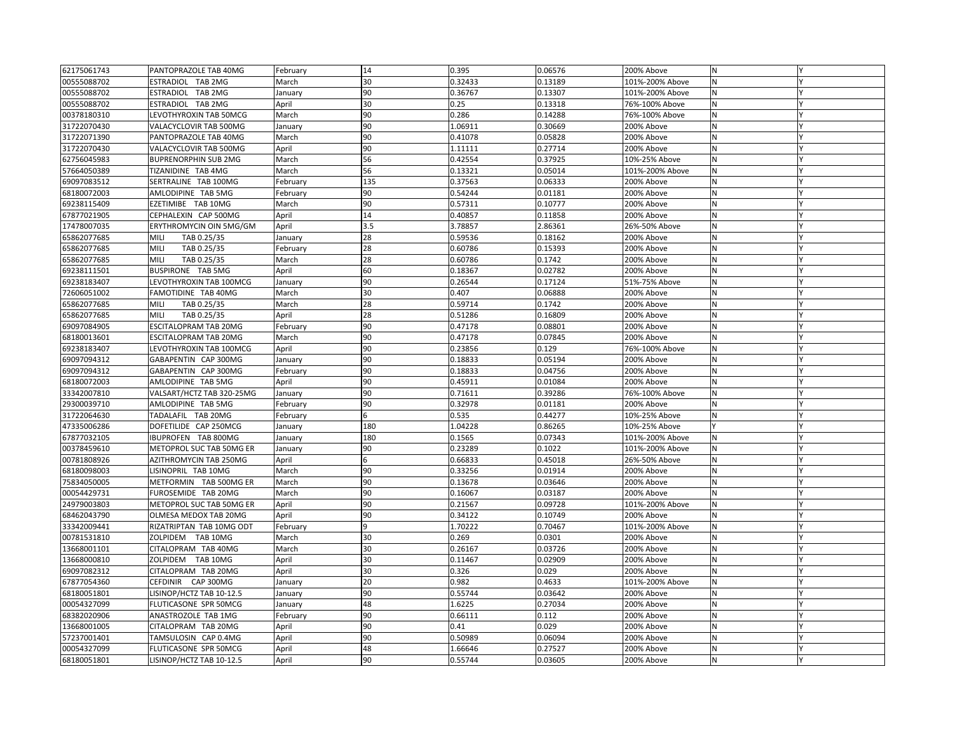| 62175061743 | PANTOPRAZOLE TAB 40MG       | February | 14  | 0.395   | 0.06576 | 200% Above      | IN. |  |
|-------------|-----------------------------|----------|-----|---------|---------|-----------------|-----|--|
| 00555088702 | ESTRADIOL TAB 2MG           | March    | 30  | 0.32433 | 0.13189 | 101%-200% Above | N   |  |
| 00555088702 | ESTRADIOL TAB 2MG           | January  | 90  | 0.36767 | 0.13307 | 101%-200% Above | N   |  |
| 00555088702 | ESTRADIOL TAB 2MG           | April    | 30  | 0.25    | 0.13318 | 76%-100% Above  |     |  |
| 00378180310 | LEVOTHYROXIN TAB 50MCG      | March    | 90  | 0.286   | 0.14288 | 76%-100% Above  | N   |  |
| 31722070430 | VALACYCLOVIR TAB 500MG      | January  | 90  | 1.06911 | 0.30669 | 200% Above      |     |  |
| 31722071390 | PANTOPRAZOLE TAB 40MG       | March    | 90  | 0.41078 | 0.05828 | 200% Above      | N   |  |
| 31722070430 | VALACYCLOVIR TAB 500MG      | April    | 90  | 1.11111 | 0.27714 | 200% Above      |     |  |
| 62756045983 | <b>BUPRENORPHIN SUB 2MG</b> | March    | 56  | 0.42554 | 0.37925 | 10%-25% Above   | N   |  |
| 57664050389 | TIZANIDINE TAB 4MG          | March    | 56  | 0.13321 | 0.05014 | 101%-200% Above | N   |  |
| 69097083512 | SERTRALINE TAB 100MG        | February | 135 | 0.37563 | 0.06333 | 200% Above      | Ν   |  |
| 68180072003 | AMLODIPINE TAB 5MG          | February | 90  | 0.54244 | 0.01181 | 200% Above      | N   |  |
| 69238115409 | EZETIMIBE TAB 10MG          | March    | 90  | 0.57311 | 0.10777 | 200% Above      | N   |  |
| 67877021905 | CEPHALEXIN CAP 500MG        | April    | 14  | 0.40857 | 0.11858 | 200% Above      | N   |  |
| 17478007035 | ERYTHROMYCIN OIN 5MG/GM     | April    | 3.5 | 3.78857 | 2.86361 | 26%-50% Above   | N   |  |
| 65862077685 | MILI<br>TAB 0.25/35         | January  | 28  | 0.59536 | 0.18162 | 200% Above      | N   |  |
| 65862077685 | MILI<br>TAB 0.25/35         | February | 28  | 0.60786 | 0.15393 | 200% Above      | N   |  |
| 65862077685 | MILI<br>TAB 0.25/35         | March    | 28  | 0.60786 | 0.1742  | 200% Above      | N   |  |
| 69238111501 | <b>BUSPIRONE TAB 5MG</b>    | April    | 60  | 0.18367 | 0.02782 | 200% Above      | N   |  |
| 69238183407 | LEVOTHYROXIN TAB 100MCG     | January  | 90  | 0.26544 | 0.17124 | 51%-75% Above   | N   |  |
| 72606051002 | FAMOTIDINE TAB 40MG         | March    | 30  | 0.407   | 0.06888 | 200% Above      | N   |  |
| 65862077685 | MILI<br>TAB 0.25/35         | March    | 28  | 0.59714 | 0.1742  | 200% Above      | N   |  |
| 65862077685 | MILI<br>TAB 0.25/35         | April    | 28  | 0.51286 | 0.16809 | 200% Above      | N   |  |
| 69097084905 | ESCITALOPRAM TAB 20MG       | February | 90  | 0.47178 | 0.08801 | 200% Above      | N   |  |
| 68180013601 | ESCITALOPRAM TAB 20MG       | March    | 90  | 0.47178 | 0.07845 | 200% Above      | N   |  |
| 69238183407 | LEVOTHYROXIN TAB 100MCG     | April    | 90  | 0.23856 | 0.129   | 76%-100% Above  | N   |  |
| 69097094312 | GABAPENTIN CAP 300MG        | January  | 90  | 0.18833 | 0.05194 | 200% Above      | N   |  |
| 69097094312 | GABAPENTIN CAP 300MG        | February | 90  | 0.18833 | 0.04756 | 200% Above      | N   |  |
| 68180072003 | AMLODIPINE TAB 5MG          | April    | 90  | 0.45911 | 0.01084 | 200% Above      | N   |  |
| 33342007810 | VALSART/HCTZ TAB 320-25MG   | January  | 90  | 0.71611 | 0.39286 | 76%-100% Above  | N   |  |
| 29300039710 | AMLODIPINE TAB 5MG          | February | 90  | 0.32978 | 0.01181 | 200% Above      | Ν   |  |
| 31722064630 | TADALAFIL TAB 20MG          | February | 6   | 0.535   | 0.44277 | 10%-25% Above   |     |  |
| 47335006286 | DOFETILIDE CAP 250MCG       | January  | 180 | 1.04228 | 0.86265 | 10%-25% Above   |     |  |
| 67877032105 | <b>IBUPROFEN TAB 800MG</b>  | January  | 180 | 0.1565  | 0.07343 | 101%-200% Above | N   |  |
| 00378459610 | METOPROL SUC TAB 50MG ER    | January  | 90  | 0.23289 | 0.1022  | 101%-200% Above | N   |  |
| 00781808926 | AZITHROMYCIN TAB 250MG      | April    | 6   | 0.66833 | 0.45018 | 26%-50% Above   | N   |  |
| 68180098003 | LISINOPRIL TAB 10MG         | March    | 90  | 0.33256 | 0.01914 | 200% Above      | N   |  |
| 75834050005 | METFORMIN TAB 500MG ER      | March    | 90  | 0.13678 | 0.03646 | 200% Above      | N   |  |
| 00054429731 | FUROSEMIDE TAB 20MG         | March    | 90  | 0.16067 | 0.03187 | 200% Above      | N   |  |
| 24979003803 | METOPROL SUC TAB 50MG ER    | April    | 90  | 0.21567 | 0.09728 | 101%-200% Above | N   |  |
| 68462043790 | OLMESA MEDOX TAB 20MG       | April    | 90  | 0.34122 | 0.10749 | 200% Above      | N   |  |
| 33342009441 | RIZATRIPTAN TAB 10MG ODT    | February | Q   | 1.70222 | 0.70467 | 101%-200% Above | N   |  |
| 00781531810 | ZOLPIDEM TAB 10MG           | March    | 30  | 0.269   | 0.0301  | 200% Above      | N   |  |
| 13668001101 | CITALOPRAM TAB 40MG         | March    | 30  | 0.26167 | 0.03726 | 200% Above      | N   |  |
| 13668000810 | ZOLPIDEM TAB 10MG           | April    | 30  | 0.11467 | 0.02909 | 200% Above      |     |  |
| 69097082312 | CITALOPRAM TAB 20MG         | April    | 30  | 0.326   | 0.029   | 200% Above      |     |  |
| 67877054360 | CEFDINIR<br>CAP 300MG       | January  | 20  | 0.982   | 0.4633  | 101%-200% Above | N   |  |
| 68180051801 | LISINOP/HCTZ TAB 10-12.5    | January  | 90  | 0.55744 | 0.03642 | 200% Above      | Ν   |  |
| 00054327099 | FLUTICASONE SPR 50MCG       | January  | 48  | 1.6225  | 0.27034 | 200% Above      | N   |  |
| 68382020906 | ANASTROZOLE TAB 1MG         | February | 90  | 0.66111 | 0.112   | 200% Above      | N   |  |
| 13668001005 | CITALOPRAM TAB 20MG         | April    | 90  | 0.41    | 0.029   | 200% Above      | N   |  |
| 57237001401 | TAMSULOSIN CAP 0.4MG        | April    | 90  | 0.50989 | 0.06094 | 200% Above      | N   |  |
| 00054327099 | FLUTICASONE SPR 50MCG       | April    | 48  | 1.66646 | 0.27527 | 200% Above      | N   |  |
| 68180051801 | LISINOP/HCTZ TAB 10-12.5    | April    | 90  | 0.55744 | 0.03605 | 200% Above      | N   |  |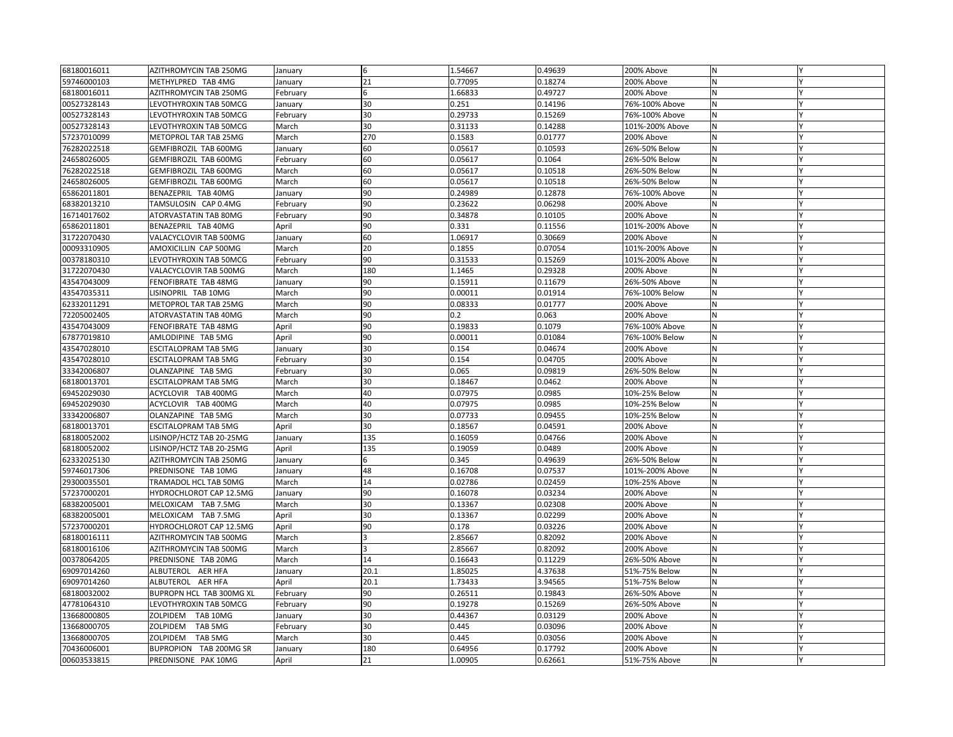| 68180016011 | AZITHROMYCIN TAB 250MG           | January  | 6    | 1.54667 | 0.49639 | 200% Above      | IN. |  |
|-------------|----------------------------------|----------|------|---------|---------|-----------------|-----|--|
| 59746000103 | METHYLPRED TAB 4MG               | January  | 21   | 0.77095 | 0.18274 | 200% Above      | N   |  |
| 68180016011 | AZITHROMYCIN TAB 250MG           | February |      | 1.66833 | 0.49727 | 200% Above      | N   |  |
| 00527328143 | LEVOTHYROXIN TAB 50MCG           | January  | 30   | 0.251   | 0.14196 | 76%-100% Above  |     |  |
| 00527328143 | LEVOTHYROXIN TAB 50MCG           | February | 30   | 0.29733 | 0.15269 | 76%-100% Above  | N   |  |
| 00527328143 | LEVOTHYROXIN TAB 50MCG           | March    | 30   | 0.31133 | 0.14288 | 101%-200% Above | N   |  |
| 57237010099 | METOPROL TAR TAB 25MG            | March    | 270  | 0.1583  | 0.01777 | 200% Above      | N   |  |
| 76282022518 | GEMFIBROZIL TAB 600MG            | January  | 60   | 0.05617 | 0.10593 | 26%-50% Below   |     |  |
| 24658026005 | GEMFIBROZIL TAB 600MG            | February | 60   | 0.05617 | 0.1064  | 26%-50% Below   | N   |  |
| 76282022518 | GEMFIBROZIL TAB 600MG            | March    | 60   | 0.05617 | 0.10518 | 26%-50% Below   | N   |  |
| 24658026005 | GEMFIBROZIL TAB 600MG            | March    | 60   | 0.05617 | 0.10518 | 26%-50% Below   | N   |  |
| 65862011801 | BENAZEPRIL TAB 40MG              | January  | 90   | 0.24989 | 0.12878 | 76%-100% Above  |     |  |
| 68382013210 | TAMSULOSIN CAP 0.4MG             | February | 90   | 0.23622 | 0.06298 | 200% Above      | N   |  |
| 16714017602 | ATORVASTATIN TAB 80MG            | February | 90   | 0.34878 | 0.10105 | 200% Above      | N   |  |
| 65862011801 | BENAZEPRIL TAB 40MG              | April    | 90   | 0.331   | 0.11556 | 101%-200% Above | N   |  |
| 31722070430 | VALACYCLOVIR TAB 500MG           | January  | 60   | 1.06917 | 0.30669 | 200% Above      | Ń   |  |
| 00093310905 | AMOXICILLIN CAP 500MG            | March    | 20   | 0.1855  | 0.07054 | 101%-200% Above | N   |  |
| 00378180310 | LEVOTHYROXIN TAB 50MCG           | February | 90   | 0.31533 | 0.15269 | 101%-200% Above | N   |  |
| 31722070430 | VALACYCLOVIR TAB 500MG           | March    | 180  | 1.1465  | 0.29328 | 200% Above      | N   |  |
| 43547043009 | FENOFIBRATE TAB 48MG             | January  | 90   | 0.15911 | 0.11679 | 26%-50% Above   |     |  |
| 43547035311 | LISINOPRIL TAB 10MG              | March    | 90   | 0.00011 | 0.01914 | 76%-100% Below  | N   |  |
| 62332011291 | METOPROL TAR TAB 25MG            | March    | 90   | 0.08333 | 0.01777 | 200% Above      | N   |  |
| 72205002405 | ATORVASTATIN TAB 40MG            | March    | 90   | 0.2     | 0.063   | 200% Above      | N   |  |
| 43547043009 | FENOFIBRATE TAB 48MG             | April    | 90   | 0.19833 | 0.1079  | 76%-100% Above  | N   |  |
| 67877019810 | AMLODIPINE TAB 5MG               | April    | 90   | 0.00011 | 0.01084 | 76%-100% Below  | N   |  |
| 43547028010 | <b>ESCITALOPRAM TAB 5MG</b>      | January  | 30   | 0.154   | 0.04674 | 200% Above      | N   |  |
| 43547028010 | <b>ESCITALOPRAM TAB 5MG</b>      | February | 30   | 0.154   | 0.04705 | 200% Above      | N   |  |
| 33342006807 | OLANZAPINE TAB 5MG               | February | 30   | 0.065   | 0.09819 | 26%-50% Below   | N   |  |
| 68180013701 | ESCITALOPRAM TAB 5MG             | March    | 30   | 0.18467 | 0.0462  | 200% Above      |     |  |
| 69452029030 | ACYCLOVIR TAB 400MG              | March    | 40   | 0.07975 | 0.0985  | 10%-25% Below   | N   |  |
| 69452029030 | ACYCLOVIR TAB 400MG              | March    | 40   | 0.07975 | 0.0985  | 10%-25% Below   | N   |  |
| 33342006807 | OLANZAPINE TAB 5MG               | March    | 30   | 0.07733 | 0.09455 | 10%-25% Below   | N   |  |
| 68180013701 | ESCITALOPRAM TAB 5MG             | April    | 30   | 0.18567 | 0.04591 | 200% Above      |     |  |
| 68180052002 | LISINOP/HCTZ TAB 20-25MG         | January  | 135  | 0.16059 | 0.04766 | 200% Above      | N   |  |
| 68180052002 | LISINOP/HCTZ TAB 20-25MG         | April    | 135  | 0.19059 | 0.0489  | 200% Above      | N   |  |
| 62332025130 | AZITHROMYCIN TAB 250MG           | January  |      | 0.345   | 0.49639 | 26%-50% Below   | N   |  |
| 59746017306 | PREDNISONE TAB 10MG              | January  | 48   | 0.16708 | 0.07537 | 101%-200% Above | N   |  |
| 29300035501 | TRAMADOL HCL TAB 50MG            | March    | 14   | 0.02786 | 0.02459 | 10%-25% Above   | N   |  |
| 57237000201 | HYDROCHLOROT CAP 12.5MG          | January  | 90   | 0.16078 | 0.03234 | 200% Above      | N   |  |
| 68382005001 | MELOXICAM TAB 7.5MG              | March    | 30   | 0.13367 | 0.02308 | 200% Above      | N   |  |
| 68382005001 | MELOXICAM TAB 7.5MG              | April    | 30   | 0.13367 | 0.02299 | 200% Above      | N   |  |
| 57237000201 | HYDROCHLOROT CAP 12.5MG          | April    | 90   | 0.178   | 0.03226 | 200% Above      | N   |  |
| 68180016111 | AZITHROMYCIN TAB 500MG           | March    |      | 2.85667 | 0.82092 | 200% Above      | N   |  |
| 68180016106 | AZITHROMYCIN TAB 500MG           | March    |      | 2.85667 | 0.82092 | 200% Above      | N   |  |
| 00378064205 | PREDNISONE TAB 20MG              | March    | 14   | 0.16643 | 0.11229 | 26%-50% Above   | N   |  |
| 69097014260 | ALBUTEROL<br>AER HFA             | January  | 20.1 | 1.85025 | 4.37638 | 51%-75% Below   |     |  |
| 69097014260 | ALBUTEROL<br><b>AER HFA</b>      | April    | 20.1 | 1.73433 | 3.94565 | 51%-75% Below   | N   |  |
| 68180032002 | BUPROPN HCL TAB 300MG XL         | February | 90   | 0.26511 | 0.19843 | 26%-50% Above   | N   |  |
| 47781064310 | LEVOTHYROXIN TAB 50MCG           | February | 90   | 0.19278 | 0.15269 | 26%-50% Above   | N   |  |
| 13668000805 | ZOLPIDEM<br>TAB 10MG             | January  | 30   | 0.44367 | 0.03129 | 200% Above      | N   |  |
| 13668000705 | ZOLPIDEM<br>TAB 5MG              | February | 30   | 0.445   | 0.03096 | 200% Above      |     |  |
| 13668000705 | ZOLPIDEM<br>TAB 5MG              | March    | 30   | 0.445   | 0.03056 | 200% Above      | N   |  |
| 70436006001 | <b>BUPROPION</b><br>TAB 200MG SR | January  | 180  | 0.64956 | 0.17792 | 200% Above      | N   |  |
| 00603533815 | PREDNISONE PAK 10MG              | April    | 21   | 1.00905 | 0.62661 | 51%-75% Above   | N   |  |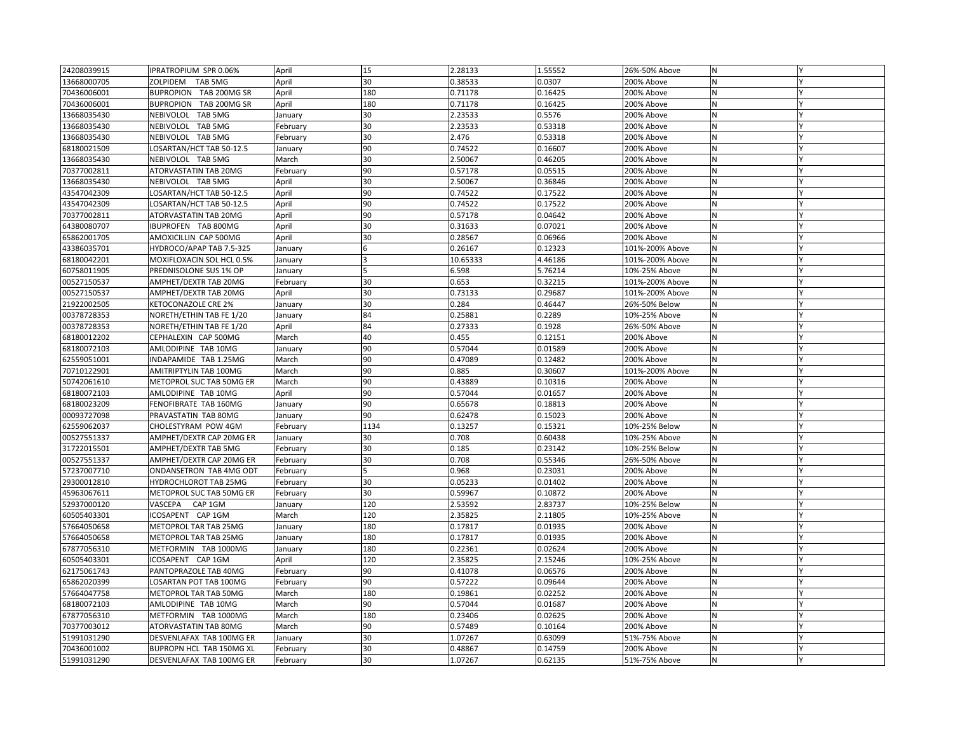| 24208039915 | IPRATROPIUM SPR 0.06%            | April    | 15   | 2.28133  | 1.55552 | 26%-50% Above   | N |  |
|-------------|----------------------------------|----------|------|----------|---------|-----------------|---|--|
| 13668000705 | ZOLPIDEM<br>TAB 5MG              | April    | 30   | 0.38533  | 0.0307  | 200% Above      | N |  |
| 70436006001 | TAB 200MG SR<br><b>BUPROPION</b> | April    | 180  | 0.71178  | 0.16425 | 200% Above      | N |  |
| 70436006001 | TAB 200MG SR<br><b>BUPROPION</b> | April    | 180  | 0.71178  | 0.16425 | 200% Above      | N |  |
| 13668035430 | <b>NEBIVOLOL</b><br>TAB 5MG      | January  | 30   | 2.23533  | 0.5576  | 200% Above      | N |  |
| 13668035430 | <b>NEBIVOLOL</b><br>TAB 5MG      | February | 30   | 2.23533  | 0.53318 | 200% Above      | N |  |
| 13668035430 | NEBIVOLOL<br>TAB 5MG             | February | 30   | 2.476    | 0.53318 | 200% Above      | N |  |
| 68180021509 | LOSARTAN/HCT TAB 50-12.5         | January  | 90   | 0.74522  | 0.16607 | 200% Above      | N |  |
| 13668035430 | NEBIVOLOL TAB 5MG                | March    | 30   | 2.50067  | 0.46205 | 200% Above      | N |  |
| 70377002811 | ATORVASTATIN TAB 20MG            | February | 90   | 0.57178  | 0.05515 | 200% Above      | N |  |
| 13668035430 | NEBIVOLOL TAB 5MG                | April    | 30   | 2.50067  | 0.36846 | 200% Above      | N |  |
| 43547042309 | LOSARTAN/HCT TAB 50-12.5         | April    | 90   | 0.74522  | 0.17522 | 200% Above      | N |  |
| 43547042309 | LOSARTAN/HCT TAB 50-12.5         | April    | 90   | 0.74522  | 0.17522 | 200% Above      | N |  |
| 70377002811 | ATORVASTATIN TAB 20MG            | April    | 90   | 0.57178  | 0.04642 | 200% Above      | N |  |
| 64380080707 | IBUPROFEN TAB 800MG              | April    | 30   | 0.31633  | 0.07021 | 200% Above      | N |  |
| 65862001705 | AMOXICILLIN CAP 500MG            | April    | 30   | 0.28567  | 0.06966 | 200% Above      | N |  |
| 43386035701 | HYDROCO/APAP TAB 7.5-325         | January  |      | 0.26167  | 0.12323 | 101%-200% Above |   |  |
| 68180042201 | MOXIFLOXACIN SOL HCL 0.5%        | January  |      | 10.65333 | 4.46186 | 101%-200% Above | N |  |
| 60758011905 | PREDNISOLONE SUS 1% OP           | January  |      | 6.598    | 5.76214 | 10%-25% Above   | N |  |
| 00527150537 | AMPHET/DEXTR TAB 20MG            | February | 30   | 0.653    | 0.32215 | 101%-200% Above | N |  |
| 00527150537 | AMPHET/DEXTR TAB 20MG            | April    | 30   | 0.73133  | 0.29687 | 101%-200% Above | N |  |
| 21922002505 | <b>KETOCONAZOLE CRE 2%</b>       | January  | 30   | 0.284    | 0.46447 | 26%-50% Below   | N |  |
| 00378728353 | NORETH/ETHIN TAB FE 1/20         | January  | 84   | 0.25881  | 0.2289  | 10%-25% Above   | N |  |
| 00378728353 | NORETH/ETHIN TAB FE 1/20         | April    | 84   | 0.27333  | 0.1928  | 26%-50% Above   | N |  |
| 68180012202 | CEPHALEXIN CAP 500MG             | March    | 40   | 0.455    | 0.12151 | 200% Above      | N |  |
| 68180072103 | AMLODIPINE TAB 10MG              | January  | 90   | 0.57044  | 0.01589 | 200% Above      | N |  |
| 62559051001 | INDAPAMIDE TAB 1.25MG            | March    | 90   | 0.47089  | 0.12482 | 200% Above      | N |  |
| 70710122901 | AMITRIPTYLIN TAB 100MG           | March    | 90   | 0.885    | 0.30607 | 101%-200% Above | N |  |
| 50742061610 | METOPROL SUC TAB 50MG ER         | March    | 90   | 0.43889  | 0.10316 | 200% Above      | N |  |
| 68180072103 | AMLODIPINE TAB 10MG              | April    | 90   | 0.57044  | 0.01657 | 200% Above      | N |  |
| 68180023209 | FENOFIBRATE TAB 160MG            | January  | 90   | 0.65678  | 0.18813 | 200% Above      | N |  |
| 00093727098 | PRAVASTATIN TAB 80MG             | January  | 90   | 0.62478  | 0.15023 | 200% Above      |   |  |
| 62559062037 | CHOLESTYRAM POW 4GM              | February | 1134 | 0.13257  | 0.15321 | 10%-25% Below   | N |  |
| 00527551337 | AMPHET/DEXTR CAP 20MG ER         | January  | 30   | 0.708    | 0.60438 | 10%-25% Above   |   |  |
| 31722015501 | AMPHET/DEXTR TAB 5MG             | February | 30   | 0.185    | 0.23142 | 10%-25% Below   | N |  |
| 00527551337 | AMPHET/DEXTR CAP 20MG ER         | February | 30   | 0.708    | 0.55346 | 26%-50% Above   | N |  |
| 57237007710 | ONDANSETRON TAB 4MG ODT          | February |      | 0.968    | 0.23031 | 200% Above      | N |  |
| 29300012810 | <b>HYDROCHLOROT TAB 25MG</b>     | February | 30   | 0.05233  | 0.01402 | 200% Above      |   |  |
| 45963067611 | METOPROL SUC TAB 50MG ER         | February | 30   | 0.59967  | 0.10872 | 200% Above      | N |  |
| 52937000120 | VASCEPA<br>CAP 1GM               | January  | 120  | 2.53592  | 2.83737 | 10%-25% Below   | N |  |
| 60505403301 | ICOSAPENT CAP 1GM                | March    | 120  | 2.35825  | 2.11805 | 10%-25% Above   | N |  |
| 57664050658 | METOPROL TAR TAB 25MG            | January  | 180  | 0.17817  | 0.01935 | 200% Above      | N |  |
| 57664050658 | METOPROL TAR TAB 25MG            | January  | 180  | 0.17817  | 0.01935 | 200% Above      | N |  |
| 67877056310 | METFORMIN TAB 1000MG             | January  | 180  | 0.22361  | 0.02624 | 200% Above      | N |  |
| 60505403301 | ICOSAPENT CAP 1GM                | April    | 120  | 2.35825  | 2.15246 | 10%-25% Above   | N |  |
| 62175061743 | PANTOPRAZOLE TAB 40MG            | February | 90   | 0.41078  | 0.06576 | 200% Above      | N |  |
| 65862020399 | <b>LOSARTAN POT TAB 100MG</b>    | February | 90   | 0.57222  | 0.09644 | 200% Above      | N |  |
| 57664047758 | METOPROL TAR TAB 50MG            | March    | 180  | 0.19861  | 0.02252 | 200% Above      | N |  |
| 68180072103 | AMLODIPINE TAB 10MG              | March    | 90   | 0.57044  | 0.01687 | 200% Above      | N |  |
| 67877056310 | METFORMIN TAB 1000MG             | March    | 180  | 0.23406  | 0.02625 | 200% Above      | N |  |
| 70377003012 | ATORVASTATIN TAB 80MG            | March    | 90   | 0.57489  | 0.10164 | 200% Above      | N |  |
| 51991031290 | DESVENLAFAX TAB 100MG ER         | January  | 30   | 1.07267  | 0.63099 | 51%-75% Above   | N |  |
| 70436001002 | <b>BUPROPN HCL TAB 150MG XL</b>  | February | 30   | 0.48867  | 0.14759 | 200% Above      | N |  |
| 51991031290 | <b>DESVENLAFAX TAB 100MG ER</b>  | February | 30   | 1.07267  | 0.62135 | 51%-75% Above   | N |  |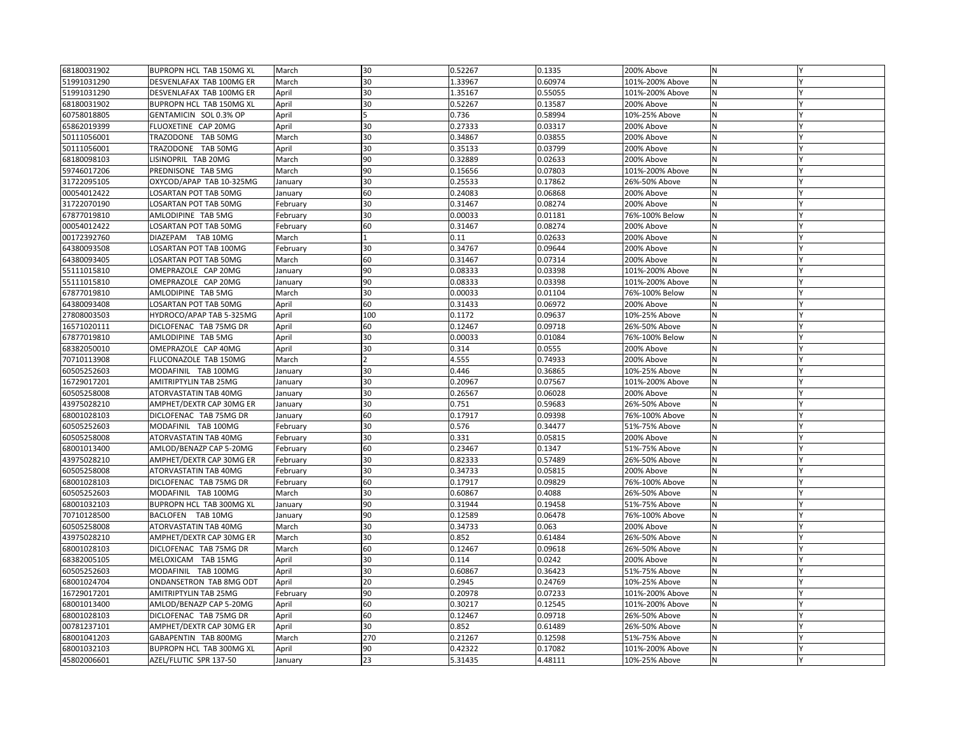| 68180031902 | BUPROPN HCL TAB 150MG XL        | March    | 30  | 0.52267 | 0.1335  | 200% Above      | N |  |
|-------------|---------------------------------|----------|-----|---------|---------|-----------------|---|--|
| 51991031290 | DESVENLAFAX TAB 100MG ER        | March    | 30  | 1.33967 | 0.60974 | 101%-200% Above | N |  |
| 51991031290 | DESVENLAFAX TAB 100MG ER        | April    | 30  | 1.35167 | 0.55055 | 101%-200% Above | N |  |
| 68180031902 | <b>BUPROPN HCL TAB 150MG XL</b> | April    | 30  | 0.52267 | 0.13587 | 200% Above      |   |  |
| 60758018805 | GENTAMICIN SOL 0.3% OP          | April    |     | 0.736   | 0.58994 | 10%-25% Above   | N |  |
| 65862019399 | FLUOXETINE CAP 20MG             | April    | 30  | 0.27333 | 0.03317 | 200% Above      |   |  |
| 50111056001 | TRAZODONE TAB 50MG              | March    | 30  | 0.34867 | 0.03855 | 200% Above      | N |  |
| 50111056001 | TRAZODONE TAB 50MG              | April    | 30  | 0.35133 | 0.03799 | 200% Above      |   |  |
| 68180098103 | LISINOPRIL TAB 20MG             | March    | 90  | 0.32889 | 0.02633 | 200% Above      | N |  |
| 59746017206 | PREDNISONE TAB 5MG              | March    | 90  | 0.15656 | 0.07803 | 101%-200% Above | N |  |
| 31722095105 | OXYCOD/APAP TAB 10-325MG        | January  | 30  | 0.25533 | 0.17862 | 26%-50% Above   | N |  |
| 00054012422 | LOSARTAN POT TAB 50MG           | January  | 60  | 0.24083 | 0.06868 | 200% Above      | N |  |
| 31722070190 | <b>LOSARTAN POT TAB 50MG</b>    | February | 30  | 0.31467 | 0.08274 | 200% Above      | N |  |
| 67877019810 | AMLODIPINE TAB 5MG              | February | 30  | 0.00033 | 0.01181 | 76%-100% Below  | N |  |
| 00054012422 | <b>LOSARTAN POT TAB 50MG</b>    | February | 60  | 0.31467 | 0.08274 | 200% Above      | N |  |
| 00172392760 | DIAZEPAM TAB 10MG               | March    |     | 0.11    | 0.02633 | 200% Above      | N |  |
| 64380093508 | <b>LOSARTAN POT TAB 100MG</b>   | February | 30  | 0.34767 | 0.09644 | 200% Above      | N |  |
| 64380093405 | <b>LOSARTAN POT TAB 50MG</b>    | March    | 60  | 0.31467 | 0.07314 | 200% Above      | N |  |
| 55111015810 | OMEPRAZOLE CAP 20MG             | January  | 90  | 0.08333 | 0.03398 | 101%-200% Above | N |  |
| 55111015810 | OMEPRAZOLE CAP 20MG             | January  | 90  | 0.08333 | 0.03398 | 101%-200% Above |   |  |
| 67877019810 | AMLODIPINE TAB 5MG              | March    | 30  | 0.00033 | 0.01104 | 76%-100% Below  |   |  |
| 64380093408 | LOSARTAN POT TAB 50MG           | April    | 60  | 0.31433 | 0.06972 | 200% Above      | N |  |
| 27808003503 | HYDROCO/APAP TAB 5-325MG        | April    | 100 | 0.1172  | 0.09637 | 10%-25% Above   | N |  |
| 16571020111 | DICLOFENAC TAB 75MG DR          | April    | 60  | 0.12467 | 0.09718 | 26%-50% Above   |   |  |
| 67877019810 | AMLODIPINE TAB 5MG              | April    | 30  | 0.00033 | 0.01084 | 76%-100% Below  |   |  |
| 68382050010 | OMEPRAZOLE CAP 40MG             | April    | 30  | 0.314   | 0.0555  | 200% Above      | N |  |
| 70710113908 | FLUCONAZOLE TAB 150MG           | March    |     | 4.555   | 0.74933 | 200% Above      | N |  |
| 60505252603 | MODAFINIL TAB 100MG             | January  | 30  | 0.446   | 0.36865 | 10%-25% Above   | N |  |
| 16729017201 | <b>AMITRIPTYLIN TAB 25MG</b>    | January  | 30  | 0.20967 | 0.07567 | 101%-200% Above | N |  |
| 60505258008 | ATORVASTATIN TAB 40MG           | January  | 30  | 0.26567 | 0.06028 | 200% Above      | N |  |
| 43975028210 | AMPHET/DEXTR CAP 30MG ER        | January  | 30  | 0.751   | 0.59683 | 26%-50% Above   | N |  |
| 68001028103 | DICLOFENAC TAB 75MG DR          | January  | 60  | 0.17917 | 0.09398 | 76%-100% Above  | N |  |
| 60505252603 | MODAFINIL TAB 100MG             | February | 30  | 0.576   | 0.34477 | 51%-75% Above   | N |  |
| 60505258008 | ATORVASTATIN TAB 40MG           | February | 30  | 0.331   | 0.05815 | 200% Above      | N |  |
| 68001013400 | AMLOD/BENAZP CAP 5-20MG         | February | 60  | 0.23467 | 0.1347  | 51%-75% Above   | N |  |
| 43975028210 | AMPHET/DEXTR CAP 30MG ER        | February | 30  | 0.82333 | 0.57489 | 26%-50% Above   | N |  |
| 60505258008 | <b>ATORVASTATIN TAB 40MG</b>    | February | 30  | 0.34733 | 0.05815 | 200% Above      | N |  |
| 68001028103 | DICLOFENAC TAB 75MG DR          | February | 60  | 0.17917 | 0.09829 | 76%-100% Above  | N |  |
| 60505252603 | MODAFINIL TAB 100MG             | March    | 30  | 0.60867 | 0.4088  | 26%-50% Above   | N |  |
| 68001032103 | <b>BUPROPN HCL TAB 300MG XL</b> | January  | 90  | 0.31944 | 0.19458 | 51%-75% Above   | N |  |
| 70710128500 | BACLOFEN TAB 10MG               | January  | 90  | 0.12589 | 0.06478 | 76%-100% Above  | N |  |
| 60505258008 | <b>ATORVASTATIN TAB 40MG</b>    | March    | 30  | 0.34733 | 0.063   | 200% Above      |   |  |
| 43975028210 | AMPHET/DEXTR CAP 30MG ER        | March    | 30  | 0.852   | 0.61484 | 26%-50% Above   | N |  |
| 68001028103 | DICLOFENAC TAB 75MG DR          | March    | 60  | 0.12467 | 0.09618 | 26%-50% Above   | N |  |
| 68382005105 | MELOXICAM TAB 15MG              | April    | 30  | 0.114   | 0.0242  | 200% Above      | N |  |
| 60505252603 | MODAFINIL TAB 100MG             | April    | 30  | 0.60867 | 0.36423 | 51%-75% Above   |   |  |
| 68001024704 | ONDANSETRON TAB 8MG ODT         | April    | 20  | 0.2945  | 0.24769 | 10%-25% Above   | N |  |
| 16729017201 | <b>AMITRIPTYLIN TAB 25MG</b>    | February | 90  | 0.20978 | 0.07233 | 101%-200% Above | N |  |
| 68001013400 | AMLOD/BENAZP CAP 5-20MG         | April    | 60  | 0.30217 | 0.12545 | 101%-200% Above | N |  |
| 68001028103 | DICLOFENAC TAB 75MG DR          | April    | 60  | 0.12467 | 0.09718 | 26%-50% Above   | N |  |
| 00781237101 | AMPHET/DEXTR CAP 30MG ER        | April    | 30  | 0.852   | 0.61489 | 26%-50% Above   | N |  |
| 68001041203 | GABAPENTIN TAB 800MG            | March    | 270 | 0.21267 | 0.12598 | 51%-75% Above   | N |  |
| 68001032103 | <b>BUPROPN HCL TAB 300MG XL</b> | April    | 90  | 0.42322 | 0.17082 | 101%-200% Above | N |  |
| 45802006601 | AZEL/FLUTIC SPR 137-50          | January  | 23  | 5.31435 | 4.48111 | 10%-25% Above   | N |  |
|             |                                 |          |     |         |         |                 |   |  |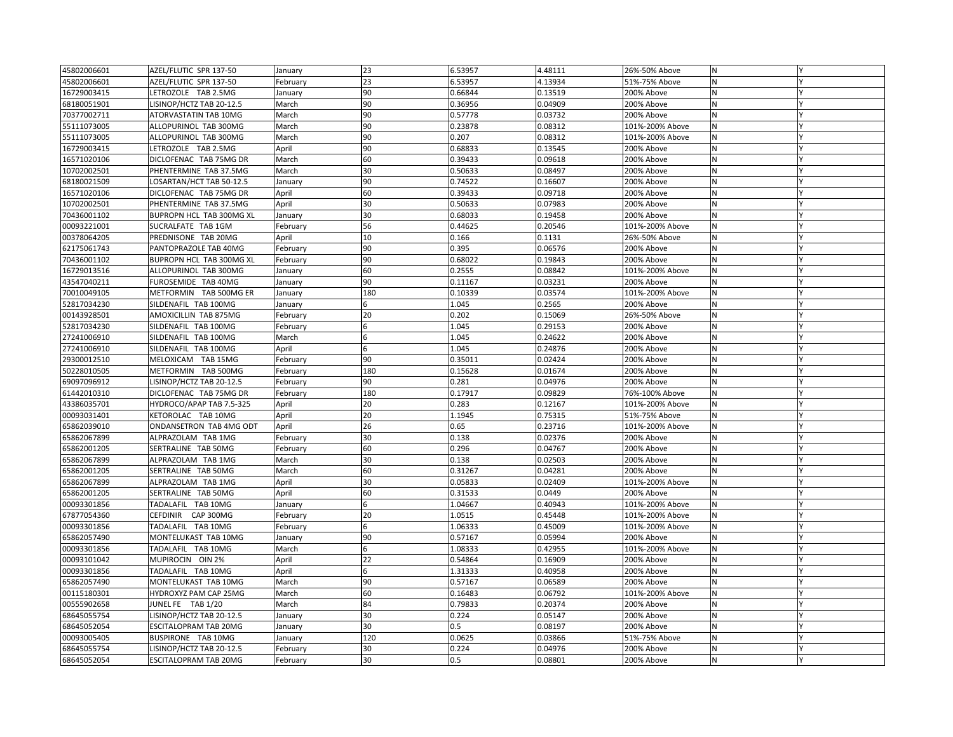| 45802006601 | AZEL/FLUTIC SPR 137-50   | January  | 23  | 6.53957 | 4.48111 | 26%-50% Above   | IN. |  |
|-------------|--------------------------|----------|-----|---------|---------|-----------------|-----|--|
| 45802006601 | AZEL/FLUTIC SPR 137-50   | February | 23  | 6.53957 | 4.13934 | 51%-75% Above   | N   |  |
| 16729003415 | LETROZOLE TAB 2.5MG      | January  | 90  | 0.66844 | 0.13519 | 200% Above      | N   |  |
| 68180051901 | LISINOP/HCTZ TAB 20-12.5 | March    | 90  | 0.36956 | 0.04909 | 200% Above      |     |  |
| 70377002711 | ATORVASTATIN TAB 10MG    | March    | 90  | 0.57778 | 0.03732 | 200% Above      | N   |  |
| 55111073005 | ALLOPURINOL TAB 300MG    | March    | 90  | 0.23878 | 0.08312 | 101%-200% Above |     |  |
| 55111073005 | ALLOPURINOL TAB 300MG    | March    | 90  | 0.207   | 0.08312 | 101%-200% Above | N   |  |
| 16729003415 | LETROZOLE TAB 2.5MG      | April    | 90  | 0.68833 | 0.13545 | 200% Above      |     |  |
| 16571020106 | DICLOFENAC TAB 75MG DR   | March    | 60  | 0.39433 | 0.09618 | 200% Above      | N   |  |
| 10702002501 | PHENTERMINE TAB 37.5MG   | March    | 30  | 0.50633 | 0.08497 | 200% Above      | N   |  |
| 68180021509 | LOSARTAN/HCT TAB 50-12.5 | January  | 90  | 0.74522 | 0.16607 | 200% Above      | N   |  |
| 16571020106 | DICLOFENAC TAB 75MG DR   | April    | 60  | 0.39433 | 0.09718 | 200% Above      | N   |  |
| 10702002501 | PHENTERMINE TAB 37.5MG   | April    | 30  | 0.50633 | 0.07983 | 200% Above      | N   |  |
| 70436001102 | BUPROPN HCL TAB 300MG XL | January  | 30  | 0.68033 | 0.19458 | 200% Above      | N   |  |
| 00093221001 | SUCRALFATE TAB 1GM       | February | 56  | 0.44625 | 0.20546 | 101%-200% Above | Ν   |  |
| 00378064205 | PREDNISONE TAB 20MG      | April    | 10  | 0.166   | 0.1131  | 26%-50% Above   | N   |  |
| 62175061743 | PANTOPRAZOLE TAB 40MG    | February | 90  | 0.395   | 0.06576 | 200% Above      | N   |  |
| 70436001102 | BUPROPN HCL TAB 300MG XL | February | 90  | 0.68022 | 0.19843 | 200% Above      | N   |  |
| 16729013516 | ALLOPURINOL TAB 300MG    | January  | 60  | 0.2555  | 0.08842 | 101%-200% Above | N   |  |
| 43547040211 | FUROSEMIDE TAB 40MG      | January  | 90  | 0.11167 | 0.03231 | 200% Above      |     |  |
| 70010049105 | METFORMIN TAB 500MG ER   | January  | 180 | 0.10339 | 0.03574 | 101%-200% Above |     |  |
| 52817034230 | SILDENAFIL TAB 100MG     | January  | 6   | 1.045   | 0.2565  | 200% Above      | N   |  |
| 00143928501 | AMOXICILLIN TAB 875MG    | February | 20  | 0.202   | 0.15069 | 26%-50% Above   | Ν   |  |
| 52817034230 | SILDENAFIL TAB 100MG     | February | 6   | 1.045   | 0.29153 | 200% Above      | N   |  |
| 27241006910 | SILDENAFIL TAB 100MG     | March    |     | 1.045   | 0.24622 | 200% Above      |     |  |
| 27241006910 | SILDENAFIL TAB 100MG     | April    | 6   | 1.045   | 0.24876 | 200% Above      | N   |  |
| 29300012510 | MELOXICAM TAB 15MG       | February | 90  | 0.35011 | 0.02424 | 200% Above      | N   |  |
| 50228010505 | METFORMIN TAB 500MG      | February | 180 | 0.15628 | 0.01674 | 200% Above      | N   |  |
| 69097096912 | LISINOP/HCTZ TAB 20-12.5 | February | 90  | 0.281   | 0.04976 | 200% Above      | N   |  |
| 61442010310 | DICLOFENAC TAB 75MG DR   | February | 180 | 0.17917 | 0.09829 | 76%-100% Above  | N   |  |
| 43386035701 | HYDROCO/APAP TAB 7.5-325 | April    | 20  | 0.283   | 0.12167 | 101%-200% Above | N   |  |
| 00093031401 | KETOROLAC TAB 10MG       | April    | 20  | 1.1945  | 0.75315 | 51%-75% Above   |     |  |
| 65862039010 | ONDANSETRON TAB 4MG ODT  | April    | 26  | 0.65    | 0.23716 | 101%-200% Above | N   |  |
| 65862067899 | ALPRAZOLAM TAB 1MG       | February | 30  | 0.138   | 0.02376 | 200% Above      | N   |  |
| 65862001205 | SERTRALINE TAB 50MG      | February | 60  | 0.296   | 0.04767 | 200% Above      | N   |  |
| 65862067899 | ALPRAZOLAM TAB 1MG       | March    | 30  | 0.138   | 0.02503 | 200% Above      | N   |  |
| 65862001205 | SERTRALINE TAB 50MG      | March    | 60  | 0.31267 | 0.04281 | 200% Above      | N   |  |
| 65862067899 | ALPRAZOLAM TAB 1MG       | April    | 30  | 0.05833 | 0.02409 | 101%-200% Above | N   |  |
| 65862001205 | SERTRALINE TAB 50MG      | April    | 60  | 0.31533 | 0.0449  | 200% Above      | N   |  |
| 00093301856 | TADALAFIL TAB 10MG       | January  | 6   | 1.04667 | 0.40943 | 101%-200% Above | Ν   |  |
| 67877054360 | CAP 300MG<br>CEFDINIR    | February | 20  | 1.0515  | 0.45448 | 101%-200% Above | N   |  |
| 00093301856 | TADALAFIL TAB 10MG       | February |     | 1.06333 | 0.45009 | 101%-200% Above | N   |  |
| 65862057490 | MONTELUKAST TAB 10MG     | January  | 90  | 0.57167 | 0.05994 | 200% Above      | N   |  |
| 00093301856 | TADALAFIL TAB 10MG       | March    |     | 1.08333 | 0.42955 | 101%-200% Above | Ν   |  |
| 00093101042 | MUPIROCIN OIN 2%         | April    | 22  | 0.54864 | 0.16909 | 200% Above      | N   |  |
| 00093301856 | TADALAFIL TAB 10MG       | April    |     | 1.31333 | 0.40958 | 200% Above      | N   |  |
| 65862057490 | MONTELUKAST TAB 10MG     | March    | 90  | 0.57167 | 0.06589 | 200% Above      | N   |  |
| 00115180301 | HYDROXYZ PAM CAP 25MG    | March    | 60  | 0.16483 | 0.06792 | 101%-200% Above | N   |  |
| 00555902658 | JUNEL FE TAB 1/20        | March    | 84  | 0.79833 | 0.20374 | 200% Above      | N   |  |
| 68645055754 | LISINOP/HCTZ TAB 20-12.5 | January  | 30  | 0.224   | 0.05147 | 200% Above      | N   |  |
| 68645052054 | ESCITALOPRAM TAB 20MG    | January  | 30  | 0.5     | 0.08197 | 200% Above      | N   |  |
| 00093005405 | BUSPIRONE TAB 10MG       | January  | 120 | 0.0625  | 0.03866 | 51%-75% Above   | N   |  |
| 68645055754 | LISINOP/HCTZ TAB 20-12.5 | February | 30  | 0.224   | 0.04976 | 200% Above      | N   |  |
| 68645052054 | ESCITALOPRAM TAB 20MG    | February | 30  | 0.5     | 0.08801 | 200% Above      | N   |  |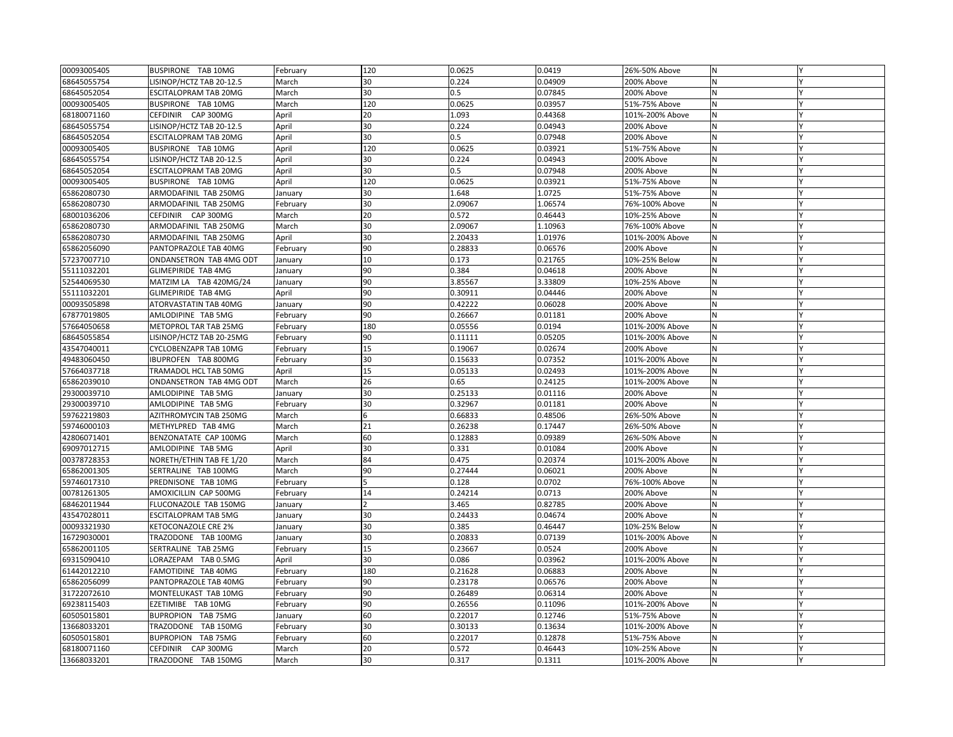| 00093005405 | BUSPIRONE TAB 10MG            | February | 120             | 0.0625  | 0.0419  | 26%-50% Above   | N |  |
|-------------|-------------------------------|----------|-----------------|---------|---------|-----------------|---|--|
| 68645055754 | LISINOP/HCTZ TAB 20-12.5      | March    | 30              | 0.224   | 0.04909 | 200% Above      | N |  |
| 68645052054 | <b>ESCITALOPRAM TAB 20MG</b>  | March    | 30              | 0.5     | 0.07845 | 200% Above      | N |  |
| 00093005405 | BUSPIRONE TAB 10MG            | March    | 120             | 0.0625  | 0.03957 | 51%-75% Above   |   |  |
| 68180071160 | CEFDINIR CAP 300MG            | April    | 20              | 1.093   | 0.44368 | 101%-200% Above | N |  |
| 68645055754 | LISINOP/HCTZ TAB 20-12.5      | April    | 30              | 0.224   | 0.04943 | 200% Above      |   |  |
| 68645052054 | <b>ESCITALOPRAM TAB 20MG</b>  | April    | 30              | 0.5     | 0.07948 | 200% Above      | N |  |
| 00093005405 | <b>BUSPIRONE TAB 10MG</b>     | April    | 120             | 0.0625  | 0.03921 | 51%-75% Above   | N |  |
| 68645055754 | LISINOP/HCTZ TAB 20-12.5      | April    | 30              | 0.224   | 0.04943 | 200% Above      | N |  |
| 68645052054 | <b>ESCITALOPRAM TAB 20MG</b>  | April    | 30              | 0.5     | 0.07948 | 200% Above      | N |  |
| 00093005405 | BUSPIRONE TAB 10MG            | April    | 120             | 0.0625  | 0.03921 | 51%-75% Above   | N |  |
| 65862080730 | ARMODAFINIL TAB 250MG         | January  | 30              | 1.648   | 1.0725  | 51%-75% Above   | N |  |
| 65862080730 | ARMODAFINIL TAB 250MG         | February | 30              | 2.09067 | 1.06574 | 76%-100% Above  | N |  |
| 68001036206 | <b>CEFDINIR</b><br>CAP 300MG  | March    | 20              | 0.572   | 0.46443 | 10%-25% Above   | N |  |
| 65862080730 | ARMODAFINIL TAB 250MG         | March    | 30              | 2.09067 | 1.10963 | 76%-100% Above  | N |  |
| 65862080730 | ARMODAFINIL TAB 250MG         | April    | 30              | 2.20433 | 1.01976 | 101%-200% Above | N |  |
| 65862056090 | PANTOPRAZOLE TAB 40MG         | February | 90              | 0.28833 | 0.06576 | 200% Above      |   |  |
| 57237007710 | ONDANSETRON TAB 4MG ODT       | January  | 10              | 0.173   | 0.21765 | 10%-25% Below   | N |  |
| 55111032201 | <b>GLIMEPIRIDE TAB 4MG</b>    | January  | 90              | 0.384   | 0.04618 | 200% Above      |   |  |
| 52544069530 | MATZIM LA TAB 420MG/24        | January  | 90              | 3.85567 | 3.33809 | 10%-25% Above   |   |  |
| 55111032201 | <b>GLIMEPIRIDE TAB 4MG</b>    | April    | 90              | 0.30911 | 0.04446 | 200% Above      | N |  |
| 00093505898 | <b>ATORVASTATIN TAB 40MG</b>  | January  | 90              | 0.42222 | 0.06028 | 200% Above      | N |  |
| 67877019805 | AMLODIPINE TAB 5MG            | February | 90              | 0.26667 | 0.01181 | 200% Above      | N |  |
| 57664050658 | METOPROL TAR TAB 25MG         | February | 180             | 0.05556 | 0.0194  | 101%-200% Above | N |  |
| 68645055854 | LISINOP/HCTZ TAB 20-25MG      | February | 90              | 0.11111 | 0.05205 | 101%-200% Above | N |  |
| 43547040011 | CYCLOBENZAPR TAB 10MG         | February | 15              | 0.19067 | 0.02674 | 200% Above      | N |  |
| 49483060450 | IBUPROFEN TAB 800MG           | February | 30              | 0.15633 | 0.07352 | 101%-200% Above | N |  |
| 57664037718 | TRAMADOL HCL TAB 50MG         | April    | 15              | 0.05133 | 0.02493 | 101%-200% Above | N |  |
| 65862039010 | ONDANSETRON TAB 4MG ODT       | March    | $\overline{26}$ | 0.65    | 0.24125 | 101%-200% Above | N |  |
| 29300039710 | AMLODIPINE TAB 5MG            | January  | 30              | 0.25133 | 0.01116 | 200% Above      | N |  |
| 29300039710 | AMLODIPINE TAB 5MG            | February | 30              | 0.32967 | 0.01181 | 200% Above      | N |  |
| 59762219803 | AZITHROMYCIN TAB 250MG        | March    | 6               | 0.66833 | 0.48506 | 26%-50% Above   |   |  |
| 59746000103 | METHYLPRED TAB 4MG            | March    | 21              | 0.26238 | 0.17447 | 26%-50% Above   | N |  |
| 42806071401 | BENZONATATE CAP 100MG         | March    | 60              | 0.12883 | 0.09389 | 26%-50% Above   | N |  |
| 69097012715 | AMLODIPINE TAB 5MG            | April    | 30              | 0.331   | 0.01084 | 200% Above      | N |  |
| 00378728353 | NORETH/ETHIN TAB FE 1/20      | March    | 84              | 0.475   | 0.20374 | 101%-200% Above | N |  |
| 65862001305 | SERTRALINE TAB 100MG          | March    | 90              | 0.27444 | 0.06021 | 200% Above      | N |  |
| 59746017310 | PREDNISONE TAB 10MG           | February |                 | 0.128   | 0.0702  | 76%-100% Above  | N |  |
| 00781261305 | AMOXICILLIN CAP 500MG         | February | 14              | 0.24214 | 0.0713  | 200% Above      | N |  |
| 68462011944 | FLUCONAZOLE TAB 150MG         | January  |                 | 3.465   | 0.82785 | 200% Above      | N |  |
| 43547028011 | <b>ESCITALOPRAM TAB 5MG</b>   | January  | 30              | 0.24433 | 0.04674 | 200% Above      | N |  |
| 00093321930 | KETOCONAZOLE CRE 2%           | January  | 30              | 0.385   | 0.46447 | 10%-25% Below   | N |  |
| 16729030001 | TRAZODONE TAB 100MG           | January  | 30              | 0.20833 | 0.07139 | 101%-200% Above | N |  |
| 65862001105 | SERTRALINE TAB 25MG           | February | 15              | 0.23667 | 0.0524  | 200% Above      | N |  |
| 69315090410 | LORAZEPAM TAB 0.5MG           | April    | 30              | 0.086   | 0.03962 | 101%-200% Above | N |  |
| 61442012210 | FAMOTIDINE TAB 40MG           | February | 180             | 0.21628 | 0.06883 | 200% Above      | N |  |
| 65862056099 | PANTOPRAZOLE TAB 40MG         | February | 90              | 0.23178 | 0.06576 | 200% Above      | N |  |
| 31722072610 | MONTELUKAST TAB 10MG          | February | 90              | 0.26489 | 0.06314 | 200% Above      | N |  |
| 69238115403 | EZETIMIBE TAB 10MG            | February | 90              | 0.26556 | 0.11096 | 101%-200% Above | N |  |
| 60505015801 | BUPROPION TAB 75MG            | January  | 60              | 0.22017 | 0.12746 | 51%-75% Above   | N |  |
| 13668033201 | TRAZODONE<br><b>TAB 150MG</b> | February | 30              | 0.30133 | 0.13634 | 101%-200% Above |   |  |
| 60505015801 | <b>BUPROPION</b><br>TAB 75MG  | February | 60              | 0.22017 | 0.12878 | 51%-75% Above   | N |  |
| 68180071160 | CAP 300MG<br><b>CEFDINIR</b>  | March    | 20              | 0.572   | 0.46443 | 10%-25% Above   | N |  |
| 13668033201 | TRAZODONE TAB 150MG           | March    | 30              | 0.317   | 0.1311  | 101%-200% Above | Ν |  |
|             |                               |          |                 |         |         |                 |   |  |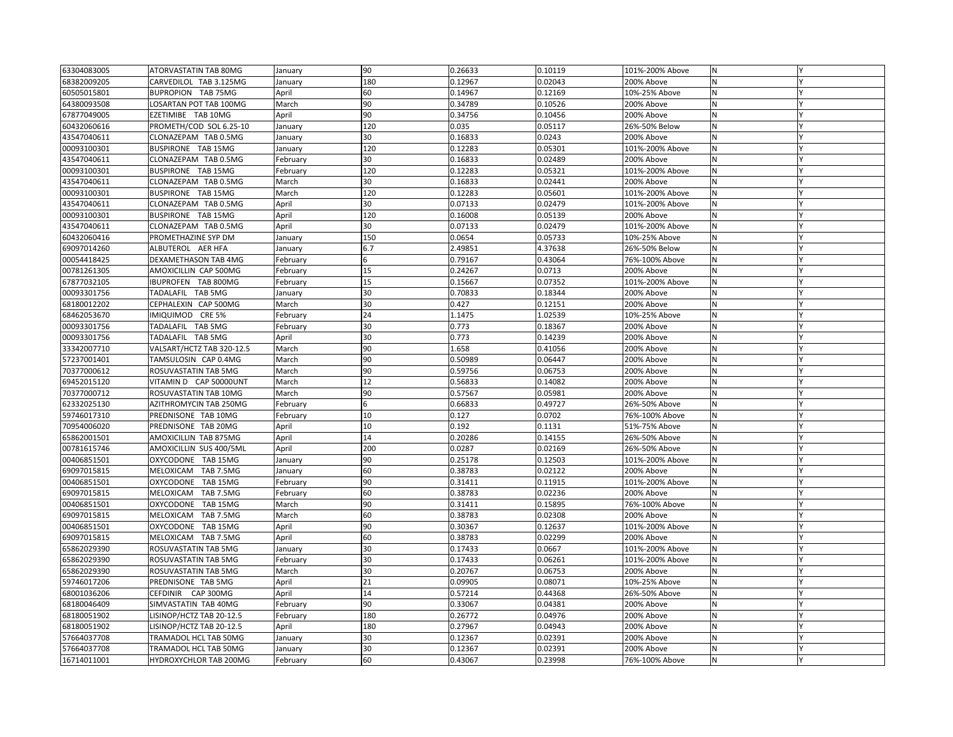| 63304083005                | ATORVASTATIN TAB 80MG                          | January  | 90       | 0.26633            | 0.10119            | 101%-200% Above          | IN.    |  |
|----------------------------|------------------------------------------------|----------|----------|--------------------|--------------------|--------------------------|--------|--|
| 68382009205                | CARVEDILOL TAB 3.125MG                         | January  | 180      | 0.12967            | 0.02043            | 200% Above               | N      |  |
| 60505015801                | BUPROPION TAB 75MG                             | April    | 60       | 0.14967            | 0.12169            | 10%-25% Above            | N      |  |
| 64380093508                | LOSARTAN POT TAB 100MG                         | March    | 90       | 0.34789            | 0.10526            | 200% Above               |        |  |
| 67877049005                | EZETIMIBE TAB 10MG                             | April    | 90       | 0.34756            | 0.10456            | 200% Above               | N      |  |
| 60432060616                | PROMETH/COD SOL 6.25-10                        | January  | 120      | 0.035              | 0.05117            | 26%-50% Below            |        |  |
| 43547040611                | CLONAZEPAM TAB 0.5MG                           | January  | 30       | 0.16833            | 0.0243             | 200% Above               | N      |  |
| 00093100301                | BUSPIRONE TAB 15MG                             | January  | 120      | 0.12283            | 0.05301            | 101%-200% Above          | N      |  |
| 43547040611                | CLONAZEPAM TAB 0.5MG                           | February | 30       | 0.16833            | 0.02489            | 200% Above               | N      |  |
| 00093100301                | BUSPIRONE TAB 15MG                             | February | 120      | 0.12283            | 0.05321            | 101%-200% Above          | N      |  |
| 43547040611                | CLONAZEPAM TAB 0.5MG                           | March    | 30       | 0.16833            | 0.02441            | 200% Above               | Ν      |  |
| 00093100301                | BUSPIRONE TAB 15MG                             | March    | 120      | 0.12283            | 0.05601            | 101%-200% Above          | N      |  |
| 43547040611                | CLONAZEPAM TAB 0.5MG                           | April    | 30       | 0.07133            | 0.02479            | 101%-200% Above          | N      |  |
| 00093100301                | BUSPIRONE TAB 15MG                             | April    | 120      | 0.16008            | 0.05139            | 200% Above               | N      |  |
| 43547040611                | CLONAZEPAM TAB 0.5MG                           | April    | 30       | 0.07133            | 0.02479            | 101%-200% Above          | N      |  |
| 60432060416                | PROMETHAZINE SYP DM                            | January  | 150      | 0.0654             | 0.05733            | 10%-25% Above            | N      |  |
| 69097014260                | ALBUTEROL AER HFA                              | January  | 6.7      | 2.49851            | 4.37638            | 26%-50% Below            | N      |  |
| 00054418425                | DEXAMETHASON TAB 4MG                           | February | 6        | 0.79167            | 0.43064            | 76%-100% Above           | N      |  |
| 00781261305                | AMOXICILLIN CAP 500MG                          | February | 15       | 0.24267            | 0.0713             | 200% Above               | N      |  |
| 67877032105                | BUPROFEN TAB 800MG                             | February | 15       | 0.15667            | 0.07352            | 101%-200% Above          | N      |  |
| 00093301756                | TADALAFIL TAB 5MG                              | January  | 30       | 0.70833            | 0.18344            | 200% Above               | N      |  |
| 68180012202                | CEPHALEXIN CAP 500MG                           | March    | 30       | 0.427              | 0.12151            | 200% Above               | N      |  |
| 68462053670                | <b>IMIQUIMOD</b><br><b>CRE 5%</b>              | February | 24       | 1.1475             | 1.02539            | 10%-25% Above            | N      |  |
| 00093301756                | TADALAFIL TAB 5MG                              | February | 30       | 0.773              | 0.18367            | 200% Above               | N      |  |
| 00093301756                | TADALAFIL TAB 5MG                              | April    | 30       | 0.773              | 0.14239            | 200% Above               | N      |  |
| 33342007710                | VALSART/HCTZ TAB 320-12.5                      | March    | 90       | 1.658              | 0.41056            | 200% Above               | N      |  |
| 57237001401                | TAMSULOSIN CAP 0.4MG                           | March    | 90       | 0.50989            | 0.06447            | 200% Above               | N      |  |
| 70377000612                | ROSUVASTATIN TAB 5MG                           | March    | 90       | 0.59756            | 0.06753            | 200% Above               | N      |  |
| 69452015120                | VITAMIN D CAP 50000UNT                         | March    | 12       | 0.56833            | 0.14082            | 200% Above               | N      |  |
| 70377000712                | ROSUVASTATIN TAB 10MG                          | March    | 90       | 0.57567            | 0.05981            | 200% Above               | N      |  |
| 62332025130                | AZITHROMYCIN TAB 250MG                         | February |          | 0.66833            | 0.49727            | 26%-50% Above            | N      |  |
| 59746017310                | PREDNISONE TAB 10MG                            | February | 10       | 0.127              | 0.0702             | 76%-100% Above           | N      |  |
| 70954006020                | PREDNISONE TAB 20MG                            | April    | 10       | 0.192              | 0.1131             | 51%-75% Above            |        |  |
| 65862001501                | AMOXICILLIN TAB 875MG                          | April    | 14       | 0.20286            | 0.14155            | 26%-50% Above            | N      |  |
| 00781615746                | AMOXICILLIN SUS 400/5ML                        | April    | 200      | 0.0287             | 0.02169            | 26%-50% Above            | N      |  |
| 00406851501                | OXYCODONE TAB 15MG                             | January  | 90       | 0.25178            | 0.12503            | 101%-200% Above          | N      |  |
| 69097015815                | MELOXICAM TAB 7.5MG                            | January  | 60       | 0.38783            | 0.02122            | 200% Above               | N      |  |
| 00406851501                | OXYCODONE TAB 15MG                             | February | 90       | 0.31411            | 0.11915            | 101%-200% Above          | N      |  |
| 69097015815                | MELOXICAM<br>TAB 7.5MG                         | February | 60       | 0.38783            | 0.02236            | 200% Above               | N      |  |
| 00406851501                | TAB 15MG<br>OXYCODONE                          | March    | 90       | 0.31411            | 0.15895            | 76%-100% Above           | N      |  |
| 69097015815                | MELOXICAM<br>TAB 7.5MG                         | March    | 60       | 0.38783            | 0.02308            | 200% Above               | N      |  |
| 00406851501                | OXYCODONE<br>TAB 15MG                          | April    | 90       | 0.30367            | 0.12637            | 101%-200% Above          | N      |  |
| 69097015815                | MELOXICAM TAB 7.5MG                            | April    | 60       | 0.38783            | 0.02299            | 200% Above               | N      |  |
| 65862029390                | ROSUVASTATIN TAB 5MG                           | January  | 30       | 0.17433            | 0.0667             | 101%-200% Above          | Ν      |  |
| 65862029390                | ROSUVASTATIN TAB 5MG                           | February | 30       | 0.17433            | 0.06261            | 101%-200% Above          |        |  |
| 65862029390                | ROSUVASTATIN TAB 5MG                           | March    | 30       | 0.20767            | 0.06753            | 200% Above               |        |  |
| 59746017206                | PREDNISONE TAB 5MG                             | April    | 21<br>14 | 0.09905            | 0.08071            | 10%-25% Above            | N      |  |
| 68001036206                | CEFDINIR CAP 300MG                             | April    |          | 0.57214            | 0.44368            | 26%-50% Above            | Ν<br>N |  |
| 68180046409                | SIMVASTATIN TAB 40MG                           | February | 90       | 0.33067            | 0.04381            | 200% Above               | N      |  |
| 68180051902                | LISINOP/HCTZ TAB 20-12.5                       | February | 180      | 0.26772            | 0.04976            | 200% Above               | N      |  |
| 68180051902                | LISINOP/HCTZ TAB 20-12.5                       | April    | 180      | 0.27967            | 0.04943            | 200% Above               | N      |  |
| 57664037708<br>57664037708 | TRAMADOL HCL TAB 50MG<br>TRAMADOL HCL TAB 50MG | January  | 30<br>30 | 0.12367<br>0.12367 | 0.02391<br>0.02391 | 200% Above<br>200% Above | N      |  |
| 16714011001                |                                                | January  | 60       | 0.43067            | 0.23998            |                          | N      |  |
|                            | HYDROXYCHLOR TAB 200MG                         | February |          |                    |                    | 76%-100% Above           |        |  |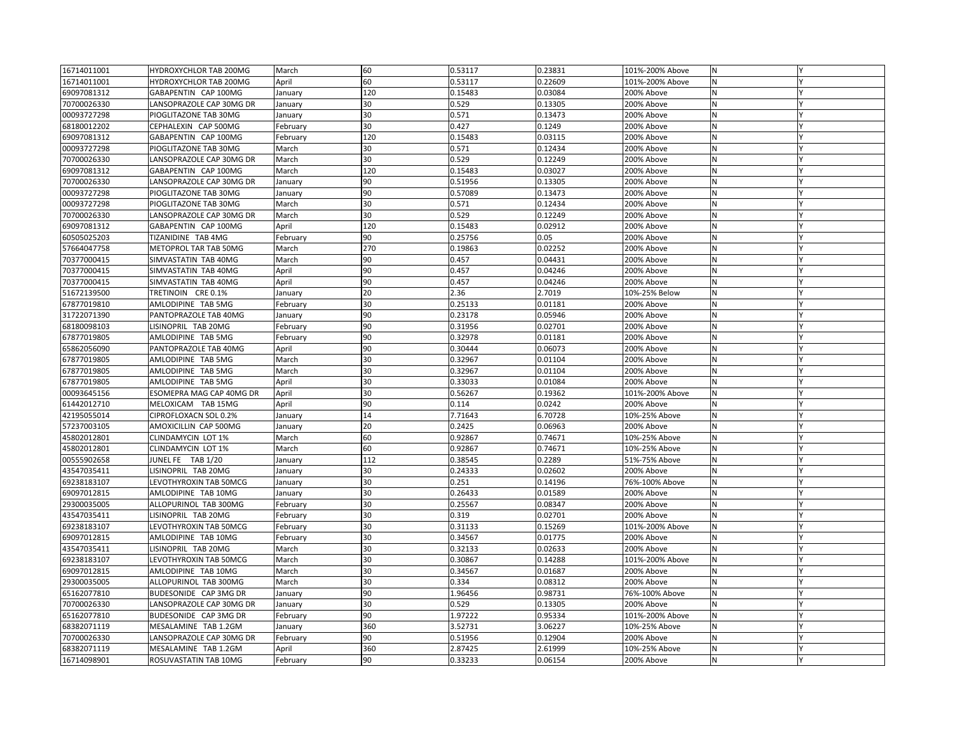| 16714011001 | HYDROXYCHLOR TAB 200MG   | March    | 60  | 0.53117 | 0.23831 | 101%-200% Above | IN.    |  |
|-------------|--------------------------|----------|-----|---------|---------|-----------------|--------|--|
| 16714011001 | HYDROXYCHLOR TAB 200MG   | April    | 60  | 0.53117 | 0.22609 | 101%-200% Above | N      |  |
| 69097081312 | GABAPENTIN CAP 100MG     | January  | 120 | 0.15483 | 0.03084 | 200% Above      |        |  |
| 70700026330 | LANSOPRAZOLE CAP 30MG DR | January  | 30  | 0.529   | 0.13305 | 200% Above      |        |  |
| 00093727298 | PIOGLITAZONE TAB 30MG    | January  | 30  | 0.571   | 0.13473 | 200% Above      | N      |  |
| 68180012202 | CEPHALEXIN CAP 500MG     | February | 30  | 0.427   | 0.1249  | 200% Above      | N      |  |
| 69097081312 | GABAPENTIN CAP 100MG     | February | 120 | 0.15483 | 0.03115 | 200% Above      | N      |  |
| 00093727298 | PIOGLITAZONE TAB 30MG    | March    | 30  | 0.571   | 0.12434 | 200% Above      |        |  |
| 70700026330 | LANSOPRAZOLE CAP 30MG DR | March    | 30  | 0.529   | 0.12249 | 200% Above      | N      |  |
| 69097081312 | GABAPENTIN CAP 100MG     | March    | 120 | 0.15483 | 0.03027 | 200% Above      | N      |  |
| 70700026330 | LANSOPRAZOLE CAP 30MG DR | January  | 90  | 0.51956 | 0.13305 | 200% Above      | N      |  |
| 00093727298 | PIOGLITAZONE TAB 30MG    | Januarv  | 90  | 0.57089 | 0.13473 | 200% Above      | N      |  |
| 00093727298 | PIOGLITAZONE TAB 30MG    | March    | 30  | 0.571   | 0.12434 | 200% Above      | N      |  |
| 70700026330 | LANSOPRAZOLE CAP 30MG DR | March    | 30  | 0.529   | 0.12249 | 200% Above      | N      |  |
| 69097081312 | GABAPENTIN CAP 100MG     | April    | 120 | 0.15483 | 0.02912 | 200% Above      | N      |  |
| 60505025203 | TIZANIDINE TAB 4MG       | February | 90  | 0.25756 | 0.05    | 200% Above      | N      |  |
| 57664047758 | METOPROL TAR TAB 50MG    | March    | 270 | 0.19863 | 0.02252 | 200% Above      | N      |  |
| 70377000415 | SIMVASTATIN TAB 40MG     | March    | 90  | 0.457   | 0.04431 | 200% Above      | N      |  |
| 70377000415 | SIMVASTATIN TAB 40MG     | April    | 90  | 0.457   | 0.04246 | 200% Above      | N      |  |
| 70377000415 | SIMVASTATIN TAB 40MG     | April    | 90  | 0.457   | 0.04246 | 200% Above      |        |  |
| 51672139500 | TRETINOIN CRE 0.1%       | January  | 20  | 2.36    | 2.7019  | 10%-25% Below   |        |  |
| 67877019810 | AMLODIPINE TAB 5MG       | February | 30  | 0.25133 | 0.01181 | 200% Above      | N      |  |
| 31722071390 | PANTOPRAZOLE TAB 40MG    | January  | 90  | 0.23178 | 0.05946 | 200% Above      | N      |  |
| 68180098103 | LISINOPRIL TAB 20MG      | February | 90  | 0.31956 | 0.02701 | 200% Above      | N      |  |
| 67877019805 | AMLODIPINE TAB 5MG       | February | 90  | 0.32978 | 0.01181 | 200% Above      |        |  |
| 65862056090 | PANTOPRAZOLE TAB 40MG    | April    | 90  | 0.30444 | 0.06073 | 200% Above      | N      |  |
| 67877019805 | AMLODIPINE TAB 5MG       | March    | 30  | 0.32967 | 0.01104 | 200% Above      | N      |  |
| 67877019805 | AMLODIPINE TAB 5MG       | March    | 30  | 0.32967 | 0.01104 | 200% Above      | N      |  |
| 67877019805 | AMLODIPINE TAB 5MG       | April    | 30  | 0.33033 | 0.01084 | 200% Above      | N      |  |
| 00093645156 | ESOMEPRA MAG CAP 40MG DR | April    | 30  | 0.56267 | 0.19362 | 101%-200% Above | N      |  |
| 61442012710 | MELOXICAM TAB 15MG       | April    | 90  | 0.114   | 0.0242  | 200% Above      | N      |  |
| 42195055014 | CIPROFLOXACN SOL 0.2%    | January  | 14  | 7.71643 | 6.70728 | 10%-25% Above   | N      |  |
| 57237003105 | AMOXICILLIN CAP 500MG    | January  | 20  | 0.2425  | 0.06963 | 200% Above      | N      |  |
| 45802012801 | CLINDAMYCIN LOT 1%       | March    | 60  | 0.92867 | 0.74671 | 10%-25% Above   | N      |  |
| 45802012801 | CLINDAMYCIN LOT 1%       | March    | 60  | 0.92867 | 0.74671 | 10%-25% Above   | N      |  |
| 00555902658 | JUNEL FE TAB 1/20        | January  | 112 | 0.38545 | 0.2289  | 51%-75% Above   | N      |  |
| 43547035411 | LISINOPRIL TAB 20MG      | January  | 30  | 0.24333 | 0.02602 | 200% Above      | N      |  |
| 69238183107 | LEVOTHYROXIN TAB 50MCG   | January  | 30  | 0.251   | 0.14196 | 76%-100% Above  | N      |  |
| 69097012815 | AMLODIPINE TAB 10MG      | January  | 30  | 0.26433 | 0.01589 | 200% Above      | N      |  |
| 29300035005 | ALLOPURINOL TAB 300MG    | February | 30  | 0.25567 | 0.08347 | 200% Above      | N      |  |
| 43547035411 | LISINOPRIL TAB 20MG      | February | 30  | 0.319   | 0.02701 | 200% Above      | N      |  |
| 69238183107 | LEVOTHYROXIN TAB 50MCG   | February | 30  | 0.31133 | 0.15269 | 101%-200% Above | N      |  |
| 69097012815 | AMLODIPINE TAB 10MG      | February | 30  | 0.34567 | 0.01775 | 200% Above      | N      |  |
| 43547035411 | LISINOPRIL TAB 20MG      | March    | 30  | 0.32133 | 0.02633 | 200% Above      | N      |  |
| 69238183107 | LEVOTHYROXIN TAB 50MCG   | March    | 30  | 0.30867 | 0.14288 | 101%-200% Above | N      |  |
| 69097012815 | AMLODIPINE TAB 10MG      | March    | 30  | 0.34567 | 0.01687 | 200% Above      |        |  |
| 29300035005 | ALLOPURINOL TAB 300MG    | March    | 30  | 0.334   | 0.08312 | 200% Above      | N      |  |
| 65162077810 | BUDESONIDE CAP 3MG DR    | January  | 90  | 1.96456 | 0.98731 | 76%-100% Above  | N      |  |
| 70700026330 | LANSOPRAZOLE CAP 30MG DR | January  | 30  | 0.529   | 0.13305 | 200% Above      | N      |  |
| 65162077810 | BUDESONIDE CAP 3MG DR    | February | 90  | 1.97222 | 0.95334 | 101%-200% Above | N<br>N |  |
| 68382071119 | MESALAMINE TAB 1.2GM     | January  | 360 | 3.52731 | 3.06227 | 10%-25% Above   |        |  |
| 70700026330 | LANSOPRAZOLE CAP 30MG DR | February | 90  | 0.51956 | 0.12904 | 200% Above      | N<br>N |  |
| 68382071119 | MESALAMINE TAB 1.2GM     | April    | 360 | 2.87425 | 2.61999 | 10%-25% Above   |        |  |
| 16714098901 | ROSUVASTATIN TAB 10MG    | February | 90  | 0.33233 | 0.06154 | 200% Above      | N      |  |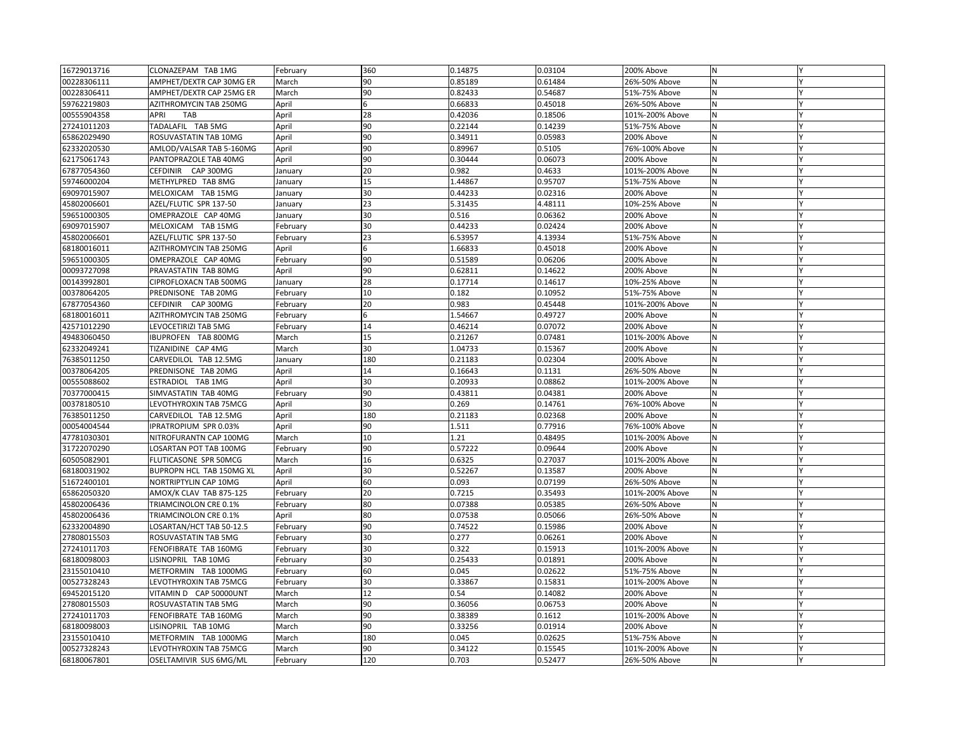| 16729013716 | CLONAZEPAM TAB 1MG       | February | 360 | 0.14875 | 0.03104 | 200% Above      | N         |  |
|-------------|--------------------------|----------|-----|---------|---------|-----------------|-----------|--|
| 00228306111 | AMPHET/DEXTR CAP 30MG ER | March    | 90  | 0.85189 | 0.61484 | 26%-50% Above   | N         |  |
| 00228306411 | AMPHET/DEXTR CAP 25MG ER | March    | 90  | 0.82433 | 0.54687 | 51%-75% Above   | N         |  |
| 59762219803 | AZITHROMYCIN TAB 250MG   | April    |     | 0.66833 | 0.45018 | 26%-50% Above   |           |  |
| 00555904358 | APRI<br>TAB              | April    | 28  | 0.42036 | 0.18506 | 101%-200% Above | N         |  |
| 27241011203 | TADALAFIL TAB 5MG        | April    | 90  | 0.22144 | 0.14239 | 51%-75% Above   | N         |  |
| 65862029490 | ROSUVASTATIN TAB 10MG    | April    | 90  | 0.34911 | 0.05983 | 200% Above      | N         |  |
| 62332020530 | AMLOD/VALSAR TAB 5-160MG | April    | 90  | 0.89967 | 0.5105  | 76%-100% Above  | N         |  |
| 62175061743 | PANTOPRAZOLE TAB 40MG    | April    | 90  | 0.30444 | 0.06073 | 200% Above      | N         |  |
| 67877054360 | CEFDINIR CAP 300MG       | January  | 20  | 0.982   | 0.4633  | 101%-200% Above | N         |  |
| 59746000204 | METHYLPRED TAB 8MG       | January  | 15  | 1.44867 | 0.95707 | 51%-75% Above   | Ν         |  |
| 69097015907 | MELOXICAM TAB 15MG       | January  | 30  | 0.44233 | 0.02316 | 200% Above      | N         |  |
| 45802006601 | AZEL/FLUTIC SPR 137-50   | January  | 23  | 5.31435 | 4.48111 | 10%-25% Above   | N         |  |
| 59651000305 | OMEPRAZOLE CAP 40MG      | January  | 30  | 0.516   | 0.06362 | 200% Above      | N         |  |
| 69097015907 | MELOXICAM TAB 15MG       | February | 30  | 0.44233 | 0.02424 | 200% Above      | N         |  |
| 45802006601 | AZEL/FLUTIC SPR 137-50   | February | 23  | 6.53957 | 4.13934 | 51%-75% Above   | N         |  |
| 68180016011 | AZITHROMYCIN TAB 250MG   | April    |     | 1.66833 | 0.45018 | 200% Above      |           |  |
| 59651000305 | OMEPRAZOLE CAP 40MG      | February | 90  | 0.51589 | 0.06206 | 200% Above      | N         |  |
| 00093727098 | PRAVASTATIN TAB 80MG     | April    | 90  | 0.62811 | 0.14622 | 200% Above      | N         |  |
| 00143992801 | CIPROFLOXACN TAB 500MG   | January  | 28  | 0.17714 | 0.14617 | 10%-25% Above   | N         |  |
| 00378064205 | PREDNISONE TAB 20MG      | February | 10  | 0.182   | 0.10952 | 51%-75% Above   |           |  |
| 67877054360 | CAP 300MG<br>CEFDINIR    | February | 20  | 0.983   | 0.45448 | 101%-200% Above | N         |  |
| 68180016011 | AZITHROMYCIN TAB 250MG   | February |     | 1.54667 | 0.49727 | 200% Above      | N         |  |
| 42571012290 | LEVOCETIRIZI TAB 5MG     | February | 14  | 0.46214 | 0.07072 | 200% Above      | N         |  |
| 49483060450 | BUPROFEN TAB 800MG       | March    | 15  | 0.21267 | 0.07481 | 101%-200% Above | N         |  |
| 62332049241 | TIZANIDINE CAP 4MG       | March    | 30  | 1.04733 | 0.15367 | 200% Above      | N         |  |
| 76385011250 | CARVEDILOL TAB 12.5MG    | January  | 180 | 0.21183 | 0.02304 | 200% Above      | N         |  |
| 00378064205 | PREDNISONE TAB 20MG      | April    | 14  | 0.16643 | 0.1131  | 26%-50% Above   | ${\sf N}$ |  |
| 00555088602 | ESTRADIOL TAB 1MG        | April    | 30  | 0.20933 | 0.08862 | 101%-200% Above | N         |  |
| 70377000415 | SIMVASTATIN TAB 40MG     | February | 90  | 0.43811 | 0.04381 | 200% Above      | N         |  |
| 00378180510 | LEVOTHYROXIN TAB 75MCG   | April    | 30  | 0.269   | 0.14761 | 76%-100% Above  | N         |  |
| 76385011250 | CARVEDILOL TAB 12.5MG    | April    | 180 | 0.21183 | 0.02368 | 200% Above      | N         |  |
| 00054004544 | IPRATROPIUM SPR 0.03%    | April    | 90  | 1.511   | 0.77916 | 76%-100% Above  | N         |  |
| 47781030301 | NITROFURANTN CAP 100MG   | March    | 10  | 1.21    | 0.48495 | 101%-200% Above | N         |  |
| 31722070290 | LOSARTAN POT TAB 100MG   | February | 90  | 0.57222 | 0.09644 | 200% Above      | N         |  |
| 60505082901 | FLUTICASONE SPR 50MCG    | March    | 16  | 0.6325  | 0.27037 | 101%-200% Above | N         |  |
| 68180031902 | BUPROPN HCL TAB 150MG XL | April    | 30  | 0.52267 | 0.13587 | 200% Above      | N         |  |
| 51672400101 | NORTRIPTYLIN CAP 10MG    | April    | 60  | 0.093   | 0.07199 | 26%-50% Above   |           |  |
| 65862050320 | AMOX/K CLAV TAB 875-125  | February | 20  | 0.7215  | 0.35493 | 101%-200% Above | N         |  |
| 45802006436 | TRIAMCINOLON CRE 0.1%    | February | 80  | 0.07388 | 0.05385 | 26%-50% Above   | N         |  |
| 45802006436 | TRIAMCINOLON CRE 0.1%    | April    | 80  | 0.07538 | 0.05066 | 26%-50% Above   | N         |  |
| 62332004890 | LOSARTAN/HCT TAB 50-12.5 | February | 90  | 0.74522 | 0.15986 | 200% Above      | N         |  |
| 27808015503 | ROSUVASTATIN TAB 5MG     | February | 30  | 0.277   | 0.06261 | 200% Above      | N         |  |
| 27241011703 | FENOFIBRATE TAB 160MG    | February | 30  | 0.322   | 0.15913 | 101%-200% Above | N         |  |
| 68180098003 | LISINOPRIL TAB 10MG      | February | 30  | 0.25433 | 0.01891 | 200% Above      | N         |  |
| 23155010410 | METFORMIN TAB 1000MG     | February | 60  | 0.045   | 0.02622 | 51%-75% Above   | N         |  |
| 00527328243 | LEVOTHYROXIN TAB 75MCG   | February | 30  | 0.33867 | 0.15831 | 101%-200% Above | N         |  |
| 69452015120 | VITAMIN D CAP 50000UNT   | March    | 12  | 0.54    | 0.14082 | 200% Above      | N         |  |
| 27808015503 | ROSUVASTATIN TAB 5MG     | March    | 90  | 0.36056 | 0.06753 | 200% Above      | N         |  |
| 27241011703 | FENOFIBRATE TAB 160MG    | March    | 90  | 0.38389 | 0.1612  | 101%-200% Above | N         |  |
| 68180098003 | LISINOPRIL TAB 10MG      | March    | 90  | 0.33256 | 0.01914 | 200% Above      |           |  |
| 23155010410 | METFORMIN TAB 1000MG     | March    | 180 | 0.045   | 0.02625 | 51%-75% Above   | N         |  |
| 00527328243 | LEVOTHYROXIN TAB 75MCG   | March    | 90  | 0.34122 | 0.15545 | 101%-200% Above | N         |  |
| 68180067801 | OSELTAMIVIR SUS 6MG/ML   | February | 120 | 0.703   | 0.52477 | 26%-50% Above   | N         |  |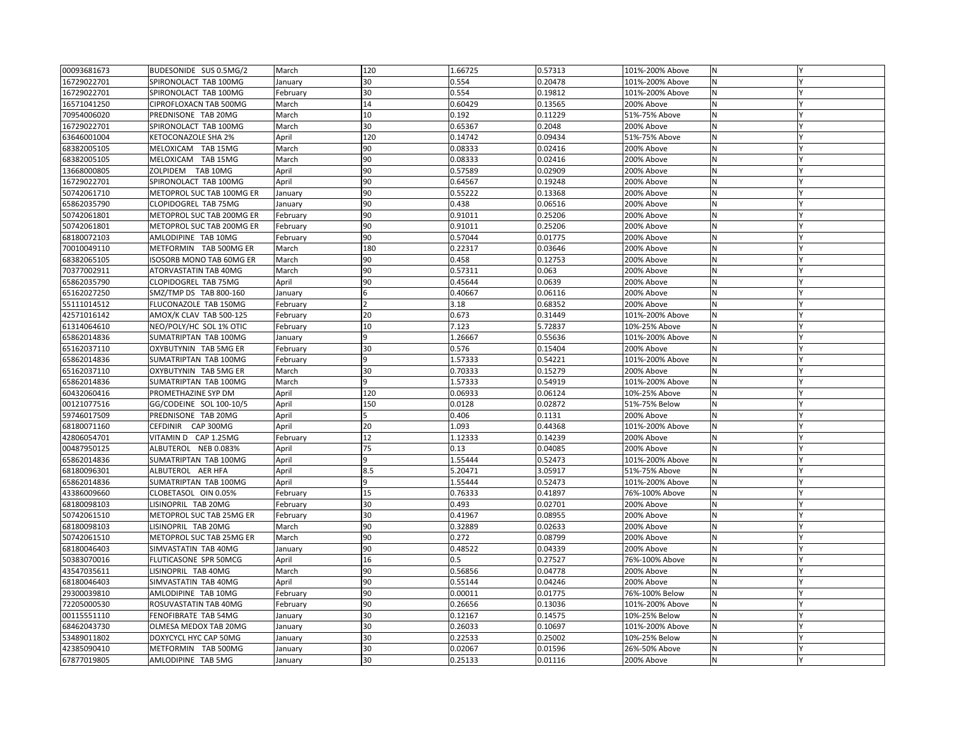| 00093681673 | BUDESONIDE SUS 0.5MG/2       | March    | 120 | 1.66725 | 0.57313 | 101%-200% Above | N |  |
|-------------|------------------------------|----------|-----|---------|---------|-----------------|---|--|
| 16729022701 | SPIRONOLACT TAB 100MG        | January  | 30  | 0.554   | 0.20478 | 101%-200% Above | N |  |
| 16729022701 | SPIRONOLACT TAB 100MG        | February | 30  | 0.554   | 0.19812 | 101%-200% Above | N |  |
| 16571041250 | CIPROFLOXACN TAB 500MG       | March    | 14  | 0.60429 | 0.13565 | 200% Above      | N |  |
| 70954006020 | PREDNISONE TAB 20MG          | March    | 10  | 0.192   | 0.11229 | 51%-75% Above   | N |  |
| 16729022701 | SPIRONOLACT TAB 100MG        | March    | 30  | 0.65367 | 0.2048  | 200% Above      | N |  |
| 63646001004 | KETOCONAZOLE SHA 2%          | April    | 120 | 0.14742 | 0.09434 | 51%-75% Above   | N |  |
| 68382005105 | MELOXICAM TAB 15MG           | March    | 90  | 0.08333 | 0.02416 | 200% Above      | N |  |
| 68382005105 | MELOXICAM<br>TAB 15MG        | March    | 90  | 0.08333 | 0.02416 | 200% Above      | N |  |
| 13668000805 | ZOLPIDEM<br>TAB 10MG         | April    | 90  | 0.57589 | 0.02909 | 200% Above      | N |  |
| 16729022701 | SPIRONOLACT TAB 100MG        | April    | 90  | 0.64567 | 0.19248 | 200% Above      | N |  |
| 50742061710 | METOPROL SUC TAB 100MG ER    | January  | 90  | 0.55222 | 0.13368 | 200% Above      | N |  |
| 65862035790 | CLOPIDOGREL TAB 75MG         | January  | 90  | 0.438   | 0.06516 | 200% Above      | N |  |
| 50742061801 | METOPROL SUC TAB 200MG ER    | February | 90  | 0.91011 | 0.25206 | 200% Above      | N |  |
| 50742061801 | METOPROL SUC TAB 200MG ER    | February | 90  | 0.91011 | 0.25206 | 200% Above      | N |  |
| 68180072103 | AMLODIPINE TAB 10MG          | February | 90  | 0.57044 | 0.01775 | 200% Above      | N |  |
| 70010049110 | METFORMIN TAB 500MG ER       | March    | 180 | 0.22317 | 0.03646 | 200% Above      | N |  |
| 68382065105 | ISOSORB MONO TAB 60MG ER     | March    | 90  | 0.458   | 0.12753 | 200% Above      | N |  |
| 70377002911 | <b>ATORVASTATIN TAB 40MG</b> | March    | 90  | 0.57311 | 0.063   | 200% Above      | N |  |
| 65862035790 | CLOPIDOGREL TAB 75MG         | April    | 90  | 0.45644 | 0.0639  | 200% Above      | N |  |
| 65162027250 | SMZ/TMP DS TAB 800-160       | January  |     | 0.40667 | 0.06116 | 200% Above      |   |  |
| 55111014512 | FLUCONAZOLE TAB 150MG        | February |     | 3.18    | 0.68352 | 200% Above      | N |  |
| 42571016142 | AMOX/K CLAV TAB 500-125      | February | 20  | 0.673   | 0.31449 | 101%-200% Above | Ν |  |
| 61314064610 | NEO/POLY/HC SOL 1% OTIC      | February | 10  | 7.123   | 5.72837 | 10%-25% Above   | N |  |
| 65862014836 | SUMATRIPTAN TAB 100MG        | January  |     | 1.26667 | 0.55636 | 101%-200% Above | N |  |
| 65162037110 | OXYBUTYNIN TAB 5MG ER        | February | 30  | 0.576   | 0.15404 | 200% Above      | N |  |
| 65862014836 | SUMATRIPTAN TAB 100MG        | February | q   | 1.57333 | 0.54221 | 101%-200% Above | N |  |
| 65162037110 | OXYBUTYNIN TAB 5MG ER        | March    | 30  | 0.70333 | 0.15279 | 200% Above      | N |  |
| 65862014836 | SUMATRIPTAN TAB 100MG        | March    | q   | 1.57333 | 0.54919 | 101%-200% Above | N |  |
| 60432060416 | PROMETHAZINE SYP DM          | April    | 120 | 0.06933 | 0.06124 | 10%-25% Above   | N |  |
| 00121077516 | GG/CODEINE SOL 100-10/5      | April    | 150 | 0.0128  | 0.02872 | 51%-75% Below   | N |  |
| 59746017509 | PREDNISONE TAB 20MG          | April    |     | 0.406   | 0.1131  | 200% Above      |   |  |
| 68180071160 | <b>CEFDINIR</b><br>CAP 300MG | April    | 20  | 1.093   | 0.44368 | 101%-200% Above | N |  |
| 42806054701 | VITAMIN D CAP 1.25MG         | February | 12  | 1.12333 | 0.14239 | 200% Above      | N |  |
| 00487950125 | ALBUTEROL NEB 0.083%         | April    | 75  | 0.13    | 0.04085 | 200% Above      | N |  |
| 65862014836 | SUMATRIPTAN TAB 100MG        | April    | q   | 1.55444 | 0.52473 | 101%-200% Above | N |  |
| 68180096301 | ALBUTEROL AER HFA            | April    | 8.5 | 5.20471 | 3.05917 | 51%-75% Above   | N |  |
| 65862014836 | SUMATRIPTAN TAB 100MG        | April    | Q   | 1.55444 | 0.52473 | 101%-200% Above | N |  |
| 43386009660 | CLOBETASOL OIN 0.05%         | February | 15  | 0.76333 | 0.41897 | 76%-100% Above  | N |  |
| 68180098103 | LISINOPRIL TAB 20MG          | February | 30  | 0.493   | 0.02701 | 200% Above      |   |  |
| 50742061510 | METOPROL SUC TAB 25MG ER     | February | 30  | 0.41967 | 0.08955 | 200% Above      | N |  |
| 68180098103 | LISINOPRIL TAB 20MG          | March    | 90  | 0.32889 | 0.02633 | 200% Above      | N |  |
| 50742061510 | METOPROL SUC TAB 25MG ER     | March    | 90  | 0.272   | 0.08799 | 200% Above      | N |  |
| 68180046403 | SIMVASTATIN TAB 40MG         | January  | 90  | 0.48522 | 0.04339 | 200% Above      | N |  |
| 50383070016 | FLUTICASONE SPR 50MCG        | April    | 16  | 0.5     | 0.27527 | 76%-100% Above  | N |  |
| 43547035611 | LISINOPRIL TAB 40MG          | March    | 90  | 0.56856 | 0.04778 | 200% Above      |   |  |
| 68180046403 | SIMVASTATIN TAB 40MG         | April    | 90  | 0.55144 | 0.04246 | 200% Above      | N |  |
| 29300039810 | AMLODIPINE TAB 10MG          | February | 90  | 0.00011 | 0.01775 | 76%-100% Below  | Ν |  |
| 72205000530 | ROSUVASTATIN TAB 40MG        | February | 90  | 0.26656 | 0.13036 | 101%-200% Above | N |  |
| 00115551110 | FENOFIBRATE TAB 54MG         | January  | 30  | 0.12167 | 0.14575 | 10%-25% Below   | N |  |
| 68462043730 | OLMESA MEDOX TAB 20MG        | January  | 30  | 0.26033 | 0.10697 | 101%-200% Above | N |  |
| 53489011802 | DOXYCYCL HYC CAP 50MG        | January  | 30  | 0.22533 | 0.25002 | 10%-25% Below   | N |  |
| 42385090410 | METFORMIN TAB 500MG          | January  | 30  | 0.02067 | 0.01596 | 26%-50% Above   | N |  |
| 67877019805 | AMLODIPINE TAB 5MG           | January  | 30  | 0.25133 | 0.01116 | 200% Above      | N |  |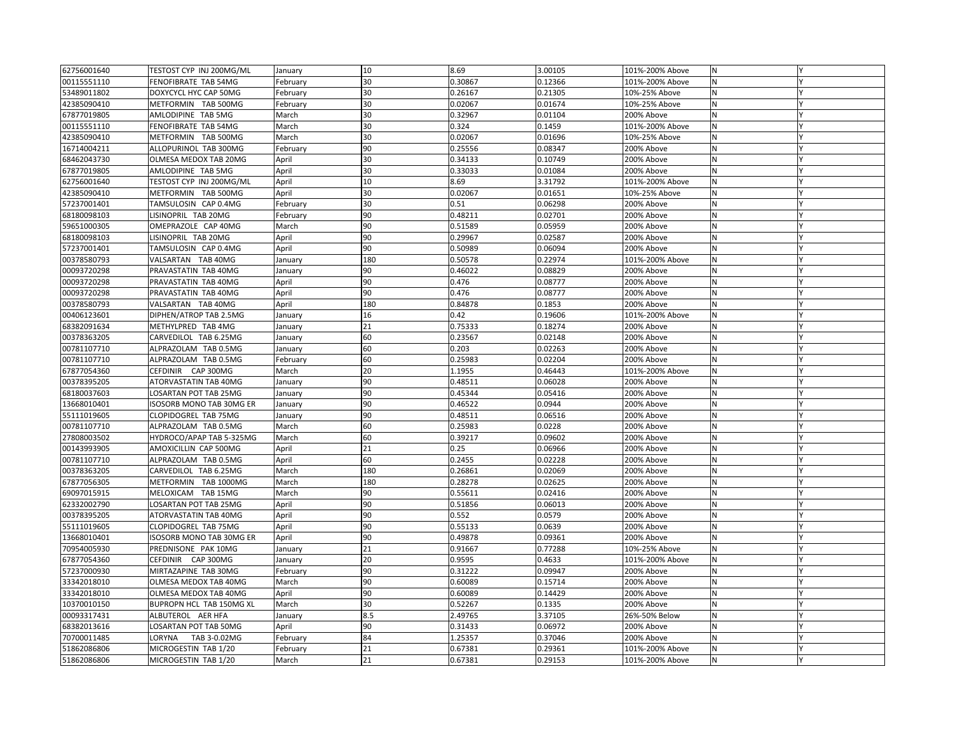| 62756001640 | TESTOST CYP INJ 200MG/ML        | January  | 10  | 8.69    | 3.00105 | 101%-200% Above | IN. |  |
|-------------|---------------------------------|----------|-----|---------|---------|-----------------|-----|--|
| 00115551110 | FENOFIBRATE TAB 54MG            | February | 30  | 0.30867 | 0.12366 | 101%-200% Above | N   |  |
| 53489011802 | DOXYCYCL HYC CAP 50MG           | February | 30  | 0.26167 | 0.21305 | 10%-25% Above   | N   |  |
| 42385090410 | METFORMIN TAB 500MG             | February | 30  | 0.02067 | 0.01674 | 10%-25% Above   |     |  |
| 67877019805 | AMLODIPINE TAB 5MG              | March    | 30  | 0.32967 | 0.01104 | 200% Above      | N   |  |
| 00115551110 | FENOFIBRATE TAB 54MG            | March    | 30  | 0.324   | 0.1459  | 101%-200% Above |     |  |
| 42385090410 | METFORMIN TAB 500MG             | March    | 30  | 0.02067 | 0.01696 | 10%-25% Above   | N   |  |
| 16714004211 | ALLOPURINOL TAB 300MG           | February | 90  | 0.25556 | 0.08347 | 200% Above      |     |  |
| 68462043730 | OLMESA MEDOX TAB 20MG           | April    | 30  | 0.34133 | 0.10749 | 200% Above      | N   |  |
| 67877019805 | AMLODIPINE TAB 5MG              | April    | 30  | 0.33033 | 0.01084 | 200% Above      | N   |  |
| 62756001640 | TESTOST CYP INJ 200MG/ML        | April    | 10  | 8.69    | 3.31792 | 101%-200% Above | N   |  |
| 42385090410 | METFORMIN TAB 500MG             | April    | 30  | 0.02067 | 0.01651 | 10%-25% Above   | N   |  |
| 57237001401 | TAMSULOSIN CAP 0.4MG            | February | 30  | 0.51    | 0.06298 | 200% Above      | N   |  |
| 68180098103 | LISINOPRIL TAB 20MG             | February | 90  | 0.48211 | 0.02701 | 200% Above      | N   |  |
| 59651000305 | OMEPRAZOLE CAP 40MG             | March    | 90  | 0.51589 | 0.05959 | 200% Above      | N   |  |
| 68180098103 | LISINOPRIL TAB 20MG             | April    | 90  | 0.29967 | 0.02587 | 200% Above      | N   |  |
| 57237001401 | TAMSULOSIN CAP 0.4MG            | April    | 90  | 0.50989 | 0.06094 | 200% Above      | N   |  |
| 00378580793 | VALSARTAN TAB 40MG              | January  | 180 | 0.50578 | 0.22974 | 101%-200% Above | N   |  |
| 00093720298 | PRAVASTATIN TAB 40MG            | January  | 90  | 0.46022 | 0.08829 | 200% Above      | N   |  |
| 00093720298 | PRAVASTATIN TAB 40MG            | April    | 90  | 0.476   | 0.08777 | 200% Above      | N   |  |
| 00093720298 | PRAVASTATIN TAB 40MG            | April    | 90  | 0.476   | 0.08777 | 200% Above      | N   |  |
| 00378580793 | VALSARTAN TAB 40MG              | April    | 180 | 0.84878 | 0.1853  | 200% Above      | N   |  |
| 00406123601 | DIPHEN/ATROP TAB 2.5MG          | January  | 16  | 0.42    | 0.19606 | 101%-200% Above | N   |  |
| 68382091634 | METHYLPRED TAB 4MG              | January  | 21  | 0.75333 | 0.18274 | 200% Above      | N   |  |
| 00378363205 | CARVEDILOL TAB 6.25MG           | January  | 60  | 0.23567 | 0.02148 | 200% Above      | N   |  |
| 00781107710 | ALPRAZOLAM TAB 0.5MG            | January  | 60  | 0.203   | 0.02263 | 200% Above      | N   |  |
| 00781107710 | ALPRAZOLAM TAB 0.5MG            | February | 60  | 0.25983 | 0.02204 | 200% Above      | N   |  |
| 67877054360 | CEFDINIR CAP 300MG              | March    | 20  | 1.1955  | 0.46443 | 101%-200% Above | N   |  |
| 00378395205 | ATORVASTATIN TAB 40MG           | January  | 90  | 0.48511 | 0.06028 | 200% Above      | N   |  |
| 68180037603 | LOSARTAN POT TAB 25MG           | January  | 90  | 0.45344 | 0.05416 | 200% Above      | N   |  |
| 13668010401 | <b>ISOSORB MONO TAB 30MG ER</b> | January  | 90  | 0.46522 | 0.0944  | 200% Above      | N   |  |
| 55111019605 | CLOPIDOGREL TAB 75MG            | January  | 90  | 0.48511 | 0.06516 | 200% Above      | N   |  |
| 00781107710 | ALPRAZOLAM TAB 0.5MG            | March    | 60  | 0.25983 | 0.0228  | 200% Above      | N   |  |
| 27808003502 | HYDROCO/APAP TAB 5-325MG        | March    | 60  | 0.39217 | 0.09602 | 200% Above      | N   |  |
| 00143993905 | AMOXICILLIN CAP 500MG           | April    | 21  | 0.25    | 0.06966 | 200% Above      | N   |  |
| 00781107710 | ALPRAZOLAM TAB 0.5MG            | April    | 60  | 0.2455  | 0.02228 | 200% Above      | N   |  |
| 00378363205 | CARVEDILOL TAB 6.25MG           | March    | 180 | 0.26861 | 0.02069 | 200% Above      | N   |  |
| 67877056305 | METFORMIN TAB 1000MG            | March    | 180 | 0.28278 | 0.02625 | 200% Above      | N   |  |
| 69097015915 | MELOXICAM TAB 15MG              | March    | 90  | 0.55611 | 0.02416 | 200% Above      | N   |  |
| 62332002790 | LOSARTAN POT TAB 25MG           | April    | 90  | 0.51856 | 0.06013 | 200% Above      | N   |  |
| 00378395205 | ATORVASTATIN TAB 40MG           | April    | 90  | 0.552   | 0.0579  | 200% Above      | N   |  |
| 55111019605 | CLOPIDOGREL TAB 75MG            | April    | 90  | 0.55133 | 0.0639  | 200% Above      | N   |  |
| 13668010401 | ISOSORB MONO TAB 30MG ER        | April    | 90  | 0.49878 | 0.09361 | 200% Above      | N   |  |
| 70954005930 | PREDNISONE PAK 10MG             | January  | 21  | 0.91667 | 0.77288 | 10%-25% Above   | Ν   |  |
| 67877054360 | CEFDINIR CAP 300MG              | January  | 20  | 0.9595  | 0.4633  | 101%-200% Above |     |  |
| 57237000930 | MIRTAZAPINE TAB 30MG            | February | 90  | 0.31222 | 0.09947 | 200% Above      |     |  |
| 33342018010 | OLMESA MEDOX TAB 40MG           | March    | 90  | 0.60089 | 0.15714 | 200% Above      | N   |  |
| 33342018010 | OLMESA MEDOX TAB 40MG           | April    | 90  | 0.60089 | 0.14429 | 200% Above      | Ν   |  |
| 10370010150 | BUPROPN HCL TAB 150MG XL        | March    | 30  | 0.52267 | 0.1335  | 200% Above      | N   |  |
| 00093317431 | ALBUTEROL AER HFA               | January  | 8.5 | 2.49765 | 3.37105 | 26%-50% Below   | N   |  |
| 68382013616 | LOSARTAN POT TAB 50MG           | April    | 90  | 0.31433 | 0.06972 | 200% Above      | N   |  |
| 70700011485 | ORYNA.<br>TAB 3-0.02MG          | February | 84  | 1.25357 | 0.37046 | 200% Above      | N   |  |
| 51862086806 | MICROGESTIN TAB 1/20            | February | 21  | 0.67381 | 0.29361 | 101%-200% Above | N   |  |
| 51862086806 | MICROGESTIN TAB 1/20            | March    | 21  | 0.67381 | 0.29153 | 101%-200% Above | N   |  |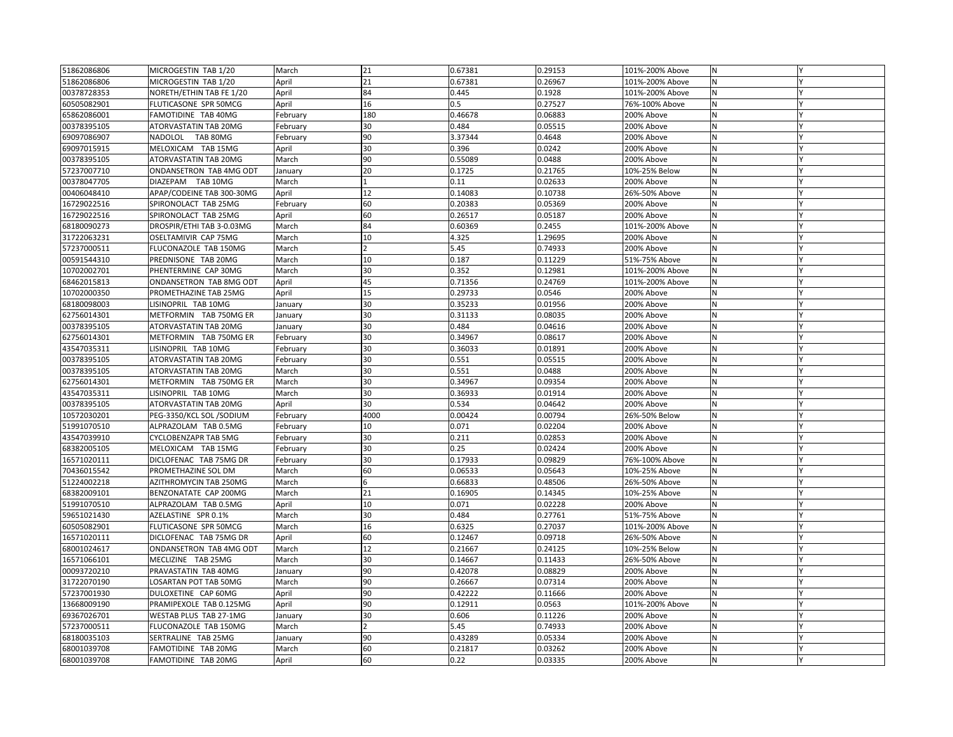| 51862086806 | MICROGESTIN TAB 1/20         | March    | 21   | 0.67381 | 0.29153 | 101%-200% Above | N |  |
|-------------|------------------------------|----------|------|---------|---------|-----------------|---|--|
| 51862086806 | MICROGESTIN TAB 1/20         | April    | 21   | 0.67381 | 0.26967 | 101%-200% Above | N |  |
| 00378728353 | NORETH/ETHIN TAB FE 1/20     | April    | 84   | 0.445   | 0.1928  | 101%-200% Above | N |  |
| 60505082901 | FLUTICASONE SPR 50MCG        | April    | 16   | 0.5     | 0.27527 | 76%-100% Above  | N |  |
| 65862086001 | FAMOTIDINE TAB 40MG          | February | 180  | 0.46678 | 0.06883 | 200% Above      | N |  |
| 00378395105 | ATORVASTATIN TAB 20MG        | February | 30   | 0.484   | 0.05515 | 200% Above      | N |  |
| 69097086907 | NADOLOL<br>TAB 80MG          | February | 90   | 3.37344 | 0.4648  | 200% Above      | N |  |
| 69097015915 | MELOXICAM TAB 15MG           | April    | 30   | 0.396   | 0.0242  | 200% Above      | N |  |
| 00378395105 | ATORVASTATIN TAB 20MG        | March    | 90   | 0.55089 | 0.0488  | 200% Above      | N |  |
| 57237007710 | ONDANSETRON TAB 4MG ODT      | January  | 20   | 0.1725  | 0.21765 | 10%-25% Below   | N |  |
| 00378047705 | DIAZEPAM TAB 10MG            | March    |      | 0.11    | 0.02633 | 200% Above      | N |  |
| 00406048410 | APAP/CODEINE TAB 300-30MG    | April    | 12   | 0.14083 | 0.10738 | 26%-50% Above   | N |  |
| 16729022516 | SPIRONOLACT TAB 25MG         | February | 60   | 0.20383 | 0.05369 | 200% Above      | N |  |
| 16729022516 | SPIRONOLACT TAB 25MG         | April    | 60   | 0.26517 | 0.05187 | 200% Above      | N |  |
| 68180090273 | DROSPIR/ETHI TAB 3-0.03MG    | March    | 84   | 0.60369 | 0.2455  | 101%-200% Above | N |  |
| 31722063231 | OSELTAMIVIR CAP 75MG         | March    | 10   | 4.325   | 1.29695 | 200% Above      | N |  |
| 57237000511 | FLUCONAZOLE TAB 150MG        | March    |      | 5.45    | 0.74933 | 200% Above      |   |  |
| 00591544310 | PREDNISONE TAB 20MG          | March    | 10   | 0.187   | 0.11229 | 51%-75% Above   | N |  |
| 10702002701 | PHENTERMINE CAP 30MG         | March    | 30   | 0.352   | 0.12981 | 101%-200% Above | N |  |
| 68462015813 | ONDANSETRON TAB 8MG ODT      | April    | 45   | 0.71356 | 0.24769 | 101%-200% Above | N |  |
| 10702000350 | PROMETHAZINE TAB 25MG        | April    | 15   | 0.29733 | 0.0546  | 200% Above      | N |  |
| 68180098003 | LISINOPRIL TAB 10MG          | January  | 30   | 0.35233 | 0.01956 | 200% Above      | N |  |
| 62756014301 | METFORMIN TAB 750MG ER       | January  | 30   | 0.31133 | 0.08035 | 200% Above      | N |  |
| 00378395105 | ATORVASTATIN TAB 20MG        | January  | 30   | 0.484   | 0.04616 | 200% Above      | N |  |
| 62756014301 | METFORMIN TAB 750MG ER       | February | 30   | 0.34967 | 0.08617 | 200% Above      | N |  |
| 43547035311 | LISINOPRIL TAB 10MG          | February | 30   | 0.36033 | 0.01891 | 200% Above      | N |  |
| 00378395105 | ATORVASTATIN TAB 20MG        | February | 30   | 0.551   | 0.05515 | 200% Above      | N |  |
| 00378395105 | ATORVASTATIN TAB 20MG        | March    | 30   | 0.551   | 0.0488  | 200% Above      | N |  |
| 62756014301 | METFORMIN TAB 750MG ER       | March    | 30   | 0.34967 | 0.09354 | 200% Above      | N |  |
| 43547035311 | LISINOPRIL TAB 10MG          | March    | 30   | 0.36933 | 0.01914 | 200% Above      | N |  |
| 00378395105 | ATORVASTATIN TAB 20MG        | April    | 30   | 0.534   | 0.04642 | 200% Above      | N |  |
| 10572030201 | PEG-3350/KCL SOL /SODIUM     | February | 4000 | 0.00424 | 0.00794 | 26%-50% Below   | N |  |
| 51991070510 | ALPRAZOLAM TAB 0.5MG         | February | 10   | 0.071   | 0.02204 | 200% Above      | N |  |
| 43547039910 | CYCLOBENZAPR TAB 5MG         | February | 30   | 0.211   | 0.02853 | 200% Above      | N |  |
| 68382005105 | MELOXICAM TAB 15MG           | February | 30   | 0.25    | 0.02424 | 200% Above      | N |  |
| 16571020111 | DICLOFENAC TAB 75MG DR       | February | 30   | 0.17933 | 0.09829 | 76%-100% Above  | N |  |
| 70436015542 | PROMETHAZINE SOL DM          | March    | 60   | 0.06533 | 0.05643 | 10%-25% Above   |   |  |
| 51224002218 | AZITHROMYCIN TAB 250MG       | March    |      | 0.66833 | 0.48506 | 26%-50% Above   | N |  |
| 68382009101 | BENZONATATE CAP 200MG        | March    | 21   | 0.16905 | 0.14345 | 10%-25% Above   | N |  |
| 51991070510 | ALPRAZOLAM TAB 0.5MG         | April    | 10   | 0.071   | 0.02228 | 200% Above      | N |  |
| 59651021430 | AZELASTINE SPR 0.1%          | March    | 30   | 0.484   | 0.27761 | 51%-75% Above   | N |  |
| 60505082901 | FLUTICASONE SPR 50MCG        | March    | 16   | 0.6325  | 0.27037 | 101%-200% Above | N |  |
| 16571020111 | DICLOFENAC TAB 75MG DR       | April    | 60   | 0.12467 | 0.09718 | 26%-50% Above   | N |  |
| 68001024617 | ONDANSETRON TAB 4MG ODT      | March    | 12   | 0.21667 | 0.24125 | 10%-25% Below   | N |  |
| 16571066101 | MECLIZINE TAB 25MG           | March    | 30   | 0.14667 | 0.11433 | 26%-50% Above   | N |  |
| 00093720210 | PRAVASTATIN TAB 40MG         | January  | 90   | 0.42078 | 0.08829 | 200% Above      | N |  |
| 31722070190 | <b>LOSARTAN POT TAB 50MG</b> | March    | 90   | 0.26667 | 0.07314 | 200% Above      | N |  |
| 57237001930 | DULOXETINE CAP 60MG          | April    | 90   | 0.42222 | 0.11666 | 200% Above      | N |  |
| 13668009190 | PRAMIPEXOLE TAB 0.125MG      | April    | 90   | 0.12911 | 0.0563  | 101%-200% Above | N |  |
| 69367026701 | WESTAB PLUS TAB 27-1MG       | January  | 30   | 0.606   | 0.11226 | 200% Above      | N |  |
| 57237000511 | FLUCONAZOLE TAB 150MG        | March    |      | 5.45    | 0.74933 | 200% Above      | N |  |
| 68180035103 | SERTRALINE TAB 25MG          | January  | 90   | 0.43289 | 0.05334 | 200% Above      | N |  |
| 68001039708 | FAMOTIDINE TAB 20MG          | March    | 60   | 0.21817 | 0.03262 | 200% Above      | N |  |
| 68001039708 | <b>FAMOTIDINE TAB 20MG</b>   | April    | 60   | 0.22    | 0.03335 | 200% Above      | N |  |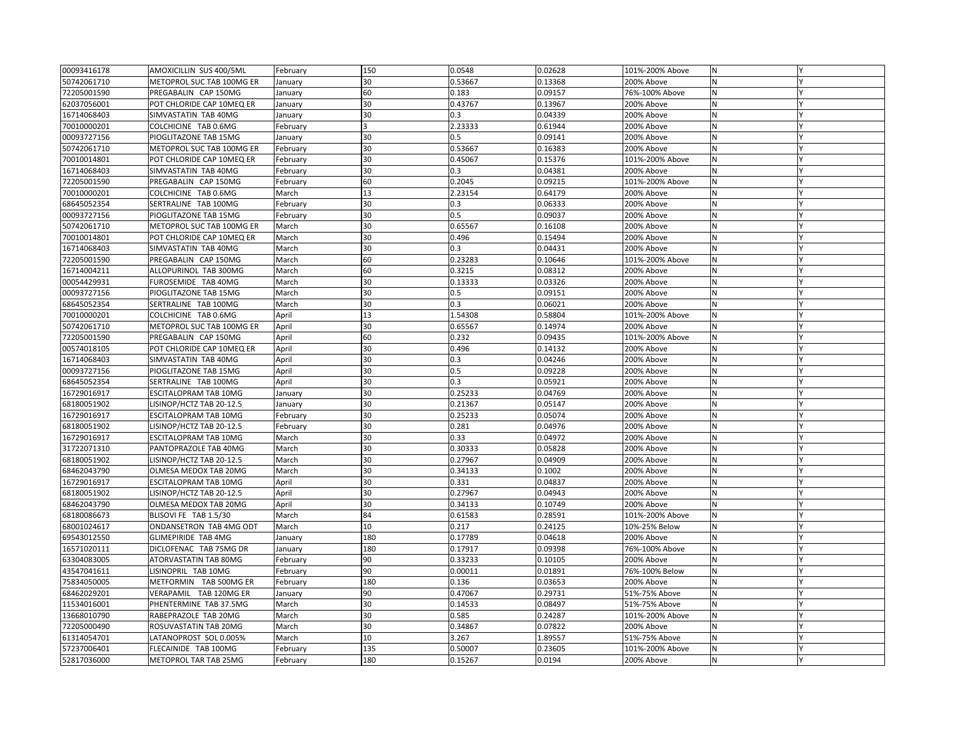| 00093416178 | AMOXICILLIN SUS 400/5ML   | February | 150 | 0.0548  | 0.02628 | 101%-200% Above | IN.    |  |
|-------------|---------------------------|----------|-----|---------|---------|-----------------|--------|--|
| 50742061710 | METOPROL SUC TAB 100MG ER | January  | 30  | 0.53667 | 0.13368 | 200% Above      | N      |  |
| 72205001590 | PREGABALIN CAP 150MG      | January  | 60  | 0.183   | 0.09157 | 76%-100% Above  | N      |  |
| 62037056001 | POT CHLORIDE CAP 10MEQ ER | January  | 30  | 0.43767 | 0.13967 | 200% Above      |        |  |
| 16714068403 | SIMVASTATIN TAB 40MG      | January  | 30  | 0.3     | 0.04339 | 200% Above      | N      |  |
| 70010000201 | COLCHICINE TAB 0.6MG      | February |     | 2.23333 | 0.61944 | 200% Above      |        |  |
| 00093727156 | PIOGLITAZONE TAB 15MG     | January  | 30  | 0.5     | 0.09141 | 200% Above      | N      |  |
| 50742061710 | METOPROL SUC TAB 100MG ER | February | 30  | 0.53667 | 0.16383 | 200% Above      |        |  |
| 70010014801 | POT CHLORIDE CAP 10MEQ ER | February | 30  | 0.45067 | 0.15376 | 101%-200% Above | N      |  |
| 16714068403 | SIMVASTATIN TAB 40MG      | February | 30  | 0.3     | 0.04381 | 200% Above      | N      |  |
| 72205001590 | PREGABALIN CAP 150MG      | February | 60  | 0.2045  | 0.09215 | 101%-200% Above | N      |  |
| 70010000201 | COLCHICINE TAB 0.6MG      | March    | 13  | 2.23154 | 0.64179 | 200% Above      | N      |  |
| 68645052354 | SERTRALINE TAB 100MG      | February | 30  | 0.3     | 0.06333 | 200% Above      | N      |  |
| 00093727156 | PIOGLITAZONE TAB 15MG     | February | 30  | 0.5     | 0.09037 | 200% Above      | N      |  |
| 50742061710 | METOPROL SUC TAB 100MG ER | March    | 30  | 0.65567 | 0.16108 | 200% Above      | N      |  |
| 70010014801 | POT CHLORIDE CAP 10MEQ ER | March    | 30  | 0.496   | 0.15494 | 200% Above      | N      |  |
| 16714068403 | SIMVASTATIN TAB 40MG      | March    | 30  | 0.3     | 0.04431 | 200% Above      | N      |  |
| 72205001590 | PREGABALIN CAP 150MG      | March    | 60  | 0.23283 | 0.10646 | 101%-200% Above | N      |  |
| 16714004211 | ALLOPURINOL TAB 300MG     | March    | 60  | 0.3215  | 0.08312 | 200% Above      |        |  |
| 00054429931 | FUROSEMIDE TAB 40MG       | March    | 30  | 0.13333 | 0.03326 | 200% Above      |        |  |
| 00093727156 | PIOGLITAZONE TAB 15MG     | March    | 30  | 0.5     | 0.09151 | 200% Above      |        |  |
| 68645052354 | SERTRALINE TAB 100MG      | March    | 30  | 0.3     | 0.06021 | 200% Above      | N      |  |
| 70010000201 | COLCHICINE TAB 0.6MG      | April    | 13  | 1.54308 | 0.58804 | 101%-200% Above | Ν      |  |
| 50742061710 | METOPROL SUC TAB 100MG ER | April    | 30  | 0.65567 | 0.14974 | 200% Above      | N      |  |
| 72205001590 | PREGABALIN CAP 150MG      | April    | 60  | 0.232   | 0.09435 | 101%-200% Above | N      |  |
| 00574018105 | POT CHLORIDE CAP 10MEQ ER | April    | 30  | 0.496   | 0.14132 | 200% Above      | N      |  |
| 16714068403 | SIMVASTATIN TAB 40MG      | April    | 30  | 0.3     | 0.04246 | 200% Above      | N      |  |
| 00093727156 | PIOGLITAZONE TAB 15MG     | April    | 30  | 0.5     | 0.09228 | 200% Above      | N      |  |
| 68645052354 | SERTRALINE TAB 100MG      | April    | 30  | 0.3     | 0.05921 | 200% Above      | N      |  |
| 16729016917 | ESCITALOPRAM TAB 10MG     | January  | 30  | 0.25233 | 0.04769 | 200% Above      | N      |  |
| 68180051902 | LISINOP/HCTZ TAB 20-12.5  | January  | 30  | 0.21367 | 0.05147 | 200% Above      | N      |  |
| 16729016917 | ESCITALOPRAM TAB 10MG     | February | 30  | 0.25233 | 0.05074 | 200% Above      | N      |  |
| 68180051902 | LISINOP/HCTZ TAB 20-12.5  | February | 30  | 0.281   | 0.04976 | 200% Above      | N      |  |
| 16729016917 | ESCITALOPRAM TAB 10MG     | March    | 30  | 0.33    | 0.04972 | 200% Above      | N      |  |
| 31722071310 | PANTOPRAZOLE TAB 40MG     | March    | 30  | 0.30333 | 0.05828 | 200% Above      | N      |  |
| 68180051902 | LISINOP/HCTZ TAB 20-12.5  | March    | 30  | 0.27967 | 0.04909 | 200% Above      | N      |  |
| 68462043790 | OLMESA MEDOX TAB 20MG     | March    | 30  | 0.34133 | 0.1002  | 200% Above      | N      |  |
| 16729016917 | ESCITALOPRAM TAB 10MG     | April    | 30  | 0.331   | 0.04837 | 200% Above      | N      |  |
| 68180051902 | LISINOP/HCTZ TAB 20-12.5  | April    | 30  | 0.27967 | 0.04943 | 200% Above      | N      |  |
| 68462043790 | OLMESA MEDOX TAB 20MG     | April    | 30  | 0.34133 | 0.10749 | 200% Above      | N      |  |
| 68180086673 | BLISOVI FE TAB 1.5/30     | March    | 84  | 0.61583 | 0.28591 | 101%-200% Above | N      |  |
| 68001024617 | ONDANSETRON TAB 4MG ODT   | March    | 10  | 0.217   | 0.24125 | 10%-25% Below   |        |  |
| 69543012550 | GLIMEPIRIDE TAB 4MG       | January  | 180 | 0.17789 | 0.04618 | 200% Above      | N      |  |
| 16571020111 | DICLOFENAC TAB 75MG DR    | January  | 180 | 0.17917 | 0.09398 | 76%-100% Above  | N      |  |
| 63304083005 | ATORVASTATIN TAB 80MG     | February | 90  | 0.33233 | 0.10105 | 200% Above      |        |  |
| 43547041611 | LISINOPRIL TAB 10MG       | February | 90  | 0.00011 | 0.01891 | 76%-100% Below  | N      |  |
| 75834050005 | METFORMIN TAB 500MG ER    | February | 180 | 0.136   | 0.03653 | 200% Above      | N      |  |
| 68462029201 | VERAPAMIL TAB 120MG ER    | January  | 90  | 0.47067 | 0.29731 | 51%-75% Above   | N      |  |
| 11534016001 | PHENTERMINE TAB 37.5MG    | March    | 30  | 0.14533 | 0.08497 | 51%-75% Above   | N      |  |
| 13668010790 | RABEPRAZOLE TAB 20MG      | March    | 30  | 0.585   | 0.24287 | 101%-200% Above | N<br>N |  |
| 72205000490 | ROSUVASTATIN TAB 20MG     | March    | 30  | 0.34867 | 0.07822 | 200% Above      |        |  |
| 61314054701 | LATANOPROST SOL 0.005%    | March    | 10  | 3.267   | 1.89557 | 51%-75% Above   | N      |  |
| 57237006401 | FLECAINIDE TAB 100MG      | February | 135 | 0.50007 | 0.23605 | 101%-200% Above | N      |  |
| 52817036000 | METOPROL TAR TAB 25MG     | February | 180 | 0.15267 | 0.0194  | 200% Above      | N      |  |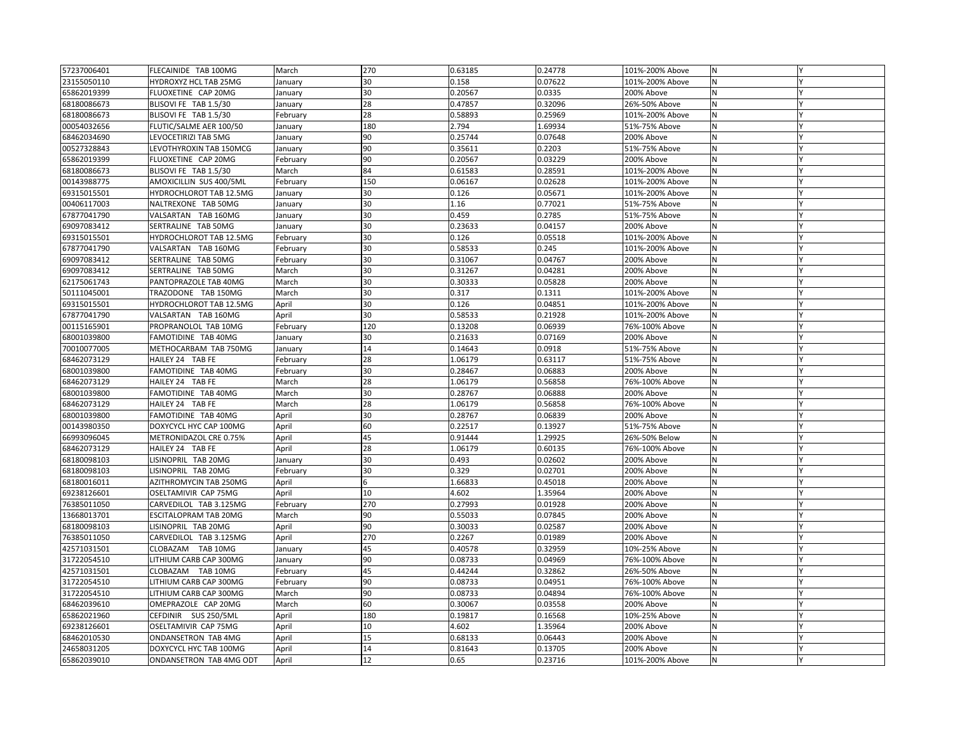| 57237006401 | FLECAINIDE TAB 100MG          | March    | 270 | 0.63185 | 0.24778 | 101%-200% Above | IN. |  |
|-------------|-------------------------------|----------|-----|---------|---------|-----------------|-----|--|
| 23155050110 | <b>HYDROXYZ HCL TAB 25MG</b>  | January  | 30  | 0.158   | 0.07622 | 101%-200% Above | N   |  |
| 65862019399 | FLUOXETINE CAP 20MG           | January  | 30  | 0.20567 | 0.0335  | 200% Above      | N   |  |
| 68180086673 | BLISOVI FE TAB 1.5/30         | January  | 28  | 0.47857 | 0.32096 | 26%-50% Above   |     |  |
| 68180086673 | BLISOVI FE TAB 1.5/30         | February | 28  | 0.58893 | 0.25969 | 101%-200% Above | N   |  |
| 00054032656 | FLUTIC/SALME AER 100/50       | January  | 180 | 2.794   | 1.69934 | 51%-75% Above   |     |  |
| 68462034690 | LEVOCETIRIZI TAB 5MG          | January  | 90  | 0.25744 | 0.07648 | 200% Above      | N   |  |
| 00527328843 | LEVOTHYROXIN TAB 150MCG       | January  | 90  | 0.35611 | 0.2203  | 51%-75% Above   |     |  |
| 65862019399 | FLUOXETINE CAP 20MG           | February | 90  | 0.20567 | 0.03229 | 200% Above      | N   |  |
| 68180086673 | BLISOVI FE TAB 1.5/30         | March    | 84  | 0.61583 | 0.28591 | 101%-200% Above | N   |  |
| 00143988775 | AMOXICILLIN SUS 400/5ML       | February | 150 | 0.06167 | 0.02628 | 101%-200% Above | N   |  |
| 69315015501 | HYDROCHLOROT TAB 12.5MG       | January  | 30  | 0.126   | 0.05671 | 101%-200% Above | N   |  |
| 00406117003 | NALTREXONE TAB 50MG           | January  | 30  | 1.16    | 0.77021 | 51%-75% Above   | N   |  |
| 67877041790 | VALSARTAN TAB 160MG           | January  | 30  | 0.459   | 0.2785  | 51%-75% Above   | N   |  |
| 69097083412 | SERTRALINE TAB 50MG           | January  | 30  | 0.23633 | 0.04157 | 200% Above      | N   |  |
| 69315015501 | HYDROCHLOROT TAB 12.5MG       | February | 30  | 0.126   | 0.05518 | 101%-200% Above | N   |  |
| 67877041790 | VALSARTAN<br><b>TAB 160MG</b> | February | 30  | 0.58533 | 0.245   | 101%-200% Above | N   |  |
| 69097083412 | SERTRALINE TAB 50MG           | February | 30  | 0.31067 | 0.04767 | 200% Above      | N   |  |
| 69097083412 | SERTRALINE TAB 50MG           | March    | 30  | 0.31267 | 0.04281 | 200% Above      | N   |  |
| 62175061743 | PANTOPRAZOLE TAB 40MG         | March    | 30  | 0.30333 | 0.05828 | 200% Above      |     |  |
| 50111045001 | TRAZODONE TAB 150MG           | March    | 30  | 0.317   | 0.1311  | 101%-200% Above |     |  |
| 69315015501 | HYDROCHLOROT TAB 12.5MG       | April    | 30  | 0.126   | 0.04851 | 101%-200% Above | N   |  |
| 67877041790 | VALSARTAN TAB 160MG           | April    | 30  | 0.58533 | 0.21928 | 101%-200% Above | N   |  |
| 00115165901 | PROPRANOLOL TAB 10MG          | February | 120 | 0.13208 | 0.06939 | 76%-100% Above  | N   |  |
| 68001039800 | FAMOTIDINE TAB 40MG           | January  | 30  | 0.21633 | 0.07169 | 200% Above      |     |  |
| 70010077005 | METHOCARBAM TAB 750MG         | January  | 14  | 0.14643 | 0.0918  | 51%-75% Above   | N   |  |
| 68462073129 | HAILEY 24 TAB FE              | February | 28  | 1.06179 | 0.63117 | 51%-75% Above   | N   |  |
| 68001039800 | FAMOTIDINE TAB 40MG           | February | 30  | 0.28467 | 0.06883 | 200% Above      | N   |  |
| 68462073129 | HAILEY 24 TAB FE              | March    | 28  | 1.06179 | 0.56858 | 76%-100% Above  | N   |  |
| 68001039800 | FAMOTIDINE TAB 40MG           | March    | 30  | 0.28767 | 0.06888 | 200% Above      | N   |  |
| 68462073129 | HAILEY 24 TAB FE              | March    | 28  | 1.06179 | 0.56858 | 76%-100% Above  | N   |  |
| 68001039800 | FAMOTIDINE TAB 40MG           | April    | 30  | 0.28767 | 0.06839 | 200% Above      |     |  |
| 00143980350 | DOXYCYCL HYC CAP 100MG        | April    | 60  | 0.22517 | 0.13927 | 51%-75% Above   | N   |  |
| 66993096045 | METRONIDAZOL CRE 0.75%        | April    | 45  | 0.91444 | 1.29925 | 26%-50% Below   | N   |  |
| 68462073129 | HAILEY 24 TAB FE              | April    | 28  | 1.06179 | 0.60135 | 76%-100% Above  | N   |  |
| 68180098103 | LISINOPRIL TAB 20MG           | January  | 30  | 0.493   | 0.02602 | 200% Above      | N   |  |
| 68180098103 | LISINOPRIL TAB 20MG           | February | 30  | 0.329   | 0.02701 | 200% Above      | N   |  |
| 68180016011 | <b>AZITHROMYCIN TAB 250MG</b> | April    | 6   | 1.66833 | 0.45018 | 200% Above      | N   |  |
| 69238126601 | OSELTAMIVIR CAP 75MG          | April    | 10  | 4.602   | 1.35964 | 200% Above      | N   |  |
| 76385011050 | CARVEDILOL TAB 3.125MG        | February | 270 | 0.27993 | 0.01928 | 200% Above      | N   |  |
| 13668013701 | <b>ESCITALOPRAM TAB 20MG</b>  | March    | 90  | 0.55033 | 0.07845 | 200% Above      | N   |  |
| 68180098103 | LISINOPRIL TAB 20MG           | April    | 90  | 0.30033 | 0.02587 | 200% Above      | N   |  |
| 76385011050 | CARVEDILOL TAB 3.125MG        | April    | 270 | 0.2267  | 0.01989 | 200% Above      | N   |  |
| 42571031501 | CLOBAZAM<br>TAB 10MG          | January  | 45  | 0.40578 | 0.32959 | 10%-25% Above   | N   |  |
| 31722054510 | LITHIUM CARB CAP 300MG        | January  | 90  | 0.08733 | 0.04969 | 76%-100% Above  | N   |  |
| 42571031501 | CLOBAZAM TAB 10MG             | February | 45  | 0.44244 | 0.32862 | 26%-50% Above   |     |  |
| 31722054510 | LITHIUM CARB CAP 300MG        | February | 90  | 0.08733 | 0.04951 | 76%-100% Above  | N   |  |
| 31722054510 | LITHIUM CARB CAP 300MG        | March    | 90  | 0.08733 | 0.04894 | 76%-100% Above  | N   |  |
| 68462039610 | OMEPRAZOLE CAP 20MG           | March    | 60  | 0.30067 | 0.03558 | 200% Above      | N   |  |
| 65862021960 | CEFDINIR SUS 250/5ML          | April    | 180 | 0.19817 | 0.16568 | 10%-25% Above   | N   |  |
| 69238126601 | OSELTAMIVIR CAP 75MG          | April    | 10  | 4.602   | 1.35964 | 200% Above      | N   |  |
| 68462010530 | <b>ONDANSETRON TAB 4MG</b>    | April    | 15  | 0.68133 | 0.06443 | 200% Above      | N   |  |
| 24658031205 | DOXYCYCL HYC TAB 100MG        | April    | 14  | 0.81643 | 0.13705 | 200% Above      | N   |  |
| 65862039010 | ONDANSETRON TAB 4MG ODT       | April    | 12  | 0.65    | 0.23716 | 101%-200% Above | N   |  |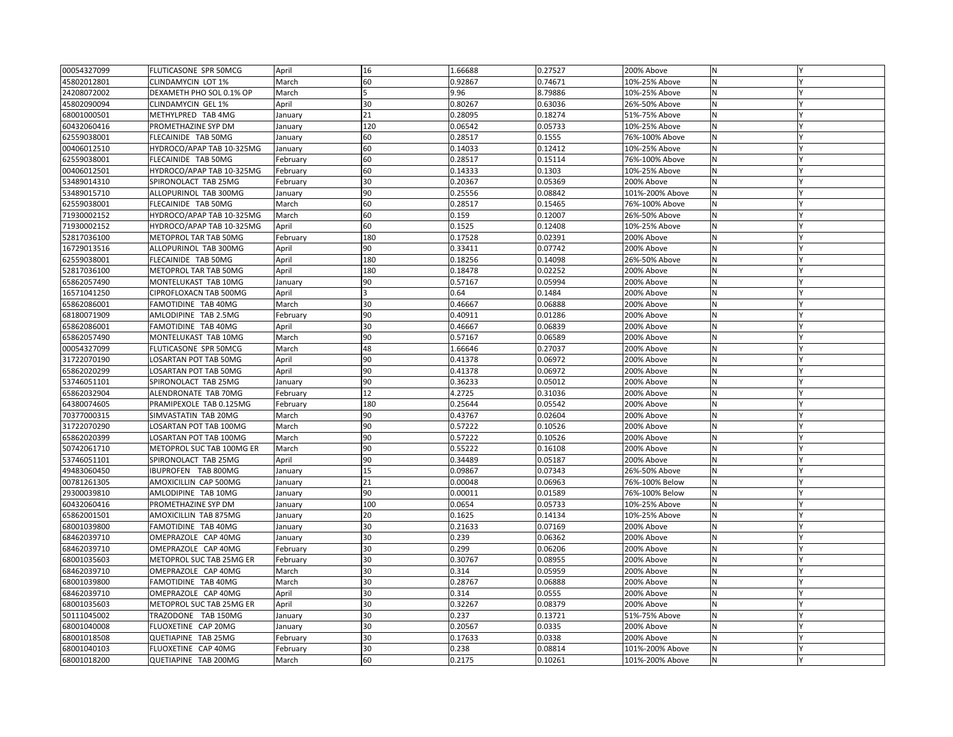| 00054327099 | FLUTICASONE SPR 50MCG     | April    | 16  | 1.66688 | 0.27527 | 200% Above      | N |  |
|-------------|---------------------------|----------|-----|---------|---------|-----------------|---|--|
| 45802012801 | CLINDAMYCIN LOT 1%        | March    | 60  | 0.92867 | 0.74671 | 10%-25% Above   | N |  |
| 24208072002 | DEXAMETH PHO SOL 0.1% OP  | March    |     | 9.96    | 8.79886 | 10%-25% Above   | N |  |
| 45802090094 | CLINDAMYCIN GEL 1%        | April    | 30  | 0.80267 | 0.63036 | 26%-50% Above   |   |  |
| 68001000501 | METHYLPRED TAB 4MG        | January  | 21  | 0.28095 | 0.18274 | 51%-75% Above   | N |  |
| 60432060416 | PROMETHAZINE SYP DM       | January  | 120 | 0.06542 | 0.05733 | 10%-25% Above   | N |  |
| 62559038001 | FLECAINIDE TAB 50MG       | January  | 60  | 0.28517 | 0.1555  | 76%-100% Above  | N |  |
| 00406012510 | HYDROCO/APAP TAB 10-325MG | January  | 60  | 0.14033 | 0.12412 | 10%-25% Above   | N |  |
| 62559038001 | FLECAINIDE TAB 50MG       | February | 60  | 0.28517 | 0.15114 | 76%-100% Above  | N |  |
| 00406012501 | HYDROCO/APAP TAB 10-325MG | February | 60  | 0.14333 | 0.1303  | 10%-25% Above   | N |  |
| 53489014310 | SPIRONOLACT TAB 25MG      | February | 30  | 0.20367 | 0.05369 | 200% Above      | Ν |  |
| 53489015710 | ALLOPURINOL TAB 300MG     | January  | 90  | 0.25556 | 0.08842 | 101%-200% Above | N |  |
| 62559038001 | FLECAINIDE TAB 50MG       | March    | 60  | 0.28517 | 0.15465 | 76%-100% Above  | N |  |
| 71930002152 | HYDROCO/APAP TAB 10-325MG | March    | 60  | 0.159   | 0.12007 | 26%-50% Above   | N |  |
| 71930002152 | HYDROCO/APAP TAB 10-325MG | April    | 60  | 0.1525  | 0.12408 | 10%-25% Above   | N |  |
| 52817036100 | METOPROL TAR TAB 50MG     | February | 180 | 0.17528 | 0.02391 | 200% Above      | Ń |  |
| 16729013516 | ALLOPURINOL TAB 300MG     | April    | 90  | 0.33411 | 0.07742 | 200% Above      |   |  |
| 62559038001 | FLECAINIDE TAB 50MG       | April    | 180 | 0.18256 | 0.14098 | 26%-50% Above   | N |  |
| 52817036100 | METOPROL TAR TAB 50MG     | April    | 180 | 0.18478 | 0.02252 | 200% Above      | N |  |
| 65862057490 | MONTELUKAST TAB 10MG      | January  | 90  | 0.57167 | 0.05994 | 200% Above      | N |  |
| 16571041250 | CIPROFLOXACN TAB 500MG    | April    |     | 0.64    | 0.1484  | 200% Above      |   |  |
| 65862086001 | FAMOTIDINE TAB 40MG       | March    | 30  | 0.46667 | 0.06888 | 200% Above      | N |  |
| 68180071909 | AMLODIPINE TAB 2.5MG      | February | 90  | 0.40911 | 0.01286 | 200% Above      | N |  |
| 65862086001 | FAMOTIDINE TAB 40MG       | April    | 30  | 0.46667 | 0.06839 | 200% Above      | N |  |
| 65862057490 | MONTELUKAST TAB 10MG      | March    | 90  | 0.57167 | 0.06589 | 200% Above      | N |  |
| 00054327099 | FLUTICASONE SPR 50MCG     | March    | 48  | 1.66646 | 0.27037 | 200% Above      | N |  |
| 31722070190 | LOSARTAN POT TAB 50MG     | April    | 90  | 0.41378 | 0.06972 | 200% Above      | N |  |
| 65862020299 | LOSARTAN POT TAB 50MG     | April    | 90  | 0.41378 | 0.06972 | 200% Above      | N |  |
| 53746051101 | SPIRONOLACT TAB 25MG      | January  | 90  | 0.36233 | 0.05012 | 200% Above      | N |  |
| 65862032904 | ALENDRONATE TAB 70MG      | February | 12  | 4.2725  | 0.31036 | 200% Above      | N |  |
| 64380074605 | PRAMIPEXOLE TAB 0.125MG   | February | 180 | 0.25644 | 0.05542 | 200% Above      | N |  |
| 70377000315 | SIMVASTATIN TAB 20MG      | March    | 90  | 0.43767 | 0.02604 | 200% Above      | N |  |
| 31722070290 | LOSARTAN POT TAB 100MG    | March    | 90  | 0.57222 | 0.10526 | 200% Above      | N |  |
| 65862020399 | LOSARTAN POT TAB 100MG    | March    | 90  | 0.57222 | 0.10526 | 200% Above      | N |  |
| 50742061710 | METOPROL SUC TAB 100MG ER | March    | 90  | 0.55222 | 0.16108 | 200% Above      | N |  |
| 53746051101 | SPIRONOLACT TAB 25MG      | April    | 90  | 0.34489 | 0.05187 | 200% Above      | N |  |
| 49483060450 | IBUPROFEN TAB 800MG       | January  | 15  | 0.09867 | 0.07343 | 26%-50% Above   | N |  |
| 00781261305 | AMOXICILLIN CAP 500MG     | January  | 21  | 0.00048 | 0.06963 | 76%-100% Below  |   |  |
| 29300039810 | AMLODIPINE TAB 10MG       | January  | 90  | 0.00011 | 0.01589 | 76%-100% Below  | N |  |
| 60432060416 | PROMETHAZINE SYP DM       | January  | 100 | 0.0654  | 0.05733 | 10%-25% Above   | N |  |
| 65862001501 | AMOXICILLIN TAB 875MG     | January  | 20  | 0.1625  | 0.14134 | 10%-25% Above   | N |  |
| 68001039800 | FAMOTIDINE TAB 40MG       | January  | 30  | 0.21633 | 0.07169 | 200% Above      | N |  |
| 68462039710 | OMEPRAZOLE CAP 40MG       | January  | 30  | 0.239   | 0.06362 | 200% Above      | N |  |
| 68462039710 | OMEPRAZOLE CAP 40MG       | February | 30  | 0.299   | 0.06206 | 200% Above      | N |  |
| 68001035603 | METOPROL SUC TAB 25MG ER  | February | 30  | 0.30767 | 0.08955 | 200% Above      | N |  |
| 68462039710 | OMEPRAZOLE CAP 40MG       | March    | 30  | 0.314   | 0.05959 | 200% Above      | N |  |
| 68001039800 | FAMOTIDINE TAB 40MG       | March    | 30  | 0.28767 | 0.06888 | 200% Above      | N |  |
| 68462039710 | OMEPRAZOLE CAP 40MG       | April    | 30  | 0.314   | 0.0555  | 200% Above      | N |  |
| 68001035603 | METOPROL SUC TAB 25MG ER  | April    | 30  | 0.32267 | 0.08379 | 200% Above      | N |  |
| 50111045002 | TRAZODONE TAB 150MG       | January  | 30  | 0.237   | 0.13721 | 51%-75% Above   | N |  |
| 68001040008 | FLUOXETINE CAP 20MG       | January  | 30  | 0.20567 | 0.0335  | 200% Above      |   |  |
| 68001018508 | QUETIAPINE TAB 25MG       | February | 30  | 0.17633 | 0.0338  | 200% Above      | N |  |
| 68001040103 | FLUOXETINE CAP 40MG       | February | 30  | 0.238   | 0.08814 | 101%-200% Above | N |  |
| 68001018200 | QUETIAPINE TAB 200MG      | March    | 60  | 0.2175  | 0.10261 | 101%-200% Above | N |  |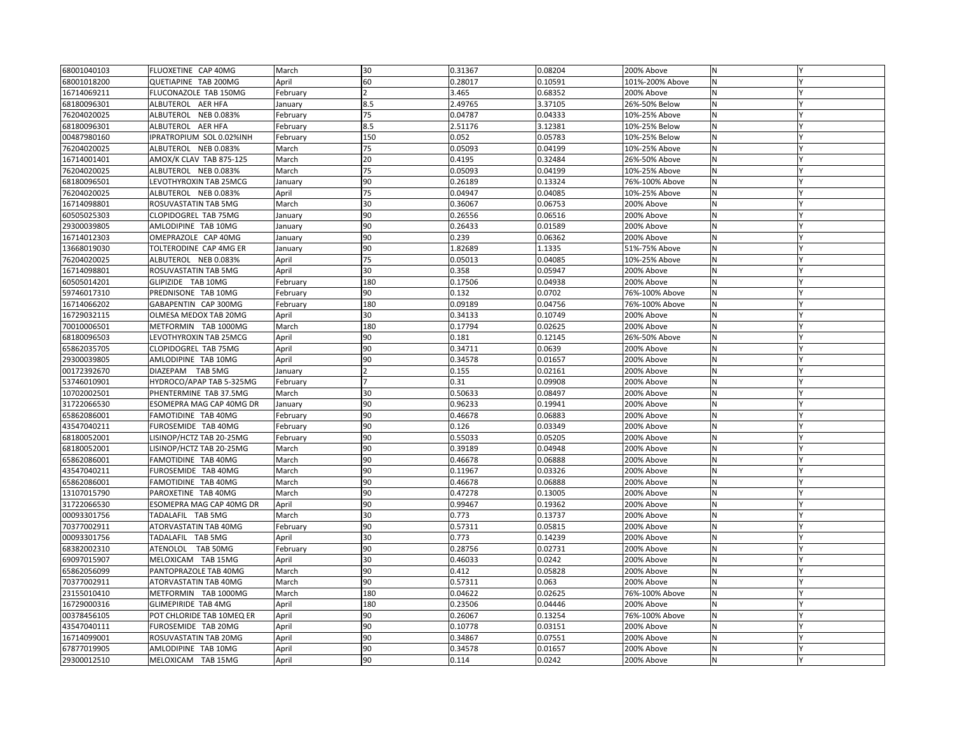| 68001040103                | FLUOXETINE CAP 40MG                   | March    | 30  | 0.31367          | 0.08204            | 200% Above               | N |  |
|----------------------------|---------------------------------------|----------|-----|------------------|--------------------|--------------------------|---|--|
| 68001018200                | QUETIAPINE TAB 200MG                  | April    | 60  | 0.28017          | 0.10591            | 101%-200% Above          | N |  |
| 16714069211                | FLUCONAZOLE TAB 150MG                 | February |     | 3.465            | 0.68352            | 200% Above               |   |  |
| 68180096301                | <b>ALBUTEROL</b><br><b>AER HFA</b>    | January  | 8.5 | 2.49765          | 3.37105            | 26%-50% Below            | N |  |
| 76204020025                | <b>ALBUTEROL</b><br>NEB 0.083%        | February | 75  | 0.04787          | 0.04333            | 10%-25% Above            | N |  |
| 68180096301                | ALBUTEROL<br><b>AER HFA</b>           | February | 8.5 | 2.51176          | 3.12381            | 10%-25% Below            | N |  |
| 00487980160                | IPRATROPIUM SOL 0.02%INH              | February | 150 | 0.052            | 0.05783            | 10%-25% Below            | N |  |
| 76204020025                | ALBUTEROL<br>NEB 0.083%               | March    | 75  | 0.05093          | 0.04199            | 10%-25% Above            | N |  |
| 16714001401                | AMOX/K CLAV TAB 875-125               | March    | 20  | 0.4195           | 0.32484            | 26%-50% Above            | N |  |
| 76204020025                | ALBUTEROL NEB 0.083%                  | March    | 75  | 0.05093          | 0.04199            | 10%-25% Above            | N |  |
| 68180096501                | LEVOTHYROXIN TAB 25MCG                | January  | 90  | 0.26189          | 0.13324            | 76%-100% Above           | N |  |
| 76204020025                | ALBUTEROL NEB 0.083%                  | April    | 75  | 0.04947          | 0.04085            | 10%-25% Above            | N |  |
| 16714098801                | ROSUVASTATIN TAB 5MG                  | March    | 30  | 0.36067          | 0.06753            | 200% Above               | N |  |
| 60505025303                | CLOPIDOGREL TAB 75MG                  | January  | 90  | 0.26556          | 0.06516            | 200% Above               | N |  |
| 29300039805                | AMLODIPINE TAB 10MG                   | January  | 90  | 0.26433          | 0.01589            | 200% Above               | N |  |
| 16714012303                | OMEPRAZOLE CAP 40MG                   | January  | 90  | 0.239            | 0.06362            | 200% Above               | N |  |
| 13668019030                | TOLTERODINE CAP 4MG ER                | January  | 90  | 1.82689          | 1.1335             | 51%-75% Above            | N |  |
| 76204020025                | ALBUTEROL NEB 0.083%                  | April    | 75  | 0.05013          | 0.04085            | 10%-25% Above            | N |  |
| 16714098801                | ROSUVASTATIN TAB 5MG                  | April    | 30  | 0.358            | 0.05947            | 200% Above               | N |  |
| 60505014201                | GLIPIZIDE TAB 10MG                    | February | 180 | 0.17506          | 0.04938            | 200% Above               |   |  |
| 59746017310                | PREDNISONE TAB 10MG                   | February | 90  | 0.132            | 0.0702             | 76%-100% Above           |   |  |
| 16714066202                | GABAPENTIN CAP 300MG                  | February | 180 | 0.09189          | 0.04756            | 76%-100% Above           | N |  |
| 16729032115                | OLMESA MEDOX TAB 20MG                 | April    | 30  | 0.34133          | 0.10749            | 200% Above               | N |  |
| 70010006501                | METFORMIN TAB 1000MG                  | March    | 180 | 0.17794          | 0.02625            | 200% Above               | N |  |
| 68180096503                | LEVOTHYROXIN TAB 25MCG                | April    | 90  | 0.181            | 0.12145            | 26%-50% Above            |   |  |
| 65862035705                | CLOPIDOGREL TAB 75MG                  | April    | 90  | 0.34711          | 0.0639             | 200% Above               | N |  |
| 29300039805                | AMLODIPINE TAB 10MG                   | April    | 90  | 0.34578          | 0.01657            | 200% Above               | N |  |
| 00172392670                | <b>DIAZEPAM</b><br>TAB 5MG            | January  |     | 0.155            | 0.02161            | 200% Above               | N |  |
| 53746010901                | HYDROCO/APAP TAB 5-325MG              | February |     | 0.31             | 0.09908            | 200% Above               | N |  |
| 10702002501                | PHENTERMINE TAB 37.5MG                | March    | 30  | 0.50633          | 0.08497            | 200% Above               | N |  |
| 31722066530                | ESOMEPRA MAG CAP 40MG DR              | January  | 90  | 0.96233          | 0.19941            | 200% Above               | N |  |
| 65862086001                | FAMOTIDINE TAB 40MG                   | February | 90  | 0.46678          | 0.06883            | 200% Above               |   |  |
| 43547040211                | FUROSEMIDE TAB 40MG                   | February | 90  | 0.126            | 0.03349            | 200% Above               | N |  |
| 68180052001                | LISINOP/HCTZ TAB 20-25MG              | February | 90  | 0.55033          | 0.05205            | 200% Above               | N |  |
| 68180052001                | LISINOP/HCTZ TAB 20-25MG              | March    | 90  | 0.39189          | 0.04948            | 200% Above               | N |  |
| 65862086001                | FAMOTIDINE TAB 40MG                   | March    | 90  | 0.46678          | 0.06888            | 200% Above               | N |  |
| 43547040211                | FUROSEMIDE TAB 40MG                   | March    | 90  | 0.11967          | 0.03326            | 200% Above               | N |  |
|                            |                                       | March    | 90  |                  |                    |                          | N |  |
| 65862086001                | FAMOTIDINE TAB 40MG                   |          | 90  | 0.46678          | 0.06888            | 200% Above               | N |  |
| 13107015790                | PAROXETINE TAB 40MG                   | March    | 90  | 0.47278          | 0.13005            | 200% Above               |   |  |
| 31722066530                | ESOMEPRA MAG CAP 40MG DR<br>TADALAFIL | April    | 30  | 0.99467<br>0.773 | 0.19362<br>0.13737 | 200% Above               | N |  |
| 00093301756<br>70377002911 | TAB 5MG<br>ATORVASTATIN TAB 40MG      | March    | 90  | 0.57311          | 0.05815            | 200% Above<br>200% Above | N |  |
|                            |                                       | February |     |                  |                    |                          | N |  |
| 00093301756                | TADALAFIL<br>TAB 5MG                  | April    | 30  | 0.773            | 0.14239            | 200% Above               | N |  |
| 68382002310                | ATENOLOL<br>TAB 50MG                  | February | 90  | 0.28756          | 0.02731            | 200% Above               |   |  |
| 69097015907                | MELOXICAM TAB 15MG                    | April    | 30  | 0.46033          | 0.0242             | 200% Above               |   |  |
| 65862056099                | PANTOPRAZOLE TAB 40MG                 | March    | 90  | 0.412            | 0.05828            | 200% Above               |   |  |
| 70377002911                | ATORVASTATIN TAB 40MG                 | March    | 90  | 0.57311          | 0.063              | 200% Above               | N |  |
| 23155010410                | METFORMIN TAB 1000MG                  | March    | 180 | 0.04622          | 0.02625            | 76%-100% Above           | Ν |  |
| 16729000316                | <b>GLIMEPIRIDE TAB 4MG</b>            | April    | 180 | 0.23506          | 0.04446            | 200% Above               | N |  |
| 00378456105                | POT CHLORIDE TAB 10MEQ ER             | April    | 90  | 0.26067          | 0.13254            | 76%-100% Above           | N |  |
| 43547040111                | FUROSEMIDE TAB 20MG                   | April    | 90  | 0.10778          | 0.03151            | 200% Above               | N |  |
| 16714099001                | ROSUVASTATIN TAB 20MG                 | April    | 90  | 0.34867          | 0.07551            | 200% Above               | N |  |
| 67877019905                | AMLODIPINE TAB 10MG                   | April    | 90  | 0.34578          | 0.01657            | 200% Above               | N |  |
| 29300012510                | MELOXICAM TAB 15MG                    | April    | 90  | 0.114            | 0.0242             | 200% Above               | N |  |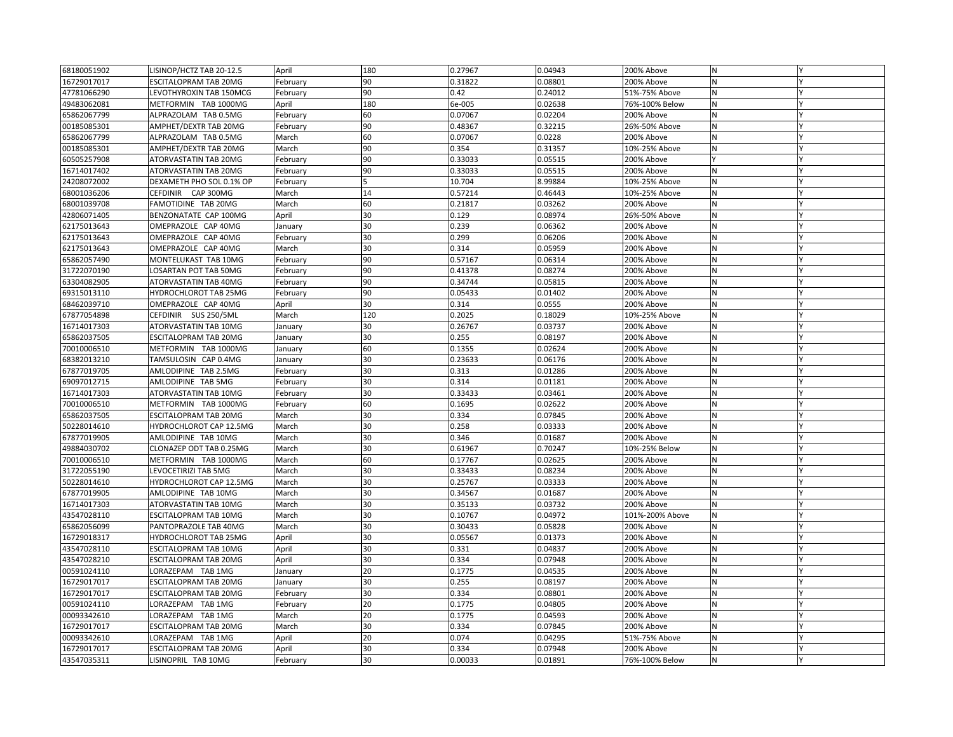| 68180051902 | LISINOP/HCTZ TAB 20-12.5 | April    | 180 | 0.27967 | 0.04943 | 200% Above      | IN. |  |
|-------------|--------------------------|----------|-----|---------|---------|-----------------|-----|--|
| 16729017017 | ESCITALOPRAM TAB 20MG    | February | 90  | 0.31822 | 0.08801 | 200% Above      | N   |  |
| 47781066290 | LEVOTHYROXIN TAB 150MCG  | February | 90  | 0.42    | 0.24012 | 51%-75% Above   |     |  |
| 49483062081 | METFORMIN TAB 1000MG     | April    | 180 | 6e-005  | 0.02638 | 76%-100% Below  |     |  |
| 65862067799 | ALPRAZOLAM TAB 0.5MG     | February | 60  | 0.07067 | 0.02204 | 200% Above      | N   |  |
| 00185085301 | AMPHET/DEXTR TAB 20MG    | February | 90  | 0.48367 | 0.32215 | 26%-50% Above   | N   |  |
| 65862067799 | ALPRAZOLAM TAB 0.5MG     | March    | 60  | 0.07067 | 0.0228  | 200% Above      | N   |  |
| 00185085301 | AMPHET/DEXTR TAB 20MG    | March    | 90  | 0.354   | 0.31357 | 10%-25% Above   |     |  |
| 60505257908 | ATORVASTATIN TAB 20MG    | February | 90  | 0.33033 | 0.05515 | 200% Above      |     |  |
| 16714017402 | ATORVASTATIN TAB 20MG    | February | 90  | 0.33033 | 0.05515 | 200% Above      | N   |  |
| 24208072002 | DEXAMETH PHO SOL 0.1% OP | February |     | 10.704  | 8.99884 | 10%-25% Above   | N   |  |
| 68001036206 | CEFDINIR<br>CAP 300MG    | March    | 14  | 0.57214 | 0.46443 | 10%-25% Above   |     |  |
| 68001039708 | FAMOTIDINE TAB 20MG      | March    | 60  | 0.21817 | 0.03262 | 200% Above      | N   |  |
| 42806071405 | BENZONATATE CAP 100MG    | April    | 30  | 0.129   | 0.08974 | 26%-50% Above   | N   |  |
| 62175013643 | OMEPRAZOLE CAP 40MG      | January  | 30  | 0.239   | 0.06362 | 200% Above      | N   |  |
| 62175013643 | OMEPRAZOLE CAP 40MG      | February | 30  | 0.299   | 0.06206 | 200% Above      | N   |  |
| 62175013643 | OMEPRAZOLE CAP 40MG      | March    | 30  | 0.314   | 0.05959 | 200% Above      | N   |  |
| 65862057490 | MONTELUKAST TAB 10MG     | February | 90  | 0.57167 | 0.06314 | 200% Above      | N   |  |
| 31722070190 | LOSARTAN POT TAB 50MG    | February | 90  | 0.41378 | 0.08274 | 200% Above      | N   |  |
| 63304082905 | ATORVASTATIN TAB 40MG    | February | 90  | 0.34744 | 0.05815 | 200% Above      |     |  |
| 69315013110 | HYDROCHLOROT TAB 25MG    | February | 90  | 0.05433 | 0.01402 | 200% Above      |     |  |
| 68462039710 | OMEPRAZOLE CAP 40MG      | April    | 30  | 0.314   | 0.0555  | 200% Above      | N   |  |
| 67877054898 | CEFDINIR SUS 250/5ML     | March    | 120 | 0.2025  | 0.18029 | 10%-25% Above   | N   |  |
| 16714017303 | ATORVASTATIN TAB 10MG    | January  | 30  | 0.26767 | 0.03737 | 200% Above      | N   |  |
| 65862037505 | ESCITALOPRAM TAB 20MG    | January  | 30  | 0.255   | 0.08197 | 200% Above      |     |  |
| 70010006510 | METFORMIN TAB 1000MG     | January  | 60  | 0.1355  | 0.02624 | 200% Above      | N   |  |
| 68382013210 | TAMSULOSIN CAP 0.4MG     | January  | 30  | 0.23633 | 0.06176 | 200% Above      | N   |  |
| 67877019705 | AMLODIPINE TAB 2.5MG     | February | 30  | 0.313   | 0.01286 | 200% Above      | N   |  |
| 69097012715 | AMLODIPINE TAB 5MG       | February | 30  | 0.314   | 0.01181 | 200% Above      | N   |  |
| 16714017303 | ATORVASTATIN TAB 10MG    | February | 30  | 0.33433 | 0.03461 | 200% Above      | N   |  |
| 70010006510 | METFORMIN TAB 1000MG     | February | 60  | 0.1695  | 0.02622 | 200% Above      | N   |  |
| 65862037505 | ESCITALOPRAM TAB 20MG    | March    | 30  | 0.334   | 0.07845 | 200% Above      | N   |  |
| 50228014610 | HYDROCHLOROT CAP 12.5MG  | March    | 30  | 0.258   | 0.03333 | 200% Above      | N   |  |
| 67877019905 | AMLODIPINE TAB 10MG      | March    | 30  | 0.346   | 0.01687 | 200% Above      | N   |  |
| 49884030702 | CLONAZEP ODT TAB 0.25MG  | March    | 30  | 0.61967 | 0.70247 | 10%-25% Below   | N   |  |
| 70010006510 | METFORMIN TAB 1000MG     | March    | 60  | 0.17767 | 0.02625 | 200% Above      | N   |  |
| 31722055190 | LEVOCETIRIZI TAB 5MG     | March    | 30  | 0.33433 | 0.08234 | 200% Above      | N   |  |
| 50228014610 | HYDROCHLOROT CAP 12.5MG  | March    | 30  | 0.25767 | 0.03333 | 200% Above      | N   |  |
| 67877019905 | AMLODIPINE TAB 10MG      | March    | 30  | 0.34567 | 0.01687 | 200% Above      | N   |  |
| 16714017303 | ATORVASTATIN TAB 10MG    | March    | 30  | 0.35133 | 0.03732 | 200% Above      | N   |  |
| 43547028110 | ESCITALOPRAM TAB 10MG    | March    | 30  | 0.10767 | 0.04972 | 101%-200% Above | N   |  |
| 65862056099 | PANTOPRAZOLE TAB 40MG    | March    | 30  | 0.30433 | 0.05828 | 200% Above      |     |  |
| 16729018317 | HYDROCHLOROT TAB 25MG    | April    | 30  | 0.05567 | 0.01373 | 200% Above      | N   |  |
| 43547028110 | ESCITALOPRAM TAB 10MG    | April    | 30  | 0.331   | 0.04837 | 200% Above      | N   |  |
| 43547028210 | ESCITALOPRAM TAB 20MG    | April    | 30  | 0.334   | 0.07948 | 200% Above      | N   |  |
| 00591024110 | ORAZEPAM TAB 1MG         | January  | 20  | 0.1775  | 0.04535 | 200% Above      |     |  |
| 16729017017 | ESCITALOPRAM TAB 20MG    | January  | 30  | 0.255   | 0.08197 | 200% Above      | N   |  |
| 16729017017 | ESCITALOPRAM TAB 20MG    | February | 30  | 0.334   | 0.08801 | 200% Above      | N   |  |
| 00591024110 | LORAZEPAM TAB 1MG        | February | 20  | 0.1775  | 0.04805 | 200% Above      | N   |  |
| 00093342610 | ORAZEPAM TAB 1MG         | March    | 20  | 0.1775  | 0.04593 | 200% Above      | N   |  |
| 16729017017 | ESCITALOPRAM TAB 20MG    | March    | 30  | 0.334   | 0.07845 | 200% Above      | N   |  |
| 00093342610 | LORAZEPAM TAB 1MG        | April    | 20  | 0.074   | 0.04295 | 51%-75% Above   | N   |  |
| 16729017017 | ESCITALOPRAM TAB 20MG    | April    | 30  | 0.334   | 0.07948 | 200% Above      | N   |  |
| 43547035311 | LISINOPRIL TAB 10MG      | February | 30  | 0.00033 | 0.01891 | 76%-100% Below  | N   |  |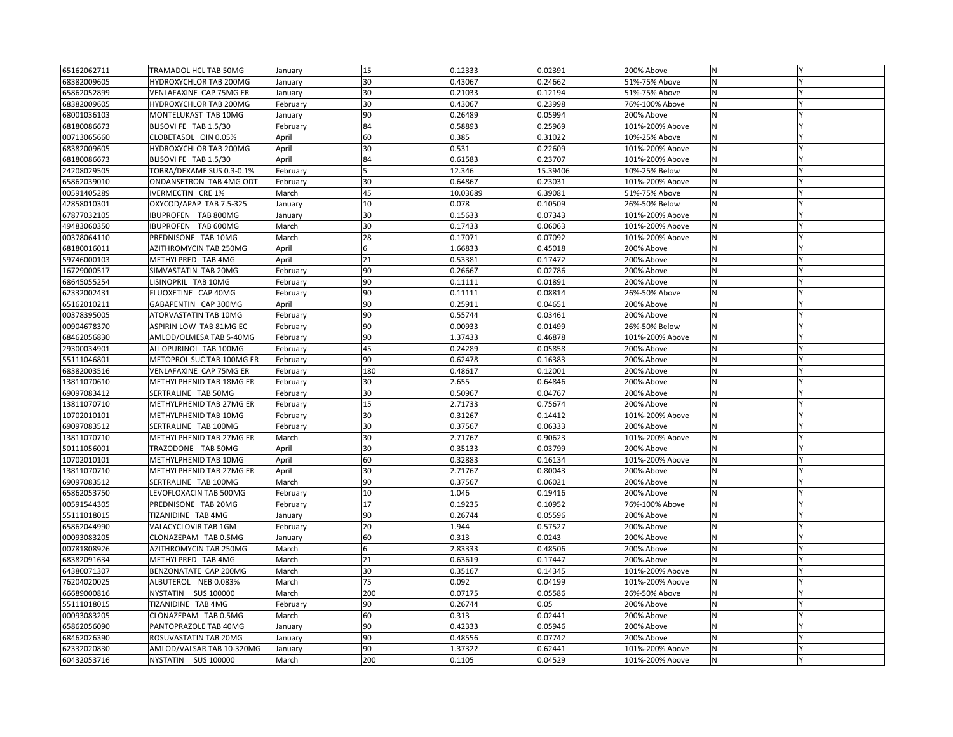| 65162062711 | TRAMADOL HCL TAB 50MG     | January  | 15  | 0.12333  | 0.02391  | 200% Above      | N |  |
|-------------|---------------------------|----------|-----|----------|----------|-----------------|---|--|
| 68382009605 | HYDROXYCHLOR TAB 200MG    | January  | 30  | 0.43067  | 0.24662  | 51%-75% Above   | N |  |
| 65862052899 | VENLAFAXINE CAP 75MG ER   | January  | 30  | 0.21033  | 0.12194  | 51%-75% Above   | N |  |
| 68382009605 | HYDROXYCHLOR TAB 200MG    | February | 30  | 0.43067  | 0.23998  | 76%-100% Above  | N |  |
| 68001036103 | MONTELUKAST TAB 10MG      | January  | 90  | 0.26489  | 0.05994  | 200% Above      | N |  |
| 68180086673 | BLISOVI FE TAB 1.5/30     | February | 84  | 0.58893  | 0.25969  | 101%-200% Above | N |  |
| 00713065660 | CLOBETASOL OIN 0.05%      | April    | 60  | 0.385    | 0.31022  | 10%-25% Above   | Ν |  |
| 68382009605 | HYDROXYCHLOR TAB 200MG    | April    | 30  | 0.531    | 0.22609  | 101%-200% Above | N |  |
| 68180086673 | BLISOVI FE TAB 1.5/30     | April    | 84  | 0.61583  | 0.23707  | 101%-200% Above | N |  |
| 24208029505 | TOBRA/DEXAME SUS 0.3-0.1% | February |     | 12.346   | 15.39406 | 10%-25% Below   | N |  |
| 65862039010 | ONDANSETRON TAB 4MG ODT   | February | 30  | 0.64867  | 0.23031  | 101%-200% Above | N |  |
| 00591405289 | <b>IVERMECTIN CRE 1%</b>  | March    | 45  | 10.03689 | 6.39081  | 51%-75% Above   | N |  |
| 42858010301 | OXYCOD/APAP TAB 7.5-325   | January  | 10  | 0.078    | 0.10509  | 26%-50% Below   | N |  |
| 67877032105 | IBUPROFEN TAB 800MG       | January  | 30  | 0.15633  | 0.07343  | 101%-200% Above | N |  |
| 49483060350 | IBUPROFEN TAB 600MG       | March    | 30  | 0.17433  | 0.06063  | 101%-200% Above | N |  |
| 00378064110 | PREDNISONE TAB 10MG       | March    | 28  | 0.17071  | 0.07092  | 101%-200% Above | N |  |
| 68180016011 | AZITHROMYCIN TAB 250MG    | April    |     | 1.66833  | 0.45018  | 200% Above      | N |  |
| 59746000103 | METHYLPRED TAB 4MG        | April    | 21  | 0.53381  | 0.17472  | 200% Above      | N |  |
| 16729000517 | SIMVASTATIN TAB 20MG      | February | 90  | 0.26667  | 0.02786  | 200% Above      | N |  |
| 68645055254 | LISINOPRIL TAB 10MG       | February | 90  | 0.11111  | 0.01891  | 200% Above      | N |  |
| 62332002431 | FLUOXETINE CAP 40MG       | February | 90  | 0.11111  | 0.08814  | 26%-50% Above   | N |  |
| 65162010211 | GABAPENTIN CAP 300MG      | April    | 90  | 0.25911  | 0.04651  | 200% Above      | N |  |
| 00378395005 | ATORVASTATIN TAB 10MG     | February | 90  | 0.55744  | 0.03461  | 200% Above      | Ν |  |
| 00904678370 | ASPIRIN LOW TAB 81MG EC   | February | 90  | 0.00933  | 0.01499  | 26%-50% Below   |   |  |
| 68462056830 | AMLOD/OLMESA TAB 5-40MG   | February | 90  | 1.37433  | 0.46878  | 101%-200% Above | N |  |
| 29300034901 | ALLOPURINOL TAB 100MG     | February | 45  | 0.24289  | 0.05858  | 200% Above      | N |  |
| 55111046801 | METOPROL SUC TAB 100MG ER | February | 90  | 0.62478  | 0.16383  | 200% Above      | N |  |
| 68382003516 | VENLAFAXINE CAP 75MG ER   | February | 180 | 0.48617  | 0.12001  | 200% Above      | N |  |
| 13811070610 | METHYLPHENID TAB 18MG ER  | February | 30  | 2.655    | 0.64846  | 200% Above      | N |  |
| 69097083412 | SERTRALINE TAB 50MG       | February | 30  | 0.50967  | 0.04767  | 200% Above      | N |  |
| 13811070710 | METHYLPHENID TAB 27MG ER  | February | 15  | 2.71733  | 0.75674  | 200% Above      | N |  |
| 10702010101 | METHYLPHENID TAB 10MG     | February | 30  | 0.31267  | 0.14412  | 101%-200% Above | N |  |
| 69097083512 | SERTRALINE TAB 100MG      | February | 30  | 0.37567  | 0.06333  | 200% Above      | N |  |
| 13811070710 | METHYLPHENID TAB 27MG ER  | March    | 30  | 2.71767  | 0.90623  | 101%-200% Above | N |  |
| 50111056001 | TRAZODONE TAB 50MG        | April    | 30  | 0.35133  | 0.03799  | 200% Above      | N |  |
| 10702010101 | METHYLPHENID TAB 10MG     | April    | 60  | 0.32883  | 0.16134  | 101%-200% Above | N |  |
| 13811070710 | METHYLPHENID TAB 27MG ER  | April    | 30  | 2.71767  | 0.80043  | 200% Above      | N |  |
| 69097083512 | SERTRALINE TAB 100MG      | March    | 90  | 0.37567  | 0.06021  | 200% Above      | N |  |
| 65862053750 | LEVOFLOXACIN TAB 500MG    | February | 10  | 1.046    | 0.19416  | 200% Above      | N |  |
| 00591544305 | PREDNISONE TAB 20MG       | February | 17  | 0.19235  | 0.10952  | 76%-100% Above  | N |  |
| 55111018015 | TIZANIDINE TAB 4MG        | January  | 90  | 0.26744  | 0.05596  | 200% Above      | N |  |
| 65862044990 | VALACYCLOVIR TAB 1GM      | February | 20  | 1.944    | 0.57527  | 200% Above      | N |  |
| 00093083205 | CLONAZEPAM TAB 0.5MG      | January  | 60  | 0.313    | 0.0243   | 200% Above      | N |  |
| 00781808926 | AZITHROMYCIN TAB 250MG    | March    |     | 2.83333  | 0.48506  | 200% Above      | N |  |
| 68382091634 | METHYLPRED TAB 4MG        | March    | 21  | 0.63619  | 0.17447  | 200% Above      |   |  |
| 64380071307 | BENZONATATE CAP 200MG     | March    | 30  | 0.35167  | 0.14345  | 101%-200% Above | N |  |
| 76204020025 | ALBUTEROL NEB 0.083%      | March    | 75  | 0.092    | 0.04199  | 101%-200% Above | N |  |
| 66689000816 | NYSTATIN SUS 100000       | March    | 200 | 0.07175  | 0.05586  | 26%-50% Above   | Ν |  |
| 55111018015 | TIZANIDINE TAB 4MG        | February | 90  | 0.26744  | 0.05     | 200% Above      | N |  |
| 00093083205 | CLONAZEPAM TAB 0.5MG      | March    | 60  | 0.313    | 0.02441  | 200% Above      | N |  |
| 65862056090 | PANTOPRAZOLE TAB 40MG     | January  | 90  | 0.42333  | 0.05946  | 200% Above      | N |  |
| 68462026390 | ROSUVASTATIN TAB 20MG     | January  | 90  | 0.48556  | 0.07742  | 200% Above      | N |  |
| 62332020830 | AMLOD/VALSAR TAB 10-320MG | January  | 90  | 1.37322  | 0.62441  | 101%-200% Above | N |  |
| 60432053716 | NYSTATIN SUS 100000       | March    | 200 | 0.1105   | 0.04529  | 101%-200% Above | N |  |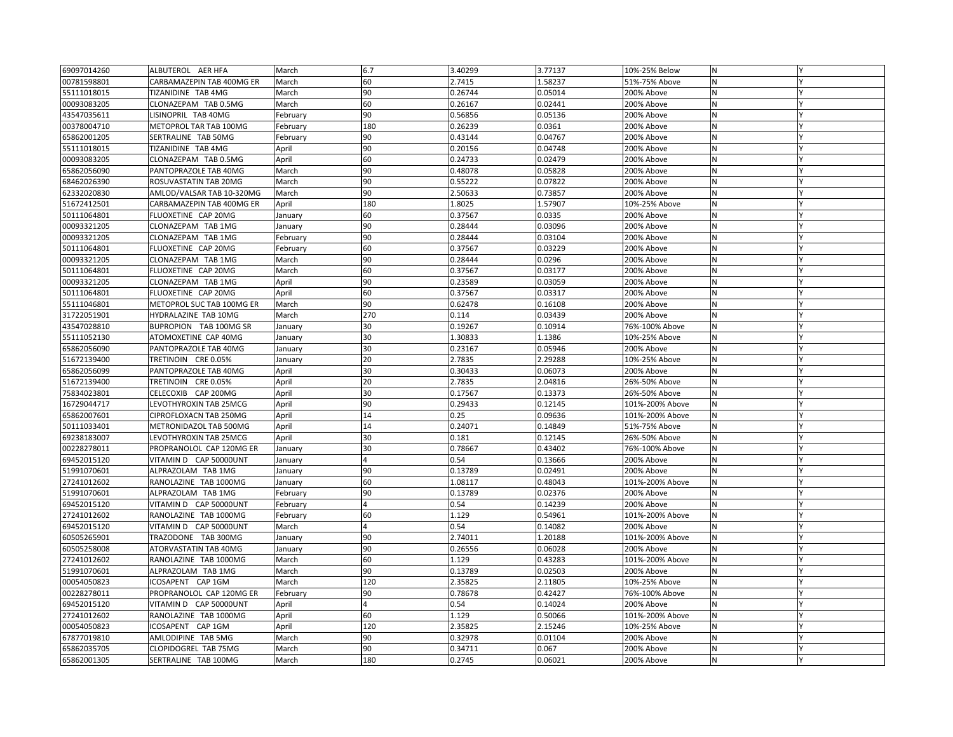| 69097014260 | ALBUTEROL AER HFA           | March    | 6.7 | 3.40299 | 3.77137 | 10%-25% Below   | N |  |
|-------------|-----------------------------|----------|-----|---------|---------|-----------------|---|--|
| 00781598801 | CARBAMAZEPIN TAB 400MG ER   | March    | 60  | 2.7415  | 1.58237 | 51%-75% Above   | N |  |
| 55111018015 | TIZANIDINE TAB 4MG          | March    | 90  | 0.26744 | 0.05014 | 200% Above      | N |  |
| 00093083205 | CLONAZEPAM TAB 0.5MG        | March    | 60  | 0.26167 | 0.02441 | 200% Above      | N |  |
| 43547035611 | LISINOPRIL TAB 40MG         | February | 90  | 0.56856 | 0.05136 | 200% Above      | N |  |
| 00378004710 | METOPROL TAR TAB 100MG      | February | 180 | 0.26239 | 0.0361  | 200% Above      | N |  |
| 65862001205 | SERTRALINE TAB 50MG         | February | 90  | 0.43144 | 0.04767 | 200% Above      | N |  |
| 55111018015 | TIZANIDINE TAB 4MG          | April    | 90  | 0.20156 | 0.04748 | 200% Above      | N |  |
| 00093083205 | CLONAZEPAM TAB 0.5MG        | April    | 60  | 0.24733 | 0.02479 | 200% Above      | N |  |
| 65862056090 | PANTOPRAZOLE TAB 40MG       | March    | 90  | 0.48078 | 0.05828 | 200% Above      | N |  |
| 68462026390 | ROSUVASTATIN TAB 20MG       | March    | 90  | 0.55222 | 0.07822 | 200% Above      | N |  |
| 62332020830 | AMLOD/VALSAR TAB 10-320MG   | March    | 90  | 2.50633 | 0.73857 | 200% Above      | N |  |
| 51672412501 | CARBAMAZEPIN TAB 400MG ER   | April    | 180 | 1.8025  | 1.57907 | 10%-25% Above   | N |  |
| 50111064801 | FLUOXETINE CAP 20MG         | January  | 60  | 0.37567 | 0.0335  | 200% Above      | N |  |
| 00093321205 | CLONAZEPAM TAB 1MG          | January  | 90  | 0.28444 | 0.03096 | 200% Above      | N |  |
| 00093321205 | CLONAZEPAM TAB 1MG          | February | 90  | 0.28444 | 0.03104 | 200% Above      | N |  |
| 50111064801 | FLUOXETINE CAP 20MG         | February | 60  | 0.37567 | 0.03229 | 200% Above      |   |  |
| 00093321205 | CLONAZEPAM TAB 1MG          | March    | 90  | 0.28444 | 0.0296  | 200% Above      | N |  |
| 50111064801 | FLUOXETINE CAP 20MG         | March    | 60  | 0.37567 | 0.03177 | 200% Above      | N |  |
| 00093321205 | CLONAZEPAM TAB 1MG          | April    | 90  | 0.23589 | 0.03059 | 200% Above      | N |  |
| 50111064801 | FLUOXETINE CAP 20MG         | April    | 60  | 0.37567 | 0.03317 | 200% Above      | N |  |
| 55111046801 | METOPROL SUC TAB 100MG ER   | March    | 90  | 0.62478 | 0.16108 | 200% Above      | N |  |
| 31722051901 | HYDRALAZINE TAB 10MG        | March    | 270 | 0.114   | 0.03439 | 200% Above      | N |  |
| 43547028810 | BUPROPION TAB 100MG SR      | January  | 30  | 0.19267 | 0.10914 | 76%-100% Above  |   |  |
| 55111052130 | ATOMOXETINE CAP 40MG        | January  | 30  | 1.30833 | 1.1386  | 10%-25% Above   | N |  |
| 65862056090 | PANTOPRAZOLE TAB 40MG       | January  | 30  | 0.23167 | 0.05946 | 200% Above      | N |  |
| 51672139400 | TRETINOIN CRE 0.05%         | January  | 20  | 2.7835  | 2.29288 | 10%-25% Above   | N |  |
| 65862056099 | PANTOPRAZOLE TAB 40MG       | April    | 30  | 0.30433 | 0.06073 | 200% Above      | N |  |
| 51672139400 | TRETINOIN CRE 0.05%         | April    | 20  | 2.7835  | 2.04816 | 26%-50% Above   | N |  |
| 75834023801 | CELECOXIB CAP 200MG         | April    | 30  | 0.17567 | 0.13373 | 26%-50% Above   | N |  |
| 16729044717 | LEVOTHYROXIN TAB 25MCG      | April    | 90  | 0.29433 | 0.12145 | 101%-200% Above | N |  |
| 65862007601 | CIPROFLOXACN TAB 250MG      | April    | 14  | 0.25    | 0.09636 | 101%-200% Above | N |  |
| 50111033401 | METRONIDAZOL TAB 500MG      | April    | 14  | 0.24071 | 0.14849 | 51%-75% Above   | N |  |
| 69238183007 | LEVOTHYROXIN TAB 25MCG      | April    | 30  | 0.181   | 0.12145 | 26%-50% Above   | N |  |
| 00228278011 | PROPRANOLOL CAP 120MG ER    | January  | 30  | 0.78667 | 0.43402 | 76%-100% Above  | N |  |
| 69452015120 | VITAMIN D CAP 50000UNT      | January  |     | 0.54    | 0.13666 | 200% Above      | N |  |
| 51991070601 | ALPRAZOLAM TAB 1MG          | January  | 90  | 0.13789 | 0.02491 | 200% Above      | N |  |
| 27241012602 | RANOLAZINE TAB 1000MG       | January  | 60  | 1.08117 | 0.48043 | 101%-200% Above | N |  |
| 51991070601 | ALPRAZOLAM TAB 1MG          | February | 90  | 0.13789 | 0.02376 | 200% Above      | N |  |
| 69452015120 | VITAMIN D CAP 50000UNT      | February |     | 0.54    | 0.14239 | 200% Above      | N |  |
| 27241012602 | RANOLAZINE TAB 1000MG       | February | 60  | 1.129   | 0.54961 | 101%-200% Above | N |  |
| 69452015120 | VITAMIN D CAP 50000UNT      | March    |     | 0.54    | 0.14082 | 200% Above      | N |  |
| 60505265901 | TRAZODONE TAB 300MG         | January  | 90  | 2.74011 | 1.20188 | 101%-200% Above | N |  |
| 60505258008 | ATORVASTATIN TAB 40MG       | January  | 90  | 0.26556 | 0.06028 | 200% Above      | N |  |
| 27241012602 | RANOLAZINE TAB 1000MG       | March    | 60  | 1.129   | 0.43283 | 101%-200% Above | N |  |
| 51991070601 | ALPRAZOLAM TAB 1MG          | March    | 90  | 0.13789 | 0.02503 | 200% Above      | N |  |
| 00054050823 | ICOSAPENT CAP 1GM           | March    | 120 | 2.35825 | 2.11805 | 10%-25% Above   | N |  |
| 00228278011 | PROPRANOLOL CAP 120MG ER    | February | 90  | 0.78678 | 0.42427 | 76%-100% Above  | N |  |
| 69452015120 | VITAMIN D CAP 50000UNT      | April    |     | 0.54    | 0.14024 | 200% Above      | N |  |
| 27241012602 | RANOLAZINE TAB 1000MG       | April    | 60  | 1.129   | 0.50066 | 101%-200% Above | N |  |
| 00054050823 | <b>ICOSAPENT</b><br>CAP 1GM | April    | 120 | 2.35825 | 2.15246 | 10%-25% Above   |   |  |
| 67877019810 | AMLODIPINE TAB 5MG          | March    | 90  | 0.32978 | 0.01104 | 200% Above      | N |  |
| 65862035705 | <b>CLOPIDOGREL TAB 75MG</b> | March    | 90  | 0.34711 | 0.067   | 200% Above      | N |  |
| 65862001305 | SERTRALINE TAB 100MG        | March    | 180 | 0.2745  | 0.06021 | 200% Above      | N |  |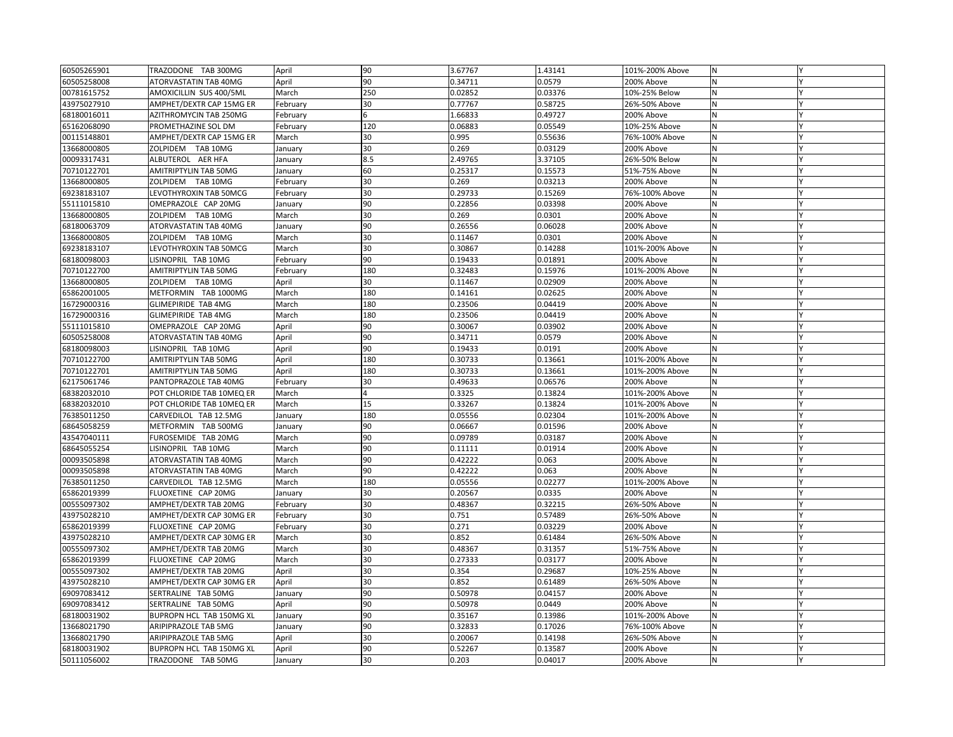| 60505265901 | TRAZODONE TAB 300MG           | April    | 90  | 3.67767 | 1.43141 | 101%-200% Above | N |  |
|-------------|-------------------------------|----------|-----|---------|---------|-----------------|---|--|
| 60505258008 | ATORVASTATIN TAB 40MG         | April    | 90  | 0.34711 | 0.0579  | 200% Above      | N |  |
| 00781615752 | AMOXICILLIN SUS 400/5ML       | March    | 250 | 0.02852 | 0.03376 | 10%-25% Below   | N |  |
| 43975027910 | AMPHET/DEXTR CAP 15MG ER      | February | 30  | 0.77767 | 0.58725 | 26%-50% Above   | N |  |
| 68180016011 | <b>AZITHROMYCIN TAB 250MG</b> | February |     | 1.66833 | 0.49727 | 200% Above      | N |  |
| 65162068090 | PROMETHAZINE SOL DM           | February | 120 | 0.06883 | 0.05549 | 10%-25% Above   | N |  |
| 00115148801 | AMPHET/DEXTR CAP 15MG ER      | March    | 30  | 0.995   | 0.55636 | 76%-100% Above  | N |  |
| 13668000805 | ZOLPIDEM<br>TAB 10MG          | January  | 30  | 0.269   | 0.03129 | 200% Above      | N |  |
| 00093317431 | ALBUTEROL AER HFA             | January  | 8.5 | 2.49765 | 3.37105 | 26%-50% Below   | N |  |
| 70710122701 | <b>AMITRIPTYLIN TAB 50MG</b>  | January  | 60  | 0.25317 | 0.15573 | 51%-75% Above   | N |  |
| 13668000805 | ZOLPIDEM TAB 10MG             | February | 30  | 0.269   | 0.03213 | 200% Above      | N |  |
| 69238183107 | LEVOTHYROXIN TAB 50MCG        | February | 30  | 0.29733 | 0.15269 | 76%-100% Above  | N |  |
| 55111015810 | OMEPRAZOLE CAP 20MG           | January  | 90  | 0.22856 | 0.03398 | 200% Above      | N |  |
| 13668000805 | ZOLPIDEM TAB 10MG             | March    | 30  | 0.269   | 0.0301  | 200% Above      | N |  |
| 68180063709 | ATORVASTATIN TAB 40MG         | January  | 90  | 0.26556 | 0.06028 | 200% Above      | N |  |
| 13668000805 | ZOLPIDEM TAB 10MG             | March    | 30  | 0.11467 | 0.0301  | 200% Above      | N |  |
| 69238183107 | LEVOTHYROXIN TAB 50MCG        | March    | 30  | 0.30867 | 0.14288 | 101%-200% Above | N |  |
| 68180098003 | LISINOPRIL TAB 10MG           | February | 90  | 0.19433 | 0.01891 | 200% Above      | N |  |
| 70710122700 | AMITRIPTYLIN TAB 50MG         | February | 180 | 0.32483 | 0.15976 | 101%-200% Above | N |  |
| 13668000805 | ZOLPIDEM<br>TAB 10MG          | April    | 30  | 0.11467 | 0.02909 | 200% Above      |   |  |
| 65862001005 | METFORMIN TAB 1000MG          | March    | 180 | 0.14161 | 0.02625 | 200% Above      |   |  |
| 16729000316 | <b>GLIMEPIRIDE TAB 4MG</b>    | March    | 180 | 0.23506 | 0.04419 | 200% Above      | N |  |
| 16729000316 | <b>GLIMEPIRIDE TAB 4MG</b>    | March    | 180 | 0.23506 | 0.04419 | 200% Above      | N |  |
| 55111015810 | OMEPRAZOLE CAP 20MG           | April    | 90  | 0.30067 | 0.03902 | 200% Above      | N |  |
| 60505258008 | ATORVASTATIN TAB 40MG         | April    | 90  | 0.34711 | 0.0579  | 200% Above      |   |  |
| 68180098003 | LISINOPRIL TAB 10MG           | April    | 90  | 0.19433 | 0.0191  | 200% Above      | N |  |
| 70710122700 | AMITRIPTYLIN TAB 50MG         | April    | 180 | 0.30733 | 0.13661 | 101%-200% Above | N |  |
| 70710122701 | AMITRIPTYLIN TAB 50MG         | April    | 180 | 0.30733 | 0.13661 | 101%-200% Above | N |  |
| 62175061746 | PANTOPRAZOLE TAB 40MG         | February | 30  | 0.49633 | 0.06576 | 200% Above      | N |  |
| 68382032010 | POT CHLORIDE TAB 10MEQ ER     | March    |     | 0.3325  | 0.13824 | 101%-200% Above | N |  |
| 68382032010 | POT CHLORIDE TAB 10MEQ ER     | March    | 15  | 0.33267 | 0.13824 | 101%-200% Above | N |  |
| 76385011250 | CARVEDILOL TAB 12.5MG         | January  | 180 | 0.05556 | 0.02304 | 101%-200% Above | N |  |
| 68645058259 | METFORMIN TAB 500MG           | January  | 90  | 0.06667 | 0.01596 | 200% Above      | N |  |
| 43547040111 | FUROSEMIDE TAB 20MG           | March    | 90  | 0.09789 | 0.03187 | 200% Above      | N |  |
| 68645055254 | LISINOPRIL TAB 10MG           | March    | 90  | 0.11111 | 0.01914 | 200% Above      | N |  |
| 00093505898 | <b>ATORVASTATIN TAB 40MG</b>  | March    | 90  | 0.42222 | 0.063   | 200% Above      | N |  |
| 00093505898 | ATORVASTATIN TAB 40MG         | March    | 90  | 0.42222 | 0.063   | 200% Above      | N |  |
| 76385011250 | CARVEDILOL TAB 12.5MG         | March    | 180 | 0.05556 | 0.02277 | 101%-200% Above | N |  |
| 65862019399 | FLUOXETINE CAP 20MG           | January  | 30  | 0.20567 | 0.0335  | 200% Above      | N |  |
| 00555097302 | AMPHET/DEXTR TAB 20MG         | February | 30  | 0.48367 | 0.32215 | 26%-50% Above   |   |  |
| 43975028210 | AMPHET/DEXTR CAP 30MG ER      | February | 30  | 0.751   | 0.57489 | 26%-50% Above   | N |  |
| 65862019399 | FLUOXETINE CAP 20MG           | February | 30  | 0.271   | 0.03229 | 200% Above      | N |  |
| 43975028210 | AMPHET/DEXTR CAP 30MG ER      | March    | 30  | 0.852   | 0.61484 | 26%-50% Above   | N |  |
| 00555097302 | AMPHET/DEXTR TAB 20MG         | March    | 30  | 0.48367 | 0.31357 | 51%-75% Above   | N |  |
| 65862019399 | FLUOXETINE CAP 20MG           | March    | 30  | 0.27333 | 0.03177 | 200% Above      |   |  |
| 00555097302 | AMPHET/DEXTR TAB 20MG         | April    | 30  | 0.354   | 0.29687 | 10%-25% Above   |   |  |
| 43975028210 | AMPHET/DEXTR CAP 30MG ER      | April    | 30  | 0.852   | 0.61489 | 26%-50% Above   | N |  |
| 69097083412 | SERTRALINE TAB 50MG           | January  | 90  | 0.50978 | 0.04157 | 200% Above      | Ν |  |
| 69097083412 | SERTRALINE TAB 50MG           | April    | 90  | 0.50978 | 0.0449  | 200% Above      | N |  |
| 68180031902 | BUPROPN HCL TAB 150MG XL      | January  | 90  | 0.35167 | 0.13986 | 101%-200% Above | N |  |
| 13668021790 | ARIPIPRAZOLE TAB 5MG          | January  | 90  | 0.32833 | 0.17026 | 76%-100% Above  | N |  |
| 13668021790 | ARIPIPRAZOLE TAB 5MG          | April    | 30  | 0.20067 | 0.14198 | 26%-50% Above   | N |  |
| 68180031902 | BUPROPN HCL TAB 150MG XL      | April    | 90  | 0.52267 | 0.13587 | 200% Above      | N |  |
| 50111056002 | TRAZODONE TAB 50MG            | January  | 30  | 0.203   | 0.04017 | 200% Above      | N |  |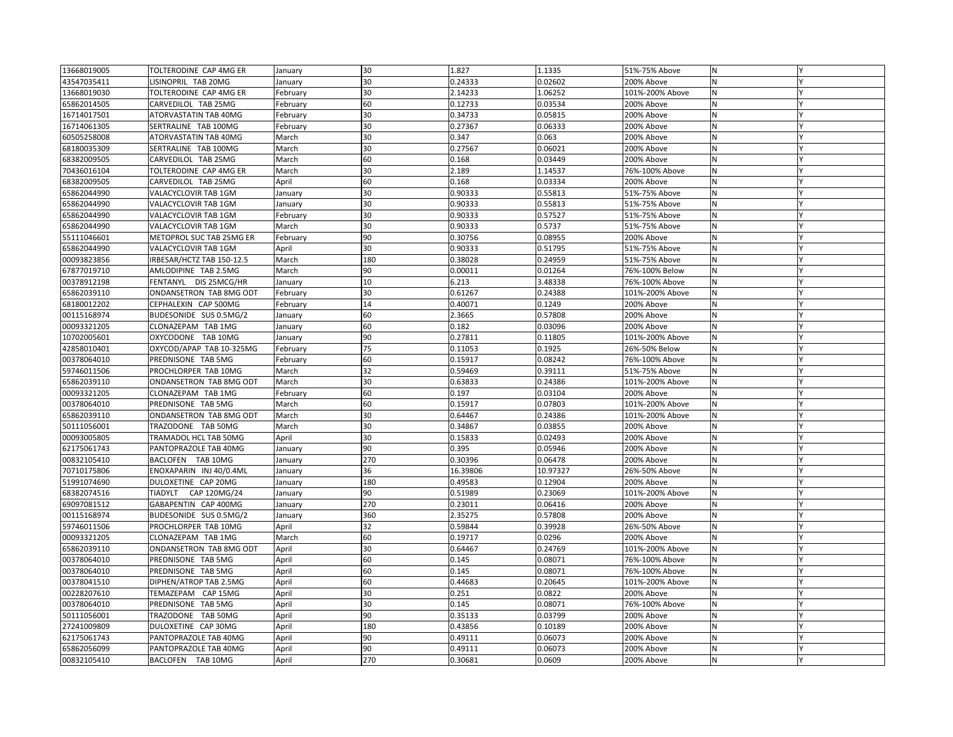| 13668019005 | TOLTERODINE CAP 4MG ER         | January  | 30  | 1.827    | 1.1335   | 51%-75% Above   | N |  |
|-------------|--------------------------------|----------|-----|----------|----------|-----------------|---|--|
| 43547035411 | LISINOPRIL TAB 20MG            | January  | 30  | 0.24333  | 0.02602  | 200% Above      | N |  |
| 13668019030 | TOLTERODINE CAP 4MG ER         | February | 30  | 2.14233  | 1.06252  | 101%-200% Above | N |  |
| 65862014505 | CARVEDILOL TAB 25MG            | February | 60  | 0.12733  | 0.03534  | 200% Above      |   |  |
| 16714017501 | ATORVASTATIN TAB 40MG          | February | 30  | 0.34733  | 0.05815  | 200% Above      | N |  |
| 16714061305 | SERTRALINE TAB 100MG           | February | 30  | 0.27367  | 0.06333  | 200% Above      |   |  |
| 60505258008 | ATORVASTATIN TAB 40MG          | March    | 30  | 0.347    | 0.063    | 200% Above      | N |  |
| 68180035309 | SERTRALINE TAB 100MG           | March    | 30  | 0.27567  | 0.06021  | 200% Above      | N |  |
| 68382009505 | CARVEDILOL TAB 25MG            | March    | 60  | 0.168    | 0.03449  | 200% Above      | N |  |
| 70436016104 | TOLTERODINE CAP 4MG ER         | March    | 30  | 2.189    | 1.14537  | 76%-100% Above  | N |  |
| 68382009505 | CARVEDILOL TAB 25MG            | April    | 60  | 0.168    | 0.03334  | 200% Above      | N |  |
| 65862044990 | VALACYCLOVIR TAB 1GM           | January  | 30  | 0.90333  | 0.55813  | 51%-75% Above   | N |  |
| 65862044990 | VALACYCLOVIR TAB 1GM           | January  | 30  | 0.90333  | 0.55813  | 51%-75% Above   | N |  |
| 65862044990 | VALACYCLOVIR TAB 1GM           | February | 30  | 0.90333  | 0.57527  | 51%-75% Above   | N |  |
| 65862044990 | VALACYCLOVIR TAB 1GM           | March    | 30  | 0.90333  | 0.5737   | 51%-75% Above   | N |  |
| 55111046601 | METOPROL SUC TAB 25MG ER       | February | 90  | 0.30756  | 0.08955  | 200% Above      | N |  |
| 65862044990 | VALACYCLOVIR TAB 1GM           | April    | 30  | 0.90333  | 0.51795  | 51%-75% Above   | N |  |
| 00093823856 | IRBESAR/HCTZ TAB 150-12.5      | March    | 180 | 0.38028  | 0.24959  | 51%-75% Above   | N |  |
| 67877019710 | AMLODIPINE TAB 2.5MG           | March    | 90  | 0.00011  | 0.01264  | 76%-100% Below  | N |  |
| 00378912198 | FENTANYL<br>DIS 25MCG/HR       | January  | 10  | 6.213    | 3.48338  | 76%-100% Above  |   |  |
| 65862039110 | ONDANSETRON TAB 8MG ODT        | February | 30  | 0.61267  | 0.24388  | 101%-200% Above | N |  |
| 68180012202 | CEPHALEXIN CAP 500MG           | February | 14  | 0.40071  | 0.1249   | 200% Above      | N |  |
| 00115168974 | BUDESONIDE SUS 0.5MG/2         | January  | 60  | 2.3665   | 0.57808  | 200% Above      | N |  |
| 00093321205 | CLONAZEPAM TAB 1MG             | January  | 60  | 0.182    | 0.03096  | 200% Above      | N |  |
| 10702005601 | OXYCODONE TAB 10MG             | January  | 90  | 0.27811  | 0.11805  | 101%-200% Above | N |  |
| 42858010401 | OXYCOD/APAP TAB 10-325MG       | February | 75  | 0.11053  | 0.1925   | 26%-50% Below   | N |  |
| 00378064010 | PREDNISONE TAB 5MG             | February | 60  | 0.15917  | 0.08242  | 76%-100% Above  | N |  |
| 59746011506 | PROCHLORPER TAB 10MG           | March    | 32  | 0.59469  | 0.39111  | 51%-75% Above   |   |  |
| 65862039110 | ONDANSETRON TAB 8MG ODT        | March    | 30  | 0.63833  | 0.24386  | 101%-200% Above | N |  |
| 00093321205 | CLONAZEPAM TAB 1MG             | February | 60  | 0.197    | 0.03104  | 200% Above      | N |  |
| 00378064010 | PREDNISONE TAB 5MG             | March    | 60  | 0.15917  | 0.07803  | 101%-200% Above | N |  |
| 65862039110 | ONDANSETRON TAB 8MG ODT        | March    | 30  | 0.64467  | 0.24386  | 101%-200% Above | N |  |
| 50111056001 | TRAZODONE TAB 50MG             | March    | 30  | 0.34867  | 0.03855  | 200% Above      | и |  |
| 00093005805 | TRAMADOL HCL TAB 50MG          | April    | 30  | 0.15833  | 0.02493  | 200% Above      | N |  |
| 62175061743 | PANTOPRAZOLE TAB 40MG          | January  | 90  | 0.395    | 0.05946  | 200% Above      | N |  |
| 00832105410 | BACLOFEN TAB 10MG              | January  | 270 | 0.30396  | 0.06478  | 200% Above      | N |  |
| 70710175806 | ENOXAPARIN INJ 40/0.4ML        | January  | 36  | 16.39806 | 10.97327 | 26%-50% Above   | N |  |
| 51991074690 | DULOXETINE CAP 20MG            | January  | 180 | 0.49583  | 0.12904  | 200% Above      | N |  |
| 68382074516 | <b>TIADYLT</b><br>CAP 120MG/24 | January  | 90  | 0.51989  | 0.23069  | 101%-200% Above | N |  |
| 69097081512 | GABAPENTIN CAP 400MG           | January  | 270 | 0.23011  | 0.06416  | 200% Above      |   |  |
| 00115168974 | BUDESONIDE SUS 0.5MG/2         | January  | 360 | 2.35275  | 0.57808  | 200% Above      | N |  |
| 59746011506 | PROCHLORPER TAB 10MG           | April    | 32  | 0.59844  | 0.39928  | 26%-50% Above   | N |  |
| 00093321205 | CLONAZEPAM TAB 1MG             | March    | 60  | 0.19717  | 0.0296   | 200% Above      | N |  |
| 65862039110 | ONDANSETRON TAB 8MG ODT        | April    | 30  | 0.64467  | 0.24769  | 101%-200% Above | N |  |
| 00378064010 | PREDNISONE TAB 5MG             | April    | 60  | 0.145    | 0.08071  | 76%-100% Above  |   |  |
| 00378064010 | PREDNISONE TAB 5MG             | April    | 60  | 0.145    | 0.08071  | 76%-100% Above  |   |  |
| 00378041510 | DIPHEN/ATROP TAB 2.5MG         | April    | 60  | 0.44683  | 0.20645  | 101%-200% Above | N |  |
| 00228207610 | TEMAZEPAM CAP 15MG             | April    | 30  | 0.251    | 0.0822   | 200% Above      | N |  |
| 00378064010 | PREDNISONE TAB 5MG             | April    | 30  | 0.145    | 0.08071  | 76%-100% Above  | N |  |
| 50111056001 | TRAZODONE TAB 50MG             | April    | 90  | 0.35133  | 0.03799  | 200% Above      | N |  |
| 27241009809 | DULOXETINE CAP 30MG            | April    | 180 | 0.43856  | 0.10189  | 200% Above      | N |  |
| 62175061743 | PANTOPRAZOLE TAB 40MG          | April    | 90  | 0.49111  | 0.06073  | 200% Above      | N |  |
| 65862056099 | PANTOPRAZOLE TAB 40MG          | April    | 90  | 0.49111  | 0.06073  | 200% Above      | N |  |
| 00832105410 | BACLOFEN TAB 10MG              | April    | 270 | 0.30681  | 0.0609   | 200% Above      | N |  |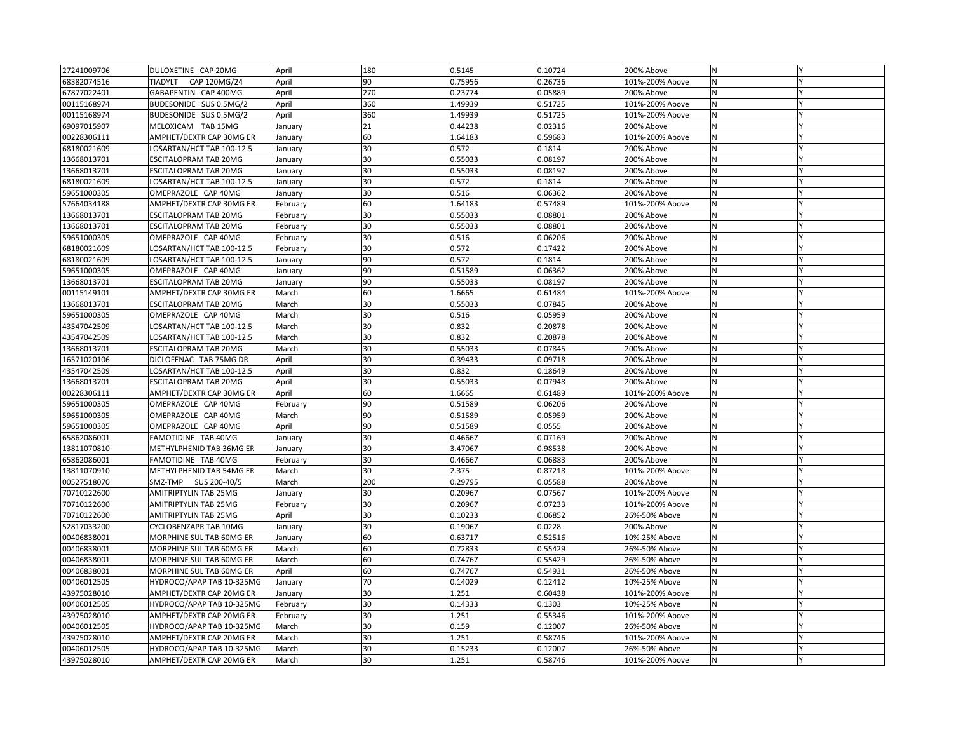| 27241009706 | DULOXETINE CAP 20MG          | April    | 180 | 0.5145  | 0.10724 | 200% Above      | N |  |
|-------------|------------------------------|----------|-----|---------|---------|-----------------|---|--|
| 68382074516 | TIADYLT<br>CAP 120MG/24      | April    | 90  | 0.75956 | 0.26736 | 101%-200% Above | N |  |
| 67877022401 | GABAPENTIN CAP 400MG         | April    | 270 | 0.23774 | 0.05889 | 200% Above      | N |  |
| 00115168974 | BUDESONIDE SUS 0.5MG/2       | April    | 360 | 1.49939 | 0.51725 | 101%-200% Above | N |  |
| 00115168974 | BUDESONIDE SUS 0.5MG/2       | April    | 360 | 1.49939 | 0.51725 | 101%-200% Above | N |  |
| 69097015907 | MELOXICAM TAB 15MG           | January  | 21  | 0.44238 | 0.02316 | 200% Above      | N |  |
| 00228306111 | AMPHET/DEXTR CAP 30MG ER     | January  | 60  | 1.64183 | 0.59683 | 101%-200% Above | N |  |
| 68180021609 | LOSARTAN/HCT TAB 100-12.5    | January  | 30  | 0.572   | 0.1814  | 200% Above      | N |  |
| 13668013701 | <b>ESCITALOPRAM TAB 20MG</b> | January  | 30  | 0.55033 | 0.08197 | 200% Above      | N |  |
| 13668013701 | <b>ESCITALOPRAM TAB 20MG</b> | January  | 30  | 0.55033 | 0.08197 | 200% Above      | N |  |
| 68180021609 | LOSARTAN/HCT TAB 100-12.5    | January  | 30  | 0.572   | 0.1814  | 200% Above      | N |  |
| 59651000305 | OMEPRAZOLE CAP 40MG          | January  | 30  | 0.516   | 0.06362 | 200% Above      | N |  |
| 57664034188 | AMPHET/DEXTR CAP 30MG ER     | February | 60  | 1.64183 | 0.57489 | 101%-200% Above | N |  |
| 13668013701 | ESCITALOPRAM TAB 20MG        | February | 30  | 0.55033 | 0.08801 | 200% Above      | N |  |
| 13668013701 | <b>ESCITALOPRAM TAB 20MG</b> | February | 30  | 0.55033 | 0.08801 | 200% Above      | N |  |
| 59651000305 | OMEPRAZOLE CAP 40MG          | February | 30  | 0.516   | 0.06206 | 200% Above      | N |  |
| 68180021609 | LOSARTAN/HCT TAB 100-12.5    | February | 30  | 0.572   | 0.17422 | 200% Above      |   |  |
| 68180021609 | LOSARTAN/HCT TAB 100-12.5    | January  | 90  | 0.572   | 0.1814  | 200% Above      | N |  |
| 59651000305 | OMEPRAZOLE CAP 40MG          | January  | 90  | 0.51589 | 0.06362 | 200% Above      | N |  |
| 13668013701 | <b>ESCITALOPRAM TAB 20MG</b> | January  | 90  | 0.55033 | 0.08197 | 200% Above      | N |  |
| 00115149101 | AMPHET/DEXTR CAP 30MG ER     | March    | 60  | 1.6665  | 0.61484 | 101%-200% Above | N |  |
| 13668013701 | <b>ESCITALOPRAM TAB 20MG</b> | March    | 30  | 0.55033 | 0.07845 | 200% Above      | N |  |
| 59651000305 | OMEPRAZOLE CAP 40MG          | March    | 30  | 0.516   | 0.05959 | 200% Above      | N |  |
| 43547042509 | LOSARTAN/HCT TAB 100-12.5    | March    | 30  | 0.832   | 0.20878 | 200% Above      | N |  |
| 43547042509 | LOSARTAN/HCT TAB 100-12.5    | March    | 30  | 0.832   | 0.20878 | 200% Above      | N |  |
| 13668013701 | ESCITALOPRAM TAB 20MG        | March    | 30  | 0.55033 | 0.07845 | 200% Above      | N |  |
| 16571020106 | DICLOFENAC TAB 75MG DR       | April    | 30  | 0.39433 | 0.09718 | 200% Above      | N |  |
| 43547042509 | LOSARTAN/HCT TAB 100-12.5    | April    | 30  | 0.832   | 0.18649 | 200% Above      | N |  |
| 13668013701 | <b>ESCITALOPRAM TAB 20MG</b> | April    | 30  | 0.55033 | 0.07948 | 200% Above      | N |  |
| 00228306111 | AMPHET/DEXTR CAP 30MG ER     | April    | 60  | 1.6665  | 0.61489 | 101%-200% Above | N |  |
| 59651000305 | OMEPRAZOLE CAP 40MG          | February | 90  | 0.51589 | 0.06206 | 200% Above      | N |  |
| 59651000305 | OMEPRAZOLE CAP 40MG          | March    | 90  | 0.51589 | 0.05959 | 200% Above      | N |  |
| 59651000305 | OMEPRAZOLE CAP 40MG          | April    | 90  | 0.51589 | 0.0555  | 200% Above      | N |  |
| 65862086001 | FAMOTIDINE TAB 40MG          | January  | 30  | 0.46667 | 0.07169 | 200% Above      | N |  |
| 13811070810 | METHYLPHENID TAB 36MG ER     | January  | 30  | 3.47067 | 0.98538 | 200% Above      | N |  |
| 65862086001 | FAMOTIDINE TAB 40MG          | February | 30  | 0.46667 | 0.06883 | 200% Above      | N |  |
| 13811070910 | METHYLPHENID TAB 54MG ER     | March    | 30  | 2.375   | 0.87218 | 101%-200% Above | N |  |
| 00527518070 | SMZ-TMP<br>SUS 200-40/5      | March    | 200 | 0.29795 | 0.05588 | 200% Above      |   |  |
| 70710122600 | <b>AMITRIPTYLIN TAB 25MG</b> | January  | 30  | 0.20967 | 0.07567 | 101%-200% Above | N |  |
| 70710122600 | <b>AMITRIPTYLIN TAB 25MG</b> | February | 30  | 0.20967 | 0.07233 | 101%-200% Above | N |  |
| 70710122600 | <b>AMITRIPTYLIN TAB 25MG</b> | April    | 30  | 0.10233 | 0.06852 | 26%-50% Above   | N |  |
| 52817033200 | <b>CYCLOBENZAPR TAB 10MG</b> | January  | 30  | 0.19067 | 0.0228  | 200% Above      | N |  |
| 00406838001 | MORPHINE SUL TAB 60MG ER     | January  | 60  | 0.63717 | 0.52516 | 10%-25% Above   | N |  |
| 00406838001 | MORPHINE SUL TAB 60MG ER     | March    | 60  | 0.72833 | 0.55429 | 26%-50% Above   | N |  |
| 00406838001 | MORPHINE SUL TAB 60MG ER     | March    | 60  | 0.74767 | 0.55429 | 26%-50% Above   | N |  |
| 00406838001 | MORPHINE SUL TAB 60MG ER     | April    | 60  | 0.74767 | 0.54931 | 26%-50% Above   | N |  |
| 00406012505 | HYDROCO/APAP TAB 10-325MG    | January  | 70  | 0.14029 | 0.12412 | 10%-25% Above   | Ń |  |
| 43975028010 | AMPHET/DEXTR CAP 20MG ER     | January  | 30  | 1.251   | 0.60438 | 101%-200% Above | N |  |
| 00406012505 | HYDROCO/APAP TAB 10-325MG    | February | 30  | 0.14333 | 0.1303  | 10%-25% Above   | N |  |
| 43975028010 | AMPHET/DEXTR CAP 20MG ER     | February | 30  | 1.251   | 0.55346 | 101%-200% Above | N |  |
| 00406012505 | HYDROCO/APAP TAB 10-325MG    | March    | 30  | 0.159   | 0.12007 | 26%-50% Above   |   |  |
| 43975028010 | AMPHET/DEXTR CAP 20MG ER     | March    | 30  | 1.251   | 0.58746 | 101%-200% Above | N |  |
| 00406012505 | HYDROCO/APAP TAB 10-325MG    | March    | 30  | 0.15233 | 0.12007 | 26%-50% Above   | N |  |
| 43975028010 | AMPHET/DEXTR CAP 20MG ER     | March    | 30  | 1.251   | 0.58746 | 101%-200% Above | Ν |  |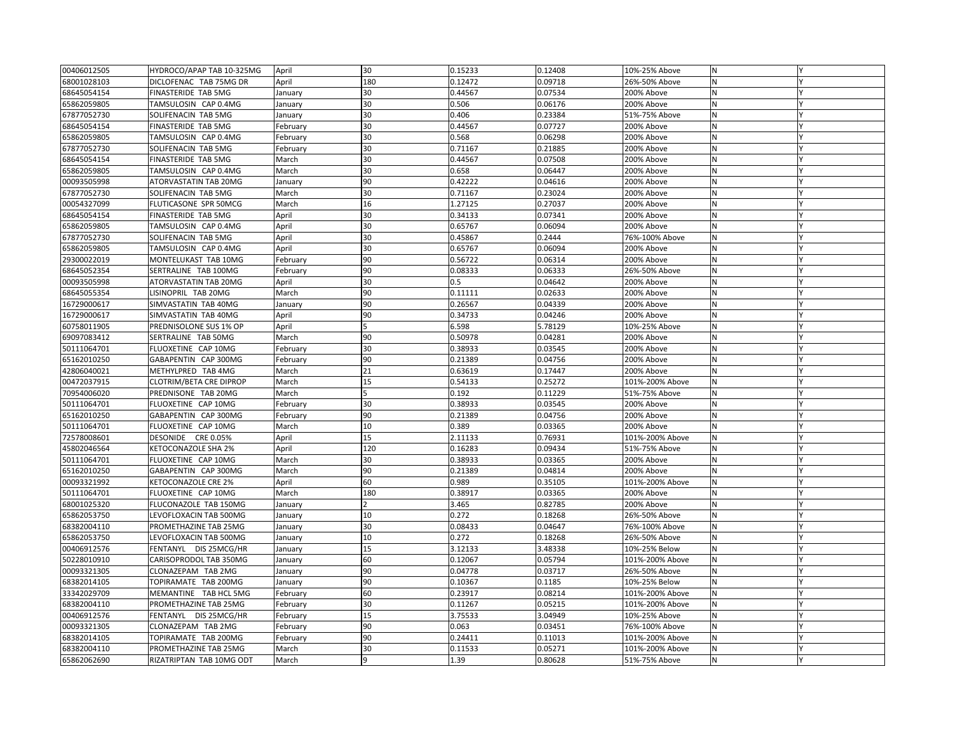| 00406012505 | HYDROCO/APAP TAB 10-325MG | April    | 30  | 0.15233 | 0.12408 | 10%-25% Above   | IN. |  |
|-------------|---------------------------|----------|-----|---------|---------|-----------------|-----|--|
| 68001028103 | DICLOFENAC TAB 75MG DR    | April    | 180 | 0.12472 | 0.09718 | 26%-50% Above   | N   |  |
| 68645054154 | FINASTERIDE TAB 5MG       | January  | 30  | 0.44567 | 0.07534 | 200% Above      |     |  |
| 65862059805 | TAMSULOSIN CAP 0.4MG      | January  | 30  | 0.506   | 0.06176 | 200% Above      |     |  |
| 67877052730 | SOLIFENACIN TAB 5MG       | January  | 30  | 0.406   | 0.23384 | 51%-75% Above   | N   |  |
| 68645054154 | FINASTERIDE TAB 5MG       | February | 30  | 0.44567 | 0.07727 | 200% Above      | N   |  |
| 65862059805 | TAMSULOSIN CAP 0.4MG      | February | 30  | 0.568   | 0.06298 | 200% Above      | N   |  |
| 67877052730 | SOLIFENACIN TAB 5MG       | February | 30  | 0.71167 | 0.21885 | 200% Above      |     |  |
| 68645054154 | FINASTERIDE TAB 5MG       | March    | 30  | 0.44567 | 0.07508 | 200% Above      | N   |  |
| 65862059805 | TAMSULOSIN CAP 0.4MG      | March    | 30  | 0.658   | 0.06447 | 200% Above      | N   |  |
| 00093505998 | ATORVASTATIN TAB 20MG     | January  | 90  | 0.42222 | 0.04616 | 200% Above      | N   |  |
| 67877052730 | SOLIFENACIN TAB 5MG       | March    | 30  | 0.71167 | 0.23024 | 200% Above      | N   |  |
| 00054327099 | FLUTICASONE SPR 50MCG     | March    | 16  | 1.27125 | 0.27037 | 200% Above      | N   |  |
| 68645054154 | FINASTERIDE TAB 5MG       | April    | 30  | 0.34133 | 0.07341 | 200% Above      | N   |  |
| 65862059805 | TAMSULOSIN CAP 0.4MG      | April    | 30  | 0.65767 | 0.06094 | 200% Above      | N   |  |
| 67877052730 | SOLIFENACIN TAB 5MG       | April    | 30  | 0.45867 | 0.2444  | 76%-100% Above  | N   |  |
| 65862059805 | TAMSULOSIN CAP 0.4MG      | April    | 30  | 0.65767 | 0.06094 | 200% Above      | N   |  |
| 29300022019 | MONTELUKAST TAB 10MG      | February | 90  | 0.56722 | 0.06314 | 200% Above      | N   |  |
| 68645052354 | SERTRALINE TAB 100MG      | February | 90  | 0.08333 | 0.06333 | 26%-50% Above   | N   |  |
| 00093505998 | ATORVASTATIN TAB 20MG     | April    | 30  | 0.5     | 0.04642 | 200% Above      |     |  |
| 68645055354 | LISINOPRIL TAB 20MG       | March    | 90  | 0.11111 | 0.02633 | 200% Above      | N   |  |
| 16729000617 | SIMVASTATIN TAB 40MG      | January  | 90  | 0.26567 | 0.04339 | 200% Above      | N   |  |
| 16729000617 | SIMVASTATIN TAB 40MG      | April    | 90  | 0.34733 | 0.04246 | 200% Above      | N   |  |
| 60758011905 | PREDNISOLONE SUS 1% OP    | April    |     | 6.598   | 5.78129 | 10%-25% Above   | N   |  |
| 69097083412 | SERTRALINE TAB 50MG       | March    | 90  | 0.50978 | 0.04281 | 200% Above      |     |  |
| 50111064701 | FLUOXETINE CAP 10MG       | February | 30  | 0.38933 | 0.03545 | 200% Above      | N   |  |
| 65162010250 | GABAPENTIN CAP 300MG      | February | 90  | 0.21389 | 0.04756 | 200% Above      | N   |  |
| 42806040021 | METHYLPRED TAB 4MG        | March    | 21  | 0.63619 | 0.17447 | 200% Above      | N   |  |
| 00472037915 | CLOTRIM/BETA CRE DIPROP   | March    | 15  | 0.54133 | 0.25272 | 101%-200% Above | N   |  |
| 70954006020 | PREDNISONE TAB 20MG       | March    |     | 0.192   | 0.11229 | 51%-75% Above   | N   |  |
| 50111064701 | FLUOXETINE CAP 10MG       | February | 30  | 0.38933 | 0.03545 | 200% Above      | N   |  |
| 65162010250 | GABAPENTIN CAP 300MG      | February | 90  | 0.21389 | 0.04756 | 200% Above      | N   |  |
| 50111064701 | FLUOXETINE CAP 10MG       | March    | 10  | 0.389   | 0.03365 | 200% Above      | N   |  |
| 72578008601 | DESONIDE CRE 0.05%        | April    | 15  | 2.11133 | 0.76931 | 101%-200% Above | N   |  |
| 45802046564 | KETOCONAZOLE SHA 2%       | April    | 120 | 0.16283 | 0.09434 | 51%-75% Above   | N   |  |
| 50111064701 | FLUOXETINE CAP 10MG       | March    | 30  | 0.38933 | 0.03365 | 200% Above      | N   |  |
| 65162010250 | GABAPENTIN CAP 300MG      | March    | 90  | 0.21389 | 0.04814 | 200% Above      | N   |  |
| 00093321992 | KETOCONAZOLE CRE 2%       | April    | 60  | 0.989   | 0.35105 | 101%-200% Above | N   |  |
| 50111064701 | FLUOXETINE CAP 10MG       | March    | 180 | 0.38917 | 0.03365 | 200% Above      | N   |  |
| 68001025320 | FLUCONAZOLE TAB 150MG     | January  |     | 3.465   | 0.82785 | 200% Above      | N   |  |
| 65862053750 | LEVOFLOXACIN TAB 500MG    | January  | 10  | 0.272   | 0.18268 | 26%-50% Above   | N   |  |
| 68382004110 | PROMETHAZINE TAB 25MG     | January  | 30  | 0.08433 | 0.04647 | 76%-100% Above  |     |  |
| 65862053750 | LEVOFLOXACIN TAB 500MG    | January  | 10  | 0.272   | 0.18268 | 26%-50% Above   | N   |  |
| 00406912576 | FENTANYL DIS 25MCG/HR     | January  | 15  | 3.12133 | 3.48338 | 10%-25% Below   | N   |  |
| 50228010910 | CARISOPRODOL TAB 350MG    | January  | 60  | 0.12067 | 0.05794 | 101%-200% Above | N   |  |
| 00093321305 | CLONAZEPAM TAB 2MG        | January  | 90  | 0.04778 | 0.03717 | 26%-50% Above   |     |  |
| 68382014105 | TOPIRAMATE TAB 200MG      | January  | 90  | 0.10367 | 0.1185  | 10%-25% Below   | N   |  |
| 33342029709 | MEMANTINE TAB HCL 5MG     | February | 60  | 0.23917 | 0.08214 | 101%-200% Above | N   |  |
| 68382004110 | PROMETHAZINE TAB 25MG     | February | 30  | 0.11267 | 0.05215 | 101%-200% Above | N   |  |
| 00406912576 | FENTANYL DIS 25MCG/HR     | February | 15  | 3.75533 | 3.04949 | 10%-25% Above   | N   |  |
| 00093321305 | CLONAZEPAM TAB 2MG        | February | 90  | 0.063   | 0.03451 | 76%-100% Above  | N   |  |
| 68382014105 | TOPIRAMATE TAB 200MG      | February | 90  | 0.24411 | 0.11013 | 101%-200% Above | N   |  |
| 68382004110 | PROMETHAZINE TAB 25MG     | March    | 30  | 0.11533 | 0.05271 | 101%-200% Above | N   |  |
| 65862062690 | RIZATRIPTAN TAB 10MG ODT  | March    |     | 1.39    | 0.80628 | 51%-75% Above   | N   |  |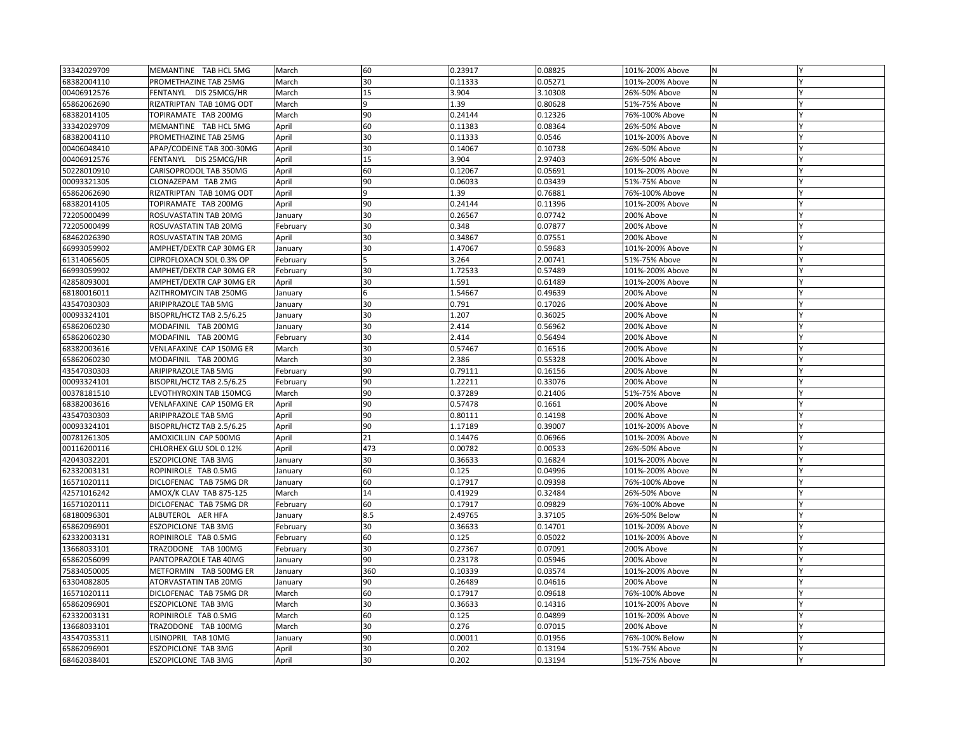| 33342029709 | MEMANTINE TAB HCL 5MG     | March    | 60  | 0.23917 | 0.08825 | 101%-200% Above | <b>N</b> |  |
|-------------|---------------------------|----------|-----|---------|---------|-----------------|----------|--|
| 68382004110 | PROMETHAZINE TAB 25MG     | March    | 30  | 0.11333 | 0.05271 | 101%-200% Above | N        |  |
| 00406912576 | FENTANYL DIS 25MCG/HR     | March    | 15  | 3.904   | 3.10308 | 26%-50% Above   | N        |  |
| 65862062690 | RIZATRIPTAN TAB 10MG ODT  | March    |     | 1.39    | 0.80628 | 51%-75% Above   |          |  |
| 68382014105 | TOPIRAMATE TAB 200MG      | March    | 90  | 0.24144 | 0.12326 | 76%-100% Above  | N        |  |
| 33342029709 | MEMANTINE TAB HCL 5MG     | April    | 60  | 0.11383 | 0.08364 | 26%-50% Above   | N        |  |
| 68382004110 | PROMETHAZINE TAB 25MG     | April    | 30  | 0.11333 | 0.0546  | 101%-200% Above | N        |  |
| 00406048410 | APAP/CODEINE TAB 300-30MG | April    | 30  | 0.14067 | 0.10738 | 26%-50% Above   | N        |  |
| 00406912576 | FENTANYL DIS 25MCG/HR     | April    | 15  | 3.904   | 2.97403 | 26%-50% Above   | N        |  |
| 50228010910 | CARISOPRODOL TAB 350MG    | April    | 60  | 0.12067 | 0.05691 | 101%-200% Above | N        |  |
| 00093321305 | CLONAZEPAM TAB 2MG        | April    | 90  | 0.06033 | 0.03439 | 51%-75% Above   | Ν        |  |
| 65862062690 | RIZATRIPTAN TAB 10MG ODT  | April    |     | 1.39    | 0.76881 | 76%-100% Above  | N        |  |
| 68382014105 | TOPIRAMATE TAB 200MG      | April    | 90  | 0.24144 | 0.11396 | 101%-200% Above | N        |  |
| 72205000499 | ROSUVASTATIN TAB 20MG     | January  | 30  | 0.26567 | 0.07742 | 200% Above      | N        |  |
| 72205000499 | ROSUVASTATIN TAB 20MG     | February | 30  | 0.348   | 0.07877 | 200% Above      | N        |  |
| 68462026390 | ROSUVASTATIN TAB 20MG     | April    | 30  | 0.34867 | 0.07551 | 200% Above      | N        |  |
| 66993059902 | AMPHET/DEXTR CAP 30MG ER  | January  | 30  | 1.47067 | 0.59683 | 101%-200% Above |          |  |
| 61314065605 | CIPROFLOXACN SOL 0.3% OP  | February |     | 3.264   | 2.00741 | 51%-75% Above   | N        |  |
| 66993059902 | AMPHET/DEXTR CAP 30MG ER  | February | 30  | 1.72533 | 0.57489 | 101%-200% Above | N        |  |
| 42858093001 | AMPHET/DEXTR CAP 30MG ER  | April    | 30  | 1.591   | 0.61489 | 101%-200% Above | N        |  |
| 68180016011 | AZITHROMYCIN TAB 250MG    | January  |     | 1.54667 | 0.49639 | 200% Above      |          |  |
| 43547030303 | ARIPIPRAZOLE TAB 5MG      | January  | 30  | 0.791   | 0.17026 | 200% Above      | N        |  |
| 00093324101 | BISOPRL/HCTZ TAB 2.5/6.25 | January  | 30  | 1.207   | 0.36025 | 200% Above      | N        |  |
| 65862060230 | MODAFINIL TAB 200MG       | January  | 30  | 2.414   | 0.56962 | 200% Above      | N        |  |
| 65862060230 | MODAFINIL TAB 200MG       | February | 30  | 2.414   | 0.56494 | 200% Above      | N        |  |
| 68382003616 | VENLAFAXINE CAP 150MG ER  | March    | 30  | 0.57467 | 0.16516 | 200% Above      | N        |  |
| 65862060230 | MODAFINIL TAB 200MG       | March    | 30  | 2.386   | 0.55328 | 200% Above      | N        |  |
| 43547030303 | ARIPIPRAZOLE TAB 5MG      | February | 90  | 0.79111 | 0.16156 | 200% Above      | N        |  |
| 00093324101 | BISOPRL/HCTZ TAB 2.5/6.25 | February | 90  | 1.22211 | 0.33076 | 200% Above      | N        |  |
| 00378181510 | LEVOTHYROXIN TAB 150MCG   | March    | 90  | 0.37289 | 0.21406 | 51%-75% Above   | N        |  |
| 68382003616 | VENLAFAXINE CAP 150MG ER  | April    | 90  | 0.57478 | 0.1661  | 200% Above      | N        |  |
| 43547030303 | ARIPIPRAZOLE TAB 5MG      | April    | 90  | 0.80111 | 0.14198 | 200% Above      | N        |  |
| 00093324101 | BISOPRL/HCTZ TAB 2.5/6.25 | April    | 90  | 1.17189 | 0.39007 | 101%-200% Above | N        |  |
| 00781261305 | AMOXICILLIN CAP 500MG     | April    | 21  | 0.14476 | 0.06966 | 101%-200% Above | N        |  |
| 00116200116 | CHLORHEX GLU SOL 0.12%    | April    | 473 | 0.00782 | 0.00533 | 26%-50% Above   | N        |  |
| 42043032201 | ESZOPICLONE TAB 3MG       | January  | 30  | 0.36633 | 0.16824 | 101%-200% Above | N        |  |
| 62332003131 | ROPINIROLE TAB 0.5MG      | January  | 60  | 0.125   | 0.04996 | 101%-200% Above | N        |  |
| 16571020111 | DICLOFENAC TAB 75MG DR    | January  | 60  | 0.17917 | 0.09398 | 76%-100% Above  |          |  |
| 42571016242 | AMOX/K CLAV TAB 875-125   | March    | 14  | 0.41929 | 0.32484 | 26%-50% Above   | N        |  |
| 16571020111 | DICLOFENAC TAB 75MG DR    | February | 60  | 0.17917 | 0.09829 | 76%-100% Above  | N        |  |
| 68180096301 | ALBUTEROL AER HFA         | January  | 8.5 | 2.49765 | 3.37105 | 26%-50% Below   | N        |  |
| 65862096901 | ESZOPICLONE TAB 3MG       | February | 30  | 0.36633 | 0.14701 | 101%-200% Above | N        |  |
| 62332003131 | ROPINIROLE TAB 0.5MG      | February | 60  | 0.125   | 0.05022 | 101%-200% Above | N        |  |
| 13668033101 | TRAZODONE TAB 100MG       | February | 30  | 0.27367 | 0.07091 | 200% Above      | N        |  |
| 65862056099 | PANTOPRAZOLE TAB 40MG     | January  | 90  | 0.23178 | 0.05946 | 200% Above      | N        |  |
| 75834050005 | METFORMIN TAB 500MG ER    | January  | 360 | 0.10339 | 0.03574 | 101%-200% Above | N        |  |
| 63304082805 | ATORVASTATIN TAB 20MG     | January  | 90  | 0.26489 | 0.04616 | 200% Above      | N        |  |
| 16571020111 | DICLOFENAC TAB 75MG DR    | March    | 60  | 0.17917 | 0.09618 | 76%-100% Above  | N        |  |
| 65862096901 | ESZOPICLONE TAB 3MG       | March    | 30  | 0.36633 | 0.14316 | 101%-200% Above | N        |  |
| 62332003131 | ROPINIROLE TAB 0.5MG      | March    | 60  | 0.125   | 0.04899 | 101%-200% Above | N        |  |
| 13668033101 | TRAZODONE TAB 100MG       | March    | 30  | 0.276   | 0.07015 | 200% Above      |          |  |
| 43547035311 | LISINOPRIL TAB 10MG       | January  | 90  | 0.00011 | 0.01956 | 76%-100% Below  | N        |  |
| 65862096901 | ESZOPICLONE TAB 3MG       | April    | 30  | 0.202   | 0.13194 | 51%-75% Above   | N        |  |
| 68462038401 | ESZOPICLONE TAB 3MG       | April    | 30  | 0.202   | 0.13194 | 51%-75% Above   | N        |  |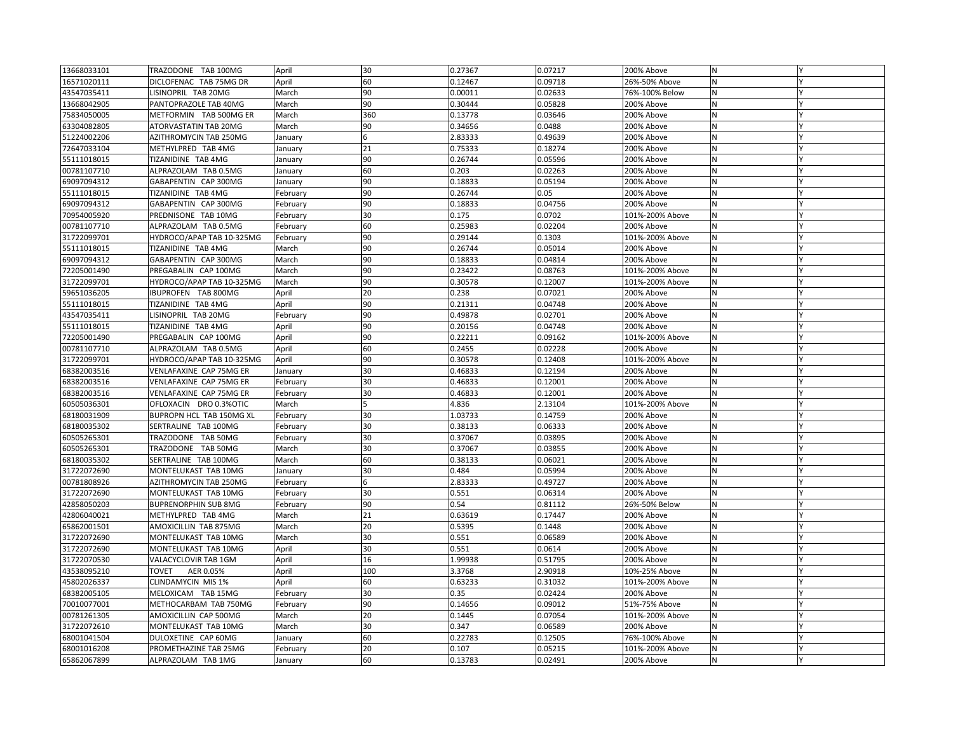| 13668033101 | TRAZODONE TAB 100MG            | April    | 30  | 0.27367 | 0.07217 | 200% Above      | N |  |
|-------------|--------------------------------|----------|-----|---------|---------|-----------------|---|--|
| 16571020111 | DICLOFENAC TAB 75MG DR         | April    | 60  | 0.12467 | 0.09718 | 26%-50% Above   | N |  |
| 43547035411 | LISINOPRIL TAB 20MG            | March    | 90  | 0.00011 | 0.02633 | 76%-100% Below  | N |  |
| 13668042905 | PANTOPRAZOLE TAB 40MG          | March    | 90  | 0.30444 | 0.05828 | 200% Above      | N |  |
| 75834050005 | METFORMIN TAB 500MG ER         | March    | 360 | 0.13778 | 0.03646 | 200% Above      | N |  |
| 63304082805 | ATORVASTATIN TAB 20MG          | March    | 90  | 0.34656 | 0.0488  | 200% Above      | N |  |
| 51224002206 | AZITHROMYCIN TAB 250MG         | January  |     | 2.83333 | 0.49639 | 200% Above      | N |  |
| 72647033104 | METHYLPRED TAB 4MG             | January  | 21  | 0.75333 | 0.18274 | 200% Above      | N |  |
| 55111018015 | TIZANIDINE TAB 4MG             | January  | 90  | 0.26744 | 0.05596 | 200% Above      | N |  |
| 00781107710 | ALPRAZOLAM TAB 0.5MG           | January  | 60  | 0.203   | 0.02263 | 200% Above      | N |  |
| 69097094312 | GABAPENTIN CAP 300MG           | January  | 90  | 0.18833 | 0.05194 | 200% Above      | N |  |
| 55111018015 | TIZANIDINE TAB 4MG             | February | 90  | 0.26744 | 0.05    | 200% Above      | N |  |
| 69097094312 | GABAPENTIN CAP 300MG           | February | 90  | 0.18833 | 0.04756 | 200% Above      | N |  |
| 70954005920 | PREDNISONE TAB 10MG            | February | 30  | 0.175   | 0.0702  | 101%-200% Above | N |  |
| 00781107710 | ALPRAZOLAM TAB 0.5MG           | February | 60  | 0.25983 | 0.02204 | 200% Above      |   |  |
| 31722099701 | HYDROCO/APAP TAB 10-325MG      | February | 90  | 0.29144 | 0.1303  | 101%-200% Above | N |  |
| 55111018015 | TIZANIDINE TAB 4MG             | March    | 90  | 0.26744 | 0.05014 | 200% Above      |   |  |
| 69097094312 | GABAPENTIN CAP 300MG           | March    | 90  | 0.18833 | 0.04814 | 200% Above      | N |  |
| 72205001490 | PREGABALIN CAP 100MG           | March    | 90  | 0.23422 | 0.08763 | 101%-200% Above | N |  |
| 31722099701 | HYDROCO/APAP TAB 10-325MG      | March    | 90  | 0.30578 | 0.12007 | 101%-200% Above |   |  |
| 59651036205 | IBUPROFEN TAB 800MG            | April    | 20  | 0.238   | 0.07021 | 200% Above      |   |  |
| 55111018015 | TIZANIDINE TAB 4MG             | April    | 90  | 0.21311 | 0.04748 | 200% Above      | N |  |
| 43547035411 | LISINOPRIL TAB 20MG            | February | 90  | 0.49878 | 0.02701 | 200% Above      | N |  |
| 55111018015 | TIZANIDINE TAB 4MG             | April    | 90  | 0.20156 | 0.04748 | 200% Above      | N |  |
| 72205001490 | PREGABALIN CAP 100MG           | April    | 90  | 0.22211 | 0.09162 | 101%-200% Above |   |  |
| 00781107710 | ALPRAZOLAM TAB 0.5MG           | April    | 60  | 0.2455  | 0.02228 | 200% Above      | N |  |
| 31722099701 | HYDROCO/APAP TAB 10-325MG      | April    | 90  | 0.30578 | 0.12408 | 101%-200% Above | N |  |
| 68382003516 | VENLAFAXINE CAP 75MG ER        | January  | 30  | 0.46833 | 0.12194 | 200% Above      | N |  |
| 68382003516 | VENLAFAXINE CAP 75MG ER        | February | 30  | 0.46833 | 0.12001 | 200% Above      | N |  |
| 68382003516 | <b>VENLAFAXINE CAP 75MG ER</b> | February | 30  | 0.46833 | 0.12001 | 200% Above      | N |  |
| 60505036301 | OFLOXACIN DRO 0.3%OTIC         | March    |     | 4.836   | 2.13104 | 101%-200% Above | N |  |
| 68180031909 | BUPROPN HCL TAB 150MG XL       | February | 30  | 1.03733 | 0.14759 | 200% Above      |   |  |
| 68180035302 | SERTRALINE TAB 100MG           | February | 30  | 0.38133 | 0.06333 | 200% Above      | N |  |
| 60505265301 | TRAZODONE TAB 50MG             | February | 30  | 0.37067 | 0.03895 | 200% Above      | N |  |
| 60505265301 | TRAZODONE TAB 50MG             | March    | 30  | 0.37067 | 0.03855 | 200% Above      | N |  |
| 68180035302 | SERTRALINE TAB 100MG           | March    | 60  | 0.38133 | 0.06021 | 200% Above      | N |  |
| 31722072690 | MONTELUKAST TAB 10MG           | January  | 30  | 0.484   | 0.05994 | 200% Above      | N |  |
| 00781808926 | AZITHROMYCIN TAB 250MG         | February | 6   | 2.83333 | 0.49727 | 200% Above      | N |  |
| 31722072690 | MONTELUKAST TAB 10MG           | February | 30  | 0.551   | 0.06314 | 200% Above      | N |  |
| 42858050203 | <b>BUPRENORPHIN SUB 8MG</b>    | February | 90  | 0.54    | 0.81112 | 26%-50% Below   |   |  |
| 42806040021 | METHYLPRED TAB 4MG             | March    | 21  | 0.63619 | 0.17447 | 200% Above      | N |  |
| 65862001501 | AMOXICILLIN TAB 875MG          | March    | 20  | 0.5395  | 0.1448  | 200% Above      | N |  |
| 31722072690 | MONTELUKAST TAB 10MG           | March    | 30  | 0.551   | 0.06589 | 200% Above      | N |  |
| 31722072690 | MONTELUKAST TAB 10MG           | April    | 30  | 0.551   | 0.0614  | 200% Above      | N |  |
| 31722070530 | VALACYCLOVIR TAB 1GM           | April    | 16  | 1.99938 | 0.51795 | 200% Above      |   |  |
| 43538095210 | <b>TOVET</b><br>AER 0.05%      | April    | 100 | 3.3768  | 2.90918 | 10%-25% Above   |   |  |
| 45802026337 | CLINDAMYCIN MIS 1%             | April    | 60  | 0.63233 | 0.31032 | 101%-200% Above | N |  |
| 68382005105 | MELOXICAM TAB 15MG             | February | 30  | 0.35    | 0.02424 | 200% Above      | Ν |  |
| 70010077001 | METHOCARBAM TAB 750MG          | February | 90  | 0.14656 | 0.09012 | 51%-75% Above   | N |  |
| 00781261305 | AMOXICILLIN CAP 500MG          | March    | 20  | 0.1445  | 0.07054 | 101%-200% Above | N |  |
| 31722072610 | MONTELUKAST TAB 10MG           | March    | 30  | 0.347   | 0.06589 | 200% Above      | N |  |
| 68001041504 | DULOXETINE CAP 60MG            | January  | 60  | 0.22783 | 0.12505 | 76%-100% Above  | N |  |
| 68001016208 | PROMETHAZINE TAB 25MG          | February | 20  | 0.107   | 0.05215 | 101%-200% Above | N |  |
| 65862067899 | ALPRAZOLAM TAB 1MG             | January  | 60  | 0.13783 | 0.02491 | 200% Above      | N |  |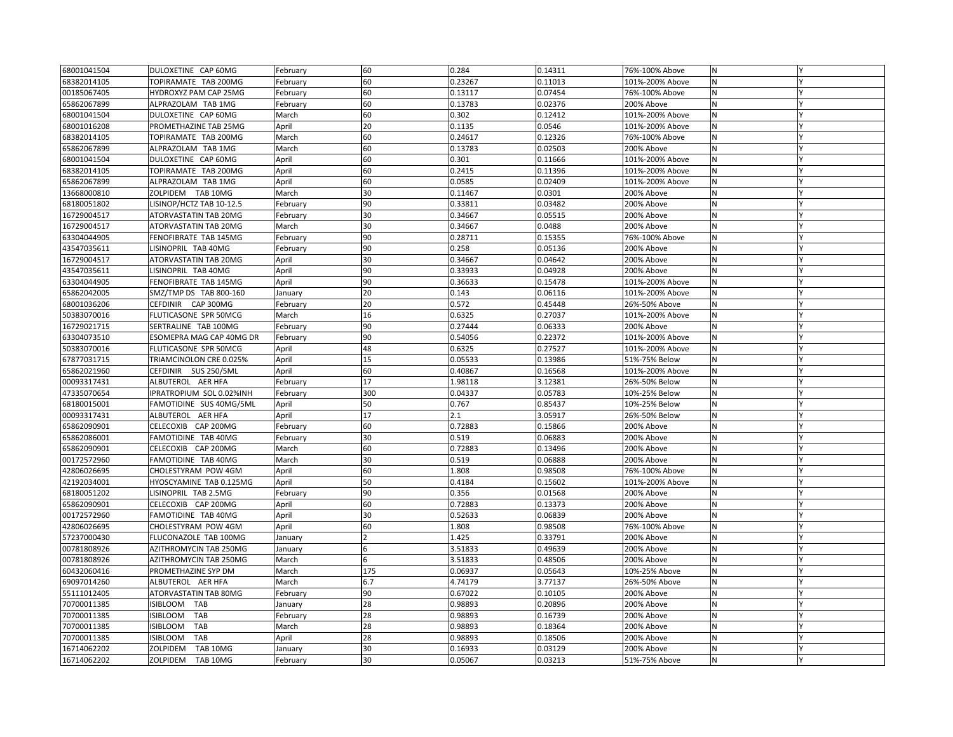| 68001041504 | DULOXETINE CAP 60MG            | February | 60  | 0.284   | 0.14311 | 76%-100% Above  | N |  |
|-------------|--------------------------------|----------|-----|---------|---------|-----------------|---|--|
| 68382014105 | TOPIRAMATE TAB 200MG           | February | 60  | 0.23267 | 0.11013 | 101%-200% Above | N |  |
| 00185067405 | HYDROXYZ PAM CAP 25MG          | February | 60  | 0.13117 | 0.07454 | 76%-100% Above  | N |  |
| 65862067899 | ALPRAZOLAM TAB 1MG             | February | 60  | 0.13783 | 0.02376 | 200% Above      |   |  |
| 68001041504 | DULOXETINE CAP 60MG            | March    | 60  | 0.302   | 0.12412 | 101%-200% Above | N |  |
| 68001016208 | PROMETHAZINE TAB 25MG          | April    | 20  | 0.1135  | 0.0546  | 101%-200% Above |   |  |
| 68382014105 | TOPIRAMATE TAB 200MG           | March    | 60  | 0.24617 | 0.12326 | 76%-100% Above  | N |  |
| 65862067899 | ALPRAZOLAM TAB 1MG             | March    | 60  | 0.13783 | 0.02503 | 200% Above      |   |  |
| 68001041504 | DULOXETINE CAP 60MG            | April    | 60  | 0.301   | 0.11666 | 101%-200% Above | N |  |
| 68382014105 | TOPIRAMATE TAB 200MG           | April    | 60  | 0.2415  | 0.11396 | 101%-200% Above | N |  |
| 65862067899 | ALPRAZOLAM TAB 1MG             | April    | 60  | 0.0585  | 0.02409 | 101%-200% Above | N |  |
| 13668000810 | ZOLPIDEM TAB 10MG              | March    | 30  | 0.11467 | 0.0301  | 200% Above      | N |  |
| 68180051802 | LISINOP/HCTZ TAB 10-12.5       | February | 90  | 0.33811 | 0.03482 | 200% Above      | N |  |
| 16729004517 | ATORVASTATIN TAB 20MG          | February | 30  | 0.34667 | 0.05515 | 200% Above      | N |  |
| 16729004517 | ATORVASTATIN TAB 20MG          | March    | 30  | 0.34667 | 0.0488  | 200% Above      | N |  |
| 63304044905 | FENOFIBRATE TAB 145MG          | February | 90  | 0.28711 | 0.15355 | 76%-100% Above  | N |  |
| 43547035611 | LISINOPRIL TAB 40MG            | February | 90  | 0.258   | 0.05136 | 200% Above      | N |  |
| 16729004517 | ATORVASTATIN TAB 20MG          | April    | 30  | 0.34667 | 0.04642 | 200% Above      | N |  |
| 43547035611 | LISINOPRIL TAB 40MG            | April    | 90  | 0.33933 | 0.04928 | 200% Above      |   |  |
| 63304044905 | FENOFIBRATE TAB 145MG          | April    | 90  | 0.36633 | 0.15478 | 101%-200% Above |   |  |
| 65862042005 | SMZ/TMP DS TAB 800-160         | January  | 20  | 0.143   | 0.06116 | 101%-200% Above |   |  |
| 68001036206 | CEFDINIR CAP 300MG             | February | 20  | 0.572   | 0.45448 | 26%-50% Above   | N |  |
| 50383070016 | FLUTICASONE SPR 50MCG          | March    | 16  | 0.6325  | 0.27037 | 101%-200% Above | N |  |
| 16729021715 | SERTRALINE TAB 100MG           | February | 90  | 0.27444 | 0.06333 | 200% Above      | N |  |
| 63304073510 | ESOMEPRA MAG CAP 40MG DR       | February | 90  | 0.54056 | 0.22372 | 101%-200% Above | N |  |
| 50383070016 | FLUTICASONE SPR 50MCG          | April    | 48  | 0.6325  | 0.27527 | 101%-200% Above | N |  |
| 67877031715 | TRIAMCINOLON CRE 0.025%        | April    | 15  | 0.05533 | 0.13986 | 51%-75% Below   | N |  |
| 65862021960 | CEFDINIR<br><b>SUS 250/5ML</b> | April    | 60  | 0.40867 | 0.16568 | 101%-200% Above | N |  |
| 00093317431 | ALBUTEROL AER HFA              | February | 17  | 1.98118 | 3.12381 | 26%-50% Below   | N |  |
| 47335070654 | IPRATROPIUM SOL 0.02%INH       | February | 300 | 0.04337 | 0.05783 | 10%-25% Below   | N |  |
| 68180015001 | FAMOTIDINE SUS 40MG/5ML        | April    | 50  | 0.767   | 0.85437 | 10%-25% Below   | N |  |
| 00093317431 | ALBUTEROL AER HFA              | April    | 17  | 2.1     | 3.05917 | 26%-50% Below   | N |  |
| 65862090901 | CAP 200MG<br>CELECOXIB         | February | 60  | 0.72883 | 0.15866 | 200% Above      | N |  |
| 65862086001 | FAMOTIDINE TAB 40MG            | February | 30  | 0.519   | 0.06883 | 200% Above      | N |  |
| 65862090901 | CELECOXIB CAP 200MG            | March    | 60  | 0.72883 | 0.13496 | 200% Above      | N |  |
| 00172572960 | FAMOTIDINE TAB 40MG            | March    | 30  | 0.519   | 0.06888 | 200% Above      | N |  |
| 42806026695 | CHOLESTYRAM POW 4GM            | April    | 60  | 1.808   | 0.98508 | 76%-100% Above  | N |  |
| 42192034001 | HYOSCYAMINE TAB 0.125MG        | April    | 50  | 0.4184  | 0.15602 | 101%-200% Above | Ń |  |
| 68180051202 | LISINOPRIL TAB 2.5MG           | February | 90  | 0.356   | 0.01568 | 200% Above      | N |  |
| 65862090901 | CELECOXIB CAP 200MG            | April    | 60  | 0.72883 | 0.13373 | 200% Above      | N |  |
| 00172572960 | FAMOTIDINE TAB 40MG            | April    | 30  | 0.52633 | 0.06839 | 200% Above      | N |  |
| 42806026695 | CHOLESTYRAM POW 4GM            | April    | 60  | 1.808   | 0.98508 | 76%-100% Above  | N |  |
| 57237000430 | FLUCONAZOLE TAB 100MG          | January  |     | 1.425   | 0.33791 | 200% Above      | N |  |
| 00781808926 | AZITHROMYCIN TAB 250MG         | January  |     | 3.51833 | 0.49639 | 200% Above      | N |  |
| 00781808926 | AZITHROMYCIN TAB 250MG         | March    |     | 3.51833 | 0.48506 | 200% Above      | N |  |
| 60432060416 | PROMETHAZINE SYP DM            | March    | 175 | 0.06937 | 0.05643 | 10%-25% Above   | N |  |
| 69097014260 | ALBUTEROL AER HFA              | March    | 6.7 | 4.74179 | 3.77137 | 26%-50% Above   | N |  |
| 55111012405 | ATORVASTATIN TAB 80MG          | February | 90  | 0.67022 | 0.10105 | 200% Above      | N |  |
| 70700011385 | <b>ISIBLOOM</b><br>TAB         | January  | 28  | 0.98893 | 0.20896 | 200% Above      | N |  |
| 70700011385 | <b>ISIBLOOM</b><br>TAB         | February | 28  | 0.98893 | 0.16739 | 200% Above      | N |  |
| 70700011385 | <b>ISIBLOOM</b><br><b>TAB</b>  | March    | 28  | 0.98893 | 0.18364 | 200% Above      | N |  |
| 70700011385 | <b>ISIBLOOM</b><br>TAB         | April    | 28  | 0.98893 | 0.18506 | 200% Above      | N |  |
| 16714062202 | ZOLPIDEM<br>TAB 10MG           | January  | 30  | 0.16933 | 0.03129 | 200% Above      | N |  |
| 16714062202 | TAB 10MG<br>ZOLPIDEM           | February | 30  | 0.05067 | 0.03213 | 51%-75% Above   | N |  |
|             |                                |          |     |         |         |                 |   |  |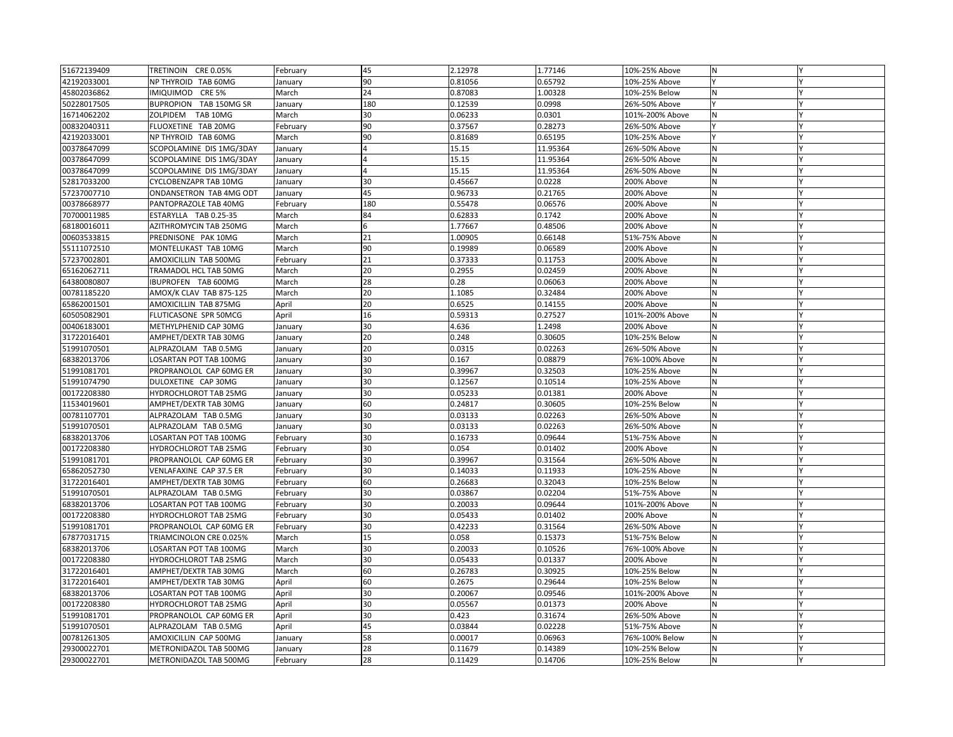| 51672139409                | TRETINOIN CRE 0.05%               | February | 45       | 2.12978            | 1.77146  | 10%-25% Above   | N      |  |
|----------------------------|-----------------------------------|----------|----------|--------------------|----------|-----------------|--------|--|
| 42192033001                | NP THYROID TAB 60MG               | January  | 90       | 0.81056            | 0.65792  | 10%-25% Above   |        |  |
| 45802036862                | <b>IMIQUIMOD</b><br><b>CRE 5%</b> | March    | 24       | 0.87083            | 1.00328  | 10%-25% Below   | N      |  |
| 50228017505                | TAB 150MG SR<br><b>BUPROPION</b>  | January  | 180      | 0.12539            | 0.0998   | 26%-50% Above   |        |  |
| 16714062202                | ZOLPIDEM<br>TAB 10MG              | March    | 30       | 0.06233            | 0.0301   | 101%-200% Above | N      |  |
| 00832040311                | FLUOXETINE TAB 20MG               | February | 90       | 0.37567            | 0.28273  | 26%-50% Above   |        |  |
| 42192033001                | NP THYROID TAB 60MG               | March    | 90       | 0.81689            | 0.65195  | 10%-25% Above   |        |  |
| 00378647099                | SCOPOLAMINE DIS 1MG/3DAY          | January  |          | 15.15              | 11.95364 | 26%-50% Above   | N      |  |
| 00378647099                | SCOPOLAMINE DIS 1MG/3DAY          | January  |          | 15.15              | 11.95364 | 26%-50% Above   | N      |  |
| 00378647099                | SCOPOLAMINE DIS 1MG/3DAY          | January  | 4        | 15.15              | 11.95364 | 26%-50% Above   | N      |  |
| 52817033200                | CYCLOBENZAPR TAB 10MG             | January  | 30       | 0.45667            | 0.0228   | 200% Above      | N      |  |
| 57237007710                | ONDANSETRON TAB 4MG ODT           | January  | 45       | 0.96733            | 0.21765  | 200% Above      | N      |  |
| 00378668977                | PANTOPRAZOLE TAB 40MG             | February | 180      | 0.55478            | 0.06576  | 200% Above      | N      |  |
| 70700011985                | ESTARYLLA TAB 0.25-35             | March    | 84       | 0.62833            | 0.1742   | 200% Above      | N      |  |
| 68180016011                | AZITHROMYCIN TAB 250MG            | March    |          | 1.77667            | 0.48506  | 200% Above      | N      |  |
| 00603533815                | PREDNISONE PAK 10MG               | March    | 21       | 1.00905            | 0.66148  | 51%-75% Above   | N      |  |
| 55111072510                | MONTELUKAST TAB 10MG              | March    | 90       | 0.19989            | 0.06589  | 200% Above      | N      |  |
| 57237002801                | AMOXICILLIN TAB 500MG             | February | 21       | 0.37333            | 0.11753  | 200% Above      | N      |  |
| 65162062711                | TRAMADOL HCL TAB 50MG             | March    | 20       | 0.2955             | 0.02459  | 200% Above      | N      |  |
| 64380080807                | IBUPROFEN TAB 600MG               | March    | 28       | 0.28               | 0.06063  | 200% Above      | N      |  |
| 00781185220                | AMOX/K CLAV TAB 875-125           | March    | 20       | 1.1085             | 0.32484  | 200% Above      |        |  |
| 65862001501                | AMOXICILLIN TAB 875MG             | April    | 20       | 0.6525             | 0.14155  | 200% Above      | N      |  |
| 60505082901                | FLUTICASONE SPR 50MCG             | April    | 16       | 0.59313            | 0.27527  | 101%-200% Above | N      |  |
| 00406183001                | METHYLPHENID CAP 30MG             | January  | 30       | 4.636              | 1.2498   | 200% Above      | N      |  |
| 31722016401                | AMPHET/DEXTR TAB 30MG             | January  | 20       | 0.248              | 0.30605  | 10%-25% Below   |        |  |
| 51991070501                | ALPRAZOLAM TAB 0.5MG              | January  | 20       | 0.0315             | 0.02263  | 26%-50% Above   | N      |  |
| 68382013706                | LOSARTAN POT TAB 100MG            | January  | 30       | 0.167              | 0.08879  | 76%-100% Above  | N      |  |
| 51991081701                | PROPRANOLOL CAP 60MG ER           | January  | 30       | 0.39967            | 0.32503  | 10%-25% Above   | N      |  |
| 51991074790                | DULOXETINE CAP 30MG               | January  | 30       | 0.12567            | 0.10514  | 10%-25% Above   | N      |  |
| 00172208380                | HYDROCHLOROT TAB 25MG             | January  | 30       | 0.05233            | 0.01381  | 200% Above      | N      |  |
| 11534019601                | AMPHET/DEXTR TAB 30MG             | January  | 60       | 0.24817            | 0.30605  | 10%-25% Below   | N      |  |
| 00781107701                | ALPRAZOLAM TAB 0.5MG              | January  | 30       | 0.03133            | 0.02263  | 26%-50% Above   | Ν      |  |
| 51991070501                | ALPRAZOLAM TAB 0.5MG              | January  | 30       | 0.03133            | 0.02263  | 26%-50% Above   |        |  |
| 68382013706                | LOSARTAN POT TAB 100MG            | February | 30       | 0.16733            | 0.09644  | 51%-75% Above   | N      |  |
| 00172208380                | HYDROCHLOROT TAB 25MG             | February | 30       | 0.054              | 0.01402  | 200% Above      | N      |  |
| 51991081701                | PROPRANOLOL CAP 60MG ER           | February | 30       | 0.39967            | 0.31564  | 26%-50% Above   | N      |  |
| 65862052730                | VENLAFAXINE CAP 37.5 ER           | February | 30       | 0.14033            | 0.11933  | 10%-25% Above   | N      |  |
| 31722016401                | AMPHET/DEXTR TAB 30MG             | February | 60       | 0.26683            | 0.32043  | 10%-25% Below   | N      |  |
| 51991070501                | ALPRAZOLAM TAB 0.5MG              | February | 30       | 0.03867            | 0.02204  | 51%-75% Above   | N      |  |
| 68382013706                | LOSARTAN POT TAB 100MG            | February | 30       | 0.20033            | 0.09644  | 101%-200% Above | N      |  |
| 00172208380                | HYDROCHLOROT TAB 25MG             | February | 30       | 0.05433            | 0.01402  | 200% Above      | N      |  |
| 51991081701                | PROPRANOLOL CAP 60MG ER           | February | 30       | 0.42233            | 0.31564  | 26%-50% Above   | N      |  |
| 67877031715                | TRIAMCINOLON CRE 0.025%           | March    | 15       | 0.058              | 0.15373  | 51%-75% Below   | N      |  |
| 68382013706                | LOSARTAN POT TAB 100MG            | March    | 30       | 0.20033            | 0.10526  | 76%-100% Above  | N      |  |
| 00172208380                | HYDROCHLOROT TAB 25MG             | March    | 30       | 0.05433            | 0.01337  | 200% Above      | N      |  |
| 31722016401                | AMPHET/DEXTR TAB 30MG             | March    | 60       | 0.26783            | 0.30925  | 10%-25% Below   |        |  |
| 31722016401                | AMPHET/DEXTR TAB 30MG             | April    | 60<br>30 | 0.2675             | 0.29644  | 10%-25% Below   | N      |  |
| 68382013706                | LOSARTAN POT TAB 100MG            | April    |          | 0.20067            | 0.09546  | 101%-200% Above | N      |  |
| 00172208380                | HYDROCHLOROT TAB 25MG             | April    | 30       | 0.05567            | 0.01373  | 200% Above      | N      |  |
| 51991081701                | PROPRANOLOL CAP 60MG ER           | April    | 30       | 0.423              | 0.31674  | 26%-50% Above   |        |  |
| 51991070501                | ALPRAZOLAM TAB 0.5MG              | April    | 45       | 0.03844            | 0.02228  | 51%-75% Above   | N      |  |
| 00781261305<br>29300022701 | AMOXICILLIN CAP 500MG             | January  | 58       | 0.00017<br>0.11679 | 0.06963  | 76%-100% Below  | N<br>N |  |
|                            | METRONIDAZOL TAB 500MG            | January  | 28       |                    | 0.14389  | 10%-25% Below   | N      |  |
| 29300022701                | METRONIDAZOL TAB 500MG            | February | 28       | 0.11429            | 0.14706  | 10%-25% Below   |        |  |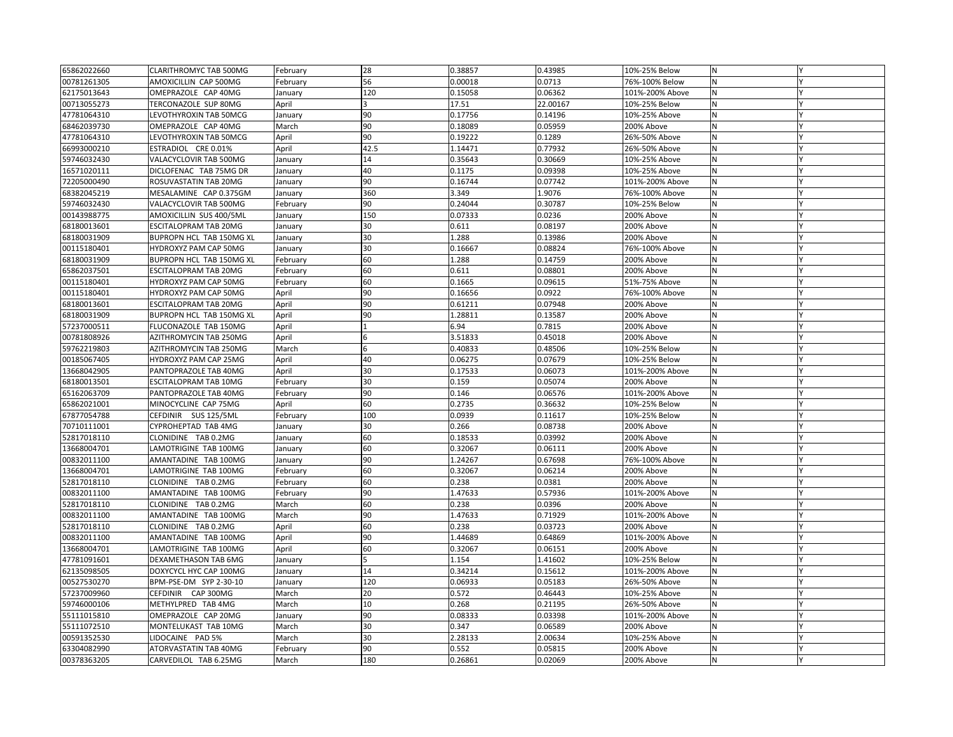| 65862022660 | <b>CLARITHROMYC TAB 500MG</b> | February | 28   | 0.38857 | 0.43985  | 10%-25% Below   | N |  |
|-------------|-------------------------------|----------|------|---------|----------|-----------------|---|--|
| 00781261305 | AMOXICILLIN CAP 500MG         | February | 56   | 0.00018 | 0.0713   | 76%-100% Below  | N |  |
| 62175013643 | OMEPRAZOLE CAP 40MG           | January  | 120  | 0.15058 | 0.06362  | 101%-200% Above | N |  |
| 00713055273 | TERCONAZOLE SUP 80MG          | April    |      | 17.51   | 22.00167 | 10%-25% Below   |   |  |
| 47781064310 | LEVOTHYROXIN TAB 50MCG        | January  | 90   | 0.17756 | 0.14196  | 10%-25% Above   | N |  |
| 68462039730 | OMEPRAZOLE CAP 40MG           | March    | 90   | 0.18089 | 0.05959  | 200% Above      |   |  |
| 47781064310 | LEVOTHYROXIN TAB 50MCG        | April    | 90   | 0.19222 | 0.1289   | 26%-50% Above   | N |  |
| 66993000210 | ESTRADIOL CRE 0.01%           | April    | 42.5 | 1.14471 | 0.77932  | 26%-50% Above   |   |  |
| 59746032430 | VALACYCLOVIR TAB 500MG        | January  | 14   | 0.35643 | 0.30669  | 10%-25% Above   | N |  |
| 16571020111 | DICLOFENAC TAB 75MG DR        | January  | 40   | 0.1175  | 0.09398  | 10%-25% Above   | N |  |
| 72205000490 | ROSUVASTATIN TAB 20MG         | January  | 90   | 0.16744 | 0.07742  | 101%-200% Above | N |  |
| 68382045219 | MESALAMINE CAP 0.375GM        | January  | 360  | 3.349   | 1.9076   | 76%-100% Above  | N |  |
| 59746032430 | VALACYCLOVIR TAB 500MG        | February | 90   | 0.24044 | 0.30787  | 10%-25% Below   | N |  |
| 00143988775 | AMOXICILLIN SUS 400/5ML       | January  | 150  | 0.07333 | 0.0236   | 200% Above      | N |  |
| 68180013601 | <b>ESCITALOPRAM TAB 20MG</b>  | January  | 30   | 0.611   | 0.08197  | 200% Above      | N |  |
| 68180031909 | BUPROPN HCL TAB 150MG XL      | January  | 30   | 1.288   | 0.13986  | 200% Above      | N |  |
| 00115180401 | HYDROXYZ PAM CAP 50MG         | January  | 30   | 0.16667 | 0.08824  | 76%-100% Above  | N |  |
| 68180031909 | BUPROPN HCL TAB 150MG XL      | February | 60   | 1.288   | 0.14759  | 200% Above      | N |  |
| 65862037501 | <b>ESCITALOPRAM TAB 20MG</b>  | February | 60   | 0.611   | 0.08801  | 200% Above      | N |  |
| 00115180401 | HYDROXYZ PAM CAP 50MG         | February | 60   | 0.1665  | 0.09615  | 51%-75% Above   |   |  |
| 00115180401 | HYDROXYZ PAM CAP 50MG         | April    | 90   | 0.16656 | 0.0922   | 76%-100% Above  | N |  |
| 68180013601 | <b>ESCITALOPRAM TAB 20MG</b>  | April    | 90   | 0.61211 | 0.07948  | 200% Above      | N |  |
| 68180031909 | BUPROPN HCL TAB 150MG XL      | April    | 90   | 1.28811 | 0.13587  | 200% Above      | N |  |
| 57237000511 | FLUCONAZOLE TAB 150MG         | April    |      | 6.94    | 0.7815   | 200% Above      | N |  |
| 00781808926 | AZITHROMYCIN TAB 250MG        | April    |      | 3.51833 | 0.45018  | 200% Above      | N |  |
| 59762219803 | <b>AZITHROMYCIN TAB 250MG</b> | March    | 6    | 0.40833 | 0.48506  | 10%-25% Below   | N |  |
| 00185067405 | HYDROXYZ PAM CAP 25MG         | April    | 40   | 0.06275 | 0.07679  | 10%-25% Below   | N |  |
| 13668042905 | PANTOPRAZOLE TAB 40MG         | April    | 30   | 0.17533 | 0.06073  | 101%-200% Above | N |  |
| 68180013501 | <b>ESCITALOPRAM TAB 10MG</b>  | February | 30   | 0.159   | 0.05074  | 200% Above      | N |  |
| 65162063709 | PANTOPRAZOLE TAB 40MG         | February | 90   | 0.146   | 0.06576  | 101%-200% Above | N |  |
| 65862021001 | MINOCYCLINE CAP 75MG          | April    | 60   | 0.2735  | 0.36632  | 10%-25% Below   | N |  |
| 67877054788 | CEFDINIR SUS 125/5ML          | February | 100  | 0.0939  | 0.11617  | 10%-25% Below   | N |  |
| 70710111001 | CYPROHEPTAD TAB 4MG           | January  | 30   | 0.266   | 0.08738  | 200% Above      | N |  |
| 52817018110 | CLONIDINE TAB 0.2MG           | January  | 60   | 0.18533 | 0.03992  | 200% Above      | N |  |
| 13668004701 | LAMOTRIGINE TAB 100MG         | January  | 60   | 0.32067 | 0.06111  | 200% Above      | N |  |
| 00832011100 | AMANTADINE TAB 100MG          | January  | 90   | 1.24267 | 0.67698  | 76%-100% Above  | N |  |
| 13668004701 | LAMOTRIGINE TAB 100MG         | February | 60   | 0.32067 | 0.06214  | 200% Above      | N |  |
| 52817018110 | CLONIDINE TAB 0.2MG           | February | 60   | 0.238   | 0.0381   | 200% Above      | N |  |
| 00832011100 | AMANTADINE TAB 100MG          | February | 90   | 1.47633 | 0.57936  | 101%-200% Above | N |  |
| 52817018110 | CLONIDINE TAB 0.2MG           | March    | 60   | 0.238   | 0.0396   | 200% Above      | N |  |
| 00832011100 | AMANTADINE TAB 100MG          | March    | 90   | 1.47633 | 0.71929  | 101%-200% Above | N |  |
| 52817018110 | CLONIDINE TAB 0.2MG           | April    | 60   | 0.238   | 0.03723  | 200% Above      | N |  |
| 00832011100 | AMANTADINE TAB 100MG          | April    | 90   | 1.44689 | 0.64869  | 101%-200% Above | N |  |
| 13668004701 | LAMOTRIGINE TAB 100MG         | April    | 60   | 0.32067 | 0.06151  | 200% Above      | N |  |
| 47781091601 | <b>DEXAMETHASON TAB 6MG</b>   | January  | 5    | 1.154   | 1.41602  | 10%-25% Below   | N |  |
| 62135098505 | DOXYCYCL HYC CAP 100MG        | January  | 14   | 0.34214 | 0.15612  | 101%-200% Above | N |  |
| 00527530270 | BPM-PSE-DM SYP 2-30-10        | January  | 120  | 0.06933 | 0.05183  | 26%-50% Above   | N |  |
| 57237009960 | <b>CEFDINIR</b><br>CAP 300MG  | March    | 20   | 0.572   | 0.46443  | 10%-25% Above   | N |  |
| 59746000106 | METHYLPRED TAB 4MG            | March    | 10   | 0.268   | 0.21195  | 26%-50% Above   | N |  |
| 55111015810 | OMEPRAZOLE CAP 20MG           | January  | 90   | 0.08333 | 0.03398  | 101%-200% Above | N |  |
| 55111072510 | MONTELUKAST TAB 10MG          | March    | 30   | 0.347   | 0.06589  | 200% Above      |   |  |
| 00591352530 | LIDOCAINE PAD 5%              | March    | 30   | 2.28133 | 2.00634  | 10%-25% Above   | N |  |
| 63304082990 | ATORVASTATIN TAB 40MG         | February | 90   | 0.552   | 0.05815  | 200% Above      | N |  |
| 00378363205 | CARVEDILOL TAB 6.25MG         | March    | 180  | 0.26861 | 0.02069  | 200% Above      | N |  |
|             |                               |          |      |         |          |                 |   |  |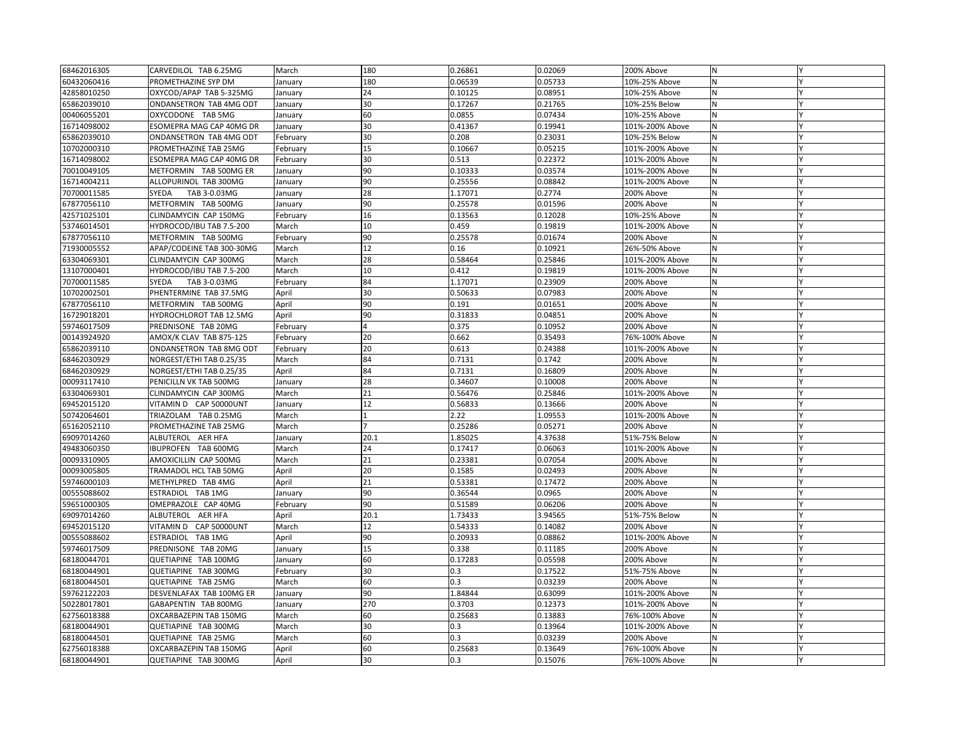| 68462016305 | CARVEDILOL TAB 6.25MG     | March    | 180  | 0.26861 | 0.02069 | 200% Above      | IN. |  |
|-------------|---------------------------|----------|------|---------|---------|-----------------|-----|--|
| 60432060416 | PROMETHAZINE SYP DM       | January  | 180  | 0.06539 | 0.05733 | 10%-25% Above   | N   |  |
| 42858010250 | OXYCOD/APAP TAB 5-325MG   | January  | 24   | 0.10125 | 0.08951 | 10%-25% Above   |     |  |
| 65862039010 | ONDANSETRON TAB 4MG ODT   | January  | 30   | 0.17267 | 0.21765 | 10%-25% Below   |     |  |
| 00406055201 | OXYCODONE TAB 5MG         | January  | 60   | 0.0855  | 0.07434 | 10%-25% Above   | N   |  |
| 16714098002 | ESOMEPRA MAG CAP 40MG DR  | January  | 30   | 0.41367 | 0.19941 | 101%-200% Above | N   |  |
| 65862039010 | ONDANSETRON TAB 4MG ODT   | February | 30   | 0.208   | 0.23031 | 10%-25% Below   | N   |  |
| 10702000310 | PROMETHAZINE TAB 25MG     | February | 15   | 0.10667 | 0.05215 | 101%-200% Above |     |  |
| 16714098002 | ESOMEPRA MAG CAP 40MG DR  | February | 30   | 0.513   | 0.22372 | 101%-200% Above | N   |  |
| 70010049105 | METFORMIN TAB 500MG ER    | January  | 90   | 0.10333 | 0.03574 | 101%-200% Above | N   |  |
| 16714004211 | ALLOPURINOL TAB 300MG     | January  | 90   | 0.25556 | 0.08842 | 101%-200% Above | N   |  |
| 70700011585 | SYEDA<br>TAB 3-0.03MG     | January  | 28   | 1.17071 | 0.2774  | 200% Above      |     |  |
| 67877056110 | METFORMIN TAB 500MG       | January  | 90   | 0.25578 | 0.01596 | 200% Above      | N   |  |
| 42571025101 | CLINDAMYCIN CAP 150MG     | February | 16   | 0.13563 | 0.12028 | 10%-25% Above   | N   |  |
| 53746014501 | HYDROCOD/IBU TAB 7.5-200  | March    | 10   | 0.459   | 0.19819 | 101%-200% Above | N   |  |
| 67877056110 | METFORMIN TAB 500MG       | February | 90   | 0.25578 | 0.01674 | 200% Above      | N   |  |
| 71930005552 | APAP/CODEINE TAB 300-30MG | March    | 12   | 0.16    | 0.10921 | 26%-50% Above   | N   |  |
| 63304069301 | CLINDAMYCIN CAP 300MG     | March    | 28   | 0.58464 | 0.25846 | 101%-200% Above | N   |  |
| 13107000401 | HYDROCOD/IBU TAB 7.5-200  | March    | 10   | 0.412   | 0.19819 | 101%-200% Above | Ν   |  |
| 70700011585 | SYEDA<br>TAB 3-0.03MG     | February | 84   | 1.17071 | 0.23909 | 200% Above      |     |  |
| 10702002501 | PHENTERMINE TAB 37.5MG    | April    | 30   | 0.50633 | 0.07983 | 200% Above      | N   |  |
| 67877056110 | METFORMIN TAB 500MG       | April    | 90   | 0.191   | 0.01651 | 200% Above      | N   |  |
| 16729018201 | HYDROCHLOROT TAB 12.5MG   | April    | 90   | 0.31833 | 0.04851 | 200% Above      | N   |  |
| 59746017509 | PREDNISONE TAB 20MG       | February |      | 0.375   | 0.10952 | 200% Above      | N   |  |
| 00143924920 | AMOX/K CLAV TAB 875-125   | February | 20   | 0.662   | 0.35493 | 76%-100% Above  |     |  |
| 65862039110 | ONDANSETRON TAB 8MG ODT   | February | 20   | 0.613   | 0.24388 | 101%-200% Above | N   |  |
| 68462030929 | NORGEST/ETHI TAB 0.25/35  | March    | 84   | 0.7131  | 0.1742  | 200% Above      | N   |  |
| 68462030929 | NORGEST/ETHI TAB 0.25/35  | April    | 84   | 0.7131  | 0.16809 | 200% Above      | N   |  |
| 00093117410 | PENICILLN VK TAB 500MG    | January  | 28   | 0.34607 | 0.10008 | 200% Above      | N   |  |
| 63304069301 | CLINDAMYCIN CAP 300MG     | March    | 21   | 0.56476 | 0.25846 | 101%-200% Above | N   |  |
| 69452015120 | VITAMIN D CAP 50000UNT    | January  | 12   | 0.56833 | 0.13666 | 200% Above      | N   |  |
| 50742064601 | TRIAZOLAM TAB 0.25MG      | March    |      | 2.22    | 1.09553 | 101%-200% Above | N   |  |
| 65162052110 | PROMETHAZINE TAB 25MG     | March    |      | 0.25286 | 0.05271 | 200% Above      | N   |  |
| 69097014260 | ALBUTEROL AER HFA         | January  | 20.1 | 1.85025 | 4.37638 | 51%-75% Below   | N   |  |
| 49483060350 | IBUPROFEN TAB 600MG       | March    | 24   | 0.17417 | 0.06063 | 101%-200% Above | N   |  |
| 00093310905 | AMOXICILLIN CAP 500MG     | March    | 21   | 0.23381 | 0.07054 | 200% Above      | N   |  |
| 00093005805 | TRAMADOL HCL TAB 50MG     | April    | 20   | 0.1585  | 0.02493 | 200% Above      | N   |  |
| 59746000103 | METHYLPRED TAB 4MG        | April    | 21   | 0.53381 | 0.17472 | 200% Above      | N   |  |
| 00555088602 | ESTRADIOL TAB 1MG         | January  | 90   | 0.36544 | 0.0965  | 200% Above      | N   |  |
| 59651000305 | OMEPRAZOLE CAP 40MG       | February | 90   | 0.51589 | 0.06206 | 200% Above      | N   |  |
| 69097014260 | ALBUTEROL<br>AER HFA      | April    | 20.1 | 1.73433 | 3.94565 | 51%-75% Below   | N   |  |
| 69452015120 | VITAMIN D CAP 50000UNT    | March    | 12   | 0.54333 | 0.14082 | 200% Above      | N   |  |
| 00555088602 | ESTRADIOL<br>TAB 1MG      | April    | 90   | 0.20933 | 0.08862 | 101%-200% Above | N   |  |
| 59746017509 | PREDNISONE TAB 20MG       | January  | 15   | 0.338   | 0.11185 | 200% Above      | N   |  |
| 68180044701 | QUETIAPINE TAB 100MG      | January  | 60   | 0.17283 | 0.05598 | 200% Above      | N   |  |
| 68180044901 | QUETIAPINE TAB 300MG      | February | 30   | 0.3     | 0.17522 | 51%-75% Above   |     |  |
| 68180044501 | QUETIAPINE TAB 25MG       | March    | 60   | 0.3     | 0.03239 | 200% Above      | N   |  |
| 59762122203 | DESVENLAFAX TAB 100MG ER  | January  | 90   | 1.84844 | 0.63099 | 101%-200% Above | N   |  |
| 50228017801 | GABAPENTIN TAB 800MG      | January  | 270  | 0.3703  | 0.12373 | 101%-200% Above | N   |  |
| 62756018388 | OXCARBAZEPIN TAB 150MG    | March    | 60   | 0.25683 | 0.13883 | 76%-100% Above  | N   |  |
| 68180044901 | QUETIAPINE TAB 300MG      | March    | 30   | 0.3     | 0.13964 | 101%-200% Above | N   |  |
| 68180044501 | QUETIAPINE TAB 25MG       | March    | 60   | 0.3     | 0.03239 | 200% Above      | N   |  |
| 62756018388 | OXCARBAZEPIN TAB 150MG    | April    | 60   | 0.25683 | 0.13649 | 76%-100% Above  | N   |  |
| 68180044901 | QUETIAPINE TAB 300MG      | April    | 30   | 0.3     | 0.15076 | 76%-100% Above  | N   |  |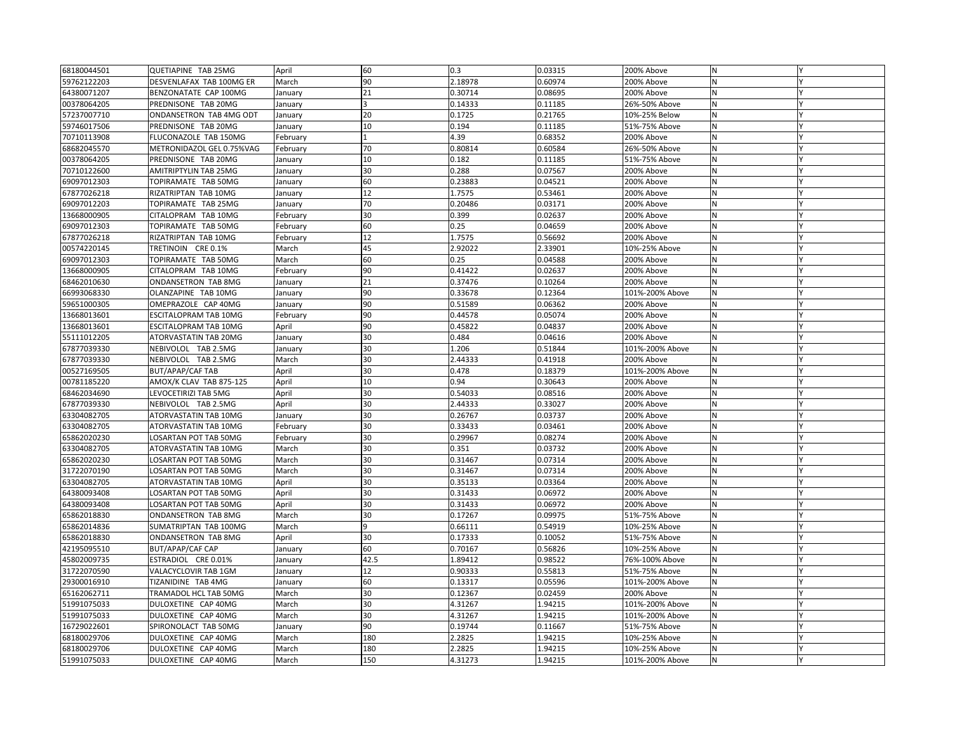| 68180044501 | QUETIAPINE TAB 25MG          | April    | 60   | 0.3     | 0.03315 | 200% Above      | N |  |
|-------------|------------------------------|----------|------|---------|---------|-----------------|---|--|
| 59762122203 | DESVENLAFAX TAB 100MG ER     | March    | 90   | 2.18978 | 0.60974 | 200% Above      | N |  |
| 64380071207 | BENZONATATE CAP 100MG        | January  | 21   | 0.30714 | 0.08695 | 200% Above      | N |  |
| 00378064205 | PREDNISONE TAB 20MG          | January  |      | 0.14333 | 0.11185 | 26%-50% Above   | N |  |
| 57237007710 | ONDANSETRON TAB 4MG ODT      | January  | 20   | 0.1725  | 0.21765 | 10%-25% Below   | N |  |
| 59746017506 | PREDNISONE TAB 20MG          | January  | 10   | 0.194   | 0.11185 | 51%-75% Above   | N |  |
| 70710113908 | FLUCONAZOLE TAB 150MG        | February |      | 4.39    | 0.68352 | 200% Above      | N |  |
| 68682045570 | METRONIDAZOL GEL 0.75%VAG    | February | 70   | 0.80814 | 0.60584 | 26%-50% Above   | N |  |
| 00378064205 | PREDNISONE TAB 20MG          | January  | 10   | 0.182   | 0.11185 | 51%-75% Above   | N |  |
| 70710122600 | <b>AMITRIPTYLIN TAB 25MG</b> | January  | 30   | 0.288   | 0.07567 | 200% Above      | N |  |
| 69097012303 | TOPIRAMATE TAB 50MG          | January  | 60   | 0.23883 | 0.04521 | 200% Above      | N |  |
| 67877026218 | RIZATRIPTAN TAB 10MG         | January  | 12   | 1.7575  | 0.53461 | 200% Above      | N |  |
| 69097012203 | TOPIRAMATE TAB 25MG          | January  | 70   | 0.20486 | 0.03171 | 200% Above      | N |  |
| 13668000905 | CITALOPRAM TAB 10MG          | February | 30   | 0.399   | 0.02637 | 200% Above      | N |  |
| 69097012303 | TOPIRAMATE TAB 50MG          | February | 60   | 0.25    | 0.04659 | 200% Above      | N |  |
| 67877026218 | RIZATRIPTAN TAB 10MG         | February | 12   | 1.7575  | 0.56692 | 200% Above      | N |  |
| 00574220145 | TRETINOIN<br>CRE 0.1%        | March    | 45   | 2.92022 | 2.33901 | 10%-25% Above   | N |  |
| 69097012303 | TOPIRAMATE TAB 50MG          | March    | 60   | 0.25    | 0.04588 | 200% Above      | N |  |
| 13668000905 | CITALOPRAM TAB 10MG          | February | 90   | 0.41422 | 0.02637 | 200% Above      | N |  |
| 68462010630 | <b>ONDANSETRON TAB 8MG</b>   | January  | 21   | 0.37476 | 0.10264 | 200% Above      |   |  |
| 66993068330 | OLANZAPINE TAB 10MG          | January  | 90   | 0.33678 | 0.12364 | 101%-200% Above |   |  |
| 59651000305 | OMEPRAZOLE CAP 40MG          | January  | 90   | 0.51589 | 0.06362 | 200% Above      | N |  |
| 13668013601 | ESCITALOPRAM TAB 10MG        | February | 90   | 0.44578 | 0.05074 | 200% Above      | N |  |
| 13668013601 | <b>ESCITALOPRAM TAB 10MG</b> | April    | 90   | 0.45822 | 0.04837 | 200% Above      | N |  |
| 55111012205 | ATORVASTATIN TAB 20MG        | January  | 30   | 0.484   | 0.04616 | 200% Above      |   |  |
| 67877039330 | NEBIVOLOL TAB 2.5MG          | January  | 30   | 1.206   | 0.51844 | 101%-200% Above | N |  |
| 67877039330 | NEBIVOLOL TAB 2.5MG          | March    | 30   | 2.44333 | 0.41918 | 200% Above      | N |  |
| 00527169505 | <b>BUT/APAP/CAF TAB</b>      | April    | 30   | 0.478   | 0.18379 | 101%-200% Above | N |  |
| 00781185220 | AMOX/K CLAV TAB 875-125      | April    | 10   | 0.94    | 0.30643 | 200% Above      | N |  |
| 68462034690 | LEVOCETIRIZI TAB 5MG         | April    | 30   | 0.54033 | 0.08516 | 200% Above      | N |  |
| 67877039330 | NEBIVOLOL TAB 2.5MG          | April    | 30   | 2.44333 | 0.33027 | 200% Above      | N |  |
| 63304082705 | ATORVASTATIN TAB 10MG        | January  | 30   | 0.26767 | 0.03737 | 200% Above      |   |  |
| 63304082705 | ATORVASTATIN TAB 10MG        | February | 30   | 0.33433 | 0.03461 | 200% Above      | N |  |
| 65862020230 | <b>LOSARTAN POT TAB 50MG</b> | February | 30   | 0.29967 | 0.08274 | 200% Above      | N |  |
| 63304082705 | ATORVASTATIN TAB 10MG        | March    | 30   | 0.351   | 0.03732 | 200% Above      | N |  |
| 65862020230 | <b>LOSARTAN POT TAB 50MG</b> | March    | 30   | 0.31467 | 0.07314 | 200% Above      | N |  |
| 31722070190 | <b>LOSARTAN POT TAB 50MG</b> | March    | 30   | 0.31467 | 0.07314 | 200% Above      | N |  |
| 63304082705 | ATORVASTATIN TAB 10MG        | April    | 30   | 0.35133 | 0.03364 | 200% Above      | N |  |
| 64380093408 | <b>LOSARTAN POT TAB 50MG</b> | April    | 30   | 0.31433 | 0.06972 | 200% Above      | N |  |
| 64380093408 | LOSARTAN POT TAB 50MG        | April    | 30   | 0.31433 | 0.06972 | 200% Above      |   |  |
| 65862018830 | ONDANSETRON TAB 8MG          | March    | 30   | 0.17267 | 0.09975 | 51%-75% Above   | N |  |
| 65862014836 | SUMATRIPTAN TAB 100MG        | March    |      | 0.66111 | 0.54919 | 10%-25% Above   | N |  |
| 65862018830 | <b>ONDANSETRON TAB 8MG</b>   | April    | 30   | 0.17333 | 0.10052 | 51%-75% Above   | N |  |
| 42195095510 | <b>BUT/APAP/CAF CAP</b>      | January  | 60   | 0.70167 | 0.56826 | 10%-25% Above   | N |  |
| 45802009735 | ESTRADIOL CRE 0.01%          | January  | 42.5 | 1.89412 | 0.98522 | 76%-100% Above  |   |  |
| 31722070590 | VALACYCLOVIR TAB 1GM         | January  | 12   | 0.90333 | 0.55813 | 51%-75% Above   |   |  |
| 29300016910 | TIZANIDINE TAB 4MG           | January  | 60   | 0.13317 | 0.05596 | 101%-200% Above | N |  |
| 65162062711 | TRAMADOL HCL TAB 50MG        | March    | 30   | 0.12367 | 0.02459 | 200% Above      | N |  |
| 51991075033 | DULOXETINE CAP 40MG          | March    | 30   | 4.31267 | 1.94215 | 101%-200% Above | N |  |
| 51991075033 | DULOXETINE CAP 40MG          | March    | 30   | 4.31267 | 1.94215 | 101%-200% Above |   |  |
| 16729022601 | SPIRONOLACT TAB 50MG         | January  | 90   | 0.19744 | 0.11667 | 51%-75% Above   | N |  |
| 68180029706 | DULOXETINE CAP 40MG          | March    | 180  | 2.2825  | 1.94215 | 10%-25% Above   | N |  |
| 68180029706 | DULOXETINE CAP 40MG          | March    | 180  | 2.2825  | 1.94215 | 10%-25% Above   | N |  |
| 51991075033 | DULOXETINE CAP 40MG          | March    | 150  | 4.31273 | 1.94215 | 101%-200% Above | N |  |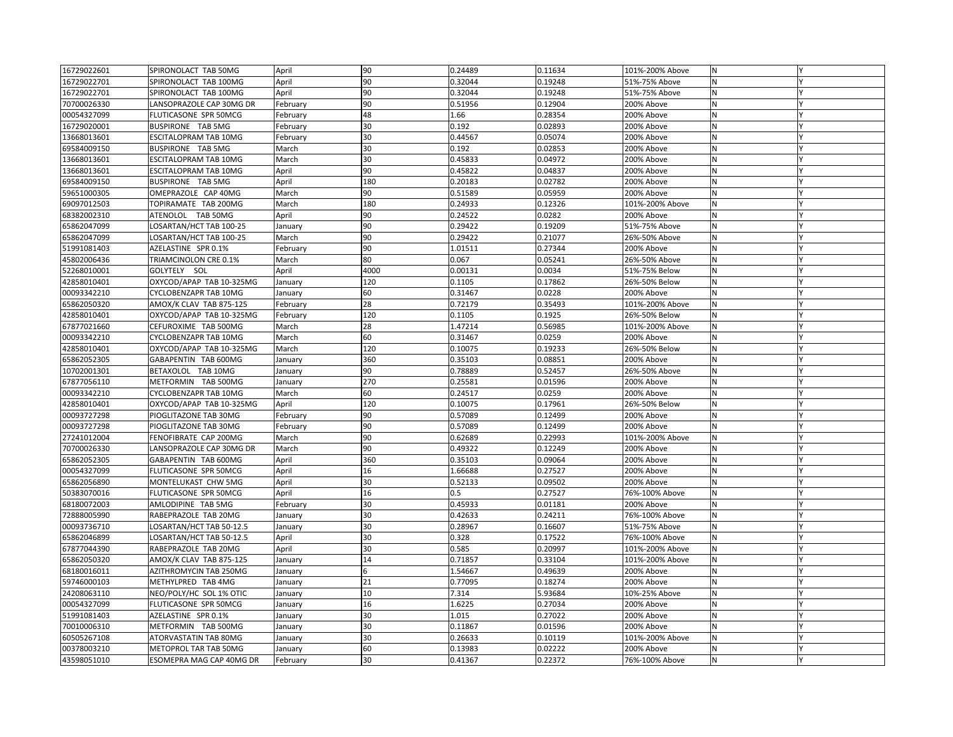| 16729022601 | SPIRONOLACT TAB 50MG         | April    | 90   | 0.24489 | 0.11634 | 101%-200% Above | N |  |
|-------------|------------------------------|----------|------|---------|---------|-----------------|---|--|
| 16729022701 | SPIRONOLACT TAB 100MG        | April    | 90   | 0.32044 | 0.19248 | 51%-75% Above   | N |  |
| 16729022701 | SPIRONOLACT TAB 100MG        | April    | 90   | 0.32044 | 0.19248 | 51%-75% Above   | N |  |
| 70700026330 | LANSOPRAZOLE CAP 30MG DR     | February | 90   | 0.51956 | 0.12904 | 200% Above      | N |  |
| 00054327099 | FLUTICASONE SPR 50MCG        | February | 48   | 1.66    | 0.28354 | 200% Above      | N |  |
| 16729020001 | <b>BUSPIRONE TAB 5MG</b>     | February | 30   | 0.192   | 0.02893 | 200% Above      | N |  |
| 13668013601 | ESCITALOPRAM TAB 10MG        | February | 30   | 0.44567 | 0.05074 | 200% Above      | N |  |
| 69584009150 | <b>BUSPIRONE TAB 5MG</b>     | March    | 30   | 0.192   | 0.02853 | 200% Above      | N |  |
| 13668013601 | <b>ESCITALOPRAM TAB 10MG</b> | March    | 30   | 0.45833 | 0.04972 | 200% Above      | N |  |
| 13668013601 | <b>ESCITALOPRAM TAB 10MG</b> | April    | 90   | 0.45822 | 0.04837 | 200% Above      | N |  |
| 69584009150 | <b>BUSPIRONE TAB 5MG</b>     | April    | 180  | 0.20183 | 0.02782 | 200% Above      | N |  |
| 59651000305 | OMEPRAZOLE CAP 40MG          | March    | 90   | 0.51589 | 0.05959 | 200% Above      | N |  |
| 69097012503 | TOPIRAMATE TAB 200MG         | March    | 180  | 0.24933 | 0.12326 | 101%-200% Above | Ń |  |
| 68382002310 | ATENOLOL TAB 50MG            | April    | 90   | 0.24522 | 0.0282  | 200% Above      | N |  |
| 65862047099 | LOSARTAN/HCT TAB 100-25      | January  | 90   | 0.29422 | 0.19209 | 51%-75% Above   | N |  |
| 65862047099 | LOSARTAN/HCT TAB 100-25      | March    | 90   | 0.29422 | 0.21077 | 26%-50% Above   | N |  |
| 51991081403 | AZELASTINE SPR 0.1%          | February | 90   | 1.01511 | 0.27344 | 200% Above      |   |  |
| 45802006436 | TRIAMCINOLON CRE 0.1%        | March    | 80   | 0.067   | 0.05241 | 26%-50% Above   | N |  |
| 52268010001 | GOLYTELY SOL                 | April    | 4000 | 0.00131 | 0.0034  | 51%-75% Below   | N |  |
| 42858010401 | OXYCOD/APAP TAB 10-325MG     | January  | 120  | 0.1105  | 0.17862 | 26%-50% Below   | N |  |
| 00093342210 | CYCLOBENZAPR TAB 10MG        | January  | 60   | 0.31467 | 0.0228  | 200% Above      | N |  |
| 65862050320 | AMOX/K CLAV TAB 875-125      | February | 28   | 0.72179 | 0.35493 | 101%-200% Above | N |  |
| 42858010401 | OXYCOD/APAP TAB 10-325MG     | February | 120  | 0.1105  | 0.1925  | 26%-50% Below   | N |  |
| 67877021660 | CEFUROXIME TAB 500MG         | March    | 28   | 1.47214 | 0.56985 | 101%-200% Above | N |  |
| 00093342210 | <b>CYCLOBENZAPR TAB 10MG</b> | March    | 60   | 0.31467 | 0.0259  | 200% Above      | N |  |
| 42858010401 | OXYCOD/APAP TAB 10-325MG     | March    | 120  | 0.10075 | 0.19233 | 26%-50% Below   | N |  |
| 65862052305 | GABAPENTIN TAB 600MG         | January  | 360  | 0.35103 | 0.08851 | 200% Above      | N |  |
| 10702001301 | BETAXOLOL TAB 10MG           | January  | 90   | 0.78889 | 0.52457 | 26%-50% Above   | N |  |
| 67877056110 | METFORMIN TAB 500MG          | January  | 270  | 0.25581 | 0.01596 | 200% Above      | N |  |
| 00093342210 | <b>CYCLOBENZAPR TAB 10MG</b> | March    | 60   | 0.24517 | 0.0259  | 200% Above      | N |  |
| 42858010401 | OXYCOD/APAP TAB 10-325MG     | April    | 120  | 0.10075 | 0.17961 | 26%-50% Below   | N |  |
| 00093727298 | PIOGLITAZONE TAB 30MG        | February | 90   | 0.57089 | 0.12499 | 200% Above      | N |  |
| 00093727298 | PIOGLITAZONE TAB 30MG        | February | 90   | 0.57089 | 0.12499 | 200% Above      | N |  |
| 27241012004 | FENOFIBRATE CAP 200MG        | March    | 90   | 0.62689 | 0.22993 | 101%-200% Above | N |  |
| 70700026330 | LANSOPRAZOLE CAP 30MG DR     | March    | 90   | 0.49322 | 0.12249 | 200% Above      | N |  |
| 65862052305 | GABAPENTIN TAB 600MG         | April    | 360  | 0.35103 | 0.09064 | 200% Above      | N |  |
| 00054327099 | FLUTICASONE SPR 50MCG        | April    | 16   | 1.66688 | 0.27527 | 200% Above      | N |  |
| 65862056890 | MONTELUKAST CHW 5MG          | April    | 30   | 0.52133 | 0.09502 | 200% Above      | N |  |
| 50383070016 | FLUTICASONE SPR 50MCG        | April    | 16   | 0.5     | 0.27527 | 76%-100% Above  | N |  |
| 68180072003 | AMLODIPINE TAB 5MG           | February | 30   | 0.45933 | 0.01181 | 200% Above      | N |  |
| 72888005990 | RABEPRAZOLE TAB 20MG         | January  | 30   | 0.42633 | 0.24211 | 76%-100% Above  | N |  |
| 00093736710 | LOSARTAN/HCT TAB 50-12.5     | January  | 30   | 0.28967 | 0.16607 | 51%-75% Above   | N |  |
| 65862046899 | LOSARTAN/HCT TAB 50-12.5     | April    | 30   | 0.328   | 0.17522 | 76%-100% Above  | N |  |
| 67877044390 | RABEPRAZOLE TAB 20MG         | April    | 30   | 0.585   | 0.20997 | 101%-200% Above | N |  |
| 65862050320 | AMOX/K CLAV TAB 875-125      | January  | 14   | 0.71857 | 0.33104 | 101%-200% Above | N |  |
| 68180016011 | AZITHROMYCIN TAB 250MG       | January  |      | 1.54667 | 0.49639 | 200% Above      | N |  |
| 59746000103 | METHYLPRED TAB 4MG           | January  | 21   | 0.77095 | 0.18274 | 200% Above      | N |  |
| 24208063110 | NEO/POLY/HC SOL 1% OTIC      | January  | 10   | 7.314   | 5.93684 | 10%-25% Above   | N |  |
| 00054327099 | FLUTICASONE SPR 50MCG        | January  | 16   | 1.6225  | 0.27034 | 200% Above      | N |  |
| 51991081403 | AZELASTINE SPR 0.1%          | January  | 30   | 1.015   | 0.27022 | 200% Above      | N |  |
| 70010006310 | METFORMIN TAB 500MG          | January  | 30   | 0.11867 | 0.01596 | 200% Above      |   |  |
| 60505267108 | ATORVASTATIN TAB 80MG        | January  | 30   | 0.26633 | 0.10119 | 101%-200% Above | N |  |
| 00378003210 | METOPROL TAR TAB 50MG        | January  | 60   | 0.13983 | 0.02222 | 200% Above      | N |  |
| 43598051010 | ESOMEPRA MAG CAP 40MG DR     | February | 30   | 0.41367 | 0.22372 | 76%-100% Above  | N |  |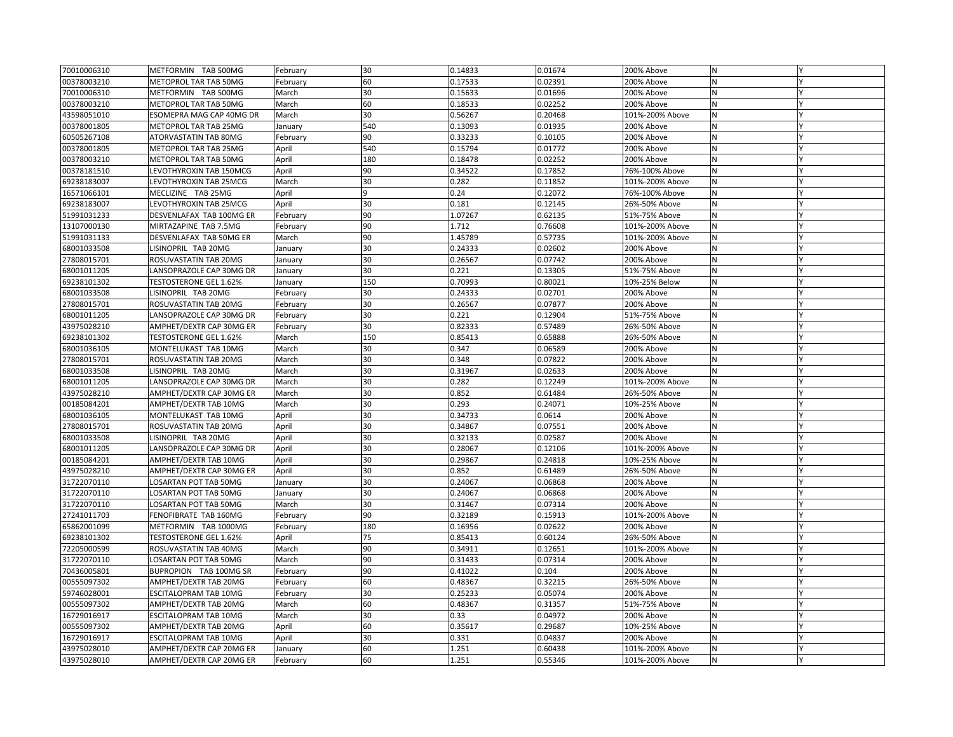| 70010006310 | METFORMIN TAB 500MG           | February | 30  | 0.14833 | 0.01674 | 200% Above      | <b>N</b> |  |
|-------------|-------------------------------|----------|-----|---------|---------|-----------------|----------|--|
| 00378003210 | METOPROL TAR TAB 50MG         | February | 60  | 0.17533 | 0.02391 | 200% Above      | N        |  |
| 70010006310 | METFORMIN TAB 500MG           | March    | 30  | 0.15633 | 0.01696 | 200% Above      | N        |  |
| 00378003210 | METOPROL TAR TAB 50MG         | March    | 60  | 0.18533 | 0.02252 | 200% Above      |          |  |
| 43598051010 | ESOMEPRA MAG CAP 40MG DR      | March    | 30  | 0.56267 | 0.20468 | 101%-200% Above | N        |  |
| 00378001805 | METOPROL TAR TAB 25MG         | January  | 540 | 0.13093 | 0.01935 | 200% Above      | N        |  |
| 60505267108 | ATORVASTATIN TAB 80MG         | February | 90  | 0.33233 | 0.10105 | 200% Above      | N        |  |
| 00378001805 | METOPROL TAR TAB 25MG         | April    | 540 | 0.15794 | 0.01772 | 200% Above      | N        |  |
| 00378003210 | METOPROL TAR TAB 50MG         | April    | 180 | 0.18478 | 0.02252 | 200% Above      | N        |  |
| 00378181510 | LEVOTHYROXIN TAB 150MCG       | April    | 90  | 0.34522 | 0.17852 | 76%-100% Above  | N        |  |
| 69238183007 | LEVOTHYROXIN TAB 25MCG        | March    | 30  | 0.282   | 0.11852 | 101%-200% Above | N        |  |
| 16571066101 | MECLIZINE TAB 25MG            | April    |     | 0.24    | 0.12072 | 76%-100% Above  | N        |  |
| 69238183007 | LEVOTHYROXIN TAB 25MCG        | April    | 30  | 0.181   | 0.12145 | 26%-50% Above   | N        |  |
| 51991031233 | DESVENLAFAX TAB 100MG ER      | February | 90  | 1.07267 | 0.62135 | 51%-75% Above   | N        |  |
| 13107000130 | MIRTAZAPINE TAB 7.5MG         | February | 90  | 1.712   | 0.76608 | 101%-200% Above | N        |  |
| 51991031133 | DESVENLAFAX TAB 50MG ER       | March    | 90  | 1.45789 | 0.57735 | 101%-200% Above | N        |  |
| 68001033508 | LISINOPRIL TAB 20MG           | January  | 30  | 0.24333 | 0.02602 | 200% Above      |          |  |
| 27808015701 | ROSUVASTATIN TAB 20MG         | January  | 30  | 0.26567 | 0.07742 | 200% Above      | N        |  |
| 68001011205 | LANSOPRAZOLE CAP 30MG DR      | January  | 30  | 0.221   | 0.13305 | 51%-75% Above   | N        |  |
| 69238101302 | <b>TESTOSTERONE GEL 1.62%</b> | January  | 150 | 0.70993 | 0.80021 | 10%-25% Below   | N        |  |
| 68001033508 | LISINOPRIL TAB 20MG           | February | 30  | 0.24333 | 0.02701 | 200% Above      |          |  |
| 27808015701 | ROSUVASTATIN TAB 20MG         | February | 30  | 0.26567 | 0.07877 | 200% Above      | N        |  |
| 68001011205 | LANSOPRAZOLE CAP 30MG DR      | February | 30  | 0.221   | 0.12904 | 51%-75% Above   | N        |  |
| 43975028210 | AMPHET/DEXTR CAP 30MG ER      | February | 30  | 0.82333 | 0.57489 | 26%-50% Above   | N        |  |
| 69238101302 | <b>TESTOSTERONE GEL 1.62%</b> | March    | 150 | 0.85413 | 0.65888 | 26%-50% Above   | N        |  |
| 68001036105 | MONTELUKAST TAB 10MG          | March    | 30  | 0.347   | 0.06589 | 200% Above      | N        |  |
| 27808015701 | ROSUVASTATIN TAB 20MG         | March    | 30  | 0.348   | 0.07822 | 200% Above      | N        |  |
| 68001033508 | LISINOPRIL TAB 20MG           | March    | 30  | 0.31967 | 0.02633 | 200% Above      | N        |  |
| 68001011205 | LANSOPRAZOLE CAP 30MG DR      | March    | 30  | 0.282   | 0.12249 | 101%-200% Above | N        |  |
| 43975028210 | AMPHET/DEXTR CAP 30MG ER      | March    | 30  | 0.852   | 0.61484 | 26%-50% Above   | N        |  |
| 00185084201 | AMPHET/DEXTR TAB 10MG         | March    | 30  | 0.293   | 0.24071 | 10%-25% Above   | N        |  |
| 68001036105 | MONTELUKAST TAB 10MG          | April    | 30  | 0.34733 | 0.0614  | 200% Above      | N        |  |
| 27808015701 | ROSUVASTATIN TAB 20MG         | April    | 30  | 0.34867 | 0.07551 | 200% Above      | N        |  |
| 68001033508 | LISINOPRIL TAB 20MG           | April    | 30  | 0.32133 | 0.02587 | 200% Above      | N        |  |
| 68001011205 | LANSOPRAZOLE CAP 30MG DR      | April    | 30  | 0.28067 | 0.12106 | 101%-200% Above | N        |  |
| 00185084201 | AMPHET/DEXTR TAB 10MG         | April    | 30  | 0.29867 | 0.24818 | 10%-25% Above   | N        |  |
| 43975028210 | AMPHET/DEXTR CAP 30MG ER      | April    | 30  | 0.852   | 0.61489 | 26%-50% Above   | N        |  |
| 31722070110 | LOSARTAN POT TAB 50MG         | January  | 30  | 0.24067 | 0.06868 | 200% Above      |          |  |
| 31722070110 | LOSARTAN POT TAB 50MG         | January  | 30  | 0.24067 | 0.06868 | 200% Above      | N        |  |
| 31722070110 | LOSARTAN POT TAB 50MG         | March    | 30  | 0.31467 | 0.07314 | 200% Above      | N        |  |
| 27241011703 | FENOFIBRATE TAB 160MG         | February | 90  | 0.32189 | 0.15913 | 101%-200% Above | N        |  |
| 65862001099 | METFORMIN TAB 1000MG          | February | 180 | 0.16956 | 0.02622 | 200% Above      |          |  |
| 69238101302 | TESTOSTERONE GEL 1.62%        | April    | 75  | 0.85413 | 0.60124 | 26%-50% Above   | N        |  |
| 72205000599 | ROSUVASTATIN TAB 40MG         | March    | 90  | 0.34911 | 0.12651 | 101%-200% Above | N        |  |
| 31722070110 | LOSARTAN POT TAB 50MG         | March    | 90  | 0.31433 | 0.07314 | 200% Above      | N        |  |
| 70436005801 | BUPROPION TAB 100MG SR        | February | 90  | 0.41022 | 0.104   | 200% Above      | N        |  |
| 00555097302 | AMPHET/DEXTR TAB 20MG         | February | 60  | 0.48367 | 0.32215 | 26%-50% Above   | N        |  |
| 59746028001 | ESCITALOPRAM TAB 10MG         | February | 30  | 0.25233 | 0.05074 | 200% Above      | N        |  |
| 00555097302 | AMPHET/DEXTR TAB 20MG         | March    | 60  | 0.48367 | 0.31357 | 51%-75% Above   | N        |  |
| 16729016917 | ESCITALOPRAM TAB 10MG         | March    | 30  | 0.33    | 0.04972 | 200% Above      | N        |  |
| 00555097302 | AMPHET/DEXTR TAB 20MG         | April    | 60  | 0.35617 | 0.29687 | 10%-25% Above   |          |  |
| 16729016917 | ESCITALOPRAM TAB 10MG         | April    | 30  | 0.331   | 0.04837 | 200% Above      | N        |  |
| 43975028010 | AMPHET/DEXTR CAP 20MG ER      | January  | 60  | 1.251   | 0.60438 | 101%-200% Above | N        |  |
| 43975028010 | AMPHET/DEXTR CAP 20MG ER      | February | 60  | 1.251   | 0.55346 | 101%-200% Above | N        |  |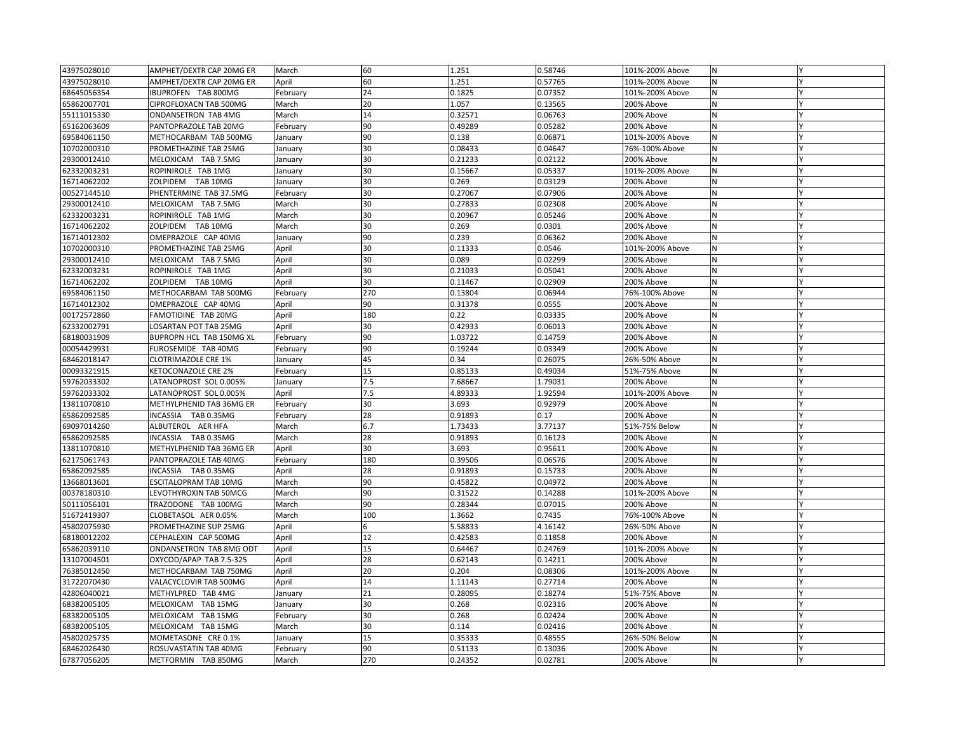| 43975028010                | AMPHET/DEXTR CAP 20MG ER      | March    | 60       | 1.251              | 0.58746            | 101%-200% Above | N      |  |
|----------------------------|-------------------------------|----------|----------|--------------------|--------------------|-----------------|--------|--|
| 43975028010                | AMPHET/DEXTR CAP 20MG ER      | April    | 60       | 1.251              | 0.57765            | 101%-200% Above | N      |  |
| 68645056354                | IBUPROFEN TAB 800MG           | February | 24       | 0.1825             | 0.07352            | 101%-200% Above | N      |  |
| 65862007701                | CIPROFLOXACN TAB 500MG        | March    | 20       | 1.057              | 0.13565            | 200% Above      | N      |  |
| 55111015330                | <b>ONDANSETRON TAB 4MG</b>    | March    | 14       | 0.32571            | 0.06763            | 200% Above      | N      |  |
| 65162063609                | PANTOPRAZOLE TAB 20MG         | February | 90       | 0.49289            | 0.05282            | 200% Above      | N      |  |
| 69584061150                | METHOCARBAM TAB 500MG         | January  | 90       | 0.138              | 0.06871            | 101%-200% Above | N      |  |
| 10702000310                | PROMETHAZINE TAB 25MG         | January  | 30       | 0.08433            | 0.04647            | 76%-100% Above  | N      |  |
| 29300012410                | MELOXICAM TAB 7.5MG           | January  | 30       | 0.21233            | 0.02122            | 200% Above      | N      |  |
| 62332003231                | ROPINIROLE TAB 1MG            | January  | 30       | 0.15667            | 0.05337            | 101%-200% Above | N      |  |
| 16714062202                | ZOLPIDEM TAB 10MG             | January  | 30       | 0.269              | 0.03129            | 200% Above      | N      |  |
| 00527144510                | PHENTERMINE TAB 37.5MG        | February | 30       | 0.27067            | 0.07906            | 200% Above      | N      |  |
| 29300012410                | MELOXICAM TAB 7.5MG           | March    | 30       | 0.27833            | 0.02308            | 200% Above      | N      |  |
| 62332003231                | ROPINIROLE TAB 1MG            | March    | 30       | 0.20967            | 0.05246            | 200% Above      | N      |  |
| 16714062202                | ZOLPIDEM TAB 10MG             | March    | 30       | 0.269              | 0.0301             | 200% Above      | N      |  |
| 16714012302                | OMEPRAZOLE CAP 40MG           | January  | 90       | 0.239              | 0.06362            | 200% Above      | N      |  |
| 10702000310                | PROMETHAZINE TAB 25MG         | April    | 30       | 0.11333            | 0.0546             | 101%-200% Above | N      |  |
| 29300012410                | MELOXICAM TAB 7.5MG           | April    | 30       | 0.089              | 0.02299            | 200% Above      | N      |  |
| 62332003231                | ROPINIROLE TAB 1MG            | April    | 30       | 0.21033            | 0.05041            | 200% Above      | N      |  |
| 16714062202                | ZOLPIDEM TAB 10MG             | April    | 30       | 0.11467            | 0.02909            | 200% Above      | N      |  |
| 69584061150                | METHOCARBAM TAB 500MG         | February | 270      | 0.13804            | 0.06944            | 76%-100% Above  | N      |  |
| 16714012302                | OMEPRAZOLE CAP 40MG           | April    | 90       | 0.31378            | 0.0555             | 200% Above      | N      |  |
| 00172572860                | FAMOTIDINE TAB 20MG           | April    | 180      | 0.22               | 0.03335            | 200% Above      | Ν      |  |
| 62332002791                | LOSARTAN POT TAB 25MG         | April    | 30       | 0.42933            | 0.06013            | 200% Above      | N      |  |
| 68180031909                | BUPROPN HCL TAB 150MG XL      | February | 90       | 1.03722            | 0.14759            | 200% Above      |        |  |
| 00054429931                | FUROSEMIDE TAB 40MG           | February | 90       | 0.19244            | 0.03349            | 200% Above      | N      |  |
| 68462018147                | CLOTRIMAZOLE CRE 1%           | January  | 45       | 0.34               | 0.26075            | 26%-50% Above   | N      |  |
| 00093321915                | KETOCONAZOLE CRE 2%           | February | 15       | 0.85133            | 0.49034            | 51%-75% Above   | N      |  |
| 59762033302                | LATANOPROST SOL 0.005%        | January  | 7.5      | 7.68667            | 1.79031            | 200% Above      | N      |  |
| 59762033302                | LATANOPROST SOL 0.005%        | April    | 7.5      | 4.89333            | 1.92594            | 101%-200% Above | N      |  |
| 13811070810                | METHYLPHENID TAB 36MG ER      | February | 30       | 3.693              | 0.92979            | 200% Above      | N      |  |
| 65862092585                | INCASSIA<br><b>TAB 0.35MG</b> | February | 28       | 0.91893            | 0.17               | 200% Above      | N      |  |
| 69097014260                | ALBUTEROL AER HFA             | March    | 6.7      | 1.73433            | 3.77137            | 51%-75% Below   | N      |  |
| 65862092585                | INCASSIA<br><b>TAB 0.35MG</b> | March    | 28       | 0.91893            | 0.16123            | 200% Above      | N      |  |
| 13811070810                | METHYLPHENID TAB 36MG ER      | April    | 30       | 3.693              | 0.95611            | 200% Above      | N      |  |
| 62175061743                | PANTOPRAZOLE TAB 40MG         | February | 180      | 0.39506            | 0.06576            | 200% Above      | N      |  |
| 65862092585                | INCASSIA TAB 0.35MG           | April    | 28       | 0.91893            | 0.15733            | 200% Above      | N      |  |
| 13668013601                | ESCITALOPRAM TAB 10MG         | March    | 90       | 0.45822            | 0.04972            | 200% Above      | N      |  |
| 00378180310                | LEVOTHYROXIN TAB 50MCG        | March    | 90       | 0.31522            | 0.14288            | 101%-200% Above | N      |  |
| 50111056101                | TRAZODONE TAB 100MG           | March    | 90       | 0.28344            | 0.07015            | 200% Above      |        |  |
| 51672419307                | CLOBETASOL AER 0.05%          | March    | 100      | 1.3662             | 0.7435             | 76%-100% Above  | N      |  |
| 45802075930                | PROMETHAZINE SUP 25MG         | April    |          | 5.58833            | 4.16142            | 26%-50% Above   | N      |  |
| 68180012202                | CEPHALEXIN CAP 500MG          | April    | 12       | 0.42583            | 0.11858            | 200% Above      | N      |  |
| 65862039110                | ONDANSETRON TAB 8MG ODT       | April    | 15       | 0.64467            | 0.24769            | 101%-200% Above | N      |  |
| 13107004501                | OXYCOD/APAP TAB 7.5-325       | April    | 28       | 0.62143            | 0.14211            | 200% Above      |        |  |
| 76385012450                | METHOCARBAM TAB 750MG         | April    | 20       | 0.204              | 0.08306            | 101%-200% Above | N      |  |
| 31722070430                | VALACYCLOVIR TAB 500MG        | April    | 14       | 1.11143            | 0.27714            | 200% Above      | N      |  |
| 42806040021                | METHYLPRED TAB 4MG            | January  | 21       | 0.28095            | 0.18274            | 51%-75% Above   | N      |  |
| 68382005105                | MELOXICAM TAB 15MG            | January  | 30<br>30 | 0.268              | 0.02316            | 200% Above      | N<br>N |  |
| 68382005105                | TAB 15MG<br>MELOXICAM         | February |          | 0.268              | 0.02424            | 200% Above      | N      |  |
| 68382005105                | MELOXICAM TAB 15MG            | March    | 30       | 0.114              | 0.02416            | 200% Above      |        |  |
| 45802025735<br>68462026430 | MOMETASONE CRE 0.1%           | January  | 15<br>90 | 0.35333<br>0.51133 | 0.48555            | 26%-50% Below   | Ν<br>N |  |
| 67877056205                | ROSUVASTATIN TAB 40MG         | February | 270      | 0.24352            | 0.13036<br>0.02781 | 200% Above      | N      |  |
|                            | METFORMIN TAB 850MG           | March    |          |                    |                    | 200% Above      |        |  |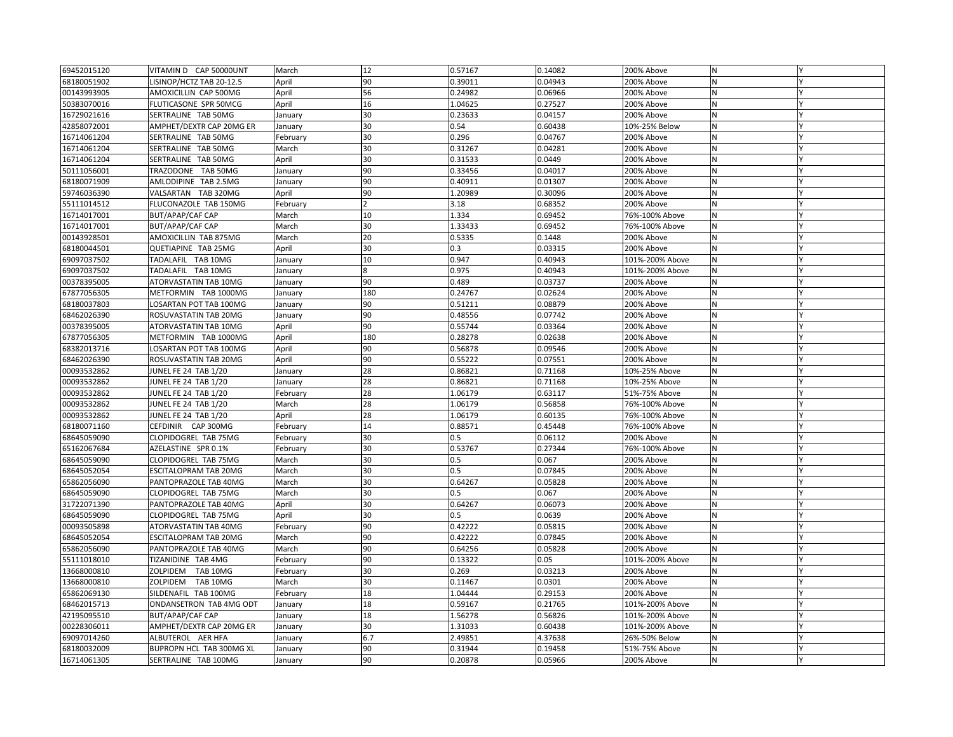| 69452015120 | VITAMIN D CAP 50000UNT   | March    | 12  | 0.57167 | 0.14082 | 200% Above      | <b>N</b> |  |
|-------------|--------------------------|----------|-----|---------|---------|-----------------|----------|--|
| 68180051902 | LISINOP/HCTZ TAB 20-12.5 | April    | 90  | 0.39011 | 0.04943 | 200% Above      | N        |  |
| 00143993905 | AMOXICILLIN CAP 500MG    | April    | 56  | 0.24982 | 0.06966 | 200% Above      | N        |  |
| 50383070016 | FLUTICASONE SPR 50MCG    | April    | 16  | 1.04625 | 0.27527 | 200% Above      |          |  |
| 16729021616 | SERTRALINE TAB 50MG      | January  | 30  | 0.23633 | 0.04157 | 200% Above      | N        |  |
| 42858072001 | AMPHET/DEXTR CAP 20MG ER | January  | 30  | 0.54    | 0.60438 | 10%-25% Below   | N        |  |
| 16714061204 | SERTRALINE TAB 50MG      | February | 30  | 0.296   | 0.04767 | 200% Above      | N        |  |
| 16714061204 | SERTRALINE TAB 50MG      | March    | 30  | 0.31267 | 0.04281 | 200% Above      | N        |  |
| 16714061204 | SERTRALINE TAB 50MG      | April    | 30  | 0.31533 | 0.0449  | 200% Above      | N        |  |
| 50111056001 | TRAZODONE TAB 50MG       | January  | 90  | 0.33456 | 0.04017 | 200% Above      | N        |  |
| 68180071909 | AMLODIPINE TAB 2.5MG     | January  | 90  | 0.40911 | 0.01307 | 200% Above      | N        |  |
| 59746036390 | VALSARTAN TAB 320MG      | April    | 90  | 1.20989 | 0.30096 | 200% Above      | N        |  |
| 55111014512 | FLUCONAZOLE TAB 150MG    | February |     | 3.18    | 0.68352 | 200% Above      | N        |  |
| 16714017001 | BUT/APAP/CAF CAP         | March    | 10  | 1.334   | 0.69452 | 76%-100% Above  | N        |  |
| 16714017001 | BUT/APAP/CAF CAP         | March    | 30  | 1.33433 | 0.69452 | 76%-100% Above  | N        |  |
| 00143928501 | AMOXICILLIN TAB 875MG    | March    | 20  | 0.5335  | 0.1448  | 200% Above      | N        |  |
| 68180044501 | QUETIAPINE TAB 25MG      | April    | 30  | 0.3     | 0.03315 | 200% Above      | N        |  |
| 69097037502 | TADALAFIL TAB 10MG       | January  | 10  | 0.947   | 0.40943 | 101%-200% Above | N        |  |
| 69097037502 | TADALAFIL TAB 10MG       | January  |     | 0.975   | 0.40943 | 101%-200% Above | N        |  |
| 00378395005 | ATORVASTATIN TAB 10MG    | January  | 90  | 0.489   | 0.03737 | 200% Above      | N        |  |
| 67877056305 | METFORMIN TAB 1000MG     | January  | 180 | 0.24767 | 0.02624 | 200% Above      |          |  |
| 68180037803 | LOSARTAN POT TAB 100MG   | January  | 90  | 0.51211 | 0.08879 | 200% Above      | N        |  |
| 68462026390 | ROSUVASTATIN TAB 20MG    | January  | 90  | 0.48556 | 0.07742 | 200% Above      | N        |  |
| 00378395005 | ATORVASTATIN TAB 10MG    | April    | 90  | 0.55744 | 0.03364 | 200% Above      | N        |  |
| 67877056305 | METFORMIN TAB 1000MG     | April    | 180 | 0.28278 | 0.02638 | 200% Above      |          |  |
| 68382013716 | LOSARTAN POT TAB 100MG   | April    | 90  | 0.56878 | 0.09546 | 200% Above      | N        |  |
| 68462026390 | ROSUVASTATIN TAB 20MG    | April    | 90  | 0.55222 | 0.07551 | 200% Above      | N        |  |
| 00093532862 | JUNEL FE 24 TAB 1/20     | January  | 28  | 0.86821 | 0.71168 | 10%-25% Above   | N        |  |
| 00093532862 | JUNEL FE 24 TAB 1/20     | January  | 28  | 0.86821 | 0.71168 | 10%-25% Above   |          |  |
| 00093532862 | JUNEL FE 24 TAB 1/20     | February | 28  | 1.06179 | 0.63117 | 51%-75% Above   | N        |  |
| 00093532862 | JUNEL FE 24 TAB 1/20     | March    | 28  | 1.06179 | 0.56858 | 76%-100% Above  | N        |  |
| 00093532862 | JUNEL FE 24 TAB 1/20     | April    | 28  | 1.06179 | 0.60135 | 76%-100% Above  | Ν        |  |
| 68180071160 | CAP 300MG<br>CEFDINIR    | February | 14  | 0.88571 | 0.45448 | 76%-100% Above  | N        |  |
| 68645059090 | CLOPIDOGREL TAB 75MG     | February | 30  | 0.5     | 0.06112 | 200% Above      | N        |  |
| 65162067684 | AZELASTINE SPR 0.1%      | February | 30  | 0.53767 | 0.27344 | 76%-100% Above  | N        |  |
| 68645059090 | CLOPIDOGREL TAB 75MG     | March    | 30  | 0.5     | 0.067   | 200% Above      | N        |  |
| 68645052054 | ESCITALOPRAM TAB 20MG    | March    | 30  | 0.5     | 0.07845 | 200% Above      | N        |  |
| 65862056090 | PANTOPRAZOLE TAB 40MG    | March    | 30  | 0.64267 | 0.05828 | 200% Above      | N        |  |
| 68645059090 | CLOPIDOGREL TAB 75MG     | March    | 30  | 0.5     | 0.067   | 200% Above      | N        |  |
| 31722071390 | PANTOPRAZOLE TAB 40MG    | April    | 30  | 0.64267 | 0.06073 | 200% Above      | N        |  |
| 68645059090 | CLOPIDOGREL TAB 75MG     | April    | 30  | 0.5     | 0.0639  | 200% Above      | N        |  |
| 00093505898 | ATORVASTATIN TAB 40MG    | February | 90  | 0.42222 | 0.05815 | 200% Above      | N        |  |
| 68645052054 | ESCITALOPRAM TAB 20MG    | March    | 90  | 0.42222 | 0.07845 | 200% Above      | N        |  |
| 65862056090 | PANTOPRAZOLE TAB 40MG    | March    | 90  | 0.64256 | 0.05828 | 200% Above      | N        |  |
| 55111018010 | TIZANIDINE TAB 4MG       | February | 90  | 0.13322 | 0.05    | 101%-200% Above | N        |  |
| 13668000810 | ZOLPIDEM<br>TAB 10MG     | February | 30  | 0.269   | 0.03213 | 200% Above      |          |  |
| 13668000810 | ZOLPIDEM<br>TAB 10MG     | March    | 30  | 0.11467 | 0.0301  | 200% Above      | N        |  |
| 65862069130 | SILDENAFIL TAB 100MG     | February | 18  | 1.04444 | 0.29153 | 200% Above      | N        |  |
| 68462015713 | ONDANSETRON TAB 4MG ODT  | January  | 18  | 0.59167 | 0.21765 | 101%-200% Above | N        |  |
| 42195095510 | BUT/APAP/CAF CAP         | January  | 18  | 1.56278 | 0.56826 | 101%-200% Above |          |  |
| 00228306011 | AMPHET/DEXTR CAP 20MG ER | January  | 30  | 1.31033 | 0.60438 | 101%-200% Above | N        |  |
| 69097014260 | ALBUTEROL AER HFA        | January  | 6.7 | 2.49851 | 4.37638 | 26%-50% Below   | N        |  |
| 68180032009 | BUPROPN HCL TAB 300MG XL | January  | 90  | 0.31944 | 0.19458 | 51%-75% Above   | N        |  |
| 16714061305 | SERTRALINE TAB 100MG     | January  | 90  | 0.20878 | 0.05966 | 200% Above      | N        |  |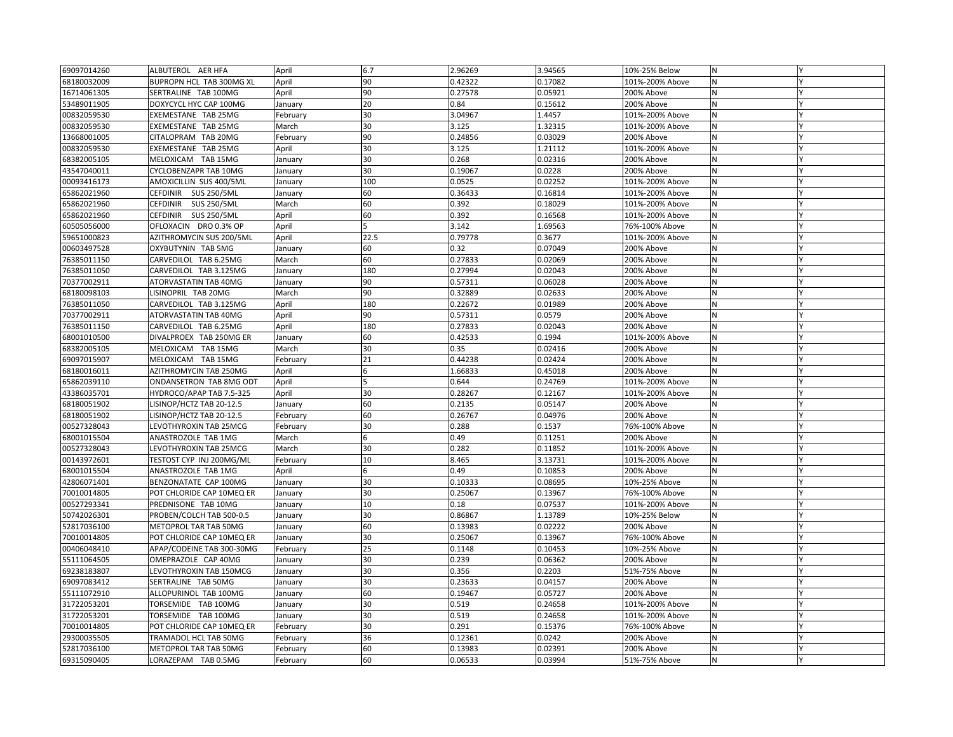| 69097014260 | ALBUTEROL AER HFA                     | April    | 6.7  | 2.96269 | 3.94565 | 10%-25% Below   | N |  |
|-------------|---------------------------------------|----------|------|---------|---------|-----------------|---|--|
| 68180032009 | BUPROPN HCL TAB 300MG XL              | April    | 90   | 0.42322 | 0.17082 | 101%-200% Above | N |  |
| 16714061305 | SERTRALINE TAB 100MG                  | April    | 90   | 0.27578 | 0.05921 | 200% Above      | N |  |
| 53489011905 | DOXYCYCL HYC CAP 100MG                | January  | 20   | 0.84    | 0.15612 | 200% Above      | N |  |
| 00832059530 | EXEMESTANE TAB 25MG                   | February | 30   | 3.04967 | 1.4457  | 101%-200% Above | N |  |
| 00832059530 | EXEMESTANE TAB 25MG                   | March    | 30   | 3.125   | 1.32315 | 101%-200% Above | N |  |
| 13668001005 | CITALOPRAM TAB 20MG                   | February | 90   | 0.24856 | 0.03029 | 200% Above      | N |  |
| 00832059530 | EXEMESTANE TAB 25MG                   | April    | 30   | 3.125   | 1.21112 | 101%-200% Above | N |  |
| 68382005105 | MELOXICAM TAB 15MG                    | January  | 30   | 0.268   | 0.02316 | 200% Above      |   |  |
| 43547040011 | CYCLOBENZAPR TAB 10MG                 | January  | 30   | 0.19067 | 0.0228  | 200% Above      | N |  |
| 00093416173 | AMOXICILLIN SUS 400/5ML               | January  | 100  | 0.0525  | 0.02252 | 101%-200% Above | N |  |
| 65862021960 | <b>CEFDINIR</b><br><b>SUS 250/5ML</b> | January  | 60   | 0.36433 | 0.16814 | 101%-200% Above | N |  |
| 65862021960 | <b>CEFDINIR</b><br><b>SUS 250/5ML</b> | March    | 60   | 0.392   | 0.18029 | 101%-200% Above |   |  |
| 65862021960 | <b>CEFDINIR</b><br><b>SUS 250/5ML</b> | April    | 60   | 0.392   | 0.16568 | 101%-200% Above | N |  |
| 60505056000 | OFLOXACIN DRO 0.3% OP                 | April    |      | 3.142   | 1.69563 | 76%-100% Above  | N |  |
| 59651000823 | AZITHROMYCIN SUS 200/5ML              | April    | 22.5 | 0.79778 | 0.3677  | 101%-200% Above | N |  |
| 00603497528 | OXYBUTYNIN TAB 5MG                    | January  | 60   | 0.32    | 0.07049 | 200% Above      |   |  |
| 76385011150 | CARVEDILOL TAB 6.25MG                 | March    | 60   | 0.27833 | 0.02069 | 200% Above      | N |  |
| 76385011050 | CARVEDILOL TAB 3.125MG                | January  | 180  | 0.27994 | 0.02043 | 200% Above      | N |  |
| 70377002911 | ATORVASTATIN TAB 40MG                 | January  | 90   | 0.57311 | 0.06028 | 200% Above      | N |  |
| 68180098103 | LISINOPRIL TAB 20MG                   | March    | 90   | 0.32889 | 0.02633 | 200% Above      | N |  |
| 76385011050 | CARVEDILOL TAB 3.125MG                | April    | 180  | 0.22672 | 0.01989 | 200% Above      | N |  |
| 70377002911 | ATORVASTATIN TAB 40MG                 | April    | 90   | 0.57311 | 0.0579  | 200% Above      | N |  |
| 76385011150 | CARVEDILOL TAB 6.25MG                 | April    | 180  | 0.27833 | 0.02043 | 200% Above      | N |  |
| 68001010500 | DIVALPROEX TAB 250MG ER               | January  | 60   | 0.42533 | 0.1994  | 101%-200% Above | N |  |
| 68382005105 | MELOXICAM TAB 15MG                    | March    | 30   | 0.35    | 0.02416 | 200% Above      | N |  |
| 69097015907 | MELOXICAM TAB 15MG                    | February | 21   | 0.44238 | 0.02424 | 200% Above      | N |  |
| 68180016011 | AZITHROMYCIN TAB 250MG                | April    |      | 1.66833 | 0.45018 | 200% Above      | N |  |
| 65862039110 | ONDANSETRON TAB 8MG ODT               | April    |      | 0.644   | 0.24769 | 101%-200% Above | N |  |
| 43386035701 | HYDROCO/APAP TAB 7.5-325              | April    | 30   | 0.28267 | 0.12167 | 101%-200% Above | N |  |
| 68180051902 | LISINOP/HCTZ TAB 20-12.5              | January  | 60   | 0.2135  | 0.05147 | 200% Above      | N |  |
| 68180051902 | LISINOP/HCTZ TAB 20-12.5              | February | 60   | 0.26767 | 0.04976 | 200% Above      | N |  |
| 00527328043 | LEVOTHYROXIN TAB 25MCG                | February | 30   | 0.288   | 0.1537  | 76%-100% Above  | N |  |
| 68001015504 | ANASTROZOLE TAB 1MG                   | March    |      | 0.49    | 0.11251 | 200% Above      |   |  |
| 00527328043 | LEVOTHYROXIN TAB 25MCG                | March    | 30   | 0.282   | 0.11852 | 101%-200% Above | N |  |
| 00143972601 | TESTOST CYP INJ 200MG/ML              | February | 10   | 8.465   | 3.13731 | 101%-200% Above | N |  |
| 68001015504 | ANASTROZOLE TAB 1MG                   | April    |      | 0.49    | 0.10853 | 200% Above      |   |  |
| 42806071401 | BENZONATATE CAP 100MG                 | January  | 30   | 0.10333 | 0.08695 | 10%-25% Above   | N |  |
| 70010014805 | POT CHLORIDE CAP 10MEQ ER             | January  | 30   | 0.25067 | 0.13967 | 76%-100% Above  | N |  |
| 00527293341 | PREDNISONE TAB 10MG                   | January  | 10   | 0.18    | 0.07537 | 101%-200% Above | N |  |
| 50742026301 | PROBEN/COLCH TAB 500-0.5              | January  | 30   | 0.86867 | 1.13789 | 10%-25% Below   | N |  |
| 52817036100 | METOPROL TAR TAB 50MG                 | January  | 60   | 0.13983 | 0.02222 | 200% Above      | N |  |
| 70010014805 | POT CHLORIDE CAP 10MEQ ER             | January  | 30   | 0.25067 | 0.13967 | 76%-100% Above  | N |  |
| 00406048410 | APAP/CODEINE TAB 300-30MG             | February | 25   | 0.1148  | 0.10453 | 10%-25% Above   | N |  |
| 55111064505 | OMEPRAZOLE CAP 40MG                   | January  | 30   | 0.239   | 0.06362 | 200% Above      | N |  |
| 69238183807 | LEVOTHYROXIN TAB 150MCG               | January  | 30   | 0.356   | 0.2203  | 51%-75% Above   | N |  |
| 69097083412 | SERTRALINE TAB 50MG                   | January  | 30   | 0.23633 | 0.04157 | 200% Above      | N |  |
| 55111072910 | ALLOPURINOL TAB 100MG                 | January  | 60   | 0.19467 | 0.05727 | 200% Above      | N |  |
| 31722053201 | TORSEMIDE TAB 100MG                   | January  | 30   | 0.519   | 0.24658 | 101%-200% Above | N |  |
| 31722053201 | TORSEMIDE TAB 100MG                   | January  | 30   | 0.519   | 0.24658 | 101%-200% Above | N |  |
| 70010014805 | POT CHLORIDE CAP 10MEQ ER             | February | 30   | 0.291   | 0.15376 | 76%-100% Above  | N |  |
| 29300035505 | TRAMADOL HCL TAB 50MG                 | February | 36   | 0.12361 | 0.0242  | 200% Above      | N |  |
| 52817036100 | METOPROL TAR TAB 50MG                 | February | 60   | 0.13983 | 0.02391 | 200% Above      | N |  |
| 69315090405 | LORAZEPAM TAB 0.5MG                   | February | 60   | 0.06533 | 0.03994 | 51%-75% Above   | N |  |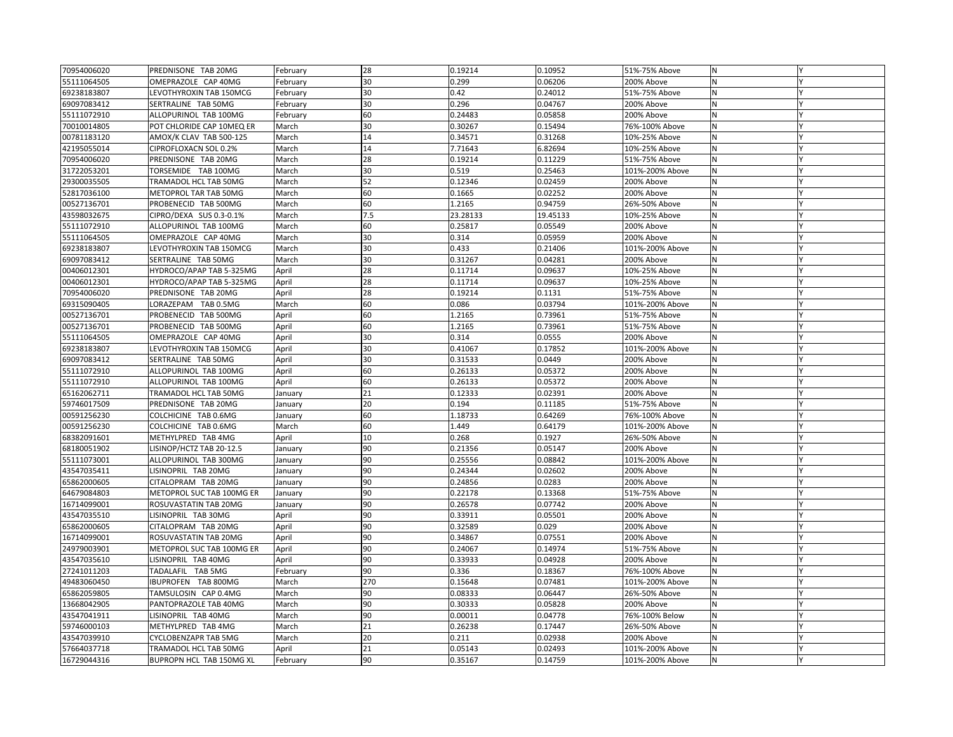| 70954006020 | PREDNISONE TAB 20MG       | February | 28       | 0.19214  | 0.10952            | 51%-75% Above   | IN. |  |
|-------------|---------------------------|----------|----------|----------|--------------------|-----------------|-----|--|
| 55111064505 | OMEPRAZOLE CAP 40MG       | February | 30       | 0.299    | 0.06206            | 200% Above      | N   |  |
| 69238183807 | LEVOTHYROXIN TAB 150MCG   | February | 30       | 0.42     | 0.24012            | 51%-75% Above   | N   |  |
| 69097083412 | SERTRALINE TAB 50MG       | February | 30       | 0.296    | 0.04767            | 200% Above      |     |  |
| 55111072910 | ALLOPURINOL TAB 100MG     | February | 60       | 0.24483  | 0.05858            | 200% Above      | N   |  |
| 70010014805 | POT CHLORIDE CAP 10MEQ ER | March    | 30       | 0.30267  | 0.15494            | 76%-100% Above  |     |  |
| 00781183120 | AMOX/K CLAV TAB 500-125   | March    | 14       | 0.34571  | 0.31268            | 10%-25% Above   | N   |  |
| 42195055014 | CIPROFLOXACN SOL 0.2%     | March    | 14       | 7.71643  | 6.82694            | 10%-25% Above   |     |  |
| 70954006020 | PREDNISONE TAB 20MG       | March    | 28       | 0.19214  | 0.11229            | 51%-75% Above   | N   |  |
| 31722053201 | TORSEMIDE TAB 100MG       | March    | 30       | 0.519    | 0.25463            | 101%-200% Above | N   |  |
| 29300035505 | TRAMADOL HCL TAB 50MG     | March    | 52       | 0.12346  | 0.02459            | 200% Above      | N   |  |
| 52817036100 | METOPROL TAR TAB 50MG     | March    | 60       | 0.1665   | 0.02252            | 200% Above      | N   |  |
| 00527136701 | PROBENECID TAB 500MG      | March    | 60       | 1.2165   | 0.94759            | 26%-50% Above   | N   |  |
| 43598032675 | CIPRO/DEXA SUS 0.3-0.1%   | March    | $7.5\,$  | 23.28133 | 19.45133           | 10%-25% Above   | N   |  |
| 55111072910 | ALLOPURINOL TAB 100MG     | March    | 60       | 0.25817  | 0.05549            | 200% Above      | N   |  |
| 55111064505 | OMEPRAZOLE CAP 40MG       | March    | 30       | 0.314    | 0.05959            | 200% Above      | N   |  |
| 69238183807 | LEVOTHYROXIN TAB 150MCG   | March    | 30       | 0.433    | 0.21406            | 101%-200% Above | N   |  |
| 69097083412 | SERTRALINE TAB 50MG       | March    | 30       | 0.31267  | 0.04281            | 200% Above      | N   |  |
| 00406012301 | HYDROCO/APAP TAB 5-325MG  | April    | 28       | 0.11714  | 0.09637            | 10%-25% Above   | N   |  |
| 00406012301 | HYDROCO/APAP TAB 5-325MG  | April    | 28       | 0.11714  | 0.09637            | 10%-25% Above   | N   |  |
| 70954006020 | PREDNISONE TAB 20MG       | April    | 28       | 0.19214  | 0.1131             | 51%-75% Above   |     |  |
| 69315090405 | LORAZEPAM TAB 0.5MG       | March    | 60       | 0.086    | 0.03794            | 101%-200% Above | N   |  |
| 00527136701 | PROBENECID TAB 500MG      | April    | 60       | 1.2165   | 0.73961            | 51%-75% Above   | N   |  |
| 00527136701 | PROBENECID TAB 500MG      | April    | 60       | 1.2165   | 0.73961            | 51%-75% Above   | N   |  |
| 55111064505 | OMEPRAZOLE CAP 40MG       | April    | 30       | 0.314    | 0.0555             | 200% Above      | N   |  |
| 69238183807 | LEVOTHYROXIN TAB 150MCG   | April    | 30       | 0.41067  | 0.17852            | 101%-200% Above | N   |  |
| 69097083412 | SERTRALINE TAB 50MG       | April    | 30       | 0.31533  | 0.0449             | 200% Above      | N   |  |
| 55111072910 | ALLOPURINOL TAB 100MG     | April    | 60       | 0.26133  | 0.05372            | 200% Above      | N   |  |
| 55111072910 | ALLOPURINOL TAB 100MG     | April    | 60       | 0.26133  | 0.05372            | 200% Above      | N   |  |
| 65162062711 | TRAMADOL HCL TAB 50MG     | January  | 21       | 0.12333  | 0.02391            | 200% Above      | N   |  |
| 59746017509 | PREDNISONE TAB 20MG       | January  | 20       | 0.194    | 0.11185            | 51%-75% Above   | N   |  |
| 00591256230 | COLCHICINE TAB 0.6MG      | January  | 60       | 1.18733  | 0.64269            | 76%-100% Above  | N   |  |
| 00591256230 | COLCHICINE TAB 0.6MG      | March    | 60       | 1.449    | 0.64179            | 101%-200% Above | Ν   |  |
| 68382091601 | METHYLPRED TAB 4MG        | April    | 10       | 0.268    | 0.1927             | 26%-50% Above   | N   |  |
| 68180051902 | LISINOP/HCTZ TAB 20-12.5  | January  | 90       | 0.21356  | 0.05147            | 200% Above      | N   |  |
| 55111073001 | ALLOPURINOL TAB 300MG     | January  | 90       | 0.25556  | 0.08842            | 101%-200% Above | N   |  |
| 43547035411 | LISINOPRIL TAB 20MG       | January  | 90       | 0.24344  | 0.02602            | 200% Above      |     |  |
| 65862000605 | CITALOPRAM TAB 20MG       | Januarv  | 90       | 0.24856  | 0.0283             | 200% Above      |     |  |
| 64679084803 | METOPROL SUC TAB 100MG ER | January  | 90       | 0.22178  | 0.13368            | 51%-75% Above   | N   |  |
| 16714099001 | ROSUVASTATIN TAB 20MG     | January  | 90       | 0.26578  | 0.07742            | 200% Above      | N   |  |
| 43547035510 | LISINOPRIL TAB 30MG       | April    | 90       | 0.33911  | 0.05501            | 200% Above      | N   |  |
| 65862000605 | CITALOPRAM TAB 20MG       | April    | 90       | 0.32589  | 0.029              | 200% Above      | N   |  |
| 16714099001 | ROSUVASTATIN TAB 20MG     | April    | 90       | 0.34867  | 0.07551            | 200% Above      | N   |  |
| 24979003901 | METOPROL SUC TAB 100MG ER | April    | 90       | 0.24067  | 0.14974            | 51%-75% Above   | N   |  |
| 43547035610 | LISINOPRIL TAB 40MG       | April    | 90       | 0.33933  | 0.04928            | 200% Above      | Ν   |  |
| 27241011203 | TADALAFIL TAB 5MG         | February | 90       | 0.336    | 0.18367            | 76%-100% Above  | N   |  |
| 49483060450 | IBUPROFEN TAB 800MG       | March    | 270      | 0.15648  | 0.07481            | 101%-200% Above | N   |  |
| 65862059805 | TAMSULOSIN CAP 0.4MG      | March    | 90       | 0.08333  | 0.06447            | 26%-50% Above   | N   |  |
| 13668042905 | PANTOPRAZOLE TAB 40MG     | March    | 90       | 0.30333  | 0.05828            | 200% Above      | Ν   |  |
| 43547041911 | LISINOPRIL TAB 40MG       | March    | 90<br>21 | 0.00011  | 0.04778<br>0.17447 | 76%-100% Below  | N   |  |
| 59746000103 | METHYLPRED TAB 4MG        | March    |          | 0.26238  |                    | 26%-50% Above   | N   |  |
| 43547039910 | CYCLOBENZAPR TAB 5MG      | March    | 20       | 0.211    | 0.02938            | 200% Above      | Ν   |  |
| 57664037718 | TRAMADOL HCL TAB 50MG     | April    | 21       | 0.05143  | 0.02493            | 101%-200% Above |     |  |
| 16729044316 | BUPROPN HCL TAB 150MG XL  | February | 90       | 0.35167  | 0.14759            | 101%-200% Above | Ν   |  |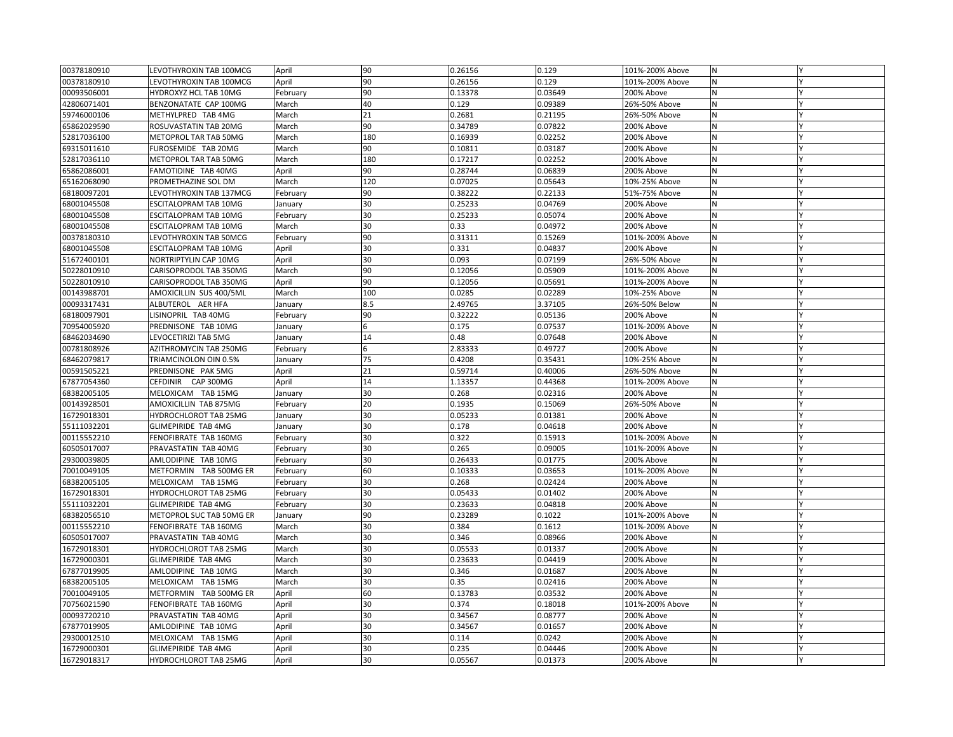| 00378180910 | LEVOTHYROXIN TAB 100MCG      | April    | 90  | 0.26156 | 0.129   | 101%-200% Above | IN. |  |
|-------------|------------------------------|----------|-----|---------|---------|-----------------|-----|--|
| 00378180910 | LEVOTHYROXIN TAB 100MCG      | April    | 90  | 0.26156 | 0.129   | 101%-200% Above | N   |  |
| 00093506001 | HYDROXYZ HCL TAB 10MG        | February | 90  | 0.13378 | 0.03649 | 200% Above      |     |  |
| 42806071401 | BENZONATATE CAP 100MG        | March    | 40  | 0.129   | 0.09389 | 26%-50% Above   |     |  |
| 59746000106 | METHYLPRED TAB 4MG           | March    | 21  | 0.2681  | 0.21195 | 26%-50% Above   | N   |  |
| 65862029590 | ROSUVASTATIN TAB 20MG        | March    | 90  | 0.34789 | 0.07822 | 200% Above      | N   |  |
| 52817036100 | METOPROL TAR TAB 50MG        | March    | 180 | 0.16939 | 0.02252 | 200% Above      | N   |  |
| 69315011610 | FUROSEMIDE TAB 20MG          | March    | 90  | 0.10811 | 0.03187 | 200% Above      |     |  |
| 52817036110 | METOPROL TAR TAB 50MG        | March    | 180 | 0.17217 | 0.02252 | 200% Above      | N   |  |
| 65862086001 | FAMOTIDINE TAB 40MG          | April    | 90  | 0.28744 | 0.06839 | 200% Above      | N   |  |
| 65162068090 | PROMETHAZINE SOL DM          | March    | 120 | 0.07025 | 0.05643 | 10%-25% Above   | N   |  |
| 68180097201 | LEVOTHYROXIN TAB 137MCG      | February | 90  | 0.38222 | 0.22133 | 51%-75% Above   | N   |  |
| 68001045508 | ESCITALOPRAM TAB 10MG        | January  | 30  | 0.25233 | 0.04769 | 200% Above      | N   |  |
| 68001045508 | ESCITALOPRAM TAB 10MG        | February | 30  | 0.25233 | 0.05074 | 200% Above      | N   |  |
| 68001045508 | ESCITALOPRAM TAB 10MG        | March    | 30  | 0.33    | 0.04972 | 200% Above      | N   |  |
| 00378180310 | LEVOTHYROXIN TAB 50MCG       | February | 90  | 0.31311 | 0.15269 | 101%-200% Above | N   |  |
| 68001045508 | ESCITALOPRAM TAB 10MG        | April    | 30  | 0.331   | 0.04837 | 200% Above      | N   |  |
| 51672400101 | NORTRIPTYLIN CAP 10MG        | April    | 30  | 0.093   | 0.07199 | 26%-50% Above   | N   |  |
| 50228010910 | CARISOPRODOL TAB 350MG       | March    | 90  | 0.12056 | 0.05909 | 101%-200% Above | N   |  |
| 50228010910 | CARISOPRODOL TAB 350MG       | April    | 90  | 0.12056 | 0.05691 | 101%-200% Above |     |  |
| 00143988701 | AMOXICILLIN SUS 400/5ML      | March    | 100 | 0.0285  | 0.02289 | 10%-25% Above   |     |  |
| 00093317431 | ALBUTEROL AER HFA            | January  | 8.5 | 2.49765 | 3.37105 | 26%-50% Below   | N   |  |
| 68180097901 | LISINOPRIL TAB 40MG          | February | 90  | 0.32222 | 0.05136 | 200% Above      | N   |  |
| 70954005920 | PREDNISONE TAB 10MG          | January  |     | 0.175   | 0.07537 | 101%-200% Above | N   |  |
| 68462034690 | LEVOCETIRIZI TAB 5MG         | January  | 14  | 0.48    | 0.07648 | 200% Above      |     |  |
| 00781808926 | AZITHROMYCIN TAB 250MG       | February | 6   | 2.83333 | 0.49727 | 200% Above      | N   |  |
| 68462079817 | TRIAMCINOLON OIN 0.5%        | January  | 75  | 0.4208  | 0.35431 | 10%-25% Above   | N   |  |
| 00591505221 | PREDNISONE PAK 5MG           | April    | 21  | 0.59714 | 0.40006 | 26%-50% Above   | N   |  |
| 67877054360 | CEFDINIR<br>CAP 300MG        | April    | 14  | 1.13357 | 0.44368 | 101%-200% Above | N   |  |
| 68382005105 | MELOXICAM TAB 15MG           | January  | 30  | 0.268   | 0.02316 | 200% Above      | N   |  |
| 00143928501 | AMOXICILLIN TAB 875MG        | February | 20  | 0.1935  | 0.15069 | 26%-50% Above   | N   |  |
| 16729018301 | HYDROCHLOROT TAB 25MG        | January  | 30  | 0.05233 | 0.01381 | 200% Above      | N   |  |
| 55111032201 | <b>GLIMEPIRIDE TAB 4MG</b>   | January  | 30  | 0.178   | 0.04618 | 200% Above      | N   |  |
| 00115552210 | FENOFIBRATE TAB 160MG        | February | 30  | 0.322   | 0.15913 | 101%-200% Above | N   |  |
| 60505017007 | PRAVASTATIN TAB 40MG         | February | 30  | 0.265   | 0.09005 | 101%-200% Above | N   |  |
| 29300039805 | AMLODIPINE TAB 10MG          | February | 30  | 0.26433 | 0.01775 | 200% Above      | N   |  |
| 70010049105 | METFORMIN TAB 500MG ER       | February | 60  | 0.10333 | 0.03653 | 101%-200% Above | N   |  |
| 68382005105 | MELOXICAM TAB 15MG           | February | 30  | 0.268   | 0.02424 | 200% Above      | N   |  |
| 16729018301 | HYDROCHLOROT TAB 25MG        | February | 30  | 0.05433 | 0.01402 | 200% Above      | N   |  |
| 55111032201 | GLIMEPIRIDE TAB 4MG          | February | 30  | 0.23633 | 0.04818 | 200% Above      | N   |  |
| 68382056510 | METOPROL SUC TAB 50MG ER     | January  | 90  | 0.23289 | 0.1022  | 101%-200% Above | N   |  |
| 00115552210 | FENOFIBRATE TAB 160MG        | March    | 30  | 0.384   | 0.1612  | 101%-200% Above | N   |  |
| 60505017007 | PRAVASTATIN TAB 40MG         | March    | 30  | 0.346   | 0.08966 | 200% Above      | N   |  |
| 16729018301 | HYDROCHLOROT TAB 25MG        | March    | 30  | 0.05533 | 0.01337 | 200% Above      | N   |  |
| 16729000301 | GLIMEPIRIDE TAB 4MG          | March    | 30  | 0.23633 | 0.04419 | 200% Above      | N   |  |
| 67877019905 | AMLODIPINE TAB 10MG          | March    | 30  | 0.346   | 0.01687 | 200% Above      |     |  |
| 68382005105 | TAB 15MG<br>MELOXICAM        | March    | 30  | 0.35    | 0.02416 | 200% Above      | N   |  |
| 70010049105 | METFORMIN<br>TAB 500MG ER    | April    | 60  | 0.13783 | 0.03532 | 200% Above      | N   |  |
| 70756021590 | FENOFIBRATE TAB 160MG        | April    | 30  | 0.374   | 0.18018 | 101%-200% Above | N   |  |
| 00093720210 | PRAVASTATIN TAB 40MG         | April    | 30  | 0.34567 | 0.08777 | 200% Above      | N   |  |
| 67877019905 | AMLODIPINE TAB 10MG          | April    | 30  | 0.34567 | 0.01657 | 200% Above      | N   |  |
| 29300012510 | MELOXICAM TAB 15MG           | April    | 30  | 0.114   | 0.0242  | 200% Above      | N   |  |
| 16729000301 | GLIMEPIRIDE TAB 4MG          | April    | 30  | 0.235   | 0.04446 | 200% Above      | N   |  |
| 16729018317 | <b>HYDROCHLOROT TAB 25MG</b> | April    | 30  | 0.05567 | 0.01373 | 200% Above      | N   |  |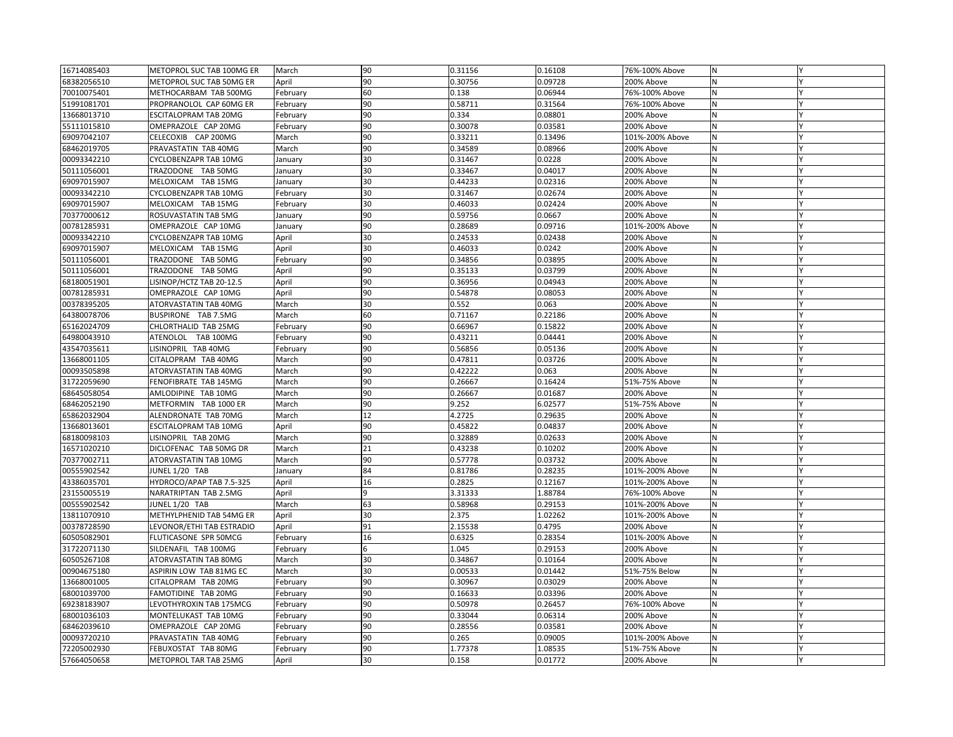| 16714085403 | METOPROL SUC TAB 100MG ER    | March    | 90 | 0.31156 | 0.16108 | 76%-100% Above  | N |  |
|-------------|------------------------------|----------|----|---------|---------|-----------------|---|--|
| 68382056510 | METOPROL SUC TAB 50MG ER     | April    | 90 | 0.30756 | 0.09728 | 200% Above      | N |  |
| 70010075401 | METHOCARBAM TAB 500MG        | February | 60 | 0.138   | 0.06944 | 76%-100% Above  | N |  |
| 51991081701 | PROPRANOLOL CAP 60MG ER      | February | 90 | 0.58711 | 0.31564 | 76%-100% Above  | N |  |
| 13668013710 | <b>ESCITALOPRAM TAB 20MG</b> | February | 90 | 0.334   | 0.08801 | 200% Above      | N |  |
| 55111015810 | OMEPRAZOLE CAP 20MG          | February | 90 | 0.30078 | 0.03581 | 200% Above      | N |  |
| 69097042107 | CELECOXIB CAP 200MG          | March    | 90 | 0.33211 | 0.13496 | 101%-200% Above | N |  |
| 68462019705 | PRAVASTATIN TAB 40MG         | March    | 90 | 0.34589 | 0.08966 | 200% Above      | N |  |
| 00093342210 | CYCLOBENZAPR TAB 10MG        | January  | 30 | 0.31467 | 0.0228  | 200% Above      | N |  |
| 50111056001 | TRAZODONE TAB 50MG           | January  | 30 | 0.33467 | 0.04017 | 200% Above      | N |  |
| 69097015907 | MELOXICAM TAB 15MG           | January  | 30 | 0.44233 | 0.02316 | 200% Above      | N |  |
| 00093342210 | <b>CYCLOBENZAPR TAB 10MG</b> | February | 30 | 0.31467 | 0.02674 | 200% Above      | N |  |
| 69097015907 | MELOXICAM TAB 15MG           | February | 30 | 0.46033 | 0.02424 | 200% Above      | Ń |  |
| 70377000612 | ROSUVASTATIN TAB 5MG         | January  | 90 | 0.59756 | 0.0667  | 200% Above      | N |  |
| 00781285931 | OMEPRAZOLE CAP 10MG          | January  | 90 | 0.28689 | 0.09716 | 101%-200% Above | N |  |
| 00093342210 | CYCLOBENZAPR TAB 10MG        | April    | 30 | 0.24533 | 0.02438 | 200% Above      | N |  |
| 69097015907 | MELOXICAM<br>TAB 15MG        | April    | 30 | 0.46033 | 0.0242  | 200% Above      |   |  |
| 50111056001 | TRAZODONE<br>TAB 50MG        | February | 90 | 0.34856 | 0.03895 | 200% Above      | N |  |
| 50111056001 | TRAZODONE TAB 50MG           | April    | 90 | 0.35133 | 0.03799 | 200% Above      | N |  |
| 68180051901 | LISINOP/HCTZ TAB 20-12.5     | April    | 90 | 0.36956 | 0.04943 | 200% Above      | N |  |
| 00781285931 | OMEPRAZOLE CAP 10MG          | April    | 90 | 0.54878 | 0.08053 | 200% Above      | N |  |
| 00378395205 | ATORVASTATIN TAB 40MG        | March    | 30 | 0.552   | 0.063   | 200% Above      | N |  |
| 64380078706 | BUSPIRONE TAB 7.5MG          | March    | 60 | 0.71167 | 0.22186 | 200% Above      | N |  |
| 65162024709 | CHLORTHALID TAB 25MG         | February | 90 | 0.66967 | 0.15822 | 200% Above      |   |  |
| 64980043910 | ATENOLOL<br><b>TAB 100MG</b> | February | 90 | 0.43211 | 0.04441 | 200% Above      | N |  |
| 43547035611 | LISINOPRIL TAB 40MG          | February | 90 | 0.56856 | 0.05136 | 200% Above      | N |  |
| 13668001105 | CITALOPRAM TAB 40MG          | March    | 90 | 0.47811 | 0.03726 | 200% Above      | N |  |
| 00093505898 | <b>ATORVASTATIN TAB 40MG</b> | March    | 90 | 0.42222 | 0.063   | 200% Above      | N |  |
| 31722059690 | FENOFIBRATE TAB 145MG        | March    | 90 | 0.26667 | 0.16424 | 51%-75% Above   | N |  |
| 68645058054 | AMLODIPINE TAB 10MG          | March    | 90 | 0.26667 | 0.01687 | 200% Above      | N |  |
| 68462052190 | METFORMIN TAB 1000 ER        | March    | 90 | 9.252   | 6.02577 | 51%-75% Above   | N |  |
| 65862032904 | ALENDRONATE TAB 70MG         | March    | 12 | 4.2725  | 0.29635 | 200% Above      | N |  |
| 13668013601 | ESCITALOPRAM TAB 10MG        | April    | 90 | 0.45822 | 0.04837 | 200% Above      | N |  |
| 68180098103 | LISINOPRIL TAB 20MG          | March    | 90 | 0.32889 | 0.02633 | 200% Above      | N |  |
| 16571020210 | DICLOFENAC TAB 50MG DR       | March    | 21 | 0.43238 | 0.10202 | 200% Above      | N |  |
| 70377002711 | ATORVASTATIN TAB 10MG        | March    | 90 | 0.57778 | 0.03732 | 200% Above      | N |  |
| 00555902542 | JUNEL 1/20 TAB               | January  | 84 | 0.81786 | 0.28235 | 101%-200% Above | N |  |
| 43386035701 | HYDROCO/APAP TAB 7.5-325     | April    | 16 | 0.2825  | 0.12167 | 101%-200% Above | N |  |
| 23155005519 | NARATRIPTAN TAB 2.5MG        | April    | Q  | 3.31333 | 1.88784 | 76%-100% Above  | N |  |
| 00555902542 | JUNEL 1/20 TAB               | March    | 63 | 0.58968 | 0.29153 | 101%-200% Above | N |  |
| 13811070910 | METHYLPHENID TAB 54MG ER     | April    | 30 | 2.375   | 1.02262 | 101%-200% Above | N |  |
| 00378728590 | LEVONOR/ETHI TAB ESTRADIO    | April    | 91 | 2.15538 | 0.4795  | 200% Above      | N |  |
| 60505082901 | FLUTICASONE SPR 50MCG        | February | 16 | 0.6325  | 0.28354 | 101%-200% Above | N |  |
| 31722071130 | SILDENAFIL TAB 100MG         | February | 6  | 1.045   | 0.29153 | 200% Above      | N |  |
| 60505267108 | ATORVASTATIN TAB 80MG        | March    | 30 | 0.34867 | 0.10164 | 200% Above      | N |  |
| 00904675180 | ASPIRIN LOW TAB 81MG EC      | March    | 30 | 0.00533 | 0.01442 | 51%-75% Below   | N |  |
| 13668001005 | CITALOPRAM TAB 20MG          | February | 90 | 0.30967 | 0.03029 | 200% Above      | N |  |
| 68001039700 | FAMOTIDINE TAB 20MG          | February | 90 | 0.16633 | 0.03396 | 200% Above      | N |  |
| 69238183907 | LEVOTHYROXIN TAB 175MCG      | February | 90 | 0.50978 | 0.26457 | 76%-100% Above  | N |  |
| 68001036103 | MONTELUKAST TAB 10MG         | February | 90 | 0.33044 | 0.06314 | 200% Above      | N |  |
| 68462039610 | OMEPRAZOLE CAP 20MG          | February | 90 | 0.28556 | 0.03581 | 200% Above      |   |  |
| 00093720210 | PRAVASTATIN TAB 40MG         | February | 90 | 0.265   | 0.09005 | 101%-200% Above | N |  |
| 72205002930 | FEBUXOSTAT TAB 80MG          | February | 90 | 1.77378 | 1.08535 | 51%-75% Above   | N |  |
| 57664050658 | METOPROL TAR TAB 25MG        | April    | 30 | 0.158   | 0.01772 | 200% Above      | N |  |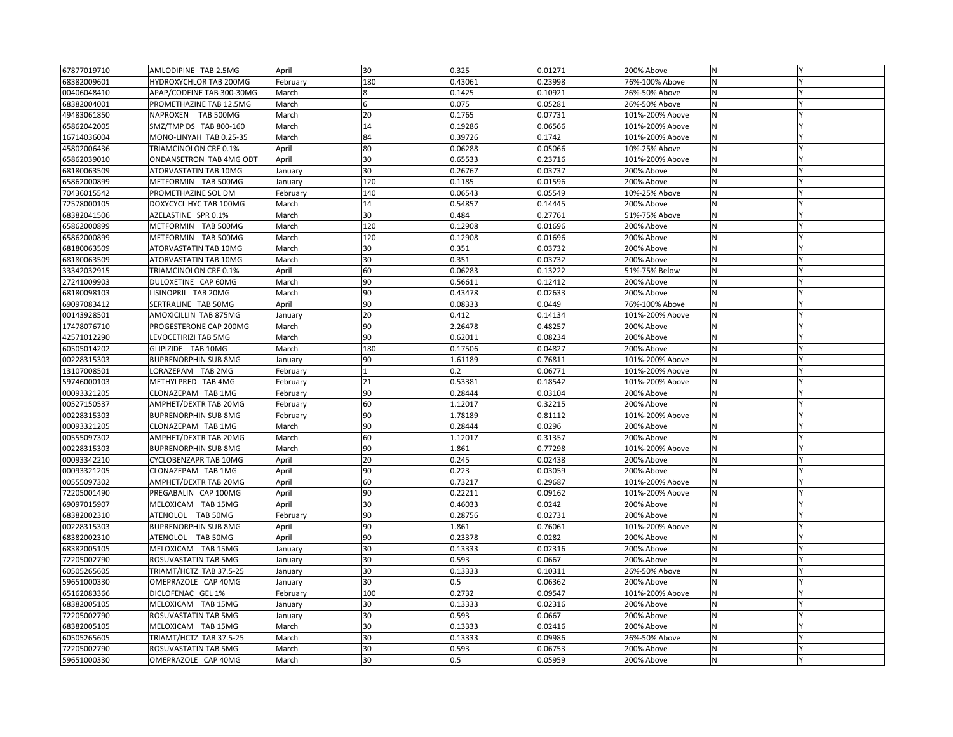| 67877019710 | AMLODIPINE TAB 2.5MG        | April    | 30  | 0.325   | 0.01271 | 200% Above      | N |  |
|-------------|-----------------------------|----------|-----|---------|---------|-----------------|---|--|
| 68382009601 | HYDROXYCHLOR TAB 200MG      | February | 180 | 0.43061 | 0.23998 | 76%-100% Above  | N |  |
| 00406048410 | APAP/CODEINE TAB 300-30MG   | March    |     | 0.1425  | 0.10921 | 26%-50% Above   | N |  |
| 68382004001 | PROMETHAZINE TAB 12.5MG     | March    |     | 0.075   | 0.05281 | 26%-50% Above   | N |  |
| 49483061850 | NAPROXEN TAB 500MG          | March    | 20  | 0.1765  | 0.07731 | 101%-200% Above | N |  |
| 65862042005 | SMZ/TMP DS TAB 800-160      | March    | 14  | 0.19286 | 0.06566 | 101%-200% Above | N |  |
| 16714036004 | MONO-LINYAH TAB 0.25-35     | March    | 84  | 0.39726 | 0.1742  | 101%-200% Above | N |  |
| 45802006436 | TRIAMCINOLON CRE 0.1%       | April    | 80  | 0.06288 | 0.05066 | 10%-25% Above   | N |  |
| 65862039010 | ONDANSETRON TAB 4MG ODT     | April    | 30  | 0.65533 | 0.23716 | 101%-200% Above | N |  |
| 68180063509 | ATORVASTATIN TAB 10MG       | January  | 30  | 0.26767 | 0.03737 | 200% Above      | N |  |
| 65862000899 | METFORMIN TAB 500MG         | January  | 120 | 0.1185  | 0.01596 | 200% Above      | N |  |
| 70436015542 | PROMETHAZINE SOL DM         | February | 140 | 0.06543 | 0.05549 | 10%-25% Above   | N |  |
| 72578000105 | DOXYCYCL HYC TAB 100MG      | March    | 14  | 0.54857 | 0.14445 | 200% Above      | N |  |
| 68382041506 | AZELASTINE SPR 0.1%         | March    | 30  | 0.484   | 0.27761 | 51%-75% Above   | N |  |
| 65862000899 | METFORMIN TAB 500MG         | March    | 120 | 0.12908 | 0.01696 | 200% Above      | N |  |
| 65862000899 | METFORMIN TAB 500MG         | March    | 120 | 0.12908 | 0.01696 | 200% Above      | N |  |
| 68180063509 | ATORVASTATIN TAB 10MG       | March    | 30  | 0.351   | 0.03732 | 200% Above      | N |  |
| 68180063509 | ATORVASTATIN TAB 10MG       | March    | 30  | 0.351   | 0.03732 | 200% Above      | N |  |
| 33342032915 | TRIAMCINOLON CRE 0.1%       | April    | 60  | 0.06283 | 0.13222 | 51%-75% Below   | N |  |
| 27241009903 | DULOXETINE CAP 60MG         | March    | 90  | 0.56611 | 0.12412 | 200% Above      | N |  |
| 68180098103 | LISINOPRIL TAB 20MG         | March    | 90  | 0.43478 | 0.02633 | 200% Above      | N |  |
| 69097083412 | SERTRALINE TAB 50MG         | April    | 90  | 0.08333 | 0.0449  | 76%-100% Above  | N |  |
| 00143928501 | AMOXICILLIN TAB 875MG       | January  | 20  | 0.412   | 0.14134 | 101%-200% Above | Ν |  |
| 17478076710 | PROGESTERONE CAP 200MG      | March    | 90  | 2.26478 | 0.48257 | 200% Above      | N |  |
| 42571012290 | LEVOCETIRIZI TAB 5MG        | March    | 90  | 0.62011 | 0.08234 | 200% Above      | N |  |
| 60505014202 | GLIPIZIDE TAB 10MG          | March    | 180 | 0.17506 | 0.04827 | 200% Above      | N |  |
| 00228315303 | <b>BUPRENORPHIN SUB 8MG</b> | January  | 90  | 1.61189 | 0.76811 | 101%-200% Above | N |  |
| 13107008501 | LORAZEPAM TAB 2MG           | February |     | 0.2     | 0.06771 | 101%-200% Above | N |  |
| 59746000103 | METHYLPRED TAB 4MG          | February | 21  | 0.53381 | 0.18542 | 101%-200% Above | N |  |
| 00093321205 | CLONAZEPAM TAB 1MG          | February | 90  | 0.28444 | 0.03104 | 200% Above      | N |  |
| 00527150537 | AMPHET/DEXTR TAB 20MG       | February | 60  | 1.12017 | 0.32215 | 200% Above      | N |  |
| 00228315303 | <b>BUPRENORPHIN SUB 8MG</b> | February | 90  | 1.78189 | 0.81112 | 101%-200% Above | N |  |
| 00093321205 | CLONAZEPAM TAB 1MG          | March    | 90  | 0.28444 | 0.0296  | 200% Above      | N |  |
| 00555097302 | AMPHET/DEXTR TAB 20MG       | March    | 60  | 1.12017 | 0.31357 | 200% Above      | N |  |
| 00228315303 | BUPRENORPHIN SUB 8MG        | March    | 90  | 1.861   | 0.77298 | 101%-200% Above | N |  |
| 00093342210 | CYCLOBENZAPR TAB 10MG       | April    | 20  | 0.245   | 0.02438 | 200% Above      | N |  |
| 00093321205 | CLONAZEPAM TAB 1MG          | April    | 90  | 0.223   | 0.03059 | 200% Above      | N |  |
| 00555097302 | AMPHET/DEXTR TAB 20MG       | April    | 60  | 0.73217 | 0.29687 | 101%-200% Above | N |  |
| 72205001490 | PREGABALIN CAP 100MG        | April    | 90  | 0.22211 | 0.09162 | 101%-200% Above | N |  |
| 69097015907 | MELOXICAM TAB 15MG          | April    | 30  | 0.46033 | 0.0242  | 200% Above      | N |  |
| 68382002310 | ATENOLOL<br>TAB 50MG        | February | 90  | 0.28756 | 0.02731 | 200% Above      | N |  |
| 00228315303 | <b>BUPRENORPHIN SUB 8MG</b> | April    | 90  | 1.861   | 0.76061 | 101%-200% Above | N |  |
| 68382002310 | ATENOLOL<br>TAB 50MG        | April    | 90  | 0.23378 | 0.0282  | 200% Above      | N |  |
| 68382005105 | MELOXICAM TAB 15MG          | January  | 30  | 0.13333 | 0.02316 | 200% Above      | N |  |
| 72205002790 | ROSUVASTATIN TAB 5MG        | January  | 30  | 0.593   | 0.0667  | 200% Above      |   |  |
| 60505265605 | TRIAMT/HCTZ TAB 37.5-25     | January  | 30  | 0.13333 | 0.10311 | 26%-50% Above   | N |  |
| 59651000330 | OMEPRAZOLE CAP 40MG         | January  | 30  | 0.5     | 0.06362 | 200% Above      | N |  |
| 65162083366 | DICLOFENAC GEL 1%           | February | 100 | 0.2732  | 0.09547 | 101%-200% Above | N |  |
| 68382005105 | MELOXICAM TAB 15MG          | January  | 30  | 0.13333 | 0.02316 | 200% Above      | N |  |
| 72205002790 | ROSUVASTATIN TAB 5MG        | January  | 30  | 0.593   | 0.0667  | 200% Above      | N |  |
| 68382005105 | MELOXICAM TAB 15MG          | March    | 30  | 0.13333 | 0.02416 | 200% Above      | N |  |
| 60505265605 | TRIAMT/HCTZ TAB 37.5-25     | March    | 30  | 0.13333 | 0.09986 | 26%-50% Above   | N |  |
| 72205002790 | ROSUVASTATIN TAB 5MG        | March    | 30  | 0.593   | 0.06753 | 200% Above      | N |  |
| 59651000330 | OMEPRAZOLE CAP 40MG         | March    | 30  | 0.5     | 0.05959 | 200% Above      | N |  |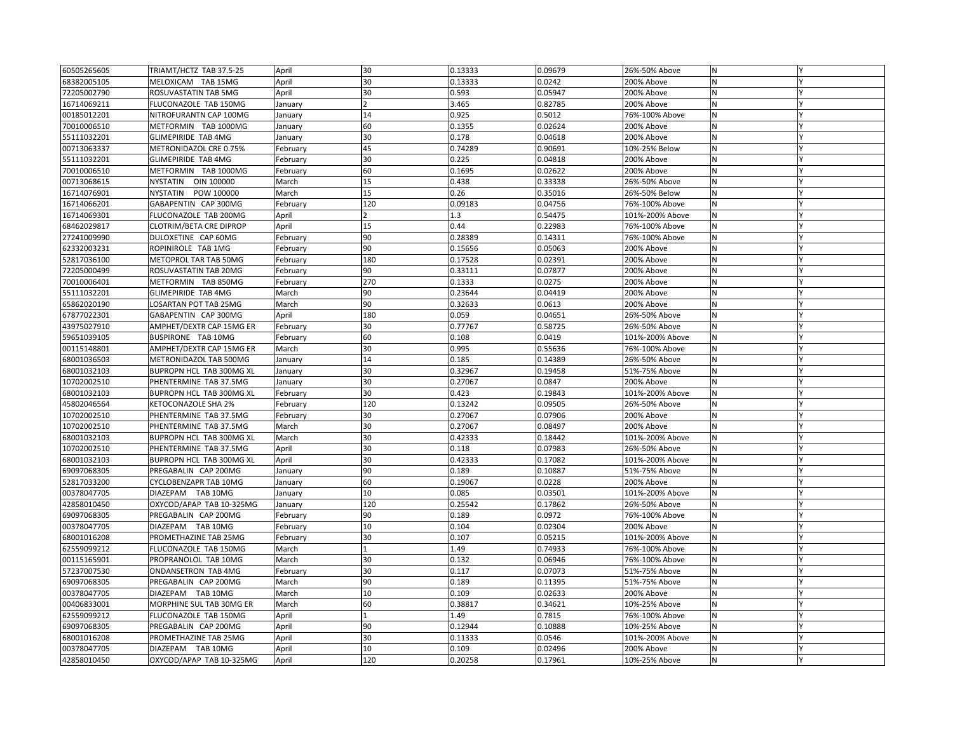| 60505265605                | TRIAMT/HCTZ TAB 37.5-25                         | April              | 30       | 0.13333            | 0.09679            | 26%-50% Above                 | N      |  |
|----------------------------|-------------------------------------------------|--------------------|----------|--------------------|--------------------|-------------------------------|--------|--|
| 68382005105                | MELOXICAM TAB 15MG                              | April              | 30       | 0.13333            | 0.0242             | 200% Above                    | N      |  |
| 72205002790                | ROSUVASTATIN TAB 5MG                            | April              | 30       | 0.593              | 0.05947            | 200% Above                    | N      |  |
| 16714069211                | FLUCONAZOLE TAB 150MG                           | January            |          | 3.465              | 0.82785            | 200% Above                    | N      |  |
| 00185012201                | NITROFURANTN CAP 100MG                          | January            | 14       | 0.925              | 0.5012             | 76%-100% Above                | N      |  |
| 70010006510                | METFORMIN TAB 1000MG                            | January            | 60       | 0.1355             | 0.02624            | 200% Above                    | N      |  |
| 55111032201                | <b>GLIMEPIRIDE TAB 4MG</b>                      | January            | 30       | 0.178              | 0.04618            | 200% Above                    | N      |  |
| 00713063337                | METRONIDAZOL CRE 0.75%                          | February           | 45       | 0.74289            | 0.90691            | 10%-25% Below                 | N      |  |
| 55111032201                | <b>GLIMEPIRIDE TAB 4MG</b>                      | February           | 30       | 0.225              | 0.04818            | 200% Above                    |        |  |
| 70010006510                | METFORMIN TAB 1000MG                            | February           | 60       | 0.1695             | 0.02622            | 200% Above                    | N      |  |
| 00713068615                | <b>NYSTATIN</b><br>OIN 100000                   | March              | 15       | 0.438              | 0.33338            | 26%-50% Above                 | N      |  |
| 16714076901                | <b>NYSTATIN</b><br>POW 100000                   | March              | 15       | 0.26               | 0.35016            | 26%-50% Below                 | N      |  |
| 16714066201                | GABAPENTIN CAP 300MG                            | February           | 120      | 0.09183            | 0.04756            | 76%-100% Above                | N      |  |
| 16714069301                | FLUCONAZOLE TAB 200MG                           | April              |          | 1.3                | 0.54475            | 101%-200% Above               | N      |  |
| 68462029817                | CLOTRIM/BETA CRE DIPROP                         | April              | 15       | 0.44               | 0.22983            | 76%-100% Above                | N      |  |
| 27241009990                | DULOXETINE CAP 60MG                             | February           | 90       | 0.28389            | 0.14311            | 76%-100% Above                | N      |  |
| 62332003231                | ROPINIROLE TAB 1MG                              | February           | 90       | 0.15656            | 0.05063            | 200% Above                    | N      |  |
| 52817036100                | METOPROL TAR TAB 50MG                           | February           | 180      | 0.17528            | 0.02391            | 200% Above                    | N      |  |
| 72205000499                | ROSUVASTATIN TAB 20MG                           | February           | 90       | 0.33111            | 0.07877            | 200% Above                    | N      |  |
| 70010006401                | METFORMIN TAB 850MG                             | February           | 270      | 0.1333             | 0.0275             | 200% Above                    | N      |  |
| 55111032201                | <b>GLIMEPIRIDE TAB 4MG</b>                      | March              | 90       | 0.23644            | 0.04419            | 200% Above                    | N      |  |
| 65862020190                | <b>LOSARTAN POT TAB 25MG</b>                    | March              | 90       | 0.32633            | 0.0613             | 200% Above                    | N      |  |
| 67877022301                | GABAPENTIN CAP 300MG                            | April              | 180      | 0.059              | 0.04651            | 26%-50% Above                 | N      |  |
| 43975027910                | AMPHET/DEXTR CAP 15MG ER                        | February           | 30       | 0.77767            | 0.58725            | 26%-50% Above                 | N      |  |
| 59651039105                | <b>BUSPIRONE TAB 10MG</b>                       | February           | 60       | 0.108              | 0.0419             | 101%-200% Above               | N      |  |
| 00115148801                | AMPHET/DEXTR CAP 15MG ER                        | March              | 30       | 0.995              | 0.55636            | 76%-100% Above                | N      |  |
| 68001036503                | METRONIDAZOL TAB 500MG                          |                    | 14       | 0.185              | 0.14389            | 26%-50% Above                 | N      |  |
| 68001032103                | BUPROPN HCL TAB 300MG XL                        | January<br>January | 30       | 0.32967            | 0.19458            | 51%-75% Above                 | N      |  |
| 10702002510                | PHENTERMINE TAB 37.5MG                          |                    | 30       | 0.27067            | 0.0847             | 200% Above                    | N      |  |
|                            |                                                 | January            | 30       | 0.423              | 0.19843            |                               |        |  |
| 68001032103                | BUPROPN HCL TAB 300MG XL<br>KETOCONAZOLE SHA 2% | February           | 120      |                    |                    | 101%-200% Above               | N      |  |
| 45802046564                |                                                 | February           |          | 0.13242            | 0.09505            | 26%-50% Above                 | N      |  |
| 10702002510                | PHENTERMINE TAB 37.5MG                          | February           | 30       | 0.27067            | 0.07906            | 200% Above                    | N      |  |
| 10702002510<br>68001032103 | PHENTERMINE TAB 37.5MG                          | March              | 30<br>30 | 0.27067<br>0.42333 | 0.08497<br>0.18442 | 200% Above<br>101%-200% Above | N      |  |
|                            | BUPROPN HCL TAB 300MG XL                        | March              |          |                    |                    |                               | N      |  |
| 10702002510                | PHENTERMINE TAB 37.5MG                          | April              | 30       | 0.118              | 0.07983            | 26%-50% Above                 |        |  |
| 68001032103                | BUPROPN HCL TAB 300MG XL                        | April              | 30       | 0.42333            | 0.17082            | 101%-200% Above               | N<br>N |  |
| 69097068305                | PREGABALIN CAP 200MG                            | January            | 90       | 0.189              | 0.10887            | 51%-75% Above                 |        |  |
| 52817033200                | CYCLOBENZAPR TAB 10MG                           | January            | 60       | 0.19067            | 0.0228             | 200% Above                    | N      |  |
| 00378047705                | DIAZEPAM TAB 10MG                               | January            | 10       | 0.085              | 0.03501            | 101%-200% Above               | N      |  |
| 42858010450                | OXYCOD/APAP TAB 10-325MG                        | January            | 120      | 0.25542            | 0.17862            | 26%-50% Above                 | N      |  |
| 69097068305                | PREGABALIN CAP 200MG                            | February           | 90       | 0.189              | 0.0972             | 76%-100% Above                | N<br>N |  |
| 00378047705                | DIAZEPAM TAB 10MG                               | February           | 10       | 0.104              | 0.02304            | 200% Above                    |        |  |
| 68001016208                | PROMETHAZINE TAB 25MG                           | February           | 30       | 0.107              | 0.05215            | 101%-200% Above               | N      |  |
| 62559099212                | FLUCONAZOLE TAB 150MG                           | March              |          | 1.49               | 0.74933            | 76%-100% Above                | N      |  |
| 00115165901                | PROPRANOLOL TAB 10MG                            | March              | 30       | 0.132              | 0.06946            | 76%-100% Above                | N      |  |
| 57237007530                | <b>ONDANSETRON TAB 4MG</b>                      | February           | 30       | 0.117              | 0.07073            | 51%-75% Above                 | N      |  |
| 69097068305                | PREGABALIN CAP 200MG                            | March              | 90       | 0.189              | 0.11395            | 51%-75% Above                 | Ń      |  |
| 00378047705                | <b>DIAZEPAM</b><br>TAB 10MG                     | March              | 10       | 0.109              | 0.02633            | 200% Above                    | N      |  |
| 00406833001                | MORPHINE SUL TAB 30MG ER                        | March              | 60       | 0.38817            | 0.34621            | 10%-25% Above                 | N      |  |
| 62559099212                | FLUCONAZOLE TAB 150MG                           | April              |          | 1.49               | 0.7815             | 76%-100% Above                | N      |  |
| 69097068305                | PREGABALIN CAP 200MG                            | April              | 90       | 0.12944            | 0.10888            | 10%-25% Above                 | N      |  |
| 68001016208                | PROMETHAZINE TAB 25MG                           | April              | 30       | 0.11333            | 0.0546             | 101%-200% Above               | N      |  |
| 00378047705                | <b>DIAZEPAM</b><br>TAB 10MG                     | April              | 10       | 0.109              | 0.02496            | 200% Above                    | N      |  |
| 42858010450                | OXYCOD/APAP TAB 10-325MG                        | April              | 120      | 0.20258            | 0.17961            | 10%-25% Above                 | N      |  |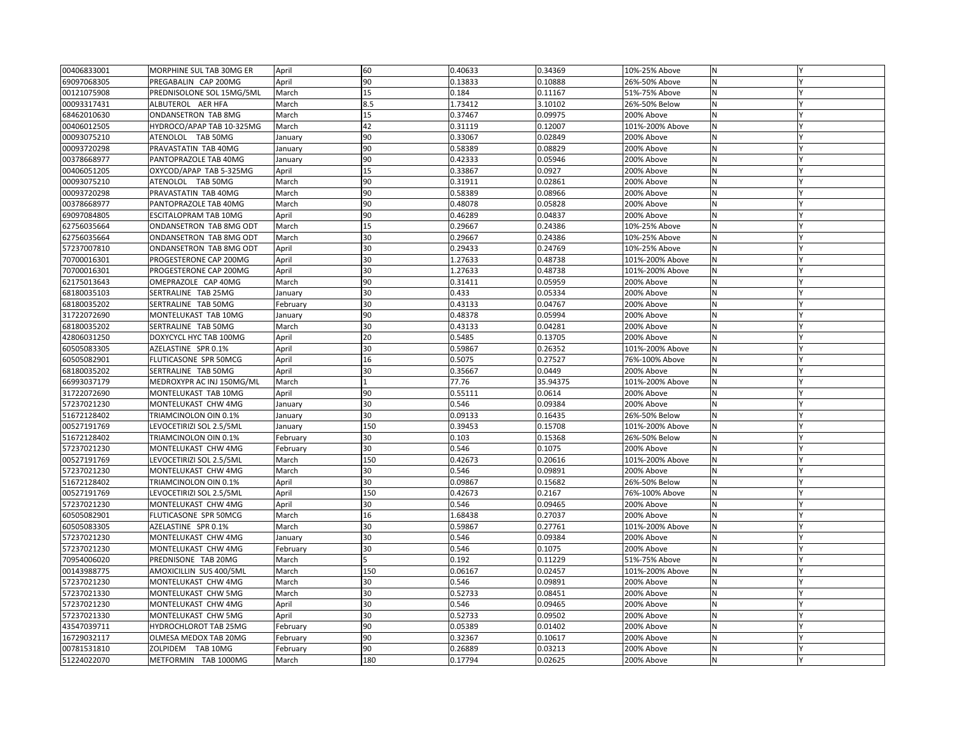| 00406833001 | MORPHINE SUL TAB 30MG ER     | April    | 60  | 0.40633 | 0.34369  | 10%-25% Above   | N |  |
|-------------|------------------------------|----------|-----|---------|----------|-----------------|---|--|
| 69097068305 | PREGABALIN CAP 200MG         | April    | 90  | 0.13833 | 0.10888  | 26%-50% Above   | N |  |
| 00121075908 | PREDNISOLONE SOL 15MG/5ML    | March    | 15  | 0.184   | 0.11167  | 51%-75% Above   | N |  |
| 00093317431 | ALBUTEROL AER HFA            | March    | 8.5 | 1.73412 | 3.10102  | 26%-50% Below   | N |  |
| 68462010630 | <b>ONDANSETRON TAB 8MG</b>   | March    | 15  | 0.37467 | 0.09975  | 200% Above      | N |  |
| 00406012505 | HYDROCO/APAP TAB 10-325MG    | March    | 42  | 0.31119 | 0.12007  | 101%-200% Above | N |  |
| 00093075210 | ATENOLOL TAB 50MG            | January  | 90  | 0.33067 | 0.02849  | 200% Above      | N |  |
| 00093720298 | PRAVASTATIN TAB 40MG         | January  | 90  | 0.58389 | 0.08829  | 200% Above      | N |  |
| 00378668977 | PANTOPRAZOLE TAB 40MG        | January  | 90  | 0.42333 | 0.05946  | 200% Above      | N |  |
| 00406051205 | OXYCOD/APAP TAB 5-325MG      | April    | 15  | 0.33867 | 0.0927   | 200% Above      | N |  |
| 00093075210 | ATENOLOL TAB 50MG            | March    | 90  | 0.31911 | 0.02861  | 200% Above      | N |  |
| 00093720298 | PRAVASTATIN TAB 40MG         | March    | 90  | 0.58389 | 0.08966  | 200% Above      | N |  |
| 00378668977 | PANTOPRAZOLE TAB 40MG        | March    | 90  | 0.48078 | 0.05828  | 200% Above      | N |  |
| 69097084805 | <b>ESCITALOPRAM TAB 10MG</b> | April    | 90  | 0.46289 | 0.04837  | 200% Above      | N |  |
| 62756035664 | ONDANSETRON TAB 8MG ODT      | March    | 15  | 0.29667 | 0.24386  | 10%-25% Above   | N |  |
| 62756035664 | ONDANSETRON TAB 8MG ODT      | March    | 30  | 0.29667 | 0.24386  | 10%-25% Above   | N |  |
| 57237007810 | ONDANSETRON TAB 8MG ODT      | April    | 30  | 0.29433 | 0.24769  | 10%-25% Above   |   |  |
| 70700016301 | PROGESTERONE CAP 200MG       | April    | 30  | 1.27633 | 0.48738  | 101%-200% Above | N |  |
| 70700016301 | PROGESTERONE CAP 200MG       | April    | 30  | 1.27633 | 0.48738  | 101%-200% Above | N |  |
| 62175013643 | OMEPRAZOLE CAP 40MG          | March    | 90  | 0.31411 | 0.05959  | 200% Above      |   |  |
| 68180035103 | SERTRALINE TAB 25MG          | January  | 30  | 0.433   | 0.05334  | 200% Above      |   |  |
| 68180035202 | SERTRALINE TAB 50MG          | February | 30  | 0.43133 | 0.04767  | 200% Above      | N |  |
| 31722072690 | MONTELUKAST TAB 10MG         | January  | 90  | 0.48378 | 0.05994  | 200% Above      | N |  |
| 68180035202 | SERTRALINE TAB 50MG          | March    | 30  | 0.43133 | 0.04281  | 200% Above      | N |  |
| 42806031250 | DOXYCYCL HYC TAB 100MG       | April    | 20  | 0.5485  | 0.13705  | 200% Above      |   |  |
| 60505083305 | AZELASTINE SPR 0.1%          | April    | 30  | 0.59867 | 0.26352  | 101%-200% Above | N |  |
| 60505082901 | FLUTICASONE SPR 50MCG        | April    | 16  | 0.5075  | 0.27527  | 76%-100% Above  | N |  |
| 68180035202 | SERTRALINE TAB 50MG          | April    | 30  | 0.35667 | 0.0449   | 200% Above      | N |  |
| 66993037179 | MEDROXYPR AC INJ 150MG/ML    | March    |     | 77.76   | 35.94375 | 101%-200% Above | N |  |
| 31722072690 | MONTELUKAST TAB 10MG         | April    | 90  | 0.55111 | 0.0614   | 200% Above      | N |  |
| 57237021230 | MONTELUKAST CHW 4MG          | January  | 30  | 0.546   | 0.09384  | 200% Above      | N |  |
| 51672128402 | TRIAMCINOLON OIN 0.1%        | January  | 30  | 0.09133 | 0.16435  | 26%-50% Below   |   |  |
| 00527191769 | LEVOCETIRIZI SOL 2.5/5ML     | January  | 150 | 0.39453 | 0.15708  | 101%-200% Above | N |  |
| 51672128402 | TRIAMCINOLON OIN 0.1%        | February | 30  | 0.103   | 0.15368  | 26%-50% Below   | N |  |
| 57237021230 | MONTELUKAST CHW 4MG          | February | 30  | 0.546   | 0.1075   | 200% Above      | N |  |
| 00527191769 | LEVOCETIRIZI SOL 2.5/5ML     | March    | 150 | 0.42673 | 0.20616  | 101%-200% Above | N |  |
| 57237021230 | MONTELUKAST CHW 4MG          | March    | 30  | 0.546   | 0.09891  | 200% Above      | N |  |
| 51672128402 | TRIAMCINOLON OIN 0.1%        | April    | 30  | 0.09867 | 0.15682  | 26%-50% Below   | N |  |
| 00527191769 | LEVOCETIRIZI SOL 2.5/5ML     | April    | 150 | 0.42673 | 0.2167   | 76%-100% Above  | N |  |
| 57237021230 | MONTELUKAST CHW 4MG          | April    | 30  | 0.546   | 0.09465  | 200% Above      |   |  |
| 60505082901 | FLUTICASONE SPR 50MCG        | March    | 16  | 1.68438 | 0.27037  | 200% Above      | N |  |
| 60505083305 | AZELASTINE SPR 0.1%          | March    | 30  | 0.59867 | 0.27761  | 101%-200% Above | N |  |
| 57237021230 | MONTELUKAST CHW 4MG          | January  | 30  | 0.546   | 0.09384  | 200% Above      | N |  |
| 57237021230 | MONTELUKAST CHW 4MG          | February | 30  | 0.546   | 0.1075   | 200% Above      | N |  |
| 70954006020 | PREDNISONE TAB 20MG          | March    |     | 0.192   | 0.11229  | 51%-75% Above   |   |  |
| 00143988775 | AMOXICILLIN SUS 400/5ML      | March    | 150 | 0.06167 | 0.02457  | 101%-200% Above |   |  |
| 57237021230 | MONTELUKAST CHW 4MG          | March    | 30  | 0.546   | 0.09891  | 200% Above      | N |  |
| 57237021330 | MONTELUKAST CHW 5MG          | March    | 30  | 0.52733 | 0.08451  | 200% Above      | N |  |
| 57237021230 | MONTELUKAST CHW 4MG          | April    | 30  | 0.546   | 0.09465  | 200% Above      | N |  |
| 57237021330 | MONTELUKAST CHW 5MG          | April    | 30  | 0.52733 | 0.09502  | 200% Above      | N |  |
| 43547039711 | HYDROCHLOROT TAB 25MG        | February | 90  | 0.05389 | 0.01402  | 200% Above      | N |  |
| 16729032117 | OLMESA MEDOX TAB 20MG        | February | 90  | 0.32367 | 0.10617  | 200% Above      | N |  |
| 00781531810 | ZOLPIDEM TAB 10MG            | February | 90  | 0.26889 | 0.03213  | 200% Above      | N |  |
| 51224022070 | METFORMIN TAB 1000MG         | March    | 180 | 0.17794 | 0.02625  | 200% Above      | N |  |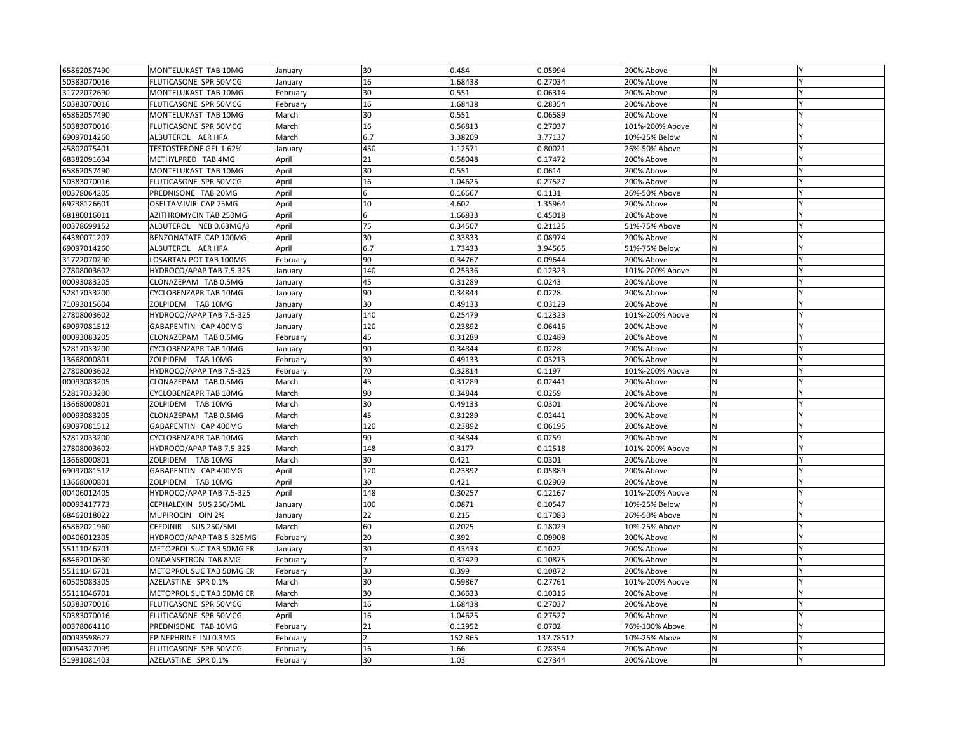| 65862057490 | MONTELUKAST TAB 10MG         | January  | 30  | 0.484   | 0.05994   | 200% Above      | N |  |
|-------------|------------------------------|----------|-----|---------|-----------|-----------------|---|--|
| 50383070016 | FLUTICASONE SPR 50MCG        | January  | 16  | 1.68438 | 0.27034   | 200% Above      | N |  |
| 31722072690 | MONTELUKAST TAB 10MG         | February | 30  | 0.551   | 0.06314   | 200% Above      | N |  |
| 50383070016 | FLUTICASONE SPR 50MCG        | February | 16  | 1.68438 | 0.28354   | 200% Above      | N |  |
| 65862057490 | MONTELUKAST TAB 10MG         | March    | 30  | 0.551   | 0.06589   | 200% Above      | N |  |
| 50383070016 | FLUTICASONE SPR 50MCG        | March    | 16  | 0.56813 | 0.27037   | 101%-200% Above | N |  |
| 69097014260 | ALBUTEROL AER HFA            | March    | 6.7 | 3.38209 | 3.77137   | 10%-25% Below   | N |  |
| 45802075401 | TESTOSTERONE GEL 1.62%       | January  | 450 | 1.12571 | 0.80021   | 26%-50% Above   | N |  |
| 68382091634 | METHYLPRED TAB 4MG           | April    | 21  | 0.58048 | 0.17472   | 200% Above      | N |  |
| 65862057490 | MONTELUKAST TAB 10MG         | April    | 30  | 0.551   | 0.0614    | 200% Above      | N |  |
| 50383070016 | FLUTICASONE SPR 50MCG        | April    | 16  | 1.04625 | 0.27527   | 200% Above      | N |  |
| 00378064205 | PREDNISONE TAB 20MG          | April    |     | 0.16667 | 0.1131    | 26%-50% Above   | N |  |
| 69238126601 | OSELTAMIVIR CAP 75MG         | April    | 10  | 4.602   | 1.35964   | 200% Above      | N |  |
| 68180016011 | AZITHROMYCIN TAB 250MG       | April    | 6   | 1.66833 | 0.45018   | 200% Above      | N |  |
| 00378699152 | ALBUTEROL NEB 0.63MG/3       | April    | 75  | 0.34507 | 0.21125   | 51%-75% Above   | N |  |
| 64380071207 | BENZONATATE CAP 100MG        | April    | 30  | 0.33833 | 0.08974   | 200% Above      | N |  |
| 69097014260 | ALBUTEROL AER HFA            | April    | 6.7 | 1.73433 | 3.94565   | 51%-75% Below   | N |  |
| 31722070290 | LOSARTAN POT TAB 100MG       | February | 90  | 0.34767 | 0.09644   | 200% Above      | N |  |
| 27808003602 | HYDROCO/APAP TAB 7.5-325     | January  | 140 | 0.25336 | 0.12323   | 101%-200% Above | N |  |
| 00093083205 | CLONAZEPAM TAB 0.5MG         | January  | 45  | 0.31289 | 0.0243    | 200% Above      |   |  |
| 52817033200 | CYCLOBENZAPR TAB 10MG        | January  | 90  | 0.34844 | 0.0228    | 200% Above      |   |  |
| 71093015604 | ZOLPIDEM TAB 10MG            | January  | 30  | 0.49133 | 0.03129   | 200% Above      | N |  |
| 27808003602 | HYDROCO/APAP TAB 7.5-325     | January  | 140 | 0.25479 | 0.12323   | 101%-200% Above | N |  |
| 69097081512 | GABAPENTIN CAP 400MG         | January  | 120 | 0.23892 | 0.06416   | 200% Above      | N |  |
| 00093083205 | CLONAZEPAM TAB 0.5MG         | February | 45  | 0.31289 | 0.02489   | 200% Above      | N |  |
| 52817033200 | CYCLOBENZAPR TAB 10MG        | January  | 90  | 0.34844 | 0.0228    | 200% Above      | N |  |
| 13668000801 | ZOLPIDEM TAB 10MG            | February | 30  | 0.49133 | 0.03213   | 200% Above      | N |  |
| 27808003602 | HYDROCO/APAP TAB 7.5-325     | February | 70  | 0.32814 | 0.1197    | 101%-200% Above | N |  |
| 00093083205 | CLONAZEPAM TAB 0.5MG         | March    | 45  | 0.31289 | 0.02441   | 200% Above      | N |  |
| 52817033200 | <b>CYCLOBENZAPR TAB 10MG</b> | March    | 90  | 0.34844 | 0.0259    | 200% Above      | N |  |
| 13668000801 | ZOLPIDEM<br>TAB 10MG         | March    | 30  | 0.49133 | 0.0301    | 200% Above      | N |  |
| 00093083205 | CLONAZEPAM TAB 0.5MG         | March    | 45  | 0.31289 | 0.02441   | 200% Above      |   |  |
| 69097081512 | GABAPENTIN CAP 400MG         | March    | 120 | 0.23892 | 0.06195   | 200% Above      | N |  |
| 52817033200 | <b>CYCLOBENZAPR TAB 10MG</b> | March    | 90  | 0.34844 | 0.0259    | 200% Above      | N |  |
| 27808003602 | HYDROCO/APAP TAB 7.5-325     | March    | 148 | 0.3177  | 0.12518   | 101%-200% Above | N |  |
| 13668000801 | ZOLPIDEM TAB 10MG            | March    | 30  | 0.421   | 0.0301    | 200% Above      | N |  |
| 69097081512 | GABAPENTIN CAP 400MG         | April    | 120 | 0.23892 | 0.05889   | 200% Above      | N |  |
| 13668000801 | ZOLPIDEM TAB 10MG            | April    | 30  | 0.421   | 0.02909   | 200% Above      | N |  |
| 00406012405 | HYDROCO/APAP TAB 7.5-325     | April    | 148 | 0.30257 | 0.12167   | 101%-200% Above | N |  |
| 00093417773 | CEPHALEXIN SUS 250/5ML       | January  | 100 | 0.0871  | 0.10547   | 10%-25% Below   |   |  |
| 68462018022 | MUPIROCIN OIN 2%             | January  | 22  | 0.215   | 0.17083   | 26%-50% Above   | N |  |
| 65862021960 | CEFDINIR SUS 250/5ML         | March    | 60  | 0.2025  | 0.18029   | 10%-25% Above   | N |  |
| 00406012305 | HYDROCO/APAP TAB 5-325MG     | February | 20  | 0.392   | 0.09908   | 200% Above      | N |  |
| 55111046701 | METOPROL SUC TAB 50MG ER     | January  | 30  | 0.43433 | 0.1022    | 200% Above      | N |  |
| 68462010630 | <b>ONDANSETRON TAB 8MG</b>   | February |     | 0.37429 | 0.10875   | 200% Above      |   |  |
| 55111046701 | METOPROL SUC TAB 50MG ER     | February | 30  | 0.399   | 0.10872   | 200% Above      |   |  |
| 60505083305 | AZELASTINE SPR 0.1%          | March    | 30  | 0.59867 | 0.27761   | 101%-200% Above | N |  |
| 55111046701 | METOPROL SUC TAB 50MG ER     | March    | 30  | 0.36633 | 0.10316   | 200% Above      | Ν |  |
| 50383070016 | FLUTICASONE SPR 50MCG        | March    | 16  | 1.68438 | 0.27037   | 200% Above      | N |  |
| 50383070016 | FLUTICASONE SPR 50MCG        | April    | 16  | 1.04625 | 0.27527   | 200% Above      | N |  |
| 00378064110 | PREDNISONE TAB 10MG          | February | 21  | 0.12952 | 0.0702    | 76%-100% Above  | N |  |
| 00093598627 | EPINEPHRINE INJ 0.3MG        | February |     | 152.865 | 137.78512 | 10%-25% Above   | N |  |
| 00054327099 | FLUTICASONE SPR 50MCG        | February | 16  | 1.66    | 0.28354   | 200% Above      | N |  |
| 51991081403 | AZELASTINE SPR 0.1%          | February | 30  | 1.03    | 0.27344   | 200% Above      | N |  |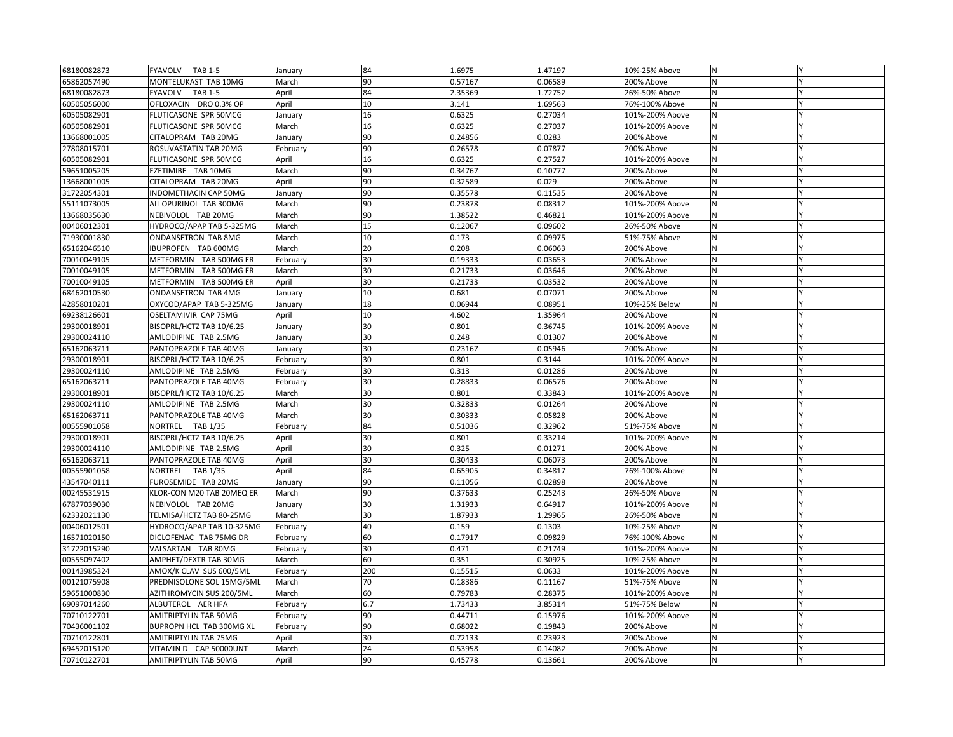| 68180082873 | FYAVOLV TAB 1-5                  | January  | 84  | 1.6975  | 1.47197 | 10%-25% Above   | N |  |
|-------------|----------------------------------|----------|-----|---------|---------|-----------------|---|--|
| 65862057490 | MONTELUKAST TAB 10MG             | March    | 90  | 0.57167 | 0.06589 | 200% Above      | N |  |
| 68180082873 | <b>TAB 1-5</b><br><b>FYAVOLV</b> | April    | 84  | 2.35369 | 1.72752 | 26%-50% Above   |   |  |
| 60505056000 | OFLOXACIN DRO 0.3% OP            | April    | 10  | 3.141   | 1.69563 | 76%-100% Above  |   |  |
| 60505082901 | FLUTICASONE SPR 50MCG            | January  | 16  | 0.6325  | 0.27034 | 101%-200% Above | N |  |
| 60505082901 | FLUTICASONE SPR 50MCG            | March    | 16  | 0.6325  | 0.27037 | 101%-200% Above | N |  |
| 13668001005 | CITALOPRAM TAB 20MG              | January  | 90  | 0.24856 | 0.0283  | 200% Above      | N |  |
| 27808015701 | ROSUVASTATIN TAB 20MG            | February | 90  | 0.26578 | 0.07877 | 200% Above      | N |  |
| 60505082901 | FLUTICASONE SPR 50MCG            | April    | 16  | 0.6325  | 0.27527 | 101%-200% Above | N |  |
| 59651005205 | EZETIMIBE TAB 10MG               | March    | 90  | 0.34767 | 0.10777 | 200% Above      | N |  |
| 13668001005 | CITALOPRAM TAB 20MG              | April    | 90  | 0.32589 | 0.029   | 200% Above      | N |  |
| 31722054301 | INDOMETHACIN CAP 50MG            | January  | 90  | 0.35578 | 0.11535 | 200% Above      | N |  |
| 55111073005 | ALLOPURINOL TAB 300MG            | March    | 90  | 0.23878 | 0.08312 | 101%-200% Above | N |  |
| 13668035630 | NEBIVOLOL TAB 20MG               | March    | 90  | 1.38522 | 0.46821 | 101%-200% Above | N |  |
| 00406012301 | HYDROCO/APAP TAB 5-325MG         | March    | 15  | 0.12067 | 0.09602 | 26%-50% Above   | N |  |
| 71930001830 | ONDANSETRON TAB 8MG              | March    | 10  | 0.173   | 0.09975 | 51%-75% Above   | N |  |
| 65162046510 | IBUPROFEN TAB 600MG              | March    | 20  | 0.208   | 0.06063 | 200% Above      |   |  |
| 70010049105 | TAB 500MG ER<br>METFORMIN        | February | 30  | 0.19333 | 0.03653 | 200% Above      | N |  |
| 70010049105 | TAB 500MG ER<br>METFORMIN        | March    | 30  | 0.21733 | 0.03646 | 200% Above      | N |  |
| 70010049105 | METFORMIN TAB 500MG ER           | April    | 30  | 0.21733 | 0.03532 | 200% Above      | N |  |
| 68462010530 | ONDANSETRON TAB 4MG              | January  | 10  | 0.681   | 0.07071 | 200% Above      | N |  |
| 42858010201 | OXYCOD/APAP TAB 5-325MG          | January  | 18  | 0.06944 | 0.08951 | 10%-25% Below   | N |  |
| 69238126601 | OSELTAMIVIR CAP 75MG             | April    | 10  | 4.602   | 1.35964 | 200% Above      | N |  |
| 29300018901 | BISOPRL/HCTZ TAB 10/6.25         | January  | 30  | 0.801   | 0.36745 | 101%-200% Above | N |  |
| 29300024110 | AMLODIPINE TAB 2.5MG             | January  | 30  | 0.248   | 0.01307 | 200% Above      | N |  |
| 65162063711 | PANTOPRAZOLE TAB 40MG            | January  | 30  | 0.23167 | 0.05946 | 200% Above      | N |  |
| 29300018901 | BISOPRL/HCTZ TAB 10/6.25         | February | 30  | 0.801   | 0.3144  | 101%-200% Above | N |  |
| 29300024110 | AMLODIPINE TAB 2.5MG             | February | 30  | 0.313   | 0.01286 | 200% Above      | N |  |
| 65162063711 | PANTOPRAZOLE TAB 40MG            | February | 30  | 0.28833 | 0.06576 | 200% Above      | N |  |
| 29300018901 | BISOPRL/HCTZ TAB 10/6.25         | March    | 30  | 0.801   | 0.33843 | 101%-200% Above | N |  |
| 29300024110 | AMLODIPINE TAB 2.5MG             | March    | 30  | 0.32833 | 0.01264 | 200% Above      | N |  |
| 65162063711 | PANTOPRAZOLE TAB 40MG            | March    | 30  | 0.30333 | 0.05828 | 200% Above      | Ν |  |
| 00555901058 | NORTREL TAB 1/35                 | February | 84  | 0.51036 | 0.32962 | 51%-75% Above   | N |  |
| 29300018901 | BISOPRL/HCTZ TAB 10/6.25         | April    | 30  | 0.801   | 0.33214 | 101%-200% Above |   |  |
| 29300024110 | AMLODIPINE TAB 2.5MG             | April    | 30  | 0.325   | 0.01271 | 200% Above      | N |  |
| 65162063711 | PANTOPRAZOLE TAB 40MG            | April    | 30  | 0.30433 | 0.06073 | 200% Above      | N |  |
| 00555901058 | NORTREL TAB 1/35                 | April    | 84  | 0.65905 | 0.34817 | 76%-100% Above  |   |  |
| 43547040111 | FUROSEMIDE TAB 20MG              | January  | 90  | 0.11056 | 0.02898 | 200% Above      |   |  |
| 00245531915 | KLOR-CON M20 TAB 20MEQ ER        | March    | 90  | 0.37633 | 0.25243 | 26%-50% Above   | N |  |
| 67877039030 | NEBIVOLOL TAB 20MG               | January  | 30  | 1.31933 | 0.64917 | 101%-200% Above | N |  |
| 62332021130 | TELMISA/HCTZ TAB 80-25MG         | March    | 30  | 1.87933 | 1.29965 | 26%-50% Above   | N |  |
| 00406012501 | HYDROCO/APAP TAB 10-325MG        | February | 40  | 0.159   | 0.1303  | 10%-25% Above   | N |  |
| 16571020150 | DICLOFENAC TAB 75MG DR           | February | 60  | 0.17917 | 0.09829 | 76%-100% Above  | N |  |
| 31722015290 | VALSARTAN TAB 80MG               | February | 30  | 0.471   | 0.21749 | 101%-200% Above | N |  |
| 00555097402 | AMPHET/DEXTR TAB 30MG            | March    | 60  | 0.351   | 0.30925 | 10%-25% Above   | N |  |
| 00143985324 | AMOX/K CLAV SUS 600/5ML          | February | 200 | 0.15515 | 0.0633  | 101%-200% Above | N |  |
| 00121075908 | PREDNISOLONE SOL 15MG/5ML        | March    | 70  | 0.18386 | 0.11167 | 51%-75% Above   | N |  |
| 59651000830 | AZITHROMYCIN SUS 200/5ML         | March    | 60  | 0.79783 | 0.28375 | 101%-200% Above | N |  |
| 69097014260 | ALBUTEROL AER HFA                | February | 6.7 | 1.73433 | 3.85314 | 51%-75% Below   | Ν |  |
| 70710122701 | AMITRIPTYLIN TAB 50MG            | February | 90  | 0.44711 | 0.15976 | 101%-200% Above | N |  |
| 70436001102 | BUPROPN HCL TAB 300MG XL         | February | 90  | 0.68022 | 0.19843 | 200% Above      |   |  |
| 70710122801 | AMITRIPTYLIN TAB 75MG            | April    | 30  | 0.72133 | 0.23923 | 200% Above      | N |  |
| 69452015120 | VITAMIN D CAP 50000UNT           | March    | 24  | 0.53958 | 0.14082 | 200% Above      | N |  |
| 70710122701 | AMITRIPTYLIN TAB 50MG            | April    | 90  | 0.45778 | 0.13661 | 200% Above      | N |  |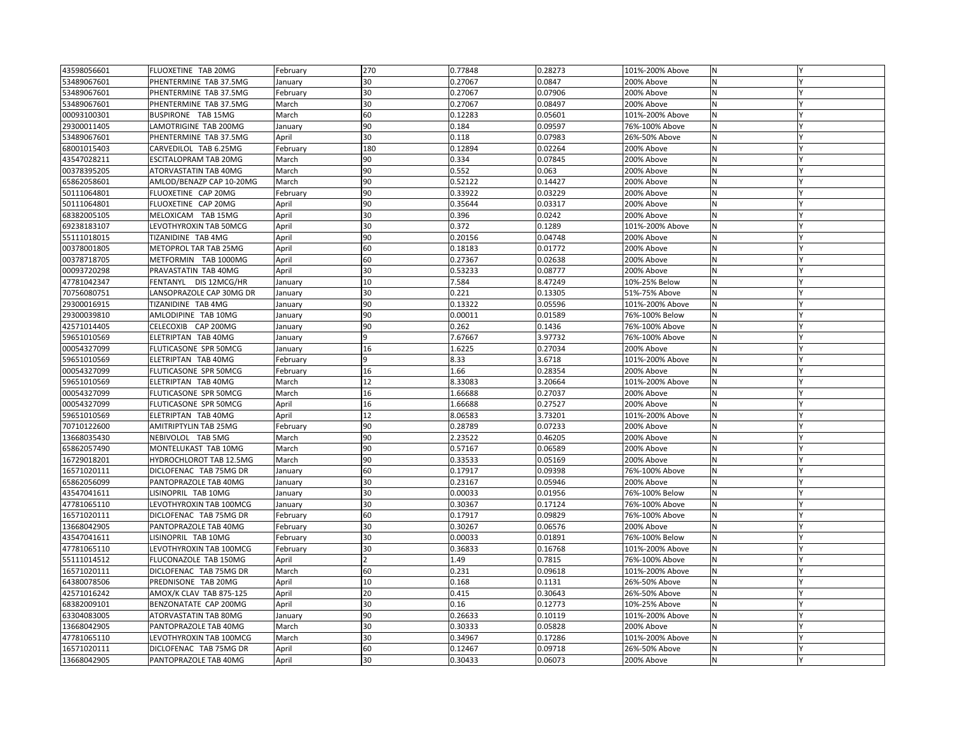| 43598056601 | FLUOXETINE TAB 20MG      | February | 270 | 0.77848 | 0.28273 | 101%-200% Above | <b>N</b> |  |
|-------------|--------------------------|----------|-----|---------|---------|-----------------|----------|--|
| 53489067601 | PHENTERMINE TAB 37.5MG   | January  | 30  | 0.27067 | 0.0847  | 200% Above      | N        |  |
| 53489067601 | PHENTERMINE TAB 37.5MG   | February | 30  | 0.27067 | 0.07906 | 200% Above      | N        |  |
| 53489067601 | PHENTERMINE TAB 37.5MG   | March    | 30  | 0.27067 | 0.08497 | 200% Above      |          |  |
| 00093100301 | BUSPIRONE TAB 15MG       | March    | 60  | 0.12283 | 0.05601 | 101%-200% Above | N        |  |
| 29300011405 | LAMOTRIGINE TAB 200MG    | January  | 90  | 0.184   | 0.09597 | 76%-100% Above  | N        |  |
| 53489067601 | PHENTERMINE TAB 37.5MG   | April    | 30  | 0.118   | 0.07983 | 26%-50% Above   | N        |  |
| 68001015403 | CARVEDILOL TAB 6.25MG    | February | 180 | 0.12894 | 0.02264 | 200% Above      | N        |  |
| 43547028211 | ESCITALOPRAM TAB 20MG    | March    | 90  | 0.334   | 0.07845 | 200% Above      | N        |  |
| 00378395205 | ATORVASTATIN TAB 40MG    | March    | 90  | 0.552   | 0.063   | 200% Above      | N        |  |
| 65862058601 | AMLOD/BENAZP CAP 10-20MG | March    | 90  | 0.52122 | 0.14427 | 200% Above      | N        |  |
| 50111064801 | FLUOXETINE CAP 20MG      | February | 90  | 0.33922 | 0.03229 | 200% Above      | N        |  |
| 50111064801 | FLUOXETINE CAP 20MG      | April    | 90  | 0.35644 | 0.03317 | 200% Above      | N        |  |
| 68382005105 | MELOXICAM TAB 15MG       | April    | 30  | 0.396   | 0.0242  | 200% Above      | N        |  |
| 69238183107 | LEVOTHYROXIN TAB 50MCG   | April    | 30  | 0.372   | 0.1289  | 101%-200% Above | N        |  |
| 55111018015 | TIZANIDINE TAB 4MG       | April    | 90  | 0.20156 | 0.04748 | 200% Above      | Ń        |  |
| 00378001805 | METOPROL TAR TAB 25MG    | April    | 60  | 0.18183 | 0.01772 | 200% Above      |          |  |
| 00378718705 | METFORMIN TAB 1000MG     | April    | 60  | 0.27367 | 0.02638 | 200% Above      | N        |  |
| 00093720298 | PRAVASTATIN TAB 40MG     | April    | 30  | 0.53233 | 0.08777 | 200% Above      | N        |  |
| 47781042347 | FENTANYL DIS 12MCG/HR    | January  | 10  | 7.584   | 8.47249 | 10%-25% Below   | N        |  |
| 70756080751 | LANSOPRAZOLE CAP 30MG DR | January  | 30  | 0.221   | 0.13305 | 51%-75% Above   |          |  |
| 29300016915 | TIZANIDINE TAB 4MG       | January  | 90  | 0.13322 | 0.05596 | 101%-200% Above | N        |  |
| 29300039810 | AMLODIPINE TAB 10MG      | January  | 90  | 0.00011 | 0.01589 | 76%-100% Below  | N        |  |
| 42571014405 | CELECOXIB CAP 200MG      | January  | 90  | 0.262   | 0.1436  | 76%-100% Above  | N        |  |
| 59651010569 | ELETRIPTAN TAB 40MG      | January  |     | 7.67667 | 3.97732 | 76%-100% Above  | N        |  |
| 00054327099 | FLUTICASONE SPR 50MCG    | January  | 16  | 1.6225  | 0.27034 | 200% Above      | N        |  |
| 59651010569 | ELETRIPTAN TAB 40MG      | February |     | 8.33    | 3.6718  | 101%-200% Above | N        |  |
| 00054327099 | FLUTICASONE SPR 50MCG    | February | 16  | 1.66    | 0.28354 | 200% Above      | N        |  |
| 59651010569 | ELETRIPTAN TAB 40MG      | March    | 12  | 8.33083 | 3.20664 | 101%-200% Above | N        |  |
| 00054327099 | FLUTICASONE SPR 50MCG    | March    | 16  | 1.66688 | 0.27037 | 200% Above      | N        |  |
| 00054327099 | FLUTICASONE SPR 50MCG    | April    | 16  | 1.66688 | 0.27527 | 200% Above      | N        |  |
| 59651010569 | ELETRIPTAN TAB 40MG      | April    | 12  | 8.06583 | 3.73201 | 101%-200% Above | N        |  |
| 70710122600 | AMITRIPTYLIN TAB 25MG    | February | 90  | 0.28789 | 0.07233 | 200% Above      | N        |  |
| 13668035430 | NEBIVOLOL TAB 5MG        | March    | 90  | 2.23522 | 0.46205 | 200% Above      | N        |  |
| 65862057490 | MONTELUKAST TAB 10MG     | March    | 90  | 0.57167 | 0.06589 | 200% Above      | N        |  |
| 16729018201 | HYDROCHLOROT TAB 12.5MG  | March    | 90  | 0.33533 | 0.05169 | 200% Above      | N        |  |
| 16571020111 | DICLOFENAC TAB 75MG DR   | January  | 60  | 0.17917 | 0.09398 | 76%-100% Above  | N        |  |
| 65862056099 | PANTOPRAZOLE TAB 40MG    | January  | 30  | 0.23167 | 0.05946 | 200% Above      |          |  |
| 43547041611 | LISINOPRIL TAB 10MG      | January  | 30  | 0.00033 | 0.01956 | 76%-100% Below  | N        |  |
| 47781065110 | LEVOTHYROXIN TAB 100MCG  | January  | 30  | 0.30367 | 0.17124 | 76%-100% Above  | N        |  |
| 16571020111 | DICLOFENAC TAB 75MG DR   | February | 60  | 0.17917 | 0.09829 | 76%-100% Above  | N        |  |
| 13668042905 | PANTOPRAZOLE TAB 40MG    | February | 30  | 0.30267 | 0.06576 | 200% Above      |          |  |
| 43547041611 | LISINOPRIL TAB 10MG      | February | 30  | 0.00033 | 0.01891 | 76%-100% Below  | N        |  |
| 47781065110 | LEVOTHYROXIN TAB 100MCG  | February | 30  | 0.36833 | 0.16768 | 101%-200% Above | N        |  |
| 55111014512 | FLUCONAZOLE TAB 150MG    | April    |     | 1.49    | 0.7815  | 76%-100% Above  | N        |  |
| 16571020111 | DICLOFENAC TAB 75MG DR   | March    | 60  | 0.231   | 0.09618 | 101%-200% Above | N        |  |
| 64380078506 | PREDNISONE TAB 20MG      | April    | 10  | 0.168   | 0.1131  | 26%-50% Above   | N        |  |
| 42571016242 | AMOX/K CLAV TAB 875-125  | April    | 20  | 0.415   | 0.30643 | 26%-50% Above   | N        |  |
| 68382009101 | BENZONATATE CAP 200MG    | April    | 30  | 0.16    | 0.12773 | 10%-25% Above   | N        |  |
| 63304083005 | ATORVASTATIN TAB 80MG    | January  | 90  | 0.26633 | 0.10119 | 101%-200% Above | N        |  |
| 13668042905 | PANTOPRAZOLE TAB 40MG    | March    | 30  | 0.30333 | 0.05828 | 200% Above      |          |  |
| 47781065110 | LEVOTHYROXIN TAB 100MCG  | March    | 30  | 0.34967 | 0.17286 | 101%-200% Above | N        |  |
| 16571020111 | DICLOFENAC TAB 75MG DR   | April    | 60  | 0.12467 | 0.09718 | 26%-50% Above   | N        |  |
| 13668042905 | PANTOPRAZOLE TAB 40MG    | April    | 30  | 0.30433 | 0.06073 | 200% Above      | N        |  |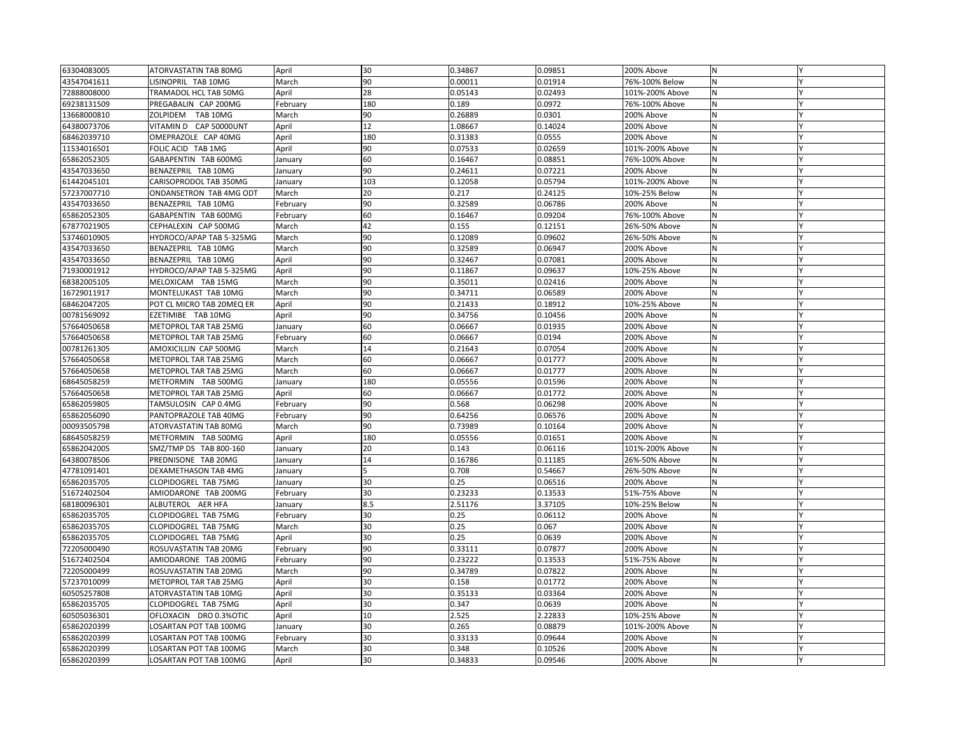| 63304083005 | ATORVASTATIN TAB 80MG            | April    | 30  | 0.34867 | 0.09851 | 200% Above      | N |  |
|-------------|----------------------------------|----------|-----|---------|---------|-----------------|---|--|
| 43547041611 | LISINOPRIL TAB 10MG              | March    | 90  | 0.00011 | 0.01914 | 76%-100% Below  | N |  |
| 72888008000 | TRAMADOL HCL TAB 50MG            | April    | 28  | 0.05143 | 0.02493 | 101%-200% Above |   |  |
| 69238131509 | PREGABALIN CAP 200MG             | February | 180 | 0.189   | 0.0972  | 76%-100% Above  | N |  |
| 13668000810 | ZOLPIDEM<br>TAB 10MG             | March    | 90  | 0.26889 | 0.0301  | 200% Above      | N |  |
| 64380073706 | VITAMIN D<br><b>CAP 50000UNT</b> | April    | 12  | 1.08667 | 0.14024 | 200% Above      | N |  |
| 68462039710 | OMEPRAZOLE CAP 40MG              | April    | 180 | 0.31383 | 0.0555  | 200% Above      | N |  |
| 11534016501 | FOLIC ACID TAB 1MG               | April    | 90  | 0.07533 | 0.02659 | 101%-200% Above | N |  |
| 65862052305 | GABAPENTIN TAB 600MG             | January  | 60  | 0.16467 | 0.08851 | 76%-100% Above  | N |  |
| 43547033650 | BENAZEPRIL TAB 10MG              | January  | 90  | 0.24611 | 0.07221 | 200% Above      | N |  |
| 61442045101 | CARISOPRODOL TAB 350MG           | January  | 103 | 0.12058 | 0.05794 | 101%-200% Above | N |  |
| 57237007710 | ONDANSETRON TAB 4MG ODT          | March    | 20  | 0.217   | 0.24125 | 10%-25% Below   | N |  |
| 43547033650 | BENAZEPRIL TAB 10MG              | February | 90  | 0.32589 | 0.06786 | 200% Above      | N |  |
| 65862052305 | GABAPENTIN TAB 600MG             | February | 60  | 0.16467 | 0.09204 | 76%-100% Above  | N |  |
| 67877021905 | CEPHALEXIN CAP 500MG             | March    | 42  | 0.155   | 0.12151 | 26%-50% Above   | N |  |
| 53746010905 | HYDROCO/APAP TAB 5-325MG         | March    | 90  | 0.12089 | 0.09602 | 26%-50% Above   | N |  |
| 43547033650 | BENAZEPRIL TAB 10MG              | March    | 90  | 0.32589 | 0.06947 | 200% Above      | N |  |
| 43547033650 | BENAZEPRIL TAB 10MG              | April    | 90  | 0.32467 | 0.07081 | 200% Above      | N |  |
| 71930001912 | HYDROCO/APAP TAB 5-325MG         | April    | 90  | 0.11867 | 0.09637 | 10%-25% Above   | N |  |
| 68382005105 | MELOXICAM TAB 15MG               | March    | 90  | 0.35011 | 0.02416 | 200% Above      |   |  |
| 16729011917 | MONTELUKAST TAB 10MG             | March    | 90  | 0.34711 | 0.06589 | 200% Above      |   |  |
| 68462047205 | POT CL MICRO TAB 20MEQ ER        | April    | 90  | 0.21433 | 0.18912 | 10%-25% Above   | N |  |
| 00781569092 | EZETIMIBE TAB 10MG               | April    | 90  | 0.34756 | 0.10456 | 200% Above      | N |  |
| 57664050658 | METOPROL TAR TAB 25MG            | January  | 60  | 0.06667 | 0.01935 | 200% Above      | N |  |
| 57664050658 | METOPROL TAR TAB 25MG            | February | 60  | 0.06667 | 0.0194  | 200% Above      |   |  |
| 00781261305 | AMOXICILLIN CAP 500MG            | March    | 14  | 0.21643 | 0.07054 | 200% Above      | N |  |
| 57664050658 | METOPROL TAR TAB 25MG            | March    | 60  | 0.06667 | 0.01777 | 200% Above      | N |  |
| 57664050658 | METOPROL TAR TAB 25MG            | March    | 60  | 0.06667 | 0.01777 | 200% Above      | N |  |
| 68645058259 | METFORMIN TAB 500MG              | January  | 180 | 0.05556 | 0.01596 | 200% Above      | N |  |
| 57664050658 | METOPROL TAR TAB 25MG            | April    | 60  | 0.06667 | 0.01772 | 200% Above      | N |  |
| 65862059805 | TAMSULOSIN CAP 0.4MG             | February | 90  | 0.568   | 0.06298 | 200% Above      | N |  |
| 65862056090 | PANTOPRAZOLE TAB 40MG            | February | 90  | 0.64256 | 0.06576 | 200% Above      |   |  |
| 00093505798 | ATORVASTATIN TAB 80MG            | March    | 90  | 0.73989 | 0.10164 | 200% Above      | N |  |
| 68645058259 | METFORMIN TAB 500MG              | April    | 180 | 0.05556 | 0.01651 | 200% Above      | N |  |
| 65862042005 | SMZ/TMP DS TAB 800-160           | January  | 20  | 0.143   | 0.06116 | 101%-200% Above | N |  |
| 64380078506 | PREDNISONE TAB 20MG              | January  | 14  | 0.16786 | 0.11185 | 26%-50% Above   | N |  |
| 47781091401 | <b>DEXAMETHASON TAB 4MG</b>      | January  |     | 0.708   | 0.54667 | 26%-50% Above   | N |  |
| 65862035705 | CLOPIDOGREL TAB 75MG             | January  | 30  | 0.25    | 0.06516 | 200% Above      | N |  |
| 51672402504 | AMIODARONE TAB 200MG             | February | 30  | 0.23233 | 0.13533 | 51%-75% Above   | N |  |
| 68180096301 | ALBUTEROL AER HFA                | January  | 8.5 | 2.51176 | 3.37105 | 10%-25% Below   |   |  |
| 65862035705 | CLOPIDOGREL TAB 75MG             | February | 30  | 0.25    | 0.06112 | 200% Above      | N |  |
| 65862035705 | CLOPIDOGREL TAB 75MG             | March    | 30  | 0.25    | 0.067   | 200% Above      | N |  |
| 65862035705 | CLOPIDOGREL TAB 75MG             | April    | 30  | 0.25    | 0.0639  | 200% Above      | N |  |
| 72205000490 | ROSUVASTATIN TAB 20MG            | February | 90  | 0.33111 | 0.07877 | 200% Above      | N |  |
| 51672402504 | AMIODARONE TAB 200MG             | February | 90  | 0.23222 | 0.13533 | 51%-75% Above   | N |  |
| 72205000499 | ROSUVASTATIN TAB 20MG            | March    | 90  | 0.34789 | 0.07822 | 200% Above      |   |  |
| 57237010099 | METOPROL TAR TAB 25MG            | April    | 30  | 0.158   | 0.01772 | 200% Above      | N |  |
| 60505257808 | ATORVASTATIN TAB 10MG            | April    | 30  | 0.35133 | 0.03364 | 200% Above      | N |  |
| 65862035705 | CLOPIDOGREL TAB 75MG             | April    | 30  | 0.347   | 0.0639  | 200% Above      | N |  |
| 60505036301 | OFLOXACIN DRO 0.3%OTIC           | April    | 10  | 2.525   | 2.22833 | 10%-25% Above   | N |  |
| 65862020399 | LOSARTAN POT TAB 100MG           | January  | 30  | 0.265   | 0.08879 | 101%-200% Above | N |  |
| 65862020399 | LOSARTAN POT TAB 100MG           | February | 30  | 0.33133 | 0.09644 | 200% Above      | N |  |
| 65862020399 | LOSARTAN POT TAB 100MG           | March    | 30  | 0.348   | 0.10526 | 200% Above      | N |  |
| 65862020399 | LOSARTAN POT TAB 100MG           | April    | 30  | 0.34833 | 0.09546 | 200% Above      | N |  |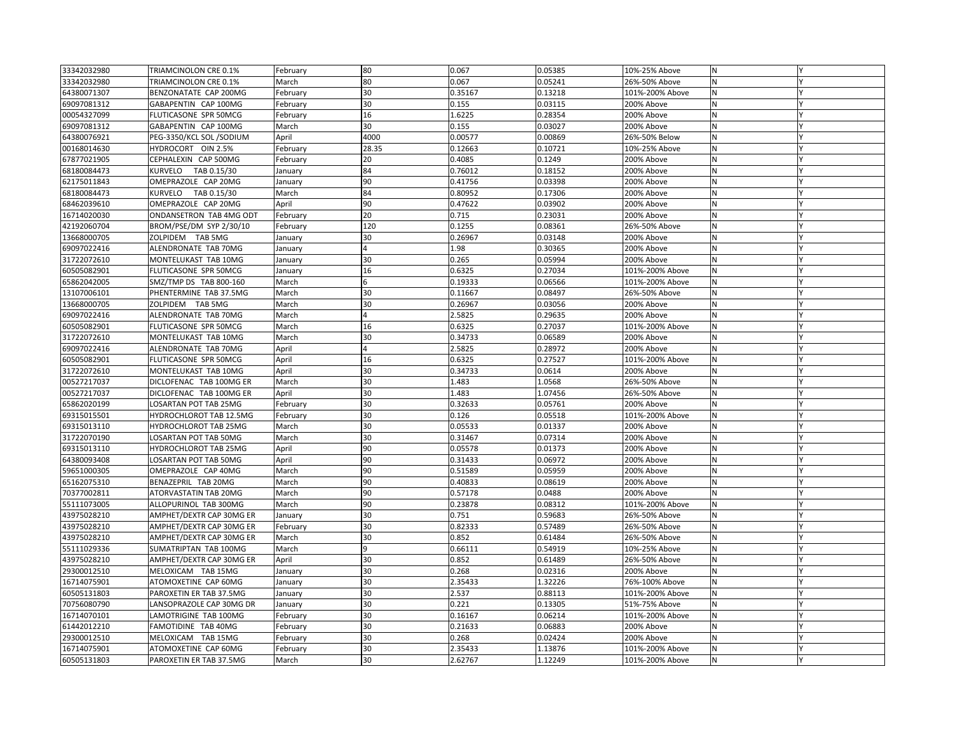| 33342032980 | TRIAMCINOLON CRE 0.1%          | February | 80    | 0.067   | 0.05385 | 10%-25% Above   | N |  |
|-------------|--------------------------------|----------|-------|---------|---------|-----------------|---|--|
| 33342032980 | TRIAMCINOLON CRE 0.1%          | March    | 80    | 0.067   | 0.05241 | 26%-50% Above   | N |  |
| 64380071307 | BENZONATATE CAP 200MG          | February | 30    | 0.35167 | 0.13218 | 101%-200% Above | N |  |
| 69097081312 | GABAPENTIN CAP 100MG           | February | 30    | 0.155   | 0.03115 | 200% Above      | N |  |
| 00054327099 | FLUTICASONE SPR 50MCG          | February | 16    | 1.6225  | 0.28354 | 200% Above      | N |  |
| 69097081312 | GABAPENTIN CAP 100MG           | March    | 30    | 0.155   | 0.03027 | 200% Above      | N |  |
| 64380076921 | PEG-3350/KCL SOL /SODIUM       | April    | 4000  | 0.00577 | 0.00869 | 26%-50% Below   | N |  |
| 00168014630 | HYDROCORT OIN 2.5%             | February | 28.35 | 0.12663 | 0.10721 | 10%-25% Above   | N |  |
| 67877021905 | CEPHALEXIN CAP 500MG           | February | 20    | 0.4085  | 0.1249  | 200% Above      | N |  |
| 68180084473 | KURVELO<br>TAB 0.15/30         | January  | 84    | 0.76012 | 0.18152 | 200% Above      | N |  |
| 62175011843 | OMEPRAZOLE CAP 20MG            | January  | 90    | 0.41756 | 0.03398 | 200% Above      | N |  |
| 68180084473 | KURVELO<br>TAB 0.15/30         | March    | 84    | 0.80952 | 0.17306 | 200% Above      | N |  |
| 68462039610 | OMEPRAZOLE CAP 20MG            | April    | 90    | 0.47622 | 0.03902 | 200% Above      | Ń |  |
| 16714020030 | ONDANSETRON TAB 4MG ODT        | February | 20    | 0.715   | 0.23031 | 200% Above      | N |  |
| 42192060704 | BROM/PSE/DM SYP 2/30/10        | February | 120   | 0.1255  | 0.08361 | 26%-50% Above   | N |  |
| 13668000705 | ZOLPIDEM TAB 5MG               | January  | 30    | 0.26967 | 0.03148 | 200% Above      | N |  |
| 69097022416 | ALENDRONATE TAB 70MG           | January  |       | 1.98    | 0.30365 | 200% Above      |   |  |
| 31722072610 | MONTELUKAST TAB 10MG           | January  | 30    | 0.265   | 0.05994 | 200% Above      | N |  |
| 60505082901 | FLUTICASONE SPR 50MCG          | January  | 16    | 0.6325  | 0.27034 | 101%-200% Above | N |  |
| 65862042005 | SMZ/TMP DS TAB 800-160         | March    |       | 0.19333 | 0.06566 | 101%-200% Above | N |  |
| 13107006101 | PHENTERMINE TAB 37.5MG         | March    | 30    | 0.11667 | 0.08497 | 26%-50% Above   | N |  |
| 13668000705 | ZOLPIDEM TAB 5MG               | March    | 30    | 0.26967 | 0.03056 | 200% Above      | N |  |
| 69097022416 | ALENDRONATE TAB 70MG           | March    |       | 2.5825  | 0.29635 | 200% Above      | N |  |
| 60505082901 | FLUTICASONE SPR 50MCG          | March    | 16    | 0.6325  | 0.27037 | 101%-200% Above | N |  |
| 31722072610 | MONTELUKAST TAB 10MG           | March    | 30    | 0.34733 | 0.06589 | 200% Above      | N |  |
| 69097022416 | ALENDRONATE TAB 70MG           | April    |       | 2.5825  | 0.28972 | 200% Above      | N |  |
| 60505082901 | FLUTICASONE SPR 50MCG          | April    | 16    | 0.6325  | 0.27527 | 101%-200% Above | N |  |
| 31722072610 | MONTELUKAST TAB 10MG           | April    | 30    | 0.34733 | 0.0614  | 200% Above      | N |  |
| 00527217037 | DICLOFENAC TAB 100MG ER        | March    | 30    | 1.483   | 1.0568  | 26%-50% Above   | N |  |
| 00527217037 | DICLOFENAC TAB 100MG ER        | April    | 30    | 1.483   | 1.07456 | 26%-50% Above   | N |  |
| 65862020199 | LOSARTAN POT TAB 25MG          | February | 30    | 0.32633 | 0.05761 | 200% Above      | N |  |
| 69315015501 | <b>HYDROCHLOROT TAB 12.5MG</b> | February | 30    | 0.126   | 0.05518 | 101%-200% Above | N |  |
| 69315013110 | HYDROCHLOROT TAB 25MG          | March    | 30    | 0.05533 | 0.01337 | 200% Above      | N |  |
| 31722070190 | <b>LOSARTAN POT TAB 50MG</b>   | March    | 30    | 0.31467 | 0.07314 | 200% Above      | N |  |
| 69315013110 | HYDROCHLOROT TAB 25MG          | April    | 90    | 0.05578 | 0.01373 | 200% Above      | N |  |
| 64380093408 | <b>LOSARTAN POT TAB 50MG</b>   | April    | 90    | 0.31433 | 0.06972 | 200% Above      | N |  |
| 59651000305 | OMEPRAZOLE CAP 40MG            | March    | 90    | 0.51589 | 0.05959 | 200% Above      | N |  |
| 65162075310 | BENAZEPRIL TAB 20MG            | March    | 90    | 0.40833 | 0.08619 | 200% Above      | N |  |
| 70377002811 | ATORVASTATIN TAB 20MG          | March    | 90    | 0.57178 | 0.0488  | 200% Above      | N |  |
| 55111073005 | ALLOPURINOL TAB 300MG          | March    | 90    | 0.23878 | 0.08312 | 101%-200% Above | N |  |
| 43975028210 | AMPHET/DEXTR CAP 30MG ER       | January  | 30    | 0.751   | 0.59683 | 26%-50% Above   | N |  |
| 43975028210 | AMPHET/DEXTR CAP 30MG ER       | February | 30    | 0.82333 | 0.57489 | 26%-50% Above   | N |  |
| 43975028210 | AMPHET/DEXTR CAP 30MG ER       | March    | 30    | 0.852   | 0.61484 | 26%-50% Above   | N |  |
| 55111029336 | SUMATRIPTAN TAB 100MG          | March    |       | 0.66111 | 0.54919 | 10%-25% Above   | N |  |
| 43975028210 | AMPHET/DEXTR CAP 30MG ER       | April    | 30    | 0.852   | 0.61489 | 26%-50% Above   | N |  |
| 29300012510 | MELOXICAM TAB 15MG             | January  | 30    | 0.268   | 0.02316 | 200% Above      | N |  |
| 16714075901 | ATOMOXETINE CAP 60MG           | January  | 30    | 2.35433 | 1.32226 | 76%-100% Above  | Ń |  |
| 60505131803 | PAROXETIN ER TAB 37.5MG        | January  | 30    | 2.537   | 0.88113 | 101%-200% Above | N |  |
| 70756080790 | LANSOPRAZOLE CAP 30MG DR       | January  | 30    | 0.221   | 0.13305 | 51%-75% Above   | N |  |
| 16714070101 | LAMOTRIGINE TAB 100MG          | February | 30    | 0.16167 | 0.06214 | 101%-200% Above | N |  |
| 61442012210 | FAMOTIDINE TAB 40MG            | February | 30    | 0.21633 | 0.06883 | 200% Above      |   |  |
| 29300012510 | MELOXICAM TAB 15MG             | February | 30    | 0.268   | 0.02424 | 200% Above      | N |  |
| 16714075901 | ATOMOXETINE CAP 60MG           | February | 30    | 2.35433 | 1.13876 | 101%-200% Above | N |  |
| 60505131803 | PAROXETIN ER TAB 37.5MG        | March    | 30    | 2.62767 | 1.12249 | 101%-200% Above | Ν |  |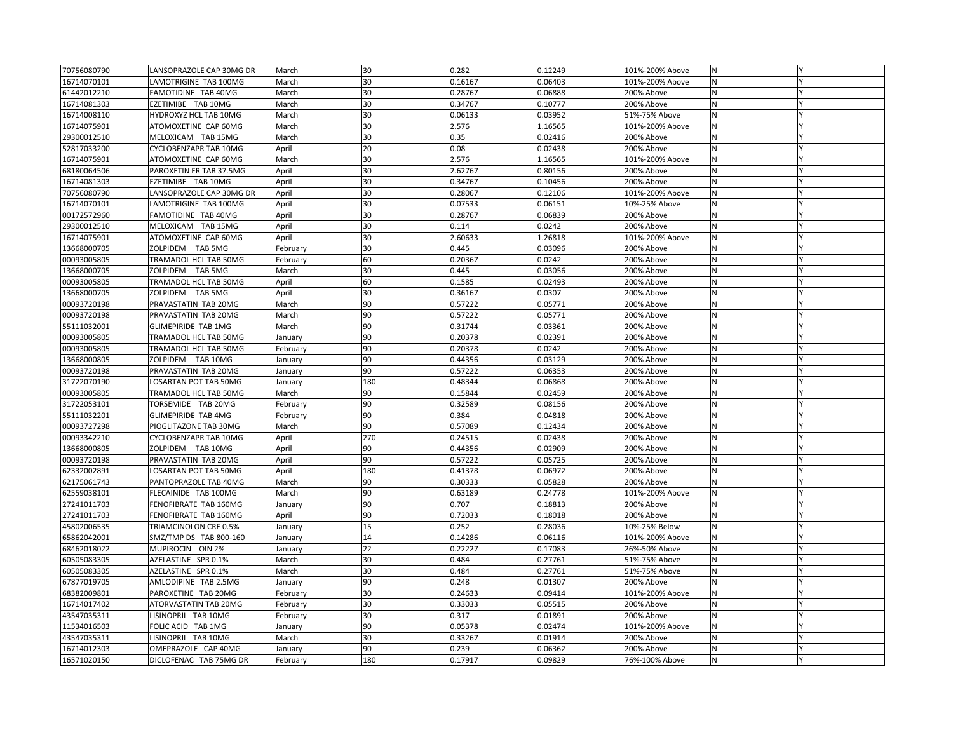| 16714070101<br>30<br>0.16167<br>0.06403<br>101%-200% Above<br>LAMOTRIGINE TAB 100MG<br>March<br>N<br>61442012210<br>30<br>0.28767<br>0.06888<br>FAMOTIDINE TAB 40MG<br>March<br>200% Above<br>N<br>16714081303<br>30<br>0.34767<br>0.10777<br>EZETIMIBE TAB 10MG<br>March<br>200% Above<br>и<br>16714008110<br>HYDROXYZ HCL TAB 10MG<br>March<br>30<br>0.06133<br>0.03952<br>51%-75% Above<br>N<br>16714075901<br>30<br>2.576<br>1.16565<br>101%-200% Above<br>ATOMOXETINE CAP 60MG<br>March<br>и<br>29300012510<br>30<br>0.35<br>0.02416<br>MELOXICAM TAB 15MG<br>March<br>200% Above<br>И<br>52817033200<br>20<br>0.08<br><b>CYCLOBENZAPR TAB 10MG</b><br>April<br>0.02438<br>200% Above<br>16714075901<br>30<br>2.576<br>101%-200% Above<br>ATOMOXETINE CAP 60MG<br>March<br>1.16565<br>N<br>30<br>68180064506<br>PAROXETIN ER TAB 37.5MG<br>April<br>2.62767<br>0.80156<br>200% Above<br>и<br>16714081303<br>30<br>0.34767<br>EZETIMIBE TAB 10MG<br>April<br>0.10456<br>200% Above<br>И<br>30<br>70756080790<br>0.28067<br>0.12106<br>LANSOPRAZOLE CAP 30MG DR<br>April<br>101%-200% Above<br>и<br>30<br>16714070101<br>LAMOTRIGINE TAB 100MG<br>April<br>0.07533<br>0.06151<br>10%-25% Above<br>N<br>30<br>00172572960<br>FAMOTIDINE TAB 40MG<br>April<br>0.28767<br>0.06839<br>200% Above<br>N<br>29300012510<br>30<br>MELOXICAM TAB 15MG<br>0.114<br>0.0242<br>200% Above<br>April<br>И<br>April<br>30<br>16714075901<br>2.60633<br>1.26818<br>101%-200% Above<br>N<br>ATOMOXETINE CAP 60MG<br>13668000705<br>30<br>0.445<br>ZOLPIDEM<br>TAB 5MG<br>0.03096<br>200% Above<br>N<br>February<br>00093005805<br>60<br>0.20367<br>TRAMADOL HCL TAB 50MG<br>February<br>0.0242<br>200% Above<br>N<br>13668000705<br>30<br>0.445<br>0.03056<br>ZOLPIDEM<br>TAB 5MG<br>March<br>200% Above<br>и<br>60<br>00093005805<br>TRAMADOL HCL TAB 50MG<br>April<br>0.1585<br>0.02493<br>200% Above<br>N<br>13668000705<br>30<br>0.36167<br>0.0307<br>ZOLPIDEM<br>TAB 5MG<br>April<br>200% Above<br>90<br>00093720198<br>0.57222<br>0.05771<br>PRAVASTATIN TAB 20MG<br>March<br>200% Above<br>N<br>00093720198<br>90<br>0.57222<br>0.05771<br>PRAVASTATIN TAB 20MG<br>March<br>200% Above<br>N<br>55111032001<br><b>GLIMEPIRIDE TAB 1MG</b><br>90<br>0.31744<br>0.03361<br>March<br>200% Above<br>90<br>0.02391<br>00093005805<br>0.20378<br>200% Above<br>TRAMADOL HCL TAB 50MG<br>January<br>00093005805<br>90<br>0.20378<br>0.0242<br>TRAMADOL HCL TAB 50MG<br>February<br>200% Above<br>N<br>90<br>13668000805<br>0.44356<br>0.03129<br>ZOLPIDEM TAB 10MG<br>January<br>200% Above<br>N<br>00093720198<br>90<br>0.57222<br>0.06353<br>PRAVASTATIN TAB 20MG<br>January<br>200% Above<br>N<br>180<br>31722070190<br>0.48344<br>0.06868<br>N<br>LOSARTAN POT TAB 50MG<br>January<br>200% Above<br>90<br>00093005805<br>TRAMADOL HCL TAB 50MG<br>March<br>0.15844<br>0.02459<br>200% Above<br>N<br>90<br>31722053101<br>TORSEMIDE TAB 20MG<br>0.32589<br>0.08156<br>N<br>February<br>200% Above<br>55111032201<br>90<br><b>GLIMEPIRIDE TAB 4MG</b><br>0.384<br>0.04818<br>200% Above<br>February<br>Ν<br>90<br>00093727298<br>0.57089<br>0.12434<br>PIOGLITAZONE TAB 30MG<br>March<br>200% Above<br>N<br>270<br>00093342210<br>CYCLOBENZAPR TAB 10MG<br>April<br>0.24515<br>0.02438<br>200% Above<br>N<br>90<br>0.02909<br>13668000805<br>ZOLPIDEM TAB 10MG<br>April<br>0.44356<br>200% Above<br>N<br>00093720198<br>90<br>0.57222<br>0.05725<br>PRAVASTATIN TAB 20MG<br>April<br>200% Above<br>N<br>62332002891<br>180<br>LOSARTAN POT TAB 50MG<br>April<br>0.41378<br>0.06972<br>200% Above<br>N<br>62175061743<br>90<br>0.30333<br>PANTOPRAZOLE TAB 40MG<br>March<br>0.05828<br>200% Above<br>N<br>90<br>62559038101<br>0.63189<br>0.24778<br>101%-200% Above<br>N<br>FLECAINIDE TAB 100MG<br>March<br>90<br>27241011703<br>0.707<br>0.18813<br>200% Above<br>FENOFIBRATE TAB 160MG<br>January<br>N<br>27241011703<br>90<br>0.72033<br>0.18018<br>FENOFIBRATE TAB 160MG<br>April<br>200% Above<br>N<br>45802006535<br>15<br>0.252<br>0.28036<br>TRIAMCINOLON CRE 0.5%<br>10%-25% Below<br>January<br>65862042001<br>14<br>0.14286<br>0.06116<br>SMZ/TMP DS TAB 800-160<br>January<br>101%-200% Above<br>N<br>22<br>68462018022<br>MUPIROCIN OIN 2%<br>0.22227<br>0.17083<br>January<br>26%-50% Above<br>и<br>60505083305<br>AZELASTINE SPR 0.1%<br>30<br>0.484<br>0.27761<br>March<br>51%-75% Above<br>N<br>30<br>60505083305<br>0.484<br>0.27761<br>AZELASTINE SPR 0.1%<br>March<br>51%-75% Above<br>67877019705<br>AMLODIPINE TAB 2.5MG<br>90<br>0.248<br>0.01307<br>200% Above<br>January<br>N<br>30<br>0.09414<br>68382009801<br>PAROXETINE TAB 20MG<br>0.24633<br>101%-200% Above<br>N<br>February<br>16714017402<br>ATORVASTATIN TAB 20MG<br>30<br>0.33033<br>0.05515<br>February<br>200% Above<br>N<br>30<br>43547035311<br>0.317<br>LISINOPRIL TAB 10MG<br>0.01891<br>200% Above<br>February<br>90<br>11534016503<br>FOLIC ACID TAB 1MG<br>0.05378<br>0.02474<br>101%-200% Above<br>January<br>N<br>30<br>43547035311<br>LISINOPRIL TAB 10MG<br>March<br>0.33267<br>0.01914<br>200% Above<br>N<br>16714012303<br>OMEPRAZOLE CAP 40MG<br>90<br>0.239<br>0.06362<br>200% Above<br>N<br>January<br>16571020150<br>DICLOFENAC TAB 75MG DR<br>180<br>0.09829<br>0.17917<br>76%-100% Above<br>N<br>February | 70756080790 | LANSOPRAZOLE CAP 30MG DR | March | 30 | 0.282 | 0.12249 | 101%-200% Above | N |  |
|--------------------------------------------------------------------------------------------------------------------------------------------------------------------------------------------------------------------------------------------------------------------------------------------------------------------------------------------------------------------------------------------------------------------------------------------------------------------------------------------------------------------------------------------------------------------------------------------------------------------------------------------------------------------------------------------------------------------------------------------------------------------------------------------------------------------------------------------------------------------------------------------------------------------------------------------------------------------------------------------------------------------------------------------------------------------------------------------------------------------------------------------------------------------------------------------------------------------------------------------------------------------------------------------------------------------------------------------------------------------------------------------------------------------------------------------------------------------------------------------------------------------------------------------------------------------------------------------------------------------------------------------------------------------------------------------------------------------------------------------------------------------------------------------------------------------------------------------------------------------------------------------------------------------------------------------------------------------------------------------------------------------------------------------------------------------------------------------------------------------------------------------------------------------------------------------------------------------------------------------------------------------------------------------------------------------------------------------------------------------------------------------------------------------------------------------------------------------------------------------------------------------------------------------------------------------------------------------------------------------------------------------------------------------------------------------------------------------------------------------------------------------------------------------------------------------------------------------------------------------------------------------------------------------------------------------------------------------------------------------------------------------------------------------------------------------------------------------------------------------------------------------------------------------------------------------------------------------------------------------------------------------------------------------------------------------------------------------------------------------------------------------------------------------------------------------------------------------------------------------------------------------------------------------------------------------------------------------------------------------------------------------------------------------------------------------------------------------------------------------------------------------------------------------------------------------------------------------------------------------------------------------------------------------------------------------------------------------------------------------------------------------------------------------------------------------------------------------------------------------------------------------------------------------------------------------------------------------------------------------------------------------------------------------------------------------------------------------------------------------------------------------------------------------------------------------------------------------------------------------------------------------------------------------------------------------------------------------------------------------------------------------------------------------------------------------------------------------------------------------------------------------------------------------------------------------------------------------------------------------------------------------------------------------------------------------------------------------------------------------------------------------------------------------------------------------------------------------------------------------------------------------------------------------------------------------------------------------------------------------------------------------------------------------------------|-------------|--------------------------|-------|----|-------|---------|-----------------|---|--|
|                                                                                                                                                                                                                                                                                                                                                                                                                                                                                                                                                                                                                                                                                                                                                                                                                                                                                                                                                                                                                                                                                                                                                                                                                                                                                                                                                                                                                                                                                                                                                                                                                                                                                                                                                                                                                                                                                                                                                                                                                                                                                                                                                                                                                                                                                                                                                                                                                                                                                                                                                                                                                                                                                                                                                                                                                                                                                                                                                                                                                                                                                                                                                                                                                                                                                                                                                                                                                                                                                                                                                                                                                                                                                                                                                                                                                                                                                                                                                                                                                                                                                                                                                                                                                                                                                                                                                                                                                                                                                                                                                                                                                                                                                                                                                                                                                                                                                                                                                                                                                                                                                                                                                                                                                                                                                                        |             |                          |       |    |       |         |                 |   |  |
|                                                                                                                                                                                                                                                                                                                                                                                                                                                                                                                                                                                                                                                                                                                                                                                                                                                                                                                                                                                                                                                                                                                                                                                                                                                                                                                                                                                                                                                                                                                                                                                                                                                                                                                                                                                                                                                                                                                                                                                                                                                                                                                                                                                                                                                                                                                                                                                                                                                                                                                                                                                                                                                                                                                                                                                                                                                                                                                                                                                                                                                                                                                                                                                                                                                                                                                                                                                                                                                                                                                                                                                                                                                                                                                                                                                                                                                                                                                                                                                                                                                                                                                                                                                                                                                                                                                                                                                                                                                                                                                                                                                                                                                                                                                                                                                                                                                                                                                                                                                                                                                                                                                                                                                                                                                                                                        |             |                          |       |    |       |         |                 |   |  |
|                                                                                                                                                                                                                                                                                                                                                                                                                                                                                                                                                                                                                                                                                                                                                                                                                                                                                                                                                                                                                                                                                                                                                                                                                                                                                                                                                                                                                                                                                                                                                                                                                                                                                                                                                                                                                                                                                                                                                                                                                                                                                                                                                                                                                                                                                                                                                                                                                                                                                                                                                                                                                                                                                                                                                                                                                                                                                                                                                                                                                                                                                                                                                                                                                                                                                                                                                                                                                                                                                                                                                                                                                                                                                                                                                                                                                                                                                                                                                                                                                                                                                                                                                                                                                                                                                                                                                                                                                                                                                                                                                                                                                                                                                                                                                                                                                                                                                                                                                                                                                                                                                                                                                                                                                                                                                                        |             |                          |       |    |       |         |                 |   |  |
|                                                                                                                                                                                                                                                                                                                                                                                                                                                                                                                                                                                                                                                                                                                                                                                                                                                                                                                                                                                                                                                                                                                                                                                                                                                                                                                                                                                                                                                                                                                                                                                                                                                                                                                                                                                                                                                                                                                                                                                                                                                                                                                                                                                                                                                                                                                                                                                                                                                                                                                                                                                                                                                                                                                                                                                                                                                                                                                                                                                                                                                                                                                                                                                                                                                                                                                                                                                                                                                                                                                                                                                                                                                                                                                                                                                                                                                                                                                                                                                                                                                                                                                                                                                                                                                                                                                                                                                                                                                                                                                                                                                                                                                                                                                                                                                                                                                                                                                                                                                                                                                                                                                                                                                                                                                                                                        |             |                          |       |    |       |         |                 |   |  |
|                                                                                                                                                                                                                                                                                                                                                                                                                                                                                                                                                                                                                                                                                                                                                                                                                                                                                                                                                                                                                                                                                                                                                                                                                                                                                                                                                                                                                                                                                                                                                                                                                                                                                                                                                                                                                                                                                                                                                                                                                                                                                                                                                                                                                                                                                                                                                                                                                                                                                                                                                                                                                                                                                                                                                                                                                                                                                                                                                                                                                                                                                                                                                                                                                                                                                                                                                                                                                                                                                                                                                                                                                                                                                                                                                                                                                                                                                                                                                                                                                                                                                                                                                                                                                                                                                                                                                                                                                                                                                                                                                                                                                                                                                                                                                                                                                                                                                                                                                                                                                                                                                                                                                                                                                                                                                                        |             |                          |       |    |       |         |                 |   |  |
|                                                                                                                                                                                                                                                                                                                                                                                                                                                                                                                                                                                                                                                                                                                                                                                                                                                                                                                                                                                                                                                                                                                                                                                                                                                                                                                                                                                                                                                                                                                                                                                                                                                                                                                                                                                                                                                                                                                                                                                                                                                                                                                                                                                                                                                                                                                                                                                                                                                                                                                                                                                                                                                                                                                                                                                                                                                                                                                                                                                                                                                                                                                                                                                                                                                                                                                                                                                                                                                                                                                                                                                                                                                                                                                                                                                                                                                                                                                                                                                                                                                                                                                                                                                                                                                                                                                                                                                                                                                                                                                                                                                                                                                                                                                                                                                                                                                                                                                                                                                                                                                                                                                                                                                                                                                                                                        |             |                          |       |    |       |         |                 |   |  |
|                                                                                                                                                                                                                                                                                                                                                                                                                                                                                                                                                                                                                                                                                                                                                                                                                                                                                                                                                                                                                                                                                                                                                                                                                                                                                                                                                                                                                                                                                                                                                                                                                                                                                                                                                                                                                                                                                                                                                                                                                                                                                                                                                                                                                                                                                                                                                                                                                                                                                                                                                                                                                                                                                                                                                                                                                                                                                                                                                                                                                                                                                                                                                                                                                                                                                                                                                                                                                                                                                                                                                                                                                                                                                                                                                                                                                                                                                                                                                                                                                                                                                                                                                                                                                                                                                                                                                                                                                                                                                                                                                                                                                                                                                                                                                                                                                                                                                                                                                                                                                                                                                                                                                                                                                                                                                                        |             |                          |       |    |       |         |                 |   |  |
|                                                                                                                                                                                                                                                                                                                                                                                                                                                                                                                                                                                                                                                                                                                                                                                                                                                                                                                                                                                                                                                                                                                                                                                                                                                                                                                                                                                                                                                                                                                                                                                                                                                                                                                                                                                                                                                                                                                                                                                                                                                                                                                                                                                                                                                                                                                                                                                                                                                                                                                                                                                                                                                                                                                                                                                                                                                                                                                                                                                                                                                                                                                                                                                                                                                                                                                                                                                                                                                                                                                                                                                                                                                                                                                                                                                                                                                                                                                                                                                                                                                                                                                                                                                                                                                                                                                                                                                                                                                                                                                                                                                                                                                                                                                                                                                                                                                                                                                                                                                                                                                                                                                                                                                                                                                                                                        |             |                          |       |    |       |         |                 |   |  |
|                                                                                                                                                                                                                                                                                                                                                                                                                                                                                                                                                                                                                                                                                                                                                                                                                                                                                                                                                                                                                                                                                                                                                                                                                                                                                                                                                                                                                                                                                                                                                                                                                                                                                                                                                                                                                                                                                                                                                                                                                                                                                                                                                                                                                                                                                                                                                                                                                                                                                                                                                                                                                                                                                                                                                                                                                                                                                                                                                                                                                                                                                                                                                                                                                                                                                                                                                                                                                                                                                                                                                                                                                                                                                                                                                                                                                                                                                                                                                                                                                                                                                                                                                                                                                                                                                                                                                                                                                                                                                                                                                                                                                                                                                                                                                                                                                                                                                                                                                                                                                                                                                                                                                                                                                                                                                                        |             |                          |       |    |       |         |                 |   |  |
|                                                                                                                                                                                                                                                                                                                                                                                                                                                                                                                                                                                                                                                                                                                                                                                                                                                                                                                                                                                                                                                                                                                                                                                                                                                                                                                                                                                                                                                                                                                                                                                                                                                                                                                                                                                                                                                                                                                                                                                                                                                                                                                                                                                                                                                                                                                                                                                                                                                                                                                                                                                                                                                                                                                                                                                                                                                                                                                                                                                                                                                                                                                                                                                                                                                                                                                                                                                                                                                                                                                                                                                                                                                                                                                                                                                                                                                                                                                                                                                                                                                                                                                                                                                                                                                                                                                                                                                                                                                                                                                                                                                                                                                                                                                                                                                                                                                                                                                                                                                                                                                                                                                                                                                                                                                                                                        |             |                          |       |    |       |         |                 |   |  |
|                                                                                                                                                                                                                                                                                                                                                                                                                                                                                                                                                                                                                                                                                                                                                                                                                                                                                                                                                                                                                                                                                                                                                                                                                                                                                                                                                                                                                                                                                                                                                                                                                                                                                                                                                                                                                                                                                                                                                                                                                                                                                                                                                                                                                                                                                                                                                                                                                                                                                                                                                                                                                                                                                                                                                                                                                                                                                                                                                                                                                                                                                                                                                                                                                                                                                                                                                                                                                                                                                                                                                                                                                                                                                                                                                                                                                                                                                                                                                                                                                                                                                                                                                                                                                                                                                                                                                                                                                                                                                                                                                                                                                                                                                                                                                                                                                                                                                                                                                                                                                                                                                                                                                                                                                                                                                                        |             |                          |       |    |       |         |                 |   |  |
|                                                                                                                                                                                                                                                                                                                                                                                                                                                                                                                                                                                                                                                                                                                                                                                                                                                                                                                                                                                                                                                                                                                                                                                                                                                                                                                                                                                                                                                                                                                                                                                                                                                                                                                                                                                                                                                                                                                                                                                                                                                                                                                                                                                                                                                                                                                                                                                                                                                                                                                                                                                                                                                                                                                                                                                                                                                                                                                                                                                                                                                                                                                                                                                                                                                                                                                                                                                                                                                                                                                                                                                                                                                                                                                                                                                                                                                                                                                                                                                                                                                                                                                                                                                                                                                                                                                                                                                                                                                                                                                                                                                                                                                                                                                                                                                                                                                                                                                                                                                                                                                                                                                                                                                                                                                                                                        |             |                          |       |    |       |         |                 |   |  |
|                                                                                                                                                                                                                                                                                                                                                                                                                                                                                                                                                                                                                                                                                                                                                                                                                                                                                                                                                                                                                                                                                                                                                                                                                                                                                                                                                                                                                                                                                                                                                                                                                                                                                                                                                                                                                                                                                                                                                                                                                                                                                                                                                                                                                                                                                                                                                                                                                                                                                                                                                                                                                                                                                                                                                                                                                                                                                                                                                                                                                                                                                                                                                                                                                                                                                                                                                                                                                                                                                                                                                                                                                                                                                                                                                                                                                                                                                                                                                                                                                                                                                                                                                                                                                                                                                                                                                                                                                                                                                                                                                                                                                                                                                                                                                                                                                                                                                                                                                                                                                                                                                                                                                                                                                                                                                                        |             |                          |       |    |       |         |                 |   |  |
|                                                                                                                                                                                                                                                                                                                                                                                                                                                                                                                                                                                                                                                                                                                                                                                                                                                                                                                                                                                                                                                                                                                                                                                                                                                                                                                                                                                                                                                                                                                                                                                                                                                                                                                                                                                                                                                                                                                                                                                                                                                                                                                                                                                                                                                                                                                                                                                                                                                                                                                                                                                                                                                                                                                                                                                                                                                                                                                                                                                                                                                                                                                                                                                                                                                                                                                                                                                                                                                                                                                                                                                                                                                                                                                                                                                                                                                                                                                                                                                                                                                                                                                                                                                                                                                                                                                                                                                                                                                                                                                                                                                                                                                                                                                                                                                                                                                                                                                                                                                                                                                                                                                                                                                                                                                                                                        |             |                          |       |    |       |         |                 |   |  |
|                                                                                                                                                                                                                                                                                                                                                                                                                                                                                                                                                                                                                                                                                                                                                                                                                                                                                                                                                                                                                                                                                                                                                                                                                                                                                                                                                                                                                                                                                                                                                                                                                                                                                                                                                                                                                                                                                                                                                                                                                                                                                                                                                                                                                                                                                                                                                                                                                                                                                                                                                                                                                                                                                                                                                                                                                                                                                                                                                                                                                                                                                                                                                                                                                                                                                                                                                                                                                                                                                                                                                                                                                                                                                                                                                                                                                                                                                                                                                                                                                                                                                                                                                                                                                                                                                                                                                                                                                                                                                                                                                                                                                                                                                                                                                                                                                                                                                                                                                                                                                                                                                                                                                                                                                                                                                                        |             |                          |       |    |       |         |                 |   |  |
|                                                                                                                                                                                                                                                                                                                                                                                                                                                                                                                                                                                                                                                                                                                                                                                                                                                                                                                                                                                                                                                                                                                                                                                                                                                                                                                                                                                                                                                                                                                                                                                                                                                                                                                                                                                                                                                                                                                                                                                                                                                                                                                                                                                                                                                                                                                                                                                                                                                                                                                                                                                                                                                                                                                                                                                                                                                                                                                                                                                                                                                                                                                                                                                                                                                                                                                                                                                                                                                                                                                                                                                                                                                                                                                                                                                                                                                                                                                                                                                                                                                                                                                                                                                                                                                                                                                                                                                                                                                                                                                                                                                                                                                                                                                                                                                                                                                                                                                                                                                                                                                                                                                                                                                                                                                                                                        |             |                          |       |    |       |         |                 |   |  |
|                                                                                                                                                                                                                                                                                                                                                                                                                                                                                                                                                                                                                                                                                                                                                                                                                                                                                                                                                                                                                                                                                                                                                                                                                                                                                                                                                                                                                                                                                                                                                                                                                                                                                                                                                                                                                                                                                                                                                                                                                                                                                                                                                                                                                                                                                                                                                                                                                                                                                                                                                                                                                                                                                                                                                                                                                                                                                                                                                                                                                                                                                                                                                                                                                                                                                                                                                                                                                                                                                                                                                                                                                                                                                                                                                                                                                                                                                                                                                                                                                                                                                                                                                                                                                                                                                                                                                                                                                                                                                                                                                                                                                                                                                                                                                                                                                                                                                                                                                                                                                                                                                                                                                                                                                                                                                                        |             |                          |       |    |       |         |                 |   |  |
|                                                                                                                                                                                                                                                                                                                                                                                                                                                                                                                                                                                                                                                                                                                                                                                                                                                                                                                                                                                                                                                                                                                                                                                                                                                                                                                                                                                                                                                                                                                                                                                                                                                                                                                                                                                                                                                                                                                                                                                                                                                                                                                                                                                                                                                                                                                                                                                                                                                                                                                                                                                                                                                                                                                                                                                                                                                                                                                                                                                                                                                                                                                                                                                                                                                                                                                                                                                                                                                                                                                                                                                                                                                                                                                                                                                                                                                                                                                                                                                                                                                                                                                                                                                                                                                                                                                                                                                                                                                                                                                                                                                                                                                                                                                                                                                                                                                                                                                                                                                                                                                                                                                                                                                                                                                                                                        |             |                          |       |    |       |         |                 |   |  |
|                                                                                                                                                                                                                                                                                                                                                                                                                                                                                                                                                                                                                                                                                                                                                                                                                                                                                                                                                                                                                                                                                                                                                                                                                                                                                                                                                                                                                                                                                                                                                                                                                                                                                                                                                                                                                                                                                                                                                                                                                                                                                                                                                                                                                                                                                                                                                                                                                                                                                                                                                                                                                                                                                                                                                                                                                                                                                                                                                                                                                                                                                                                                                                                                                                                                                                                                                                                                                                                                                                                                                                                                                                                                                                                                                                                                                                                                                                                                                                                                                                                                                                                                                                                                                                                                                                                                                                                                                                                                                                                                                                                                                                                                                                                                                                                                                                                                                                                                                                                                                                                                                                                                                                                                                                                                                                        |             |                          |       |    |       |         |                 |   |  |
|                                                                                                                                                                                                                                                                                                                                                                                                                                                                                                                                                                                                                                                                                                                                                                                                                                                                                                                                                                                                                                                                                                                                                                                                                                                                                                                                                                                                                                                                                                                                                                                                                                                                                                                                                                                                                                                                                                                                                                                                                                                                                                                                                                                                                                                                                                                                                                                                                                                                                                                                                                                                                                                                                                                                                                                                                                                                                                                                                                                                                                                                                                                                                                                                                                                                                                                                                                                                                                                                                                                                                                                                                                                                                                                                                                                                                                                                                                                                                                                                                                                                                                                                                                                                                                                                                                                                                                                                                                                                                                                                                                                                                                                                                                                                                                                                                                                                                                                                                                                                                                                                                                                                                                                                                                                                                                        |             |                          |       |    |       |         |                 |   |  |
|                                                                                                                                                                                                                                                                                                                                                                                                                                                                                                                                                                                                                                                                                                                                                                                                                                                                                                                                                                                                                                                                                                                                                                                                                                                                                                                                                                                                                                                                                                                                                                                                                                                                                                                                                                                                                                                                                                                                                                                                                                                                                                                                                                                                                                                                                                                                                                                                                                                                                                                                                                                                                                                                                                                                                                                                                                                                                                                                                                                                                                                                                                                                                                                                                                                                                                                                                                                                                                                                                                                                                                                                                                                                                                                                                                                                                                                                                                                                                                                                                                                                                                                                                                                                                                                                                                                                                                                                                                                                                                                                                                                                                                                                                                                                                                                                                                                                                                                                                                                                                                                                                                                                                                                                                                                                                                        |             |                          |       |    |       |         |                 |   |  |
|                                                                                                                                                                                                                                                                                                                                                                                                                                                                                                                                                                                                                                                                                                                                                                                                                                                                                                                                                                                                                                                                                                                                                                                                                                                                                                                                                                                                                                                                                                                                                                                                                                                                                                                                                                                                                                                                                                                                                                                                                                                                                                                                                                                                                                                                                                                                                                                                                                                                                                                                                                                                                                                                                                                                                                                                                                                                                                                                                                                                                                                                                                                                                                                                                                                                                                                                                                                                                                                                                                                                                                                                                                                                                                                                                                                                                                                                                                                                                                                                                                                                                                                                                                                                                                                                                                                                                                                                                                                                                                                                                                                                                                                                                                                                                                                                                                                                                                                                                                                                                                                                                                                                                                                                                                                                                                        |             |                          |       |    |       |         |                 |   |  |
|                                                                                                                                                                                                                                                                                                                                                                                                                                                                                                                                                                                                                                                                                                                                                                                                                                                                                                                                                                                                                                                                                                                                                                                                                                                                                                                                                                                                                                                                                                                                                                                                                                                                                                                                                                                                                                                                                                                                                                                                                                                                                                                                                                                                                                                                                                                                                                                                                                                                                                                                                                                                                                                                                                                                                                                                                                                                                                                                                                                                                                                                                                                                                                                                                                                                                                                                                                                                                                                                                                                                                                                                                                                                                                                                                                                                                                                                                                                                                                                                                                                                                                                                                                                                                                                                                                                                                                                                                                                                                                                                                                                                                                                                                                                                                                                                                                                                                                                                                                                                                                                                                                                                                                                                                                                                                                        |             |                          |       |    |       |         |                 |   |  |
|                                                                                                                                                                                                                                                                                                                                                                                                                                                                                                                                                                                                                                                                                                                                                                                                                                                                                                                                                                                                                                                                                                                                                                                                                                                                                                                                                                                                                                                                                                                                                                                                                                                                                                                                                                                                                                                                                                                                                                                                                                                                                                                                                                                                                                                                                                                                                                                                                                                                                                                                                                                                                                                                                                                                                                                                                                                                                                                                                                                                                                                                                                                                                                                                                                                                                                                                                                                                                                                                                                                                                                                                                                                                                                                                                                                                                                                                                                                                                                                                                                                                                                                                                                                                                                                                                                                                                                                                                                                                                                                                                                                                                                                                                                                                                                                                                                                                                                                                                                                                                                                                                                                                                                                                                                                                                                        |             |                          |       |    |       |         |                 |   |  |
|                                                                                                                                                                                                                                                                                                                                                                                                                                                                                                                                                                                                                                                                                                                                                                                                                                                                                                                                                                                                                                                                                                                                                                                                                                                                                                                                                                                                                                                                                                                                                                                                                                                                                                                                                                                                                                                                                                                                                                                                                                                                                                                                                                                                                                                                                                                                                                                                                                                                                                                                                                                                                                                                                                                                                                                                                                                                                                                                                                                                                                                                                                                                                                                                                                                                                                                                                                                                                                                                                                                                                                                                                                                                                                                                                                                                                                                                                                                                                                                                                                                                                                                                                                                                                                                                                                                                                                                                                                                                                                                                                                                                                                                                                                                                                                                                                                                                                                                                                                                                                                                                                                                                                                                                                                                                                                        |             |                          |       |    |       |         |                 |   |  |
|                                                                                                                                                                                                                                                                                                                                                                                                                                                                                                                                                                                                                                                                                                                                                                                                                                                                                                                                                                                                                                                                                                                                                                                                                                                                                                                                                                                                                                                                                                                                                                                                                                                                                                                                                                                                                                                                                                                                                                                                                                                                                                                                                                                                                                                                                                                                                                                                                                                                                                                                                                                                                                                                                                                                                                                                                                                                                                                                                                                                                                                                                                                                                                                                                                                                                                                                                                                                                                                                                                                                                                                                                                                                                                                                                                                                                                                                                                                                                                                                                                                                                                                                                                                                                                                                                                                                                                                                                                                                                                                                                                                                                                                                                                                                                                                                                                                                                                                                                                                                                                                                                                                                                                                                                                                                                                        |             |                          |       |    |       |         |                 |   |  |
|                                                                                                                                                                                                                                                                                                                                                                                                                                                                                                                                                                                                                                                                                                                                                                                                                                                                                                                                                                                                                                                                                                                                                                                                                                                                                                                                                                                                                                                                                                                                                                                                                                                                                                                                                                                                                                                                                                                                                                                                                                                                                                                                                                                                                                                                                                                                                                                                                                                                                                                                                                                                                                                                                                                                                                                                                                                                                                                                                                                                                                                                                                                                                                                                                                                                                                                                                                                                                                                                                                                                                                                                                                                                                                                                                                                                                                                                                                                                                                                                                                                                                                                                                                                                                                                                                                                                                                                                                                                                                                                                                                                                                                                                                                                                                                                                                                                                                                                                                                                                                                                                                                                                                                                                                                                                                                        |             |                          |       |    |       |         |                 |   |  |
|                                                                                                                                                                                                                                                                                                                                                                                                                                                                                                                                                                                                                                                                                                                                                                                                                                                                                                                                                                                                                                                                                                                                                                                                                                                                                                                                                                                                                                                                                                                                                                                                                                                                                                                                                                                                                                                                                                                                                                                                                                                                                                                                                                                                                                                                                                                                                                                                                                                                                                                                                                                                                                                                                                                                                                                                                                                                                                                                                                                                                                                                                                                                                                                                                                                                                                                                                                                                                                                                                                                                                                                                                                                                                                                                                                                                                                                                                                                                                                                                                                                                                                                                                                                                                                                                                                                                                                                                                                                                                                                                                                                                                                                                                                                                                                                                                                                                                                                                                                                                                                                                                                                                                                                                                                                                                                        |             |                          |       |    |       |         |                 |   |  |
|                                                                                                                                                                                                                                                                                                                                                                                                                                                                                                                                                                                                                                                                                                                                                                                                                                                                                                                                                                                                                                                                                                                                                                                                                                                                                                                                                                                                                                                                                                                                                                                                                                                                                                                                                                                                                                                                                                                                                                                                                                                                                                                                                                                                                                                                                                                                                                                                                                                                                                                                                                                                                                                                                                                                                                                                                                                                                                                                                                                                                                                                                                                                                                                                                                                                                                                                                                                                                                                                                                                                                                                                                                                                                                                                                                                                                                                                                                                                                                                                                                                                                                                                                                                                                                                                                                                                                                                                                                                                                                                                                                                                                                                                                                                                                                                                                                                                                                                                                                                                                                                                                                                                                                                                                                                                                                        |             |                          |       |    |       |         |                 |   |  |
|                                                                                                                                                                                                                                                                                                                                                                                                                                                                                                                                                                                                                                                                                                                                                                                                                                                                                                                                                                                                                                                                                                                                                                                                                                                                                                                                                                                                                                                                                                                                                                                                                                                                                                                                                                                                                                                                                                                                                                                                                                                                                                                                                                                                                                                                                                                                                                                                                                                                                                                                                                                                                                                                                                                                                                                                                                                                                                                                                                                                                                                                                                                                                                                                                                                                                                                                                                                                                                                                                                                                                                                                                                                                                                                                                                                                                                                                                                                                                                                                                                                                                                                                                                                                                                                                                                                                                                                                                                                                                                                                                                                                                                                                                                                                                                                                                                                                                                                                                                                                                                                                                                                                                                                                                                                                                                        |             |                          |       |    |       |         |                 |   |  |
|                                                                                                                                                                                                                                                                                                                                                                                                                                                                                                                                                                                                                                                                                                                                                                                                                                                                                                                                                                                                                                                                                                                                                                                                                                                                                                                                                                                                                                                                                                                                                                                                                                                                                                                                                                                                                                                                                                                                                                                                                                                                                                                                                                                                                                                                                                                                                                                                                                                                                                                                                                                                                                                                                                                                                                                                                                                                                                                                                                                                                                                                                                                                                                                                                                                                                                                                                                                                                                                                                                                                                                                                                                                                                                                                                                                                                                                                                                                                                                                                                                                                                                                                                                                                                                                                                                                                                                                                                                                                                                                                                                                                                                                                                                                                                                                                                                                                                                                                                                                                                                                                                                                                                                                                                                                                                                        |             |                          |       |    |       |         |                 |   |  |
|                                                                                                                                                                                                                                                                                                                                                                                                                                                                                                                                                                                                                                                                                                                                                                                                                                                                                                                                                                                                                                                                                                                                                                                                                                                                                                                                                                                                                                                                                                                                                                                                                                                                                                                                                                                                                                                                                                                                                                                                                                                                                                                                                                                                                                                                                                                                                                                                                                                                                                                                                                                                                                                                                                                                                                                                                                                                                                                                                                                                                                                                                                                                                                                                                                                                                                                                                                                                                                                                                                                                                                                                                                                                                                                                                                                                                                                                                                                                                                                                                                                                                                                                                                                                                                                                                                                                                                                                                                                                                                                                                                                                                                                                                                                                                                                                                                                                                                                                                                                                                                                                                                                                                                                                                                                                                                        |             |                          |       |    |       |         |                 |   |  |
|                                                                                                                                                                                                                                                                                                                                                                                                                                                                                                                                                                                                                                                                                                                                                                                                                                                                                                                                                                                                                                                                                                                                                                                                                                                                                                                                                                                                                                                                                                                                                                                                                                                                                                                                                                                                                                                                                                                                                                                                                                                                                                                                                                                                                                                                                                                                                                                                                                                                                                                                                                                                                                                                                                                                                                                                                                                                                                                                                                                                                                                                                                                                                                                                                                                                                                                                                                                                                                                                                                                                                                                                                                                                                                                                                                                                                                                                                                                                                                                                                                                                                                                                                                                                                                                                                                                                                                                                                                                                                                                                                                                                                                                                                                                                                                                                                                                                                                                                                                                                                                                                                                                                                                                                                                                                                                        |             |                          |       |    |       |         |                 |   |  |
|                                                                                                                                                                                                                                                                                                                                                                                                                                                                                                                                                                                                                                                                                                                                                                                                                                                                                                                                                                                                                                                                                                                                                                                                                                                                                                                                                                                                                                                                                                                                                                                                                                                                                                                                                                                                                                                                                                                                                                                                                                                                                                                                                                                                                                                                                                                                                                                                                                                                                                                                                                                                                                                                                                                                                                                                                                                                                                                                                                                                                                                                                                                                                                                                                                                                                                                                                                                                                                                                                                                                                                                                                                                                                                                                                                                                                                                                                                                                                                                                                                                                                                                                                                                                                                                                                                                                                                                                                                                                                                                                                                                                                                                                                                                                                                                                                                                                                                                                                                                                                                                                                                                                                                                                                                                                                                        |             |                          |       |    |       |         |                 |   |  |
|                                                                                                                                                                                                                                                                                                                                                                                                                                                                                                                                                                                                                                                                                                                                                                                                                                                                                                                                                                                                                                                                                                                                                                                                                                                                                                                                                                                                                                                                                                                                                                                                                                                                                                                                                                                                                                                                                                                                                                                                                                                                                                                                                                                                                                                                                                                                                                                                                                                                                                                                                                                                                                                                                                                                                                                                                                                                                                                                                                                                                                                                                                                                                                                                                                                                                                                                                                                                                                                                                                                                                                                                                                                                                                                                                                                                                                                                                                                                                                                                                                                                                                                                                                                                                                                                                                                                                                                                                                                                                                                                                                                                                                                                                                                                                                                                                                                                                                                                                                                                                                                                                                                                                                                                                                                                                                        |             |                          |       |    |       |         |                 |   |  |
|                                                                                                                                                                                                                                                                                                                                                                                                                                                                                                                                                                                                                                                                                                                                                                                                                                                                                                                                                                                                                                                                                                                                                                                                                                                                                                                                                                                                                                                                                                                                                                                                                                                                                                                                                                                                                                                                                                                                                                                                                                                                                                                                                                                                                                                                                                                                                                                                                                                                                                                                                                                                                                                                                                                                                                                                                                                                                                                                                                                                                                                                                                                                                                                                                                                                                                                                                                                                                                                                                                                                                                                                                                                                                                                                                                                                                                                                                                                                                                                                                                                                                                                                                                                                                                                                                                                                                                                                                                                                                                                                                                                                                                                                                                                                                                                                                                                                                                                                                                                                                                                                                                                                                                                                                                                                                                        |             |                          |       |    |       |         |                 |   |  |
|                                                                                                                                                                                                                                                                                                                                                                                                                                                                                                                                                                                                                                                                                                                                                                                                                                                                                                                                                                                                                                                                                                                                                                                                                                                                                                                                                                                                                                                                                                                                                                                                                                                                                                                                                                                                                                                                                                                                                                                                                                                                                                                                                                                                                                                                                                                                                                                                                                                                                                                                                                                                                                                                                                                                                                                                                                                                                                                                                                                                                                                                                                                                                                                                                                                                                                                                                                                                                                                                                                                                                                                                                                                                                                                                                                                                                                                                                                                                                                                                                                                                                                                                                                                                                                                                                                                                                                                                                                                                                                                                                                                                                                                                                                                                                                                                                                                                                                                                                                                                                                                                                                                                                                                                                                                                                                        |             |                          |       |    |       |         |                 |   |  |
|                                                                                                                                                                                                                                                                                                                                                                                                                                                                                                                                                                                                                                                                                                                                                                                                                                                                                                                                                                                                                                                                                                                                                                                                                                                                                                                                                                                                                                                                                                                                                                                                                                                                                                                                                                                                                                                                                                                                                                                                                                                                                                                                                                                                                                                                                                                                                                                                                                                                                                                                                                                                                                                                                                                                                                                                                                                                                                                                                                                                                                                                                                                                                                                                                                                                                                                                                                                                                                                                                                                                                                                                                                                                                                                                                                                                                                                                                                                                                                                                                                                                                                                                                                                                                                                                                                                                                                                                                                                                                                                                                                                                                                                                                                                                                                                                                                                                                                                                                                                                                                                                                                                                                                                                                                                                                                        |             |                          |       |    |       |         |                 |   |  |
|                                                                                                                                                                                                                                                                                                                                                                                                                                                                                                                                                                                                                                                                                                                                                                                                                                                                                                                                                                                                                                                                                                                                                                                                                                                                                                                                                                                                                                                                                                                                                                                                                                                                                                                                                                                                                                                                                                                                                                                                                                                                                                                                                                                                                                                                                                                                                                                                                                                                                                                                                                                                                                                                                                                                                                                                                                                                                                                                                                                                                                                                                                                                                                                                                                                                                                                                                                                                                                                                                                                                                                                                                                                                                                                                                                                                                                                                                                                                                                                                                                                                                                                                                                                                                                                                                                                                                                                                                                                                                                                                                                                                                                                                                                                                                                                                                                                                                                                                                                                                                                                                                                                                                                                                                                                                                                        |             |                          |       |    |       |         |                 |   |  |
|                                                                                                                                                                                                                                                                                                                                                                                                                                                                                                                                                                                                                                                                                                                                                                                                                                                                                                                                                                                                                                                                                                                                                                                                                                                                                                                                                                                                                                                                                                                                                                                                                                                                                                                                                                                                                                                                                                                                                                                                                                                                                                                                                                                                                                                                                                                                                                                                                                                                                                                                                                                                                                                                                                                                                                                                                                                                                                                                                                                                                                                                                                                                                                                                                                                                                                                                                                                                                                                                                                                                                                                                                                                                                                                                                                                                                                                                                                                                                                                                                                                                                                                                                                                                                                                                                                                                                                                                                                                                                                                                                                                                                                                                                                                                                                                                                                                                                                                                                                                                                                                                                                                                                                                                                                                                                                        |             |                          |       |    |       |         |                 |   |  |
|                                                                                                                                                                                                                                                                                                                                                                                                                                                                                                                                                                                                                                                                                                                                                                                                                                                                                                                                                                                                                                                                                                                                                                                                                                                                                                                                                                                                                                                                                                                                                                                                                                                                                                                                                                                                                                                                                                                                                                                                                                                                                                                                                                                                                                                                                                                                                                                                                                                                                                                                                                                                                                                                                                                                                                                                                                                                                                                                                                                                                                                                                                                                                                                                                                                                                                                                                                                                                                                                                                                                                                                                                                                                                                                                                                                                                                                                                                                                                                                                                                                                                                                                                                                                                                                                                                                                                                                                                                                                                                                                                                                                                                                                                                                                                                                                                                                                                                                                                                                                                                                                                                                                                                                                                                                                                                        |             |                          |       |    |       |         |                 |   |  |
|                                                                                                                                                                                                                                                                                                                                                                                                                                                                                                                                                                                                                                                                                                                                                                                                                                                                                                                                                                                                                                                                                                                                                                                                                                                                                                                                                                                                                                                                                                                                                                                                                                                                                                                                                                                                                                                                                                                                                                                                                                                                                                                                                                                                                                                                                                                                                                                                                                                                                                                                                                                                                                                                                                                                                                                                                                                                                                                                                                                                                                                                                                                                                                                                                                                                                                                                                                                                                                                                                                                                                                                                                                                                                                                                                                                                                                                                                                                                                                                                                                                                                                                                                                                                                                                                                                                                                                                                                                                                                                                                                                                                                                                                                                                                                                                                                                                                                                                                                                                                                                                                                                                                                                                                                                                                                                        |             |                          |       |    |       |         |                 |   |  |
|                                                                                                                                                                                                                                                                                                                                                                                                                                                                                                                                                                                                                                                                                                                                                                                                                                                                                                                                                                                                                                                                                                                                                                                                                                                                                                                                                                                                                                                                                                                                                                                                                                                                                                                                                                                                                                                                                                                                                                                                                                                                                                                                                                                                                                                                                                                                                                                                                                                                                                                                                                                                                                                                                                                                                                                                                                                                                                                                                                                                                                                                                                                                                                                                                                                                                                                                                                                                                                                                                                                                                                                                                                                                                                                                                                                                                                                                                                                                                                                                                                                                                                                                                                                                                                                                                                                                                                                                                                                                                                                                                                                                                                                                                                                                                                                                                                                                                                                                                                                                                                                                                                                                                                                                                                                                                                        |             |                          |       |    |       |         |                 |   |  |
|                                                                                                                                                                                                                                                                                                                                                                                                                                                                                                                                                                                                                                                                                                                                                                                                                                                                                                                                                                                                                                                                                                                                                                                                                                                                                                                                                                                                                                                                                                                                                                                                                                                                                                                                                                                                                                                                                                                                                                                                                                                                                                                                                                                                                                                                                                                                                                                                                                                                                                                                                                                                                                                                                                                                                                                                                                                                                                                                                                                                                                                                                                                                                                                                                                                                                                                                                                                                                                                                                                                                                                                                                                                                                                                                                                                                                                                                                                                                                                                                                                                                                                                                                                                                                                                                                                                                                                                                                                                                                                                                                                                                                                                                                                                                                                                                                                                                                                                                                                                                                                                                                                                                                                                                                                                                                                        |             |                          |       |    |       |         |                 |   |  |
|                                                                                                                                                                                                                                                                                                                                                                                                                                                                                                                                                                                                                                                                                                                                                                                                                                                                                                                                                                                                                                                                                                                                                                                                                                                                                                                                                                                                                                                                                                                                                                                                                                                                                                                                                                                                                                                                                                                                                                                                                                                                                                                                                                                                                                                                                                                                                                                                                                                                                                                                                                                                                                                                                                                                                                                                                                                                                                                                                                                                                                                                                                                                                                                                                                                                                                                                                                                                                                                                                                                                                                                                                                                                                                                                                                                                                                                                                                                                                                                                                                                                                                                                                                                                                                                                                                                                                                                                                                                                                                                                                                                                                                                                                                                                                                                                                                                                                                                                                                                                                                                                                                                                                                                                                                                                                                        |             |                          |       |    |       |         |                 |   |  |
|                                                                                                                                                                                                                                                                                                                                                                                                                                                                                                                                                                                                                                                                                                                                                                                                                                                                                                                                                                                                                                                                                                                                                                                                                                                                                                                                                                                                                                                                                                                                                                                                                                                                                                                                                                                                                                                                                                                                                                                                                                                                                                                                                                                                                                                                                                                                                                                                                                                                                                                                                                                                                                                                                                                                                                                                                                                                                                                                                                                                                                                                                                                                                                                                                                                                                                                                                                                                                                                                                                                                                                                                                                                                                                                                                                                                                                                                                                                                                                                                                                                                                                                                                                                                                                                                                                                                                                                                                                                                                                                                                                                                                                                                                                                                                                                                                                                                                                                                                                                                                                                                                                                                                                                                                                                                                                        |             |                          |       |    |       |         |                 |   |  |
|                                                                                                                                                                                                                                                                                                                                                                                                                                                                                                                                                                                                                                                                                                                                                                                                                                                                                                                                                                                                                                                                                                                                                                                                                                                                                                                                                                                                                                                                                                                                                                                                                                                                                                                                                                                                                                                                                                                                                                                                                                                                                                                                                                                                                                                                                                                                                                                                                                                                                                                                                                                                                                                                                                                                                                                                                                                                                                                                                                                                                                                                                                                                                                                                                                                                                                                                                                                                                                                                                                                                                                                                                                                                                                                                                                                                                                                                                                                                                                                                                                                                                                                                                                                                                                                                                                                                                                                                                                                                                                                                                                                                                                                                                                                                                                                                                                                                                                                                                                                                                                                                                                                                                                                                                                                                                                        |             |                          |       |    |       |         |                 |   |  |
|                                                                                                                                                                                                                                                                                                                                                                                                                                                                                                                                                                                                                                                                                                                                                                                                                                                                                                                                                                                                                                                                                                                                                                                                                                                                                                                                                                                                                                                                                                                                                                                                                                                                                                                                                                                                                                                                                                                                                                                                                                                                                                                                                                                                                                                                                                                                                                                                                                                                                                                                                                                                                                                                                                                                                                                                                                                                                                                                                                                                                                                                                                                                                                                                                                                                                                                                                                                                                                                                                                                                                                                                                                                                                                                                                                                                                                                                                                                                                                                                                                                                                                                                                                                                                                                                                                                                                                                                                                                                                                                                                                                                                                                                                                                                                                                                                                                                                                                                                                                                                                                                                                                                                                                                                                                                                                        |             |                          |       |    |       |         |                 |   |  |
|                                                                                                                                                                                                                                                                                                                                                                                                                                                                                                                                                                                                                                                                                                                                                                                                                                                                                                                                                                                                                                                                                                                                                                                                                                                                                                                                                                                                                                                                                                                                                                                                                                                                                                                                                                                                                                                                                                                                                                                                                                                                                                                                                                                                                                                                                                                                                                                                                                                                                                                                                                                                                                                                                                                                                                                                                                                                                                                                                                                                                                                                                                                                                                                                                                                                                                                                                                                                                                                                                                                                                                                                                                                                                                                                                                                                                                                                                                                                                                                                                                                                                                                                                                                                                                                                                                                                                                                                                                                                                                                                                                                                                                                                                                                                                                                                                                                                                                                                                                                                                                                                                                                                                                                                                                                                                                        |             |                          |       |    |       |         |                 |   |  |
|                                                                                                                                                                                                                                                                                                                                                                                                                                                                                                                                                                                                                                                                                                                                                                                                                                                                                                                                                                                                                                                                                                                                                                                                                                                                                                                                                                                                                                                                                                                                                                                                                                                                                                                                                                                                                                                                                                                                                                                                                                                                                                                                                                                                                                                                                                                                                                                                                                                                                                                                                                                                                                                                                                                                                                                                                                                                                                                                                                                                                                                                                                                                                                                                                                                                                                                                                                                                                                                                                                                                                                                                                                                                                                                                                                                                                                                                                                                                                                                                                                                                                                                                                                                                                                                                                                                                                                                                                                                                                                                                                                                                                                                                                                                                                                                                                                                                                                                                                                                                                                                                                                                                                                                                                                                                                                        |             |                          |       |    |       |         |                 |   |  |
|                                                                                                                                                                                                                                                                                                                                                                                                                                                                                                                                                                                                                                                                                                                                                                                                                                                                                                                                                                                                                                                                                                                                                                                                                                                                                                                                                                                                                                                                                                                                                                                                                                                                                                                                                                                                                                                                                                                                                                                                                                                                                                                                                                                                                                                                                                                                                                                                                                                                                                                                                                                                                                                                                                                                                                                                                                                                                                                                                                                                                                                                                                                                                                                                                                                                                                                                                                                                                                                                                                                                                                                                                                                                                                                                                                                                                                                                                                                                                                                                                                                                                                                                                                                                                                                                                                                                                                                                                                                                                                                                                                                                                                                                                                                                                                                                                                                                                                                                                                                                                                                                                                                                                                                                                                                                                                        |             |                          |       |    |       |         |                 |   |  |
|                                                                                                                                                                                                                                                                                                                                                                                                                                                                                                                                                                                                                                                                                                                                                                                                                                                                                                                                                                                                                                                                                                                                                                                                                                                                                                                                                                                                                                                                                                                                                                                                                                                                                                                                                                                                                                                                                                                                                                                                                                                                                                                                                                                                                                                                                                                                                                                                                                                                                                                                                                                                                                                                                                                                                                                                                                                                                                                                                                                                                                                                                                                                                                                                                                                                                                                                                                                                                                                                                                                                                                                                                                                                                                                                                                                                                                                                                                                                                                                                                                                                                                                                                                                                                                                                                                                                                                                                                                                                                                                                                                                                                                                                                                                                                                                                                                                                                                                                                                                                                                                                                                                                                                                                                                                                                                        |             |                          |       |    |       |         |                 |   |  |
|                                                                                                                                                                                                                                                                                                                                                                                                                                                                                                                                                                                                                                                                                                                                                                                                                                                                                                                                                                                                                                                                                                                                                                                                                                                                                                                                                                                                                                                                                                                                                                                                                                                                                                                                                                                                                                                                                                                                                                                                                                                                                                                                                                                                                                                                                                                                                                                                                                                                                                                                                                                                                                                                                                                                                                                                                                                                                                                                                                                                                                                                                                                                                                                                                                                                                                                                                                                                                                                                                                                                                                                                                                                                                                                                                                                                                                                                                                                                                                                                                                                                                                                                                                                                                                                                                                                                                                                                                                                                                                                                                                                                                                                                                                                                                                                                                                                                                                                                                                                                                                                                                                                                                                                                                                                                                                        |             |                          |       |    |       |         |                 |   |  |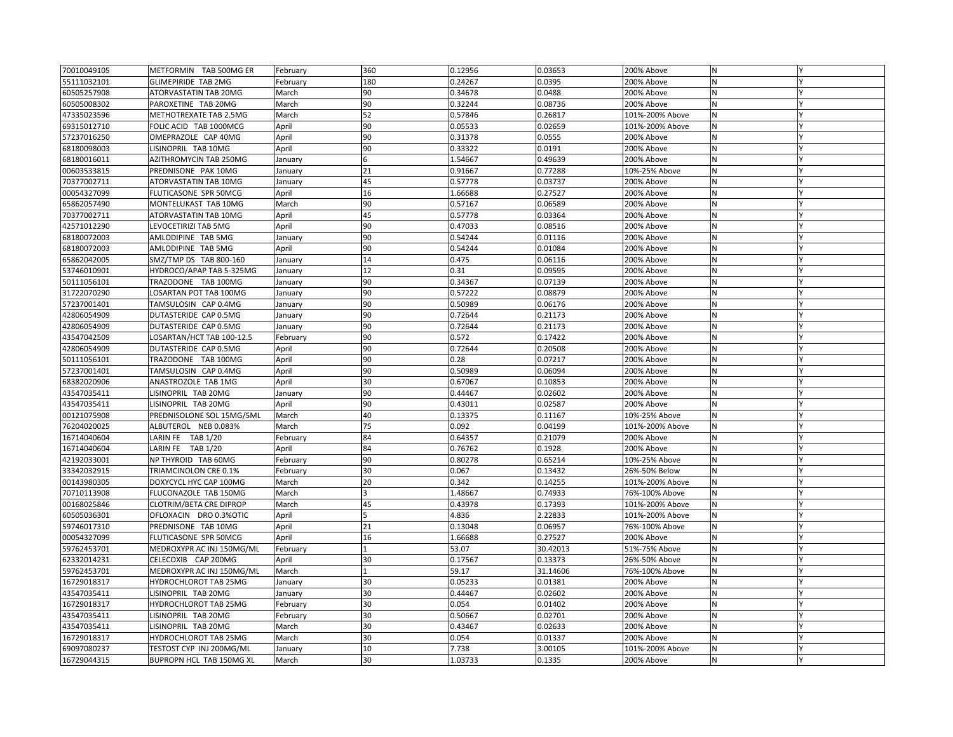| 70010049105 | METFORMIN TAB 500MG ER    | February | 360 | 0.12956 | 0.03653  | 200% Above      | N |  |
|-------------|---------------------------|----------|-----|---------|----------|-----------------|---|--|
| 55111032101 | GLIMEPIRIDE TAB 2MG       | February | 180 | 0.24267 | 0.0395   | 200% Above      | N |  |
| 60505257908 | ATORVASTATIN TAB 20MG     | March    | 90  | 0.34678 | 0.0488   | 200% Above      | N |  |
| 60505008302 | PAROXETINE TAB 20MG       | March    | 90  | 0.32244 | 0.08736  | 200% Above      |   |  |
| 47335023596 | METHOTREXATE TAB 2.5MG    | March    | 52  | 0.57846 | 0.26817  | 101%-200% Above | N |  |
| 69315012710 | FOLIC ACID TAB 1000MCG    | April    | 90  | 0.05533 | 0.02659  | 101%-200% Above | N |  |
| 57237016250 | OMEPRAZOLE CAP 40MG       | April    | 90  | 0.31378 | 0.0555   | 200% Above      | N |  |
| 68180098003 | LISINOPRIL TAB 10MG       | April    | 90  | 0.33322 | 0.0191   | 200% Above      |   |  |
| 68180016011 | AZITHROMYCIN TAB 250MG    | January  |     | 1.54667 | 0.49639  | 200% Above      | N |  |
| 00603533815 | PREDNISONE PAK 10MG       | January  | 21  | 0.91667 | 0.77288  | 10%-25% Above   | N |  |
| 70377002711 | ATORVASTATIN TAB 10MG     | January  | 45  | 0.57778 | 0.03737  | 200% Above      | N |  |
| 00054327099 | FLUTICASONE SPR 50MCG     | April    | 16  | 1.66688 | 0.27527  | 200% Above      | N |  |
| 65862057490 | MONTELUKAST TAB 10MG      | March    | 90  | 0.57167 | 0.06589  | 200% Above      | N |  |
| 70377002711 | ATORVASTATIN TAB 10MG     | April    | 45  | 0.57778 | 0.03364  | 200% Above      | N |  |
| 42571012290 | LEVOCETIRIZI TAB 5MG      | April    | 90  | 0.47033 | 0.08516  | 200% Above      | N |  |
| 68180072003 | AMLODIPINE TAB 5MG        | January  | 90  | 0.54244 | 0.01116  | 200% Above      | N |  |
| 68180072003 | AMLODIPINE TAB 5MG        | April    | 90  | 0.54244 | 0.01084  | 200% Above      | N |  |
| 65862042005 | SMZ/TMP DS TAB 800-160    | January  | 14  | 0.475   | 0.06116  | 200% Above      | N |  |
| 53746010901 | HYDROCO/APAP TAB 5-325MG  | January  | 12  | 0.31    | 0.09595  | 200% Above      | N |  |
| 50111056101 | TRAZODONE TAB 100MG       | January  | 90  | 0.34367 | 0.07139  | 200% Above      |   |  |
| 31722070290 | LOSARTAN POT TAB 100MG    | January  | 90  | 0.57222 | 0.08879  | 200% Above      | N |  |
| 57237001401 | TAMSULOSIN CAP 0.4MG      | January  | 90  | 0.50989 | 0.06176  | 200% Above      | N |  |
| 42806054909 | DUTASTERIDE CAP 0.5MG     | January  | 90  | 0.72644 | 0.21173  | 200% Above      | N |  |
| 42806054909 | DUTASTERIDE CAP 0.5MG     | January  | 90  | 0.72644 | 0.21173  | 200% Above      | N |  |
| 43547042509 | LOSARTAN/HCT TAB 100-12.5 | February | 90  | 0.572   | 0.17422  | 200% Above      | N |  |
| 42806054909 | DUTASTERIDE CAP 0.5MG     | April    | 90  | 0.72644 | 0.20508  | 200% Above      | N |  |
| 50111056101 | TRAZODONE TAB 100MG       | April    | 90  | 0.28    | 0.07217  | 200% Above      | N |  |
| 57237001401 | TAMSULOSIN CAP 0.4MG      | April    | 90  | 0.50989 | 0.06094  | 200% Above      | N |  |
| 68382020906 | ANASTROZOLE TAB 1MG       | April    | 30  | 0.67067 | 0.10853  | 200% Above      | N |  |
| 43547035411 | LISINOPRIL TAB 20MG       | January  | 90  | 0.44467 | 0.02602  | 200% Above      | N |  |
| 43547035411 | LISINOPRIL TAB 20MG       | April    | 90  | 0.43011 | 0.02587  | 200% Above      | N |  |
| 00121075908 | PREDNISOLONE SOL 15MG/5ML | March    | 40  | 0.13375 | 0.11167  | 10%-25% Above   | N |  |
| 76204020025 | ALBUTEROL NEB 0.083%      | March    | 75  | 0.092   | 0.04199  | 101%-200% Above |   |  |
| 16714040604 | LARIN FE TAB 1/20         | February | 84  | 0.64357 | 0.21079  | 200% Above      | N |  |
| 16714040604 | LARIN FE TAB 1/20         | April    | 84  | 0.76762 | 0.1928   | 200% Above      | N |  |
| 42192033001 | NP THYROID TAB 60MG       | February | 90  | 0.80278 | 0.65214  | 10%-25% Above   | N |  |
| 33342032915 | TRIAMCINOLON CRE 0.1%     | February | 30  | 0.067   | 0.13432  | 26%-50% Below   |   |  |
| 00143980305 | DOXYCYCL HYC CAP 100MG    | March    | 20  | 0.342   | 0.14255  | 101%-200% Above | N |  |
| 70710113908 | FLUCONAZOLE TAB 150MG     | March    |     | 1.48667 | 0.74933  | 76%-100% Above  | N |  |
| 00168025846 | CLOTRIM/BETA CRE DIPROP   | March    | 45  | 0.43978 | 0.17393  | 101%-200% Above | N |  |
| 60505036301 | OFLOXACIN DRO 0.3%OTIC    | April    |     | 4.836   | 2.22833  | 101%-200% Above | N |  |
| 59746017310 | PREDNISONE TAB 10MG       | April    | 21  | 0.13048 | 0.06957  | 76%-100% Above  | N |  |
| 00054327099 | FLUTICASONE SPR 50MCG     | April    | 16  | 1.66688 | 0.27527  | 200% Above      | N |  |
| 59762453701 | MEDROXYPR AC INJ 150MG/ML | February |     | 53.07   | 30.42013 | 51%-75% Above   | N |  |
| 62332014231 | CELECOXIB CAP 200MG       | April    | 30  | 0.17567 | 0.13373  | 26%-50% Above   | N |  |
| 59762453701 | MEDROXYPR AC INJ 150MG/ML | March    |     | 59.17   | 31.14606 | 76%-100% Above  |   |  |
| 16729018317 | HYDROCHLOROT TAB 25MG     | January  | 30  | 0.05233 | 0.01381  | 200% Above      | N |  |
| 43547035411 | LISINOPRIL TAB 20MG       | January  | 30  | 0.44467 | 0.02602  | 200% Above      | N |  |
| 16729018317 | HYDROCHLOROT TAB 25MG     | February | 30  | 0.054   | 0.01402  | 200% Above      | N |  |
| 43547035411 | LISINOPRIL TAB 20MG       | February | 30  | 0.50667 | 0.02701  | 200% Above      |   |  |
| 43547035411 | LISINOPRIL TAB 20MG       | March    | 30  | 0.43467 | 0.02633  | 200% Above      | N |  |
| 16729018317 | HYDROCHLOROT TAB 25MG     | March    | 30  | 0.054   | 0.01337  | 200% Above      | N |  |
| 69097080237 | TESTOST CYP INJ 200MG/ML  | January  | 10  | 7.738   | 3.00105  | 101%-200% Above | N |  |
| 16729044315 | BUPROPN HCL TAB 150MG XL  | March    | 30  | 1.03733 | 0.1335   | 200% Above      | N |  |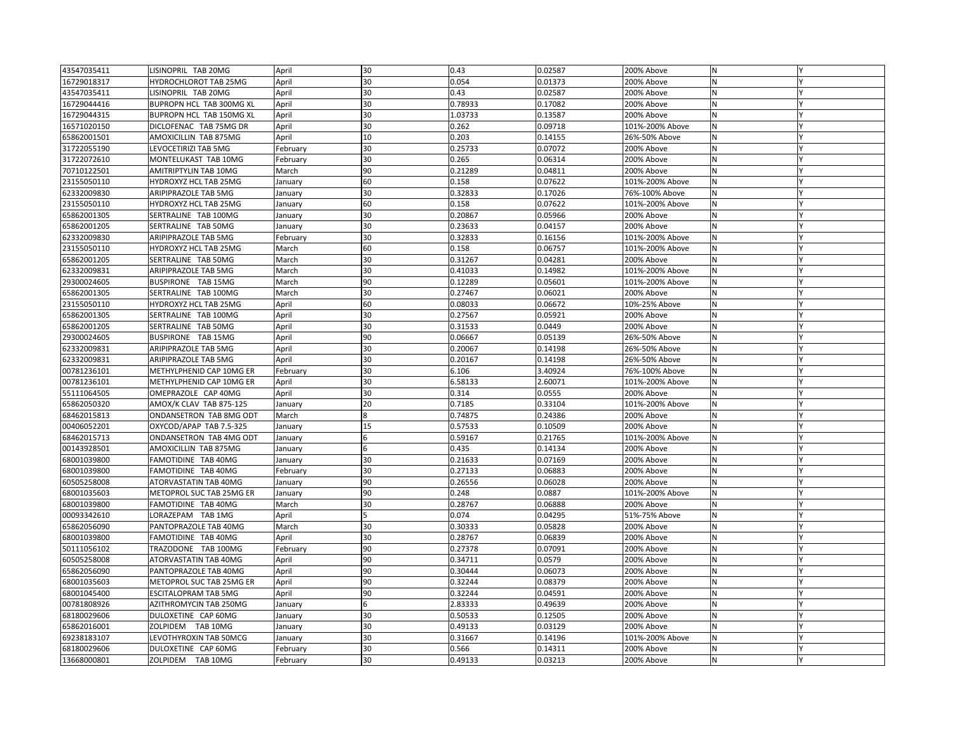| 43547035411 | LISINOPRIL TAB 20MG          | April    | 30 | 0.43    | 0.02587 | 200% Above      | N |  |
|-------------|------------------------------|----------|----|---------|---------|-----------------|---|--|
| 16729018317 | <b>HYDROCHLOROT TAB 25MG</b> | April    | 30 | 0.054   | 0.01373 | 200% Above      | N |  |
| 43547035411 | LISINOPRIL TAB 20MG          | April    | 30 | 0.43    | 0.02587 | 200% Above      | N |  |
| 16729044416 | BUPROPN HCL TAB 300MG XL     | April    | 30 | 0.78933 | 0.17082 | 200% Above      | N |  |
| 16729044315 | BUPROPN HCL TAB 150MG XL     | April    | 30 | 1.03733 | 0.13587 | 200% Above      | N |  |
| 16571020150 | DICLOFENAC TAB 75MG DR       | April    | 30 | 0.262   | 0.09718 | 101%-200% Above | N |  |
| 65862001501 | AMOXICILLIN TAB 875MG        | April    | 10 | 0.203   | 0.14155 | 26%-50% Above   | N |  |
| 31722055190 | LEVOCETIRIZI TAB 5MG         | February | 30 | 0.25733 | 0.07072 | 200% Above      | N |  |
| 31722072610 | MONTELUKAST TAB 10MG         | February | 30 | 0.265   | 0.06314 | 200% Above      |   |  |
| 70710122501 | AMITRIPTYLIN TAB 10MG        | March    | 90 | 0.21289 | 0.04811 | 200% Above      | N |  |
| 23155050110 | HYDROXYZ HCL TAB 25MG        | January  | 60 | 0.158   | 0.07622 | 101%-200% Above | N |  |
| 62332009830 | ARIPIPRAZOLE TAB 5MG         | January  | 30 | 0.32833 | 0.17026 | 76%-100% Above  | N |  |
| 23155050110 | HYDROXYZ HCL TAB 25MG        | January  | 60 | 0.158   | 0.07622 | 101%-200% Above |   |  |
| 65862001305 | SERTRALINE TAB 100MG         | January  | 30 | 0.20867 | 0.05966 | 200% Above      | N |  |
| 65862001205 | SERTRALINE TAB 50MG          | January  | 30 | 0.23633 | 0.04157 | 200% Above      | N |  |
| 62332009830 | ARIPIPRAZOLE TAB 5MG         | February | 30 | 0.32833 | 0.16156 | 101%-200% Above | N |  |
| 23155050110 | HYDROXYZ HCL TAB 25MG        | March    | 60 | 0.158   | 0.06757 | 101%-200% Above | N |  |
| 65862001205 | SERTRALINE TAB 50MG          | March    | 30 | 0.31267 | 0.04281 | 200% Above      | N |  |
| 62332009831 | ARIPIPRAZOLE TAB 5MG         | March    | 30 | 0.41033 | 0.14982 | 101%-200% Above | N |  |
| 29300024605 | BUSPIRONE TAB 15MG           | March    | 90 | 0.12289 | 0.05601 | 101%-200% Above | N |  |
| 65862001305 | SERTRALINE TAB 100MG         | March    | 30 | 0.27467 | 0.06021 | 200% Above      | N |  |
| 23155050110 | HYDROXYZ HCL TAB 25MG        | April    | 60 | 0.08033 | 0.06672 | 10%-25% Above   | N |  |
| 65862001305 | SERTRALINE TAB 100MG         | April    | 30 | 0.27567 | 0.05921 | 200% Above      | N |  |
| 65862001205 | SERTRALINE TAB 50MG          | April    | 30 | 0.31533 | 0.0449  | 200% Above      | N |  |
| 29300024605 | BUSPIRONE TAB 15MG           | April    | 90 | 0.06667 | 0.05139 | 26%-50% Above   | N |  |
| 62332009831 | ARIPIPRAZOLE TAB 5MG         | April    | 30 | 0.20067 | 0.14198 | 26%-50% Above   | N |  |
| 62332009831 | ARIPIPRAZOLE TAB 5MG         | April    | 30 | 0.20167 | 0.14198 | 26%-50% Above   | N |  |
| 00781236101 | METHYLPHENID CAP 10MG ER     | February | 30 | 6.106   | 3.40924 | 76%-100% Above  | N |  |
| 00781236101 | METHYLPHENID CAP 10MG ER     | April    | 30 | 6.58133 | 2.60071 | 101%-200% Above | Ν |  |
| 55111064505 | OMEPRAZOLE CAP 40MG          | April    | 30 | 0.314   | 0.0555  | 200% Above      |   |  |
| 65862050320 | AMOX/K CLAV TAB 875-125      | January  | 20 | 0.7185  | 0.33104 | 101%-200% Above | N |  |
| 68462015813 | ONDANSETRON TAB 8MG ODT      | March    |    | 0.74875 | 0.24386 | 200% Above      | N |  |
| 00406052201 | OXYCOD/APAP TAB 7.5-325      | January  | 15 | 0.57533 | 0.10509 | 200% Above      | N |  |
| 68462015713 | ONDANSETRON TAB 4MG ODT      | January  |    | 0.59167 | 0.21765 | 101%-200% Above | N |  |
| 00143928501 | AMOXICILLIN TAB 875MG        | January  | 6  | 0.435   | 0.14134 | 200% Above      | N |  |
| 68001039800 | FAMOTIDINE TAB 40MG          | January  | 30 | 0.21633 | 0.07169 | 200% Above      | N |  |
| 68001039800 | FAMOTIDINE TAB 40MG          | February | 30 | 0.27133 | 0.06883 | 200% Above      | N |  |
| 60505258008 | ATORVASTATIN TAB 40MG        | January  | 90 | 0.26556 | 0.06028 | 200% Above      | N |  |
| 68001035603 | METOPROL SUC TAB 25MG ER     | January  | 90 | 0.248   | 0.0887  | 101%-200% Above | N |  |
| 68001039800 | FAMOTIDINE TAB 40MG          | March    | 30 | 0.28767 | 0.06888 | 200% Above      | N |  |
| 00093342610 | LORAZEPAM TAB 1MG            | April    |    | 0.074   | 0.04295 | 51%-75% Above   | N |  |
| 65862056090 | PANTOPRAZOLE TAB 40MG        | March    | 30 | 0.30333 | 0.05828 | 200% Above      |   |  |
| 68001039800 | FAMOTIDINE TAB 40MG          | April    | 30 | 0.28767 | 0.06839 | 200% Above      | N |  |
| 50111056102 | TRAZODONE TAB 100MG          | February | 90 | 0.27378 | 0.07091 | 200% Above      | N |  |
| 60505258008 | ATORVASTATIN TAB 40MG        | April    | 90 | 0.34711 | 0.0579  | 200% Above      | N |  |
| 65862056090 | PANTOPRAZOLE TAB 40MG        | April    | 90 | 0.30444 | 0.06073 | 200% Above      | N |  |
| 68001035603 | METOPROL SUC TAB 25MG ER     | April    | 90 | 0.32244 | 0.08379 | 200% Above      | N |  |
| 68001045400 | <b>ESCITALOPRAM TAB 5MG</b>  | April    | 90 | 0.32244 | 0.04591 | 200% Above      | N |  |
| 00781808926 | AZITHROMYCIN TAB 250MG       | January  |    | 2.83333 | 0.49639 | 200% Above      | N |  |
| 68180029606 | DULOXETINE CAP 60MG          | January  | 30 | 0.50533 | 0.12505 | 200% Above      | N |  |
| 65862016001 | ZOLPIDEM TAB 10MG            | January  | 30 | 0.49133 | 0.03129 | 200% Above      |   |  |
| 69238183107 | LEVOTHYROXIN TAB 50MCG       | January  | 30 | 0.31667 | 0.14196 | 101%-200% Above | N |  |
| 68180029606 | DULOXETINE CAP 60MG          | February | 30 | 0.566   | 0.14311 | 200% Above      | N |  |
| 13668000801 | ZOLPIDEM TAB 10MG            | February | 30 | 0.49133 | 0.03213 | 200% Above      | N |  |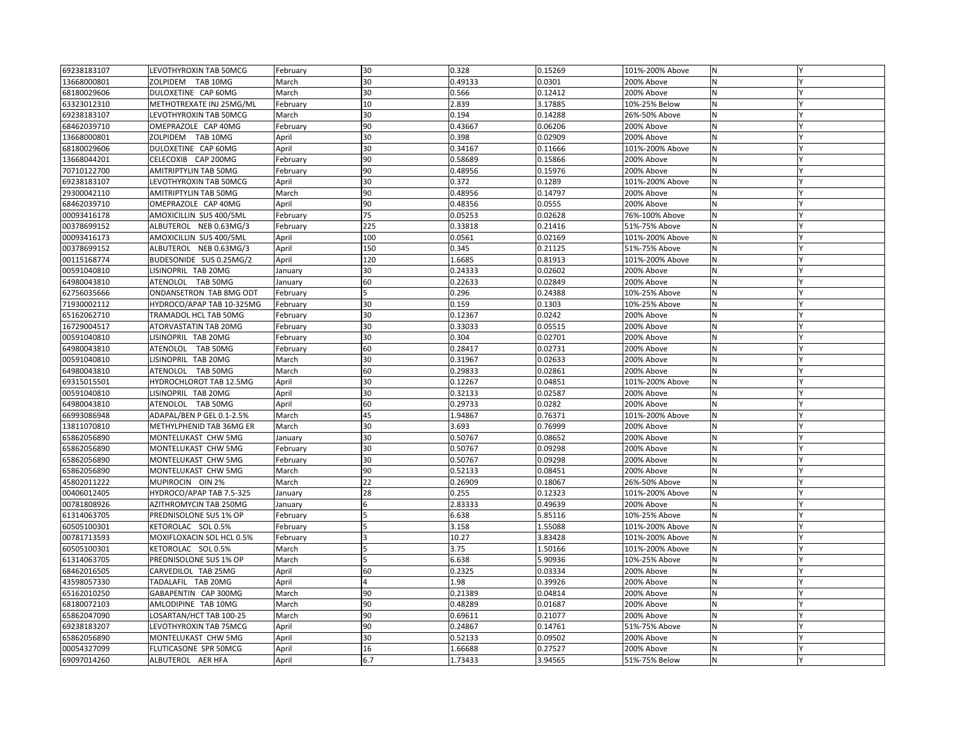| 69238183107 | LEVOTHYROXIN TAB 50MCG       | February | 30  | 0.328   | 0.15269 | 101%-200% Above | N |  |
|-------------|------------------------------|----------|-----|---------|---------|-----------------|---|--|
| 13668000801 | ZOLPIDEM TAB 10MG            | March    | 30  | 0.49133 | 0.0301  | 200% Above      | N |  |
| 68180029606 | DULOXETINE CAP 60MG          | March    | 30  | 0.566   | 0.12412 | 200% Above      | N |  |
| 63323012310 | METHOTREXATE INJ 25MG/ML     | February | 10  | 2.839   | 3.17885 | 10%-25% Below   |   |  |
| 69238183107 | LEVOTHYROXIN TAB 50MCG       | March    | 30  | 0.194   | 0.14288 | 26%-50% Above   | N |  |
| 68462039710 | OMEPRAZOLE CAP 40MG          | February | 90  | 0.43667 | 0.06206 | 200% Above      |   |  |
| 13668000801 | ZOLPIDEM<br>TAB 10MG         | April    | 30  | 0.398   | 0.02909 | 200% Above      | N |  |
| 68180029606 | DULOXETINE CAP 60MG          | April    | 30  | 0.34167 | 0.11666 | 101%-200% Above | N |  |
| 13668044201 | CELECOXIB CAP 200MG          | February | 90  | 0.58689 | 0.15866 | 200% Above      | N |  |
| 70710122700 | AMITRIPTYLIN TAB 50MG        | February | 90  | 0.48956 | 0.15976 | 200% Above      | N |  |
| 69238183107 | LEVOTHYROXIN TAB 50MCG       | April    | 30  | 0.372   | 0.1289  | 101%-200% Above | N |  |
| 29300042110 | <b>AMITRIPTYLIN TAB 50MG</b> | March    | 90  | 0.48956 | 0.14797 | 200% Above      | N |  |
| 68462039710 | OMEPRAZOLE CAP 40MG          | April    | 90  | 0.48356 | 0.0555  | 200% Above      | N |  |
| 00093416178 | AMOXICILLIN SUS 400/5ML      | February | 75  | 0.05253 | 0.02628 | 76%-100% Above  | N |  |
| 00378699152 | ALBUTEROL NEB 0.63MG/3       | February | 225 | 0.33818 | 0.21416 | 51%-75% Above   | N |  |
| 00093416173 | AMOXICILLIN SUS 400/5ML      | April    | 100 | 0.0561  | 0.02169 | 101%-200% Above | N |  |
| 00378699152 | ALBUTEROL NEB 0.63MG/3       | April    | 150 | 0.345   | 0.21125 | 51%-75% Above   | N |  |
| 00115168774 | BUDESONIDE SUS 0.25MG/2      | April    | 120 | 1.6685  | 0.81913 | 101%-200% Above | N |  |
| 00591040810 | LISINOPRIL TAB 20MG          | January  | 30  | 0.24333 | 0.02602 | 200% Above      | N |  |
| 64980043810 | ATENOLOL TAB 50MG            | January  | 60  | 0.22633 | 0.02849 | 200% Above      | N |  |
| 62756035666 | ONDANSETRON TAB 8MG ODT      | February |     | 0.296   | 0.24388 | 10%-25% Above   | N |  |
| 71930002112 | HYDROCO/APAP TAB 10-325MG    | February | 30  | 0.159   | 0.1303  | 10%-25% Above   | N |  |
| 65162062710 | TRAMADOL HCL TAB 50MG        | February | 30  | 0.12367 | 0.0242  | 200% Above      | N |  |
| 16729004517 | ATORVASTATIN TAB 20MG        | February | 30  | 0.33033 | 0.05515 | 200% Above      | N |  |
| 00591040810 | LISINOPRIL TAB 20MG          | February | 30  | 0.304   | 0.02701 | 200% Above      | N |  |
| 64980043810 | <b>ATENOLOL</b><br>TAB 50MG  | February | 60  | 0.28417 | 0.02731 | 200% Above      | N |  |
| 00591040810 | LISINOPRIL TAB 20MG          | March    | 30  | 0.31967 | 0.02633 | 200% Above      | N |  |
| 64980043810 | ATENOLOL<br>TAB 50MG         | March    | 60  | 0.29833 | 0.02861 | 200% Above      | N |  |
| 69315015501 | HYDROCHLOROT TAB 12.5MG      | April    | 30  | 0.12267 | 0.04851 | 101%-200% Above | N |  |
| 00591040810 | LISINOPRIL TAB 20MG          | April    | 30  | 0.32133 | 0.02587 | 200% Above      | N |  |
| 64980043810 | ATENOLOL<br>TAB 50MG         | April    | 60  | 0.29733 | 0.0282  | 200% Above      | N |  |
| 66993086948 | ADAPAL/BEN P GEL 0.1-2.5%    | March    | 45  | 1.94867 | 0.76371 | 101%-200% Above | N |  |
| 13811070810 | METHYLPHENID TAB 36MG ER     | March    | 30  | 3.693   | 0.76999 | 200% Above      |   |  |
| 65862056890 | MONTELUKAST CHW 5MG          | January  | 30  | 0.50767 | 0.08652 | 200% Above      | N |  |
| 65862056890 | MONTELUKAST CHW 5MG          | February | 30  | 0.50767 | 0.09298 | 200% Above      | N |  |
| 65862056890 | MONTELUKAST CHW 5MG          | February | 30  | 0.50767 | 0.09298 | 200% Above      | N |  |
| 65862056890 | MONTELUKAST CHW 5MG          | March    | 90  | 0.52133 | 0.08451 | 200% Above      | N |  |
| 45802011222 | MUPIROCIN OIN 2%             | March    | 22  | 0.26909 | 0.18067 | 26%-50% Above   | N |  |
| 00406012405 | HYDROCO/APAP TAB 7.5-325     | January  | 28  | 0.255   | 0.12323 | 101%-200% Above | N |  |
| 00781808926 | AZITHROMYCIN TAB 250MG       | January  |     | 2.83333 | 0.49639 | 200% Above      |   |  |
| 61314063705 | PREDNISOLONE SUS 1% OP       | February |     | 6.638   | 5.85116 | 10%-25% Above   | N |  |
| 60505100301 | KETOROLAC SOL 0.5%           | February |     | 3.158   | 1.55088 | 101%-200% Above | N |  |
| 00781713593 | MOXIFLOXACIN SOL HCL 0.5%    | February |     | 10.27   | 3.83428 | 101%-200% Above | N |  |
| 60505100301 | KETOROLAC SOL 0.5%           | March    |     | 3.75    | 1.50166 | 101%-200% Above | N |  |
| 61314063705 | PREDNISOLONE SUS 1% OP       | March    |     | 6.638   | 5.90936 | 10%-25% Above   | N |  |
| 68462016505 | CARVEDILOL TAB 25MG          | April    | 60  | 0.2325  | 0.03334 | 200% Above      |   |  |
| 43598057330 | <b>TADALAFIL</b><br>TAB 20MG | April    |     | 1.98    | 0.39926 | 200% Above      | N |  |
| 65162010250 | GABAPENTIN CAP 300MG         | March    | 90  | 0.21389 | 0.04814 | 200% Above      | N |  |
| 68180072103 | AMLODIPINE TAB 10MG          | March    | 90  | 0.48289 | 0.01687 | 200% Above      | N |  |
| 65862047090 | LOSARTAN/HCT TAB 100-25      | March    | 90  | 0.69611 | 0.21077 | 200% Above      | N |  |
| 69238183207 | LEVOTHYROXIN TAB 75MCG       | April    | 90  | 0.24867 | 0.14761 | 51%-75% Above   | N |  |
| 65862056890 | MONTELUKAST CHW 5MG          | April    | 30  | 0.52133 | 0.09502 | 200% Above      | N |  |
| 00054327099 | FLUTICASONE SPR 50MCG        | April    | 16  | 1.66688 | 0.27527 | 200% Above      | N |  |
| 69097014260 | ALBUTEROL AER HFA            | April    | 6.7 | 1.73433 | 3.94565 | 51%-75% Below   | N |  |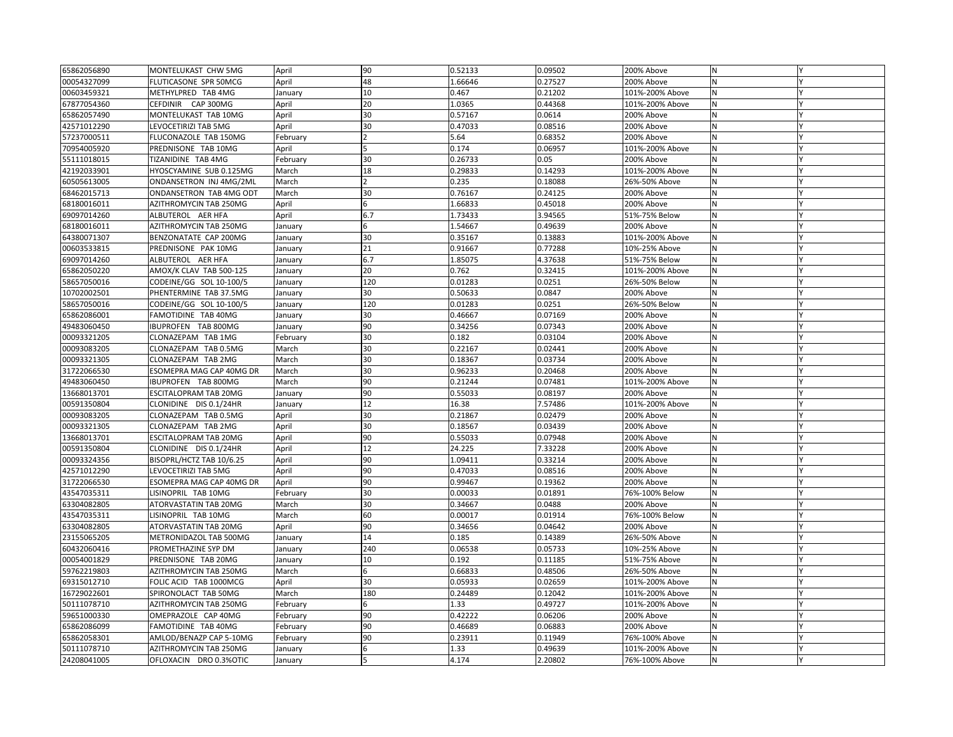| 65862056890 | MONTELUKAST CHW 5MG           | April    | 90  | 0.52133 | 0.09502 | 200% Above      | N |  |
|-------------|-------------------------------|----------|-----|---------|---------|-----------------|---|--|
| 00054327099 | FLUTICASONE SPR 50MCG         | April    | 48  | 1.66646 | 0.27527 | 200% Above      | N |  |
| 00603459321 | METHYLPRED TAB 4MG            | January  | 10  | 0.467   | 0.21202 | 101%-200% Above | N |  |
| 67877054360 | CEFDINIR CAP 300MG            | April    | 20  | 1.0365  | 0.44368 | 101%-200% Above | N |  |
| 65862057490 | MONTELUKAST TAB 10MG          | April    | 30  | 0.57167 | 0.0614  | 200% Above      | N |  |
| 42571012290 | LEVOCETIRIZI TAB 5MG          | April    | 30  | 0.47033 | 0.08516 | 200% Above      | N |  |
| 57237000511 | FLUCONAZOLE TAB 150MG         | February |     | 5.64    | 0.68352 | 200% Above      | N |  |
| 70954005920 | PREDNISONE TAB 10MG           | April    |     | 0.174   | 0.06957 | 101%-200% Above | N |  |
| 55111018015 | TIZANIDINE TAB 4MG            | February | 30  | 0.26733 | 0.05    | 200% Above      | N |  |
| 42192033901 | HYOSCYAMINE SUB 0.125MG       | March    | 18  | 0.29833 | 0.14293 | 101%-200% Above | N |  |
| 60505613005 | ONDANSETRON INJ 4MG/2ML       | March    |     | 0.235   | 0.18088 | 26%-50% Above   | N |  |
| 68462015713 | ONDANSETRON TAB 4MG ODT       | March    | 30  | 0.76167 | 0.24125 | 200% Above      | N |  |
| 68180016011 | <b>AZITHROMYCIN TAB 250MG</b> | April    | 6   | 1.66833 | 0.45018 | 200% Above      | N |  |
| 69097014260 | ALBUTEROL AER HFA             | April    | 6.7 | 1.73433 | 3.94565 | 51%-75% Below   | N |  |
| 68180016011 | AZITHROMYCIN TAB 250MG        | January  |     | 1.54667 | 0.49639 | 200% Above      | N |  |
| 64380071307 | BENZONATATE CAP 200MG         | January  | 30  | 0.35167 | 0.13883 | 101%-200% Above | N |  |
| 00603533815 | PREDNISONE PAK 10MG           | January  | 21  | 0.91667 | 0.77288 | 10%-25% Above   |   |  |
| 69097014260 | ALBUTEROL AER HFA             | January  | 6.7 | 1.85075 | 4.37638 | 51%-75% Below   | N |  |
| 65862050220 | AMOX/K CLAV TAB 500-125       | January  | 20  | 0.762   | 0.32415 | 101%-200% Above | N |  |
| 58657050016 | CODEINE/GG SOL 10-100/5       | January  | 120 | 0.01283 | 0.0251  | 26%-50% Below   | N |  |
| 10702002501 | PHENTERMINE TAB 37.5MG        | January  | 30  | 0.50633 | 0.0847  | 200% Above      | N |  |
| 58657050016 | CODEINE/GG SOL 10-100/5       | January  | 120 | 0.01283 | 0.0251  | 26%-50% Below   | N |  |
| 65862086001 | FAMOTIDINE TAB 40MG           | January  | 30  | 0.46667 | 0.07169 | 200% Above      | N |  |
| 49483060450 | IBUPROFEN TAB 800MG           | January  | 90  | 0.34256 | 0.07343 | 200% Above      | N |  |
| 00093321205 | CLONAZEPAM TAB 1MG            | February | 30  | 0.182   | 0.03104 | 200% Above      | N |  |
| 00093083205 | CLONAZEPAM TAB 0.5MG          | March    | 30  | 0.22167 | 0.02441 | 200% Above      | N |  |
| 00093321305 | CLONAZEPAM TAB 2MG            | March    | 30  | 0.18367 | 0.03734 | 200% Above      | N |  |
| 31722066530 | ESOMEPRA MAG CAP 40MG DR      | March    | 30  | 0.96233 | 0.20468 | 200% Above      | N |  |
| 49483060450 | IBUPROFEN TAB 800MG           | March    | 90  | 0.21244 | 0.07481 | 101%-200% Above | N |  |
| 13668013701 | <b>ESCITALOPRAM TAB 20MG</b>  | January  | 90  | 0.55033 | 0.08197 | 200% Above      | N |  |
| 00591350804 | CLONIDINE DIS 0.1/24HR        | January  | 12  | 16.38   | 7.57486 | 101%-200% Above | N |  |
| 00093083205 | CLONAZEPAM TAB 0.5MG          | April    | 30  | 0.21867 | 0.02479 | 200% Above      | N |  |
| 00093321305 | CLONAZEPAM TAB 2MG            | April    | 30  | 0.18567 | 0.03439 | 200% Above      | N |  |
| 13668013701 | <b>ESCITALOPRAM TAB 20MG</b>  | April    | 90  | 0.55033 | 0.07948 | 200% Above      | N |  |
| 00591350804 | CLONIDINE DIS 0.1/24HR        | April    | 12  | 24.225  | 7.33228 | 200% Above      | N |  |
| 00093324356 | BISOPRL/HCTZ TAB 10/6.25      | April    | 90  | 1.09411 | 0.33214 | 200% Above      | N |  |
| 42571012290 | LEVOCETIRIZI TAB 5MG          | April    | 90  | 0.47033 | 0.08516 | 200% Above      | N |  |
| 31722066530 | ESOMEPRA MAG CAP 40MG DR      | April    | 90  | 0.99467 | 0.19362 | 200% Above      | N |  |
| 43547035311 | LISINOPRIL TAB 10MG           | February | 30  | 0.00033 | 0.01891 | 76%-100% Below  | N |  |
| 63304082805 | ATORVASTATIN TAB 20MG         | March    | 30  | 0.34667 | 0.0488  | 200% Above      | N |  |
| 43547035311 | LISINOPRIL TAB 10MG           | March    | 60  | 0.00017 | 0.01914 | 76%-100% Below  | N |  |
| 63304082805 | ATORVASTATIN TAB 20MG         | April    | 90  | 0.34656 | 0.04642 | 200% Above      | N |  |
| 23155065205 | METRONIDAZOL TAB 500MG        | January  | 14  | 0.185   | 0.14389 | 26%-50% Above   | N |  |
| 60432060416 | PROMETHAZINE SYP DM           | January  | 240 | 0.06538 | 0.05733 | 10%-25% Above   | N |  |
| 00054001829 | PREDNISONE TAB 20MG           | January  | 10  | 0.192   | 0.11185 | 51%-75% Above   | N |  |
| 59762219803 | AZITHROMYCIN TAB 250MG        | March    |     | 0.66833 | 0.48506 | 26%-50% Above   | N |  |
| 69315012710 | FOLIC ACID TAB 1000MCG        | April    | 30  | 0.05933 | 0.02659 | 101%-200% Above | Ń |  |
| 16729022601 | SPIRONOLACT TAB 50MG          | March    | 180 | 0.24489 | 0.12042 | 101%-200% Above | N |  |
| 50111078710 | AZITHROMYCIN TAB 250MG        | February |     | 1.33    | 0.49727 | 101%-200% Above | N |  |
| 59651000330 | OMEPRAZOLE CAP 40MG           | February | 90  | 0.42222 | 0.06206 | 200% Above      | N |  |
| 65862086099 | FAMOTIDINE TAB 40MG           | February | 90  | 0.46689 | 0.06883 | 200% Above      |   |  |
| 65862058301 | AMLOD/BENAZP CAP 5-10MG       | February | 90  | 0.23911 | 0.11949 | 76%-100% Above  | N |  |
| 50111078710 | <b>AZITHROMYCIN TAB 250MG</b> | January  |     | 1.33    | 0.49639 | 101%-200% Above | N |  |
| 24208041005 | OFLOXACIN DRO 0.3%OTIC        | January  |     | 4.174   | 2.20802 | 76%-100% Above  | Ν |  |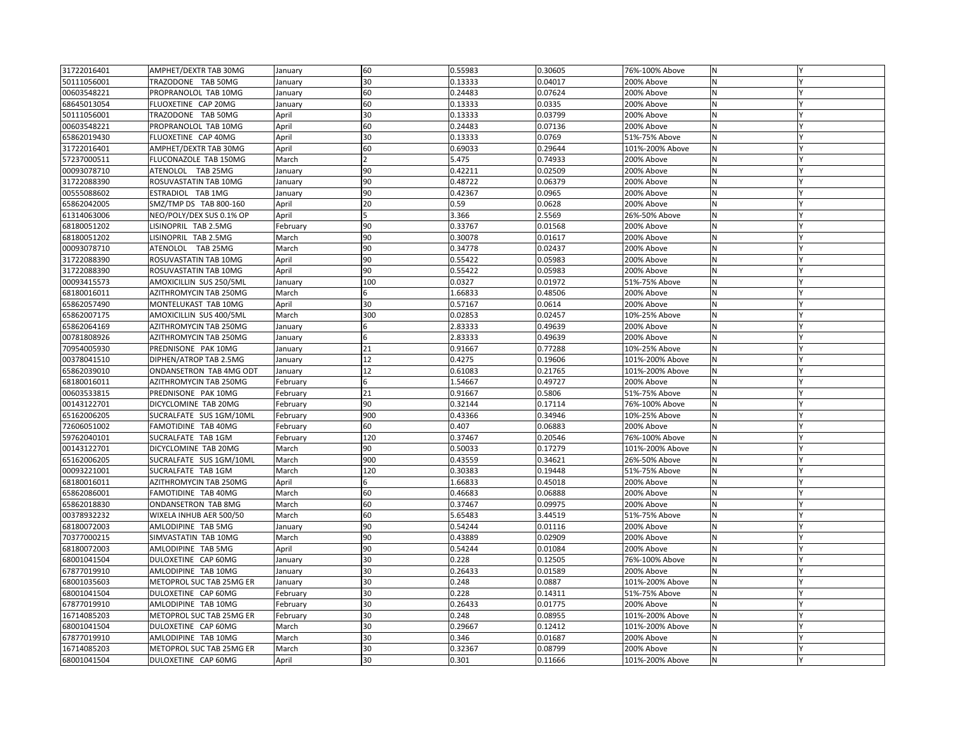| 31722016401 | AMPHET/DEXTR TAB 30MG    | January  | 60  | 0.55983 | 0.30605 | 76%-100% Above  | IN. |  |
|-------------|--------------------------|----------|-----|---------|---------|-----------------|-----|--|
| 50111056001 | TRAZODONE TAB 50MG       | January  | 30  | 0.13333 | 0.04017 | 200% Above      | N   |  |
| 00603548221 | PROPRANOLOL TAB 10MG     | January  | 60  | 0.24483 | 0.07624 | 200% Above      | N   |  |
| 68645013054 | FLUOXETINE CAP 20MG      | January  | 60  | 0.13333 | 0.0335  | 200% Above      |     |  |
| 50111056001 | TRAZODONE TAB 50MG       | April    | 30  | 0.13333 | 0.03799 | 200% Above      | N   |  |
| 00603548221 | PROPRANOLOL TAB 10MG     | April    | 60  | 0.24483 | 0.07136 | 200% Above      | N   |  |
| 65862019430 | FLUOXETINE CAP 40MG      | April    | 30  | 0.13333 | 0.0769  | 51%-75% Above   | N   |  |
| 31722016401 | AMPHET/DEXTR TAB 30MG    | April    | 60  | 0.69033 | 0.29644 | 101%-200% Above |     |  |
| 57237000511 | FLUCONAZOLE TAB 150MG    | March    |     | 5.475   | 0.74933 | 200% Above      | N   |  |
| 00093078710 | ATENOLOL TAB 25MG        | January  | 90  | 0.42211 | 0.02509 | 200% Above      | N   |  |
| 31722088390 | ROSUVASTATIN TAB 10MG    | January  | 90  | 0.48722 | 0.06379 | 200% Above      | N   |  |
| 00555088602 | ESTRADIOL TAB 1MG        | Januarv  | 90  | 0.42367 | 0.0965  | 200% Above      |     |  |
| 65862042005 | SMZ/TMP DS TAB 800-160   | April    | 20  | 0.59    | 0.0628  | 200% Above      | N   |  |
| 61314063006 | NEO/POLY/DEX SUS 0.1% OP | April    |     | 3.366   | 2.5569  | 26%-50% Above   | N   |  |
| 68180051202 | LISINOPRIL TAB 2.5MG     | February | 90  | 0.33767 | 0.01568 | 200% Above      | N   |  |
| 68180051202 | LISINOPRIL TAB 2.5MG     | March    | 90  | 0.30078 | 0.01617 | 200% Above      | N   |  |
| 00093078710 | ATENOLOL TAB 25MG        | March    | 90  | 0.34778 | 0.02437 | 200% Above      | N   |  |
| 31722088390 | ROSUVASTATIN TAB 10MG    | April    | 90  | 0.55422 | 0.05983 | 200% Above      | N   |  |
| 31722088390 | ROSUVASTATIN TAB 10MG    | April    | 90  | 0.55422 | 0.05983 | 200% Above      | N   |  |
| 00093415573 | AMOXICILLIN SUS 250/5ML  | January  | 100 | 0.0327  | 0.01972 | 51%-75% Above   |     |  |
| 68180016011 | AZITHROMYCIN TAB 250MG   | March    |     | 1.66833 | 0.48506 | 200% Above      |     |  |
| 65862057490 | MONTELUKAST TAB 10MG     | April    | 30  | 0.57167 | 0.0614  | 200% Above      | N   |  |
| 65862007175 | AMOXICILLIN SUS 400/5ML  | March    | 300 | 0.02853 | 0.02457 | 10%-25% Above   | N   |  |
| 65862064169 | AZITHROMYCIN TAB 250MG   | January  |     | 2.83333 | 0.49639 | 200% Above      | N   |  |
| 00781808926 | AZITHROMYCIN TAB 250MG   | January  |     | 2.83333 | 0.49639 | 200% Above      |     |  |
| 70954005930 | PREDNISONE PAK 10MG      | January  | 21  | 0.91667 | 0.77288 | 10%-25% Above   | N   |  |
| 00378041510 | DIPHEN/ATROP TAB 2.5MG   | January  | 12  | 0.4275  | 0.19606 | 101%-200% Above | N   |  |
| 65862039010 | ONDANSETRON TAB 4MG ODT  | January  | 12  | 0.61083 | 0.21765 | 101%-200% Above | N   |  |
| 68180016011 | AZITHROMYCIN TAB 250MG   | February |     | 1.54667 | 0.49727 | 200% Above      |     |  |
| 00603533815 | PREDNISONE PAK 10MG      | February | 21  | 0.91667 | 0.5806  | 51%-75% Above   | N   |  |
| 00143122701 | DICYCLOMINE TAB 20MG     | February | 90  | 0.32144 | 0.17114 | 76%-100% Above  | N   |  |
| 65162006205 | SUCRALFATE SUS 1GM/10ML  | February | 900 | 0.43366 | 0.34946 | 10%-25% Above   | N   |  |
| 72606051002 | FAMOTIDINE TAB 40MG      | February | 60  | 0.407   | 0.06883 | 200% Above      | N   |  |
| 59762040101 | SUCRALFATE TAB 1GM       | February | 120 | 0.37467 | 0.20546 | 76%-100% Above  | N   |  |
| 00143122701 | DICYCLOMINE TAB 20MG     | March    | 90  | 0.50033 | 0.17279 | 101%-200% Above | N   |  |
| 65162006205 | SUCRALFATE SUS 1GM/10ML  | March    | 900 | 0.43559 | 0.34621 | 26%-50% Above   | N   |  |
| 00093221001 | SUCRALFATE TAB 1GM       | March    | 120 | 0.30383 | 0.19448 | 51%-75% Above   | N   |  |
| 68180016011 | AZITHROMYCIN TAB 250MG   | April    |     | 1.66833 | 0.45018 | 200% Above      | N   |  |
| 65862086001 | FAMOTIDINE TAB 40MG      | March    | 60  | 0.46683 | 0.06888 | 200% Above      | N   |  |
| 65862018830 | ONDANSETRON TAB 8MG      | March    | 60  | 0.37467 | 0.09975 | 200% Above      | N   |  |
| 00378932232 | WIXELA INHUB AER 500/50  | March    | 60  | 5.65483 | 3.44519 | 51%-75% Above   | N   |  |
| 68180072003 | AMLODIPINE TAB 5MG       | January  | 90  | 0.54244 | 0.01116 | 200% Above      | N   |  |
| 70377000215 | SIMVASTATIN TAB 10MG     | March    | 90  | 0.43889 | 0.02909 | 200% Above      | N   |  |
| 68180072003 | AMLODIPINE TAB 5MG       | April    | 90  | 0.54244 | 0.01084 | 200% Above      | N   |  |
| 68001041504 | DULOXETINE CAP 60MG      | January  | 30  | 0.228   | 0.12505 | 76%-100% Above  | N   |  |
| 67877019910 | AMLODIPINE TAB 10MG      | January  | 30  | 0.26433 | 0.01589 | 200% Above      |     |  |
| 68001035603 | METOPROL SUC TAB 25MG ER | January  | 30  | 0.248   | 0.0887  | 101%-200% Above | N   |  |
| 68001041504 | DULOXETINE CAP 60MG      | February | 30  | 0.228   | 0.14311 | 51%-75% Above   | N   |  |
| 67877019910 | AMLODIPINE TAB 10MG      | February | 30  | 0.26433 | 0.01775 | 200% Above      | N   |  |
| 16714085203 | METOPROL SUC TAB 25MG ER | February | 30  | 0.248   | 0.08955 | 101%-200% Above | N   |  |
| 68001041504 | DULOXETINE CAP 60MG      | March    | 30  | 0.29667 | 0.12412 | 101%-200% Above | N   |  |
| 67877019910 | AMLODIPINE TAB 10MG      | March    | 30  | 0.346   | 0.01687 | 200% Above      | N   |  |
| 16714085203 | METOPROL SUC TAB 25MG ER | March    | 30  | 0.32367 | 0.08799 | 200% Above      | N   |  |
| 68001041504 | DULOXETINE CAP 60MG      | April    | 30  | 0.301   | 0.11666 | 101%-200% Above | N   |  |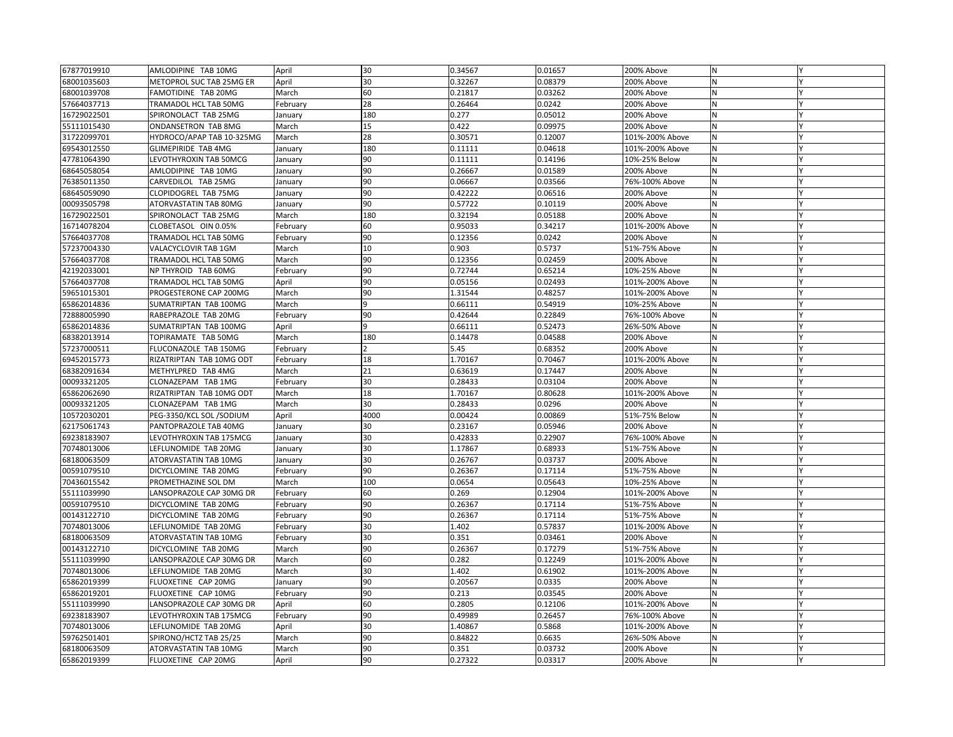| 67877019910 | AMLODIPINE TAB 10MG        | April    | 30   | 0.34567 | 0.01657 | 200% Above      | N |  |
|-------------|----------------------------|----------|------|---------|---------|-----------------|---|--|
| 68001035603 | METOPROL SUC TAB 25MG ER   | April    | 30   | 0.32267 | 0.08379 | 200% Above      | N |  |
| 68001039708 | FAMOTIDINE TAB 20MG        | March    | 60   | 0.21817 | 0.03262 | 200% Above      | N |  |
| 57664037713 | TRAMADOL HCL TAB 50MG      | February | 28   | 0.26464 | 0.0242  | 200% Above      | N |  |
| 16729022501 | SPIRONOLACT TAB 25MG       | January  | 180  | 0.277   | 0.05012 | 200% Above      | N |  |
| 55111015430 | <b>ONDANSETRON TAB 8MG</b> | March    | 15   | 0.422   | 0.09975 | 200% Above      | N |  |
| 31722099701 | HYDROCO/APAP TAB 10-325MG  | March    | 28   | 0.30571 | 0.12007 | 101%-200% Above | N |  |
| 69543012550 | <b>GLIMEPIRIDE TAB 4MG</b> | January  | 180  | 0.11111 | 0.04618 | 101%-200% Above | N |  |
| 47781064390 | LEVOTHYROXIN TAB 50MCG     | January  | 90   | 0.11111 | 0.14196 | 10%-25% Below   | N |  |
| 68645058054 | AMLODIPINE TAB 10MG        | January  | 90   | 0.26667 | 0.01589 | 200% Above      | N |  |
| 76385011350 | CARVEDILOL TAB 25MG        | January  | 90   | 0.06667 | 0.03566 | 76%-100% Above  | N |  |
| 68645059090 | CLOPIDOGREL TAB 75MG       | January  | 90   | 0.42222 | 0.06516 | 200% Above      | N |  |
| 00093505798 | ATORVASTATIN TAB 80MG      | January  | 90   | 0.57722 | 0.10119 | 200% Above      | N |  |
| 16729022501 | SPIRONOLACT TAB 25MG       | March    | 180  | 0.32194 | 0.05188 | 200% Above      | N |  |
| 16714078204 | CLOBETASOL OIN 0.05%       | February | 60   | 0.95033 | 0.34217 | 101%-200% Above | N |  |
| 57664037708 | TRAMADOL HCL TAB 50MG      | February | 90   | 0.12356 | 0.0242  | 200% Above      | N |  |
| 57237004330 | VALACYCLOVIR TAB 1GM       | March    | 10   | 0.903   | 0.5737  | 51%-75% Above   | N |  |
| 57664037708 | TRAMADOL HCL TAB 50MG      | March    | 90   | 0.12356 | 0.02459 | 200% Above      | N |  |
| 42192033001 | NP THYROID TAB 60MG        | February | 90   | 0.72744 | 0.65214 | 10%-25% Above   | N |  |
| 57664037708 | TRAMADOL HCL TAB 50MG      | April    | 90   | 0.05156 | 0.02493 | 101%-200% Above | N |  |
| 59651015301 | PROGESTERONE CAP 200MG     | March    | 90   | 1.31544 | 0.48257 | 101%-200% Above | N |  |
| 65862014836 | SUMATRIPTAN TAB 100MG      | March    | Q    | 0.66111 | 0.54919 | 10%-25% Above   | N |  |
| 72888005990 | RABEPRAZOLE TAB 20MG       | February | 90   | 0.42644 | 0.22849 | 76%-100% Above  | N |  |
| 65862014836 | SUMATRIPTAN TAB 100MG      | April    |      | 0.66111 | 0.52473 | 26%-50% Above   | N |  |
| 68382013914 | TOPIRAMATE TAB 50MG        | March    | 180  | 0.14478 | 0.04588 | 200% Above      | N |  |
| 57237000511 | FLUCONAZOLE TAB 150MG      | February |      | 5.45    | 0.68352 | 200% Above      | N |  |
| 69452015773 | RIZATRIPTAN TAB 10MG ODT   | February | 18   | 1.70167 | 0.70467 | 101%-200% Above | N |  |
| 68382091634 | METHYLPRED TAB 4MG         | March    | 21   | 0.63619 | 0.17447 | 200% Above      | N |  |
| 00093321205 | CLONAZEPAM TAB 1MG         | February | 30   | 0.28433 | 0.03104 | 200% Above      | N |  |
| 65862062690 | RIZATRIPTAN TAB 10MG ODT   | March    | 18   | 1.70167 | 0.80628 | 101%-200% Above | N |  |
| 00093321205 | CLONAZEPAM TAB 1MG         | March    | 30   | 0.28433 | 0.0296  | 200% Above      | N |  |
| 10572030201 | PEG-3350/KCL SOL /SODIUM   | April    | 4000 | 0.00424 | 0.00869 | 51%-75% Below   | N |  |
| 62175061743 | PANTOPRAZOLE TAB 40MG      | January  | 30   | 0.23167 | 0.05946 | 200% Above      | N |  |
| 69238183907 | LEVOTHYROXIN TAB 175MCG    | January  | 30   | 0.42833 | 0.22907 | 76%-100% Above  |   |  |
| 70748013006 | LEFLUNOMIDE TAB 20MG       | January  | 30   | 1.17867 | 0.68933 | 51%-75% Above   | N |  |
| 68180063509 | ATORVASTATIN TAB 10MG      | January  | 30   | 0.26767 | 0.03737 | 200% Above      | N |  |
| 00591079510 | DICYCLOMINE TAB 20MG       | February | 90   | 0.26367 | 0.17114 | 51%-75% Above   |   |  |
| 70436015542 | PROMETHAZINE SOL DM        | March    | 100  | 0.0654  | 0.05643 | 10%-25% Above   |   |  |
| 55111039990 | LANSOPRAZOLE CAP 30MG DR   | February | 60   | 0.269   | 0.12904 | 101%-200% Above | N |  |
| 00591079510 | DICYCLOMINE TAB 20MG       | February | 90   | 0.26367 | 0.17114 | 51%-75% Above   | N |  |
| 00143122710 | DICYCLOMINE TAB 20MG       | February | 90   | 0.26367 | 0.17114 | 51%-75% Above   | N |  |
| 70748013006 | LEFLUNOMIDE TAB 20MG       | February | 30   | 1.402   | 0.57837 | 101%-200% Above | N |  |
| 68180063509 | ATORVASTATIN TAB 10MG      | February | 30   | 0.351   | 0.03461 | 200% Above      | N |  |
| 00143122710 | DICYCLOMINE TAB 20MG       | March    | 90   | 0.26367 | 0.17279 | 51%-75% Above   | N |  |
| 55111039990 | LANSOPRAZOLE CAP 30MG DR   | March    | 60   | 0.282   | 0.12249 | 101%-200% Above | N |  |
| 70748013006 | LEFLUNOMIDE TAB 20MG       | March    | 30   | 1.402   | 0.61902 | 101%-200% Above | N |  |
| 65862019399 | FLUOXETINE CAP 20MG        | January  | 90   | 0.20567 | 0.0335  | 200% Above      | N |  |
| 65862019201 | FLUOXETINE CAP 10MG        | February | 90   | 0.213   | 0.03545 | 200% Above      | N |  |
| 55111039990 | LANSOPRAZOLE CAP 30MG DR   | April    | 60   | 0.2805  | 0.12106 | 101%-200% Above | N |  |
| 69238183907 | LEVOTHYROXIN TAB 175MCG    | February | 90   | 0.49989 | 0.26457 | 76%-100% Above  | N |  |
| 70748013006 | LEFLUNOMIDE TAB 20MG       | April    | 30   | 1.40867 | 0.5868  | 101%-200% Above | N |  |
| 59762501401 | SPIRONO/HCTZ TAB 25/25     | March    | 90   | 0.84822 | 0.6635  | 26%-50% Above   | N |  |
| 68180063509 | ATORVASTATIN TAB 10MG      | March    | 90   | 0.351   | 0.03732 | 200% Above      | N |  |
| 65862019399 | FLUOXETINE CAP 20MG        | April    | 90   | 0.27322 | 0.03317 | 200% Above      | N |  |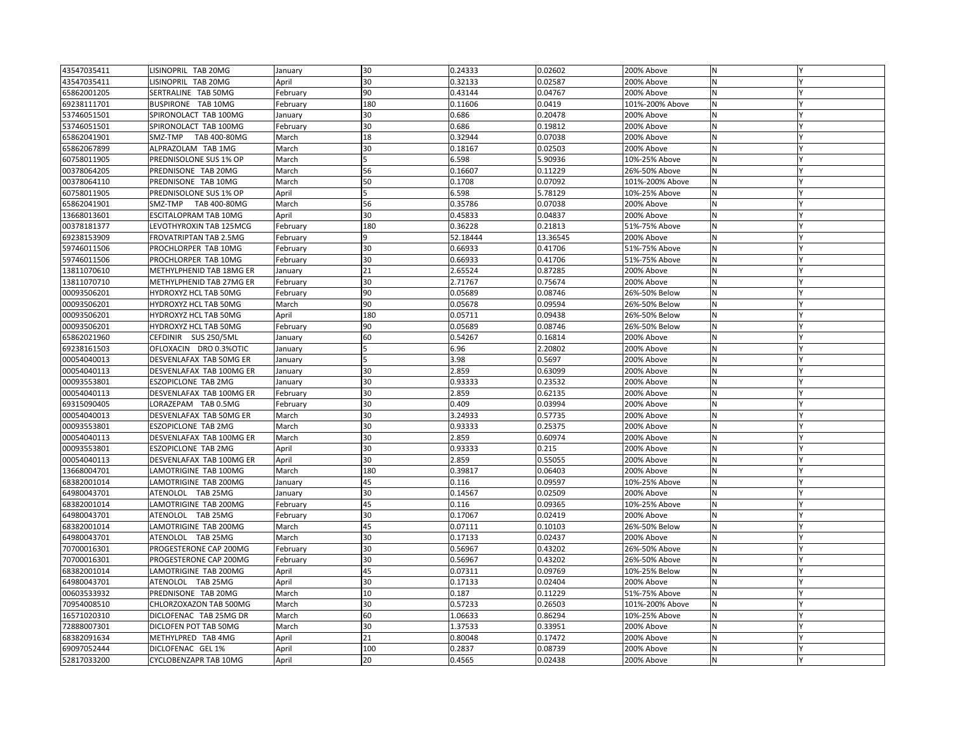| 43547035411 | LISINOPRIL TAB 20MG            | January  | 30  | 0.24333  | 0.02602  | 200% Above      | N |  |
|-------------|--------------------------------|----------|-----|----------|----------|-----------------|---|--|
| 43547035411 | LISINOPRIL TAB 20MG            | April    | 30  | 0.32133  | 0.02587  | 200% Above      | N |  |
| 65862001205 | SERTRALINE TAB 50MG            | February | 90  | 0.43144  | 0.04767  | 200% Above      | N |  |
| 69238111701 | BUSPIRONE TAB 10MG             | February | 180 | 0.11606  | 0.0419   | 101%-200% Above | N |  |
| 53746051501 | SPIRONOLACT TAB 100MG          | January  | 30  | 0.686    | 0.20478  | 200% Above      | N |  |
| 53746051501 | SPIRONOLACT TAB 100MG          | February | 30  | 0.686    | 0.19812  | 200% Above      | N |  |
| 65862041901 | SMZ-TMP<br>TAB 400-80MG        | March    | 18  | 0.32944  | 0.07038  | 200% Above      | N |  |
| 65862067899 | ALPRAZOLAM TAB 1MG             | March    | 30  | 0.18167  | 0.02503  | 200% Above      | N |  |
| 60758011905 | PREDNISOLONE SUS 1% OP         | March    |     | 6.598    | 5.90936  | 10%-25% Above   | N |  |
| 00378064205 | PREDNISONE TAB 20MG            | March    | 56  | 0.16607  | 0.11229  | 26%-50% Above   | N |  |
| 00378064110 | PREDNISONE TAB 10MG            | March    | 50  | 0.1708   | 0.07092  | 101%-200% Above | N |  |
| 60758011905 | PREDNISOLONE SUS 1% OP         | April    |     | 6.598    | 5.78129  | 10%-25% Above   | N |  |
| 65862041901 | SMZ-TMP TAB 400-80MG           | March    | 56  | 0.35786  | 0.07038  | 200% Above      | N |  |
| 13668013601 | ESCITALOPRAM TAB 10MG          | April    | 30  | 0.45833  | 0.04837  | 200% Above      | N |  |
| 00378181377 | LEVOTHYROXIN TAB 125MCG        | February | 180 | 0.36228  | 0.21813  | 51%-75% Above   | N |  |
| 69238153909 | FROVATRIPTAN TAB 2.5MG         | February | q   | 52.18444 | 13.36545 | 200% Above      | N |  |
| 59746011506 | PROCHLORPER TAB 10MG           | February | 30  | 0.66933  | 0.41706  | 51%-75% Above   | N |  |
| 59746011506 | PROCHLORPER TAB 10MG           | February | 30  | 0.66933  | 0.41706  | 51%-75% Above   | N |  |
| 13811070610 | METHYLPHENID TAB 18MG ER       | January  | 21  | 2.65524  | 0.87285  | 200% Above      | N |  |
| 13811070710 | METHYLPHENID TAB 27MG ER       | February | 30  | 2.71767  | 0.75674  | 200% Above      | N |  |
| 00093506201 | HYDROXYZ HCL TAB 50MG          | Februarv | 90  | 0.05689  | 0.08746  | 26%-50% Below   | N |  |
| 00093506201 | HYDROXYZ HCL TAB 50MG          | March    | 90  | 0.05678  | 0.09594  | 26%-50% Below   | N |  |
| 00093506201 | HYDROXYZ HCL TAB 50MG          | April    | 180 | 0.05711  | 0.09438  | 26%-50% Below   | N |  |
| 00093506201 | HYDROXYZ HCL TAB 50MG          | February | 90  | 0.05689  | 0.08746  | 26%-50% Below   | N |  |
| 65862021960 | <b>SUS 250/5ML</b><br>CEFDINIR | January  | 60  | 0.54267  | 0.16814  | 200% Above      |   |  |
| 69238161503 | OFLOXACIN DRO 0.3%OTIC         | January  |     | 6.96     | 2.20802  | 200% Above      | N |  |
| 00054040013 | DESVENLAFAX TAB 50MG ER        | January  |     | 3.98     | 0.5697   | 200% Above      | N |  |
| 00054040113 | DESVENLAFAX TAB 100MG ER       | January  | 30  | 2.859    | 0.63099  | 200% Above      | N |  |
| 00093553801 | ESZOPICLONE TAB 2MG            | January  | 30  | 0.93333  | 0.23532  | 200% Above      | N |  |
| 00054040113 | DESVENLAFAX TAB 100MG ER       | February | 30  | 2.859    | 0.62135  | 200% Above      | N |  |
| 69315090405 | LORAZEPAM TAB 0.5MG            | February | 30  | 0.409    | 0.03994  | 200% Above      | N |  |
| 00054040013 | DESVENLAFAX TAB 50MG ER        | March    | 30  | 3.24933  | 0.57735  | 200% Above      | N |  |
| 00093553801 | ESZOPICLONE TAB 2MG            | March    | 30  | 0.93333  | 0.25375  | 200% Above      | N |  |
| 00054040113 | DESVENLAFAX TAB 100MG ER       | March    | 30  | 2.859    | 0.60974  | 200% Above      | N |  |
| 00093553801 | ESZOPICLONE TAB 2MG            | April    | 30  | 0.93333  | 0.215    | 200% Above      | N |  |
| 00054040113 | DESVENLAFAX TAB 100MG ER       | April    | 30  | 2.859    | 0.55055  | 200% Above      | N |  |
| 13668004701 | LAMOTRIGINE TAB 100MG          | March    | 180 | 0.39817  | 0.06403  | 200% Above      | N |  |
| 68382001014 | LAMOTRIGINE TAB 200MG          | January  | 45  | 0.116    | 0.09597  | 10%-25% Above   | N |  |
| 64980043701 | ATENOLOL TAB 25MG              | January  | 30  | 0.14567  | 0.02509  | 200% Above      | N |  |
| 68382001014 | LAMOTRIGINE TAB 200MG          | February | 45  | 0.116    | 0.09365  | 10%-25% Above   | N |  |
| 64980043701 | ATENOLOL TAB 25MG              | February | 30  | 0.17067  | 0.02419  | 200% Above      | N |  |
| 68382001014 | LAMOTRIGINE TAB 200MG          | March    | 45  | 0.07111  | 0.10103  | 26%-50% Below   |   |  |
| 64980043701 | ATENOLOL<br>TAB 25MG           | March    | 30  | 0.17133  | 0.02437  | 200% Above      | N |  |
| 70700016301 | PROGESTERONE CAP 200MG         | February | 30  | 0.56967  | 0.43202  | 26%-50% Above   | N |  |
| 70700016301 | PROGESTERONE CAP 200MG         | February | 30  | 0.56967  | 0.43202  | 26%-50% Above   |   |  |
| 68382001014 | LAMOTRIGINE TAB 200MG          | April    | 45  | 0.07311  | 0.09769  | 10%-25% Below   |   |  |
| 64980043701 | ATENOLOL<br>TAB 25MG           | April    | 30  | 0.17133  | 0.02404  | 200% Above      | N |  |
| 00603533932 | PREDNISONE TAB 20MG            | March    | 10  | 0.187    | 0.11229  | 51%-75% Above   | Ν |  |
| 70954008510 | CHLORZOXAZON TAB 500MG         | March    | 30  | 0.57233  | 0.26503  | 101%-200% Above | N |  |
| 16571020310 | DICLOFENAC TAB 25MG DR         | March    | 60  | 1.06633  | 0.86294  | 10%-25% Above   | N |  |
| 72888007301 | DICLOFEN POT TAB 50MG          | March    | 30  | 1.37533  | 0.33951  | 200% Above      | N |  |
| 68382091634 | METHYLPRED TAB 4MG             | April    | 21  | 0.80048  | 0.17472  | 200% Above      | Ν |  |
| 69097052444 | DICLOFENAC GEL 1%              | April    | 100 | 0.2837   | 0.08739  | 200% Above      | N |  |
| 52817033200 | CYCLOBENZAPR TAB 10MG          | April    | 20  | 0.4565   | 0.02438  | 200% Above      | N |  |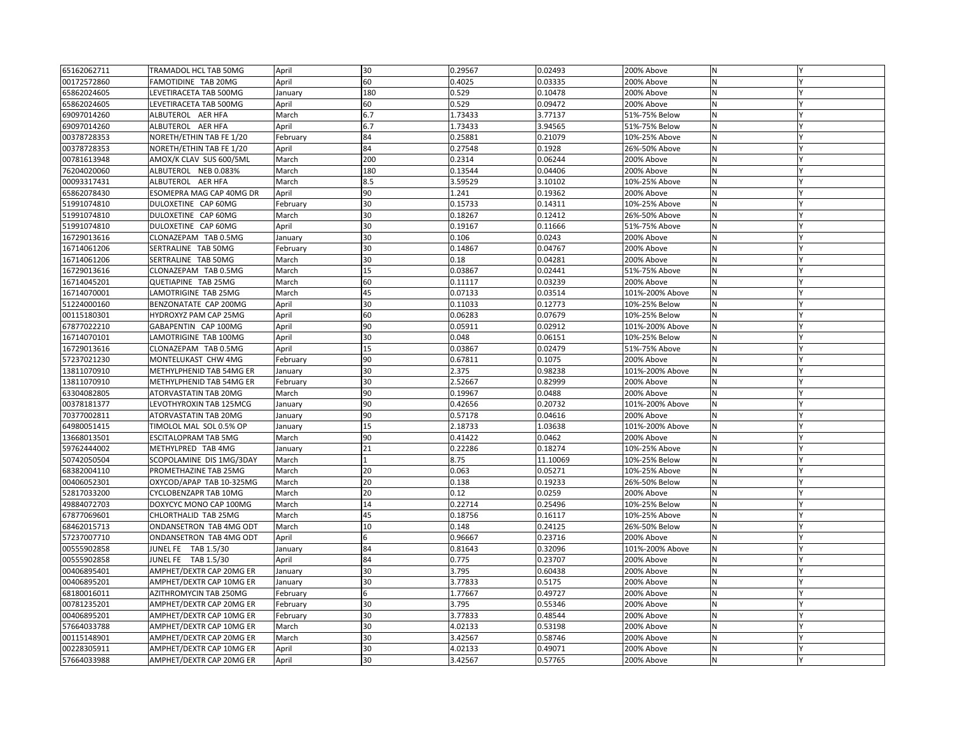| 65162062711 | TRAMADOL HCL TAB 50MG       | April    | 30  | 0.29567 | 0.02493  | 200% Above      | N |  |
|-------------|-----------------------------|----------|-----|---------|----------|-----------------|---|--|
| 00172572860 | FAMOTIDINE TAB 20MG         | April    | 60  | 0.4025  | 0.03335  | 200% Above      | N |  |
| 65862024605 | LEVETIRACETA TAB 500MG      | January  | 180 | 0.529   | 0.10478  | 200% Above      | N |  |
| 65862024605 | LEVETIRACETA TAB 500MG      | April    | 60  | 0.529   | 0.09472  | 200% Above      |   |  |
| 69097014260 | ALBUTEROL AER HFA           | March    | 6.7 | 1.73433 | 3.77137  | 51%-75% Below   | N |  |
| 69097014260 | ALBUTEROL AER HFA           | April    | 6.7 | 1.73433 | 3.94565  | 51%-75% Below   | N |  |
| 00378728353 | NORETH/ETHIN TAB FE 1/20    | February | 84  | 0.25881 | 0.21079  | 10%-25% Above   | N |  |
| 00378728353 | NORETH/ETHIN TAB FE 1/20    | April    | 84  | 0.27548 | 0.1928   | 26%-50% Above   | N |  |
| 00781613948 | AMOX/K CLAV SUS 600/5ML     | March    | 200 | 0.2314  | 0.06244  | 200% Above      | N |  |
| 76204020060 | ALBUTEROL NEB 0.083%        | March    | 180 | 0.13544 | 0.04406  | 200% Above      | N |  |
| 00093317431 | ALBUTEROL AER HFA           | March    | 8.5 | 3.59529 | 3.10102  | 10%-25% Above   | N |  |
| 65862078430 | ESOMEPRA MAG CAP 40MG DR    | April    | 90  | 1.241   | 0.19362  | 200% Above      | N |  |
| 51991074810 | DULOXETINE CAP 60MG         | February | 30  | 0.15733 | 0.14311  | 10%-25% Above   | N |  |
| 51991074810 | DULOXETINE CAP 60MG         | March    | 30  | 0.18267 | 0.12412  | 26%-50% Above   | N |  |
| 51991074810 | DULOXETINE CAP 60MG         | April    | 30  | 0.19167 | 0.11666  | 51%-75% Above   | N |  |
| 16729013616 | CLONAZEPAM TAB 0.5MG        | January  | 30  | 0.106   | 0.0243   | 200% Above      | N |  |
| 16714061206 | SERTRALINE TAB 50MG         | February | 30  | 0.14867 | 0.04767  | 200% Above      | N |  |
| 16714061206 | SERTRALINE TAB 50MG         | March    | 30  | 0.18    | 0.04281  | 200% Above      | N |  |
| 16729013616 | CLONAZEPAM TAB 0.5MG        | March    | 15  | 0.03867 | 0.02441  | 51%-75% Above   | N |  |
| 16714045201 | QUETIAPINE TAB 25MG         | March    | 60  | 0.11117 | 0.03239  | 200% Above      | N |  |
| 16714070001 | LAMOTRIGINE TAB 25MG        | March    | 45  | 0.07133 | 0.03514  | 101%-200% Above |   |  |
| 51224000160 | BENZONATATE CAP 200MG       | April    | 30  | 0.11033 | 0.12773  | 10%-25% Below   | N |  |
| 00115180301 | HYDROXYZ PAM CAP 25MG       | April    | 60  | 0.06283 | 0.07679  | 10%-25% Below   | N |  |
| 67877022210 | GABAPENTIN CAP 100MG        | April    | 90  | 0.05911 | 0.02912  | 101%-200% Above | N |  |
| 16714070101 | LAMOTRIGINE TAB 100MG       | April    | 30  | 0.048   | 0.06151  | 10%-25% Below   |   |  |
| 16729013616 | CLONAZEPAM TAB 0.5MG        | April    | 15  | 0.03867 | 0.02479  | 51%-75% Above   | N |  |
| 57237021230 | MONTELUKAST CHW 4MG         | February | 90  | 0.67811 | 0.1075   | 200% Above      | N |  |
| 13811070910 | METHYLPHENID TAB 54MG ER    | January  | 30  | 2.375   | 0.98238  | 101%-200% Above | N |  |
| 13811070910 | METHYLPHENID TAB 54MG ER    | February | 30  | 2.52667 | 0.82999  | 200% Above      |   |  |
| 63304082805 | ATORVASTATIN TAB 20MG       | March    | 90  | 0.19967 | 0.0488   | 200% Above      | N |  |
| 00378181377 | LEVOTHYROXIN TAB 125MCG     | January  | 90  | 0.42656 | 0.20732  | 101%-200% Above | N |  |
| 70377002811 | ATORVASTATIN TAB 20MG       | January  | 90  | 0.57178 | 0.04616  | 200% Above      |   |  |
| 64980051415 | TIMOLOL MAL SOL 0.5% OP     | January  | 15  | 2.18733 | 1.03638  | 101%-200% Above | N |  |
| 13668013501 | <b>ESCITALOPRAM TAB 5MG</b> | March    | 90  | 0.41422 | 0.0462   | 200% Above      | N |  |
| 59762444002 | METHYLPRED TAB 4MG          | January  | 21  | 0.22286 | 0.18274  | 10%-25% Above   | N |  |
| 50742050504 | SCOPOLAMINE DIS 1MG/3DAY    | March    |     | 8.75    | 11.10069 | 10%-25% Below   | N |  |
| 68382004110 | PROMETHAZINE TAB 25MG       | March    | 20  | 0.063   | 0.05271  | 10%-25% Above   | N |  |
| 00406052301 | OXYCOD/APAP TAB 10-325MG    | March    | 20  | 0.138   | 0.19233  | 26%-50% Below   | N |  |
| 52817033200 | CYCLOBENZAPR TAB 10MG       | March    | 20  | 0.12    | 0.0259   | 200% Above      | N |  |
| 49884072703 | DOXYCYC MONO CAP 100MG      | March    | 14  | 0.22714 | 0.25496  | 10%-25% Below   | N |  |
| 67877069601 | CHLORTHALID TAB 25MG        | March    | 45  | 0.18756 | 0.16117  | 10%-25% Above   | N |  |
| 68462015713 | ONDANSETRON TAB 4MG ODT     | March    | 10  | 0.148   | 0.24125  | 26%-50% Below   | N |  |
| 57237007710 | ONDANSETRON TAB 4MG ODT     | April    |     | 0.96667 | 0.23716  | 200% Above      | N |  |
| 00555902858 | JUNEL FE TAB 1.5/30         | January  | 84  | 0.81643 | 0.32096  | 101%-200% Above | N |  |
| 00555902858 | JUNEL FE TAB 1.5/30         | April    | 84  | 0.775   | 0.23707  | 200% Above      | N |  |
| 00406895401 | AMPHET/DEXTR CAP 20MG ER    | January  | 30  | 3.795   | 0.60438  | 200% Above      |   |  |
| 00406895201 | AMPHET/DEXTR CAP 10MG ER    | January  | 30  | 3.77833 | 0.5175   | 200% Above      | N |  |
| 68180016011 | AZITHROMYCIN TAB 250MG      | February |     | 1.77667 | 0.49727  | 200% Above      | N |  |
| 00781235201 | AMPHET/DEXTR CAP 20MG ER    | February | 30  | 3.795   | 0.55346  | 200% Above      | N |  |
| 00406895201 | AMPHET/DEXTR CAP 10MG ER    | February | 30  | 3.77833 | 0.48544  | 200% Above      |   |  |
| 57664033788 | AMPHET/DEXTR CAP 10MG ER    | March    | 30  | 4.02133 | 0.53198  | 200% Above      | N |  |
| 00115148901 | AMPHET/DEXTR CAP 20MG ER    | March    | 30  | 3.42567 | 0.58746  | 200% Above      | N |  |
| 00228305911 | AMPHET/DEXTR CAP 10MG ER    | April    | 30  | 4.02133 | 0.49071  | 200% Above      | N |  |
| 57664033988 | AMPHET/DEXTR CAP 20MG ER    | April    | 30  | 3.42567 | 0.57765  | 200% Above      | N |  |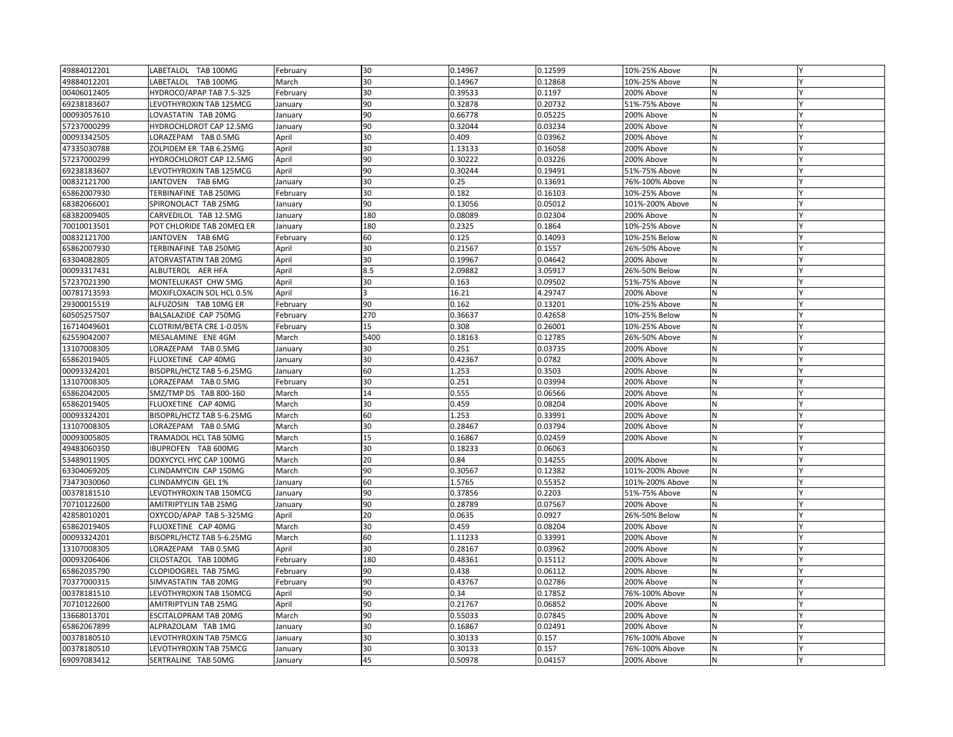| 49884012201 | LABETALOL TAB 100MG       | February | 30   | 0.14967 | 0.12599 | 10%-25% Above   | N |  |
|-------------|---------------------------|----------|------|---------|---------|-----------------|---|--|
| 49884012201 | LABETALOL TAB 100MG       | March    | 30   | 0.14967 | 0.12868 | 10%-25% Above   | N |  |
| 00406012405 | HYDROCO/APAP TAB 7.5-325  | February | 30   | 0.39533 | 0.1197  | 200% Above      | N |  |
| 69238183607 | LEVOTHYROXIN TAB 125MCG   | January  | 90   | 0.32878 | 0.20732 | 51%-75% Above   |   |  |
| 00093057610 | LOVASTATIN TAB 20MG       | January  | 90   | 0.66778 | 0.05225 | 200% Above      | N |  |
| 57237000299 | HYDROCHLOROT CAP 12.5MG   | January  | 90   | 0.32044 | 0.03234 | 200% Above      | N |  |
| 00093342505 | LORAZEPAM TAB 0.5MG       | April    | 30   | 0.409   | 0.03962 | 200% Above      | N |  |
| 47335030788 | ZOLPIDEM ER TAB 6.25MG    | April    | 30   | 1.13133 | 0.16058 | 200% Above      | N |  |
| 57237000299 | HYDROCHLOROT CAP 12.5MG   | April    | 90   | 0.30222 | 0.03226 | 200% Above      | N |  |
| 69238183607 | LEVOTHYROXIN TAB 125MCG   | April    | 90   | 0.30244 | 0.19491 | 51%-75% Above   | N |  |
| 00832121700 | JANTOVEN TAB 6MG          | January  | 30   | 0.25    | 0.13691 | 76%-100% Above  | N |  |
| 65862007930 | TERBINAFINE TAB 250MG     | February | 30   | 0.182   | 0.16103 | 10%-25% Above   | N |  |
| 68382066001 | SPIRONOLACT TAB 25MG      | January  | 90   | 0.13056 | 0.05012 | 101%-200% Above | N |  |
| 68382009405 | CARVEDILOL TAB 12.5MG     | January  | 180  | 0.08089 | 0.02304 | 200% Above      | N |  |
| 70010013501 | POT CHLORIDE TAB 20MEQ ER | January  | 180  | 0.2325  | 0.1864  | 10%-25% Above   | N |  |
| 00832121700 | JANTOVEN TAB 6MG          | February | 60   | 0.125   | 0.14093 | 10%-25% Below   | N |  |
| 65862007930 | TERBINAFINE TAB 250MG     | April    | 30   | 0.21567 | 0.1557  | 26%-50% Above   | N |  |
| 63304082805 | ATORVASTATIN TAB 20MG     | April    | 30   | 0.19967 | 0.04642 | 200% Above      | N |  |
| 00093317431 | ALBUTEROL AER HFA         | April    | 8.5  | 2.09882 | 3.05917 | 26%-50% Below   | N |  |
| 57237021390 | MONTELUKAST CHW 5MG       | April    | 30   | 0.163   | 0.09502 | 51%-75% Above   | N |  |
| 00781713593 | MOXIFLOXACIN SOL HCL 0.5% | April    |      | 16.21   | 4.29747 | 200% Above      |   |  |
| 29300015519 | ALFUZOSIN TAB 10MG ER     | February | 90   | 0.162   | 0.13201 | 10%-25% Above   | N |  |
| 60505257507 | BALSALAZIDE CAP 750MG     | February | 270  | 0.36637 | 0.42658 | 10%-25% Below   | N |  |
| 16714049601 | CLOTRIM/BETA CRE 1-0.05%  | February | 15   | 0.308   | 0.26001 | 10%-25% Above   | N |  |
| 62559042007 | MESALAMINE ENE 4GM        | March    | 5400 | 0.18163 | 0.12785 | 26%-50% Above   |   |  |
| 13107008305 | LORAZEPAM TAB 0.5MG       | January  | 30   | 0.251   | 0.03735 | 200% Above      | N |  |
| 65862019405 | FLUOXETINE CAP 40MG       | January  | 30   | 0.42367 | 0.0782  | 200% Above      | N |  |
| 00093324201 | BISOPRL/HCTZ TAB 5-6.25MG | January  | 60   | 1.253   | 0.3503  | 200% Above      | N |  |
| 13107008305 | LORAZEPAM TAB 0.5MG       | February | 30   | 0.251   | 0.03994 | 200% Above      | N |  |
| 65862042005 | SMZ/TMP DS TAB 800-160    | March    | 14   | 0.555   | 0.06566 | 200% Above      | N |  |
| 65862019405 | FLUOXETINE CAP 40MG       | March    | 30   | 0.459   | 0.08204 | 200% Above      | N |  |
| 00093324201 | BISOPRL/HCTZ TAB 5-6.25MG | March    | 60   | 1.253   | 0.33991 | 200% Above      | N |  |
| 13107008305 | ORAZEPAM TAB 0.5MG        | March    | 30   | 0.28467 | 0.03794 | 200% Above      | N |  |
| 00093005805 | TRAMADOL HCL TAB 50MG     | March    | 15   | 0.16867 | 0.02459 | 200% Above      | N |  |
| 49483060350 | IBUPROFEN TAB 600MG       | March    | 30   | 0.18233 | 0.06063 |                 | N |  |
| 53489011905 | DOXYCYCL HYC CAP 100MG    | March    | 20   | 0.84    | 0.14255 | 200% Above      | N |  |
| 63304069205 | CLINDAMYCIN CAP 150MG     | March    | 90   | 0.30567 | 0.12382 | 101%-200% Above | N |  |
| 73473030060 | CLINDAMYCIN GEL 1%        | January  | 60   | 1.5765  | 0.55352 | 101%-200% Above | N |  |
| 00378181510 | LEVOTHYROXIN TAB 150MCG   | January  | 90   | 0.37856 | 0.2203  | 51%-75% Above   | N |  |
| 70710122600 | AMITRIPTYLIN TAB 25MG     | January  | 90   | 0.28789 | 0.07567 | 200% Above      | N |  |
| 42858010201 | OXYCOD/APAP TAB 5-325MG   | April    | 20   | 0.0635  | 0.0927  | 26%-50% Below   | N |  |
| 65862019405 | FLUOXETINE CAP 40MG       | March    | 30   | 0.459   | 0.08204 | 200% Above      | N |  |
| 00093324201 | BISOPRL/HCTZ TAB 5-6.25MG | March    | 60   | 1.11233 | 0.33991 | 200% Above      | N |  |
| 13107008305 | LORAZEPAM TAB 0.5MG       | April    | 30   | 0.28167 | 0.03962 | 200% Above      | N |  |
| 00093206406 | CILOSTAZOL TAB 100MG      | February | 180  | 0.48361 | 0.15112 | 200% Above      | N |  |
| 65862035790 | CLOPIDOGREL TAB 75MG      | February | 90   | 0.438   | 0.06112 | 200% Above      |   |  |
| 70377000315 | SIMVASTATIN TAB 20MG      | February | 90   | 0.43767 | 0.02786 | 200% Above      | N |  |
| 00378181510 | LEVOTHYROXIN TAB 150MCG   | April    | 90   | 0.34    | 0.17852 | 76%-100% Above  | N |  |
| 70710122600 | AMITRIPTYLIN TAB 25MG     | April    | 90   | 0.21767 | 0.06852 | 200% Above      | N |  |
| 13668013701 | ESCITALOPRAM TAB 20MG     | March    | 90   | 0.55033 | 0.07845 | 200% Above      |   |  |
| 65862067899 | ALPRAZOLAM TAB 1MG        | January  | 30   | 0.16867 | 0.02491 | 200% Above      | N |  |
| 00378180510 | LEVOTHYROXIN TAB 75MCG    | January  | 30   | 0.30133 | 0.157   | 76%-100% Above  | N |  |
| 00378180510 | LEVOTHYROXIN TAB 75MCG    | January  | 30   | 0.30133 | 0.157   | 76%-100% Above  | N |  |
| 69097083412 | SERTRALINE TAB 50MG       | January  | 45   | 0.50978 | 0.04157 | 200% Above      | N |  |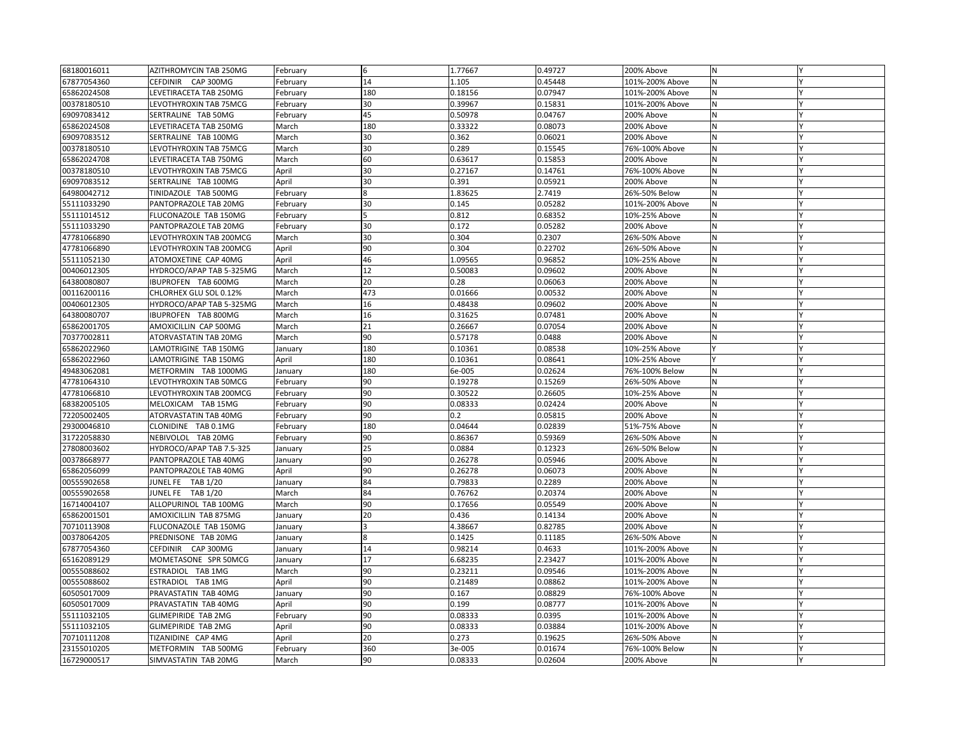| 68180016011 | AZITHROMYCIN TAB 250MG       | February | 6   | 1.77667 | 0.49727 | 200% Above      | N |  |
|-------------|------------------------------|----------|-----|---------|---------|-----------------|---|--|
| 67877054360 | CEFDINIR CAP 300MG           | February | 14  | 1.105   | 0.45448 | 101%-200% Above | N |  |
| 65862024508 | LEVETIRACETA TAB 250MG       | February | 180 | 0.18156 | 0.07947 | 101%-200% Above | N |  |
| 00378180510 | LEVOTHYROXIN TAB 75MCG       | February | 30  | 0.39967 | 0.15831 | 101%-200% Above |   |  |
| 69097083412 | SERTRALINE TAB 50MG          | February | 45  | 0.50978 | 0.04767 | 200% Above      | N |  |
| 65862024508 | LEVETIRACETA TAB 250MG       | March    | 180 | 0.33322 | 0.08073 | 200% Above      |   |  |
| 69097083512 | SERTRALINE TAB 100MG         | March    | 30  | 0.362   | 0.06021 | 200% Above      | N |  |
| 00378180510 | LEVOTHYROXIN TAB 75MCG       | March    | 30  | 0.289   | 0.15545 | 76%-100% Above  |   |  |
| 65862024708 | LEVETIRACETA TAB 750MG       | March    | 60  | 0.63617 | 0.15853 | 200% Above      | N |  |
| 00378180510 | LEVOTHYROXIN TAB 75MCG       | April    | 30  | 0.27167 | 0.14761 | 76%-100% Above  | N |  |
| 69097083512 | SERTRALINE TAB 100MG         | April    | 30  | 0.391   | 0.05921 | 200% Above      | N |  |
| 64980042712 | TINIDAZOLE TAB 500MG         | February |     | 1.83625 | 2.7419  | 26%-50% Below   | N |  |
| 55111033290 | PANTOPRAZOLE TAB 20MG        | February | 30  | 0.145   | 0.05282 | 101%-200% Above | N |  |
| 55111014512 | FLUCONAZOLE TAB 150MG        | February |     | 0.812   | 0.68352 | 10%-25% Above   | N |  |
| 55111033290 | PANTOPRAZOLE TAB 20MG        | February | 30  | 0.172   | 0.05282 | 200% Above      | N |  |
| 47781066890 | LEVOTHYROXIN TAB 200MCG      | March    | 30  | 0.304   | 0.2307  | 26%-50% Above   | N |  |
| 47781066890 | LEVOTHYROXIN TAB 200MCG      | April    | 90  | 0.304   | 0.22702 | 26%-50% Above   | N |  |
| 55111052130 | ATOMOXETINE CAP 40MG         | April    | 46  | 1.09565 | 0.96852 | 10%-25% Above   | N |  |
| 00406012305 | HYDROCO/APAP TAB 5-325MG     | March    | 12  | 0.50083 | 0.09602 | 200% Above      | N |  |
| 64380080807 | IBUPROFEN TAB 600MG          | March    | 20  | 0.28    | 0.06063 | 200% Above      |   |  |
| 00116200116 | CHLORHEX GLU SOL 0.12%       | March    | 473 | 0.01666 | 0.00532 | 200% Above      |   |  |
| 00406012305 | HYDROCO/APAP TAB 5-325MG     | March    | 16  | 0.48438 | 0.09602 | 200% Above      | N |  |
| 64380080707 | IBUPROFEN TAB 800MG          | March    | 16  | 0.31625 | 0.07481 | 200% Above      | N |  |
| 65862001705 | AMOXICILLIN CAP 500MG        | March    | 21  | 0.26667 | 0.07054 | 200% Above      |   |  |
| 70377002811 | <b>ATORVASTATIN TAB 20MG</b> | March    | 90  | 0.57178 | 0.0488  | 200% Above      |   |  |
| 65862022960 | LAMOTRIGINE TAB 150MG        | January  | 180 | 0.10361 | 0.08538 | 10%-25% Above   |   |  |
| 65862022960 | LAMOTRIGINE TAB 150MG        | April    | 180 | 0.10361 | 0.08641 | 10%-25% Above   |   |  |
| 49483062081 | METFORMIN TAB 1000MG         | January  | 180 | 6e-005  | 0.02624 | 76%-100% Below  |   |  |
| 47781064310 | LEVOTHYROXIN TAB 50MCG       | February | 90  | 0.19278 | 0.15269 | 26%-50% Above   | N |  |
| 47781066810 | LEVOTHYROXIN TAB 200MCG      | February | 90  | 0.30522 | 0.26605 | 10%-25% Above   | N |  |
| 68382005105 | MELOXICAM TAB 15MG           | February | 90  | 0.08333 | 0.02424 | 200% Above      | N |  |
| 72205002405 | ATORVASTATIN TAB 40MG        | February | 90  | 0.2     | 0.05815 | 200% Above      |   |  |
| 29300046810 | CLONIDINE TAB 0.1MG          | February | 180 | 0.04644 | 0.02839 | 51%-75% Above   | N |  |
| 31722058830 | NEBIVOLOL TAB 20MG           | February | 90  | 0.86367 | 0.59369 | 26%-50% Above   | N |  |
| 27808003602 | HYDROCO/APAP TAB 7.5-325     | January  | 25  | 0.0884  | 0.12323 | 26%-50% Below   | N |  |
| 00378668977 | PANTOPRAZOLE TAB 40MG        | January  | 90  | 0.26278 | 0.05946 | 200% Above      | N |  |
| 65862056099 | PANTOPRAZOLE TAB 40MG        | April    | 90  | 0.26278 | 0.06073 | 200% Above      | N |  |
| 00555902658 | JUNEL FE TAB 1/20            | January  | 84  | 0.79833 | 0.2289  | 200% Above      | N |  |
| 00555902658 | JUNEL FE TAB 1/20            | March    | 84  | 0.76762 | 0.20374 | 200% Above      | N |  |
| 16714004107 | ALLOPURINOL TAB 100MG        | March    | 90  | 0.17656 | 0.05549 | 200% Above      | N |  |
| 65862001501 | AMOXICILLIN TAB 875MG        | January  | 20  | 0.436   | 0.14134 | 200% Above      | N |  |
| 70710113908 | FLUCONAZOLE TAB 150MG        | January  |     | 4.38667 | 0.82785 | 200% Above      | N |  |
| 00378064205 | PREDNISONE TAB 20MG          | January  |     | 0.1425  | 0.11185 | 26%-50% Above   | N |  |
| 67877054360 | CEFDINIR CAP 300MG           | January  | 14  | 0.98214 | 0.4633  | 101%-200% Above | N |  |
| 65162089129 | MOMETASONE SPR 50MCG         | January  | 17  | 6.68235 | 2.23427 | 101%-200% Above | N |  |
| 00555088602 | ESTRADIOL<br>TAB 1MG         | March    | 90  | 0.23211 | 0.09546 | 101%-200% Above | N |  |
| 00555088602 | ESTRADIOL TAB 1MG            | April    | 90  | 0.21489 | 0.08862 | 101%-200% Above | N |  |
| 60505017009 | PRAVASTATIN TAB 40MG         | January  | 90  | 0.167   | 0.08829 | 76%-100% Above  | N |  |
| 60505017009 | PRAVASTATIN TAB 40MG         | April    | 90  | 0.199   | 0.08777 | 101%-200% Above | N |  |
| 55111032105 | <b>GLIMEPIRIDE TAB 2MG</b>   | February | 90  | 0.08333 | 0.0395  | 101%-200% Above | N |  |
| 55111032105 | <b>GLIMEPIRIDE TAB 2MG</b>   | April    | 90  | 0.08333 | 0.03884 | 101%-200% Above | N |  |
| 70710111208 | TIZANIDINE CAP 4MG           | April    | 20  | 0.273   | 0.19625 | 26%-50% Above   | N |  |
| 23155010205 | METFORMIN TAB 500MG          | February | 360 | 3e-005  | 0.01674 | 76%-100% Below  | N |  |
| 16729000517 | SIMVASTATIN TAB 20MG         | March    | 90  | 0.08333 | 0.02604 | 200% Above      | N |  |
|             |                              |          |     |         |         |                 |   |  |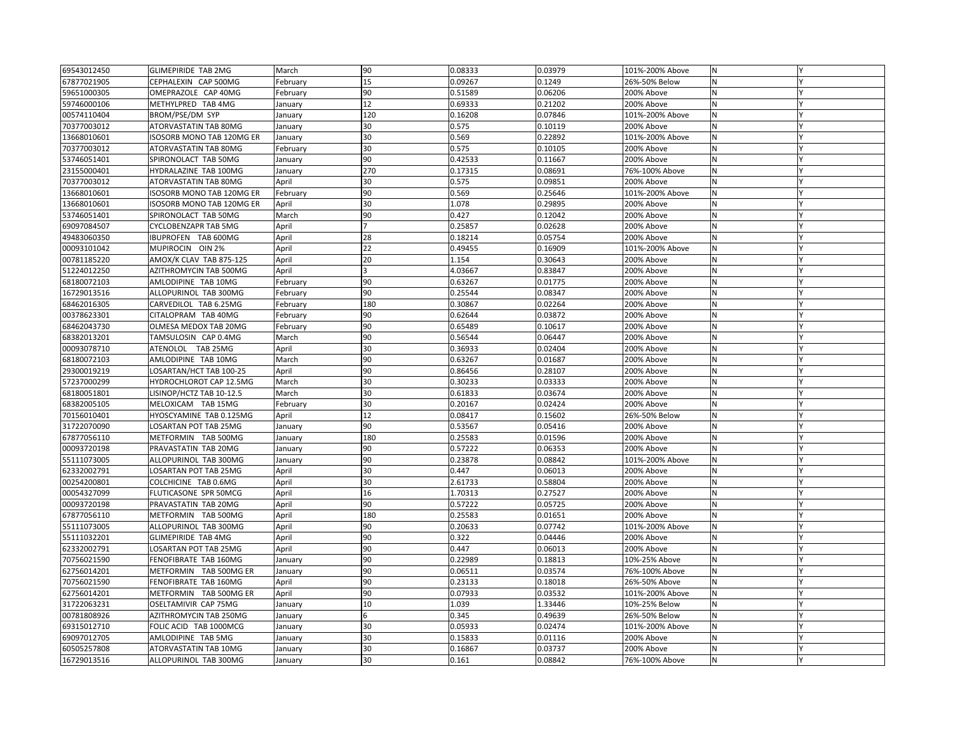| 69543012450 | GLIMEPIRIDE TAB 2MG          | March    | 90  | 0.08333 | 0.03979 | 101%-200% Above | N |  |
|-------------|------------------------------|----------|-----|---------|---------|-----------------|---|--|
| 67877021905 | CEPHALEXIN CAP 500MG         | February | 15  | 0.09267 | 0.1249  | 26%-50% Below   | N |  |
| 59651000305 | OMEPRAZOLE CAP 40MG          | February | 90  | 0.51589 | 0.06206 | 200% Above      | N |  |
| 59746000106 | METHYLPRED TAB 4MG           | January  | 12  | 0.69333 | 0.21202 | 200% Above      | N |  |
| 00574110404 | BROM/PSE/DM SYP              | January  | 120 | 0.16208 | 0.07846 | 101%-200% Above | N |  |
| 70377003012 | ATORVASTATIN TAB 80MG        | January  | 30  | 0.575   | 0.10119 | 200% Above      | N |  |
| 13668010601 | ISOSORB MONO TAB 120MG ER    | January  | 30  | 0.569   | 0.22892 | 101%-200% Above | N |  |
| 70377003012 | ATORVASTATIN TAB 80MG        | February | 30  | 0.575   | 0.10105 | 200% Above      | N |  |
| 53746051401 | SPIRONOLACT TAB 50MG         | January  | 90  | 0.42533 | 0.11667 | 200% Above      | N |  |
| 23155000401 | HYDRALAZINE TAB 100MG        | January  | 270 | 0.17315 | 0.08691 | 76%-100% Above  | N |  |
| 70377003012 | ATORVASTATIN TAB 80MG        | April    | 30  | 0.575   | 0.09851 | 200% Above      | N |  |
| 13668010601 | ISOSORB MONO TAB 120MG ER    | February | 90  | 0.569   | 0.25646 | 101%-200% Above | N |  |
| 13668010601 | ISOSORB MONO TAB 120MG ER    | April    | 30  | 1.078   | 0.29895 | 200% Above      | Ń |  |
| 53746051401 | SPIRONOLACT TAB 50MG         | March    | 90  | 0.427   | 0.12042 | 200% Above      | N |  |
| 69097084507 | <b>CYCLOBENZAPR TAB 5MG</b>  | April    |     | 0.25857 | 0.02628 | 200% Above      | N |  |
| 49483060350 | IBUPROFEN TAB 600MG          | April    | 28  | 0.18214 | 0.05754 | 200% Above      | N |  |
| 00093101042 | MUPIROCIN OIN 2%             | April    | 22  | 0.49455 | 0.16909 | 101%-200% Above |   |  |
| 00781185220 | AMOX/K CLAV TAB 875-125      | April    | 20  | 1.154   | 0.30643 | 200% Above      | N |  |
| 51224012250 | AZITHROMYCIN TAB 500MG       | April    |     | 4.03667 | 0.83847 | 200% Above      | N |  |
| 68180072103 | AMLODIPINE TAB 10MG          | February | 90  | 0.63267 | 0.01775 | 200% Above      | N |  |
| 16729013516 | ALLOPURINOL TAB 300MG        | February | 90  | 0.25544 | 0.08347 | 200% Above      | N |  |
| 68462016305 | CARVEDILOL TAB 6.25MG        | February | 180 | 0.30867 | 0.02264 | 200% Above      | N |  |
| 00378623301 | CITALOPRAM TAB 40MG          | February | 90  | 0.62644 | 0.03872 | 200% Above      | N |  |
| 68462043730 | OLMESA MEDOX TAB 20MG        | February | 90  | 0.65489 | 0.10617 | 200% Above      | N |  |
| 68382013201 | TAMSULOSIN CAP 0.4MG         | March    | 90  | 0.56544 | 0.06447 | 200% Above      | N |  |
| 00093078710 | ATENOLOL TAB 25MG            | April    | 30  | 0.36933 | 0.02404 | 200% Above      | N |  |
| 68180072103 | AMLODIPINE TAB 10MG          | March    | 90  | 0.63267 | 0.01687 | 200% Above      | N |  |
| 29300019219 | LOSARTAN/HCT TAB 100-25      | April    | 90  | 0.86456 | 0.28107 | 200% Above      | N |  |
| 57237000299 | HYDROCHLOROT CAP 12.5MG      | March    | 30  | 0.30233 | 0.03333 | 200% Above      | N |  |
| 68180051801 | LISINOP/HCTZ TAB 10-12.5     | March    | 30  | 0.61833 | 0.03674 | 200% Above      | N |  |
| 68382005105 | MELOXICAM TAB 15MG           | February | 30  | 0.20167 | 0.02424 | 200% Above      | N |  |
| 70156010401 | HYOSCYAMINE TAB 0.125MG      | April    | 12  | 0.08417 | 0.15602 | 26%-50% Below   | N |  |
| 31722070090 | LOSARTAN POT TAB 25MG        | January  | 90  | 0.53567 | 0.05416 | 200% Above      | N |  |
| 67877056110 | METFORMIN TAB 500MG          | January  | 180 | 0.25583 | 0.01596 | 200% Above      | N |  |
| 00093720198 | PRAVASTATIN TAB 20MG         | January  | 90  | 0.57222 | 0.06353 | 200% Above      | N |  |
| 55111073005 | ALLOPURINOL TAB 300MG        | January  | 90  | 0.23878 | 0.08842 | 101%-200% Above | N |  |
| 62332002791 | LOSARTAN POT TAB 25MG        | April    | 30  | 0.447   | 0.06013 | 200% Above      |   |  |
| 00254200801 | COLCHICINE TAB 0.6MG         | April    | 30  | 2.61733 | 0.58804 | 200% Above      | N |  |
| 00054327099 | FLUTICASONE SPR 50MCG        | April    | 16  | 1.70313 | 0.27527 | 200% Above      | N |  |
| 00093720198 | PRAVASTATIN TAB 20MG         | April    | 90  | 0.57222 | 0.05725 | 200% Above      | N |  |
| 67877056110 | METFORMIN TAB 500MG          | April    | 180 | 0.25583 | 0.01651 | 200% Above      | N |  |
| 55111073005 | ALLOPURINOL TAB 300MG        | April    | 90  | 0.20633 | 0.07742 | 101%-200% Above | N |  |
| 55111032201 | <b>GLIMEPIRIDE TAB 4MG</b>   | April    | 90  | 0.322   | 0.04446 | 200% Above      | N |  |
| 62332002791 | <b>LOSARTAN POT TAB 25MG</b> | April    | 90  | 0.447   | 0.06013 | 200% Above      | N |  |
| 70756021590 | FENOFIBRATE TAB 160MG        | January  | 90  | 0.22989 | 0.18813 | 10%-25% Above   | N |  |
| 62756014201 | METFORMIN TAB 500MG ER       | January  | 90  | 0.06511 | 0.03574 | 76%-100% Above  | N |  |
| 70756021590 | FENOFIBRATE TAB 160MG        | April    | 90  | 0.23133 | 0.18018 | 26%-50% Above   | Ń |  |
| 62756014201 | METFORMIN TAB 500MG ER       | April    | 90  | 0.07933 | 0.03532 | 101%-200% Above | N |  |
| 31722063231 | OSELTAMIVIR CAP 75MG         | January  | 10  | 1.039   | 1.33446 | 10%-25% Below   | N |  |
| 00781808926 | AZITHROMYCIN TAB 250MG       | January  | 6   | 0.345   | 0.49639 | 26%-50% Below   | N |  |
| 69315012710 | FOLIC ACID TAB 1000MCG       | January  | 30  | 0.05933 | 0.02474 | 101%-200% Above | N |  |
| 69097012705 | AMLODIPINE TAB 5MG           | January  | 30  | 0.15833 | 0.01116 | 200% Above      | N |  |
| 60505257808 | ATORVASTATIN TAB 10MG        | January  | 30  | 0.16867 | 0.03737 | 200% Above      | N |  |
| 16729013516 | ALLOPURINOL TAB 300MG        | January  | 30  | 0.161   | 0.08842 | 76%-100% Above  | N |  |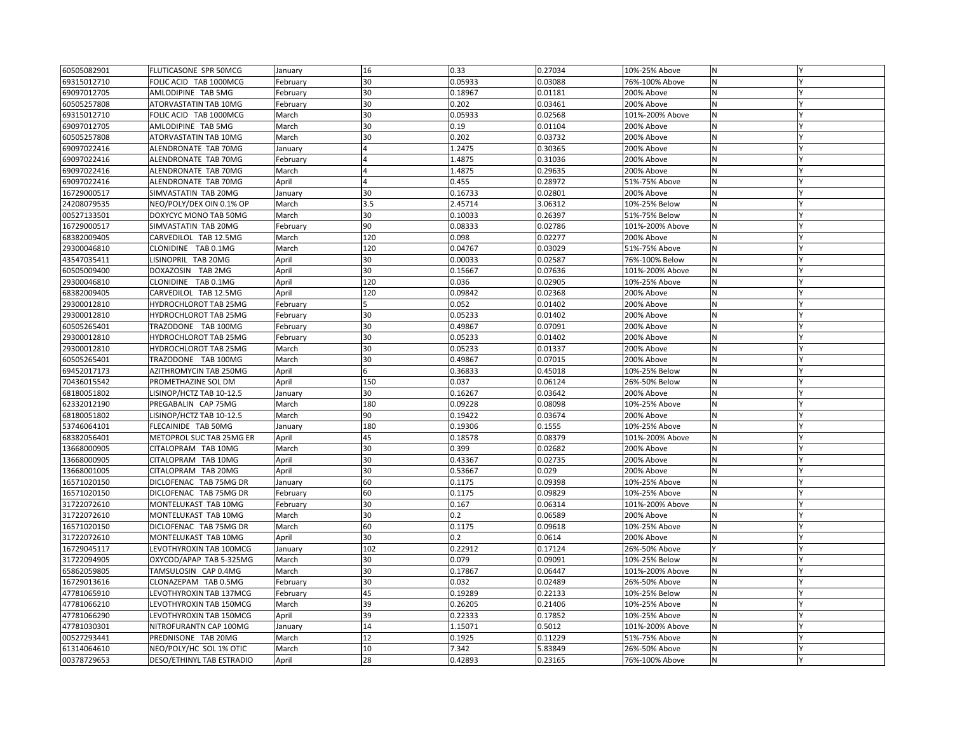| 60505082901 | FLUTICASONE SPR 50MCG            | January  | 16  | 0.33    | 0.27034 | 10%-25% Above   | N |  |
|-------------|----------------------------------|----------|-----|---------|---------|-----------------|---|--|
| 69315012710 | FOLIC ACID TAB 1000MCG           | February | 30  | 0.05933 | 0.03088 | 76%-100% Above  | N |  |
| 69097012705 | AMLODIPINE TAB 5MG               | February | 30  | 0.18967 | 0.01181 | 200% Above      | N |  |
| 60505257808 | ATORVASTATIN TAB 10MG            | February | 30  | 0.202   | 0.03461 | 200% Above      |   |  |
| 69315012710 | FOLIC ACID TAB 1000MCG           | March    | 30  | 0.05933 | 0.02568 | 101%-200% Above | N |  |
| 69097012705 | AMLODIPINE TAB 5MG               | March    | 30  | 0.19    | 0.01104 | 200% Above      |   |  |
| 60505257808 | ATORVASTATIN TAB 10MG            | March    | 30  | 0.202   | 0.03732 | 200% Above      | N |  |
| 69097022416 | ALENDRONATE TAB 70MG             | January  |     | 1.2475  | 0.30365 | 200% Above      | N |  |
| 69097022416 | ALENDRONATE TAB 70MG             | February |     | 1.4875  | 0.31036 | 200% Above      | N |  |
| 69097022416 | ALENDRONATE TAB 70MG             | March    |     | 1.4875  | 0.29635 | 200% Above      | N |  |
| 69097022416 | ALENDRONATE TAB 70MG             | April    |     | 0.455   | 0.28972 | 51%-75% Above   | N |  |
| 16729000517 | SIMVASTATIN TAB 20MG             | January  | 30  | 0.16733 | 0.02801 | 200% Above      | N |  |
| 24208079535 | NEO/POLY/DEX OIN 0.1% OP         | March    | 3.5 | 2.45714 | 3.06312 | 10%-25% Below   | N |  |
| 00527133501 | DOXYCYC MONO TAB 50MG            | March    | 30  | 0.10033 | 0.26397 | 51%-75% Below   | N |  |
| 16729000517 | SIMVASTATIN TAB 20MG             | February | 90  | 0.08333 | 0.02786 | 101%-200% Above | N |  |
| 68382009405 | CARVEDILOL TAB 12.5MG            | March    | 120 | 0.098   | 0.02277 | 200% Above      | N |  |
| 29300046810 | CLONIDINE TAB 0.1MG              | March    | 120 | 0.04767 | 0.03029 | 51%-75% Above   | N |  |
| 43547035411 | LISINOPRIL TAB 20MG              | April    | 30  | 0.00033 | 0.02587 | 76%-100% Below  | N |  |
| 60505009400 | DOXAZOSIN TAB 2MG                | April    | 30  | 0.15667 | 0.07636 | 101%-200% Above | N |  |
| 29300046810 | CLONIDINE TAB 0.1MG              | April    | 120 | 0.036   | 0.02905 | 10%-25% Above   |   |  |
| 68382009405 | CARVEDILOL TAB 12.5MG            | April    | 120 | 0.09842 | 0.02368 | 200% Above      |   |  |
| 29300012810 | HYDROCHLOROT TAB 25MG            | February |     | 0.052   | 0.01402 | 200% Above      | N |  |
| 29300012810 | <b>HYDROCHLOROT TAB 25MG</b>     | February | 30  | 0.05233 | 0.01402 | 200% Above      | N |  |
| 60505265401 | TRAZODONE TAB 100MG              | February | 30  | 0.49867 | 0.07091 | 200% Above      | N |  |
| 29300012810 | <b>HYDROCHLOROT TAB 25MG</b>     | February | 30  | 0.05233 | 0.01402 | 200% Above      | N |  |
| 29300012810 | <b>HYDROCHLOROT TAB 25MG</b>     | March    | 30  | 0.05233 | 0.01337 | 200% Above      | N |  |
| 60505265401 | TRAZODONE TAB 100MG              | March    | 30  | 0.49867 | 0.07015 | 200% Above      | N |  |
| 69452017173 | AZITHROMYCIN TAB 250MG           | April    | 6   | 0.36833 | 0.45018 | 10%-25% Below   | N |  |
| 70436015542 | PROMETHAZINE SOL DM              | April    | 150 | 0.037   | 0.06124 | 26%-50% Below   | N |  |
| 68180051802 | LISINOP/HCTZ TAB 10-12.5         | January  | 30  | 0.16267 | 0.03642 | 200% Above      | N |  |
| 62332012190 | PREGABALIN CAP 75MG              | March    | 180 | 0.09228 | 0.08098 | 10%-25% Above   | N |  |
| 68180051802 | LISINOP/HCTZ TAB 10-12.5         | March    | 90  | 0.19422 | 0.03674 | 200% Above      |   |  |
| 53746064101 | FLECAINIDE TAB 50MG              | January  | 180 | 0.19306 | 0.1555  | 10%-25% Above   | N |  |
| 68382056401 | METOPROL SUC TAB 25MG ER         | April    | 45  | 0.18578 | 0.08379 | 101%-200% Above | N |  |
| 13668000905 | CITALOPRAM TAB 10MG              | March    | 30  | 0.399   | 0.02682 | 200% Above      | N |  |
| 13668000905 | CITALOPRAM TAB 10MG              | April    | 30  | 0.43367 | 0.02735 | 200% Above      | N |  |
| 13668001005 | CITALOPRAM TAB 20MG              | April    | 30  | 0.53667 | 0.029   | 200% Above      | N |  |
| 16571020150 | DICLOFENAC TAB 75MG DR           | January  | 60  | 0.1175  | 0.09398 | 10%-25% Above   | N |  |
| 16571020150 | DICLOFENAC TAB 75MG DR           | February | 60  | 0.1175  | 0.09829 | 10%-25% Above   | N |  |
| 31722072610 | MONTELUKAST TAB 10MG             | February | 30  | 0.167   | 0.06314 | 101%-200% Above | N |  |
| 31722072610 | MONTELUKAST TAB 10MG             | March    | 30  | 0.2     | 0.06589 | 200% Above      | N |  |
| 16571020150 | DICLOFENAC TAB 75MG DR           | March    | 60  | 0.1175  | 0.09618 | 10%-25% Above   | N |  |
| 31722072610 | MONTELUKAST TAB 10MG             | April    | 30  | 0.2     | 0.0614  | 200% Above      | N |  |
| 16729045117 | LEVOTHYROXIN TAB 100MCG          | January  | 102 | 0.22912 | 0.17124 | 26%-50% Above   |   |  |
| 31722094905 | OXYCOD/APAP TAB 5-325MG          | March    | 30  | 0.079   | 0.09091 | 10%-25% Below   |   |  |
| 65862059805 | TAMSULOSIN CAP 0.4MG             | March    | 30  | 0.17867 | 0.06447 | 101%-200% Above |   |  |
| 16729013616 | CLONAZEPAM TAB 0.5MG             | February | 30  | 0.032   | 0.02489 | 26%-50% Above   | N |  |
| 47781065910 | LEVOTHYROXIN TAB 137MCG          | February | 45  | 0.19289 | 0.22133 | 10%-25% Below   | N |  |
| 47781066210 | LEVOTHYROXIN TAB 150MCG          | March    | 39  | 0.26205 | 0.21406 | 10%-25% Above   | N |  |
| 47781066290 | LEVOTHYROXIN TAB 150MCG          | April    | 39  | 0.22333 | 0.17852 | 10%-25% Above   | N |  |
| 47781030301 | NITROFURANTN CAP 100MG           | January  | 14  | 1.15071 | 0.5012  | 101%-200% Above | N |  |
| 00527293441 | PREDNISONE TAB 20MG              | March    | 12  | 0.1925  | 0.11229 | 51%-75% Above   | N |  |
| 61314064610 | NEO/POLY/HC SOL 1% OTIC          | March    | 10  | 7.342   | 5.83849 | 26%-50% Above   | N |  |
| 00378729653 | <b>DESO/ETHINYL TAB ESTRADIO</b> | April    | 28  | 0.42893 | 0.23165 | 76%-100% Above  | N |  |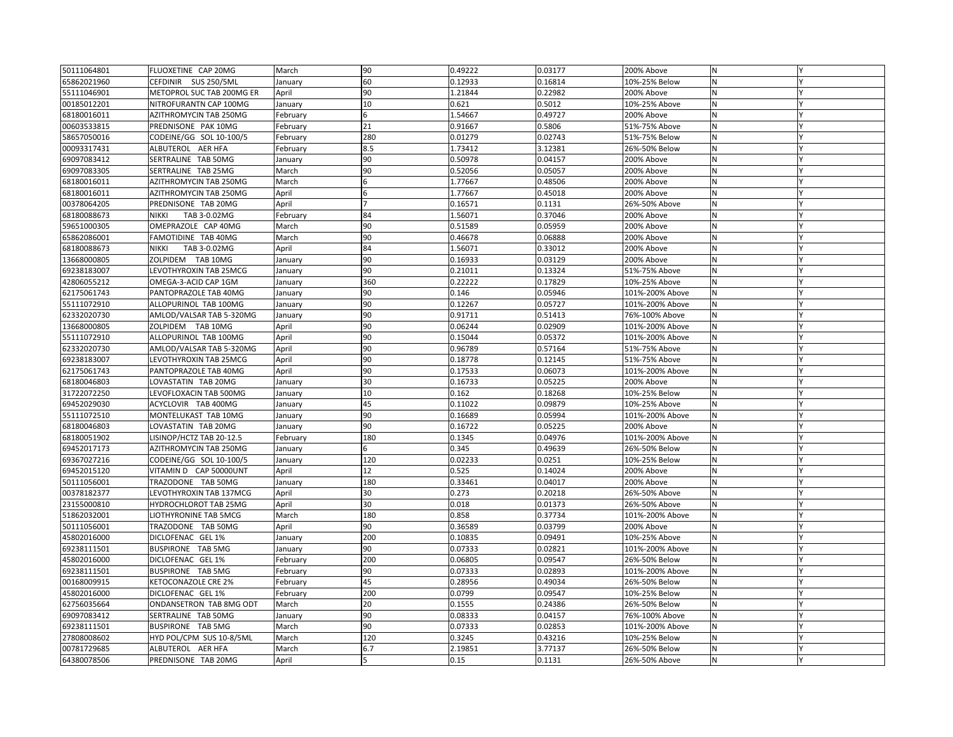| 50111064801 | FLUOXETINE CAP 20MG       | March    | 90  | 0.49222 | 0.03177 | 200% Above      | N |  |
|-------------|---------------------------|----------|-----|---------|---------|-----------------|---|--|
| 65862021960 | CEFDINIR SUS 250/5ML      | January  | 60  | 0.12933 | 0.16814 | 10%-25% Below   | N |  |
| 55111046901 | METOPROL SUC TAB 200MG ER | April    | 90  | 1.21844 | 0.22982 | 200% Above      |   |  |
| 00185012201 | NITROFURANTN CAP 100MG    | January  | 10  | 0.621   | 0.5012  | 10%-25% Above   | N |  |
| 68180016011 | AZITHROMYCIN TAB 250MG    | February | 6   | 1.54667 | 0.49727 | 200% Above      | N |  |
| 00603533815 | PREDNISONE PAK 10MG       | February | 21  | 0.91667 | 0.5806  | 51%-75% Above   | N |  |
| 58657050016 | CODEINE/GG SOL 10-100/5   | February | 280 | 0.01279 | 0.02743 | 51%-75% Below   | N |  |
| 00093317431 | ALBUTEROL AER HFA         | February | 8.5 | 1.73412 | 3.12381 | 26%-50% Below   | N |  |
| 69097083412 | SERTRALINE TAB 50MG       | January  | 90  | 0.50978 | 0.04157 | 200% Above      | N |  |
| 69097083305 | SERTRALINE TAB 25MG       | March    | 90  | 0.52056 | 0.05057 | 200% Above      | N |  |
| 68180016011 | AZITHROMYCIN TAB 250MG    | March    |     | 1.77667 | 0.48506 | 200% Above      | N |  |
| 68180016011 | AZITHROMYCIN TAB 250MG    | April    |     | 1.77667 | 0.45018 | 200% Above      | N |  |
| 00378064205 | PREDNISONE TAB 20MG       | April    |     | 0.16571 | 0.1131  | 26%-50% Above   | N |  |
| 68180088673 | NIKKI<br>TAB 3-0.02MG     | February | 84  | 1.56071 | 0.37046 | 200% Above      | N |  |
| 59651000305 | OMEPRAZOLE CAP 40MG       | March    | 90  | 0.51589 | 0.05959 | 200% Above      | Ν |  |
| 65862086001 | FAMOTIDINE TAB 40MG       | March    | 90  | 0.46678 | 0.06888 | 200% Above      | N |  |
| 68180088673 | NIKKI<br>TAB 3-0.02MG     | April    | 84  | 1.56071 | 0.33012 | 200% Above      |   |  |
| 13668000805 | ZOLPIDEM TAB 10MG         | January  | 90  | 0.16933 | 0.03129 | 200% Above      | N |  |
| 69238183007 | LEVOTHYROXIN TAB 25MCG    | January  | 90  | 0.21011 | 0.13324 | 51%-75% Above   | N |  |
| 42806055212 | OMEGA-3-ACID CAP 1GM      | January  | 360 | 0.22222 | 0.17829 | 10%-25% Above   | N |  |
| 62175061743 | PANTOPRAZOLE TAB 40MG     | January  | 90  | 0.146   | 0.05946 | 101%-200% Above | N |  |
| 55111072910 | ALLOPURINOL TAB 100MG     | January  | 90  | 0.12267 | 0.05727 | 101%-200% Above | N |  |
| 62332020730 | AMLOD/VALSAR TAB 5-320MG  | January  | 90  | 0.91711 | 0.51413 | 76%-100% Above  | N |  |
| 13668000805 | ZOLPIDEM TAB 10MG         | April    | 90  | 0.06244 | 0.02909 | 101%-200% Above | N |  |
| 55111072910 | ALLOPURINOL TAB 100MG     | April    | 90  | 0.15044 | 0.05372 | 101%-200% Above | N |  |
| 62332020730 | AMLOD/VALSAR TAB 5-320MG  | April    | 90  | 0.96789 | 0.57164 | 51%-75% Above   | N |  |
| 69238183007 | LEVOTHYROXIN TAB 25MCG    | April    | 90  | 0.18778 | 0.12145 | 51%-75% Above   | N |  |
| 62175061743 | PANTOPRAZOLE TAB 40MG     | April    | 90  | 0.17533 | 0.06073 | 101%-200% Above | N |  |
| 68180046803 | LOVASTATIN TAB 20MG       | January  | 30  | 0.16733 | 0.05225 | 200% Above      | N |  |
| 31722072250 | LEVOFLOXACIN TAB 500MG    | January  | 10  | 0.162   | 0.18268 | 10%-25% Below   | N |  |
| 69452029030 | ACYCLOVIR TAB 400MG       | January  | 45  | 0.11022 | 0.09879 | 10%-25% Above   | N |  |
| 55111072510 | MONTELUKAST TAB 10MG      | January  | 90  | 0.16689 | 0.05994 | 101%-200% Above | Ν |  |
| 68180046803 | LOVASTATIN TAB 20MG       | January  | 90  | 0.16722 | 0.05225 | 200% Above      | N |  |
| 68180051902 | LISINOP/HCTZ TAB 20-12.5  | February | 180 | 0.1345  | 0.04976 | 101%-200% Above |   |  |
| 69452017173 | AZITHROMYCIN TAB 250MG    | January  | 6   | 0.345   | 0.49639 | 26%-50% Below   | N |  |
| 69367027216 | CODEINE/GG SOL 10-100/5   | January  | 120 | 0.02233 | 0.0251  | 10%-25% Below   | N |  |
| 69452015120 | VITAMIN D CAP 50000UNT    | April    | 12  | 0.525   | 0.14024 | 200% Above      |   |  |
| 50111056001 | TRAZODONE TAB 50MG        | January  | 180 | 0.33461 | 0.04017 | 200% Above      |   |  |
| 00378182377 | LEVOTHYROXIN TAB 137MCG   | April    | 30  | 0.273   | 0.20218 | 26%-50% Above   | N |  |
| 23155000810 | HYDROCHLOROT TAB 25MG     | April    | 30  | 0.018   | 0.01373 | 26%-50% Above   | N |  |
| 51862032001 | LIOTHYRONINE TAB 5MCG     | March    | 180 | 0.858   | 0.37734 | 101%-200% Above | N |  |
| 50111056001 | TRAZODONE TAB 50MG        | April    | 90  | 0.36589 | 0.03799 | 200% Above      | N |  |
| 45802016000 | DICLOFENAC GEL 1%         | January  | 200 | 0.10835 | 0.09491 | 10%-25% Above   | N |  |
| 69238111501 | BUSPIRONE TAB 5MG         | January  | 90  | 0.07333 | 0.02821 | 101%-200% Above | N |  |
| 45802016000 | DICLOFENAC GEL 1%         | February | 200 | 0.06805 | 0.09547 | 26%-50% Below   | N |  |
| 69238111501 | BUSPIRONE TAB 5MG         | February | 90  | 0.07333 | 0.02893 | 101%-200% Above | N |  |
| 00168009915 | KETOCONAZOLE CRE 2%       | February | 45  | 0.28956 | 0.49034 | 26%-50% Below   | N |  |
| 45802016000 | DICLOFENAC GEL 1%         | February | 200 | 0.0799  | 0.09547 | 10%-25% Below   | N |  |
| 62756035664 | ONDANSETRON TAB 8MG ODT   | March    | 20  | 0.1555  | 0.24386 | 26%-50% Below   | Ν |  |
| 69097083412 | SERTRALINE TAB 50MG       | January  | 90  | 0.08333 | 0.04157 | 76%-100% Above  | N |  |
| 69238111501 | BUSPIRONE TAB 5MG         | March    | 90  | 0.07333 | 0.02853 | 101%-200% Above | И |  |
| 27808008602 | HYD POL/CPM SUS 10-8/5ML  | March    | 120 | 0.3245  | 0.43216 | 10%-25% Below   | N |  |
| 00781729685 | ALBUTEROL AER HFA         | March    | 6.7 | 2.19851 | 3.77137 | 26%-50% Below   | N |  |
| 64380078506 | PREDNISONE TAB 20MG       | April    |     | 0.15    | 0.1131  | 26%-50% Above   | N |  |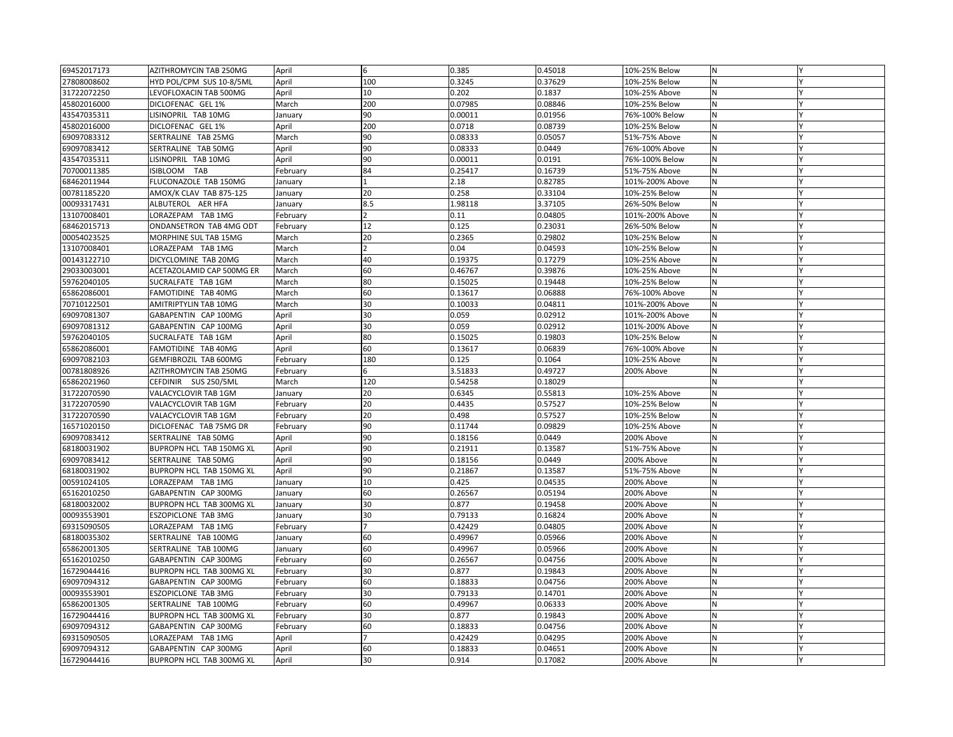| 69452017173 | AZITHROMYCIN TAB 250MG          | April    | հ   | 0.385   | 0.45018 | 10%-25% Below   | N |  |
|-------------|---------------------------------|----------|-----|---------|---------|-----------------|---|--|
| 27808008602 | HYD POL/CPM SUS 10-8/5ML        | April    | 100 | 0.3245  | 0.37629 | 10%-25% Below   | N |  |
| 31722072250 | LEVOFLOXACIN TAB 500MG          | April    | 10  | 0.202   | 0.1837  | 10%-25% Above   | N |  |
| 45802016000 | DICLOFENAC GEL 1%               | March    | 200 | 0.07985 | 0.08846 | 10%-25% Below   |   |  |
| 43547035311 | LISINOPRIL TAB 10MG             | January  | 90  | 0.00011 | 0.01956 | 76%-100% Below  | N |  |
| 45802016000 | DICLOFENAC GEL 1%               | April    | 200 | 0.0718  | 0.08739 | 10%-25% Below   |   |  |
| 69097083312 | SERTRALINE TAB 25MG             | March    | 90  | 0.08333 | 0.05057 | 51%-75% Above   | N |  |
| 69097083412 | SERTRALINE TAB 50MG             | April    | 90  | 0.08333 | 0.0449  | 76%-100% Above  |   |  |
| 43547035311 | LISINOPRIL TAB 10MG             | April    | 90  | 0.00011 | 0.0191  | 76%-100% Below  | N |  |
| 70700011385 | <b>ISIBLOOM</b><br>TAB          | February | 84  | 0.25417 | 0.16739 | 51%-75% Above   | N |  |
| 68462011944 | FLUCONAZOLE TAB 150MG           | January  |     | 2.18    | 0.82785 | 101%-200% Above | N |  |
| 00781185220 | AMOX/K CLAV TAB 875-125         | January  | 20  | 0.258   | 0.33104 | 10%-25% Below   | N |  |
| 00093317431 | ALBUTEROL AER HFA               | January  | 8.5 | 1.98118 | 3.37105 | 26%-50% Below   | N |  |
| 13107008401 | LORAZEPAM TAB 1MG               | February |     | 0.11    | 0.04805 | 101%-200% Above | N |  |
| 68462015713 | ONDANSETRON TAB 4MG ODT         | February | 12  | 0.125   | 0.23031 | 26%-50% Below   | N |  |
| 00054023525 | MORPHINE SUL TAB 15MG           | March    | 20  | 0.2365  | 0.29802 | 10%-25% Below   | N |  |
| 13107008401 | LORAZEPAM TAB 1MG               | March    |     | 0.04    | 0.04593 | 10%-25% Below   | N |  |
| 00143122710 | DICYCLOMINE TAB 20MG            | March    | 40  | 0.19375 | 0.17279 | 10%-25% Above   | N |  |
| 29033003001 | ACETAZOLAMID CAP 500MG ER       | March    | 60  | 0.46767 | 0.39876 | 10%-25% Above   | N |  |
| 59762040105 | SUCRALFATE TAB 1GM              | March    | 80  | 0.15025 | 0.19448 | 10%-25% Below   |   |  |
| 65862086001 | FAMOTIDINE TAB 40MG             | March    | 60  | 0.13617 | 0.06888 | 76%-100% Above  |   |  |
| 70710122501 | AMITRIPTYLIN TAB 10MG           | March    | 30  | 0.10033 | 0.04811 | 101%-200% Above | N |  |
| 69097081307 | GABAPENTIN CAP 100MG            | April    | 30  | 0.059   | 0.02912 | 101%-200% Above | N |  |
| 69097081312 | GABAPENTIN CAP 100MG            | April    | 30  | 0.059   | 0.02912 | 101%-200% Above | N |  |
| 59762040105 | SUCRALFATE TAB 1GM              | April    | 80  | 0.15025 | 0.19803 | 10%-25% Below   |   |  |
| 65862086001 | FAMOTIDINE TAB 40MG             | April    | 60  | 0.13617 | 0.06839 | 76%-100% Above  | N |  |
| 69097082103 | GEMFIBROZIL TAB 600MG           | February | 180 | 0.125   | 0.1064  | 10%-25% Above   | N |  |
| 00781808926 | AZITHROMYCIN TAB 250MG          | February | 6.  | 3.51833 | 0.49727 | 200% Above      | N |  |
| 65862021960 | CEFDINIR SUS 250/5ML            | March    | 120 | 0.54258 | 0.18029 |                 | N |  |
| 31722070590 | VALACYCLOVIR TAB 1GM            | January  | 20  | 0.6345  | 0.55813 | 10%-25% Above   | N |  |
| 31722070590 | VALACYCLOVIR TAB 1GM            | February | 20  | 0.4435  | 0.57527 | 10%-25% Below   | N |  |
| 31722070590 | VALACYCLOVIR TAB 1GM            | February | 20  | 0.498   | 0.57527 | 10%-25% Below   | N |  |
| 16571020150 | DICLOFENAC TAB 75MG DR          | February | 90  | 0.11744 | 0.09829 | 10%-25% Above   | N |  |
| 69097083412 | SERTRALINE TAB 50MG             | April    | 90  | 0.18156 | 0.0449  | 200% Above      | N |  |
| 68180031902 | BUPROPN HCL TAB 150MG XL        | April    | 90  | 0.21911 | 0.13587 | 51%-75% Above   | N |  |
| 69097083412 | SERTRALINE TAB 50MG             | April    | 90  | 0.18156 | 0.0449  | 200% Above      | N |  |
| 68180031902 | BUPROPN HCL TAB 150MG XL        | April    | 90  | 0.21867 | 0.13587 | 51%-75% Above   | N |  |
| 00591024105 | LORAZEPAM TAB 1MG               | January  | 10  | 0.425   | 0.04535 | 200% Above      | N |  |
| 65162010250 | GABAPENTIN CAP 300MG            | January  | 60  | 0.26567 | 0.05194 | 200% Above      | N |  |
| 68180032002 | <b>BUPROPN HCL TAB 300MG XL</b> | January  | 30  | 0.877   | 0.19458 | 200% Above      | N |  |
| 00093553901 | ESZOPICLONE TAB 3MG             | January  | 30  | 0.79133 | 0.16824 | 200% Above      | N |  |
| 69315090505 | LORAZEPAM<br>TAB 1MG            | February |     | 0.42429 | 0.04805 | 200% Above      | N |  |
| 68180035302 | SERTRALINE TAB 100MG            | January  | 60  | 0.49967 | 0.05966 | 200% Above      | N |  |
| 65862001305 | SERTRALINE TAB 100MG            | January  | 60  | 0.49967 | 0.05966 | 200% Above      | N |  |
| 65162010250 | GABAPENTIN CAP 300MG            | February | 60  | 0.26567 | 0.04756 | 200% Above      | N |  |
| 16729044416 | BUPROPN HCL TAB 300MG XL        | February | 30  | 0.877   | 0.19843 | 200% Above      | N |  |
| 69097094312 | GABAPENTIN CAP 300MG            | February | 60  | 0.18833 | 0.04756 | 200% Above      | N |  |
| 00093553901 | <b>ESZOPICLONE TAB 3MG</b>      | February | 30  | 0.79133 | 0.14701 | 200% Above      | N |  |
| 65862001305 | SERTRALINE TAB 100MG            | February | 60  | 0.49967 | 0.06333 | 200% Above      | N |  |
| 16729044416 | BUPROPN HCL TAB 300MG XL        | February | 30  | 0.877   | 0.19843 | 200% Above      | N |  |
| 69097094312 | GABAPENTIN CAP 300MG            | February | 60  | 0.18833 | 0.04756 | 200% Above      | N |  |
| 69315090505 | LORAZEPAM<br>TAB 1MG            | April    |     | 0.42429 | 0.04295 | 200% Above      | N |  |
| 69097094312 | GABAPENTIN CAP 300MG            | April    | 60  | 0.18833 | 0.04651 | 200% Above      | N |  |
| 16729044416 | <b>BUPROPN HCL TAB 300MG XL</b> | April    | 30  | 0.914   | 0.17082 | 200% Above      | N |  |
|             |                                 |          |     |         |         |                 |   |  |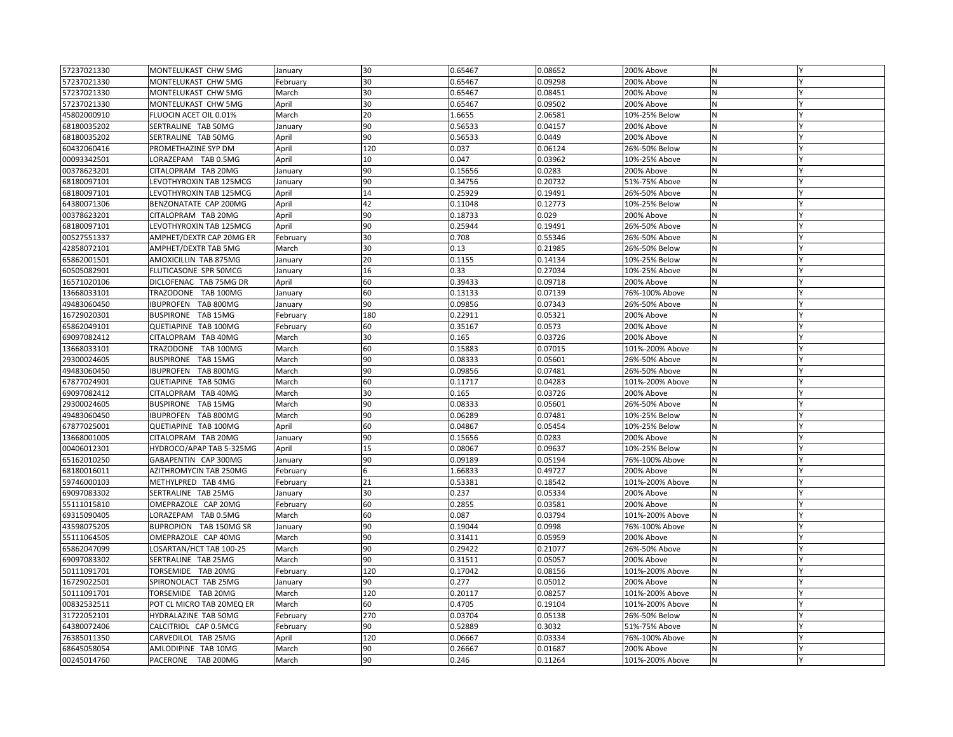| 57237021330 | MONTELUKAST CHW 5MG          | January  | 30  | 0.65467 | 0.08652 | 200% Above      | N |  |
|-------------|------------------------------|----------|-----|---------|---------|-----------------|---|--|
| 57237021330 | MONTELUKAST CHW 5MG          | February | 30  | 0.65467 | 0.09298 | 200% Above      | N |  |
| 57237021330 | MONTELUKAST CHW 5MG          | March    | 30  | 0.65467 | 0.08451 | 200% Above      | N |  |
| 57237021330 | MONTELUKAST CHW 5MG          | April    | 30  | 0.65467 | 0.09502 | 200% Above      |   |  |
| 45802000910 | FLUOCIN ACET OIL 0.01%       | March    | 20  | 1.6655  | 2.06581 | 10%-25% Below   | N |  |
| 68180035202 | SERTRALINE TAB 50MG          | January  | 90  | 0.56533 | 0.04157 | 200% Above      | N |  |
| 68180035202 | SERTRALINE TAB 50MG          | April    | 90  | 0.56533 | 0.0449  | 200% Above      | N |  |
| 60432060416 | PROMETHAZINE SYP DM          | April    | 120 | 0.037   | 0.06124 | 26%-50% Below   | N |  |
| 00093342501 | LORAZEPAM TAB 0.5MG          | April    | 10  | 0.047   | 0.03962 | 10%-25% Above   | N |  |
| 00378623201 | CITALOPRAM TAB 20MG          | January  | 90  | 0.15656 | 0.0283  | 200% Above      | N |  |
| 68180097101 | LEVOTHYROXIN TAB 125MCG      | January  | 90  | 0.34756 | 0.20732 | 51%-75% Above   | N |  |
| 68180097101 | LEVOTHYROXIN TAB 125MCG      | April    | 14  | 0.25929 | 0.19491 | 26%-50% Above   | N |  |
| 64380071306 | BENZONATATE CAP 200MG        | April    | 42  | 0.11048 | 0.12773 | 10%-25% Below   | N |  |
| 00378623201 | CITALOPRAM TAB 20MG          | April    | 90  | 0.18733 | 0.029   | 200% Above      | N |  |
| 68180097101 | LEVOTHYROXIN TAB 125MCG      | April    | 90  | 0.25944 | 0.19491 | 26%-50% Above   | N |  |
| 00527551337 | AMPHET/DEXTR CAP 20MG ER     | February | 30  | 0.708   | 0.55346 | 26%-50% Above   | Ń |  |
| 42858072101 | AMPHET/DEXTR TAB 5MG         | March    | 30  | 0.13    | 0.21985 | 26%-50% Below   |   |  |
| 65862001501 | AMOXICILLIN TAB 875MG        | January  | 20  | 0.1155  | 0.14134 | 10%-25% Below   | N |  |
| 60505082901 | FLUTICASONE SPR 50MCG        | January  | 16  | 0.33    | 0.27034 | 10%-25% Above   | N |  |
| 16571020106 | DICLOFENAC TAB 75MG DR       | April    | 60  | 0.39433 | 0.09718 | 200% Above      | N |  |
| 13668033101 | TRAZODONE TAB 100MG          | January  | 60  | 0.13133 | 0.07139 | 76%-100% Above  |   |  |
| 49483060450 | IBUPROFEN TAB 800MG          | January  | 90  | 0.09856 | 0.07343 | 26%-50% Above   | N |  |
| 16729020301 | <b>BUSPIRONE</b><br>TAB 15MG | February | 180 | 0.22911 | 0.05321 | 200% Above      | N |  |
| 65862049101 | QUETIAPINE TAB 100MG         | February | 60  | 0.35167 | 0.0573  | 200% Above      | N |  |
| 69097082412 | CITALOPRAM TAB 40MG          | March    | 30  | 0.165   | 0.03726 | 200% Above      | N |  |
| 13668033101 | TRAZODONE TAB 100MG          | March    | 60  | 0.15883 | 0.07015 | 101%-200% Above | N |  |
| 29300024605 | BUSPIRONE TAB 15MG           | March    | 90  | 0.08333 | 0.05601 | 26%-50% Above   | N |  |
| 49483060450 | IBUPROFEN TAB 800MG          | March    | 90  | 0.09856 | 0.07481 | 26%-50% Above   | N |  |
| 67877024901 | QUETIAPINE TAB 50MG          | March    | 60  | 0.11717 | 0.04283 | 101%-200% Above | N |  |
| 69097082412 | CITALOPRAM TAB 40MG          | March    | 30  | 0.165   | 0.03726 | 200% Above      | N |  |
| 29300024605 | BUSPIRONE TAB 15MG           | March    | 90  | 0.08333 | 0.05601 | 26%-50% Above   | N |  |
| 49483060450 | IBUPROFEN TAB 800MG          | March    | 90  | 0.06289 | 0.07481 | 10%-25% Below   | N |  |
| 67877025001 | QUETIAPINE TAB 100MG         | April    | 60  | 0.04867 | 0.05454 | 10%-25% Below   | N |  |
| 13668001005 | CITALOPRAM TAB 20MG          | January  | 90  | 0.15656 | 0.0283  | 200% Above      |   |  |
| 00406012301 | HYDROCO/APAP TAB 5-325MG     | April    | 15  | 0.08067 | 0.09637 | 10%-25% Below   | N |  |
| 65162010250 | GABAPENTIN CAP 300MG         | January  | 90  | 0.09189 | 0.05194 | 76%-100% Above  | N |  |
| 68180016011 | AZITHROMYCIN TAB 250MG       | February |     | 1.66833 | 0.49727 | 200% Above      | N |  |
| 59746000103 | METHYLPRED TAB 4MG           | February | 21  | 0.53381 | 0.18542 | 101%-200% Above |   |  |
| 69097083302 | SERTRALINE TAB 25MG          | January  | 30  | 0.237   | 0.05334 | 200% Above      | N |  |
| 55111015810 | OMEPRAZOLE CAP 20MG          | February | 60  | 0.2855  | 0.03581 | 200% Above      | N |  |
| 69315090405 | LORAZEPAM<br>TAB 0.5MG       | March    | 60  | 0.087   | 0.03794 | 101%-200% Above | N |  |
| 43598075205 | BUPROPION TAB 150MG SR       | January  | 90  | 0.19044 | 0.0998  | 76%-100% Above  |   |  |
| 55111064505 | OMEPRAZOLE CAP 40MG          | March    | 90  | 0.31411 | 0.05959 | 200% Above      | N |  |
| 65862047099 | LOSARTAN/HCT TAB 100-25      | March    | 90  | 0.29422 | 0.21077 | 26%-50% Above   | N |  |
| 69097083302 | SERTRALINE TAB 25MG          | March    | 90  | 0.31511 | 0.05057 | 200% Above      | N |  |
| 50111091701 | TORSEMIDE TAB 20MG           | February | 120 | 0.17042 | 0.08156 | 101%-200% Above | N |  |
| 16729022501 | SPIRONOLACT TAB 25MG         | January  | 90  | 0.277   | 0.05012 | 200% Above      | N |  |
| 50111091701 | TORSEMIDE TAB 20MG           | March    | 120 | 0.20117 | 0.08257 | 101%-200% Above | N |  |
| 00832532511 | POT CL MICRO TAB 20MEQ ER    | March    | 60  | 0.4705  | 0.19104 | 101%-200% Above | N |  |
| 31722052101 | HYDRALAZINE TAB 50MG         | February | 270 | 0.03704 | 0.05138 | 26%-50% Below   | N |  |
| 64380072406 | CALCITRIOL CAP 0.5MCG        | February | 90  | 0.52889 | 0.3032  | 51%-75% Above   |   |  |
| 76385011350 | CARVEDILOL TAB 25MG          | April    | 120 | 0.06667 | 0.03334 | 76%-100% Above  | N |  |
| 68645058054 | AMLODIPINE TAB 10MG          | March    | 90  | 0.26667 | 0.01687 | 200% Above      | N |  |
| 00245014760 | PACERONE TAB 200MG           | March    | 90  | 0.246   | 0.11264 | 101%-200% Above | N |  |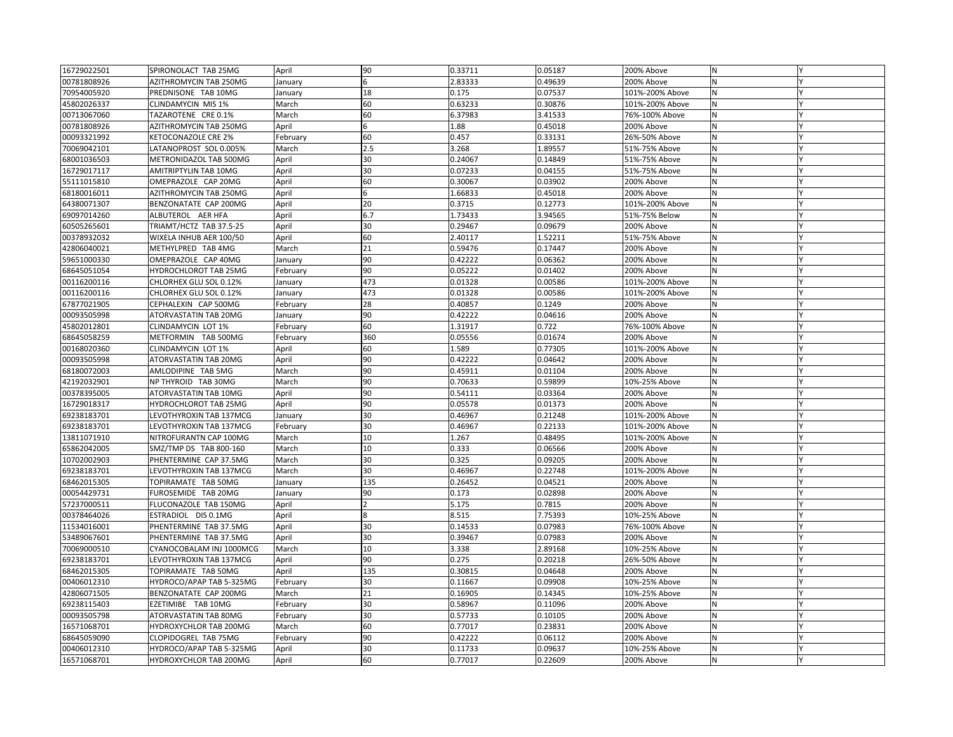| 16729022501 | SPIRONOLACT TAB 25MG     | April    | 90  | 0.33711 | 0.05187 | 200% Above      | N |  |
|-------------|--------------------------|----------|-----|---------|---------|-----------------|---|--|
| 00781808926 | AZITHROMYCIN TAB 250MG   | January  |     | 2.83333 | 0.49639 | 200% Above      | N |  |
| 70954005920 | PREDNISONE TAB 10MG      | January  | 18  | 0.175   | 0.07537 | 101%-200% Above | N |  |
| 45802026337 | CLINDAMYCIN MIS 1%       | March    | 60  | 0.63233 | 0.30876 | 101%-200% Above | N |  |
| 00713067060 | TAZAROTENE CRE 0.1%      | March    | 60  | 6.37983 | 3.41533 | 76%-100% Above  | N |  |
| 00781808926 | AZITHROMYCIN TAB 250MG   | April    |     | 1.88    | 0.45018 | 200% Above      | N |  |
| 00093321992 | KETOCONAZOLE CRE 2%      | February | 60  | 0.457   | 0.33131 | 26%-50% Above   | N |  |
| 70069042101 | LATANOPROST SOL 0.005%   | March    | 2.5 | 3.268   | 1.89557 | 51%-75% Above   |   |  |
| 68001036503 | METRONIDAZOL TAB 500MG   | April    | 30  | 0.24067 | 0.14849 | 51%-75% Above   | N |  |
| 16729017117 | AMITRIPTYLIN TAB 10MG    | April    | 30  | 0.07233 | 0.04155 | 51%-75% Above   | N |  |
| 55111015810 | OMEPRAZOLE CAP 20MG      | April    | 60  | 0.30067 | 0.03902 | 200% Above      | N |  |
| 68180016011 | AZITHROMYCIN TAB 250MG   | April    |     | 1.66833 | 0.45018 | 200% Above      | N |  |
| 64380071307 | BENZONATATE CAP 200MG    | April    | 20  | 0.3715  | 0.12773 | 101%-200% Above | N |  |
| 69097014260 | ALBUTEROL AER HFA        | April    | 6.7 | 1.73433 | 3.94565 | 51%-75% Below   | N |  |
| 60505265601 | TRIAMT/HCTZ TAB 37.5-25  | April    | 30  | 0.29467 | 0.09679 | 200% Above      | N |  |
| 00378932032 | WIXELA INHUB AER 100/50  | April    | 60  | 2.40117 | 1.52211 | 51%-75% Above   | N |  |
| 42806040021 | METHYLPRED TAB 4MG       | March    | 21  | 0.59476 | 0.17447 | 200% Above      |   |  |
| 59651000330 | OMEPRAZOLE CAP 40MG      | January  | 90  | 0.42222 | 0.06362 | 200% Above      | N |  |
| 68645051054 | HYDROCHLOROT TAB 25MG    | February | 90  | 0.05222 | 0.01402 | 200% Above      | N |  |
| 00116200116 | CHLORHEX GLU SOL 0.12%   | January  | 473 | 0.01328 | 0.00586 | 101%-200% Above | N |  |
| 00116200116 | CHLORHEX GLU SOL 0.12%   | January  | 473 | 0.01328 | 0.00586 | 101%-200% Above |   |  |
| 67877021905 | CEPHALEXIN CAP 500MG     | February | 28  | 0.40857 | 0.1249  | 200% Above      | N |  |
| 00093505998 | ATORVASTATIN TAB 20MG    | January  | 90  | 0.42222 | 0.04616 | 200% Above      | N |  |
| 45802012801 | CLINDAMYCIN LOT 1%       | February | 60  | 1.31917 | 0.722   | 76%-100% Above  |   |  |
| 68645058259 | METFORMIN TAB 500MG      | February | 360 | 0.05556 | 0.01674 | 200% Above      | N |  |
| 00168020360 | CLINDAMYCIN LOT 1%       | April    | 60  | 1.589   | 0.77305 | 101%-200% Above | N |  |
| 00093505998 | ATORVASTATIN TAB 20MG    | April    | 90  | 0.42222 | 0.04642 | 200% Above      | N |  |
| 68180072003 | AMLODIPINE TAB 5MG       | March    | 90  | 0.45911 | 0.01104 | 200% Above      | N |  |
| 42192032901 | NP THYROID TAB 30MG      | March    | 90  | 0.70633 | 0.59899 | 10%-25% Above   | N |  |
| 00378395005 | ATORVASTATIN TAB 10MG    | April    | 90  | 0.54111 | 0.03364 | 200% Above      | N |  |
| 16729018317 | HYDROCHLOROT TAB 25MG    | April    | 90  | 0.05578 | 0.01373 | 200% Above      | N |  |
| 69238183701 | LEVOTHYROXIN TAB 137MCG  | January  | 30  | 0.46967 | 0.21248 | 101%-200% Above | N |  |
| 69238183701 | LEVOTHYROXIN TAB 137MCG  | February | 30  | 0.46967 | 0.22133 | 101%-200% Above | N |  |
| 13811071910 | NITROFURANTN CAP 100MG   | March    | 10  | 1.267   | 0.48495 | 101%-200% Above | N |  |
| 65862042005 | SMZ/TMP DS TAB 800-160   | March    | 10  | 0.333   | 0.06566 | 200% Above      | N |  |
| 10702002903 | PHENTERMINE CAP 37.5MG   | March    | 30  | 0.325   | 0.09205 | 200% Above      | N |  |
| 69238183701 | LEVOTHYROXIN TAB 137MCG  | March    | 30  | 0.46967 | 0.22748 | 101%-200% Above | N |  |
| 68462015305 | TOPIRAMATE TAB 50MG      | January  | 135 | 0.26452 | 0.04521 | 200% Above      | N |  |
| 00054429731 | FUROSEMIDE TAB 20MG      | January  | 90  | 0.173   | 0.02898 | 200% Above      | N |  |
| 57237000511 | FLUCONAZOLE TAB 150MG    | April    |     | 5.175   | 0.7815  | 200% Above      | N |  |
| 00378464026 | ESTRADIOL DIS 0.1MG      | April    |     | 8.515   | 7.75393 | 10%-25% Above   | N |  |
| 11534016001 | PHENTERMINE TAB 37.5MG   | April    | 30  | 0.14533 | 0.07983 | 76%-100% Above  | N |  |
| 53489067601 | PHENTERMINE TAB 37.5MG   | April    | 30  | 0.39467 | 0.07983 | 200% Above      | N |  |
| 70069000510 | CYANOCOBALAM INJ 1000MCG | March    | 10  | 3.338   | 2.89168 | 10%-25% Above   | N |  |
| 69238183701 | LEVOTHYROXIN TAB 137MCG  | April    | 90  | 0.275   | 0.20218 | 26%-50% Above   |   |  |
| 68462015305 | TOPIRAMATE TAB 50MG      | April    | 135 | 0.30815 | 0.04648 | 200% Above      | N |  |
| 00406012310 | HYDROCO/APAP TAB 5-325MG | February | 30  | 0.11667 | 0.09908 | 10%-25% Above   | N |  |
| 42806071505 | BENZONATATE CAP 200MG    | March    | 21  | 0.16905 | 0.14345 | 10%-25% Above   | Ν |  |
| 69238115403 | EZETIMIBE TAB 10MG       | February | 30  | 0.58967 | 0.11096 | 200% Above      | N |  |
| 00093505798 | ATORVASTATIN TAB 80MG    | February | 30  | 0.57733 | 0.10105 | 200% Above      | N |  |
| 16571068701 | HYDROXYCHLOR TAB 200MG   | March    | 60  | 0.77017 | 0.23831 | 200% Above      | N |  |
| 68645059090 | CLOPIDOGREL TAB 75MG     | February | 90  | 0.42222 | 0.06112 | 200% Above      | N |  |
| 00406012310 | HYDROCO/APAP TAB 5-325MG | April    | 30  | 0.11733 | 0.09637 | 10%-25% Above   | N |  |
| 16571068701 | HYDROXYCHLOR TAB 200MG   | April    | 60  | 0.77017 | 0.22609 | 200% Above      | N |  |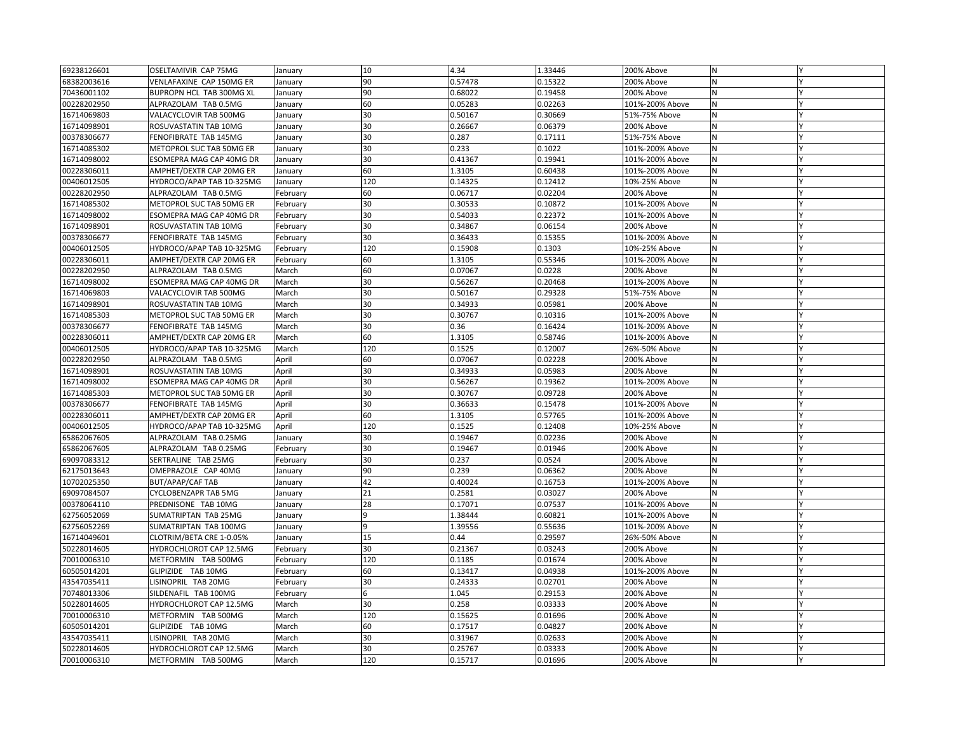| 69238126601 | OSELTAMIVIR CAP 75MG      | January  | 10  | 4.34    | 1.33446 | 200% Above      | IN. |  |
|-------------|---------------------------|----------|-----|---------|---------|-----------------|-----|--|
| 68382003616 | VENLAFAXINE CAP 150MG ER  | January  | 90  | 0.57478 | 0.15322 | 200% Above      | N   |  |
| 70436001102 | BUPROPN HCL TAB 300MG XL  | January  | 90  | 0.68022 | 0.19458 | 200% Above      | N   |  |
| 00228202950 | ALPRAZOLAM TAB 0.5MG      | January  | 60  | 0.05283 | 0.02263 | 101%-200% Above |     |  |
| 16714069803 | VALACYCLOVIR TAB 500MG    | January  | 30  | 0.50167 | 0.30669 | 51%-75% Above   | N   |  |
| 16714098901 | ROSUVASTATIN TAB 10MG     | January  | 30  | 0.26667 | 0.06379 | 200% Above      | N   |  |
| 00378306677 | FENOFIBRATE TAB 145MG     | January  | 30  | 0.287   | 0.17111 | 51%-75% Above   | N   |  |
| 16714085302 | METOPROL SUC TAB 50MG ER  | January  | 30  | 0.233   | 0.1022  | 101%-200% Above |     |  |
| 16714098002 | ESOMEPRA MAG CAP 40MG DR  | January  | 30  | 0.41367 | 0.19941 | 101%-200% Above | N   |  |
| 00228306011 | AMPHET/DEXTR CAP 20MG ER  | January  | 60  | 1.3105  | 0.60438 | 101%-200% Above | N   |  |
| 00406012505 | HYDROCO/APAP TAB 10-325MG | January  | 120 | 0.14325 | 0.12412 | 10%-25% Above   | N   |  |
| 00228202950 | ALPRAZOLAM TAB 0.5MG      | February | 60  | 0.06717 | 0.02204 | 200% Above      |     |  |
| 16714085302 | METOPROL SUC TAB 50MG ER  | February | 30  | 0.30533 | 0.10872 | 101%-200% Above | N   |  |
| 16714098002 | ESOMEPRA MAG CAP 40MG DR  | February | 30  | 0.54033 | 0.22372 | 101%-200% Above | N   |  |
| 16714098901 | ROSUVASTATIN TAB 10MG     | February | 30  | 0.34867 | 0.06154 | 200% Above      | N   |  |
| 00378306677 | FENOFIBRATE TAB 145MG     | February | 30  | 0.36433 | 0.15355 | 101%-200% Above | N   |  |
| 00406012505 | HYDROCO/APAP TAB 10-325MG | February | 120 | 0.15908 | 0.1303  | 10%-25% Above   | N   |  |
| 00228306011 | AMPHET/DEXTR CAP 20MG ER  | February | 60  | 1.3105  | 0.55346 | 101%-200% Above | N   |  |
| 00228202950 | ALPRAZOLAM TAB 0.5MG      | March    | 60  | 0.07067 | 0.0228  | 200% Above      | N   |  |
| 16714098002 | ESOMEPRA MAG CAP 40MG DR  | March    | 30  | 0.56267 | 0.20468 | 101%-200% Above |     |  |
| 16714069803 | VALACYCLOVIR TAB 500MG    | March    | 30  | 0.50167 | 0.29328 | 51%-75% Above   | N   |  |
| 16714098901 | ROSUVASTATIN TAB 10MG     | March    | 30  | 0.34933 | 0.05981 | 200% Above      | N   |  |
| 16714085303 | METOPROL SUC TAB 50MG ER  | March    | 30  | 0.30767 | 0.10316 | 101%-200% Above | N   |  |
| 00378306677 | FENOFIBRATE TAB 145MG     | March    | 30  | 0.36    | 0.16424 | 101%-200% Above | N   |  |
| 00228306011 | AMPHET/DEXTR CAP 20MG ER  | March    | 60  | 1.3105  | 0.58746 | 101%-200% Above | N   |  |
| 00406012505 | HYDROCO/APAP TAB 10-325MG | March    | 120 | 0.1525  | 0.12007 | 26%-50% Above   | N   |  |
| 00228202950 | ALPRAZOLAM TAB 0.5MG      | April    | 60  | 0.07067 | 0.02228 | 200% Above      | N   |  |
| 16714098901 | ROSUVASTATIN TAB 10MG     | April    | 30  | 0.34933 | 0.05983 | 200% Above      | N   |  |
| 16714098002 | ESOMEPRA MAG CAP 40MG DR  | April    | 30  | 0.56267 | 0.19362 | 101%-200% Above | N   |  |
| 16714085303 | METOPROL SUC TAB 50MG ER  | April    | 30  | 0.30767 | 0.09728 | 200% Above      | N   |  |
| 00378306677 | FENOFIBRATE TAB 145MG     | April    | 30  | 0.36633 | 0.15478 | 101%-200% Above | N   |  |
| 00228306011 | AMPHET/DEXTR CAP 20MG ER  | April    | 60  | 1.3105  | 0.57765 | 101%-200% Above | N   |  |
| 00406012505 | HYDROCO/APAP TAB 10-325MG | April    | 120 | 0.1525  | 0.12408 | 10%-25% Above   |     |  |
| 65862067605 | ALPRAZOLAM TAB 0.25MG     | January  | 30  | 0.19467 | 0.02236 | 200% Above      | N   |  |
| 65862067605 | ALPRAZOLAM TAB 0.25MG     | February | 30  | 0.19467 | 0.01946 | 200% Above      | N   |  |
| 69097083312 | SERTRALINE TAB 25MG       | February | 30  | 0.237   | 0.0524  | 200% Above      | N   |  |
| 62175013643 | OMEPRAZOLE CAP 40MG       | January  | 90  | 0.239   | 0.06362 | 200% Above      | N   |  |
| 10702025350 | BUT/APAP/CAF TAB          | January  | 42  | 0.40024 | 0.16753 | 101%-200% Above | N   |  |
| 69097084507 | CYCLOBENZAPR TAB 5MG      | January  | 21  | 0.2581  | 0.03027 | 200% Above      | N   |  |
| 00378064110 | PREDNISONE TAB 10MG       | January  | 28  | 0.17071 | 0.07537 | 101%-200% Above | N   |  |
| 62756052069 | SUMATRIPTAN TAB 25MG      | January  |     | 1.38444 | 0.60821 | 101%-200% Above | N   |  |
| 62756052269 | SUMATRIPTAN TAB 100MG     | January  | Q   | 1.39556 | 0.55636 | 101%-200% Above | N   |  |
| 16714049601 | CLOTRIM/BETA CRE 1-0.05%  | January  | 15  | 0.44    | 0.29597 | 26%-50% Above   | N   |  |
| 50228014605 | HYDROCHLOROT CAP 12.5MG   | February | 30  | 0.21367 | 0.03243 | 200% Above      | N   |  |
| 70010006310 | METFORMIN TAB 500MG       | February | 120 | 0.1185  | 0.01674 | 200% Above      | N   |  |
| 60505014201 | GLIPIZIDE TAB 10MG        | February | 60  | 0.13417 | 0.04938 | 101%-200% Above |     |  |
| 43547035411 | LISINOPRIL TAB 20MG       | February | 30  | 0.24333 | 0.02701 | 200% Above      | N   |  |
| 70748013306 | SILDENAFIL TAB 100MG      | February |     | 1.045   | 0.29153 | 200% Above      | N   |  |
| 50228014605 | HYDROCHLOROT CAP 12.5MG   | March    | 30  | 0.258   | 0.03333 | 200% Above      | N   |  |
| 70010006310 | METFORMIN TAB 500MG       | March    | 120 | 0.15625 | 0.01696 | 200% Above      | N   |  |
| 60505014201 | GLIPIZIDE TAB 10MG        | March    | 60  | 0.17517 | 0.04827 | 200% Above      |     |  |
| 43547035411 | LISINOPRIL TAB 20MG       | March    | 30  | 0.31967 | 0.02633 | 200% Above      | N   |  |
| 50228014605 | HYDROCHLOROT CAP 12.5MG   | March    | 30  | 0.25767 | 0.03333 | 200% Above      | N   |  |
| 70010006310 | METFORMIN TAB 500MG       | March    | 120 | 0.15717 | 0.01696 | 200% Above      | N   |  |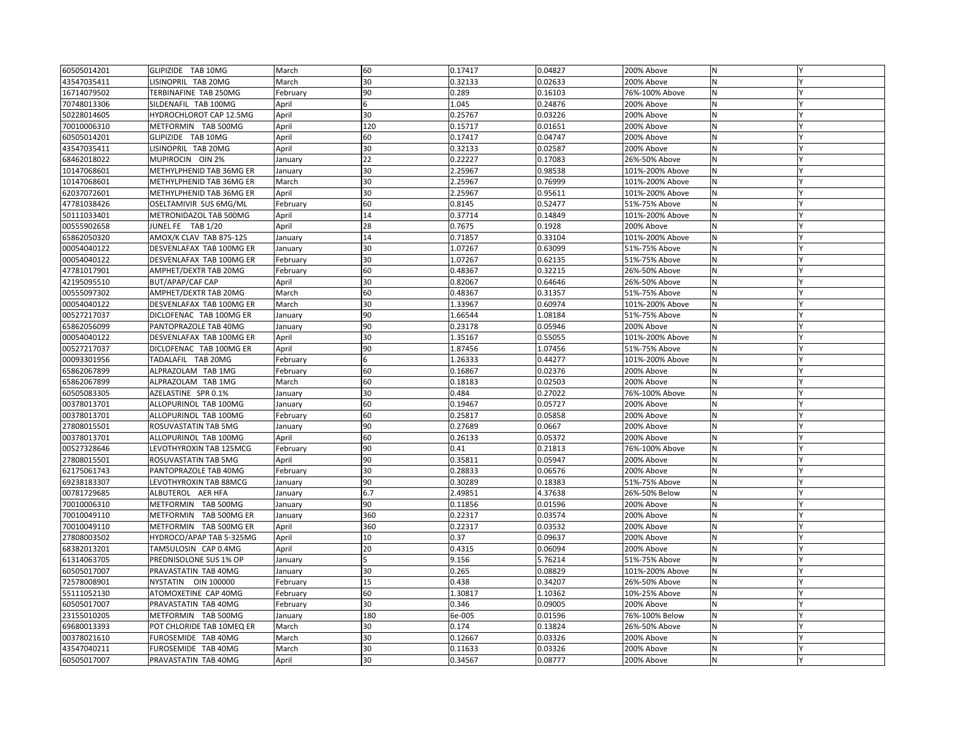| 60505014201 | GLIPIZIDE TAB 10MG               | March    | 60  | 0.17417 | 0.04827 | 200% Above      | N |  |
|-------------|----------------------------------|----------|-----|---------|---------|-----------------|---|--|
| 43547035411 | LISINOPRIL TAB 20MG              | March    | 30  | 0.32133 | 0.02633 | 200% Above      | N |  |
| 16714079502 | TERBINAFINE TAB 250MG            | February | 90  | 0.289   | 0.16103 | 76%-100% Above  | N |  |
| 70748013306 | SILDENAFIL TAB 100MG             | April    |     | 1.045   | 0.24876 | 200% Above      | N |  |
| 50228014605 | HYDROCHLOROT CAP 12.5MG          | April    | 30  | 0.25767 | 0.03226 | 200% Above      | N |  |
| 70010006310 | METFORMIN TAB 500MG              | April    | 120 | 0.15717 | 0.01651 | 200% Above      | N |  |
| 60505014201 | GLIPIZIDE TAB 10MG               | April    | 60  | 0.17417 | 0.04747 | 200% Above      | N |  |
| 43547035411 | LISINOPRIL TAB 20MG              | April    | 30  | 0.32133 | 0.02587 | 200% Above      | N |  |
| 68462018022 | MUPIROCIN OIN 2%                 | January  | 22  | 0.22227 | 0.17083 | 26%-50% Above   | N |  |
| 10147068601 | METHYLPHENID TAB 36MG ER         | January  | 30  | 2.25967 | 0.98538 | 101%-200% Above | N |  |
| 10147068601 | METHYLPHENID TAB 36MG ER         | March    | 30  | 2.25967 | 0.76999 | 101%-200% Above | N |  |
| 62037072601 | METHYLPHENID TAB 36MG ER         | April    | 30  | 2.25967 | 0.95611 | 101%-200% Above | N |  |
| 47781038426 | OSELTAMIVIR SUS 6MG/ML           | February | 60  | 0.8145  | 0.52477 | 51%-75% Above   | Ń |  |
| 50111033401 | METRONIDAZOL TAB 500MG           | April    | 14  | 0.37714 | 0.14849 | 101%-200% Above | N |  |
| 00555902658 | JUNEL FE TAB 1/20                | April    | 28  | 0.7675  | 0.1928  | 200% Above      | N |  |
| 65862050320 | AMOX/K CLAV TAB 875-125          | January  | 14  | 0.71857 | 0.33104 | 101%-200% Above | N |  |
| 00054040122 | DESVENLAFAX TAB 100MG ER         | January  | 30  | 1.07267 | 0.63099 | 51%-75% Above   |   |  |
| 00054040122 | DESVENLAFAX TAB 100MG ER         | February | 30  | 1.07267 | 0.62135 | 51%-75% Above   | N |  |
| 47781017901 | AMPHET/DEXTR TAB 20MG            | February | 60  | 0.48367 | 0.32215 | 26%-50% Above   | N |  |
| 42195095510 | <b>BUT/APAP/CAF CAP</b>          | April    | 30  | 0.82067 | 0.64646 | 26%-50% Above   | N |  |
| 00555097302 | AMPHET/DEXTR TAB 20MG            | March    | 60  | 0.48367 | 0.31357 | 51%-75% Above   |   |  |
| 00054040122 | DESVENLAFAX TAB 100MG ER         | March    | 30  | 1.33967 | 0.60974 | 101%-200% Above | N |  |
| 00527217037 | DICLOFENAC TAB 100MG ER          | January  | 90  | 1.66544 | 1.08184 | 51%-75% Above   | N |  |
| 65862056099 | PANTOPRAZOLE TAB 40MG            | January  | 90  | 0.23178 | 0.05946 | 200% Above      | N |  |
| 00054040122 | DESVENLAFAX TAB 100MG ER         | April    | 30  | 1.35167 | 0.55055 | 101%-200% Above | N |  |
| 00527217037 | DICLOFENAC TAB 100MG ER          | April    | 90  | 1.87456 | 1.07456 | 51%-75% Above   | N |  |
| 00093301956 | TADALAFIL TAB 20MG               | February | 6   | 1.26333 | 0.44277 | 101%-200% Above | N |  |
| 65862067899 | ALPRAZOLAM TAB 1MG               | February | 60  | 0.16867 | 0.02376 | 200% Above      | N |  |
| 65862067899 | ALPRAZOLAM TAB 1MG               | March    | 60  | 0.18183 | 0.02503 | 200% Above      | N |  |
| 60505083305 | AZELASTINE SPR 0.1%              | January  | 30  | 0.484   | 0.27022 | 76%-100% Above  | N |  |
| 00378013701 | ALLOPURINOL TAB 100MG            | January  | 60  | 0.19467 | 0.05727 | 200% Above      | N |  |
| 00378013701 | ALLOPURINOL TAB 100MG            | February | 60  | 0.25817 | 0.05858 | 200% Above      | N |  |
| 27808015501 | ROSUVASTATIN TAB 5MG             | January  | 90  | 0.27689 | 0.0667  | 200% Above      | N |  |
| 00378013701 | ALLOPURINOL TAB 100MG            | April    | 60  | 0.26133 | 0.05372 | 200% Above      | N |  |
| 00527328646 | LEVOTHYROXIN TAB 125MCG          | February | 90  | 0.41    | 0.21813 | 76%-100% Above  | N |  |
| 27808015501 | ROSUVASTATIN TAB 5MG             | April    | 90  | 0.35811 | 0.05947 | 200% Above      | N |  |
| 62175061743 | PANTOPRAZOLE TAB 40MG            | February | 30  | 0.28833 | 0.06576 | 200% Above      | N |  |
| 69238183307 | LEVOTHYROXIN TAB 88MCG           | January  | 90  | 0.30289 | 0.18383 | 51%-75% Above   | N |  |
| 00781729685 | ALBUTEROL AER HFA                | January  | 6.7 | 2.49851 | 4.37638 | 26%-50% Below   | N |  |
| 70010006310 | TAB 500MG<br><b>METFORMIN</b>    | January  | 90  | 0.11856 | 0.01596 | 200% Above      | N |  |
| 70010049110 | TAB 500MG ER<br><b>METFORMIN</b> | January  | 360 | 0.22317 | 0.03574 | 200% Above      | N |  |
| 70010049110 | METFORMIN TAB 500MG ER           | April    | 360 | 0.22317 | 0.03532 | 200% Above      | N |  |
| 27808003502 | HYDROCO/APAP TAB 5-325MG         | April    | 10  | 0.37    | 0.09637 | 200% Above      | N |  |
| 68382013201 | TAMSULOSIN CAP 0.4MG             | April    | 20  | 0.4315  | 0.06094 | 200% Above      | N |  |
| 61314063705 | PREDNISOLONE SUS 1% OP           | January  |     | 9.156   | 5.76214 | 51%-75% Above   | N |  |
| 60505017007 | PRAVASTATIN TAB 40MG             | January  | 30  | 0.265   | 0.08829 | 101%-200% Above | N |  |
| 72578008901 | NYSTATIN OIN 100000              | February | 15  | 0.438   | 0.34207 | 26%-50% Above   | Ń |  |
| 55111052130 | ATOMOXETINE CAP 40MG             | February | 60  | 1.30817 | 1.10362 | 10%-25% Above   | N |  |
| 60505017007 | PRAVASTATIN TAB 40MG             | February | 30  | 0.346   | 0.09005 | 200% Above      | N |  |
| 23155010205 | METFORMIN TAB 500MG              | January  | 180 | 6e-005  | 0.01596 | 76%-100% Below  | N |  |
| 69680013393 | POT CHLORIDE TAB 10MEQ ER        | March    | 30  | 0.174   | 0.13824 | 26%-50% Above   |   |  |
| 00378021610 | FUROSEMIDE TAB 40MG              | March    | 30  | 0.12667 | 0.03326 | 200% Above      | N |  |
| 43547040211 | FUROSEMIDE TAB 40MG              | March    | 30  | 0.11633 | 0.03326 | 200% Above      | N |  |
| 60505017007 | PRAVASTATIN TAB 40MG             | April    | 30  | 0.34567 | 0.08777 | 200% Above      | N |  |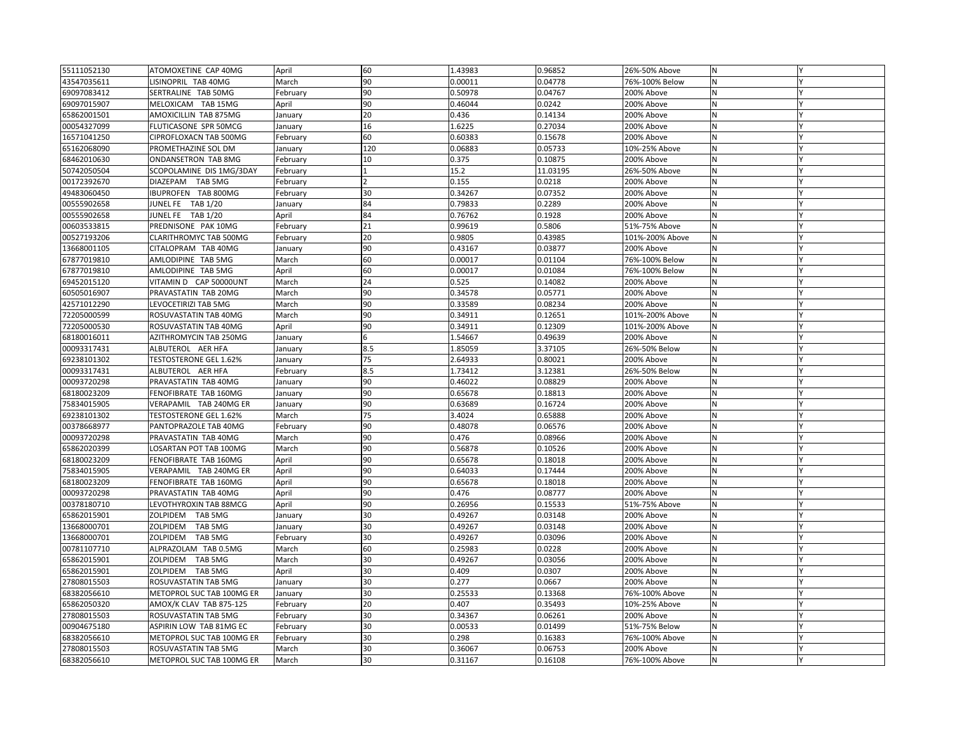| 55111052130 | ATOMOXETINE CAP 40MG          | April    | 60  | 1.43983 | 0.96852  | 26%-50% Above   | N |  |
|-------------|-------------------------------|----------|-----|---------|----------|-----------------|---|--|
| 43547035611 | LISINOPRIL TAB 40MG           | March    | 90  | 0.00011 | 0.04778  | 76%-100% Below  | N |  |
| 69097083412 | SERTRALINE TAB 50MG           | February | 90  | 0.50978 | 0.04767  | 200% Above      | N |  |
| 69097015907 | MELOXICAM TAB 15MG            | April    | 90  | 0.46044 | 0.0242   | 200% Above      |   |  |
| 65862001501 | AMOXICILLIN TAB 875MG         | January  | 20  | 0.436   | 0.14134  | 200% Above      | N |  |
| 00054327099 | FLUTICASONE SPR 50MCG         | January  | 16  | 1.6225  | 0.27034  | 200% Above      |   |  |
| 16571041250 | CIPROFLOXACN TAB 500MG        | February | 60  | 0.60383 | 0.15678  | 200% Above      | N |  |
| 65162068090 | PROMETHAZINE SOL DM           | January  | 120 | 0.06883 | 0.05733  | 10%-25% Above   |   |  |
| 68462010630 | <b>ONDANSETRON TAB 8MG</b>    | February | 10  | 0.375   | 0.10875  | 200% Above      | N |  |
| 50742050504 | SCOPOLAMINE DIS 1MG/3DAY      | February |     | 15.2    | 11.03195 | 26%-50% Above   | N |  |
| 00172392670 | DIAZEPAM TAB 5MG              | February |     | 0.155   | 0.0218   | 200% Above      | N |  |
| 49483060450 | IBUPROFEN TAB 800MG           | February | 30  | 0.34267 | 0.07352  | 200% Above      | N |  |
| 00555902658 | JUNEL FE TAB 1/20             | January  | 84  | 0.79833 | 0.2289   | 200% Above      | N |  |
| 00555902658 | JUNEL FE TAB 1/20             | April    | 84  | 0.76762 | 0.1928   | 200% Above      | N |  |
| 00603533815 | PREDNISONE PAK 10MG           | February | 21  | 0.99619 | 0.5806   | 51%-75% Above   | N |  |
| 00527193206 | <b>CLARITHROMYC TAB 500MG</b> | February | 20  | 0.9805  | 0.43985  | 101%-200% Above | N |  |
| 13668001105 | CITALOPRAM TAB 40MG           | January  | 90  | 0.43167 | 0.03877  | 200% Above      |   |  |
| 67877019810 | AMLODIPINE TAB 5MG            | March    | 60  | 0.00017 | 0.01104  | 76%-100% Below  | N |  |
| 67877019810 | AMLODIPINE TAB 5MG            | April    | 60  | 0.00017 | 0.01084  | 76%-100% Below  |   |  |
| 69452015120 | VITAMIN D CAP 50000UNT        | March    | 24  | 0.525   | 0.14082  | 200% Above      |   |  |
| 60505016907 | PRAVASTATIN TAB 20MG          | March    | 90  | 0.34578 | 0.05771  | 200% Above      | N |  |
| 42571012290 | LEVOCETIRIZI TAB 5MG          | March    | 90  | 0.33589 | 0.08234  | 200% Above      | N |  |
| 72205000599 | ROSUVASTATIN TAB 40MG         | March    | 90  | 0.34911 | 0.12651  | 101%-200% Above | N |  |
| 72205000530 | ROSUVASTATIN TAB 40MG         | April    | 90  | 0.34911 | 0.12309  | 101%-200% Above | N |  |
| 68180016011 | AZITHROMYCIN TAB 250MG        | January  |     | 1.54667 | 0.49639  | 200% Above      | N |  |
| 00093317431 | ALBUTEROL AER HFA             | January  | 8.5 | 1.85059 | 3.37105  | 26%-50% Below   | N |  |
| 69238101302 | <b>TESTOSTERONE GEL 1.62%</b> | January  | 75  | 2.64933 | 0.80021  | 200% Above      | N |  |
| 00093317431 | ALBUTEROL AER HFA             | February | 8.5 | 1.73412 | 3.12381  | 26%-50% Below   | N |  |
| 00093720298 | PRAVASTATIN TAB 40MG          | January  | 90  | 0.46022 | 0.08829  | 200% Above      | N |  |
| 68180023209 | FENOFIBRATE TAB 160MG         | January  | 90  | 0.65678 | 0.18813  | 200% Above      | N |  |
| 75834015905 | VERAPAMIL TAB 240MG ER        | January  | 90  | 0.63689 | 0.16724  | 200% Above      | N |  |
| 69238101302 | TESTOSTERONE GEL 1.62%        | March    | 75  | 3.4024  | 0.65888  | 200% Above      | N |  |
| 00378668977 | PANTOPRAZOLE TAB 40MG         | February | 90  | 0.48078 | 0.06576  | 200% Above      | N |  |
| 00093720298 | PRAVASTATIN TAB 40MG          | March    | 90  | 0.476   | 0.08966  | 200% Above      | N |  |
| 65862020399 | <b>LOSARTAN POT TAB 100MG</b> | March    | 90  | 0.56878 | 0.10526  | 200% Above      | N |  |
| 68180023209 | FENOFIBRATE TAB 160MG         | April    | 90  | 0.65678 | 0.18018  | 200% Above      | N |  |
| 75834015905 | VERAPAMIL TAB 240MG ER        | April    | 90  | 0.64033 | 0.17444  | 200% Above      | N |  |
| 68180023209 | FENOFIBRATE TAB 160MG         | April    | 90  | 0.65678 | 0.18018  | 200% Above      | N |  |
| 00093720298 | PRAVASTATIN TAB 40MG          | April    | 90  | 0.476   | 0.08777  | 200% Above      | N |  |
| 00378180710 | LEVOTHYROXIN TAB 88MCG        | April    | 90  | 0.26956 | 0.15533  | 51%-75% Above   | N |  |
| 65862015901 | ZOLPIDEM<br>TAB 5MG           | January  | 30  | 0.49267 | 0.03148  | 200% Above      | N |  |
| 13668000701 | TAB 5MG<br>ZOLPIDEM           | January  | 30  | 0.49267 | 0.03148  | 200% Above      | N |  |
| 13668000701 | ZOLPIDEM<br>TAB 5MG           | February | 30  | 0.49267 | 0.03096  | 200% Above      | N |  |
| 00781107710 | ALPRAZOLAM TAB 0.5MG          | March    | 60  | 0.25983 | 0.0228   | 200% Above      | N |  |
| 65862015901 | ZOLPIDEM<br>TAB 5MG           | March    | 30  | 0.49267 | 0.03056  | 200% Above      | N |  |
| 65862015901 | TAB 5MG<br>ZOLPIDEM           | April    | 30  | 0.409   | 0.0307   | 200% Above      | N |  |
| 27808015503 | ROSUVASTATIN TAB 5MG          | January  | 30  | 0.277   | 0.0667   | 200% Above      | N |  |
| 68382056610 | METOPROL SUC TAB 100MG ER     | January  | 30  | 0.25533 | 0.13368  | 76%-100% Above  | N |  |
| 65862050320 | AMOX/K CLAV TAB 875-125       | February | 20  | 0.407   | 0.35493  | 10%-25% Above   | N |  |
| 27808015503 | ROSUVASTATIN TAB 5MG          | February | 30  | 0.34367 | 0.06261  | 200% Above      | N |  |
| 00904675180 | ASPIRIN LOW TAB 81MG EC       | February | 30  | 0.00533 | 0.01499  | 51%-75% Below   |   |  |
| 68382056610 | METOPROL SUC TAB 100MG ER     | February | 30  | 0.298   | 0.16383  | 76%-100% Above  | N |  |
| 27808015503 | ROSUVASTATIN TAB 5MG          | March    | 30  | 0.36067 | 0.06753  | 200% Above      | N |  |
| 68382056610 | METOPROL SUC TAB 100MG ER     | March    | 30  | 0.31167 | 0.16108  | 76%-100% Above  | N |  |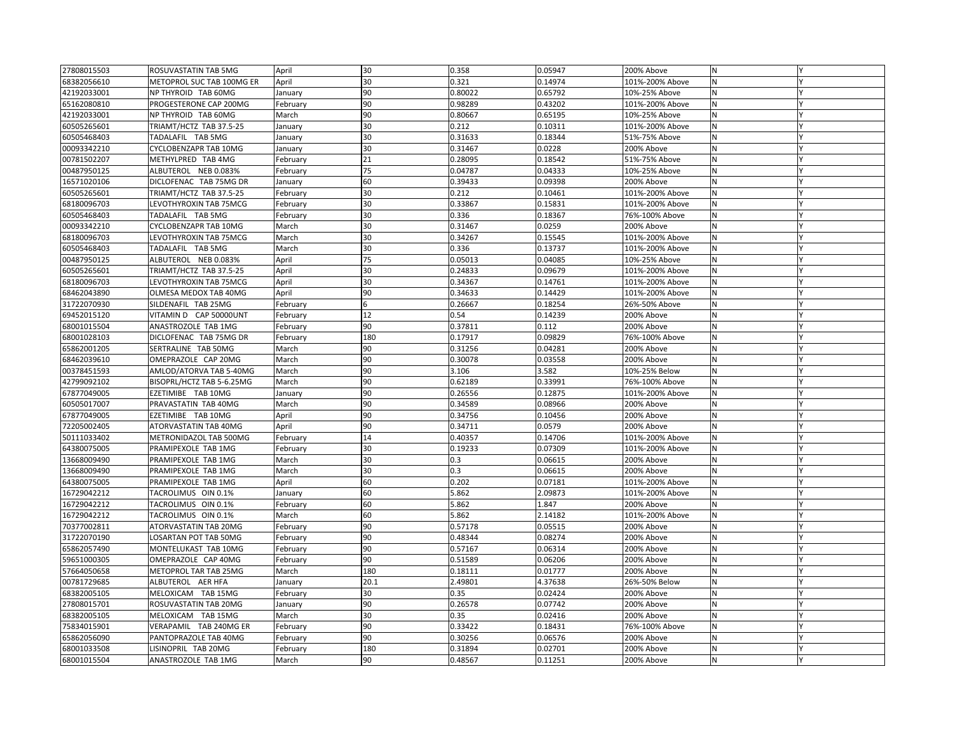| 27808015503 | ROSUVASTATIN TAB 5MG      | April    | 30   | 0.358   | 0.05947 | 200% Above      | N |  |
|-------------|---------------------------|----------|------|---------|---------|-----------------|---|--|
| 68382056610 | METOPROL SUC TAB 100MG ER | April    | 30   | 0.321   | 0.14974 | 101%-200% Above | N |  |
| 42192033001 | NP THYROID TAB 60MG       | January  | 90   | 0.80022 | 0.65792 | 10%-25% Above   |   |  |
| 65162080810 | PROGESTERONE CAP 200MG    | February | 90   | 0.98289 | 0.43202 | 101%-200% Above |   |  |
| 42192033001 | NP THYROID TAB 60MG       | March    | 90   | 0.80667 | 0.65195 | 10%-25% Above   | N |  |
| 60505265601 | TRIAMT/HCTZ TAB 37.5-25   | January  | 30   | 0.212   | 0.10311 | 101%-200% Above | N |  |
| 60505468403 | TADALAFIL TAB 5MG         | January  | 30   | 0.31633 | 0.18344 | 51%-75% Above   | N |  |
| 00093342210 | CYCLOBENZAPR TAB 10MG     | January  | 30   | 0.31467 | 0.0228  | 200% Above      | N |  |
| 00781502207 | METHYLPRED TAB 4MG        | February | 21   | 0.28095 | 0.18542 | 51%-75% Above   | N |  |
| 00487950125 | ALBUTEROL NEB 0.083%      | February | 75   | 0.04787 | 0.04333 | 10%-25% Above   | N |  |
| 16571020106 | DICLOFENAC TAB 75MG DR    | January  | 60   | 0.39433 | 0.09398 | 200% Above      | N |  |
| 60505265601 | TRIAMT/HCTZ TAB 37.5-25   | February | 30   | 0.212   | 0.10461 | 101%-200% Above | N |  |
| 68180096703 | LEVOTHYROXIN TAB 75MCG    | February | 30   | 0.33867 | 0.15831 | 101%-200% Above | N |  |
| 60505468403 | TADALAFIL TAB 5MG         | February | 30   | 0.336   | 0.18367 | 76%-100% Above  | N |  |
| 00093342210 | CYCLOBENZAPR TAB 10MG     | March    | 30   | 0.31467 | 0.0259  | 200% Above      | N |  |
| 68180096703 | LEVOTHYROXIN TAB 75MCG    | March    | 30   | 0.34267 | 0.15545 | 101%-200% Above | N |  |
| 60505468403 | TADALAFIL TAB 5MG         | March    | 30   | 0.336   | 0.13737 | 101%-200% Above |   |  |
| 00487950125 | ALBUTEROL NEB 0.083%      | April    | 75   | 0.05013 | 0.04085 | 10%-25% Above   | N |  |
| 60505265601 | TRIAMT/HCTZ TAB 37.5-25   | April    | 30   | 0.24833 | 0.09679 | 101%-200% Above | N |  |
| 68180096703 | LEVOTHYROXIN TAB 75MCG    | April    | 30   | 0.34367 | 0.14761 | 101%-200% Above |   |  |
| 68462043890 | OLMESA MEDOX TAB 40MG     | April    | 90   | 0.34633 | 0.14429 | 101%-200% Above | N |  |
| 31722070930 | SILDENAFIL TAB 25MG       | February | 6    | 0.26667 | 0.18254 | 26%-50% Above   | N |  |
| 69452015120 | VITAMIN D CAP 50000UNT    | February | 12   | 0.54    | 0.14239 | 200% Above      | N |  |
| 68001015504 | ANASTROZOLE TAB 1MG       | February | 90   | 0.37811 | 0.112   | 200% Above      |   |  |
| 68001028103 | DICLOFENAC TAB 75MG DR    | February | 180  | 0.17917 | 0.09829 | 76%-100% Above  | N |  |
| 65862001205 | SERTRALINE TAB 50MG       | March    | 90   | 0.31256 | 0.04281 | 200% Above      | N |  |
| 68462039610 | OMEPRAZOLE CAP 20MG       | March    | 90   | 0.30078 | 0.03558 | 200% Above      | N |  |
| 00378451593 | AMLOD/ATORVA TAB 5-40MG   | March    | 90   | 3.106   | 3.582   | 10%-25% Below   | N |  |
| 42799092102 | BISOPRL/HCTZ TAB 5-6.25MG | March    | 90   | 0.62189 | 0.33991 | 76%-100% Above  | N |  |
| 67877049005 | EZETIMIBE TAB 10MG        | January  | 90   | 0.26556 | 0.12875 | 101%-200% Above | N |  |
| 60505017007 | PRAVASTATIN TAB 40MG      | March    | 90   | 0.34589 | 0.08966 | 200% Above      | N |  |
| 67877049005 | EZETIMIBE TAB 10MG        | April    | 90   | 0.34756 | 0.10456 | 200% Above      | N |  |
| 72205002405 | ATORVASTATIN TAB 40MG     | April    | 90   | 0.34711 | 0.0579  | 200% Above      | И |  |
| 50111033402 | METRONIDAZOL TAB 500MG    | February | 14   | 0.40357 | 0.14706 | 101%-200% Above | N |  |
| 64380075005 | PRAMIPEXOLE TAB 1MG       | February | 30   | 0.19233 | 0.07309 | 101%-200% Above | N |  |
| 13668009490 | PRAMIPEXOLE TAB 1MG       | March    | 30   | 0.3     | 0.06615 | 200% Above      | N |  |
| 13668009490 | PRAMIPEXOLE TAB 1MG       | March    | 30   | 0.3     | 0.06615 | 200% Above      | N |  |
| 64380075005 | PRAMIPEXOLE TAB 1MG       | April    | 60   | 0.202   | 0.07181 | 101%-200% Above | N |  |
| 16729042212 | TACROLIMUS OIN 0.1%       | January  | 60   | 5.862   | 2.09873 | 101%-200% Above | N |  |
| 16729042212 | TACROLIMUS OIN 0.1%       | February | 60   | 5.862   | 1.847   | 200% Above      | N |  |
| 16729042212 | TACROLIMUS OIN 0.1%       | March    | 60   | 5.862   | 2.14182 | 101%-200% Above | N |  |
| 70377002811 | ATORVASTATIN TAB 20MG     | February | 90   | 0.57178 | 0.05515 | 200% Above      |   |  |
| 31722070190 | LOSARTAN POT TAB 50MG     | February | 90   | 0.48344 | 0.08274 | 200% Above      | N |  |
| 65862057490 | MONTELUKAST TAB 10MG      | February | 90   | 0.57167 | 0.06314 | 200% Above      | N |  |
| 59651000305 | OMEPRAZOLE CAP 40MG       | February | 90   | 0.51589 | 0.06206 | 200% Above      |   |  |
| 57664050658 | METOPROL TAR TAB 25MG     | March    | 180  | 0.18111 | 0.01777 | 200% Above      |   |  |
| 00781729685 | ALBUTEROL AER HFA         | January  | 20.1 | 2.49801 | 4.37638 | 26%-50% Below   | N |  |
| 68382005105 | MELOXICAM<br>TAB 15MG     | February | 30   | 0.35    | 0.02424 | 200% Above      | N |  |
| 27808015701 | ROSUVASTATIN TAB 20MG     | January  | 90   | 0.26578 | 0.07742 | 200% Above      | N |  |
| 68382005105 | MELOXICAM TAB 15MG        | March    | 30   | 0.35    | 0.02416 | 200% Above      | N |  |
| 75834015901 | VERAPAMIL<br>TAB 240MG ER | February | 90   | 0.33422 | 0.18431 | 76%-100% Above  | N |  |
| 65862056090 | PANTOPRAZOLE TAB 40MG     | February | 90   | 0.30256 | 0.06576 | 200% Above      | N |  |
| 68001033508 | LISINOPRIL TAB 20MG       | February | 180  | 0.31894 | 0.02701 | 200% Above      | N |  |
| 68001015504 | ANASTROZOLE TAB 1MG       | March    | 90   | 0.48567 | 0.11251 | 200% Above      | N |  |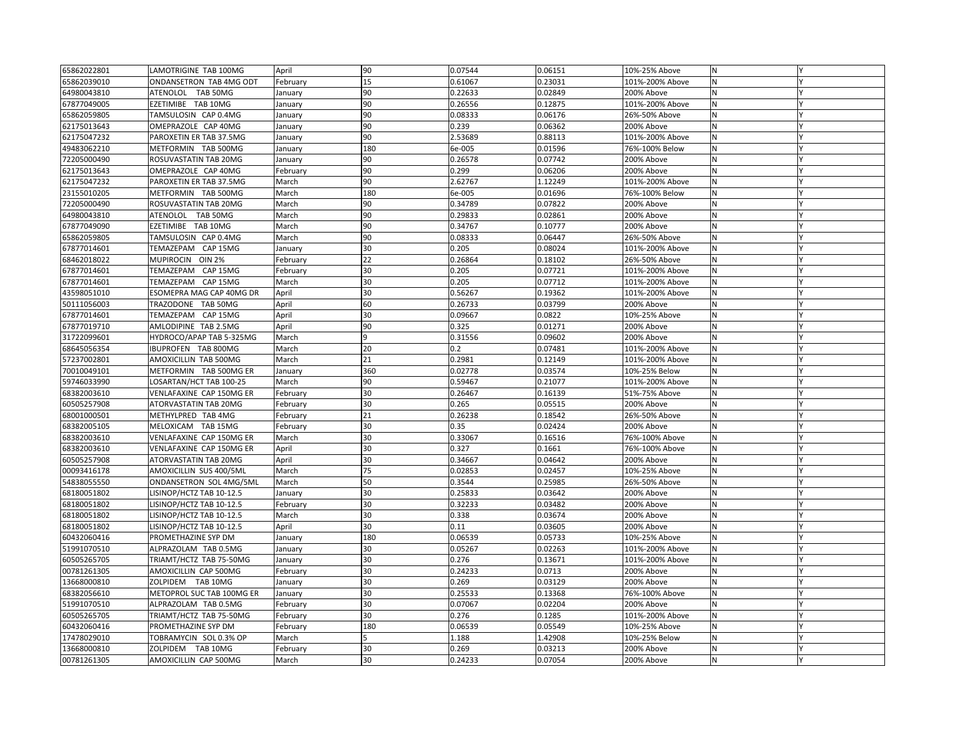| 65862022801 | LAMOTRIGINE TAB 100MG             | April    | 90  | 0.07544 | 0.06151 | 10%-25% Above   | N      |  |
|-------------|-----------------------------------|----------|-----|---------|---------|-----------------|--------|--|
| 65862039010 | ONDANSETRON TAB 4MG ODT           | February | 15  | 0.61067 | 0.23031 | 101%-200% Above | N      |  |
| 64980043810 | ATENOLOL TAB 50MG                 | January  | 90  | 0.22633 | 0.02849 | 200% Above      |        |  |
| 67877049005 | EZETIMIBE TAB 10MG                | January  | 90  | 0.26556 | 0.12875 | 101%-200% Above | N      |  |
| 65862059805 | TAMSULOSIN CAP 0.4MG              | January  | 90  | 0.08333 | 0.06176 | 26%-50% Above   | N      |  |
| 62175013643 | OMEPRAZOLE CAP 40MG               | January  | 90  | 0.239   | 0.06362 | 200% Above      | N      |  |
| 62175047232 | PAROXETIN ER TAB 37.5MG           | January  | 90  | 2.53689 | 0.88113 | 101%-200% Above | N      |  |
| 49483062210 | METFORMIN TAB 500MG               | January  | 180 | 6e-005  | 0.01596 | 76%-100% Below  | N      |  |
| 72205000490 | ROSUVASTATIN TAB 20MG             | January  | 90  | 0.26578 | 0.07742 | 200% Above      | N      |  |
| 62175013643 | OMEPRAZOLE CAP 40MG               | February | 90  | 0.299   | 0.06206 | 200% Above      | N      |  |
| 62175047232 | PAROXETIN ER TAB 37.5MG           | March    | 90  | 2.62767 | 1.12249 | 101%-200% Above | N      |  |
| 23155010205 | METFORMIN TAB 500MG               | March    | 180 | 6e-005  | 0.01696 | 76%-100% Below  | N      |  |
| 72205000490 | ROSUVASTATIN TAB 20MG             | March    | 90  | 0.34789 | 0.07822 | 200% Above      | N      |  |
| 64980043810 | <b>ATENOLOL</b><br>TAB 50MG       | March    | 90  | 0.29833 | 0.02861 | 200% Above      | N      |  |
| 67877049090 | EZETIMIBE TAB 10MG                | March    | 90  | 0.34767 | 0.10777 | 200% Above      | N      |  |
| 65862059805 | TAMSULOSIN CAP 0.4MG              | March    | 90  | 0.08333 | 0.06447 | 26%-50% Above   | N      |  |
| 67877014601 | TEMAZEPAM<br>CAP 15MG             | January  | 30  | 0.205   | 0.08024 | 101%-200% Above |        |  |
| 68462018022 | <b>MUPIROCIN</b><br><b>OIN 2%</b> | February | 22  | 0.26864 | 0.18102 | 26%-50% Above   | N      |  |
| 67877014601 | CAP 15MG<br>TEMAZEPAM             | February | 30  | 0.205   | 0.07721 | 101%-200% Above | N      |  |
| 67877014601 | TEMAZEPAM CAP 15MG                | March    | 30  | 0.205   | 0.07712 | 101%-200% Above | и      |  |
| 43598051010 | ESOMEPRA MAG CAP 40MG DR          | April    | 30  | 0.56267 | 0.19362 | 101%-200% Above | N      |  |
| 50111056003 | TRAZODONE<br>TAB 50MG             | April    | 60  | 0.26733 | 0.03799 | 200% Above      | N      |  |
| 67877014601 | TEMAZEPAM CAP 15MG                | April    | 30  | 0.09667 | 0.0822  | 10%-25% Above   | N      |  |
| 67877019710 | AMLODIPINE TAB 2.5MG              | April    | 90  | 0.325   | 0.01271 | 200% Above      | N      |  |
| 31722099601 | HYDROCO/APAP TAB 5-325MG          | March    |     | 0.31556 | 0.09602 | 200% Above      |        |  |
| 68645056354 | IBUPROFEN TAB 800MG               | March    | 20  | 0.2     | 0.07481 | 101%-200% Above | N      |  |
| 57237002801 | AMOXICILLIN TAB 500MG             | March    | 21  | 0.2981  | 0.12149 | 101%-200% Above |        |  |
| 70010049101 | METFORMIN TAB 500MG ER            | January  | 360 | 0.02778 | 0.03574 | 10%-25% Below   | N      |  |
| 59746033990 | LOSARTAN/HCT TAB 100-25           | March    | 90  | 0.59467 | 0.21077 | 101%-200% Above | N      |  |
| 68382003610 | VENLAFAXINE CAP 150MG ER          | February | 30  | 0.26467 | 0.16139 | 51%-75% Above   | N      |  |
| 60505257908 | ATORVASTATIN TAB 20MG             | February | 30  | 0.265   | 0.05515 | 200% Above      | N      |  |
| 68001000501 | METHYLPRED TAB 4MG                | February | 21  | 0.26238 | 0.18542 | 26%-50% Above   | N      |  |
| 68382005105 | MELOXICAM TAB 15MG                | February | 30  | 0.35    | 0.02424 | 200% Above      | N      |  |
| 68382003610 | VENLAFAXINE CAP 150MG ER          | March    | 30  | 0.33067 | 0.16516 | 76%-100% Above  | N      |  |
| 68382003610 | VENLAFAXINE CAP 150MG ER          | April    | 30  | 0.327   | 0.1661  | 76%-100% Above  | N      |  |
| 60505257908 | ATORVASTATIN TAB 20MG             | April    | 30  | 0.34667 | 0.04642 | 200% Above      | N      |  |
| 00093416178 | AMOXICILLIN SUS 400/5ML           | March    | 75  | 0.02853 | 0.02457 | 10%-25% Above   | N      |  |
| 54838055550 | ONDANSETRON SOL 4MG/5ML           | March    | 50  | 0.3544  | 0.25985 | 26%-50% Above   | N      |  |
| 68180051802 | LISINOP/HCTZ TAB 10-12.5          | January  | 30  | 0.25833 | 0.03642 | 200% Above      | N      |  |
| 68180051802 | LISINOP/HCTZ TAB 10-12.5          | February | 30  | 0.32233 | 0.03482 | 200% Above      |        |  |
| 68180051802 | LISINOP/HCTZ TAB 10-12.5          | March    | 30  | 0.338   | 0.03674 | 200% Above      | N      |  |
| 68180051802 | LISINOP/HCTZ TAB 10-12.5          | April    | 30  | 0.11    | 0.03605 | 200% Above      | N      |  |
| 60432060416 | PROMETHAZINE SYP DM               | January  | 180 | 0.06539 | 0.05733 | 10%-25% Above   | N      |  |
| 51991070510 | ALPRAZOLAM TAB 0.5MG              | January  | 30  | 0.05267 | 0.02263 | 101%-200% Above | N      |  |
| 60505265705 | TRIAMT/HCTZ TAB 75-50MG           | January  | 30  | 0.276   | 0.13671 | 101%-200% Above | N      |  |
| 00781261305 | AMOXICILLIN CAP 500MG             | February | 30  | 0.24233 | 0.0713  | 200% Above      |        |  |
| 13668000810 | ZOLPIDEM TAB 10MG                 | January  | 30  | 0.269   | 0.03129 | 200% Above      | N      |  |
| 68382056610 | METOPROL SUC TAB 100MG ER         | January  | 30  | 0.25533 | 0.13368 | 76%-100% Above  | Ν      |  |
| 51991070510 | ALPRAZOLAM TAB 0.5MG              | February | 30  | 0.07067 | 0.02204 | 200% Above      | N      |  |
| 60505265705 | TRIAMT/HCTZ TAB 75-50MG           | February | 30  | 0.276   | 0.1285  | 101%-200% Above | N      |  |
| 60432060416 | PROMETHAZINE SYP DM               | February | 180 | 0.06539 | 0.05549 | 10%-25% Above   | N      |  |
| 17478029010 | TOBRAMYCIN SOL 0.3% OP            | March    |     | 1.188   | 1.42908 | 10%-25% Below   | N<br>N |  |
| 13668000810 | ZOLPIDEM TAB 10MG                 | February | 30  | 0.269   | 0.03213 | 200% Above      |        |  |
| 00781261305 | AMOXICILLIN CAP 500MG             | March    | 30  | 0.24233 | 0.07054 | 200% Above      | N      |  |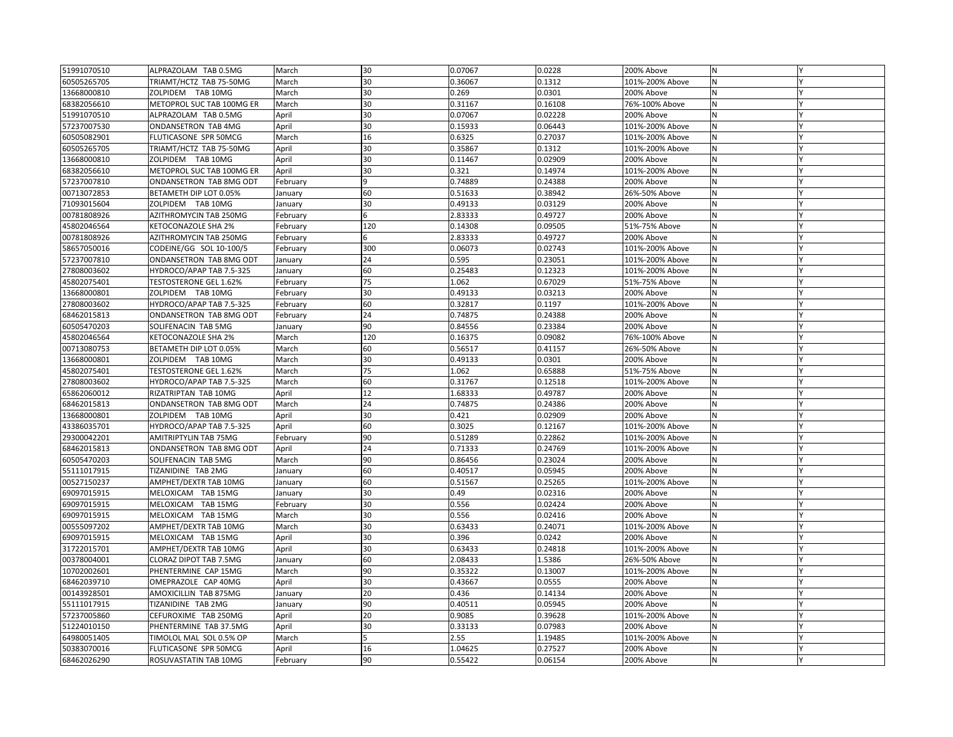| 51991070510 | ALPRAZOLAM TAB 0.5MG      | March    | 30  | 0.07067 | 0.0228  | 200% Above      | N |  |
|-------------|---------------------------|----------|-----|---------|---------|-----------------|---|--|
| 60505265705 | TRIAMT/HCTZ TAB 75-50MG   | March    | 30  | 0.36067 | 0.1312  | 101%-200% Above | N |  |
| 13668000810 | ZOLPIDEM TAB 10MG         | March    | 30  | 0.269   | 0.0301  | 200% Above      | N |  |
| 68382056610 | METOPROL SUC TAB 100MG ER | March    | 30  | 0.31167 | 0.16108 | 76%-100% Above  | N |  |
| 51991070510 | ALPRAZOLAM TAB 0.5MG      | April    | 30  | 0.07067 | 0.02228 | 200% Above      | N |  |
| 57237007530 | ONDANSETRON TAB 4MG       | April    | 30  | 0.15933 | 0.06443 | 101%-200% Above | N |  |
| 60505082901 | FLUTICASONE SPR 50MCG     | March    | 16  | 0.6325  | 0.27037 | 101%-200% Above | N |  |
| 60505265705 | TRIAMT/HCTZ TAB 75-50MG   | April    | 30  | 0.35867 | 0.1312  | 101%-200% Above | N |  |
| 13668000810 | ZOLPIDEM TAB 10MG         | April    | 30  | 0.11467 | 0.02909 | 200% Above      | N |  |
| 68382056610 | METOPROL SUC TAB 100MG ER | April    | 30  | 0.321   | 0.14974 | 101%-200% Above | N |  |
| 57237007810 | ONDANSETRON TAB 8MG ODT   | February | q   | 0.74889 | 0.24388 | 200% Above      |   |  |
| 00713072853 | BETAMETH DIP LOT 0.05%    | January  | 60  | 0.51633 | 0.38942 | 26%-50% Above   | N |  |
| 71093015604 | ZOLPIDEM TAB 10MG         | January  | 30  | 0.49133 | 0.03129 | 200% Above      | Ń |  |
| 00781808926 | AZITHROMYCIN TAB 250MG    | February | 6   | 2.83333 | 0.49727 | 200% Above      | N |  |
| 45802046564 | KETOCONAZOLE SHA 2%       | February | 120 | 0.14308 | 0.09505 | 51%-75% Above   | N |  |
| 00781808926 | AZITHROMYCIN TAB 250MG    | February | 6   | 2.83333 | 0.49727 | 200% Above      | N |  |
| 58657050016 | CODEINE/GG SOL 10-100/5   | February | 300 | 0.06073 | 0.02743 | 101%-200% Above |   |  |
| 57237007810 | ONDANSETRON TAB 8MG ODT   | January  | 24  | 0.595   | 0.23051 | 101%-200% Above | N |  |
| 27808003602 | HYDROCO/APAP TAB 7.5-325  | January  | 60  | 0.25483 | 0.12323 | 101%-200% Above | N |  |
| 45802075401 | TESTOSTERONE GEL 1.62%    | February | 75  | 1.062   | 0.67029 | 51%-75% Above   | N |  |
| 13668000801 | ZOLPIDEM TAB 10MG         | February | 30  | 0.49133 | 0.03213 | 200% Above      |   |  |
| 27808003602 | HYDROCO/APAP TAB 7.5-325  | February | 60  | 0.32817 | 0.1197  | 101%-200% Above | N |  |
| 68462015813 | ONDANSETRON TAB 8MG ODT   | February | 24  | 0.74875 | 0.24388 | 200% Above      | N |  |
| 60505470203 | SOLIFENACIN TAB 5MG       | January  | 90  | 0.84556 | 0.23384 | 200% Above      | N |  |
| 45802046564 | KETOCONAZOLE SHA 2%       | March    | 120 | 0.16375 | 0.09082 | 76%-100% Above  | N |  |
| 00713080753 | BETAMETH DIP LOT 0.05%    | March    | 60  | 0.56517 | 0.41157 | 26%-50% Above   | N |  |
| 13668000801 | ZOLPIDEM TAB 10MG         | March    | 30  | 0.49133 | 0.0301  | 200% Above      | N |  |
| 45802075401 | TESTOSTERONE GEL 1.62%    | March    | 75  | 1.062   | 0.65888 | 51%-75% Above   | N |  |
| 27808003602 | HYDROCO/APAP TAB 7.5-325  | March    | 60  | 0.31767 | 0.12518 | 101%-200% Above | N |  |
| 65862060012 | RIZATRIPTAN TAB 10MG      | April    | 12  | 1.68333 | 0.49787 | 200% Above      | N |  |
| 68462015813 | ONDANSETRON TAB 8MG ODT   | March    | 24  | 0.74875 | 0.24386 | 200% Above      | N |  |
| 13668000801 | ZOLPIDEM TAB 10MG         | April    | 30  | 0.421   | 0.02909 | 200% Above      | N |  |
| 43386035701 | HYDROCO/APAP TAB 7.5-325  | April    | 60  | 0.3025  | 0.12167 | 101%-200% Above | N |  |
| 29300042201 | AMITRIPTYLIN TAB 75MG     | February | 90  | 0.51289 | 0.22862 | 101%-200% Above | N |  |
| 68462015813 | ONDANSETRON TAB 8MG ODT   | April    | 24  | 0.71333 | 0.24769 | 101%-200% Above | N |  |
| 60505470203 | SOLIFENACIN TAB 5MG       | March    | 90  | 0.86456 | 0.23024 | 200% Above      | N |  |
| 55111017915 | TIZANIDINE TAB 2MG        | January  | 60  | 0.40517 | 0.05945 | 200% Above      | N |  |
| 00527150237 | AMPHET/DEXTR TAB 10MG     | January  | 60  | 0.51567 | 0.25265 | 101%-200% Above | N |  |
| 69097015915 | MELOXICAM TAB 15MG        | January  | 30  | 0.49    | 0.02316 | 200% Above      | N |  |
| 69097015915 | MELOXICAM<br>TAB 15MG     | February | 30  | 0.556   | 0.02424 | 200% Above      | N |  |
| 69097015915 | MELOXICAM TAB 15MG        | March    | 30  | 0.556   | 0.02416 | 200% Above      | N |  |
| 00555097202 | AMPHET/DEXTR TAB 10MG     | March    | 30  | 0.63433 | 0.24071 | 101%-200% Above | N |  |
| 69097015915 | MELOXICAM TAB 15MG        | April    | 30  | 0.396   | 0.0242  | 200% Above      |   |  |
| 31722015701 | AMPHET/DEXTR TAB 10MG     | April    | 30  | 0.63433 | 0.24818 | 101%-200% Above | N |  |
| 00378004001 | CLORAZ DIPOT TAB 7.5MG    | January  | 60  | 2.08433 | 1.5386  | 26%-50% Above   | N |  |
| 10702002601 | PHENTERMINE CAP 15MG      | March    | 90  | 0.35322 | 0.13007 | 101%-200% Above | N |  |
| 68462039710 | OMEPRAZOLE CAP 40MG       | April    | 30  | 0.43667 | 0.0555  | 200% Above      | Ń |  |
| 00143928501 | AMOXICILLIN TAB 875MG     | January  | 20  | 0.436   | 0.14134 | 200% Above      | N |  |
| 55111017915 | TIZANIDINE TAB 2MG        | January  | 90  | 0.40511 | 0.05945 | 200% Above      | Ν |  |
| 57237005860 | CEFUROXIME TAB 250MG      | April    | 20  | 0.9085  | 0.39628 | 101%-200% Above | N |  |
| 51224010150 | PHENTERMINE TAB 37.5MG    | April    | 30  | 0.33133 | 0.07983 | 200% Above      |   |  |
| 64980051405 | TIMOLOL MAL SOL 0.5% OP   | March    |     | 2.55    | 1.19485 | 101%-200% Above | N |  |
| 50383070016 | FLUTICASONE SPR 50MCG     | April    | 16  | 1.04625 | 0.27527 | 200% Above      | N |  |
| 68462026290 | ROSUVASTATIN TAB 10MG     | February | 90  | 0.55422 | 0.06154 | 200% Above      | Ν |  |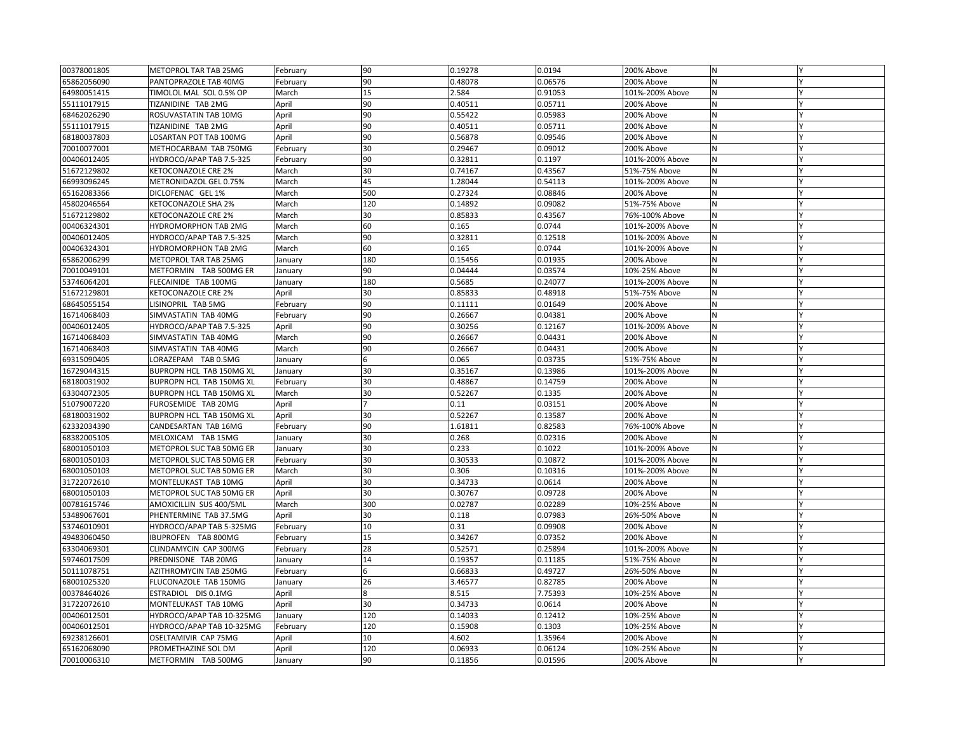| 00378001805 | METOPROL TAR TAB 25MG       | February | 90  | 0.19278 | 0.0194  | 200% Above      | N |  |
|-------------|-----------------------------|----------|-----|---------|---------|-----------------|---|--|
| 65862056090 | PANTOPRAZOLE TAB 40MG       | February | 90  | 0.48078 | 0.06576 | 200% Above      | N |  |
| 64980051415 | TIMOLOL MAL SOL 0.5% OP     | March    | 15  | 2.584   | 0.91053 | 101%-200% Above | N |  |
| 55111017915 | TIZANIDINE TAB 2MG          | April    | 90  | 0.40511 | 0.05711 | 200% Above      |   |  |
| 68462026290 | ROSUVASTATIN TAB 10MG       | April    | 90  | 0.55422 | 0.05983 | 200% Above      | N |  |
| 55111017915 | TIZANIDINE TAB 2MG          | April    | 90  | 0.40511 | 0.05711 | 200% Above      | N |  |
| 68180037803 | LOSARTAN POT TAB 100MG      | April    | 90  | 0.56878 | 0.09546 | 200% Above      | N |  |
| 70010077001 | METHOCARBAM TAB 750MG       | February | 30  | 0.29467 | 0.09012 | 200% Above      | N |  |
| 00406012405 | HYDROCO/APAP TAB 7.5-325    | February | 90  | 0.32811 | 0.1197  | 101%-200% Above | N |  |
| 51672129802 | KETOCONAZOLE CRE 2%         | March    | 30  | 0.74167 | 0.43567 | 51%-75% Above   | N |  |
| 66993096245 | METRONIDAZOL GEL 0.75%      | March    | 45  | 1.28044 | 0.54113 | 101%-200% Above | N |  |
| 65162083366 | DICLOFENAC GEL 1%           | March    | 500 | 0.27324 | 0.08846 | 200% Above      | Ν |  |
| 45802046564 | KETOCONAZOLE SHA 2%         | March    | 120 | 0.14892 | 0.09082 | 51%-75% Above   | N |  |
| 51672129802 | KETOCONAZOLE CRE 2%         | March    | 30  | 0.85833 | 0.43567 | 76%-100% Above  | N |  |
| 00406324301 | <b>HYDROMORPHON TAB 2MG</b> | March    | 60  | 0.165   | 0.0744  | 101%-200% Above | N |  |
| 00406012405 | HYDROCO/APAP TAB 7.5-325    | March    | 90  | 0.32811 | 0.12518 | 101%-200% Above | N |  |
| 00406324301 | HYDROMORPHON TAB 2MG        | March    | 60  | 0.165   | 0.0744  | 101%-200% Above | N |  |
| 65862006299 | METOPROL TAR TAB 25MG       | January  | 180 | 0.15456 | 0.01935 | 200% Above      | N |  |
| 70010049101 | METFORMIN TAB 500MG ER      | January  | 90  | 0.04444 | 0.03574 | 10%-25% Above   | N |  |
| 53746064201 | FLECAINIDE TAB 100MG        | January  | 180 | 0.5685  | 0.24077 | 101%-200% Above | N |  |
| 51672129801 | KETOCONAZOLE CRE 2%         | April    | 30  | 0.85833 | 0.48918 | 51%-75% Above   | N |  |
| 68645055154 | LISINOPRIL TAB 5MG          | February | 90  | 0.11111 | 0.01649 | 200% Above      | N |  |
| 16714068403 | SIMVASTATIN TAB 40MG        | February | 90  | 0.26667 | 0.04381 | 200% Above      | N |  |
| 00406012405 | HYDROCO/APAP TAB 7.5-325    | April    | 90  | 0.30256 | 0.12167 | 101%-200% Above | N |  |
| 16714068403 | SIMVASTATIN TAB 40MG        | March    | 90  | 0.26667 | 0.04431 | 200% Above      | N |  |
| 16714068403 | SIMVASTATIN TAB 40MG        | March    | 90  | 0.26667 | 0.04431 | 200% Above      | N |  |
| 69315090405 | LORAZEPAM TAB 0.5MG         | January  |     | 0.065   | 0.03735 | 51%-75% Above   | N |  |
| 16729044315 | BUPROPN HCL TAB 150MG XL    | January  | 30  | 0.35167 | 0.13986 | 101%-200% Above | N |  |
| 68180031902 | BUPROPN HCL TAB 150MG XL    | February | 30  | 0.48867 | 0.14759 | 200% Above      | N |  |
| 63304072305 | BUPROPN HCL TAB 150MG XL    | March    | 30  | 0.52267 | 0.1335  | 200% Above      | N |  |
| 51079007220 | FUROSEMIDE TAB 20MG         | April    |     | 0.11    | 0.03151 | 200% Above      | N |  |
| 68180031902 | BUPROPN HCL TAB 150MG XL    | April    | 30  | 0.52267 | 0.13587 | 200% Above      | N |  |
| 62332034390 | CANDESARTAN TAB 16MG        | February | 90  | 1.61811 | 0.82583 | 76%-100% Above  | N |  |
| 68382005105 | MELOXICAM TAB 15MG          | January  | 30  | 0.268   | 0.02316 | 200% Above      | N |  |
| 68001050103 | METOPROL SUC TAB 50MG ER    | January  | 30  | 0.233   | 0.1022  | 101%-200% Above | N |  |
| 68001050103 | METOPROL SUC TAB 50MG ER    | February | 30  | 0.30533 | 0.10872 | 101%-200% Above | N |  |
| 68001050103 | METOPROL SUC TAB 50MG ER    | March    | 30  | 0.306   | 0.10316 | 101%-200% Above | N |  |
| 31722072610 | MONTELUKAST TAB 10MG        | April    | 30  | 0.34733 | 0.0614  | 200% Above      |   |  |
| 68001050103 | METOPROL SUC TAB 50MG ER    | April    | 30  | 0.30767 | 0.09728 | 200% Above      | N |  |
| 00781615746 | AMOXICILLIN SUS 400/5ML     | March    | 300 | 0.02787 | 0.02289 | 10%-25% Above   | N |  |
| 53489067601 | PHENTERMINE TAB 37.5MG      | April    | 30  | 0.118   | 0.07983 | 26%-50% Above   | N |  |
| 53746010901 | HYDROCO/APAP TAB 5-325MG    | February | 10  | 0.31    | 0.09908 | 200% Above      | N |  |
| 49483060450 | IBUPROFEN TAB 800MG         | February | 15  | 0.34267 | 0.07352 | 200% Above      | N |  |
| 63304069301 | CLINDAMYCIN CAP 300MG       | February | 28  | 0.52571 | 0.25894 | 101%-200% Above | N |  |
| 59746017509 | PREDNISONE TAB 20MG         | January  | 14  | 0.19357 | 0.11185 | 51%-75% Above   | N |  |
| 50111078751 | AZITHROMYCIN TAB 250MG      | February |     | 0.66833 | 0.49727 | 26%-50% Above   |   |  |
| 68001025320 | FLUCONAZOLE TAB 150MG       | January  | 26  | 3.46577 | 0.82785 | 200% Above      | N |  |
| 00378464026 | ESTRADIOL DIS 0.1MG         | April    |     | 8.515   | 7.75393 | 10%-25% Above   | N |  |
| 31722072610 | MONTELUKAST TAB 10MG        | April    | 30  | 0.34733 | 0.0614  | 200% Above      | N |  |
| 00406012501 | HYDROCO/APAP TAB 10-325MG   | January  | 120 | 0.14033 | 0.12412 | 10%-25% Above   | N |  |
| 00406012501 | HYDROCO/APAP TAB 10-325MG   | February | 120 | 0.15908 | 0.1303  | 10%-25% Above   | N |  |
| 69238126601 | OSELTAMIVIR CAP 75MG        | April    | 10  | 4.602   | 1.35964 | 200% Above      | N |  |
| 65162068090 | PROMETHAZINE SOL DM         | April    | 120 | 0.06933 | 0.06124 | 10%-25% Above   | N |  |
| 70010006310 | METFORMIN TAB 500MG         | January  | 90  | 0.11856 | 0.01596 | 200% Above      | N |  |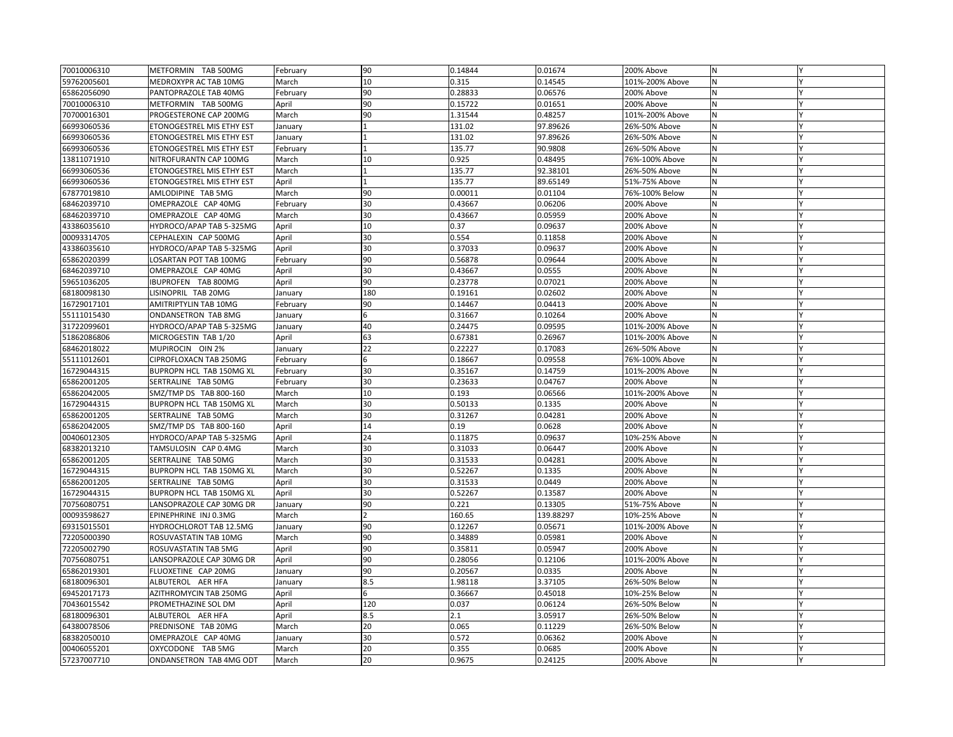| 70010006310 | METFORMIN TAB 500MG       | February | 90  | 0.14844 | 0.01674   | 200% Above      | IN. |  |
|-------------|---------------------------|----------|-----|---------|-----------|-----------------|-----|--|
| 59762005601 | MEDROXYPR AC TAB 10MG     | March    | 10  | 0.315   | 0.14545   | 101%-200% Above | N   |  |
| 65862056090 | PANTOPRAZOLE TAB 40MG     | February | 90  | 0.28833 | 0.06576   | 200% Above      | N   |  |
| 70010006310 | METFORMIN TAB 500MG       | April    | 90  | 0.15722 | 0.01651   | 200% Above      |     |  |
| 70700016301 | PROGESTERONE CAP 200MG    | March    | 90  | 1.31544 | 0.48257   | 101%-200% Above | N   |  |
| 66993060536 | ETONOGESTREL MIS ETHY EST | January  |     | 131.02  | 97.89626  | 26%-50% Above   |     |  |
| 66993060536 | ETONOGESTREL MIS ETHY EST | January  |     | 131.02  | 97.89626  | 26%-50% Above   | N   |  |
| 66993060536 | ETONOGESTREL MIS ETHY EST | February |     | 135.77  | 90.9808   | 26%-50% Above   |     |  |
| 13811071910 | NITROFURANTN CAP 100MG    | March    | 10  | 0.925   | 0.48495   | 76%-100% Above  | N   |  |
| 66993060536 | ETONOGESTREL MIS ETHY EST | March    |     | 135.77  | 92.38101  | 26%-50% Above   | N   |  |
| 66993060536 | ETONOGESTREL MIS ETHY EST | April    | 1   | 135.77  | 89.65149  | 51%-75% Above   | N   |  |
| 67877019810 | AMLODIPINE TAB 5MG        | March    | 90  | 0.00011 | 0.01104   | 76%-100% Below  | N   |  |
| 68462039710 | OMEPRAZOLE CAP 40MG       | February | 30  | 0.43667 | 0.06206   | 200% Above      | N   |  |
| 68462039710 | OMEPRAZOLE CAP 40MG       | March    | 30  | 0.43667 | 0.05959   | 200% Above      | N   |  |
| 43386035610 | HYDROCO/APAP TAB 5-325MG  | April    | 10  | 0.37    | 0.09637   | 200% Above      | N   |  |
| 00093314705 | CEPHALEXIN CAP 500MG      | April    | 30  | 0.554   | 0.11858   | 200% Above      | N   |  |
| 43386035610 | HYDROCO/APAP TAB 5-325MG  | April    | 30  | 0.37033 | 0.09637   | 200% Above      | N   |  |
| 65862020399 | LOSARTAN POT TAB 100MG    | February | 90  | 0.56878 | 0.09644   | 200% Above      | N   |  |
| 68462039710 | OMEPRAZOLE CAP 40MG       | April    | 30  | 0.43667 | 0.0555    | 200% Above      |     |  |
| 59651036205 | IBUPROFEN TAB 800MG       | April    | 90  | 0.23778 | 0.07021   | 200% Above      | N   |  |
| 68180098130 | LISINOPRIL TAB 20MG       | January  | 180 | 0.19161 | 0.02602   | 200% Above      | N   |  |
| 16729017101 | AMITRIPTYLIN TAB 10MG     | February | 90  | 0.14467 | 0.04413   | 200% Above      | N   |  |
| 55111015430 | ONDANSETRON TAB 8MG       | January  |     | 0.31667 | 0.10264   | 200% Above      | N   |  |
| 31722099601 | HYDROCO/APAP TAB 5-325MG  | January  | 40  | 0.24475 | 0.09595   | 101%-200% Above | N   |  |
| 51862086806 | MICROGESTIN TAB 1/20      | April    | 63  | 0.67381 | 0.26967   | 101%-200% Above | N   |  |
| 68462018022 | MUPIROCIN OIN 2%          | January  | 22  | 0.22227 | 0.17083   | 26%-50% Above   | N   |  |
| 55111012601 | CIPROFLOXACN TAB 250MG    | February | 6   | 0.18667 | 0.09558   | 76%-100% Above  | N   |  |
| 16729044315 | BUPROPN HCL TAB 150MG XL  | February | 30  | 0.35167 | 0.14759   | 101%-200% Above | N   |  |
| 65862001205 | SERTRALINE TAB 50MG       | February | 30  | 0.23633 | 0.04767   | 200% Above      | N   |  |
| 65862042005 | SMZ/TMP DS TAB 800-160    | March    | 10  | 0.193   | 0.06566   | 101%-200% Above | N   |  |
| 16729044315 | BUPROPN HCL TAB 150MG XL  | March    | 30  | 0.50133 | 0.1335    | 200% Above      | N   |  |
| 65862001205 | SERTRALINE TAB 50MG       | March    | 30  | 0.31267 | 0.04281   | 200% Above      |     |  |
| 65862042005 | SMZ/TMP DS TAB 800-160    | April    | 14  | 0.19    | 0.0628    | 200% Above      | N   |  |
| 00406012305 | HYDROCO/APAP TAB 5-325MG  | April    | 24  | 0.11875 | 0.09637   | 10%-25% Above   |     |  |
| 68382013210 | TAMSULOSIN CAP 0.4MG      | March    | 30  | 0.31033 | 0.06447   | 200% Above      | N   |  |
| 65862001205 | SERTRALINE TAB 50MG       | March    | 30  | 0.31533 | 0.04281   | 200% Above      | N   |  |
| 16729044315 | BUPROPN HCL TAB 150MG XL  | March    | 30  | 0.52267 | 0.1335    | 200% Above      |     |  |
| 65862001205 | SERTRALINE TAB 50MG       | April    | 30  | 0.31533 | 0.0449    | 200% Above      |     |  |
| 16729044315 | BUPROPN HCL TAB 150MG XL  | April    | 30  | 0.52267 | 0.13587   | 200% Above      | N   |  |
| 70756080751 | LANSOPRAZOLE CAP 30MG DR  | January  | 90  | 0.221   | 0.13305   | 51%-75% Above   | N   |  |
| 00093598627 | EPINEPHRINE INJ 0.3MG     | March    |     | 160.65  | 139.88297 | 10%-25% Above   | N   |  |
| 69315015501 | HYDROCHLOROT TAB 12.5MG   | January  | 90  | 0.12267 | 0.05671   | 101%-200% Above | N   |  |
| 72205000390 | ROSUVASTATIN TAB 10MG     | March    | 90  | 0.34889 | 0.05981   | 200% Above      | N   |  |
| 72205002790 | ROSUVASTATIN TAB 5MG      | April    | 90  | 0.35811 | 0.05947   | 200% Above      | N   |  |
| 70756080751 | LANSOPRAZOLE CAP 30MG DR  | April    | 90  | 0.28056 | 0.12106   | 101%-200% Above | N   |  |
| 65862019301 | FLUOXETINE CAP 20MG       | January  | 90  | 0.20567 | 0.0335    | 200% Above      | N   |  |
| 68180096301 | ALBUTEROL AER HFA         | January  | 8.5 | 1.98118 | 3.37105   | 26%-50% Below   | Ń   |  |
| 69452017173 | AZITHROMYCIN TAB 250MG    | April    | 6   | 0.36667 | 0.45018   | 10%-25% Below   | N   |  |
| 70436015542 | PROMETHAZINE SOL DM       | April    | 120 | 0.037   | 0.06124   | 26%-50% Below   | N   |  |
| 68180096301 | ALBUTEROL AER HFA         | April    | 8.5 | 2.1     | 3.05917   | 26%-50% Below   | N   |  |
| 64380078506 | PREDNISONE TAB 20MG       | March    | 20  | 0.065   | 0.11229   | 26%-50% Below   |     |  |
| 68382050010 | OMEPRAZOLE CAP 40MG       | January  | 30  | 0.572   | 0.06362   | 200% Above      | N   |  |
| 00406055201 | OXYCODONE TAB 5MG         | March    | 20  | 0.355   | 0.0685    | 200% Above      | N   |  |
| 57237007710 | ONDANSETRON TAB 4MG ODT   | March    | 20  | 0.9675  | 0.24125   | 200% Above      | N   |  |
|             |                           |          |     |         |           |                 |     |  |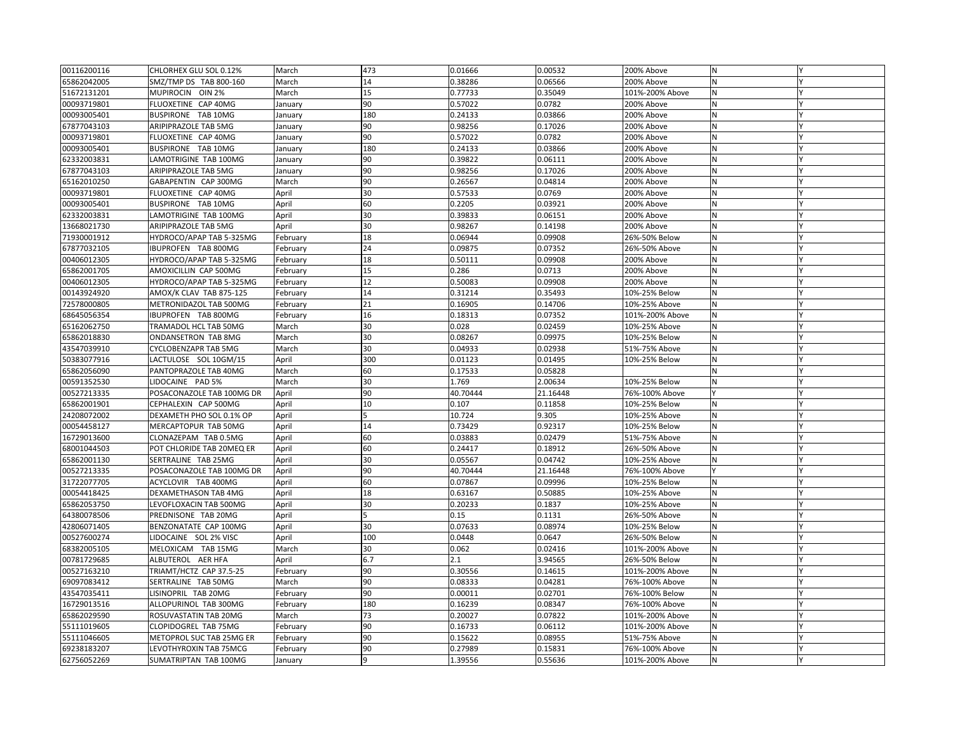| 00116200116 | CHLORHEX GLU SOL 0.12%      | March    | 473 | 0.01666  | 0.00532  | 200% Above      | N |  |
|-------------|-----------------------------|----------|-----|----------|----------|-----------------|---|--|
| 65862042005 | SMZ/TMP DS TAB 800-160      | March    | 14  | 0.38286  | 0.06566  | 200% Above      | N |  |
| 51672131201 | MUPIROCIN OIN 2%            | March    | 15  | 0.77733  | 0.35049  | 101%-200% Above | N |  |
| 00093719801 | FLUOXETINE CAP 40MG         | January  | 90  | 0.57022  | 0.0782   | 200% Above      | N |  |
| 00093005401 | BUSPIRONE TAB 10MG          | January  | 180 | 0.24133  | 0.03866  | 200% Above      | N |  |
| 67877043103 | ARIPIPRAZOLE TAB 5MG        | January  | 90  | 0.98256  | 0.17026  | 200% Above      | N |  |
| 00093719801 | FLUOXETINE CAP 40MG         | January  | 90  | 0.57022  | 0.0782   | 200% Above      | N |  |
| 00093005401 | BUSPIRONE TAB 10MG          | January  | 180 | 0.24133  | 0.03866  | 200% Above      | N |  |
| 62332003831 | LAMOTRIGINE TAB 100MG       | January  | 90  | 0.39822  | 0.06111  | 200% Above      | N |  |
| 67877043103 | ARIPIPRAZOLE TAB 5MG        | January  | 90  | 0.98256  | 0.17026  | 200% Above      | N |  |
| 65162010250 | GABAPENTIN CAP 300MG        | March    | 90  | 0.26567  | 0.04814  | 200% Above      | N |  |
| 00093719801 | FLUOXETINE CAP 40MG         | April    | 30  | 0.57533  | 0.0769   | 200% Above      | N |  |
| 00093005401 | BUSPIRONE TAB 10MG          | April    | 60  | 0.2205   | 0.03921  | 200% Above      | N |  |
| 62332003831 | LAMOTRIGINE TAB 100MG       | April    | 30  | 0.39833  | 0.06151  | 200% Above      | N |  |
| 13668021730 | ARIPIPRAZOLE TAB 5MG        | April    | 30  | 0.98267  | 0.14198  | 200% Above      | N |  |
| 71930001912 | HYDROCO/APAP TAB 5-325MG    | February | 18  | 0.06944  | 0.09908  | 26%-50% Below   | N |  |
| 67877032105 | IBUPROFEN TAB 800MG         | February | 24  | 0.09875  | 0.07352  | 26%-50% Above   |   |  |
| 00406012305 | HYDROCO/APAP TAB 5-325MG    | February | 18  | 0.50111  | 0.09908  | 200% Above      | N |  |
| 65862001705 | AMOXICILLIN CAP 500MG       | February | 15  | 0.286    | 0.0713   | 200% Above      | N |  |
| 00406012305 | HYDROCO/APAP TAB 5-325MG    | February | 12  | 0.50083  | 0.09908  | 200% Above      | N |  |
| 00143924920 | AMOX/K CLAV TAB 875-125     | February | 14  | 0.31214  | 0.35493  | 10%-25% Below   | N |  |
| 72578000805 | METRONIDAZOL TAB 500MG      | February | 21  | 0.16905  | 0.14706  | 10%-25% Above   | N |  |
| 68645056354 | IBUPROFEN TAB 800MG         | February | 16  | 0.18313  | 0.07352  | 101%-200% Above | N |  |
| 65162062750 | TRAMADOL HCL TAB 50MG       | March    | 30  | 0.028    | 0.02459  | 10%-25% Above   |   |  |
| 65862018830 | <b>ONDANSETRON TAB 8MG</b>  | March    | 30  | 0.08267  | 0.09975  | 10%-25% Below   | N |  |
| 43547039910 | <b>CYCLOBENZAPR TAB 5MG</b> | March    | 30  | 0.04933  | 0.02938  | 51%-75% Above   | N |  |
| 50383077916 | LACTULOSE SOL 10GM/15       | April    | 300 | 0.01123  | 0.01495  | 10%-25% Below   | N |  |
| 65862056090 | PANTOPRAZOLE TAB 40MG       | March    | 60  | 0.17533  | 0.05828  |                 | N |  |
| 00591352530 | LIDOCAINE PAD 5%            | March    | 30  | 1.769    | 2.00634  | 10%-25% Below   | N |  |
| 00527213335 | POSACONAZOLE TAB 100MG DR   | April    | 90  | 40.70444 | 21.16448 | 76%-100% Above  |   |  |
| 65862001901 | CEPHALEXIN CAP 500MG        | April    | 10  | 0.107    | 0.11858  | 10%-25% Below   | N |  |
| 24208072002 | DEXAMETH PHO SOL 0.1% OP    | April    |     | 10.724   | 9.305    | 10%-25% Above   |   |  |
| 00054458127 | MERCAPTOPUR TAB 50MG        | April    | 14  | 0.73429  | 0.92317  | 10%-25% Below   | N |  |
| 16729013600 | CLONAZEPAM TAB 0.5MG        | April    | 60  | 0.03883  | 0.02479  | 51%-75% Above   |   |  |
| 68001044503 | POT CHLORIDE TAB 20MEQ ER   | April    | 60  | 0.24417  | 0.18912  | 26%-50% Above   | N |  |
| 65862001130 | SERTRALINE TAB 25MG         | April    | 30  | 0.05567  | 0.04742  | 10%-25% Above   | N |  |
| 00527213335 | POSACONAZOLE TAB 100MG DR   | April    | 90  | 40.70444 | 21.16448 | 76%-100% Above  |   |  |
| 31722077705 | ACYCLOVIR TAB 400MG         | April    | 60  | 0.07867  | 0.09996  | 10%-25% Below   |   |  |
| 00054418425 | DEXAMETHASON TAB 4MG        | April    | 18  | 0.63167  | 0.50885  | 10%-25% Above   | N |  |
| 65862053750 | LEVOFLOXACIN TAB 500MG      | April    | 30  | 0.20233  | 0.1837   | 10%-25% Above   | N |  |
| 64380078506 | PREDNISONE TAB 20MG         | April    |     | 0.15     | 0.1131   | 26%-50% Above   | N |  |
| 42806071405 | BENZONATATE CAP 100MG       | April    | 30  | 0.07633  | 0.08974  | 10%-25% Below   | N |  |
| 00527600274 | LIDOCAINE SOL 2% VISC       | April    | 100 | 0.0448   | 0.0647   | 26%-50% Below   | N |  |
| 68382005105 | MELOXICAM TAB 15MG          | March    | 30  | 0.062    | 0.02416  | 101%-200% Above | N |  |
| 00781729685 | ALBUTEROL AER HFA           | April    | 6.7 | 2.1      | 3.94565  | 26%-50% Below   | N |  |
| 00527163210 | TRIAMT/HCTZ CAP 37.5-25     | February | 90  | 0.30556  | 0.14615  | 101%-200% Above | N |  |
| 69097083412 | SERTRALINE TAB 50MG         | March    | 90  | 0.08333  | 0.04281  | 76%-100% Above  | N |  |
| 43547035411 | LISINOPRIL TAB 20MG         | February | 90  | 0.00011  | 0.02701  | 76%-100% Below  | N |  |
| 16729013516 | ALLOPURINOL TAB 300MG       | February | 180 | 0.16239  | 0.08347  | 76%-100% Above  | N |  |
| 65862029590 | ROSUVASTATIN TAB 20MG       | March    | 73  | 0.20027  | 0.07822  | 101%-200% Above | N |  |
| 55111019605 | CLOPIDOGREL TAB 75MG        | February | 90  | 0.16733  | 0.06112  | 101%-200% Above | N |  |
| 55111046605 | METOPROL SUC TAB 25MG ER    | February | 90  | 0.15622  | 0.08955  | 51%-75% Above   | N |  |
| 69238183207 | LEVOTHYROXIN TAB 75MCG      | February | 90  | 0.27989  | 0.15831  | 76%-100% Above  | N |  |
| 62756052269 | SUMATRIPTAN TAB 100MG       | January  | q   | 1.39556  | 0.55636  | 101%-200% Above | N |  |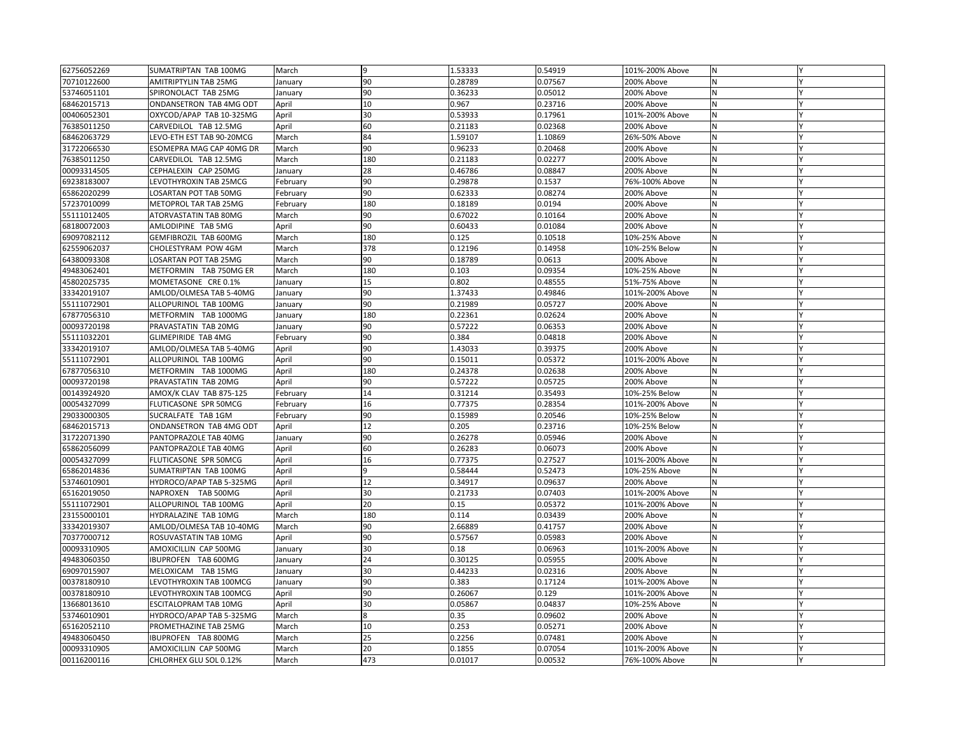| 62756052269 | SUMATRIPTAN TAB 100MG        | March    |     | 1.53333 | 0.54919 | 101%-200% Above | N |  |
|-------------|------------------------------|----------|-----|---------|---------|-----------------|---|--|
| 70710122600 | <b>AMITRIPTYLIN TAB 25MG</b> | January  | 90  | 0.28789 | 0.07567 | 200% Above      | N |  |
| 53746051101 | SPIRONOLACT TAB 25MG         | January  | 90  | 0.36233 | 0.05012 | 200% Above      | N |  |
| 68462015713 | ONDANSETRON TAB 4MG ODT      | April    | 10  | 0.967   | 0.23716 | 200% Above      | N |  |
| 00406052301 | OXYCOD/APAP TAB 10-325MG     | April    | 30  | 0.53933 | 0.17961 | 101%-200% Above | N |  |
| 76385011250 | CARVEDILOL TAB 12.5MG        | April    | 60  | 0.21183 | 0.02368 | 200% Above      | N |  |
| 68462063729 | LEVO-ETH EST TAB 90-20MCG    | March    | 84  | 1.59107 | 1.10869 | 26%-50% Above   | N |  |
| 31722066530 | ESOMEPRA MAG CAP 40MG DR     | March    | 90  | 0.96233 | 0.20468 | 200% Above      | N |  |
| 76385011250 | CARVEDILOL TAB 12.5MG        | March    | 180 | 0.21183 | 0.02277 | 200% Above      | N |  |
| 00093314505 | CEPHALEXIN CAP 250MG         | January  | 28  | 0.46786 | 0.08847 | 200% Above      | N |  |
| 69238183007 | LEVOTHYROXIN TAB 25MCG       | February | 90  | 0.29878 | 0.1537  | 76%-100% Above  | N |  |
| 65862020299 | <b>LOSARTAN POT TAB 50MG</b> | February | 90  | 0.62333 | 0.08274 | 200% Above      | N |  |
| 57237010099 | METOPROL TAR TAB 25MG        | February | 180 | 0.18189 | 0.0194  | 200% Above      | N |  |
| 55111012405 | ATORVASTATIN TAB 80MG        | March    | 90  | 0.67022 | 0.10164 | 200% Above      | N |  |
| 68180072003 | AMLODIPINE TAB 5MG           | April    | 90  | 0.60433 | 0.01084 | 200% Above      | N |  |
| 69097082112 | GEMFIBROZIL TAB 600MG        | March    | 180 | 0.125   | 0.10518 | 10%-25% Above   | N |  |
| 62559062037 | CHOLESTYRAM POW 4GM          | March    | 378 | 0.12196 | 0.14958 | 10%-25% Below   |   |  |
| 64380093308 | <b>LOSARTAN POT TAB 25MG</b> | March    | 90  | 0.18789 | 0.0613  | 200% Above      | N |  |
| 49483062401 | METFORMIN TAB 750MG ER       | March    | 180 | 0.103   | 0.09354 | 10%-25% Above   |   |  |
| 45802025735 | MOMETASONE CRE 0.1%          | January  | 15  | 0.802   | 0.48555 | 51%-75% Above   |   |  |
| 33342019107 | AMLOD/OLMESA TAB 5-40MG      | January  | 90  | 1.37433 | 0.49846 | 101%-200% Above |   |  |
| 55111072901 | ALLOPURINOL TAB 100MG        | January  | 90  | 0.21989 | 0.05727 | 200% Above      | N |  |
| 67877056310 | METFORMIN TAB 1000MG         | January  | 180 | 0.22361 | 0.02624 | 200% Above      | N |  |
| 00093720198 | PRAVASTATIN TAB 20MG         | January  | 90  | 0.57222 | 0.06353 | 200% Above      | N |  |
| 55111032201 | <b>GLIMEPIRIDE TAB 4MG</b>   | February | 90  | 0.384   | 0.04818 | 200% Above      |   |  |
| 33342019107 | AMLOD/OLMESA TAB 5-40MG      | April    | 90  | 1.43033 | 0.39375 | 200% Above      | N |  |
| 55111072901 | ALLOPURINOL TAB 100MG        | April    | 90  | 0.15011 | 0.05372 | 101%-200% Above | N |  |
| 67877056310 | METFORMIN TAB 1000MG         | April    | 180 | 0.24378 | 0.02638 | 200% Above      | N |  |
| 00093720198 | PRAVASTATIN TAB 20MG         | April    | 90  | 0.57222 | 0.05725 | 200% Above      | N |  |
| 00143924920 | AMOX/K CLAV TAB 875-125      | February | 14  | 0.31214 | 0.35493 | 10%-25% Below   | N |  |
| 00054327099 | FLUTICASONE SPR 50MCG        | February | 16  | 0.77375 | 0.28354 | 101%-200% Above | N |  |
| 29033000305 | SUCRALFATE TAB 1GM           | February | 90  | 0.15989 | 0.20546 | 10%-25% Below   |   |  |
| 68462015713 | ONDANSETRON TAB 4MG ODT      | April    | 12  | 0.205   | 0.23716 | 10%-25% Below   | N |  |
| 31722071390 | PANTOPRAZOLE TAB 40MG        | January  | 90  | 0.26278 | 0.05946 | 200% Above      | N |  |
| 65862056099 | PANTOPRAZOLE TAB 40MG        | April    | 60  | 0.26283 | 0.06073 | 200% Above      | N |  |
| 00054327099 | FLUTICASONE SPR 50MCG        | April    | 16  | 0.77375 | 0.27527 | 101%-200% Above | N |  |
| 65862014836 | SUMATRIPTAN TAB 100MG        | April    |     | 0.58444 | 0.52473 | 10%-25% Above   | N |  |
| 53746010901 | HYDROCO/APAP TAB 5-325MG     | April    | 12  | 0.34917 | 0.09637 | 200% Above      | N |  |
| 65162019050 | NAPROXEN TAB 500MG           | April    | 30  | 0.21733 | 0.07403 | 101%-200% Above | N |  |
| 55111072901 | ALLOPURINOL TAB 100MG        | April    | 20  | 0.15    | 0.05372 | 101%-200% Above |   |  |
| 23155000101 | HYDRALAZINE TAB 10MG         | March    | 180 | 0.114   | 0.03439 | 200% Above      | N |  |
| 33342019307 | AMLOD/OLMESA TAB 10-40MG     | March    | 90  | 2.66889 | 0.41757 | 200% Above      | N |  |
| 70377000712 | ROSUVASTATIN TAB 10MG        | April    | 90  | 0.57567 | 0.05983 | 200% Above      | N |  |
| 00093310905 | AMOXICILLIN CAP 500MG        | January  | 30  | 0.18    | 0.06963 | 101%-200% Above | N |  |
| 49483060350 | IBUPROFEN TAB 600MG          | January  | 24  | 0.30125 | 0.05955 | 200% Above      |   |  |
| 69097015907 | MELOXICAM TAB 15MG           | January  | 30  | 0.44233 | 0.02316 | 200% Above      |   |  |
| 00378180910 | LEVOTHYROXIN TAB 100MCG      | January  | 90  | 0.383   | 0.17124 | 101%-200% Above | N |  |
| 00378180910 | LEVOTHYROXIN TAB 100MCG      | April    | 90  | 0.26067 | 0.129   | 101%-200% Above | Ν |  |
| 13668013610 | ESCITALOPRAM TAB 10MG        | April    | 30  | 0.05867 | 0.04837 | 10%-25% Above   | N |  |
| 53746010901 | HYDROCO/APAP TAB 5-325MG     | March    |     | 0.35    | 0.09602 | 200% Above      | N |  |
| 65162052110 | PROMETHAZINE TAB 25MG        | March    | 10  | 0.253   | 0.05271 | 200% Above      | N |  |
| 49483060450 | IBUPROFEN TAB 800MG          | March    | 25  | 0.2256  | 0.07481 | 200% Above      | N |  |
| 00093310905 | AMOXICILLIN CAP 500MG        | March    | 20  | 0.1855  | 0.07054 | 101%-200% Above | N |  |
| 00116200116 | CHLORHEX GLU SOL 0.12%       | March    | 473 | 0.01017 | 0.00532 | 76%-100% Above  | N |  |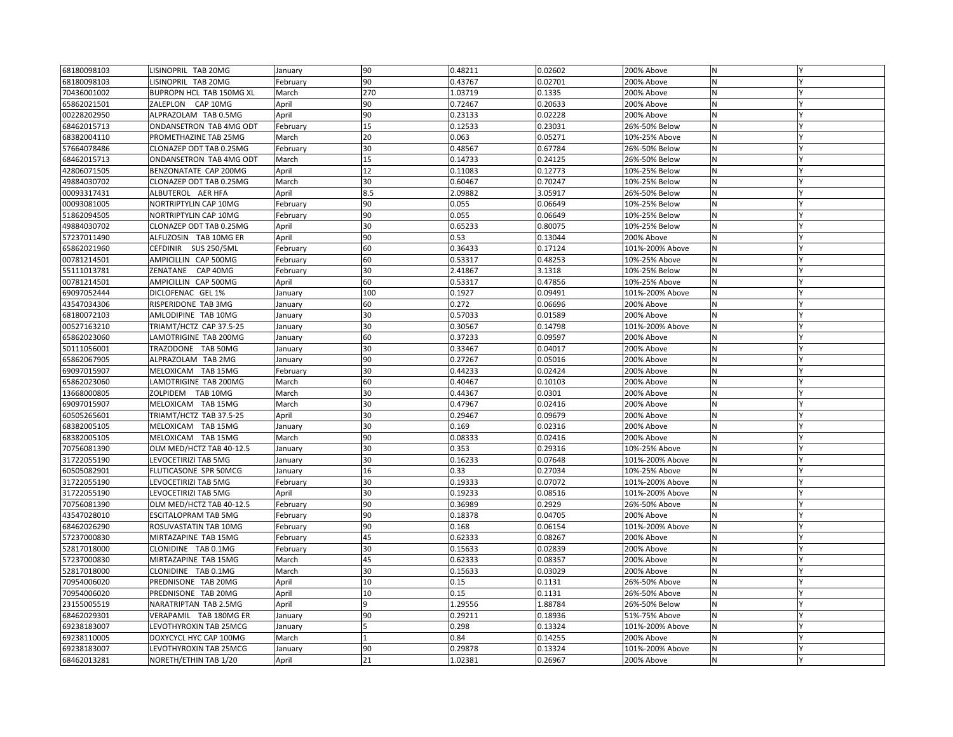| 68180098103 | LISINOPRIL TAB 20MG            | January  | 90  | 0.48211 | 0.02602 | 200% Above      | IN. |  |
|-------------|--------------------------------|----------|-----|---------|---------|-----------------|-----|--|
| 68180098103 | LISINOPRIL TAB 20MG            | February | 90  | 0.43767 | 0.02701 | 200% Above      | N   |  |
| 70436001002 | BUPROPN HCL TAB 150MG XL       | March    | 270 | 1.03719 | 0.1335  | 200% Above      | N   |  |
| 65862021501 | ZALEPLON<br>CAP 10MG           | April    | 90  | 0.72467 | 0.20633 | 200% Above      |     |  |
| 00228202950 | ALPRAZOLAM TAB 0.5MG           | April    | 90  | 0.23133 | 0.02228 | 200% Above      | N   |  |
| 68462015713 | ONDANSETRON TAB 4MG ODT        | February | 15  | 0.12533 | 0.23031 | 26%-50% Below   | N   |  |
| 68382004110 | PROMETHAZINE TAB 25MG          | March    | 20  | 0.063   | 0.05271 | 10%-25% Above   | N   |  |
| 57664078486 | CLONAZEP ODT TAB 0.25MG        | February | 30  | 0.48567 | 0.67784 | 26%-50% Below   |     |  |
| 68462015713 | ONDANSETRON TAB 4MG ODT        | March    | 15  | 0.14733 | 0.24125 | 26%-50% Below   | N   |  |
| 42806071505 | BENZONATATE CAP 200MG          | April    | 12  | 0.11083 | 0.12773 | 10%-25% Below   | N   |  |
| 49884030702 | CLONAZEP ODT TAB 0.25MG        | March    | 30  | 0.60467 | 0.70247 | 10%-25% Below   | N   |  |
| 00093317431 | ALBUTEROL AER HFA              | April    | 8.5 | 2.09882 | 3.05917 | 26%-50% Below   |     |  |
| 00093081005 | NORTRIPTYLIN CAP 10MG          | February | 90  | 0.055   | 0.06649 | 10%-25% Below   | N   |  |
| 51862094505 | NORTRIPTYLIN CAP 10MG          | February | 90  | 0.055   | 0.06649 | 10%-25% Below   | N   |  |
| 49884030702 | CLONAZEP ODT TAB 0.25MG        | April    | 30  | 0.65233 | 0.80075 | 10%-25% Below   | N   |  |
| 57237011490 | ALFUZOSIN TAB 10MG ER          | April    | 90  | 0.53    | 0.13044 | 200% Above      | N   |  |
| 65862021960 | CEFDINIR<br><b>SUS 250/5ML</b> | February | 60  | 0.36433 | 0.17124 | 101%-200% Above | N   |  |
| 00781214501 | AMPICILLIN CAP 500MG           | February | 60  | 0.53317 | 0.48253 | 10%-25% Above   | N   |  |
| 55111013781 | ZENATANE<br>CAP 40MG           | February | 30  | 2.41867 | 3.1318  | 10%-25% Below   | N   |  |
| 00781214501 | AMPICILLIN CAP 500MG           | April    | 60  | 0.53317 | 0.47856 | 10%-25% Above   |     |  |
| 69097052444 | DICLOFENAC GEL 1%              | January  | 100 | 0.1927  | 0.09491 | 101%-200% Above | N   |  |
| 43547034306 | RISPERIDONE TAB 3MG            | January  | 60  | 0.272   | 0.06696 | 200% Above      | N   |  |
| 68180072103 | AMLODIPINE TAB 10MG            | January  | 30  | 0.57033 | 0.01589 | 200% Above      | N   |  |
| 00527163210 | TRIAMT/HCTZ CAP 37.5-25        | January  | 30  | 0.30567 | 0.14798 | 101%-200% Above | N   |  |
| 65862023060 | LAMOTRIGINE TAB 200MG          | January  | 60  | 0.37233 | 0.09597 | 200% Above      |     |  |
| 50111056001 | TRAZODONE TAB 50MG             | January  | 30  | 0.33467 | 0.04017 | 200% Above      | N   |  |
| 65862067905 | ALPRAZOLAM TAB 2MG             | January  | 90  | 0.27267 | 0.05016 | 200% Above      | N   |  |
| 69097015907 | MELOXICAM TAB 15MG             | February | 30  | 0.44233 | 0.02424 | 200% Above      | N   |  |
| 65862023060 | LAMOTRIGINE TAB 200MG          | March    | 60  | 0.40467 | 0.10103 | 200% Above      | N   |  |
| 13668000805 | ZOLPIDEM TAB 10MG              | March    | 30  | 0.44367 | 0.0301  | 200% Above      | N   |  |
| 69097015907 | MELOXICAM TAB 15MG             | March    | 30  | 0.47967 | 0.02416 | 200% Above      | N   |  |
| 60505265601 | TRIAMT/HCTZ TAB 37.5-25        | April    | 30  | 0.29467 | 0.09679 | 200% Above      | N   |  |
| 68382005105 | MELOXICAM TAB 15MG             | January  | 30  | 0.169   | 0.02316 | 200% Above      | N   |  |
| 68382005105 | MELOXICAM TAB 15MG             | March    | 90  | 0.08333 | 0.02416 | 200% Above      | N   |  |
| 70756081390 | OLM MED/HCTZ TAB 40-12.5       | January  | 30  | 0.353   | 0.29316 | 10%-25% Above   | N   |  |
| 31722055190 | LEVOCETIRIZI TAB 5MG           | January  | 30  | 0.16233 | 0.07648 | 101%-200% Above | N   |  |
| 60505082901 | FLUTICASONE SPR 50MCG          | January  | 16  | 0.33    | 0.27034 | 10%-25% Above   | N   |  |
| 31722055190 | LEVOCETIRIZI TAB 5MG           | February | 30  | 0.19333 | 0.07072 | 101%-200% Above | N   |  |
| 31722055190 | LEVOCETIRIZI TAB 5MG           | April    | 30  | 0.19233 | 0.08516 | 101%-200% Above | N   |  |
| 70756081390 | OLM MED/HCTZ TAB 40-12.5       | February | 90  | 0.36989 | 0.2929  | 26%-50% Above   | N   |  |
| 43547028010 | <b>ESCITALOPRAM TAB 5MG</b>    | February | 90  | 0.18378 | 0.04705 | 200% Above      | N   |  |
| 68462026290 | ROSUVASTATIN TAB 10MG          | February | 90  | 0.168   | 0.06154 | 101%-200% Above | N   |  |
| 57237000830 | MIRTAZAPINE TAB 15MG           | February | 45  | 0.62333 | 0.08267 | 200% Above      | N   |  |
| 52817018000 | CLONIDINE TAB 0.1MG            | February | 30  | 0.15633 | 0.02839 | 200% Above      | N   |  |
| 57237000830 | MIRTAZAPINE TAB 15MG           | March    | 45  | 0.62333 | 0.08357 | 200% Above      | N   |  |
| 52817018000 | CLONIDINE TAB 0.1MG            | March    | 30  | 0.15633 | 0.03029 | 200% Above      |     |  |
| 70954006020 | PREDNISONE TAB 20MG            | April    | 10  | 0.15    | 0.1131  | 26%-50% Above   | N   |  |
| 70954006020 | PREDNISONE TAB 20MG            | April    | 10  | 0.15    | 0.1131  | 26%-50% Above   | N   |  |
| 23155005519 | NARATRIPTAN TAB 2.5MG          | April    |     | 1.29556 | 1.88784 | 26%-50% Below   | N   |  |
| 68462029301 | VERAPAMIL TAB 180MG ER         | January  | 90  | 0.29211 | 0.18936 | 51%-75% Above   | N   |  |
| 69238183007 | LEVOTHYROXIN TAB 25MCG         | January  |     | 0.298   | 0.13324 | 101%-200% Above | N   |  |
| 69238110005 | DOXYCYCL HYC CAP 100MG         | March    |     | 0.84    | 0.14255 | 200% Above      | N   |  |
| 69238183007 | LEVOTHYROXIN TAB 25MCG         | January  | 90  | 0.29878 | 0.13324 | 101%-200% Above | N   |  |
| 68462013281 | NORETH/ETHIN TAB 1/20          | April    | 21  | 1.02381 | 0.26967 | 200% Above      | N   |  |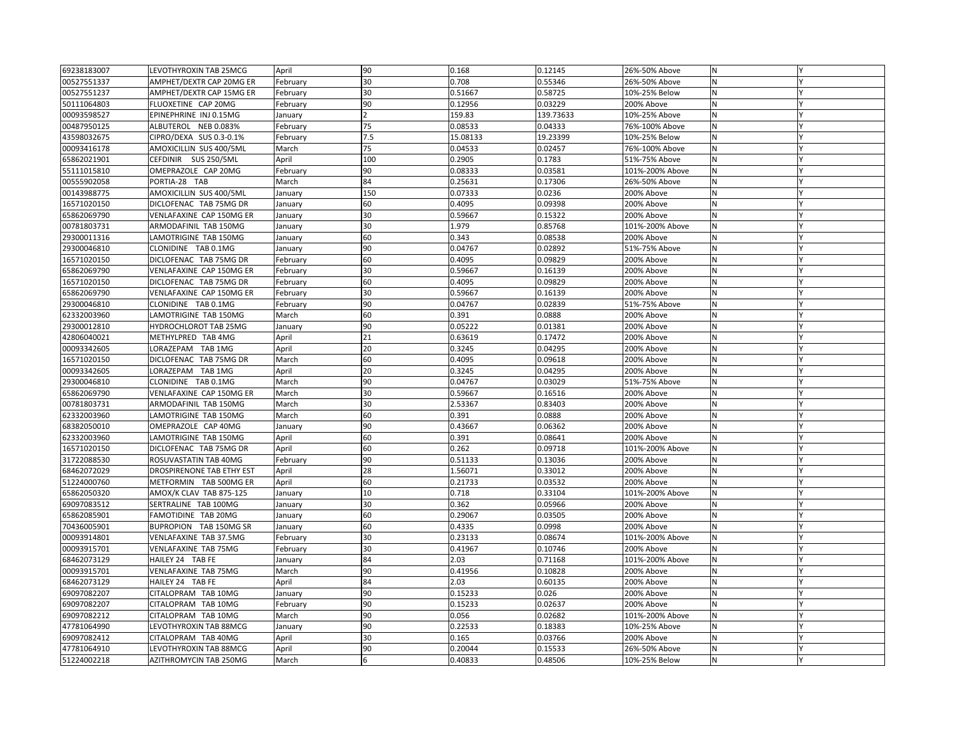| 69238183007 | LEVOTHYROXIN TAB 25MCG        | April    | 90       | 0.168    | 0.12145   | 26%-50% Above   | IN.    |  |
|-------------|-------------------------------|----------|----------|----------|-----------|-----------------|--------|--|
| 00527551337 | AMPHET/DEXTR CAP 20MG ER      | February | 30       | 0.708    | 0.55346   | 26%-50% Above   | N      |  |
| 00527551237 | AMPHET/DEXTR CAP 15MG ER      | February | 30       | 0.51667  | 0.58725   | 10%-25% Below   |        |  |
| 50111064803 | FLUOXETINE CAP 20MG           | February | 90       | 0.12956  | 0.03229   | 200% Above      |        |  |
| 00093598527 | EPINEPHRINE INJ 0.15MG        | January  |          | 159.83   | 139.73633 | 10%-25% Above   | N      |  |
| 00487950125 | ALBUTEROL NEB 0.083%          | February | 75       | 0.08533  | 0.04333   | 76%-100% Above  | N      |  |
| 43598032675 | CIPRO/DEXA SUS 0.3-0.1%       | February | 7.5      | 15.08133 | 19.23399  | 10%-25% Below   | N      |  |
| 00093416178 | AMOXICILLIN SUS 400/5ML       | March    | 75       | 0.04533  | 0.02457   | 76%-100% Above  |        |  |
| 65862021901 | CEFDINIR SUS 250/5ML          | April    | 100      | 0.2905   | 0.1783    | 51%-75% Above   | N      |  |
| 55111015810 | OMEPRAZOLE CAP 20MG           | February | 90       | 0.08333  | 0.03581   | 101%-200% Above | N      |  |
| 00555902058 | PORTIA-28 TAB                 | March    | 84       | 0.25631  | 0.17306   | 26%-50% Above   | N      |  |
| 00143988775 | AMOXICILLIN SUS 400/5ML       | Januarv  | 150      | 0.07333  | 0.0236    | 200% Above      |        |  |
| 16571020150 | DICLOFENAC TAB 75MG DR        | January  | 60       | 0.4095   | 0.09398   | 200% Above      | N      |  |
| 65862069790 | VENLAFAXINE CAP 150MG ER      | January  | 30       | 0.59667  | 0.15322   | 200% Above      | N      |  |
| 00781803731 | ARMODAFINIL TAB 150MG         | January  | 30       | 1.979    | 0.85768   | 101%-200% Above | N      |  |
| 29300011316 | LAMOTRIGINE TAB 150MG         | January  | 60       | 0.343    | 0.08538   | 200% Above      | N      |  |
| 29300046810 | CLONIDINE TAB 0.1MG           | January  | 90       | 0.04767  | 0.02892   | 51%-75% Above   | N      |  |
| 16571020150 | DICLOFENAC TAB 75MG DR        | February | 60       | 0.4095   | 0.09829   | 200% Above      | N      |  |
| 65862069790 | VENLAFAXINE CAP 150MG ER      | February | 30       | 0.59667  | 0.16139   | 200% Above      | N      |  |
| 16571020150 | DICLOFENAC TAB 75MG DR        | February | 60       | 0.4095   | 0.09829   | 200% Above      |        |  |
| 65862069790 | VENLAFAXINE CAP 150MG ER      | February | 30       | 0.59667  | 0.16139   | 200% Above      | N      |  |
| 29300046810 | CLONIDINE TAB 0.1MG           | February | 90       | 0.04767  | 0.02839   | 51%-75% Above   | N      |  |
| 62332003960 | LAMOTRIGINE TAB 150MG         | March    | 60       | 0.391    | 0.0888    | 200% Above      | N      |  |
| 29300012810 | HYDROCHLOROT TAB 25MG         | January  | 90       | 0.05222  | 0.01381   | 200% Above      | N      |  |
| 42806040021 | METHYLPRED TAB 4MG            | April    | 21       | 0.63619  | 0.17472   | 200% Above      |        |  |
| 00093342605 | LORAZEPAM<br>TAB 1MG          | April    | 20       | 0.3245   | 0.04295   | 200% Above      | N      |  |
| 16571020150 | DICLOFENAC TAB 75MG DR        | March    | 60       | 0.4095   | 0.09618   | 200% Above      | N      |  |
| 00093342605 | LORAZEPAM TAB 1MG             | April    | 20       | 0.3245   | 0.04295   | 200% Above      | N      |  |
| 29300046810 | CLONIDINE TAB 0.1MG           | March    | 90       | 0.04767  | 0.03029   | 51%-75% Above   | N      |  |
| 65862069790 | VENLAFAXINE CAP 150MG ER      | March    | 30       | 0.59667  | 0.16516   | 200% Above      | N      |  |
| 00781803731 | ARMODAFINIL TAB 150MG         | March    | 30       | 2.53367  | 0.83403   | 200% Above      | N      |  |
| 62332003960 | LAMOTRIGINE TAB 150MG         | March    | 60       | 0.391    | 0.0888    | 200% Above      | N      |  |
| 68382050010 | OMEPRAZOLE CAP 40MG           | January  | 90       | 0.43667  | 0.06362   | 200% Above      | N      |  |
| 62332003960 | LAMOTRIGINE TAB 150MG         | April    | 60       | 0.391    | 0.08641   | 200% Above      | N      |  |
| 16571020150 | DICLOFENAC TAB 75MG DR        | April    | 60       | 0.262    | 0.09718   | 101%-200% Above | N      |  |
| 31722088530 | ROSUVASTATIN TAB 40MG         | February | 90       | 0.51133  | 0.13036   | 200% Above      | N      |  |
| 68462072029 | DROSPIRENONE TAB ETHY EST     | April    | 28       | 1.56071  | 0.33012   | 200% Above      | N      |  |
| 51224000760 | METFORMIN TAB 500MG ER        | April    | 60       | 0.21733  | 0.03532   | 200% Above      | N      |  |
| 65862050320 | AMOX/K CLAV TAB 875-125       | January  | 10       | 0.718    | 0.33104   | 101%-200% Above | N      |  |
| 69097083512 | SERTRALINE TAB 100MG          | January  | 30       | 0.362    | 0.05966   | 200% Above      | Ν      |  |
| 65862085901 | FAMOTIDINE TAB 20MG           | January  | 60       | 0.29067  | 0.03505   | 200% Above      | N      |  |
| 70436005901 | BUPROPION TAB 150MG SR        | January  | 60       | 0.4335   | 0.0998    | 200% Above      | N      |  |
| 00093914801 | VENLAFAXINE TAB 37.5MG        | February | 30       | 0.23133  | 0.08674   | 101%-200% Above | N      |  |
| 00093915701 | VENLAFAXINE TAB 75MG          | February | 30       | 0.41967  | 0.10746   | 200% Above      | N      |  |
| 68462073129 | HAILEY 24 TAB FE              | January  | 84       | 2.03     | 0.71168   | 101%-200% Above | N      |  |
| 00093915701 | VENLAFAXINE TAB 75MG          | March    | 90       | 0.41956  | 0.10828   | 200% Above      |        |  |
| 68462073129 | HAILEY 24 TAB FE              | April    | 84       | 2.03     | 0.60135   | 200% Above      | N      |  |
| 69097082207 | CITALOPRAM TAB 10MG           | January  | 90       | 0.15233  | 0.026     | 200% Above      | N      |  |
| 69097082207 | CITALOPRAM TAB 10MG           | February | 90       | 0.15233  | 0.02637   | 200% Above      | N      |  |
| 69097082212 | CITALOPRAM TAB 10MG           | March    | 90       | 0.056    | 0.02682   | 101%-200% Above | N      |  |
| 47781064990 | LEVOTHYROXIN TAB 88MCG        | January  | 90       | 0.22533  | 0.18383   | 10%-25% Above   | N      |  |
| 69097082412 | CITALOPRAM TAB 40MG           | April    | 30<br>90 | 0.165    | 0.03766   | 200% Above      | N<br>N |  |
| 47781064910 | LEVOTHYROXIN TAB 88MCG        | April    |          | 0.20044  | 0.15533   | 26%-50% Above   |        |  |
| 51224002218 | <b>AZITHROMYCIN TAB 250MG</b> | March    |          | 0.40833  | 0.48506   | 10%-25% Below   | N      |  |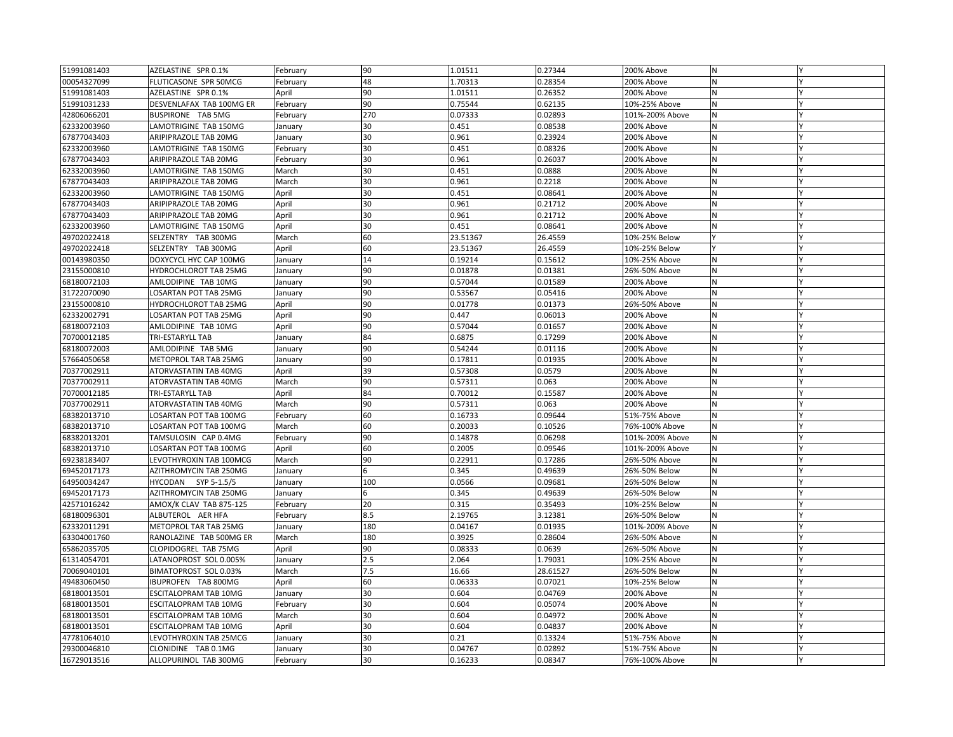| 51991081403 | AZELASTINE SPR 0.1%      | February | 90  | 1.01511  | 0.27344  | 200% Above      | N |  |
|-------------|--------------------------|----------|-----|----------|----------|-----------------|---|--|
| 00054327099 | FLUTICASONE SPR 50MCG    | February | 48  | 1.70313  | 0.28354  | 200% Above      | N |  |
| 51991081403 | AZELASTINE SPR 0.1%      | April    | 90  | 1.01511  | 0.26352  | 200% Above      | N |  |
| 51991031233 | DESVENLAFAX TAB 100MG ER | February | 90  | 0.75544  | 0.62135  | 10%-25% Above   |   |  |
| 42806066201 | <b>BUSPIRONE TAB 5MG</b> | February | 270 | 0.07333  | 0.02893  | 101%-200% Above | N |  |
| 62332003960 | LAMOTRIGINE TAB 150MG    | January  | 30  | 0.451    | 0.08538  | 200% Above      | N |  |
| 67877043403 | ARIPIPRAZOLE TAB 20MG    | January  | 30  | 0.961    | 0.23924  | 200% Above      | N |  |
| 62332003960 | LAMOTRIGINE TAB 150MG    | February | 30  | 0.451    | 0.08326  | 200% Above      | N |  |
| 67877043403 | ARIPIPRAZOLE TAB 20MG    | February | 30  | 0.961    | 0.26037  | 200% Above      | N |  |
| 62332003960 | LAMOTRIGINE TAB 150MG    | March    | 30  | 0.451    | 0.0888   | 200% Above      | N |  |
| 67877043403 | ARIPIPRAZOLE TAB 20MG    | March    | 30  | 0.961    | 0.2218   | 200% Above      | N |  |
| 62332003960 | LAMOTRIGINE TAB 150MG    | April    | 30  | 0.451    | 0.08641  | 200% Above      | N |  |
| 67877043403 | ARIPIPRAZOLE TAB 20MG    | April    | 30  | 0.961    | 0.21712  | 200% Above      | N |  |
| 67877043403 | ARIPIPRAZOLE TAB 20MG    | April    | 30  | 0.961    | 0.21712  | 200% Above      | N |  |
| 62332003960 | LAMOTRIGINE TAB 150MG    | April    | 30  | 0.451    | 0.08641  | 200% Above      | Ν |  |
| 49702022418 | SELZENTRY TAB 300MG      | March    | 60  | 23.51367 | 26.4559  | 10%-25% Below   |   |  |
| 49702022418 | SELZENTRY TAB 300MG      | April    | 60  | 23.51367 | 26.4559  | 10%-25% Below   |   |  |
| 00143980350 | DOXYCYCL HYC CAP 100MG   | January  | 14  | 0.19214  | 0.15612  | 10%-25% Above   | N |  |
| 23155000810 | HYDROCHLOROT TAB 25MG    | January  | 90  | 0.01878  | 0.01381  | 26%-50% Above   | N |  |
| 68180072103 | AMLODIPINE TAB 10MG      | January  | 90  | 0.57044  | 0.01589  | 200% Above      | N |  |
| 31722070090 | LOSARTAN POT TAB 25MG    | January  | 90  | 0.53567  | 0.05416  | 200% Above      |   |  |
| 23155000810 | HYDROCHLOROT TAB 25MG    | April    | 90  | 0.01778  | 0.01373  | 26%-50% Above   | N |  |
| 62332002791 | LOSARTAN POT TAB 25MG    | April    | 90  | 0.447    | 0.06013  | 200% Above      | N |  |
| 68180072103 | AMLODIPINE TAB 10MG      | April    | 90  | 0.57044  | 0.01657  | 200% Above      | N |  |
| 70700012185 | TRI-ESTARYLL TAB         | January  | 84  | 0.6875   | 0.17299  | 200% Above      | N |  |
| 68180072003 | AMLODIPINE TAB 5MG       | January  | 90  | 0.54244  | 0.01116  | 200% Above      | N |  |
| 57664050658 | METOPROL TAR TAB 25MG    | January  | 90  | 0.17811  | 0.01935  | 200% Above      | N |  |
| 70377002911 | ATORVASTATIN TAB 40MG    | April    | 39  | 0.57308  | 0.0579   | 200% Above      | N |  |
| 70377002911 | ATORVASTATIN TAB 40MG    | March    | 90  | 0.57311  | 0.063    | 200% Above      | N |  |
| 70700012185 | TRI-ESTARYLL TAB         | April    | 84  | 0.70012  | 0.15587  | 200% Above      | N |  |
| 70377002911 | ATORVASTATIN TAB 40MG    | March    | 90  | 0.57311  | 0.063    | 200% Above      | N |  |
| 68382013710 | LOSARTAN POT TAB 100MG   | February | 60  | 0.16733  | 0.09644  | 51%-75% Above   | N |  |
| 68382013710 | LOSARTAN POT TAB 100MG   | March    | 60  | 0.20033  | 0.10526  | 76%-100% Above  | N |  |
| 68382013201 | TAMSULOSIN CAP 0.4MG     | February | 90  | 0.14878  | 0.06298  | 101%-200% Above | N |  |
| 68382013710 | LOSARTAN POT TAB 100MG   | April    | 60  | 0.2005   | 0.09546  | 101%-200% Above | N |  |
| 69238183407 | LEVOTHYROXIN TAB 100MCG  | March    | 90  | 0.22911  | 0.17286  | 26%-50% Above   | N |  |
| 69452017173 | AZITHROMYCIN TAB 250MG   | January  |     | 0.345    | 0.49639  | 26%-50% Below   | N |  |
| 64950034247 | HYCODAN<br>SYP 5-1.5/5   | January  | 100 | 0.0566   | 0.09681  | 26%-50% Below   |   |  |
| 69452017173 | AZITHROMYCIN TAB 250MG   | January  |     | 0.345    | 0.49639  | 26%-50% Below   | N |  |
| 42571016242 | AMOX/K CLAV TAB 875-125  | February | 20  | 0.315    | 0.35493  | 10%-25% Below   | N |  |
| 68180096301 | ALBUTEROL AER HFA        | February | 8.5 | 2.19765  | 3.12381  | 26%-50% Below   | N |  |
| 62332011291 | METOPROL TAR TAB 25MG    | January  | 180 | 0.04167  | 0.01935  | 101%-200% Above | N |  |
| 63304001760 | RANOLAZINE TAB 500MG ER  | March    | 180 | 0.3925   | 0.28604  | 26%-50% Above   | N |  |
| 65862035705 | CLOPIDOGREL TAB 75MG     | April    | 90  | 0.08333  | 0.0639   | 26%-50% Above   | N |  |
| 61314054701 | LATANOPROST SOL 0.005%   | January  | 2.5 | 2.064    | 1.79031  | 10%-25% Above   | N |  |
| 70069040101 | BIMATOPROST SOL 0.03%    | March    | 7.5 | 16.66    | 28.61527 | 26%-50% Below   | N |  |
| 49483060450 | IBUPROFEN TAB 800MG      | April    | 60  | 0.06333  | 0.07021  | 10%-25% Below   | N |  |
| 68180013501 | ESCITALOPRAM TAB 10MG    | January  | 30  | 0.604    | 0.04769  | 200% Above      | N |  |
| 68180013501 | ESCITALOPRAM TAB 10MG    | February | 30  | 0.604    | 0.05074  | 200% Above      | N |  |
| 68180013501 | ESCITALOPRAM TAB 10MG    | March    | 30  | 0.604    | 0.04972  | 200% Above      | N |  |
| 68180013501 | ESCITALOPRAM TAB 10MG    | April    | 30  | 0.604    | 0.04837  | 200% Above      |   |  |
| 47781064010 | LEVOTHYROXIN TAB 25MCG   | January  | 30  | 0.21     | 0.13324  | 51%-75% Above   | N |  |
| 29300046810 | CLONIDINE TAB 0.1MG      | January  | 30  | 0.04767  | 0.02892  | 51%-75% Above   | N |  |
| 16729013516 | ALLOPURINOL TAB 300MG    | February | 30  | 0.16233  | 0.08347  | 76%-100% Above  | N |  |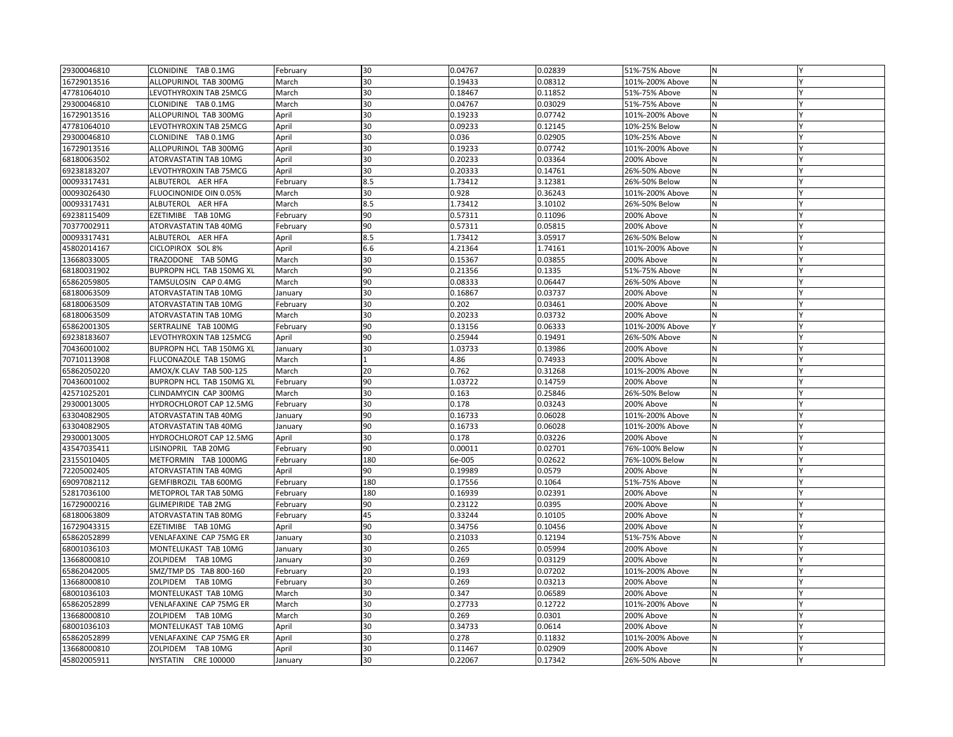| 29300046810 | CLONIDINE TAB 0.1MG      | February | 30       | 0.04767 | 0.02839 | 51%-75% Above   | IN.    |  |
|-------------|--------------------------|----------|----------|---------|---------|-----------------|--------|--|
| 16729013516 | ALLOPURINOL TAB 300MG    | March    | 30       | 0.19433 | 0.08312 | 101%-200% Above | N      |  |
| 47781064010 | LEVOTHYROXIN TAB 25MCG   | March    | 30       | 0.18467 | 0.11852 | 51%-75% Above   |        |  |
| 29300046810 | CLONIDINE TAB 0.1MG      | March    | 30       | 0.04767 | 0.03029 | 51%-75% Above   |        |  |
| 16729013516 | ALLOPURINOL TAB 300MG    | April    | 30       | 0.19233 | 0.07742 | 101%-200% Above | N      |  |
| 47781064010 | LEVOTHYROXIN TAB 25MCG   | April    | 30       | 0.09233 | 0.12145 | 10%-25% Below   |        |  |
| 29300046810 | CLONIDINE TAB 0.1MG      | April    | 30       | 0.036   | 0.02905 | 10%-25% Above   | N      |  |
| 16729013516 | ALLOPURINOL TAB 300MG    | April    | 30       | 0.19233 | 0.07742 | 101%-200% Above | N      |  |
| 68180063502 | ATORVASTATIN TAB 10MG    | April    | 30       | 0.20233 | 0.03364 | 200% Above      | N      |  |
| 69238183207 | LEVOTHYROXIN TAB 75MCG   | April    | 30       | 0.20333 | 0.14761 | 26%-50% Above   | N      |  |
| 00093317431 | ALBUTEROL AER HFA        | February | 8.5      | 1.73412 | 3.12381 | 26%-50% Below   | N      |  |
| 00093026430 | FLUOCINONIDE OIN 0.05%   | March    | 30       | 0.928   | 0.36243 | 101%-200% Above | N      |  |
| 00093317431 | ALBUTEROL AER HFA        | March    | 8.5      | 1.73412 | 3.10102 | 26%-50% Below   | N      |  |
| 69238115409 | EZETIMIBE TAB 10MG       | February | 90       | 0.57311 | 0.11096 | 200% Above      | N      |  |
| 70377002911 | ATORVASTATIN TAB 40MG    | February | 90       | 0.57311 | 0.05815 | 200% Above      | Ν      |  |
| 00093317431 | ALBUTEROL AER HFA        | April    | 8.5      | 1.73412 | 3.05917 | 26%-50% Below   | N      |  |
| 45802014167 | CICLOPIROX SOL 8%        | April    | 6.6      | 4.21364 | 1.74161 | 101%-200% Above | N      |  |
| 13668033005 | TRAZODONE TAB 50MG       | March    | 30       | 0.15367 | 0.03855 | 200% Above      | N      |  |
| 68180031902 | BUPROPN HCL TAB 150MG XL | March    | 90       | 0.21356 | 0.1335  | 51%-75% Above   | N      |  |
| 65862059805 | TAMSULOSIN CAP 0.4MG     | March    | 90       | 0.08333 | 0.06447 | 26%-50% Above   |        |  |
| 68180063509 | ATORVASTATIN TAB 10MG    | January  | 30       | 0.16867 | 0.03737 | 200% Above      |        |  |
| 68180063509 | ATORVASTATIN TAB 10MG    | February | 30       | 0.202   | 0.03461 | 200% Above      | N      |  |
| 68180063509 | ATORVASTATIN TAB 10MG    | March    | 30       | 0.20233 | 0.03732 | 200% Above      | N      |  |
| 65862001305 | SERTRALINE TAB 100MG     | February | 90       | 0.13156 | 0.06333 | 101%-200% Above |        |  |
| 69238183607 | LEVOTHYROXIN TAB 125MCG  | April    | 90       | 0.25944 | 0.19491 | 26%-50% Above   |        |  |
| 70436001002 | BUPROPN HCL TAB 150MG XL | January  | 30       | 1.03733 | 0.13986 | 200% Above      | N      |  |
| 70710113908 | FLUCONAZOLE TAB 150MG    | March    |          | 4.86    | 0.74933 | 200% Above      | N      |  |
| 65862050220 | AMOX/K CLAV TAB 500-125  | March    | 20       | 0.762   | 0.31268 | 101%-200% Above | N      |  |
| 70436001002 | BUPROPN HCL TAB 150MG XL | February | 90       | 1.03722 | 0.14759 | 200% Above      | N      |  |
| 42571025201 | CLINDAMYCIN CAP 300MG    | March    | 30       | 0.163   | 0.25846 | 26%-50% Below   | N      |  |
| 29300013005 | HYDROCHLOROT CAP 12.5MG  | February | 30       | 0.178   | 0.03243 | 200% Above      | N      |  |
| 63304082905 | ATORVASTATIN TAB 40MG    | January  | 90       | 0.16733 | 0.06028 | 101%-200% Above | N      |  |
| 63304082905 | ATORVASTATIN TAB 40MG    | January  | 90       | 0.16733 | 0.06028 | 101%-200% Above | N      |  |
| 29300013005 | HYDROCHLOROT CAP 12.5MG  | April    | 30       | 0.178   | 0.03226 | 200% Above      | N      |  |
| 43547035411 | LISINOPRIL TAB 20MG      | February | 90       | 0.00011 | 0.02701 | 76%-100% Below  | N      |  |
| 23155010405 | METFORMIN TAB 1000MG     | February | 180      | 6e-005  | 0.02622 | 76%-100% Below  | N      |  |
| 72205002405 | ATORVASTATIN TAB 40MG    | April    | 90       | 0.19989 | 0.0579  | 200% Above      | N      |  |
| 69097082112 | GEMFIBROZIL TAB 600MG    | February | 180      | 0.17556 | 0.1064  | 51%-75% Above   | N      |  |
| 52817036100 | METOPROL TAR TAB 50MG    | February | 180      | 0.16939 | 0.02391 | 200% Above      | N      |  |
| 16729000216 | GLIMEPIRIDE TAB 2MG      | February | 90       | 0.23122 | 0.0395  | 200% Above      | N      |  |
| 68180063809 | ATORVASTATIN TAB 80MG    | February | 45       | 0.33244 | 0.10105 | 200% Above      | N      |  |
| 16729043315 | EZETIMIBE TAB 10MG       | April    | 90       | 0.34756 | 0.10456 | 200% Above      | N      |  |
| 65862052899 | VENLAFAXINE CAP 75MG ER  | January  | 30       | 0.21033 | 0.12194 | 51%-75% Above   | N      |  |
| 68001036103 | MONTELUKAST TAB 10MG     | January  | 30       | 0.265   | 0.05994 | 200% Above      | N      |  |
| 13668000810 | ZOLPIDEM TAB 10MG        | January  | 30       | 0.269   | 0.03129 | 200% Above      | N      |  |
| 65862042005 | SMZ/TMP DS TAB 800-160   | February | 20       | 0.193   | 0.07202 | 101%-200% Above | N      |  |
| 13668000810 | ZOLPIDEM TAB 10MG        | February | 30       | 0.269   | 0.03213 | 200% Above      | N      |  |
| 68001036103 | MONTELUKAST TAB 10MG     | March    | 30       | 0.347   | 0.06589 | 200% Above      | N      |  |
| 65862052899 | VENLAFAXINE CAP 75MG ER  | March    | 30       | 0.27733 | 0.12722 | 101%-200% Above | N      |  |
| 13668000810 | ZOLPIDEM TAB 10MG        | March    | 30       | 0.269   | 0.0301  | 200% Above      | N<br>N |  |
| 68001036103 | MONTELUKAST TAB 10MG     | April    | 30       | 0.34733 | 0.0614  | 200% Above      |        |  |
| 65862052899 | VENLAFAXINE CAP 75MG ER  | April    | 30<br>30 | 0.278   | 0.11832 | 101%-200% Above | N<br>N |  |
| 13668000810 | ZOLPIDEM TAB 10MG        | April    |          | 0.11467 | 0.02909 | 200% Above      |        |  |
| 45802005911 | NYSTATIN CRE 100000      | January  | 30       | 0.22067 | 0.17342 | 26%-50% Above   | N      |  |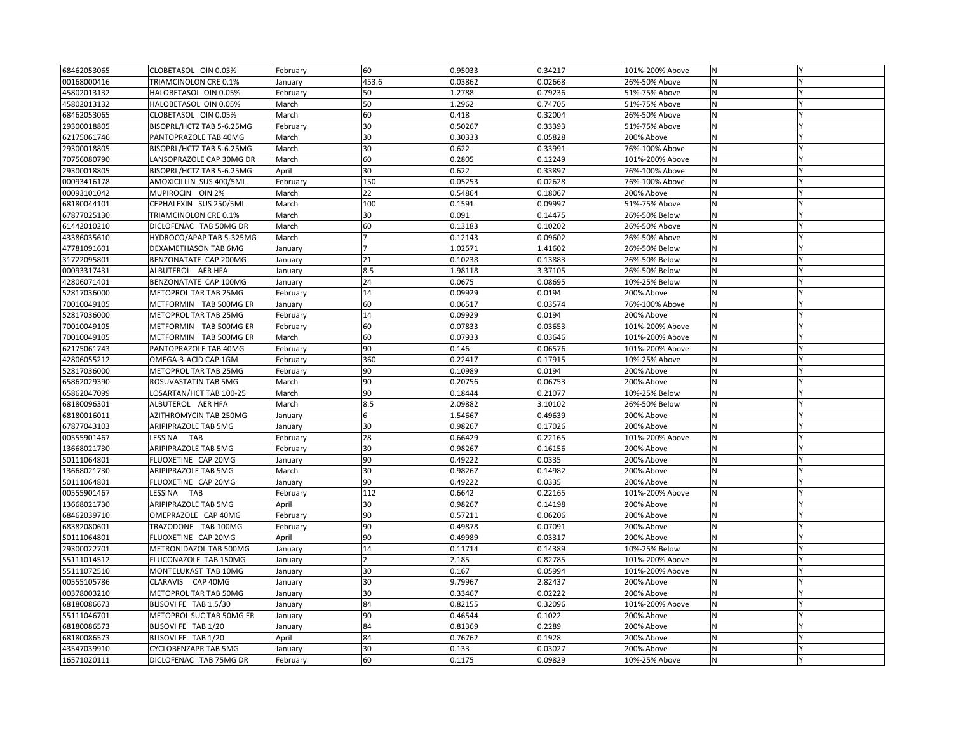| 68462053065                | CLOBETASOL OIN 0.05%                        | February | 60              | 0.95033          | 0.34217           | 101%-200% Above          | N      |  |
|----------------------------|---------------------------------------------|----------|-----------------|------------------|-------------------|--------------------------|--------|--|
| 00168000416                | TRIAMCINOLON CRE 0.1%                       | January  | 453.6           | 0.03862          | 0.02668           | 26%-50% Above            | N      |  |
| 45802013132                | HALOBETASOL OIN 0.05%                       | February | 50              | 1.2788           | 0.79236           | 51%-75% Above            | N      |  |
| 45802013132                | HALOBETASOL OIN 0.05%                       | March    | 50              | 1.2962           | 0.74705           | 51%-75% Above            | N      |  |
| 68462053065                | CLOBETASOL OIN 0.05%                        | March    | 60              | 0.418            | 0.32004           | 26%-50% Above            | N      |  |
| 29300018805                | BISOPRL/HCTZ TAB 5-6.25MG                   | February | 30              | 0.50267          | 0.33393           | 51%-75% Above            | N      |  |
| 62175061746                | PANTOPRAZOLE TAB 40MG                       | March    | 30              | 0.30333          | 0.05828           | 200% Above               | N      |  |
| 29300018805                | BISOPRL/HCTZ TAB 5-6.25MG                   | March    | 30              | 0.622            | 0.33991           | 76%-100% Above           | N      |  |
| 70756080790                | LANSOPRAZOLE CAP 30MG DR                    | March    | 60              | 0.2805           | 0.12249           | 101%-200% Above          | N      |  |
| 29300018805                | BISOPRL/HCTZ TAB 5-6.25MG                   | April    | 30              | 0.622            | 0.33897           | 76%-100% Above           | N      |  |
| 00093416178                | AMOXICILLIN SUS 400/5ML                     | February | 150             | 0.05253          | 0.02628           | 76%-100% Above           | N      |  |
| 00093101042                | MUPIROCIN OIN 2%                            | March    | $\overline{22}$ | 0.54864          | 0.18067           | 200% Above               | N      |  |
| 68180044101                | CEPHALEXIN SUS 250/5ML                      | March    | 100             | 0.1591           | 0.09997           | 51%-75% Above            | N      |  |
| 67877025130                | TRIAMCINOLON CRE 0.1%                       | March    | 30              | 0.091            | 0.14475           | 26%-50% Below            | N      |  |
| 61442010210                | DICLOFENAC TAB 50MG DR                      | March    | 60              | 0.13183          | 0.10202           | 26%-50% Above            | N      |  |
| 43386035610                | HYDROCO/APAP TAB 5-325MG                    | March    |                 | 0.12143          | 0.09602           | 26%-50% Above            | N      |  |
| 47781091601                | DEXAMETHASON TAB 6MG                        | January  |                 | 1.02571          | 1.41602           | 26%-50% Below            | N      |  |
| 31722095801                | BENZONATATE CAP 200MG                       | January  | 21              | 0.10238          | 0.13883           | 26%-50% Below            | N      |  |
| 00093317431                | ALBUTEROL AER HFA                           | January  | 8.5             | 1.98118          | 3.37105           | 26%-50% Below            | N      |  |
| 42806071401                | BENZONATATE CAP 100MG                       | January  | 24              | 0.0675           | 0.08695           | 10%-25% Below            | N      |  |
| 52817036000                | METOPROL TAR TAB 25MG                       | February | 14              | 0.09929          | 0.0194            | 200% Above               | N      |  |
| 70010049105                | METFORMIN TAB 500MG ER                      | January  | 60              | 0.06517          | 0.03574           | 76%-100% Above           | N      |  |
| 52817036000                | METOPROL TAR TAB 25MG                       | February | 14              | 0.09929          | 0.0194            | 200% Above               | N      |  |
| 70010049105                | METFORMIN TAB 500MG ER                      | February | 60              | 0.07833          | 0.03653           | 101%-200% Above          | N      |  |
| 70010049105                | METFORMIN TAB 500MG ER                      | March    | 60              | 0.07933          | 0.03646           | 101%-200% Above          | N      |  |
| 62175061743                | PANTOPRAZOLE TAB 40MG                       | February | 90              | 0.146            | 0.06576           | 101%-200% Above          | N      |  |
| 42806055212                | OMEGA-3-ACID CAP 1GM                        | February | 360             | 0.22417          | 0.17915           | 10%-25% Above            | N      |  |
| 52817036000                | METOPROL TAR TAB 25MG                       | February | 90              | 0.10989          | 0.0194            | 200% Above               | N      |  |
| 65862029390                | ROSUVASTATIN TAB 5MG                        | March    | 90              | 0.20756          | 0.06753           | 200% Above               | N      |  |
| 65862047099                | LOSARTAN/HCT TAB 100-25                     | March    | 90              | 0.18444          | 0.21077           | 10%-25% Below            | N      |  |
| 68180096301                | ALBUTEROL AER HFA                           | March    | 8.5             | 2.09882          | 3.10102           | 26%-50% Below            | N      |  |
| 68180016011                | AZITHROMYCIN TAB 250MG                      | January  | 6               | 1.54667          | 0.49639           | 200% Above               | N      |  |
| 67877043103                | ARIPIPRAZOLE TAB 5MG                        | January  | 30              | 0.98267          | 0.17026           | 200% Above               | N      |  |
| 00555901467                | LESSINA<br>TAB                              | February | 28              | 0.66429          | 0.22165           | 101%-200% Above          | N      |  |
| 13668021730                | ARIPIPRAZOLE TAB 5MG                        | February | 30              | 0.98267          | 0.16156           | 200% Above               | N      |  |
| 50111064801                | FLUOXETINE CAP 20MG                         | January  | 90              | 0.49222          | 0.0335            | 200% Above               | N      |  |
| 13668021730                | ARIPIPRAZOLE TAB 5MG                        | March    | 30              | 0.98267          | 0.14982           | 200% Above               | N      |  |
| 50111064801                | FLUOXETINE CAP 20MG                         | January  | 90              | 0.49222          | 0.0335            | 200% Above               | N      |  |
| 00555901467                | LESSINA<br>TAB                              | February | 112             | 0.6642           | 0.22165           | 101%-200% Above          | N      |  |
| 13668021730                | ARIPIPRAZOLE TAB 5MG                        | April    | 30              | 0.98267          | 0.14198           | 200% Above               |        |  |
| 68462039710                | OMEPRAZOLE CAP 40MG                         | February | 90              | 0.57211          | 0.06206           | 200% Above               | N      |  |
| 68382080601                | TRAZODONE TAB 100MG                         | February | 90              | 0.49878          | 0.07091           | 200% Above               | N      |  |
| 50111064801                | FLUOXETINE CAP 20MG                         | April    | 90              | 0.49989          | 0.03317           | 200% Above               | N      |  |
| 29300022701                | METRONIDAZOL TAB 500MG                      | January  | 14              | 0.11714          | 0.14389           | 10%-25% Below            | N      |  |
| 55111014512                | FLUCONAZOLE TAB 150MG                       | January  |                 | 2.185            | 0.82785           | 101%-200% Above          |        |  |
| 55111072510                | MONTELUKAST TAB 10MG                        | January  | 30              | 0.167            | 0.05994           | 101%-200% Above          | N      |  |
| 00555105786                | CLARAVIS<br>CAP 40MG                        | January  | 30              | 9.79967          | 2.82437           | 200% Above               | N      |  |
| 00378003210                | METOPROL TAR TAB 50MG                       | January  | 30              | 0.33467          | 0.02222           | 200% Above               | Ν      |  |
| 68180086673                | BLISOVI FE TAB 1.5/30                       | January  | 84              | 0.82155          | 0.32096           | 101%-200% Above          | N      |  |
| 55111046701                | METOPROL SUC TAB 50MG ER                    | January  | 90              | 0.46544          | 0.1022            | 200% Above               | N<br>N |  |
| 68180086573                | BLISOVI FE TAB 1/20                         | January  | 84              | 0.81369          | 0.2289            | 200% Above               |        |  |
| 68180086573<br>43547039910 | BLISOVI FE TAB 1/20<br>CYCLOBENZAPR TAB 5MG | April    | 84<br>30        | 0.76762<br>0.133 | 0.1928<br>0.03027 | 200% Above<br>200% Above | Ν<br>N |  |
| 16571020111                | DICLOFENAC TAB 75MG DR                      | January  | 60              | 0.1175           | 0.09829           | 10%-25% Above            | N      |  |
|                            |                                             | February |                 |                  |                   |                          |        |  |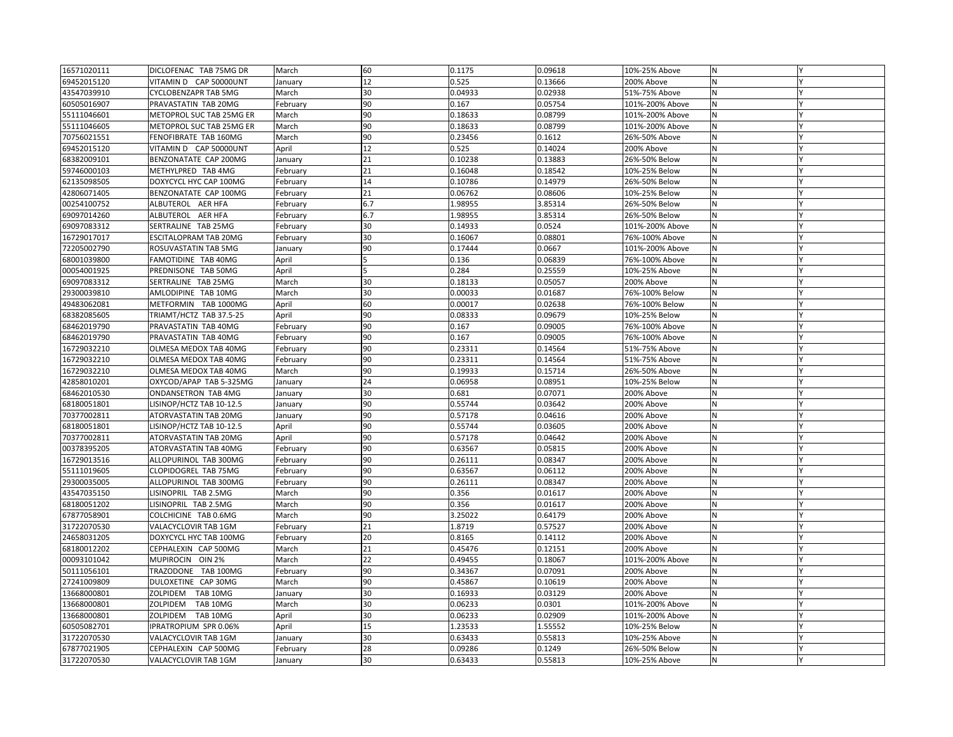| 16571020111 | DICLOFENAC TAB 75MG DR       | March    | 60  | 0.1175  | 0.09618 | 10%-25% Above   | IN. |  |
|-------------|------------------------------|----------|-----|---------|---------|-----------------|-----|--|
| 69452015120 | VITAMIN D CAP 50000UNT       | January  | 12  | 0.525   | 0.13666 | 200% Above      | N   |  |
| 43547039910 | CYCLOBENZAPR TAB 5MG         | March    | 30  | 0.04933 | 0.02938 | 51%-75% Above   |     |  |
| 60505016907 | PRAVASTATIN TAB 20MG         | February | 90  | 0.167   | 0.05754 | 101%-200% Above |     |  |
| 55111046601 | METOPROL SUC TAB 25MG ER     | March    | 90  | 0.18633 | 0.08799 | 101%-200% Above | N   |  |
| 55111046605 | METOPROL SUC TAB 25MG ER     | March    | 90  | 0.18633 | 0.08799 | 101%-200% Above | N   |  |
| 70756021551 | FENOFIBRATE TAB 160MG        | March    | 90  | 0.23456 | 0.1612  | 26%-50% Above   | N   |  |
| 69452015120 | VITAMIN D CAP 50000UNT       | April    | 12  | 0.525   | 0.14024 | 200% Above      |     |  |
| 68382009101 | BENZONATATE CAP 200MG        | January  | 21  | 0.10238 | 0.13883 | 26%-50% Below   | N   |  |
| 59746000103 | METHYLPRED TAB 4MG           | February | 21  | 0.16048 | 0.18542 | 10%-25% Below   | N   |  |
| 62135098505 | DOXYCYCL HYC CAP 100MG       | February | 14  | 0.10786 | 0.14979 | 26%-50% Below   | N   |  |
| 42806071405 | BENZONATATE CAP 100MG        | February | 21  | 0.06762 | 0.08606 | 10%-25% Below   |     |  |
| 00254100752 | ALBUTEROL AER HFA            | February | 6.7 | 1.98955 | 3.85314 | 26%-50% Below   | N   |  |
| 69097014260 | ALBUTEROL AER HFA            | February | 6.7 | 1.98955 | 3.85314 | 26%-50% Below   | N   |  |
| 69097083312 | SERTRALINE TAB 25MG          | February | 30  | 0.14933 | 0.0524  | 101%-200% Above | N   |  |
| 16729017017 | <b>ESCITALOPRAM TAB 20MG</b> | February | 30  | 0.16067 | 0.08801 | 76%-100% Above  | N   |  |
| 72205002790 | ROSUVASTATIN TAB 5MG         | January  | 90  | 0.17444 | 0.0667  | 101%-200% Above | N   |  |
| 68001039800 | FAMOTIDINE TAB 40MG          | April    |     | 0.136   | 0.06839 | 76%-100% Above  | N   |  |
| 00054001925 | PREDNISONE TAB 50MG          | April    |     | 0.284   | 0.25559 | 10%-25% Above   | N   |  |
| 69097083312 | SERTRALINE TAB 25MG          | March    | 30  | 0.18133 | 0.05057 | 200% Above      |     |  |
| 29300039810 | AMLODIPINE TAB 10MG          | March    | 30  | 0.00033 | 0.01687 | 76%-100% Below  |     |  |
| 49483062081 | METFORMIN TAB 1000MG         | April    | 60  | 0.00017 | 0.02638 | 76%-100% Below  | N   |  |
| 68382085605 | TRIAMT/HCTZ TAB 37.5-25      | April    | 90  | 0.08333 | 0.09679 | 10%-25% Below   | N   |  |
| 68462019790 | PRAVASTATIN TAB 40MG         | February | 90  | 0.167   | 0.09005 | 76%-100% Above  | N   |  |
| 68462019790 | PRAVASTATIN TAB 40MG         | February | 90  | 0.167   | 0.09005 | 76%-100% Above  | N   |  |
| 16729032210 | OLMESA MEDOX TAB 40MG        | February | 90  | 0.23311 | 0.14564 | 51%-75% Above   | N   |  |
| 16729032210 | OLMESA MEDOX TAB 40MG        | February | 90  | 0.23311 | 0.14564 | 51%-75% Above   | N   |  |
| 16729032210 | OLMESA MEDOX TAB 40MG        | March    | 90  | 0.19933 | 0.15714 | 26%-50% Above   | N   |  |
| 42858010201 | OXYCOD/APAP TAB 5-325MG      | January  | 24  | 0.06958 | 0.08951 | 10%-25% Below   | N   |  |
| 68462010530 | ONDANSETRON TAB 4MG          | January  | 30  | 0.681   | 0.07071 | 200% Above      | N   |  |
| 68180051801 | LISINOP/HCTZ TAB 10-12.5     | January  | 90  | 0.55744 | 0.03642 | 200% Above      | N   |  |
| 70377002811 | ATORVASTATIN TAB 20MG        | January  | 90  | 0.57178 | 0.04616 | 200% Above      | N   |  |
| 68180051801 | LISINOP/HCTZ TAB 10-12.5     | April    | 90  | 0.55744 | 0.03605 | 200% Above      | N   |  |
| 70377002811 | ATORVASTATIN TAB 20MG        | April    | 90  | 0.57178 | 0.04642 | 200% Above      | N   |  |
| 00378395205 | ATORVASTATIN TAB 40MG        | February | 90  | 0.63567 | 0.05815 | 200% Above      | N   |  |
| 16729013516 | ALLOPURINOL TAB 300MG        | February | 90  | 0.26111 | 0.08347 | 200% Above      | N   |  |
| 55111019605 | CLOPIDOGREL TAB 75MG         | February | 90  | 0.63567 | 0.06112 | 200% Above      | N   |  |
| 29300035005 | ALLOPURINOL TAB 300MG        | February | 90  | 0.26111 | 0.08347 | 200% Above      |     |  |
| 43547035150 | LISINOPRIL TAB 2.5MG         | March    | 90  | 0.356   | 0.01617 | 200% Above      | N   |  |
| 68180051202 | LISINOPRIL TAB 2.5MG         | March    | 90  | 0.356   | 0.01617 | 200% Above      | N   |  |
| 67877058901 | COLCHICINE TAB 0.6MG         | March    | 90  | 3.25022 | 0.64179 | 200% Above      | N   |  |
| 31722070530 | VALACYCLOVIR TAB 1GM         | February | 21  | 1.8719  | 0.57527 | 200% Above      | N   |  |
| 24658031205 | DOXYCYCL HYC TAB 100MG       | February | 20  | 0.8165  | 0.14112 | 200% Above      | N   |  |
| 68180012202 | CEPHALEXIN CAP 500MG         | March    | 21  | 0.45476 | 0.12151 | 200% Above      | N   |  |
| 00093101042 | MUPIROCIN OIN 2%             | March    | 22  | 0.49455 | 0.18067 | 101%-200% Above | N   |  |
| 50111056101 | TRAZODONE TAB 100MG          | February | 90  | 0.34367 | 0.07091 | 200% Above      | N   |  |
| 27241009809 | DULOXETINE CAP 30MG          | March    | 90  | 0.45867 | 0.10619 | 200% Above      | N   |  |
| 13668000801 | ZOLPIDEM<br>TAB 10MG         | January  | 30  | 0.16933 | 0.03129 | 200% Above      | N   |  |
| 13668000801 | ZOLPIDEM<br>TAB 10MG         | March    | 30  | 0.06233 | 0.0301  | 101%-200% Above | N   |  |
| 13668000801 | ZOLPIDEM TAB 10MG            | April    | 30  | 0.06233 | 0.02909 | 101%-200% Above | N   |  |
| 60505082701 | IPRATROPIUM SPR 0.06%        | April    | 15  | 1.23533 | 1.55552 | 10%-25% Below   |     |  |
| 31722070530 | VALACYCLOVIR TAB 1GM         | January  | 30  | 0.63433 | 0.55813 | 10%-25% Above   | N   |  |
| 67877021905 | CEPHALEXIN CAP 500MG         | February | 28  | 0.09286 | 0.1249  | 26%-50% Below   | N   |  |
| 31722070530 | VALACYCLOVIR TAB 1GM         | January  | 30  | 0.63433 | 0.55813 | 10%-25% Above   | N   |  |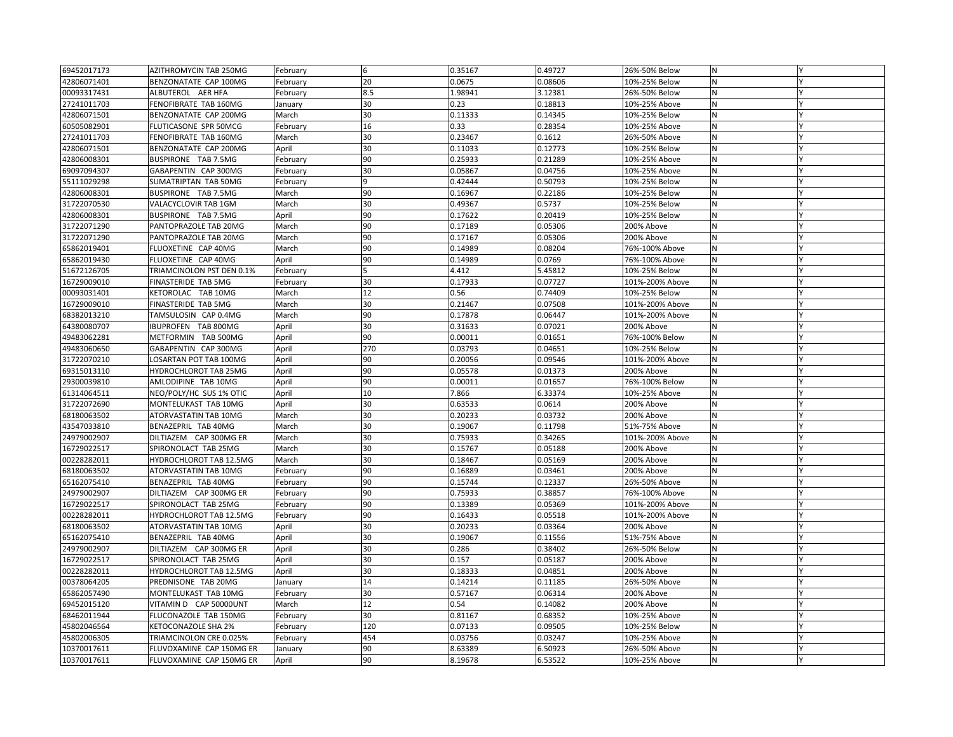| 69452017173 | AZITHROMYCIN TAB 250MG     | February | 6   | 0.35167 | 0.49727 | 26%-50% Below   | IN. |  |
|-------------|----------------------------|----------|-----|---------|---------|-----------------|-----|--|
| 42806071401 | BENZONATATE CAP 100MG      | February | 20  | 0.0675  | 0.08606 | 10%-25% Below   | N   |  |
| 00093317431 | ALBUTEROL AER HFA          | February | 8.5 | 1.98941 | 3.12381 | 26%-50% Below   | N   |  |
| 27241011703 | FENOFIBRATE TAB 160MG      | January  | 30  | 0.23    | 0.18813 | 10%-25% Above   |     |  |
| 42806071501 | BENZONATATE CAP 200MG      | March    | 30  | 0.11333 | 0.14345 | 10%-25% Below   | N   |  |
| 60505082901 | FLUTICASONE SPR 50MCG      | February | 16  | 0.33    | 0.28354 | 10%-25% Above   |     |  |
| 27241011703 | FENOFIBRATE TAB 160MG      | March    | 30  | 0.23467 | 0.1612  | 26%-50% Above   | N   |  |
| 42806071501 | BENZONATATE CAP 200MG      | April    | 30  | 0.11033 | 0.12773 | 10%-25% Below   |     |  |
| 42806008301 | BUSPIRONE TAB 7.5MG        | February | 90  | 0.25933 | 0.21289 | 10%-25% Above   | N   |  |
| 69097094307 | GABAPENTIN CAP 300MG       | February | 30  | 0.05867 | 0.04756 | 10%-25% Above   | N   |  |
| 55111029298 | SUMATRIPTAN TAB 50MG       | February | q   | 0.42444 | 0.50793 | 10%-25% Below   | N   |  |
| 42806008301 | BUSPIRONE TAB 7.5MG        | March    | 90  | 0.16967 | 0.22186 | 10%-25% Below   | N   |  |
| 31722070530 | VALACYCLOVIR TAB 1GM       | March    | 30  | 0.49367 | 0.5737  | 10%-25% Below   | N   |  |
| 42806008301 | BUSPIRONE TAB 7.5MG        | April    | 90  | 0.17622 | 0.20419 | 10%-25% Below   | N   |  |
| 31722071290 | PANTOPRAZOLE TAB 20MG      | March    | 90  | 0.17189 | 0.05306 | 200% Above      | N   |  |
| 31722071290 | PANTOPRAZOLE TAB 20MG      | March    | 90  | 0.17167 | 0.05306 | 200% Above      | N   |  |
| 65862019401 | FLUOXETINE CAP 40MG        | March    | 90  | 0.14989 | 0.08204 | 76%-100% Above  | N   |  |
| 65862019430 | FLUOXETINE CAP 40MG        | April    | 90  | 0.14989 | 0.0769  | 76%-100% Above  | N   |  |
| 51672126705 | TRIAMCINOLON PST DEN 0.1%  | February |     | 4.412   | 5.45812 | 10%-25% Below   | N   |  |
| 16729009010 | FINASTERIDE TAB 5MG        | February | 30  | 0.17933 | 0.07727 | 101%-200% Above |     |  |
| 00093031401 | KETOROLAC TAB 10MG         | March    | 12  | 0.56    | 0.74409 | 10%-25% Below   |     |  |
| 16729009010 | FINASTERIDE TAB 5MG        | March    | 30  | 0.21467 | 0.07508 | 101%-200% Above | N   |  |
| 68382013210 | TAMSULOSIN CAP 0.4MG       | March    | 90  | 0.17878 | 0.06447 | 101%-200% Above | Ν   |  |
| 64380080707 | <b>IBUPROFEN TAB 800MG</b> | April    | 30  | 0.31633 | 0.07021 | 200% Above      | N   |  |
| 49483062281 | METFORMIN TAB 500MG        | April    | 90  | 0.00011 | 0.01651 | 76%-100% Below  |     |  |
| 49483060650 | GABAPENTIN CAP 300MG       | April    | 270 | 0.03793 | 0.04651 | 10%-25% Below   | N   |  |
| 31722070210 | LOSARTAN POT TAB 100MG     | April    | 90  | 0.20056 | 0.09546 | 101%-200% Above | N   |  |
| 69315013110 | HYDROCHLOROT TAB 25MG      | April    | 90  | 0.05578 | 0.01373 | 200% Above      | N   |  |
| 29300039810 | AMLODIPINE TAB 10MG        | April    | 90  | 0.00011 | 0.01657 | 76%-100% Below  | N   |  |
| 61314064511 | NEO/POLY/HC SUS 1% OTIC    | April    | 10  | 7.866   | 6.33374 | 10%-25% Above   | N   |  |
| 31722072690 | MONTELUKAST TAB 10MG       | April    | 30  | 0.63533 | 0.0614  | 200% Above      | N   |  |
| 68180063502 | ATORVASTATIN TAB 10MG      | March    | 30  | 0.20233 | 0.03732 | 200% Above      | N   |  |
| 43547033810 | BENAZEPRIL TAB 40MG        | March    | 30  | 0.19067 | 0.11798 | 51%-75% Above   | N   |  |
| 24979002907 | DILTIAZEM CAP 300MG ER     | March    | 30  | 0.75933 | 0.34265 | 101%-200% Above | N   |  |
| 16729022517 | SPIRONOLACT TAB 25MG       | March    | 30  | 0.15767 | 0.05188 | 200% Above      | N   |  |
| 00228282011 | HYDROCHLOROT TAB 12.5MG    | March    | 30  | 0.18467 | 0.05169 | 200% Above      | N   |  |
| 68180063502 | ATORVASTATIN TAB 10MG      | February | 90  | 0.16889 | 0.03461 | 200% Above      | N   |  |
| 65162075410 | BENAZEPRIL TAB 40MG        | February | 90  | 0.15744 | 0.12337 | 26%-50% Above   | N   |  |
| 24979002907 | DILTIAZEM CAP 300MG ER     | February | 90  | 0.75933 | 0.38857 | 76%-100% Above  | N   |  |
| 16729022517 | SPIRONOLACT TAB 25MG       | February | 90  | 0.13389 | 0.05369 | 101%-200% Above | N   |  |
| 00228282011 | HYDROCHLOROT TAB 12.5MG    | February | 90  | 0.16433 | 0.05518 | 101%-200% Above | N   |  |
| 68180063502 | ATORVASTATIN TAB 10MG      | April    | 30  | 0.20233 | 0.03364 | 200% Above      | N   |  |
| 65162075410 | BENAZEPRIL TAB 40MG        | April    | 30  | 0.19067 | 0.11556 | 51%-75% Above   | N   |  |
| 24979002907 | DILTIAZEM CAP 300MG ER     | April    | 30  | 0.286   | 0.38402 | 26%-50% Below   | N   |  |
| 16729022517 | SPIRONOLACT TAB 25MG       | April    | 30  | 0.157   | 0.05187 | 200% Above      | N   |  |
| 00228282011 | HYDROCHLOROT TAB 12.5MG    | April    | 30  | 0.18333 | 0.04851 | 200% Above      |     |  |
| 00378064205 | PREDNISONE TAB 20MG        | January  | 14  | 0.14214 | 0.11185 | 26%-50% Above   | N   |  |
| 65862057490 | MONTELUKAST TAB 10MG       | February | 30  | 0.57167 | 0.06314 | 200% Above      | N   |  |
| 69452015120 | VITAMIN D CAP 50000UNT     | March    | 12  | 0.54    | 0.14082 | 200% Above      | N   |  |
| 68462011944 | FLUCONAZOLE TAB 150MG      | February | 30  | 0.81167 | 0.68352 | 10%-25% Above   | N   |  |
| 45802046564 | KETOCONAZOLE SHA 2%        | February | 120 | 0.07133 | 0.09505 | 10%-25% Below   | N   |  |
| 45802006305 | TRIAMCINOLON CRE 0.025%    | February | 454 | 0.03756 | 0.03247 | 10%-25% Above   | N   |  |
| 10370017611 | FLUVOXAMINE CAP 150MG ER   | January  | 90  | 8.63389 | 6.50923 | 26%-50% Above   | N   |  |
| 10370017611 | FLUVOXAMINE CAP 150MG ER   | April    | 90  | 8.19678 | 6.53522 | 10%-25% Above   | N   |  |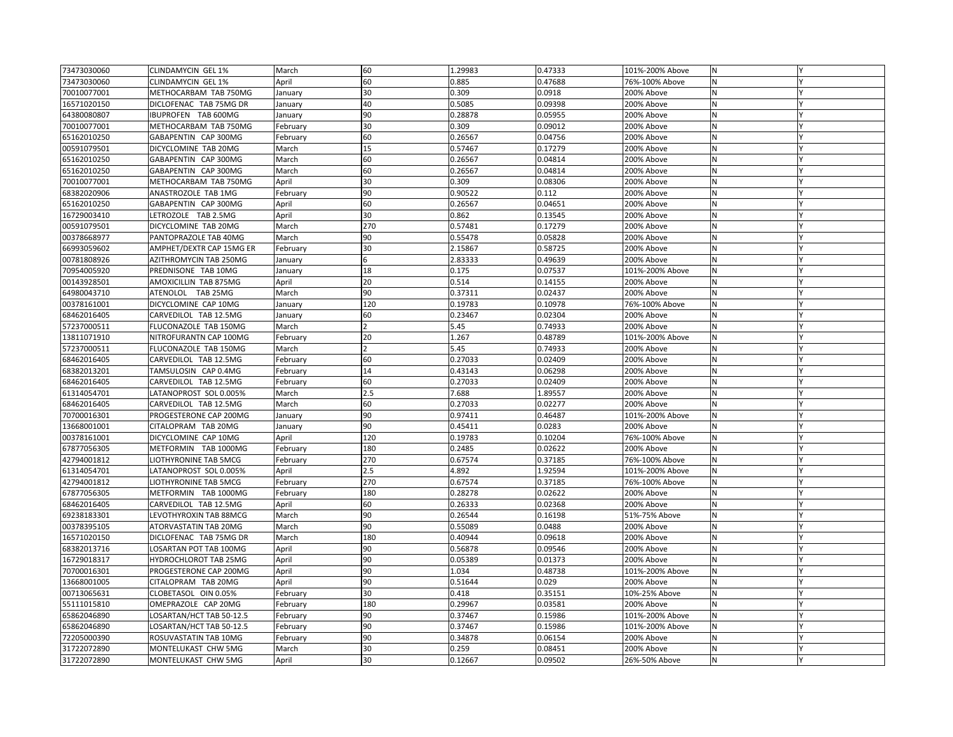| 73473030060 | <b>CLINDAMYCIN GEL 1%</b>      | March    | 60  | 1.29983 | 0.47333 | 101%-200% Above | N |  |
|-------------|--------------------------------|----------|-----|---------|---------|-----------------|---|--|
| 73473030060 | <b>CLINDAMYCIN GEL 1%</b>      | April    | 60  | 0.885   | 0.47688 | 76%-100% Above  | N |  |
| 70010077001 | METHOCARBAM TAB 750MG          | January  | 30  | 0.309   | 0.0918  | 200% Above      | N |  |
| 16571020150 | DICLOFENAC TAB 75MG DR         | January  | 40  | 0.5085  | 0.09398 | 200% Above      | N |  |
| 64380080807 | IBUPROFEN TAB 600MG            | January  | 90  | 0.28878 | 0.05955 | 200% Above      | N |  |
| 70010077001 | METHOCARBAM TAB 750MG          | February | 30  | 0.309   | 0.09012 | 200% Above      | N |  |
| 65162010250 | GABAPENTIN CAP 300MG           | February | 60  | 0.26567 | 0.04756 | 200% Above      | N |  |
| 00591079501 | DICYCLOMINE TAB 20MG           | March    | 15  | 0.57467 | 0.17279 | 200% Above      | N |  |
| 65162010250 | GABAPENTIN CAP 300MG           | March    | 60  | 0.26567 | 0.04814 | 200% Above      | N |  |
| 65162010250 | GABAPENTIN CAP 300MG           | March    | 60  | 0.26567 | 0.04814 | 200% Above      | N |  |
| 70010077001 | METHOCARBAM TAB 750MG          | April    | 30  | 0.309   | 0.08306 | 200% Above      | N |  |
| 68382020906 | ANASTROZOLE TAB 1MG            | February | 90  | 0.90522 | 0.112   | 200% Above      | N |  |
| 65162010250 | GABAPENTIN CAP 300MG           | April    | 60  | 0.26567 | 0.04651 | 200% Above      | N |  |
| 16729003410 | LETROZOLE TAB 2.5MG            | April    | 30  | 0.862   | 0.13545 | 200% Above      | N |  |
| 00591079501 | DICYCLOMINE TAB 20MG           | March    | 270 | 0.57481 | 0.17279 | 200% Above      | N |  |
| 00378668977 | PANTOPRAZOLE TAB 40MG          | March    | 90  | 0.55478 | 0.05828 | 200% Above      | N |  |
| 66993059602 | AMPHET/DEXTR CAP 15MG ER       | February | 30  | 2.15867 | 0.58725 | 200% Above      |   |  |
| 00781808926 | AZITHROMYCIN TAB 250MG         | January  |     | 2.83333 | 0.49639 | 200% Above      | N |  |
| 70954005920 | PREDNISONE TAB 10MG            | January  | 18  | 0.175   | 0.07537 | 101%-200% Above | N |  |
| 00143928501 | AMOXICILLIN TAB 875MG          | April    | 20  | 0.514   | 0.14155 | 200% Above      |   |  |
| 64980043710 | TAB 25MG<br><b>ATENOLOL</b>    | March    | 90  | 0.37311 | 0.02437 | 200% Above      | N |  |
| 00378161001 | DICYCLOMINE CAP 10MG           | January  | 120 | 0.19783 | 0.10978 | 76%-100% Above  | N |  |
| 68462016405 | CARVEDILOL TAB 12.5MG          | January  | 60  | 0.23467 | 0.02304 | 200% Above      | N |  |
| 57237000511 | FLUCONAZOLE TAB 150MG          | March    |     | 5.45    | 0.74933 | 200% Above      | N |  |
| 13811071910 | NITROFURANTN CAP 100MG         | February | 20  | 1.267   | 0.48789 | 101%-200% Above | N |  |
| 57237000511 | FLUCONAZOLE TAB 150MG          | March    |     | 5.45    | 0.74933 | 200% Above      | N |  |
| 68462016405 | CARVEDILOL TAB 12.5MG          | February | 60  | 0.27033 | 0.02409 | 200% Above      | N |  |
| 68382013201 | TAMSULOSIN CAP 0.4MG           | February | 14  | 0.43143 | 0.06298 | 200% Above      | N |  |
| 68462016405 | CARVEDILOL TAB 12.5MG          | February | 60  | 0.27033 | 0.02409 | 200% Above      | N |  |
| 61314054701 | LATANOPROST SOL 0.005%         | March    | 2.5 | 7.688   | 1.89557 | 200% Above      | N |  |
| 68462016405 | CARVEDILOL TAB 12.5MG          | March    | 60  | 0.27033 | 0.02277 | 200% Above      | N |  |
| 70700016301 | PROGESTERONE CAP 200MG         | January  | 90  | 0.97411 | 0.46487 | 101%-200% Above |   |  |
| 13668001001 | CITALOPRAM TAB 20MG            | January  | 90  | 0.45411 | 0.0283  | 200% Above      | N |  |
| 00378161001 | DICYCLOMINE CAP 10MG           | April    | 120 | 0.19783 | 0.10204 | 76%-100% Above  |   |  |
| 67877056305 | METFORMIN TAB 1000MG           | February | 180 | 0.2485  | 0.02622 | 200% Above      | N |  |
| 42794001812 | LIOTHYRONINE TAB 5MCG          | February | 270 | 0.67574 | 0.37185 | 76%-100% Above  | N |  |
| 61314054701 | LATANOPROST SOL 0.005%         | April    | 2.5 | 4.892   | 1.92594 | 101%-200% Above |   |  |
| 42794001812 | <b>LIOTHYRONINE TAB 5MCG</b>   | February | 270 | 0.67574 | 0.37185 | 76%-100% Above  | N |  |
| 67877056305 | METFORMIN<br><b>TAB 1000MG</b> | February | 180 | 0.28278 | 0.02622 | 200% Above      | N |  |
| 68462016405 | CARVEDILOL TAB 12.5MG          | April    | 60  | 0.26333 | 0.02368 | 200% Above      | N |  |
| 69238183301 | LEVOTHYROXIN TAB 88MCG         | March    | 90  | 0.26544 | 0.16198 | 51%-75% Above   | N |  |
| 00378395105 | ATORVASTATIN TAB 20MG          | March    | 90  | 0.55089 | 0.0488  | 200% Above      | N |  |
| 16571020150 | DICLOFENAC TAB 75MG DR         | March    | 180 | 0.40944 | 0.09618 | 200% Above      | N |  |
| 68382013716 | LOSARTAN POT TAB 100MG         | April    | 90  | 0.56878 | 0.09546 | 200% Above      | N |  |
| 16729018317 | HYDROCHLOROT TAB 25MG          | April    | 90  | 0.05389 | 0.01373 | 200% Above      | N |  |
| 70700016301 | PROGESTERONE CAP 200MG         | April    | 90  | 1.034   | 0.48738 | 101%-200% Above | N |  |
| 13668001005 | CITALOPRAM TAB 20MG            | April    | 90  | 0.51644 | 0.029   | 200% Above      | N |  |
| 00713065631 | CLOBETASOL OIN 0.05%           | February | 30  | 0.418   | 0.35151 | 10%-25% Above   | N |  |
| 55111015810 | OMEPRAZOLE CAP 20MG            | February | 180 | 0.29967 | 0.03581 | 200% Above      | N |  |
| 65862046890 | LOSARTAN/HCT TAB 50-12.5       | February | 90  | 0.37467 | 0.15986 | 101%-200% Above | N |  |
| 65862046890 | LOSARTAN/HCT TAB 50-12.5       | February | 90  | 0.37467 | 0.15986 | 101%-200% Above | N |  |
| 72205000390 | ROSUVASTATIN TAB 10MG          | February | 90  | 0.34878 | 0.06154 | 200% Above      | N |  |
| 31722072890 | MONTELUKAST CHW 5MG            | March    | 30  | 0.259   | 0.08451 | 200% Above      | N |  |
| 31722072890 | MONTELUKAST CHW 5MG            | April    | 30  | 0.12667 | 0.09502 | 26%-50% Above   | N |  |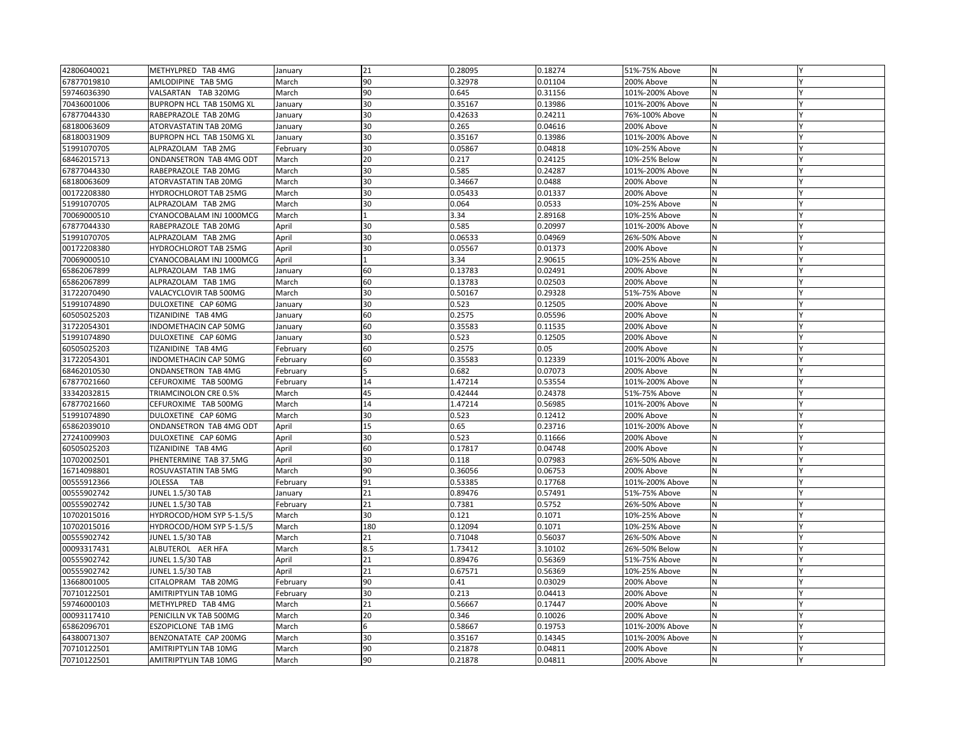| 42806040021 | METHYLPRED TAB 4MG              | January  | 21  | 0.28095 | 0.18274 | 51%-75% Above   | N |  |
|-------------|---------------------------------|----------|-----|---------|---------|-----------------|---|--|
| 67877019810 | AMLODIPINE TAB 5MG              | March    | 90  | 0.32978 | 0.01104 | 200% Above      | N |  |
| 59746036390 | VALSARTAN TAB 320MG             | March    | 90  | 0.645   | 0.31156 | 101%-200% Above | N |  |
| 70436001006 | <b>BUPROPN HCL TAB 150MG XL</b> | January  | 30  | 0.35167 | 0.13986 | 101%-200% Above |   |  |
| 67877044330 | RABEPRAZOLE TAB 20MG            | January  | 30  | 0.42633 | 0.24211 | 76%-100% Above  | N |  |
| 68180063609 | ATORVASTATIN TAB 20MG           | January  | 30  | 0.265   | 0.04616 | 200% Above      |   |  |
| 68180031909 | BUPROPN HCL TAB 150MG XL        | January  | 30  | 0.35167 | 0.13986 | 101%-200% Above | N |  |
| 51991070705 | ALPRAZOLAM TAB 2MG              | February | 30  | 0.05867 | 0.04818 | 10%-25% Above   |   |  |
| 68462015713 | ONDANSETRON TAB 4MG ODT         | March    | 20  | 0.217   | 0.24125 | 10%-25% Below   | N |  |
| 67877044330 | RABEPRAZOLE TAB 20MG            | March    | 30  | 0.585   | 0.24287 | 101%-200% Above | N |  |
| 68180063609 | ATORVASTATIN TAB 20MG           | March    | 30  | 0.34667 | 0.0488  | 200% Above      | N |  |
| 00172208380 | HYDROCHLOROT TAB 25MG           | March    | 30  | 0.05433 | 0.01337 | 200% Above      | N |  |
| 51991070705 | ALPRAZOLAM TAB 2MG              | March    | 30  | 0.064   | 0.0533  | 10%-25% Above   | N |  |
| 70069000510 | CYANOCOBALAM INJ 1000MCG        | March    |     | 3.34    | 2.89168 | 10%-25% Above   | N |  |
| 67877044330 | RABEPRAZOLE TAB 20MG            | April    | 30  | 0.585   | 0.20997 | 101%-200% Above | N |  |
| 51991070705 | ALPRAZOLAM TAB 2MG              | April    | 30  | 0.06533 | 0.04969 | 26%-50% Above   | N |  |
| 00172208380 | <b>HYDROCHLOROT TAB 25MG</b>    | April    | 30  | 0.05567 | 0.01373 | 200% Above      | N |  |
| 70069000510 | CYANOCOBALAM INJ 1000MCG        | April    |     | 3.34    | 2.90615 | 10%-25% Above   | N |  |
| 65862067899 | ALPRAZOLAM TAB 1MG              | January  | 60  | 0.13783 | 0.02491 | 200% Above      | N |  |
| 65862067899 | ALPRAZOLAM TAB 1MG              | March    | 60  | 0.13783 | 0.02503 | 200% Above      |   |  |
| 31722070490 | VALACYCLOVIR TAB 500MG          | March    | 30  | 0.50167 | 0.29328 | 51%-75% Above   |   |  |
| 51991074890 | DULOXETINE CAP 60MG             | January  | 30  | 0.523   | 0.12505 | 200% Above      | N |  |
| 60505025203 | TIZANIDINE TAB 4MG              | January  | 60  | 0.2575  | 0.05596 | 200% Above      | N |  |
| 31722054301 | <b>INDOMETHACIN CAP 50MG</b>    | January  | 60  | 0.35583 | 0.11535 | 200% Above      | N |  |
| 51991074890 | DULOXETINE CAP 60MG             | January  | 30  | 0.523   | 0.12505 | 200% Above      |   |  |
| 60505025203 | TIZANIDINE TAB 4MG              | February | 60  | 0.2575  | 0.05    | 200% Above      | N |  |
| 31722054301 | INDOMETHACIN CAP 50MG           | February | 60  | 0.35583 | 0.12339 | 101%-200% Above | N |  |
| 68462010530 | <b>ONDANSETRON TAB 4MG</b>      | February |     | 0.682   | 0.07073 | 200% Above      | N |  |
| 67877021660 | CEFUROXIME TAB 500MG            | February | 14  | 1.47214 | 0.53554 | 101%-200% Above | N |  |
| 33342032815 | TRIAMCINOLON CRE 0.5%           | March    | 45  | 0.42444 | 0.24378 | 51%-75% Above   | N |  |
| 67877021660 | CEFUROXIME TAB 500MG            | March    | 14  | 1.47214 | 0.56985 | 101%-200% Above | N |  |
| 51991074890 | DULOXETINE CAP 60MG             | March    | 30  | 0.523   | 0.12412 | 200% Above      |   |  |
| 65862039010 | ONDANSETRON TAB 4MG ODT         | April    | 15  | 0.65    | 0.23716 | 101%-200% Above | N |  |
| 27241009903 | DULOXETINE CAP 60MG             | April    | 30  | 0.523   | 0.11666 | 200% Above      | N |  |
| 60505025203 | TIZANIDINE TAB 4MG              | April    | 60  | 0.17817 | 0.04748 | 200% Above      | N |  |
| 10702002501 | PHENTERMINE TAB 37.5MG          | April    | 30  | 0.118   | 0.07983 | 26%-50% Above   | N |  |
| 16714098801 | ROSUVASTATIN TAB 5MG            | March    | 90  | 0.36056 | 0.06753 | 200% Above      | N |  |
| 00555912366 | <b>JOLESSA</b><br><b>TAB</b>    | February | 91  | 0.53385 | 0.17768 | 101%-200% Above | N |  |
| 00555902742 | JUNEL 1.5/30 TAB                | January  | 21  | 0.89476 | 0.57491 | 51%-75% Above   | N |  |
| 00555902742 | JUNEL 1.5/30 TAB                | February | 21  | 0.7381  | 0.5752  | 26%-50% Above   | N |  |
| 10702015016 | HYDROCOD/HOM SYP 5-1.5/5        | March    | 30  | 0.121   | 0.1071  | 10%-25% Above   | N |  |
| 10702015016 | HYDROCOD/HOM SYP 5-1.5/5        | March    | 180 | 0.12094 | 0.1071  | 10%-25% Above   |   |  |
| 00555902742 | JUNEL 1.5/30 TAB                | March    | 21  | 0.71048 | 0.56037 | 26%-50% Above   | N |  |
| 00093317431 | ALBUTEROL AER HFA               | March    | 8.5 | 1.73412 | 3.10102 | 26%-50% Below   | N |  |
| 00555902742 | JUNEL 1.5/30 TAB                | April    | 21  | 0.89476 | 0.56369 | 51%-75% Above   | N |  |
| 00555902742 | <b>JUNEL 1.5/30 TAB</b>         | April    | 21  | 0.67571 | 0.56369 | 10%-25% Above   | N |  |
| 13668001005 | CITALOPRAM TAB 20MG             | February | 90  | 0.41    | 0.03029 | 200% Above      | N |  |
| 70710122501 | AMITRIPTYLIN TAB 10MG           | February | 30  | 0.213   | 0.04413 | 200% Above      | N |  |
| 59746000103 | METHYLPRED TAB 4MG              | March    | 21  | 0.56667 | 0.17447 | 200% Above      | N |  |
| 00093117410 | PENICILLN VK TAB 500MG          | March    | 20  | 0.346   | 0.10026 | 200% Above      | N |  |
| 65862096701 | ESZOPICLONE TAB 1MG             | March    |     | 0.58667 | 0.19753 | 101%-200% Above | N |  |
| 64380071307 | BENZONATATE CAP 200MG           | March    | 30  | 0.35167 | 0.14345 | 101%-200% Above | N |  |
| 70710122501 | AMITRIPTYLIN TAB 10MG           | March    | 90  | 0.21878 | 0.04811 | 200% Above      | N |  |
| 70710122501 | <b>AMITRIPTYLIN TAB 10MG</b>    | March    | 90  | 0.21878 | 0.04811 | 200% Above      | N |  |
|             |                                 |          |     |         |         |                 |   |  |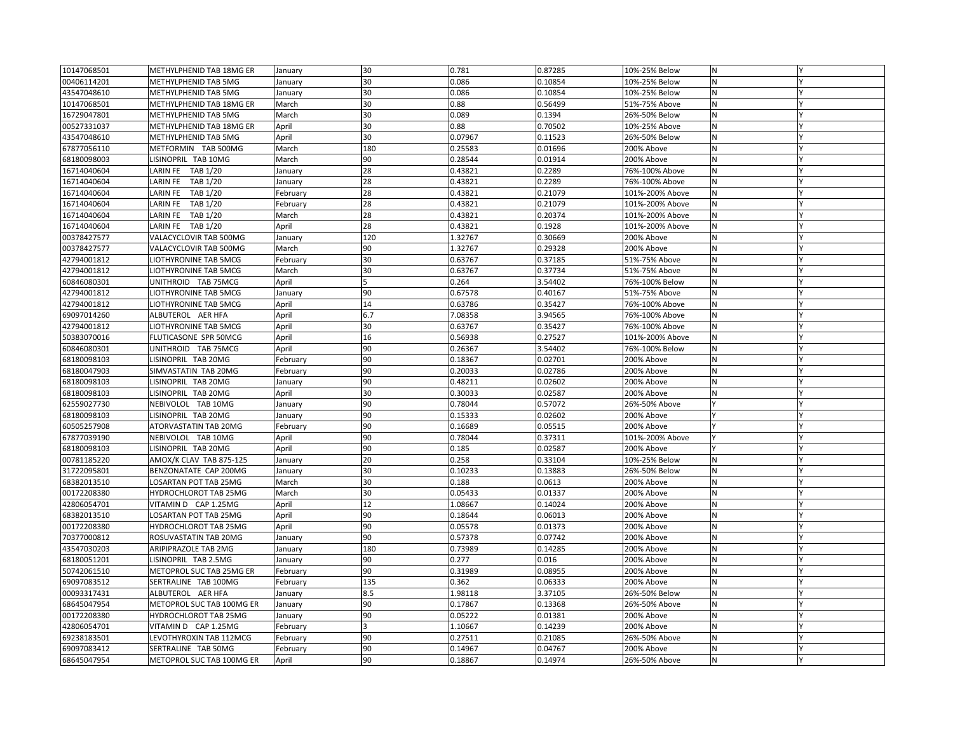| 10147068501                | METHYLPHENID TAB 18MG ER                           | January              | 30       | 0.781              | 0.87285            | 10%-25% Below               | IN.    |  |
|----------------------------|----------------------------------------------------|----------------------|----------|--------------------|--------------------|-----------------------------|--------|--|
| 00406114201                | METHYLPHENID TAB 5MG                               | January              | 30       | 0.086              | 0.10854            | 10%-25% Below               | N      |  |
| 43547048610                | METHYLPHENID TAB 5MG                               | January              | 30       | 0.086              | 0.10854            | 10%-25% Below               | N      |  |
| 10147068501                | METHYLPHENID TAB 18MG ER                           | March                | 30       | 0.88               | 0.56499            | 51%-75% Above               |        |  |
| 16729047801                | METHYLPHENID TAB 5MG                               | March                | 30       | 0.089              | 0.1394             | 26%-50% Below               | N      |  |
| 00527331037                | METHYLPHENID TAB 18MG ER                           | April                | 30       | 0.88               | 0.70502            | 10%-25% Above               |        |  |
| 43547048610                | METHYLPHENID TAB 5MG                               | April                | 30       | 0.07967            | 0.11523            | 26%-50% Below               | N      |  |
| 67877056110                | METFORMIN TAB 500MG                                | March                | 180      | 0.25583            | 0.01696            | 200% Above                  |        |  |
| 68180098003                | LISINOPRIL TAB 10MG                                | March                | 90       | 0.28544            | 0.01914            | 200% Above                  | N      |  |
| 16714040604                | LARIN FE<br>TAB 1/20                               | January              | 28       | 0.43821            | 0.2289             | 76%-100% Above              | N      |  |
| 16714040604                | LARIN FE<br>TAB 1/20                               | January              | 28       | 0.43821            | 0.2289             | 76%-100% Above              | N      |  |
| 16714040604                | LARIN FE<br>TAB 1/20                               | February             | 28       | 0.43821            | 0.21079            | 101%-200% Above             | N      |  |
| 16714040604                | LARIN FE<br>TAB 1/20                               | February             | 28       | 0.43821            | 0.21079            | 101%-200% Above             | N      |  |
| 16714040604                | LARIN FE<br>TAB 1/20                               | March                | 28       | 0.43821            | 0.20374            | 101%-200% Above             | N      |  |
| 16714040604                | LARIN FE<br>TAB 1/20                               | April                | 28       | 0.43821            | 0.1928             | 101%-200% Above             | N      |  |
| 00378427577                | VALACYCLOVIR TAB 500MG                             | January              | 120      | 1.32767            | 0.30669            | 200% Above                  | N      |  |
| 00378427577                | VALACYCLOVIR TAB 500MG                             | March                | 90       | 1.32767            | 0.29328            | 200% Above                  | N      |  |
| 42794001812                | LIOTHYRONINE TAB 5MCG                              | February             | 30       | 0.63767            | 0.37185            | 51%-75% Above               | N      |  |
| 42794001812                | LIOTHYRONINE TAB 5MCG                              | March                | 30       | 0.63767            | 0.37734            | 51%-75% Above               | N      |  |
| 60846080301                | UNITHROID TAB 75MCG                                | April                |          | 0.264              | 3.54402            | 76%-100% Below              |        |  |
| 42794001812                | LIOTHYRONINE TAB 5MCG                              | January              | 90       | 0.67578            | 0.40167            | 51%-75% Above               | N      |  |
| 42794001812                | LIOTHYRONINE TAB 5MCG                              | April                | 14       | 0.63786            | 0.35427            | 76%-100% Above              | N      |  |
| 69097014260                | ALBUTEROL AER HFA                                  | April                | 6.7      | 7.08358            | 3.94565            | 76%-100% Above              | N      |  |
| 42794001812                | LIOTHYRONINE TAB 5MCG                              | April                | 30       | 0.63767            | 0.35427            | 76%-100% Above              | N      |  |
| 50383070016                | FLUTICASONE SPR 50MCG                              | April                | 16       | 0.56938            | 0.27527            | 101%-200% Above             | N      |  |
| 60846080301                | UNITHROID TAB 75MCG                                | April                | 90       | 0.26367            | 3.54402            | 76%-100% Below              | N      |  |
| 68180098103                | LISINOPRIL TAB 20MG                                | February             | 90       | 0.18367            | 0.02701            | 200% Above                  | N      |  |
| 68180047903                | SIMVASTATIN TAB 20MG                               | February             | 90       | 0.20033            | 0.02786            | 200% Above                  | N      |  |
| 68180098103                | LISINOPRIL TAB 20MG                                | January              | 90       | 0.48211            | 0.02602            | 200% Above                  | N      |  |
| 68180098103                | LISINOPRIL TAB 20MG                                | April                | 30       | 0.30033            | 0.02587            | 200% Above                  | N      |  |
| 62559027730                | NEBIVOLOL TAB 10MG                                 | January              | 90       | 0.78044            | 0.57072            | 26%-50% Above               |        |  |
| 68180098103                | LISINOPRIL TAB 20MG                                | January              | 90       | 0.15333            | 0.02602            | 200% Above                  |        |  |
| 60505257908                | ATORVASTATIN TAB 20MG                              | February             | 90       | 0.16689            | 0.05515            | 200% Above                  |        |  |
| 67877039190                | NEBIVOLOL TAB 10MG                                 | April                | 90       | 0.78044            | 0.37311            | 101%-200% Above             |        |  |
| 68180098103                | LISINOPRIL TAB 20MG                                | April                | 90       | 0.185              | 0.02587            | 200% Above                  |        |  |
| 00781185220                | AMOX/K CLAV TAB 875-125                            | January              | 20       | 0.258              | 0.33104            | 10%-25% Below               | N      |  |
| 31722095801                | BENZONATATE CAP 200MG                              | January              | 30       | 0.10233            | 0.13883            | 26%-50% Below               | N      |  |
| 68382013510                | LOSARTAN POT TAB 25MG                              | March                | 30       | 0.188              | 0.0613             | 200% Above                  | N      |  |
| 00172208380                | HYDROCHLOROT TAB 25MG                              | March                | 30       | 0.05433            | 0.01337            | 200% Above                  | N      |  |
| 42806054701                | VITAMIN D CAP 1.25MG                               | April                | 12       | 1.08667            | 0.14024            | 200% Above                  | N      |  |
| 68382013510                | LOSARTAN POT TAB 25MG                              | April                | 90       | 0.18644            | 0.06013            | 200% Above                  | N      |  |
| 00172208380                | HYDROCHLOROT TAB 25MG                              | April                | 90       | 0.05578            | 0.01373            | 200% Above                  | N      |  |
| 70377000812                | ROSUVASTATIN TAB 20MG                              | January              | 90       | 0.57378            | 0.07742            | 200% Above                  | N      |  |
| 43547030203                | ARIPIPRAZOLE TAB 2MG                               | January              | 180      | 0.73989            | 0.14285            | 200% Above                  | N      |  |
| 68180051201                | LISINOPRIL TAB 2.5MG                               | January              | 90       | 0.277              | 0.016              | 200% Above                  |        |  |
| 50742061510                | METOPROL SUC TAB 25MG ER                           | February             | 90       | 0.31989            | 0.08955            | 200% Above                  |        |  |
| 69097083512                | SERTRALINE TAB 100MG                               | February             | 135      | 0.362<br>1.98118   | 0.06333<br>3.37105 | 200% Above                  | N<br>N |  |
| 00093317431                | ALBUTEROL AER HFA                                  | January              | 8.5      |                    |                    | 26%-50% Below               | N      |  |
| 68645047954<br>00172208380 | METOPROL SUC TAB 100MG ER<br>HYDROCHLOROT TAB 25MG | January<br>January   | 90<br>90 | 0.17867<br>0.05222 | 0.13368<br>0.01381 | 26%-50% Above<br>200% Above | N      |  |
| 42806054701                | VITAMIN D CAP 1.25MG                               | February             |          | 1.10667            | 0.14239            | 200% Above                  | N      |  |
| 69238183501                | LEVOTHYROXIN TAB 112MCG                            |                      | 90       | 0.27511            | 0.21085            | 26%-50% Above               | Ν      |  |
| 69097083412                | SERTRALINE TAB 50MG                                | February<br>February | 90       | 0.14967            | 0.04767            | 200% Above                  | N      |  |
| 68645047954                | METOPROL SUC TAB 100MG ER                          |                      | 90       | 0.18867            | 0.14974            | 26%-50% Above               | N      |  |
|                            |                                                    | April                |          |                    |                    |                             |        |  |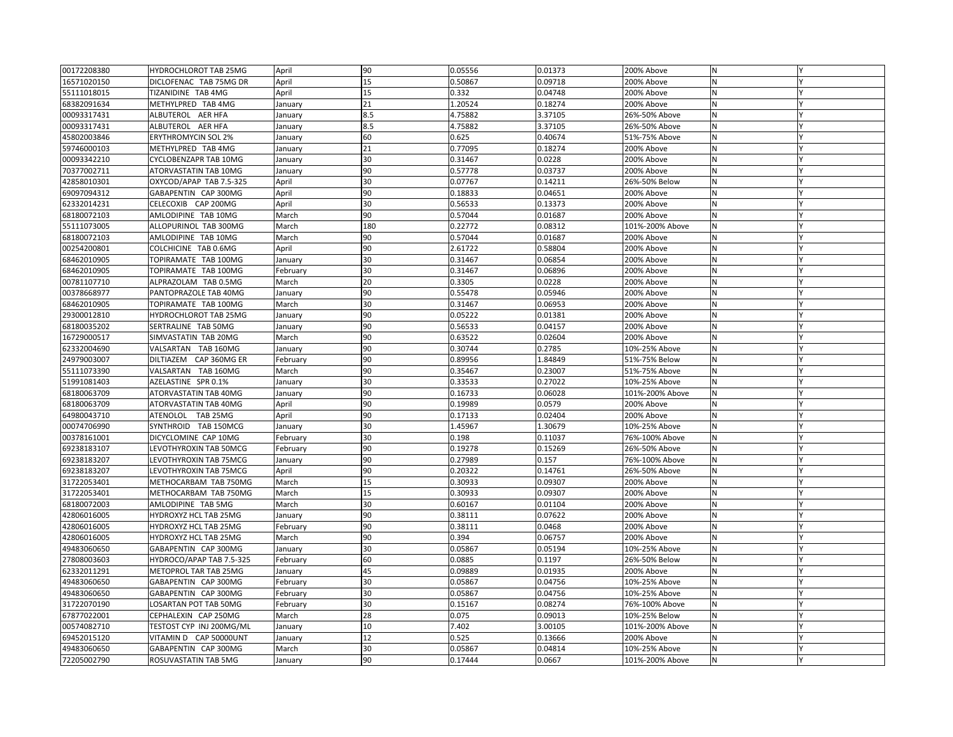| 00172208380 | HYDROCHLOROT TAB 25MG      | April    | 90  | 0.05556 | 0.01373 | 200% Above      | N |  |
|-------------|----------------------------|----------|-----|---------|---------|-----------------|---|--|
| 16571020150 | DICLOFENAC TAB 75MG DR     | April    | 15  | 0.50867 | 0.09718 | 200% Above      | N |  |
| 55111018015 | TIZANIDINE TAB 4MG         | April    | 15  | 0.332   | 0.04748 | 200% Above      | N |  |
| 68382091634 | METHYLPRED TAB 4MG         | January  | 21  | 1.20524 | 0.18274 | 200% Above      | N |  |
| 00093317431 | ALBUTEROL AER HFA          | January  | 8.5 | 4.75882 | 3.37105 | 26%-50% Above   | N |  |
| 00093317431 | ALBUTEROL AER HFA          | January  | 8.5 | 4.75882 | 3.37105 | 26%-50% Above   | N |  |
| 45802003846 | <b>ERYTHROMYCIN SOL 2%</b> | January  | 60  | 0.625   | 0.40674 | 51%-75% Above   | N |  |
| 59746000103 | METHYLPRED TAB 4MG         | January  | 21  | 0.77095 | 0.18274 | 200% Above      | N |  |
| 00093342210 | CYCLOBENZAPR TAB 10MG      | January  | 30  | 0.31467 | 0.0228  | 200% Above      |   |  |
| 70377002711 | ATORVASTATIN TAB 10MG      | January  | 90  | 0.57778 | 0.03737 | 200% Above      | N |  |
| 42858010301 | OXYCOD/APAP TAB 7.5-325    | April    | 30  | 0.07767 | 0.14211 | 26%-50% Below   | N |  |
| 69097094312 | GABAPENTIN CAP 300MG       | April    | 90  | 0.18833 | 0.04651 | 200% Above      | N |  |
| 62332014231 | CELECOXIB CAP 200MG        | April    | 30  | 0.56533 | 0.13373 | 200% Above      |   |  |
| 68180072103 | AMLODIPINE TAB 10MG        | March    | 90  | 0.57044 | 0.01687 | 200% Above      | N |  |
| 55111073005 | ALLOPURINOL TAB 300MG      | March    | 180 | 0.22772 | 0.08312 | 101%-200% Above | N |  |
| 68180072103 | AMLODIPINE TAB 10MG        | March    | 90  | 0.57044 | 0.01687 | 200% Above      | N |  |
| 00254200801 | COLCHICINE TAB 0.6MG       | April    | 90  | 2.61722 | 0.58804 | 200% Above      | N |  |
| 68462010905 | TOPIRAMATE TAB 100MG       | January  | 30  | 0.31467 | 0.06854 | 200% Above      | N |  |
| 68462010905 | TOPIRAMATE TAB 100MG       | February | 30  | 0.31467 | 0.06896 | 200% Above      | N |  |
| 00781107710 | ALPRAZOLAM TAB 0.5MG       | March    | 20  | 0.3305  | 0.0228  | 200% Above      | N |  |
| 00378668977 | PANTOPRAZOLE TAB 40MG      | January  | 90  | 0.55478 | 0.05946 | 200% Above      | N |  |
| 68462010905 | TOPIRAMATE TAB 100MG       | March    | 30  | 0.31467 | 0.06953 | 200% Above      | N |  |
| 29300012810 | HYDROCHLOROT TAB 25MG      | January  | 90  | 0.05222 | 0.01381 | 200% Above      | N |  |
| 68180035202 | SERTRALINE TAB 50MG        | January  | 90  | 0.56533 | 0.04157 | 200% Above      | N |  |
| 16729000517 | SIMVASTATIN TAB 20MG       | March    | 90  | 0.63522 | 0.02604 | 200% Above      | N |  |
| 62332004690 | VALSARTAN TAB 160MG        | January  | 90  | 0.30744 | 0.2785  | 10%-25% Above   | N |  |
| 24979003007 | DILTIAZEM CAP 360MG ER     | February | 90  | 0.89956 | 1.84849 | 51%-75% Below   | N |  |
| 55111073390 | VALSARTAN TAB 160MG        | March    | 90  | 0.35467 | 0.23007 | 51%-75% Above   | N |  |
| 51991081403 | AZELASTINE SPR 0.1%        | January  | 30  | 0.33533 | 0.27022 | 10%-25% Above   | Ν |  |
| 68180063709 | ATORVASTATIN TAB 40MG      | January  | 90  | 0.16733 | 0.06028 | 101%-200% Above |   |  |
| 68180063709 | ATORVASTATIN TAB 40MG      | April    | 90  | 0.19989 | 0.0579  | 200% Above      | N |  |
| 64980043710 | ATENOLOL<br>TAB 25MG       | April    | 90  | 0.17133 | 0.02404 | 200% Above      | N |  |
| 00074706990 | SYNTHROID TAB 150MCG       | January  | 30  | 1.45967 | 1.30679 | 10%-25% Above   | Ν |  |
| 00378161001 | DICYCLOMINE CAP 10MG       | February | 30  | 0.198   | 0.11037 | 76%-100% Above  | N |  |
| 69238183107 | LEVOTHYROXIN TAB 50MCG     | February | 90  | 0.19278 | 0.15269 | 26%-50% Above   | N |  |
| 69238183207 | LEVOTHYROXIN TAB 75MCG     | January  | 90  | 0.27989 | 0.157   | 76%-100% Above  | N |  |
| 69238183207 | LEVOTHYROXIN TAB 75MCG     | April    | 90  | 0.20322 | 0.14761 | 26%-50% Above   | N |  |
| 31722053401 | METHOCARBAM TAB 750MG      | March    | 15  | 0.30933 | 0.09307 | 200% Above      | N |  |
| 31722053401 | METHOCARBAM TAB 750MG      | March    | 15  | 0.30933 | 0.09307 | 200% Above      | N |  |
| 68180072003 | AMLODIPINE TAB 5MG         | March    | 30  | 0.60167 | 0.01104 | 200% Above      | N |  |
| 42806016005 | HYDROXYZ HCL TAB 25MG      | January  | 90  | 0.38111 | 0.07622 | 200% Above      | N |  |
| 42806016005 | HYDROXYZ HCL TAB 25MG      | February | 90  | 0.38111 | 0.0468  | 200% Above      | N |  |
| 42806016005 | HYDROXYZ HCL TAB 25MG      | March    | 90  | 0.394   | 0.06757 | 200% Above      | N |  |
| 49483060650 | GABAPENTIN CAP 300MG       | January  | 30  | 0.05867 | 0.05194 | 10%-25% Above   | N |  |
| 27808003603 | HYDROCO/APAP TAB 7.5-325   | February | 60  | 0.0885  | 0.1197  | 26%-50% Below   | N |  |
| 62332011291 | METOPROL TAR TAB 25MG      | January  | 45  | 0.09889 | 0.01935 | 200% Above      | N |  |
| 49483060650 | GABAPENTIN CAP 300MG       | February | 30  | 0.05867 | 0.04756 | 10%-25% Above   | N |  |
| 49483060650 | GABAPENTIN CAP 300MG       | February | 30  | 0.05867 | 0.04756 | 10%-25% Above   | N |  |
| 31722070190 | LOSARTAN POT TAB 50MG      | February | 30  | 0.15167 | 0.08274 | 76%-100% Above  | N |  |
| 67877022001 | CEPHALEXIN CAP 250MG       | March    | 28  | 0.075   | 0.09013 | 10%-25% Below   | N |  |
| 00574082710 | TESTOST CYP INJ 200MG/ML   | January  | 10  | 7.402   | 3.00105 | 101%-200% Above |   |  |
| 69452015120 | VITAMIN D CAP 50000UNT     | January  | 12  | 0.525   | 0.13666 | 200% Above      | N |  |
| 49483060650 | GABAPENTIN CAP 300MG       | March    | 30  | 0.05867 | 0.04814 | 10%-25% Above   | N |  |
| 72205002790 | ROSUVASTATIN TAB 5MG       | January  | 90  | 0.17444 | 0.0667  | 101%-200% Above | N |  |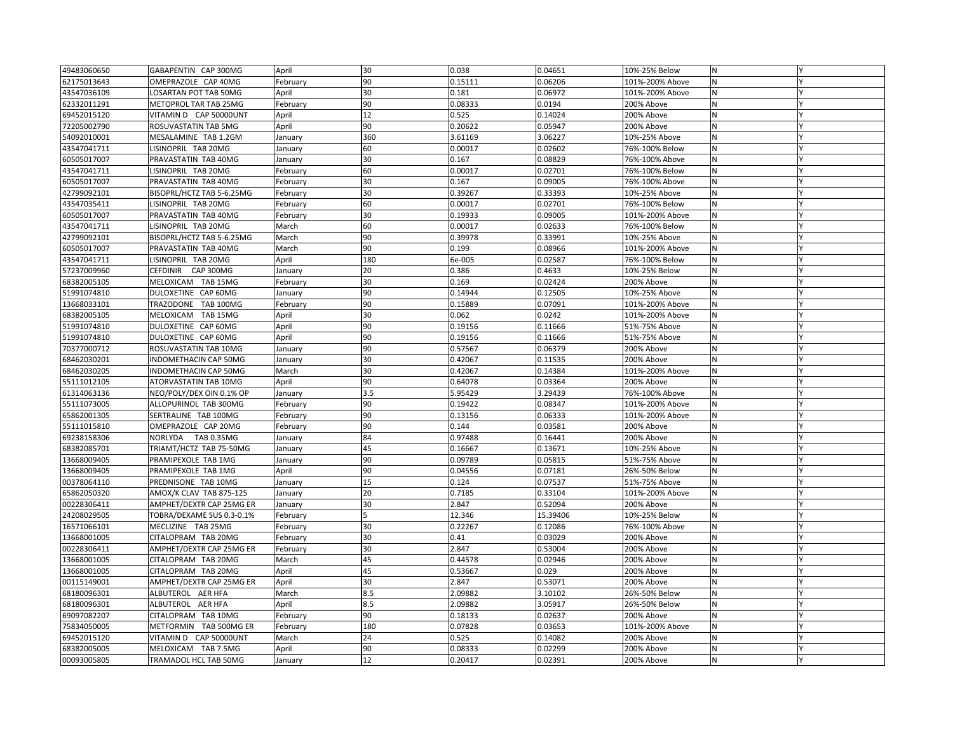| 49483060650 | GABAPENTIN CAP 300MG         | April    | 30  | 0.038   | 0.04651  | 10%-25% Below   | N |  |
|-------------|------------------------------|----------|-----|---------|----------|-----------------|---|--|
| 62175013643 | OMEPRAZOLE CAP 40MG          | February | 90  | 0.15111 | 0.06206  | 101%-200% Above | N |  |
| 43547036109 | LOSARTAN POT TAB 50MG        | April    | 30  | 0.181   | 0.06972  | 101%-200% Above | N |  |
| 62332011291 | METOPROL TAR TAB 25MG        | February | 90  | 0.08333 | 0.0194   | 200% Above      | N |  |
| 69452015120 | VITAMIN D CAP 50000UNT       | April    | 12  | 0.525   | 0.14024  | 200% Above      | N |  |
| 72205002790 | ROSUVASTATIN TAB 5MG         | April    | 90  | 0.20622 | 0.05947  | 200% Above      | N |  |
| 54092010001 | MESALAMINE TAB 1.2GM         | January  | 360 | 3.61169 | 3.06227  | 10%-25% Above   | N |  |
| 43547041711 | LISINOPRIL TAB 20MG          | January  | 60  | 0.00017 | 0.02602  | 76%-100% Below  | N |  |
| 60505017007 | PRAVASTATIN TAB 40MG         | January  | 30  | 0.167   | 0.08829  | 76%-100% Above  | N |  |
| 43547041711 | LISINOPRIL TAB 20MG          | February | 60  | 0.00017 | 0.02701  | 76%-100% Below  | N |  |
| 60505017007 | PRAVASTATIN TAB 40MG         | February | 30  | 0.167   | 0.09005  | 76%-100% Above  | N |  |
| 42799092101 | BISOPRL/HCTZ TAB 5-6.25MG    | February | 30  | 0.39267 | 0.33393  | 10%-25% Above   | N |  |
| 43547035411 | LISINOPRIL TAB 20MG          | February | 60  | 0.00017 | 0.02701  | 76%-100% Below  | N |  |
| 60505017007 | PRAVASTATIN TAB 40MG         | February | 30  | 0.19933 | 0.09005  | 101%-200% Above | N |  |
| 43547041711 | LISINOPRIL TAB 20MG          | March    | 60  | 0.00017 | 0.02633  | 76%-100% Below  | N |  |
| 42799092101 | BISOPRL/HCTZ TAB 5-6.25MG    | March    | 90  | 0.39978 | 0.33991  | 10%-25% Above   | N |  |
| 60505017007 | PRAVASTATIN TAB 40MG         | March    | 90  | 0.199   | 0.08966  | 101%-200% Above | N |  |
| 43547041711 | LISINOPRIL TAB 20MG          | April    | 180 | 6e-005  | 0.02587  | 76%-100% Below  | N |  |
| 57237009960 | CAP 300MG<br>CEFDINIR        | January  | 20  | 0.386   | 0.4633   | 10%-25% Below   | N |  |
| 68382005105 | MELOXICAM TAB 15MG           | February | 30  | 0.169   | 0.02424  | 200% Above      | N |  |
| 51991074810 | DULOXETINE CAP 60MG          | January  | 90  | 0.14944 | 0.12505  | 10%-25% Above   | N |  |
| 13668033101 | TRAZODONE TAB 100MG          | February | 90  | 0.15889 | 0.07091  | 101%-200% Above | N |  |
| 68382005105 | TAB 15MG<br>MELOXICAM        | April    | 30  | 0.062   | 0.0242   | 101%-200% Above | Ν |  |
| 51991074810 | DULOXETINE CAP 60MG          | April    | 90  | 0.19156 | 0.11666  | 51%-75% Above   | N |  |
| 51991074810 | DULOXETINE CAP 60MG          | April    | 90  | 0.19156 | 0.11666  | 51%-75% Above   | N |  |
| 70377000712 | ROSUVASTATIN TAB 10MG        | January  | 90  | 0.57567 | 0.06379  | 200% Above      | N |  |
| 68462030201 | <b>INDOMETHACIN CAP 50MG</b> | January  | 30  | 0.42067 | 0.11535  | 200% Above      | N |  |
| 68462030205 | INDOMETHACIN CAP 50MG        | March    | 30  | 0.42067 | 0.14384  | 101%-200% Above | N |  |
| 55111012105 | ATORVASTATIN TAB 10MG        | April    | 90  | 0.64078 | 0.03364  | 200% Above      |   |  |
| 61314063136 | NEO/POLY/DEX OIN 0.1% OP     | January  | 3.5 | 5.95429 | 3.29439  | 76%-100% Above  | N |  |
| 55111073005 | ALLOPURINOL TAB 300MG        | February | 90  | 0.19422 | 0.08347  | 101%-200% Above | N |  |
| 65862001305 | SERTRALINE TAB 100MG         | February | 90  | 0.13156 | 0.06333  | 101%-200% Above | N |  |
| 55111015810 | OMEPRAZOLE CAP 20MG          | February | 90  | 0.144   | 0.03581  | 200% Above      | N |  |
| 69238158306 | NORLYDA TAB 0.35MG           | January  | 84  | 0.97488 | 0.16441  | 200% Above      | N |  |
| 68382085701 | TRIAMT/HCTZ TAB 75-50MG      | January  | 45  | 0.16667 | 0.13671  | 10%-25% Above   | N |  |
| 13668009405 | PRAMIPEXOLE TAB 1MG          | January  | 90  | 0.09789 | 0.05815  | 51%-75% Above   | N |  |
| 13668009405 | PRAMIPEXOLE TAB 1MG          | April    | 90  | 0.04556 | 0.07181  | 26%-50% Below   | N |  |
| 00378064110 | PREDNISONE TAB 10MG          | January  | 15  | 0.124   | 0.07537  | 51%-75% Above   | N |  |
| 65862050320 | AMOX/K CLAV TAB 875-125      | January  | 20  | 0.7185  | 0.33104  | 101%-200% Above | N |  |
| 00228306411 | AMPHET/DEXTR CAP 25MG ER     | January  | 30  | 2.847   | 0.52094  | 200% Above      | N |  |
| 24208029505 | TOBRA/DEXAME SUS 0.3-0.1%    | February |     | 12.346  | 15.39406 | 10%-25% Below   | N |  |
| 16571066101 | MECLIZINE TAB 25MG           | February | 30  | 0.22267 | 0.12086  | 76%-100% Above  | N |  |
| 13668001005 | CITALOPRAM TAB 20MG          | February | 30  | 0.41    | 0.03029  | 200% Above      | N |  |
| 00228306411 | AMPHET/DEXTR CAP 25MG ER     | February | 30  | 2.847   | 0.53004  | 200% Above      | N |  |
| 13668001005 | CITALOPRAM TAB 20MG          | March    | 45  | 0.44578 | 0.02946  | 200% Above      |   |  |
| 13668001005 | CITALOPRAM TAB 20MG          | April    | 45  | 0.53667 | 0.029    | 200% Above      |   |  |
| 00115149001 | AMPHET/DEXTR CAP 25MG ER     | April    | 30  | 2.847   | 0.53071  | 200% Above      | N |  |
| 68180096301 | ALBUTEROL AER HFA            | March    | 8.5 | 2.09882 | 3.10102  | 26%-50% Below   | N |  |
| 68180096301 | ALBUTEROL AER HFA            | April    | 8.5 | 2.09882 | 3.05917  | 26%-50% Below   | N |  |
| 69097082207 | CITALOPRAM TAB 10MG          | February | 90  | 0.18133 | 0.02637  | 200% Above      | N |  |
| 75834050005 | METFORMIN<br>TAB 500MG ER    | February | 180 | 0.07828 | 0.03653  | 101%-200% Above | N |  |
| 69452015120 | VITAMIN D CAP 50000UNT       | March    | 24  | 0.525   | 0.14082  | 200% Above      | N |  |
| 68382005005 | MELOXICAM TAB 7.5MG          | April    | 90  | 0.08333 | 0.02299  | 200% Above      | N |  |
| 00093005805 | TRAMADOL HCL TAB 50MG        | January  | 12  | 0.20417 | 0.02391  | 200% Above      | N |  |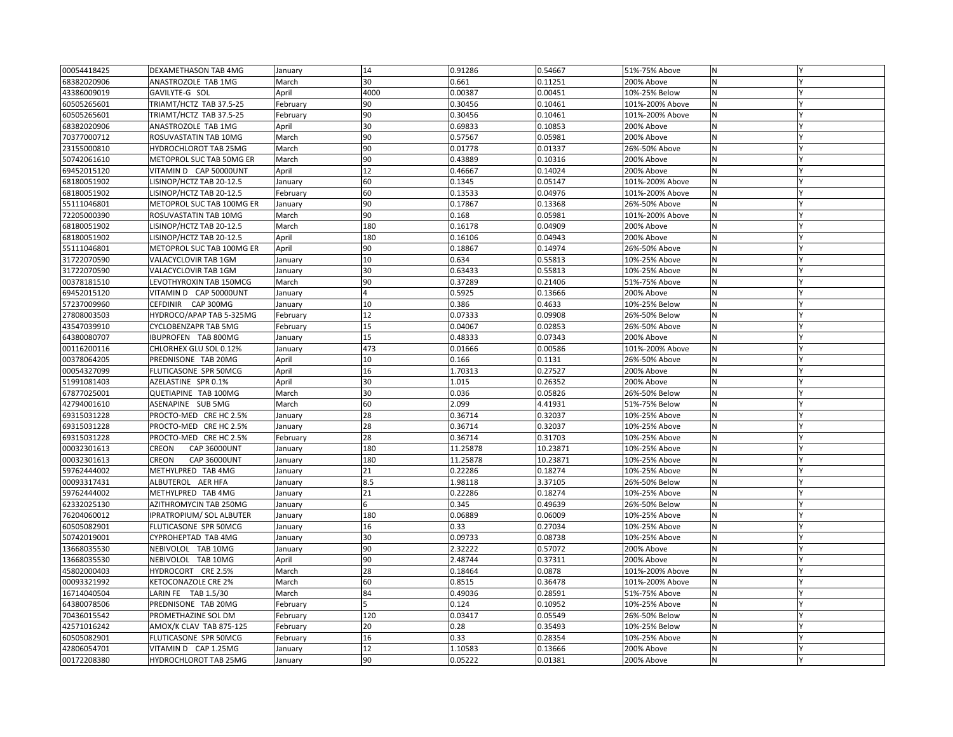| 00054418425 | DEXAMETHASON TAB 4MG            | January  | 14   | 0.91286  | 0.54667  | 51%-75% Above   | N |  |
|-------------|---------------------------------|----------|------|----------|----------|-----------------|---|--|
| 68382020906 | ANASTROZOLE TAB 1MG             | March    | 30   | 0.661    | 0.11251  | 200% Above      | N |  |
| 43386009019 | GAVILYTE-G SOL                  | April    | 4000 | 0.00387  | 0.00451  | 10%-25% Below   |   |  |
| 60505265601 | TRIAMT/HCTZ TAB 37.5-25         | February | 90   | 0.30456  | 0.10461  | 101%-200% Above |   |  |
| 60505265601 | TRIAMT/HCTZ TAB 37.5-25         | February | 90   | 0.30456  | 0.10461  | 101%-200% Above | N |  |
| 68382020906 | ANASTROZOLE TAB 1MG             | April    | 30   | 0.69833  | 0.10853  | 200% Above      | N |  |
| 70377000712 | ROSUVASTATIN TAB 10MG           | March    | 90   | 0.57567  | 0.05981  | 200% Above      | N |  |
| 23155000810 | HYDROCHLOROT TAB 25MG           | March    | 90   | 0.01778  | 0.01337  | 26%-50% Above   | N |  |
| 50742061610 | METOPROL SUC TAB 50MG ER        | March    | 90   | 0.43889  | 0.10316  | 200% Above      | N |  |
| 69452015120 | VITAMIN D CAP 50000UNT          | April    | 12   | 0.46667  | 0.14024  | 200% Above      | N |  |
| 68180051902 | LISINOP/HCTZ TAB 20-12.5        | January  | 60   | 0.1345   | 0.05147  | 101%-200% Above | N |  |
| 68180051902 | LISINOP/HCTZ TAB 20-12.5        | February | 60   | 0.13533  | 0.04976  | 101%-200% Above | N |  |
| 55111046801 | METOPROL SUC TAB 100MG ER       | January  | 90   | 0.17867  | 0.13368  | 26%-50% Above   | N |  |
| 72205000390 | ROSUVASTATIN TAB 10MG           | March    | 90   | 0.168    | 0.05981  | 101%-200% Above | N |  |
| 68180051902 | LISINOP/HCTZ TAB 20-12.5        | March    | 180  | 0.16178  | 0.04909  | 200% Above      | N |  |
| 68180051902 | LISINOP/HCTZ TAB 20-12.5        | April    | 180  | 0.16106  | 0.04943  | 200% Above      | N |  |
| 55111046801 | METOPROL SUC TAB 100MG ER       | April    | 90   | 0.18867  | 0.14974  | 26%-50% Above   | N |  |
| 31722070590 | VALACYCLOVIR TAB 1GM            | January  | 10   | 0.634    | 0.55813  | 10%-25% Above   | N |  |
| 31722070590 | VALACYCLOVIR TAB 1GM            | January  | 30   | 0.63433  | 0.55813  | 10%-25% Above   | N |  |
| 00378181510 | LEVOTHYROXIN TAB 150MCG         | March    | 90   | 0.37289  | 0.21406  | 51%-75% Above   | N |  |
| 69452015120 | VITAMIN D CAP 50000UNT          | January  |      | 0.5925   | 0.13666  | 200% Above      | N |  |
| 57237009960 | CEFDINIR CAP 300MG              | January  | 10   | 0.386    | 0.4633   | 10%-25% Below   | N |  |
| 27808003503 | HYDROCO/APAP TAB 5-325MG        | February | 12   | 0.07333  | 0.09908  | 26%-50% Below   | N |  |
| 43547039910 | CYCLOBENZAPR TAB 5MG            | February | 15   | 0.04067  | 0.02853  | 26%-50% Above   |   |  |
| 64380080707 | IBUPROFEN TAB 800MG             | January  | 15   | 0.48333  | 0.07343  | 200% Above      |   |  |
| 00116200116 | CHLORHEX GLU SOL 0.12%          | January  | 473  | 0.01666  | 0.00586  | 101%-200% Above | N |  |
| 00378064205 | PREDNISONE TAB 20MG             | April    | 10   | 0.166    | 0.1131   | 26%-50% Above   | N |  |
| 00054327099 | FLUTICASONE SPR 50MCG           | April    | 16   | 1.70313  | 0.27527  | 200% Above      | N |  |
| 51991081403 | AZELASTINE SPR 0.1%             | April    | 30   | 1.015    | 0.26352  | 200% Above      | N |  |
| 67877025001 | QUETIAPINE TAB 100MG            | March    | 30   | 0.036    | 0.05826  | 26%-50% Below   | N |  |
| 42794001610 | ASENAPINE SUB 5MG               | March    | 60   | 2.099    | 4.41931  | 51%-75% Below   | N |  |
| 69315031228 | PROCTO-MED CRE HC 2.5%          | January  | 28   | 0.36714  | 0.32037  | 10%-25% Above   |   |  |
| 69315031228 | PROCTO-MED CRE HC 2.5%          | January  | 28   | 0.36714  | 0.32037  | 10%-25% Above   | N |  |
| 69315031228 | PROCTO-MED CRE HC 2.5%          | February | 28   | 0.36714  | 0.31703  | 10%-25% Above   | N |  |
| 00032301613 | <b>CAP 36000UNT</b><br>CREON    | January  | 180  | 11.25878 | 10.23871 | 10%-25% Above   | N |  |
| 00032301613 | CREON<br><b>CAP 36000UNT</b>    | January  | 180  | 11.25878 | 10.23871 | 10%-25% Above   | N |  |
| 59762444002 | METHYLPRED TAB 4MG              | January  | 21   | 0.22286  | 0.18274  | 10%-25% Above   | N |  |
| 00093317431 | ALBUTEROL AER HFA               | January  | 8.5  | 1.98118  | 3.37105  | 26%-50% Below   | N |  |
| 59762444002 | METHYLPRED TAB 4MG              | January  | 21   | 0.22286  | 0.18274  | 10%-25% Above   | N |  |
| 62332025130 | AZITHROMYCIN TAB 250MG          | January  |      | 0.345    | 0.49639  | 26%-50% Below   | N |  |
| 76204060012 | <b>IPRATROPIUM/ SOL ALBUTER</b> | January  | 180  | 0.06889  | 0.06009  | 10%-25% Above   | N |  |
| 60505082901 | FLUTICASONE SPR 50MCG           | January  | 16   | 0.33     | 0.27034  | 10%-25% Above   | N |  |
| 50742019001 | CYPROHEPTAD TAB 4MG             | January  | 30   | 0.09733  | 0.08738  | 10%-25% Above   | N |  |
| 13668035530 | NEBIVOLOL<br>TAB 10MG           | January  | 90   | 2.32222  | 0.57072  | 200% Above      | N |  |
| 13668035530 | NEBIVOLOL<br>TAB 10MG           | April    | 90   | 2.48744  | 0.37311  | 200% Above      |   |  |
| 45802000403 | HYDROCORT<br><b>CRE 2.5%</b>    | March    | 28   | 0.18464  | 0.0878   | 101%-200% Above |   |  |
| 00093321992 | KETOCONAZOLE CRE 2%             | March    | 60   | 0.8515   | 0.36478  | 101%-200% Above | N |  |
| 16714040504 | LARIN FE TAB 1.5/30             | March    | 84   | 0.49036  | 0.28591  | 51%-75% Above   | Ν |  |
| 64380078506 | PREDNISONE TAB 20MG             | February |      | 0.124    | 0.10952  | 10%-25% Above   | N |  |
| 70436015542 | PROMETHAZINE SOL DM             | February | 120  | 0.03417  | 0.05549  | 26%-50% Below   |   |  |
| 42571016242 | AMOX/K CLAV TAB 875-125         | February | 20   | 0.28     | 0.35493  | 10%-25% Below   | N |  |
| 60505082901 | FLUTICASONE SPR 50MCG           | February | 16   | 0.33     | 0.28354  | 10%-25% Above   | N |  |
| 42806054701 | VITAMIN D CAP 1.25MG            | January  | 12   | 1.10583  | 0.13666  | 200% Above      | N |  |
| 00172208380 | HYDROCHLOROT TAB 25MG           | January  | 90   | 0.05222  | 0.01381  | 200% Above      | N |  |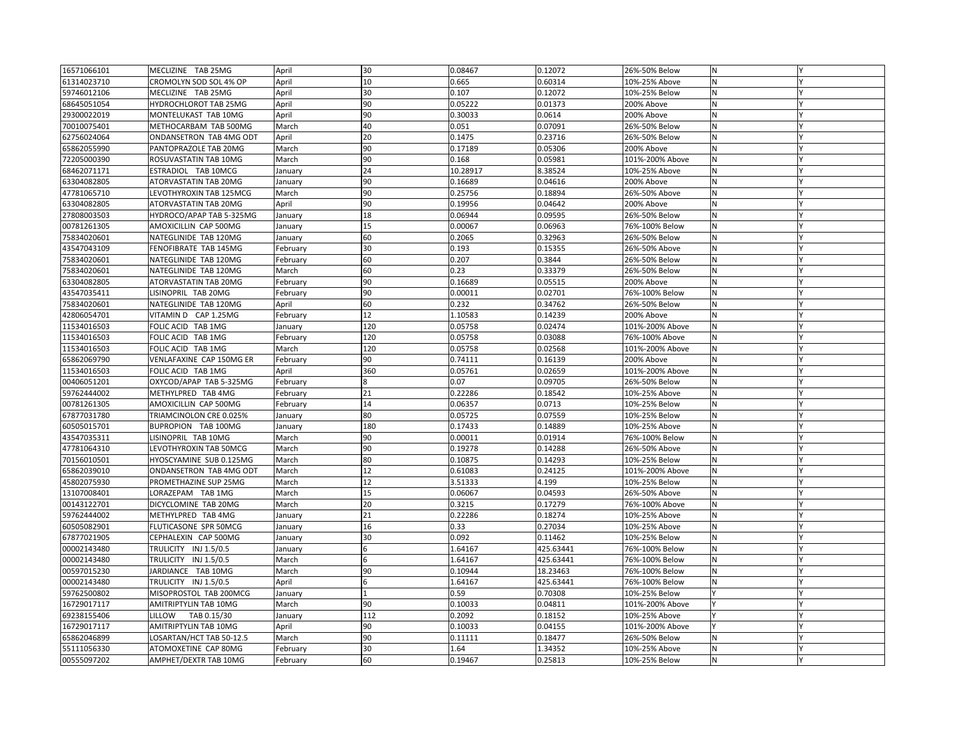| 16571066101                | MECLIZINE TAB 25MG                          | April            | 30        | 0.08467           | 0.12072            | 26%-50% Below                    | N |  |
|----------------------------|---------------------------------------------|------------------|-----------|-------------------|--------------------|----------------------------------|---|--|
| 61314023710                | CROMOLYN SOD SOL 4% OP                      | April            | 10        | 0.665             | 0.60314            | 10%-25% Above                    | N |  |
| 59746012106                | MECLIZINE TAB 25MG                          | April            | 30        | 0.107             | 0.12072            | 10%-25% Below                    | N |  |
| 68645051054                | HYDROCHLOROT TAB 25MG                       | April            | 90        | 0.05222           | 0.01373            | 200% Above                       |   |  |
| 29300022019                | MONTELUKAST TAB 10MG                        | April            | 90        | 0.30033           | 0.0614             | 200% Above                       | N |  |
| 70010075401                | METHOCARBAM TAB 500MG                       | March            | 40        | 0.051             | 0.07091            | 26%-50% Below                    | N |  |
| 62756024064                | ONDANSETRON TAB 4MG ODT                     | April            | 20        | 0.1475            | 0.23716            | 26%-50% Below                    | N |  |
| 65862055990                | PANTOPRAZOLE TAB 20MG                       | March            | 90        | 0.17189           | 0.05306            | 200% Above                       | N |  |
| 72205000390                | ROSUVASTATIN TAB 10MG                       | March            | 90        | 0.168             | 0.05981            | 101%-200% Above                  | N |  |
| 68462071171                | ESTRADIOL TAB 10MCG                         | January          | 24        | 10.28917          | 8.38524            | 10%-25% Above                    | N |  |
| 63304082805                | ATORVASTATIN TAB 20MG                       | January          | 90        | 0.16689           | 0.04616            | 200% Above                       | N |  |
| 47781065710                | LEVOTHYROXIN TAB 125MCG                     | March            | 90        | 0.25756           | 0.18894            | 26%-50% Above                    | N |  |
| 63304082805                | ATORVASTATIN TAB 20MG                       | April            | 90        | 0.19956           | 0.04642            | 200% Above                       | N |  |
| 27808003503                | HYDROCO/APAP TAB 5-325MG                    | January          | 18        | 0.06944           | 0.09595            | 26%-50% Below                    | N |  |
| 00781261305                | AMOXICILLIN CAP 500MG                       | January          | 15        | 0.00067           | 0.06963            | 76%-100% Below                   | N |  |
| 75834020601                | NATEGLINIDE TAB 120MG                       | January          | 60        | 0.2065            | 0.32963            | 26%-50% Below                    | Ń |  |
| 43547043109                | FENOFIBRATE TAB 145MG                       | February         | 30        | 0.193             | 0.15355            | 26%-50% Above                    |   |  |
| 75834020601                | NATEGLINIDE TAB 120MG                       | February         | 60        | 0.207             | 0.3844             | 26%-50% Below                    | N |  |
| 75834020601                | NATEGLINIDE TAB 120MG                       | March            | 60        | 0.23              | 0.33379            | 26%-50% Below                    | N |  |
| 63304082805                | ATORVASTATIN TAB 20MG                       | February         | 90        | 0.16689           | 0.05515            | 200% Above                       | N |  |
| 43547035411                | LISINOPRIL TAB 20MG                         | February         | 90        | 0.00011           | 0.02701            | 76%-100% Below                   |   |  |
| 75834020601                | NATEGLINIDE TAB 120MG                       | April            | 60        | 0.232             | 0.34762            | 26%-50% Below                    | N |  |
| 42806054701                | VITAMIN D CAP 1.25MG                        | February         | 12        | 1.10583           | 0.14239            | 200% Above                       | N |  |
| 11534016503                | FOLIC ACID TAB 1MG                          | January          | 120       | 0.05758           | 0.02474            | 101%-200% Above                  | N |  |
| 11534016503                | FOLIC ACID TAB 1MG                          | February         | 120       | 0.05758           | 0.03088            | 76%-100% Above                   | N |  |
| 11534016503                | FOLIC ACID TAB 1MG                          | March            | 120       | 0.05758           | 0.02568            | 101%-200% Above                  | N |  |
| 65862069790                | VENLAFAXINE CAP 150MG ER                    | February         | 90        | 0.74111           | 0.16139            | 200% Above                       | N |  |
| 11534016503                | FOLIC ACID TAB 1MG                          | April            | 360       | 0.05761           | 0.02659            | 101%-200% Above                  | N |  |
| 00406051201                | OXYCOD/APAP TAB 5-325MG                     | February         |           | 0.07              | 0.09705            | 26%-50% Below                    | N |  |
| 59762444002                | METHYLPRED TAB 4MG                          | February         | 21        | 0.22286           | 0.18542            | 10%-25% Above                    | N |  |
| 00781261305                | AMOXICILLIN CAP 500MG                       | February         | 14        | 0.06357           | 0.0713             | 10%-25% Below                    | N |  |
| 67877031780                | TRIAMCINOLON CRE 0.025%                     | January          | 80        | 0.05725           | 0.07559            | 10%-25% Below                    | N |  |
| 60505015701                | BUPROPION TAB 100MG                         | January          | 180       | 0.17433           | 0.14889            | 10%-25% Above                    | N |  |
| 43547035311                | LISINOPRIL TAB 10MG                         | March            | 90        | 0.00011           | 0.01914            | 76%-100% Below                   | N |  |
| 47781064310                | LEVOTHYROXIN TAB 50MCG                      | March            | 90        | 0.19278           | 0.14288            | 26%-50% Above                    | N |  |
| 70156010501                | HYOSCYAMINE SUB 0.125MG                     | March            | 80        | 0.10875           | 0.14293            | 10%-25% Below                    | N |  |
| 65862039010                | ONDANSETRON TAB 4MG ODT                     | March            | 12        | 0.61083           | 0.24125            | 101%-200% Above                  | N |  |
| 45802075930                | PROMETHAZINE SUP 25MG                       | March            | 12        | 3.51333           | 4.199              | 10%-25% Below                    |   |  |
| 13107008401                | LORAZEPAM TAB 1MG                           | March            | 15        | 0.06067           | 0.04593            | 26%-50% Above                    | N |  |
| 00143122701                | DICYCLOMINE TAB 20MG                        | March            | 20        | 0.3215            | 0.17279            | 76%-100% Above                   | N |  |
| 59762444002                | METHYLPRED TAB 4MG                          | January          | 21        | 0.22286           | 0.18274            | 10%-25% Above                    | N |  |
| 60505082901                | FLUTICASONE SPR 50MCG                       | January          | 16        | 0.33              | 0.27034            | 10%-25% Above                    | N |  |
| 67877021905                | CEPHALEXIN CAP 500MG                        | January          | 30        | 0.092             | 0.11462            | 10%-25% Below                    | N |  |
| 00002143480                | TRULICITY INJ 1.5/0.5                       | January          | 6         | 1.64167           | 425.63441          | 76%-100% Below                   | N |  |
| 00002143480                | TRULICITY INJ 1.5/0.5                       | March            |           | 1.64167           | 425.63441          | 76%-100% Below                   | N |  |
| 00597015230                | JARDIANCE TAB 10MG                          | March            | 90        | 0.10944           | 18.23463           | 76%-100% Below                   | N |  |
| 00002143480                | TRULICITY INJ 1.5/0.5                       | April            |           | 1.64167<br>0.59   | 425.63441          | 76%-100% Below                   | N |  |
| 59762500802                | MISOPROSTOL TAB 200MCG                      | January          |           |                   | 0.70308            | 10%-25% Below                    |   |  |
| 16729017117<br>69238155406 | AMITRIPTYLIN TAB 10MG<br>LILLOW TAB 0.15/30 | March            | 90<br>112 | 0.10033<br>0.2092 | 0.04811<br>0.18152 | 101%-200% Above<br>10%-25% Above |   |  |
| 16729017117                | AMITRIPTYLIN TAB 10MG                       | January<br>April | 90        | 0.10033           | 0.04155            | 101%-200% Above                  |   |  |
| 65862046899                | LOSARTAN/HCT TAB 50-12.5                    | March            | 90        | 0.11111           | 0.18477            | 26%-50% Below                    | N |  |
| 55111056330                | ATOMOXETINE CAP 80MG                        | February         | 30        | 1.64              | 1.34352            | 10%-25% Above                    | N |  |
| 00555097202                | AMPHET/DEXTR TAB 10MG                       | February         | 60        | 0.19467           | 0.25813            | 10%-25% Below                    | N |  |
|                            |                                             |                  |           |                   |                    |                                  |   |  |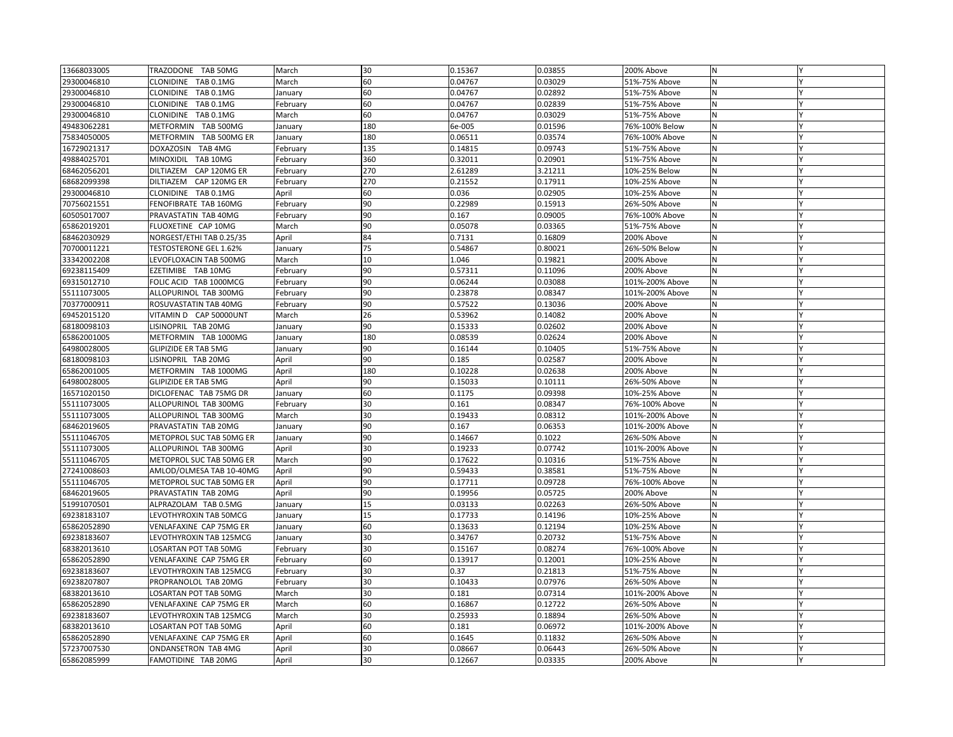| 13668033005 | TRAZODONE TAB 50MG                   | March    | 30  | 0.15367 | 0.03855 | 200% Above      | N |  |
|-------------|--------------------------------------|----------|-----|---------|---------|-----------------|---|--|
| 29300046810 | CLONIDINE TAB 0.1MG                  | March    | 60  | 0.04767 | 0.03029 | 51%-75% Above   | N |  |
| 29300046810 | CLONIDINE TAB 0.1MG                  | January  | 60  | 0.04767 | 0.02892 | 51%-75% Above   | N |  |
| 29300046810 | CLONIDINE TAB 0.1MG                  | February | 60  | 0.04767 | 0.02839 | 51%-75% Above   | N |  |
| 29300046810 | CLONIDINE TAB 0.1MG                  | March    | 60  | 0.04767 | 0.03029 | 51%-75% Above   | N |  |
| 49483062281 | <b>METFORMIN</b><br><b>TAB 500MG</b> | January  | 180 | 6e-005  | 0.01596 | 76%-100% Below  | N |  |
| 75834050005 | <b>METFORMIN</b><br>TAB 500MG ER     | January  | 180 | 0.06511 | 0.03574 | 76%-100% Above  | N |  |
| 16729021317 | <b>DOXAZOSIN</b><br>TAB 4MG          | February | 135 | 0.14815 | 0.09743 | 51%-75% Above   | N |  |
| 49884025701 | <b>MINOXIDIL</b><br>TAB 10MG         | February | 360 | 0.32011 | 0.20901 | 51%-75% Above   | N |  |
| 68462056201 | DILTIAZEM<br>CAP 120MG ER            | February | 270 | 2.61289 | 3.21211 | 10%-25% Below   | N |  |
| 68682099398 | DILTIAZEM<br>CAP 120MG ER            | February | 270 | 0.21552 | 0.17911 | 10%-25% Above   | N |  |
| 29300046810 | CLONIDINE TAB 0.1MG                  | April    | 60  | 0.036   | 0.02905 | 10%-25% Above   | N |  |
| 70756021551 | FENOFIBRATE TAB 160MG                | February | 90  | 0.22989 | 0.15913 | 26%-50% Above   | Ń |  |
| 60505017007 | PRAVASTATIN TAB 40MG                 | February | 90  | 0.167   | 0.09005 | 76%-100% Above  | N |  |
| 65862019201 | FLUOXETINE CAP 10MG                  | March    | 90  | 0.05078 | 0.03365 | 51%-75% Above   | N |  |
| 68462030929 | NORGEST/ETHI TAB 0.25/35             | April    | 84  | 0.7131  | 0.16809 | 200% Above      | N |  |
| 70700011221 | TESTOSTERONE GEL 1.62%               | January  | 75  | 0.54867 | 0.80021 | 26%-50% Below   |   |  |
| 33342002208 | LEVOFLOXACIN TAB 500MG               | March    | 10  | 1.046   | 0.19821 | 200% Above      | N |  |
| 69238115409 | EZETIMIBE TAB 10MG                   | February | 90  | 0.57311 | 0.11096 | 200% Above      | N |  |
| 69315012710 | FOLIC ACID TAB 1000MCG               | February | 90  | 0.06244 | 0.03088 | 101%-200% Above | N |  |
| 55111073005 | ALLOPURINOL TAB 300MG                | February | 90  | 0.23878 | 0.08347 | 101%-200% Above | N |  |
| 70377000911 | ROSUVASTATIN TAB 40MG                | February | 90  | 0.57522 | 0.13036 | 200% Above      | N |  |
| 69452015120 | VITAMIN D CAP 50000UNT               | March    | 26  | 0.53962 | 0.14082 | 200% Above      | N |  |
| 68180098103 | LISINOPRIL TAB 20MG                  | January  | 90  | 0.15333 | 0.02602 | 200% Above      |   |  |
| 65862001005 | METFORMIN TAB 1000MG                 | January  | 180 | 0.08539 | 0.02624 | 200% Above      | N |  |
| 64980028005 | <b>GLIPIZIDE ER TAB 5MG</b>          | January  | 90  | 0.16144 | 0.10405 | 51%-75% Above   | N |  |
| 68180098103 | LISINOPRIL TAB 20MG                  | April    | 90  | 0.185   | 0.02587 | 200% Above      | N |  |
| 65862001005 | METFORMIN TAB 1000MG                 | April    | 180 | 0.10228 | 0.02638 | 200% Above      | N |  |
| 64980028005 | <b>GLIPIZIDE ER TAB 5MG</b>          | April    | 90  | 0.15033 | 0.10111 | 26%-50% Above   | N |  |
| 16571020150 | DICLOFENAC TAB 75MG DR               | January  | 60  | 0.1175  | 0.09398 | 10%-25% Above   | N |  |
| 55111073005 | ALLOPURINOL TAB 300MG                | February | 30  | 0.161   | 0.08347 | 76%-100% Above  | N |  |
| 55111073005 | ALLOPURINOL TAB 300MG                | March    | 30  | 0.19433 | 0.08312 | 101%-200% Above | N |  |
| 68462019605 | PRAVASTATIN TAB 20MG                 | January  | 90  | 0.167   | 0.06353 | 101%-200% Above | N |  |
| 55111046705 | METOPROL SUC TAB 50MG ER             | January  | 90  | 0.14667 | 0.1022  | 26%-50% Above   | N |  |
| 55111073005 | ALLOPURINOL TAB 300MG                | April    | 30  | 0.19233 | 0.07742 | 101%-200% Above | N |  |
| 55111046705 | METOPROL SUC TAB 50MG ER             | March    | 90  | 0.17622 | 0.10316 | 51%-75% Above   | N |  |
| 27241008603 | AMLOD/OLMESA TAB 10-40MG             | April    | 90  | 0.59433 | 0.38581 | 51%-75% Above   | N |  |
| 55111046705 | METOPROL SUC TAB 50MG ER             | April    | 90  | 0.17711 | 0.09728 | 76%-100% Above  | N |  |
| 68462019605 | PRAVASTATIN TAB 20MG                 | April    | 90  | 0.19956 | 0.05725 | 200% Above      | N |  |
| 51991070501 | ALPRAZOLAM TAB 0.5MG                 | January  | 15  | 0.03133 | 0.02263 | 26%-50% Above   | N |  |
| 69238183107 | LEVOTHYROXIN TAB 50MCG               | January  | 15  | 0.17733 | 0.14196 | 10%-25% Above   | N |  |
| 65862052890 | VENLAFAXINE CAP 75MG ER              | January  | 60  | 0.13633 | 0.12194 | 10%-25% Above   | N |  |
| 69238183607 | LEVOTHYROXIN TAB 125MCG              | January  | 30  | 0.34767 | 0.20732 | 51%-75% Above   | N |  |
| 68382013610 | <b>LOSARTAN POT TAB 50MG</b>         | February | 30  | 0.15167 | 0.08274 | 76%-100% Above  | N |  |
| 65862052890 | VENLAFAXINE CAP 75MG ER              | February | 60  | 0.13917 | 0.12001 | 10%-25% Above   | N |  |
| 69238183607 | LEVOTHYROXIN TAB 125MCG              | February | 30  | 0.37    | 0.21813 | 51%-75% Above   | N |  |
| 69238207807 | PROPRANOLOL TAB 20MG                 | February | 30  | 0.10433 | 0.07976 | 26%-50% Above   | Ń |  |
| 68382013610 | LOSARTAN POT TAB 50MG                | March    | 30  | 0.181   | 0.07314 | 101%-200% Above | N |  |
| 65862052890 | VENLAFAXINE CAP 75MG ER              | March    | 60  | 0.16867 | 0.12722 | 26%-50% Above   | N |  |
| 69238183607 | LEVOTHYROXIN TAB 125MCG              | March    | 30  | 0.25933 | 0.18894 | 26%-50% Above   | N |  |
| 68382013610 | <b>LOSARTAN POT TAB 50MG</b>         | April    | 60  | 0.181   | 0.06972 | 101%-200% Above |   |  |
| 65862052890 | VENLAFAXINE CAP 75MG ER              | April    | 60  | 0.1645  | 0.11832 | 26%-50% Above   | N |  |
| 57237007530 | <b>ONDANSETRON TAB 4MG</b>           | April    | 30  | 0.08667 | 0.06443 | 26%-50% Above   | N |  |
| 65862085999 | FAMOTIDINE TAB 20MG                  | April    | 30  | 0.12667 | 0.03335 | 200% Above      | N |  |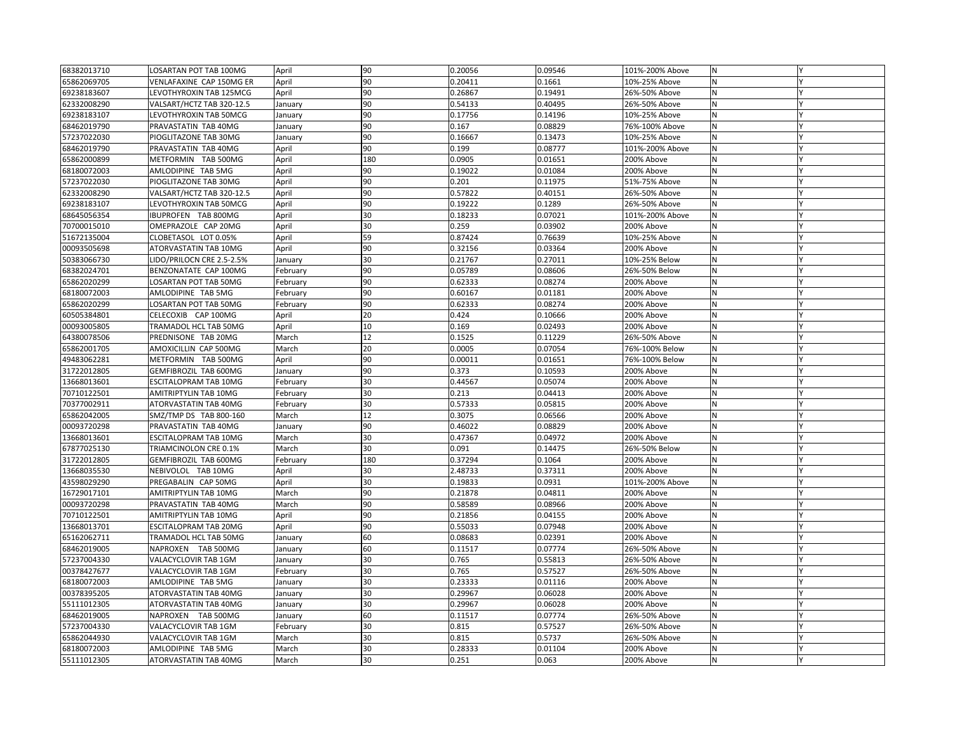| 68382013710 | LOSARTAN POT TAB 100MG       | April    | 90  | 0.20056 | 0.09546 | 101%-200% Above | N |  |
|-------------|------------------------------|----------|-----|---------|---------|-----------------|---|--|
| 65862069705 | VENLAFAXINE CAP 150MG ER     | April    | 90  | 0.20411 | 0.1661  | 10%-25% Above   | N |  |
| 69238183607 | LEVOTHYROXIN TAB 125MCG      | April    | 90  | 0.26867 | 0.19491 | 26%-50% Above   | N |  |
| 62332008290 | VALSART/HCTZ TAB 320-12.5    | January  | 90  | 0.54133 | 0.40495 | 26%-50% Above   | N |  |
| 69238183107 | LEVOTHYROXIN TAB 50MCG       | January  | 90  | 0.17756 | 0.14196 | 10%-25% Above   | N |  |
| 68462019790 | PRAVASTATIN TAB 40MG         | January  | 90  | 0.167   | 0.08829 | 76%-100% Above  | N |  |
| 57237022030 | PIOGLITAZONE TAB 30MG        | January  | 90  | 0.16667 | 0.13473 | 10%-25% Above   | N |  |
| 68462019790 | PRAVASTATIN TAB 40MG         | April    | 90  | 0.199   | 0.08777 | 101%-200% Above | N |  |
| 65862000899 | METFORMIN TAB 500MG          | April    | 180 | 0.0905  | 0.01651 | 200% Above      | N |  |
| 68180072003 | AMLODIPINE TAB 5MG           | April    | 90  | 0.19022 | 0.01084 | 200% Above      | N |  |
| 57237022030 | PIOGLITAZONE TAB 30MG        | April    | 90  | 0.201   | 0.11975 | 51%-75% Above   | N |  |
| 62332008290 | VALSART/HCTZ TAB 320-12.5    | April    | 90  | 0.57822 | 0.40151 | 26%-50% Above   | N |  |
| 69238183107 | LEVOTHYROXIN TAB 50MCG       | April    | 90  | 0.19222 | 0.1289  | 26%-50% Above   | N |  |
| 68645056354 | IBUPROFEN TAB 800MG          | April    | 30  | 0.18233 | 0.07021 | 101%-200% Above | N |  |
| 70700015010 | OMEPRAZOLE CAP 20MG          | April    | 30  | 0.259   | 0.03902 | 200% Above      |   |  |
| 51672135004 | CLOBETASOL LOT 0.05%         | April    | 59  | 0.87424 | 0.76639 | 10%-25% Above   | N |  |
| 00093505698 | ATORVASTATIN TAB 10MG        | April    | 90  | 0.32156 | 0.03364 | 200% Above      |   |  |
| 50383066730 | LIDO/PRILOCN CRE 2.5-2.5%    | January  | 30  | 0.21767 | 0.27011 | 10%-25% Below   | N |  |
| 68382024701 | BENZONATATE CAP 100MG        | February | 90  | 0.05789 | 0.08606 | 26%-50% Below   | N |  |
| 65862020299 | <b>LOSARTAN POT TAB 50MG</b> | February | 90  | 0.62333 | 0.08274 | 200% Above      |   |  |
| 68180072003 | AMLODIPINE TAB 5MG           | February | 90  | 0.60167 | 0.01181 | 200% Above      |   |  |
| 65862020299 | LOSARTAN POT TAB 50MG        | February | 90  | 0.62333 | 0.08274 | 200% Above      | N |  |
| 60505384801 | CELECOXIB CAP 100MG          | April    | 20  | 0.424   | 0.10666 | 200% Above      | N |  |
| 00093005805 | TRAMADOL HCL TAB 50MG        | April    | 10  | 0.169   | 0.02493 | 200% Above      | N |  |
| 64380078506 | PREDNISONE TAB 20MG          | March    | 12  | 0.1525  | 0.11229 | 26%-50% Above   |   |  |
| 65862001705 | AMOXICILLIN CAP 500MG        | March    | 20  | 0.0005  | 0.07054 | 76%-100% Below  | N |  |
| 49483062281 | METFORMIN TAB 500MG          | April    | 90  | 0.00011 | 0.01651 | 76%-100% Below  | N |  |
| 31722012805 | GEMFIBROZIL TAB 600MG        | January  | 90  | 0.373   | 0.10593 | 200% Above      | N |  |
| 13668013601 | <b>ESCITALOPRAM TAB 10MG</b> | February | 30  | 0.44567 | 0.05074 | 200% Above      | N |  |
| 70710122501 | AMITRIPTYLIN TAB 10MG        | February | 30  | 0.213   | 0.04413 | 200% Above      | N |  |
| 70377002911 | <b>ATORVASTATIN TAB 40MG</b> | February | 30  | 0.57333 | 0.05815 | 200% Above      | N |  |
| 65862042005 | SMZ/TMP DS TAB 800-160       | March    | 12  | 0.3075  | 0.06566 | 200% Above      |   |  |
| 00093720298 | PRAVASTATIN TAB 40MG         | January  | 90  | 0.46022 | 0.08829 | 200% Above      | N |  |
| 13668013601 | <b>ESCITALOPRAM TAB 10MG</b> | March    | 30  | 0.47367 | 0.04972 | 200% Above      | N |  |
| 67877025130 | TRIAMCINOLON CRE 0.1%        | March    | 30  | 0.091   | 0.14475 | 26%-50% Below   | N |  |
| 31722012805 | GEMFIBROZIL TAB 600MG        | February | 180 | 0.37294 | 0.1064  | 200% Above      | N |  |
| 13668035530 | NEBIVOLOL TAB 10MG           | April    | 30  | 2.48733 | 0.37311 | 200% Above      | N |  |
| 43598029290 | PREGABALIN CAP 50MG          | April    | 30  | 0.19833 | 0.0931  | 101%-200% Above | N |  |
| 16729017101 | <b>AMITRIPTYLIN TAB 10MG</b> | March    | 90  | 0.21878 | 0.04811 | 200% Above      | N |  |
| 00093720298 | PRAVASTATIN TAB 40MG         | March    | 90  | 0.58589 | 0.08966 | 200% Above      |   |  |
| 70710122501 | AMITRIPTYLIN TAB 10MG        | April    | 90  | 0.21856 | 0.04155 | 200% Above      | N |  |
| 13668013701 | <b>ESCITALOPRAM TAB 20MG</b> | April    | 90  | 0.55033 | 0.07948 | 200% Above      | N |  |
| 65162062711 | TRAMADOL HCL TAB 50MG        | January  | 60  | 0.08683 | 0.02391 | 200% Above      | N |  |
| 68462019005 | NAPROXEN TAB 500MG           | January  | 60  | 0.11517 | 0.07774 | 26%-50% Above   | N |  |
| 57237004330 | VALACYCLOVIR TAB 1GM         | January  | 30  | 0.765   | 0.55813 | 26%-50% Above   |   |  |
| 00378427677 | VALACYCLOVIR TAB 1GM         | February | 30  | 0.765   | 0.57527 | 26%-50% Above   |   |  |
| 68180072003 | AMLODIPINE TAB 5MG           | January  | 30  | 0.23333 | 0.01116 | 200% Above      | N |  |
| 00378395205 | ATORVASTATIN TAB 40MG        | January  | 30  | 0.29967 | 0.06028 | 200% Above      | N |  |
| 55111012305 | ATORVASTATIN TAB 40MG        | January  | 30  | 0.29967 | 0.06028 | 200% Above      | N |  |
| 68462019005 | NAPROXEN TAB 500MG           | January  | 60  | 0.11517 | 0.07774 | 26%-50% Above   |   |  |
| 57237004330 | VALACYCLOVIR TAB 1GM         | February | 30  | 0.815   | 0.57527 | 26%-50% Above   | N |  |
| 65862044930 | VALACYCLOVIR TAB 1GM         | March    | 30  | 0.815   | 0.5737  | 26%-50% Above   | N |  |
| 68180072003 | AMLODIPINE TAB 5MG           | March    | 30  | 0.28333 | 0.01104 | 200% Above      | N |  |
| 55111012305 | <b>ATORVASTATIN TAB 40MG</b> | March    | 30  | 0.251   | 0.063   | 200% Above      | N |  |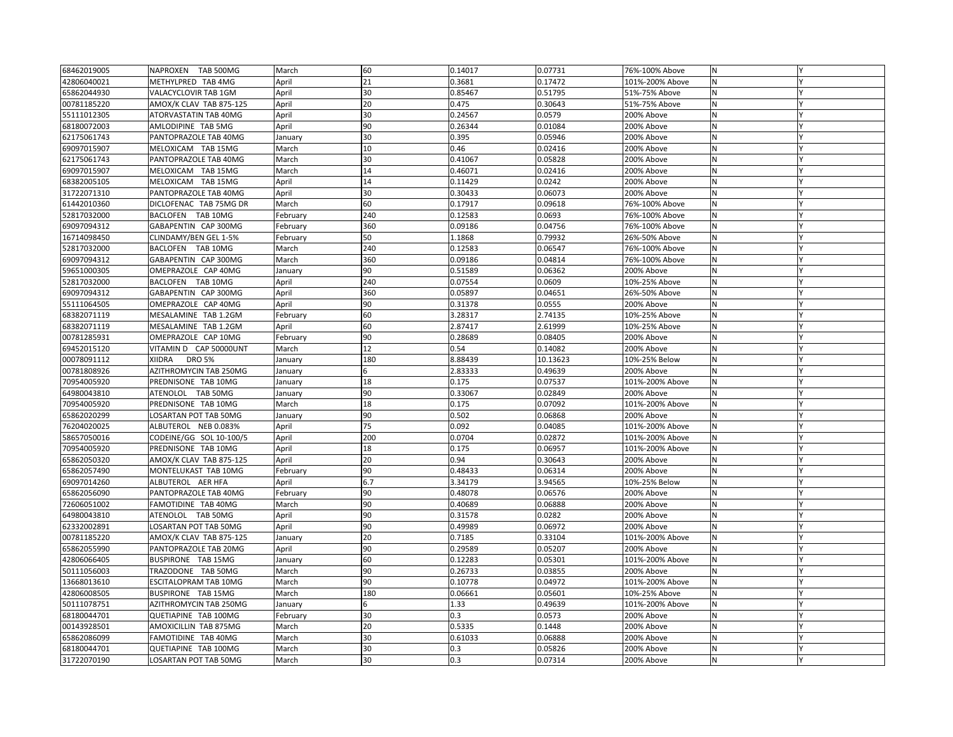| 68462019005 | NAPROXEN TAB 500MG             | March    | 60  | 0.14017 | 0.07731  | 76%-100% Above  | N |  |
|-------------|--------------------------------|----------|-----|---------|----------|-----------------|---|--|
| 42806040021 | METHYLPRED TAB 4MG             | April    | 21  | 0.3681  | 0.17472  | 101%-200% Above | N |  |
| 65862044930 | VALACYCLOVIR TAB 1GM           | April    | 30  | 0.85467 | 0.51795  | 51%-75% Above   |   |  |
| 00781185220 | AMOX/K CLAV TAB 875-125        | April    | 20  | 0.475   | 0.30643  | 51%-75% Above   | N |  |
| 55111012305 | ATORVASTATIN TAB 40MG          | April    | 30  | 0.24567 | 0.0579   | 200% Above      | N |  |
| 68180072003 | AMLODIPINE TAB 5MG             | April    | 90  | 0.26344 | 0.01084  | 200% Above      | N |  |
| 62175061743 | PANTOPRAZOLE TAB 40MG          | January  | 30  | 0.395   | 0.05946  | 200% Above      | N |  |
| 69097015907 | MELOXICAM TAB 15MG             | March    | 10  | 0.46    | 0.02416  | 200% Above      | N |  |
| 62175061743 | PANTOPRAZOLE TAB 40MG          | March    | 30  | 0.41067 | 0.05828  | 200% Above      | N |  |
| 69097015907 | MELOXICAM TAB 15MG             | March    | 14  | 0.46071 | 0.02416  | 200% Above      | N |  |
| 68382005105 | MELOXICAM TAB 15MG             | April    | 14  | 0.11429 | 0.0242   | 200% Above      | N |  |
| 31722071310 | PANTOPRAZOLE TAB 40MG          | April    | 30  | 0.30433 | 0.06073  | 200% Above      | N |  |
| 61442010360 | DICLOFENAC TAB 75MG DR         | March    | 60  | 0.17917 | 0.09618  | 76%-100% Above  | N |  |
| 52817032000 | BACLOFEN<br>TAB 10MG           | February | 240 | 0.12583 | 0.0693   | 76%-100% Above  | N |  |
| 69097094312 | GABAPENTIN CAP 300MG           | February | 360 | 0.09186 | 0.04756  | 76%-100% Above  | N |  |
| 16714098450 | CLINDAMY/BEN GEL 1-5%          | February | 50  | 1.1868  | 0.79932  | 26%-50% Above   |   |  |
| 52817032000 | BACLOFEN TAB 10MG              | March    | 240 | 0.12583 | 0.06547  | 76%-100% Above  | N |  |
| 69097094312 | GABAPENTIN CAP 300MG           | March    | 360 | 0.09186 | 0.04814  | 76%-100% Above  | N |  |
| 59651000305 | OMEPRAZOLE CAP 40MG            | January  | 90  | 0.51589 | 0.06362  | 200% Above      | Ν |  |
| 52817032000 | BACLOFEN TAB 10MG              | April    | 240 | 0.07554 | 0.0609   | 10%-25% Above   | N |  |
| 69097094312 | GABAPENTIN CAP 300MG           | April    | 360 | 0.05897 | 0.04651  | 26%-50% Above   |   |  |
| 55111064505 | OMEPRAZOLE CAP 40MG            | April    | 90  | 0.31378 | 0.0555   | 200% Above      | N |  |
| 68382071119 | MESALAMINE TAB 1.2GM           | February | 60  | 3.28317 | 2.74135  | 10%-25% Above   | N |  |
| 68382071119 | MESALAMINE TAB 1.2GM           | April    | 60  | 2.87417 | 2.61999  | 10%-25% Above   |   |  |
| 00781285931 | OMEPRAZOLE CAP 10MG            | February | 90  | 0.28689 | 0.08405  | 200% Above      |   |  |
| 69452015120 | VITAMIN D CAP 50000UNT         | March    | 12  | 0.54    | 0.14082  | 200% Above      | N |  |
| 00078091112 | <b>XIIDRA</b><br><b>DRO 5%</b> | January  | 180 | 8.88439 | 10.13623 | 10%-25% Below   | N |  |
| 00781808926 | AZITHROMYCIN TAB 250MG         | January  |     | 2.83333 | 0.49639  | 200% Above      | N |  |
| 70954005920 | PREDNISONE TAB 10MG            | January  | 18  | 0.175   | 0.07537  | 101%-200% Above |   |  |
| 64980043810 | ATENOLOL<br>TAB 50MG           | January  | 90  | 0.33067 | 0.02849  | 200% Above      | N |  |
| 70954005920 | PREDNISONE TAB 10MG            | March    | 18  | 0.175   | 0.07092  | 101%-200% Above | N |  |
| 65862020299 | LOSARTAN POT TAB 50MG          | January  | 90  | 0.502   | 0.06868  | 200% Above      |   |  |
| 76204020025 | ALBUTEROL NEB 0.083%           | April    | 75  | 0.092   | 0.04085  | 101%-200% Above | N |  |
| 58657050016 | CODEINE/GG SOL 10-100/5        | April    | 200 | 0.0704  | 0.02872  | 101%-200% Above | N |  |
| 70954005920 | PREDNISONE TAB 10MG            | April    | 18  | 0.175   | 0.06957  | 101%-200% Above | N |  |
| 65862050320 | AMOX/K CLAV TAB 875-125        | April    | 20  | 0.94    | 0.30643  | 200% Above      | N |  |
| 65862057490 | MONTELUKAST TAB 10MG           | February | 90  | 0.48433 | 0.06314  | 200% Above      | N |  |
| 69097014260 | ALBUTEROL AER HFA              | April    | 6.7 | 3.34179 | 3.94565  | 10%-25% Below   | N |  |
| 65862056090 | PANTOPRAZOLE TAB 40MG          | February | 90  | 0.48078 | 0.06576  | 200% Above      | N |  |
| 72606051002 | FAMOTIDINE TAB 40MG            | March    | 90  | 0.40689 | 0.06888  | 200% Above      | N |  |
| 64980043810 | ATENOLOL TAB 50MG              | April    | 90  | 0.31578 | 0.0282   | 200% Above      | N |  |
| 62332002891 | LOSARTAN POT TAB 50MG          | April    | 90  | 0.49989 | 0.06972  | 200% Above      | N |  |
| 00781185220 | AMOX/K CLAV TAB 875-125        | January  | 20  | 0.7185  | 0.33104  | 101%-200% Above | N |  |
| 65862055990 | PANTOPRAZOLE TAB 20MG          | April    | 90  | 0.29589 | 0.05207  | 200% Above      | N |  |
| 42806066405 | BUSPIRONE TAB 15MG             | January  | 60  | 0.12283 | 0.05301  | 101%-200% Above |   |  |
| 50111056003 | TRAZODONE TAB 50MG             | March    | 90  | 0.26733 | 0.03855  | 200% Above      |   |  |
| 13668013610 | ESCITALOPRAM TAB 10MG          | March    | 90  | 0.10778 | 0.04972  | 101%-200% Above | N |  |
| 42806008505 | BUSPIRONE TAB 15MG             | March    | 180 | 0.06661 | 0.05601  | 10%-25% Above   | Ν |  |
| 50111078751 | AZITHROMYCIN TAB 250MG         | January  |     | 1.33    | 0.49639  | 101%-200% Above | N |  |
| 68180044701 | QUETIAPINE TAB 100MG           | February | 30  | 0.3     | 0.0573   | 200% Above      |   |  |
| 00143928501 | AMOXICILLIN TAB 875MG          | March    | 20  | 0.5335  | 0.1448   | 200% Above      | N |  |
| 65862086099 | FAMOTIDINE TAB 40MG            | March    | 30  | 0.61033 | 0.06888  | 200% Above      | N |  |
| 68180044701 | QUETIAPINE TAB 100MG           | March    | 30  | 0.3     | 0.05826  | 200% Above      | N |  |
| 31722070190 | LOSARTAN POT TAB 50MG          | March    | 30  | 0.3     | 0.07314  | 200% Above      | N |  |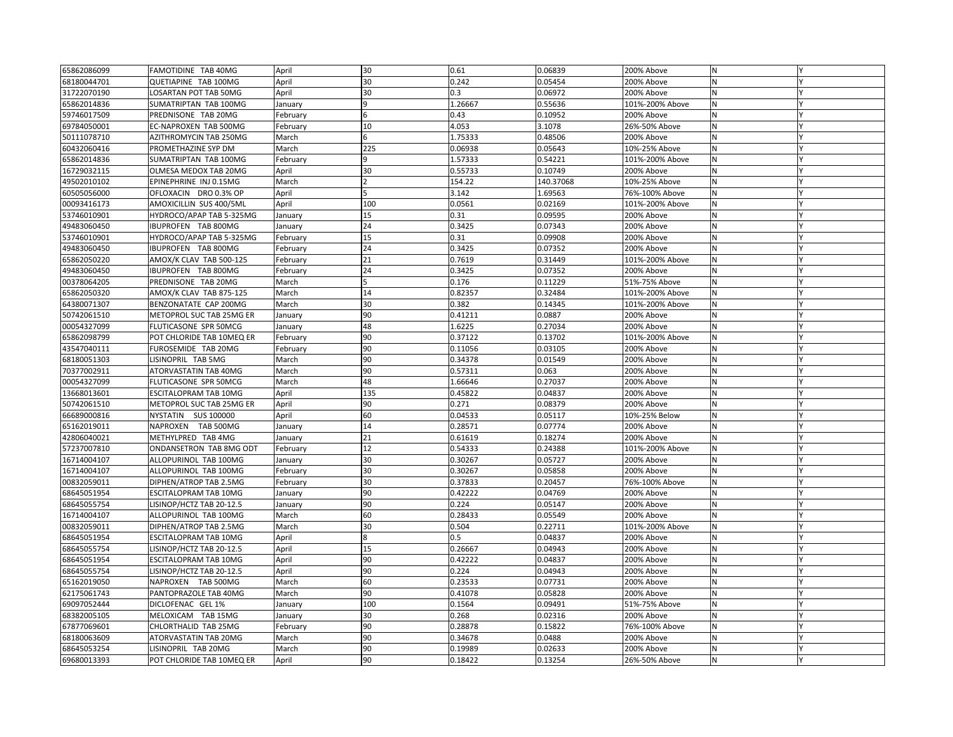| 65862086099 | FAMOTIDINE TAB 40MG                      | April          | 30              | 0.61               | 0.06839   | 200% Above               | N      |  |
|-------------|------------------------------------------|----------------|-----------------|--------------------|-----------|--------------------------|--------|--|
| 68180044701 | QUETIAPINE TAB 100MG                     | April          | 30              | 0.242              | 0.05454   | 200% Above               | N      |  |
| 31722070190 | <b>LOSARTAN POT TAB 50MG</b>             | April          | 30              | 0.3                | 0.06972   | 200% Above               | N      |  |
| 65862014836 | SUMATRIPTAN TAB 100MG                    | January        |                 | 1.26667            | 0.55636   | 101%-200% Above          | N      |  |
| 59746017509 | PREDNISONE TAB 20MG                      | February       | 6               | 0.43               | 0.10952   | 200% Above               | Ń      |  |
| 69784050001 | EC-NAPROXEN TAB 500MG                    | February       | 10              | 4.053              | 3.1078    | 26%-50% Above            | N      |  |
| 50111078710 | AZITHROMYCIN TAB 250MG                   | March          | 6               | 1.75333            | 0.48506   | 200% Above               | N      |  |
| 60432060416 | PROMETHAZINE SYP DM                      | March          | 225             | 0.06938            | 0.05643   | 10%-25% Above            | N      |  |
| 65862014836 | SUMATRIPTAN TAB 100MG                    | February       |                 | 1.57333            | 0.54221   | 101%-200% Above          |        |  |
| 16729032115 | OLMESA MEDOX TAB 20MG                    | April          | 30              | 0.55733            | 0.10749   | 200% Above               | N      |  |
| 49502010102 | EPINEPHRINE INJ 0.15MG                   | March          |                 | 154.22             | 140.37068 | 10%-25% Above            | N      |  |
| 60505056000 | OFLOXACIN DRO 0.3% OP                    | April          |                 | 3.142              | 1.69563   | 76%-100% Above           | N      |  |
| 00093416173 | AMOXICILLIN SUS 400/5ML                  | April          | 100             | 0.0561             | 0.02169   | 101%-200% Above          | N      |  |
| 53746010901 | HYDROCO/APAP TAB 5-325MG                 | January        | 15              | 0.31               | 0.09595   | 200% Above               | N      |  |
| 49483060450 | IBUPROFEN TAB 800MG                      | January        | 24              | 0.3425             | 0.07343   | 200% Above               | N      |  |
| 53746010901 | HYDROCO/APAP TAB 5-325MG                 | February       | 15              | 0.31               | 0.09908   | 200% Above               | N      |  |
| 49483060450 | IBUPROFEN TAB 800MG                      | February       | 24              | 0.3425             | 0.07352   | 200% Above               | N      |  |
| 65862050220 | AMOX/K CLAV TAB 500-125                  | February       | 21              | 0.7619             | 0.31449   | 101%-200% Above          | N      |  |
| 49483060450 | IBUPROFEN TAB 800MG                      | February       | 24              | 0.3425             | 0.07352   | 200% Above               | N      |  |
| 00378064205 | PREDNISONE TAB 20MG                      | March          |                 | 0.176              | 0.11229   | 51%-75% Above            | N      |  |
| 65862050320 | AMOX/K CLAV TAB 875-125                  | March          | 14              | 0.82357            | 0.32484   | 101%-200% Above          | N      |  |
| 64380071307 | BENZONATATE CAP 200MG                    | March          | 30              | 0.382              | 0.14345   | 101%-200% Above          | N      |  |
| 50742061510 | METOPROL SUC TAB 25MG ER                 | January        | 90              | 0.41211            | 0.0887    | 200% Above               | N      |  |
| 00054327099 | FLUTICASONE SPR 50MCG                    | January        | 48              | 1.6225             | 0.27034   | 200% Above               | N      |  |
| 65862098799 | POT CHLORIDE TAB 10MEQ ER                | February       | 90              | 0.37122            | 0.13702   | 101%-200% Above          | N      |  |
| 43547040111 | FUROSEMIDE TAB 20MG                      | February       | 90              | 0.11056            | 0.03105   | 200% Above               | N      |  |
| 68180051303 | LISINOPRIL TAB 5MG                       | March          | 90              | 0.34378            | 0.01549   | 200% Above               | N      |  |
| 70377002911 | ATORVASTATIN TAB 40MG                    | March          | 90              | 0.57311            | 0.063     | 200% Above               | N      |  |
| 00054327099 | FLUTICASONE SPR 50MCG                    | March          | 48              | 1.66646            | 0.27037   | 200% Above               | N      |  |
| 13668013601 | <b>ESCITALOPRAM TAB 10MG</b>             | April          | 135             | 0.45822            | 0.04837   | 200% Above               |        |  |
| 50742061510 | METOPROL SUC TAB 25MG ER                 |                | 90              | 0.271              | 0.08379   | 200% Above               | N      |  |
| 66689000816 |                                          | April<br>April | 60              |                    | 0.05117   |                          | N      |  |
| 65162019011 | NYSTATIN SUS 100000                      |                | 14              | 0.04533            | 0.07774   | 10%-25% Below            | N      |  |
| 42806040021 | NAPROXEN TAB 500MG<br>METHYLPRED TAB 4MG | January        | 21              | 0.28571<br>0.61619 | 0.18274   | 200% Above<br>200% Above | N      |  |
| 57237007810 |                                          | January        | 12              | 0.54333            | 0.24388   | 101%-200% Above          | N      |  |
|             | ONDANSETRON TAB 8MG ODT                  | February       | 30              |                    |           |                          |        |  |
| 16714004107 | ALLOPURINOL TAB 100MG                    | January        |                 | 0.30267            | 0.05727   | 200% Above               | N<br>N |  |
| 16714004107 | ALLOPURINOL TAB 100MG                    | February       | 30              | 0.30267            | 0.05858   | 200% Above               | N      |  |
| 00832059011 | DIPHEN/ATROP TAB 2.5MG                   | February       | 30              | 0.37833            | 0.20457   | 76%-100% Above           | N      |  |
| 68645051954 | ESCITALOPRAM TAB 10MG                    | January        | 90              | 0.42222            | 0.04769   | 200% Above               |        |  |
| 68645055754 | LISINOP/HCTZ TAB 20-12.5                 | January        | 90              | 0.224              | 0.05147   | 200% Above               | N      |  |
| 16714004107 | ALLOPURINOL TAB 100MG                    | March          | 60              | 0.28433            | 0.05549   | 200% Above               | N      |  |
| 00832059011 | DIPHEN/ATROP TAB 2.5MG                   | March          | $\overline{30}$ | 0.504              | 0.22711   | 101%-200% Above          | N<br>N |  |
| 68645051954 | ESCITALOPRAM TAB 10MG                    | April          |                 | 0.5                | 0.04837   | 200% Above               |        |  |
| 68645055754 | LISINOP/HCTZ TAB 20-12.5                 | April          | 15              | 0.26667            | 0.04943   | 200% Above               | N      |  |
| 68645051954 | <b>ESCITALOPRAM TAB 10MG</b>             | April          | 90              | 0.42222            | 0.04837   | 200% Above               | N      |  |
| 68645055754 | LISINOP/HCTZ TAB 20-12.5                 | April          | 90              | 0.224              | 0.04943   | 200% Above               | N      |  |
| 65162019050 | NAPROXEN TAB 500MG                       | March          | 60              | 0.23533            | 0.07731   | 200% Above               | Ń      |  |
| 62175061743 | PANTOPRAZOLE TAB 40MG                    | March          | 90              | 0.41078            | 0.05828   | 200% Above               | N      |  |
| 69097052444 | DICLOFENAC GEL 1%                        | January        | 100             | 0.1564             | 0.09491   | 51%-75% Above            | N      |  |
| 68382005105 | MELOXICAM TAB 15MG                       | January        | 30              | 0.268              | 0.02316   | 200% Above               | N      |  |
| 67877069601 | CHLORTHALID TAB 25MG                     | February       | 90              | 0.28878            | 0.15822   | 76%-100% Above           | N      |  |
| 68180063609 | ATORVASTATIN TAB 20MG                    | March          | 90              | 0.34678            | 0.0488    | 200% Above               | N      |  |
| 68645053254 | LISINOPRIL TAB 20MG                      | March          | 90              | 0.19989            | 0.02633   | 200% Above               | N      |  |
| 69680013393 | POT CHLORIDE TAB 10MEQ ER                | April          | 90              | 0.18422            | 0.13254   | 26%-50% Above            | N      |  |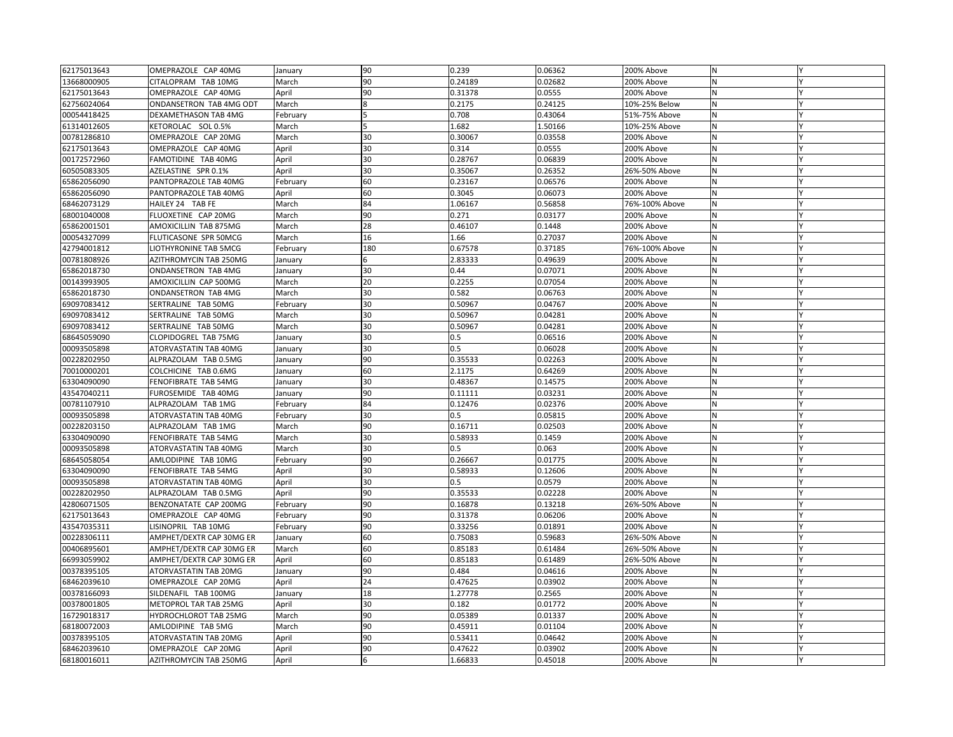| 62175013643 | OMEPRAZOLE CAP 40MG           | January  | 90  | 0.239   | 0.06362 | 200% Above     | N |  |
|-------------|-------------------------------|----------|-----|---------|---------|----------------|---|--|
| 13668000905 | CITALOPRAM TAB 10MG           | March    | 90  | 0.24189 | 0.02682 | 200% Above     | N |  |
| 62175013643 | OMEPRAZOLE CAP 40MG           | April    | 90  | 0.31378 | 0.0555  | 200% Above     | N |  |
| 62756024064 | ONDANSETRON TAB 4MG ODT       | March    |     | 0.2175  | 0.24125 | 10%-25% Below  |   |  |
| 00054418425 | <b>DEXAMETHASON TAB 4MG</b>   | February |     | 0.708   | 0.43064 | 51%-75% Above  | N |  |
| 61314012605 | KETOROLAC SOL 0.5%            | March    |     | 1.682   | 1.50166 | 10%-25% Above  |   |  |
| 00781286810 | OMEPRAZOLE CAP 20MG           | March    | 30  | 0.30067 | 0.03558 | 200% Above     | N |  |
| 62175013643 | OMEPRAZOLE CAP 40MG           | April    | 30  | 0.314   | 0.0555  | 200% Above     | N |  |
| 00172572960 | FAMOTIDINE TAB 40MG           | April    | 30  | 0.28767 | 0.06839 | 200% Above     | N |  |
| 60505083305 | AZELASTINE SPR 0.1%           | April    | 30  | 0.35067 | 0.26352 | 26%-50% Above  | N |  |
| 65862056090 | PANTOPRAZOLE TAB 40MG         | February | 60  | 0.23167 | 0.06576 | 200% Above     | N |  |
| 65862056090 | PANTOPRAZOLE TAB 40MG         | April    | 60  | 0.3045  | 0.06073 | 200% Above     | N |  |
| 68462073129 | HAILEY 24 TAB FE              | March    | 84  | 1.06167 | 0.56858 | 76%-100% Above | N |  |
| 68001040008 | FLUOXETINE CAP 20MG           | March    | 90  | 0.271   | 0.03177 | 200% Above     | N |  |
| 65862001501 | AMOXICILLIN TAB 875MG         | March    | 28  | 0.46107 | 0.1448  | 200% Above     | N |  |
| 00054327099 | FLUTICASONE SPR 50MCG         | March    | 16  | 1.66    | 0.27037 | 200% Above     | N |  |
| 42794001812 | <b>LIOTHYRONINE TAB 5MCG</b>  | February | 180 | 0.67578 | 0.37185 | 76%-100% Above | N |  |
| 00781808926 | AZITHROMYCIN TAB 250MG        | January  |     | 2.83333 | 0.49639 | 200% Above     | N |  |
| 65862018730 | <b>ONDANSETRON TAB 4MG</b>    | January  | 30  | 0.44    | 0.07071 | 200% Above     | N |  |
| 00143993905 | AMOXICILLIN CAP 500MG         | March    | 20  | 0.2255  | 0.07054 | 200% Above     | N |  |
| 65862018730 | <b>ONDANSETRON TAB 4MG</b>    | March    | 30  | 0.582   | 0.06763 | 200% Above     | N |  |
| 69097083412 | SERTRALINE TAB 50MG           | February | 30  | 0.50967 | 0.04767 | 200% Above     | N |  |
| 69097083412 | SERTRALINE TAB 50MG           | March    | 30  | 0.50967 | 0.04281 | 200% Above     | N |  |
| 69097083412 | SERTRALINE TAB 50MG           | March    | 30  | 0.50967 | 0.04281 | 200% Above     | N |  |
| 68645059090 | CLOPIDOGREL TAB 75MG          | January  | 30  | 0.5     | 0.06516 | 200% Above     | N |  |
| 00093505898 | <b>ATORVASTATIN TAB 40MG</b>  | January  | 30  | 0.5     | 0.06028 | 200% Above     | N |  |
| 00228202950 | ALPRAZOLAM TAB 0.5MG          | January  | 90  | 0.35533 | 0.02263 | 200% Above     | N |  |
| 70010000201 | COLCHICINE TAB 0.6MG          | January  | 60  | 2.1175  | 0.64269 | 200% Above     | N |  |
| 63304090090 | FENOFIBRATE TAB 54MG          | January  | 30  | 0.48367 | 0.14575 | 200% Above     | N |  |
| 43547040211 | FUROSEMIDE TAB 40MG           | January  | 90  | 0.11111 | 0.03231 | 200% Above     | N |  |
| 00781107910 | ALPRAZOLAM TAB 1MG            | February | 84  | 0.12476 | 0.02376 | 200% Above     | N |  |
| 00093505898 | ATORVASTATIN TAB 40MG         | February | 30  | 0.5     | 0.05815 | 200% Above     | N |  |
| 00228203150 | ALPRAZOLAM TAB 1MG            | March    | 90  | 0.16711 | 0.02503 | 200% Above     | N |  |
| 63304090090 | FENOFIBRATE TAB 54MG          | March    | 30  | 0.58933 | 0.1459  | 200% Above     | N |  |
| 00093505898 | <b>ATORVASTATIN TAB 40MG</b>  | March    | 30  | 0.5     | 0.063   | 200% Above     | N |  |
| 68645058054 | AMLODIPINE TAB 10MG           | February | 90  | 0.26667 | 0.01775 | 200% Above     | N |  |
| 63304090090 | <b>FENOFIBRATE TAB 54MG</b>   | April    | 30  | 0.58933 | 0.12606 | 200% Above     | N |  |
| 00093505898 | ATORVASTATIN TAB 40MG         | April    | 30  | 0.5     | 0.0579  | 200% Above     | N |  |
| 00228202950 | ALPRAZOLAM TAB 0.5MG          | April    | 90  | 0.35533 | 0.02228 | 200% Above     | N |  |
| 42806071505 | BENZONATATE CAP 200MG         | February | 90  | 0.16878 | 0.13218 | 26%-50% Above  | N |  |
| 62175013643 | OMEPRAZOLE CAP 40MG           | February | 90  | 0.31378 | 0.06206 | 200% Above     | N |  |
| 43547035311 | LISINOPRIL TAB 10MG           | February | 90  | 0.33256 | 0.01891 | 200% Above     | N |  |
| 00228306111 | AMPHET/DEXTR CAP 30MG ER      | January  | 60  | 0.75083 | 0.59683 | 26%-50% Above  | N |  |
| 00406895601 | AMPHET/DEXTR CAP 30MG ER      | March    | 60  | 0.85183 | 0.61484 | 26%-50% Above  | N |  |
| 66993059902 | AMPHET/DEXTR CAP 30MG ER      | April    | 60  | 0.85183 | 0.61489 | 26%-50% Above  | N |  |
| 00378395105 | ATORVASTATIN TAB 20MG         | January  | 90  | 0.484   | 0.04616 | 200% Above     |   |  |
| 68462039610 | OMEPRAZOLE CAP 20MG           | April    | 24  | 0.47625 | 0.03902 | 200% Above     | N |  |
| 00378166093 | SILDENAFIL TAB 100MG          | January  | 18  | 1.27778 | 0.2565  | 200% Above     | N |  |
| 00378001805 | METOPROL TAR TAB 25MG         | April    | 30  | 0.182   | 0.01772 | 200% Above     | N |  |
| 16729018317 | <b>HYDROCHLOROT TAB 25MG</b>  | March    | 90  | 0.05389 | 0.01337 | 200% Above     | N |  |
| 68180072003 | AMLODIPINE TAB 5MG            | March    | 90  | 0.45911 | 0.01104 | 200% Above     | N |  |
| 00378395105 | ATORVASTATIN TAB 20MG         | April    | 90  | 0.53411 | 0.04642 | 200% Above     | N |  |
| 68462039610 | OMEPRAZOLE CAP 20MG           | April    | 90  | 0.47622 | 0.03902 | 200% Above     | N |  |
| 68180016011 | <b>AZITHROMYCIN TAB 250MG</b> | April    |     | 1.66833 | 0.45018 | 200% Above     | N |  |
|             |                               |          |     |         |         |                |   |  |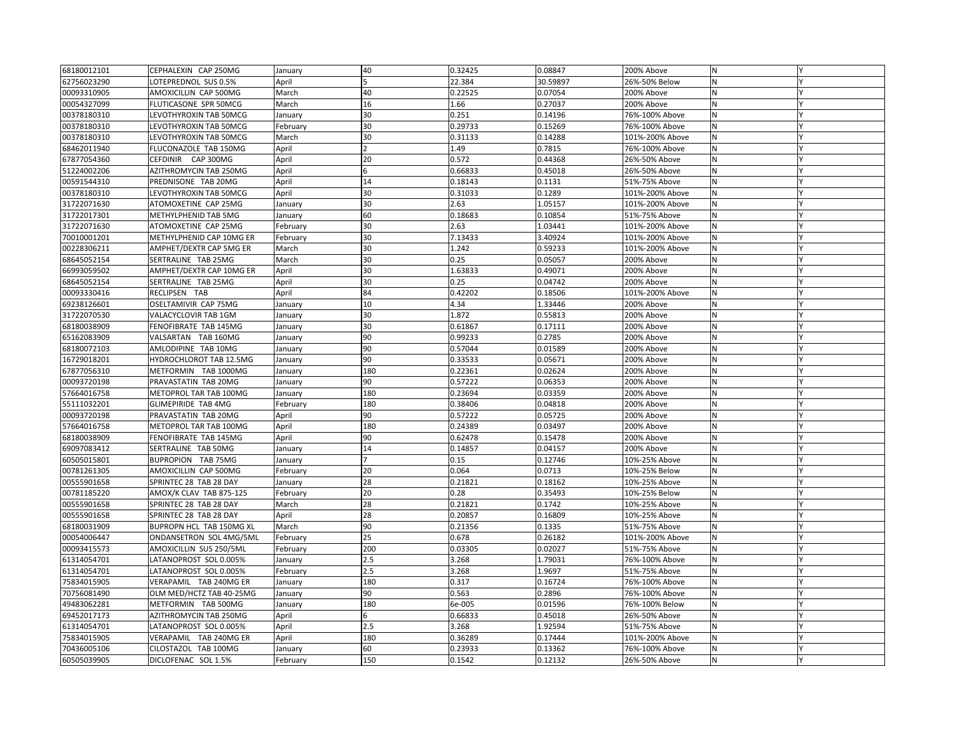| 68180012101 | CEPHALEXIN CAP 250MG            | January  | 40  | 0.32425 | 0.08847  | 200% Above      | N |  |
|-------------|---------------------------------|----------|-----|---------|----------|-----------------|---|--|
| 62756023290 | LOTEPREDNOL SUS 0.5%            | April    |     | 22.384  | 30.59897 | 26%-50% Below   | N |  |
| 00093310905 | AMOXICILLIN CAP 500MG           | March    | 40  | 0.22525 | 0.07054  | 200% Above      | N |  |
| 00054327099 | FLUTICASONE SPR 50MCG           | March    | 16  | 1.66    | 0.27037  | 200% Above      |   |  |
| 00378180310 | LEVOTHYROXIN TAB 50MCG          | January  | 30  | 0.251   | 0.14196  | 76%-100% Above  | N |  |
| 00378180310 | LEVOTHYROXIN TAB 50MCG          | February | 30  | 0.29733 | 0.15269  | 76%-100% Above  |   |  |
| 00378180310 | LEVOTHYROXIN TAB 50MCG          | March    | 30  | 0.31133 | 0.14288  | 101%-200% Above | N |  |
| 68462011940 | FLUCONAZOLE TAB 150MG           | April    |     | 1.49    | 0.7815   | 76%-100% Above  |   |  |
| 67877054360 | <b>CEFDINIR</b><br>CAP 300MG    | April    | 20  | 0.572   | 0.44368  | 26%-50% Above   | N |  |
| 51224002206 | AZITHROMYCIN TAB 250MG          | April    |     | 0.66833 | 0.45018  | 26%-50% Above   | N |  |
| 00591544310 | PREDNISONE TAB 20MG             | April    | 14  | 0.18143 | 0.1131   | 51%-75% Above   | N |  |
| 00378180310 | LEVOTHYROXIN TAB 50MCG          | April    | 30  | 0.31033 | 0.1289   | 101%-200% Above | N |  |
| 31722071630 | ATOMOXETINE CAP 25MG            | January  | 30  | 2.63    | 1.05157  | 101%-200% Above | N |  |
| 31722017301 | METHYLPHENID TAB 5MG            | January  | 60  | 0.18683 | 0.10854  | 51%-75% Above   | N |  |
| 31722071630 | ATOMOXETINE CAP 25MG            | February | 30  | 2.63    | 1.03441  | 101%-200% Above | N |  |
| 70010001201 | METHYLPHENID CAP 10MG ER        | February | 30  | 7.13433 | 3.40924  | 101%-200% Above | N |  |
| 00228306211 | AMPHET/DEXTR CAP 5MG ER         | March    | 30  | 1.242   | 0.59233  | 101%-200% Above | N |  |
| 68645052154 | SERTRALINE TAB 25MG             | March    | 30  | 0.25    | 0.05057  | 200% Above      | N |  |
| 66993059502 | AMPHET/DEXTR CAP 10MG ER        | April    | 30  | 1.63833 | 0.49071  | 200% Above      | N |  |
| 68645052154 | SERTRALINE TAB 25MG             | April    | 30  | 0.25    | 0.04742  | 200% Above      |   |  |
| 00093330416 | RECLIPSEN TAB                   | April    | 84  | 0.42202 | 0.18506  | 101%-200% Above | N |  |
| 69238126601 | OSELTAMIVIR CAP 75MG            | January  | 10  | 4.34    | 1.33446  | 200% Above      | N |  |
| 31722070530 | VALACYCLOVIR TAB 1GM            | January  | 30  | 1.872   | 0.55813  | 200% Above      | N |  |
| 68180038909 | FENOFIBRATE TAB 145MG           | January  | 30  | 0.61867 | 0.17111  | 200% Above      | N |  |
| 65162083909 | VALSARTAN TAB 160MG             | January  | 90  | 0.99233 | 0.2785   | 200% Above      | N |  |
| 68180072103 | AMLODIPINE TAB 10MG             | January  | 90  | 0.57044 | 0.01589  | 200% Above      | N |  |
| 16729018201 | HYDROCHLOROT TAB 12.5MG         | January  | 90  | 0.33533 | 0.05671  | 200% Above      | N |  |
| 67877056310 | METFORMIN TAB 1000MG            | January  | 180 | 0.22361 | 0.02624  | 200% Above      | N |  |
| 00093720198 | PRAVASTATIN TAB 20MG            | January  | 90  | 0.57222 | 0.06353  | 200% Above      | N |  |
| 57664016758 | METOPROL TAR TAB 100MG          | January  | 180 | 0.23694 | 0.03359  | 200% Above      | N |  |
| 55111032201 | <b>GLIMEPIRIDE TAB 4MG</b>      | February | 180 | 0.38406 | 0.04818  | 200% Above      | N |  |
| 00093720198 | PRAVASTATIN TAB 20MG            | April    | 90  | 0.57222 | 0.05725  | 200% Above      | N |  |
| 57664016758 | METOPROL TAR TAB 100MG          | April    | 180 | 0.24389 | 0.03497  | 200% Above      | N |  |
| 68180038909 | FENOFIBRATE TAB 145MG           | April    | 90  | 0.62478 | 0.15478  | 200% Above      | N |  |
| 69097083412 | SERTRALINE TAB 50MG             | January  | 14  | 0.14857 | 0.04157  | 200% Above      | N |  |
| 60505015801 | BUPROPION TAB 75MG              | January  |     | 0.15    | 0.12746  | 10%-25% Above   | N |  |
| 00781261305 | AMOXICILLIN CAP 500MG           | February | 20  | 0.064   | 0.0713   | 10%-25% Below   | N |  |
| 00555901658 | SPRINTEC 28 TAB 28 DAY          | January  | 28  | 0.21821 | 0.18162  | 10%-25% Above   | N |  |
| 00781185220 | AMOX/K CLAV TAB 875-125         | February | 20  | 0.28    | 0.35493  | 10%-25% Below   | N |  |
| 00555901658 | SPRINTEC 28 TAB 28 DAY          | March    | 28  | 0.21821 | 0.1742   | 10%-25% Above   | N |  |
| 00555901658 | SPRINTEC 28 TAB 28 DAY          | April    | 28  | 0.20857 | 0.16809  | 10%-25% Above   | N |  |
| 68180031909 | <b>BUPROPN HCL TAB 150MG XL</b> | March    | 90  | 0.21356 | 0.1335   | 51%-75% Above   | N |  |
| 00054006447 | ONDANSETRON SOL 4MG/5ML         | February | 25  | 0.678   | 0.26182  | 101%-200% Above | N |  |
| 00093415573 | AMOXICILLIN SUS 250/5ML         | February | 200 | 0.03305 | 0.02027  | 51%-75% Above   | N |  |
| 61314054701 | LATANOPROST SOL 0.005%          | January  | 2.5 | 3.268   | 1.79031  | 76%-100% Above  | N |  |
| 61314054701 | LATANOPROST SOL 0.005%          | February | 2.5 | 3.268   | 1.9697   | 51%-75% Above   |   |  |
| 75834015905 | VERAPAMIL TAB 240MG ER          | January  | 180 | 0.317   | 0.16724  | 76%-100% Above  | N |  |
| 70756081490 | OLM MED/HCTZ TAB 40-25MG        | January  | 90  | 0.563   | 0.2896   | 76%-100% Above  | N |  |
| 49483062281 | METFORMIN TAB 500MG             | January  | 180 | 6e-005  | 0.01596  | 76%-100% Below  | N |  |
| 69452017173 | <b>AZITHROMYCIN TAB 250MG</b>   | April    |     | 0.66833 | 0.45018  | 26%-50% Above   | N |  |
| 61314054701 | LATANOPROST SOL 0.005%          | April    | 2.5 | 3.268   | 1.92594  | 51%-75% Above   | N |  |
| 75834015905 | VERAPAMIL<br>TAB 240MG ER       | April    | 180 | 0.36289 | 0.17444  | 101%-200% Above | N |  |
| 70436005106 | CILOSTAZOL TAB 100MG            | January  | 60  | 0.23933 | 0.13362  | 76%-100% Above  | N |  |
| 60505039905 | DICLOFENAC SOL 1.5%             | February | 150 | 0.1542  | 0.12132  | 26%-50% Above   | N |  |
|             |                                 |          |     |         |          |                 |   |  |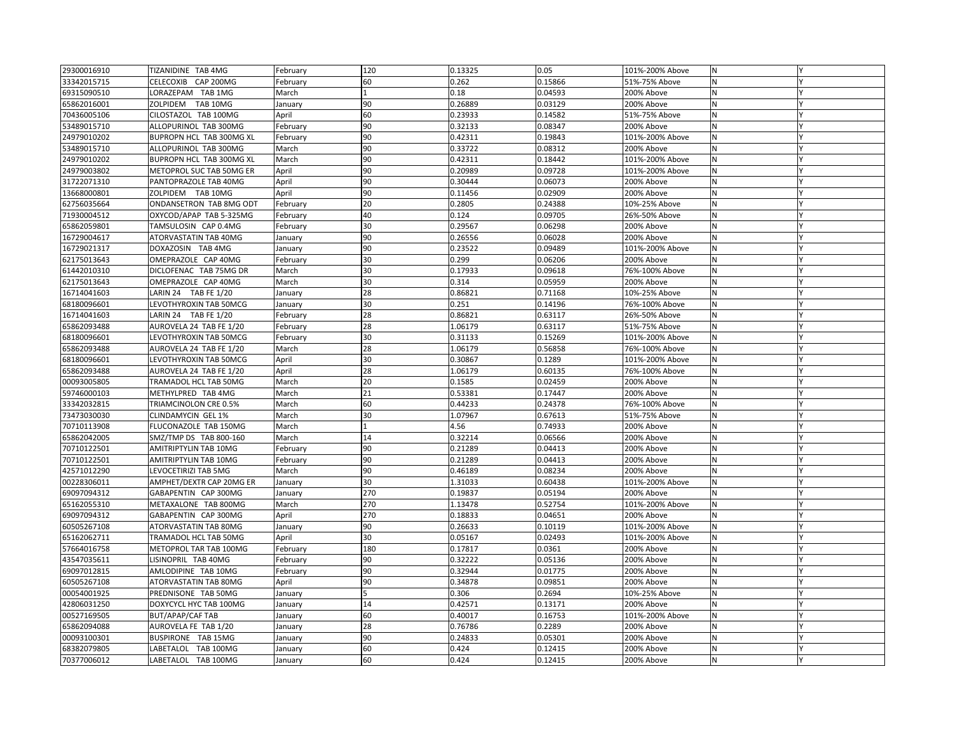| 29300016910 | TIZANIDINE TAB 4MG              | February | 120 | 0.13325 | 0.05    | 101%-200% Above | N |  |
|-------------|---------------------------------|----------|-----|---------|---------|-----------------|---|--|
| 33342015715 | CELECOXIB CAP 200MG             | February | 60  | 0.262   | 0.15866 | 51%-75% Above   | N |  |
| 69315090510 | LORAZEPAM TAB 1MG               | March    |     | 0.18    | 0.04593 | 200% Above      | N |  |
| 65862016001 | ZOLPIDEM<br>TAB 10MG            | January  | 90  | 0.26889 | 0.03129 | 200% Above      | N |  |
| 70436005106 | CILOSTAZOL TAB 100MG            | April    | 60  | 0.23933 | 0.14582 | 51%-75% Above   | N |  |
| 53489015710 | ALLOPURINOL TAB 300MG           | February | 90  | 0.32133 | 0.08347 | 200% Above      | N |  |
| 24979010202 | BUPROPN HCL TAB 300MG XL        | February | 90  | 0.42311 | 0.19843 | 101%-200% Above | N |  |
| 53489015710 | ALLOPURINOL TAB 300MG           | March    | 90  | 0.33722 | 0.08312 | 200% Above      | N |  |
| 24979010202 | <b>BUPROPN HCL TAB 300MG XL</b> | March    | 90  | 0.42311 | 0.18442 | 101%-200% Above | N |  |
| 24979003802 | METOPROL SUC TAB 50MG ER        | April    | 90  | 0.20989 | 0.09728 | 101%-200% Above | N |  |
| 31722071310 | PANTOPRAZOLE TAB 40MG           | April    | 90  | 0.30444 | 0.06073 | 200% Above      | N |  |
| 13668000801 | ZOLPIDEM TAB 10MG               | April    | 90  | 0.11456 | 0.02909 | 200% Above      | N |  |
| 62756035664 | ONDANSETRON TAB 8MG ODT         | February | 20  | 0.2805  | 0.24388 | 10%-25% Above   | N |  |
| 71930004512 | OXYCOD/APAP TAB 5-325MG         | February | 40  | 0.124   | 0.09705 | 26%-50% Above   | N |  |
| 65862059801 | TAMSULOSIN CAP 0.4MG            | February | 30  | 0.29567 | 0.06298 | 200% Above      | N |  |
| 16729004617 | ATORVASTATIN TAB 40MG           | January  | 90  | 0.26556 | 0.06028 | 200% Above      | N |  |
| 16729021317 | DOXAZOSIN TAB 4MG               | January  | 90  | 0.23522 | 0.09489 | 101%-200% Above | N |  |
| 62175013643 | OMEPRAZOLE CAP 40MG             | February | 30  | 0.299   | 0.06206 | 200% Above      | N |  |
| 61442010310 | DICLOFENAC TAB 75MG DR          | March    | 30  | 0.17933 | 0.09618 | 76%-100% Above  | N |  |
| 62175013643 | OMEPRAZOLE CAP 40MG             | March    | 30  | 0.314   | 0.05959 | 200% Above      |   |  |
| 16714041603 | LARIN 24 TAB FE 1/20            | January  | 28  | 0.86821 | 0.71168 | 10%-25% Above   |   |  |
| 68180096601 | LEVOTHYROXIN TAB 50MCG          | January  | 30  | 0.251   | 0.14196 | 76%-100% Above  | N |  |
| 16714041603 | LARIN 24 TAB FE 1/20            | February | 28  | 0.86821 | 0.63117 | 26%-50% Above   | Ν |  |
| 65862093488 | AUROVELA 24 TAB FE 1/20         | February | 28  | 1.06179 | 0.63117 | 51%-75% Above   | N |  |
| 68180096601 | LEVOTHYROXIN TAB 50MCG          | February | 30  | 0.31133 | 0.15269 | 101%-200% Above |   |  |
| 65862093488 | AUROVELA 24 TAB FE 1/20         | March    | 28  | 1.06179 | 0.56858 | 76%-100% Above  | N |  |
| 68180096601 | LEVOTHYROXIN TAB 50MCG          | April    | 30  | 0.30867 | 0.1289  | 101%-200% Above | N |  |
| 65862093488 | AUROVELA 24 TAB FE 1/20         | April    | 28  | 1.06179 | 0.60135 | 76%-100% Above  | N |  |
| 00093005805 | TRAMADOL HCL TAB 50MG           | March    | 20  | 0.1585  | 0.02459 | 200% Above      | N |  |
| 59746000103 | METHYLPRED TAB 4MG              | March    | 21  | 0.53381 | 0.17447 | 200% Above      | N |  |
| 33342032815 | TRIAMCINOLON CRE 0.5%           | March    | 60  | 0.44233 | 0.24378 | 76%-100% Above  | N |  |
| 73473030030 | <b>CLINDAMYCIN GEL 1%</b>       | March    | 30  | 1.07967 | 0.67613 | 51%-75% Above   | N |  |
| 70710113908 | FLUCONAZOLE TAB 150MG           | March    |     | 4.56    | 0.74933 | 200% Above      | N |  |
| 65862042005 | SMZ/TMP DS TAB 800-160          | March    | 14  | 0.32214 | 0.06566 | 200% Above      | N |  |
| 70710122501 | AMITRIPTYLIN TAB 10MG           | February | 90  | 0.21289 | 0.04413 | 200% Above      | N |  |
| 70710122501 | AMITRIPTYLIN TAB 10MG           | February | 90  | 0.21289 | 0.04413 | 200% Above      | N |  |
| 42571012290 | LEVOCETIRIZI TAB 5MG            | March    | 90  | 0.46189 | 0.08234 | 200% Above      | N |  |
| 00228306011 | AMPHET/DEXTR CAP 20MG ER        | January  | 30  | 1.31033 | 0.60438 | 101%-200% Above | N |  |
| 69097094312 | GABAPENTIN CAP 300MG            | January  | 270 | 0.19837 | 0.05194 | 200% Above      | N |  |
| 65162055310 | METAXALONE TAB 800MG            | March    | 270 | 1.13478 | 0.52754 | 101%-200% Above | N |  |
| 69097094312 | GABAPENTIN CAP 300MG            | April    | 270 | 0.18833 | 0.04651 | 200% Above      | N |  |
| 60505267108 | ATORVASTATIN TAB 80MG           | January  | 90  | 0.26633 | 0.10119 | 101%-200% Above | N |  |
| 65162062711 | TRAMADOL HCL TAB 50MG           | April    | 30  | 0.05167 | 0.02493 | 101%-200% Above | N |  |
| 57664016758 | METOPROL TAR TAB 100MG          | February | 180 | 0.17817 | 0.0361  | 200% Above      | N |  |
| 43547035611 | LISINOPRIL TAB 40MG             | February | 90  | 0.32222 | 0.05136 | 200% Above      | N |  |
| 69097012815 | AMLODIPINE TAB 10MG             | February | 90  | 0.32944 | 0.01775 | 200% Above      |   |  |
| 60505267108 | ATORVASTATIN TAB 80MG           | April    | 90  | 0.34878 | 0.09851 | 200% Above      | N |  |
| 00054001925 | PREDNISONE TAB 50MG             | January  |     | 0.306   | 0.2694  | 10%-25% Above   | N |  |
| 42806031250 | DOXYCYCL HYC TAB 100MG          | January  | 14  | 0.42571 | 0.13171 | 200% Above      | N |  |
| 00527169505 | <b>BUT/APAP/CAF TAB</b>         | January  | 60  | 0.40017 | 0.16753 | 101%-200% Above | N |  |
| 65862094088 | AUROVELA FE TAB 1/20            | January  | 28  | 0.76786 | 0.2289  | 200% Above      | N |  |
| 00093100301 | <b>BUSPIRONE TAB 15MG</b>       | January  | 90  | 0.24833 | 0.05301 | 200% Above      | N |  |
| 68382079805 | LABETALOL TAB 100MG             | January  | 60  | 0.424   | 0.12415 | 200% Above      | N |  |
| 70377006012 | LABETALOL TAB 100MG             | January  | 60  | 0.424   | 0.12415 | 200% Above      | N |  |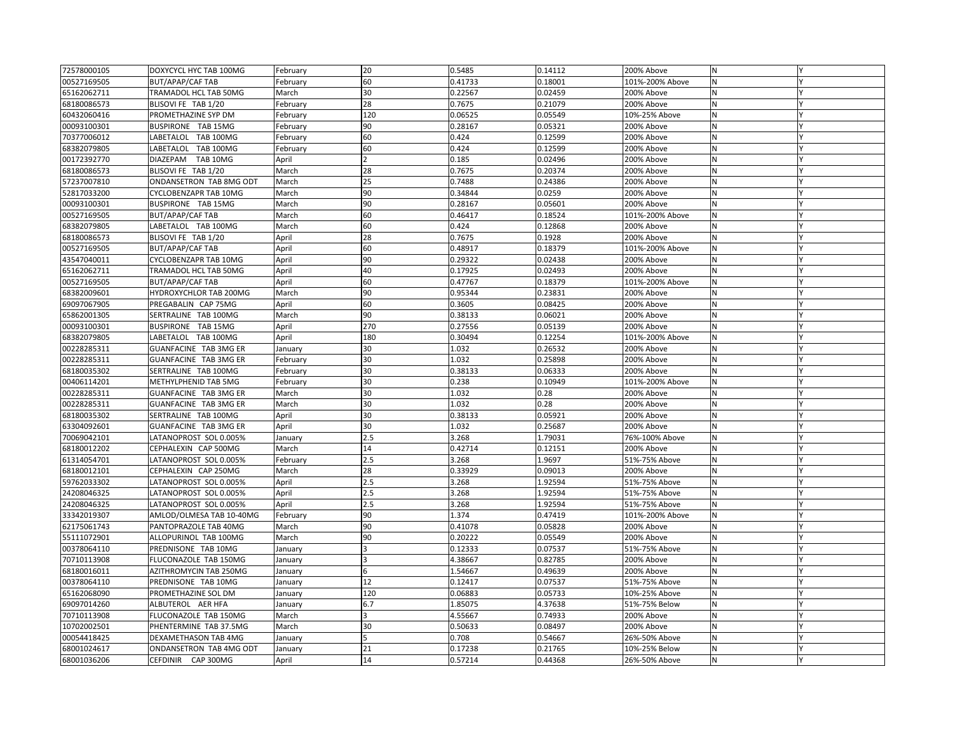| 72578000105                | DOXYCYCL HYC TAB 100MG                          | February           | 20  | 0.5485             | 0.14112            | 200% Above                     | <b>N</b> |  |
|----------------------------|-------------------------------------------------|--------------------|-----|--------------------|--------------------|--------------------------------|----------|--|
| 00527169505                | BUT/APAP/CAF TAB                                | February           | 60  | 0.41733            | 0.18001            | 101%-200% Above                | N        |  |
| 65162062711                | TRAMADOL HCL TAB 50MG                           | March              | 30  | 0.22567            | 0.02459            | 200% Above                     | N        |  |
| 68180086573                | BLISOVI FE TAB 1/20                             | February           | 28  | 0.7675             | 0.21079            | 200% Above                     |          |  |
| 60432060416                | PROMETHAZINE SYP DM                             | February           | 120 | 0.06525            | 0.05549            | 10%-25% Above                  | N        |  |
| 00093100301                | BUSPIRONE TAB 15MG                              | February           | 90  | 0.28167            | 0.05321            | 200% Above                     | N        |  |
| 70377006012                | LABETALOL TAB 100MG                             | February           | 60  | 0.424              | 0.12599            | 200% Above                     | N        |  |
| 68382079805                | LABETALOL<br><b>TAB 100MG</b>                   | February           | 60  | 0.424              | 0.12599            | 200% Above                     | N        |  |
| 00172392770                | DIAZEPAM<br>TAB 10MG                            | April              |     | 0.185              | 0.02496            | 200% Above                     | N        |  |
| 68180086573                | BLISOVI FE TAB 1/20                             | March              | 28  | 0.7675             | 0.20374            | 200% Above                     | N        |  |
| 57237007810                | ONDANSETRON TAB 8MG ODT                         | March              | 25  | 0.7488             | 0.24386            | 200% Above                     | N        |  |
| 52817033200                | CYCLOBENZAPR TAB 10MG                           | March              | 90  | 0.34844            | 0.0259             | 200% Above                     | N        |  |
| 00093100301                | BUSPIRONE TAB 15MG                              | March              | 90  | 0.28167            | 0.05601            | 200% Above                     | N        |  |
| 00527169505                | <b>BUT/APAP/CAF TAB</b>                         | March              | 60  | 0.46417            | 0.18524            | 101%-200% Above                | N        |  |
| 68382079805                | LABETALOL TAB 100MG                             | March              | 60  | 0.424              | 0.12868            | 200% Above                     | N        |  |
| 68180086573                | BLISOVI FE TAB 1/20                             | April              | 28  | 0.7675             | 0.1928             | 200% Above                     | N        |  |
| 00527169505                | BUT/APAP/CAF TAB                                | April              | 60  | 0.48917            | 0.18379            | 101%-200% Above                | N        |  |
| 43547040011                | CYCLOBENZAPR TAB 10MG                           | April              | 90  | 0.29322            | 0.02438            | 200% Above                     | N        |  |
| 65162062711                | TRAMADOL HCL TAB 50MG                           | April              | 40  | 0.17925            | 0.02493            | 200% Above                     | N        |  |
| 00527169505                | <b>BUT/APAP/CAF TAB</b>                         | April              | 60  | 0.47767            | 0.18379            | 101%-200% Above                | N        |  |
| 68382009601                | HYDROXYCHLOR TAB 200MG                          | March              | 90  | 0.95344            | 0.23831            | 200% Above                     |          |  |
| 69097067905                | PREGABALIN CAP 75MG                             | April              | 60  | 0.3605             | 0.08425            | 200% Above                     | N        |  |
| 65862001305                | SERTRALINE TAB 100MG                            | March              | 90  | 0.38133            | 0.06021            | 200% Above                     | N        |  |
| 00093100301                | BUSPIRONE TAB 15MG                              | April              | 270 | 0.27556            | 0.05139            | 200% Above                     | N        |  |
| 68382079805                | LABETALOL TAB 100MG                             | April              | 180 | 0.30494            | 0.12254            | 101%-200% Above                |          |  |
| 00228285311                | GUANFACINE TAB 3MG ER                           | January            | 30  | 1.032              | 0.26532            | 200% Above                     | N        |  |
| 00228285311                | GUANFACINE TAB 3MG ER                           | February           | 30  | 1.032              | 0.25898            | 200% Above                     | N        |  |
| 68180035302                | SERTRALINE TAB 100MG                            | February           | 30  | 0.38133            | 0.06333            | 200% Above                     | N        |  |
| 00406114201                | METHYLPHENID TAB 5MG                            | February           | 30  | 0.238              | 0.10949            | 101%-200% Above                | N        |  |
| 00228285311                | <b>GUANFACINE TAB 3MG ER</b>                    | March              | 30  | 1.032              | 0.28               | 200% Above                     | N        |  |
| 00228285311                | <b>GUANFACINE TAB 3MG ER</b>                    | March              | 30  | 1.032              | 0.28               | 200% Above                     | N        |  |
| 68180035302                | SERTRALINE TAB 100MG                            | April              | 30  | 0.38133            | 0.05921            | 200% Above                     | N        |  |
| 63304092601                | <b>GUANFACINE TAB 3MG ER</b>                    | April              | 30  | 1.032              | 0.25687            | 200% Above                     |          |  |
| 70069042101                | LATANOPROST SOL 0.005%                          | January            | 2.5 | 3.268              | 1.79031            | 76%-100% Above                 | N        |  |
| 68180012202                | CEPHALEXIN CAP 500MG                            | March              | 14  | 0.42714            | 0.12151            | 200% Above                     | N        |  |
| 61314054701                | LATANOPROST SOL 0.005%                          | February           | 2.5 | 3.268              | 1.9697             | 51%-75% Above                  | N        |  |
| 68180012101                | CEPHALEXIN CAP 250MG                            | March              | 28  | 0.33929            | 0.09013            | 200% Above                     | N        |  |
| 59762033302                | LATANOPROST SOL 0.005%                          | April              | 2.5 | 3.268              | 1.92594            | 51%-75% Above                  | N        |  |
| 24208046325                | LATANOPROST SOL 0.005%                          | April              | 2.5 | 3.268              | 1.92594            | 51%-75% Above                  | N        |  |
| 24208046325                | LATANOPROST SOL 0.005%                          | April              | 2.5 | 3.268              | 1.92594            | 51%-75% Above                  | N        |  |
| 33342019307                | AMLOD/OLMESA TAB 10-40MG                        | February           | 90  | 1.374              | 0.47419            | 101%-200% Above                | N        |  |
| 62175061743                | PANTOPRAZOLE TAB 40MG                           | March              | 90  | 0.41078            | 0.05828            | 200% Above                     | N        |  |
| 55111072901                | ALLOPURINOL TAB 100MG                           | March              | 90  | 0.20222            | 0.05549            | 200% Above                     | N        |  |
| 00378064110                | PREDNISONE TAB 10MG                             | January            |     | 0.12333            | 0.07537            | 51%-75% Above                  | N        |  |
| 70710113908                | FLUCONAZOLE TAB 150MG                           | January            |     | 4.38667            | 0.82785            | 200% Above                     | N        |  |
| 68180016011                | AZITHROMYCIN TAB 250MG                          | January            |     | 1.54667            | 0.49639            | 200% Above                     |          |  |
| 00378064110                | PREDNISONE TAB 10MG                             | January            | 12  | 0.12417            | 0.07537            | 51%-75% Above                  | N        |  |
| 65162068090                | PROMETHAZINE SOL DM                             | January            | 120 | 0.06883            | 0.05733            | 10%-25% Above                  | N        |  |
| 69097014260                | ALBUTEROL AER HFA                               | January            | 6.7 | 1.85075            | 4.37638            | 51%-75% Below                  | N        |  |
| 70710113908<br>10702002501 | FLUCONAZOLE TAB 150MG<br>PHENTERMINE TAB 37.5MG | March<br>March     | 30  | 4.55667<br>0.50633 | 0.74933<br>0.08497 | 200% Above<br>200% Above       | N        |  |
| 00054418425                |                                                 |                    |     | 0.708              | 0.54667            |                                | N        |  |
| 68001024617                | DEXAMETHASON TAB 4MG<br>ONDANSETRON TAB 4MG ODT | January<br>January | 21  | 0.17238            | 0.21765            | 26%-50% Above<br>10%-25% Below | N        |  |
| 68001036206                | CEFDINIR CAP 300MG                              | April              | 14  | 0.57214            | 0.44368            | 26%-50% Above                  | N        |  |
|                            |                                                 |                    |     |                    |                    |                                |          |  |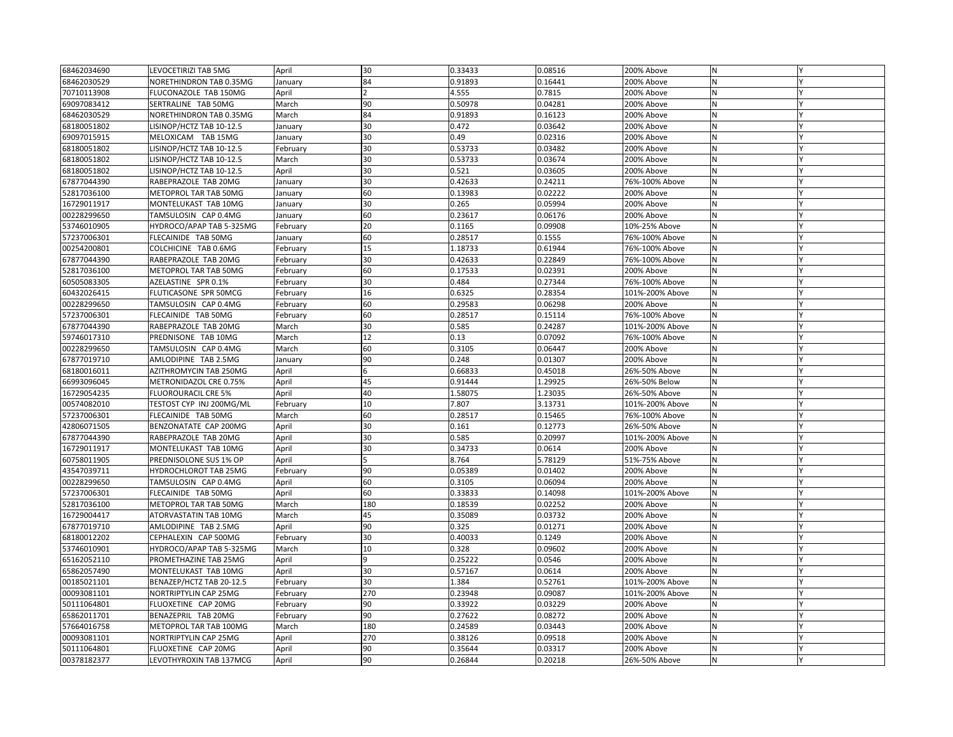| 68462034690 | LEVOCETIRIZI TAB 5MG       | April    | 30  | 0.33433 | 0.08516 | 200% Above      | N |  |
|-------------|----------------------------|----------|-----|---------|---------|-----------------|---|--|
| 68462030529 | NORETHINDRON TAB 0.35MG    | January  | 84  | 0.91893 | 0.16441 | 200% Above      | N |  |
| 70710113908 | FLUCONAZOLE TAB 150MG      | April    |     | 4.555   | 0.7815  | 200% Above      | N |  |
| 69097083412 | SERTRALINE TAB 50MG        | March    | 90  | 0.50978 | 0.04281 | 200% Above      | N |  |
| 68462030529 | NORETHINDRON TAB 0.35MG    | March    | 84  | 0.91893 | 0.16123 | 200% Above      | N |  |
| 68180051802 | LISINOP/HCTZ TAB 10-12.5   | January  | 30  | 0.472   | 0.03642 | 200% Above      | N |  |
| 69097015915 | MELOXICAM TAB 15MG         | January  | 30  | 0.49    | 0.02316 | 200% Above      | N |  |
| 68180051802 | LISINOP/HCTZ TAB 10-12.5   | February | 30  | 0.53733 | 0.03482 | 200% Above      | N |  |
| 68180051802 | LISINOP/HCTZ TAB 10-12.5   | March    | 30  | 0.53733 | 0.03674 | 200% Above      | N |  |
| 68180051802 | LISINOP/HCTZ TAB 10-12.5   | April    | 30  | 0.521   | 0.03605 | 200% Above      | N |  |
| 67877044390 | RABEPRAZOLE TAB 20MG       | January  | 30  | 0.42633 | 0.24211 | 76%-100% Above  | N |  |
| 52817036100 | METOPROL TAR TAB 50MG      | January  | 60  | 0.13983 | 0.02222 | 200% Above      | N |  |
| 16729011917 | MONTELUKAST TAB 10MG       | January  | 30  | 0.265   | 0.05994 | 200% Above      | N |  |
| 00228299650 | TAMSULOSIN CAP 0.4MG       | January  | 60  | 0.23617 | 0.06176 | 200% Above      | N |  |
| 53746010905 | HYDROCO/APAP TAB 5-325MG   | February | 20  | 0.1165  | 0.09908 | 10%-25% Above   | Ν |  |
| 57237006301 | FLECAINIDE TAB 50MG        | January  | 60  | 0.28517 | 0.1555  | 76%-100% Above  |   |  |
| 00254200801 | COLCHICINE TAB 0.6MG       | February | 15  | 1.18733 | 0.61944 | 76%-100% Above  |   |  |
| 67877044390 | RABEPRAZOLE TAB 20MG       | February | 30  | 0.42633 | 0.22849 | 76%-100% Above  | N |  |
| 52817036100 | METOPROL TAR TAB 50MG      | February | 60  | 0.17533 | 0.02391 | 200% Above      |   |  |
| 60505083305 | AZELASTINE SPR 0.1%        | February | 30  | 0.484   | 0.27344 | 76%-100% Above  | N |  |
| 60432026415 | FLUTICASONE SPR 50MCG      | February | 16  | 0.6325  | 0.28354 | 101%-200% Above | N |  |
| 00228299650 | TAMSULOSIN CAP 0.4MG       | February | 60  | 0.29583 | 0.06298 | 200% Above      | N |  |
| 57237006301 | FLECAINIDE TAB 50MG        | February | 60  | 0.28517 | 0.15114 | 76%-100% Above  | N |  |
| 67877044390 | RABEPRAZOLE TAB 20MG       | March    | 30  | 0.585   | 0.24287 | 101%-200% Above | N |  |
| 59746017310 | PREDNISONE TAB 10MG        | March    | 12  | 0.13    | 0.07092 | 76%-100% Above  | N |  |
| 00228299650 | TAMSULOSIN CAP 0.4MG       | March    | 60  | 0.3105  | 0.06447 | 200% Above      | N |  |
| 67877019710 | AMLODIPINE TAB 2.5MG       | January  | 90  | 0.248   | 0.01307 | 200% Above      | N |  |
| 68180016011 | AZITHROMYCIN TAB 250MG     | April    | 6   | 0.66833 | 0.45018 | 26%-50% Above   | N |  |
| 66993096045 | METRONIDAZOL CRE 0.75%     | April    | 45  | 0.91444 | 1.29925 | 26%-50% Below   | N |  |
| 16729054235 | <b>FLUOROURACIL CRE 5%</b> | April    | 40  | 1.58075 | 1.23035 | 26%-50% Above   | N |  |
| 00574082010 | TESTOST CYP INJ 200MG/ML   | February | 10  | 7.807   | 3.13731 | 101%-200% Above | N |  |
| 57237006301 | FLECAINIDE TAB 50MG        | March    | 60  | 0.28517 | 0.15465 | 76%-100% Above  |   |  |
| 42806071505 | BENZONATATE CAP 200MG      | April    | 30  | 0.161   | 0.12773 | 26%-50% Above   | N |  |
| 67877044390 | RABEPRAZOLE TAB 20MG       | April    | 30  | 0.585   | 0.20997 | 101%-200% Above | N |  |
| 16729011917 | MONTELUKAST TAB 10MG       | April    | 30  | 0.34733 | 0.0614  | 200% Above      | N |  |
| 60758011905 | PREDNISOLONE SUS 1% OP     | April    |     | 8.764   | 5.78129 | 51%-75% Above   | N |  |
| 43547039711 | HYDROCHLOROT TAB 25MG      | February | 90  | 0.05389 | 0.01402 | 200% Above      | N |  |
| 00228299650 | TAMSULOSIN CAP 0.4MG       | April    | 60  | 0.3105  | 0.06094 | 200% Above      | N |  |
| 57237006301 | FLECAINIDE TAB 50MG        | April    | 60  | 0.33833 | 0.14098 | 101%-200% Above | N |  |
| 52817036100 | METOPROL TAR TAB 50MG      | March    | 180 | 0.18539 | 0.02252 | 200% Above      |   |  |
| 16729004417 | ATORVASTATIN TAB 10MG      | March    | 45  | 0.35089 | 0.03732 | 200% Above      | N |  |
| 67877019710 | AMLODIPINE TAB 2.5MG       | April    | 90  | 0.325   | 0.01271 | 200% Above      |   |  |
| 68180012202 | CEPHALEXIN CAP 500MG       | February | 30  | 0.40033 | 0.1249  | 200% Above      | N |  |
| 53746010901 | HYDROCO/APAP TAB 5-325MG   | March    | 10  | 0.328   | 0.09602 | 200% Above      | N |  |
| 65162052110 | PROMETHAZINE TAB 25MG      | April    | q   | 0.25222 | 0.0546  | 200% Above      |   |  |
| 65862057490 | MONTELUKAST TAB 10MG       | April    | 30  | 0.57167 | 0.0614  | 200% Above      | N |  |
| 00185021101 | BENAZEP/HCTZ TAB 20-12.5   | February | 30  | 1.384   | 0.52761 | 101%-200% Above | N |  |
| 00093081101 | NORTRIPTYLIN CAP 25MG      | February | 270 | 0.23948 | 0.09087 | 101%-200% Above | Ν |  |
| 50111064801 | FLUOXETINE CAP 20MG        | February | 90  | 0.33922 | 0.03229 | 200% Above      | N |  |
| 65862011701 | BENAZEPRIL TAB 20MG        | February | 90  | 0.27622 | 0.08272 | 200% Above      | N |  |
| 57664016758 | METOPROL TAR TAB 100MG     | March    | 180 | 0.24589 | 0.03443 | 200% Above      | N |  |
| 00093081101 | NORTRIPTYLIN CAP 25MG      | April    | 270 | 0.38126 | 0.09518 | 200% Above      | N |  |
| 50111064801 | FLUOXETINE CAP 20MG        | April    | 90  | 0.35644 | 0.03317 | 200% Above      | N |  |
| 00378182377 | LEVOTHYROXIN TAB 137MCG    | April    | 90  | 0.26844 | 0.20218 | 26%-50% Above   | N |  |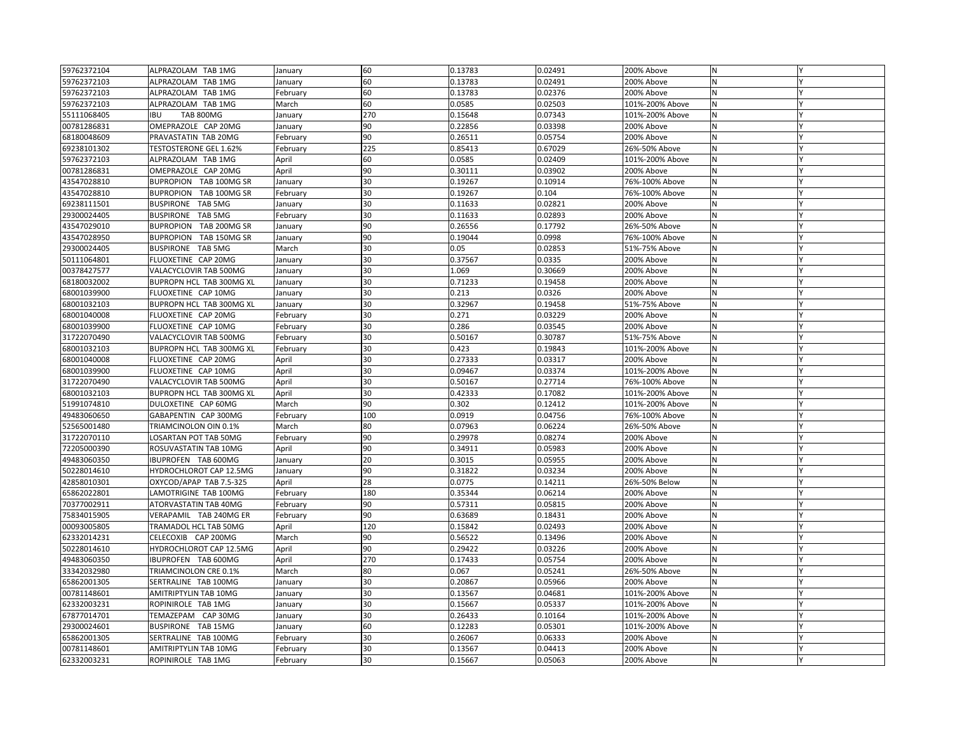| 59762372104 | ALPRAZOLAM TAB 1MG               | January  | 60  | 0.13783 | 0.02491 | 200% Above      | IN.          |  |
|-------------|----------------------------------|----------|-----|---------|---------|-----------------|--------------|--|
| 59762372103 | ALPRAZOLAM TAB 1MG               | January  | 60  | 0.13783 | 0.02491 | 200% Above      | N            |  |
| 59762372103 | ALPRAZOLAM TAB 1MG               | February | 60  | 0.13783 | 0.02376 | 200% Above      | N            |  |
| 59762372103 | ALPRAZOLAM TAB 1MG               | March    | 60  | 0.0585  | 0.02503 | 101%-200% Above |              |  |
| 55111068405 | <b>IBU</b><br><b>TAB 800MG</b>   | January  | 270 | 0.15648 | 0.07343 | 101%-200% Above | $\mathsf{N}$ |  |
| 00781286831 | OMEPRAZOLE CAP 20MG              | January  | 90  | 0.22856 | 0.03398 | 200% Above      | N            |  |
| 68180048609 | PRAVASTATIN TAB 20MG             | February | 90  | 0.26511 | 0.05754 | 200% Above      | ${\sf N}$    |  |
| 69238101302 | <b>TESTOSTERONE GEL 1.62%</b>    | February | 225 | 0.85413 | 0.67029 | 26%-50% Above   |              |  |
| 59762372103 | ALPRAZOLAM TAB 1MG               | April    | 60  | 0.0585  | 0.02409 | 101%-200% Above | N            |  |
| 00781286831 | OMEPRAZOLE CAP 20MG              | April    | 90  | 0.30111 | 0.03902 | 200% Above      | N            |  |
| 43547028810 | <b>BUPROPION</b><br>TAB 100MG SR | January  | 30  | 0.19267 | 0.10914 | 76%-100% Above  | N            |  |
| 43547028810 | <b>BUPROPION</b><br>TAB 100MG SR | February | 30  | 0.19267 | 0.104   | 76%-100% Above  |              |  |
| 69238111501 | <b>BUSPIRONE</b><br>TAB 5MG      | January  | 30  | 0.11633 | 0.02821 | 200% Above      | N            |  |
| 29300024405 | TAB 5MG<br><b>BUSPIRONE</b>      | February | 30  | 0.11633 | 0.02893 | 200% Above      | N            |  |
| 43547029010 | <b>BUPROPION</b><br>TAB 200MG SR | January  | 90  | 0.26556 | 0.17792 | 26%-50% Above   | N            |  |
| 43547028950 | TAB 150MG SR<br><b>BUPROPION</b> | January  | 90  | 0.19044 | 0.0998  | 76%-100% Above  | N            |  |
| 29300024405 | <b>BUSPIRONE</b><br>TAB 5MG      | March    | 30  | 0.05    | 0.02853 | 51%-75% Above   | N            |  |
| 50111064801 | FLUOXETINE CAP 20MG              | January  | 30  | 0.37567 | 0.0335  | 200% Above      | N            |  |
| 00378427577 | VALACYCLOVIR TAB 500MG           | January  | 30  | 1.069   | 0.30669 | 200% Above      | N            |  |
| 68180032002 | BUPROPN HCL TAB 300MG XL         | January  | 30  | 0.71233 | 0.19458 | 200% Above      |              |  |
| 68001039900 | FLUOXETINE CAP 10MG              | January  | 30  | 0.213   | 0.0326  | 200% Above      | N            |  |
| 68001032103 | BUPROPN HCL TAB 300MG XL         | January  | 30  | 0.32967 | 0.19458 | 51%-75% Above   | N            |  |
| 68001040008 | FLUOXETINE CAP 20MG              | February | 30  | 0.271   | 0.03229 | 200% Above      | N            |  |
| 68001039900 | FLUOXETINE CAP 10MG              | February | 30  | 0.286   | 0.03545 | 200% Above      | N            |  |
| 31722070490 | VALACYCLOVIR TAB 500MG           | February | 30  | 0.50167 | 0.30787 | 51%-75% Above   |              |  |
| 68001032103 | BUPROPN HCL TAB 300MG XL         | February | 30  | 0.423   | 0.19843 | 101%-200% Above | N            |  |
| 68001040008 | FLUOXETINE CAP 20MG              | April    | 30  | 0.27333 | 0.03317 | 200% Above      | N            |  |
| 68001039900 | FLUOXETINE CAP 10MG              | April    | 30  | 0.09467 | 0.03374 | 101%-200% Above | ${\sf N}$    |  |
| 31722070490 | VALACYCLOVIR TAB 500MG           | April    | 30  | 0.50167 | 0.27714 | 76%-100% Above  | N            |  |
| 68001032103 | BUPROPN HCL TAB 300MG XL         | April    | 30  | 0.42333 | 0.17082 | 101%-200% Above | N            |  |
| 51991074810 | DULOXETINE CAP 60MG              | March    | 90  | 0.302   | 0.12412 | 101%-200% Above | N            |  |
| 49483060650 | GABAPENTIN CAP 300MG             | February | 100 | 0.0919  | 0.04756 | 76%-100% Above  | N            |  |
| 52565001480 | TRIAMCINOLON OIN 0.1%            | March    | 80  | 0.07963 | 0.06224 | 26%-50% Above   | N            |  |
| 31722070110 | LOSARTAN POT TAB 50MG            | February | 90  | 0.29978 | 0.08274 | 200% Above      | N            |  |
| 72205000390 | ROSUVASTATIN TAB 10MG            | April    | 90  | 0.34911 | 0.05983 | 200% Above      | N            |  |
| 49483060350 | IBUPROFEN TAB 600MG              | January  | 20  | 0.3015  | 0.05955 | 200% Above      | N            |  |
| 50228014610 | HYDROCHLOROT CAP 12.5MG          | January  | 90  | 0.31822 | 0.03234 | 200% Above      | N            |  |
| 42858010301 | OXYCOD/APAP TAB 7.5-325          | April    | 28  | 0.0775  | 0.14211 | 26%-50% Below   | N            |  |
| 65862022801 | LAMOTRIGINE TAB 100MG            | February | 180 | 0.35344 | 0.06214 | 200% Above      | N            |  |
| 70377002911 | ATORVASTATIN TAB 40MG            | February | 90  | 0.57311 | 0.05815 | 200% Above      | N            |  |
| 75834015905 | VERAPAMIL TAB 240MG ER           | February | 90  | 0.63689 | 0.18431 | 200% Above      | N            |  |
| 00093005805 | TRAMADOL HCL TAB 50MG            | April    | 120 | 0.15842 | 0.02493 | 200% Above      | N            |  |
| 62332014231 | CELECOXIB CAP 200MG              | March    | 90  | 0.56522 | 0.13496 | 200% Above      | N            |  |
| 50228014610 | HYDROCHLOROT CAP 12.5MG          | April    | 90  | 0.29422 | 0.03226 | 200% Above      | N            |  |
| 49483060350 | <b>IBUPROFEN TAB 600MG</b>       | April    | 270 | 0.17433 | 0.05754 | 200% Above      | N            |  |
| 33342032980 | TRIAMCINOLON CRE 0.1%            | March    | 80  | 0.067   | 0.05241 | 26%-50% Above   | N            |  |
| 65862001305 | SERTRALINE TAB 100MG             | January  | 30  | 0.20867 | 0.05966 | 200% Above      | N            |  |
| 00781148601 | AMITRIPTYLIN TAB 10MG            | January  | 30  | 0.13567 | 0.04681 | 101%-200% Above | N            |  |
| 62332003231 | ROPINIROLE TAB 1MG               | January  | 30  | 0.15667 | 0.05337 | 101%-200% Above | ${\sf N}$    |  |
| 67877014701 | TEMAZEPAM<br>CAP 30MG            | January  | 30  | 0.26433 | 0.10164 | 101%-200% Above | N            |  |
| 29300024601 | <b>BUSPIRONE</b><br>TAB 15MG     | January  | 60  | 0.12283 | 0.05301 | 101%-200% Above | N            |  |
| 65862001305 | SERTRALINE TAB 100MG             | February | 30  | 0.26067 | 0.06333 | 200% Above      | N            |  |
| 00781148601 | AMITRIPTYLIN TAB 10MG            | February | 30  | 0.13567 | 0.04413 | 200% Above      | N            |  |
| 62332003231 | ROPINIROLE TAB 1MG               | February | 30  | 0.15667 | 0.05063 | 200% Above      | N            |  |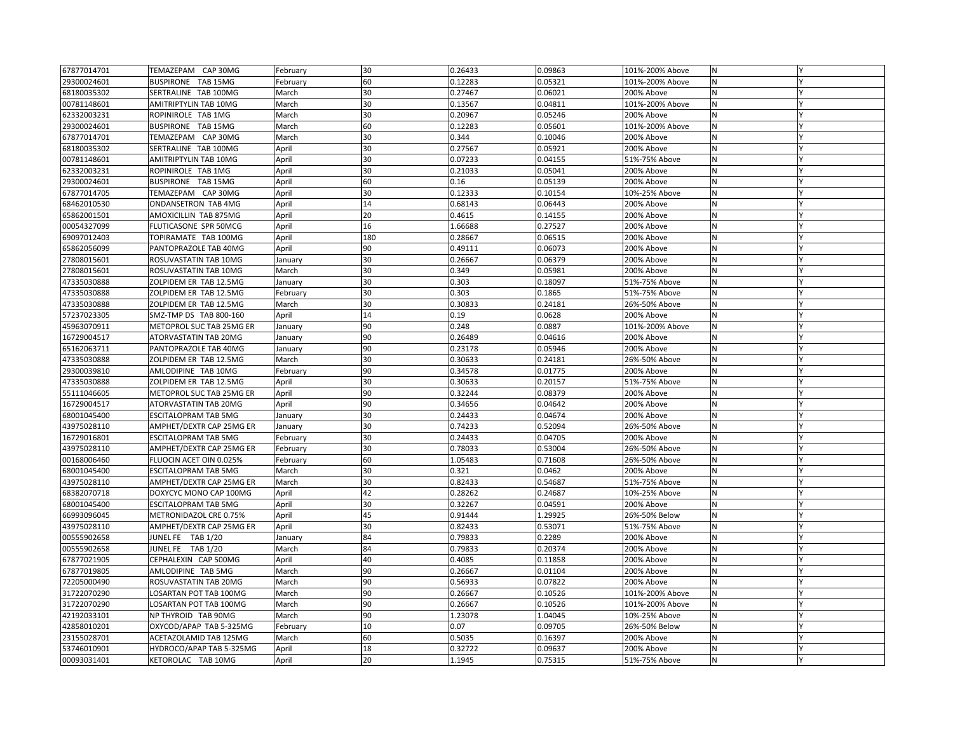| 67877014701 | TEMAZEPAM CAP 30MG            | February | 30  | 0.26433 | 0.09863 | 101%-200% Above | <b>N</b> |  |
|-------------|-------------------------------|----------|-----|---------|---------|-----------------|----------|--|
| 29300024601 | BUSPIRONE TAB 15MG            | February | 60  | 0.12283 | 0.05321 | 101%-200% Above | N        |  |
| 68180035302 | SERTRALINE TAB 100MG          | March    | 30  | 0.27467 | 0.06021 | 200% Above      | N        |  |
| 00781148601 | <b>AMITRIPTYLIN TAB 10MG</b>  | March    | 30  | 0.13567 | 0.04811 | 101%-200% Above |          |  |
| 62332003231 | ROPINIROLE TAB 1MG            | March    | 30  | 0.20967 | 0.05246 | 200% Above      | N        |  |
| 29300024601 | BUSPIRONE TAB 15MG            | March    | 60  | 0.12283 | 0.05601 | 101%-200% Above |          |  |
| 67877014701 | TEMAZEPAM CAP 30MG            | March    | 30  | 0.344   | 0.10046 | 200% Above      | N        |  |
| 68180035302 | SERTRALINE TAB 100MG          | April    | 30  | 0.27567 | 0.05921 | 200% Above      | N        |  |
| 00781148601 | AMITRIPTYLIN TAB 10MG         | April    | 30  | 0.07233 | 0.04155 | 51%-75% Above   | N        |  |
| 62332003231 | ROPINIROLE TAB 1MG            | April    | 30  | 0.21033 | 0.05041 | 200% Above      | N        |  |
| 29300024601 | BUSPIRONE TAB 15MG            | April    | 60  | 0.16    | 0.05139 | 200% Above      | N        |  |
| 67877014705 | TEMAZEPAM CAP 30MG            | April    | 30  | 0.12333 | 0.10154 | 10%-25% Above   | N        |  |
| 68462010530 | <b>ONDANSETRON TAB 4MG</b>    | April    | 14  | 0.68143 | 0.06443 | 200% Above      | N        |  |
| 65862001501 | AMOXICILLIN TAB 875MG         | April    | 20  | 0.4615  | 0.14155 | 200% Above      | N        |  |
| 00054327099 | FLUTICASONE SPR 50MCG         | April    | 16  | 1.66688 | 0.27527 | 200% Above      | N        |  |
| 69097012403 | TOPIRAMATE TAB 100MG          | April    | 180 | 0.28667 | 0.06515 | 200% Above      | N        |  |
| 65862056099 | PANTOPRAZOLE TAB 40MG         | April    | 90  | 0.49111 | 0.06073 | 200% Above      | N        |  |
| 27808015601 | ROSUVASTATIN TAB 10MG         | January  | 30  | 0.26667 | 0.06379 | 200% Above      | N        |  |
| 27808015601 | ROSUVASTATIN TAB 10MG         | March    | 30  | 0.349   | 0.05981 | 200% Above      | N        |  |
| 47335030888 | ZOLPIDEM ER TAB 12.5MG        | January  | 30  | 0.303   | 0.18097 | 51%-75% Above   | N        |  |
| 47335030888 | ZOLPIDEM ER TAB 12.5MG        | February | 30  | 0.303   | 0.1865  | 51%-75% Above   | N        |  |
| 47335030888 | ZOLPIDEM ER TAB 12.5MG        | March    | 30  | 0.30833 | 0.24181 | 26%-50% Above   | N        |  |
| 57237023305 | SMZ-TMP DS TAB 800-160        | April    | 14  | 0.19    | 0.0628  | 200% Above      | N        |  |
| 45963070911 | METOPROL SUC TAB 25MG ER      | January  | 90  | 0.248   | 0.0887  | 101%-200% Above | N        |  |
| 16729004517 | ATORVASTATIN TAB 20MG         | January  | 90  | 0.26489 | 0.04616 | 200% Above      | N        |  |
| 65162063711 | PANTOPRAZOLE TAB 40MG         | January  | 90  | 0.23178 | 0.05946 | 200% Above      | N        |  |
| 47335030888 | ZOLPIDEM ER TAB 12.5MG        | March    | 30  | 0.30633 | 0.24181 | 26%-50% Above   | N        |  |
| 29300039810 | AMLODIPINE TAB 10MG           | February | 90  | 0.34578 | 0.01775 | 200% Above      |          |  |
| 47335030888 | ZOLPIDEM ER TAB 12.5MG        | April    | 30  | 0.30633 | 0.20157 | 51%-75% Above   | N        |  |
| 55111046605 | METOPROL SUC TAB 25MG ER      | April    | 90  | 0.32244 | 0.08379 | 200% Above      | N        |  |
| 16729004517 | ATORVASTATIN TAB 20MG         | April    | 90  | 0.34656 | 0.04642 | 200% Above      | N        |  |
| 68001045400 | <b>ESCITALOPRAM TAB 5MG</b>   | January  | 30  | 0.24433 | 0.04674 | 200% Above      | N        |  |
| 43975028110 | AMPHET/DEXTR CAP 25MG ER      | January  | 30  | 0.74233 | 0.52094 | 26%-50% Above   | N        |  |
| 16729016801 | <b>ESCITALOPRAM TAB 5MG</b>   | February | 30  | 0.24433 | 0.04705 | 200% Above      | N        |  |
| 43975028110 | AMPHET/DEXTR CAP 25MG ER      | February | 30  | 0.78033 | 0.53004 | 26%-50% Above   | N        |  |
| 00168006460 | FLUOCIN ACET OIN 0.025%       | February | 60  | 1.05483 | 0.71608 | 26%-50% Above   | N        |  |
| 68001045400 | <b>ESCITALOPRAM TAB 5MG</b>   | March    | 30  | 0.321   | 0.0462  | 200% Above      | N        |  |
| 43975028110 | AMPHET/DEXTR CAP 25MG ER      | March    | 30  | 0.82433 | 0.54687 | 51%-75% Above   | N        |  |
| 68382070718 | DOXYCYC MONO CAP 100MG        | April    | 42  | 0.28262 | 0.24687 | 10%-25% Above   | N        |  |
| 68001045400 | <b>ESCITALOPRAM TAB 5MG</b>   | April    | 30  | 0.32267 | 0.04591 | 200% Above      | N        |  |
| 66993096045 | METRONIDAZOL CRE 0.75%        | April    | 45  | 0.91444 | 1.29925 | 26%-50% Below   | N        |  |
| 43975028110 | AMPHET/DEXTR CAP 25MG ER      | April    | 30  | 0.82433 | 0.53071 | 51%-75% Above   | N        |  |
| 00555902658 | JUNEL FE TAB 1/20             | January  | 84  | 0.79833 | 0.2289  | 200% Above      | N        |  |
| 00555902658 | JUNEL FE<br>TAB 1/20          | March    | 84  | 0.79833 | 0.20374 | 200% Above      | N        |  |
| 67877021905 | CEPHALEXIN CAP 500MG          | April    | 40  | 0.4085  | 0.11858 | 200% Above      | N        |  |
| 67877019805 | AMLODIPINE TAB 5MG            | March    | 90  | 0.26667 | 0.01104 | 200% Above      |          |  |
| 72205000490 | ROSUVASTATIN TAB 20MG         | March    | 90  | 0.56933 | 0.07822 | 200% Above      | N        |  |
| 31722070290 | <b>LOSARTAN POT TAB 100MG</b> | March    | 90  | 0.26667 | 0.10526 | 101%-200% Above | N        |  |
| 31722070290 | LOSARTAN POT TAB 100MG        | March    | 90  | 0.26667 | 0.10526 | 101%-200% Above | N        |  |
| 42192033101 | NP THYROID TAB 90MG           | March    | 90  | 1.23078 | 1.04045 | 10%-25% Above   | N        |  |
| 42858010201 | OXYCOD/APAP TAB 5-325MG       | February | 10  | 0.07    | 0.09705 | 26%-50% Below   | N        |  |
| 23155028701 | ACETAZOLAMID TAB 125MG        | March    | 60  | 0.5035  | 0.16397 | 200% Above      | N        |  |
| 53746010901 | HYDROCO/APAP TAB 5-325MG      | April    | 18  | 0.32722 | 0.09637 | 200% Above      | N        |  |
| 00093031401 | KETOROLAC TAB 10MG            | April    | 20  | 1.1945  | 0.75315 | 51%-75% Above   | N        |  |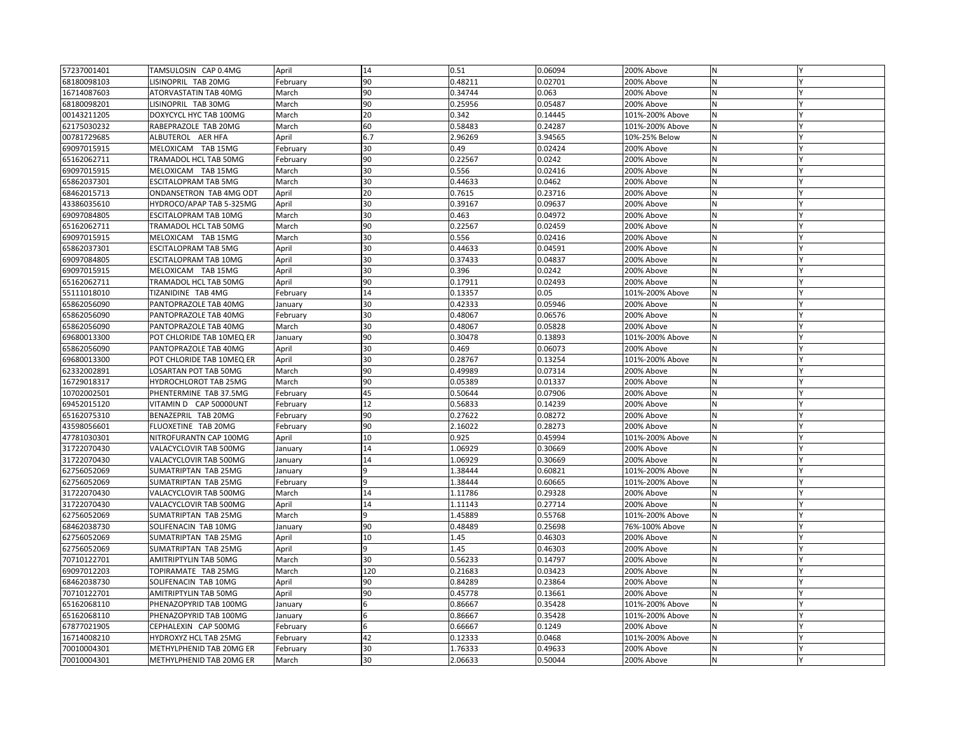| 57237001401 | TAMSULOSIN CAP 0.4MG         | April    | 14  | 0.51    | 0.06094 | 200% Above      | N |  |
|-------------|------------------------------|----------|-----|---------|---------|-----------------|---|--|
| 68180098103 | LISINOPRIL TAB 20MG          | February | 90  | 0.48211 | 0.02701 | 200% Above      | N |  |
| 16714087603 | ATORVASTATIN TAB 40MG        | March    | 90  | 0.34744 | 0.063   | 200% Above      | N |  |
| 68180098201 | LISINOPRIL TAB 30MG          | March    | 90  | 0.25956 | 0.05487 | 200% Above      |   |  |
| 00143211205 | DOXYCYCL HYC TAB 100MG       | March    | 20  | 0.342   | 0.14445 | 101%-200% Above | N |  |
| 62175030232 | RABEPRAZOLE TAB 20MG         | March    | 60  | 0.58483 | 0.24287 | 101%-200% Above | N |  |
| 00781729685 | ALBUTEROL AER HFA            | April    | 6.7 | 2.96269 | 3.94565 | 10%-25% Below   | N |  |
| 69097015915 | MELOXICAM TAB 15MG           | February | 30  | 0.49    | 0.02424 | 200% Above      | Ń |  |
| 65162062711 | TRAMADOL HCL TAB 50MG        | February | 90  | 0.22567 | 0.0242  | 200% Above      | N |  |
| 69097015915 | MELOXICAM TAB 15MG           | March    | 30  | 0.556   | 0.02416 | 200% Above      | N |  |
| 65862037301 | <b>ESCITALOPRAM TAB 5MG</b>  | March    | 30  | 0.44633 | 0.0462  | 200% Above      | N |  |
| 68462015713 | ONDANSETRON TAB 4MG ODT      | April    | 20  | 0.7615  | 0.23716 | 200% Above      | N |  |
| 43386035610 | HYDROCO/APAP TAB 5-325MG     | April    | 30  | 0.39167 | 0.09637 | 200% Above      | N |  |
| 69097084805 | <b>ESCITALOPRAM TAB 10MG</b> | March    | 30  | 0.463   | 0.04972 | 200% Above      | N |  |
| 65162062711 | TRAMADOL HCL TAB 50MG        | March    | 90  | 0.22567 | 0.02459 | 200% Above      | N |  |
| 69097015915 | MELOXICAM TAB 15MG           | March    | 30  | 0.556   | 0.02416 | 200% Above      |   |  |
| 65862037301 | <b>ESCITALOPRAM TAB 5MG</b>  | April    | 30  | 0.44633 | 0.04591 | 200% Above      | N |  |
| 69097084805 | <b>ESCITALOPRAM TAB 10MG</b> | April    | 30  | 0.37433 | 0.04837 | 200% Above      | N |  |
| 69097015915 | MELOXICAM TAB 15MG           | April    | 30  | 0.396   | 0.0242  | 200% Above      | N |  |
| 65162062711 | TRAMADOL HCL TAB 50MG        | April    | 90  | 0.17911 | 0.02493 | 200% Above      |   |  |
| 55111018010 | TIZANIDINE TAB 4MG           | February | 14  | 0.13357 | 0.05    | 101%-200% Above |   |  |
| 65862056090 | PANTOPRAZOLE TAB 40MG        | January  | 30  | 0.42333 | 0.05946 | 200% Above      | N |  |
| 65862056090 | PANTOPRAZOLE TAB 40MG        | February | 30  | 0.48067 | 0.06576 | 200% Above      | N |  |
| 65862056090 | PANTOPRAZOLE TAB 40MG        | March    | 30  | 0.48067 | 0.05828 | 200% Above      | N |  |
| 69680013300 | POT CHLORIDE TAB 10MEQ ER    | January  | 90  | 0.30478 | 0.13893 | 101%-200% Above |   |  |
| 65862056090 | PANTOPRAZOLE TAB 40MG        | April    | 30  | 0.469   | 0.06073 | 200% Above      | N |  |
| 69680013300 | POT CHLORIDE TAB 10MEQ ER    | April    | 30  | 0.28767 | 0.13254 | 101%-200% Above | N |  |
| 62332002891 | LOSARTAN POT TAB 50MG        | March    | 90  | 0.49989 | 0.07314 | 200% Above      | N |  |
| 16729018317 | HYDROCHLOROT TAB 25MG        | March    | 90  | 0.05389 | 0.01337 | 200% Above      |   |  |
| 10702002501 | PHENTERMINE TAB 37.5MG       | February | 45  | 0.50644 | 0.07906 | 200% Above      | N |  |
| 69452015120 | VITAMIN D CAP 50000UNT       | February | 12  | 0.56833 | 0.14239 | 200% Above      | N |  |
| 65162075310 | BENAZEPRIL TAB 20MG          | February | 90  | 0.27622 | 0.08272 | 200% Above      | N |  |
| 43598056601 | FLUOXETINE TAB 20MG          | February | 90  | 2.16022 | 0.28273 | 200% Above      |   |  |
| 47781030301 | NITROFURANTN CAP 100MG       | April    | 10  | 0.925   | 0.45994 | 101%-200% Above | N |  |
| 31722070430 | VALACYCLOVIR TAB 500MG       | January  | 14  | 1.06929 | 0.30669 | 200% Above      | N |  |
| 31722070430 | VALACYCLOVIR TAB 500MG       | January  | 14  | 1.06929 | 0.30669 | 200% Above      | N |  |
| 62756052069 | SUMATRIPTAN TAB 25MG         | January  |     | 1.38444 | 0.60821 | 101%-200% Above | N |  |
| 62756052069 | SUMATRIPTAN TAB 25MG         | February | Q   | 1.38444 | 0.60665 | 101%-200% Above | N |  |
| 31722070430 | VALACYCLOVIR TAB 500MG       | March    | 14  | 1.11786 | 0.29328 | 200% Above      | N |  |
| 31722070430 | VALACYCLOVIR TAB 500MG       | April    | 14  | 1.11143 | 0.27714 | 200% Above      | N |  |
| 62756052069 | SUMATRIPTAN TAB 25MG         | March    |     | 1.45889 | 0.55768 | 101%-200% Above | N |  |
| 68462038730 | SOLIFENACIN TAB 10MG         | January  | 90  | 0.48489 | 0.25698 | 76%-100% Above  | N |  |
| 62756052069 | SUMATRIPTAN TAB 25MG         | April    | 10  | 1.45    | 0.46303 | 200% Above      | N |  |
| 62756052069 | SUMATRIPTAN TAB 25MG         | April    |     | 1.45    | 0.46303 | 200% Above      | N |  |
| 70710122701 | <b>AMITRIPTYLIN TAB 50MG</b> | March    | 30  | 0.56233 | 0.14797 | 200% Above      |   |  |
| 69097012203 | TOPIRAMATE TAB 25MG          | March    | 120 | 0.21683 | 0.03423 | 200% Above      |   |  |
| 68462038730 | SOLIFENACIN TAB 10MG         | April    | 90  | 0.84289 | 0.23864 | 200% Above      | N |  |
| 70710122701 | AMITRIPTYLIN TAB 50MG        | April    | 90  | 0.45778 | 0.13661 | 200% Above      | N |  |
| 65162068110 | PHENAZOPYRID TAB 100MG       | January  |     | 0.86667 | 0.35428 | 101%-200% Above | N |  |
| 65162068110 | PHENAZOPYRID TAB 100MG       | January  |     | 0.86667 | 0.35428 | 101%-200% Above |   |  |
| 67877021905 | CEPHALEXIN CAP 500MG         | February | 6   | 0.66667 | 0.1249  | 200% Above      | N |  |
| 16714008210 | HYDROXYZ HCL TAB 25MG        | February | 42  | 0.12333 | 0.0468  | 101%-200% Above | N |  |
| 70010004301 | METHYLPHENID TAB 20MG ER     | February | 30  | 1.76333 | 0.49633 | 200% Above      | N |  |
| 70010004301 | METHYLPHENID TAB 20MG ER     | March    | 30  | 2.06633 | 0.50044 | 200% Above      | N |  |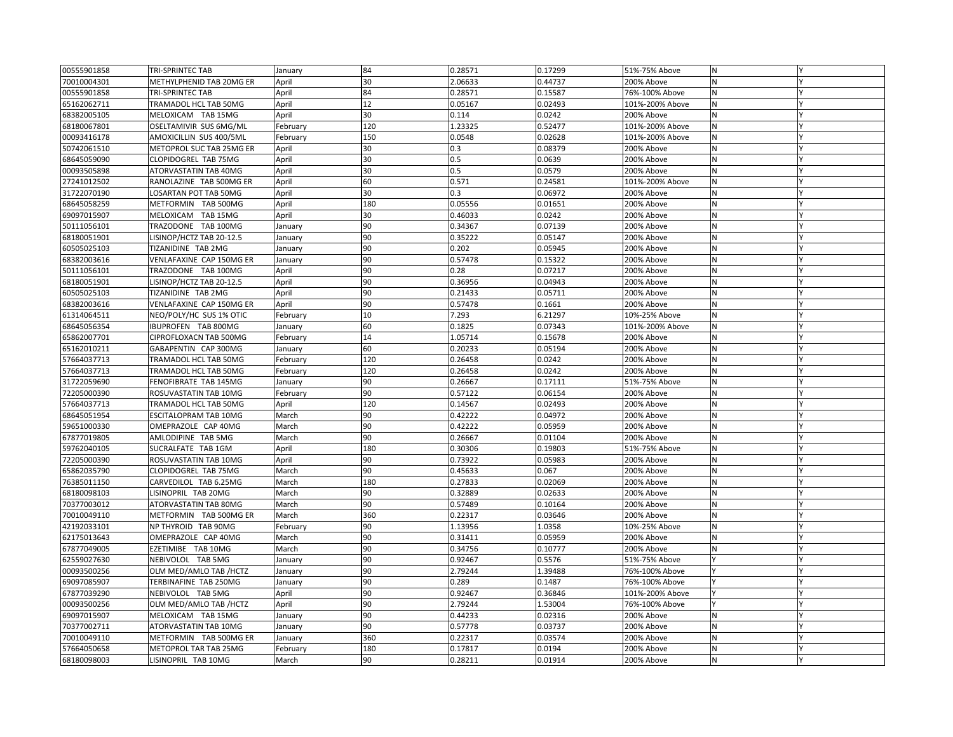| 00555901858 | <b>TRI-SPRINTEC TAB</b>      | January  | 84  | 0.28571 | 0.17299 | 51%-75% Above   | N |  |
|-------------|------------------------------|----------|-----|---------|---------|-----------------|---|--|
| 70010004301 | METHYLPHENID TAB 20MG ER     | April    | 30  | 2.06633 | 0.44737 | 200% Above      | N |  |
| 00555901858 | <b>TRI-SPRINTEC TAB</b>      | April    | 84  | 0.28571 | 0.15587 | 76%-100% Above  | N |  |
| 65162062711 | TRAMADOL HCL TAB 50MG        | April    | 12  | 0.05167 | 0.02493 | 101%-200% Above | N |  |
| 68382005105 | MELOXICAM TAB 15MG           | April    | 30  | 0.114   | 0.0242  | 200% Above      | N |  |
| 68180067801 | OSELTAMIVIR SUS 6MG/ML       | February | 120 | 1.23325 | 0.52477 | 101%-200% Above | N |  |
| 00093416178 | AMOXICILLIN SUS 400/5ML      | February | 150 | 0.0548  | 0.02628 | 101%-200% Above | N |  |
| 50742061510 | METOPROL SUC TAB 25MG ER     | April    | 30  | 0.3     | 0.08379 | 200% Above      | N |  |
| 68645059090 | CLOPIDOGREL TAB 75MG         | April    | 30  | 0.5     | 0.0639  | 200% Above      | N |  |
| 00093505898 | <b>ATORVASTATIN TAB 40MG</b> | April    | 30  | 0.5     | 0.0579  | 200% Above      | N |  |
| 27241012502 | RANOLAZINE TAB 500MG ER      | April    | 60  | 0.571   | 0.24581 | 101%-200% Above | N |  |
| 31722070190 | <b>LOSARTAN POT TAB 50MG</b> | April    | 30  | 0.3     | 0.06972 | 200% Above      | N |  |
| 68645058259 | METFORMIN TAB 500MG          | April    | 180 | 0.05556 | 0.01651 | 200% Above      | N |  |
| 69097015907 | MELOXICAM<br>TAB 15MG        | April    | 30  | 0.46033 | 0.0242  | 200% Above      | N |  |
| 50111056101 | TRAZODONE TAB 100MG          | January  | 90  | 0.34367 | 0.07139 | 200% Above      | N |  |
| 68180051901 | LISINOP/HCTZ TAB 20-12.5     | January  | 90  | 0.35222 | 0.05147 | 200% Above      | N |  |
| 60505025103 | TIZANIDINE TAB 2MG           | January  | 90  | 0.202   | 0.05945 | 200% Above      | N |  |
| 68382003616 | VENLAFAXINE CAP 150MG ER     | January  | 90  | 0.57478 | 0.15322 | 200% Above      | N |  |
| 50111056101 | TRAZODONE TAB 100MG          | April    | 90  | 0.28    | 0.07217 | 200% Above      | N |  |
| 68180051901 | LISINOP/HCTZ TAB 20-12.5     | April    | 90  | 0.36956 | 0.04943 | 200% Above      |   |  |
| 60505025103 | TIZANIDINE TAB 2MG           | April    | 90  | 0.21433 | 0.05711 | 200% Above      |   |  |
| 68382003616 | VENLAFAXINE CAP 150MG ER     | April    | 90  | 0.57478 | 0.1661  | 200% Above      | N |  |
| 61314064511 | NEO/POLY/HC SUS 1% OTIC      | February | 10  | 7.293   | 6.21297 | 10%-25% Above   | N |  |
| 68645056354 | IBUPROFEN TAB 800MG          | January  | 60  | 0.1825  | 0.07343 | 101%-200% Above | N |  |
| 65862007701 | CIPROFLOXACN TAB 500MG       | February | 14  | 1.05714 | 0.15678 | 200% Above      |   |  |
| 65162010211 | GABAPENTIN CAP 300MG         | January  | 60  | 0.20233 | 0.05194 | 200% Above      | N |  |
| 57664037713 | TRAMADOL HCL TAB 50MG        | February | 120 | 0.26458 | 0.0242  | 200% Above      | N |  |
| 57664037713 | TRAMADOL HCL TAB 50MG        | February | 120 | 0.26458 | 0.0242  | 200% Above      | N |  |
| 31722059690 | FENOFIBRATE TAB 145MG        | January  | 90  | 0.26667 | 0.17111 | 51%-75% Above   | N |  |
| 72205000390 | ROSUVASTATIN TAB 10MG        | February | 90  | 0.57122 | 0.06154 | 200% Above      | N |  |
| 57664037713 | TRAMADOL HCL TAB 50MG        | April    | 120 | 0.14567 | 0.02493 | 200% Above      | N |  |
| 68645051954 | <b>ESCITALOPRAM TAB 10MG</b> | March    | 90  | 0.42222 | 0.04972 | 200% Above      |   |  |
| 59651000330 | OMEPRAZOLE CAP 40MG          | March    | 90  | 0.42222 | 0.05959 | 200% Above      | N |  |
| 67877019805 | AMLODIPINE TAB 5MG           | March    | 90  | 0.26667 | 0.01104 | 200% Above      | N |  |
| 59762040105 | SUCRALFATE TAB 1GM           | April    | 180 | 0.30306 | 0.19803 | 51%-75% Above   | N |  |
| 72205000390 | ROSUVASTATIN TAB 10MG        | April    | 90  | 0.73922 | 0.05983 | 200% Above      | N |  |
| 65862035790 | CLOPIDOGREL TAB 75MG         | March    | 90  | 0.45633 | 0.067   | 200% Above      | N |  |
| 76385011150 | CARVEDILOL TAB 6.25MG        | March    | 180 | 0.27833 | 0.02069 | 200% Above      | N |  |
| 68180098103 | LISINOPRIL TAB 20MG          | March    | 90  | 0.32889 | 0.02633 | 200% Above      | N |  |
| 70377003012 | ATORVASTATIN TAB 80MG        | March    | 90  | 0.57489 | 0.10164 | 200% Above      |   |  |
| 70010049110 | METFORMIN TAB 500MG ER       | March    | 360 | 0.22317 | 0.03646 | 200% Above      | N |  |
| 42192033101 | NP THYROID TAB 90MG          | February | 90  | 1.13956 | 1.0358  | 10%-25% Above   | N |  |
| 62175013643 | OMEPRAZOLE CAP 40MG          | March    | 90  | 0.31411 | 0.05959 | 200% Above      | N |  |
| 67877049005 | EZETIMIBE TAB 10MG           | March    | 90  | 0.34756 | 0.10777 | 200% Above      | N |  |
| 62559027630 | NEBIVOLOL TAB 5MG            | January  | 90  | 0.92467 | 0.5576  | 51%-75% Above   |   |  |
| 00093500256 | OLM MED/AMLO TAB /HCTZ       | January  | 90  | 2.79244 | 1.39488 | 76%-100% Above  |   |  |
| 69097085907 | TERBINAFINE TAB 250MG        | January  | 90  | 0.289   | 0.1487  | 76%-100% Above  |   |  |
| 67877039290 | NEBIVOLOL TAB 5MG            | April    | 90  | 0.92467 | 0.36846 | 101%-200% Above |   |  |
| 00093500256 | OLM MED/AMLO TAB /HCTZ       | April    | 90  | 2.79244 | 1.53004 | 76%-100% Above  |   |  |
| 69097015907 | MELOXICAM TAB 15MG           | January  | 90  | 0.44233 | 0.02316 | 200% Above      |   |  |
| 70377002711 | ATORVASTATIN TAB 10MG        | January  | 90  | 0.57778 | 0.03737 | 200% Above      | N |  |
| 70010049110 | METFORMIN TAB 500MG ER       | January  | 360 | 0.22317 | 0.03574 | 200% Above      | N |  |
| 57664050658 | METOPROL TAR TAB 25MG        | February | 180 | 0.17817 | 0.0194  | 200% Above      | N |  |
| 68180098003 | LISINOPRIL TAB 10MG          | March    | 90  | 0.28211 | 0.01914 | 200% Above      | N |  |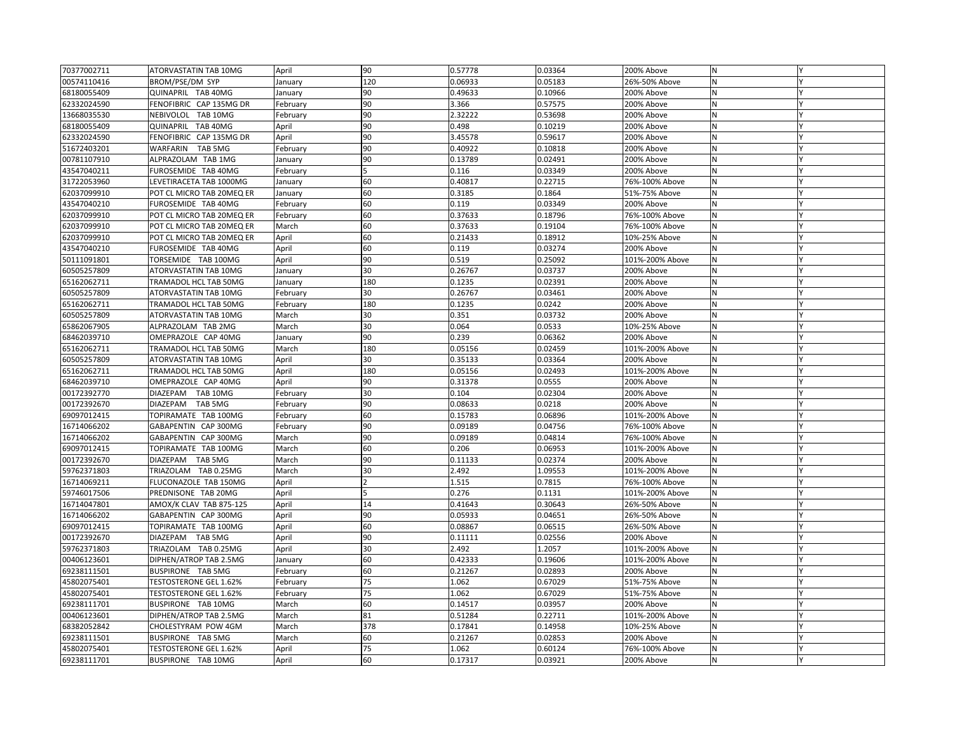| 70377002711 | ATORVASTATIN TAB 10MG         | April    | 90  | 0.57778 | 0.03364 | 200% Above      | N |  |
|-------------|-------------------------------|----------|-----|---------|---------|-----------------|---|--|
| 00574110416 | BROM/PSE/DM_SYP               | January  | 120 | 0.06933 | 0.05183 | 26%-50% Above   | N |  |
| 68180055409 | QUINAPRIL TAB 40MG            | January  | 90  | 0.49633 | 0.10966 | 200% Above      | N |  |
| 62332024590 | FENOFIBRIC CAP 135MG DR       | February | 90  | 3.366   | 0.57575 | 200% Above      | N |  |
| 13668035530 | NEBIVOLOL<br>TAB 10MG         | February | 90  | 2.32222 | 0.53698 | 200% Above      | N |  |
| 68180055409 | QUINAPRIL TAB 40MG            | April    | 90  | 0.498   | 0.10219 | 200% Above      | N |  |
| 62332024590 | FENOFIBRIC CAP 135MG DR       | April    | 90  | 3.45578 | 0.59617 | 200% Above      | N |  |
| 51672403201 | WARFARIN<br>TAB 5MG           | February | 90  | 0.40922 | 0.10818 | 200% Above      | N |  |
| 00781107910 | ALPRAZOLAM TAB 1MG            | January  | 90  | 0.13789 | 0.02491 | 200% Above      | N |  |
| 43547040211 | FUROSEMIDE TAB 40MG           | February |     | 0.116   | 0.03349 | 200% Above      | N |  |
| 31722053960 | LEVETIRACETA TAB 1000MG       | January  | 60  | 0.40817 | 0.22715 | 76%-100% Above  | N |  |
| 62037099910 | POT CL MICRO TAB 20MEQ ER     | January  | 60  | 0.3185  | 0.1864  | 51%-75% Above   | N |  |
| 43547040210 | FUROSEMIDE TAB 40MG           | February | 60  | 0.119   | 0.03349 | 200% Above      | Ń |  |
| 62037099910 | POT CL MICRO TAB 20MEQ ER     | February | 60  | 0.37633 | 0.18796 | 76%-100% Above  | N |  |
| 62037099910 | POT CL MICRO TAB 20MEQ ER     | March    | 60  | 0.37633 | 0.19104 | 76%-100% Above  | N |  |
| 62037099910 | POT CL MICRO TAB 20MEQ ER     | April    | 60  | 0.21433 | 0.18912 | 10%-25% Above   | N |  |
| 43547040210 | FUROSEMIDE TAB 40MG           | April    | 60  | 0.119   | 0.03274 | 200% Above      |   |  |
| 50111091801 | TORSEMIDE TAB 100MG           | April    | 90  | 0.519   | 0.25092 | 101%-200% Above | N |  |
| 60505257809 | ATORVASTATIN TAB 10MG         | January  | 30  | 0.26767 | 0.03737 | 200% Above      | N |  |
| 65162062711 | TRAMADOL HCL TAB 50MG         | January  | 180 | 0.1235  | 0.02391 | 200% Above      | N |  |
| 60505257809 | ATORVASTATIN TAB 10MG         | February | 30  | 0.26767 | 0.03461 | 200% Above      | N |  |
| 65162062711 | TRAMADOL HCL TAB 50MG         | February | 180 | 0.1235  | 0.0242  | 200% Above      | N |  |
| 60505257809 | ATORVASTATIN TAB 10MG         | March    | 30  | 0.351   | 0.03732 | 200% Above      | N |  |
| 65862067905 | ALPRAZOLAM TAB 2MG            | March    | 30  | 0.064   | 0.0533  | 10%-25% Above   | N |  |
| 68462039710 | OMEPRAZOLE CAP 40MG           | January  | 90  | 0.239   | 0.06362 | 200% Above      | N |  |
| 65162062711 | TRAMADOL HCL TAB 50MG         | March    | 180 | 0.05156 | 0.02459 | 101%-200% Above | N |  |
| 60505257809 | ATORVASTATIN TAB 10MG         | April    | 30  | 0.35133 | 0.03364 | 200% Above      | N |  |
| 65162062711 | TRAMADOL HCL TAB 50MG         | April    | 180 | 0.05156 | 0.02493 | 101%-200% Above | N |  |
| 68462039710 | OMEPRAZOLE CAP 40MG           | April    | 90  | 0.31378 | 0.0555  | 200% Above      | N |  |
| 00172392770 | <b>DIAZEPAM</b><br>TAB 10MG   | February | 30  | 0.104   | 0.02304 | 200% Above      | N |  |
| 00172392670 | <b>DIAZEPAM</b><br>TAB 5MG    | February | 90  | 0.08633 | 0.0218  | 200% Above      | N |  |
| 69097012415 | TOPIRAMATE TAB 100MG          | February | 60  | 0.15783 | 0.06896 | 101%-200% Above | N |  |
| 16714066202 | GABAPENTIN CAP 300MG          | February | 90  | 0.09189 | 0.04756 | 76%-100% Above  | N |  |
| 16714066202 | GABAPENTIN CAP 300MG          | March    | 90  | 0.09189 | 0.04814 | 76%-100% Above  | N |  |
| 69097012415 | TOPIRAMATE TAB 100MG          | March    | 60  | 0.206   | 0.06953 | 101%-200% Above | N |  |
| 00172392670 | DIAZEPAM<br>TAB 5MG           | March    | 90  | 0.11133 | 0.02374 | 200% Above      | N |  |
| 59762371803 | TRIAZOLAM TAB 0.25MG          | March    | 30  | 2.492   | 1.09553 | 101%-200% Above | N |  |
| 16714069211 | FLUCONAZOLE TAB 150MG         | April    |     | 1.515   | 0.7815  | 76%-100% Above  |   |  |
| 59746017506 | PREDNISONE TAB 20MG           | April    |     | 0.276   | 0.1131  | 101%-200% Above | N |  |
| 16714047801 | AMOX/K CLAV TAB 875-125       | April    | 14  | 0.41643 | 0.30643 | 26%-50% Above   | N |  |
| 16714066202 | GABAPENTIN CAP 300MG          | April    | 90  | 0.05933 | 0.04651 | 26%-50% Above   | N |  |
| 69097012415 | TOPIRAMATE TAB 100MG          | April    | 60  | 0.08867 | 0.06515 | 26%-50% Above   | N |  |
| 00172392670 | <b>DIAZEPAM</b><br>TAB 5MG    | April    | 90  | 0.11111 | 0.02556 | 200% Above      | N |  |
| 59762371803 | TRIAZOLAM TAB 0.25MG          | April    | 30  | 2.492   | 1.2057  | 101%-200% Above | N |  |
| 00406123601 | DIPHEN/ATROP TAB 2.5MG        | January  | 60  | 0.42333 | 0.19606 | 101%-200% Above | N |  |
| 69238111501 | BUSPIRONE TAB 5MG             | February | 60  | 0.21267 | 0.02893 | 200% Above      | N |  |
| 45802075401 | TESTOSTERONE GEL 1.62%        | February | 75  | 1.062   | 0.67029 | 51%-75% Above   | N |  |
| 45802075401 | <b>TESTOSTERONE GEL 1.62%</b> | February | 75  | 1.062   | 0.67029 | 51%-75% Above   | N |  |
| 69238111701 | BUSPIRONE TAB 10MG            | March    | 60  | 0.14517 | 0.03957 | 200% Above      | Ν |  |
| 00406123601 | DIPHEN/ATROP TAB 2.5MG        | March    | 81  | 0.51284 | 0.22711 | 101%-200% Above | N |  |
| 68382052842 | CHOLESTYRAM POW 4GM           | March    | 378 | 0.17841 | 0.14958 | 10%-25% Above   |   |  |
| 69238111501 | BUSPIRONE TAB 5MG             | March    | 60  | 0.21267 | 0.02853 | 200% Above      | N |  |
| 45802075401 | TESTOSTERONE GEL 1.62%        | April    | 75  | 1.062   | 0.60124 | 76%-100% Above  | N |  |
| 69238111701 | BUSPIRONE TAB 10MG            | April    | 60  | 0.17317 | 0.03921 | 200% Above      | И |  |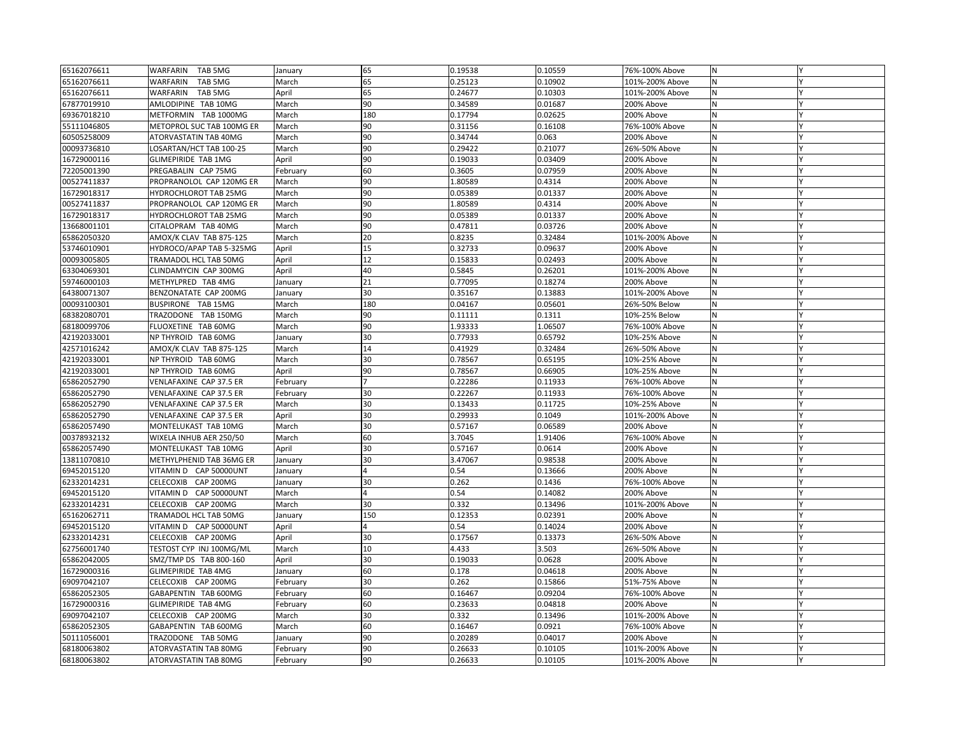| 65162076611 | WARFARIN TAB 5MG                 | January  | 65  | 0.19538 | 0.10559 | 76%-100% Above  | IN. |  |
|-------------|----------------------------------|----------|-----|---------|---------|-----------------|-----|--|
| 65162076611 | WARFARIN<br>TAB 5MG              | March    | 65  | 0.25123 | 0.10902 | 101%-200% Above | N   |  |
| 65162076611 | <b>WARFARIN</b><br>TAB 5MG       | April    | 65  | 0.24677 | 0.10303 | 101%-200% Above | N   |  |
| 67877019910 | AMLODIPINE TAB 10MG              | March    | 90  | 0.34589 | 0.01687 | 200% Above      |     |  |
| 69367018210 | <b>TAB 1000MG</b><br>METFORMIN   | March    | 180 | 0.17794 | 0.02625 | 200% Above      | N   |  |
| 55111046805 | METOPROL SUC TAB 100MG ER        | March    | 90  | 0.31156 | 0.16108 | 76%-100% Above  | N   |  |
| 60505258009 | ATORVASTATIN TAB 40MG            | March    | 90  | 0.34744 | 0.063   | 200% Above      | N   |  |
| 00093736810 | LOSARTAN/HCT TAB 100-25          | March    | 90  | 0.29422 | 0.21077 | 26%-50% Above   |     |  |
| 16729000116 | GLIMEPIRIDE TAB 1MG              | April    | 90  | 0.19033 | 0.03409 | 200% Above      | N   |  |
| 72205001390 | PREGABALIN CAP 75MG              | February | 60  | 0.3605  | 0.07959 | 200% Above      | N   |  |
| 00527411837 | PROPRANOLOL CAP 120MG ER         | March    | 90  | 1.80589 | 0.4314  | 200% Above      | N   |  |
| 16729018317 | HYDROCHLOROT TAB 25MG            | March    | 90  | 0.05389 | 0.01337 | 200% Above      | N   |  |
| 00527411837 | PROPRANOLOL CAP 120MG ER         | March    | 90  | 1.80589 | 0.4314  | 200% Above      | N   |  |
| 16729018317 | HYDROCHLOROT TAB 25MG            | March    | 90  | 0.05389 | 0.01337 | 200% Above      | N   |  |
| 13668001101 | CITALOPRAM TAB 40MG              | March    | 90  | 0.47811 | 0.03726 | 200% Above      | N   |  |
| 65862050320 | AMOX/K CLAV TAB 875-125          | March    | 20  | 0.8235  | 0.32484 | 101%-200% Above | N   |  |
| 53746010901 | HYDROCO/APAP TAB 5-325MG         | April    | 15  | 0.32733 | 0.09637 | 200% Above      | N   |  |
| 00093005805 | TRAMADOL HCL TAB 50MG            | April    | 12  | 0.15833 | 0.02493 | 200% Above      | N   |  |
| 63304069301 | CLINDAMYCIN CAP 300MG            | April    | 40  | 0.5845  | 0.26201 | 101%-200% Above | N   |  |
| 59746000103 | METHYLPRED TAB 4MG               | January  | 21  | 0.77095 | 0.18274 | 200% Above      |     |  |
| 64380071307 | BENZONATATE CAP 200MG            | January  | 30  | 0.35167 | 0.13883 | 101%-200% Above |     |  |
| 00093100301 | BUSPIRONE TAB 15MG               | March    | 180 | 0.04167 | 0.05601 | 26%-50% Below   | N   |  |
| 68382080701 | TRAZODONE TAB 150MG              | March    | 90  | 0.11111 | 0.1311  | 10%-25% Below   | N   |  |
| 68180099706 | FLUOXETINE TAB 60MG              | March    | 90  | 1.93333 | 1.06507 | 76%-100% Above  | N   |  |
| 42192033001 | NP THYROID TAB 60MG              | Januarv  | 30  | 0.77933 | 0.65792 | 10%-25% Above   |     |  |
| 42571016242 | AMOX/K CLAV TAB 875-125          | March    | 14  | 0.41929 | 0.32484 | 26%-50% Above   | N   |  |
| 42192033001 | NP THYROID TAB 60MG              | March    | 30  | 0.78567 | 0.65195 | 10%-25% Above   | N   |  |
| 42192033001 | NP THYROID TAB 60MG              | April    | 90  | 0.78567 | 0.66905 | 10%-25% Above   | N   |  |
| 65862052790 | VENLAFAXINE CAP 37.5 ER          | February |     | 0.22286 | 0.11933 | 76%-100% Above  | N   |  |
| 65862052790 | VENLAFAXINE CAP 37.5 ER          | February | 30  | 0.22267 | 0.11933 | 76%-100% Above  | N   |  |
| 65862052790 | VENLAFAXINE CAP 37.5 ER          | March    | 30  | 0.13433 | 0.11725 | 10%-25% Above   | N   |  |
| 65862052790 | VENLAFAXINE CAP 37.5 ER          | April    | 30  | 0.29933 | 0.1049  | 101%-200% Above | N   |  |
| 65862057490 | MONTELUKAST TAB 10MG             | March    | 30  | 0.57167 | 0.06589 | 200% Above      | N   |  |
| 00378932132 | WIXELA INHUB AER 250/50          | March    | 60  | 3.7045  | 1.91406 | 76%-100% Above  | N   |  |
| 65862057490 | MONTELUKAST TAB 10MG             | April    | 30  | 0.57167 | 0.0614  | 200% Above      | N   |  |
| 13811070810 | METHYLPHENID TAB 36MG ER         | January  | 30  | 3.47067 | 0.98538 | 200% Above      | N   |  |
| 69452015120 | VITAMIN D CAP 50000UNT           | January  |     | 0.54    | 0.13666 | 200% Above      | N   |  |
| 62332014231 | CELECOXIB CAP 200MG              | January  | 30  | 0.262   | 0.1436  | 76%-100% Above  | N   |  |
| 69452015120 | VITAMIN D<br><b>CAP 50000UNT</b> | March    |     | 0.54    | 0.14082 | 200% Above      | N   |  |
| 62332014231 | CELECOXIB<br>CAP 200MG           | March    | 30  | 0.332   | 0.13496 | 101%-200% Above | N   |  |
| 65162062711 | TRAMADOL HCL TAB 50MG            | January  | 150 | 0.12353 | 0.02391 | 200% Above      | N   |  |
| 69452015120 | VITAMIN D CAP 50000UNT           | April    |     | 0.54    | 0.14024 | 200% Above      | N   |  |
| 62332014231 | CELECOXIB CAP 200MG              | April    | 30  | 0.17567 | 0.13373 | 26%-50% Above   | N   |  |
| 62756001740 | TESTOST CYP INJ 100MG/ML         | March    | 10  | 4.433   | 3.503   | 26%-50% Above   | N   |  |
| 65862042005 | SMZ/TMP DS TAB 800-160           | April    | 30  | 0.19033 | 0.0628  | 200% Above      | N   |  |
| 16729000316 | <b>GLIMEPIRIDE TAB 4MG</b>       | January  | 60  | 0.178   | 0.04618 | 200% Above      |     |  |
| 69097042107 | CELECOXIB CAP 200MG              | February | 30  | 0.262   | 0.15866 | 51%-75% Above   | N   |  |
| 65862052305 | GABAPENTIN TAB 600MG             | February | 60  | 0.16467 | 0.09204 | 76%-100% Above  | N   |  |
| 16729000316 | GLIMEPIRIDE TAB 4MG              | February | 60  | 0.23633 | 0.04818 | 200% Above      | N   |  |
| 69097042107 | CELECOXIB CAP 200MG              | March    | 30  | 0.332   | 0.13496 | 101%-200% Above | N   |  |
| 65862052305 | GABAPENTIN TAB 600MG             | March    | 60  | 0.16467 | 0.0921  | 76%-100% Above  | N   |  |
| 50111056001 | TRAZODONE TAB 50MG               | January  | 90  | 0.20289 | 0.04017 | 200% Above      | N   |  |
| 68180063802 | ATORVASTATIN TAB 80MG            | February | 90  | 0.26633 | 0.10105 | 101%-200% Above | N   |  |
| 68180063802 | ATORVASTATIN TAB 80MG            | February | 90  | 0.26633 | 0.10105 | 101%-200% Above | N   |  |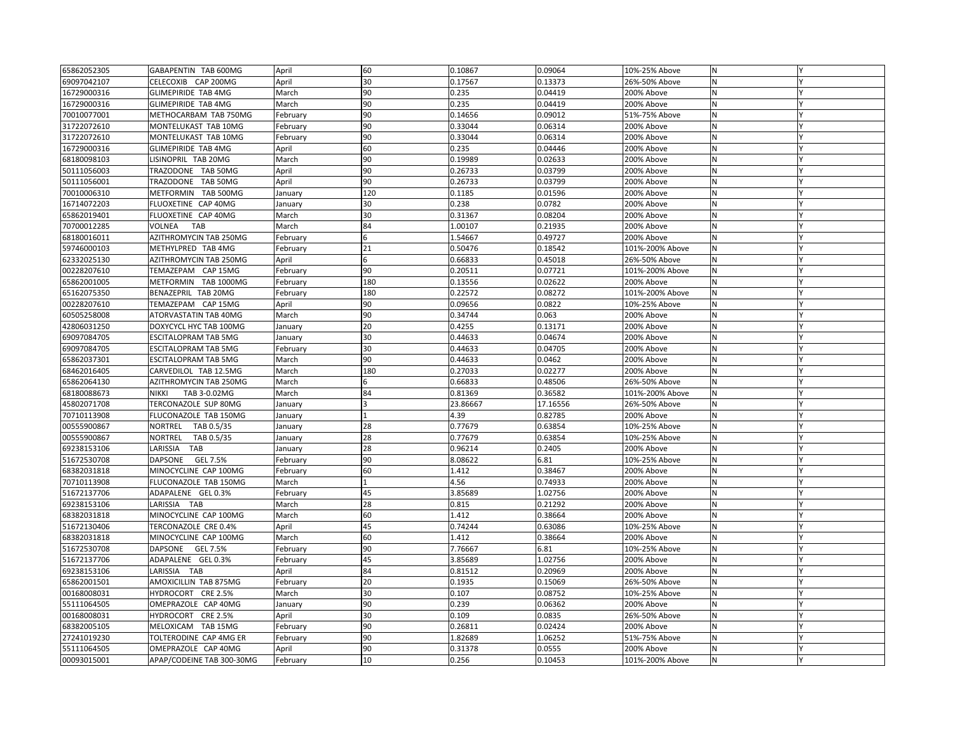| 65862052305 | GABAPENTIN TAB 600MG                  | April    | 60              | 0.10867  | 0.09064  | 10%-25% Above   | N |  |
|-------------|---------------------------------------|----------|-----------------|----------|----------|-----------------|---|--|
| 69097042107 | CELECOXIB CAP 200MG                   | April    | 30              | 0.17567  | 0.13373  | 26%-50% Above   | N |  |
| 16729000316 | <b>GLIMEPIRIDE TAB 4MG</b>            | March    | 90              | 0.235    | 0.04419  | 200% Above      | N |  |
| 16729000316 | <b>GLIMEPIRIDE TAB 4MG</b>            | March    | 90              | 0.235    | 0.04419  | 200% Above      | N |  |
| 70010077001 | METHOCARBAM TAB 750MG                 | February | 90              | 0.14656  | 0.09012  | 51%-75% Above   | N |  |
| 31722072610 | MONTELUKAST TAB 10MG                  | February | 90              | 0.33044  | 0.06314  | 200% Above      | N |  |
| 31722072610 | MONTELUKAST TAB 10MG                  | February | 90              | 0.33044  | 0.06314  | 200% Above      | N |  |
| 16729000316 | <b>GLIMEPIRIDE TAB 4MG</b>            | April    | 60              | 0.235    | 0.04446  | 200% Above      | N |  |
| 68180098103 | LISINOPRIL TAB 20MG                   | March    | 90              | 0.19989  | 0.02633  | 200% Above      | N |  |
| 50111056003 | TRAZODONE TAB 50MG                    | April    | 90              | 0.26733  | 0.03799  | 200% Above      | N |  |
| 50111056001 | TAB 50MG<br>TRAZODONE                 | April    | 90              | 0.26733  | 0.03799  | 200% Above      | N |  |
| 70010006310 | <b>METFORMIN</b><br>TAB 500MG         | January  | 120             | 0.1185   | 0.01596  | 200% Above      | N |  |
| 16714072203 | FLUOXETINE CAP 40MG                   | January  | 30              | 0.238    | 0.0782   | 200% Above      | N |  |
| 65862019401 | FLUOXETINE CAP 40MG                   | March    | 30              | 0.31367  | 0.08204  | 200% Above      | N |  |
| 70700012285 | VOLNEA<br>TAB                         | March    | 84              | 1.00107  | 0.21935  | 200% Above      | N |  |
| 68180016011 | AZITHROMYCIN TAB 250MG                | February | 6               | 1.54667  | 0.49727  | 200% Above      | N |  |
| 59746000103 | METHYLPRED TAB 4MG                    | February | 21              | 0.50476  | 0.18542  | 101%-200% Above |   |  |
| 62332025130 | AZITHROMYCIN TAB 250MG                | April    |                 | 0.66833  | 0.45018  | 26%-50% Above   | N |  |
| 00228207610 | TEMAZEPAM CAP 15MG                    | February | 90              | 0.20511  | 0.07721  | 101%-200% Above | N |  |
| 65862001005 | <b>METFORMIN</b><br><b>TAB 1000MG</b> | February | 180             | 0.13556  | 0.02622  | 200% Above      | и |  |
| 65162075350 | BENAZEPRIL<br>TAB 20MG                | February | 180             | 0.22572  | 0.08272  | 101%-200% Above | N |  |
| 00228207610 | TEMAZEPAM CAP 15MG                    | April    | 90              | 0.09656  | 0.0822   | 10%-25% Above   | N |  |
| 60505258008 | ATORVASTATIN TAB 40MG                 | March    | 90              | 0.34744  | 0.063    | 200% Above      | N |  |
| 42806031250 | DOXYCYCL HYC TAB 100MG                | January  | 20              | 0.4255   | 0.13171  | 200% Above      | N |  |
| 69097084705 | <b>ESCITALOPRAM TAB 5MG</b>           | January  | 30              | 0.44633  | 0.04674  | 200% Above      | N |  |
| 69097084705 | <b>ESCITALOPRAM TAB 5MG</b>           | February | 30              | 0.44633  | 0.04705  | 200% Above      | N |  |
| 65862037301 | <b>ESCITALOPRAM TAB 5MG</b>           | March    | 90              | 0.44633  | 0.0462   | 200% Above      | N |  |
| 68462016405 | CARVEDILOL TAB 12.5MG                 | March    | 180             | 0.27033  | 0.02277  | 200% Above      | N |  |
| 65862064130 | AZITHROMYCIN TAB 250MG                | March    |                 | 0.66833  | 0.48506  | 26%-50% Above   | N |  |
| 68180088673 | TAB 3-0.02MG<br><b>NIKKI</b>          | March    | 84              | 0.81369  | 0.36582  | 101%-200% Above | N |  |
| 45802071708 | TERCONAZOLE SUP 80MG                  | January  |                 | 23.86667 | 17.16556 | 26%-50% Above   | N |  |
| 70710113908 | FLUCONAZOLE TAB 150MG                 | January  |                 | 4.39     | 0.82785  | 200% Above      | N |  |
| 00555900867 | <b>NORTREL</b><br>TAB 0.5/35          | January  | 28              | 0.77679  | 0.63854  | 10%-25% Above   | N |  |
| 00555900867 | <b>NORTREL</b><br>TAB 0.5/35          | January  | 28              | 0.77679  | 0.63854  | 10%-25% Above   |   |  |
| 69238153106 | LARISSIA<br>TAB                       | January  | 28              | 0.96214  | 0.2405   | 200% Above      | N |  |
| 51672530708 | GEL 7.5%<br><b>DAPSONE</b>            | February | 90              | 8.08622  | 6.81     | 10%-25% Above   | N |  |
| 68382031818 | MINOCYCLINE CAP 100MG                 | February | 60              | 1.412    | 0.38467  | 200% Above      |   |  |
| 70710113908 | FLUCONAZOLE TAB 150MG                 | March    |                 | 4.56     | 0.74933  | 200% Above      | N |  |
| 51672137706 | ADAPALENE GEL 0.3%                    | February | 45              | 3.85689  | 1.02756  | 200% Above      | N |  |
| 69238153106 | LARISSIA<br>TAB                       | March    | 28              | 0.815    | 0.21292  | 200% Above      |   |  |
| 68382031818 | MINOCYCLINE CAP 100MG                 | March    | 60              | 1.412    | 0.38664  | 200% Above      | N |  |
| 51672130406 | TERCONAZOLE CRE 0.4%                  | April    | 45              | 0.74244  | 0.63086  | 10%-25% Above   |   |  |
| 68382031818 | MINOCYCLINE CAP 100MG                 | March    | 60              | 1.412    | 0.38664  | 200% Above      | N |  |
| 51672530708 | DAPSONE<br>GEL 7.5%                   | February | 90              | 7.76667  | 6.81     | 10%-25% Above   | N |  |
| 51672137706 | ADAPALENE GEL 0.3%                    | February | 45              | 3.85689  | 1.02756  | 200% Above      | N |  |
| 69238153106 | LARISSIA<br>TAB                       | April    | 84              | 0.81512  | 0.20969  | 200% Above      |   |  |
| 65862001501 | AMOXICILLIN TAB 875MG                 | February | 20              | 0.1935   | 0.15069  | 26%-50% Above   | N |  |
| 00168008031 | <b>HYDROCORT</b><br><b>CRE 2.5%</b>   | March    | $\overline{30}$ | 0.107    | 0.08752  | 10%-25% Above   | N |  |
| 55111064505 | OMEPRAZOLE CAP 40MG                   | January  | 90              | 0.239    | 0.06362  | 200% Above      | N |  |
| 00168008031 | <b>HYDROCORT</b><br>CRE 2.5%          | April    | 30              | 0.109    | 0.0835   | 26%-50% Above   | N |  |
| 68382005105 | MELOXICAM<br>TAB 15MG                 | February | 90              | 0.26811  | 0.02424  | 200% Above      | N |  |
| 27241019230 | TOLTERODINE CAP 4MG ER                | February | 90              | 1.82689  | 1.06252  | 51%-75% Above   | N |  |
| 55111064505 | OMEPRAZOLE CAP 40MG                   | April    | 90              | 0.31378  | 0.0555   | 200% Above      | N |  |
| 00093015001 | APAP/CODEINE TAB 300-30MG             | February | 10              | 0.256    | 0.10453  | 101%-200% Above | N |  |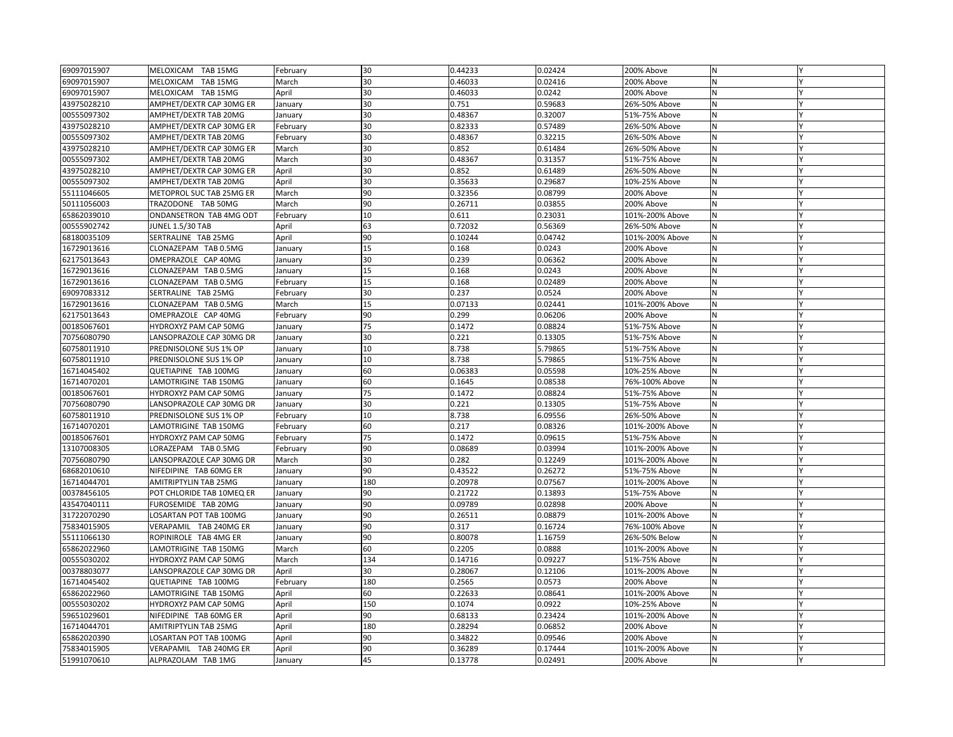| 69097015907 | MELOXICAM TAB 15MG           | February | 30  | 0.44233 | 0.02424 | 200% Above      | N |  |
|-------------|------------------------------|----------|-----|---------|---------|-----------------|---|--|
| 69097015907 | TAB 15MG<br>MELOXICAM        | March    | 30  | 0.46033 | 0.02416 | 200% Above      | N |  |
| 69097015907 | MELOXICAM TAB 15MG           | April    | 30  | 0.46033 | 0.0242  | 200% Above      | N |  |
| 43975028210 | AMPHET/DEXTR CAP 30MG ER     | January  | 30  | 0.751   | 0.59683 | 26%-50% Above   | N |  |
| 00555097302 | AMPHET/DEXTR TAB 20MG        | January  | 30  | 0.48367 | 0.32007 | 51%-75% Above   | N |  |
| 43975028210 | AMPHET/DEXTR CAP 30MG ER     | February | 30  | 0.82333 | 0.57489 | 26%-50% Above   | N |  |
| 00555097302 | AMPHET/DEXTR TAB 20MG        | February | 30  | 0.48367 | 0.32215 | 26%-50% Above   | N |  |
| 43975028210 | AMPHET/DEXTR CAP 30MG ER     | March    | 30  | 0.852   | 0.61484 | 26%-50% Above   | N |  |
| 00555097302 | AMPHET/DEXTR TAB 20MG        | March    | 30  | 0.48367 | 0.31357 | 51%-75% Above   | N |  |
| 43975028210 | AMPHET/DEXTR CAP 30MG ER     | April    | 30  | 0.852   | 0.61489 | 26%-50% Above   | N |  |
| 00555097302 | AMPHET/DEXTR TAB 20MG        | April    | 30  | 0.35633 | 0.29687 | 10%-25% Above   | N |  |
| 55111046605 | METOPROL SUC TAB 25MG ER     | March    | 90  | 0.32356 | 0.08799 | 200% Above      | N |  |
| 50111056003 | TRAZODONE TAB 50MG           | March    | 90  | 0.26711 | 0.03855 | 200% Above      | N |  |
| 65862039010 | ONDANSETRON TAB 4MG ODT      | February | 10  | 0.611   | 0.23031 | 101%-200% Above | N |  |
| 00555902742 | <b>JUNEL 1.5/30 TAB</b>      | April    | 63  | 0.72032 | 0.56369 | 26%-50% Above   | N |  |
| 68180035109 | SERTRALINE TAB 25MG          | April    | 90  | 0.10244 | 0.04742 | 101%-200% Above | N |  |
| 16729013616 | CLONAZEPAM TAB 0.5MG         | January  | 15  | 0.168   | 0.0243  | 200% Above      |   |  |
| 62175013643 | OMEPRAZOLE CAP 40MG          | January  | 30  | 0.239   | 0.06362 | 200% Above      | N |  |
| 16729013616 | CLONAZEPAM TAB 0.5MG         | January  | 15  | 0.168   | 0.0243  | 200% Above      | N |  |
| 16729013616 | CLONAZEPAM TAB 0.5MG         | February | 15  | 0.168   | 0.02489 | 200% Above      | N |  |
| 69097083312 | SERTRALINE TAB 25MG          | February | 30  | 0.237   | 0.0524  | 200% Above      | N |  |
| 16729013616 | CLONAZEPAM TAB 0.5MG         | March    | 15  | 0.07133 | 0.02441 | 101%-200% Above | N |  |
| 62175013643 | OMEPRAZOLE CAP 40MG          | February | 90  | 0.299   | 0.06206 | 200% Above      | N |  |
| 00185067601 | HYDROXYZ PAM CAP 50MG        | January  | 75  | 0.1472  | 0.08824 | 51%-75% Above   | N |  |
| 70756080790 | LANSOPRAZOLE CAP 30MG DR     | January  | 30  | 0.221   | 0.13305 | 51%-75% Above   | N |  |
| 60758011910 | PREDNISOLONE SUS 1% OP       | January  | 10  | 8.738   | 5.79865 | 51%-75% Above   | N |  |
| 60758011910 | PREDNISOLONE SUS 1% OP       | January  | 10  | 8.738   | 5.79865 | 51%-75% Above   | N |  |
| 16714045402 | QUETIAPINE TAB 100MG         | January  | 60  | 0.06383 | 0.05598 | 10%-25% Above   | N |  |
| 16714070201 | LAMOTRIGINE TAB 150MG        | January  | 60  | 0.1645  | 0.08538 | 76%-100% Above  | N |  |
| 00185067601 | HYDROXYZ PAM CAP 50MG        | January  | 75  | 0.1472  | 0.08824 | 51%-75% Above   | N |  |
| 70756080790 | LANSOPRAZOLE CAP 30MG DR     | January  | 30  | 0.221   | 0.13305 | 51%-75% Above   | N |  |
| 60758011910 | PREDNISOLONE SUS 1% OP       | February | 10  | 8.738   | 6.09556 | 26%-50% Above   | N |  |
| 16714070201 | LAMOTRIGINE TAB 150MG        | February | 60  | 0.217   | 0.08326 | 101%-200% Above | N |  |
| 00185067601 | HYDROXYZ PAM CAP 50MG        | February | 75  | 0.1472  | 0.09615 | 51%-75% Above   | N |  |
| 13107008305 | LORAZEPAM TAB 0.5MG          | February | 90  | 0.08689 | 0.03994 | 101%-200% Above | N |  |
| 70756080790 | LANSOPRAZOLE CAP 30MG DR     | March    | 30  | 0.282   | 0.12249 | 101%-200% Above | N |  |
| 68682010610 | NIFEDIPINE TAB 60MG ER       | January  | 90  | 0.43522 | 0.26272 | 51%-75% Above   |   |  |
| 16714044701 | <b>AMITRIPTYLIN TAB 25MG</b> | January  | 180 | 0.20978 | 0.07567 | 101%-200% Above | N |  |
| 00378456105 | POT CHLORIDE TAB 10MEQ ER    | January  | 90  | 0.21722 | 0.13893 | 51%-75% Above   | N |  |
| 43547040111 | FUROSEMIDE TAB 20MG          | January  | 90  | 0.09789 | 0.02898 | 200% Above      | N |  |
| 31722070290 | LOSARTAN POT TAB 100MG       | January  | 90  | 0.26511 | 0.08879 | 101%-200% Above | N |  |
| 75834015905 | VERAPAMIL TAB 240MG ER       | January  | 90  | 0.317   | 0.16724 | 76%-100% Above  |   |  |
| 55111066130 | ROPINIROLE TAB 4MG ER        | January  | 90  | 0.80078 | 1.16759 | 26%-50% Below   | N |  |
| 65862022960 | LAMOTRIGINE TAB 150MG        | March    | 60  | 0.2205  | 0.0888  | 101%-200% Above | N |  |
| 00555030202 | HYDROXYZ PAM CAP 50MG        | March    | 134 | 0.14716 | 0.09227 | 51%-75% Above   | N |  |
| 00378803077 | LANSOPRAZOLE CAP 30MG DR     | April    | 30  | 0.28067 | 0.12106 | 101%-200% Above | N |  |
| 16714045402 | QUETIAPINE TAB 100MG         | February | 180 | 0.2565  | 0.0573  | 200% Above      | N |  |
| 65862022960 | LAMOTRIGINE TAB 150MG        | April    | 60  | 0.22633 | 0.08641 | 101%-200% Above | N |  |
| 00555030202 | HYDROXYZ PAM CAP 50MG        | April    | 150 | 0.1074  | 0.0922  | 10%-25% Above   | N |  |
| 59651029601 | NIFEDIPINE TAB 60MG ER       | April    | 90  | 0.68133 | 0.23424 | 101%-200% Above | N |  |
| 16714044701 | <b>AMITRIPTYLIN TAB 25MG</b> | April    | 180 | 0.28294 | 0.06852 | 200% Above      | N |  |
| 65862020390 | LOSARTAN POT TAB 100MG       | April    | 90  | 0.34822 | 0.09546 | 200% Above      | N |  |
| 75834015905 | VERAPAMIL TAB 240MG ER       | April    | 90  | 0.36289 | 0.17444 | 101%-200% Above | N |  |
| 51991070610 | ALPRAZOLAM TAB 1MG           | January  | 45  | 0.13778 | 0.02491 | 200% Above      | N |  |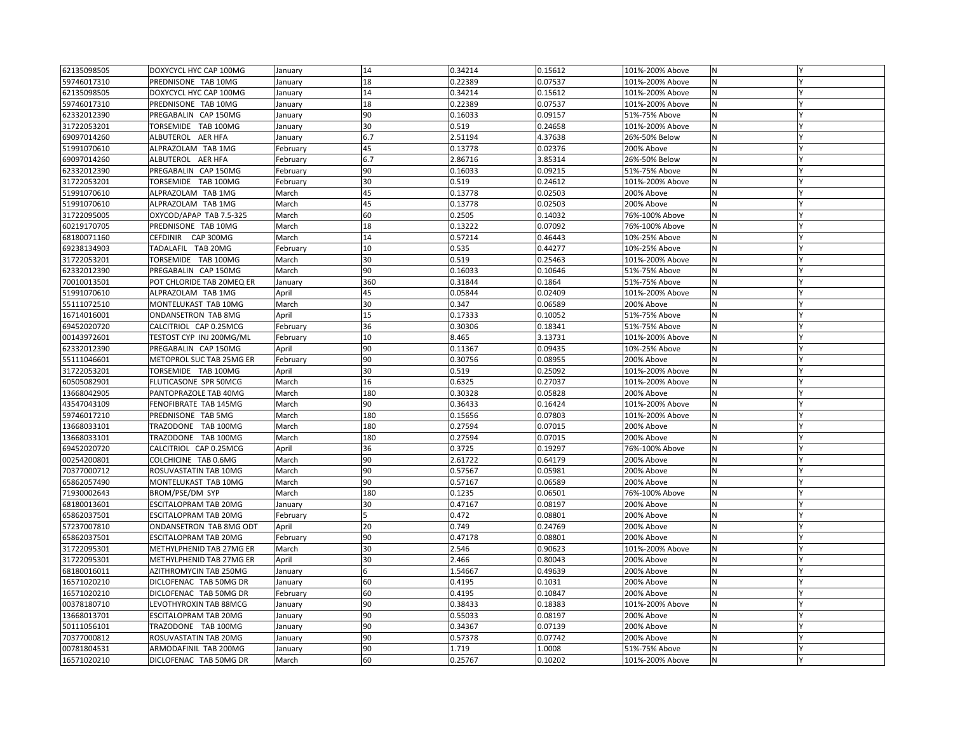| 62135098505 | DOXYCYCL HYC CAP 100MG             | January  | 14  | 0.34214 | 0.15612 | 101%-200% Above | IN. |  |
|-------------|------------------------------------|----------|-----|---------|---------|-----------------|-----|--|
| 59746017310 | PREDNISONE TAB 10MG                | January  | 18  | 0.22389 | 0.07537 | 101%-200% Above | N   |  |
| 62135098505 | DOXYCYCL HYC CAP 100MG             | January  | 14  | 0.34214 | 0.15612 | 101%-200% Above | N   |  |
| 59746017310 | PREDNISONE TAB 10MG                | January  | 18  | 0.22389 | 0.07537 | 101%-200% Above |     |  |
| 62332012390 | PREGABALIN CAP 150MG               | January  | 90  | 0.16033 | 0.09157 | 51%-75% Above   | N   |  |
| 31722053201 | <b>TAB 100MG</b><br>TORSEMIDE      | January  | 30  | 0.519   | 0.24658 | 101%-200% Above | N   |  |
| 69097014260 | <b>ALBUTEROL</b><br><b>AER HFA</b> | January  | 6.7 | 2.51194 | 4.37638 | 26%-50% Below   | N   |  |
| 51991070610 | ALPRAZOLAM TAB 1MG                 | February | 45  | 0.13778 | 0.02376 | 200% Above      |     |  |
| 69097014260 | <b>ALBUTEROL</b><br><b>AER HFA</b> | February | 6.7 | 2.86716 | 3.85314 | 26%-50% Below   | N   |  |
| 62332012390 | PREGABALIN<br><b>CAP 150MG</b>     | February | 90  | 0.16033 | 0.09215 | 51%-75% Above   | N   |  |
| 31722053201 | TORSEMIDE TAB 100MG                | February | 30  | 0.519   | 0.24612 | 101%-200% Above | N   |  |
| 51991070610 | ALPRAZOLAM TAB 1MG                 | March    | 45  | 0.13778 | 0.02503 | 200% Above      | N   |  |
| 51991070610 | ALPRAZOLAM TAB 1MG                 | March    | 45  | 0.13778 | 0.02503 | 200% Above      | N   |  |
| 31722095005 | OXYCOD/APAP TAB 7.5-325            | March    | 60  | 0.2505  | 0.14032 | 76%-100% Above  | N   |  |
| 60219170705 | PREDNISONE TAB 10MG                | March    | 18  | 0.13222 | 0.07092 | 76%-100% Above  | N   |  |
| 68180071160 | CEFDINIR<br>CAP 300MG              | March    | 14  | 0.57214 | 0.46443 | 10%-25% Above   | N   |  |
| 69238134903 | TADALAFIL TAB 20MG                 | February | 10  | 0.535   | 0.44277 | 10%-25% Above   | N   |  |
| 31722053201 | TORSEMIDE TAB 100MG                | March    | 30  | 0.519   | 0.25463 | 101%-200% Above | N   |  |
| 62332012390 | PREGABALIN CAP 150MG               | March    | 90  | 0.16033 | 0.10646 | 51%-75% Above   |     |  |
| 70010013501 | POT CHLORIDE TAB 20MEQ ER          | January  | 360 | 0.31844 | 0.1864  | 51%-75% Above   |     |  |
| 51991070610 | ALPRAZOLAM TAB 1MG                 | April    | 45  | 0.05844 | 0.02409 | 101%-200% Above |     |  |
| 55111072510 | MONTELUKAST TAB 10MG               | March    | 30  | 0.347   | 0.06589 | 200% Above      | N   |  |
| 16714016001 | <b>ONDANSETRON TAB 8MG</b>         | April    | 15  | 0.17333 | 0.10052 | 51%-75% Above   | N   |  |
| 69452020720 | CALCITRIOL CAP 0.25MCG             | February | 36  | 0.30306 | 0.18341 | 51%-75% Above   |     |  |
| 00143972601 | TESTOST CYP INJ 200MG/ML           | February | 10  | 8.465   | 3.13731 | 101%-200% Above | N   |  |
| 62332012390 | PREGABALIN CAP 150MG               | April    | 90  | 0.11367 | 0.09435 | 10%-25% Above   | N   |  |
| 55111046601 | METOPROL SUC TAB 25MG ER           | February | 90  | 0.30756 | 0.08955 | 200% Above      | N   |  |
| 31722053201 | TORSEMIDE TAB 100MG                | April    | 30  | 0.519   | 0.25092 | 101%-200% Above | N   |  |
| 60505082901 | FLUTICASONE SPR 50MCG              | March    | 16  | 0.6325  | 0.27037 | 101%-200% Above | N   |  |
| 13668042905 | PANTOPRAZOLE TAB 40MG              | March    | 180 | 0.30328 | 0.05828 | 200% Above      | N   |  |
| 43547043109 | FENOFIBRATE TAB 145MG              | March    | 90  | 0.36433 | 0.16424 | 101%-200% Above | N   |  |
| 59746017210 | PREDNISONE TAB 5MG                 | March    | 180 | 0.15656 | 0.07803 | 101%-200% Above | N   |  |
| 13668033101 | TRAZODONE TAB 100MG                | March    | 180 | 0.27594 | 0.07015 | 200% Above      | N   |  |
| 13668033101 | TRAZODONE<br><b>TAB 100MG</b>      | March    | 180 | 0.27594 | 0.07015 | 200% Above      | N   |  |
| 69452020720 | CALCITRIOL CAP 0.25MCG             | April    | 36  | 0.3725  | 0.19297 | 76%-100% Above  | N   |  |
| 00254200801 | COLCHICINE TAB 0.6MG               | March    | 90  | 2.61722 | 0.64179 | 200% Above      | N   |  |
| 70377000712 | ROSUVASTATIN TAB 10MG              | March    | 90  | 0.57567 | 0.05981 | 200% Above      | N   |  |
| 65862057490 | MONTELUKAST TAB 10MG               | March    | 90  | 0.57167 | 0.06589 | 200% Above      | N   |  |
| 71930002643 | BROM/PSE/DM SYP                    | March    | 180 | 0.1235  | 0.06501 | 76%-100% Above  | N   |  |
| 68180013601 | <b>ESCITALOPRAM TAB 20MG</b>       | January  | 30  | 0.47167 | 0.08197 | 200% Above      | N   |  |
| 65862037501 | <b>ESCITALOPRAM TAB 20MG</b>       | February |     | 0.472   | 0.08801 | 200% Above      | N   |  |
| 57237007810 | ONDANSETRON TAB 8MG ODT            | April    | 20  | 0.749   | 0.24769 | 200% Above      | N   |  |
| 65862037501 | <b>ESCITALOPRAM TAB 20MG</b>       | February | 90  | 0.47178 | 0.08801 | 200% Above      | N   |  |
| 31722095301 | METHYLPHENID TAB 27MG ER           | March    | 30  | 2.546   | 0.90623 | 101%-200% Above | N   |  |
| 31722095301 | METHYLPHENID TAB 27MG ER           | April    | 30  | 2.466   | 0.80043 | 200% Above      | N   |  |
| 68180016011 | AZITHROMYCIN TAB 250MG             | January  |     | 1.54667 | 0.49639 | 200% Above      | N   |  |
| 16571020210 | DICLOFENAC TAB 50MG DR             | January  | 60  | 0.4195  | 0.1031  | 200% Above      | N   |  |
| 16571020210 | DICLOFENAC TAB 50MG DR             | February | 60  | 0.4195  | 0.10847 | 200% Above      | N   |  |
| 00378180710 | LEVOTHYROXIN TAB 88MCG             | January  | 90  | 0.38433 | 0.18383 | 101%-200% Above | N   |  |
| 13668013701 | <b>ESCITALOPRAM TAB 20MG</b>       | January  | 90  | 0.55033 | 0.08197 | 200% Above      | N   |  |
| 50111056101 | TRAZODONE TAB 100MG                | January  | 90  | 0.34367 | 0.07139 | 200% Above      | N   |  |
| 70377000812 | <b>ROSUVASTATIN TAB 20MG</b>       | January  | 90  | 0.57378 | 0.07742 | 200% Above      | N   |  |
| 00781804531 | ARMODAFINIL TAB 200MG              | January  | 90  | 1.719   | 1.0008  | 51%-75% Above   | N   |  |
| 16571020210 | DICLOFENAC TAB 50MG DR             | March    | 60  | 0.25767 | 0.10202 | 101%-200% Above | N   |  |
|             |                                    |          |     |         |         |                 |     |  |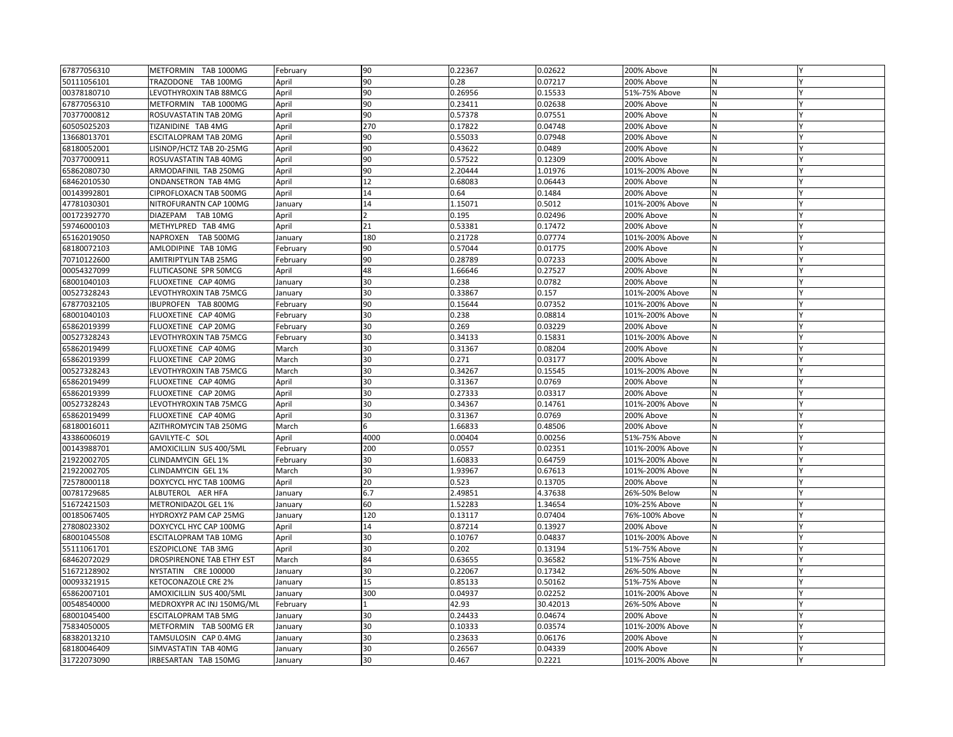| 67877056310 | METFORMIN TAB 1000MG             | February | 90   | 0.22367 | 0.02622  | 200% Above      | N |  |
|-------------|----------------------------------|----------|------|---------|----------|-----------------|---|--|
| 50111056101 | TRAZODONE<br><b>TAB 100MG</b>    | April    | 90   | 0.28    | 0.07217  | 200% Above      | N |  |
| 00378180710 | LEVOTHYROXIN TAB 88MCG           | April    | 90   | 0.26956 | 0.15533  | 51%-75% Above   |   |  |
| 67877056310 | METFORMIN TAB 1000MG             | April    | 90   | 0.23411 | 0.02638  | 200% Above      |   |  |
| 70377000812 | ROSUVASTATIN TAB 20MG            | April    | 90   | 0.57378 | 0.07551  | 200% Above      | N |  |
| 60505025203 | TIZANIDINE TAB 4MG               | April    | 270  | 0.17822 | 0.04748  | 200% Above      | N |  |
| 13668013701 | ESCITALOPRAM TAB 20MG            | April    | 90   | 0.55033 | 0.07948  | 200% Above      | N |  |
| 68180052001 | LISINOP/HCTZ TAB 20-25MG         | April    | 90   | 0.43622 | 0.0489   | 200% Above      | N |  |
| 70377000911 | ROSUVASTATIN TAB 40MG            | April    | 90   | 0.57522 | 0.12309  | 200% Above      | N |  |
| 65862080730 | ARMODAFINIL TAB 250MG            | April    | 90   | 2.20444 | 1.01976  | 101%-200% Above | N |  |
| 68462010530 | ONDANSETRON TAB 4MG              | April    | 12   | 0.68083 | 0.06443  | 200% Above      | N |  |
| 00143992801 | CIPROFLOXACN TAB 500MG           | April    | 14   | 0.64    | 0.1484   | 200% Above      | N |  |
| 47781030301 | NITROFURANTN CAP 100MG           | January  | 14   | 1.15071 | 0.5012   | 101%-200% Above | N |  |
| 00172392770 | DIAZEPAM<br>TAB 10MG             | April    |      | 0.195   | 0.02496  | 200% Above      | N |  |
| 59746000103 | METHYLPRED TAB 4MG               | April    | 21   | 0.53381 | 0.17472  | 200% Above      | N |  |
| 65162019050 | NAPROXEN TAB 500MG               | January  | 180  | 0.21728 | 0.07774  | 101%-200% Above | N |  |
| 68180072103 | AMLODIPINE TAB 10MG              | February | 90   | 0.57044 | 0.01775  | 200% Above      | N |  |
| 70710122600 | AMITRIPTYLIN TAB 25MG            | February | 90   | 0.28789 | 0.07233  | 200% Above      | N |  |
| 00054327099 | FLUTICASONE SPR 50MCG            | April    | 48   | 1.66646 | 0.27527  | 200% Above      | N |  |
| 68001040103 | FLUOXETINE CAP 40MG              | January  | 30   | 0.238   | 0.0782   | 200% Above      | N |  |
| 00527328243 | LEVOTHYROXIN TAB 75MCG           | January  | 30   | 0.33867 | 0.157    | 101%-200% Above |   |  |
| 67877032105 | IBUPROFEN TAB 800MG              | February | 90   | 0.15644 | 0.07352  | 101%-200% Above | N |  |
| 68001040103 | FLUOXETINE CAP 40MG              | February | 30   | 0.238   | 0.08814  | 101%-200% Above | N |  |
| 65862019399 | FLUOXETINE CAP 20MG              | February | 30   | 0.269   | 0.03229  | 200% Above      |   |  |
| 00527328243 | LEVOTHYROXIN TAB 75MCG           | February | 30   | 0.34133 | 0.15831  | 101%-200% Above |   |  |
| 65862019499 | FLUOXETINE CAP 40MG              | March    | 30   | 0.31367 | 0.08204  | 200% Above      | N |  |
| 65862019399 | FLUOXETINE CAP 20MG              | March    | 30   | 0.271   | 0.03177  | 200% Above      | N |  |
| 00527328243 | LEVOTHYROXIN TAB 75MCG           | March    | 30   | 0.34267 | 0.15545  | 101%-200% Above | N |  |
| 65862019499 | FLUOXETINE CAP 40MG              | April    | 30   | 0.31367 | 0.0769   | 200% Above      |   |  |
| 65862019399 | FLUOXETINE CAP 20MG              | April    | 30   | 0.27333 | 0.03317  | 200% Above      | N |  |
| 00527328243 | LEVOTHYROXIN TAB 75MCG           | April    | 30   | 0.34367 | 0.14761  | 101%-200% Above | N |  |
| 65862019499 | FLUOXETINE CAP 40MG              | April    | 30   | 0.31367 | 0.0769   | 200% Above      |   |  |
| 68180016011 | AZITHROMYCIN TAB 250MG           | March    |      | 1.66833 | 0.48506  | 200% Above      | N |  |
| 43386006019 | GAVILYTE-C SOL                   | April    | 4000 | 0.00404 | 0.00256  | 51%-75% Above   | N |  |
| 00143988701 | AMOXICILLIN SUS 400/5ML          | February | 200  | 0.0557  | 0.02351  | 101%-200% Above | N |  |
| 21922002705 | CLINDAMYCIN GEL 1%               | February | 30   | 1.60833 | 0.64759  | 101%-200% Above | N |  |
| 21922002705 | CLINDAMYCIN GEL 1%               | March    | 30   | 1.93967 | 0.67613  | 101%-200% Above | N |  |
| 72578000118 | DOXYCYCL HYC TAB 100MG           | April    | 20   | 0.523   | 0.13705  | 200% Above      | N |  |
| 00781729685 | ALBUTEROL AER HFA                | January  | 6.7  | 2.49851 | 4.37638  | 26%-50% Below   | N |  |
| 51672421503 | METRONIDAZOL GEL 1%              | January  | 60   | 1.52283 | 1.34654  | 10%-25% Above   | N |  |
| 00185067405 | HYDROXYZ PAM CAP 25MG            | January  | 120  | 0.13117 | 0.07404  | 76%-100% Above  | N |  |
| 27808023302 | DOXYCYCL HYC CAP 100MG           | April    | 14   | 0.87214 | 0.13927  | 200% Above      | N |  |
| 68001045508 | ESCITALOPRAM TAB 10MG            | April    | 30   | 0.10767 | 0.04837  | 101%-200% Above | N |  |
| 55111061701 | ESZOPICLONE TAB 3MG              | April    | 30   | 0.202   | 0.13194  | 51%-75% Above   | N |  |
| 68462072029 | <b>DROSPIRENONE TAB ETHY EST</b> | March    | 84   | 0.63655 | 0.36582  | 51%-75% Above   |   |  |
| 51672128902 | NYSTATIN CRE 100000              | January  | 30   | 0.22067 | 0.17342  | 26%-50% Above   |   |  |
| 00093321915 | KETOCONAZOLE CRE 2%              | January  | 15   | 0.85133 | 0.50162  | 51%-75% Above   | N |  |
| 65862007101 | AMOXICILLIN SUS 400/5ML          | January  | 300  | 0.04937 | 0.02252  | 101%-200% Above | Ν |  |
| 00548540000 | MEDROXYPR AC INJ 150MG/ML        | February |      | 42.93   | 30.42013 | 26%-50% Above   | N |  |
| 68001045400 | <b>ESCITALOPRAM TAB 5MG</b>      | January  | 30   | 0.24433 | 0.04674  | 200% Above      |   |  |
| 75834050005 | METFORMIN TAB 500MG ER           | January  | 30   | 0.10333 | 0.03574  | 101%-200% Above | N |  |
| 68382013210 | TAMSULOSIN CAP 0.4MG             | January  | 30   | 0.23633 | 0.06176  | 200% Above      | N |  |
| 68180046409 | SIMVASTATIN TAB 40MG             | January  | 30   | 0.26567 | 0.04339  | 200% Above      | N |  |
| 31722073090 | IRBESARTAN TAB 150MG             | January  | 30   | 0.467   | 0.2221   | 101%-200% Above | N |  |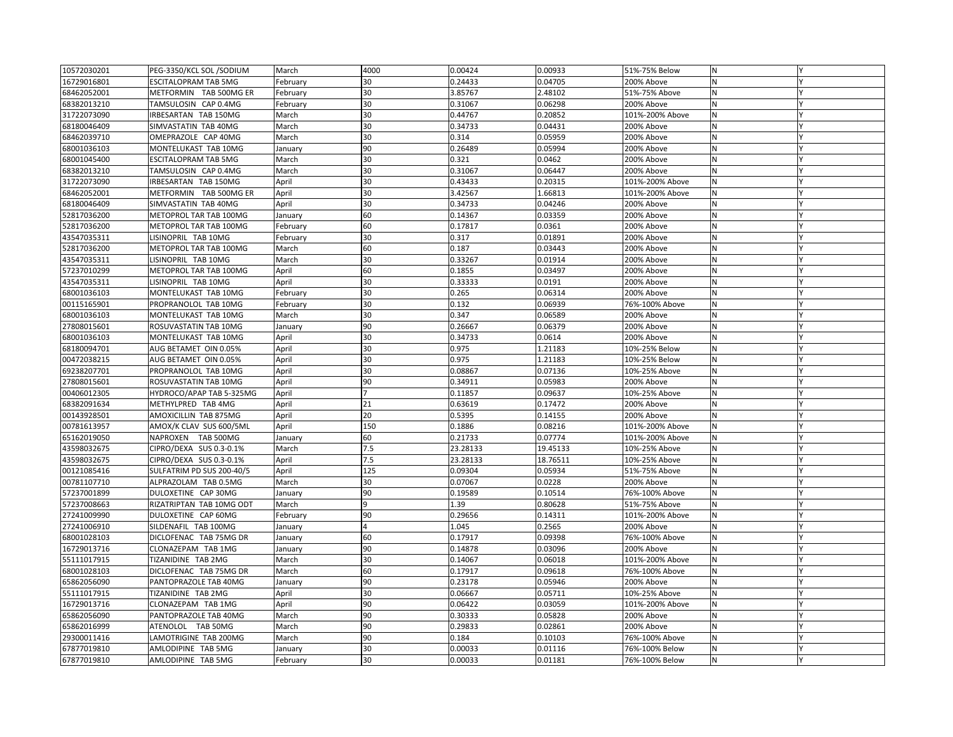| 10572030201 | PEG-3350/KCL SOL /SODIUM    | March    | 4000 | 0.00424  | 0.00933  | 51%-75% Below   | IN. |  |
|-------------|-----------------------------|----------|------|----------|----------|-----------------|-----|--|
| 16729016801 | ESCITALOPRAM TAB 5MG        | February | 30   | 0.24433  | 0.04705  | 200% Above      | N   |  |
| 68462052001 | METFORMIN TAB 500MG ER      | February | 30   | 3.85767  | 2.48102  | 51%-75% Above   | N   |  |
| 68382013210 | TAMSULOSIN CAP 0.4MG        | February | 30   | 0.31067  | 0.06298  | 200% Above      |     |  |
| 31722073090 | IRBESARTAN TAB 150MG        | March    | 30   | 0.44767  | 0.20852  | 101%-200% Above | N   |  |
| 68180046409 | SIMVASTATIN TAB 40MG        | March    | 30   | 0.34733  | 0.04431  | 200% Above      | N   |  |
| 68462039710 | OMEPRAZOLE CAP 40MG         | March    | 30   | 0.314    | 0.05959  | 200% Above      | N   |  |
| 68001036103 | MONTELUKAST TAB 10MG        | Januarv  | 90   | 0.26489  | 0.05994  | 200% Above      |     |  |
| 68001045400 | <b>ESCITALOPRAM TAB 5MG</b> | March    | 30   | 0.321    | 0.0462   | 200% Above      | N   |  |
| 68382013210 | TAMSULOSIN CAP 0.4MG        | March    | 30   | 0.31067  | 0.06447  | 200% Above      | N   |  |
| 31722073090 | IRBESARTAN TAB 150MG        | April    | 30   | 0.43433  | 0.20315  | 101%-200% Above | N   |  |
| 68462052001 | METFORMIN TAB 500MG ER      | April    | 30   | 3.42567  | 1.66813  | 101%-200% Above | N   |  |
| 68180046409 | SIMVASTATIN TAB 40MG        | April    | 30   | 0.34733  | 0.04246  | 200% Above      | N   |  |
| 52817036200 | METOPROL TAR TAB 100MG      | January  | 60   | 0.14367  | 0.03359  | 200% Above      | N   |  |
| 52817036200 | METOPROL TAR TAB 100MG      | February | 60   | 0.17817  | 0.0361   | 200% Above      | N   |  |
| 43547035311 | LISINOPRIL TAB 10MG         | February | 30   | 0.317    | 0.01891  | 200% Above      | N   |  |
| 52817036200 | METOPROL TAR TAB 100MG      | March    | 60   | 0.187    | 0.03443  | 200% Above      | N   |  |
| 43547035311 | LISINOPRIL TAB 10MG         | March    | 30   | 0.33267  | 0.01914  | 200% Above      | N   |  |
| 57237010299 | METOPROL TAR TAB 100MG      | April    | 60   | 0.1855   | 0.03497  | 200% Above      | N   |  |
| 43547035311 | LISINOPRIL TAB 10MG         | April    | 30   | 0.33333  | 0.0191   | 200% Above      |     |  |
| 68001036103 | MONTELUKAST TAB 10MG        | February | 30   | 0.265    | 0.06314  | 200% Above      | N   |  |
| 00115165901 | PROPRANOLOL TAB 10MG        | February | 30   | 0.132    | 0.06939  | 76%-100% Above  | N   |  |
| 68001036103 | MONTELUKAST TAB 10MG        | March    | 30   | 0.347    | 0.06589  | 200% Above      | N   |  |
| 27808015601 | ROSUVASTATIN TAB 10MG       | January  | 90   | 0.26667  | 0.06379  | 200% Above      | N   |  |
| 68001036103 | MONTELUKAST TAB 10MG        | April    | 30   | 0.34733  | 0.0614   | 200% Above      |     |  |
| 68180094701 | AUG BETAMET OIN 0.05%       | April    | 30   | 0.975    | 1.21183  | 10%-25% Below   | N   |  |
| 00472038215 | AUG BETAMET OIN 0.05%       | April    | 30   | 0.975    | 1.21183  | 10%-25% Below   | N   |  |
| 69238207701 | PROPRANOLOL TAB 10MG        | April    | 30   | 0.08867  | 0.07136  | 10%-25% Above   | N   |  |
| 27808015601 | ROSUVASTATIN TAB 10MG       | April    | 90   | 0.34911  | 0.05983  | 200% Above      | N   |  |
| 00406012305 | HYDROCO/APAP TAB 5-325MG    | April    |      | 0.11857  | 0.09637  | 10%-25% Above   | N   |  |
| 68382091634 | METHYLPRED TAB 4MG          | April    | 21   | 0.63619  | 0.17472  | 200% Above      | N   |  |
| 00143928501 | AMOXICILLIN TAB 875MG       | April    | 20   | 0.5395   | 0.14155  | 200% Above      | N   |  |
| 00781613957 | AMOX/K CLAV SUS 600/5ML     | April    | 150  | 0.1886   | 0.08216  | 101%-200% Above | N   |  |
| 65162019050 | NAPROXEN TAB 500MG          | January  | 60   | 0.21733  | 0.07774  | 101%-200% Above | N   |  |
| 43598032675 | CIPRO/DEXA SUS 0.3-0.1%     | March    | 7.5  | 23.28133 | 19.45133 | 10%-25% Above   | N   |  |
| 43598032675 | CIPRO/DEXA SUS 0.3-0.1%     | April    | 7.5  | 23.28133 | 18.76511 | 10%-25% Above   | N   |  |
| 00121085416 | SULFATRIM PD SUS 200-40/5   | April    | 125  | 0.09304  | 0.05934  | 51%-75% Above   | N   |  |
| 00781107710 | ALPRAZOLAM TAB 0.5MG        | March    | 30   | 0.07067  | 0.0228   | 200% Above      | N   |  |
| 57237001899 | DULOXETINE CAP 30MG         | January  | 90   | 0.19589  | 0.10514  | 76%-100% Above  | N   |  |
| 57237008663 | RIZATRIPTAN TAB 10MG ODT    | March    |      | 1.39     | 0.80628  | 51%-75% Above   | N   |  |
| 27241009990 | DULOXETINE CAP 60MG         | February | 90   | 0.29656  | 0.14311  | 101%-200% Above | N   |  |
| 27241006910 | SILDENAFIL TAB 100MG        | January  |      | 1.045    | 0.2565   | 200% Above      |     |  |
| 68001028103 | DICLOFENAC TAB 75MG DR      | January  | 60   | 0.17917  | 0.09398  | 76%-100% Above  | N   |  |
| 16729013716 | CLONAZEPAM TAB 1MG          | January  | 90   | 0.14878  | 0.03096  | 200% Above      | N   |  |
| 55111017915 | TIZANIDINE TAB 2MG          | March    | 30   | 0.14067  | 0.06018  | 101%-200% Above | N   |  |
| 68001028103 | DICLOFENAC TAB 75MG DR      | March    | 60   | 0.17917  | 0.09618  | 76%-100% Above  |     |  |
| 65862056090 | PANTOPRAZOLE TAB 40MG       | January  | 90   | 0.23178  | 0.05946  | 200% Above      | N   |  |
| 55111017915 | TIZANIDINE TAB 2MG          | April    | 30   | 0.06667  | 0.05711  | 10%-25% Above   | N   |  |
| 16729013716 | CLONAZEPAM TAB 1MG          | April    | 90   | 0.06422  | 0.03059  | 101%-200% Above | N   |  |
| 65862056090 | PANTOPRAZOLE TAB 40MG       | March    | 90   | 0.30333  | 0.05828  | 200% Above      | N   |  |
| 65862016999 | ATENOLOL TAB 50MG           | March    | 90   | 0.29833  | 0.02861  | 200% Above      | N   |  |
| 29300011416 | LAMOTRIGINE TAB 200MG       | March    | 90   | 0.184    | 0.10103  | 76%-100% Above  | N   |  |
| 67877019810 | AMLODIPINE TAB 5MG          | January  | 30   | 0.00033  | 0.01116  | 76%-100% Below  | N   |  |
| 67877019810 | AMLODIPINE TAB 5MG          | February | 30   | 0.00033  | 0.01181  | 76%-100% Below  | N   |  |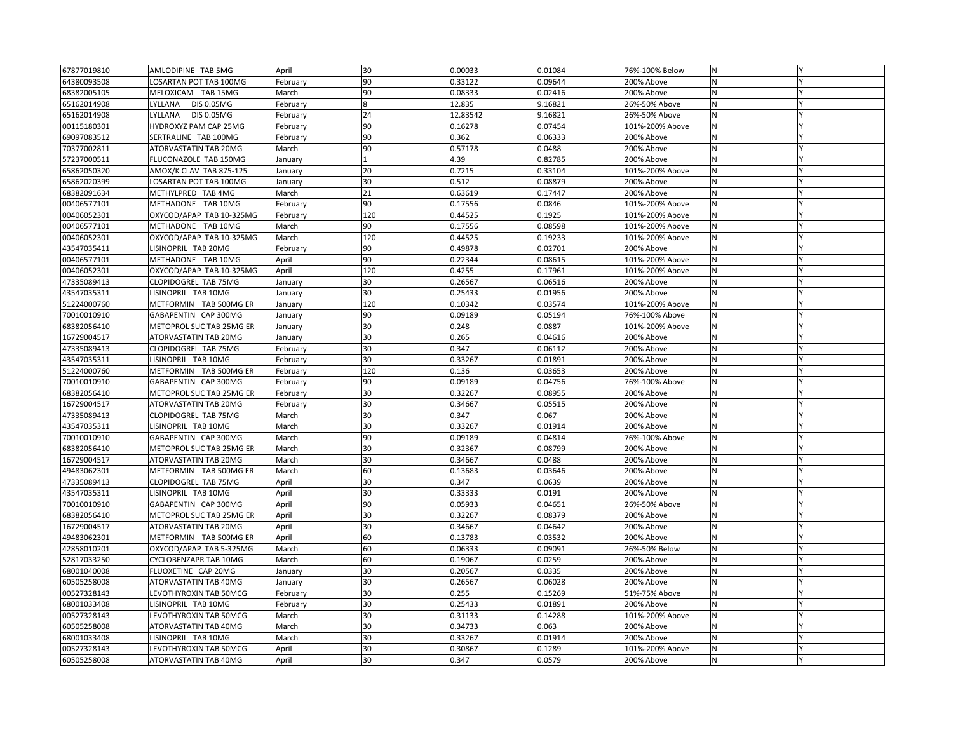| 67877019810 | AMLODIPINE TAB 5MG           | April    | 30  | 0.00033  | 0.01084 | 76%-100% Below  | N |  |
|-------------|------------------------------|----------|-----|----------|---------|-----------------|---|--|
| 64380093508 | LOSARTAN POT TAB 100MG       | February | 90  | 0.33122  | 0.09644 | 200% Above      | N |  |
| 68382005105 | MELOXICAM TAB 15MG           | March    | 90  | 0.08333  | 0.02416 | 200% Above      | N |  |
| 65162014908 | LYLLANA<br><b>DIS 0.05MG</b> | February |     | 12.835   | 9.16821 | 26%-50% Above   | N |  |
| 65162014908 | LYLLANA<br><b>DIS 0.05MG</b> | February | 24  | 12.83542 | 9.16821 | 26%-50% Above   | N |  |
| 00115180301 | HYDROXYZ PAM CAP 25MG        | February | 90  | 0.16278  | 0.07454 | 101%-200% Above | N |  |
| 69097083512 | SERTRALINE TAB 100MG         | February | 90  | 0.362    | 0.06333 | 200% Above      | N |  |
| 70377002811 | ATORVASTATIN TAB 20MG        | March    | 90  | 0.57178  | 0.0488  | 200% Above      | N |  |
| 57237000511 | FLUCONAZOLE TAB 150MG        | January  | 1   | 4.39     | 0.82785 | 200% Above      | N |  |
| 65862050320 | AMOX/K CLAV TAB 875-125      | January  | 20  | 0.7215   | 0.33104 | 101%-200% Above | N |  |
| 65862020399 | LOSARTAN POT TAB 100MG       | January  | 30  | 0.512    | 0.08879 | 200% Above      | N |  |
| 68382091634 | METHYLPRED TAB 4MG           | March    | 21  | 0.63619  | 0.17447 | 200% Above      | N |  |
| 00406577101 | METHADONE TAB 10MG           | February | 90  | 0.17556  | 0.0846  | 101%-200% Above | N |  |
| 00406052301 | OXYCOD/APAP TAB 10-325MG     | February | 120 | 0.44525  | 0.1925  | 101%-200% Above | N |  |
| 00406577101 | METHADONE TAB 10MG           | March    | 90  | 0.17556  | 0.08598 | 101%-200% Above | N |  |
| 00406052301 | OXYCOD/APAP TAB 10-325MG     | March    | 120 | 0.44525  | 0.19233 | 101%-200% Above | N |  |
| 43547035411 | LISINOPRIL TAB 20MG          | February | 90  | 0.49878  | 0.02701 | 200% Above      | N |  |
| 00406577101 | METHADONE TAB 10MG           | April    | 90  | 0.22344  | 0.08615 | 101%-200% Above | N |  |
| 00406052301 | OXYCOD/APAP TAB 10-325MG     | April    | 120 | 0.4255   | 0.17961 | 101%-200% Above | N |  |
| 47335089413 | CLOPIDOGREL TAB 75MG         | January  | 30  | 0.26567  | 0.06516 | 200% Above      | N |  |
| 43547035311 | LISINOPRIL TAB 10MG          | January  | 30  | 0.25433  | 0.01956 | 200% Above      | N |  |
| 51224000760 | METFORMIN TAB 500MG ER       | January  | 120 | 0.10342  | 0.03574 | 101%-200% Above | N |  |
| 70010010910 | GABAPENTIN CAP 300MG         | January  | 90  | 0.09189  | 0.05194 | 76%-100% Above  | N |  |
| 68382056410 | METOPROL SUC TAB 25MG ER     | January  | 30  | 0.248    | 0.0887  | 101%-200% Above | N |  |
| 16729004517 | ATORVASTATIN TAB 20MG        | January  | 30  | 0.265    | 0.04616 | 200% Above      |   |  |
| 47335089413 | CLOPIDOGREL TAB 75MG         | February | 30  | 0.347    | 0.06112 | 200% Above      | N |  |
| 43547035311 | LISINOPRIL TAB 10MG          | February | 30  | 0.33267  | 0.01891 | 200% Above      | N |  |
| 51224000760 | METFORMIN TAB 500MG ER       | February | 120 | 0.136    | 0.03653 | 200% Above      | N |  |
| 70010010910 | GABAPENTIN CAP 300MG         | February | 90  | 0.09189  | 0.04756 | 76%-100% Above  | N |  |
| 68382056410 | METOPROL SUC TAB 25MG ER     | February | 30  | 0.32267  | 0.08955 | 200% Above      | N |  |
| 16729004517 | ATORVASTATIN TAB 20MG        | February | 30  | 0.34667  | 0.05515 | 200% Above      | N |  |
| 47335089413 | CLOPIDOGREL TAB 75MG         | March    | 30  | 0.347    | 0.067   | 200% Above      | N |  |
| 43547035311 | LISINOPRIL TAB 10MG          | March    | 30  | 0.33267  | 0.01914 | 200% Above      | N |  |
| 70010010910 | GABAPENTIN CAP 300MG         | March    | 90  | 0.09189  | 0.04814 | 76%-100% Above  | N |  |
| 68382056410 | METOPROL SUC TAB 25MG ER     | March    | 30  | 0.32367  | 0.08799 | 200% Above      | N |  |
| 16729004517 | ATORVASTATIN TAB 20MG        | March    | 30  | 0.34667  | 0.0488  | 200% Above      | N |  |
| 49483062301 | METFORMIN TAB 500MG ER       | March    | 60  | 0.13683  | 0.03646 | 200% Above      | N |  |
| 47335089413 | CLOPIDOGREL TAB 75MG         | April    | 30  | 0.347    | 0.0639  | 200% Above      | N |  |
| 43547035311 | LISINOPRIL TAB 10MG          | April    | 30  | 0.33333  | 0.0191  | 200% Above      | N |  |
| 70010010910 | GABAPENTIN CAP 300MG         | April    | 90  | 0.05933  | 0.04651 | 26%-50% Above   | N |  |
| 68382056410 | METOPROL SUC TAB 25MG ER     | April    | 30  | 0.32267  | 0.08379 | 200% Above      | N |  |
| 16729004517 | ATORVASTATIN TAB 20MG        | April    | 30  | 0.34667  | 0.04642 | 200% Above      | N |  |
| 49483062301 | METFORMIN TAB 500MG ER       | April    | 60  | 0.13783  | 0.03532 | 200% Above      | N |  |
| 42858010201 | OXYCOD/APAP TAB 5-325MG      | March    | 60  | 0.06333  | 0.09091 | 26%-50% Below   | N |  |
| 52817033250 | CYCLOBENZAPR TAB 10MG        | March    | 60  | 0.19067  | 0.0259  | 200% Above      |   |  |
| 68001040008 | FLUOXETINE CAP 20MG          | January  | 30  | 0.20567  | 0.0335  | 200% Above      |   |  |
| 60505258008 | ATORVASTATIN TAB 40MG        | January  | 30  | 0.26567  | 0.06028 | 200% Above      | N |  |
| 00527328143 | LEVOTHYROXIN TAB 50MCG       | February | 30  | 0.255    | 0.15269 | 51%-75% Above   | Ν |  |
| 68001033408 | LISINOPRIL TAB 10MG          | February | 30  | 0.25433  | 0.01891 | 200% Above      | N |  |
| 00527328143 | LEVOTHYROXIN TAB 50MCG       | March    | 30  | 0.31133  | 0.14288 | 101%-200% Above | N |  |
| 60505258008 | ATORVASTATIN TAB 40MG        | March    | 30  | 0.34733  | 0.063   | 200% Above      | N |  |
| 68001033408 | LISINOPRIL TAB 10MG          | March    | 30  | 0.33267  | 0.01914 | 200% Above      | N |  |
| 00527328143 | LEVOTHYROXIN TAB 50MCG       | April    | 30  | 0.30867  | 0.1289  | 101%-200% Above | N |  |
| 60505258008 | ATORVASTATIN TAB 40MG        | April    | 30  | 0.347    | 0.0579  | 200% Above      | N |  |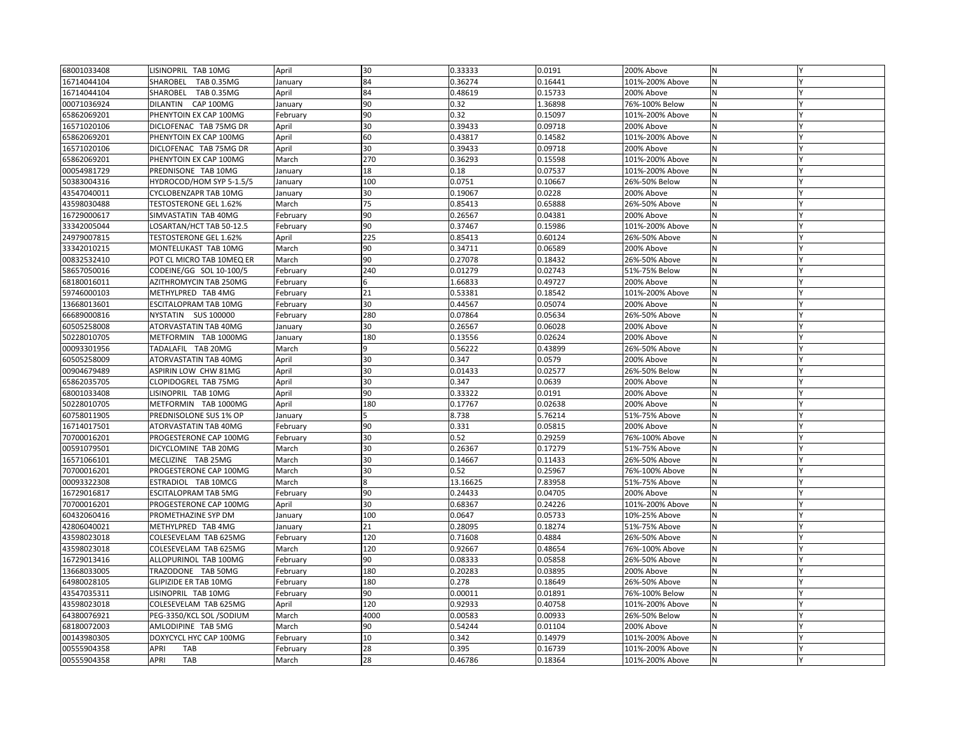| 68001033408 | LISINOPRIL TAB 10MG           | April    | 30   | 0.33333  | 0.0191  | 200% Above      | N |  |
|-------------|-------------------------------|----------|------|----------|---------|-----------------|---|--|
| 16714044104 | SHAROBEL<br><b>TAB 0.35MG</b> | January  | 84   | 0.36274  | 0.16441 | 101%-200% Above | N |  |
| 16714044104 | SHAROBEL<br>TAB 0.35MG        | April    | 84   | 0.48619  | 0.15733 | 200% Above      |   |  |
| 00071036924 | DILANTIN<br><b>CAP 100MG</b>  | January  | 90   | 0.32     | 1.36898 | 76%-100% Below  | N |  |
| 65862069201 | PHENYTOIN EX CAP 100MG        | February | 90   | 0.32     | 0.15097 | 101%-200% Above | N |  |
| 16571020106 | DICLOFENAC TAB 75MG DR        | April    | 30   | 0.39433  | 0.09718 | 200% Above      | N |  |
| 65862069201 | PHENYTOIN EX CAP 100MG        | April    | 60   | 0.43817  | 0.14582 | 101%-200% Above | N |  |
| 16571020106 | DICLOFENAC TAB 75MG DR        | April    | 30   | 0.39433  | 0.09718 | 200% Above      |   |  |
| 65862069201 | PHENYTOIN EX CAP 100MG        | March    | 270  | 0.36293  | 0.15598 | 101%-200% Above | N |  |
| 00054981729 | PREDNISONE TAB 10MG           | January  | 18   | 0.18     | 0.07537 | 101%-200% Above | N |  |
| 50383004316 | HYDROCOD/HOM SYP 5-1.5/5      | January  | 100  | 0.0751   | 0.10667 | 26%-50% Below   | N |  |
| 43547040011 | CYCLOBENZAPR TAB 10MG         | January  | 30   | 0.19067  | 0.0228  | 200% Above      | N |  |
| 43598030488 | <b>TESTOSTERONE GEL 1.62%</b> | March    | 75   | 0.85413  | 0.65888 | 26%-50% Above   | N |  |
| 16729000617 | SIMVASTATIN TAB 40MG          | February | 90   | 0.26567  | 0.04381 | 200% Above      | N |  |
| 33342005044 | LOSARTAN/HCT TAB 50-12.5      | February | 90   | 0.37467  | 0.15986 | 101%-200% Above | Ν |  |
| 24979007815 | TESTOSTERONE GEL 1.62%        | April    | 225  | 0.85413  | 0.60124 | 26%-50% Above   | N |  |
| 33342010215 | MONTELUKAST TAB 10MG          | March    | 90   | 0.34711  | 0.06589 | 200% Above      |   |  |
| 00832532410 | POT CL MICRO TAB 10MEQ ER     | March    | 90   | 0.27078  | 0.18432 | 26%-50% Above   | N |  |
| 58657050016 | CODEINE/GG SOL 10-100/5       | February | 240  | 0.01279  | 0.02743 | 51%-75% Below   | N |  |
| 68180016011 | AZITHROMYCIN TAB 250MG        | February | 6    | 1.66833  | 0.49727 | 200% Above      | N |  |
| 59746000103 | METHYLPRED TAB 4MG            | February | 21   | 0.53381  | 0.18542 | 101%-200% Above | N |  |
| 13668013601 | ESCITALOPRAM TAB 10MG         | February | 30   | 0.44567  | 0.05074 | 200% Above      | N |  |
| 66689000816 | NYSTATIN SUS 100000           | February | 280  | 0.07864  | 0.05634 | 26%-50% Above   | N |  |
| 60505258008 | ATORVASTATIN TAB 40MG         | January  | 30   | 0.26567  | 0.06028 | 200% Above      |   |  |
| 50228010705 | METFORMIN TAB 1000MG          | January  | 180  | 0.13556  | 0.02624 | 200% Above      | N |  |
| 00093301956 | TADALAFIL TAB 20MG            | March    | Ó    | 0.56222  | 0.43899 | 26%-50% Above   | N |  |
| 60505258009 | ATORVASTATIN TAB 40MG         | April    | 30   | 0.347    | 0.0579  | 200% Above      | N |  |
| 00904679489 | ASPIRIN LOW CHW 81MG          | April    | 30   | 0.01433  | 0.02577 | 26%-50% Below   | N |  |
| 65862035705 | CLOPIDOGREL TAB 75MG          | April    | 30   | 0.347    | 0.0639  | 200% Above      | N |  |
| 68001033408 | LISINOPRIL TAB 10MG           | April    | 90   | 0.33322  | 0.0191  | 200% Above      | N |  |
| 50228010705 | METFORMIN TAB 1000MG          | April    | 180  | 0.17767  | 0.02638 | 200% Above      | N |  |
| 60758011905 | PREDNISOLONE SUS 1% OP        | January  |      | 8.738    | 5.76214 | 51%-75% Above   | N |  |
| 16714017501 | ATORVASTATIN TAB 40MG         | February | 90   | 0.331    | 0.05815 | 200% Above      | N |  |
| 70700016201 | PROGESTERONE CAP 100MG        | February | 30   | 0.52     | 0.29259 | 76%-100% Above  |   |  |
| 00591079501 | DICYCLOMINE TAB 20MG          | March    | 30   | 0.26367  | 0.17279 | 51%-75% Above   | N |  |
| 16571066101 | MECLIZINE TAB 25MG            | March    | 30   | 0.14667  | 0.11433 | 26%-50% Above   | N |  |
| 70700016201 | PROGESTERONE CAP 100MG        | March    | 30   | 0.52     | 0.25967 | 76%-100% Above  |   |  |
| 00093322308 | ESTRADIOL TAB 10MCG           | March    |      | 13.16625 | 7.83958 | 51%-75% Above   |   |  |
| 16729016817 | ESCITALOPRAM TAB 5MG          | February | 90   | 0.24433  | 0.04705 | 200% Above      | N |  |
| 70700016201 | PROGESTERONE CAP 100MG        | April    | 30   | 0.68367  | 0.24226 | 101%-200% Above | N |  |
| 60432060416 | PROMETHAZINE SYP DM           | January  | 100  | 0.0647   | 0.05733 | 10%-25% Above   | N |  |
| 42806040021 | METHYLPRED TAB 4MG            | January  | 21   | 0.28095  | 0.18274 | 51%-75% Above   | N |  |
| 43598023018 | COLESEVELAM TAB 625MG         | February | 120  | 0.71608  | 0.4884  | 26%-50% Above   | N |  |
| 43598023018 | COLESEVELAM TAB 625MG         | March    | 120  | 0.92667  | 0.48654 | 76%-100% Above  | N |  |
| 16729013416 | ALLOPURINOL TAB 100MG         | February | 90   | 0.08333  | 0.05858 | 26%-50% Above   | N |  |
| 13668033005 | TRAZODONE TAB 50MG            | February | 180  | 0.20283  | 0.03895 | 200% Above      | N |  |
| 64980028105 | <b>GLIPIZIDE ER TAB 10MG</b>  | February | 180  | 0.278    | 0.18649 | 26%-50% Above   | N |  |
| 43547035311 | LISINOPRIL TAB 10MG           | February | 90   | 0.00011  | 0.01891 | 76%-100% Below  | N |  |
| 43598023018 | COLESEVELAM TAB 625MG         | April    | 120  | 0.92933  | 0.40758 | 101%-200% Above | Ν |  |
| 64380076921 | PEG-3350/KCL SOL /SODIUM      | March    | 4000 | 0.00583  | 0.00933 | 26%-50% Below   | N |  |
| 68180072003 | AMLODIPINE TAB 5MG            | March    | 90   | 0.54244  | 0.01104 | 200% Above      | И |  |
| 00143980305 | DOXYCYCL HYC CAP 100MG        | February | 10   | 0.342    | 0.14979 | 101%-200% Above | N |  |
| 00555904358 | APRI<br>TAB                   | February | 28   | 0.395    | 0.16739 | 101%-200% Above | Ν |  |
| 00555904358 | APRI<br>TAB                   | March    | 28   | 0.46786  | 0.18364 | 101%-200% Above | N |  |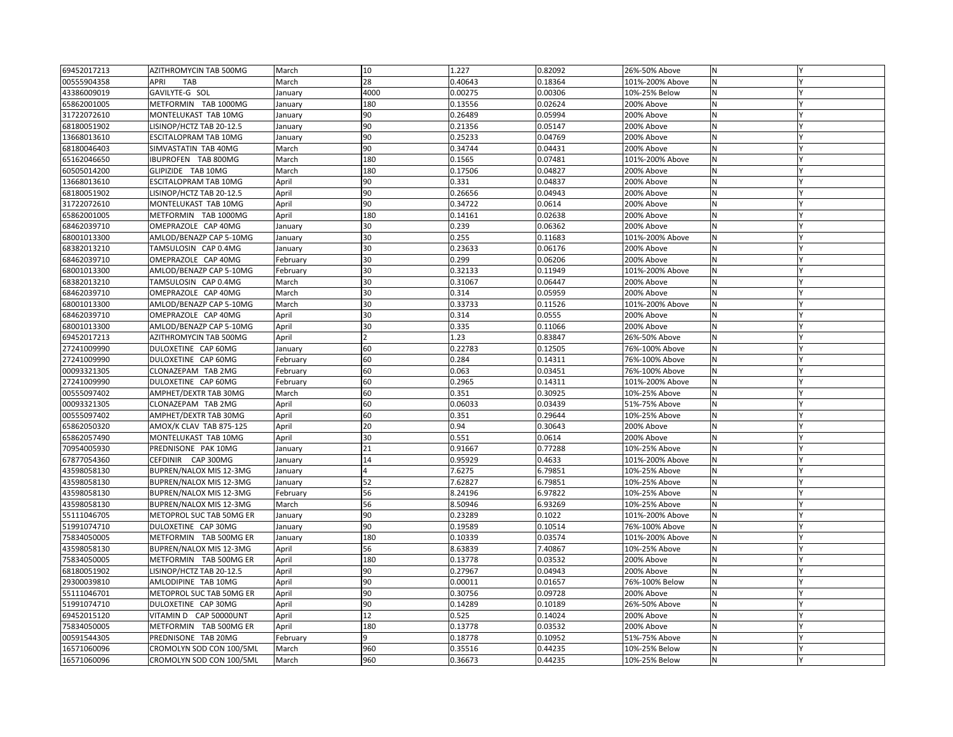| 69452017213                | AZITHROMYCIN TAB 500MG   | March    | 10   | 1.227              | 0.82092            | 26%-50% Above   | IN.    |  |
|----------------------------|--------------------------|----------|------|--------------------|--------------------|-----------------|--------|--|
| 00555904358                | APRI<br>TAB              | March    | 28   | 0.40643            | 0.18364            | 101%-200% Above | N      |  |
| 43386009019                | GAVILYTE-G SOL           | January  | 4000 | 0.00275            | 0.00306            | 10%-25% Below   | N      |  |
| 65862001005                | METFORMIN TAB 1000MG     | January  | 180  | 0.13556            | 0.02624            | 200% Above      |        |  |
| 31722072610                | MONTELUKAST TAB 10MG     | January  | 90   | 0.26489            | 0.05994            | 200% Above      | N      |  |
| 68180051902                | LISINOP/HCTZ TAB 20-12.5 | January  | 90   | 0.21356            | 0.05147            | 200% Above      |        |  |
| 13668013610                | ESCITALOPRAM TAB 10MG    | January  | 90   | 0.25233            | 0.04769            | 200% Above      | N      |  |
| 68180046403                | SIMVASTATIN TAB 40MG     | March    | 90   | 0.34744            | 0.04431            | 200% Above      |        |  |
| 65162046650                | IBUPROFEN TAB 800MG      | March    | 180  | 0.1565             | 0.07481            | 101%-200% Above | N      |  |
| 60505014200                | GLIPIZIDE TAB 10MG       | March    | 180  | 0.17506            | 0.04827            | 200% Above      | N      |  |
| 13668013610                | ESCITALOPRAM TAB 10MG    | April    | 90   | 0.331              | 0.04837            | 200% Above      | N      |  |
| 68180051902                | LISINOP/HCTZ TAB 20-12.5 | April    | 90   | 0.26656            | 0.04943            | 200% Above      | N      |  |
| 31722072610                | MONTELUKAST TAB 10MG     | April    | 90   | 0.34722            | 0.0614             | 200% Above      | N      |  |
| 65862001005                | METFORMIN TAB 1000MG     | April    | 180  | 0.14161            | 0.02638            | 200% Above      | N      |  |
| 68462039710                | OMEPRAZOLE CAP 40MG      | January  | 30   | 0.239              | 0.06362            | 200% Above      | N      |  |
| 68001013300                | AMLOD/BENAZP CAP 5-10MG  | January  | 30   | 0.255              | 0.11683            | 101%-200% Above | N      |  |
| 68382013210                | TAMSULOSIN CAP 0.4MG     | January  | 30   | 0.23633            | 0.06176            | 200% Above      | N      |  |
| 68462039710                | OMEPRAZOLE CAP 40MG      | February | 30   | 0.299              | 0.06206            | 200% Above      | N      |  |
| 68001013300                | AMLOD/BENAZP CAP 5-10MG  | February | 30   | 0.32133            | 0.11949            | 101%-200% Above | N      |  |
| 68382013210                | TAMSULOSIN CAP 0.4MG     | March    | 30   | 0.31067            | 0.06447            | 200% Above      |        |  |
| 68462039710                | OMEPRAZOLE CAP 40MG      | March    | 30   | 0.314              | 0.05959            | 200% Above      |        |  |
| 68001013300                | AMLOD/BENAZP CAP 5-10MG  | March    | 30   | 0.33733            | 0.11526            | 101%-200% Above | N      |  |
| 68462039710                | OMEPRAZOLE CAP 40MG      | April    | 30   | 0.314              | 0.0555             | 200% Above      | N      |  |
| 68001013300                | AMLOD/BENAZP CAP 5-10MG  | April    | 30   | 0.335              | 0.11066            | 200% Above      | N      |  |
| 69452017213                | AZITHROMYCIN TAB 500MG   | April    |      | 1.23               | 0.83847            | 26%-50% Above   |        |  |
| 27241009990                | DULOXETINE CAP 60MG      | January  | 60   | 0.22783            | 0.12505            | 76%-100% Above  | N      |  |
| 27241009990                | DULOXETINE CAP 60MG      | February | 60   | 0.284              | 0.14311            | 76%-100% Above  | N      |  |
| 00093321305                | CLONAZEPAM TAB 2MG       | February | 60   | 0.063              | 0.03451            | 76%-100% Above  | N      |  |
| 27241009990                | DULOXETINE CAP 60MG      | February | 60   | 0.2965             | 0.14311            | 101%-200% Above | N      |  |
| 00555097402                | AMPHET/DEXTR TAB 30MG    | March    | 60   | 0.351              | 0.30925            | 10%-25% Above   | N      |  |
| 00093321305                | CLONAZEPAM TAB 2MG       | April    | 60   | 0.06033            | 0.03439            | 51%-75% Above   | N      |  |
| 00555097402                | AMPHET/DEXTR TAB 30MG    | April    | 60   | 0.351              | 0.29644            | 10%-25% Above   | N      |  |
| 65862050320                | AMOX/K CLAV TAB 875-125  | April    | 20   | 0.94               | 0.30643            | 200% Above      | N      |  |
| 65862057490                | MONTELUKAST TAB 10MG     | April    | 30   | 0.551              | 0.0614             | 200% Above      | N      |  |
| 70954005930                | PREDNISONE PAK 10MG      | January  | 21   | 0.91667            | 0.77288            | 10%-25% Above   | N      |  |
| 67877054360                | CEFDINIR CAP 300MG       | January  | 14   | 0.95929            | 0.4633             | 101%-200% Above | N      |  |
| 43598058130                | BUPREN/NALOX MIS 12-3MG  | January  | 4    | 7.6275             | 6.79851            | 10%-25% Above   | N      |  |
| 43598058130                | BUPREN/NALOX MIS 12-3MG  | January  | 52   | 7.62827            | 6.79851            | 10%-25% Above   | N      |  |
| 43598058130                | BUPREN/NALOX MIS 12-3MG  | February | 56   | 8.24196            | 6.97822            | 10%-25% Above   | N      |  |
| 43598058130                | BUPREN/NALOX MIS 12-3MG  | March    | 56   | 8.50946            | 6.93269            | 10%-25% Above   | N      |  |
| 55111046705                | METOPROL SUC TAB 50MG ER | January  | 90   | 0.23289            | 0.1022             | 101%-200% Above | N      |  |
| 51991074710                | DULOXETINE CAP 30MG      | January  | 90   | 0.19589            | 0.10514            | 76%-100% Above  |        |  |
| 75834050005                | METFORMIN TAB 500MG ER   | January  | 180  | 0.10339            | 0.03574            | 101%-200% Above | N      |  |
| 43598058130                | BUPREN/NALOX MIS 12-3MG  | April    | 56   | 8.63839            | 7.40867            | 10%-25% Above   | N      |  |
| 75834050005                | METFORMIN TAB 500MG ER   | April    | 180  | 0.13778            | 0.03532            | 200% Above      | N      |  |
| 68180051902                | LISINOP/HCTZ TAB 20-12.5 | April    | 90   | 0.27967            | 0.04943            | 200% Above      |        |  |
| 29300039810                | AMLODIPINE TAB 10MG      | April    | 90   | 0.00011            | 0.01657            | 76%-100% Below  | N      |  |
| 55111046701                | METOPROL SUC TAB 50MG ER | April    | 90   | 0.30756            | 0.09728            | 200% Above      | N      |  |
| 51991074710                | DULOXETINE CAP 30MG      | April    | 90   | 0.14289            | 0.10189            | 26%-50% Above   | N      |  |
| 69452015120                | VITAMIN D CAP 50000UNT   | April    | 12   | 0.525              | 0.14024            | 200% Above      | N<br>N |  |
| 75834050005                | METFORMIN TAB 500MG ER   | April    | 180  | 0.13778            | 0.03532            | 200% Above      |        |  |
| 00591544305<br>16571060096 | PREDNISONE TAB 20MG      | February | 960  | 0.18778<br>0.35516 | 0.10952<br>0.44235 | 51%-75% Above   | N<br>N |  |
|                            | CROMOLYN SOD CON 100/5ML | March    | 960  |                    |                    | 10%-25% Below   |        |  |
| 16571060096                | CROMOLYN SOD CON 100/5ML | March    |      | 0.36673            | 0.44235            | 10%-25% Below   | N      |  |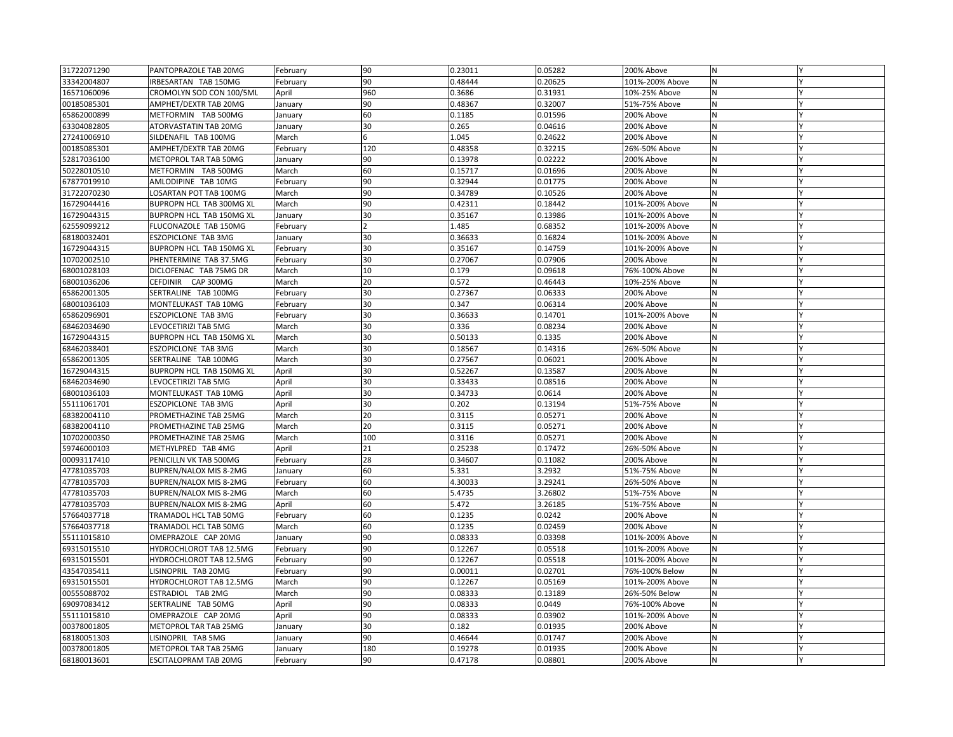| 31722071290 | PANTOPRAZOLE TAB 20MG         | February | 90  | 0.23011 | 0.05282 | 200% Above      | N |  |
|-------------|-------------------------------|----------|-----|---------|---------|-----------------|---|--|
| 33342004807 | IRBESARTAN TAB 150MG          | February | 90  | 0.48444 | 0.20625 | 101%-200% Above | N |  |
| 16571060096 | CROMOLYN SOD CON 100/5ML      | April    | 960 | 0.3686  | 0.31931 | 10%-25% Above   |   |  |
| 00185085301 | AMPHET/DEXTR TAB 20MG         | January  | 90  | 0.48367 | 0.32007 | 51%-75% Above   | N |  |
| 65862000899 | METFORMIN TAB 500MG           | January  | 60  | 0.1185  | 0.01596 | 200% Above      | N |  |
| 63304082805 | ATORVASTATIN TAB 20MG         | January  | 30  | 0.265   | 0.04616 | 200% Above      | N |  |
| 27241006910 | SILDENAFIL TAB 100MG          | March    |     | 1.045   | 0.24622 | 200% Above      | N |  |
| 00185085301 | AMPHET/DEXTR TAB 20MG         | February | 120 | 0.48358 | 0.32215 | 26%-50% Above   | N |  |
| 52817036100 | METOPROL TAR TAB 50MG         | January  | 90  | 0.13978 | 0.02222 | 200% Above      | N |  |
| 50228010510 | METFORMIN TAB 500MG           | March    | 60  | 0.15717 | 0.01696 | 200% Above      | N |  |
| 67877019910 | AMLODIPINE TAB 10MG           | February | 90  | 0.32944 | 0.01775 | 200% Above      | N |  |
| 31722070230 | LOSARTAN POT TAB 100MG        | March    | 90  | 0.34789 | 0.10526 | 200% Above      | N |  |
| 16729044416 | BUPROPN HCL TAB 300MG XL      | March    | 90  | 0.42311 | 0.18442 | 101%-200% Above | N |  |
| 16729044315 | BUPROPN HCL TAB 150MG XL      | January  | 30  | 0.35167 | 0.13986 | 101%-200% Above | N |  |
| 62559099212 | FLUCONAZOLE TAB 150MG         | February |     | 1.485   | 0.68352 | 101%-200% Above | N |  |
| 68180032401 | <b>ESZOPICLONE TAB 3MG</b>    | January  | 30  | 0.36633 | 0.16824 | 101%-200% Above | N |  |
| 16729044315 | BUPROPN HCL TAB 150MG XL      | February | 30  | 0.35167 | 0.14759 | 101%-200% Above | N |  |
| 10702002510 | PHENTERMINE TAB 37.5MG        | February | 30  | 0.27067 | 0.07906 | 200% Above      | N |  |
| 68001028103 | DICLOFENAC TAB 75MG DR        | March    | 10  | 0.179   | 0.09618 | 76%-100% Above  | N |  |
| 68001036206 | CEFDINIR CAP 300MG            | March    | 20  | 0.572   | 0.46443 | 10%-25% Above   |   |  |
| 65862001305 | SERTRALINE TAB 100MG          | February | 30  | 0.27367 | 0.06333 | 200% Above      |   |  |
| 68001036103 | MONTELUKAST TAB 10MG          | February | 30  | 0.347   | 0.06314 | 200% Above      | N |  |
| 65862096901 | <b>ESZOPICLONE TAB 3MG</b>    | February | 30  | 0.36633 | 0.14701 | 101%-200% Above | N |  |
| 68462034690 | LEVOCETIRIZI TAB 5MG          | March    | 30  | 0.336   | 0.08234 | 200% Above      | N |  |
| 16729044315 | BUPROPN HCL TAB 150MG XL      | March    | 30  | 0.50133 | 0.1335  | 200% Above      |   |  |
| 68462038401 | <b>ESZOPICLONE TAB 3MG</b>    | March    | 30  | 0.18567 | 0.14316 | 26%-50% Above   | N |  |
| 65862001305 | SERTRALINE TAB 100MG          | March    | 30  | 0.27567 | 0.06021 | 200% Above      | N |  |
| 16729044315 | BUPROPN HCL TAB 150MG XL      | April    | 30  | 0.52267 | 0.13587 | 200% Above      | N |  |
| 68462034690 | LEVOCETIRIZI TAB 5MG          | April    | 30  | 0.33433 | 0.08516 | 200% Above      | N |  |
| 68001036103 | MONTELUKAST TAB 10MG          | April    | 30  | 0.34733 | 0.0614  | 200% Above      | N |  |
| 55111061701 | <b>ESZOPICLONE TAB 3MG</b>    | April    | 30  | 0.202   | 0.13194 | 51%-75% Above   | N |  |
| 68382004110 | PROMETHAZINE TAB 25MG         | March    | 20  | 0.3115  | 0.05271 | 200% Above      | N |  |
| 68382004110 | PROMETHAZINE TAB 25MG         | March    | 20  | 0.3115  | 0.05271 | 200% Above      | N |  |
| 10702000350 | PROMETHAZINE TAB 25MG         | March    | 100 | 0.3116  | 0.05271 | 200% Above      | N |  |
| 59746000103 | METHYLPRED TAB 4MG            | April    | 21  | 0.25238 | 0.17472 | 26%-50% Above   | N |  |
| 00093117410 | PENICILLN VK TAB 500MG        | February | 28  | 0.34607 | 0.11082 | 200% Above      | N |  |
| 47781035703 | <b>BUPREN/NALOX MIS 8-2MG</b> | January  | 60  | 5.331   | 3.2932  | 51%-75% Above   | N |  |
| 47781035703 | BUPREN/NALOX MIS 8-2MG        | February | 60  | 4.30033 | 3.29241 | 26%-50% Above   | N |  |
| 47781035703 | <b>BUPREN/NALOX MIS 8-2MG</b> | March    | 60  | 5.4735  | 3.26802 | 51%-75% Above   | N |  |
| 47781035703 | BUPREN/NALOX MIS 8-2MG        | April    | 60  | 5.472   | 3.26185 | 51%-75% Above   | N |  |
| 57664037718 | TRAMADOL HCL TAB 50MG         | February | 60  | 0.1235  | 0.0242  | 200% Above      | N |  |
| 57664037718 | TRAMADOL HCL TAB 50MG         | March    | 60  | 0.1235  | 0.02459 | 200% Above      | N |  |
| 55111015810 | OMEPRAZOLE CAP 20MG           | January  | 90  | 0.08333 | 0.03398 | 101%-200% Above | N |  |
| 69315015510 | HYDROCHLOROT TAB 12.5MG       | February | 90  | 0.12267 | 0.05518 | 101%-200% Above | N |  |
| 69315015501 | HYDROCHLOROT TAB 12.5MG       | February | 90  | 0.12267 | 0.05518 | 101%-200% Above |   |  |
| 43547035411 | LISINOPRIL TAB 20MG           | February | 90  | 0.00011 | 0.02701 | 76%-100% Below  |   |  |
| 69315015501 | HYDROCHLOROT TAB 12.5MG       | March    | 90  | 0.12267 | 0.05169 | 101%-200% Above | N |  |
| 00555088702 | ESTRADIOL TAB 2MG             | March    | 90  | 0.08333 | 0.13189 | 26%-50% Below   | Ν |  |
| 69097083412 | SERTRALINE TAB 50MG           | April    | 90  | 0.08333 | 0.0449  | 76%-100% Above  | N |  |
| 55111015810 | OMEPRAZOLE CAP 20MG           | April    | 90  | 0.08333 | 0.03902 | 101%-200% Above | N |  |
| 00378001805 | METOPROL TAR TAB 25MG         | January  | 30  | 0.182   | 0.01935 | 200% Above      | N |  |
| 68180051303 | LISINOPRIL TAB 5MG            | January  | 90  | 0.46644 | 0.01747 | 200% Above      | N |  |
| 00378001805 | METOPROL TAR TAB 25MG         | January  | 180 | 0.19278 | 0.01935 | 200% Above      | N |  |
| 68180013601 | <b>ESCITALOPRAM TAB 20MG</b>  | February | 90  | 0.47178 | 0.08801 | 200% Above      | N |  |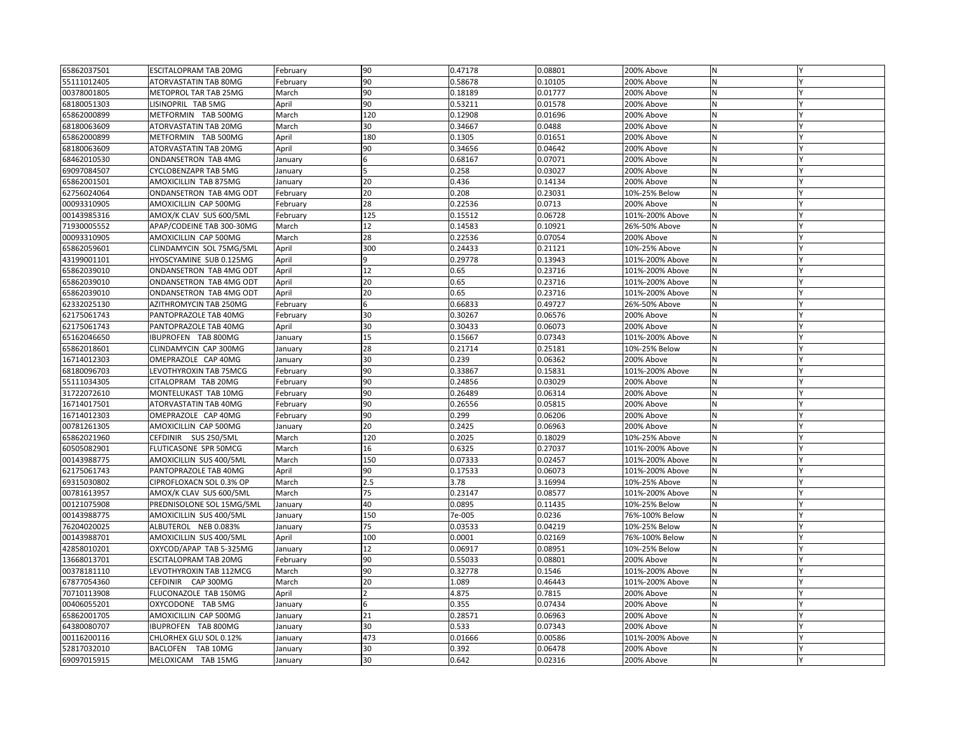| 65862037501 | <b>ESCITALOPRAM TAB 20MG</b>  | February | 90  | 0.47178 | 0.08801 | 200% Above      | N |  |
|-------------|-------------------------------|----------|-----|---------|---------|-----------------|---|--|
| 55111012405 | ATORVASTATIN TAB 80MG         | February | 90  | 0.58678 | 0.10105 | 200% Above      | N |  |
| 00378001805 | METOPROL TAR TAB 25MG         | March    | 90  | 0.18189 | 0.01777 | 200% Above      | N |  |
| 68180051303 | LISINOPRIL TAB 5MG            | April    | 90  | 0.53211 | 0.01578 | 200% Above      | N |  |
| 65862000899 | METFORMIN TAB 500MG           | March    | 120 | 0.12908 | 0.01696 | 200% Above      | N |  |
| 68180063609 | ATORVASTATIN TAB 20MG         | March    | 30  | 0.34667 | 0.0488  | 200% Above      | N |  |
| 65862000899 | METFORMIN TAB 500MG           | April    | 180 | 0.1305  | 0.01651 | 200% Above      | N |  |
| 68180063609 | ATORVASTATIN TAB 20MG         | April    | 90  | 0.34656 | 0.04642 | 200% Above      | N |  |
| 68462010530 | <b>ONDANSETRON TAB 4MG</b>    | January  |     | 0.68167 | 0.07071 | 200% Above      | N |  |
| 69097084507 | CYCLOBENZAPR TAB 5MG          | January  |     | 0.258   | 0.03027 | 200% Above      | N |  |
| 65862001501 | AMOXICILLIN TAB 875MG         | January  | 20  | 0.436   | 0.14134 | 200% Above      | N |  |
| 62756024064 | ONDANSETRON TAB 4MG ODT       | February | 20  | 0.208   | 0.23031 | 10%-25% Below   | N |  |
| 00093310905 | AMOXICILLIN CAP 500MG         | February | 28  | 0.22536 | 0.0713  | 200% Above      | N |  |
| 00143985316 | AMOX/K CLAV SUS 600/5ML       | February | 125 | 0.15512 | 0.06728 | 101%-200% Above | N |  |
| 71930005552 | APAP/CODEINE TAB 300-30MG     | March    | 12  | 0.14583 | 0.10921 | 26%-50% Above   | N |  |
| 00093310905 | AMOXICILLIN CAP 500MG         | March    | 28  | 0.22536 | 0.07054 | 200% Above      | N |  |
| 65862059601 | CLINDAMYCIN SOL 75MG/5ML      | April    | 300 | 0.24433 | 0.21121 | 10%-25% Above   |   |  |
| 43199001101 | HYOSCYAMINE SUB 0.125MG       | April    |     | 0.29778 | 0.13943 | 101%-200% Above | N |  |
| 65862039010 | ONDANSETRON TAB 4MG ODT       | April    | 12  | 0.65    | 0.23716 | 101%-200% Above | N |  |
| 65862039010 | ONDANSETRON TAB 4MG ODT       | April    | 20  | 0.65    | 0.23716 | 101%-200% Above | N |  |
| 65862039010 | ONDANSETRON TAB 4MG ODT       | April    | 20  | 0.65    | 0.23716 | 101%-200% Above | N |  |
| 62332025130 | <b>AZITHROMYCIN TAB 250MG</b> | February |     | 0.66833 | 0.49727 | 26%-50% Above   | N |  |
| 62175061743 | PANTOPRAZOLE TAB 40MG         | February | 30  | 0.30267 | 0.06576 | 200% Above      | N |  |
| 62175061743 | PANTOPRAZOLE TAB 40MG         | April    | 30  | 0.30433 | 0.06073 | 200% Above      | N |  |
| 65162046650 | IBUPROFEN TAB 800MG           | January  | 15  | 0.15667 | 0.07343 | 101%-200% Above | N |  |
| 65862018601 | CLINDAMYCIN CAP 300MG         | January  | 28  | 0.21714 | 0.25181 | 10%-25% Below   | N |  |
| 16714012303 | OMEPRAZOLE CAP 40MG           | January  | 30  | 0.239   | 0.06362 | 200% Above      | N |  |
| 68180096703 | LEVOTHYROXIN TAB 75MCG        | February | 90  | 0.33867 | 0.15831 | 101%-200% Above | N |  |
| 55111034305 | CITALOPRAM TAB 20MG           | February | 90  | 0.24856 | 0.03029 | 200% Above      | N |  |
| 31722072610 | MONTELUKAST TAB 10MG          | February | 90  | 0.26489 | 0.06314 | 200% Above      | N |  |
| 16714017501 | ATORVASTATIN TAB 40MG         | February | 90  | 0.26556 | 0.05815 | 200% Above      | N |  |
| 16714012303 | OMEPRAZOLE CAP 40MG           | February | 90  | 0.299   | 0.06206 | 200% Above      |   |  |
| 00781261305 | AMOXICILLIN CAP 500MG         | January  | 20  | 0.2425  | 0.06963 | 200% Above      | N |  |
| 65862021960 | CEFDINIR SUS 250/5ML          | March    | 120 | 0.2025  | 0.18029 | 10%-25% Above   | N |  |
| 60505082901 | FLUTICASONE SPR 50MCG         | March    | 16  | 0.6325  | 0.27037 | 101%-200% Above | N |  |
| 00143988775 | AMOXICILLIN SUS 400/5ML       | March    | 150 | 0.07333 | 0.02457 | 101%-200% Above | N |  |
| 62175061743 | PANTOPRAZOLE TAB 40MG         | April    | 90  | 0.17533 | 0.06073 | 101%-200% Above | N |  |
| 69315030802 | CIPROFLOXACN SOL 0.3% OP      | March    | 2.5 | 3.78    | 3.16994 | 10%-25% Above   |   |  |
| 00781613957 | AMOX/K CLAV SUS 600/5ML       | March    | 75  | 0.23147 | 0.08577 | 101%-200% Above | N |  |
| 00121075908 | PREDNISOLONE SOL 15MG/5ML     | January  | 40  | 0.0895  | 0.11435 | 10%-25% Below   |   |  |
| 00143988775 | AMOXICILLIN SUS 400/5ML       | January  | 150 | 7e-005  | 0.0236  | 76%-100% Below  | N |  |
| 76204020025 | ALBUTEROL NEB 0.083%          | January  | 75  | 0.03533 | 0.04219 | 10%-25% Below   |   |  |
| 00143988701 | AMOXICILLIN SUS 400/5ML       | April    | 100 | 0.0001  | 0.02169 | 76%-100% Below  | N |  |
| 42858010201 | OXYCOD/APAP TAB 5-325MG       | January  | 12  | 0.06917 | 0.08951 | 10%-25% Below   | N |  |
| 13668013701 | <b>ESCITALOPRAM TAB 20MG</b>  | February | 90  | 0.55033 | 0.08801 | 200% Above      | N |  |
| 00378181110 | LEVOTHYROXIN TAB 112MCG       | March    | 90  | 0.32778 | 0.1546  | 101%-200% Above | N |  |
| 67877054360 | CEFDINIR CAP 300MG            | March    | 20  | 1.089   | 0.46443 | 101%-200% Above | N |  |
| 70710113908 | FLUCONAZOLE TAB 150MG         | April    |     | 4.875   | 0.7815  | 200% Above      | N |  |
| 00406055201 | OXYCODONE TAB 5MG             | January  |     | 0.355   | 0.07434 | 200% Above      | N |  |
| 65862001705 | AMOXICILLIN CAP 500MG         | January  | 21  | 0.28571 | 0.06963 | 200% Above      | N |  |
| 64380080707 | IBUPROFEN TAB 800MG           | January  | 30  | 0.533   | 0.07343 | 200% Above      | N |  |
| 00116200116 | CHLORHEX GLU SOL 0.12%        | January  | 473 | 0.01666 | 0.00586 | 101%-200% Above | N |  |
| 52817032010 | BACLOFEN TAB 10MG             | January  | 30  | 0.392   | 0.06478 | 200% Above      | N |  |
| 69097015915 | MELOXICAM TAB 15MG            | January  | 30  | 0.642   | 0.02316 | 200% Above      | N |  |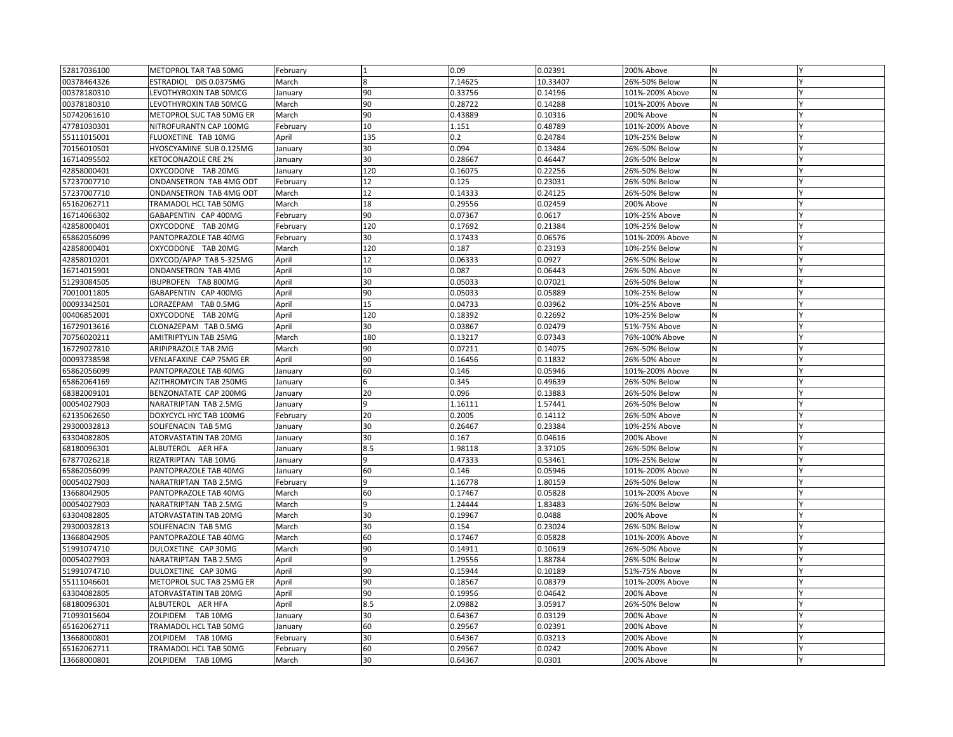| 52817036100 | METOPROL TAR TAB 50MG        | February |     | 0.09    | 0.02391  | 200% Above      | N |  |
|-------------|------------------------------|----------|-----|---------|----------|-----------------|---|--|
| 00378464326 | ESTRADIOL DIS 0.0375MG       | March    |     | 7.14625 | 10.33407 | 26%-50% Below   | N |  |
| 00378180310 | LEVOTHYROXIN TAB 50MCG       | January  | 90  | 0.33756 | 0.14196  | 101%-200% Above | N |  |
| 00378180310 | LEVOTHYROXIN TAB 50MCG       | March    | 90  | 0.28722 | 0.14288  | 101%-200% Above |   |  |
| 50742061610 | METOPROL SUC TAB 50MG ER     | March    | 90  | 0.43889 | 0.10316  | 200% Above      | N |  |
| 47781030301 | NITROFURANTN CAP 100MG       | February | 10  | 1.151   | 0.48789  | 101%-200% Above |   |  |
| 55111015001 | FLUOXETINE TAB 10MG          | April    | 135 | 0.2     | 0.24784  | 10%-25% Below   | N |  |
| 70156010501 | HYOSCYAMINE SUB 0.125MG      | January  | 30  | 0.094   | 0.13484  | 26%-50% Below   |   |  |
| 16714095502 | <b>KETOCONAZOLE CRE 2%</b>   | January  | 30  | 0.28667 | 0.46447  | 26%-50% Below   | N |  |
| 42858000401 | OXYCODONE TAB 20MG           | January  | 120 | 0.16075 | 0.22256  | 26%-50% Below   | N |  |
| 57237007710 | ONDANSETRON TAB 4MG ODT      | February | 12  | 0.125   | 0.23031  | 26%-50% Below   | N |  |
| 57237007710 | ONDANSETRON TAB 4MG ODT      | March    | 12  | 0.14333 | 0.24125  | 26%-50% Below   | N |  |
| 65162062711 | TRAMADOL HCL TAB 50MG        | March    | 18  | 0.29556 | 0.02459  | 200% Above      | N |  |
| 16714066302 | GABAPENTIN CAP 400MG         | February | 90  | 0.07367 | 0.0617   | 10%-25% Above   | N |  |
| 42858000401 | OXYCODONE TAB 20MG           | February | 120 | 0.17692 | 0.21384  | 10%-25% Below   | N |  |
| 65862056099 | PANTOPRAZOLE TAB 40MG        | February | 30  | 0.17433 | 0.06576  | 101%-200% Above | N |  |
| 42858000401 | OXYCODONE TAB 20MG           | March    | 120 | 0.187   | 0.23193  | 10%-25% Below   | N |  |
| 42858010201 | OXYCOD/APAP TAB 5-325MG      | April    | 12  | 0.06333 | 0.0927   | 26%-50% Below   | N |  |
| 16714015901 | <b>ONDANSETRON TAB 4MG</b>   | April    | 10  | 0.087   | 0.06443  | 26%-50% Above   | N |  |
| 51293084505 | IBUPROFEN TAB 800MG          | April    | 30  | 0.05033 | 0.07021  | 26%-50% Below   |   |  |
| 70010011805 | GABAPENTIN CAP 400MG         | April    | 90  | 0.05033 | 0.05889  | 10%-25% Below   |   |  |
| 00093342501 | LORAZEPAM<br>TAB 0.5MG       | April    | 15  | 0.04733 | 0.03962  | 10%-25% Above   | N |  |
| 00406852001 | <b>OXYCODONE</b><br>TAB 20MG | April    | 120 | 0.18392 | 0.22692  | 10%-25% Below   | N |  |
| 16729013616 | CLONAZEPAM TAB 0.5MG         | April    | 30  | 0.03867 | 0.02479  | 51%-75% Above   | N |  |
| 70756020211 | <b>AMITRIPTYLIN TAB 25MG</b> | March    | 180 | 0.13217 | 0.07343  | 76%-100% Above  |   |  |
| 16729027810 | ARIPIPRAZOLE TAB 2MG         | March    | 90  | 0.07211 | 0.14075  | 26%-50% Below   | N |  |
| 00093738598 | VENLAFAXINE CAP 75MG ER      | April    | 90  | 0.16456 | 0.11832  | 26%-50% Above   | N |  |
| 65862056099 | PANTOPRAZOLE TAB 40MG        | January  | 60  | 0.146   | 0.05946  | 101%-200% Above | N |  |
| 65862064169 | AZITHROMYCIN TAB 250MG       | January  |     | 0.345   | 0.49639  | 26%-50% Below   | N |  |
| 68382009101 | BENZONATATE CAP 200MG        | January  | 20  | 0.096   | 0.13883  | 26%-50% Below   | N |  |
| 00054027903 | NARATRIPTAN TAB 2.5MG        | January  | q   | 1.16111 | 1.57441  | 26%-50% Below   | N |  |
| 62135062650 | DOXYCYCL HYC TAB 100MG       | February | 20  | 0.2005  | 0.14112  | 26%-50% Above   | N |  |
| 29300032813 | SOLIFENACIN TAB 5MG          | January  | 30  | 0.26467 | 0.23384  | 10%-25% Above   | N |  |
| 63304082805 | ATORVASTATIN TAB 20MG        | January  | 30  | 0.167   | 0.04616  | 200% Above      | N |  |
| 68180096301 | ALBUTEROL AER HFA            | January  | 8.5 | 1.98118 | 3.37105  | 26%-50% Below   | N |  |
| 67877026218 | RIZATRIPTAN TAB 10MG         | January  | 9   | 0.47333 | 0.53461  | 10%-25% Below   | N |  |
| 65862056099 | PANTOPRAZOLE TAB 40MG        | January  | 60  | 0.146   | 0.05946  | 101%-200% Above | N |  |
| 00054027903 | NARATRIPTAN TAB 2.5MG        | February | q   | 1.16778 | 1.80159  | 26%-50% Below   | N |  |
| 13668042905 | PANTOPRAZOLE TAB 40MG        | March    | 60  | 0.17467 | 0.05828  | 101%-200% Above | N |  |
| 00054027903 | NARATRIPTAN TAB 2.5MG        | March    | ٩   | 1.24444 | 1.83483  | 26%-50% Below   | N |  |
| 63304082805 | ATORVASTATIN TAB 20MG        | March    | 30  | 0.19967 | 0.0488   | 200% Above      | N |  |
| 29300032813 | SOLIFENACIN TAB 5MG          | March    | 30  | 0.154   | 0.23024  | 26%-50% Below   | N |  |
| 13668042905 | PANTOPRAZOLE TAB 40MG        | March    | 60  | 0.17467 | 0.05828  | 101%-200% Above | N |  |
| 51991074710 | DULOXETINE CAP 30MG          | March    | 90  | 0.14911 | 0.10619  | 26%-50% Above   | N |  |
| 00054027903 | NARATRIPTAN TAB 2.5MG        | April    | q   | 1.29556 | 1.88784  | 26%-50% Below   | N |  |
| 51991074710 | DULOXETINE CAP 30MG          | April    | 90  | 0.15944 | 0.10189  | 51%-75% Above   | N |  |
| 55111046601 | METOPROL SUC TAB 25MG ER     | April    | 90  | 0.18567 | 0.08379  | 101%-200% Above | N |  |
| 63304082805 | ATORVASTATIN TAB 20MG        | April    | 90  | 0.19956 | 0.04642  | 200% Above      | N |  |
| 68180096301 | ALBUTEROL AER HFA            | April    | 8.5 | 2.09882 | 3.05917  | 26%-50% Below   | N |  |
| 71093015604 | ZOLPIDEM<br>TAB 10MG         | January  | 30  | 0.64367 | 0.03129  | 200% Above      | N |  |
| 65162062711 | TRAMADOL HCL TAB 50MG        | January  | 60  | 0.29567 | 0.02391  | 200% Above      | N |  |
| 13668000801 | <b>ZOLPIDEM</b><br>TAB 10MG  | February | 30  | 0.64367 | 0.03213  | 200% Above      | N |  |
| 65162062711 | TRAMADOL HCL TAB 50MG        | February | 60  | 0.29567 | 0.0242   | 200% Above      | N |  |
| 13668000801 | ZOLPIDEM TAB 10MG            | March    | 30  | 0.64367 | 0.0301   | 200% Above      | N |  |
|             |                              |          |     |         |          |                 |   |  |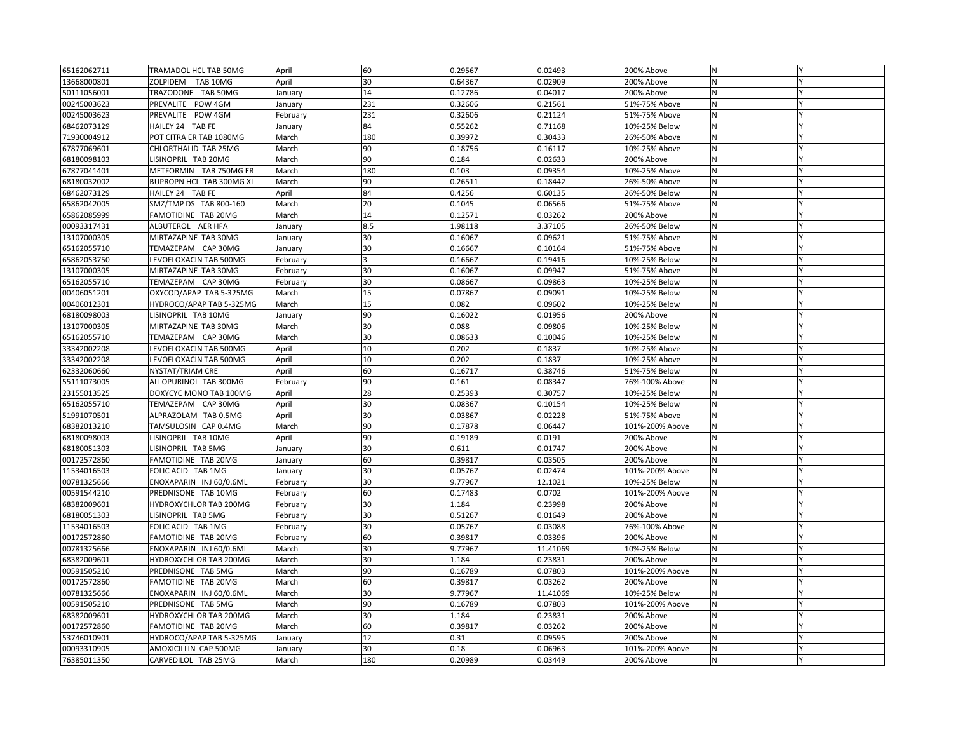| 65162062711 | TRAMADOL HCL TAB 50MG           | April          | 60       | 0.29567 | 0.02493  | 200% Above                  | N      |  |
|-------------|---------------------------------|----------------|----------|---------|----------|-----------------------------|--------|--|
| 13668000801 | ZOLPIDEM TAB 10MG               | April          | 30       | 0.64367 | 0.02909  | 200% Above                  | N      |  |
| 50111056001 | TRAZODONE TAB 50MG              | January        | 14       | 0.12786 | 0.04017  | 200% Above                  | N      |  |
| 00245003623 | PREVALITE POW 4GM               | January        | 231      | 0.32606 | 0.21561  | 51%-75% Above               |        |  |
| 00245003623 | PREVALITE POW 4GM               | February       | 231      | 0.32606 | 0.21124  | 51%-75% Above               | N      |  |
| 68462073129 | HAILEY 24 TAB FE                | January        | 84       | 0.55262 | 0.71168  | 10%-25% Below               |        |  |
| 71930004912 | POT CITRA ER TAB 1080MG         | March          | 180      | 0.39972 | 0.30433  | 26%-50% Above               | N      |  |
| 67877069601 | CHLORTHALID TAB 25MG            | March          | 90       | 0.18756 | 0.16117  | 10%-25% Above               |        |  |
| 68180098103 | LISINOPRIL TAB 20MG             | March          | 90       | 0.184   | 0.02633  | 200% Above                  | N      |  |
| 67877041401 | METFORMIN TAB 750MG ER          | March          | 180      | 0.103   | 0.09354  | 10%-25% Above               | N      |  |
| 68180032002 | <b>BUPROPN HCL TAB 300MG XL</b> | March          | 90       | 0.26511 | 0.18442  | 26%-50% Above               | N      |  |
| 68462073129 | HAILEY 24 TAB FE                | April          | 84       | 0.4256  | 0.60135  | 26%-50% Below               | N      |  |
| 65862042005 | SMZ/TMP DS TAB 800-160          | March          | 20       | 0.1045  | 0.06566  | 51%-75% Above               | N      |  |
| 65862085999 | FAMOTIDINE TAB 20MG             | March          | 14       | 0.12571 | 0.03262  | 200% Above                  | N      |  |
| 00093317431 | ALBUTEROL AER HFA               | January        | 8.5      | 1.98118 | 3.37105  | 26%-50% Below               | N      |  |
| 13107000305 | MIRTAZAPINE TAB 30MG            | January        | 30       | 0.16067 | 0.09621  | 51%-75% Above               | N      |  |
| 65162055710 | TEMAZEPAM CAP 30MG              | January        | 30       | 0.16667 | 0.10164  | 51%-75% Above               |        |  |
| 65862053750 | LEVOFLOXACIN TAB 500MG          | February       |          | 0.16667 | 0.19416  | 10%-25% Below               | N      |  |
| 13107000305 | MIRTAZAPINE TAB 30MG            | February       | 30       | 0.16067 | 0.09947  | 51%-75% Above               |        |  |
| 65162055710 | TEMAZEPAM CAP 30MG              | February       | 30       | 0.08667 | 0.09863  | 10%-25% Below               |        |  |
| 00406051201 | OXYCOD/APAP TAB 5-325MG         | March          | 15       | 0.07867 | 0.09091  | 10%-25% Below               | N      |  |
| 00406012301 | HYDROCO/APAP TAB 5-325MG        | March          | 15       | 0.082   | 0.09602  | 10%-25% Below               | N      |  |
| 68180098003 | LISINOPRIL TAB 10MG             | January        | 90       | 0.16022 | 0.01956  | 200% Above                  | N      |  |
| 13107000305 | MIRTAZAPINE TAB 30MG            | March          | 30       | 0.088   | 0.09806  | 10%-25% Below               |        |  |
| 65162055710 | TEMAZEPAM CAP 30MG              | March          | 30       | 0.08633 | 0.10046  | 10%-25% Below               | N      |  |
| 33342002208 | LEVOFLOXACIN TAB 500MG          | April          | 10       | 0.202   | 0.1837   | 10%-25% Above               | N      |  |
| 33342002208 | LEVOFLOXACIN TAB 500MG          | April          | 10       | 0.202   | 0.1837   | 10%-25% Above               | N      |  |
| 62332060660 | NYSTAT/TRIAM CRE                | April          | 60       | 0.16717 | 0.38746  | 51%-75% Below               | N      |  |
| 55111073005 | ALLOPURINOL TAB 300MG           | February       | 90       | 0.161   | 0.08347  | 76%-100% Above              | N      |  |
| 23155013525 | DOXYCYC MONO TAB 100MG          | April          | 28       | 0.25393 | 0.30757  | 10%-25% Below               | N      |  |
| 65162055710 | TEMAZEPAM CAP 30MG              | April          | 30       | 0.08367 | 0.10154  | 10%-25% Below               | N      |  |
| 51991070501 | ALPRAZOLAM TAB 0.5MG            | April          | 30       | 0.03867 | 0.02228  | 51%-75% Above               | N      |  |
| 68382013210 | TAMSULOSIN CAP 0.4MG            | March          | 90       | 0.17878 | 0.06447  | 101%-200% Above             | N      |  |
| 68180098003 | LISINOPRIL TAB 10MG             | April          | 90       | 0.19189 | 0.0191   | 200% Above                  | N      |  |
| 68180051303 | LISINOPRIL TAB 5MG              | January        | 30       | 0.611   | 0.01747  | 200% Above                  | N      |  |
| 00172572860 | FAMOTIDINE TAB 20MG             | January        | 60       | 0.39817 | 0.03505  | 200% Above                  | N      |  |
| 11534016503 | FOLIC ACID TAB 1MG              | January        | 30       | 0.05767 | 0.02474  | 101%-200% Above             | N      |  |
| 00781325666 | ENOXAPARIN INJ 60/0.6ML         | February       | 30       | 9.77967 | 12.1021  | 10%-25% Below               | N      |  |
| 00591544210 | PREDNISONE TAB 10MG             | February       | 60       | 0.17483 | 0.0702   | 101%-200% Above             | N      |  |
| 68382009601 | HYDROXYCHLOR TAB 200MG          | February       | 30       | 1.184   | 0.23998  | 200% Above                  | N      |  |
| 68180051303 | LISINOPRIL TAB 5MG              | February       | 30       | 0.51267 | 0.01649  | 200% Above                  | N      |  |
| 11534016503 | FOLIC ACID TAB 1MG              | February       | 30       | 0.05767 | 0.03088  | 76%-100% Above              | N      |  |
| 00172572860 | FAMOTIDINE TAB 20MG             | February       | 60       | 0.39817 | 0.03396  | 200% Above                  | N      |  |
| 00781325666 | ENOXAPARIN INJ 60/0.6ML         | March          | 30       | 9.77967 | 11.41069 |                             | N      |  |
| 68382009601 | HYDROXYCHLOR TAB 200MG          | March          | 30       | 1.184   | 0.23831  | 10%-25% Below<br>200% Above | N      |  |
| 00591505210 | PREDNISONE TAB 5MG              | March          | 90       | 0.16789 | 0.07803  |                             | N      |  |
|             |                                 |                |          |         |          | 101%-200% Above             | Ń      |  |
| 00172572860 | FAMOTIDINE TAB 20MG             | March<br>March | 60<br>30 | 0.39817 | 0.03262  | 200% Above                  | N      |  |
| 00781325666 | ENOXAPARIN INJ 60/0.6ML         |                |          | 9.77967 | 11.41069 | 10%-25% Below               |        |  |
| 00591505210 | PREDNISONE TAB 5MG              | March          | 90       | 0.16789 | 0.07803  | 101%-200% Above             | N<br>N |  |
| 68382009601 | HYDROXYCHLOR TAB 200MG          | March          | 30       | 1.184   | 0.23831  | 200% Above                  |        |  |
| 00172572860 | FAMOTIDINE TAB 20MG             | March          | 60       | 0.39817 | 0.03262  | 200% Above                  |        |  |
| 53746010901 | HYDROCO/APAP TAB 5-325MG        | January        | 12       | 0.31    | 0.09595  | 200% Above                  | N      |  |
| 00093310905 | AMOXICILLIN CAP 500MG           | January        | 30       | 0.18    | 0.06963  | 101%-200% Above             | N      |  |
| 76385011350 | CARVEDILOL TAB 25MG             | March          | 180      | 0.20989 | 0.03449  | 200% Above                  | N      |  |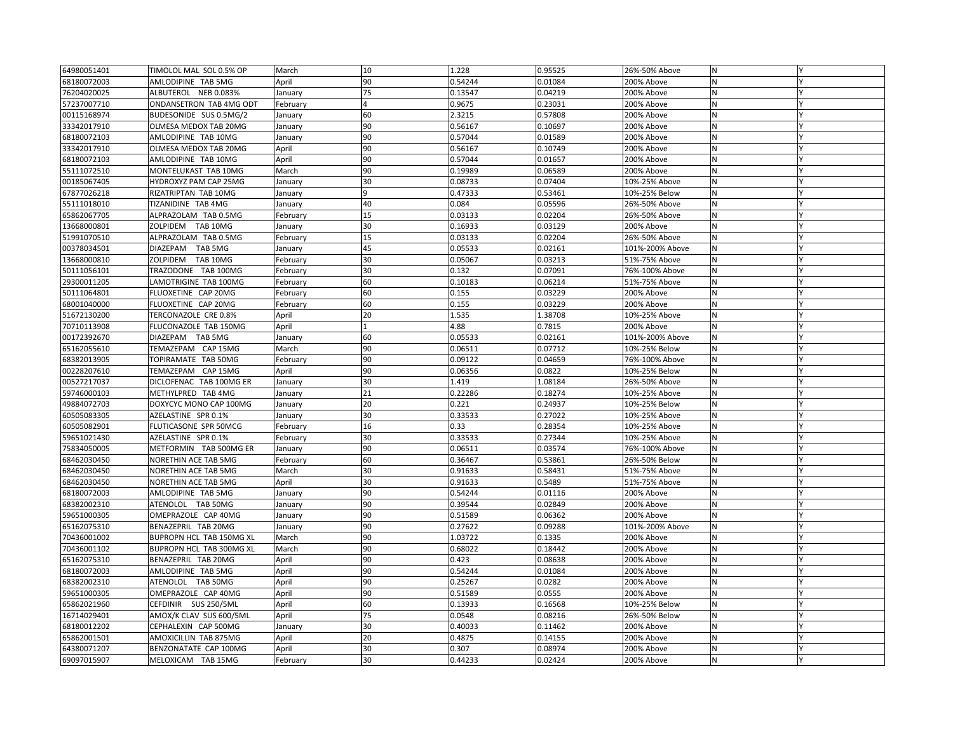| 64980051401                | TIMOLOL MAL SOL 0.5% OP         | March          | 10 | 1.228             | 0.95525            | 26%-50% Above            | N |  |
|----------------------------|---------------------------------|----------------|----|-------------------|--------------------|--------------------------|---|--|
| 68180072003                | AMLODIPINE TAB 5MG              | April          | 90 | 0.54244           | 0.01084            | 200% Above               | N |  |
| 76204020025                | ALBUTEROL NEB 0.083%            | January        | 75 | 0.13547           | 0.04219            | 200% Above               | N |  |
| 57237007710                | ONDANSETRON TAB 4MG ODT         | February       |    | 0.9675            | 0.23031            | 200% Above               | N |  |
| 00115168974                | BUDESONIDE SUS 0.5MG/2          | January        | 60 | 2.3215            | 0.57808            | 200% Above               | N |  |
| 33342017910                | OLMESA MEDOX TAB 20MG           | January        | 90 | 0.56167           | 0.10697            | 200% Above               | N |  |
| 68180072103                | AMLODIPINE TAB 10MG             | January        | 90 | 0.57044           | 0.01589            | 200% Above               | N |  |
| 33342017910                | OLMESA MEDOX TAB 20MG           | April          | 90 | 0.56167           | 0.10749            | 200% Above               | N |  |
| 68180072103                | AMLODIPINE TAB 10MG             | April          | 90 | 0.57044           | 0.01657            | 200% Above               | N |  |
| 55111072510                | MONTELUKAST TAB 10MG            | March          | 90 | 0.19989           | 0.06589            | 200% Above               | N |  |
| 00185067405                | HYDROXYZ PAM CAP 25MG           | January        | 30 | 0.08733           | 0.07404            | 10%-25% Above            | N |  |
| 67877026218                | RIZATRIPTAN TAB 10MG            | January        |    | 0.47333           | 0.53461            | 10%-25% Below            | N |  |
| 55111018010                | TIZANIDINE TAB 4MG              | January        | 40 | 0.084             | 0.05596            | 26%-50% Above            | N |  |
| 65862067705                | ALPRAZOLAM TAB 0.5MG            | February       | 15 | 0.03133           | 0.02204            | 26%-50% Above            | N |  |
| 13668000801                | ZOLPIDEM<br>TAB 10MG            | January        | 30 | 0.16933           | 0.03129            | 200% Above               | N |  |
| 51991070510                | ALPRAZOLAM TAB 0.5MG            | February       | 15 | 0.03133           | 0.02204            | 26%-50% Above            | N |  |
| 00378034501                | <b>DIAZEPAM</b><br>TAB 5MG      | January        | 45 | 0.05533           | 0.02161            | 101%-200% Above          |   |  |
| 13668000810                | ZOLPIDEM<br>TAB 10MG            | February       | 30 | 0.05067           | 0.03213            | 51%-75% Above            | N |  |
| 50111056101                | TRAZODONE TAB 100MG             | February       | 30 | 0.132             | 0.07091            | 76%-100% Above           | N |  |
| 29300011205                | LAMOTRIGINE TAB 100MG           | February       | 60 | 0.10183           | 0.06214            | 51%-75% Above            |   |  |
| 50111064801                | FLUOXETINE CAP 20MG             | February       | 60 | 0.155             | 0.03229            | 200% Above               |   |  |
| 68001040000                | FLUOXETINE CAP 20MG             | February       | 60 | 0.155             | 0.03229            | 200% Above               | N |  |
| 51672130200                | TERCONAZOLE CRE 0.8%            | April          | 20 | 1.535             | 1.38708            | 10%-25% Above            | N |  |
| 70710113908                | FLUCONAZOLE TAB 150MG           | April          |    | 4.88              | 0.7815             | 200% Above               | N |  |
| 00172392670                | <b>DIAZEPAM</b><br>TAB 5MG      | January        | 60 | 0.05533           | 0.02161            | 101%-200% Above          |   |  |
| 65162055610                | TEMAZEPAM CAP 15MG              | March          | 90 | 0.06511           | 0.07712            | 10%-25% Below            | N |  |
| 68382013905                | TOPIRAMATE TAB 50MG             | February       | 90 | 0.09122           | 0.04659            | 76%-100% Above           | N |  |
| 00228207610                | TEMAZEPAM<br>CAP 15MG           | April          | 90 | 0.06356           | 0.0822             | 10%-25% Below            | N |  |
| 00527217037                | DICLOFENAC TAB 100MG ER         | January        | 30 | 1.419             | 1.08184            | 26%-50% Above            | N |  |
| 59746000103                | METHYLPRED TAB 4MG              | January        | 21 | 0.22286           | 0.18274            | 10%-25% Above            | N |  |
| 49884072703                | DOXYCYC MONO CAP 100MG          | January        | 20 | 0.221             | 0.24937            | 10%-25% Below            | N |  |
| 60505083305                | AZELASTINE SPR 0.1%             | January        | 30 | 0.33533           | 0.27022            | 10%-25% Above            |   |  |
| 60505082901                | FLUTICASONE SPR 50MCG           | February       | 16 | 0.33              | 0.28354            | 10%-25% Above            | N |  |
| 59651021430                | AZELASTINE SPR 0.1%             | February       | 30 | 0.33533           | 0.27344            | 10%-25% Above            | N |  |
| 75834050005                | METFORMIN TAB 500MG ER          | January        | 90 | 0.06511           | 0.03574            | 76%-100% Above           | N |  |
| 68462030450                | <b>NORETHIN ACE TAB 5MG</b>     | February       | 60 | 0.36467           | 0.53861            | 26%-50% Below            | N |  |
| 68462030450                | <b>NORETHIN ACE TAB 5MG</b>     | March          | 30 | 0.91633           | 0.58431            | 51%-75% Above            | N |  |
| 68462030450                | NORETHIN ACE TAB 5MG            | April          | 30 | 0.91633           | 0.5489             | 51%-75% Above            | N |  |
| 68180072003                | AMLODIPINE TAB 5MG              | January        | 90 | 0.54244           | 0.01116            | 200% Above               | N |  |
| 68382002310                | ATENOLOL<br>TAB 50MG            | January        | 90 | 0.39544           | 0.02849            | 200% Above               |   |  |
| 59651000305                | OMEPRAZOLE CAP 40MG             | January        | 90 | 0.51589           | 0.06362            | 200% Above               | N |  |
| 65162075310                | BENAZEPRIL TAB 20MG             | January        | 90 | 0.27622           | 0.09288            | 101%-200% Above          | N |  |
| 70436001002                | BUPROPN HCL TAB 150MG XL        | March          | 90 | 1.03722           | 0.1335             | 200% Above               | N |  |
| 70436001102                | BUPROPN HCL TAB 300MG XL        | March          | 90 | 0.68022           | 0.18442            | 200% Above               | N |  |
| 65162075310                | BENAZEPRIL TAB 20MG             | April          | 90 | 0.423             | 0.08638            | 200% Above               | N |  |
| 68180072003                | AMLODIPINE TAB 5MG              | April          | 90 | 0.54244           | 0.01084            | 200% Above               |   |  |
| 68382002310                | <b>ATENOLOL</b>                 |                | 90 | 0.25267           | 0.0282             |                          | N |  |
| 59651000305                | TAB 50MG<br>OMEPRAZOLE CAP 40MG | April<br>April | 90 | 0.51589           | 0.0555             | 200% Above<br>200% Above | N |  |
| 65862021960                |                                 |                | 60 | 0.13933           |                    |                          | N |  |
|                            | CEFDINIR SUS 250/5ML            | April          | 75 |                   | 0.16568            | 10%-25% Below            | N |  |
| 16714029401<br>68180012202 | AMOX/K CLAV SUS 600/5ML         | April          | 30 | 0.0548<br>0.40033 | 0.08216<br>0.11462 | 26%-50% Below            | N |  |
|                            | CEPHALEXIN CAP 500MG            | January        | 20 |                   |                    | 200% Above               | N |  |
| 65862001501<br>64380071207 | AMOXICILLIN TAB 875MG           | April          | 30 | 0.4875<br>0.307   | 0.14155<br>0.08974 | 200% Above               | N |  |
|                            | BENZONATATE CAP 100MG           | April          |    |                   |                    | 200% Above               |   |  |
| 69097015907                | MELOXICAM TAB 15MG              | February       | 30 | 0.44233           | 0.02424            | 200% Above               | N |  |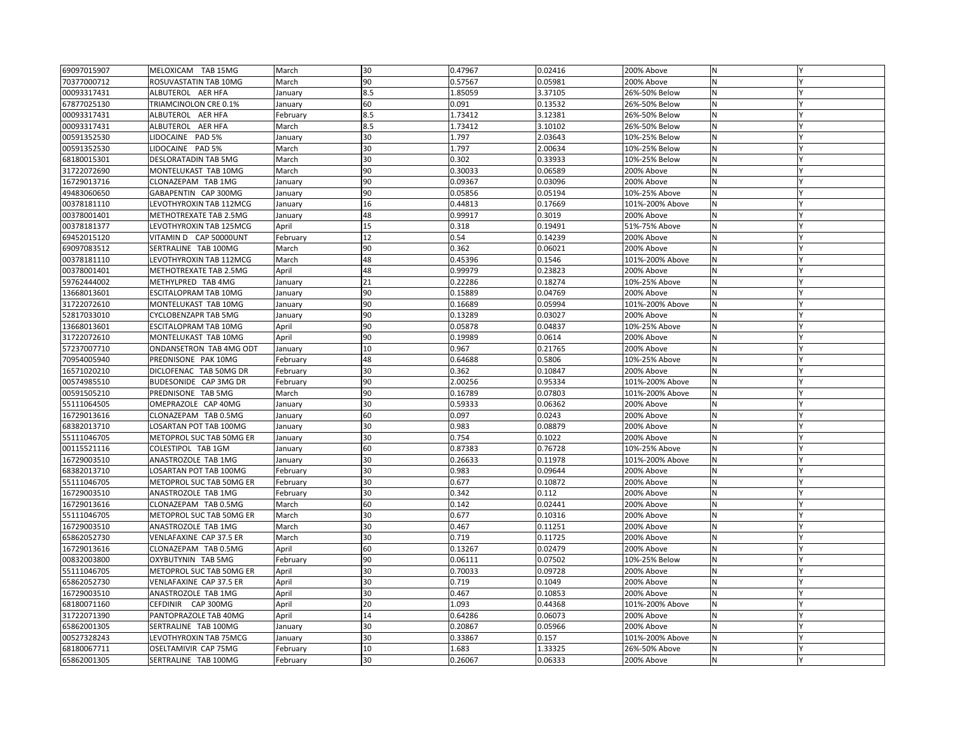| 69097015907 | MELOXICAM TAB 15MG                 | March    | 30  | 0.47967 | 0.02416 | 200% Above      | N |  |
|-------------|------------------------------------|----------|-----|---------|---------|-----------------|---|--|
| 70377000712 | ROSUVASTATIN TAB 10MG              | March    | 90  | 0.57567 | 0.05981 | 200% Above      | N |  |
| 00093317431 | ALBUTEROL AER HFA                  | January  | 8.5 | 1.85059 | 3.37105 | 26%-50% Below   | N |  |
| 67877025130 | TRIAMCINOLON CRE 0.1%              | January  | 60  | 0.091   | 0.13532 | 26%-50% Below   | N |  |
| 00093317431 | <b>ALBUTEROL</b><br><b>AER HFA</b> | February | 8.5 | 1.73412 | 3.12381 | 26%-50% Below   | N |  |
| 00093317431 | <b>ALBUTEROL</b><br>AER HFA        | March    | 8.5 | 1.73412 | 3.10102 | 26%-50% Below   | N |  |
| 00591352530 | LIDOCAINE<br><b>PAD 5%</b>         | January  | 30  | 1.797   | 2.03643 | 10%-25% Below   | N |  |
| 00591352530 | LIDOCAINE PAD 5%                   | March    | 30  | 1.797   | 2.00634 | 10%-25% Below   | N |  |
| 68180015301 | <b>DESLORATADIN TAB 5MG</b>        | March    | 30  | 0.302   | 0.33933 | 10%-25% Below   | N |  |
| 31722072690 | MONTELUKAST TAB 10MG               | March    | 90  | 0.30033 | 0.06589 | 200% Above      | N |  |
| 16729013716 | CLONAZEPAM TAB 1MG                 | January  | 90  | 0.09367 | 0.03096 | 200% Above      | N |  |
| 49483060650 | GABAPENTIN CAP 300MG               | January  | 90  | 0.05856 | 0.05194 | 10%-25% Above   | N |  |
| 00378181110 | LEVOTHYROXIN TAB 112MCG            | January  | 16  | 0.44813 | 0.17669 | 101%-200% Above | N |  |
| 00378001401 | METHOTREXATE TAB 2.5MG             | January  | 48  | 0.99917 | 0.3019  | 200% Above      | N |  |
| 00378181377 | LEVOTHYROXIN TAB 125MCG            | April    | 15  | 0.318   | 0.19491 | 51%-75% Above   | N |  |
| 69452015120 | VITAMIN D CAP 50000UNT             | February | 12  | 0.54    | 0.14239 | 200% Above      | N |  |
| 69097083512 | SERTRALINE TAB 100MG               | March    | 90  | 0.362   | 0.06021 | 200% Above      |   |  |
| 00378181110 | LEVOTHYROXIN TAB 112MCG            | March    | 48  | 0.45396 | 0.1546  | 101%-200% Above | N |  |
| 00378001401 | METHOTREXATE TAB 2.5MG             | April    | 48  | 0.99979 | 0.23823 | 200% Above      | N |  |
| 59762444002 | METHYLPRED TAB 4MG                 | January  | 21  | 0.22286 | 0.18274 | 10%-25% Above   | N |  |
| 13668013601 | <b>ESCITALOPRAM TAB 10MG</b>       | January  | 90  | 0.15889 | 0.04769 | 200% Above      | N |  |
| 31722072610 | MONTELUKAST TAB 10MG               | January  | 90  | 0.16689 | 0.05994 | 101%-200% Above | N |  |
| 52817033010 | CYCLOBENZAPR TAB 5MG               | January  | 90  | 0.13289 | 0.03027 | 200% Above      | N |  |
| 13668013601 | <b>ESCITALOPRAM TAB 10MG</b>       | April    | 90  | 0.05878 | 0.04837 | 10%-25% Above   | N |  |
| 31722072610 | MONTELUKAST TAB 10MG               | April    | 90  | 0.19989 | 0.0614  | 200% Above      | N |  |
| 57237007710 | ONDANSETRON TAB 4MG ODT            | January  | 10  | 0.967   | 0.21765 | 200% Above      | N |  |
| 70954005940 | PREDNISONE PAK 10MG                | February | 48  | 0.64688 | 0.5806  | 10%-25% Above   | N |  |
| 16571020210 | DICLOFENAC TAB 50MG DR             | February | 30  | 0.362   | 0.10847 | 200% Above      | N |  |
| 00574985510 | BUDESONIDE CAP 3MG DR              | February | 90  | 2.00256 | 0.95334 | 101%-200% Above | N |  |
| 00591505210 | PREDNISONE TAB 5MG                 | March    | 90  | 0.16789 | 0.07803 | 101%-200% Above | N |  |
| 55111064505 | OMEPRAZOLE CAP 40MG                | January  | 30  | 0.59333 | 0.06362 | 200% Above      | N |  |
| 16729013616 | CLONAZEPAM TAB 0.5MG               | January  | 60  | 0.097   | 0.0243  | 200% Above      | N |  |
| 68382013710 | LOSARTAN POT TAB 100MG             | January  | 30  | 0.983   | 0.08879 | 200% Above      | N |  |
| 55111046705 | METOPROL SUC TAB 50MG ER           | January  | 30  | 0.754   | 0.1022  | 200% Above      | N |  |
| 00115521116 | COLESTIPOL TAB 1GM                 | January  | 60  | 0.87383 | 0.76728 | 10%-25% Above   | N |  |
| 16729003510 | ANASTROZOLE TAB 1MG                | January  | 30  | 0.26633 | 0.11978 | 101%-200% Above | N |  |
| 68382013710 | LOSARTAN POT TAB 100MG             | February | 30  | 0.983   | 0.09644 | 200% Above      | N |  |
| 55111046705 | METOPROL SUC TAB 50MG ER           | February | 30  | 0.677   | 0.10872 | 200% Above      | N |  |
| 16729003510 | ANASTROZOLE TAB 1MG                | February | 30  | 0.342   | 0.112   | 200% Above      | N |  |
| 16729013616 | CLONAZEPAM TAB 0.5MG               | March    | 60  | 0.142   | 0.02441 | 200% Above      | N |  |
| 55111046705 | METOPROL SUC TAB 50MG ER           | March    | 30  | 0.677   | 0.10316 | 200% Above      | N |  |
| 16729003510 | ANASTROZOLE TAB 1MG                | March    | 30  | 0.467   | 0.11251 | 200% Above      | N |  |
| 65862052730 | VENLAFAXINE CAP 37.5 ER            | March    | 30  | 0.719   | 0.11725 | 200% Above      | N |  |
| 16729013616 | CLONAZEPAM TAB 0.5MG               | April    | 60  | 0.13267 | 0.02479 | 200% Above      | N |  |
| 00832003800 | OXYBUTYNIN TAB 5MG                 | February | 90  | 0.06111 | 0.07502 | 10%-25% Below   | N |  |
| 55111046705 | METOPROL SUC TAB 50MG ER           | April    | 30  | 0.70033 | 0.09728 | 200% Above      | N |  |
| 65862052730 | VENLAFAXINE CAP 37.5 ER            | April    | 30  | 0.719   | 0.1049  | 200% Above      | N |  |
| 16729003510 | ANASTROZOLE TAB 1MG                | April    | 30  | 0.467   | 0.10853 | 200% Above      | N |  |
| 68180071160 | CEFDINIR CAP 300MG                 | April    | 20  | 1.093   | 0.44368 | 101%-200% Above | N |  |
| 31722071390 | PANTOPRAZOLE TAB 40MG              | April    | 14  | 0.64286 | 0.06073 | 200% Above      | N |  |
| 65862001305 | SERTRALINE TAB 100MG               | January  | 30  | 0.20867 | 0.05966 | 200% Above      | N |  |
| 00527328243 | LEVOTHYROXIN TAB 75MCG             | January  | 30  | 0.33867 | 0.157   | 101%-200% Above | N |  |
| 68180067711 | OSELTAMIVIR CAP 75MG               | February | 10  | 1.683   | 1.33325 | 26%-50% Above   | N |  |
| 65862001305 | SERTRALINE TAB 100MG               | February | 30  | 0.26067 | 0.06333 | 200% Above      | N |  |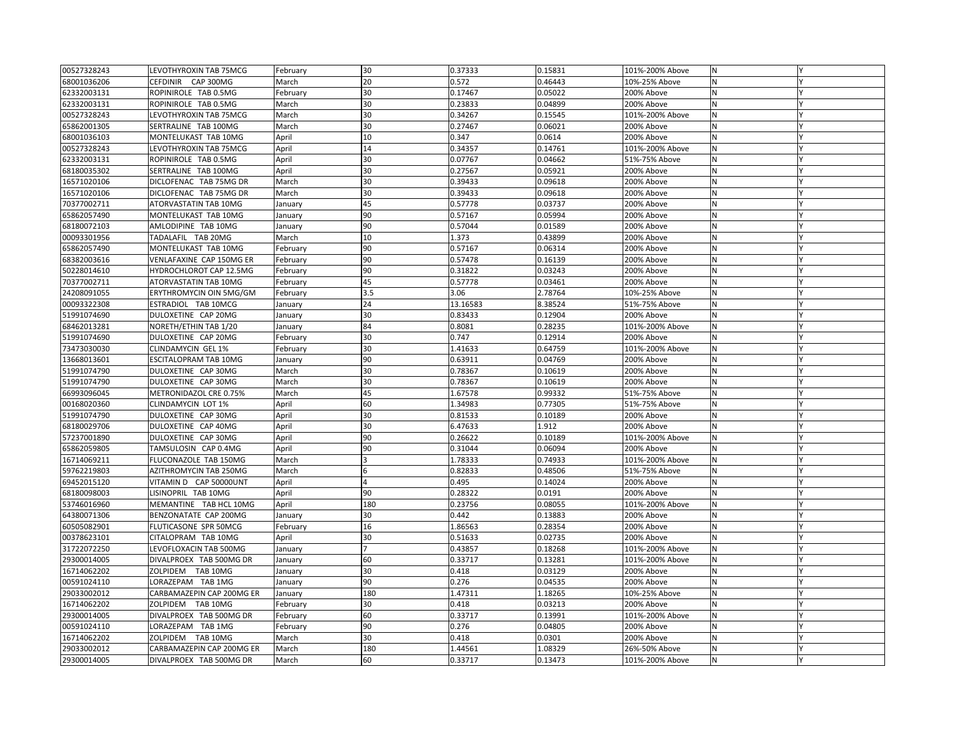| 00527328243 | LEVOTHYROXIN TAB 75MCG                          | February       | 30       | 0.37333          | 0.15831 | 101%-200% Above               | IN. |  |
|-------------|-------------------------------------------------|----------------|----------|------------------|---------|-------------------------------|-----|--|
| 68001036206 | CEFDINIR CAP 300MG                              | March          | 20       | 0.572            | 0.46443 | 10%-25% Above                 | N   |  |
| 62332003131 | ROPINIROLE TAB 0.5MG                            | February       | 30       | 0.17467          | 0.05022 | 200% Above                    | N   |  |
| 62332003131 | ROPINIROLE TAB 0.5MG                            | March          | 30       | 0.23833          | 0.04899 | 200% Above                    |     |  |
| 00527328243 | LEVOTHYROXIN TAB 75MCG                          | March          | 30       | 0.34267          | 0.15545 | 101%-200% Above               | N   |  |
| 65862001305 | SERTRALINE TAB 100MG                            | March          | 30       | 0.27467          | 0.06021 | 200% Above                    |     |  |
| 68001036103 | MONTELUKAST TAB 10MG                            | April          | 10       | 0.347            | 0.0614  | 200% Above                    | N   |  |
| 00527328243 | LEVOTHYROXIN TAB 75MCG                          | April          | 14       | 0.34357          | 0.14761 | 101%-200% Above               | N   |  |
| 62332003131 | ROPINIROLE TAB 0.5MG                            | April          | 30       | 0.07767          | 0.04662 | 51%-75% Above                 | N   |  |
| 68180035302 | SERTRALINE TAB 100MG                            | April          | 30       | 0.27567          | 0.05921 | 200% Above                    | N   |  |
| 16571020106 | DICLOFENAC TAB 75MG DR                          | March          | 30       | 0.39433          | 0.09618 | 200% Above                    | N   |  |
| 16571020106 | DICLOFENAC TAB 75MG DR                          | March          | 30       | 0.39433          | 0.09618 | 200% Above                    | N   |  |
| 70377002711 | ATORVASTATIN TAB 10MG                           | January        | 45       | 0.57778          | 0.03737 | 200% Above                    | N   |  |
| 65862057490 | MONTELUKAST TAB 10MG                            | January        | 90       | 0.57167          | 0.05994 | 200% Above                    | N   |  |
| 68180072103 | AMLODIPINE TAB 10MG                             | January        | 90       | 0.57044          | 0.01589 | 200% Above                    | N   |  |
| 00093301956 | TADALAFIL TAB 20MG                              | March          | 10       | 1.373            | 0.43899 | 200% Above                    | N   |  |
| 65862057490 | MONTELUKAST TAB 10MG                            | February       | 90       | 0.57167          | 0.06314 | 200% Above                    |     |  |
| 68382003616 | VENLAFAXINE CAP 150MG ER                        | February       | 90       | 0.57478          | 0.16139 | 200% Above                    | N   |  |
| 50228014610 | HYDROCHLOROT CAP 12.5MG                         | February       | 90       | 0.31822          | 0.03243 | 200% Above                    |     |  |
| 70377002711 | ATORVASTATIN TAB 10MG                           | February       | 45       | 0.57778          | 0.03461 | 200% Above                    |     |  |
| 24208091055 | ERYTHROMYCIN OIN 5MG/GM                         | February       | 3.5      | 3.06             | 2.78764 | 10%-25% Above                 | N   |  |
| 00093322308 | ESTRADIOL TAB 10MCG                             | January        | 24       | 13.16583         | 8.38524 | 51%-75% Above                 | N   |  |
| 51991074690 | DULOXETINE CAP 20MG                             | January        | 30       | 0.83433          | 0.12904 | 200% Above                    | N   |  |
| 68462013281 | NORETH/ETHIN TAB 1/20                           | January        | 84       | 0.8081           | 0.28235 | 101%-200% Above               | N   |  |
| 51991074690 | DULOXETINE CAP 20MG                             | February       | 30       | 0.747            | 0.12914 | 200% Above                    | N   |  |
| 73473030030 | <b>CLINDAMYCIN GEL 1%</b>                       | February       | 30       | 1.41633          | 0.64759 | 101%-200% Above               | N   |  |
| 13668013601 | <b>ESCITALOPRAM TAB 10MG</b>                    | January        | 90       | 0.63911          | 0.04769 | 200% Above                    | N   |  |
| 51991074790 | DULOXETINE CAP 30MG                             | March          | 30       | 0.78367          | 0.10619 | 200% Above                    | N   |  |
| 51991074790 | DULOXETINE CAP 30MG                             | March          | 30       | 0.78367          | 0.10619 | 200% Above                    | N   |  |
| 66993096045 | METRONIDAZOL CRE 0.75%                          | March          | 45       | 1.67578          | 0.99332 | 51%-75% Above                 | N   |  |
| 00168020360 | CLINDAMYCIN LOT 1%                              | April          | 60       | 1.34983          | 0.77305 | 51%-75% Above                 | N   |  |
| 51991074790 | DULOXETINE CAP 30MG                             | April          | 30       | 0.81533          | 0.10189 | 200% Above                    | N   |  |
| 68180029706 | DULOXETINE CAP 40MG                             | April          | 30       | 6.47633          | 1.912   | 200% Above                    | N   |  |
| 57237001890 | DULOXETINE CAP 30MG                             | April          | 90       | 0.26622          | 0.10189 | 101%-200% Above               | N   |  |
| 65862059805 | TAMSULOSIN CAP 0.4MG                            | April          | 90       | 0.31044          | 0.06094 | 200% Above                    | N   |  |
| 16714069211 | FLUCONAZOLE TAB 150MG                           | March          |          | 1.78333          | 0.74933 | 101%-200% Above               | N   |  |
| 59762219803 | AZITHROMYCIN TAB 250MG                          | March          |          | 0.82833          | 0.48506 | 51%-75% Above                 | N   |  |
| 69452015120 | VITAMIN D CAP 50000UNT                          | April          |          | 0.495            | 0.14024 | 200% Above                    | N   |  |
| 68180098003 | LISINOPRIL TAB 10MG                             | April          | 90       | 0.28322          | 0.0191  | 200% Above                    | N   |  |
| 53746016960 | MEMANTINE TAB HCL 10MG                          | April          | 180      | 0.23756          | 0.08055 | 101%-200% Above               | N   |  |
| 64380071306 | BENZONATATE CAP 200MG                           | January        | 30       | 0.442            | 0.13883 | 200% Above                    | N   |  |
| 60505082901 | FLUTICASONE SPR 50MCG                           | February       | 16       | 1.86563          | 0.28354 | 200% Above                    | N   |  |
| 00378623101 | CITALOPRAM TAB 10MG                             | April          | 30       | 0.51633          | 0.02735 | 200% Above                    | N   |  |
| 31722072250 | LEVOFLOXACIN TAB 500MG                          | January        |          | 0.43857          | 0.18268 | 101%-200% Above               | N   |  |
| 29300014005 | DIVALPROEX TAB 500MG DR                         | January        | 60       | 0.33717          | 0.13281 | 101%-200% Above               | N   |  |
| 16714062202 | ZOLPIDEM<br>TAB 10MG                            | January        | 30       | 0.418            | 0.03129 | 200% Above                    | N   |  |
| 00591024110 | LORAZEPAM TAB 1MG                               | January        | 90       | 0.276            | 0.04535 | 200% Above                    | N   |  |
| 29033002012 | CARBAMAZEPIN CAP 200MG ER                       | January        | 180      | 1.47311          | 1.18265 | 10%-25% Above                 | N   |  |
| 16714062202 | ZOLPIDEM<br>TAB 10MG                            |                | 30       | 0.418            | 0.03213 | 200% Above                    | N   |  |
| 29300014005 |                                                 | February       |          |                  | 0.13991 |                               | N   |  |
| 00591024110 | DIVALPROEX TAB 500MG DR<br>LORAZEPAM<br>TAB 1MG | February       | 60<br>90 | 0.33717<br>0.276 | 0.04805 | 101%-200% Above<br>200% Above |     |  |
| 16714062202 | ZOLPIDEM                                        | February       | 30       | 0.418            | 0.0301  |                               | N   |  |
| 29033002012 | TAB 10MG<br>CARBAMAZEPIN CAP 200MG ER           | March<br>March | 180      | 1.44561          | 1.08329 | 200% Above<br>26%-50% Above   | N   |  |
|             |                                                 |                | 60       |                  |         |                               |     |  |
| 29300014005 | DIVALPROEX TAB 500MG DR                         | March          |          | 0.33717          | 0.13473 | 101%-200% Above               | Ν   |  |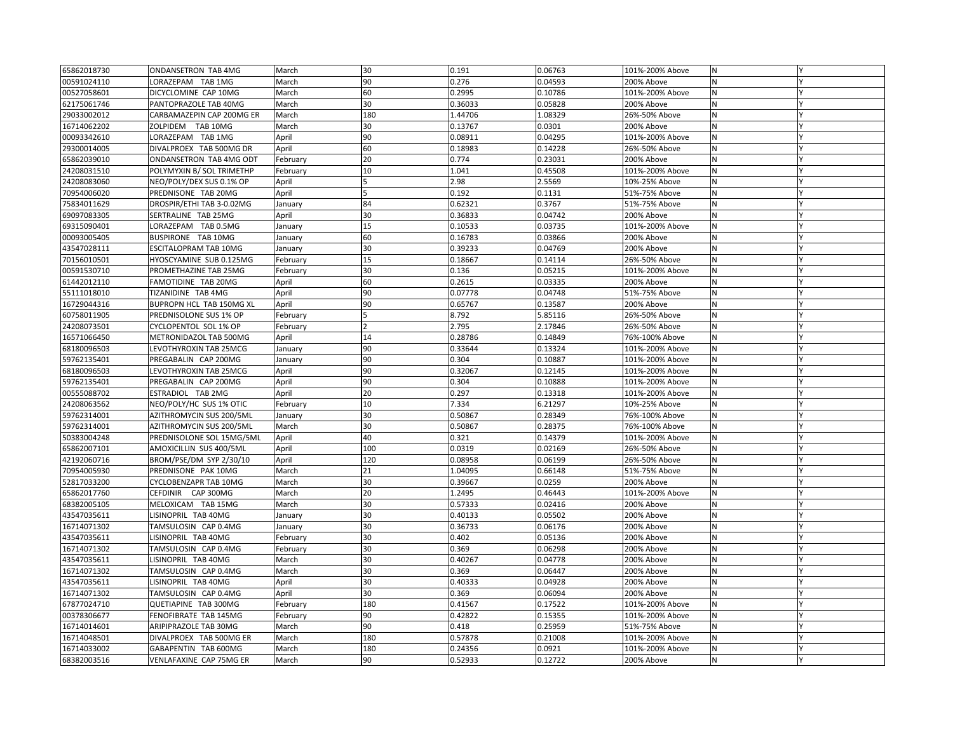| 65862018730 | <b>ONDANSETRON TAB 4MG</b>     | March    | 30  | 0.191   | 0.06763 | 101%-200% Above | <b>N</b> |  |
|-------------|--------------------------------|----------|-----|---------|---------|-----------------|----------|--|
| 00591024110 | LORAZEPAM TAB 1MG              | March    | 90  | 0.276   | 0.04593 | 200% Above      | N        |  |
| 00527058601 | DICYCLOMINE CAP 10MG           | March    | 60  | 0.2995  | 0.10786 | 101%-200% Above | N        |  |
| 62175061746 | PANTOPRAZOLE TAB 40MG          | March    | 30  | 0.36033 | 0.05828 | 200% Above      |          |  |
| 29033002012 | CARBAMAZEPIN CAP 200MG ER      | March    | 180 | 1.44706 | 1.08329 | 26%-50% Above   | N        |  |
| 16714062202 | ZOLPIDEM<br>TAB 10MG           | March    | 30  | 0.13767 | 0.0301  | 200% Above      |          |  |
| 00093342610 | LORAZEPAM TAB 1MG              | April    | 90  | 0.08911 | 0.04295 | 101%-200% Above | N        |  |
| 29300014005 | DIVALPROEX TAB 500MG DR        | April    | 60  | 0.18983 | 0.14228 | 26%-50% Above   |          |  |
| 65862039010 | ONDANSETRON TAB 4MG ODT        | February | 20  | 0.774   | 0.23031 | 200% Above      | N        |  |
| 24208031510 | POLYMYXIN B/ SOL TRIMETHP      | February | 10  | 1.041   | 0.45508 | 101%-200% Above | N        |  |
| 24208083060 | NEO/POLY/DEX SUS 0.1% OP       | April    |     | 2.98    | 2.5569  | 10%-25% Above   | N        |  |
| 70954006020 | PREDNISONE TAB 20MG            | April    |     | 0.192   | 0.1131  | 51%-75% Above   | N        |  |
| 75834011629 | DROSPIR/ETHI TAB 3-0.02MG      | January  | 84  | 0.62321 | 0.3767  | 51%-75% Above   | N        |  |
| 69097083305 | SERTRALINE TAB 25MG            | April    | 30  | 0.36833 | 0.04742 | 200% Above      | N        |  |
| 69315090401 | LORAZEPAM<br>TAB 0.5MG         | January  | 15  | 0.10533 | 0.03735 | 101%-200% Above | N        |  |
| 00093005405 | <b>BUSPIRONE TAB 10MG</b>      | January  | 60  | 0.16783 | 0.03866 | 200% Above      | N        |  |
| 43547028111 | <b>ESCITALOPRAM TAB 10MG</b>   | January  | 30  | 0.39233 | 0.04769 | 200% Above      | N        |  |
| 70156010501 | HYOSCYAMINE SUB 0.125MG        | February | 15  | 0.18667 | 0.14114 | 26%-50% Above   | N        |  |
| 00591530710 | PROMETHAZINE TAB 25MG          | February | 30  | 0.136   | 0.05215 | 101%-200% Above | N        |  |
| 61442012110 | FAMOTIDINE TAB 20MG            | April    | 60  | 0.2615  | 0.03335 | 200% Above      |          |  |
| 55111018010 | TIZANIDINE TAB 4MG             | April    | 90  | 0.07778 | 0.04748 | 51%-75% Above   | N        |  |
| 16729044316 | BUPROPN HCL TAB 150MG XL       | April    | 90  | 0.65767 | 0.13587 | 200% Above      | N        |  |
| 60758011905 | PREDNISOLONE SUS 1% OP         | February |     | 8.792   | 5.85116 | 26%-50% Above   | N        |  |
| 24208073501 | <b>CYCLOPENTOL SOL 1% OP</b>   | February |     | 2.795   | 2.17846 | 26%-50% Above   | N        |  |
| 16571066450 | METRONIDAZOL TAB 500MG         | April    | 14  | 0.28786 | 0.14849 | 76%-100% Above  | N        |  |
| 68180096503 | LEVOTHYROXIN TAB 25MCG         | January  | 90  | 0.33644 | 0.13324 | 101%-200% Above | N        |  |
| 59762135401 | PREGABALIN CAP 200MG           | January  | 90  | 0.304   | 0.10887 | 101%-200% Above | N        |  |
| 68180096503 | LEVOTHYROXIN TAB 25MCG         | April    | 90  | 0.32067 | 0.12145 | 101%-200% Above | N        |  |
| 59762135401 | PREGABALIN CAP 200MG           | April    | 90  | 0.304   | 0.10888 | 101%-200% Above | N        |  |
| 00555088702 | ESTRADIOL TAB 2MG              | April    | 20  | 0.297   | 0.13318 | 101%-200% Above | N        |  |
| 24208063562 | NEO/POLY/HC SUS 1% OTIC        | February | 10  | 7.334   | 6.21297 | 10%-25% Above   | N        |  |
| 59762314001 | AZITHROMYCIN SUS 200/5ML       | January  | 30  | 0.50867 | 0.28349 | 76%-100% Above  | N        |  |
| 59762314001 | AZITHROMYCIN SUS 200/5ML       | March    | 30  | 0.50867 | 0.28375 | 76%-100% Above  |          |  |
| 50383004248 | PREDNISOLONE SOL 15MG/5ML      | April    | 40  | 0.321   | 0.14379 | 101%-200% Above | N        |  |
| 65862007101 | AMOXICILLIN SUS 400/5ML        | April    | 100 | 0.0319  | 0.02169 | 26%-50% Above   | N        |  |
| 42192060716 | BROM/PSE/DM SYP 2/30/10        | April    | 120 | 0.08958 | 0.06199 | 26%-50% Above   | N        |  |
| 70954005930 | PREDNISONE PAK 10MG            | March    | 21  | 1.04095 | 0.66148 | 51%-75% Above   | N        |  |
| 52817033200 | CYCLOBENZAPR TAB 10MG          | March    | 30  | 0.39667 | 0.0259  | 200% Above      | N        |  |
| 65862017760 | <b>CEFDINIR</b><br>CAP 300MG   | March    | 20  | 1.2495  | 0.46443 | 101%-200% Above | N        |  |
| 68382005105 | MELOXICAM TAB 15MG             | March    | 30  | 0.57333 | 0.02416 | 200% Above      |          |  |
| 43547035611 | LISINOPRIL TAB 40MG            | January  | 30  | 0.40133 | 0.05502 | 200% Above      | N        |  |
| 16714071302 | TAMSULOSIN CAP 0.4MG           | January  | 30  | 0.36733 | 0.06176 | 200% Above      | N        |  |
| 43547035611 | LISINOPRIL TAB 40MG            | February | 30  | 0.402   | 0.05136 | 200% Above      | N        |  |
| 16714071302 | TAMSULOSIN CAP 0.4MG           | February | 30  | 0.369   | 0.06298 | 200% Above      | N        |  |
| 43547035611 | LISINOPRIL TAB 40MG            | March    | 30  | 0.40267 | 0.04778 | 200% Above      | N        |  |
| 16714071302 | TAMSULOSIN CAP 0.4MG           | March    | 30  | 0.369   | 0.06447 | 200% Above      |          |  |
| 43547035611 | LISINOPRIL TAB 40MG            | April    | 30  | 0.40333 | 0.04928 | 200% Above      | N        |  |
| 16714071302 | TAMSULOSIN CAP 0.4MG           | April    | 30  | 0.369   | 0.06094 | 200% Above      | N        |  |
| 67877024710 | QUETIAPINE TAB 300MG           | February | 180 | 0.41567 | 0.17522 | 101%-200% Above | N        |  |
| 00378306677 | FENOFIBRATE TAB 145MG          | February | 90  | 0.42822 | 0.15355 | 101%-200% Above | N        |  |
| 16714014601 | ARIPIPRAZOLE TAB 30MG          | March    | 90  | 0.418   | 0.25959 | 51%-75% Above   | N        |  |
| 16714048501 | DIVALPROEX TAB 500MG ER        | March    | 180 | 0.57878 | 0.21008 | 101%-200% Above | N        |  |
| 16714033002 | GABAPENTIN TAB 600MG           | March    | 180 | 0.24356 | 0.0921  | 101%-200% Above | N        |  |
| 68382003516 | <b>VENLAFAXINE CAP 75MG ER</b> | March    | 90  | 0.52933 | 0.12722 | 200% Above      | N        |  |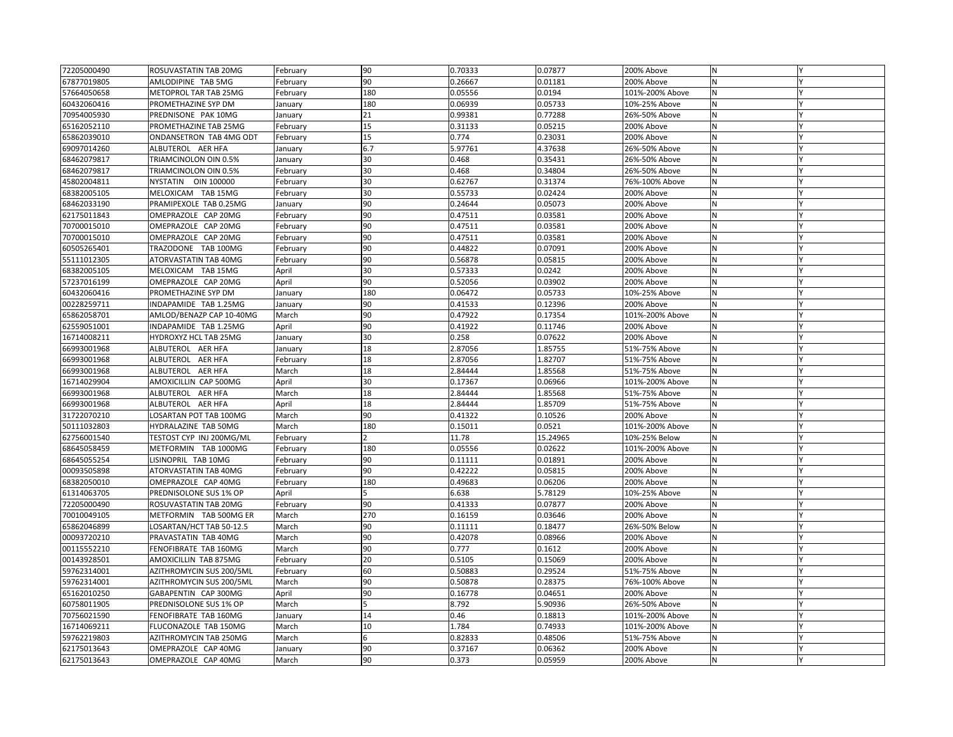| 72205000490                | ROSUVASTATIN TAB 20MG                         | February | 90  | 0.70333            | 0.07877            | 200% Above                  | N      |  |
|----------------------------|-----------------------------------------------|----------|-----|--------------------|--------------------|-----------------------------|--------|--|
| 67877019805                | AMLODIPINE TAB 5MG                            | February | 90  | 0.26667            | 0.01181            | 200% Above                  | N      |  |
| 57664050658                | METOPROL TAR TAB 25MG                         | February | 180 | 0.05556            | 0.0194             | 101%-200% Above             | N      |  |
| 60432060416                | PROMETHAZINE SYP DM                           | January  | 180 | 0.06939            | 0.05733            | 10%-25% Above               |        |  |
| 70954005930                | PREDNISONE PAK 10MG                           | January  | 21  | 0.99381            | 0.77288            | 26%-50% Above               | N      |  |
| 65162052110                | PROMETHAZINE TAB 25MG                         | February | 15  | 0.31133            | 0.05215            | 200% Above                  | N      |  |
| 65862039010                | ONDANSETRON TAB 4MG ODT                       | February | 15  | 0.774              | 0.23031            | 200% Above                  | N      |  |
| 69097014260                | ALBUTEROL AER HFA                             | January  | 6.7 | 5.97761            | 4.37638            | 26%-50% Above               | N      |  |
| 68462079817                | TRIAMCINOLON OIN 0.5%                         | January  | 30  | 0.468              | 0.35431            | 26%-50% Above               | N      |  |
| 68462079817                | TRIAMCINOLON OIN 0.5%                         | February | 30  | 0.468              | 0.34804            | 26%-50% Above               | N      |  |
| 45802004811                | NYSTATIN OIN 100000                           | February | 30  | 0.62767            | 0.31374            | 76%-100% Above              | N      |  |
| 68382005105                | MELOXICAM TAB 15MG                            | February | 30  | 0.55733            | 0.02424            | 200% Above                  | N      |  |
| 68462033190                | PRAMIPEXOLE TAB 0.25MG                        | January  | 90  | 0.24644            | 0.05073            | 200% Above                  | N      |  |
| 62175011843                | OMEPRAZOLE CAP 20MG                           | February | 90  | 0.47511            | 0.03581            | 200% Above                  | N      |  |
| 70700015010                | OMEPRAZOLE CAP 20MG                           | February | 90  | 0.47511            | 0.03581            | 200% Above                  | N      |  |
| 70700015010                | OMEPRAZOLE CAP 20MG                           | February | 90  | 0.47511            | 0.03581            | 200% Above                  | N      |  |
| 60505265401                | TRAZODONE TAB 100MG                           | February | 90  | 0.44822            | 0.07091            | 200% Above                  | N      |  |
| 55111012305                | ATORVASTATIN TAB 40MG                         | February | 90  | 0.56878            | 0.05815            | 200% Above                  | N      |  |
| 68382005105                | MELOXICAM TAB 15MG                            | April    | 30  | 0.57333            | 0.0242             | 200% Above                  | N      |  |
| 57237016199                | OMEPRAZOLE CAP 20MG                           | April    | 90  | 0.52056            | 0.03902            | 200% Above                  | N      |  |
| 60432060416                | PROMETHAZINE SYP DM                           | January  | 180 | 0.06472            | 0.05733            | 10%-25% Above               |        |  |
| 00228259711                | INDAPAMIDE TAB 1.25MG                         | January  | 90  | 0.41533            | 0.12396            | 200% Above                  | N      |  |
| 65862058701                | AMLOD/BENAZP CAP 10-40MG                      | March    | 90  | 0.47922            | 0.17354            | 101%-200% Above             | N      |  |
| 62559051001                | INDAPAMIDE TAB 1.25MG                         | April    | 90  | 0.41922            | 0.11746            | 200% Above                  | N      |  |
| 16714008211                | HYDROXYZ HCL TAB 25MG                         | January  | 30  | 0.258              | 0.07622            | 200% Above                  |        |  |
| 66993001968                | ALBUTEROL AER HFA                             | January  | 18  | 2.87056            | 1.85755            | 51%-75% Above               | N      |  |
| 66993001968                | ALBUTEROL<br>AER HFA                          | February | 18  | 2.87056            | 1.82707            | 51%-75% Above               | N      |  |
| 66993001968                | ALBUTEROL<br>AER HFA                          | March    | 18  | 2.84444            | 1.85568            | 51%-75% Above               | N      |  |
| 16714029904                | AMOXICILLIN CAP 500MG                         | April    | 30  | 0.17367            | 0.06966            | 101%-200% Above             | N      |  |
| 66993001968                | ALBUTEROL<br><b>AER HFA</b>                   | March    | 18  | 2.84444            | 1.85568            | 51%-75% Above               | N      |  |
| 66993001968                | ALBUTEROL<br>AER HFA                          | April    | 18  | 2.84444            | 1.85709            | 51%-75% Above               | N      |  |
| 31722070210                | LOSARTAN POT TAB 100MG                        | March    | 90  | 0.41322            | 0.10526            | 200% Above                  | Ν      |  |
| 50111032803                | HYDRALAZINE TAB 50MG                          | March    | 180 | 0.15011            | 0.0521             | 101%-200% Above             | N      |  |
| 62756001540                | TESTOST CYP INJ 200MG/ML                      | February |     | 11.78              | 15.24965           | 10%-25% Below               | N      |  |
| 68645058459                | METFORMIN TAB 1000MG                          | February | 180 | 0.05556            | 0.02622            | 101%-200% Above             | N      |  |
| 68645055254                | LISINOPRIL TAB 10MG                           | February | 90  | 0.11111            | 0.01891            | 200% Above                  | N      |  |
| 00093505898                | ATORVASTATIN TAB 40MG                         | February | 90  | 0.42222            | 0.05815            | 200% Above                  | N      |  |
| 68382050010                | OMEPRAZOLE CAP 40MG                           | February | 180 | 0.49683            | 0.06206            | 200% Above                  | N      |  |
| 61314063705                | PREDNISOLONE SUS 1% OP                        | April    |     | 6.638              | 5.78129            | 10%-25% Above               | N      |  |
| 72205000490                | ROSUVASTATIN TAB 20MG                         | February | 90  | 0.41333            | 0.07877            | 200% Above                  | N      |  |
| 70010049105                | METFORMIN TAB 500MG ER                        | March    | 270 | 0.16159            | 0.03646            | 200% Above                  | N      |  |
| 65862046899                | LOSARTAN/HCT TAB 50-12.5                      | March    | 90  | 0.11111            | 0.18477            | 26%-50% Below               | N      |  |
| 00093720210                | PRAVASTATIN TAB 40MG                          | March    | 90  | 0.42078            | 0.08966            | 200% Above                  | N      |  |
| 00115552210                | FENOFIBRATE TAB 160MG                         | March    | 90  | 0.777              | 0.1612             | 200% Above                  | N      |  |
| 00143928501                | AMOXICILLIN TAB 875MG                         | February | 20  | 0.5105             | 0.15069            | 200% Above                  | N      |  |
| 59762314001                | AZITHROMYCIN SUS 200/5ML                      | February | 60  | 0.50883            | 0.29524            | 51%-75% Above               |        |  |
| 59762314001                | AZITHROMYCIN SUS 200/5ML                      | March    | 90  | 0.50878            | 0.28375            | 76%-100% Above              | N      |  |
| 65162010250                | GABAPENTIN CAP 300MG                          | April    | 90  | 0.16778            | 0.04651            | 200% Above                  | N      |  |
| 60758011905                | PREDNISOLONE SUS 1% OP                        | March    | 14  | 8.792<br>0.46      | 5.90936            | 26%-50% Above               | N      |  |
| 70756021590                | FENOFIBRATE TAB 160MG                         | January  | 10  |                    | 0.18813            | 101%-200% Above             | N      |  |
| 16714069211                | FLUCONAZOLE TAB 150MG                         | March    |     | 1.784              | 0.74933            | 101%-200% Above             |        |  |
| 59762219803<br>62175013643 | AZITHROMYCIN TAB 250MG<br>OMEPRAZOLE CAP 40MG | March    | 90  | 0.82833<br>0.37167 | 0.48506<br>0.06362 | 51%-75% Above<br>200% Above | N<br>N |  |
| 62175013643                | OMEPRAZOLE CAP 40MG                           | January  | 90  | 0.373              | 0.05959            |                             | N      |  |
|                            |                                               | March    |     |                    |                    | 200% Above                  |        |  |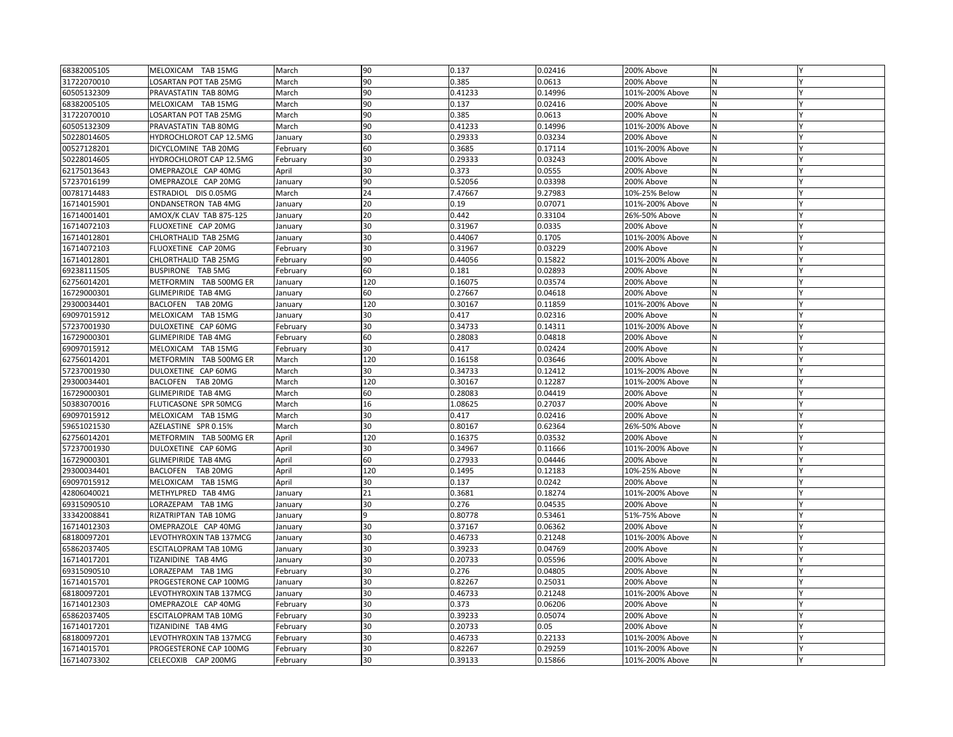| 68382005105 | MELOXICAM TAB 15MG               | March    | 90  | 0.137   | 0.02416 | 200% Above      | N |  |
|-------------|----------------------------------|----------|-----|---------|---------|-----------------|---|--|
| 31722070010 | LOSARTAN POT TAB 25MG            | March    | 90  | 0.385   | 0.0613  | 200% Above      | N |  |
| 60505132309 | PRAVASTATIN TAB 80MG             | March    | 90  | 0.41233 | 0.14996 | 101%-200% Above | N |  |
| 68382005105 | MELOXICAM TAB 15MG               | March    | 90  | 0.137   | 0.02416 | 200% Above      | N |  |
| 31722070010 | <b>LOSARTAN POT TAB 25MG</b>     | March    | 90  | 0.385   | 0.0613  | 200% Above      | N |  |
| 60505132309 | PRAVASTATIN TAB 80MG             | March    | 90  | 0.41233 | 0.14996 | 101%-200% Above | N |  |
| 50228014605 | HYDROCHLOROT CAP 12.5MG          | January  | 30  | 0.29333 | 0.03234 | 200% Above      | N |  |
| 00527128201 | DICYCLOMINE TAB 20MG             | February | 60  | 0.3685  | 0.17114 | 101%-200% Above | N |  |
| 50228014605 | HYDROCHLOROT CAP 12.5MG          | February | 30  | 0.29333 | 0.03243 | 200% Above      | N |  |
| 62175013643 | OMEPRAZOLE CAP 40MG              | April    | 30  | 0.373   | 0.0555  | 200% Above      | N |  |
| 57237016199 | OMEPRAZOLE CAP 20MG              | January  | 90  | 0.52056 | 0.03398 | 200% Above      | N |  |
| 00781714483 | ESTRADIOL DIS 0.05MG             | March    | 24  | 7.47667 | 9.27983 | 10%-25% Below   | N |  |
| 16714015901 | <b>ONDANSETRON TAB 4MG</b>       | January  | 20  | 0.19    | 0.07071 | 101%-200% Above | N |  |
| 16714001401 | AMOX/K CLAV TAB 875-125          | January  | 20  | 0.442   | 0.33104 | 26%-50% Above   | N |  |
| 16714072103 | FLUOXETINE CAP 20MG              | January  | 30  | 0.31967 | 0.0335  | 200% Above      | N |  |
| 16714012801 | CHLORTHALID TAB 25MG             | January  | 30  | 0.44067 | 0.1705  | 101%-200% Above | N |  |
| 16714072103 | FLUOXETINE CAP 20MG              | February | 30  | 0.31967 | 0.03229 | 200% Above      |   |  |
| 16714012801 | CHLORTHALID TAB 25MG             | February | 90  | 0.44056 | 0.15822 | 101%-200% Above | N |  |
| 69238111505 | <b>BUSPIRONE TAB 5MG</b>         | February | 60  | 0.181   | 0.02893 | 200% Above      | N |  |
| 62756014201 | METFORMIN TAB 500MG ER           | January  | 120 | 0.16075 | 0.03574 | 200% Above      | N |  |
| 16729000301 | <b>GLIMEPIRIDE TAB 4MG</b>       | January  | 60  | 0.27667 | 0.04618 | 200% Above      | N |  |
| 29300034401 | <b>BACLOFEN</b><br>TAB 20MG      | January  | 120 | 0.30167 | 0.11859 | 101%-200% Above | N |  |
| 69097015912 | MELOXICAM<br>TAB 15MG            | January  | 30  | 0.417   | 0.02316 | 200% Above      | N |  |
| 57237001930 | DULOXETINE CAP 60MG              | February | 30  | 0.34733 | 0.14311 | 101%-200% Above | N |  |
| 16729000301 | <b>GLIMEPIRIDE TAB 4MG</b>       | February | 60  | 0.28083 | 0.04818 | 200% Above      | N |  |
| 69097015912 | MELOXICAM<br>TAB 15MG            | February | 30  | 0.417   | 0.02424 | 200% Above      | N |  |
| 62756014201 | <b>METFORMIN</b><br>TAB 500MG ER | March    | 120 | 0.16158 | 0.03646 | 200% Above      | N |  |
| 57237001930 | DULOXETINE CAP 60MG              | March    | 30  | 0.34733 | 0.12412 | 101%-200% Above | N |  |
| 29300034401 | BACLOFEN TAB 20MG                | March    | 120 | 0.30167 | 0.12287 | 101%-200% Above | N |  |
| 16729000301 | <b>GLIMEPIRIDE TAB 4MG</b>       | March    | 60  | 0.28083 | 0.04419 | 200% Above      | N |  |
| 50383070016 | FLUTICASONE SPR 50MCG            | March    | 16  | 1.08625 | 0.27037 | 200% Above      | N |  |
| 69097015912 | MELOXICAM TAB 15MG               | March    | 30  | 0.417   | 0.02416 | 200% Above      |   |  |
| 59651021530 | AZELASTINE SPR 0.15%             | March    | 30  | 0.80167 | 0.62364 | 26%-50% Above   | N |  |
| 62756014201 | TAB 500MG ER<br><b>METFORMIN</b> | April    | 120 | 0.16375 | 0.03532 | 200% Above      |   |  |
| 57237001930 | DULOXETINE CAP 60MG              | April    | 30  | 0.34967 | 0.11666 | 101%-200% Above | N |  |
| 16729000301 | <b>GLIMEPIRIDE TAB 4MG</b>       | April    | 60  | 0.27933 | 0.04446 | 200% Above      | N |  |
| 29300034401 | <b>BACLOFEN</b><br>TAB 20MG      | April    | 120 | 0.1495  | 0.12183 | 10%-25% Above   | N |  |
| 69097015912 | MELOXICAM<br>TAB 15MG            | April    | 30  | 0.137   | 0.0242  | 200% Above      |   |  |
| 42806040021 | METHYLPRED<br>TAB 4MG            | January  | 21  | 0.3681  | 0.18274 | 101%-200% Above | N |  |
| 69315090510 | LORAZEPAM<br>TAB 1MG             | January  | 30  | 0.276   | 0.04535 | 200% Above      |   |  |
| 33342008841 | RIZATRIPTAN TAB 10MG             | January  | q   | 0.80778 | 0.53461 | 51%-75% Above   | N |  |
| 16714012303 | OMEPRAZOLE CAP 40MG              | January  | 30  | 0.37167 | 0.06362 | 200% Above      |   |  |
| 68180097201 | LEVOTHYROXIN TAB 137MCG          | January  | 30  | 0.46733 | 0.21248 | 101%-200% Above | N |  |
| 65862037405 | <b>ESCITALOPRAM TAB 10MG</b>     | January  | 30  | 0.39233 | 0.04769 | 200% Above      | N |  |
| 16714017201 | TIZANIDINE TAB 4MG               | January  | 30  | 0.20733 | 0.05596 | 200% Above      | N |  |
| 69315090510 | LORAZEPAM TAB 1MG                | February | 30  | 0.276   | 0.04805 | 200% Above      | N |  |
| 16714015701 | PROGESTERONE CAP 100MG           | January  | 30  | 0.82267 | 0.25031 | 200% Above      | N |  |
| 68180097201 | LEVOTHYROXIN TAB 137MCG          | January  | 30  | 0.46733 | 0.21248 | 101%-200% Above | N |  |
| 16714012303 | OMEPRAZOLE CAP 40MG              | February | 30  | 0.373   | 0.06206 | 200% Above      | N |  |
| 65862037405 | <b>ESCITALOPRAM TAB 10MG</b>     | February | 30  | 0.39233 | 0.05074 | 200% Above      | N |  |
| 16714017201 | TIZANIDINE TAB 4MG               | February | 30  | 0.20733 | 0.05    | 200% Above      | N |  |
| 68180097201 | LEVOTHYROXIN TAB 137MCG          | February | 30  | 0.46733 | 0.22133 | 101%-200% Above | N |  |
| 16714015701 | PROGESTERONE CAP 100MG           | February | 30  | 0.82267 | 0.29259 | 101%-200% Above | N |  |
| 16714073302 | CELECOXIB CAP 200MG              | February | 30  | 0.39133 | 0.15866 | 101%-200% Above | N |  |
|             |                                  |          |     |         |         |                 |   |  |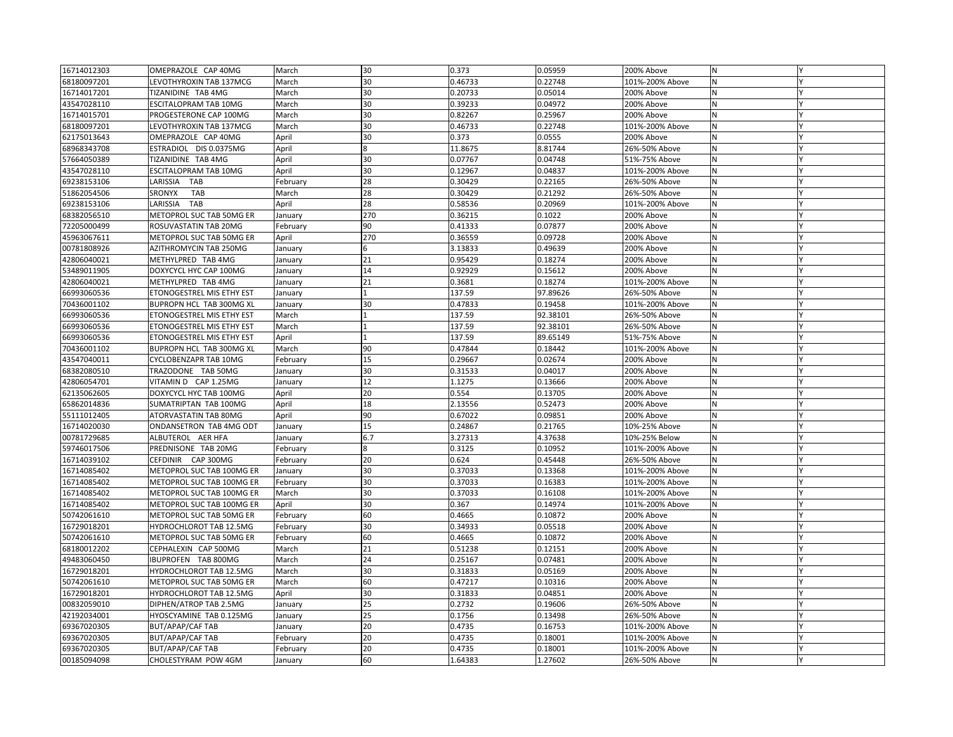| 16714012303 | OMEPRAZOLE CAP 40MG                          | March          | 30  | 0.373   | 0.05959            | 200% Above                     | N      |  |
|-------------|----------------------------------------------|----------------|-----|---------|--------------------|--------------------------------|--------|--|
| 68180097201 | LEVOTHYROXIN TAB 137MCG                      | March          | 30  | 0.46733 | 0.22748            | 101%-200% Above                | N      |  |
| 16714017201 | TIZANIDINE TAB 4MG                           | March          | 30  | 0.20733 | 0.05014            | 200% Above                     | N      |  |
| 43547028110 | <b>ESCITALOPRAM TAB 10MG</b>                 | March          | 30  | 0.39233 | 0.04972            | 200% Above                     | N      |  |
| 16714015701 | PROGESTERONE CAP 100MG                       | March          | 30  | 0.82267 | 0.25967            | 200% Above                     | N      |  |
| 68180097201 | LEVOTHYROXIN TAB 137MCG                      | March          | 30  | 0.46733 | 0.22748            | 101%-200% Above                | N      |  |
| 62175013643 | OMEPRAZOLE CAP 40MG                          | April          | 30  | 0.373   | 0.0555             | 200% Above                     | N      |  |
| 68968343708 | ESTRADIOL DIS 0.0375MG                       | April          |     | 11.8675 | 8.81744            | 26%-50% Above                  | N      |  |
| 57664050389 | TIZANIDINE TAB 4MG                           | April          | 30  | 0.07767 | 0.04748            | 51%-75% Above                  | N      |  |
| 43547028110 | <b>ESCITALOPRAM TAB 10MG</b>                 | April          | 30  | 0.12967 | 0.04837            | 101%-200% Above                | N      |  |
| 69238153106 | LARISSIA<br>TAB                              | February       | 28  | 0.30429 | 0.22165            | 26%-50% Above                  | N      |  |
| 51862054506 | <b>SRONYX</b><br>TAB                         | March          | 28  | 0.30429 | 0.21292            | 26%-50% Above                  | N      |  |
| 69238153106 | LARISSIA<br>TAB                              | April          | 28  | 0.58536 | 0.20969            | 101%-200% Above                | N      |  |
| 68382056510 | METOPROL SUC TAB 50MG ER                     | January        | 270 | 0.36215 | 0.1022             | 200% Above                     | N      |  |
| 72205000499 | ROSUVASTATIN TAB 20MG                        | February       | 90  | 0.41333 | 0.07877            | 200% Above                     | N      |  |
| 45963067611 | METOPROL SUC TAB 50MG ER                     | April          | 270 | 0.36559 | 0.09728            | 200% Above                     | N      |  |
| 00781808926 | <b>AZITHROMYCIN TAB 250MG</b>                | January        |     | 3.13833 | 0.49639            | 200% Above                     |        |  |
| 42806040021 | METHYLPRED TAB 4MG                           | January        | 21  | 0.95429 | 0.18274            | 200% Above                     | N      |  |
| 53489011905 | DOXYCYCL HYC CAP 100MG                       | January        | 14  | 0.92929 | 0.15612            | 200% Above                     | N      |  |
| 42806040021 | METHYLPRED TAB 4MG                           | January        | 21  | 0.3681  | 0.18274            | 101%-200% Above                | N      |  |
| 66993060536 | <b>ETONOGESTREL MIS ETHY EST</b>             | January        |     | 137.59  | 97.89626           | 26%-50% Above                  |        |  |
| 70436001102 | BUPROPN HCL TAB 300MG XL                     | January        | 30  | 0.47833 | 0.19458            | 101%-200% Above                | N      |  |
| 66993060536 | <b>ETONOGESTREL MIS ETHY EST</b>             | March          |     | 137.59  | 92.38101           | 26%-50% Above                  | N      |  |
| 66993060536 | ETONOGESTREL MIS ETHY EST                    | March          |     | 137.59  | 92.38101           | 26%-50% Above                  | N      |  |
| 66993060536 | <b>ETONOGESTREL MIS ETHY EST</b>             | April          |     | 137.59  | 89.65149           | 51%-75% Above                  | N      |  |
| 70436001102 | BUPROPN HCL TAB 300MG XL                     | March          | 90  | 0.47844 | 0.18442            | 101%-200% Above                | N      |  |
| 43547040011 | CYCLOBENZAPR TAB 10MG                        | February       | 15  | 0.29667 | 0.02674            | 200% Above                     | N      |  |
| 68382080510 | TRAZODONE TAB 50MG                           | January        | 30  | 0.31533 | 0.04017            | 200% Above                     | N      |  |
| 42806054701 | VITAMIN D CAP 1.25MG                         | January        | 12  | 1.1275  | 0.13666            | 200% Above                     | N      |  |
| 62135062605 | DOXYCYCL HYC TAB 100MG                       |                | 20  | 0.554   | 0.13705            | 200% Above                     | N      |  |
| 65862014836 | SUMATRIPTAN TAB 100MG                        | April<br>April | 18  | 2.13556 | 0.52473            | 200% Above                     | N      |  |
| 55111012405 |                                              |                | 90  | 0.67022 | 0.09851            |                                | N      |  |
| 16714020030 | ATORVASTATIN TAB 80MG                        | April          | 15  | 0.24867 |                    | 200% Above                     | N      |  |
| 00781729685 | ONDANSETRON TAB 4MG ODT<br>ALBUTEROL AER HFA | January        | 6.7 | 3.27313 | 0.21765<br>4.37638 | 10%-25% Above<br>10%-25% Below |        |  |
|             |                                              | January        |     |         |                    |                                | N      |  |
| 59746017506 | PREDNISONE TAB 20MG                          | February       |     | 0.3125  | 0.10952            | 101%-200% Above                |        |  |
| 16714039102 | CAP 300MG<br><b>CEFDINIR</b>                 | February       | 20  | 0.624   | 0.45448            | 26%-50% Above                  | N<br>N |  |
| 16714085402 | METOPROL SUC TAB 100MG ER                    | January        | 30  | 0.37033 | 0.13368            | 101%-200% Above                |        |  |
| 16714085402 | METOPROL SUC TAB 100MG ER                    | February       | 30  | 0.37033 | 0.16383            | 101%-200% Above                | N      |  |
| 16714085402 | METOPROL SUC TAB 100MG ER                    | March          | 30  | 0.37033 | 0.16108            | 101%-200% Above                | N      |  |
| 16714085402 | METOPROL SUC TAB 100MG ER                    | April          | 30  | 0.367   | 0.14974            | 101%-200% Above                | N      |  |
| 50742061610 | METOPROL SUC TAB 50MG ER                     | February       | 60  | 0.4665  | 0.10872            | 200% Above                     | N      |  |
| 16729018201 | HYDROCHLOROT TAB 12.5MG                      | February       | 30  | 0.34933 | 0.05518            | 200% Above                     | N<br>N |  |
| 50742061610 | METOPROL SUC TAB 50MG ER                     | February       | 60  | 0.4665  | 0.10872            | 200% Above                     |        |  |
| 68180012202 | CEPHALEXIN CAP 500MG                         | March          | 21  | 0.51238 | 0.12151            | 200% Above                     | N      |  |
| 49483060450 | IBUPROFEN TAB 800MG                          | March          | 24  | 0.25167 | 0.07481            | 200% Above                     | N      |  |
| 16729018201 | HYDROCHLOROT TAB 12.5MG                      | March          | 30  | 0.31833 | 0.05169            | 200% Above                     | N      |  |
| 50742061610 | METOPROL SUC TAB 50MG ER                     | March          | 60  | 0.47217 | 0.10316            | 200% Above                     | N      |  |
| 16729018201 | HYDROCHLOROT TAB 12.5MG                      | April          | 30  | 0.31833 | 0.04851            | 200% Above                     | N      |  |
| 00832059010 | DIPHEN/ATROP TAB 2.5MG                       | January        | 25  | 0.2732  | 0.19606            | 26%-50% Above                  | N      |  |
| 42192034001 | HYOSCYAMINE TAB 0.125MG                      | January        | 25  | 0.1756  | 0.13498            | 26%-50% Above                  | N      |  |
| 69367020305 | <b>BUT/APAP/CAF TAB</b>                      | January        | 20  | 0.4735  | 0.16753            | 101%-200% Above                | N      |  |
| 69367020305 | <b>BUT/APAP/CAF TAB</b>                      | February       | 20  | 0.4735  | 0.18001            | 101%-200% Above                | N      |  |
| 69367020305 | <b>BUT/APAP/CAF TAB</b>                      | February       | 20  | 0.4735  | 0.18001            | 101%-200% Above                | N      |  |
| 00185094098 | CHOLESTYRAM POW 4GM                          | January        | 60  | 1.64383 | 1.27602            | 26%-50% Above                  | N      |  |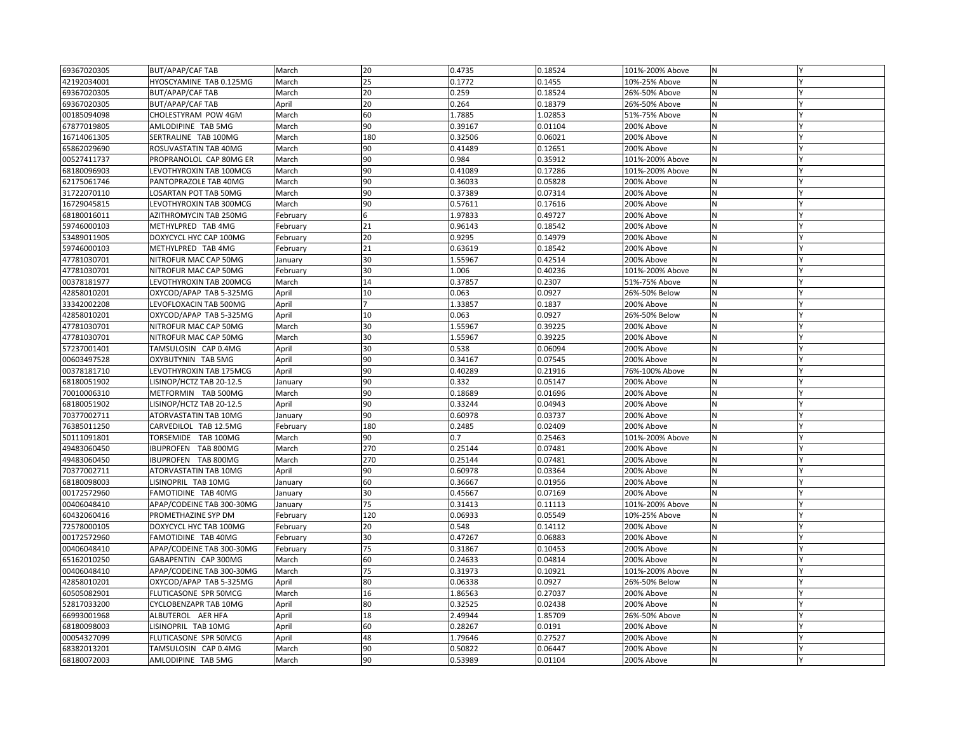| 69367020305 | <b>BUT/APAP/CAF TAB</b>       | March    | 20  | 0.4735  | 0.18524 | 101%-200% Above | N |  |
|-------------|-------------------------------|----------|-----|---------|---------|-----------------|---|--|
| 42192034001 | HYOSCYAMINE TAB 0.125MG       | March    | 25  | 0.1772  | 0.1455  | 10%-25% Above   | N |  |
| 69367020305 | <b>BUT/APAP/CAF TAB</b>       | March    | 20  | 0.259   | 0.18524 | 26%-50% Above   | N |  |
| 69367020305 | <b>BUT/APAP/CAF TAB</b>       | April    | 20  | 0.264   | 0.18379 | 26%-50% Above   | N |  |
| 00185094098 | CHOLESTYRAM POW 4GM           | March    | 60  | 1.7885  | 1.02853 | 51%-75% Above   | N |  |
| 67877019805 | AMLODIPINE TAB 5MG            | March    | 90  | 0.39167 | 0.01104 | 200% Above      | N |  |
| 16714061305 | SERTRALINE TAB 100MG          | March    | 180 | 0.32506 | 0.06021 | 200% Above      | N |  |
| 65862029690 | ROSUVASTATIN TAB 40MG         | March    | 90  | 0.41489 | 0.12651 | 200% Above      | N |  |
| 00527411737 | PROPRANOLOL CAP 80MG ER       | March    | 90  | 0.984   | 0.35912 | 101%-200% Above | N |  |
| 68180096903 | LEVOTHYROXIN TAB 100MCG       | March    | 90  | 0.41089 | 0.17286 | 101%-200% Above | N |  |
| 62175061746 | PANTOPRAZOLE TAB 40MG         | March    | 90  | 0.36033 | 0.05828 | 200% Above      | N |  |
| 31722070110 | <b>LOSARTAN POT TAB 50MG</b>  | March    | 90  | 0.37389 | 0.07314 | 200% Above      | N |  |
| 16729045815 | LEVOTHYROXIN TAB 300MCG       | March    | 90  | 0.57611 | 0.17616 | 200% Above      | N |  |
| 68180016011 | <b>AZITHROMYCIN TAB 250MG</b> | February | 6   | 1.97833 | 0.49727 | 200% Above      | N |  |
| 59746000103 | METHYLPRED TAB 4MG            | February | 21  | 0.96143 | 0.18542 | 200% Above      | N |  |
| 53489011905 | DOXYCYCL HYC CAP 100MG        | February | 20  | 0.9295  | 0.14979 | 200% Above      | N |  |
| 59746000103 | METHYLPRED TAB 4MG            | February | 21  | 0.63619 | 0.18542 | 200% Above      | N |  |
| 47781030701 | NITROFUR MAC CAP 50MG         | January  | 30  | 1.55967 | 0.42514 | 200% Above      | N |  |
| 47781030701 | NITROFUR MAC CAP 50MG         | February | 30  | 1.006   | 0.40236 | 101%-200% Above |   |  |
| 00378181977 | LEVOTHYROXIN TAB 200MCG       | March    | 14  | 0.37857 | 0.2307  | 51%-75% Above   |   |  |
| 42858010201 | OXYCOD/APAP TAB 5-325MG       | April    | 10  | 0.063   | 0.0927  | 26%-50% Below   |   |  |
| 33342002208 | LEVOFLOXACIN TAB 500MG        | April    |     | 1.33857 | 0.1837  | 200% Above      | N |  |
| 42858010201 | OXYCOD/APAP TAB 5-325MG       | April    | 10  | 0.063   | 0.0927  | 26%-50% Below   | N |  |
| 47781030701 | NITROFUR MAC CAP 50MG         | March    | 30  | 1.55967 | 0.39225 | 200% Above      | N |  |
| 47781030701 | NITROFUR MAC CAP 50MG         | March    | 30  | 1.55967 | 0.39225 | 200% Above      |   |  |
| 57237001401 | TAMSULOSIN CAP 0.4MG          | April    | 30  | 0.538   | 0.06094 | 200% Above      | N |  |
| 00603497528 | OXYBUTYNIN TAB 5MG            | April    | 90  | 0.34167 | 0.07545 | 200% Above      | N |  |
| 00378181710 | LEVOTHYROXIN TAB 175MCG       | April    | 90  | 0.40289 | 0.21916 | 76%-100% Above  | N |  |
| 68180051902 | LISINOP/HCTZ TAB 20-12.5      | January  | 90  | 0.332   | 0.05147 | 200% Above      | N |  |
| 70010006310 | METFORMIN TAB 500MG           | March    | 90  | 0.18689 | 0.01696 | 200% Above      | N |  |
| 68180051902 | LISINOP/HCTZ TAB 20-12.5      | April    | 90  | 0.33244 | 0.04943 | 200% Above      | N |  |
| 70377002711 | ATORVASTATIN TAB 10MG         | January  | 90  | 0.60978 | 0.03737 | 200% Above      |   |  |
| 76385011250 | CARVEDILOL TAB 12.5MG         | February | 180 | 0.2485  | 0.02409 | 200% Above      | N |  |
| 50111091801 | TORSEMIDE<br><b>TAB 100MG</b> | March    | 90  | 0.7     | 0.25463 | 101%-200% Above | N |  |
| 49483060450 | IBUPROFEN TAB 800MG           | March    | 270 | 0.25144 | 0.07481 | 200% Above      | N |  |
| 49483060450 | IBUPROFEN TAB 800MG           | March    | 270 | 0.25144 | 0.07481 | 200% Above      | N |  |
| 70377002711 | ATORVASTATIN TAB 10MG         | April    | 90  | 0.60978 | 0.03364 | 200% Above      | N |  |
| 68180098003 | LISINOPRIL TAB 10MG           | January  | 60  | 0.36667 | 0.01956 | 200% Above      | N |  |
| 00172572960 | FAMOTIDINE TAB 40MG           | January  | 30  | 0.45667 | 0.07169 | 200% Above      | N |  |
| 00406048410 | APAP/CODEINE TAB 300-30MG     | January  | 75  | 0.31413 | 0.11113 | 101%-200% Above |   |  |
| 60432060416 | PROMETHAZINE SYP DM           | February | 120 | 0.06933 | 0.05549 | 10%-25% Above   | N |  |
| 72578000105 | DOXYCYCL HYC TAB 100MG        | February | 20  | 0.548   | 0.14112 | 200% Above      | N |  |
| 00172572960 | FAMOTIDINE TAB 40MG           | February | 30  | 0.47267 | 0.06883 | 200% Above      | N |  |
| 00406048410 | APAP/CODEINE TAB 300-30MG     | February | 75  | 0.31867 | 0.10453 | 200% Above      | N |  |
| 65162010250 | GABAPENTIN CAP 300MG          | March    | 60  | 0.24633 | 0.04814 | 200% Above      |   |  |
| 00406048410 | APAP/CODEINE TAB 300-30MG     | March    | 75  | 0.31973 | 0.10921 | 101%-200% Above |   |  |
| 42858010201 | OXYCOD/APAP TAB 5-325MG       | April    | 80  | 0.06338 | 0.0927  | 26%-50% Below   | N |  |
| 60505082901 | FLUTICASONE SPR 50MCG         | March    | 16  | 1.86563 | 0.27037 | 200% Above      | N |  |
| 52817033200 | CYCLOBENZAPR TAB 10MG         | April    | 80  | 0.32525 | 0.02438 | 200% Above      | N |  |
| 66993001968 | ALBUTEROL AER HFA             | April    | 18  | 2.49944 | 1.85709 | 26%-50% Above   | N |  |
| 68180098003 | LISINOPRIL TAB 10MG           | April    | 60  | 0.28267 | 0.0191  | 200% Above      | N |  |
| 00054327099 | FLUTICASONE SPR 50MCG         | April    | 48  | 1.79646 | 0.27527 | 200% Above      | N |  |
| 68382013201 | TAMSULOSIN CAP 0.4MG          | March    | 90  | 0.50822 | 0.06447 | 200% Above      | N |  |
| 68180072003 | AMLODIPINE TAB 5MG            | March    | 90  | 0.53989 | 0.01104 | 200% Above      | N |  |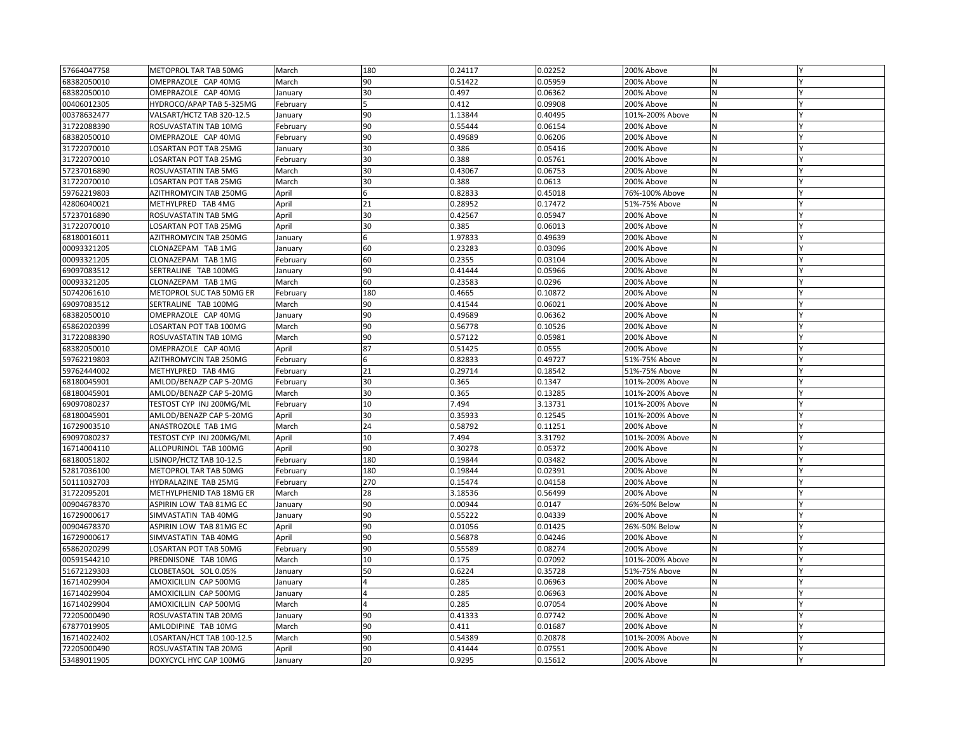| 57664047758 | METOPROL TAR TAB 50MG         | March    | 180 | 0.24117 | 0.02252 | 200% Above      | N |  |
|-------------|-------------------------------|----------|-----|---------|---------|-----------------|---|--|
| 68382050010 | OMEPRAZOLE CAP 40MG           | March    | 90  | 0.51422 | 0.05959 | 200% Above      | N |  |
| 68382050010 | OMEPRAZOLE CAP 40MG           | January  | 30  | 0.497   | 0.06362 | 200% Above      | N |  |
| 00406012305 | HYDROCO/APAP TAB 5-325MG      | February |     | 0.412   | 0.09908 | 200% Above      | N |  |
| 00378632477 | VALSART/HCTZ TAB 320-12.5     | January  | 90  | 1.13844 | 0.40495 | 101%-200% Above | N |  |
| 31722088390 | ROSUVASTATIN TAB 10MG         | February | 90  | 0.55444 | 0.06154 | 200% Above      | N |  |
| 68382050010 | OMEPRAZOLE CAP 40MG           | February | 90  | 0.49689 | 0.06206 | 200% Above      | N |  |
| 31722070010 | LOSARTAN POT TAB 25MG         | January  | 30  | 0.386   | 0.05416 | 200% Above      | N |  |
| 31722070010 | <b>LOSARTAN POT TAB 25MG</b>  | February | 30  | 0.388   | 0.05761 | 200% Above      | N |  |
| 57237016890 | ROSUVASTATIN TAB 5MG          | March    | 30  | 0.43067 | 0.06753 | 200% Above      | N |  |
| 31722070010 | LOSARTAN POT TAB 25MG         | March    | 30  | 0.388   | 0.0613  | 200% Above      | N |  |
| 59762219803 | AZITHROMYCIN TAB 250MG        | April    |     | 0.82833 | 0.45018 | 76%-100% Above  | N |  |
| 42806040021 | METHYLPRED TAB 4MG            | April    | 21  | 0.28952 | 0.17472 | 51%-75% Above   | N |  |
| 57237016890 | ROSUVASTATIN TAB 5MG          | April    | 30  | 0.42567 | 0.05947 | 200% Above      | N |  |
| 31722070010 | LOSARTAN POT TAB 25MG         | April    | 30  | 0.385   | 0.06013 | 200% Above      | N |  |
| 68180016011 | AZITHROMYCIN TAB 250MG        | January  |     | 1.97833 | 0.49639 | 200% Above      | N |  |
| 00093321205 | CLONAZEPAM TAB 1MG            | January  | 60  | 0.23283 | 0.03096 | 200% Above      |   |  |
| 00093321205 | CLONAZEPAM TAB 1MG            | February | 60  | 0.2355  | 0.03104 | 200% Above      | N |  |
| 69097083512 | SERTRALINE TAB 100MG          | January  | 90  | 0.41444 | 0.05966 | 200% Above      |   |  |
| 00093321205 | CLONAZEPAM TAB 1MG            | March    | 60  | 0.23583 | 0.0296  | 200% Above      |   |  |
| 50742061610 | METOPROL SUC TAB 50MG ER      | February | 180 | 0.4665  | 0.10872 | 200% Above      |   |  |
| 69097083512 | SERTRALINE TAB 100MG          | March    | 90  | 0.41544 | 0.06021 | 200% Above      | N |  |
| 68382050010 | OMEPRAZOLE CAP 40MG           | January  | 90  | 0.49689 | 0.06362 | 200% Above      | N |  |
| 65862020399 | LOSARTAN POT TAB 100MG        | March    | 90  | 0.56778 | 0.10526 | 200% Above      | N |  |
| 31722088390 | ROSUVASTATIN TAB 10MG         | March    | 90  | 0.57122 | 0.05981 | 200% Above      |   |  |
| 68382050010 | OMEPRAZOLE CAP 40MG           | April    | 87  | 0.51425 | 0.0555  | 200% Above      | N |  |
| 59762219803 | <b>AZITHROMYCIN TAB 250MG</b> | February |     | 0.82833 | 0.49727 | 51%-75% Above   | N |  |
| 59762444002 | METHYLPRED TAB 4MG            | February | 21  | 0.29714 | 0.18542 | 51%-75% Above   | N |  |
| 68180045901 | AMLOD/BENAZP CAP 5-20MG       | February | 30  | 0.365   | 0.1347  | 101%-200% Above | N |  |
| 68180045901 | AMLOD/BENAZP CAP 5-20MG       | March    | 30  | 0.365   | 0.13285 | 101%-200% Above | N |  |
| 69097080237 | TESTOST CYP INJ 200MG/ML      | February | 10  | 7.494   | 3.13731 | 101%-200% Above | N |  |
| 68180045901 | AMLOD/BENAZP CAP 5-20MG       | April    | 30  | 0.35933 | 0.12545 | 101%-200% Above |   |  |
| 16729003510 | ANASTROZOLE TAB 1MG           | March    | 24  | 0.58792 | 0.11251 | 200% Above      |   |  |
| 69097080237 | TESTOST CYP INJ 200MG/ML      | April    | 10  | 7.494   | 3.31792 | 101%-200% Above | N |  |
| 16714004110 | ALLOPURINOL TAB 100MG         | April    | 90  | 0.30278 | 0.05372 | 200% Above      | N |  |
| 68180051802 | LISINOP/HCTZ TAB 10-12.5      | February | 180 | 0.19844 | 0.03482 | 200% Above      | N |  |
| 52817036100 | METOPROL TAR TAB 50MG         | February | 180 | 0.19844 | 0.02391 | 200% Above      | N |  |
| 50111032703 | HYDRALAZINE TAB 25MG          | February | 270 | 0.15474 | 0.04158 | 200% Above      | N |  |
| 31722095201 | METHYLPHENID TAB 18MG ER      | March    | 28  | 3.18536 | 0.56499 | 200% Above      | N |  |
| 00904678370 | ASPIRIN LOW TAB 81MG EC       | January  | 90  | 0.00944 | 0.0147  | 26%-50% Below   |   |  |
| 16729000617 | SIMVASTATIN TAB 40MG          | January  | 90  | 0.55222 | 0.04339 | 200% Above      | N |  |
| 00904678370 | ASPIRIN LOW TAB 81MG EC       | April    | 90  | 0.01056 | 0.01425 | 26%-50% Below   | N |  |
| 16729000617 | SIMVASTATIN TAB 40MG          | April    | 90  | 0.56878 | 0.04246 | 200% Above      | N |  |
| 65862020299 | LOSARTAN POT TAB 50MG         | February | 90  | 0.55589 | 0.08274 | 200% Above      | N |  |
| 00591544210 | PREDNISONE TAB 10MG           | March    | 10  | 0.175   | 0.07092 | 101%-200% Above |   |  |
| 51672129303 | CLOBETASOL SOL 0.05%          | January  | 50  | 0.6224  | 0.35728 | 51%-75% Above   |   |  |
| 16714029904 | AMOXICILLIN CAP 500MG         | January  |     | 0.285   | 0.06963 | 200% Above      | N |  |
| 16714029904 | AMOXICILLIN CAP 500MG         | January  | 4   | 0.285   | 0.06963 | 200% Above      | N |  |
| 16714029904 | AMOXICILLIN CAP 500MG         | March    |     | 0.285   | 0.07054 | 200% Above      | N |  |
| 72205000490 | ROSUVASTATIN TAB 20MG         | January  | 90  | 0.41333 | 0.07742 | 200% Above      | N |  |
| 67877019905 | AMLODIPINE TAB 10MG           | March    | 90  | 0.411   | 0.01687 | 200% Above      | N |  |
| 16714022402 | LOSARTAN/HCT TAB 100-12.5     | March    | 90  | 0.54389 | 0.20878 | 101%-200% Above | N |  |
| 72205000490 | ROSUVASTATIN TAB 20MG         | April    | 90  | 0.41444 | 0.07551 | 200% Above      | N |  |
| 53489011905 | DOXYCYCL HYC CAP 100MG        | January  | 20  | 0.9295  | 0.15612 | 200% Above      | N |  |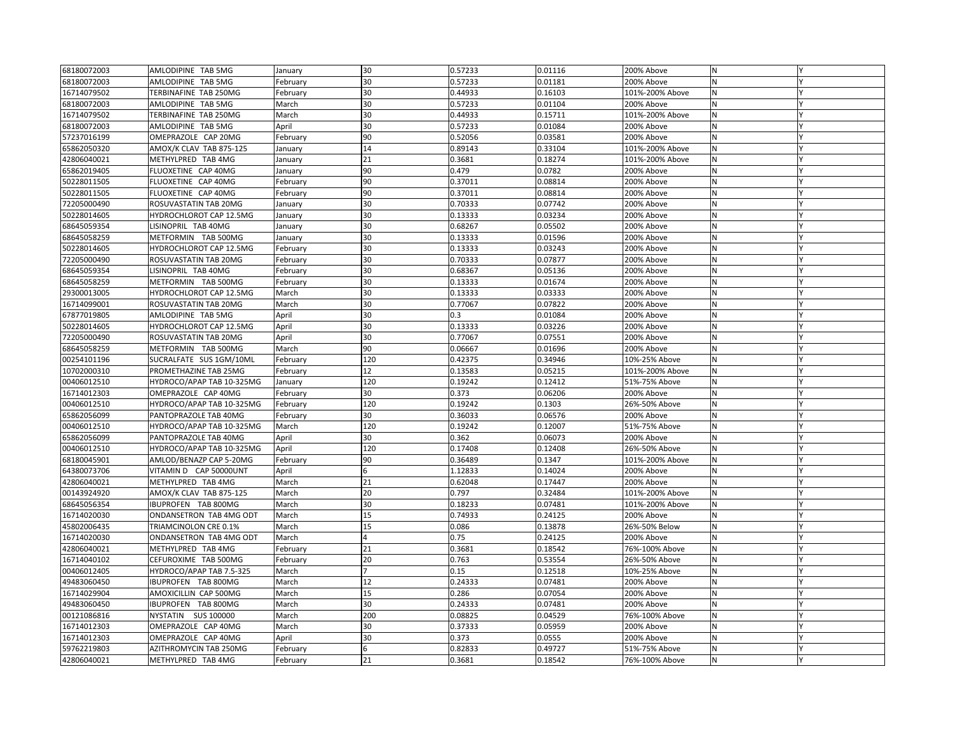| 68180072003 | AMLODIPINE TAB 5MG        | January  | 30  | 0.57233 | 0.01116 | 200% Above      | IN. |  |
|-------------|---------------------------|----------|-----|---------|---------|-----------------|-----|--|
| 68180072003 | AMLODIPINE TAB 5MG        | February | 30  | 0.57233 | 0.01181 | 200% Above      | N   |  |
| 16714079502 | TERBINAFINE TAB 250MG     | February | 30  | 0.44933 | 0.16103 | 101%-200% Above | N   |  |
| 68180072003 | AMLODIPINE TAB 5MG        | March    | 30  | 0.57233 | 0.01104 | 200% Above      |     |  |
| 16714079502 | TERBINAFINE TAB 250MG     | March    | 30  | 0.44933 | 0.15711 | 101%-200% Above | N   |  |
| 68180072003 | AMLODIPINE TAB 5MG        | April    | 30  | 0.57233 | 0.01084 | 200% Above      | N   |  |
| 57237016199 | OMEPRAZOLE CAP 20MG       | February | 90  | 0.52056 | 0.03581 | 200% Above      | N   |  |
| 65862050320 | AMOX/K CLAV TAB 875-125   | Januarv  | 14  | 0.89143 | 0.33104 | 101%-200% Above |     |  |
| 42806040021 | METHYLPRED TAB 4MG        | January  | 21  | 0.3681  | 0.18274 | 101%-200% Above | N   |  |
| 65862019405 | FLUOXETINE CAP 40MG       | January  | 90  | 0.479   | 0.0782  | 200% Above      | N   |  |
| 50228011505 | FLUOXETINE CAP 40MG       | February | 90  | 0.37011 | 0.08814 | 200% Above      | N   |  |
| 50228011505 | FLUOXETINE CAP 40MG       | February | 90  | 0.37011 | 0.08814 | 200% Above      | N   |  |
| 72205000490 | ROSUVASTATIN TAB 20MG     | January  | 30  | 0.70333 | 0.07742 | 200% Above      | N   |  |
| 50228014605 | HYDROCHLOROT CAP 12.5MG   | January  | 30  | 0.13333 | 0.03234 | 200% Above      | N   |  |
| 68645059354 | LISINOPRIL TAB 40MG       | January  | 30  | 0.68267 | 0.05502 | 200% Above      | N   |  |
| 68645058259 | METFORMIN TAB 500MG       | January  | 30  | 0.13333 | 0.01596 | 200% Above      | N   |  |
| 50228014605 | HYDROCHLOROT CAP 12.5MG   | February | 30  | 0.13333 | 0.03243 | 200% Above      | N   |  |
| 72205000490 | ROSUVASTATIN TAB 20MG     | February | 30  | 0.70333 | 0.07877 | 200% Above      | N   |  |
| 68645059354 | LISINOPRIL TAB 40MG       | February | 30  | 0.68367 | 0.05136 | 200% Above      | N   |  |
| 68645058259 | METFORMIN TAB 500MG       | February | 30  | 0.13333 | 0.01674 | 200% Above      |     |  |
| 29300013005 | HYDROCHLOROT CAP 12.5MG   | March    | 30  | 0.13333 | 0.03333 | 200% Above      |     |  |
| 16714099001 | ROSUVASTATIN TAB 20MG     | March    | 30  | 0.77067 | 0.07822 | 200% Above      | N   |  |
| 67877019805 | AMLODIPINE TAB 5MG        | April    | 30  | 0.3     | 0.01084 | 200% Above      | N   |  |
| 50228014605 | HYDROCHLOROT CAP 12.5MG   | April    | 30  | 0.13333 | 0.03226 | 200% Above      | N   |  |
| 72205000490 | ROSUVASTATIN TAB 20MG     | April    | 30  | 0.77067 | 0.07551 | 200% Above      |     |  |
| 68645058259 | METFORMIN TAB 500MG       | March    | 90  | 0.06667 | 0.01696 | 200% Above      | N   |  |
| 00254101196 | SUCRALFATE SUS 1GM/10ML   | February | 120 | 0.42375 | 0.34946 | 10%-25% Above   | N   |  |
| 10702000310 | PROMETHAZINE TAB 25MG     | February | 12  | 0.13583 | 0.05215 | 101%-200% Above | N   |  |
| 00406012510 | HYDROCO/APAP TAB 10-325MG | January  | 120 | 0.19242 | 0.12412 | 51%-75% Above   |     |  |
| 16714012303 | OMEPRAZOLE CAP 40MG       | February | 30  | 0.373   | 0.06206 | 200% Above      | N   |  |
| 00406012510 | HYDROCO/APAP TAB 10-325MG | February | 120 | 0.19242 | 0.1303  | 26%-50% Above   | N   |  |
| 65862056099 | PANTOPRAZOLE TAB 40MG     | February | 30  | 0.36033 | 0.06576 | 200% Above      | N   |  |
| 00406012510 | HYDROCO/APAP TAB 10-325MG | March    | 120 | 0.19242 | 0.12007 | 51%-75% Above   | N   |  |
| 65862056099 | PANTOPRAZOLE TAB 40MG     | April    | 30  | 0.362   | 0.06073 | 200% Above      | N   |  |
| 00406012510 | HYDROCO/APAP TAB 10-325MG | April    | 120 | 0.17408 | 0.12408 | 26%-50% Above   | N   |  |
| 68180045901 | AMLOD/BENAZP CAP 5-20MG   | February | 90  | 0.36489 | 0.1347  | 101%-200% Above | N   |  |
| 64380073706 | VITAMIN D CAP 50000UNT    | April    |     | 1.12833 | 0.14024 | 200% Above      | N   |  |
| 42806040021 | METHYLPRED TAB 4MG        | March    | 21  | 0.62048 | 0.17447 | 200% Above      | N   |  |
| 00143924920 | AMOX/K CLAV TAB 875-125   | March    | 20  | 0.797   | 0.32484 | 101%-200% Above | N   |  |
| 68645056354 | IBUPROFEN TAB 800MG       | March    | 30  | 0.18233 | 0.07481 | 101%-200% Above | N   |  |
| 16714020030 | ONDANSETRON TAB 4MG ODT   | March    | 15  | 0.74933 | 0.24125 | 200% Above      | N   |  |
| 45802006435 | TRIAMCINOLON CRE 0.1%     | March    | 15  | 0.086   | 0.13878 | 26%-50% Below   | N   |  |
| 16714020030 | ONDANSETRON TAB 4MG ODT   | March    |     | 0.75    | 0.24125 | 200% Above      | N   |  |
| 42806040021 | METHYLPRED TAB 4MG        | February | 21  | 0.3681  | 0.18542 | 76%-100% Above  | N   |  |
| 16714040102 | CEFUROXIME TAB 500MG      | February | 20  | 0.763   | 0.53554 | 26%-50% Above   | N   |  |
| 00406012405 | HYDROCO/APAP TAB 7.5-325  | March    |     | 0.15    | 0.12518 | 10%-25% Above   |     |  |
| 49483060450 | IBUPROFEN TAB 800MG       | March    | 12  | 0.24333 | 0.07481 | 200% Above      | N   |  |
| 16714029904 | AMOXICILLIN CAP 500MG     | March    | 15  | 0.286   | 0.07054 | 200% Above      | N   |  |
| 49483060450 | IBUPROFEN TAB 800MG       | March    | 30  | 0.24333 | 0.07481 | 200% Above      | N   |  |
| 00121086816 | NYSTATIN SUS 100000       | March    | 200 | 0.08825 | 0.04529 | 76%-100% Above  | N   |  |
| 16714012303 | OMEPRAZOLE CAP 40MG       | March    | 30  | 0.37333 | 0.05959 | 200% Above      | N   |  |
| 16714012303 | OMEPRAZOLE CAP 40MG       | April    | 30  | 0.373   | 0.0555  | 200% Above      | N   |  |
| 59762219803 | AZITHROMYCIN TAB 250MG    | February |     | 0.82833 | 0.49727 | 51%-75% Above   | N   |  |
| 42806040021 | METHYLPRED TAB 4MG        | February | 21  | 0.3681  | 0.18542 | 76%-100% Above  | N   |  |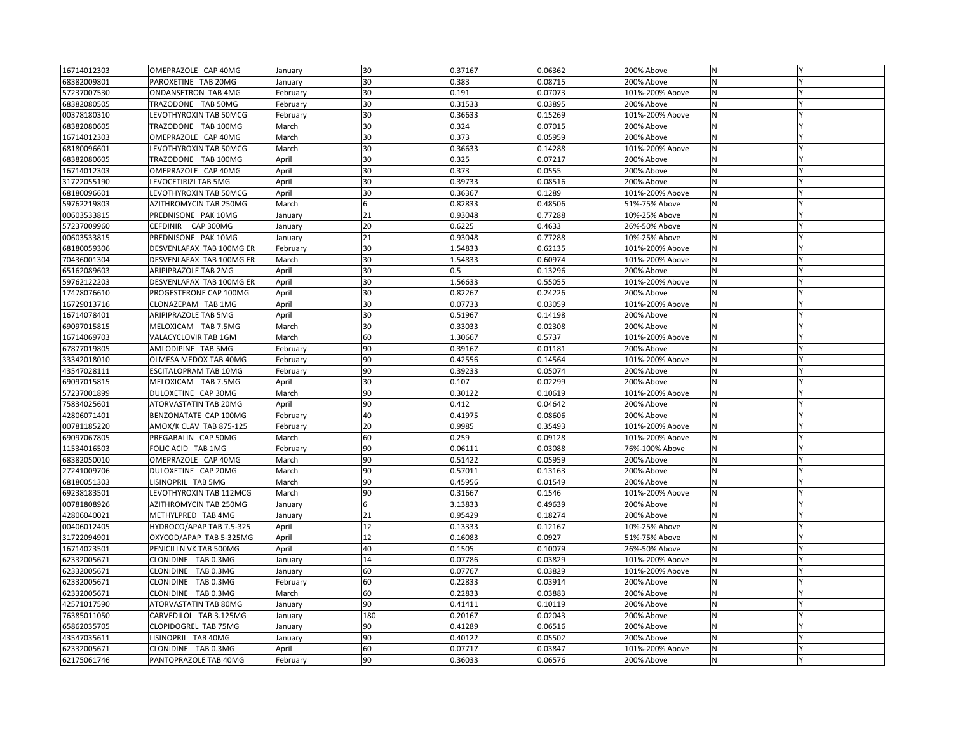| 16714012303 | OMEPRAZOLE CAP 40MG           | January  | 30  | 0.37167 | 0.06362 | 200% Above      | N |  |
|-------------|-------------------------------|----------|-----|---------|---------|-----------------|---|--|
| 68382009801 | PAROXETINE TAB 20MG           | January  | 30  | 0.383   | 0.08715 | 200% Above      | N |  |
| 57237007530 | <b>ONDANSETRON TAB 4MG</b>    | February | 30  | 0.191   | 0.07073 | 101%-200% Above | N |  |
| 68382080505 | TRAZODONE TAB 50MG            | February | 30  | 0.31533 | 0.03895 | 200% Above      |   |  |
| 00378180310 | LEVOTHYROXIN TAB 50MCG        | February | 30  | 0.36633 | 0.15269 | 101%-200% Above | N |  |
| 68382080605 | TRAZODONE TAB 100MG           | March    | 30  | 0.324   | 0.07015 | 200% Above      |   |  |
| 16714012303 | OMEPRAZOLE CAP 40MG           | March    | 30  | 0.373   | 0.05959 | 200% Above      | N |  |
| 68180096601 | LEVOTHYROXIN TAB 50MCG        | March    | 30  | 0.36633 | 0.14288 | 101%-200% Above | N |  |
| 68382080605 | TRAZODONE TAB 100MG           | April    | 30  | 0.325   | 0.07217 | 200% Above      | N |  |
| 16714012303 | OMEPRAZOLE CAP 40MG           | April    | 30  | 0.373   | 0.0555  | 200% Above      | N |  |
| 31722055190 | LEVOCETIRIZI TAB 5MG          | April    | 30  | 0.39733 | 0.08516 | 200% Above      | N |  |
| 68180096601 | LEVOTHYROXIN TAB 50MCG        | April    | 30  | 0.36367 | 0.1289  | 101%-200% Above | N |  |
| 59762219803 | AZITHROMYCIN TAB 250MG        | March    | 6   | 0.82833 | 0.48506 | 51%-75% Above   | N |  |
| 00603533815 | PREDNISONE PAK 10MG           | January  | 21  | 0.93048 | 0.77288 | 10%-25% Above   | N |  |
| 57237009960 | CEFDINIR CAP 300MG            | January  | 20  | 0.6225  | 0.4633  | 26%-50% Above   | N |  |
| 00603533815 | PREDNISONE PAK 10MG           | January  | 21  | 0.93048 | 0.77288 | 10%-25% Above   | N |  |
| 68180059306 | DESVENLAFAX TAB 100MG ER      | February | 30  | 1.54833 | 0.62135 | 101%-200% Above | N |  |
| 70436001304 | DESVENLAFAX TAB 100MG ER      | March    | 30  | 1.54833 | 0.60974 | 101%-200% Above | N |  |
| 65162089603 | ARIPIPRAZOLE TAB 2MG          | April    | 30  | 0.5     | 0.13296 | 200% Above      | N |  |
| 59762122203 | DESVENLAFAX TAB 100MG ER      | April    | 30  | 1.56633 | 0.55055 | 101%-200% Above | N |  |
| 17478076610 | PROGESTERONE CAP 100MG        | April    | 30  | 0.82267 | 0.24226 | 200% Above      | N |  |
| 16729013716 | CLONAZEPAM TAB 1MG            | April    | 30  | 0.07733 | 0.03059 | 101%-200% Above | N |  |
| 16714078401 | ARIPIPRAZOLE TAB 5MG          | April    | 30  | 0.51967 | 0.14198 | 200% Above      | N |  |
| 69097015815 | MELOXICAM TAB 7.5MG           | March    | 30  | 0.33033 | 0.02308 | 200% Above      | N |  |
| 16714069703 | VALACYCLOVIR TAB 1GM          | March    | 60  | 1.30667 | 0.5737  | 101%-200% Above | N |  |
| 67877019805 | AMLODIPINE TAB 5MG            | February | 90  | 0.39167 | 0.01181 | 200% Above      | N |  |
| 33342018010 | OLMESA MEDOX TAB 40MG         | February | 90  | 0.42556 | 0.14564 | 101%-200% Above | N |  |
| 43547028111 | <b>ESCITALOPRAM TAB 10MG</b>  | February | 90  | 0.39233 | 0.05074 | 200% Above      |   |  |
| 69097015815 | MELOXICAM TAB 7.5MG           | April    | 30  | 0.107   | 0.02299 | 200% Above      | N |  |
| 57237001899 | DULOXETINE CAP 30MG           | March    | 90  | 0.30122 | 0.10619 | 101%-200% Above | N |  |
| 75834025601 | <b>ATORVASTATIN TAB 20MG</b>  | April    | 90  | 0.412   | 0.04642 | 200% Above      | N |  |
| 42806071401 | BENZONATATE CAP 100MG         | February | 40  | 0.41975 | 0.08606 | 200% Above      | N |  |
| 00781185220 | AMOX/K CLAV TAB 875-125       | February | 20  | 0.9985  | 0.35493 | 101%-200% Above |   |  |
| 69097067805 | PREGABALIN CAP 50MG           | March    | 60  | 0.259   | 0.09128 | 101%-200% Above | N |  |
| 11534016503 | FOLIC ACID TAB 1MG            | February | 90  | 0.06111 | 0.03088 | 76%-100% Above  | N |  |
| 68382050010 | OMEPRAZOLE CAP 40MG           | March    | 90  | 0.51422 | 0.05959 | 200% Above      | N |  |
| 27241009706 | DULOXETINE CAP 20MG           | March    | 90  | 0.57011 | 0.13163 | 200% Above      | N |  |
| 68180051303 | LISINOPRIL TAB 5MG            | March    | 90  | 0.45956 | 0.01549 | 200% Above      | N |  |
| 69238183501 | LEVOTHYROXIN TAB 112MCG       | March    | 90  | 0.31667 | 0.1546  | 101%-200% Above | N |  |
| 00781808926 | AZITHROMYCIN TAB 250MG        | January  |     | 3.13833 | 0.49639 | 200% Above      |   |  |
| 42806040021 | METHYLPRED TAB 4MG            | January  | 21  | 0.95429 | 0.18274 | 200% Above      | N |  |
| 00406012405 | HYDROCO/APAP TAB 7.5-325      | April    | 12  | 0.13333 | 0.12167 | 10%-25% Above   | N |  |
| 31722094901 | OXYCOD/APAP TAB 5-325MG       | April    | 12  | 0.16083 | 0.0927  | 51%-75% Above   | N |  |
| 16714023501 | PENICILLN VK TAB 500MG        | April    | 40  | 0.1505  | 0.10079 | 26%-50% Above   | N |  |
| 62332005671 | CLONIDINE TAB 0.3MG           | January  | 14  | 0.07786 | 0.03829 | 101%-200% Above | N |  |
| 62332005671 | <b>CLONIDINE</b><br>TAB 0.3MG | January  | 60  | 0.07767 | 0.03829 | 101%-200% Above |   |  |
| 62332005671 | <b>CLONIDINE</b><br>TAB 0.3MG | February | 60  | 0.22833 | 0.03914 | 200% Above      | N |  |
| 62332005671 | CLONIDINE TAB 0.3MG           | March    | 60  | 0.22833 | 0.03883 | 200% Above      | N |  |
| 42571017590 | ATORVASTATIN TAB 80MG         | January  | 90  | 0.41411 | 0.10119 | 200% Above      | N |  |
| 76385011050 | CARVEDILOL TAB 3.125MG        | January  | 180 | 0.20167 | 0.02043 | 200% Above      | N |  |
| 65862035705 | CLOPIDOGREL TAB 75MG          | January  | 90  | 0.41289 | 0.06516 | 200% Above      | N |  |
| 43547035611 | LISINOPRIL TAB 40MG           | January  | 90  | 0.40122 | 0.05502 | 200% Above      | N |  |
| 62332005671 | CLONIDINE TAB 0.3MG           | April    | 60  | 0.07717 | 0.03847 | 101%-200% Above | N |  |
| 62175061746 | PANTOPRAZOLE TAB 40MG         | February | 90  | 0.36033 | 0.06576 | 200% Above      | N |  |
|             |                               |          |     |         |         |                 |   |  |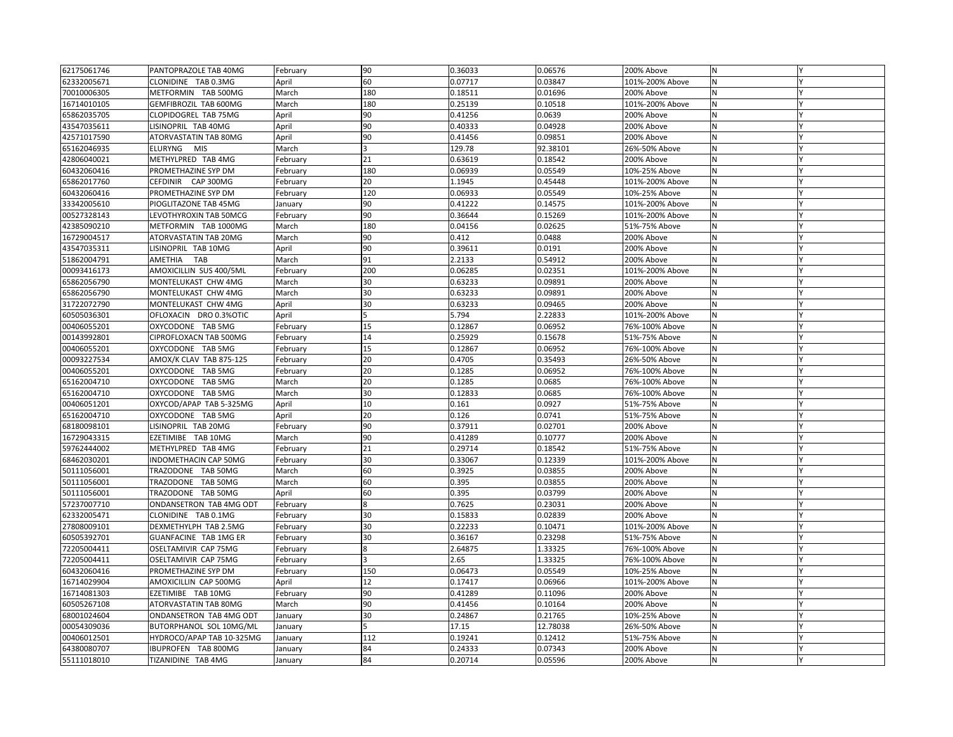| 62175061746 | PANTOPRAZOLE TAB 40MG        | February | 90  | 0.36033 | 0.06576  | 200% Above      | N |  |
|-------------|------------------------------|----------|-----|---------|----------|-----------------|---|--|
| 62332005671 | CLONIDINE TAB 0.3MG          | April    | 60  | 0.07717 | 0.03847  | 101%-200% Above | N |  |
| 70010006305 | METFORMIN TAB 500MG          | March    | 180 | 0.18511 | 0.01696  | 200% Above      | N |  |
| 16714010105 | GEMFIBROZIL TAB 600MG        | March    | 180 | 0.25139 | 0.10518  | 101%-200% Above |   |  |
| 65862035705 | CLOPIDOGREL TAB 75MG         | April    | 90  | 0.41256 | 0.0639   | 200% Above      | N |  |
| 43547035611 | LISINOPRIL TAB 40MG          | April    | 90  | 0.40333 | 0.04928  | 200% Above      |   |  |
| 42571017590 | ATORVASTATIN TAB 80MG        | April    | 90  | 0.41456 | 0.09851  | 200% Above      | N |  |
| 65162046935 | <b>ELURYNG</b><br><b>MIS</b> | March    |     | 129.78  | 92.38101 | 26%-50% Above   | N |  |
| 42806040021 | METHYLPRED TAB 4MG           | February | 21  | 0.63619 | 0.18542  | 200% Above      | N |  |
| 60432060416 | PROMETHAZINE SYP DM          | February | 180 | 0.06939 | 0.05549  | 10%-25% Above   | N |  |
| 65862017760 | CEFDINIR CAP 300MG           | February | 20  | 1.1945  | 0.45448  | 101%-200% Above | N |  |
| 60432060416 | PROMETHAZINE SYP DM          | February | 120 | 0.06933 | 0.05549  | 10%-25% Above   | N |  |
| 33342005610 | PIOGLITAZONE TAB 45MG        | January  | 90  | 0.41222 | 0.14575  | 101%-200% Above | N |  |
| 00527328143 | LEVOTHYROXIN TAB 50MCG       | February | 90  | 0.36644 | 0.15269  | 101%-200% Above | N |  |
| 42385090210 | METFORMIN TAB 1000MG         | March    | 180 | 0.04156 | 0.02625  | 51%-75% Above   | N |  |
| 16729004517 | ATORVASTATIN TAB 20MG        | March    | 90  | 0.412   | 0.0488   | 200% Above      | N |  |
| 43547035311 | LISINOPRIL TAB 10MG          | April    | 90  | 0.39611 | 0.0191   | 200% Above      | N |  |
| 51862004791 | AMETHIA<br>TAB               | March    | 91  | 2.2133  | 0.54912  | 200% Above      | N |  |
| 00093416173 | AMOXICILLIN SUS 400/5ML      | February | 200 | 0.06285 | 0.02351  | 101%-200% Above | N |  |
| 65862056790 | MONTELUKAST CHW 4MG          | March    | 30  | 0.63233 | 0.09891  | 200% Above      |   |  |
| 65862056790 | MONTELUKAST CHW 4MG          | March    | 30  | 0.63233 | 0.09891  | 200% Above      | N |  |
| 31722072790 | MONTELUKAST CHW 4MG          | April    | 30  | 0.63233 | 0.09465  | 200% Above      | N |  |
| 60505036301 | OFLOXACIN DRO 0.3%OTIC       | April    |     | 5.794   | 2.22833  | 101%-200% Above | N |  |
| 00406055201 | OXYCODONE TAB 5MG            | February | 15  | 0.12867 | 0.06952  | 76%-100% Above  | N |  |
| 00143992801 | CIPROFLOXACN TAB 500MG       | February | 14  | 0.25929 | 0.15678  | 51%-75% Above   | N |  |
| 00406055201 | OXYCODONE TAB 5MG            | February | 15  | 0.12867 | 0.06952  | 76%-100% Above  | N |  |
| 00093227534 | AMOX/K CLAV TAB 875-125      | February | 20  | 0.4705  | 0.35493  | 26%-50% Above   | N |  |
| 00406055201 | OXYCODONE TAB 5MG            | February | 20  | 0.1285  | 0.06952  | 76%-100% Above  | N |  |
| 65162004710 | OXYCODONE<br>TAB 5MG         | March    | 20  | 0.1285  | 0.0685   | 76%-100% Above  | N |  |
| 65162004710 | OXYCODONE TAB 5MG            | March    | 30  | 0.12833 | 0.0685   | 76%-100% Above  | N |  |
| 00406051201 | OXYCOD/APAP TAB 5-325MG      | April    | 10  | 0.161   | 0.0927   | 51%-75% Above   | N |  |
| 65162004710 | OXYCODONE TAB 5MG            | April    | 20  | 0.126   | 0.0741   | 51%-75% Above   | N |  |
| 68180098101 | LISINOPRIL TAB 20MG          | February | 90  | 0.37911 | 0.02701  | 200% Above      | N |  |
| 16729043315 | EZETIMIBE TAB 10MG           | March    | 90  | 0.41289 | 0.10777  | 200% Above      | N |  |
| 59762444002 | METHYLPRED TAB 4MG           | February | 21  | 0.29714 | 0.18542  | 51%-75% Above   | N |  |
| 68462030201 | INDOMETHACIN CAP 50MG        | February | 30  | 0.33067 | 0.12339  | 101%-200% Above | N |  |
| 50111056001 | TRAZODONE TAB 50MG           | March    | 60  | 0.3925  | 0.03855  | 200% Above      | N |  |
| 50111056001 | TRAZODONE TAB 50MG           | March    | 60  | 0.395   | 0.03855  | 200% Above      | N |  |
| 50111056001 | TRAZODONE TAB 50MG           | April    | 60  | 0.395   | 0.03799  | 200% Above      | N |  |
| 57237007710 | ONDANSETRON TAB 4MG ODT      | February |     | 0.7625  | 0.23031  | 200% Above      | N |  |
| 62332005471 | CLONIDINE TAB 0.1MG          | February | 30  | 0.15833 | 0.02839  | 200% Above      | N |  |
| 27808009101 | DEXMETHYLPH TAB 2.5MG        | February | 30  | 0.22233 | 0.10471  | 101%-200% Above | N |  |
| 60505392701 | <b>GUANFACINE TAB 1MG ER</b> | February | 30  | 0.36167 | 0.23298  | 51%-75% Above   | N |  |
| 72205004411 | OSELTAMIVIR CAP 75MG         | February | 8   | 2.64875 | 1.33325  | 76%-100% Above  | N |  |
| 72205004411 | <b>OSELTAMIVIR CAP 75MG</b>  | February |     | 2.65    | 1.33325  | 76%-100% Above  | N |  |
| 60432060416 | PROMETHAZINE SYP DM          | February | 150 | 0.06473 | 0.05549  | 10%-25% Above   |   |  |
| 16714029904 | AMOXICILLIN CAP 500MG        | April    | 12  | 0.17417 | 0.06966  | 101%-200% Above | N |  |
| 16714081303 | EZETIMIBE TAB 10MG           | February | 90  | 0.41289 | 0.11096  | 200% Above      | N |  |
| 60505267108 | ATORVASTATIN TAB 80MG        | March    | 90  | 0.41456 | 0.10164  | 200% Above      | N |  |
| 68001024604 | ONDANSETRON TAB 4MG ODT      | January  | 30  | 0.24867 | 0.21765  | 10%-25% Above   |   |  |
| 00054309036 | BUTORPHANOL SOL 10MG/ML      | January  |     | 17.15   | 12.78038 | 26%-50% Above   | N |  |
| 00406012501 | HYDROCO/APAP TAB 10-325MG    | January  | 112 | 0.19241 | 0.12412  | 51%-75% Above   | N |  |
| 64380080707 | IBUPROFEN TAB 800MG          | January  | 84  | 0.24333 | 0.07343  | 200% Above      | N |  |
| 55111018010 | TIZANIDINE TAB 4MG           | January  | 84  | 0.20714 | 0.05596  | 200% Above      | N |  |
|             |                              |          |     |         |          |                 |   |  |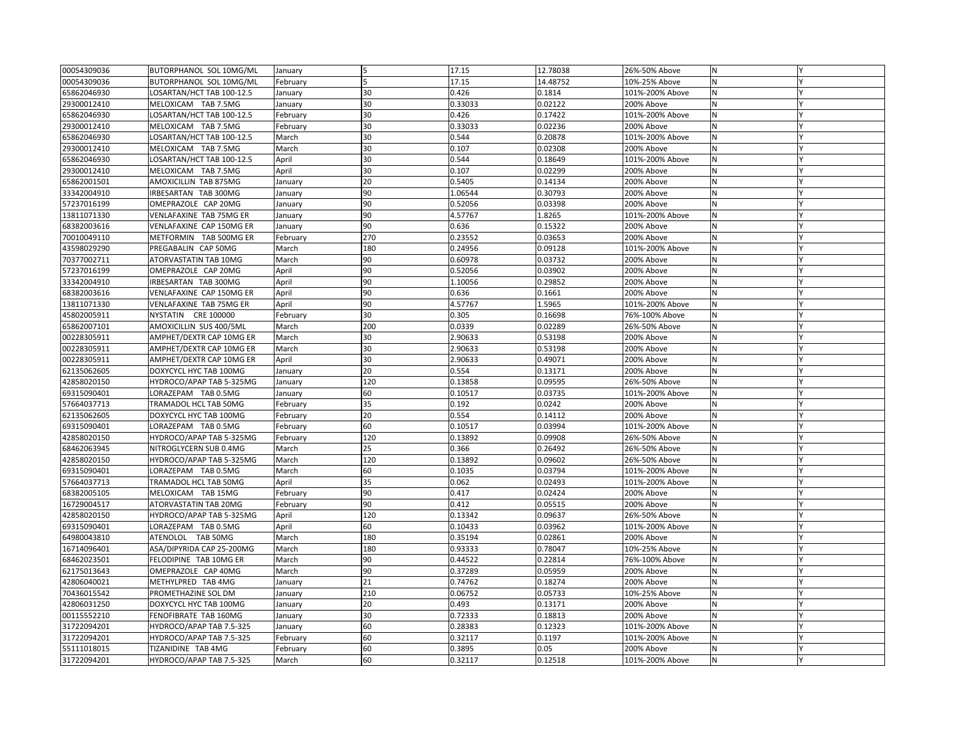| 00054309036 | BUTORPHANOL SOL 10MG/ML        | January  |     | 17.15   | 12.78038 | 26%-50% Above   | N |  |
|-------------|--------------------------------|----------|-----|---------|----------|-----------------|---|--|
| 00054309036 | BUTORPHANOL SOL 10MG/ML        | February |     | 17.15   | 14.48752 | 10%-25% Above   | N |  |
| 65862046930 | LOSARTAN/HCT TAB 100-12.5      | January  | 30  | 0.426   | 0.1814   | 101%-200% Above | N |  |
| 29300012410 | MELOXICAM TAB 7.5MG            | January  | 30  | 0.33033 | 0.02122  | 200% Above      |   |  |
| 65862046930 | LOSARTAN/HCT TAB 100-12.5      | February | 30  | 0.426   | 0.17422  | 101%-200% Above | N |  |
| 29300012410 | MELOXICAM TAB 7.5MG            | February | 30  | 0.33033 | 0.02236  | 200% Above      |   |  |
| 65862046930 | LOSARTAN/HCT TAB 100-12.5      | March    | 30  | 0.544   | 0.20878  | 101%-200% Above | N |  |
| 29300012410 | MELOXICAM TAB 7.5MG            | March    | 30  | 0.107   | 0.02308  | 200% Above      |   |  |
| 65862046930 | LOSARTAN/HCT TAB 100-12.5      | April    | 30  | 0.544   | 0.18649  | 101%-200% Above | N |  |
| 29300012410 | MELOXICAM TAB 7.5MG            | April    | 30  | 0.107   | 0.02299  | 200% Above      | N |  |
| 65862001501 | AMOXICILLIN TAB 875MG          | January  | 20  | 0.5405  | 0.14134  | 200% Above      | N |  |
| 33342004910 | IRBESARTAN TAB 300MG           | January  | 90  | 1.06544 | 0.30793  | 200% Above      | N |  |
| 57237016199 | OMEPRAZOLE CAP 20MG            | January  | 90  | 0.52056 | 0.03398  | 200% Above      | N |  |
| 13811071330 | VENLAFAXINE TAB 75MG ER        | January  | 90  | 4.57767 | 1.8265   | 101%-200% Above | N |  |
| 68382003616 | VENLAFAXINE CAP 150MG ER       | January  | 90  | 0.636   | 0.15322  | 200% Above      | N |  |
| 70010049110 | METFORMIN TAB 500MG ER         | February | 270 | 0.23552 | 0.03653  | 200% Above      | N |  |
| 43598029290 | PREGABALIN CAP 50MG            | March    | 180 | 0.24956 | 0.09128  | 101%-200% Above | N |  |
| 70377002711 | ATORVASTATIN TAB 10MG          | March    | 90  | 0.60978 | 0.03732  | 200% Above      | N |  |
| 57237016199 | OMEPRAZOLE CAP 20MG            | April    | 90  | 0.52056 | 0.03902  | 200% Above      | N |  |
| 33342004910 | IRBESARTAN TAB 300MG           | April    | 90  | 1.10056 | 0.29852  | 200% Above      |   |  |
| 68382003616 | VENLAFAXINE CAP 150MG ER       | April    | 90  | 0.636   | 0.1661   | 200% Above      | N |  |
| 13811071330 | <b>VENLAFAXINE TAB 75MG ER</b> | April    | 90  | 4.57767 | 1.5965   | 101%-200% Above | N |  |
| 45802005911 | NYSTATIN CRE 100000            | February | 30  | 0.305   | 0.16698  | 76%-100% Above  | N |  |
| 65862007101 | AMOXICILLIN SUS 400/5ML        | March    | 200 | 0.0339  | 0.02289  | 26%-50% Above   | N |  |
| 00228305911 | AMPHET/DEXTR CAP 10MG ER       | March    | 30  | 2.90633 | 0.53198  | 200% Above      | N |  |
| 00228305911 | AMPHET/DEXTR CAP 10MG ER       | March    | 30  | 2.90633 | 0.53198  | 200% Above      | N |  |
| 00228305911 | AMPHET/DEXTR CAP 10MG ER       | April    | 30  | 2.90633 | 0.49071  | 200% Above      | N |  |
| 62135062605 | DOXYCYCL HYC TAB 100MG         | January  | 20  | 0.554   | 0.13171  | 200% Above      | N |  |
| 42858020150 | HYDROCO/APAP TAB 5-325MG       | January  | 120 | 0.13858 | 0.09595  | 26%-50% Above   | N |  |
| 69315090401 | LORAZEPAM TAB 0.5MG            | January  | 60  | 0.10517 | 0.03735  | 101%-200% Above | N |  |
| 57664037713 | TRAMADOL HCL TAB 50MG          | February | 35  | 0.192   | 0.0242   | 200% Above      | N |  |
| 62135062605 | DOXYCYCL HYC TAB 100MG         | February | 20  | 0.554   | 0.14112  | 200% Above      | N |  |
| 69315090401 | LORAZEPAM TAB 0.5MG            | February | 60  | 0.10517 | 0.03994  | 101%-200% Above | N |  |
| 42858020150 | HYDROCO/APAP TAB 5-325MG       | February | 120 | 0.13892 | 0.09908  | 26%-50% Above   |   |  |
| 68462063945 | NITROGLYCERN SUB 0.4MG         | March    | 25  | 0.366   | 0.26492  | 26%-50% Above   | N |  |
| 42858020150 | HYDROCO/APAP TAB 5-325MG       | March    | 120 | 0.13892 | 0.09602  | 26%-50% Above   | N |  |
| 69315090401 | LORAZEPAM TAB 0.5MG            | March    | 60  | 0.1035  | 0.03794  | 101%-200% Above | N |  |
| 57664037713 | TRAMADOL HCL TAB 50MG          | April    | 35  | 0.062   | 0.02493  | 101%-200% Above | N |  |
| 68382005105 | MELOXICAM TAB 15MG             | February | 90  | 0.417   | 0.02424  | 200% Above      | N |  |
| 16729004517 | ATORVASTATIN TAB 20MG          | February | 90  | 0.412   | 0.05515  | 200% Above      | N |  |
| 42858020150 | HYDROCO/APAP TAB 5-325MG       | April    | 120 | 0.13342 | 0.09637  | 26%-50% Above   | N |  |
| 69315090401 | LORAZEPAM TAB 0.5MG            | April    | 60  | 0.10433 | 0.03962  | 101%-200% Above | N |  |
| 64980043810 | ATENOLOL<br>TAB 50MG           | March    | 180 | 0.35194 | 0.02861  | 200% Above      | N |  |
| 16714096401 | ASA/DIPYRIDA CAP 25-200MG      | March    | 180 | 0.93333 | 0.78047  | 10%-25% Above   | N |  |
| 68462023501 | FELODIPINE TAB 10MG ER         | March    | 90  | 0.44522 | 0.22814  | 76%-100% Above  | N |  |
| 62175013643 | OMEPRAZOLE CAP 40MG            | March    | 90  | 0.37289 | 0.05959  | 200% Above      | N |  |
| 42806040021 | METHYLPRED TAB 4MG             | January  | 21  | 0.74762 | 0.18274  | 200% Above      | N |  |
| 70436015542 | PROMETHAZINE SOL DM            | January  | 210 | 0.06752 | 0.05733  | 10%-25% Above   | N |  |
| 42806031250 | DOXYCYCL HYC TAB 100MG         | January  | 20  | 0.493   | 0.13171  | 200% Above      | N |  |
| 00115552210 | FENOFIBRATE TAB 160MG          | January  | 30  | 0.72333 | 0.18813  | 200% Above      | N |  |
| 31722094201 | HYDROCO/APAP TAB 7.5-325       | January  | 60  | 0.28383 | 0.12323  | 101%-200% Above |   |  |
| 31722094201 | HYDROCO/APAP TAB 7.5-325       | February | 60  | 0.32117 | 0.1197   | 101%-200% Above | N |  |
| 55111018015 | TIZANIDINE TAB 4MG             | February | 60  | 0.3895  | 0.05     | 200% Above      | N |  |
| 31722094201 | HYDROCO/APAP TAB 7.5-325       | March    | 60  | 0.32117 | 0.12518  | 101%-200% Above | Ν |  |
|             |                                |          |     |         |          |                 |   |  |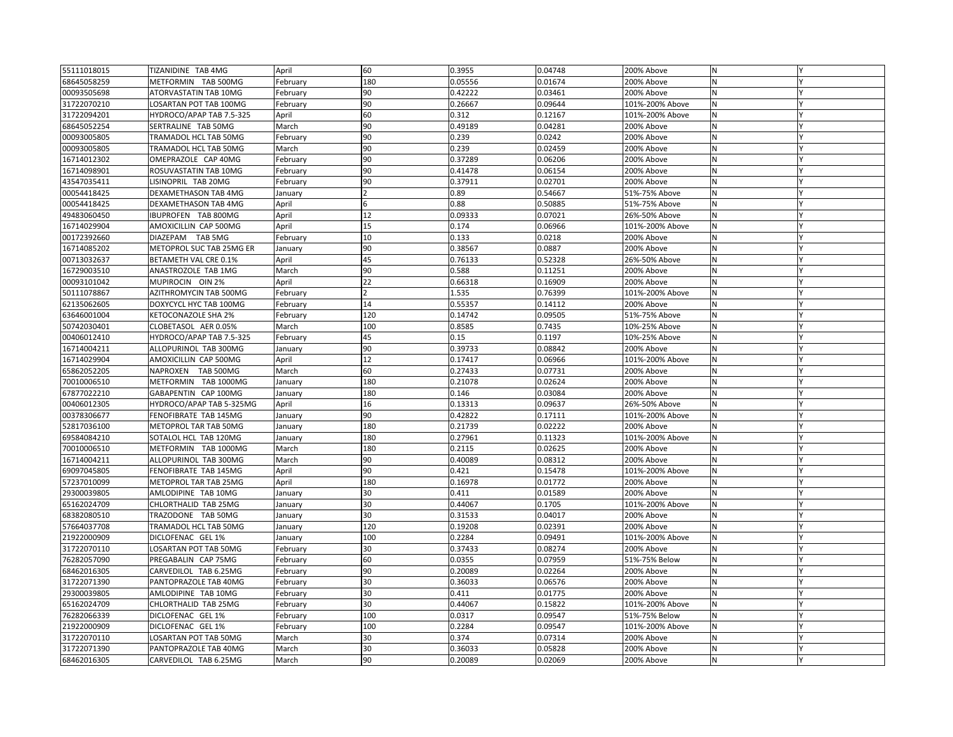| 55111018015 | TIZANIDINE TAB 4MG            | April    | 60  | 0.3955  | 0.04748 | 200% Above      | N |  |
|-------------|-------------------------------|----------|-----|---------|---------|-----------------|---|--|
| 68645058259 | METFORMIN TAB 500MG           | February | 180 | 0.05556 | 0.01674 | 200% Above      | N |  |
| 00093505698 | ATORVASTATIN TAB 10MG         | February | 90  | 0.42222 | 0.03461 | 200% Above      | N |  |
| 31722070210 | <b>LOSARTAN POT TAB 100MG</b> | February | 90  | 0.26667 | 0.09644 | 101%-200% Above |   |  |
| 31722094201 | HYDROCO/APAP TAB 7.5-325      | April    | 60  | 0.312   | 0.12167 | 101%-200% Above | N |  |
| 68645052254 | SERTRALINE TAB 50MG           | March    | 90  | 0.49189 | 0.04281 | 200% Above      |   |  |
| 00093005805 | TRAMADOL HCL TAB 50MG         | February | 90  | 0.239   | 0.0242  | 200% Above      | N |  |
| 00093005805 | TRAMADOL HCL TAB 50MG         | March    | 90  | 0.239   | 0.02459 | 200% Above      | N |  |
| 16714012302 | OMEPRAZOLE CAP 40MG           | February | 90  | 0.37289 | 0.06206 | 200% Above      | N |  |
| 16714098901 | ROSUVASTATIN TAB 10MG         | February | 90  | 0.41478 | 0.06154 | 200% Above      | N |  |
| 43547035411 | LISINOPRIL TAB 20MG           | February | 90  | 0.37911 | 0.02701 | 200% Above      | N |  |
| 00054418425 | DEXAMETHASON TAB 4MG          | January  |     | 0.89    | 0.54667 | 51%-75% Above   | N |  |
| 00054418425 | <b>DEXAMETHASON TAB 4MG</b>   | April    | 6   | 0.88    | 0.50885 | 51%-75% Above   | N |  |
| 49483060450 | IBUPROFEN TAB 800MG           | April    | 12  | 0.09333 | 0.07021 | 26%-50% Above   | N |  |
| 16714029904 | AMOXICILLIN CAP 500MG         | April    | 15  | 0.174   | 0.06966 | 101%-200% Above | N |  |
| 00172392660 | DIAZEPAM TAB 5MG              | February | 10  | 0.133   | 0.0218  | 200% Above      | N |  |
| 16714085202 | METOPROL SUC TAB 25MG ER      | January  | 90  | 0.38567 | 0.0887  | 200% Above      | N |  |
| 00713032637 | BETAMETH VAL CRE 0.1%         | April    | 45  | 0.76133 | 0.52328 | 26%-50% Above   | N |  |
| 16729003510 | ANASTROZOLE TAB 1MG           | March    | 90  | 0.588   | 0.11251 | 200% Above      | N |  |
| 00093101042 | MUPIROCIN OIN 2%              | April    | 22  | 0.66318 | 0.16909 | 200% Above      |   |  |
| 50111078867 | AZITHROMYCIN TAB 500MG        | February |     | 1.535   | 0.76399 | 101%-200% Above |   |  |
| 62135062605 | DOXYCYCL HYC TAB 100MG        | February | 14  | 0.55357 | 0.14112 | 200% Above      | N |  |
| 63646001004 | KETOCONAZOLE SHA 2%           | February | 120 | 0.14742 | 0.09505 | 51%-75% Above   | N |  |
| 50742030401 | CLOBETASOL AER 0.05%          | March    | 100 | 0.8585  | 0.7435  | 10%-25% Above   |   |  |
| 00406012410 | HYDROCO/APAP TAB 7.5-325      | February | 45  | 0.15    | 0.1197  | 10%-25% Above   |   |  |
| 16714004211 | ALLOPURINOL TAB 300MG         | January  | 90  | 0.39733 | 0.08842 | 200% Above      | N |  |
| 16714029904 | AMOXICILLIN CAP 500MG         | April    | 12  | 0.17417 | 0.06966 | 101%-200% Above | N |  |
| 65862052205 | NAPROXEN<br>TAB 500MG         | March    | 60  | 0.27433 | 0.07731 | 200% Above      | N |  |
| 70010006510 | METFORMIN TAB 1000MG          | January  | 180 | 0.21078 | 0.02624 | 200% Above      | N |  |
| 67877022210 | GABAPENTIN CAP 100MG          | January  | 180 | 0.146   | 0.03084 | 200% Above      | N |  |
| 00406012305 | HYDROCO/APAP TAB 5-325MG      | April    | 16  | 0.13313 | 0.09637 | 26%-50% Above   | N |  |
| 00378306677 | FENOFIBRATE TAB 145MG         | January  | 90  | 0.42822 | 0.17111 | 101%-200% Above | N |  |
| 52817036100 | METOPROL TAR TAB 50MG         | January  | 180 | 0.21739 | 0.02222 | 200% Above      | N |  |
| 69584084210 | SOTALOL HCL TAB 120MG         | January  | 180 | 0.27961 | 0.11323 | 101%-200% Above | N |  |
| 70010006510 | METFORMIN TAB 1000MG          | March    | 180 | 0.2115  | 0.02625 | 200% Above      | N |  |
| 16714004211 | ALLOPURINOL TAB 300MG         | March    | 90  | 0.40089 | 0.08312 | 200% Above      | N |  |
| 69097045805 | FENOFIBRATE TAB 145MG         | April    | 90  | 0.421   | 0.15478 | 101%-200% Above | N |  |
| 57237010099 | METOPROL TAR TAB 25MG         | April    | 180 | 0.16978 | 0.01772 | 200% Above      | N |  |
| 29300039805 | AMLODIPINE TAB 10MG           | January  | 30  | 0.411   | 0.01589 | 200% Above      | N |  |
| 65162024709 | CHLORTHALID TAB 25MG          | January  | 30  | 0.44067 | 0.1705  | 101%-200% Above | N |  |
| 68382080510 | TRAZODONE TAB 50MG            | January  | 30  | 0.31533 | 0.04017 | 200% Above      | N |  |
| 57664037708 | TRAMADOL HCL TAB 50MG         | January  | 120 | 0.19208 | 0.02391 | 200% Above      | N |  |
| 21922000909 | DICLOFENAC GEL 1%             | January  | 100 | 0.2284  | 0.09491 | 101%-200% Above | N |  |
| 31722070110 | LOSARTAN POT TAB 50MG         | February | 30  | 0.37433 | 0.08274 | 200% Above      | N |  |
| 76282057090 | PREGABALIN CAP 75MG           | February | 60  | 0.0355  | 0.07959 | 51%-75% Below   | N |  |
| 68462016305 | CARVEDILOL TAB 6.25MG         | February | 90  | 0.20089 | 0.02264 | 200% Above      |   |  |
| 31722071390 | PANTOPRAZOLE TAB 40MG         | February | 30  | 0.36033 | 0.06576 | 200% Above      | N |  |
| 29300039805 | AMLODIPINE TAB 10MG           | February | 30  | 0.411   | 0.01775 | 200% Above      | N |  |
| 65162024709 | CHLORTHALID TAB 25MG          | February | 30  | 0.44067 | 0.15822 | 101%-200% Above | N |  |
| 76282066339 | DICLOFENAC GEL 1%             | February | 100 | 0.0317  | 0.09547 | 51%-75% Below   | N |  |
| 21922000909 | DICLOFENAC GEL 1%             | February | 100 | 0.2284  | 0.09547 | 101%-200% Above | N |  |
| 31722070110 | LOSARTAN POT TAB 50MG         | March    | 30  | 0.374   | 0.07314 | 200% Above      | N |  |
| 31722071390 | PANTOPRAZOLE TAB 40MG         | March    | 30  | 0.36033 | 0.05828 | 200% Above      | N |  |
| 68462016305 | CARVEDILOL TAB 6.25MG         | March    | 90  | 0.20089 | 0.02069 | 200% Above      | N |  |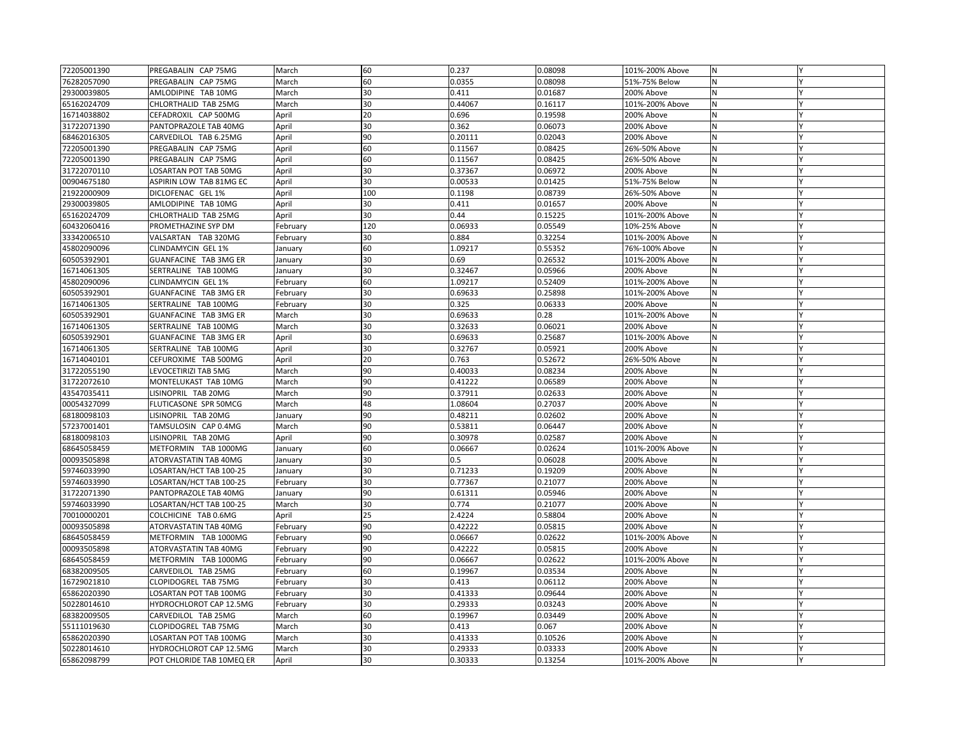| 72205001390                | PREGABALIN CAP 75MG                               | March    | 60       | 0.237              | 0.08098            | 101%-200% Above          | IN.    |  |
|----------------------------|---------------------------------------------------|----------|----------|--------------------|--------------------|--------------------------|--------|--|
| 76282057090                | PREGABALIN CAP 75MG                               | March    | 60       | 0.0355             | 0.08098            | 51%-75% Below            | N      |  |
| 29300039805                | AMLODIPINE TAB 10MG                               | March    | 30       | 0.411              | 0.01687            | 200% Above               |        |  |
| 65162024709                | CHLORTHALID TAB 25MG                              | March    | 30       | 0.44067            | 0.16117            | 101%-200% Above          |        |  |
| 16714038802                | CEFADROXIL CAP 500MG                              | April    | 20       | 0.696              | 0.19598            | 200% Above               | N      |  |
| 31722071390                | PANTOPRAZOLE TAB 40MG                             | April    | 30       | 0.362              | 0.06073            | 200% Above               | N      |  |
| 68462016305                | CARVEDILOL TAB 6.25MG                             | April    | 90       | 0.20111            | 0.02043            | 200% Above               | N      |  |
| 72205001390                | PREGABALIN CAP 75MG                               | April    | 60       | 0.11567            | 0.08425            | 26%-50% Above            |        |  |
| 72205001390                | PREGABALIN CAP 75MG                               | April    | 60       | 0.11567            | 0.08425            | 26%-50% Above            | N      |  |
| 31722070110                | LOSARTAN POT TAB 50MG                             | April    | 30       | 0.37367            | 0.06972            | 200% Above               | N      |  |
| 00904675180                | ASPIRIN LOW TAB 81MG EC                           | April    | 30       | 0.00533            | 0.01425            | 51%-75% Below            | N      |  |
| 21922000909                | DICLOFENAC GEL 1%                                 | April    | 100      | 0.1198             | 0.08739            | 26%-50% Above            |        |  |
| 29300039805                | AMLODIPINE TAB 10MG                               | April    | 30       | 0.411              | 0.01657            | 200% Above               | N      |  |
| 65162024709                | CHLORTHALID TAB 25MG                              | April    | 30       | 0.44               | 0.15225            | 101%-200% Above          | N      |  |
| 60432060416                | PROMETHAZINE SYP DM                               | February | 120      | 0.06933            | 0.05549            | 10%-25% Above            | N      |  |
| 33342006510                | VALSARTAN TAB 320MG                               | February | 30       | 0.884              | 0.32254            | 101%-200% Above          | N      |  |
| 45802090096                | CLINDAMYCIN GEL 1%                                | January  | 60       | 1.09217            | 0.55352            | 76%-100% Above           | N      |  |
| 60505392901                | GUANFACINE TAB 3MG ER                             | January  | 30       | 0.69               | 0.26532            | 101%-200% Above          | N      |  |
| 16714061305                | SERTRALINE TAB 100MG                              | January  | 30       | 0.32467            | 0.05966            | 200% Above               | N      |  |
| 45802090096                | CLINDAMYCIN GEL 1%                                | February | 60       | 1.09217            | 0.52409            | 101%-200% Above          |        |  |
| 60505392901                | <b>GUANFACINE TAB 3MG ER</b>                      | February | 30       | 0.69633            | 0.25898            | 101%-200% Above          | N      |  |
| 16714061305                | SERTRALINE TAB 100MG                              | February | 30       | 0.325              | 0.06333            | 200% Above               | N      |  |
| 60505392901                | GUANFACINE TAB 3MG ER                             | March    | 30       | 0.69633            | 0.28               | 101%-200% Above          | N      |  |
| 16714061305                | SERTRALINE TAB 100MG                              | March    | 30       | 0.32633            | 0.06021            | 200% Above               | N      |  |
| 60505392901                | GUANFACINE TAB 3MG ER                             | April    | 30       | 0.69633            | 0.25687            | 101%-200% Above          |        |  |
| 16714061305                | SERTRALINE TAB 100MG                              | April    | 30       | 0.32767            | 0.05921            | 200% Above               | N      |  |
| 16714040101                | CEFUROXIME TAB 500MG                              | April    | 20       | 0.763              | 0.52672            | 26%-50% Above            | N      |  |
| 31722055190                | LEVOCETIRIZI TAB 5MG                              | March    | 90       | 0.40033            | 0.08234            | 200% Above               | N      |  |
| 31722072610                | MONTELUKAST TAB 10MG                              | March    | 90       | 0.41222            | 0.06589            | 200% Above               | N      |  |
| 43547035411                | LISINOPRIL TAB 20MG                               | March    | 90       | 0.37911            | 0.02633            | 200% Above               | N      |  |
| 00054327099                | FLUTICASONE SPR 50MCG                             | March    | 48       | 1.08604            | 0.27037            | 200% Above               | N      |  |
| 68180098103                | LISINOPRIL TAB 20MG                               | January  | 90       | 0.48211            | 0.02602            | 200% Above               | N      |  |
| 57237001401                | TAMSULOSIN CAP 0.4MG                              | March    | 90       | 0.53811            | 0.06447            | 200% Above               | N      |  |
| 68180098103                | LISINOPRIL TAB 20MG                               | April    | 90       | 0.30978            | 0.02587            | 200% Above               | N      |  |
| 68645058459                | METFORMIN TAB 1000MG                              | January  | 60       | 0.06667            | 0.02624            | 101%-200% Above          | N      |  |
| 00093505898                | ATORVASTATIN TAB 40MG                             | January  | 30       | 0.5                | 0.06028            | 200% Above               | N      |  |
| 59746033990                | LOSARTAN/HCT TAB 100-25                           | January  | 30       | 0.71233            | 0.19209            | 200% Above               | N      |  |
| 59746033990                | LOSARTAN/HCT TAB 100-25                           | February | 30       | 0.77367            | 0.21077            | 200% Above               | N      |  |
| 31722071390                | PANTOPRAZOLE TAB 40MG                             | January  | 90       | 0.61311            | 0.05946            | 200% Above               | N      |  |
| 59746033990                | LOSARTAN/HCT TAB 100-25                           | March    | 30       | 0.774              | 0.21077            | 200% Above               | N      |  |
| 70010000201                | COLCHICINE TAB 0.6MG                              | April    | 25       | 2.4224             | 0.58804            | 200% Above               | N      |  |
| 00093505898                | ATORVASTATIN TAB 40MG                             | February | 90       | 0.42222            | 0.05815            | 200% Above               | N      |  |
| 68645058459                | METFORMIN TAB 1000MG                              | February | 90       | 0.06667            | 0.02622            | 101%-200% Above          | N      |  |
| 00093505898                | ATORVASTATIN TAB 40MG                             | February | 90       | 0.42222            | 0.05815            | 200% Above               | N      |  |
| 68645058459                | METFORMIN TAB 1000MG                              | February | 90       | 0.06667            | 0.02622            | 101%-200% Above          | N      |  |
| 68382009505                | CARVEDILOL TAB 25MG                               | February | 60       | 0.19967            | 0.03534            | 200% Above               |        |  |
| 16729021810                | CLOPIDOGREL TAB 75MG                              | February | 30       | 0.413              | 0.06112            | 200% Above               | N      |  |
| 65862020390                | LOSARTAN POT TAB 100MG                            | February | 30       | 0.41333            | 0.09644            | 200% Above               | N      |  |
| 50228014610                | HYDROCHLOROT CAP 12.5MG                           | February | 30       | 0.29333            | 0.03243            | 200% Above               | N      |  |
| 68382009505                | CARVEDILOL TAB 25MG                               | March    | 60       | 0.19967            | 0.03449            | 200% Above               | N<br>N |  |
| 55111019630                | CLOPIDOGREL TAB 75MG                              | March    | 30       | 0.413              | 0.067              | 200% Above               |        |  |
| 65862020390<br>50228014610 | LOSARTAN POT TAB 100MG<br>HYDROCHLOROT CAP 12.5MG | March    | 30<br>30 | 0.41333<br>0.29333 | 0.10526<br>0.03333 | 200% Above<br>200% Above | N<br>N |  |
|                            |                                                   | March    | 30       |                    |                    |                          |        |  |
| 65862098799                | POT CHLORIDE TAB 10MEQ ER                         | April    |          | 0.30333            | 0.13254            | 101%-200% Above          | N      |  |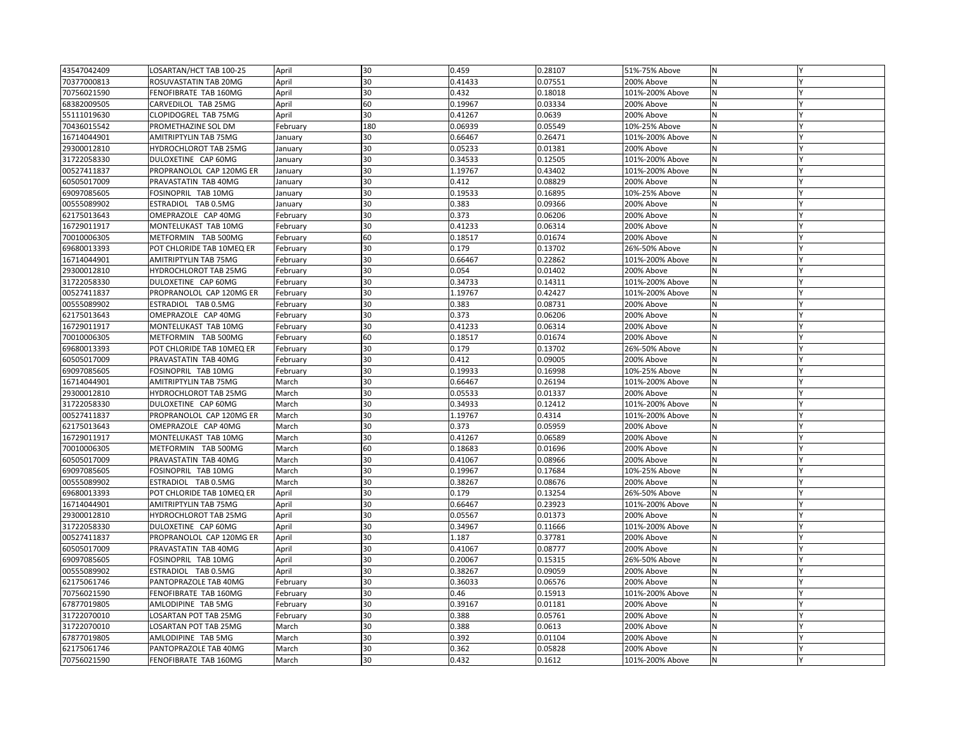| 43547042409 | LOSARTAN/HCT TAB 100-25      | April    | 30  | 0.459   | 0.28107 | 51%-75% Above   | N |  |
|-------------|------------------------------|----------|-----|---------|---------|-----------------|---|--|
| 70377000813 | ROSUVASTATIN TAB 20MG        | April    | 30  | 0.41433 | 0.07551 | 200% Above      | N |  |
| 70756021590 | FENOFIBRATE TAB 160MG        | April    | 30  | 0.432   | 0.18018 | 101%-200% Above | N |  |
| 68382009505 | CARVEDILOL TAB 25MG          | April    | 60  | 0.19967 | 0.03334 | 200% Above      | N |  |
| 55111019630 | CLOPIDOGREL TAB 75MG         | April    | 30  | 0.41267 | 0.0639  | 200% Above      | N |  |
| 70436015542 | PROMETHAZINE SOL DM          | February | 180 | 0.06939 | 0.05549 | 10%-25% Above   | N |  |
| 16714044901 | <b>AMITRIPTYLIN TAB 75MG</b> | January  | 30  | 0.66467 | 0.26471 | 101%-200% Above | N |  |
| 29300012810 | <b>HYDROCHLOROT TAB 25MG</b> | January  | 30  | 0.05233 | 0.01381 | 200% Above      | N |  |
| 31722058330 | DULOXETINE CAP 60MG          | January  | 30  | 0.34533 | 0.12505 | 101%-200% Above | N |  |
| 00527411837 | PROPRANOLOL CAP 120MG ER     | January  | 30  | 1.19767 | 0.43402 | 101%-200% Above | N |  |
| 60505017009 | PRAVASTATIN TAB 40MG         | January  | 30  | 0.412   | 0.08829 | 200% Above      | N |  |
| 69097085605 | FOSINOPRIL TAB 10MG          | January  | 30  | 0.19533 | 0.16895 | 10%-25% Above   | N |  |
| 00555089902 | ESTRADIOL TAB 0.5MG          | January  | 30  | 0.383   | 0.09366 | 200% Above      | Ń |  |
| 62175013643 | OMEPRAZOLE CAP 40MG          | February | 30  | 0.373   | 0.06206 | 200% Above      | N |  |
| 16729011917 | MONTELUKAST TAB 10MG         | February | 30  | 0.41233 | 0.06314 | 200% Above      | N |  |
| 70010006305 | METFORMIN TAB 500MG          | February | 60  | 0.18517 | 0.01674 | 200% Above      | N |  |
| 69680013393 | POT CHLORIDE TAB 10MEQ ER    | February | 30  | 0.179   | 0.13702 | 26%-50% Above   |   |  |
| 16714044901 | <b>AMITRIPTYLIN TAB 75MG</b> | February | 30  | 0.66467 | 0.22862 | 101%-200% Above | N |  |
| 29300012810 | <b>HYDROCHLOROT TAB 25MG</b> | February | 30  | 0.054   | 0.01402 | 200% Above      | N |  |
| 31722058330 | DULOXETINE CAP 60MG          | February | 30  | 0.34733 | 0.14311 | 101%-200% Above | N |  |
| 00527411837 | PROPRANOLOL CAP 120MG ER     | February | 30  | 1.19767 | 0.42427 | 101%-200% Above | N |  |
| 00555089902 | ESTRADIOL TAB 0.5MG          | February | 30  | 0.383   | 0.08731 | 200% Above      | N |  |
| 62175013643 | OMEPRAZOLE CAP 40MG          | February | 30  | 0.373   | 0.06206 | 200% Above      | N |  |
| 16729011917 | MONTELUKAST TAB 10MG         | February | 30  | 0.41233 | 0.06314 | 200% Above      |   |  |
| 70010006305 | METFORMIN TAB 500MG          | February | 60  | 0.18517 | 0.01674 | 200% Above      | N |  |
| 69680013393 | POT CHLORIDE TAB 10MEQ ER    | February | 30  | 0.179   | 0.13702 | 26%-50% Above   | N |  |
| 60505017009 | PRAVASTATIN TAB 40MG         | February | 30  | 0.412   | 0.09005 | 200% Above      | N |  |
| 69097085605 | FOSINOPRIL TAB 10MG          | February | 30  | 0.19933 | 0.16998 | 10%-25% Above   | N |  |
| 16714044901 | AMITRIPTYLIN TAB 75MG        | March    | 30  | 0.66467 | 0.26194 | 101%-200% Above | N |  |
| 29300012810 | <b>HYDROCHLOROT TAB 25MG</b> | March    | 30  | 0.05533 | 0.01337 | 200% Above      | N |  |
| 31722058330 | DULOXETINE CAP 60MG          | March    | 30  | 0.34933 | 0.12412 | 101%-200% Above | N |  |
| 00527411837 | PROPRANOLOL CAP 120MG ER     | March    | 30  | 1.19767 | 0.4314  | 101%-200% Above | N |  |
| 62175013643 | OMEPRAZOLE CAP 40MG          | March    | 30  | 0.373   | 0.05959 | 200% Above      | N |  |
| 16729011917 | MONTELUKAST TAB 10MG         | March    | 30  | 0.41267 | 0.06589 | 200% Above      | N |  |
| 70010006305 | METFORMIN TAB 500MG          | March    | 60  | 0.18683 | 0.01696 | 200% Above      | N |  |
| 60505017009 | PRAVASTATIN TAB 40MG         | March    | 30  | 0.41067 | 0.08966 | 200% Above      | N |  |
| 69097085605 | FOSINOPRIL TAB 10MG          | March    | 30  | 0.19967 | 0.17684 | 10%-25% Above   | N |  |
| 00555089902 | ESTRADIOL TAB 0.5MG          | March    | 30  | 0.38267 | 0.08676 | 200% Above      | N |  |
| 69680013393 | POT CHLORIDE TAB 10MEQ ER    | April    | 30  | 0.179   | 0.13254 | 26%-50% Above   | N |  |
| 16714044901 | <b>AMITRIPTYLIN TAB 75MG</b> | April    | 30  | 0.66467 | 0.23923 | 101%-200% Above | N |  |
| 29300012810 | HYDROCHLOROT TAB 25MG        | April    | 30  | 0.05567 | 0.01373 | 200% Above      | N |  |
| 31722058330 | DULOXETINE CAP 60MG          | April    | 30  | 0.34967 | 0.11666 | 101%-200% Above | N |  |
| 00527411837 | PROPRANOLOL CAP 120MG ER     | April    | 30  | 1.187   | 0.37781 | 200% Above      | N |  |
| 60505017009 | PRAVASTATIN TAB 40MG         | April    | 30  | 0.41067 | 0.08777 | 200% Above      | N |  |
| 69097085605 | FOSINOPRIL TAB 10MG          | April    | 30  | 0.20067 | 0.15315 | 26%-50% Above   | N |  |
| 00555089902 | ESTRADIOL TAB 0.5MG          | April    | 30  | 0.38267 | 0.09059 | 200% Above      | N |  |
| 62175061746 | PANTOPRAZOLE TAB 40MG        | February | 30  | 0.36033 | 0.06576 | 200% Above      | N |  |
| 70756021590 | FENOFIBRATE TAB 160MG        | February | 30  | 0.46    | 0.15913 | 101%-200% Above | N |  |
| 67877019805 | AMLODIPINE TAB 5MG           | February | 30  | 0.39167 | 0.01181 | 200% Above      | N |  |
| 31722070010 | LOSARTAN POT TAB 25MG        | February | 30  | 0.388   | 0.05761 | 200% Above      | N |  |
| 31722070010 | LOSARTAN POT TAB 25MG        | March    | 30  | 0.388   | 0.0613  | 200% Above      |   |  |
| 67877019805 | AMLODIPINE TAB 5MG           | March    | 30  | 0.392   | 0.01104 | 200% Above      | N |  |
| 62175061746 | PANTOPRAZOLE TAB 40MG        | March    | 30  | 0.362   | 0.05828 | 200% Above      | N |  |
| 70756021590 | FENOFIBRATE TAB 160MG        | March    | 30  | 0.432   | 0.1612  | 101%-200% Above | N |  |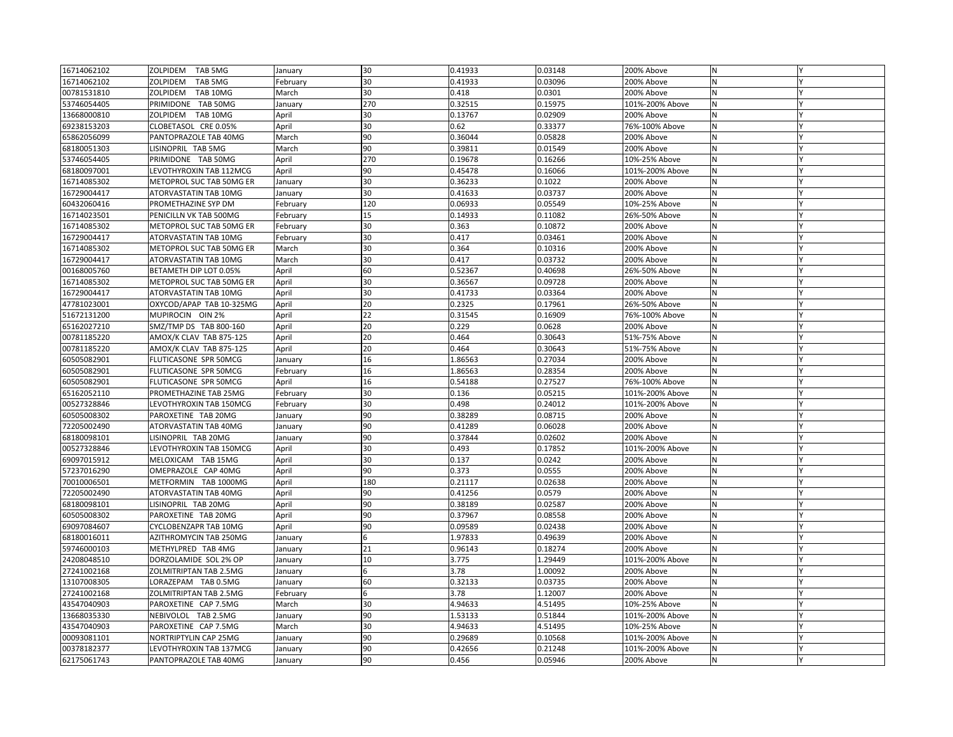| 16714062102 | ZOLPIDEM<br>TAB 5MG          | January  | 30  | 0.41933 | 0.03148 | 200% Above      | N |  |
|-------------|------------------------------|----------|-----|---------|---------|-----------------|---|--|
| 16714062102 | TAB 5MG<br><b>ZOLPIDEM</b>   | February | 30  | 0.41933 | 0.03096 | 200% Above      | N |  |
| 00781531810 | ZOLPIDEM<br>TAB 10MG         | March    | 30  | 0.418   | 0.0301  | 200% Above      | N |  |
| 53746054405 | TAB 50MG<br><b>PRIMIDONE</b> | January  | 270 | 0.32515 | 0.15975 | 101%-200% Above | N |  |
| 13668000810 | ZOLPIDEM<br>TAB 10MG         | April    | 30  | 0.13767 | 0.02909 | 200% Above      | N |  |
| 69238153203 | CLOBETASOL CRE 0.05%         | April    | 30  | 0.62    | 0.33377 | 76%-100% Above  | N |  |
| 65862056099 | PANTOPRAZOLE TAB 40MG        | March    | 90  | 0.36044 | 0.05828 | 200% Above      | N |  |
| 68180051303 | LISINOPRIL TAB 5MG           | March    | 90  | 0.39811 | 0.01549 | 200% Above      | N |  |
| 53746054405 | PRIMIDONE TAB 50MG           | April    | 270 | 0.19678 | 0.16266 | 10%-25% Above   | N |  |
| 68180097001 | LEVOTHYROXIN TAB 112MCG      | April    | 90  | 0.45478 | 0.16066 | 101%-200% Above | N |  |
| 16714085302 | METOPROL SUC TAB 50MG ER     | January  | 30  | 0.36233 | 0.1022  | 200% Above      | N |  |
| 16729004417 | ATORVASTATIN TAB 10MG        | January  | 30  | 0.41633 | 0.03737 | 200% Above      | N |  |
| 60432060416 | PROMETHAZINE SYP DM          | February | 120 | 0.06933 | 0.05549 | 10%-25% Above   | Ń |  |
| 16714023501 | PENICILLN VK TAB 500MG       | February | 15  | 0.14933 | 0.11082 | 26%-50% Above   | N |  |
| 16714085302 | METOPROL SUC TAB 50MG ER     | February | 30  | 0.363   | 0.10872 | 200% Above      | N |  |
| 16729004417 | ATORVASTATIN TAB 10MG        | February | 30  | 0.417   | 0.03461 | 200% Above      | N |  |
| 16714085302 | METOPROL SUC TAB 50MG ER     | March    | 30  | 0.364   | 0.10316 | 200% Above      |   |  |
| 16729004417 | ATORVASTATIN TAB 10MG        | March    | 30  | 0.417   | 0.03732 | 200% Above      | N |  |
| 00168005760 | BETAMETH DIP LOT 0.05%       | April    | 60  | 0.52367 | 0.40698 | 26%-50% Above   | N |  |
| 16714085302 | METOPROL SUC TAB 50MG ER     | April    | 30  | 0.36567 | 0.09728 | 200% Above      | N |  |
| 16729004417 | ATORVASTATIN TAB 10MG        | April    | 30  | 0.41733 | 0.03364 | 200% Above      | N |  |
| 47781023001 | OXYCOD/APAP TAB 10-325MG     | April    | 20  | 0.2325  | 0.17961 | 26%-50% Above   | N |  |
| 51672131200 | MUPIROCIN OIN 2%             | April    | 22  | 0.31545 | 0.16909 | 76%-100% Above  | N |  |
| 65162027210 | SMZ/TMP DS TAB 800-160       | April    | 20  | 0.229   | 0.0628  | 200% Above      |   |  |
| 00781185220 | AMOX/K CLAV TAB 875-125      | April    | 20  | 0.464   | 0.30643 | 51%-75% Above   | N |  |
| 00781185220 | AMOX/K CLAV TAB 875-125      | April    | 20  | 0.464   | 0.30643 | 51%-75% Above   | N |  |
| 60505082901 | FLUTICASONE SPR 50MCG        | January  | 16  | 1.86563 | 0.27034 | 200% Above      | N |  |
| 60505082901 | FLUTICASONE SPR 50MCG        | February | 16  | 1.86563 | 0.28354 | 200% Above      | N |  |
| 60505082901 | FLUTICASONE SPR 50MCG        | April    | 16  | 0.54188 | 0.27527 | 76%-100% Above  | N |  |
| 65162052110 | PROMETHAZINE TAB 25MG        | February | 30  | 0.136   | 0.05215 | 101%-200% Above | N |  |
| 00527328846 | LEVOTHYROXIN TAB 150MCG      | February | 30  | 0.498   | 0.24012 | 101%-200% Above | N |  |
| 60505008302 | PAROXETINE TAB 20MG          | January  | 90  | 0.38289 | 0.08715 | 200% Above      | N |  |
| 72205002490 | ATORVASTATIN TAB 40MG        | January  | 90  | 0.41289 | 0.06028 | 200% Above      | N |  |
| 68180098101 | LISINOPRIL TAB 20MG          | January  | 90  | 0.37844 | 0.02602 | 200% Above      | N |  |
| 00527328846 | LEVOTHYROXIN TAB 150MCG      | April    | 30  | 0.493   | 0.17852 | 101%-200% Above | N |  |
| 69097015912 | MELOXICAM TAB 15MG           | April    | 30  | 0.137   | 0.0242  | 200% Above      | N |  |
| 57237016290 | OMEPRAZOLE CAP 40MG          | April    | 90  | 0.373   | 0.0555  | 200% Above      | N |  |
| 70010006501 | METFORMIN TAB 1000MG         | April    | 180 | 0.21117 | 0.02638 | 200% Above      | N |  |
| 72205002490 | ATORVASTATIN TAB 40MG        | April    | 90  | 0.41256 | 0.0579  | 200% Above      | N |  |
| 68180098101 | LISINOPRIL TAB 20MG          | April    | 90  | 0.38189 | 0.02587 | 200% Above      | N |  |
| 60505008302 | PAROXETINE TAB 20MG          | April    | 90  | 0.37967 | 0.08558 | 200% Above      | N |  |
| 69097084607 | CYCLOBENZAPR TAB 10MG        | April    | 90  | 0.09589 | 0.02438 | 200% Above      | N |  |
| 68180016011 | AZITHROMYCIN TAB 250MG       | January  |     | 1.97833 | 0.49639 | 200% Above      | N |  |
| 59746000103 | METHYLPRED TAB 4MG           | January  | 21  | 0.96143 | 0.18274 | 200% Above      | N |  |
| 24208048510 | DORZOLAMIDE SOL 2% OP        | January  | 10  | 3.775   | 1.29449 | 101%-200% Above | N |  |
| 27241002168 | ZOLMITRIPTAN TAB 2.5MG       | January  |     | 3.78    | 1.00092 | 200% Above      | N |  |
| 13107008305 | LORAZEPAM TAB 0.5MG          | January  | 60  | 0.32133 | 0.03735 | 200% Above      | N |  |
| 27241002168 | ZOLMITRIPTAN TAB 2.5MG       | February |     | 3.78    | 1.12007 | 200% Above      | N |  |
| 43547040903 | PAROXETINE CAP 7.5MG         | March    | 30  | 4.94633 | 4.51495 | 10%-25% Above   | N |  |
| 13668035330 | NEBIVOLOL TAB 2.5MG          | January  | 90  | 1.53133 | 0.51844 | 101%-200% Above | N |  |
| 43547040903 | PAROXETINE CAP 7.5MG         | March    | 30  | 4.94633 | 4.51495 | 10%-25% Above   |   |  |
| 00093081101 | NORTRIPTYLIN CAP 25MG        | January  | 90  | 0.29689 | 0.10568 | 101%-200% Above | N |  |
| 00378182377 | LEVOTHYROXIN TAB 137MCG      | January  | 90  | 0.42656 | 0.21248 | 101%-200% Above | N |  |
| 62175061743 | PANTOPRAZOLE TAB 40MG        | January  | 90  | 0.456   | 0.05946 | 200% Above      | N |  |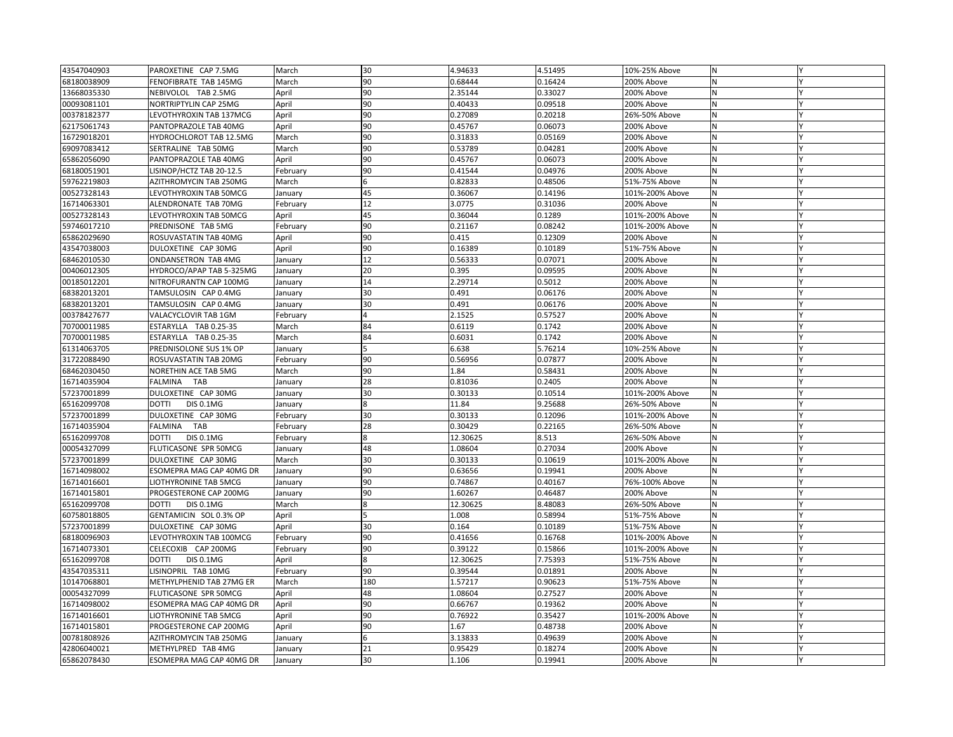| 43547040903 | PAROXETINE CAP 7.5MG             | March    | 30  | 4.94633  | 4.51495 | 10%-25% Above   | N |  |
|-------------|----------------------------------|----------|-----|----------|---------|-----------------|---|--|
| 68180038909 | FENOFIBRATE TAB 145MG            | March    | 90  | 0.68444  | 0.16424 | 200% Above      | N |  |
| 13668035330 | NEBIVOLOL TAB 2.5MG              | April    | 90  | 2.35144  | 0.33027 | 200% Above      | N |  |
| 00093081101 | NORTRIPTYLIN CAP 25MG            | April    | 90  | 0.40433  | 0.09518 | 200% Above      |   |  |
| 00378182377 | LEVOTHYROXIN TAB 137MCG          | April    | 90  | 0.27089  | 0.20218 | 26%-50% Above   | N |  |
| 62175061743 | PANTOPRAZOLE TAB 40MG            | April    | 90  | 0.45767  | 0.06073 | 200% Above      | N |  |
| 16729018201 | HYDROCHLOROT TAB 12.5MG          | March    | 90  | 0.31833  | 0.05169 | 200% Above      | N |  |
| 69097083412 | SERTRALINE TAB 50MG              | March    | 90  | 0.53789  | 0.04281 | 200% Above      | N |  |
| 65862056090 | PANTOPRAZOLE TAB 40MG            | April    | 90  | 0.45767  | 0.06073 | 200% Above      | N |  |
| 68180051901 | LISINOP/HCTZ TAB 20-12.5         | February | 90  | 0.41544  | 0.04976 | 200% Above      | N |  |
| 59762219803 | AZITHROMYCIN TAB 250MG           | March    |     | 0.82833  | 0.48506 | 51%-75% Above   | N |  |
| 00527328143 | LEVOTHYROXIN TAB 50MCG           | January  | 45  | 0.36067  | 0.14196 | 101%-200% Above | N |  |
| 16714063301 | ALENDRONATE TAB 70MG             | February | 12  | 3.0775   | 0.31036 | 200% Above      | N |  |
| 00527328143 | LEVOTHYROXIN TAB 50MCG           | April    | 45  | 0.36044  | 0.1289  | 101%-200% Above | N |  |
| 59746017210 | PREDNISONE TAB 5MG               | February | 90  | 0.21167  | 0.08242 | 101%-200% Above | N |  |
| 65862029690 | ROSUVASTATIN TAB 40MG            | April    | 90  | 0.415    | 0.12309 | 200% Above      | N |  |
| 43547038003 | DULOXETINE CAP 30MG              | April    | 90  | 0.16389  | 0.10189 | 51%-75% Above   |   |  |
| 68462010530 | <b>ONDANSETRON TAB 4MG</b>       | January  | 12  | 0.56333  | 0.07071 | 200% Above      | N |  |
| 00406012305 | HYDROCO/APAP TAB 5-325MG         | January  | 20  | 0.395    | 0.09595 | 200% Above      | N |  |
| 00185012201 | NITROFURANTN CAP 100MG           | January  | 14  | 2.29714  | 0.5012  | 200% Above      | N |  |
| 68382013201 | TAMSULOSIN CAP 0.4MG             | January  | 30  | 0.491    | 0.06176 | 200% Above      |   |  |
| 68382013201 | TAMSULOSIN CAP 0.4MG             | January  | 30  | 0.491    | 0.06176 | 200% Above      | N |  |
| 00378427677 | VALACYCLOVIR TAB 1GM             | February |     | 2.1525   | 0.57527 | 200% Above      | N |  |
| 70700011985 | ESTARYLLA TAB 0.25-35            | March    | 84  | 0.6119   | 0.1742  | 200% Above      | N |  |
| 70700011985 | ESTARYLLA TAB 0.25-35            | March    | 84  | 0.6031   | 0.1742  | 200% Above      | N |  |
| 61314063705 | PREDNISOLONE SUS 1% OP           | January  |     | 6.638    | 5.76214 | 10%-25% Above   | N |  |
| 31722088490 | ROSUVASTATIN TAB 20MG            | February | 90  | 0.56956  | 0.07877 | 200% Above      | N |  |
| 68462030450 | NORETHIN ACE TAB 5MG             | March    | 90  | 1.84     | 0.58431 | 200% Above      | N |  |
| 16714035904 | FALMINA<br>TAB                   | January  | 28  | 0.81036  | 0.2405  | 200% Above      | N |  |
| 57237001899 | DULOXETINE CAP 30MG              | January  | 30  | 0.30133  | 0.10514 | 101%-200% Above | N |  |
| 65162099708 | <b>DOTTI</b><br><b>DIS 0.1MG</b> | January  |     | 11.84    | 9.25688 | 26%-50% Above   | N |  |
| 57237001899 | DULOXETINE CAP 30MG              | February | 30  | 0.30133  | 0.12096 | 101%-200% Above | N |  |
| 16714035904 | FALMINA<br>TAB                   | February | 28  | 0.30429  | 0.22165 | 26%-50% Above   | N |  |
| 65162099708 | <b>DOTTI</b><br><b>DIS 0.1MG</b> | February |     | 12.30625 | 8.513   | 26%-50% Above   | N |  |
| 00054327099 | FLUTICASONE SPR 50MCG            | January  | 48  | 1.08604  | 0.27034 | 200% Above      | N |  |
| 57237001899 | DULOXETINE CAP 30MG              | March    | 30  | 0.30133  | 0.10619 | 101%-200% Above | N |  |
| 16714098002 | ESOMEPRA MAG CAP 40MG DR         | January  | 90  | 0.63656  | 0.19941 | 200% Above      | N |  |
| 16714016601 | LIOTHYRONINE TAB 5MCG            | January  | 90  | 0.74867  | 0.40167 | 76%-100% Above  |   |  |
| 16714015801 | PROGESTERONE CAP 200MG           | January  | 90  | 1.60267  | 0.46487 | 200% Above      | N |  |
| 65162099708 | DOTTI<br><b>DIS 0.1MG</b>        | March    |     | 12.30625 | 8.48083 | 26%-50% Above   | N |  |
| 60758018805 | GENTAMICIN SOL 0.3% OP           | April    |     | 1.008    | 0.58994 | 51%-75% Above   | N |  |
| 57237001899 | DULOXETINE CAP 30MG              | April    | 30  | 0.164    | 0.10189 | 51%-75% Above   | N |  |
| 68180096903 | LEVOTHYROXIN TAB 100MCG          | February | 90  | 0.41656  | 0.16768 | 101%-200% Above | N |  |
| 16714073301 | CELECOXIB CAP 200MG              | February | 90  | 0.39122  | 0.15866 | 101%-200% Above | N |  |
| 65162099708 | DOTTI<br><b>DIS 0.1MG</b>        | April    |     | 12.30625 | 7.75393 | 51%-75% Above   | N |  |
| 43547035311 | LISINOPRIL TAB 10MG              | February | 90  | 0.39544  | 0.01891 | 200% Above      | N |  |
| 10147068801 | METHYLPHENID TAB 27MG ER         | March    | 180 | 1.57217  | 0.90623 | 51%-75% Above   | N |  |
| 00054327099 | FLUTICASONE SPR 50MCG            | April    | 48  | 1.08604  | 0.27527 | 200% Above      | N |  |
| 16714098002 | ESOMEPRA MAG CAP 40MG DR         | April    | 90  | 0.66767  | 0.19362 | 200% Above      | N |  |
| 16714016601 | LIOTHYRONINE TAB 5MCG            | April    | 90  | 0.76922  | 0.35427 | 101%-200% Above | N |  |
| 16714015801 | PROGESTERONE CAP 200MG           | April    | 90  | 1.67     | 0.48738 | 200% Above      |   |  |
| 00781808926 | AZITHROMYCIN TAB 250MG           | January  |     | 3.13833  | 0.49639 | 200% Above      | N |  |
| 42806040021 | METHYLPRED TAB 4MG               | January  | 21  | 0.95429  | 0.18274 | 200% Above      | N |  |
| 65862078430 | ESOMEPRA MAG CAP 40MG DR         | January  | 30  | 1.106    | 0.19941 | 200% Above      | N |  |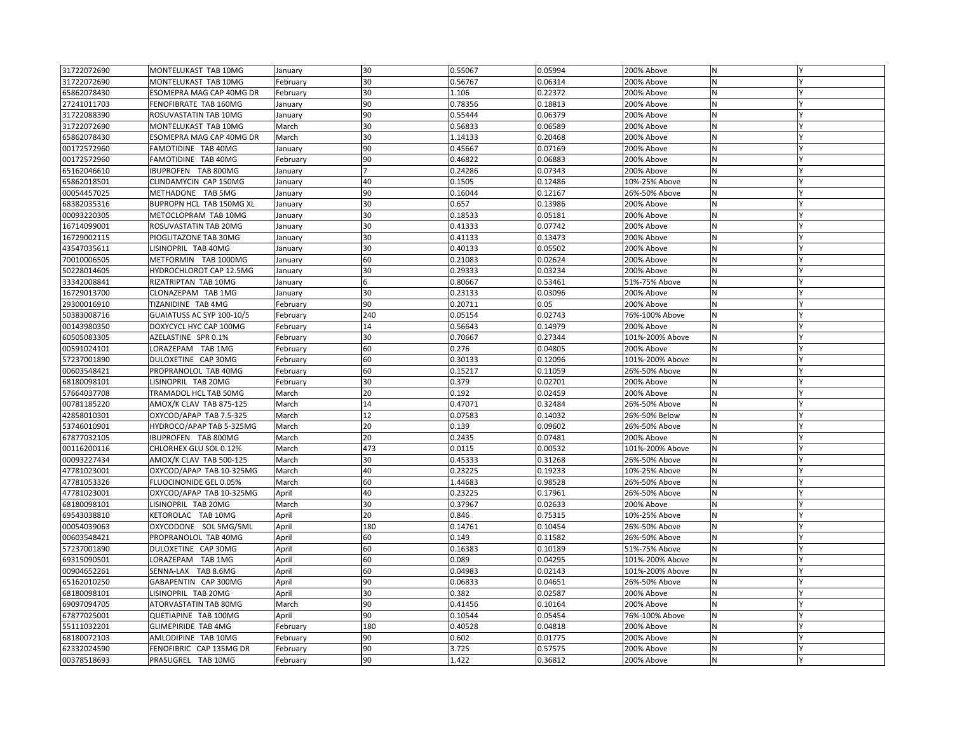| 31722072690 | MONTELUKAST TAB 10MG      | January  | 30  | 0.55067 | 0.05994 | 200% Above      | N         |  |
|-------------|---------------------------|----------|-----|---------|---------|-----------------|-----------|--|
| 31722072690 | MONTELUKAST TAB 10MG      | February | 30  | 0.56767 | 0.06314 | 200% Above      | N         |  |
| 65862078430 | ESOMEPRA MAG CAP 40MG DR  | February | 30  | 1.106   | 0.22372 | 200% Above      | N         |  |
| 27241011703 | FENOFIBRATE TAB 160MG     | January  | 90  | 0.78356 | 0.18813 | 200% Above      |           |  |
| 31722088390 | ROSUVASTATIN TAB 10MG     | January  | 90  | 0.55444 | 0.06379 | 200% Above      | N         |  |
| 31722072690 | MONTELUKAST TAB 10MG      | March    | 30  | 0.56833 | 0.06589 | 200% Above      | N         |  |
| 65862078430 | ESOMEPRA MAG CAP 40MG DR  | March    | 30  | 1.14133 | 0.20468 | 200% Above      | N         |  |
| 00172572960 | FAMOTIDINE TAB 40MG       | January  | 90  | 0.45667 | 0.07169 | 200% Above      | N         |  |
| 00172572960 | FAMOTIDINE TAB 40MG       | February | 90  | 0.46822 | 0.06883 | 200% Above      | N         |  |
| 65162046610 | BUPROFEN TAB 800MG        | January  |     | 0.24286 | 0.07343 | 200% Above      | N         |  |
| 65862018501 | CLINDAMYCIN CAP 150MG     | January  | 40  | 0.1505  | 0.12486 | 10%-25% Above   | N         |  |
| 00054457025 | METHADONE TAB 5MG         | January  | 90  | 0.16044 | 0.12167 | 26%-50% Above   | N         |  |
| 68382035316 | BUPROPN HCL TAB 150MG XL  | January  | 30  | 0.657   | 0.13986 | 200% Above      | N         |  |
| 00093220305 | METOCLOPRAM TAB 10MG      | January  | 30  | 0.18533 | 0.05181 | 200% Above      | N         |  |
| 16714099001 | ROSUVASTATIN TAB 20MG     | January  | 30  | 0.41333 | 0.07742 | 200% Above      | N         |  |
| 16729002115 | PIOGLITAZONE TAB 30MG     | January  | 30  | 0.41133 | 0.13473 | 200% Above      | N         |  |
| 43547035611 | LISINOPRIL TAB 40MG       | January  | 30  | 0.40133 | 0.05502 | 200% Above      |           |  |
| 70010006505 | METFORMIN TAB 1000MG      | January  | 60  | 0.21083 | 0.02624 | 200% Above      | N         |  |
| 50228014605 | HYDROCHLOROT CAP 12.5MG   | January  | 30  | 0.29333 | 0.03234 | 200% Above      | N         |  |
| 33342008841 | RIZATRIPTAN TAB 10MG      | January  |     | 0.80667 | 0.53461 | 51%-75% Above   | N         |  |
| 16729013700 | CLONAZEPAM TAB 1MG        | January  | 30  | 0.23133 | 0.03096 | 200% Above      |           |  |
| 29300016910 | TIZANIDINE TAB 4MG        | February | 90  | 0.20711 | 0.05    | 200% Above      | N         |  |
| 50383008716 | GUAIATUSS AC SYP 100-10/5 | February | 240 | 0.05154 | 0.02743 | 76%-100% Above  | ${\sf N}$ |  |
| 00143980350 | DOXYCYCL HYC CAP 100MG    | February | 14  | 0.56643 | 0.14979 | 200% Above      | N         |  |
| 60505083305 | AZELASTINE SPR 0.1%       | February | 30  | 0.70667 | 0.27344 | 101%-200% Above | N         |  |
| 00591024101 | LORAZEPAM TAB 1MG         | February | 60  | 0.276   | 0.04805 | 200% Above      | N         |  |
| 57237001890 | DULOXETINE CAP 30MG       | February | 60  | 0.30133 | 0.12096 | 101%-200% Above | N         |  |
| 00603548421 | PROPRANOLOL TAB 40MG      | February | 60  | 0.15217 | 0.11059 | 26%-50% Above   | N         |  |
| 68180098101 | LISINOPRIL TAB 20MG       | February | 30  | 0.379   | 0.02701 | 200% Above      | N         |  |
| 57664037708 | TRAMADOL HCL TAB 50MG     | March    | 20  | 0.192   | 0.02459 | 200% Above      | N         |  |
| 00781185220 | AMOX/K CLAV TAB 875-125   | March    | 14  | 0.47071 | 0.32484 | 26%-50% Above   | N         |  |
| 42858010301 | OXYCOD/APAP TAB 7.5-325   | March    | 12  | 0.07583 | 0.14032 | 26%-50% Below   | N         |  |
| 53746010901 | HYDROCO/APAP TAB 5-325MG  | March    | 20  | 0.139   | 0.09602 | 26%-50% Above   | N         |  |
| 67877032105 | IBUPROFEN TAB 800MG       | March    | 20  | 0.2435  | 0.07481 | 200% Above      | N         |  |
| 00116200116 | CHLORHEX GLU SOL 0.12%    | March    | 473 | 0.0115  | 0.00532 | 101%-200% Above | N         |  |
| 00093227434 | AMOX/K CLAV TAB 500-125   | March    | 30  | 0.45333 | 0.31268 | 26%-50% Above   | N         |  |
| 47781023001 | OXYCOD/APAP TAB 10-325MG  | March    | 40  | 0.23225 | 0.19233 | 10%-25% Above   | N         |  |
| 47781053326 | FLUOCINONIDE GEL 0.05%    | March    | 60  | 1.44683 | 0.98528 | 26%-50% Above   |           |  |
| 47781023001 | OXYCOD/APAP TAB 10-325MG  | April    | 40  | 0.23225 | 0.17961 | 26%-50% Above   | N         |  |
| 68180098101 | LISINOPRIL TAB 20MG       | March    | 30  | 0.37967 | 0.02633 | 200% Above      | Ν         |  |
| 69543038810 | KETOROLAC TAB 10MG        | April    | 20  | 0.846   | 0.75315 | 10%-25% Above   | N         |  |
| 00054039063 | OXYCODONE SOL 5MG/5ML     | April    | 180 | 0.14761 | 0.10454 | 26%-50% Above   |           |  |
| 00603548421 | PROPRANOLOL TAB 40MG      | April    | 60  | 0.149   | 0.11582 | 26%-50% Above   | N         |  |
| 57237001890 | DULOXETINE CAP 30MG       | April    | 60  | 0.16383 | 0.10189 | 51%-75% Above   | N         |  |
| 69315090501 | LORAZEPAM TAB 1MG         | April    | 60  | 0.089   | 0.04295 | 101%-200% Above | N         |  |
| 00904652261 | SENNA-LAX TAB 8.6MG       | April    | 60  | 0.04983 | 0.02143 | 101%-200% Above |           |  |
| 65162010250 | GABAPENTIN CAP 300MG      | April    | 90  | 0.06833 | 0.04651 | 26%-50% Above   | N         |  |
| 68180098101 | LISINOPRIL TAB 20MG       | April    | 30  | 0.382   | 0.02587 | 200% Above      | N         |  |
| 69097094705 | ATORVASTATIN TAB 80MG     | March    | 90  | 0.41456 | 0.10164 | 200% Above      | N         |  |
| 67877025001 | QUETIAPINE TAB 100MG      | April    | 90  | 0.10544 | 0.05454 | 76%-100% Above  | N         |  |
| 55111032201 | GLIMEPIRIDE TAB 4MG       | February | 180 | 0.40528 | 0.04818 | 200% Above      | N         |  |
| 68180072103 | AMLODIPINE TAB 10MG       | February | 90  | 0.602   | 0.01775 | 200% Above      | N         |  |
| 62332024590 | FENOFIBRIC CAP 135MG DR   | February | 90  | 3.725   | 0.57575 | 200% Above      | N         |  |
| 00378518693 | PRASUGREL TAB 10MG        | February | 90  | 1.422   | 0.36812 | 200% Above      | N         |  |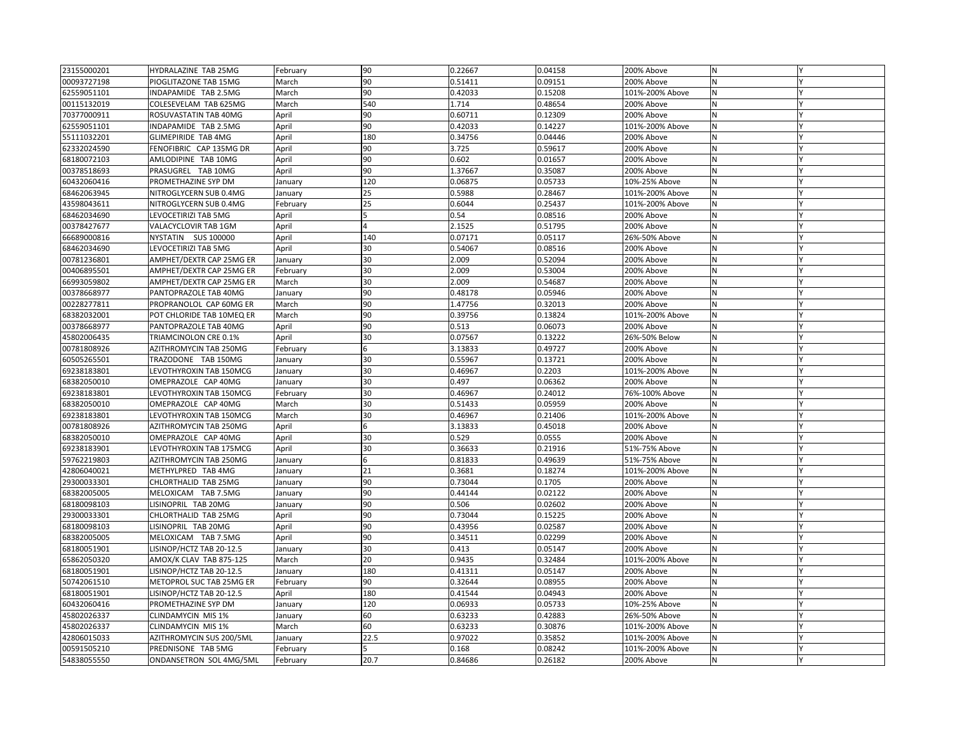| 23155000201 | HYDRALAZINE TAB 25MG      | February | 90   | 0.22667 | 0.04158 | 200% Above      | N |  |
|-------------|---------------------------|----------|------|---------|---------|-----------------|---|--|
| 00093727198 | PIOGLITAZONE TAB 15MG     | March    | 90   | 0.51411 | 0.09151 | 200% Above      | N |  |
| 62559051101 | INDAPAMIDE TAB 2.5MG      | March    | 90   | 0.42033 | 0.15208 | 101%-200% Above | N |  |
| 00115132019 | COLESEVELAM TAB 625MG     | March    | 540  | 1.714   | 0.48654 | 200% Above      | N |  |
| 70377000911 | ROSUVASTATIN TAB 40MG     | April    | 90   | 0.60711 | 0.12309 | 200% Above      | N |  |
| 62559051101 | INDAPAMIDE TAB 2.5MG      | April    | 90   | 0.42033 | 0.14227 | 101%-200% Above | N |  |
| 55111032201 | GLIMEPIRIDE TAB 4MG       | April    | 180  | 0.34756 | 0.04446 | 200% Above      | N |  |
| 62332024590 | FENOFIBRIC CAP 135MG DR   | April    | 90   | 3.725   | 0.59617 | 200% Above      | N |  |
| 68180072103 | AMLODIPINE TAB 10MG       | April    | 90   | 0.602   | 0.01657 | 200% Above      | N |  |
| 00378518693 | PRASUGREL TAB 10MG        | April    | 90   | 1.37667 | 0.35087 | 200% Above      | N |  |
| 60432060416 | PROMETHAZINE SYP DM       | January  | 120  | 0.06875 | 0.05733 | 10%-25% Above   | N |  |
| 68462063945 | NITROGLYCERN SUB 0.4MG    | January  | 25   | 0.5988  | 0.28467 | 101%-200% Above | N |  |
| 43598043611 | NITROGLYCERN SUB 0.4MG    | February | 25   | 0.6044  | 0.25437 | 101%-200% Above | N |  |
| 68462034690 | LEVOCETIRIZI TAB 5MG      | April    |      | 0.54    | 0.08516 | 200% Above      | N |  |
| 00378427677 | VALACYCLOVIR TAB 1GM      | April    |      | 2.1525  | 0.51795 | 200% Above      | N |  |
| 66689000816 | NYSTATIN SUS 100000       | April    | 140  | 0.07171 | 0.05117 | 26%-50% Above   | N |  |
| 68462034690 | LEVOCETIRIZI TAB 5MG      | April    | 30   | 0.54067 | 0.08516 | 200% Above      |   |  |
| 00781236801 | AMPHET/DEXTR CAP 25MG ER  | January  | 30   | 2.009   | 0.52094 | 200% Above      | N |  |
| 00406895501 | AMPHET/DEXTR CAP 25MG ER  | February | 30   | 2.009   | 0.53004 | 200% Above      | N |  |
| 66993059802 | AMPHET/DEXTR CAP 25MG ER  | March    | 30   | 2.009   | 0.54687 | 200% Above      | N |  |
| 00378668977 | PANTOPRAZOLE TAB 40MG     | January  | 90   | 0.48178 | 0.05946 | 200% Above      | N |  |
| 00228277811 | PROPRANOLOL CAP 60MG ER   | March    | 90   | 1.47756 | 0.32013 | 200% Above      | N |  |
| 68382032001 | POT CHLORIDE TAB 10MEQ ER | March    | 90   | 0.39756 | 0.13824 | 101%-200% Above | N |  |
| 00378668977 | PANTOPRAZOLE TAB 40MG     | April    | 90   | 0.513   | 0.06073 | 200% Above      |   |  |
| 45802006435 | TRIAMCINOLON CRE 0.1%     | April    | 30   | 0.07567 | 0.13222 | 26%-50% Below   | N |  |
| 00781808926 | AZITHROMYCIN TAB 250MG    | February | 6    | 3.13833 | 0.49727 | 200% Above      | N |  |
| 60505265501 | TRAZODONE TAB 150MG       | January  | 30   | 0.55967 | 0.13721 | 200% Above      | N |  |
| 69238183801 | LEVOTHYROXIN TAB 150MCG   | January  | 30   | 0.46967 | 0.2203  | 101%-200% Above | N |  |
| 68382050010 | OMEPRAZOLE CAP 40MG       | January  | 30   | 0.497   | 0.06362 | 200% Above      | N |  |
| 69238183801 | LEVOTHYROXIN TAB 150MCG   | February | 30   | 0.46967 | 0.24012 | 76%-100% Above  | N |  |
| 68382050010 | OMEPRAZOLE CAP 40MG       | March    | 30   | 0.51433 | 0.05959 | 200% Above      | N |  |
| 69238183801 | LEVOTHYROXIN TAB 150MCG   | March    | 30   | 0.46967 | 0.21406 | 101%-200% Above | N |  |
| 00781808926 | AZITHROMYCIN TAB 250MG    | April    |      | 3.13833 | 0.45018 | 200% Above      | N |  |
| 68382050010 | OMEPRAZOLE CAP 40MG       | April    | 30   | 0.529   | 0.0555  | 200% Above      | N |  |
| 69238183901 | LEVOTHYROXIN TAB 175MCG   | April    | 30   | 0.36633 | 0.21916 | 51%-75% Above   | N |  |
| 59762219803 | AZITHROMYCIN TAB 250MG    | January  |      | 0.81833 | 0.49639 | 51%-75% Above   | N |  |
| 42806040021 | METHYLPRED TAB 4MG        | January  | 21   | 0.3681  | 0.18274 | 101%-200% Above | N |  |
| 29300033301 | CHLORTHALID TAB 25MG      | January  | 90   | 0.73044 | 0.1705  | 200% Above      |   |  |
| 68382005005 | MELOXICAM TAB 7.5MG       | January  | 90   | 0.44144 | 0.02122 | 200% Above      | N |  |
| 68180098103 | LISINOPRIL TAB 20MG       | January  | 90   | 0.506   | 0.02602 | 200% Above      | N |  |
| 29300033301 | CHLORTHALID TAB 25MG      | April    | 90   | 0.73044 | 0.15225 | 200% Above      | N |  |
| 68180098103 | LISINOPRIL TAB 20MG       | April    | 90   | 0.43956 | 0.02587 | 200% Above      | N |  |
| 68382005005 | MELOXICAM TAB 7.5MG       | April    | 90   | 0.34511 | 0.02299 | 200% Above      | N |  |
| 68180051901 | LISINOP/HCTZ TAB 20-12.5  | January  | 30   | 0.413   | 0.05147 | 200% Above      | N |  |
| 65862050320 | AMOX/K CLAV TAB 875-125   | March    | 20   | 0.9435  | 0.32484 | 101%-200% Above | N |  |
| 68180051901 | LISINOP/HCTZ TAB 20-12.5  | January  | 180  | 0.41311 | 0.05147 | 200% Above      | N |  |
| 50742061510 | METOPROL SUC TAB 25MG ER  | February | 90   | 0.32644 | 0.08955 | 200% Above      | N |  |
| 68180051901 | LISINOP/HCTZ TAB 20-12.5  | April    | 180  | 0.41544 | 0.04943 | 200% Above      | N |  |
| 60432060416 | PROMETHAZINE SYP DM       | January  | 120  | 0.06933 | 0.05733 | 10%-25% Above   | N |  |
| 45802026337 | CLINDAMYCIN MIS 1%        | January  | 60   | 0.63233 | 0.42883 | 26%-50% Above   | N |  |
| 45802026337 | CLINDAMYCIN MIS 1%        | March    | 60   | 0.63233 | 0.30876 | 101%-200% Above | N |  |
| 42806015033 | AZITHROMYCIN SUS 200/5ML  | January  | 22.5 | 0.97022 | 0.35852 | 101%-200% Above | N |  |
| 00591505210 | PREDNISONE TAB 5MG        | February |      | 0.168   | 0.08242 | 101%-200% Above | N |  |
| 54838055550 | ONDANSETRON SOL 4MG/5ML   | February | 20.7 | 0.84686 | 0.26182 | 200% Above      | N |  |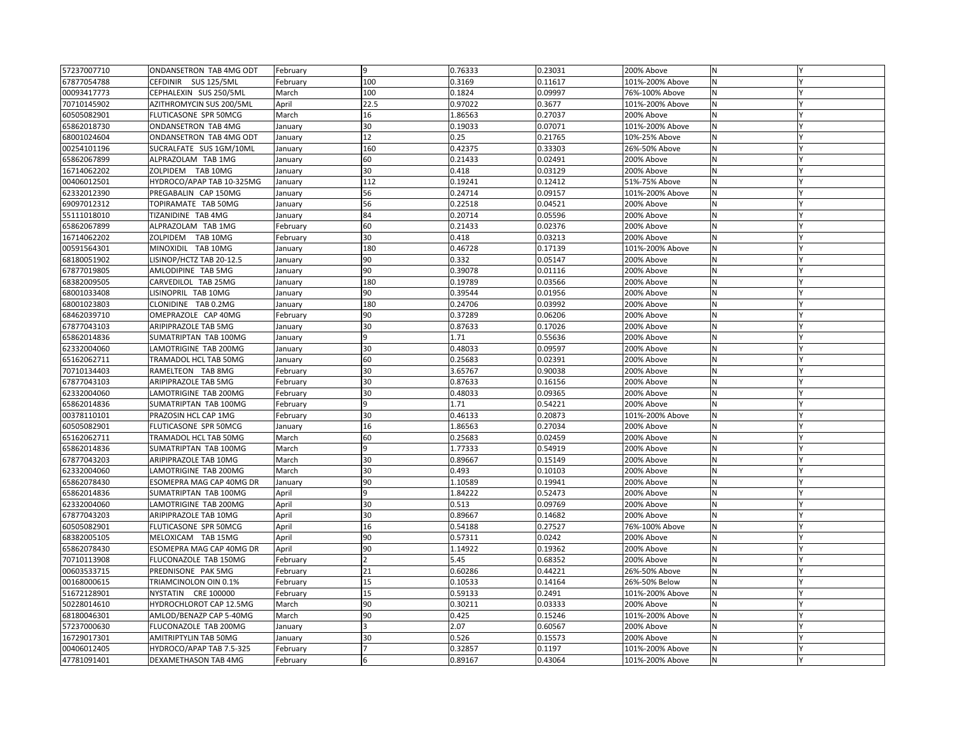| 57237007710 | ONDANSETRON TAB 4MG ODT     | February | q    | 0.76333 | 0.23031 | 200% Above      | N |  |
|-------------|-----------------------------|----------|------|---------|---------|-----------------|---|--|
| 67877054788 | CEFDINIR SUS 125/5ML        | February | 100  | 0.3169  | 0.11617 | 101%-200% Above | N |  |
| 00093417773 | CEPHALEXIN SUS 250/5ML      | March    | 100  | 0.1824  | 0.09997 | 76%-100% Above  | N |  |
| 70710145902 | AZITHROMYCIN SUS 200/5ML    | April    | 22.5 | 0.97022 | 0.3677  | 101%-200% Above |   |  |
| 60505082901 | FLUTICASONE SPR 50MCG       | March    | 16   | 1.86563 | 0.27037 | 200% Above      | N |  |
| 65862018730 | <b>ONDANSETRON TAB 4MG</b>  | January  | 30   | 0.19033 | 0.07071 | 101%-200% Above |   |  |
| 68001024604 | ONDANSETRON TAB 4MG ODT     | January  | 12   | 0.25    | 0.21765 | 10%-25% Above   | N |  |
| 00254101196 | SUCRALFATE SUS 1GM/10ML     | January  | 160  | 0.42375 | 0.33303 | 26%-50% Above   | N |  |
| 65862067899 | ALPRAZOLAM TAB 1MG          | January  | 60   | 0.21433 | 0.02491 | 200% Above      | N |  |
| 16714062202 | ZOLPIDEM<br>TAB 10MG        | January  | 30   | 0.418   | 0.03129 | 200% Above      | N |  |
| 00406012501 | HYDROCO/APAP TAB 10-325MG   | January  | 112  | 0.19241 | 0.12412 | 51%-75% Above   | N |  |
| 62332012390 | PREGABALIN CAP 150MG        | January  | 56   | 0.24714 | 0.09157 | 101%-200% Above | N |  |
| 69097012312 | TOPIRAMATE TAB 50MG         | January  | 56   | 0.22518 | 0.04521 | 200% Above      | N |  |
| 55111018010 | TIZANIDINE TAB 4MG          | January  | 84   | 0.20714 | 0.05596 | 200% Above      | N |  |
| 65862067899 | ALPRAZOLAM TAB 1MG          | February | 60   | 0.21433 | 0.02376 | 200% Above      | N |  |
| 16714062202 | ZOLPIDEM TAB 10MG           | February | 30   | 0.418   | 0.03213 | 200% Above      | N |  |
| 00591564301 | MINOXIDIL TAB 10MG          | January  | 180  | 0.46728 | 0.17139 | 101%-200% Above | N |  |
| 68180051902 | LISINOP/HCTZ TAB 20-12.5    | January  | 90   | 0.332   | 0.05147 | 200% Above      | N |  |
| 67877019805 | AMLODIPINE TAB 5MG          | January  | 90   | 0.39078 | 0.01116 | 200% Above      | N |  |
| 68382009505 | CARVEDILOL TAB 25MG         | January  | 180  | 0.19789 | 0.03566 | 200% Above      |   |  |
| 68001033408 | LISINOPRIL TAB 10MG         | January  | 90   | 0.39544 | 0.01956 | 200% Above      |   |  |
| 68001023803 | CLONIDINE TAB 0.2MG         | January  | 180  | 0.24706 | 0.03992 | 200% Above      | N |  |
| 68462039710 | OMEPRAZOLE CAP 40MG         | February | 90   | 0.37289 | 0.06206 | 200% Above      | N |  |
| 67877043103 | ARIPIPRAZOLE TAB 5MG        | January  | 30   | 0.87633 | 0.17026 | 200% Above      | N |  |
| 65862014836 | SUMATRIPTAN TAB 100MG       | January  |      | 1.71    | 0.55636 | 200% Above      | N |  |
| 62332004060 | LAMOTRIGINE TAB 200MG       | January  | 30   | 0.48033 | 0.09597 | 200% Above      | N |  |
| 65162062711 | TRAMADOL HCL TAB 50MG       | January  | 60   | 0.25683 | 0.02391 | 200% Above      | N |  |
| 70710134403 | RAMELTEON TAB 8MG           | February | 30   | 3.65767 | 0.90038 | 200% Above      | N |  |
| 67877043103 | ARIPIPRAZOLE TAB 5MG        | February | 30   | 0.87633 | 0.16156 | 200% Above      | N |  |
| 62332004060 | LAMOTRIGINE TAB 200MG       | February | 30   | 0.48033 | 0.09365 | 200% Above      | N |  |
| 65862014836 | SUMATRIPTAN TAB 100MG       | February | q    | 1.71    | 0.54221 | 200% Above      | N |  |
| 00378110101 | PRAZOSIN HCL CAP 1MG        | February | 30   | 0.46133 | 0.20873 | 101%-200% Above | N |  |
| 60505082901 | FLUTICASONE SPR 50MCG       | January  | 16   | 1.86563 | 0.27034 | 200% Above      | N |  |
| 65162062711 | TRAMADOL HCL TAB 50MG       | March    | 60   | 0.25683 | 0.02459 | 200% Above      | N |  |
| 65862014836 | SUMATRIPTAN TAB 100MG       | March    |      | 1.77333 | 0.54919 | 200% Above      | N |  |
| 67877043203 | ARIPIPRAZOLE TAB 10MG       | March    | 30   | 0.89667 | 0.15149 | 200% Above      | N |  |
| 62332004060 | LAMOTRIGINE TAB 200MG       | March    | 30   | 0.493   | 0.10103 | 200% Above      | N |  |
| 65862078430 | ESOMEPRA MAG CAP 40MG DR    | January  | 90   | 1.10589 | 0.19941 | 200% Above      | N |  |
| 65862014836 | SUMATRIPTAN TAB 100MG       | April    | q    | 1.84222 | 0.52473 | 200% Above      | N |  |
| 62332004060 | LAMOTRIGINE TAB 200MG       | April    | 30   | 0.513   | 0.09769 | 200% Above      | N |  |
| 67877043203 | ARIPIPRAZOLE TAB 10MG       | April    | 30   | 0.89667 | 0.14682 | 200% Above      | N |  |
| 60505082901 | FLUTICASONE SPR 50MCG       | April    | 16   | 0.54188 | 0.27527 | 76%-100% Above  |   |  |
| 68382005105 | MELOXICAM TAB 15MG          | April    | 90   | 0.57311 | 0.0242  | 200% Above      | N |  |
| 65862078430 | ESOMEPRA MAG CAP 40MG DR    | April    | 90   | 1.14922 | 0.19362 | 200% Above      | N |  |
| 70710113908 | FLUCONAZOLE TAB 150MG       | February |      | 5.45    | 0.68352 | 200% Above      | N |  |
| 00603533715 | PREDNISONE PAK 5MG          | February | 21   | 0.60286 | 0.44221 | 26%-50% Above   |   |  |
| 00168000615 | TRIAMCINOLON OIN 0.1%       | February | 15   | 0.10533 | 0.14164 | 26%-50% Below   | N |  |
| 51672128901 | NYSTATIN CRE 100000         | February | 15   | 0.59133 | 0.2491  | 101%-200% Above | N |  |
| 50228014610 | HYDROCHLOROT CAP 12.5MG     | March    | 90   | 0.30211 | 0.03333 | 200% Above      | N |  |
| 68180046301 | AMLOD/BENAZP CAP 5-40MG     | March    | 90   | 0.425   | 0.15246 | 101%-200% Above | N |  |
| 57237000630 | FLUCONAZOLE TAB 200MG       | January  |      | 2.07    | 0.60567 | 200% Above      | N |  |
| 16729017301 | AMITRIPTYLIN TAB 50MG       | January  | 30   | 0.526   | 0.15573 | 200% Above      | N |  |
| 00406012405 | HYDROCO/APAP TAB 7.5-325    | February |      | 0.32857 | 0.1197  | 101%-200% Above | N |  |
| 47781091401 | <b>DEXAMETHASON TAB 4MG</b> | February | 6    | 0.89167 | 0.43064 | 101%-200% Above | N |  |
|             |                             |          |      |         |         |                 |   |  |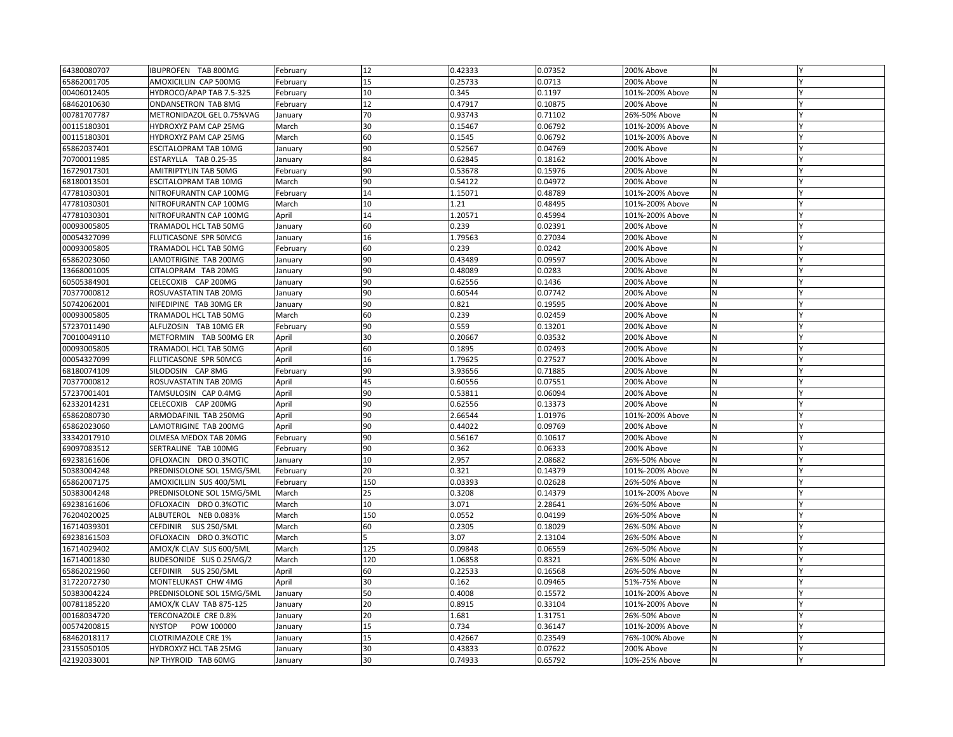| 64380080707                | IBUPROFEN TAB 800MG                                 | February           | 12       | 0.42333        | 0.07352            | 200% Above                       | N      |  |
|----------------------------|-----------------------------------------------------|--------------------|----------|----------------|--------------------|----------------------------------|--------|--|
| 65862001705                | AMOXICILLIN CAP 500MG                               | February           | 15       | 0.25733        | 0.0713             | 200% Above                       | N      |  |
| 00406012405                | HYDROCO/APAP TAB 7.5-325                            | February           | 10       | 0.345          | 0.1197             | 101%-200% Above                  | N      |  |
| 68462010630                | ONDANSETRON TAB 8MG                                 | February           | 12       | 0.47917        | 0.10875            | 200% Above                       |        |  |
| 00781707787                | METRONIDAZOL GEL 0.75%VAG                           | January            | 70       | 0.93743        | 0.71102            | 26%-50% Above                    | N      |  |
| 00115180301                | HYDROXYZ PAM CAP 25MG                               | March              | 30       | 0.15467        | 0.06792            | 101%-200% Above                  | N      |  |
| 00115180301                | HYDROXYZ PAM CAP 25MG                               | March              | 60       | 0.1545         | 0.06792            | 101%-200% Above                  | N      |  |
| 65862037401                | ESCITALOPRAM TAB 10MG                               | January            | 90       | 0.52567        | 0.04769            | 200% Above                       | N      |  |
| 70700011985                | ESTARYLLA TAB 0.25-35                               | January            | 84       | 0.62845        | 0.18162            | 200% Above                       | N      |  |
| 16729017301                | AMITRIPTYLIN TAB 50MG                               | February           | 90       | 0.53678        | 0.15976            | 200% Above                       | N      |  |
| 68180013501                | ESCITALOPRAM TAB 10MG                               | March              | 90       | 0.54122        | 0.04972            | 200% Above                       | N      |  |
| 47781030301                | NITROFURANTN CAP 100MG                              | February           | 14       | 1.15071        | 0.48789            | 101%-200% Above                  | N      |  |
| 47781030301                | NITROFURANTN CAP 100MG                              | March              | 10       | 1.21           | 0.48495            | 101%-200% Above                  | N      |  |
| 47781030301                | NITROFURANTN CAP 100MG                              | April              | 14       | 1.20571        | 0.45994            | 101%-200% Above                  | N      |  |
| 00093005805                | TRAMADOL HCL TAB 50MG                               | January            | 60       | 0.239          | 0.02391            | 200% Above                       | N      |  |
| 00054327099                | FLUTICASONE SPR 50MCG                               | January            | 16       | 1.79563        | 0.27034            | 200% Above                       | N      |  |
| 00093005805                | TRAMADOL HCL TAB 50MG                               | February           | 60       | 0.239          | 0.0242             | 200% Above                       | N      |  |
| 65862023060                | LAMOTRIGINE TAB 200MG                               | January            | 90       | 0.43489        | 0.09597            | 200% Above                       | N      |  |
| 13668001005                | CITALOPRAM TAB 20MG                                 | January            | 90       | 0.48089        | 0.0283             | 200% Above                       | N      |  |
| 60505384901                | CELECOXIB CAP 200MG                                 | January            | 90       | 0.62556        | 0.1436             | 200% Above                       | N      |  |
| 70377000812                | ROSUVASTATIN TAB 20MG                               | January            | 90       | 0.60544        | 0.07742            | 200% Above                       |        |  |
| 50742062001                | NIFEDIPINE TAB 30MG ER                              | January            | 90       | 0.821          | 0.19595            | 200% Above                       | N      |  |
| 00093005805                | TRAMADOL HCL TAB 50MG                               | March              | 60       | 0.239          | 0.02459            | 200% Above                       | N      |  |
| 57237011490                | ALFUZOSIN TAB 10MG ER                               | February           | 90       | 0.559          | 0.13201            | 200% Above                       | N      |  |
| 70010049110                | METFORMIN TAB 500MG ER                              | April              | 30       | 0.20667        | 0.03532            | 200% Above                       |        |  |
| 00093005805                | TRAMADOL HCL TAB 50MG                               | April              | 60       | 0.1895         | 0.02493            | 200% Above                       | N      |  |
| 00054327099                | FLUTICASONE SPR 50MCG                               | April              | 16       | 1.79625        | 0.27527            | 200% Above                       | N      |  |
| 68180074109                | SILODOSIN CAP 8MG                                   | February           | 90       | 3.93656        | 0.71885            | 200% Above                       | N      |  |
| 70377000812                | ROSUVASTATIN TAB 20MG                               | April              | 45       | 0.60556        | 0.07551            | 200% Above                       | N      |  |
| 57237001401                | TAMSULOSIN CAP 0.4MG                                | April              | 90       | 0.53811        | 0.06094            | 200% Above                       | N      |  |
| 62332014231                | CELECOXIB CAP 200MG                                 | April              | 90       | 0.62556        | 0.13373            | 200% Above                       | N      |  |
| 65862080730                | ARMODAFINIL TAB 250MG                               | April              | 90       | 2.66544        | 1.01976            | 101%-200% Above                  | N      |  |
| 65862023060                | LAMOTRIGINE TAB 200MG                               | April              | 90       | 0.44022        | 0.09769            | 200% Above                       |        |  |
| 33342017910                | OLMESA MEDOX TAB 20MG                               | February           | 90       | 0.56167        | 0.10617            | 200% Above                       | N      |  |
| 69097083512                | SERTRALINE TAB 100MG                                | February           | 90       | 0.362          | 0.06333            | 200% Above                       | N      |  |
| 69238161606                | OFLOXACIN DRO 0.3%OTIC                              | January            | 10       | 2.957          | 2.08682            | 26%-50% Above                    | N      |  |
| 50383004248                | PREDNISOLONE SOL 15MG/5ML                           | February           | 20       | 0.321          | 0.14379            | 101%-200% Above                  | N      |  |
| 65862007175                | AMOXICILLIN SUS 400/5ML                             | February           | 150      | 0.03393        | 0.02628            | 26%-50% Above                    | N      |  |
| 50383004248                | PREDNISOLONE SOL 15MG/5ML                           | March              | 25       | 0.3208         | 0.14379            | 101%-200% Above                  | N      |  |
| 69238161606                | OFLOXACIN DRO 0.3%OTIC                              | March              | 10       | 3.071          | 2.28641            | 26%-50% Above                    | N      |  |
| 76204020025                | ALBUTEROL NEB 0.083%                                | March              | 150      | 0.0552         | 0.04199            | 26%-50% Above                    | N      |  |
| 16714039301                | CEFDINIR<br><b>SUS 250/5ML</b>                      | March              | 60       | 0.2305         | 0.18029            | 26%-50% Above                    | N      |  |
| 69238161503                | OFLOXACIN DRO 0.3%OTIC                              | March              |          | 3.07           | 2.13104            | 26%-50% Above                    | N      |  |
| 16714029402                | AMOX/K CLAV SUS 600/5ML                             | March              | 125      | 0.09848        | 0.06559            | 26%-50% Above                    | N      |  |
| 16714001830                | BUDESONIDE SUS 0.25MG/2                             | March              | 120      | 1.06858        | 0.8321             | 26%-50% Above                    | N      |  |
| 65862021960                | CEFDINIR SUS 250/5ML                                | April              | 60       | 0.22533        | 0.16568            | 26%-50% Above                    |        |  |
| 31722072730                | MONTELUKAST CHW 4MG                                 | April              | 30<br>50 | 0.162          | 0.09465<br>0.15572 | 51%-75% Above                    | N<br>N |  |
| 50383004224                | PREDNISOLONE SOL 15MG/5ML                           | January            |          | 0.4008         |                    | 101%-200% Above                  |        |  |
| 00781185220                | AMOX/K CLAV TAB 875-125                             | January            | 20<br>20 | 0.8915         | 0.33104            | 101%-200% Above                  | N      |  |
| 00168034720<br>00574200815 | TERCONAZOLE CRE 0.8%<br><b>NYSTOP</b><br>POW 100000 | January            | 15       | 1.681<br>0.734 | 1.31751<br>0.36147 | 26%-50% Above<br>101%-200% Above | N      |  |
| 68462018117                | CLOTRIMAZOLE CRE 1%                                 | January<br>January | 15       | 0.42667        | 0.23549            | 76%-100% Above                   | N      |  |
| 23155050105                | HYDROXYZ HCL TAB 25MG                               | January            | 30       | 0.43833        | 0.07622            | 200% Above                       | N      |  |
| 42192033001                | NP THYROID TAB 60MG                                 |                    | 30       | 0.74933        |                    | 10%-25% Above                    | N      |  |
|                            |                                                     | January            |          |                | 0.65792            |                                  |        |  |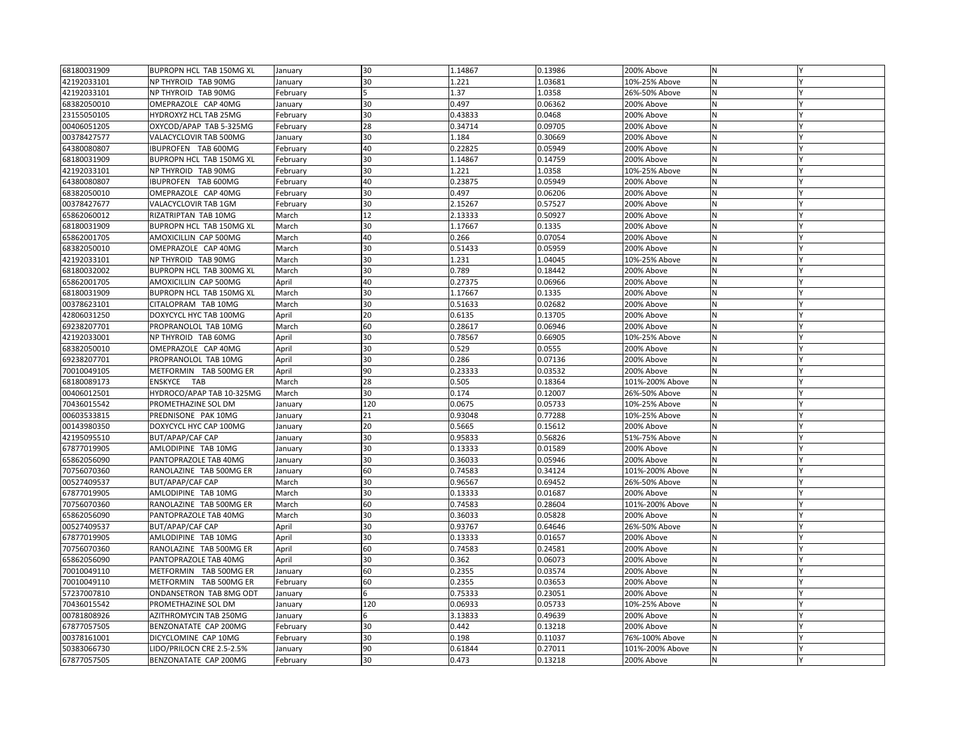| 68180031909 | BUPROPN HCL TAB 150MG XL  | January  | 30  | 1.14867 | 0.13986 | 200% Above      | N |  |
|-------------|---------------------------|----------|-----|---------|---------|-----------------|---|--|
| 42192033101 | NP THYROID TAB 90MG       | January  | 30  | 1.221   | L.03681 | 10%-25% Above   | N |  |
| 42192033101 | NP THYROID TAB 90MG       | February |     | 1.37    | 1.0358  | 26%-50% Above   | N |  |
| 68382050010 | OMEPRAZOLE CAP 40MG       | January  | 30  | 0.497   | 0.06362 | 200% Above      |   |  |
| 23155050105 | HYDROXYZ HCL TAB 25MG     | February | 30  | 0.43833 | 0.0468  | 200% Above      | N |  |
| 00406051205 | OXYCOD/APAP TAB 5-325MG   | February | 28  | 0.34714 | 0.09705 | 200% Above      | N |  |
| 00378427577 | VALACYCLOVIR TAB 500MG    | January  | 30  | 1.184   | 0.30669 | 200% Above      | N |  |
| 64380080807 | BUPROFEN TAB 600MG        | February | 40  | 0.22825 | 0.05949 | 200% Above      | N |  |
| 68180031909 | BUPROPN HCL TAB 150MG XL  | February | 30  | 1.14867 | 0.14759 | 200% Above      | N |  |
| 42192033101 | NP THYROID TAB 90MG       | February | 30  | 1.221   | 1.0358  | 10%-25% Above   | N |  |
| 64380080807 | IBUPROFEN TAB 600MG       | February | 40  | 0.23875 | 0.05949 | 200% Above      | N |  |
| 68382050010 | OMEPRAZOLE CAP 40MG       | February | 30  | 0.497   | 0.06206 | 200% Above      | N |  |
| 00378427677 | VALACYCLOVIR TAB 1GM      | February | 30  | 2.15267 | 0.57527 | 200% Above      | N |  |
| 65862060012 | RIZATRIPTAN TAB 10MG      | March    | 12  | 2.13333 | 0.50927 | 200% Above      | N |  |
| 68180031909 | BUPROPN HCL TAB 150MG XL  | March    | 30  | 1.17667 | 0.1335  | 200% Above      | N |  |
| 65862001705 | AMOXICILLIN CAP 500MG     | March    | 40  | 0.266   | 0.07054 | 200% Above      | N |  |
| 68382050010 | OMEPRAZOLE CAP 40MG       | March    | 30  | 0.51433 | 0.05959 | 200% Above      | N |  |
| 42192033101 | NP THYROID TAB 90MG       | March    | 30  | 1.231   | 1.04045 | 10%-25% Above   | N |  |
| 68180032002 | BUPROPN HCL TAB 300MG XL  | March    | 30  | 0.789   | 0.18442 | 200% Above      | N |  |
| 65862001705 | AMOXICILLIN CAP 500MG     | April    | 40  | 0.27375 | 0.06966 | 200% Above      | N |  |
| 68180031909 | BUPROPN HCL TAB 150MG XL  | March    | 30  | 1.17667 | 0.1335  | 200% Above      |   |  |
| 00378623101 | CITALOPRAM TAB 10MG       | March    | 30  | 0.51633 | 0.02682 | 200% Above      | N |  |
| 42806031250 | DOXYCYCL HYC TAB 100MG    | April    | 20  | 0.6135  | 0.13705 | 200% Above      | N |  |
| 69238207701 | PROPRANOLOL TAB 10MG      | March    | 60  | 0.28617 | 0.06946 | 200% Above      | N |  |
| 42192033001 | NP THYROID TAB 60MG       | April    | 30  | 0.78567 | 0.66905 | 10%-25% Above   |   |  |
| 68382050010 | OMEPRAZOLE CAP 40MG       | April    | 30  | 0.529   | 0.0555  | 200% Above      | N |  |
| 69238207701 | PROPRANOLOL TAB 10MG      | April    | 30  | 0.286   | 0.07136 | 200% Above      | N |  |
| 70010049105 | METFORMIN TAB 500MG ER    | April    | 90  | 0.23333 | 0.03532 | 200% Above      | N |  |
| 68180089173 | ENSKYCE<br>TAB            | March    | 28  | 0.505   | 0.18364 | 101%-200% Above | N |  |
| 00406012501 | HYDROCO/APAP TAB 10-325MG | March    | 30  | 0.174   | 0.12007 | 26%-50% Above   | N |  |
| 70436015542 | PROMETHAZINE SOL DM       | January  | 120 | 0.0675  | 0.05733 | 10%-25% Above   | N |  |
| 00603533815 | PREDNISONE PAK 10MG       | January  | 21  | 0.93048 | 0.77288 | 10%-25% Above   | N |  |
| 00143980350 | DOXYCYCL HYC CAP 100MG    | January  | 20  | 0.5665  | 0.15612 | 200% Above      |   |  |
| 42195095510 | BUT/APAP/CAF CAP          | January  | 30  | 0.95833 | 0.56826 | 51%-75% Above   | N |  |
| 67877019905 | AMLODIPINE TAB 10MG       | January  | 30  | 0.13333 | 0.01589 | 200% Above      | N |  |
| 65862056090 | PANTOPRAZOLE TAB 40MG     | January  | 30  | 0.36033 | 0.05946 | 200% Above      | N |  |
| 70756070360 | RANOLAZINE TAB 500MG ER   | January  | 60  | 0.74583 | 0.34124 | 101%-200% Above | N |  |
| 00527409537 | BUT/APAP/CAF CAP          | March    | 30  | 0.96567 | 0.69452 | 26%-50% Above   | N |  |
| 67877019905 | AMLODIPINE TAB 10MG       | March    | 30  | 0.13333 | 0.01687 | 200% Above      | N |  |
| 70756070360 | RANOLAZINE TAB 500MG ER   | March    | 60  | 0.74583 | 0.28604 | 101%-200% Above | N |  |
| 65862056090 | PANTOPRAZOLE TAB 40MG     | March    | 30  | 0.36033 | 0.05828 | 200% Above      | N |  |
| 00527409537 | BUT/APAP/CAF CAP          | April    | 30  | 0.93767 | 0.64646 | 26%-50% Above   | N |  |
| 67877019905 | AMLODIPINE TAB 10MG       | April    | 30  | 0.13333 | 0.01657 | 200% Above      | N |  |
| 70756070360 | RANOLAZINE TAB 500MG ER   | April    | 60  | 0.74583 | 0.24581 | 200% Above      | N |  |
| 65862056090 | PANTOPRAZOLE TAB 40MG     | April    | 30  | 0.362   | 0.06073 | 200% Above      | N |  |
| 70010049110 | METFORMIN TAB 500MG ER    | January  | 60  | 0.2355  | 0.03574 | 200% Above      |   |  |
| 70010049110 | METFORMIN<br>TAB 500MG ER | February | 60  | 0.2355  | 0.03653 | 200% Above      | N |  |
| 57237007810 | ONDANSETRON TAB 8MG ODT   | January  |     | 0.75333 | 0.23051 | 200% Above      | N |  |
| 70436015542 | PROMETHAZINE SOL DM       | January  | 120 | 0.06933 | 0.05733 | 10%-25% Above   | N |  |
| 00781808926 | AZITHROMYCIN TAB 250MG    | January  |     | 3.13833 | 0.49639 | 200% Above      |   |  |
| 67877057505 | BENZONATATE CAP 200MG     | February | 30  | 0.442   | 0.13218 | 200% Above      | N |  |
| 00378161001 | DICYCLOMINE CAP 10MG      | February | 30  | 0.198   | 0.11037 | 76%-100% Above  | N |  |
| 50383066730 | LIDO/PRILOCN CRE 2.5-2.5% | January  | 90  | 0.61844 | 0.27011 | 101%-200% Above | N |  |
| 67877057505 | BENZONATATE CAP 200MG     | February | 30  | 0.473   | 0.13218 | 200% Above      | N |  |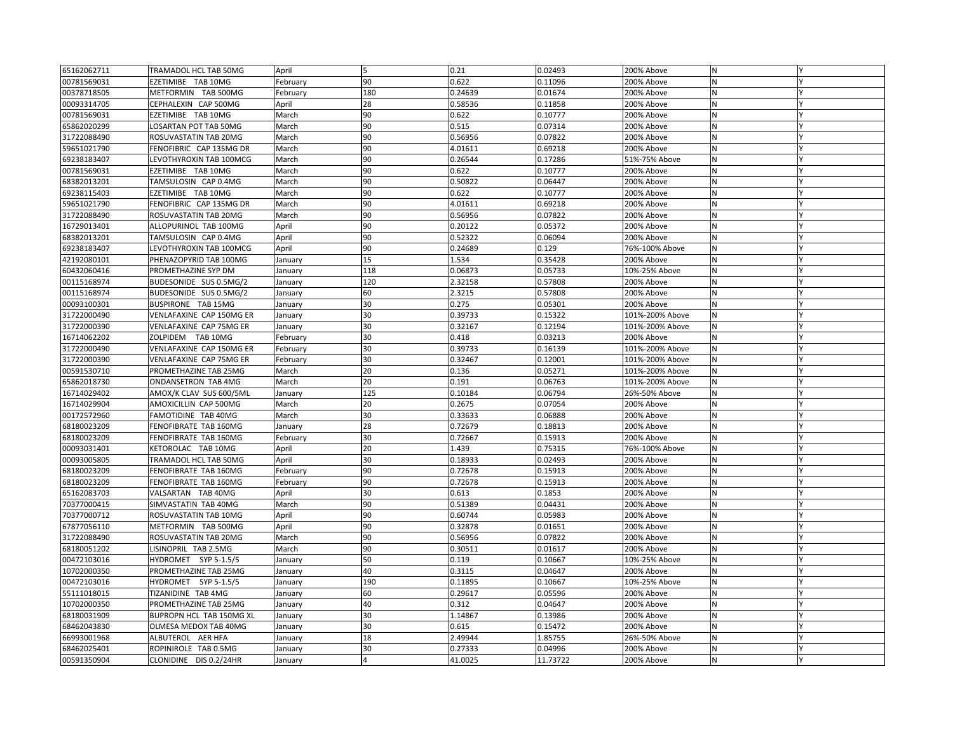| 65162062711                | TRAMADOL HCL TAB 50MG                     | April    |          | 0.21               | 0.02493            | 200% Above      | N      |  |
|----------------------------|-------------------------------------------|----------|----------|--------------------|--------------------|-----------------|--------|--|
| 00781569031                | EZETIMIBE TAB 10MG                        | February | 90       | 0.622              | 0.11096            | 200% Above      | N      |  |
| 00378718505                | METFORMIN TAB 500MG                       | February | 180      | 0.24639            | 0.01674            | 200% Above      | N      |  |
| 00093314705                | CEPHALEXIN CAP 500MG                      | April    | 28       | 0.58536            | 0.11858            | 200% Above      | N      |  |
| 00781569031                | EZETIMIBE TAB 10MG                        | March    | 90       | 0.622              | 0.10777            | 200% Above      | N      |  |
| 65862020299                | LOSARTAN POT TAB 50MG                     | March    | 90       | 0.515              | 0.07314            | 200% Above      | N      |  |
| 31722088490                | ROSUVASTATIN TAB 20MG                     | March    | 90       | 0.56956            | 0.07822            | 200% Above      | N      |  |
| 59651021790                | FENOFIBRIC CAP 135MG DR                   | March    | 90       | 4.01611            | 0.69218            | 200% Above      | N      |  |
| 69238183407                | LEVOTHYROXIN TAB 100MCG                   | March    | 90       | 0.26544            | 0.17286            | 51%-75% Above   | N      |  |
| 00781569031                | EZETIMIBE TAB 10MG                        | March    | 90       | 0.622              | 0.10777            | 200% Above      | N      |  |
| 68382013201                | TAMSULOSIN CAP 0.4MG                      | March    | 90       | 0.50822            | 0.06447            | 200% Above      | N      |  |
| 69238115403                | EZETIMIBE TAB 10MG                        | March    | 90       | 0.622              | 0.10777            | 200% Above      | N      |  |
| 59651021790                | FENOFIBRIC CAP 135MG DR                   | March    | 90       | 4.01611            | 0.69218            | 200% Above      | N      |  |
| 31722088490                | ROSUVASTATIN TAB 20MG                     | March    | 90       | 0.56956            | 0.07822            | 200% Above      | N      |  |
| 16729013401                | ALLOPURINOL TAB 100MG                     | April    | 90       | 0.20122            | 0.05372            | 200% Above      | N      |  |
| 68382013201                | TAMSULOSIN CAP 0.4MG                      | April    | 90       | 0.52322            | 0.06094            | 200% Above      | N      |  |
| 69238183407                | LEVOTHYROXIN TAB 100MCG                   | April    | 90       | 0.24689            | 0.129              | 76%-100% Above  |        |  |
| 42192080101                | PHENAZOPYRID TAB 100MG                    | January  | 15       | 1.534              | 0.35428            | 200% Above      | N      |  |
| 60432060416                | PROMETHAZINE SYP DM                       | January  | 118      | 0.06873            | 0.05733            | 10%-25% Above   | N      |  |
| 00115168974                | BUDESONIDE SUS 0.5MG/2                    | January  | 120      | 2.32158            | 0.57808            | 200% Above      |        |  |
| 00115168974                | BUDESONIDE SUS 0.5MG/2                    | January  | 60       | 2.3215             | 0.57808            | 200% Above      |        |  |
| 00093100301                | <b>BUSPIRONE TAB 15MG</b>                 | January  | 30       | 0.275              | 0.05301            | 200% Above      | N      |  |
| 31722000490                | VENLAFAXINE CAP 150MG ER                  | January  | 30       | 0.39733            | 0.15322            | 101%-200% Above | Ν      |  |
| 31722000390                | VENLAFAXINE CAP 75MG ER                   | January  | 30       | 0.32167            | 0.12194            | 101%-200% Above | N      |  |
| 16714062202                | ZOLPIDEM TAB 10MG                         | February | 30       | 0.418              | 0.03213            | 200% Above      |        |  |
| 31722000490                | VENLAFAXINE CAP 150MG ER                  | February | 30       | 0.39733            | 0.16139            | 101%-200% Above | N      |  |
| 31722000390                | <b>VENLAFAXINE CAP 75MG ER</b>            | February | 30       | 0.32467            | 0.12001            | 101%-200% Above |        |  |
| 00591530710                | PROMETHAZINE TAB 25MG                     | March    | 20       | 0.136              | 0.05271            | 101%-200% Above | N      |  |
| 65862018730                | <b>ONDANSETRON TAB 4MG</b>                | March    | 20       | 0.191              | 0.06763            | 101%-200% Above | N      |  |
| 16714029402                | AMOX/K CLAV SUS 600/5ML                   | January  | 125      | 0.10184            | 0.06794            | 26%-50% Above   | N      |  |
| 16714029904                | AMOXICILLIN CAP 500MG                     | March    | 20       | 0.2675             | 0.07054            | 200% Above      | N      |  |
| 00172572960                | FAMOTIDINE TAB 40MG                       | March    | 30       | 0.33633            | 0.06888            | 200% Above      |        |  |
| 68180023209                | FENOFIBRATE TAB 160MG                     | January  | 28       | 0.72679            | 0.18813            | 200% Above      | N      |  |
| 68180023209                | FENOFIBRATE TAB 160MG                     | February | 30       | 0.72667            | 0.15913            | 200% Above      | N      |  |
| 00093031401                | KETOROLAC TAB 10MG                        | April    | 20       | 1.439              | 0.75315            | 76%-100% Above  | N      |  |
| 00093005805                | TRAMADOL HCL TAB 50MG                     | April    | 30       | 0.18933            | 0.02493            | 200% Above      | N      |  |
| 68180023209                | FENOFIBRATE TAB 160MG                     | February | 90       | 0.72678            | 0.15913            | 200% Above      | N      |  |
| 68180023209                | FENOFIBRATE TAB 160MG                     | February | 90       | 0.72678            | 0.15913            | 200% Above      | N      |  |
| 65162083703                | VALSARTAN TAB 40MG                        | April    | 30       | 0.613              | 0.1853             | 200% Above      | N      |  |
| 70377000415                | SIMVASTATIN TAB 40MG                      | March    | 90       | 0.51389            | 0.04431            | 200% Above      |        |  |
| 70377000712                | ROSUVASTATIN TAB 10MG                     | April    | 90       | 0.60744            | 0.05983            | 200% Above      | N      |  |
| 67877056110                | METFORMIN TAB 500MG                       | April    | 90       | 0.32878            | 0.01651            | 200% Above      | N      |  |
| 31722088490                | ROSUVASTATIN TAB 20MG                     | March    | 90       | 0.56956            | 0.07822            | 200% Above      | N      |  |
| 68180051202                | LISINOPRIL TAB 2.5MG                      | March    | 90       | 0.30511            | 0.01617            | 200% Above      | N      |  |
| 00472103016                | <b>HYDROMET</b><br>SYP 5-1.5/5            | January  | 50       | 0.119              | 0.10667            | 10%-25% Above   |        |  |
| 10702000350                | PROMETHAZINE TAB 25MG                     | January  | 40       | 0.3115             | 0.04647            | 200% Above      |        |  |
| 00472103016                | <b>HYDROMET</b><br>SYP 5-1.5/5            | January  | 190      | 0.11895            | 0.10667            | 10%-25% Above   | N      |  |
| 55111018015                | TIZANIDINE TAB 4MG                        | January  | 60       | 0.29617            | 0.05596            | 200% Above      | Ν      |  |
| 10702000350                | PROMETHAZINE TAB 25MG                     | January  | 40       | 0.312              | 0.04647            | 200% Above      | N      |  |
| 68180031909                | BUPROPN HCL TAB 150MG XL                  | January  | 30       | 1.14867            | 0.13986            | 200% Above      | N<br>N |  |
| 68462043830                | OLMESA MEDOX TAB 40MG                     | January  | 30       | 0.615              | 0.15472            | 200% Above      |        |  |
| 66993001968<br>68462025401 | ALBUTEROL AER HFA<br>ROPINIROLE TAB 0.5MG | January  | 18<br>30 | 2.49944<br>0.27333 | 1.85755<br>0.04996 | 26%-50% Above   | N<br>N |  |
| 00591350904                |                                           | January  |          | 41.0025            | 11.73722           | 200% Above      | N      |  |
|                            | CLONIDINE DIS 0.2/24HR                    | January  |          |                    |                    | 200% Above      |        |  |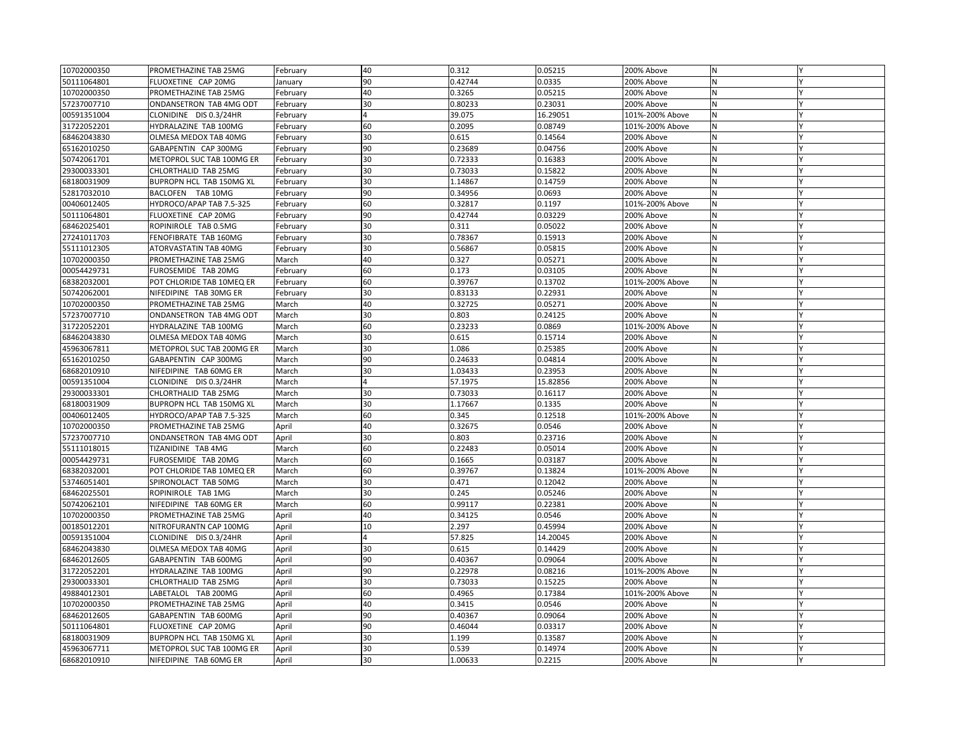| 10702000350 | PROMETHAZINE TAB 25MG     | February | 40 | 0.312   | 0.05215  | 200% Above      | N |  |
|-------------|---------------------------|----------|----|---------|----------|-----------------|---|--|
| 50111064801 | FLUOXETINE CAP 20MG       | January  | 90 | 0.42744 | 0.0335   | 200% Above      | N |  |
| 10702000350 | PROMETHAZINE TAB 25MG     | February | 40 | 0.3265  | 0.05215  | 200% Above      | N |  |
| 57237007710 | ONDANSETRON TAB 4MG ODT   | February | 30 | 0.80233 | 0.23031  | 200% Above      |   |  |
| 00591351004 | CLONIDINE DIS 0.3/24HR    | February |    | 39.075  | 16.29051 | 101%-200% Above | N |  |
| 31722052201 | HYDRALAZINE TAB 100MG     | February | 60 | 0.2095  | 0.08749  | 101%-200% Above | N |  |
| 68462043830 | OLMESA MEDOX TAB 40MG     | February | 30 | 0.615   | 0.14564  | 200% Above      | N |  |
| 65162010250 | GABAPENTIN CAP 300MG      | February | 90 | 0.23689 | 0.04756  | 200% Above      | N |  |
| 50742061701 | METOPROL SUC TAB 100MG ER | February | 30 | 0.72333 | 0.16383  | 200% Above      | N |  |
| 29300033301 | CHLORTHALID TAB 25MG      | February | 30 | 0.73033 | 0.15822  | 200% Above      | N |  |
| 68180031909 | BUPROPN HCL TAB 150MG XL  | February | 30 | 1.14867 | 0.14759  | 200% Above      | N |  |
| 52817032010 | BACLOFEN TAB 10MG         | February | 90 | 0.34956 | 0.0693   | 200% Above      |   |  |
| 00406012405 | HYDROCO/APAP TAB 7.5-325  | February | 60 | 0.32817 | 0.1197   | 101%-200% Above | N |  |
| 50111064801 | FLUOXETINE CAP 20MG       | February | 90 | 0.42744 | 0.03229  | 200% Above      | N |  |
| 68462025401 | ROPINIROLE TAB 0.5MG      | February | 30 | 0.311   | 0.05022  | 200% Above      | N |  |
| 27241011703 | FENOFIBRATE TAB 160MG     | February | 30 | 0.78367 | 0.15913  | 200% Above      | N |  |
| 55111012305 | ATORVASTATIN TAB 40MG     | February | 30 | 0.56867 | 0.05815  | 200% Above      | N |  |
| 10702000350 | PROMETHAZINE TAB 25MG     | March    | 40 | 0.327   | 0.05271  | 200% Above      | N |  |
| 00054429731 | FUROSEMIDE TAB 20MG       | February | 60 | 0.173   | 0.03105  | 200% Above      | N |  |
| 68382032001 | POT CHLORIDE TAB 10MEQ ER | February | 60 | 0.39767 | 0.13702  | 101%-200% Above | N |  |
| 50742062001 | NIFEDIPINE TAB 30MG ER    | February | 30 | 0.83133 | 0.22931  | 200% Above      | N |  |
| 10702000350 | PROMETHAZINE TAB 25MG     | March    | 40 | 0.32725 | 0.05271  | 200% Above      | N |  |
| 57237007710 | ONDANSETRON TAB 4MG ODT   | March    | 30 | 0.803   | 0.24125  | 200% Above      | N |  |
| 31722052201 | HYDRALAZINE TAB 100MG     | March    | 60 | 0.23233 | 0.0869   | 101%-200% Above | N |  |
| 68462043830 | OLMESA MEDOX TAB 40MG     | March    | 30 | 0.615   | 0.15714  | 200% Above      |   |  |
| 45963067811 | METOPROL SUC TAB 200MG ER | March    | 30 | 1.086   | 0.25385  | 200% Above      | N |  |
| 65162010250 | GABAPENTIN CAP 300MG      | March    | 90 | 0.24633 | 0.04814  | 200% Above      | N |  |
| 68682010910 | NIFEDIPINE TAB 60MG ER    | March    | 30 | 1.03433 | 0.23953  | 200% Above      | N |  |
| 00591351004 | CLONIDINE DIS 0.3/24HR    | March    |    | 57.1975 | 15.82856 | 200% Above      | N |  |
| 29300033301 | CHLORTHALID TAB 25MG      | March    | 30 | 0.73033 | 0.16117  | 200% Above      | N |  |
| 68180031909 | BUPROPN HCL TAB 150MG XL  | March    | 30 | 1.17667 | 0.1335   | 200% Above      | N |  |
| 00406012405 | HYDROCO/APAP TAB 7.5-325  | March    | 60 | 0.345   | 0.12518  | 101%-200% Above | N |  |
| 10702000350 | PROMETHAZINE TAB 25MG     | April    | 40 | 0.32675 | 0.0546   | 200% Above      | N |  |
| 57237007710 | ONDANSETRON TAB 4MG ODT   | April    | 30 | 0.803   | 0.23716  | 200% Above      | N |  |
| 55111018015 | TIZANIDINE TAB 4MG        | March    | 60 | 0.22483 | 0.05014  | 200% Above      | N |  |
| 00054429731 | FUROSEMIDE TAB 20MG       | March    | 60 | 0.1665  | 0.03187  | 200% Above      | N |  |
| 68382032001 | POT CHLORIDE TAB 10MEQ ER | March    | 60 | 0.39767 | 0.13824  | 101%-200% Above | N |  |
| 53746051401 | SPIRONOLACT TAB 50MG      | March    | 30 | 0.471   | 0.12042  | 200% Above      | N |  |
| 68462025501 | ROPINIROLE TAB 1MG        | March    | 30 | 0.245   | 0.05246  | 200% Above      | N |  |
| 50742062101 | NIFEDIPINE TAB 60MG ER    | March    | 60 | 0.99117 | 0.22381  | 200% Above      | N |  |
| 10702000350 | PROMETHAZINE TAB 25MG     | April    | 40 | 0.34125 | 0.0546   | 200% Above      | N |  |
| 00185012201 | NITROFURANTN CAP 100MG    | April    | 10 | 2.297   | 0.45994  | 200% Above      | N |  |
| 00591351004 | CLONIDINE DIS 0.3/24HR    | April    |    | 57.825  | 14.20045 | 200% Above      | N |  |
| 68462043830 | OLMESA MEDOX TAB 40MG     | April    | 30 | 0.615   | 0.14429  | 200% Above      | N |  |
| 68462012605 | GABAPENTIN TAB 600MG      | April    | 90 | 0.40367 | 0.09064  | 200% Above      | N |  |
| 31722052201 | HYDRALAZINE TAB 100MG     | April    | 90 | 0.22978 | 0.08216  | 101%-200% Above |   |  |
| 29300033301 | CHLORTHALID TAB 25MG      | April    | 30 | 0.73033 | 0.15225  | 200% Above      | N |  |
| 49884012301 | LABETALOL TAB 200MG       | April    | 60 | 0.4965  | 0.17384  | 101%-200% Above | N |  |
| 10702000350 | PROMETHAZINE TAB 25MG     | April    | 40 | 0.3415  | 0.0546   | 200% Above      | N |  |
| 68462012605 | GABAPENTIN TAB 600MG      | April    | 90 | 0.40367 | 0.09064  | 200% Above      | N |  |
| 50111064801 | FLUOXETINE CAP 20MG       | April    | 90 | 0.46044 | 0.03317  | 200% Above      | N |  |
| 68180031909 | BUPROPN HCL TAB 150MG XL  | April    | 30 | 1.199   | 0.13587  | 200% Above      | N |  |
| 45963067711 | METOPROL SUC TAB 100MG ER | April    | 30 | 0.539   | 0.14974  | 200% Above      | N |  |
| 68682010910 | NIFEDIPINE TAB 60MG ER    | April    | 30 | 1.00633 | 0.2215   | 200% Above      | N |  |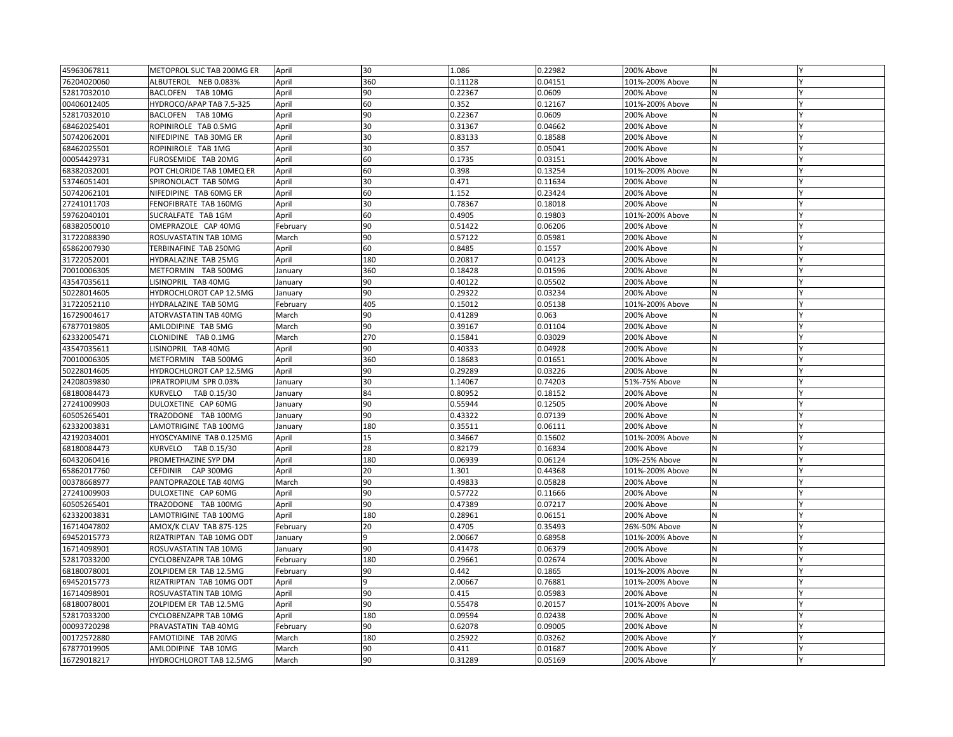| 45963067811 | METOPROL SUC TAB 200MG ER | April    | 30  | 1.086   | 0.22982 | 200% Above      | N |  |
|-------------|---------------------------|----------|-----|---------|---------|-----------------|---|--|
| 76204020060 | ALBUTEROL NEB 0.083%      | April    | 360 | 0.11128 | 0.04151 | 101%-200% Above | N |  |
| 52817032010 | BACLOFEN<br>TAB 10MG      | April    | 90  | 0.22367 | 0.0609  | 200% Above      |   |  |
| 00406012405 | HYDROCO/APAP TAB 7.5-325  | April    | 60  | 0.352   | 0.12167 | 101%-200% Above | N |  |
| 52817032010 | BACLOFEN<br>TAB 10MG      | April    | 90  | 0.22367 | 0.0609  | 200% Above      | N |  |
| 68462025401 | ROPINIROLE TAB 0.5MG      | April    | 30  | 0.31367 | 0.04662 | 200% Above      | N |  |
| 50742062001 | NIFEDIPINE TAB 30MG ER    | April    | 30  | 0.83133 | 0.18588 | 200% Above      | N |  |
| 68462025501 | ROPINIROLE TAB 1MG        | April    | 30  | 0.357   | 0.05041 | 200% Above      | N |  |
| 00054429731 | FUROSEMIDE TAB 20MG       | April    | 60  | 0.1735  | 0.03151 | 200% Above      | N |  |
| 68382032001 | POT CHLORIDE TAB 10MEQ ER | April    | 60  | 0.398   | 0.13254 | 101%-200% Above | N |  |
| 53746051401 | SPIRONOLACT TAB 50MG      | April    | 30  | 0.471   | 0.11634 | 200% Above      | N |  |
| 50742062101 | NIFEDIPINE TAB 60MG ER    | April    | 60  | 1.152   | 0.23424 | 200% Above      | N |  |
| 27241011703 | FENOFIBRATE TAB 160MG     | April    | 30  | 0.78367 | 0.18018 | 200% Above      | N |  |
| 59762040101 | SUCRALFATE TAB 1GM        | April    | 60  | 0.4905  | 0.19803 | 101%-200% Above | N |  |
| 68382050010 | OMEPRAZOLE CAP 40MG       | February | 90  | 0.51422 | 0.06206 | 200% Above      | N |  |
| 31722088390 | ROSUVASTATIN TAB 10MG     | March    | 90  | 0.57122 | 0.05981 | 200% Above      | N |  |
| 65862007930 | TERBINAFINE TAB 250MG     | April    | 60  | 0.8485  | 0.1557  | 200% Above      |   |  |
| 31722052001 | HYDRALAZINE TAB 25MG      | April    | 180 | 0.20817 | 0.04123 | 200% Above      | N |  |
| 70010006305 | METFORMIN TAB 500MG       | January  | 360 | 0.18428 | 0.01596 | 200% Above      | N |  |
| 43547035611 | LISINOPRIL TAB 40MG       | January  | 90  | 0.40122 | 0.05502 | 200% Above      | N |  |
| 50228014605 | HYDROCHLOROT CAP 12.5MG   | January  | 90  | 0.29322 | 0.03234 | 200% Above      | N |  |
| 31722052110 | HYDRALAZINE TAB 50MG      | February | 405 | 0.15012 | 0.05138 | 101%-200% Above | N |  |
| 16729004617 | ATORVASTATIN TAB 40MG     | March    | 90  | 0.41289 | 0.063   | 200% Above      | N |  |
| 67877019805 | AMLODIPINE TAB 5MG        | March    | 90  | 0.39167 | 0.01104 | 200% Above      | N |  |
| 62332005471 | CLONIDINE TAB 0.1MG       | March    | 270 | 0.15841 | 0.03029 | 200% Above      | N |  |
| 43547035611 | LISINOPRIL TAB 40MG       | April    | 90  | 0.40333 | 0.04928 | 200% Above      | N |  |
| 70010006305 | METFORMIN TAB 500MG       | April    | 360 | 0.18683 | 0.01651 | 200% Above      | N |  |
| 50228014605 | HYDROCHLOROT CAP 12.5MG   | April    | 90  | 0.29289 | 0.03226 | 200% Above      | N |  |
| 24208039830 | IPRATROPIUM SPR 0.03%     | January  | 30  | 1.14067 | 0.74203 | 51%-75% Above   | N |  |
| 68180084473 | KURVELO<br>TAB 0.15/30    | January  | 84  | 0.80952 | 0.18152 | 200% Above      | N |  |
| 27241009903 | DULOXETINE CAP 60MG       | January  | 90  | 0.55944 | 0.12505 | 200% Above      | N |  |
| 60505265401 | TRAZODONE TAB 100MG       | January  | 90  | 0.43322 | 0.07139 | 200% Above      |   |  |
| 62332003831 | LAMOTRIGINE TAB 100MG     | January  | 180 | 0.35511 | 0.06111 | 200% Above      | N |  |
| 42192034001 | HYOSCYAMINE TAB 0.125MG   | April    | 15  | 0.34667 | 0.15602 | 101%-200% Above |   |  |
| 68180084473 | KURVELO<br>TAB 0.15/30    | April    | 28  | 0.82179 | 0.16834 | 200% Above      | N |  |
| 60432060416 | PROMETHAZINE SYP DM       | April    | 180 | 0.06939 | 0.06124 | 10%-25% Above   | Ν |  |
| 65862017760 | CEFDINIR CAP 300MG        | April    | 20  | 1.301   | 0.44368 | 101%-200% Above |   |  |
| 00378668977 | PANTOPRAZOLE TAB 40MG     | March    | 90  | 0.49833 | 0.05828 | 200% Above      |   |  |
| 27241009903 | DULOXETINE CAP 60MG       | April    | 90  | 0.57722 | 0.11666 | 200% Above      | N |  |
| 60505265401 | TRAZODONE TAB 100MG       | April    | 90  | 0.47389 | 0.07217 | 200% Above      | N |  |
| 62332003831 | LAMOTRIGINE TAB 100MG     | April    | 180 | 0.28961 | 0.06151 | 200% Above      | N |  |
| 16714047802 | AMOX/K CLAV TAB 875-125   | February | 20  | 0.4705  | 0.35493 | 26%-50% Above   | N |  |
| 69452015773 | RIZATRIPTAN TAB 10MG ODT  | January  | q   | 2.00667 | 0.68958 | 101%-200% Above | N |  |
| 16714098901 | ROSUVASTATIN TAB 10MG     | January  | 90  | 0.41478 | 0.06379 | 200% Above      | N |  |
| 52817033200 | CYCLOBENZAPR TAB 10MG     | February | 180 | 0.29661 | 0.02674 | 200% Above      | N |  |
| 68180078001 | ZOLPIDEM ER TAB 12.5MG    | February | 90  | 0.442   | 0.1865  | 101%-200% Above | N |  |
| 69452015773 | RIZATRIPTAN TAB 10MG ODT  | April    | Q   | 2.00667 | 0.76881 | 101%-200% Above | N |  |
| 16714098901 | ROSUVASTATIN TAB 10MG     | April    | 90  | 0.415   | 0.05983 | 200% Above      | N |  |
| 68180078001 | ZOLPIDEM ER TAB 12.5MG    | April    | 90  | 0.55478 | 0.20157 | 101%-200% Above | N |  |
| 52817033200 | CYCLOBENZAPR TAB 10MG     | April    | 180 | 0.09594 | 0.02438 | 200% Above      | N |  |
| 00093720298 | PRAVASTATIN TAB 40MG      | February | 90  | 0.62078 | 0.09005 | 200% Above      | N |  |
| 00172572880 | FAMOTIDINE TAB 20MG       | March    | 180 | 0.25922 | 0.03262 | 200% Above      |   |  |
| 67877019905 | AMLODIPINE TAB 10MG       | March    | 90  | 0.411   | 0.01687 | 200% Above      |   |  |
| 16729018217 | HYDROCHLOROT TAB 12.5MG   | March    | 90  | 0.31289 | 0.05169 | 200% Above      |   |  |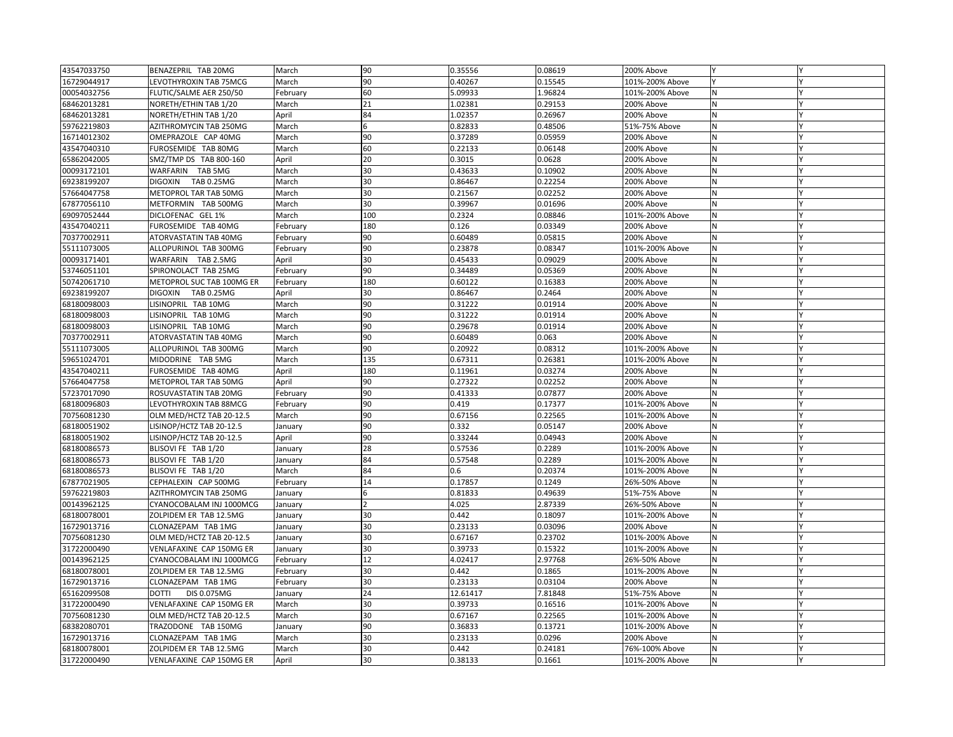| 43547033750 | BENAZEPRIL TAB 20MG                 | March    | 90  | 0.35556  | 0.08619 | 200% Above      |   |  |
|-------------|-------------------------------------|----------|-----|----------|---------|-----------------|---|--|
| 16729044917 | LEVOTHYROXIN TAB 75MCG              | March    | 90  | 0.40267  | 0.15545 | 101%-200% Above |   |  |
| 00054032756 | FLUTIC/SALME AER 250/50             | February | 60  | 5.09933  | 1.96824 | 101%-200% Above | N |  |
| 68462013281 | NORETH/ETHIN TAB 1/20               | March    | 21  | 1.02381  | 0.29153 | 200% Above      | И |  |
| 68462013281 | NORETH/ETHIN TAB 1/20               | April    | 84  | 1.02357  | 0.26967 | 200% Above      | N |  |
| 59762219803 | AZITHROMYCIN TAB 250MG              | March    |     | 0.82833  | 0.48506 | 51%-75% Above   | N |  |
| 16714012302 | OMEPRAZOLE CAP 40MG                 | March    | 90  | 0.37289  | 0.05959 | 200% Above      | N |  |
| 43547040310 | FUROSEMIDE TAB 80MG                 | March    | 60  | 0.22133  | 0.06148 | 200% Above      |   |  |
| 65862042005 | SMZ/TMP DS TAB 800-160              | April    | 20  | 0.3015   | 0.0628  | 200% Above      | N |  |
| 00093172101 | WARFARIN<br>TAB 5MG                 | March    | 30  | 0.43633  | 0.10902 | 200% Above      | N |  |
| 69238199207 | <b>DIGOXIN</b><br><b>TAB 0.25MG</b> | March    | 30  | 0.86467  | 0.22254 | 200% Above      | N |  |
| 57664047758 | METOPROL TAR TAB 50MG               | March    | 30  | 0.21567  | 0.02252 | 200% Above      | N |  |
| 67877056110 | METFORMIN TAB 500MG                 | March    | 30  | 0.39967  | 0.01696 | 200% Above      | N |  |
| 69097052444 | DICLOFENAC GEL 1%                   | March    | 100 | 0.2324   | 0.08846 | 101%-200% Above | N |  |
| 43547040211 | FUROSEMIDE TAB 40MG                 | February | 180 | 0.126    | 0.03349 | 200% Above      | N |  |
| 70377002911 | ATORVASTATIN TAB 40MG               | February | 90  | 0.60489  | 0.05815 | 200% Above      | N |  |
| 55111073005 | ALLOPURINOL TAB 300MG               | February | 90  | 0.23878  | 0.08347 | 101%-200% Above | N |  |
| 00093171401 | WARFARIN<br>TAB 2.5MG               | April    | 30  | 0.45433  | 0.09029 | 200% Above      | N |  |
| 53746051101 | SPIRONOLACT TAB 25MG                | February | 90  | 0.34489  | 0.05369 | 200% Above      | Ν |  |
| 50742061710 | METOPROL SUC TAB 100MG ER           | February | 180 | 0.60122  | 0.16383 | 200% Above      | N |  |
| 69238199207 | DIGOXIN<br><b>TAB 0.25MG</b>        | April    | 30  | 0.86467  | 0.2464  | 200% Above      |   |  |
| 68180098003 | LISINOPRIL TAB 10MG                 | March    | 90  | 0.31222  | 0.01914 | 200% Above      | N |  |
| 68180098003 | LISINOPRIL TAB 10MG                 | March    | 90  | 0.31222  | 0.01914 | 200% Above      | N |  |
| 68180098003 | LISINOPRIL TAB 10MG                 | March    | 90  | 0.29678  | 0.01914 | 200% Above      |   |  |
| 70377002911 | ATORVASTATIN TAB 40MG               | March    | 90  | 0.60489  | 0.063   | 200% Above      | N |  |
| 55111073005 | ALLOPURINOL TAB 300MG               | March    | 90  | 0.20922  | 0.08312 | 101%-200% Above | N |  |
| 59651024701 | MIDODRINE TAB 5MG                   | March    | 135 | 0.67311  | 0.26381 | 101%-200% Above | N |  |
| 43547040211 | FUROSEMIDE TAB 40MG                 | April    | 180 | 0.11961  | 0.03274 | 200% Above      | N |  |
| 57664047758 | METOPROL TAR TAB 50MG               | April    | 90  | 0.27322  | 0.02252 | 200% Above      | N |  |
| 57237017090 | ROSUVASTATIN TAB 20MG               | February | 90  | 0.41333  | 0.07877 | 200% Above      | N |  |
| 68180096803 | LEVOTHYROXIN TAB 88MCG              | February | 90  | 0.419    | 0.17377 | 101%-200% Above | N |  |
| 70756081230 | OLM MED/HCTZ TAB 20-12.5            | March    | 90  | 0.67156  | 0.22565 | 101%-200% Above | N |  |
| 68180051902 | LISINOP/HCTZ TAB 20-12.5            | January  | 90  | 0.332    | 0.05147 | 200% Above      | N |  |
| 68180051902 | LISINOP/HCTZ TAB 20-12.5            | April    | 90  | 0.33244  | 0.04943 | 200% Above      | N |  |
| 68180086573 | BLISOVI FE TAB 1/20                 | January  | 28  | 0.57536  | 0.2289  | 101%-200% Above | N |  |
| 68180086573 | BLISOVI FE TAB 1/20                 | January  | 84  | 0.57548  | 0.2289  | 101%-200% Above | N |  |
| 68180086573 | BLISOVI FE TAB 1/20                 | March    | 84  | 0.6      | 0.20374 | 101%-200% Above |   |  |
| 67877021905 | CEPHALEXIN CAP 500MG                | February | 14  | 0.17857  | 0.1249  | 26%-50% Above   |   |  |
| 59762219803 | AZITHROMYCIN TAB 250MG              | January  | 6   | 0.81833  | 0.49639 | 51%-75% Above   | N |  |
| 00143962125 | CYANOCOBALAM INJ 1000MCG            | January  |     | 4.025    | 2.87339 | 26%-50% Above   | N |  |
| 68180078001 | ZOLPIDEM ER TAB 12.5MG              | January  | 30  | 0.442    | 0.18097 | 101%-200% Above | N |  |
| 16729013716 | CLONAZEPAM TAB 1MG                  | January  | 30  | 0.23133  | 0.03096 | 200% Above      |   |  |
| 70756081230 | OLM MED/HCTZ TAB 20-12.5            | January  | 30  | 0.67167  | 0.23702 | 101%-200% Above | N |  |
| 31722000490 | VENLAFAXINE CAP 150MG ER            | January  | 30  | 0.39733  | 0.15322 | 101%-200% Above | N |  |
| 00143962125 | CYANOCOBALAM INJ 1000MCG            | February | 12  | 4.02417  | 2.97768 | 26%-50% Above   | N |  |
| 68180078001 | ZOLPIDEM ER TAB 12.5MG              | February | 30  | 0.442    | 0.1865  | 101%-200% Above | N |  |
| 16729013716 | CLONAZEPAM TAB 1MG                  | February | 30  | 0.23133  | 0.03104 | 200% Above      | Ń |  |
| 65162099508 | DOTTI<br>DIS 0.075MG                | January  | 24  | 12.61417 | 7.81848 | 51%-75% Above   | N |  |
| 31722000490 | VENLAFAXINE CAP 150MG ER            | March    | 30  | 0.39733  | 0.16516 | 101%-200% Above | Ν |  |
| 70756081230 | OLM MED/HCTZ TAB 20-12.5            | March    | 30  | 0.67167  | 0.22565 | 101%-200% Above | N |  |
| 68382080701 | TRAZODONE TAB 150MG                 | January  | 90  | 0.36833  | 0.13721 | 101%-200% Above | И |  |
| 16729013716 | CLONAZEPAM TAB 1MG                  | March    | 30  | 0.23133  | 0.0296  | 200% Above      | N |  |
| 68180078001 | ZOLPIDEM ER TAB 12.5MG              | March    | 30  | 0.442    | 0.24181 | 76%-100% Above  | N |  |
| 31722000490 | VENLAFAXINE CAP 150MG ER            | April    | 30  | 0.38133  | 0.1661  | 101%-200% Above | N |  |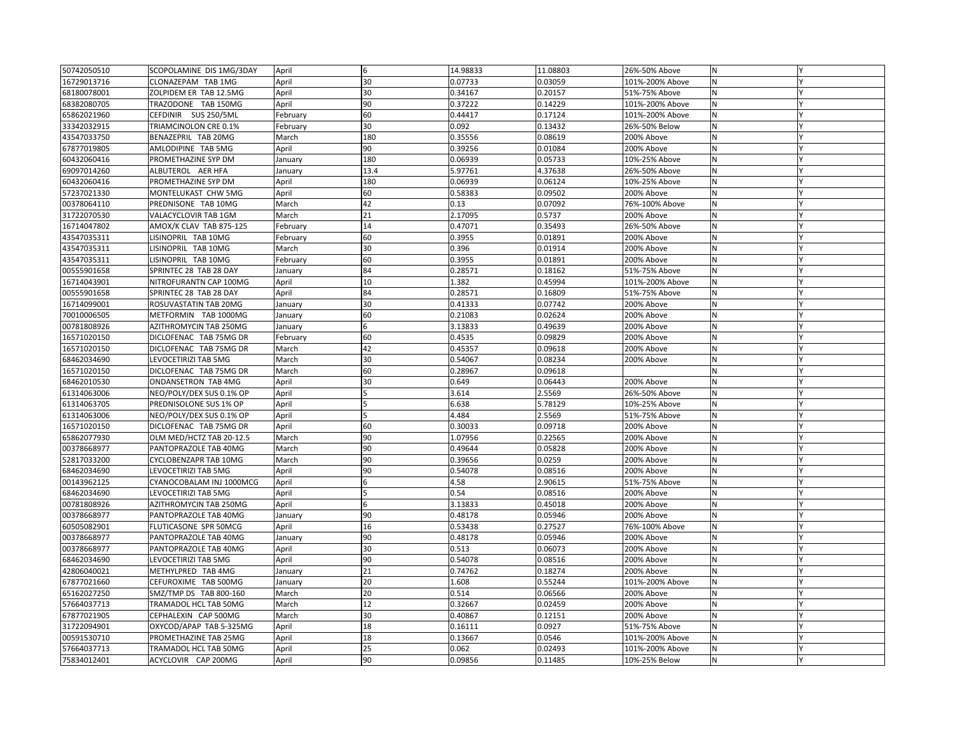| 50742050510                | SCOPOLAMINE DIS 1MG/3DAY                       | April    |          | 14.98833         | 11.08803          | 26%-50% Above   | N      |  |
|----------------------------|------------------------------------------------|----------|----------|------------------|-------------------|-----------------|--------|--|
| 16729013716                | CLONAZEPAM TAB 1MG                             | April    | 30       | 0.07733          | 0.03059           | 101%-200% Above | N      |  |
| 68180078001                | ZOLPIDEM ER TAB 12.5MG                         | April    | 30       | 0.34167          | 0.20157           | 51%-75% Above   |        |  |
| 68382080705                | TRAZODONE TAB 150MG                            | April    | 90       | 0.37222          | 0.14229           | 101%-200% Above | N      |  |
| 65862021960                | CEFDINIR SUS 250/5ML                           | February | 60       | 0.44417          | 0.17124           | 101%-200% Above | N      |  |
| 33342032915                | TRIAMCINOLON CRE 0.1%                          | February | 30       | 0.092            | 0.13432           | 26%-50% Below   | N      |  |
| 43547033750                | BENAZEPRIL TAB 20MG                            | March    | 180      | 0.35556          | 0.08619           | 200% Above      | N      |  |
| 67877019805                | AMLODIPINE TAB 5MG                             | April    | 90       | 0.39256          | 0.01084           | 200% Above      | N      |  |
| 60432060416                | PROMETHAZINE SYP DM                            | January  | 180      | 0.06939          | 0.05733           | 10%-25% Above   | N      |  |
| 69097014260                | ALBUTEROL AER HFA                              | January  | 13.4     | 5.97761          | 4.37638           | 26%-50% Above   | N      |  |
| 60432060416                | PROMETHAZINE SYP DM                            | April    | 180      | 0.06939          | 0.06124           | 10%-25% Above   | N      |  |
| 57237021330                | MONTELUKAST CHW 5MG                            | April    | 60       | 0.58383          | 0.09502           | 200% Above      | N      |  |
| 00378064110                | PREDNISONE TAB 10MG                            | March    | 42       | 0.13             | 0.07092           | 76%-100% Above  | N      |  |
| 31722070530                | VALACYCLOVIR TAB 1GM                           | March    | 21       | 2.17095          | 0.5737            | 200% Above      | N      |  |
| 16714047802                | AMOX/K CLAV TAB 875-125                        | February | 14       | 0.47071          | 0.35493           | 26%-50% Above   | N      |  |
| 43547035311                | LISINOPRIL TAB 10MG                            | February | 60       | 0.3955           | 0.01891           | 200% Above      | N      |  |
| 43547035311                | LISINOPRIL TAB 10MG                            | March    | 30       | 0.396            | 0.01914           | 200% Above      | N      |  |
| 43547035311                | LISINOPRIL TAB 10MG                            | February | 60       | 0.3955           | 0.01891           | 200% Above      | N      |  |
| 00555901658                | SPRINTEC 28 TAB 28 DAY                         | January  | 84       | 0.28571          | 0.18162           | 51%-75% Above   | N      |  |
| 16714043901                | NITROFURANTN CAP 100MG                         | April    | 10       | 1.382            | 0.45994           | 101%-200% Above | N      |  |
| 00555901658                | SPRINTEC 28 TAB 28 DAY                         | April    | 84       | 0.28571          | 0.16809           | 51%-75% Above   | N      |  |
| 16714099001                | ROSUVASTATIN TAB 20MG                          | January  | 30       | 0.41333          | 0.07742           | 200% Above      | N      |  |
| 70010006505                | METFORMIN TAB 1000MG                           | January  | 60       | 0.21083          | 0.02624           | 200% Above      | N      |  |
| 00781808926                | AZITHROMYCIN TAB 250MG                         | January  |          | 3.13833          | 0.49639           | 200% Above      | N      |  |
| 16571020150                | DICLOFENAC TAB 75MG DR                         | February | 60       | 0.4535           | 0.09829           | 200% Above      | N      |  |
| 16571020150                | DICLOFENAC TAB 75MG DR                         | March    | 42       | 0.45357          | 0.09618           | 200% Above      | N      |  |
| 68462034690                | LEVOCETIRIZI TAB 5MG                           | March    | 30       | 0.54067          | 0.08234           | 200% Above      | N      |  |
| 16571020150                | DICLOFENAC TAB 75MG DR                         | March    | 60       | 0.28967          | 0.09618           |                 | N      |  |
| 68462010530                | ONDANSETRON TAB 4MG                            | April    | 30       | 0.649            | 0.06443           | 200% Above      | N      |  |
| 61314063006                | NEO/POLY/DEX SUS 0.1% OP                       | April    |          | 3.614            | 2.5569            | 26%-50% Above   | N      |  |
| 61314063705                | PREDNISOLONE SUS 1% OP                         | April    |          | 6.638            | 5.78129           | 10%-25% Above   | N      |  |
| 61314063006                | NEO/POLY/DEX SUS 0.1% OP                       | April    |          | 4.484            | 2.5569            | 51%-75% Above   | N      |  |
| 16571020150                | DICLOFENAC TAB 75MG DR                         | April    | 60       | 0.30033          | 0.09718           | 200% Above      | N      |  |
| 65862077930                | OLM MED/HCTZ TAB 20-12.5                       | March    | 90       | 1.07956          | 0.22565           | 200% Above      | N      |  |
| 00378668977                | PANTOPRAZOLE TAB 40MG                          | March    | 90       | 0.49644          | 0.05828           | 200% Above      | N      |  |
| 52817033200                | CYCLOBENZAPR TAB 10MG                          | March    | 90       | 0.39656          | 0.0259            | 200% Above      | N      |  |
| 68462034690                | LEVOCETIRIZI TAB 5MG                           | April    | 90       | 0.54078          | 0.08516           | 200% Above      | N      |  |
| 00143962125                | CYANOCOBALAM INJ 1000MCG                       | April    |          | 4.58             | 2.90615           | 51%-75% Above   | N      |  |
| 68462034690                | LEVOCETIRIZI TAB 5MG                           | April    |          | 0.54             | 0.08516           | 200% Above      | N      |  |
| 00781808926                | AZITHROMYCIN TAB 250MG                         | April    |          | 3.13833          | 0.45018           | 200% Above      |        |  |
| 00378668977                | PANTOPRAZOLE TAB 40MG                          | January  | 90       | 0.48178          | 0.05946           | 200% Above      | N      |  |
| 60505082901                | FLUTICASONE SPR 50MCG                          | April    | 16       | 0.53438          | 0.27527           | 76%-100% Above  | N      |  |
| 00378668977                | PANTOPRAZOLE TAB 40MG                          | January  | 90       | 0.48178          | 0.05946           | 200% Above      | N      |  |
| 00378668977                | PANTOPRAZOLE TAB 40MG                          | April    | 30       | 0.513            | 0.06073           | 200% Above      | N      |  |
| 68462034690                | LEVOCETIRIZI TAB 5MG                           | April    | 90       | 0.54078          | 0.08516           | 200% Above      | N      |  |
| 42806040021                | METHYLPRED TAB 4MG                             | January  | 21       | 0.74762          | 0.18274           | 200% Above      |        |  |
| 67877021660                | CEFUROXIME TAB 500MG                           | January  | 20       | 1.608            | 0.55244           | 101%-200% Above | N      |  |
| 65162027250                | SMZ/TMP DS TAB 800-160                         | March    | 20       | 0.514            | 0.06566           | 200% Above      | Ν      |  |
| 57664037713                | TRAMADOL HCL TAB 50MG                          | March    | 12       | 0.32667          | 0.02459           | 200% Above      | N<br>N |  |
| 67877021905                | CEPHALEXIN CAP 500MG                           | March    | 30       | 0.40867          | 0.12151           | 200% Above      | N      |  |
| 31722094901                | OXYCOD/APAP TAB 5-325MG                        | April    | 18       | 0.16111          | 0.0927            | 51%-75% Above   |        |  |
| 00591530710<br>57664037713 | PROMETHAZINE TAB 25MG<br>TRAMADOL HCL TAB 50MG | April    | 18<br>25 | 0.13667<br>0.062 | 0.0546<br>0.02493 | 101%-200% Above | N<br>N |  |
| 75834012401                |                                                | April    | 90       |                  | 0.11485           | 101%-200% Above | N      |  |
|                            | ACYCLOVIR CAP 200MG                            | April    |          | 0.09856          |                   | 10%-25% Below   |        |  |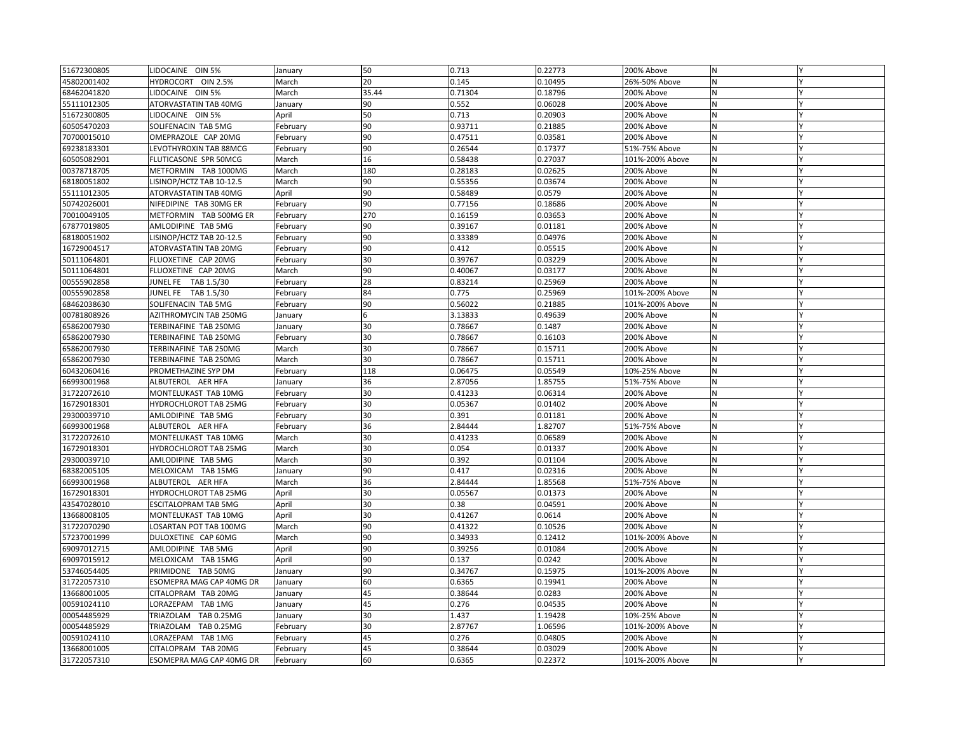| 51672300805 | LIDOCAINE OIN 5%                   | January  | 50    | 0.713   | 0.22773 | 200% Above      | N |  |
|-------------|------------------------------------|----------|-------|---------|---------|-----------------|---|--|
| 45802001402 | HYDROCORT OIN 2.5%                 | March    | 20    | 0.145   | 0.10495 | 26%-50% Above   | N |  |
| 68462041820 | LIDOCAINE OIN 5%                   | March    | 35.44 | 0.71304 | 0.18796 | 200% Above      | N |  |
| 55111012305 | ATORVASTATIN TAB 40MG              | January  | 90    | 0.552   | 0.06028 | 200% Above      | N |  |
| 51672300805 | LIDOCAINE OIN 5%                   | April    | 50    | 0.713   | 0.20903 | 200% Above      | N |  |
| 60505470203 | SOLIFENACIN TAB 5MG                | February | 90    | 0.93711 | 0.21885 | 200% Above      | N |  |
| 70700015010 | OMEPRAZOLE CAP 20MG                | February | 90    | 0.47511 | 0.03581 | 200% Above      | N |  |
| 69238183301 | LEVOTHYROXIN TAB 88MCG             | February | 90    | 0.26544 | 0.17377 | 51%-75% Above   | N |  |
| 60505082901 | FLUTICASONE SPR 50MCG              | March    | 16    | 0.58438 | 0.27037 | 101%-200% Above | N |  |
| 00378718705 | METFORMIN TAB 1000MG               | March    | 180   | 0.28183 | 0.02625 | 200% Above      | N |  |
| 68180051802 | LISINOP/HCTZ TAB 10-12.5           | March    | 90    | 0.55356 | 0.03674 | 200% Above      | N |  |
| 55111012305 | ATORVASTATIN TAB 40MG              | April    | 90    | 0.58489 | 0.0579  | 200% Above      | N |  |
| 50742026001 | NIFEDIPINE TAB 30MG ER             | February | 90    | 0.77156 | 0.18686 | 200% Above      | N |  |
| 70010049105 | METFORMIN TAB 500MG ER             | February | 270   | 0.16159 | 0.03653 | 200% Above      | N |  |
| 67877019805 | AMLODIPINE TAB 5MG                 | February | 90    | 0.39167 | 0.01181 | 200% Above      | N |  |
| 68180051902 | LISINOP/HCTZ TAB 20-12.5           | February | 90    | 0.33389 | 0.04976 | 200% Above      | N |  |
| 16729004517 | ATORVASTATIN TAB 20MG              | February | 90    | 0.412   | 0.05515 | 200% Above      |   |  |
| 50111064801 | FLUOXETINE CAP 20MG                | February | 30    | 0.39767 | 0.03229 | 200% Above      | N |  |
| 50111064801 | FLUOXETINE CAP 20MG                | March    | 90    | 0.40067 | 0.03177 | 200% Above      | N |  |
| 00555902858 | JUNEL FE TAB 1.5/30                | February | 28    | 0.83214 | 0.25969 | 200% Above      | N |  |
| 00555902858 | JUNEL FE TAB 1.5/30                | February | 84    | 0.775   | 0.25969 | 101%-200% Above | N |  |
| 68462038630 | SOLIFENACIN TAB 5MG                | February | 90    | 0.56022 | 0.21885 | 101%-200% Above | N |  |
| 00781808926 | AZITHROMYCIN TAB 250MG             | January  |       | 3.13833 | 0.49639 | 200% Above      | N |  |
| 65862007930 | TERBINAFINE TAB 250MG              | January  | 30    | 0.78667 | 0.1487  | 200% Above      | N |  |
| 65862007930 | TERBINAFINE TAB 250MG              | February | 30    | 0.78667 | 0.16103 | 200% Above      | N |  |
| 65862007930 | TERBINAFINE TAB 250MG              | March    | 30    | 0.78667 | 0.15711 | 200% Above      | N |  |
| 65862007930 | TERBINAFINE TAB 250MG              | March    | 30    | 0.78667 | 0.15711 | 200% Above      | N |  |
| 60432060416 | PROMETHAZINE SYP DM                | February | 118   | 0.06475 | 0.05549 | 10%-25% Above   | N |  |
| 66993001968 | ALBUTEROL AER HFA                  | January  | 36    | 2.87056 | 1.85755 | 51%-75% Above   | N |  |
| 31722072610 | MONTELUKAST TAB 10MG               | February | 30    | 0.41233 | 0.06314 | 200% Above      | N |  |
| 16729018301 | HYDROCHLOROT TAB 25MG              | February | 30    | 0.05367 | 0.01402 | 200% Above      | N |  |
| 29300039710 | AMLODIPINE TAB 5MG                 | February | 30    | 0.391   | 0.01181 | 200% Above      |   |  |
| 66993001968 | ALBUTEROL AER HFA                  | February | 36    | 2.84444 | 1.82707 | 51%-75% Above   | N |  |
| 31722072610 | MONTELUKAST TAB 10MG               | March    | 30    | 0.41233 | 0.06589 | 200% Above      | N |  |
| 16729018301 | <b>HYDROCHLOROT TAB 25MG</b>       | March    | 30    | 0.054   | 0.01337 | 200% Above      | N |  |
| 29300039710 | AMLODIPINE TAB 5MG                 | March    | 30    | 0.392   | 0.01104 | 200% Above      | N |  |
| 68382005105 | MELOXICAM TAB 15MG                 | January  | 90    | 0.417   | 0.02316 | 200% Above      |   |  |
| 66993001968 | <b>ALBUTEROL</b><br><b>AER HFA</b> | March    | 36    | 2.84444 | 1.85568 | 51%-75% Above   | N |  |
| 16729018301 | <b>HYDROCHLOROT TAB 25MG</b>       | April    | 30    | 0.05567 | 0.01373 | 200% Above      | N |  |
| 43547028010 | <b>ESCITALOPRAM TAB 5MG</b>        | April    | 30    | 0.38    | 0.04591 | 200% Above      | N |  |
| 13668008105 | MONTELUKAST TAB 10MG               | April    | 30    | 0.41267 | 0.0614  | 200% Above      | N |  |
| 31722070290 | <b>LOSARTAN POT TAB 100MG</b>      | March    | 90    | 0.41322 | 0.10526 | 200% Above      | N |  |
| 57237001999 | DULOXETINE CAP 60MG                | March    | 90    | 0.34933 | 0.12412 | 101%-200% Above | N |  |
| 69097012715 | AMLODIPINE TAB 5MG                 | April    | 90    | 0.39256 | 0.01084 | 200% Above      | N |  |
| 69097015912 | MELOXICAM TAB 15MG                 | April    | 90    | 0.137   | 0.0242  | 200% Above      | N |  |
| 53746054405 | PRIMIDONE TAB 50MG                 | January  | 90    | 0.34767 | 0.15975 | 101%-200% Above | N |  |
| 31722057310 | ESOMEPRA MAG CAP 40MG DR           | January  | 60    | 0.6365  | 0.19941 | 200% Above      | N |  |
| 13668001005 | CITALOPRAM TAB 20MG                | January  | 45    | 0.38644 | 0.0283  | 200% Above      | N |  |
| 00591024110 | LORAZEPAM<br>TAB 1MG               | January  | 45    | 0.276   | 0.04535 | 200% Above      | N |  |
| 00054485929 | TAB 0.25MG<br>TRIAZOLAM            | January  | 30    | 1.437   | 1.19428 | 10%-25% Above   | N |  |
| 00054485929 | TRIAZOLAM<br>TAB 0.25MG            | February | 30    | 2.87767 | 1.06596 | 101%-200% Above | N |  |
| 00591024110 | LORAZEPAM<br>TAB 1MG               | February | 45    | 0.276   | 0.04805 | 200% Above      | N |  |
| 13668001005 | CITALOPRAM TAB 20MG                | February | 45    | 0.38644 | 0.03029 | 200% Above      | N |  |
| 31722057310 | ESOMEPRA MAG CAP 40MG DR           | February | 60    | 0.6365  | 0.22372 | 101%-200% Above | N |  |
|             |                                    |          |       |         |         |                 |   |  |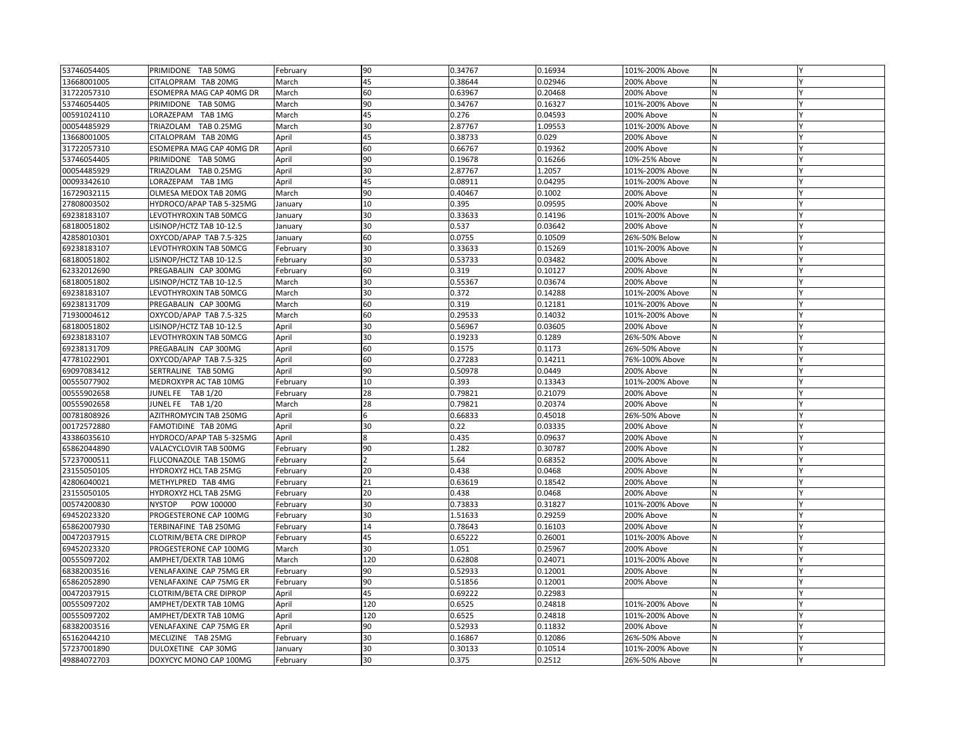| 53746054405 | PRIMIDONE TAB 50MG             | February | 90  | 0.34767 | 0.16934 | 101%-200% Above | <b>N</b> |  |
|-------------|--------------------------------|----------|-----|---------|---------|-----------------|----------|--|
| 13668001005 | CITALOPRAM TAB 20MG            | March    | 45  | 0.38644 | 0.02946 | 200% Above      | N        |  |
| 31722057310 | ESOMEPRA MAG CAP 40MG DR       | March    | 60  | 0.63967 | 0.20468 | 200% Above      | N        |  |
| 53746054405 | PRIMIDONE<br>TAB 50MG          | March    | 90  | 0.34767 | 0.16327 | 101%-200% Above |          |  |
| 00591024110 | LORAZEPAM<br>TAB 1MG           | March    | 45  | 0.276   | 0.04593 | 200% Above      | N        |  |
| 00054485929 | TRIAZOLAM<br><b>TAB 0.25MG</b> | March    | 30  | 2.87767 | 1.09553 | 101%-200% Above |          |  |
| 13668001005 | CITALOPRAM TAB 20MG            | April    | 45  | 0.38733 | 0.029   | 200% Above      | N        |  |
| 31722057310 | ESOMEPRA MAG CAP 40MG DR       | April    | 60  | 0.66767 | 0.19362 | 200% Above      | N        |  |
| 53746054405 | PRIMIDONE<br>TAB 50MG          | April    | 90  | 0.19678 | 0.16266 | 10%-25% Above   | N        |  |
| 00054485929 | TRIAZOLAM<br>TAB 0.25MG        | April    | 30  | 2.87767 | 1.2057  | 101%-200% Above | N        |  |
| 00093342610 | LORAZEPAM<br>TAB 1MG           | April    | 45  | 0.08911 | 0.04295 | 101%-200% Above | N        |  |
| 16729032115 | OLMESA MEDOX TAB 20MG          | March    | 90  | 0.40467 | 0.1002  | 200% Above      | N        |  |
| 27808003502 | HYDROCO/APAP TAB 5-325MG       | January  | 10  | 0.395   | 0.09595 | 200% Above      | N        |  |
| 69238183107 | LEVOTHYROXIN TAB 50MCG         | January  | 30  | 0.33633 | 0.14196 | 101%-200% Above | N        |  |
| 68180051802 | LISINOP/HCTZ TAB 10-12.5       | January  | 30  | 0.537   | 0.03642 | 200% Above      | N        |  |
| 42858010301 | OXYCOD/APAP TAB 7.5-325        | January  | 60  | 0.0755  | 0.10509 | 26%-50% Below   | N        |  |
| 69238183107 | LEVOTHYROXIN TAB 50MCG         | February | 30  | 0.33633 | 0.15269 | 101%-200% Above | N        |  |
| 68180051802 | LISINOP/HCTZ TAB 10-12.5       | February | 30  | 0.53733 | 0.03482 | 200% Above      | N        |  |
| 62332012690 | PREGABALIN CAP 300MG           | February | 60  | 0.319   | 0.10127 | 200% Above      | N        |  |
| 68180051802 | LISINOP/HCTZ TAB 10-12.5       | March    | 30  | 0.55367 | 0.03674 | 200% Above      |          |  |
| 69238183107 | LEVOTHYROXIN TAB 50MCG         | March    | 30  | 0.372   | 0.14288 | 101%-200% Above |          |  |
| 69238131709 | PREGABALIN CAP 300MG           | March    | 60  | 0.319   | 0.12181 | 101%-200% Above | N        |  |
| 71930004612 | OXYCOD/APAP TAB 7.5-325        | March    | 60  | 0.29533 | 0.14032 | 101%-200% Above | N        |  |
| 68180051802 | LISINOP/HCTZ TAB 10-12.5       | April    | 30  | 0.56967 | 0.03605 | 200% Above      | N        |  |
| 69238183107 | LEVOTHYROXIN TAB 50MCG         | April    | 30  | 0.19233 | 0.1289  | 26%-50% Above   | N        |  |
| 69238131709 | PREGABALIN CAP 300MG           | April    | 60  | 0.1575  | 0.1173  | 26%-50% Above   | N        |  |
| 47781022901 | OXYCOD/APAP TAB 7.5-325        | April    | 60  | 0.27283 | 0.14211 | 76%-100% Above  | N        |  |
| 69097083412 | SERTRALINE TAB 50MG            | April    | 90  | 0.50978 | 0.0449  | 200% Above      | N        |  |
| 00555077902 | MEDROXYPR AC TAB 10MG          | February | 10  | 0.393   | 0.13343 | 101%-200% Above | N        |  |
| 00555902658 | JUNEL FE TAB 1/20              | February | 28  | 0.79821 | 0.21079 | 200% Above      | N        |  |
| 00555902658 | JUNEL FE<br>TAB 1/20           | March    | 28  | 0.79821 | 0.20374 | 200% Above      | N        |  |
| 00781808926 | AZITHROMYCIN TAB 250MG         | April    |     | 0.66833 | 0.45018 | 26%-50% Above   | N        |  |
| 00172572880 | FAMOTIDINE TAB 20MG            | April    | 30  | 0.22    | 0.03335 | 200% Above      | N        |  |
| 43386035610 | HYDROCO/APAP TAB 5-325MG       | April    | Ŕ   | 0.435   | 0.09637 | 200% Above      | N        |  |
| 65862044890 | VALACYCLOVIR TAB 500MG         | February | 90  | 1.282   | 0.30787 | 200% Above      | N        |  |
| 57237000511 | FLUCONAZOLE TAB 150MG          | February |     | 5.64    | 0.68352 | 200% Above      | N        |  |
| 23155050105 | HYDROXYZ HCL TAB 25MG          | February | 20  | 0.438   | 0.0468  | 200% Above      | N        |  |
| 42806040021 | METHYLPRED TAB 4MG             | February | 21  | 0.63619 | 0.18542 | 200% Above      | N        |  |
| 23155050105 | HYDROXYZ HCL TAB 25MG          | February | 20  | 0.438   | 0.0468  | 200% Above      | N        |  |
| 00574200830 | <b>NYSTOP</b><br>POW 100000    | February | 30  | 0.73833 | 0.31827 | 101%-200% Above | N        |  |
| 69452023320 | PROGESTERONE CAP 100MG         | February | 30  | 1.51633 | 0.29259 | 200% Above      | N        |  |
| 65862007930 | TERBINAFINE TAB 250MG          | February | 14  | 0.78643 | 0.16103 | 200% Above      | N        |  |
| 00472037915 | <b>CLOTRIM/BETA CRE DIPROP</b> | February | 45  | 0.65222 | 0.26001 | 101%-200% Above | N        |  |
| 69452023320 | PROGESTERONE CAP 100MG         | March    | 30  | 1.051   | 0.25967 | 200% Above      | N        |  |
| 00555097202 | AMPHET/DEXTR TAB 10MG          | March    | 120 | 0.62808 | 0.24071 | 101%-200% Above | N        |  |
| 68382003516 | VENLAFAXINE CAP 75MG ER        | February | 90  | 0.52933 | 0.12001 | 200% Above      | N        |  |
| 65862052890 | VENLAFAXINE CAP 75MG ER        | February | 90  | 0.51856 | 0.12001 | 200% Above      | N        |  |
| 00472037915 | <b>CLOTRIM/BETA CRE DIPROP</b> | April    | 45  | 0.69222 | 0.22983 |                 | N        |  |
| 00555097202 | AMPHET/DEXTR TAB 10MG          | April    | 120 | 0.6525  | 0.24818 | 101%-200% Above | N        |  |
| 00555097202 | AMPHET/DEXTR TAB 10MG          | April    | 120 | 0.6525  | 0.24818 | 101%-200% Above | N        |  |
| 68382003516 | VENLAFAXINE CAP 75MG ER        | April    | 90  | 0.52933 | 0.11832 | 200% Above      | N        |  |
| 65162044210 | MECLIZINE TAB 25MG             | February | 30  | 0.16867 | 0.12086 | 26%-50% Above   | N        |  |
| 57237001890 | DULOXETINE CAP 30MG            | January  | 30  | 0.30133 | 0.10514 | 101%-200% Above | N        |  |
| 49884072703 | DOXYCYC MONO CAP 100MG         | February | 30  | 0.375   | 0.2512  | 26%-50% Above   | N        |  |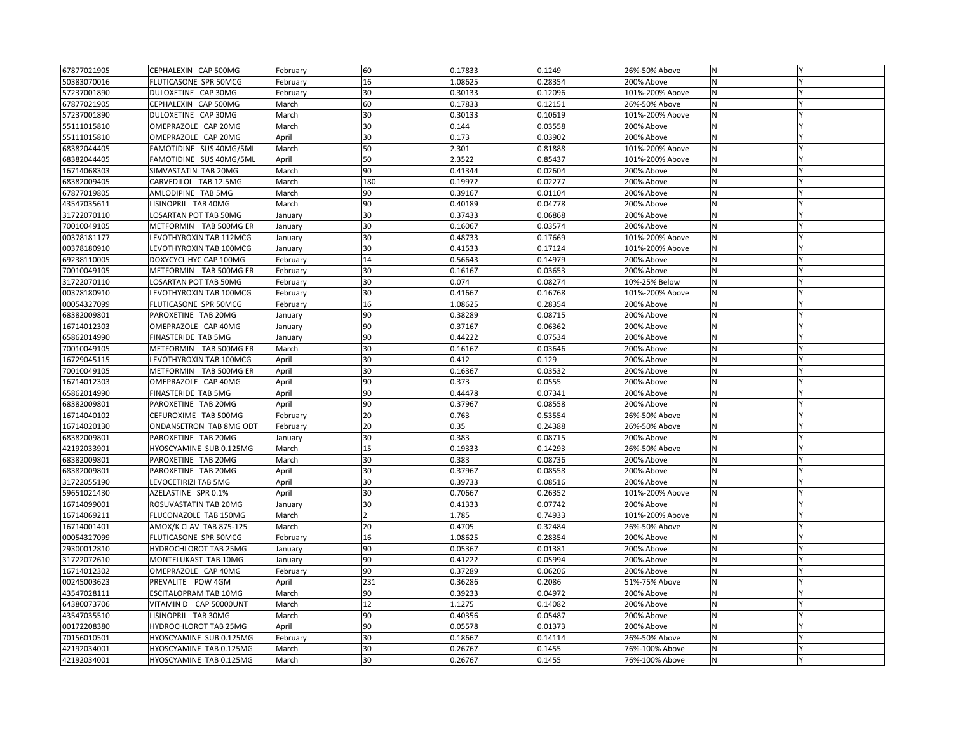| 67877021905 | CEPHALEXIN CAP 500MG         | February       | 60       | 0.17833 | 0.1249             | 26%-50% Above            | N      |  |
|-------------|------------------------------|----------------|----------|---------|--------------------|--------------------------|--------|--|
| 50383070016 | FLUTICASONE SPR 50MCG        | February       | 16       | 1.08625 | 0.28354            | 200% Above               | N      |  |
| 57237001890 | DULOXETINE CAP 30MG          | February       | 30       | 0.30133 | 0.12096            | 101%-200% Above          | N      |  |
| 67877021905 | CEPHALEXIN CAP 500MG         | March          | 60       | 0.17833 | 0.12151            | 26%-50% Above            |        |  |
| 57237001890 | DULOXETINE CAP 30MG          | March          | 30       | 0.30133 | 0.10619            | 101%-200% Above          | N      |  |
| 55111015810 | OMEPRAZOLE CAP 20MG          | March          | 30       | 0.144   | 0.03558            | 200% Above               |        |  |
| 55111015810 | OMEPRAZOLE CAP 20MG          | April          | 30       | 0.173   | 0.03902            | 200% Above               | N      |  |
| 68382044405 | FAMOTIDINE SUS 40MG/5ML      | March          | 50       | 2.301   | 0.81888            | 101%-200% Above          |        |  |
| 68382044405 | FAMOTIDINE SUS 40MG/5ML      | April          | 50       | 2.3522  | 0.85437            | 101%-200% Above          | N      |  |
| 16714068303 | SIMVASTATIN TAB 20MG         | March          | 90       | 0.41344 | 0.02604            | 200% Above               | N      |  |
| 68382009405 | CARVEDILOL TAB 12.5MG        | March          | 180      | 0.19972 | 0.02277            | 200% Above               | N      |  |
| 67877019805 | AMLODIPINE TAB 5MG           | March          | 90       | 0.39167 | 0.01104            | 200% Above               | N      |  |
| 43547035611 | LISINOPRIL TAB 40MG          | March          | 90       | 0.40189 | 0.04778            | 200% Above               | N      |  |
| 31722070110 | LOSARTAN POT TAB 50MG        | January        | 30       | 0.37433 | 0.06868            | 200% Above               | N      |  |
| 70010049105 | METFORMIN TAB 500MG ER       | January        | 30       | 0.16067 | 0.03574            | 200% Above               | N      |  |
| 00378181177 | LEVOTHYROXIN TAB 112MCG      | January        | 30       | 0.48733 | 0.17669            | 101%-200% Above          | N      |  |
| 00378180910 | LEVOTHYROXIN TAB 100MCG      | January        | 30       | 0.41533 | 0.17124            | 101%-200% Above          | N      |  |
| 69238110005 | DOXYCYCL HYC CAP 100MG       | February       | 14       | 0.56643 | 0.14979            | 200% Above               | N      |  |
| 70010049105 | METFORMIN TAB 500MG ER       | February       | 30       | 0.16167 | 0.03653            | 200% Above               | N      |  |
| 31722070110 | LOSARTAN POT TAB 50MG        | February       | 30       | 0.074   | 0.08274            | 10%-25% Below            |        |  |
| 00378180910 | LEVOTHYROXIN TAB 100MCG      | February       | 30       | 0.41667 | 0.16768            | 101%-200% Above          | N      |  |
| 00054327099 | FLUTICASONE SPR 50MCG        | February       | 16       | 1.08625 | 0.28354            | 200% Above               | N      |  |
| 68382009801 | PAROXETINE TAB 20MG          | January        | 90       | 0.38289 | 0.08715            | 200% Above               | N      |  |
| 16714012303 | OMEPRAZOLE CAP 40MG          | January        | 90       | 0.37167 | 0.06362            | 200% Above               | N      |  |
| 65862014990 | <b>FINASTERIDE TAB 5MG</b>   | January        | 90       | 0.44222 | 0.07534            | 200% Above               |        |  |
| 70010049105 | METFORMIN TAB 500MG ER       | March          | 30       | 0.16167 | 0.03646            | 200% Above               | N      |  |
| 16729045115 | LEVOTHYROXIN TAB 100MCG      | April          | 30       | 0.412   | 0.129              | 200% Above               | N      |  |
| 70010049105 | METFORMIN TAB 500MG ER       | April          | 30       | 0.16367 | 0.03532            | 200% Above               | N      |  |
| 16714012303 | OMEPRAZOLE CAP 40MG          | April          | 90       | 0.373   | 0.0555             | 200% Above               | N      |  |
| 65862014990 | <b>FINASTERIDE TAB 5MG</b>   | April          | 90       | 0.44478 | 0.07341            | 200% Above               | N      |  |
| 68382009801 | PAROXETINE TAB 20MG          | April          | 90       | 0.37967 | 0.08558            | 200% Above               | N      |  |
| 16714040102 | CEFUROXIME TAB 500MG         | February       | 20       | 0.763   | 0.53554            | 26%-50% Above            |        |  |
| 16714020130 | ONDANSETRON TAB 8MG ODT      | February       | 20       | 0.35    | 0.24388            | 26%-50% Above            | N      |  |
| 68382009801 | PAROXETINE TAB 20MG          | January        | 30       | 0.383   | 0.08715            | 200% Above               | N      |  |
| 42192033901 | HYOSCYAMINE SUB 0.125MG      | March          | 15       | 0.19333 | 0.14293            | 26%-50% Above            | N      |  |
| 68382009801 | PAROXETINE TAB 20MG          | March          | 30       | 0.383   | 0.08736            | 200% Above               | N      |  |
| 68382009801 | PAROXETINE TAB 20MG          | April          | 30       | 0.37967 | 0.08558            | 200% Above               | N      |  |
| 31722055190 | LEVOCETIRIZI TAB 5MG         | April          | 30       | 0.39733 | 0.08516            | 200% Above               | N      |  |
| 59651021430 | AZELASTINE SPR 0.1%          | April          | 30       | 0.70667 | 0.26352            | 101%-200% Above          | N      |  |
| 16714099001 | ROSUVASTATIN TAB 20MG        | January        | 30       | 0.41333 | 0.07742            | 200% Above               | N      |  |
| 16714069211 | FLUCONAZOLE TAB 150MG        | March          |          | 1.785   | 0.74933            | 101%-200% Above          | N      |  |
| 16714001401 | AMOX/K CLAV TAB 875-125      | March          | 20       | 0.4705  | 0.32484            | 26%-50% Above            | N      |  |
| 00054327099 | FLUTICASONE SPR 50MCG        | February       | 16       | 1.08625 | 0.28354            | 200% Above               | N      |  |
| 29300012810 | <b>HYDROCHLOROT TAB 25MG</b> | January        | 90       | 0.05367 | 0.01381            | 200% Above               | N      |  |
| 31722072610 | MONTELUKAST TAB 10MG         | January        | 90       | 0.41222 | 0.05994            | 200% Above               | N      |  |
| 16714012302 | OMEPRAZOLE CAP 40MG          | February       | 90       | 0.37289 | 0.06206            | 200% Above               |        |  |
| 00245003623 | PREVALITE POW 4GM            |                | 231      | 0.36286 | 0.2086             | 51%-75% Above            | N      |  |
| 43547028111 | <b>ESCITALOPRAM TAB 10MG</b> | April<br>March | 90       | 0.39233 | 0.04972            | 200% Above               | N      |  |
|             |                              |                | 12       | 1.1275  |                    |                          | N      |  |
| 64380073706 | VITAMIN D CAP 50000UNT       | March          | 90       |         | 0.14082            | 200% Above               | N      |  |
| 43547035510 | LISINOPRIL TAB 30MG          | March          | 90       | 0.40356 | 0.05487<br>0.01373 | 200% Above<br>200% Above | N      |  |
| 00172208380 | <b>HYDROCHLOROT TAB 25MG</b> | April          |          | 0.05578 |                    |                          |        |  |
| 70156010501 | HYOSCYAMINE SUB 0.125MG      | February       | 30<br>30 | 0.18667 | 0.14114            | 26%-50% Above            | N<br>N |  |
| 42192034001 | HYOSCYAMINE TAB 0.125MG      | March          |          | 0.26767 | 0.1455             | 76%-100% Above           |        |  |
| 42192034001 | HYOSCYAMINE TAB 0.125MG      | March          | 30       | 0.26767 | 0.1455             | 76%-100% Above           | N      |  |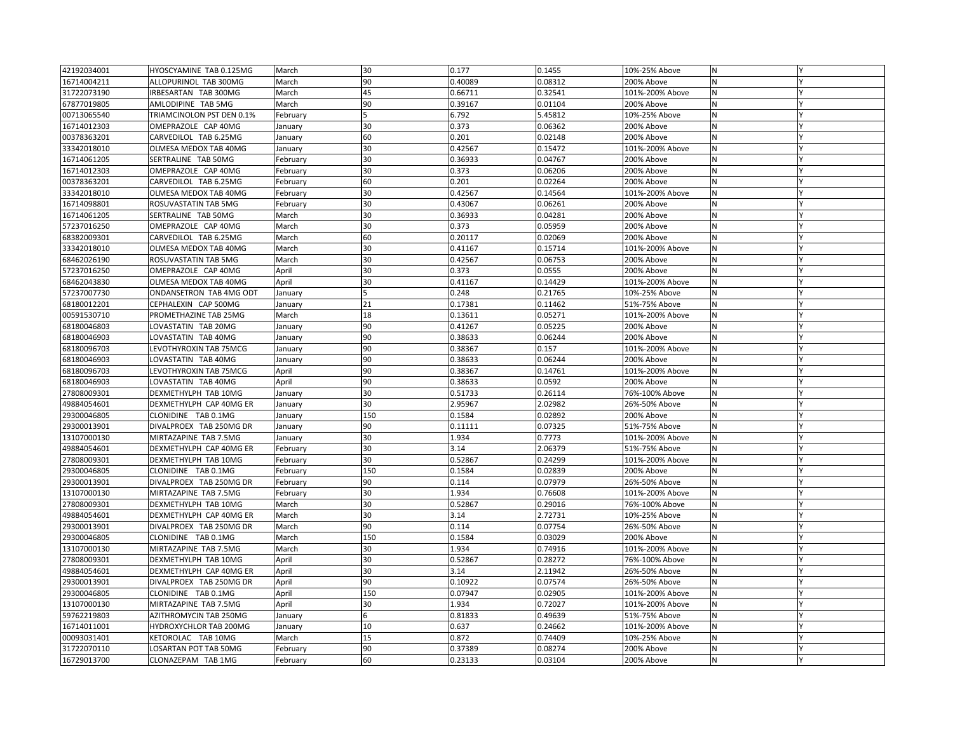| 42192034001                | HYOSCYAMINE TAB 0.125MG       | March    | 30  | 0.177            | 0.1455  | 10%-25% Above   | N |  |
|----------------------------|-------------------------------|----------|-----|------------------|---------|-----------------|---|--|
| 16714004211                | ALLOPURINOL TAB 300MG         | March    | 90  | 0.40089          | 0.08312 | 200% Above      | N |  |
| 31722073190                | IRBESARTAN TAB 300MG          | March    | 45  | 0.66711          | 0.32541 | 101%-200% Above | N |  |
| 67877019805                | AMLODIPINE TAB 5MG            | March    | 90  | 0.39167          | 0.01104 | 200% Above      |   |  |
| 00713065540                | TRIAMCINOLON PST DEN 0.1%     | February |     | 6.792            | 5.45812 | 10%-25% Above   | N |  |
| 16714012303                | OMEPRAZOLE CAP 40MG           | January  | 30  | 0.373            | 0.06362 | 200% Above      | и |  |
| 00378363201                | CARVEDILOL TAB 6.25MG         | January  | 60  | 0.201            | 0.02148 | 200% Above      | N |  |
| 33342018010                | OLMESA MEDOX TAB 40MG         | January  | 30  | 0.42567          | 0.15472 | 101%-200% Above |   |  |
| 16714061205                | SERTRALINE TAB 50MG           | February | 30  | 0.36933          | 0.04767 | 200% Above      | N |  |
| 16714012303                | OMEPRAZOLE CAP 40MG           | February | 30  | 0.373            | 0.06206 | 200% Above      | N |  |
| 00378363201                | CARVEDILOL TAB 6.25MG         | February | 60  | 0.201            | 0.02264 | 200% Above      | И |  |
| 33342018010                | OLMESA MEDOX TAB 40MG         | February | 30  | 0.42567          | 0.14564 | 101%-200% Above | N |  |
| 16714098801                | ROSUVASTATIN TAB 5MG          | February | 30  | 0.43067          | 0.06261 | 200% Above      | N |  |
| 16714061205                | SERTRALINE TAB 50MG           | March    | 30  | 0.36933          | 0.04281 | 200% Above      | N |  |
| 57237016250                | OMEPRAZOLE CAP 40MG           | March    | 30  | 0.373            | 0.05959 | 200% Above      | И |  |
| 68382009301                | CARVEDILOL TAB 6.25MG         | March    | 60  | 0.20117          | 0.02069 | 200% Above      | N |  |
| 33342018010                | OLMESA MEDOX TAB 40MG         | March    | 30  | 0.41167          | 0.15714 | 101%-200% Above | N |  |
| 68462026190                | ROSUVASTATIN TAB 5MG          | March    | 30  | 0.42567          | 0.06753 | 200% Above      | N |  |
| 57237016250                | OMEPRAZOLE CAP 40MG           | April    | 30  | 0.373            | 0.0555  | 200% Above      | и |  |
| 68462043830                | OLMESA MEDOX TAB 40MG         | April    | 30  | 0.41167          | 0.14429 | 101%-200% Above | и |  |
| 57237007730                | ONDANSETRON TAB 4MG ODT       | January  |     | 0.248            | 0.21765 | 10%-25% Above   |   |  |
| 68180012201                | CEPHALEXIN CAP 500MG          | January  | 21  | 0.17381          | 0.11462 | 51%-75% Above   | N |  |
| 00591530710                | PROMETHAZINE TAB 25MG         | March    | 18  | 0.13611          | 0.05271 | 101%-200% Above | N |  |
| 68180046803                | LOVASTATIN TAB 20MG           | January  | 90  | 0.41267          | 0.05225 | 200% Above      |   |  |
| 68180046903                | LOVASTATIN TAB 40MG           | January  | 90  | 0.38633          | 0.06244 | 200% Above      |   |  |
| 68180096703                | LEVOTHYROXIN TAB 75MCG        | January  | 90  | 0.38367          | 0.157   | 101%-200% Above | N |  |
| 68180046903                | LOVASTATIN TAB 40MG           | January  | 90  | 0.38633          | 0.06244 | 200% Above      | и |  |
| 68180096703                | LEVOTHYROXIN TAB 75MCG        | April    | 90  | 0.38367          | 0.14761 | 101%-200% Above | N |  |
| 68180046903                | LOVASTATIN TAB 40MG           | April    | 90  | 0.38633          | 0.0592  | 200% Above      |   |  |
| 27808009301                | DEXMETHYLPH TAB 10MG          | January  | 30  | 0.51733          | 0.26114 | 76%-100% Above  | N |  |
| 49884054601                | DEXMETHYLPH CAP 40MG ER       | January  | 30  | 2.95967          | 2.02982 | 26%-50% Above   | N |  |
| 29300046805                | CLONIDINE TAB 0.1MG           | January  | 150 | 0.1584           | 0.02892 | 200% Above      |   |  |
| 29300013901                | DIVALPROEX TAB 250MG DR       | January  | 90  | 0.11111          | 0.07325 | 51%-75% Above   | и |  |
| 13107000130                | MIRTAZAPINE TAB 7.5MG         | January  | 30  | 1.934            | 0.7773  | 101%-200% Above | N |  |
| 49884054601                | DEXMETHYLPH CAP 40MG ER       | February | 30  | 3.14             | 2.06379 | 51%-75% Above   | и |  |
| 27808009301                | DEXMETHYLPH TAB 10MG          | February | 30  | 0.52867          | 0.24299 | 101%-200% Above | N |  |
| 29300046805                | CLONIDINE TAB 0.1MG           | February | 150 | 0.1584           | 0.02839 | 200% Above      |   |  |
| 29300013901                | DIVALPROEX TAB 250MG DR       | February | 90  | 0.114            | 0.07979 | 26%-50% Above   | N |  |
| 13107000130                | MIRTAZAPINE TAB 7.5MG         | February | 30  | 1.934            | 0.76608 | 101%-200% Above | N |  |
| 27808009301                | DEXMETHYLPH TAB 10MG          | March    | 30  | 0.52867          | 0.29016 | 76%-100% Above  | N |  |
| 49884054601                | DEXMETHYLPH CAP 40MG ER       | March    | 30  | 3.14             | 2.72731 | 10%-25% Above   | N |  |
| 29300013901                | DIVALPROEX TAB 250MG DR       | March    | 90  | 0.114            | 0.07754 | 26%-50% Above   |   |  |
| 29300046805                | CLONIDINE TAB 0.1MG           | March    | 150 | 0.1584           | 0.03029 | 200% Above      | N |  |
| 13107000130                | MIRTAZAPINE TAB 7.5MG         | March    | 30  | 1.934            | 0.74916 | 101%-200% Above | и |  |
| 27808009301                | DEXMETHYLPH TAB 10MG          | April    | 30  | 0.52867          | 0.28272 | 76%-100% Above  |   |  |
| 49884054601                | DEXMETHYLPH CAP 40MG ER       | April    | 30  | 3.14             | 2.11942 | 26%-50% Above   |   |  |
| 29300013901                | DIVALPROEX TAB 250MG DR       | April    | 90  | 0.10922          | 0.07574 | 26%-50% Above   | N |  |
|                            |                               | April    | 150 | 0.07947          | 0.02905 |                 | N |  |
| 29300046805<br>13107000130 | CLONIDINE TAB 0.1MG           |          | 30  | 1.934            | 0.72027 | 101%-200% Above |   |  |
| 59762219803                | MIRTAZAPINE TAB 7.5MG         | April    | 6   |                  |         | 101%-200% Above | N |  |
|                            | <b>AZITHROMYCIN TAB 250MG</b> | January  | 10  | 0.81833<br>0.637 | 0.49639 | 51%-75% Above   | N |  |
| 16714011001                | HYDROXYCHLOR TAB 200MG        | January  | 15  |                  | 0.24662 | 101%-200% Above |   |  |
| 00093031401                | KETOROLAC TAB 10MG            | March    |     | 0.872            | 0.74409 | 10%-25% Above   | N |  |
| 31722070110                | <b>LOSARTAN POT TAB 50MG</b>  | February | 90  | 0.37389          | 0.08274 | 200% Above      | N |  |
| 16729013700                | CLONAZEPAM TAB 1MG            | February | 60  | 0.23133          | 0.03104 | 200% Above      | N |  |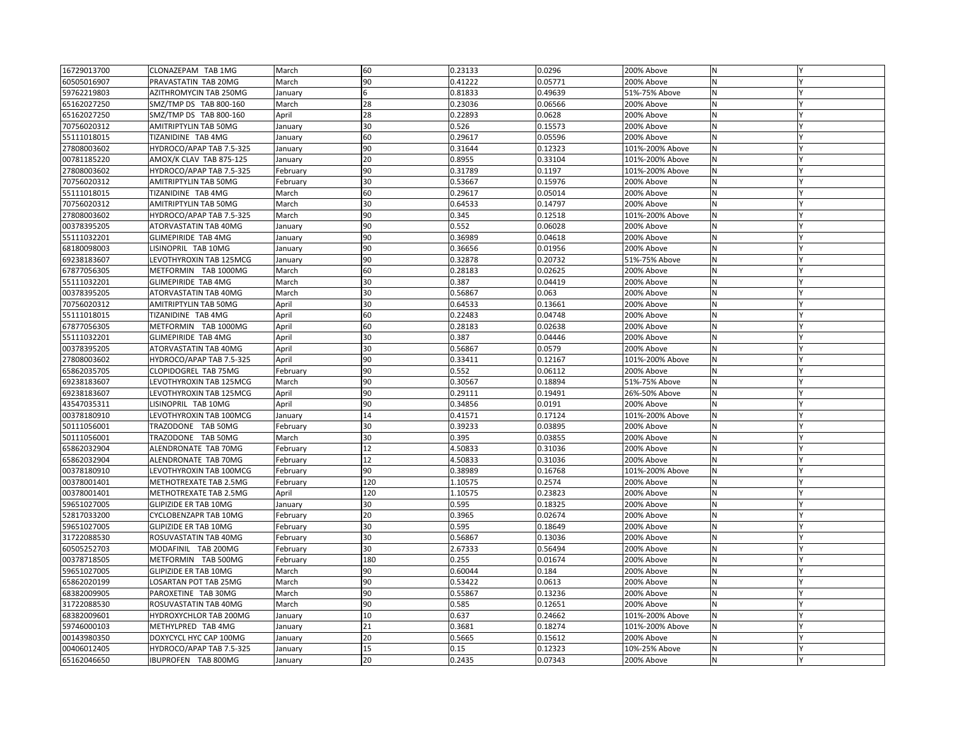| 16729013700 | CLONAZEPAM TAB 1MG           | March    | 60        | 0.23133          | 0.0296  | 200% Above      | N |  |
|-------------|------------------------------|----------|-----------|------------------|---------|-----------------|---|--|
| 60505016907 | PRAVASTATIN TAB 20MG         | March    | 90        | 0.41222          | 0.05771 | 200% Above      | N |  |
| 59762219803 | AZITHROMYCIN TAB 250MG       | January  |           | 0.81833          | 0.49639 | 51%-75% Above   | N |  |
| 65162027250 | SMZ/TMP DS TAB 800-160       | March    | 28        | 0.23036          | 0.06566 | 200% Above      | N |  |
| 65162027250 | SMZ/TMP DS TAB 800-160       | April    | 28        | 0.22893          | 0.0628  | 200% Above      | N |  |
| 70756020312 | AMITRIPTYLIN TAB 50MG        | January  | 30        | 0.526            | 0.15573 | 200% Above      | N |  |
| 55111018015 | TIZANIDINE TAB 4MG           | January  | 60        | 0.29617          | 0.05596 | 200% Above      | N |  |
| 27808003602 | HYDROCO/APAP TAB 7.5-325     | January  | 90        | 0.31644          | 0.12323 | 101%-200% Above | N |  |
| 00781185220 | AMOX/K CLAV TAB 875-125      | January  | 20        | 0.8955           | 0.33104 | 101%-200% Above | N |  |
| 27808003602 | HYDROCO/APAP TAB 7.5-325     | February | 90        | 0.31789          | 0.1197  | 101%-200% Above | N |  |
| 70756020312 | AMITRIPTYLIN TAB 50MG        | February | 30        | 0.53667          | 0.15976 | 200% Above      | N |  |
| 55111018015 | TIZANIDINE TAB 4MG           | March    | 60        | 0.29617          | 0.05014 | 200% Above      | N |  |
| 70756020312 | <b>AMITRIPTYLIN TAB 50MG</b> | March    | 30        | 0.64533          | 0.14797 | 200% Above      | N |  |
| 27808003602 | HYDROCO/APAP TAB 7.5-325     | March    | 90        | 0.345            | 0.12518 | 101%-200% Above | N |  |
| 00378395205 | ATORVASTATIN TAB 40MG        | January  | 90        | 0.552            | 0.06028 | 200% Above      | N |  |
| 55111032201 | <b>GLIMEPIRIDE TAB 4MG</b>   | January  | 90        | 0.36989          | 0.04618 | 200% Above      | N |  |
| 68180098003 | LISINOPRIL TAB 10MG          | January  | 90        | 0.36656          | 0.01956 | 200% Above      |   |  |
| 69238183607 | LEVOTHYROXIN TAB 125MCG      | January  | 90        | 0.32878          | 0.20732 | 51%-75% Above   | N |  |
| 67877056305 | METFORMIN TAB 1000MG         | March    | 60        | 0.28183          | 0.02625 | 200% Above      | N |  |
| 55111032201 | <b>GLIMEPIRIDE TAB 4MG</b>   | March    | 30        | 0.387            | 0.04419 | 200% Above      | N |  |
| 00378395205 | ATORVASTATIN TAB 40MG        | March    | 30        | 0.56867          | 0.063   | 200% Above      | N |  |
| 70756020312 | <b>AMITRIPTYLIN TAB 50MG</b> | April    | 30        | 0.64533          | 0.13661 | 200% Above      | N |  |
| 55111018015 | TIZANIDINE TAB 4MG           | April    | 60        | 0.22483          | 0.04748 | 200% Above      | N |  |
| 67877056305 | METFORMIN TAB 1000MG         | April    | 60        | 0.28183          | 0.02638 | 200% Above      | N |  |
| 55111032201 | <b>GLIMEPIRIDE TAB 4MG</b>   | April    | 30        | 0.387            | 0.04446 | 200% Above      | N |  |
| 00378395205 | <b>ATORVASTATIN TAB 40MG</b> | April    | 30        | 0.56867          | 0.0579  | 200% Above      | N |  |
| 27808003602 | HYDROCO/APAP TAB 7.5-325     | April    | 90        | 0.33411          | 0.12167 | 101%-200% Above | N |  |
| 65862035705 | CLOPIDOGREL TAB 75MG         | February | 90        | 0.552            | 0.06112 | 200% Above      | N |  |
| 69238183607 | LEVOTHYROXIN TAB 125MCG      | March    | 90        | 0.30567          | 0.18894 | 51%-75% Above   | N |  |
| 69238183607 | LEVOTHYROXIN TAB 125MCG      | April    | 90        | 0.29111          | 0.19491 | 26%-50% Above   | N |  |
| 43547035311 | LISINOPRIL TAB 10MG          | April    | 90        | 0.34856          | 0.0191  | 200% Above      | N |  |
| 00378180910 | LEVOTHYROXIN TAB 100MCG      | January  | 14        | 0.41571          | 0.17124 | 101%-200% Above | N |  |
| 50111056001 | TRAZODONE TAB 50MG           | February | 30        | 0.39233          | 0.03895 | 200% Above      |   |  |
| 50111056001 | TRAZODONE TAB 50MG           | March    | 30        | 0.395            | 0.03855 | 200% Above      | N |  |
| 65862032904 | ALENDRONATE TAB 70MG         |          | 12        | 4.50833          | 0.31036 | 200% Above      | N |  |
|             |                              | February | 12        |                  |         |                 | N |  |
| 65862032904 | ALENDRONATE TAB 70MG         | February | 90        | 4.50833          | 0.31036 | 200% Above      | N |  |
| 00378180910 | LEVOTHYROXIN TAB 100MCG      | February |           | 0.38989          | 0.16768 | 101%-200% Above | N |  |
| 00378001401 | METHOTREXATE TAB 2.5MG       | February | 120       | 1.10575          | 0.2574  | 200% Above      | N |  |
| 00378001401 | METHOTREXATE TAB 2.5MG       | April    | 120<br>30 | 1.10575<br>0.595 | 0.23823 | 200% Above      |   |  |
| 59651027005 | <b>GLIPIZIDE ER TAB 10MG</b> | January  | 20        |                  | 0.18325 | 200% Above      | N |  |
| 52817033200 | CYCLOBENZAPR TAB 10MG        | February |           | 0.3965           | 0.02674 | 200% Above      | N |  |
| 59651027005 | <b>GLIPIZIDE ER TAB 10MG</b> | February | 30        | 0.595            | 0.18649 | 200% Above      |   |  |
| 31722088530 | ROSUVASTATIN TAB 40MG        | February | 30        | 0.56867          | 0.13036 | 200% Above      | N |  |
| 60505252703 | MODAFINIL TAB 200MG          | February | 30        | 2.67333          | 0.56494 | 200% Above      | N |  |
| 00378718505 | METFORMIN TAB 500MG          | February | 180       | 0.255            | 0.01674 | 200% Above      |   |  |
| 59651027005 | <b>GLIPIZIDE ER TAB 10MG</b> | March    | 90        | 0.60044          | 0.184   | 200% Above      | N |  |
| 65862020199 | <b>LOSARTAN POT TAB 25MG</b> | March    | 90        | 0.53422          | 0.0613  | 200% Above      | N |  |
| 68382009905 | PAROXETINE TAB 30MG          | March    | 90        | 0.55867          | 0.13236 | 200% Above      | N |  |
| 31722088530 | ROSUVASTATIN TAB 40MG        | March    | 90        | 0.585            | 0.12651 | 200% Above      | N |  |
| 68382009601 | HYDROXYCHLOR TAB 200MG       | January  | 10        | 0.637            | 0.24662 | 101%-200% Above | N |  |
| 59746000103 | METHYLPRED TAB 4MG           | January  | 21        | 0.3681           | 0.18274 | 101%-200% Above | N |  |
| 00143980350 | DOXYCYCL HYC CAP 100MG       | January  | 20        | 0.5665           | 0.15612 | 200% Above      | N |  |
| 00406012405 | HYDROCO/APAP TAB 7.5-325     | January  | 15        | 0.15             | 0.12323 | 10%-25% Above   | N |  |
| 65162046650 | IBUPROFEN TAB 800MG          | January  | 20        | 0.2435           | 0.07343 | 200% Above      | N |  |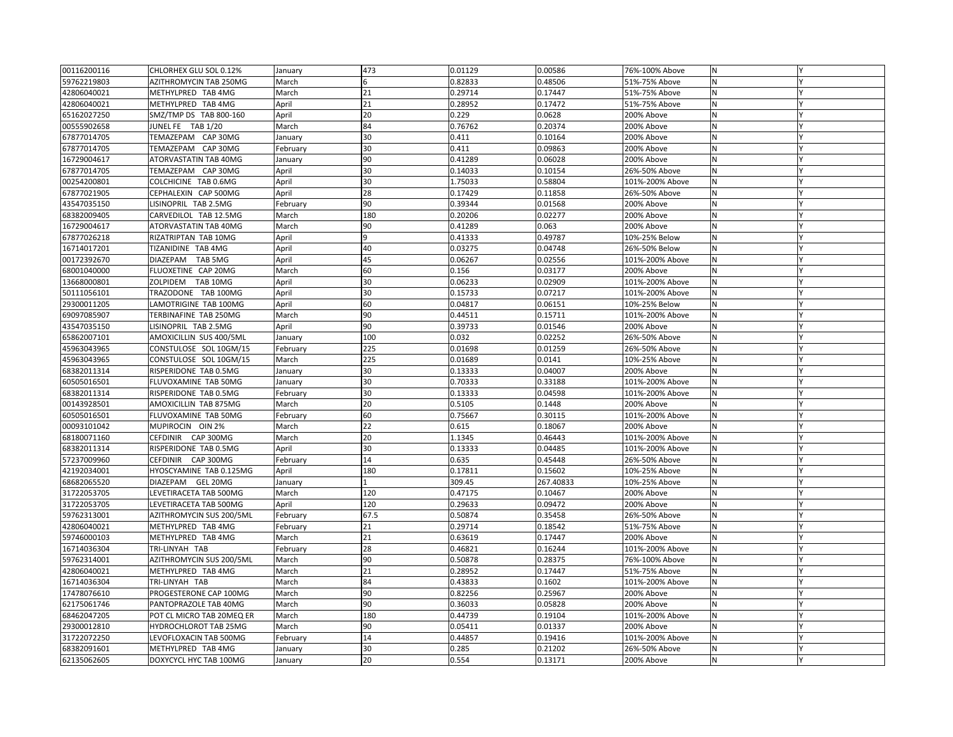| 00116200116 | CHLORHEX GLU SOL 0.12%        | January  | 473  | 0.01129 | 0.00586   | 76%-100% Above  | N |  |
|-------------|-------------------------------|----------|------|---------|-----------|-----------------|---|--|
| 59762219803 | <b>AZITHROMYCIN TAB 250MG</b> | March    |      | 0.82833 | 0.48506   | 51%-75% Above   | N |  |
| 42806040021 | METHYLPRED TAB 4MG            | March    | 21   | 0.29714 | 0.17447   | 51%-75% Above   | N |  |
| 42806040021 | METHYLPRED TAB 4MG            | April    | 21   | 0.28952 | 0.17472   | 51%-75% Above   |   |  |
| 65162027250 | SMZ/TMP DS TAB 800-160        | April    | 20   | 0.229   | 0.0628    | 200% Above      | N |  |
| 00555902658 | <b>JUNEL FE</b><br>TAB 1/20   | March    | 84   | 0.76762 | 0.20374   | 200% Above      |   |  |
| 67877014705 | TEMAZEPAM CAP 30MG            | January  | 30   | 0.411   | 0.10164   | 200% Above      | N |  |
| 67877014705 | TEMAZEPAM CAP 30MG            | February | 30   | 0.411   | 0.09863   | 200% Above      | N |  |
| 16729004617 | ATORVASTATIN TAB 40MG         | January  | 90   | 0.41289 | 0.06028   | 200% Above      | N |  |
| 67877014705 | TEMAZEPAM CAP 30MG            | April    | 30   | 0.14033 | 0.10154   | 26%-50% Above   | N |  |
| 00254200801 | COLCHICINE TAB 0.6MG          | April    | 30   | 1.75033 | 0.58804   | 101%-200% Above | N |  |
| 67877021905 | CEPHALEXIN CAP 500MG          | April    | 28   | 0.17429 | 0.11858   | 26%-50% Above   | N |  |
| 43547035150 | LISINOPRIL TAB 2.5MG          | February | 90   | 0.39344 | 0.01568   | 200% Above      | N |  |
| 68382009405 | CARVEDILOL TAB 12.5MG         | March    | 180  | 0.20206 | 0.02277   | 200% Above      | N |  |
| 16729004617 | ATORVASTATIN TAB 40MG         | March    | 90   | 0.41289 | 0.063     | 200% Above      | N |  |
| 67877026218 | RIZATRIPTAN TAB 10MG          | April    |      | 0.41333 | 0.49787   | 10%-25% Below   | N |  |
| 16714017201 | TIZANIDINE TAB 4MG            | April    | 40   | 0.03275 | 0.04748   | 26%-50% Below   | N |  |
| 00172392670 | DIAZEPAM<br>TAB 5MG           | April    | 45   | 0.06267 | 0.02556   | 101%-200% Above | N |  |
| 68001040000 | FLUOXETINE CAP 20MG           | March    | 60   | 0.156   | 0.03177   | 200% Above      |   |  |
| 13668000801 | ZOLPIDEM<br>TAB 10MG          | April    | 30   | 0.06233 | 0.02909   | 101%-200% Above |   |  |
| 50111056101 | TRAZODONE TAB 100MG           | April    | 30   | 0.15733 | 0.07217   | 101%-200% Above |   |  |
| 29300011205 | LAMOTRIGINE TAB 100MG         | April    | 60   | 0.04817 | 0.06151   | 10%-25% Below   | N |  |
| 69097085907 | TERBINAFINE TAB 250MG         | March    | 90   | 0.44511 | 0.15711   | 101%-200% Above | N |  |
| 43547035150 | LISINOPRIL TAB 2.5MG          | April    | 90   | 0.39733 | 0.01546   | 200% Above      |   |  |
| 65862007101 | AMOXICILLIN SUS 400/5ML       | January  | 100  | 0.032   | 0.02252   | 26%-50% Above   |   |  |
| 45963043965 | CONSTULOSE SOL 10GM/15        | February | 225  | 0.01698 | 0.01259   | 26%-50% Above   | N |  |
| 45963043965 | CONSTULOSE SOL 10GM/15        | March    | 225  | 0.01689 | 0.0141    | 10%-25% Above   | N |  |
| 68382011314 | RISPERIDONE TAB 0.5MG         | January  | 30   | 0.13333 | 0.04007   | 200% Above      | N |  |
| 60505016501 | FLUVOXAMINE TAB 50MG          | January  | 30   | 0.70333 | 0.33188   | 101%-200% Above | N |  |
| 68382011314 | RISPERIDONE TAB 0.5MG         | February | 30   | 0.13333 | 0.04598   | 101%-200% Above | N |  |
| 00143928501 | AMOXICILLIN TAB 875MG         | March    | 20   | 0.5105  | 0.1448    | 200% Above      | N |  |
| 60505016501 | FLUVOXAMINE TAB 50MG          | February | 60   | 0.75667 | 0.30115   | 101%-200% Above | N |  |
| 00093101042 | MUPIROCIN OIN 2%              | March    | 22   | 0.615   | 0.18067   | 200% Above      |   |  |
| 68180071160 | <b>CEFDINIR</b><br>CAP 300MG  | March    | 20   | 1.1345  | 0.46443   | 101%-200% Above | N |  |
| 68382011314 | RISPERIDONE TAB 0.5MG         | April    | 30   | 0.13333 | 0.04485   | 101%-200% Above | N |  |
| 57237009960 | CEFDINIR<br>CAP 300MG         | February | 14   | 0.635   | 0.45448   | 26%-50% Above   | N |  |
| 42192034001 | HYOSCYAMINE TAB 0.125MG       | April    | 180  | 0.17811 | 0.15602   | 10%-25% Above   | N |  |
| 68682065520 | <b>DIAZEPAM</b><br>GEL 20MG   | January  |      | 309.45  | 267.40833 | 10%-25% Above   | N |  |
| 31722053705 | LEVETIRACETA TAB 500MG        | March    | 120  | 0.47175 | 0.10467   | 200% Above      | N |  |
| 31722053705 | LEVETIRACETA TAB 500MG        | April    | 120  | 0.29633 | 0.09472   | 200% Above      | N |  |
| 59762313001 | AZITHROMYCIN SUS 200/5ML      | February | 67.5 | 0.50874 | 0.35458   | 26%-50% Above   | N |  |
| 42806040021 | METHYLPRED TAB 4MG            | February | 21   | 0.29714 | 0.18542   | 51%-75% Above   | N |  |
| 59746000103 | METHYLPRED TAB 4MG            | March    | 21   | 0.63619 | 0.17447   | 200% Above      | N |  |
| 16714036304 | TRI-LINYAH TAB                | February | 28   | 0.46821 | 0.16244   | 101%-200% Above | N |  |
| 59762314001 | AZITHROMYCIN SUS 200/5ML      | March    | 90   | 0.50878 | 0.28375   | 76%-100% Above  |   |  |
| 42806040021 | METHYLPRED TAB 4MG            | March    | 21   | 0.28952 | 0.17447   | 51%-75% Above   | N |  |
| 16714036304 | TRI-LINYAH TAB                | March    | 84   | 0.43833 | 0.1602    | 101%-200% Above | N |  |
| 17478076610 | PROGESTERONE CAP 100MG        | March    | 90   | 0.82256 | 0.25967   | 200% Above      | N |  |
| 62175061746 | PANTOPRAZOLE TAB 40MG         | March    | 90   | 0.36033 | 0.05828   | 200% Above      | N |  |
| 68462047205 | POT CL MICRO TAB 20MEQ ER     | March    | 180  | 0.44739 | 0.19104   | 101%-200% Above | N |  |
| 29300012810 | HYDROCHLOROT TAB 25MG         | March    | 90   | 0.05411 | 0.01337   | 200% Above      | N |  |
| 31722072250 | LEVOFLOXACIN TAB 500MG        | February | 14   | 0.44857 | 0.19416   | 101%-200% Above | N |  |
| 68382091601 | METHYLPRED TAB 4MG            | January  | 30   | 0.285   | 0.21202   | 26%-50% Above   | N |  |
| 62135062605 | DOXYCYCL HYC TAB 100MG        | January  | 20   | 0.554   | 0.13171   | 200% Above      | N |  |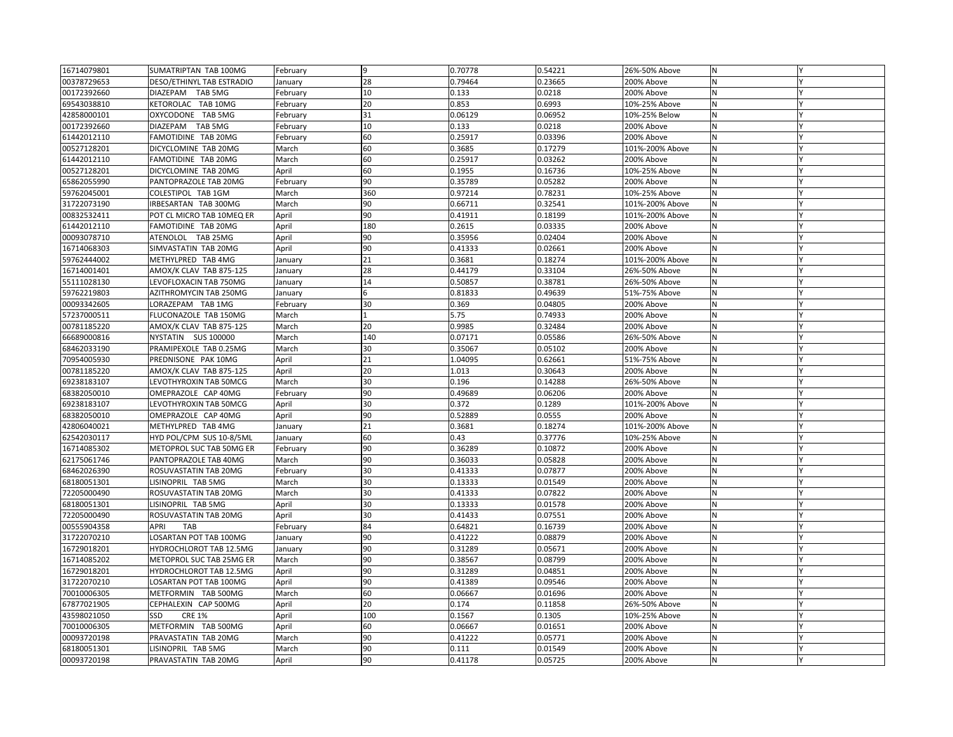| 16714079801                | SUMATRIPTAN TAB 100MG                              | February          |     | 0.70778            | 0.54221            | 26%-50% Above            | N |  |
|----------------------------|----------------------------------------------------|-------------------|-----|--------------------|--------------------|--------------------------|---|--|
| 00378729653                | <b>DESO/ETHINYL TAB ESTRADIO</b>                   | January           | 28  | 0.79464            | 0.23665            | 200% Above               | N |  |
| 00172392660                | TAB 5MG<br><b>DIAZEPAM</b>                         | February          | 10  | 0.133              | 0.0218             | 200% Above               | N |  |
| 69543038810                | KETOROLAC<br>TAB 10MG                              | February          | 20  | 0.853              | 0.6993             | 10%-25% Above            | N |  |
| 42858000101                | OXYCODONE TAB 5MG                                  | February          | 31  | 0.06129            | 0.06952            | 10%-25% Below            | N |  |
| 00172392660                | <b>DIAZEPAM</b><br>TAB 5MG                         | February          | 10  | 0.133              | 0.0218             | 200% Above               | N |  |
| 61442012110                | FAMOTIDINE TAB 20MG                                | February          | 60  | 0.25917            | 0.03396            | 200% Above               | N |  |
| 00527128201                | DICYCLOMINE TAB 20MG                               | March             | 60  | 0.3685             | 0.17279            | 101%-200% Above          | N |  |
| 61442012110                | FAMOTIDINE TAB 20MG                                | March             | 60  | 0.25917            | 0.03262            | 200% Above               | N |  |
| 00527128201                | DICYCLOMINE TAB 20MG                               | April             | 60  | 0.1955             | 0.16736            | 10%-25% Above            | N |  |
| 65862055990                | PANTOPRAZOLE TAB 20MG                              | February          | 90  | 0.35789            | 0.05282            | 200% Above               | N |  |
| 59762045001                | COLESTIPOL TAB 1GM                                 | March             | 360 | 0.97214            | 0.78231            | 10%-25% Above            | N |  |
| 31722073190                | IRBESARTAN TAB 300MG                               | March             | 90  | 0.66711            | 0.32541            | 101%-200% Above          | N |  |
| 00832532411                | POT CL MICRO TAB 10MEQ ER                          | April             | 90  | 0.41911            | 0.18199            | 101%-200% Above          | N |  |
| 61442012110                | FAMOTIDINE TAB 20MG                                | April             | 180 | 0.2615             | 0.03335            | 200% Above               | N |  |
| 00093078710                | ATENOLOL TAB 25MG                                  | April             | 90  | 0.35956            | 0.02404            | 200% Above               | N |  |
| 16714068303                | SIMVASTATIN TAB 20MG                               | April             | 90  | 0.41333            | 0.02661            | 200% Above               |   |  |
| 59762444002                | METHYLPRED TAB 4MG                                 | January           | 21  | 0.3681             | 0.18274            | 101%-200% Above          | N |  |
| 16714001401                | AMOX/K CLAV TAB 875-125                            | January           | 28  | 0.44179            | 0.33104            | 26%-50% Above            |   |  |
| 55111028130                | LEVOFLOXACIN TAB 750MG                             | January           | 14  | 0.50857            | 0.38781            | 26%-50% Above            |   |  |
| 59762219803                | AZITHROMYCIN TAB 250MG                             | January           |     | 0.81833            | 0.49639            | 51%-75% Above            |   |  |
| 00093342605                | LORAZEPAM TAB 1MG                                  | February          | 30  | 0.369              | 0.04805            | 200% Above               | N |  |
| 57237000511                | FLUCONAZOLE TAB 150MG                              | March             |     | 5.75               | 0.74933            | 200% Above               | N |  |
| 00781185220                | AMOX/K CLAV TAB 875-125                            | March             | 20  | 0.9985             | 0.32484            | 200% Above               | N |  |
| 66689000816                | NYSTATIN SUS 100000                                | March             | 140 | 0.07171            | 0.05586            | 26%-50% Above            |   |  |
| 68462033190                | PRAMIPEXOLE TAB 0.25MG                             | March             | 30  | 0.35067            | 0.05102            | 200% Above               | N |  |
| 70954005930                | PREDNISONE PAK 10MG                                | April             | 21  | 1.04095            | 0.62661            | 51%-75% Above            | N |  |
| 00781185220                | AMOX/K CLAV TAB 875-125                            | April             | 20  | 1.013              | 0.30643            | 200% Above               | N |  |
| 69238183107                | LEVOTHYROXIN TAB 50MCG                             | March             | 30  | 0.196              | 0.14288            | 26%-50% Above            | N |  |
| 68382050010                | OMEPRAZOLE CAP 40MG                                | February          | 90  | 0.49689            | 0.06206            | 200% Above               | N |  |
| 69238183107                | <b>LEVOTHYROXIN TAB 50MCG</b>                      | April             | 30  | 0.372              | 0.1289             | 101%-200% Above          | N |  |
| 68382050010                | OMEPRAZOLE CAP 40MG                                | April             | 90  | 0.52889            | 0.0555             | 200% Above               |   |  |
| 42806040021                | METHYLPRED TAB 4MG                                 | January           | 21  | 0.3681             | 0.18274            | 101%-200% Above          | N |  |
| 62542030117                | HYD POL/CPM SUS 10-8/5ML                           | January           | 60  | 0.43               | 0.37776            | 10%-25% Above            | N |  |
| 16714085302                | METOPROL SUC TAB 50MG ER                           | February          | 90  | 0.36289            | 0.10872            | 200% Above               | N |  |
| 62175061746                | PANTOPRAZOLE TAB 40MG                              | March             | 90  | 0.36033            | 0.05828            | 200% Above               | N |  |
| 68462026390                | ROSUVASTATIN TAB 20MG                              |                   | 30  | 0.41333            | 0.07877            | 200% Above               | N |  |
|                            |                                                    | February<br>March | 30  |                    |                    |                          | N |  |
| 68180051301                | LISINOPRIL TAB 5MG                                 |                   | 30  | 0.13333            | 0.01549            | 200% Above               | N |  |
| 72205000490                | ROSUVASTATIN TAB 20MG                              | March             | 30  | 0.41333            | 0.07822            | 200% Above               |   |  |
| 68180051301<br>72205000490 | LISINOPRIL TAB 5MG                                 | April             | 30  | 0.13333            | 0.01578            | 200% Above               | N |  |
| 00555904358                | ROSUVASTATIN TAB 20MG<br><b>APRI</b><br><b>TAB</b> | April             | 84  | 0.41433<br>0.64821 | 0.07551<br>0.16739 | 200% Above<br>200% Above | N |  |
|                            |                                                    | February          |     |                    |                    |                          | N |  |
| 31722070210                | LOSARTAN POT TAB 100MG                             | January           | 90  | 0.41222            | 0.08879            | 200% Above               | N |  |
| 16729018201                | HYDROCHLOROT TAB 12.5MG                            | January           | 90  | 0.31289            | 0.05671            | 200% Above               | N |  |
| 16714085202                | METOPROL SUC TAB 25MG ER                           | March             | 90  | 0.38567            | 0.08799            | 200% Above               |   |  |
| 16729018201                | HYDROCHLOROT TAB 12.5MG                            | April             | 90  | 0.31289            | 0.04851            | 200% Above               |   |  |
| 31722070210                | LOSARTAN POT TAB 100MG                             | April             | 90  | 0.41389            | 0.09546            | 200% Above               | N |  |
| 70010006305                | <b>METFORMIN</b><br>TAB 500MG                      | March             | 60  | 0.06667            | 0.01696            | 200% Above               | N |  |
| 67877021905                | CEPHALEXIN CAP 500MG                               | April             | 20  | 0.174              | 0.11858            | 26%-50% Above            | N |  |
| 43598021050                | SSD<br><b>CRE 1%</b>                               | April             | 100 | 0.1567             | 0.1305             | 10%-25% Above            | N |  |
| 70010006305                | METFORMIN TAB 500MG                                | April             | 60  | 0.06667            | 0.01651            | 200% Above               | N |  |
| 00093720198                | PRAVASTATIN TAB 20MG                               | March             | 90  | 0.41222            | 0.05771            | 200% Above               | N |  |
| 68180051301                | LISINOPRIL TAB 5MG                                 | March             | 90  | 0.111              | 0.01549            | 200% Above               | N |  |
| 00093720198                | PRAVASTATIN TAB 20MG                               | April             | 90  | 0.41178            | 0.05725            | 200% Above               | N |  |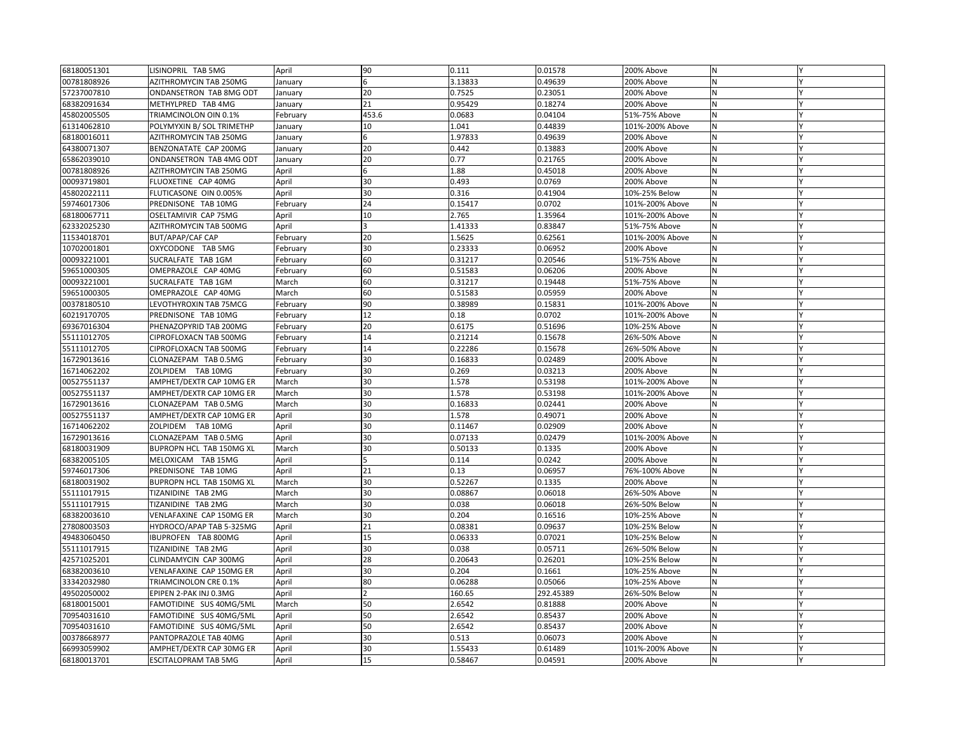| 68180051301                | LISINOPRIL TAB 5MG          | April    | 90       | 0.111            | 0.01578            | 200% Above      | N |  |
|----------------------------|-----------------------------|----------|----------|------------------|--------------------|-----------------|---|--|
| 00781808926                | AZITHROMYCIN TAB 250MG      | January  |          | 3.13833          | 0.49639            | 200% Above      | N |  |
| 57237007810                | ONDANSETRON TAB 8MG ODT     | January  | 20       | 0.7525           | 0.23051            | 200% Above      | N |  |
| 68382091634                | METHYLPRED TAB 4MG          | January  | 21       | 0.95429          | 0.18274            | 200% Above      |   |  |
| 45802005505                | TRIAMCINOLON OIN 0.1%       | February | 453.6    | 0.0683           | 0.04104            | 51%-75% Above   | N |  |
| 61314062810                | POLYMYXIN B/ SOL TRIMETHP   | January  | 10       | 1.041            | 0.44839            | 101%-200% Above | N |  |
| 68180016011                | AZITHROMYCIN TAB 250MG      | January  |          | 1.97833          | 0.49639            | 200% Above      | Ν |  |
| 64380071307                | BENZONATATE CAP 200MG       | January  | 20       | 0.442            | 0.13883            | 200% Above      | N |  |
| 65862039010                | ONDANSETRON TAB 4MG ODT     | January  | 20       | 0.77             | 0.21765            | 200% Above      | N |  |
| 00781808926                | AZITHROMYCIN TAB 250MG      | April    | 6        | 1.88             | 0.45018            | 200% Above      | N |  |
| 00093719801                | FLUOXETINE CAP 40MG         | April    | 30       | 0.493            | 0.0769             | 200% Above      | N |  |
| 45802022111                | FLUTICASONE OIN 0.005%      | April    | 30       | 0.316            | 0.41904            | 10%-25% Below   | N |  |
| 59746017306                | PREDNISONE TAB 10MG         | February | 24       | 0.15417          | 0.0702             | 101%-200% Above | N |  |
| 68180067711                | OSELTAMIVIR CAP 75MG        | April    | 10       | 2.765            | 1.35964            | 101%-200% Above | N |  |
| 62332025230                | AZITHROMYCIN TAB 500MG      | April    |          | 1.41333          | 0.83847            | 51%-75% Above   | N |  |
| 11534018701                | BUT/APAP/CAF CAP            | February | 20       | 1.5625           | 0.62561            | 101%-200% Above | N |  |
| 10702001801                | OXYCODONE TAB 5MG           | February | 30       | 0.23333          | 0.06952            | 200% Above      | N |  |
| 00093221001                | SUCRALFATE TAB 1GM          | February | 60       | 0.31217          | 0.20546            | 51%-75% Above   | N |  |
| 59651000305                | OMEPRAZOLE CAP 40MG         | February | 60       | 0.51583          | 0.06206            | 200% Above      | N |  |
| 00093221001                | SUCRALFATE TAB 1GM          | March    | 60       | 0.31217          | 0.19448            | 51%-75% Above   | N |  |
| 59651000305                | OMEPRAZOLE CAP 40MG         | March    | 60       | 0.51583          | 0.05959            | 200% Above      |   |  |
| 00378180510                | LEVOTHYROXIN TAB 75MCG      | February | 90       | 0.38989          | 0.15831            | 101%-200% Above | N |  |
| 60219170705                | PREDNISONE TAB 10MG         | February | 12       | 0.18             | 0.0702             | 101%-200% Above | N |  |
| 69367016304                | PHENAZOPYRID TAB 200MG      | February | 20       | 0.6175           | 0.51696            | 10%-25% Above   | N |  |
| 55111012705                | CIPROFLOXACN TAB 500MG      | February | 14       | 0.21214          | 0.15678            | 26%-50% Above   |   |  |
| 55111012705                | CIPROFLOXACN TAB 500MG      | February | 14       | 0.22286          | 0.15678            | 26%-50% Above   | N |  |
| 16729013616                | CLONAZEPAM TAB 0.5MG        | February | 30       | 0.16833          | 0.02489            | 200% Above      | N |  |
| 16714062202                | ZOLPIDEM TAB 10MG           | February | 30       | 0.269            | 0.03213            | 200% Above      | N |  |
| 00527551137                | AMPHET/DEXTR CAP 10MG ER    | March    | 30       | 1.578            | 0.53198            | 101%-200% Above | N |  |
| 00527551137                | AMPHET/DEXTR CAP 10MG ER    | March    | 30       | 1.578            | 0.53198            | 101%-200% Above | N |  |
| 16729013616                | CLONAZEPAM TAB 0.5MG        | March    | 30       | 0.16833          | 0.02441            | 200% Above      | N |  |
| 00527551137                | AMPHET/DEXTR CAP 10MG ER    | April    | 30       | 1.578            | 0.49071            | 200% Above      | N |  |
| 16714062202                | ZOLPIDEM TAB 10MG           | April    | 30       | 0.11467          | 0.02909            | 200% Above      |   |  |
| 16729013616                | CLONAZEPAM TAB 0.5MG        | April    | 30       | 0.07133          | 0.02479            | 101%-200% Above | N |  |
| 68180031909                | BUPROPN HCL TAB 150MG XL    | March    | 30       | 0.50133          | 0.1335             | 200% Above      | N |  |
| 68382005105                | MELOXICAM TAB 15MG          | April    |          | 0.114            | 0.0242             | 200% Above      | N |  |
| 59746017306                | PREDNISONE TAB 10MG         | April    | 21       | 0.13             | 0.06957            | 76%-100% Above  | N |  |
| 68180031902                | BUPROPN HCL TAB 150MG XL    | March    | 30       | 0.52267          | 0.1335             | 200% Above      | N |  |
| 55111017915                | TIZANIDINE TAB 2MG          | March    | 30       | 0.08867          | 0.06018            | 26%-50% Above   | N |  |
| 55111017915                | TIZANIDINE TAB 2MG          | March    | 30       | 0.038            | 0.06018            | 26%-50% Below   | N |  |
| 68382003610                | VENLAFAXINE CAP 150MG ER    | March    | 30       | 0.204            | 0.16516            | 10%-25% Above   | N |  |
| 27808003503                | HYDROCO/APAP TAB 5-325MG    | April    | 21       | 0.08381          | 0.09637            | 10%-25% Below   | N |  |
| 49483060450                | IBUPROFEN TAB 800MG         | April    | 15       | 0.06333          | 0.07021            | 10%-25% Below   | N |  |
| 55111017915                | TIZANIDINE TAB 2MG          | April    | 30       | 0.038            | 0.05711            | 26%-50% Below   | N |  |
| 42571025201                | CLINDAMYCIN CAP 300MG       | April    | 28       | 0.20643          | 0.26201            | 10%-25% Below   | N |  |
| 68382003610                | VENLAFAXINE CAP 150MG ER    | April    | 30       | 0.204            | 0.1661             | 10%-25% Above   |   |  |
| 33342032980                | TRIAMCINOLON CRE 0.1%       | April    | 80       | 0.06288          | 0.05066            | 10%-25% Above   | N |  |
| 49502050002                | EPIPEN 2-PAK INJ 0.3MG      | April    |          | 160.65           | 292.45389          | 26%-50% Below   | N |  |
| 68180015001                | FAMOTIDINE SUS 40MG/5ML     | March    | 50<br>50 | 2.6542           | 0.81888            | 200% Above      | N |  |
| 70954031610                | FAMOTIDINE SUS 40MG/5ML     | April    |          | 2.6542           | 0.85437            | 200% Above      | N |  |
| 70954031610                | FAMOTIDINE SUS 40MG/5ML     | April    | 50       | 2.6542           | 0.85437            | 200% Above      | N |  |
| 00378668977<br>66993059902 | PANTOPRAZOLE TAB 40MG       | April    | 30<br>30 | 0.513<br>1.55433 | 0.06073            | 200% Above      | N |  |
| 68180013701                | AMPHET/DEXTR CAP 30MG ER    | April    | 15       | 0.58467          | 0.61489<br>0.04591 | 101%-200% Above | N |  |
|                            | <b>ESCITALOPRAM TAB 5MG</b> | April    |          |                  |                    | 200% Above      |   |  |